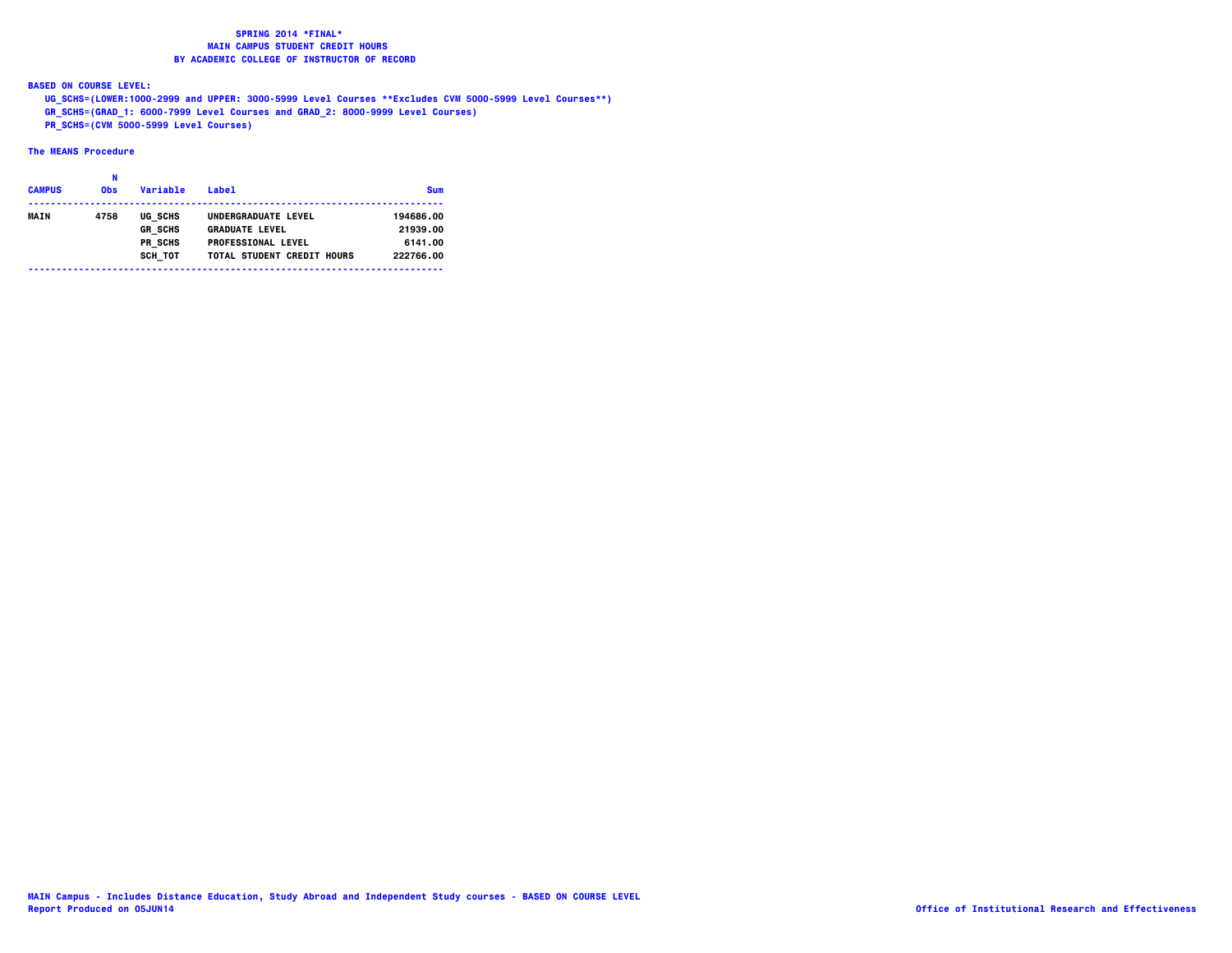**BASED ON COURSE LEVEL:**

 **UG\_SCHS=(LOWER:1000-2999 and UPPER: 3000-5999 Level Courses \*\*Excludes CVM 5000-5999 Level Courses\*\*)**

 **GR\_SCHS=(GRAD\_1: 6000-7999 Level Courses and GRAD\_2: 8000-9999 Level Courses)**

 **PR\_SCHS=(CVM 5000-5999 Level Courses)**

| <b>CAMPUS</b> | <b>Obs</b> | Variable       | I abel<br>___________________________________ | <b>Sum</b> |
|---------------|------------|----------------|-----------------------------------------------|------------|
| <b>MAIN</b>   | 4758       | UG SCHS        | UNDERGRADUATE LEVEL                           | 194686.00  |
|               |            | <b>GR SCHS</b> | <b>GRADUATE LEVEL</b>                         | 21939.00   |
|               |            | PR SCHS        | <b>PROFESSIONAL LEVEL</b>                     | 6141.00    |
|               |            | SCH TOT        | TOTAL STUDENT CREDIT HOURS                    | 222766.00  |
|               |            |                |                                               |            |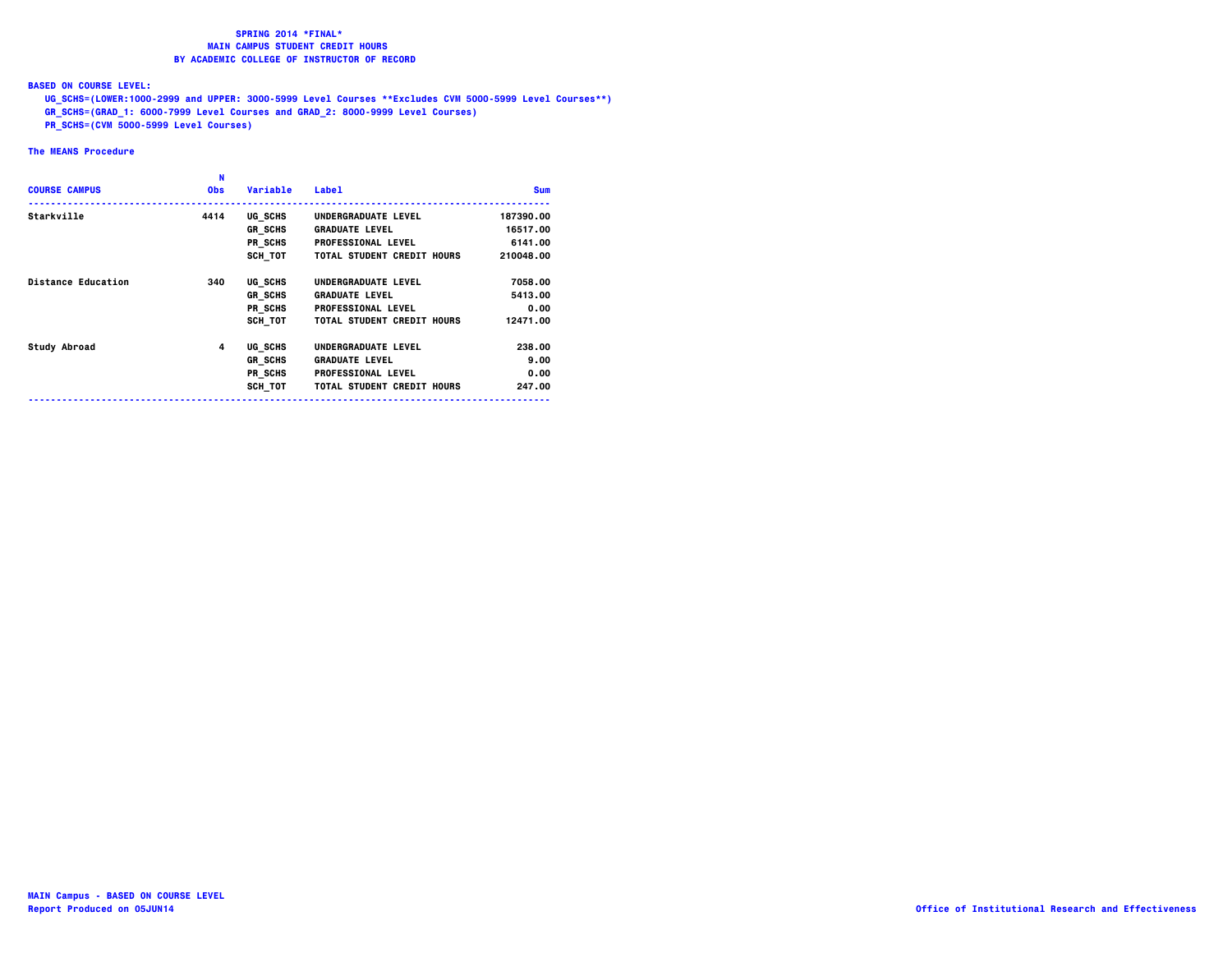**BASED ON COURSE LEVEL:**

 **UG\_SCHS=(LOWER:1000-2999 and UPPER: 3000-5999 Level Courses \*\*Excludes CVM 5000-5999 Level Courses\*\*)**

- **GR\_SCHS=(GRAD\_1: 6000-7999 Level Courses and GRAD\_2: 8000-9999 Level Courses)**
- **PR\_SCHS=(CVM 5000-5999 Level Courses)**

| <b>COURSE CAMPUS</b>      | N<br><b>Obs</b> | Variable       | <b>Label</b>                      | <b>Sum</b> |
|---------------------------|-----------------|----------------|-----------------------------------|------------|
| Starkville                | 4414            | UG SCHS        | UNDERGRADUATE LEVEL               | 187390.00  |
|                           |                 | <b>GR SCHS</b> | <b>GRADUATE LEVEL</b>             | 16517.00   |
|                           |                 | PR SCHS        | <b>PROFESSIONAL LEVEL</b>         | 6141.00    |
|                           |                 | SCH TOT        | TOTAL STUDENT CREDIT HOURS        | 210048.00  |
| <b>Distance Education</b> | 340             | UG SCHS        | UNDERGRADUATE LEVEL               | 7058.00    |
|                           |                 | <b>GR SCHS</b> | <b>GRADUATE LEVEL</b>             | 5413.00    |
|                           |                 | PR SCHS        | <b>PROFESSIONAL LEVEL</b>         | 0.00       |
|                           |                 | SCH TOT        | TOTAL STUDENT CREDIT HOURS        | 12471.00   |
| Study Abroad              | 4               | UG SCHS        | UNDERGRADUATE LEVEL               | 238.00     |
|                           |                 | <b>GR SCHS</b> | <b>GRADUATE LEVEL</b>             | 9.00       |
|                           |                 | PR SCHS        | <b>PROFESSIONAL LEVEL</b>         | 0.00       |
|                           |                 | SCH TOT        | <b>TOTAL STUDENT CREDIT HOURS</b> | 247.00     |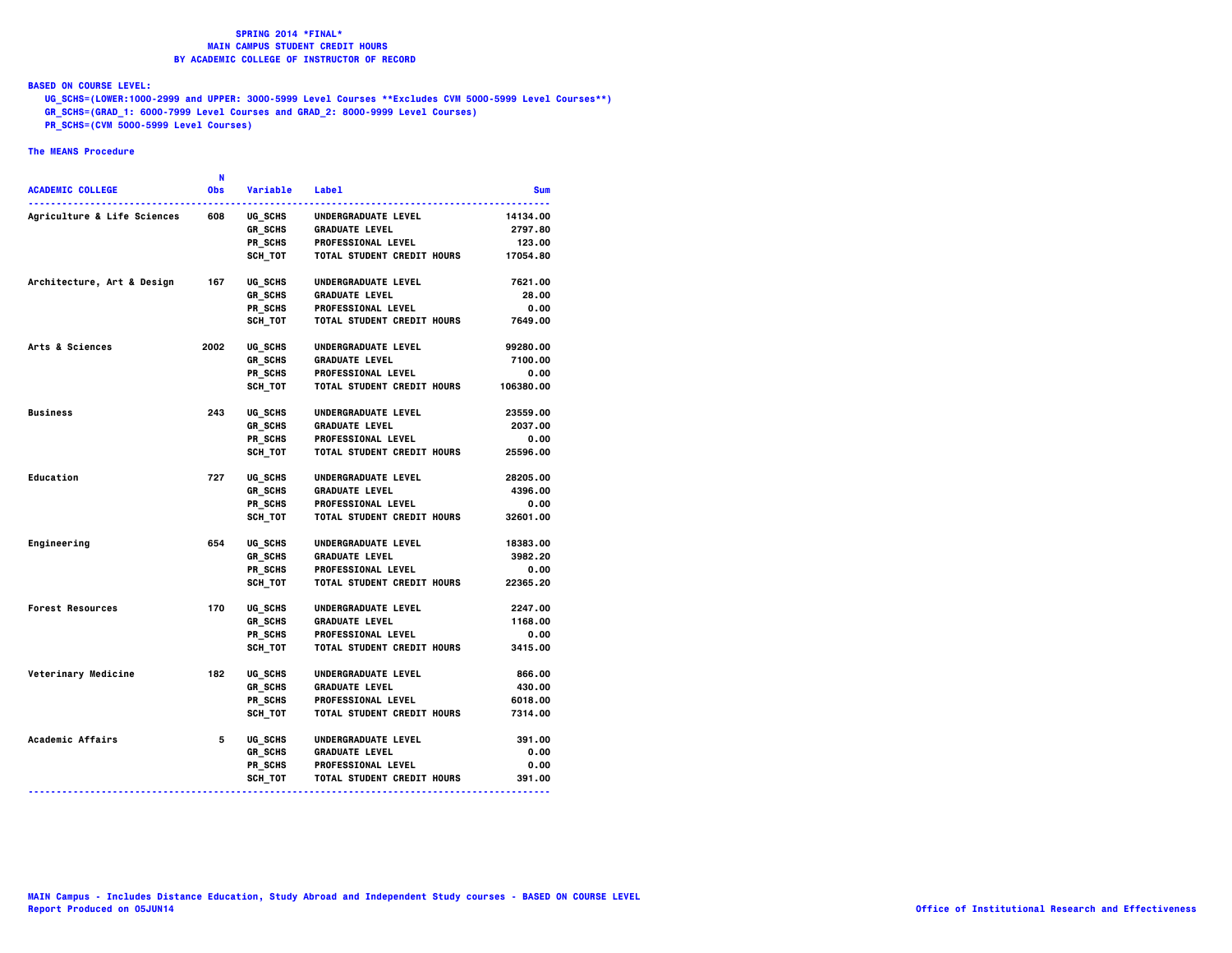**BASED ON COURSE LEVEL:**

 **UG\_SCHS=(LOWER:1000-2999 and UPPER: 3000-5999 Level Courses \*\*Excludes CVM 5000-5999 Level Courses\*\*)**

- **GR\_SCHS=(GRAD\_1: 6000-7999 Level Courses and GRAD\_2: 8000-9999 Level Courses)**
- **PR\_SCHS=(CVM 5000-5999 Level Courses)**

|                                        | N    |                |                                   |            |
|----------------------------------------|------|----------------|-----------------------------------|------------|
| <b>ACADEMIC COLLEGE</b>                | 0bs  | Variable       | Label                             | <b>Sum</b> |
| <b>Agriculture &amp; Life Sciences</b> | 608  | UG SCHS        | UNDERGRADUATE LEVEL               | 14134.00   |
|                                        |      | GR SCHS        | <b>GRADUATE LEVEL</b>             | 2797.80    |
|                                        |      | PR SCHS        | <b>PROFESSIONAL LEVEL</b>         | 123.00     |
|                                        |      | SCH TOT        | <b>TOTAL STUDENT CREDIT HOURS</b> | 17054.80   |
| Architecture, Art & Design             | 167  | UG SCHS        | UNDERGRADUATE LEVEL               | 7621.00    |
|                                        |      | GR SCHS        | <b>GRADUATE LEVEL</b>             | 28.00      |
|                                        |      | PR SCHS        | <b>PROFESSIONAL LEVEL</b>         | 0.00       |
|                                        |      | SCH TOT        | <b>TOTAL STUDENT CREDIT HOURS</b> | 7649.00    |
| Arts & Sciences                        | 2002 | UG SCHS        | UNDERGRADUATE LEVEL               | 99280.00   |
|                                        |      | GR SCHS        | <b>GRADUATE LEVEL</b>             | 7100.00    |
|                                        |      | PR SCHS        | <b>PROFESSIONAL LEVEL</b>         | 0.00       |
|                                        |      | <b>SCH TOT</b> | <b>TOTAL STUDENT CREDIT HOURS</b> | 106380.00  |
| <b>Business</b>                        | 243  | UG SCHS        | UNDERGRADUATE LEVEL               | 23559.00   |
|                                        |      | GR SCHS        | <b>GRADUATE LEVEL</b>             | 2037.00    |
|                                        |      | PR SCHS        | <b>PROFESSIONAL LEVEL</b>         | 0.00       |
|                                        |      | SCH TOT        | TOTAL STUDENT CREDIT HOURS        | 25596.00   |
| Education                              | 727  | UG SCHS        | UNDERGRADUATE LEVEL               | 28205.00   |
|                                        |      | GR SCHS        | <b>GRADUATE LEVEL</b>             | 4396.00    |
|                                        |      | PR_SCHS        | <b>PROFESSIONAL LEVEL</b>         | 0.00       |
|                                        |      | SCH TOT        | TOTAL STUDENT CREDIT HOURS        | 32601.00   |
| Engineering                            | 654  | UG SCHS        | UNDERGRADUATE LEVEL               | 18383.00   |
|                                        |      | GR SCHS        | <b>GRADUATE LEVEL</b>             | 3982.20    |
|                                        |      | PR SCHS        | <b>PROFESSIONAL LEVEL</b>         | 0.00       |
|                                        |      | SCH TOT        | TOTAL STUDENT CREDIT HOURS        | 22365.20   |
| <b>Forest Resources</b>                | 170  | UG SCHS        | UNDERGRADUATE LEVEL               | 2247.00    |
|                                        |      | <b>GR SCHS</b> | <b>GRADUATE LEVEL</b>             | 1168.00    |
|                                        |      | PR SCHS        | PROFESSIONAL LEVEL                | 0.00       |
|                                        |      | SCH TOT        | <b>TOTAL STUDENT CREDIT HOURS</b> | 3415.00    |
| Veterinary Medicine                    | 182  | UG SCHS        | UNDERGRADUATE LEVEL               | 866.00     |
|                                        |      | GR SCHS        | <b>GRADUATE LEVEL</b>             | 430.00     |
|                                        |      | PR SCHS        | <b>PROFESSIONAL LEVEL</b>         | 6018.00    |
|                                        |      | SCH TOT        | TOTAL STUDENT CREDIT HOURS        | 7314.00    |
| Academic Affairs                       | 5    | UG SCHS        | UNDERGRADUATE LEVEL               | 391.00     |
|                                        |      | GR_SCHS        | <b>GRADUATE LEVEL</b>             | 0.00       |
|                                        |      | PR SCHS        | <b>PROFESSIONAL LEVEL</b>         | 0.00       |
|                                        |      | SCH TOT        | TOTAL STUDENT CREDIT HOURS        | 391.00     |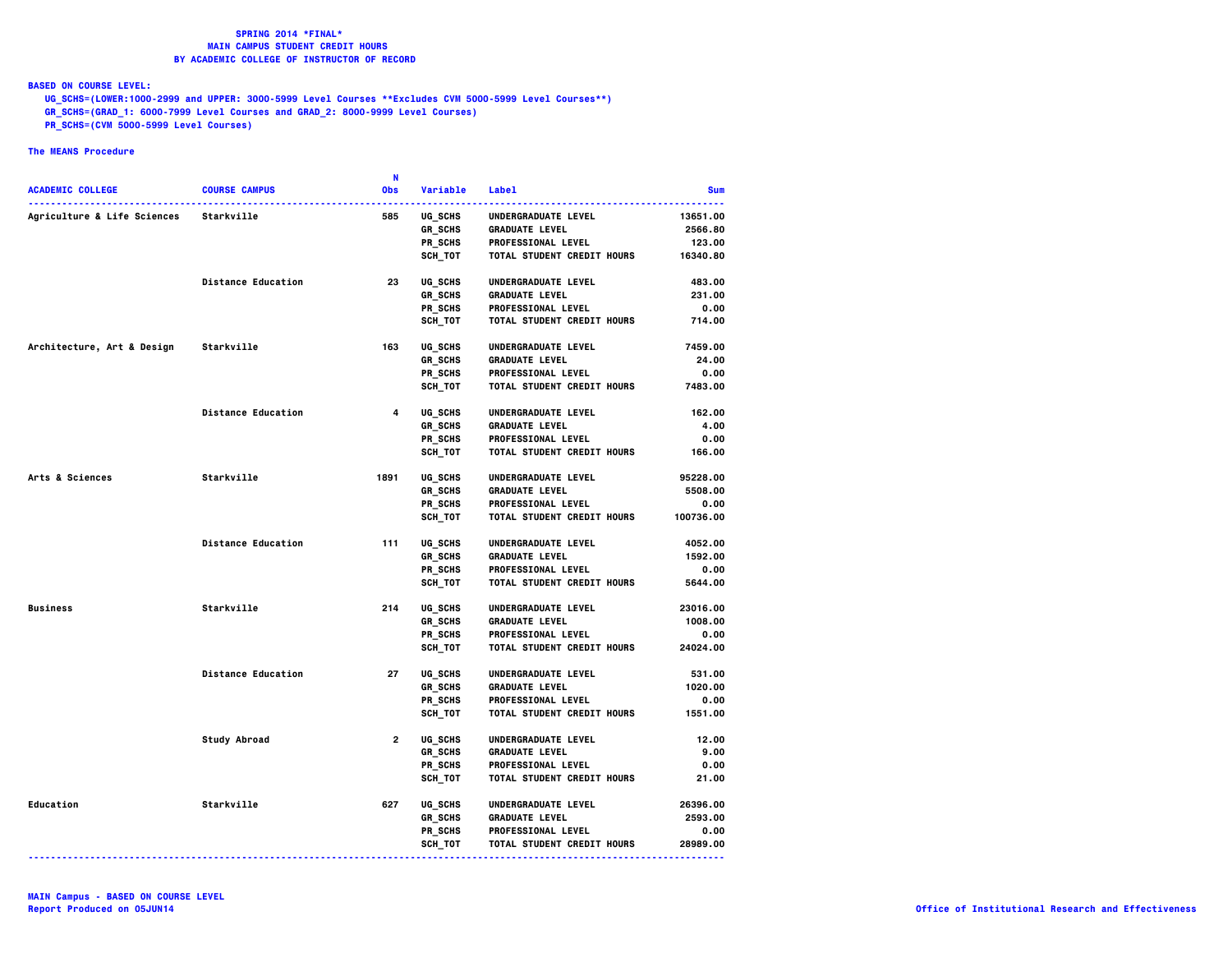**BASED ON COURSE LEVEL:**

 **UG\_SCHS=(LOWER:1000-2999 and UPPER: 3000-5999 Level Courses \*\*Excludes CVM 5000-5999 Level Courses\*\*)**

- **GR\_SCHS=(GRAD\_1: 6000-7999 Level Courses and GRAD\_2: 8000-9999 Level Courses)**
- **PR\_SCHS=(CVM 5000-5999 Level Courses)**

|                                        |                           | -N             |                |                                   |            |
|----------------------------------------|---------------------------|----------------|----------------|-----------------------------------|------------|
| <b>ACADEMIC COLLEGE</b>                | <b>COURSE CAMPUS</b>      | Obs            | Variable       | <b>Label</b>                      | <b>Sum</b> |
| Agriculture & Life Sciences Starkville |                           | 585            | <b>UG SCHS</b> | UNDERGRADUATE LEVEL               | 13651.00   |
|                                        |                           |                | GR SCHS        | <b>GRADUATE LEVEL</b>             | 2566.80    |
|                                        |                           |                | PR_SCHS        | <b>PROFESSIONAL LEVEL</b>         | 123.00     |
|                                        |                           |                | SCH TOT        | <b>TOTAL STUDENT CREDIT HOURS</b> | 16340.80   |
|                                        | <b>Distance Education</b> | 23             | UG SCHS        | UNDERGRADUATE LEVEL               | 483.00     |
|                                        |                           |                | GR SCHS        | <b>GRADUATE LEVEL</b>             | 231.00     |
|                                        |                           |                | PR SCHS        | <b>PROFESSIONAL LEVEL</b>         | 0.00       |
|                                        |                           |                | SCH_TOT        | TOTAL STUDENT CREDIT HOURS        | 714.00     |
|                                        |                           |                |                |                                   |            |
| Architecture, Art & Design             | Starkville                | 163            | UG SCHS        | UNDERGRADUATE LEVEL               | 7459.00    |
|                                        |                           |                | GR_SCHS        | <b>GRADUATE LEVEL</b>             | 24.00      |
|                                        |                           |                | PR SCHS        | <b>PROFESSIONAL LEVEL</b>         | 0.00       |
|                                        |                           |                | SCH_TOT        | TOTAL STUDENT CREDIT HOURS        | 7483.00    |
|                                        | <b>Distance Education</b> | $\overline{4}$ | UG SCHS        | UNDERGRADUATE LEVEL               | 162.00     |
|                                        |                           |                | GR_SCHS        | <b>GRADUATE LEVEL</b>             | 4.00       |
|                                        |                           |                | PR_SCHS        | <b>PROFESSIONAL LEVEL</b>         | 0.00       |
|                                        |                           |                | SCH TOT        | TOTAL STUDENT CREDIT HOURS        | 166.00     |
|                                        |                           |                |                |                                   |            |
| Arts & Sciences                        | Starkville                | 1891           | UG SCHS        | UNDERGRADUATE LEVEL               | 95228.00   |
|                                        |                           |                | <b>GR SCHS</b> | <b>GRADUATE LEVEL</b>             | 5508.00    |
|                                        |                           |                | PR SCHS        | <b>PROFESSIONAL LEVEL</b>         | 0.00       |
|                                        |                           |                | SCH_TOT        | <b>TOTAL STUDENT CREDIT HOURS</b> | 100736.00  |
|                                        | <b>Distance Education</b> | 111            | UG SCHS        | UNDERGRADUATE LEVEL               | 4052.00    |
|                                        |                           |                | GR SCHS        | <b>GRADUATE LEVEL</b>             | 1592.00    |
|                                        |                           |                | PR_SCHS        | <b>PROFESSIONAL LEVEL</b>         | 0.00       |
|                                        |                           |                | SCH_TOT        | <b>TOTAL STUDENT CREDIT HOURS</b> | 5644.00    |
| <b>Business</b>                        | Starkville                | 214            | UG SCHS        | UNDERGRADUATE LEVEL               | 23016.00   |
|                                        |                           |                | GR_SCHS        | <b>GRADUATE LEVEL</b>             | 1008.00    |
|                                        |                           |                | PR SCHS        | <b>PROFESSIONAL LEVEL</b>         | 0.00       |
|                                        |                           |                | SCH_TOT        | <b>TOTAL STUDENT CREDIT HOURS</b> | 24024.00   |
|                                        |                           |                |                |                                   |            |
|                                        | <b>Distance Education</b> | 27             | UG SCHS        | UNDERGRADUATE LEVEL               | 531.00     |
|                                        |                           |                | GR_SCHS        | <b>GRADUATE LEVEL</b>             | 1020.00    |
|                                        |                           |                | PR SCHS        | <b>PROFESSIONAL LEVEL</b>         | 0.00       |
|                                        |                           |                | SCH_TOT        | TOTAL STUDENT CREDIT HOURS        | 1551.00    |
|                                        | Study Abroad              | $2^{\circ}$    | UG SCHS        | UNDERGRADUATE LEVEL               | 12.00      |
|                                        |                           |                | GR SCHS        | <b>GRADUATE LEVEL</b>             | 9.00       |
|                                        |                           |                | PR SCHS        | <b>PROFESSIONAL LEVEL</b>         | 0.00       |
|                                        |                           |                | SCH TOT        | TOTAL STUDENT CREDIT HOURS        | 21.00      |
| <b>Education</b>                       | Starkville                | 627            | UG SCHS        | UNDERGRADUATE LEVEL               | 26396.00   |
|                                        |                           |                | <b>GR SCHS</b> | <b>GRADUATE LEVEL</b>             | 2593.00    |
|                                        |                           |                | PR SCHS        | <b>PROFESSIONAL LEVEL</b>         | 0.00       |
|                                        |                           |                | SCH_TOT        | TOTAL STUDENT CREDIT HOURS        | 28989.00   |
|                                        |                           |                |                |                                   |            |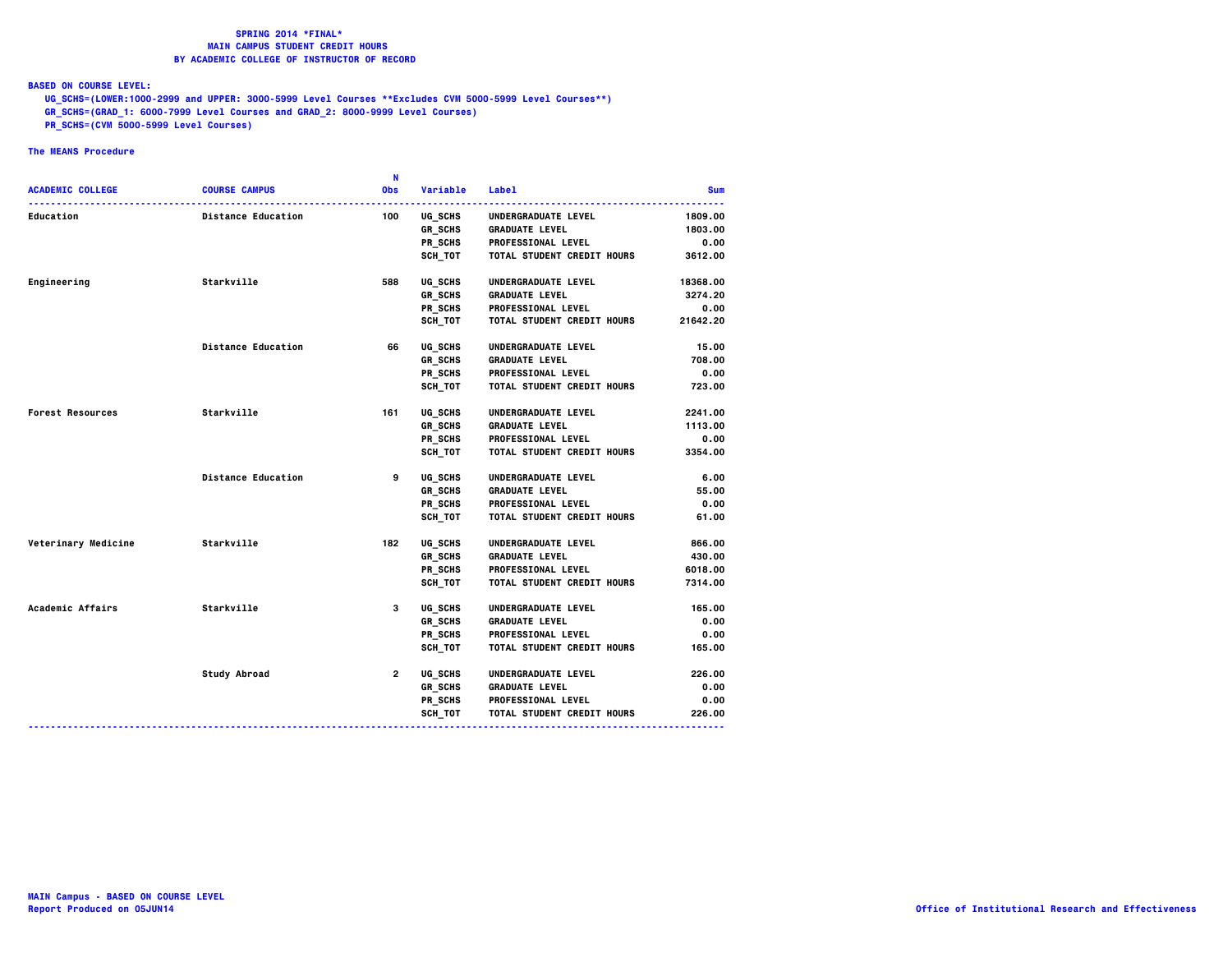**BASED ON COURSE LEVEL:**

 **UG\_SCHS=(LOWER:1000-2999 and UPPER: 3000-5999 Level Courses \*\*Excludes CVM 5000-5999 Level Courses\*\*)**

- **GR\_SCHS=(GRAD\_1: 6000-7999 Level Courses and GRAD\_2: 8000-9999 Level Courses)**
- **PR\_SCHS=(CVM 5000-5999 Level Courses)**

|                            |                           | N            |                |                                   |            |
|----------------------------|---------------------------|--------------|----------------|-----------------------------------|------------|
| <b>ACADEMIC COLLEGE</b>    | <b>COURSE CAMPUS</b>      | <b>Obs</b>   | Variable       | Label                             | <b>Sum</b> |
| <b>Education</b>           | <b>Distance Education</b> | 100          | <b>UG SCHS</b> | UNDERGRADUATE LEVEL               | 1809.00    |
|                            |                           |              | GR_SCHS        | <b>GRADUATE LEVEL</b>             | 1803.00    |
|                            |                           |              | PR_SCHS        | <b>PROFESSIONAL LEVEL</b>         | 0.00       |
|                            |                           |              | SCH TOT        | <b>TOTAL STUDENT CREDIT HOURS</b> | 3612.00    |
| Engineering                | Starkville                | 588          | UG SCHS        | UNDERGRADUATE LEVEL               | 18368.00   |
|                            |                           |              | GR SCHS        | <b>GRADUATE LEVEL</b>             | 3274.20    |
|                            |                           |              | PR SCHS        | <b>PROFESSIONAL LEVEL</b>         | 0.00       |
|                            |                           |              | SCH TOT        | <b>TOTAL STUDENT CREDIT HOURS</b> | 21642.20   |
|                            | <b>Distance Education</b> | 66           | UG SCHS        | UNDERGRADUATE LEVEL               | 15.00      |
|                            |                           |              | GR SCHS        | <b>GRADUATE LEVEL</b>             | 708,00     |
|                            |                           |              | PR SCHS        | <b>PROFESSIONAL LEVEL</b>         | 0.00       |
|                            |                           |              | SCH_TOT        | <b>TOTAL STUDENT CREDIT HOURS</b> | 723.00     |
| <b>Forest Resources</b>    | Starkville                | 161          | UG SCHS        | UNDERGRADUATE LEVEL               | 2241.00    |
|                            |                           |              | GR_SCHS        | <b>GRADUATE LEVEL</b>             | 1113.00    |
|                            |                           |              | PR_SCHS        | <b>PROFESSIONAL LEVEL</b>         | 0.00       |
|                            |                           |              | SCH_TOT        | <b>TOTAL STUDENT CREDIT HOURS</b> | 3354.00    |
|                            | <b>Distance Education</b> | 9            | UG SCHS        | UNDERGRADUATE LEVEL               | 6.00       |
|                            |                           |              | <b>GR SCHS</b> | <b>GRADUATE LEVEL</b>             | 55.00      |
|                            |                           |              | PR_SCHS        | <b>PROFESSIONAL LEVEL</b>         | 0.00       |
|                            |                           |              | SCH_TOT        | <b>TOTAL STUDENT CREDIT HOURS</b> | 61.00      |
| <b>Veterinary Medicine</b> | Starkville                | 182          | UG_SCHS        | UNDERGRADUATE LEVEL               | 866.00     |
|                            |                           |              | GR_SCHS        | <b>GRADUATE LEVEL</b>             | 430.00     |
|                            |                           |              | PR SCHS        | <b>PROFESSIONAL LEVEL</b>         | 6018.00    |
|                            |                           |              | <b>SCH TOT</b> | <b>TOTAL STUDENT CREDIT HOURS</b> | 7314.00    |
| Academic Affairs           | Starkville                | 3            | <b>UG SCHS</b> | UNDERGRADUATE LEVEL               | 165.00     |
|                            |                           |              | GR_SCHS        | <b>GRADUATE LEVEL</b>             | 0.00       |
|                            |                           |              | PR SCHS        | <b>PROFESSIONAL LEVEL</b>         | 0.00       |
|                            |                           |              | SCH TOT        | <b>TOTAL STUDENT CREDIT HOURS</b> | 165.00     |
|                            | Study Abroad              | $\mathbf{2}$ | UG SCHS        | <b>UNDERGRADUATE LEVEL</b>        | 226.00     |
|                            |                           |              | GR_SCHS        | <b>GRADUATE LEVEL</b>             | 0.00       |
|                            |                           |              | PR SCHS        | <b>PROFESSIONAL LEVEL</b>         | 0.00       |
|                            |                           |              | SCH_TOT        | <b>TOTAL STUDENT CREDIT HOURS</b> | 226.00     |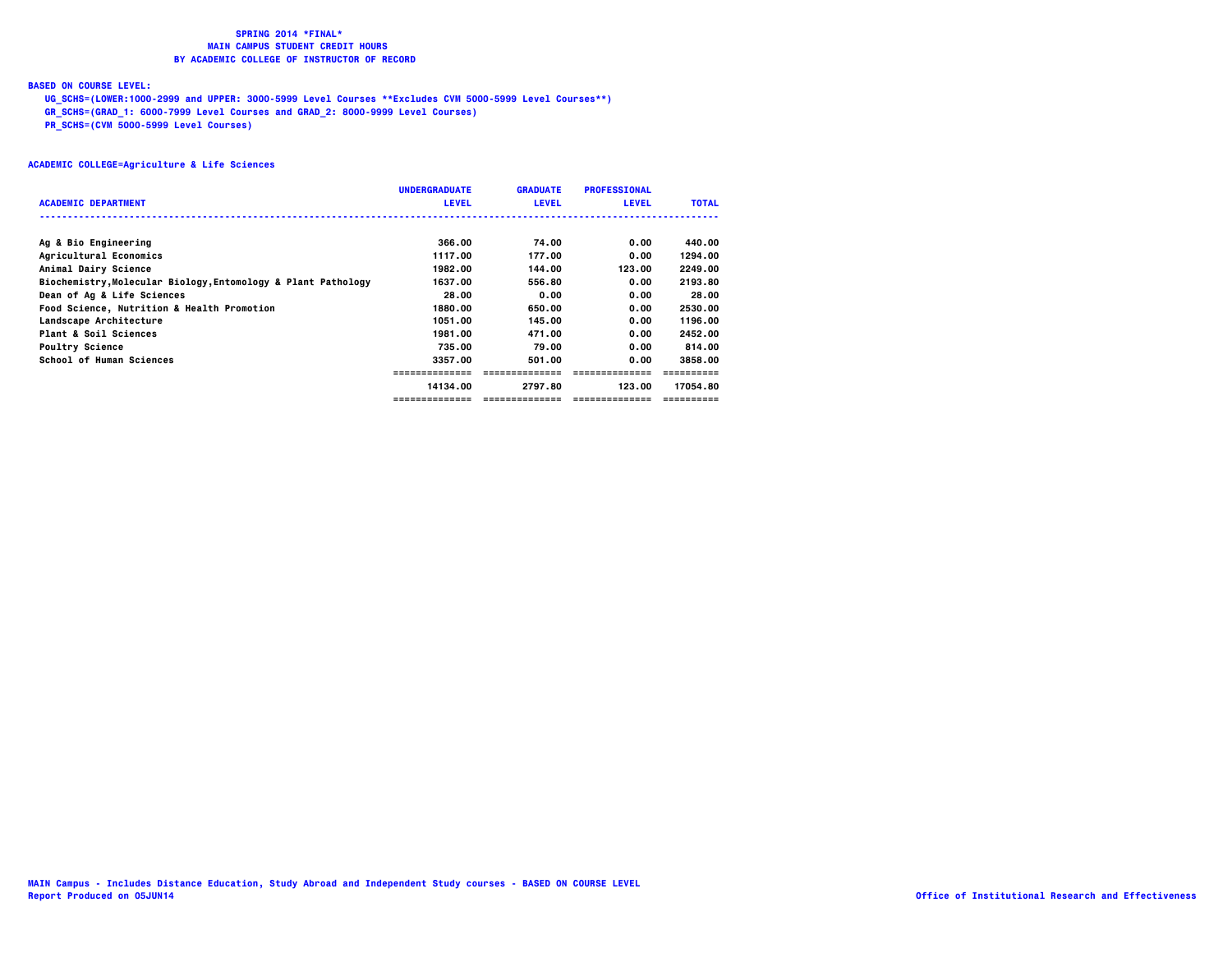### **BASED ON COURSE LEVEL:**

 **UG\_SCHS=(LOWER:1000-2999 and UPPER: 3000-5999 Level Courses \*\*Excludes CVM 5000-5999 Level Courses\*\*)**

 **GR\_SCHS=(GRAD\_1: 6000-7999 Level Courses and GRAD\_2: 8000-9999 Level Courses)**

 **PR\_SCHS=(CVM 5000-5999 Level Courses)**

|                                                               | <b>UNDERGRADUATE</b> | <b>GRADUATE</b> | <b>PROFESSIONAL</b> |              |
|---------------------------------------------------------------|----------------------|-----------------|---------------------|--------------|
| <b>ACADEMIC DEPARTMENT</b>                                    | <b>LEVEL</b>         | <b>LEVEL</b>    | <b>LEVEL</b>        | <b>TOTAL</b> |
|                                                               |                      |                 |                     |              |
| Ag & Bio Engineering                                          | 366.00               | 74.00           | 0.00                | 440.00       |
| Agricultural Economics                                        | 1117.00              | 177.00          | 0.00                | 1294.00      |
| Animal Dairy Science                                          | 1982.00              | 144.00          | 123.00              | 2249.00      |
| Biochemistry, Molecular Biology, Entomology & Plant Pathology | 1637.00              | 556.80          | 0.00                | 2193.80      |
| Dean of Ag & Life Sciences                                    | 28.00                | 0.00            | 0.00                | 28.00        |
| <b>Food Science, Nutrition &amp; Health Promotion</b>         | 1880.00              | 650.00          | 0.00                | 2530.00      |
| Landscape Architecture                                        | 1051.00              | 145.00          | 0.00                | 1196.00      |
| Plant & Soil Sciences                                         | 1981.00              | 471.00          | 0.00                | 2452.00      |
| <b>Poultry Science</b>                                        | 735.00               | 79.00           | 0.00                | 814.00       |
| School of Human Sciences                                      | 3357.00              | 501.00          | 0.00                | 3858.00      |
|                                                               | ---------------      | ==============  |                     |              |
|                                                               | 14134.00             | 2797.80         | 123.00              | 17054.80     |
|                                                               |                      |                 |                     |              |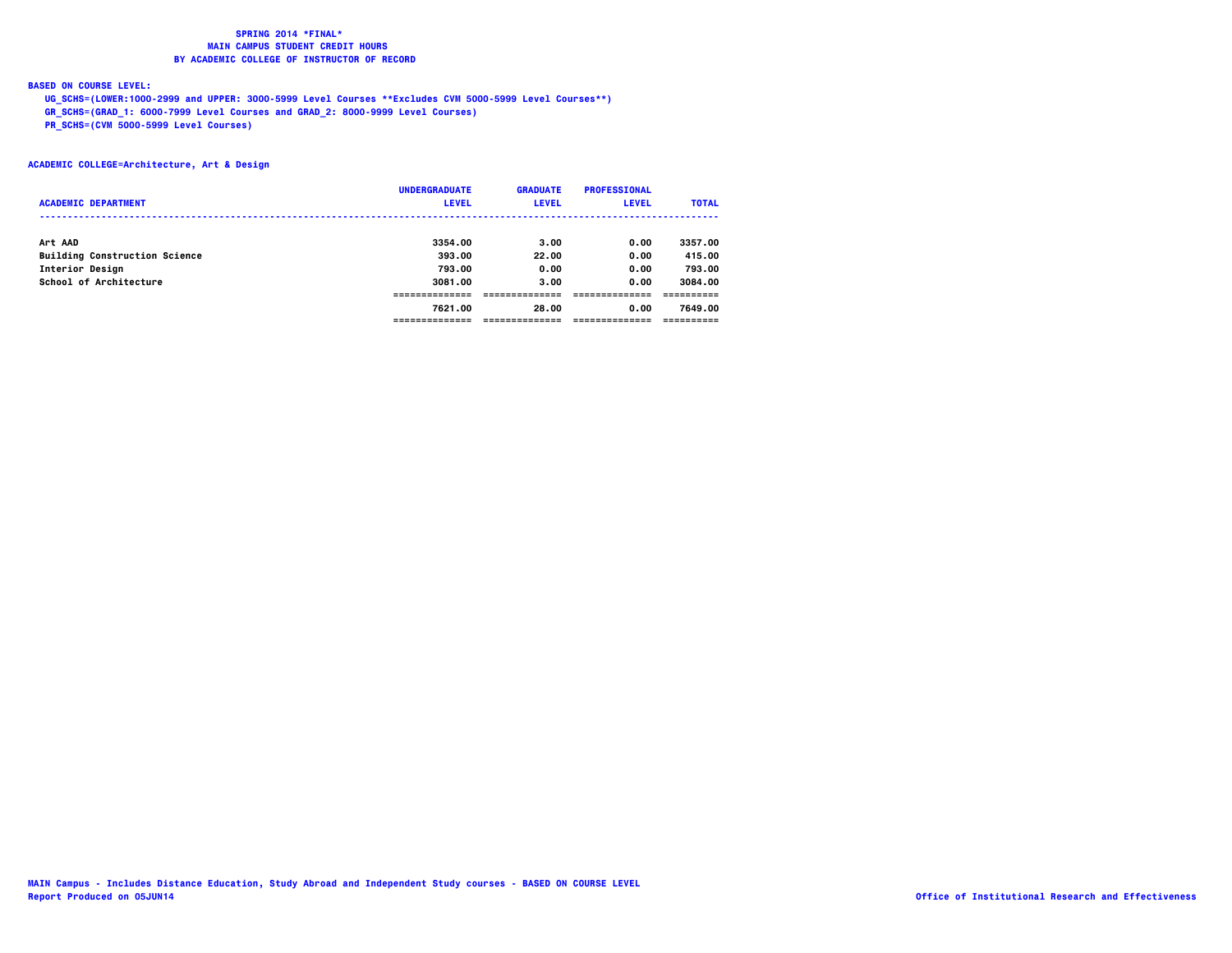### **BASED ON COURSE LEVEL:**

 **UG\_SCHS=(LOWER:1000-2999 and UPPER: 3000-5999 Level Courses \*\*Excludes CVM 5000-5999 Level Courses\*\*)**

 **GR\_SCHS=(GRAD\_1: 6000-7999 Level Courses and GRAD\_2: 8000-9999 Level Courses)**

 **PR\_SCHS=(CVM 5000-5999 Level Courses)**

### **ACADEMIC COLLEGE=Architecture, Art & Design**

|                                      | <b>UNDERGRADUATE</b> | <b>GRADUATE</b> | <b>PROFESSIONAL</b> |              |
|--------------------------------------|----------------------|-----------------|---------------------|--------------|
| <b>ACADEMIC DEPARTMENT</b>           | <b>LEVEL</b>         | <b>LEVEL</b>    | <b>LEVEL</b>        | <b>TOTAL</b> |
|                                      |                      |                 |                     |              |
| Art AAD                              | 3354.00              | 3.00            | 0.00                | 3357.00      |
| <b>Building Construction Science</b> | 393.00               | 22.00           | 0.00                | 415.00       |
| Interior Design                      | 793.00               | 0.00            | 0.00                | 793.00       |
| School of Architecture               | 3081.00              | 3.00            | 0.00                | 3084.00      |
|                                      |                      |                 |                     |              |
|                                      | 7621.00              | 28.00           | 0.00                | 7649.00      |
|                                      | ------------         |                 |                     |              |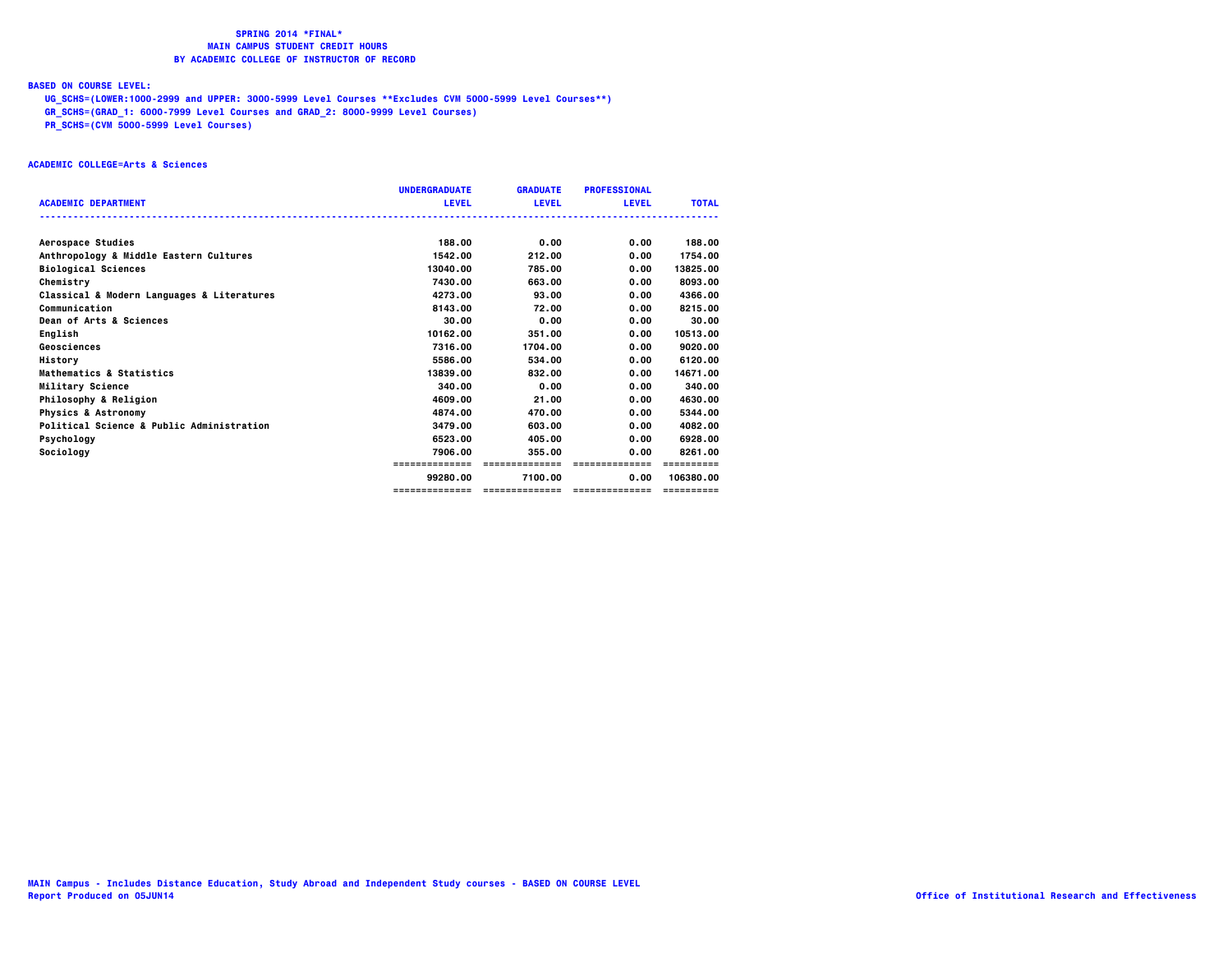### **BASED ON COURSE LEVEL:**

 **UG\_SCHS=(LOWER:1000-2999 and UPPER: 3000-5999 Level Courses \*\*Excludes CVM 5000-5999 Level Courses\*\*)**

 **GR\_SCHS=(GRAD\_1: 6000-7999 Level Courses and GRAD\_2: 8000-9999 Level Courses)**

 **PR\_SCHS=(CVM 5000-5999 Level Courses)**

### **ACADEMIC COLLEGE=Arts & Sciences**

|                                            | <b>UNDERGRADUATE</b> | <b>GRADUATE</b> | <b>PROFESSIONAL</b> |              |
|--------------------------------------------|----------------------|-----------------|---------------------|--------------|
| <b>ACADEMIC DEPARTMENT</b>                 | <b>LEVEL</b>         | <b>LEVEL</b>    | <b>LEVEL</b>        | <b>TOTAL</b> |
|                                            |                      |                 |                     |              |
| Aerospace Studies                          | 188.00               | 0.00            | 0.00                | 188.00       |
| Anthropology & Middle Eastern Cultures     | 1542.00              | 212.00          | 0.00                | 1754.00      |
| <b>Biological Sciences</b>                 | 13040.00             | 785.00          | 0.00                | 13825.00     |
| Chemistry                                  | 7430.00              | 663.00          | 0.00                | 8093.00      |
| Classical & Modern Languages & Literatures | 4273.00              | 93.00           | 0.00                | 4366.00      |
| Communication                              | 8143.00              | 72.00           | 0.00                | 8215,00      |
| Dean of Arts & Sciences                    | 30.00                | 0.00            | 0.00                | 30.00        |
| English                                    | 10162.00             | 351.00          | 0.00                | 10513.00     |
| Geosciences                                | 7316.00              | 1704.00         | 0.00                | 9020.00      |
| History                                    | 5586.00              | 534.00          | 0.00                | 6120.00      |
| Mathematics & Statistics                   | 13839.00             | 832.00          | 0.00                | 14671.00     |
| Military Science                           | 340.00               | 0.00            | 0.00                | 340.00       |
| Philosophy & Religion                      | 4609.00              | 21.00           | 0.00                | 4630.00      |
| <b>Physics &amp; Astronomy</b>             | 4874.00              | 470.00          | 0.00                | 5344.00      |
| Political Science & Public Administration  | 3479.00              | 603.00          | 0.00                | 4082.00      |
| Psychology                                 | 6523.00              | 405.00          | 0.00                | 6928.00      |
| Sociology                                  | 7906.00              | 355.00          | 0.00                | 8261.00      |
|                                            | =============        | ==============  | ==============      |              |
|                                            | 99280.00             | 7100.00         | 0.00                | 106380.00    |
|                                            | ==============       | --------------- | ---------------     | ==========   |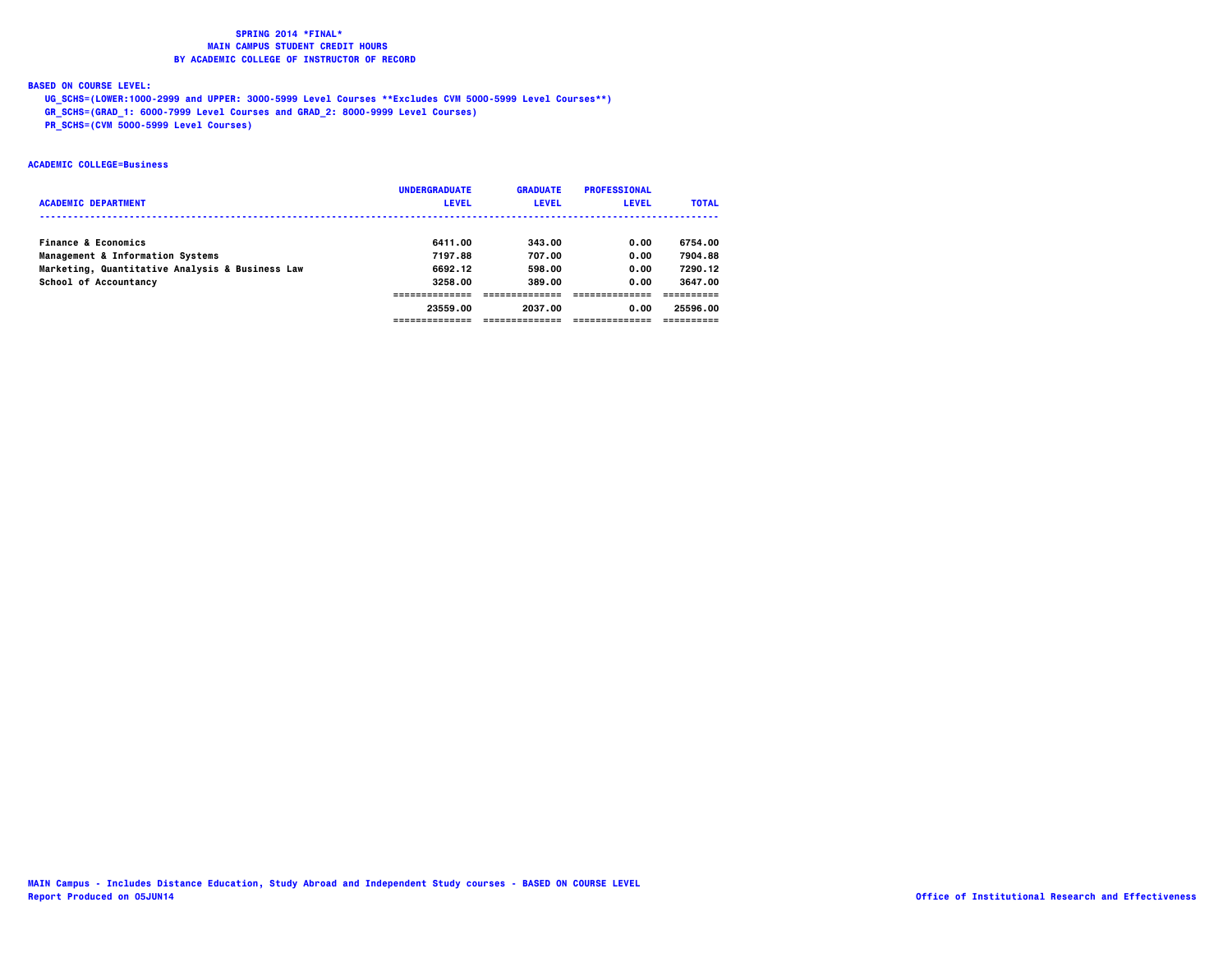### **BASED ON COURSE LEVEL:**

 **UG\_SCHS=(LOWER:1000-2999 and UPPER: 3000-5999 Level Courses \*\*Excludes CVM 5000-5999 Level Courses\*\*)**

 **GR\_SCHS=(GRAD\_1: 6000-7999 Level Courses and GRAD\_2: 8000-9999 Level Courses)**

 **PR\_SCHS=(CVM 5000-5999 Level Courses)**

### **ACADEMIC COLLEGE=Business**

|                                                 | <b>UNDERGRADUATE</b> | <b>GRADUATE</b> | <b>PROFESSIONAL</b> |              |
|-------------------------------------------------|----------------------|-----------------|---------------------|--------------|
| <b>ACADEMIC DEPARTMENT</b>                      | <b>LEVEL</b>         | <b>LEVEL</b>    | <b>LEVEL</b>        | <b>TOTAL</b> |
|                                                 |                      |                 |                     |              |
| <b>Finance &amp; Economics</b>                  | 6411.00              | 343.00          | 0.00                | 6754.00      |
| Management & Information Systems                | 7197.88              | 707.00          | 0.00                | 7904.88      |
| Marketing, Quantitative Analysis & Business Law | 6692.12              | 598.00          | 0.00                | 7290.12      |
| School of Accountancy                           | 3258.00              | 389.00          | 0.00                | 3647.00      |
|                                                 |                      |                 |                     |              |
|                                                 | 23559.00             | 2037.00         | 0.00                | 25596.00     |
|                                                 |                      |                 |                     |              |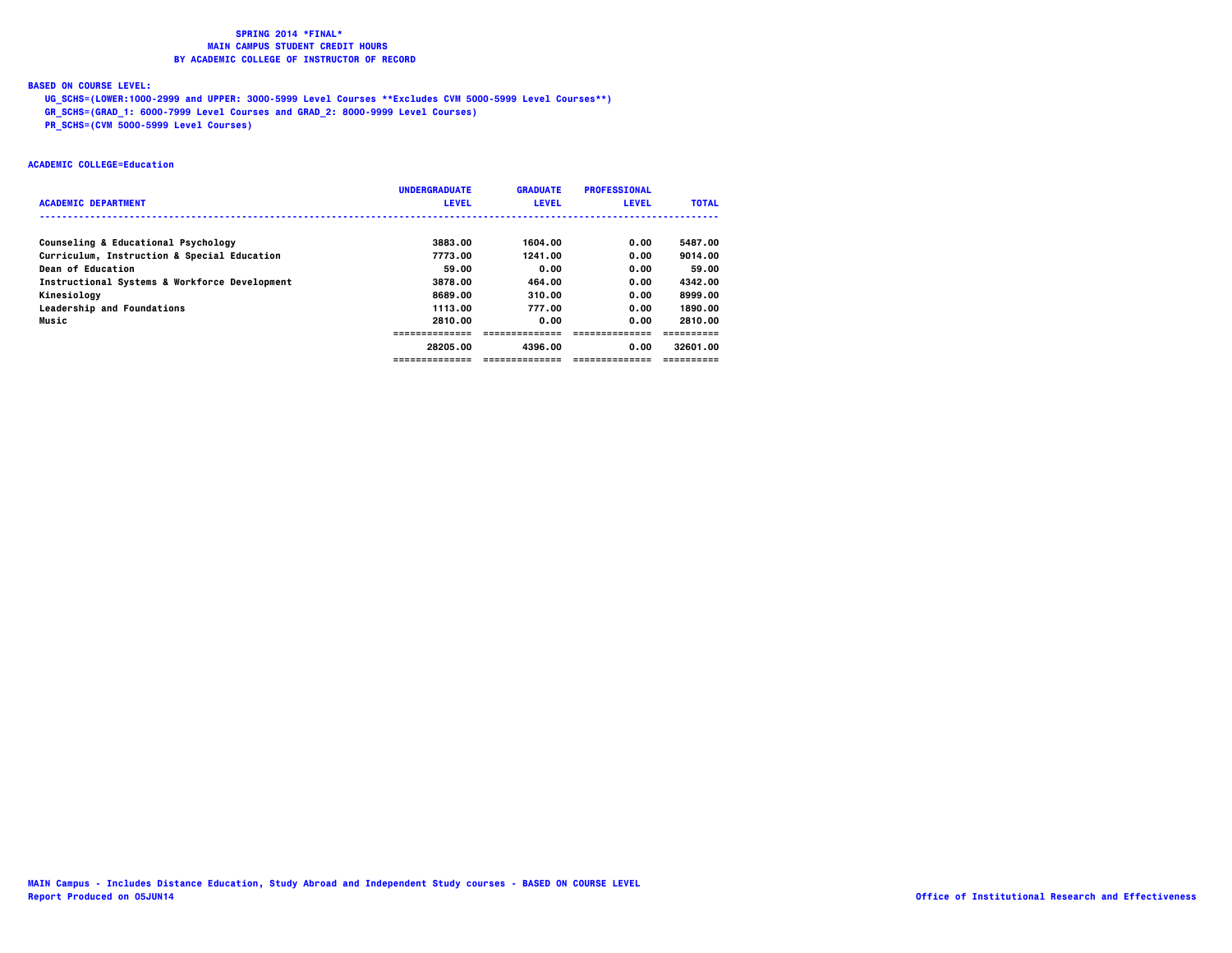### **BASED ON COURSE LEVEL:**

 **UG\_SCHS=(LOWER:1000-2999 and UPPER: 3000-5999 Level Courses \*\*Excludes CVM 5000-5999 Level Courses\*\*)**

 **GR\_SCHS=(GRAD\_1: 6000-7999 Level Courses and GRAD\_2: 8000-9999 Level Courses)**

 **PR\_SCHS=(CVM 5000-5999 Level Courses)**

### **ACADEMIC COLLEGE=Education**

|                                               | <b>UNDERGRADUATE</b> | <b>GRADUATE</b> | <b>PROFESSIONAL</b> |              |
|-----------------------------------------------|----------------------|-----------------|---------------------|--------------|
| <b>ACADEMIC DEPARTMENT</b>                    | <b>LEVEL</b>         | <b>LEVEL</b>    | <b>LEVEL</b>        | <b>TOTAL</b> |
|                                               |                      |                 |                     |              |
| Counseling & Educational Psychology           | 3883.00              | 1604.00         | 0.00                | 5487.00      |
| Curriculum, Instruction & Special Education   | 7773.00              | 1241.00         | 0.00                | 9014.00      |
| Dean of Education                             | 59.00                | 0.00            | 0.00                | 59.00        |
| Instructional Systems & Workforce Development | 3878.00              | 464.00          | 0.00                | 4342.00      |
| Kinesiology                                   | 8689.00              | 310.00          | 0.00                | 8999.00      |
| <b>Leadership and Foundations</b>             | 1113.00              | 777.00          | 0.00                | 1890.00      |
| Music                                         | 2810.00              | 0.00            | 0.00                | 2810.00      |
|                                               |                      |                 |                     |              |
|                                               | 28205.00             | 4396.00         | 0.00                | 32601.00     |
|                                               | ---------------      | --------------- |                     |              |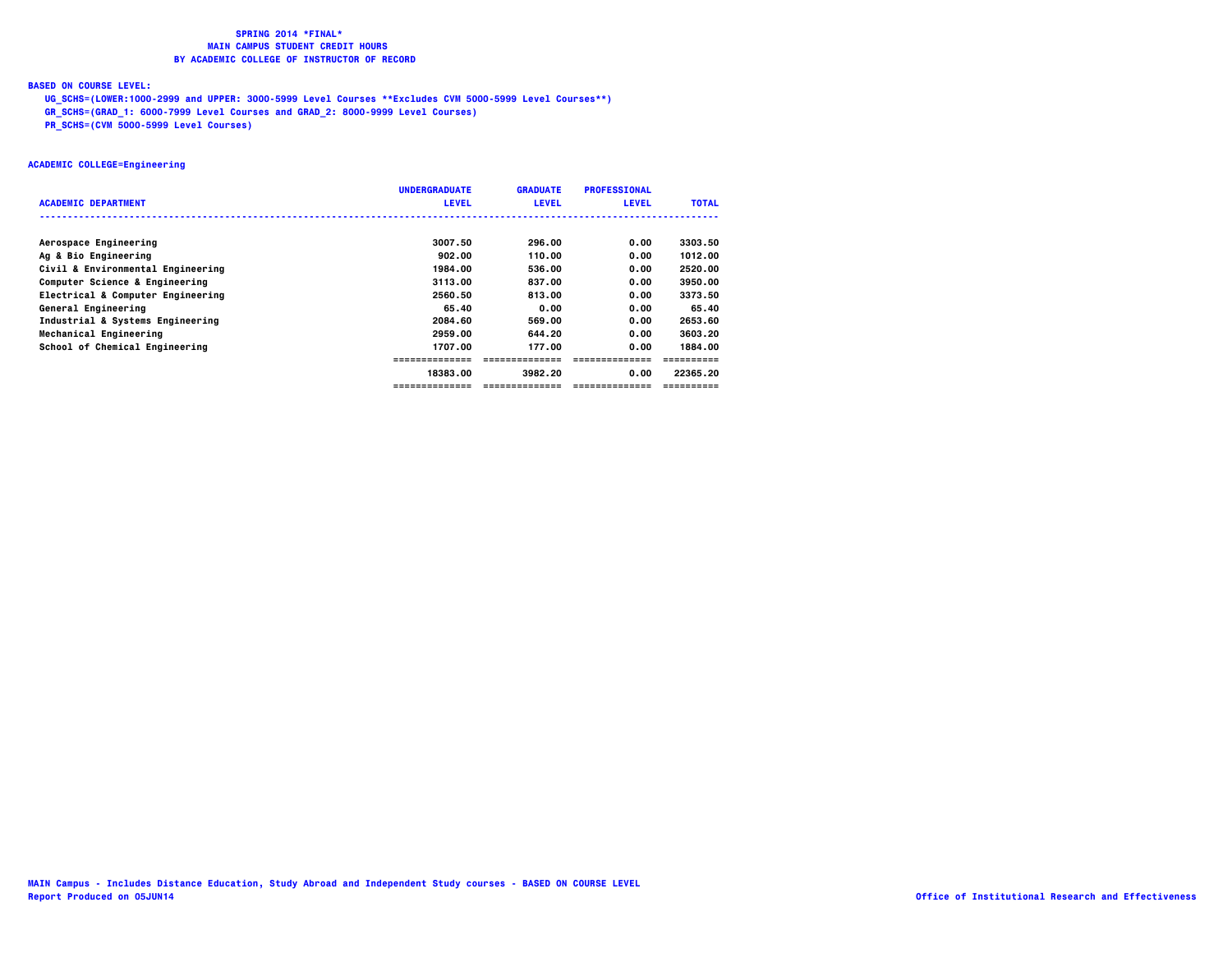### **BASED ON COURSE LEVEL:**

 **UG\_SCHS=(LOWER:1000-2999 and UPPER: 3000-5999 Level Courses \*\*Excludes CVM 5000-5999 Level Courses\*\*)**

 **GR\_SCHS=(GRAD\_1: 6000-7999 Level Courses and GRAD\_2: 8000-9999 Level Courses)**

 **PR\_SCHS=(CVM 5000-5999 Level Courses)**

### **ACADEMIC COLLEGE=Engineering**

|                                   | <b>UNDERGRADUATE</b> | <b>GRADUATE</b> | <b>PROFESSIONAL</b> |              |
|-----------------------------------|----------------------|-----------------|---------------------|--------------|
| <b>ACADEMIC DEPARTMENT</b>        | <b>LEVEL</b>         | <b>LEVEL</b>    | <b>LEVEL</b>        | <b>TOTAL</b> |
|                                   |                      |                 |                     |              |
| Aerospace Engineering             | 3007.50              | 296.00          | 0.00                | 3303.50      |
| Ag & Bio Engineering              | 902.00               | 110.00          | 0.00                | 1012.00      |
| Civil & Environmental Engineering | 1984.00              | 536.00          | 0.00                | 2520.00      |
| Computer Science & Engineering    | 3113.00              | 837.00          | 0.00                | 3950.00      |
| Electrical & Computer Engineering | 2560.50              | 813.00          | 0.00                | 3373.50      |
| General Engineering               | 65.40                | 0.00            | 0.00                | 65.40        |
| Industrial & Systems Engineering  | 2084.60              | 569.00          | 0.00                | 2653.60      |
| Mechanical Engineering            | 2959.00              | 644.20          | 0.00                | 3603.20      |
| School of Chemical Engineering    | 1707.00              | 177.00          | 0.00                | 1884.00      |
|                                   |                      |                 |                     |              |
|                                   | 18383.00             | 3982.20         | 0.00                | 22365.20     |
|                                   | =============        | =============   |                     |              |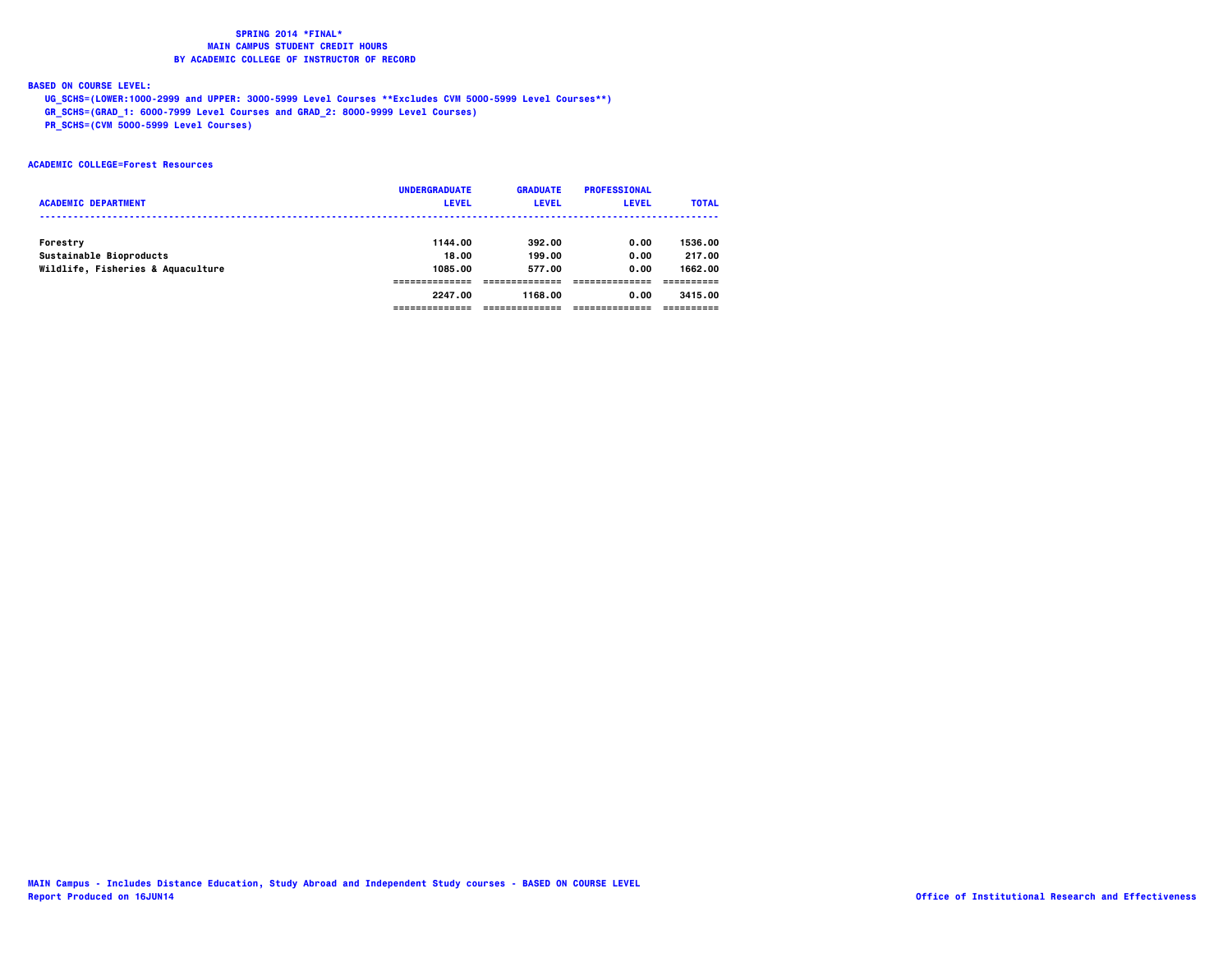### **BASED ON COURSE LEVEL:**

 **UG\_SCHS=(LOWER:1000-2999 and UPPER: 3000-5999 Level Courses \*\*Excludes CVM 5000-5999 Level Courses\*\*)**

 **GR\_SCHS=(GRAD\_1: 6000-7999 Level Courses and GRAD\_2: 8000-9999 Level Courses)**

 **PR\_SCHS=(CVM 5000-5999 Level Courses)**

### **ACADEMIC COLLEGE=Forest Resources**

|                                   | <b>UNDERGRADUATE</b> | <b>GRADUATE</b> | <b>PROFESSIONAL</b> |              |
|-----------------------------------|----------------------|-----------------|---------------------|--------------|
| <b>ACADEMIC DEPARTMENT</b>        | <b>LEVEL</b>         | <b>LEVEL</b>    | <b>LEVEL</b>        | <b>TOTAL</b> |
|                                   |                      |                 |                     |              |
| Forestry                          | 1144.00              | 392.00          | 0.00                | 1536.00      |
| Sustainable Bioproducts           | 18.00                | 199.00          | 0.00                | 217.00       |
| Wildlife, Fisheries & Aquaculture | 1085.00              | 577.00          | 0.00                | 1662.00      |
|                                   |                      |                 |                     |              |
|                                   | 2247.00              | 1168.00         | 0.00                | 3415.00      |
|                                   |                      |                 |                     |              |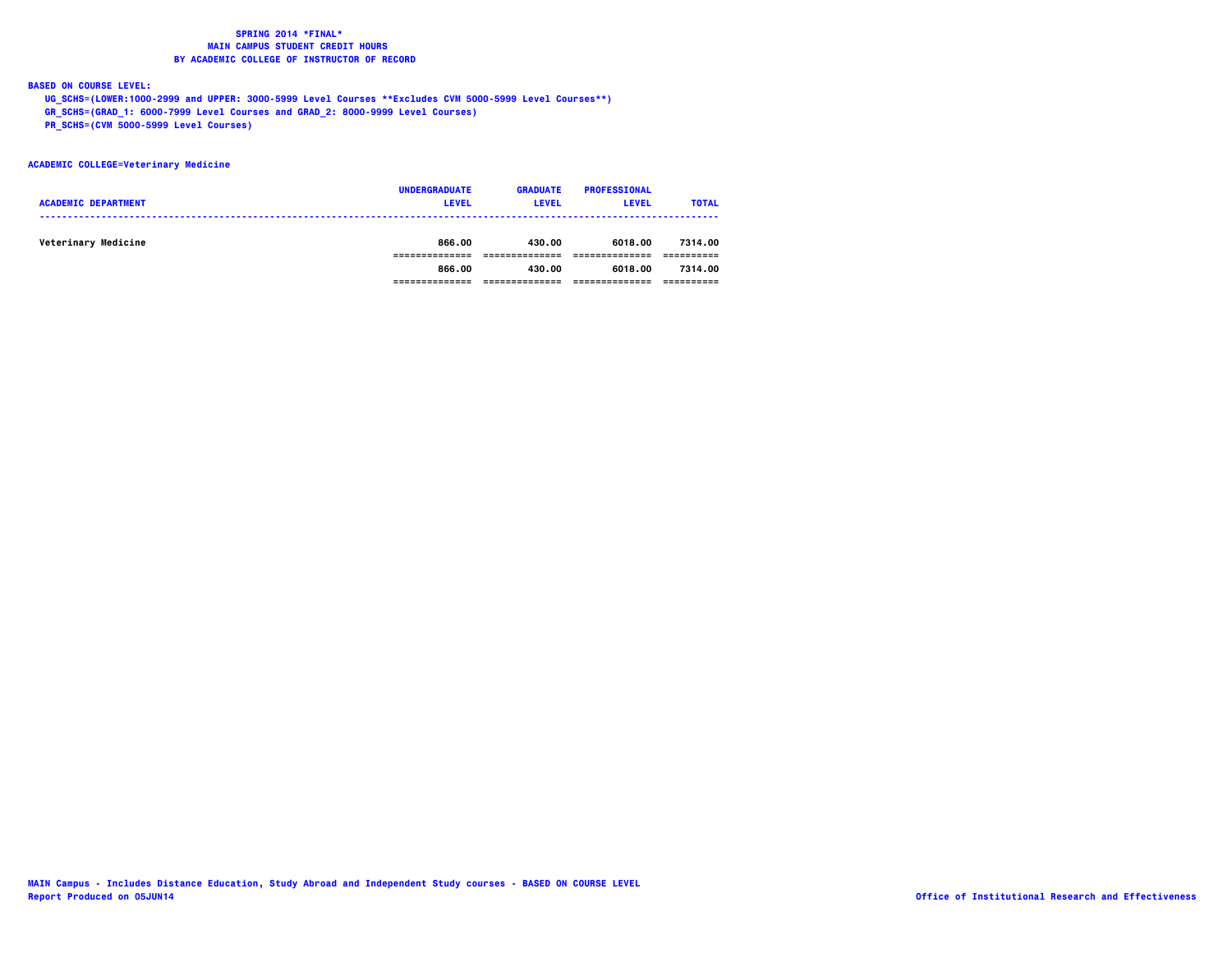**BASED ON COURSE LEVEL:**

 **UG\_SCHS=(LOWER:1000-2999 and UPPER: 3000-5999 Level Courses \*\*Excludes CVM 5000-5999 Level Courses\*\*)**

 **GR\_SCHS=(GRAD\_1: 6000-7999 Level Courses and GRAD\_2: 8000-9999 Level Courses)**

 **PR\_SCHS=(CVM 5000-5999 Level Courses)**

### **ACADEMIC COLLEGE=Veterinary Medicine**

| <b>ACADEMIC DEPARTMENT</b> | <b>UNDERGRADUATE</b><br><b>LEVEL</b> | <b>GRADUATE</b><br><b>LEVEL</b> | <b>PROFESSIONAL</b><br><b>LEVEL</b> | <b>TOTAL</b> |
|----------------------------|--------------------------------------|---------------------------------|-------------------------------------|--------------|
| Veterinary Medicine        | 866.00                               | 430.00                          | 6018.00                             | 7314.00      |
|                            | 866.00                               | 430.00                          | 6018.00                             | 7314.00      |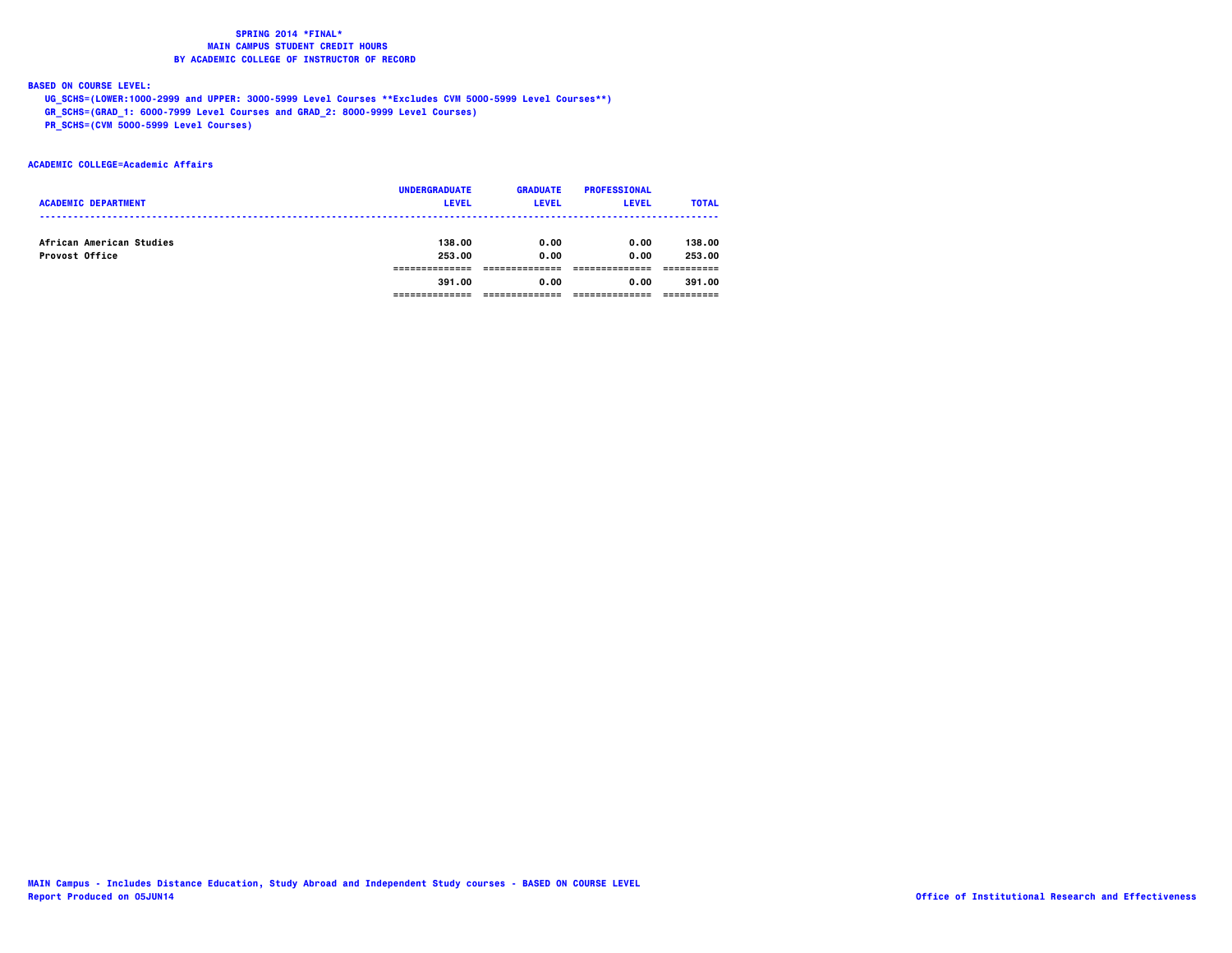### **BASED ON COURSE LEVEL:**

 **UG\_SCHS=(LOWER:1000-2999 and UPPER: 3000-5999 Level Courses \*\*Excludes CVM 5000-5999 Level Courses\*\*)**

 **GR\_SCHS=(GRAD\_1: 6000-7999 Level Courses and GRAD\_2: 8000-9999 Level Courses)**

 **PR\_SCHS=(CVM 5000-5999 Level Courses)**

### **ACADEMIC COLLEGE=Academic Affairs**

| <b>UNDERGRADUATE</b> | <b>GRADUATE</b> | <b>PROFESSIONAL</b> |              |
|----------------------|-----------------|---------------------|--------------|
|                      |                 |                     | <b>TOTAL</b> |
|                      |                 |                     |              |
| 138.00               | 0.00            | 0.00                | 138.00       |
| 253.00               | 0.00            | 0.00                | 253.00       |
|                      |                 |                     |              |
| 391.00               | 0.00            | 0.00                | 391.00       |
|                      |                 |                     |              |
|                      | <b>LEVEL</b>    | <b>LEVEL</b>        | <b>LEVEL</b> |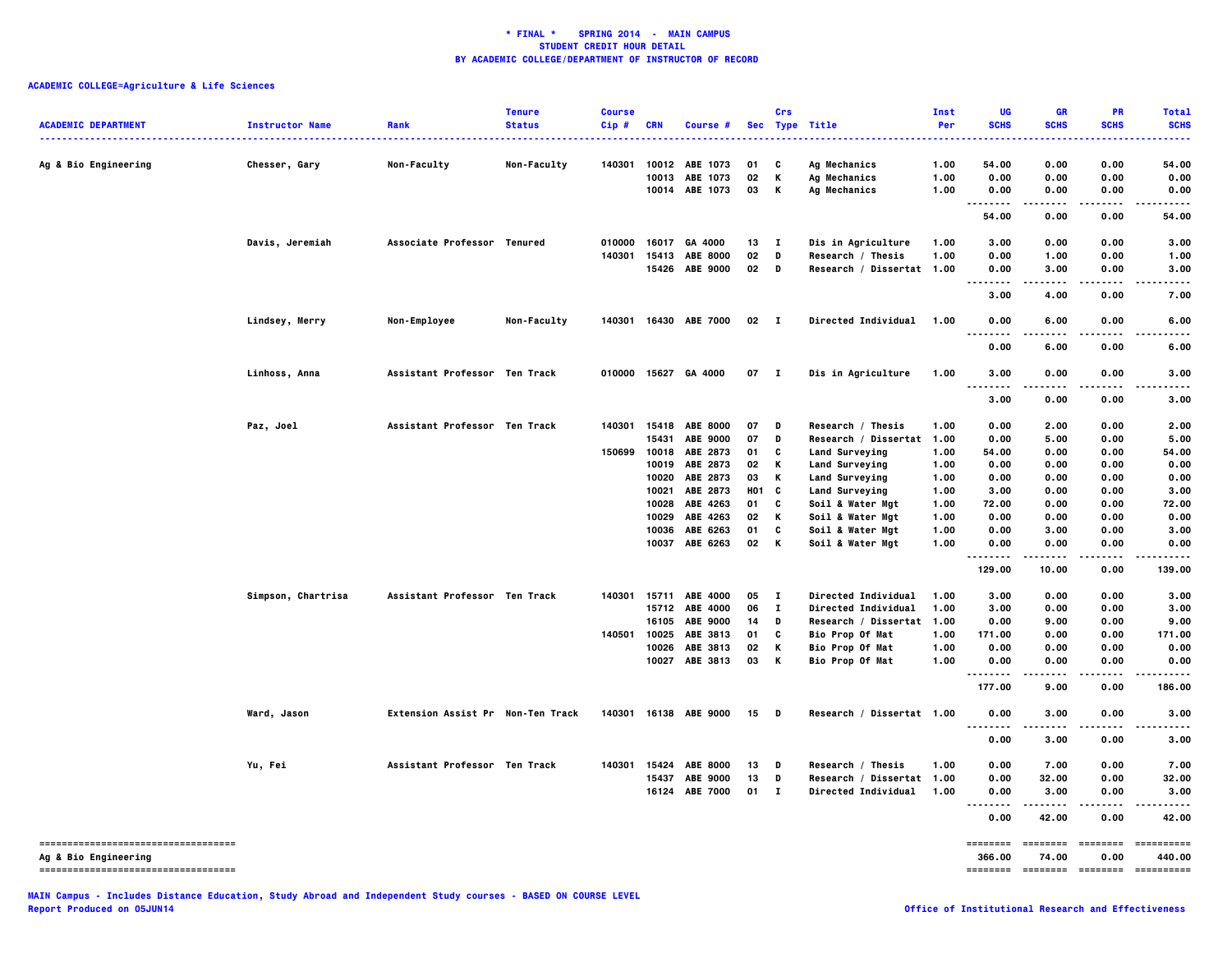| <b>ACADEMIC DEPARTMENT</b>                                 | <b>Instructor Name</b> | Rank                              | <b>Tenure</b><br><b>Status</b> | <b>Course</b><br>Cip# | <b>CRN</b> | Course #              |              | Crs          | Sec Type Title            | Inst<br>Per  | UG<br><b>SCHS</b>            | <b>GR</b><br><b>SCHS</b> | <b>PR</b><br><b>SCHS</b> | <b>Total</b><br><b>SCHS</b> |
|------------------------------------------------------------|------------------------|-----------------------------------|--------------------------------|-----------------------|------------|-----------------------|--------------|--------------|---------------------------|--------------|------------------------------|--------------------------|--------------------------|-----------------------------|
| Ag & Bio Engineering                                       | Chesser, Gary          | Non-Faculty                       | Non-Faculty                    | 140301                | 10012      | ABE 1073              | 01           | C            | Ag Mechanics              | 1.00         | 54.00                        | 0.00                     | 0.00                     | 54.00                       |
|                                                            |                        |                                   |                                |                       | 10013      | ABE 1073              | 02           | К            | Ag Mechanics              | 1.00         | 0.00                         | 0.00                     | 0.00                     | 0.00                        |
|                                                            |                        |                                   |                                |                       |            | 10014 ABE 1073        | 03           | К            | <b>Ag Mechanics</b>       | 1.00         | 0.00<br>--------             | 0.00<br>.                | 0.00<br>.                | 0.00                        |
|                                                            |                        |                                   |                                |                       |            |                       |              |              |                           |              | 54.00                        | 0.00                     | 0.00                     | 54.00                       |
|                                                            | Davis, Jeremiah        | Associate Professor Tenured       |                                | 010000                | 16017      | GA 4000               | 13           | $\mathbf{I}$ | Dis in Agriculture        | 1.00         | 3.00                         | 0.00                     | 0.00                     | 3.00                        |
|                                                            |                        |                                   |                                | 140301                | 15413      | <b>ABE 8000</b>       | 02           | D            | Research / Thesis         | 1.00         | 0.00                         | 1.00                     | 0.00                     | 1.00                        |
|                                                            |                        |                                   |                                |                       | 15426      | <b>ABE 9000</b>       | 02           | D            | Research / Dissertat 1.00 |              | 0.00<br>$\sim$ $\sim$        | 3.00<br>$- - - -$        | 0.00                     | 3.00                        |
|                                                            |                        |                                   |                                |                       |            |                       |              |              |                           |              | 3.00                         | 4.00                     | 0.00                     | 7.00                        |
|                                                            | Lindsey, Merry         | Non-Employee                      | Non-Faculty                    |                       |            | 140301 16430 ABE 7000 | 02           | $\mathbf{I}$ | Directed Individual 1.00  |              | 0.00<br>$\ddot{\phantom{a}}$ | 6.00                     | 0.00                     | 6.00                        |
|                                                            |                        |                                   |                                |                       |            |                       |              |              |                           |              | 0.00                         | 6.00                     | 0.00                     | 6.00                        |
|                                                            | Linhoss, Anna          | Assistant Professor Ten Track     |                                | 010000                | 15627      | GA 4000               | 07           | - 1          | Dis in Agriculture        | 1.00         | 3.00<br>٠.                   | 0.00                     | 0.00                     | 3.00                        |
|                                                            |                        |                                   |                                |                       |            |                       |              |              |                           |              | 3.00                         | 0.00                     | 0.00                     | 3.00                        |
|                                                            | Paz, Joel              | Assistant Professor Ten Track     |                                | 140301                |            | 15418 ABE 8000        | 07           | D            | Research / Thesis         | 1.00         | 0.00                         | 2.00                     | 0.00                     | 2.00                        |
|                                                            |                        |                                   |                                |                       | 15431      | <b>ABE 9000</b>       | 07           | D            | Research / Dissertat 1.00 |              | 0.00                         | 5.00                     | 0.00                     | 5.00                        |
|                                                            |                        |                                   |                                | 150699                |            | 10018 ABE 2873        | 01           | C            | Land Surveying            | 1.00         | 54.00                        | 0.00                     | 0.00                     | 54.00                       |
|                                                            |                        |                                   |                                |                       | 10019      | ABE 2873              | 02           | K            | Land Surveying            | 1.00         | 0.00                         | 0.00                     | 0.00                     | 0.00                        |
|                                                            |                        |                                   |                                |                       |            | 10020 ABE 2873        | 03           | K            | <b>Land Surveying</b>     | 1.00         | 0.00                         | 0.00                     | 0.00                     | 0.00                        |
|                                                            |                        |                                   |                                |                       | 10021      | ABE 2873              | H01 C        |              | <b>Land Surveying</b>     | 1.00         | 3.00                         | 0.00                     | 0.00                     | 3.00                        |
|                                                            |                        |                                   |                                |                       | 10028      | ABE 4263              | 01           | C            | Soil & Water Mgt          | 1.00         | 72.00                        | 0.00                     | 0.00                     | 72.00                       |
|                                                            |                        |                                   |                                |                       | 10029      | ABE 4263              | 02           | К            | Soil & Water Mgt          | 1.00         | 0.00                         | 0.00                     | 0.00                     | 0.00                        |
|                                                            |                        |                                   |                                |                       |            | 10036 ABE 6263        | 01<br>02     | C<br>K       | Soil & Water Mgt          | 1.00<br>1.00 | 0.00                         | 3.00<br>0.00             | 0.00<br>0.00             | 3.00<br>0.00                |
|                                                            |                        |                                   |                                |                       |            | 10037 ABE 6263        |              |              | Soil & Water Mgt          |              | 0.00<br>--------             | -----                    | .                        |                             |
|                                                            |                        |                                   |                                |                       |            |                       |              |              |                           |              | 129.00                       | 10.00                    | 0.00                     | 139.00                      |
|                                                            | Simpson, Chartrisa     | Assistant Professor Ten Track     |                                |                       |            | 140301 15711 ABE 4000 | 05           | $\mathbf{I}$ | Directed Individual       | 1.00         | 3.00                         | 0.00                     | 0.00                     | 3.00                        |
|                                                            |                        |                                   |                                |                       | 15712      | ABE 4000              | 06           | $\bf{I}$     | Directed Individual       | 1.00         | 3.00                         | 0.00                     | 0.00                     | 3.00                        |
|                                                            |                        |                                   |                                |                       | 16105      | <b>ABE 9000</b>       | 14           | D            | Research / Dissertat 1.00 |              | 0.00                         | 9.00                     | 0.00                     | 9.00                        |
|                                                            |                        |                                   |                                | 140501                | 10025      | ABE 3813              | 01           | C            | <b>Bio Prop Of Mat</b>    | 1.00         | 171.00                       | 0.00                     | 0.00                     | 171.00                      |
|                                                            |                        |                                   |                                |                       | 10026      | ABE 3813              | 02           | К            | <b>Bio Prop Of Mat</b>    | 1.00         | 0.00                         | 0.00                     | 0.00                     | 0.00                        |
|                                                            |                        |                                   |                                |                       | 10027      | ABE 3813              | 03           | К            | <b>Bio Prop Of Mat</b>    | 1.00         | 0.00<br>.                    | 0.00<br>.                | 0.00<br>.                | 0.00                        |
|                                                            |                        |                                   |                                |                       |            |                       |              |              |                           |              | 177.00                       | 9.00                     | 0.00                     | 186.00                      |
|                                                            | Ward, Jason            | Extension Assist Pr Non-Ten Track |                                | 140301                |            | 16138 ABE 9000        | 15           | D            | Research / Dissertat 1.00 |              | 0.00                         | 3.00                     | 0.00                     | 3.00                        |
|                                                            |                        |                                   |                                |                       |            |                       |              |              |                           |              | 0.00                         | 3.00                     | 0.00                     | 3.00                        |
|                                                            | Yu, Fei                | Assistant Professor Ten Track     |                                | 140301                | 15424      | <b>ABE 8000</b>       | 13           | D            | Research / Thesis         | 1.00         | 0.00                         | 7.00                     | 0.00                     | 7.00                        |
|                                                            |                        |                                   |                                |                       | 15437      | <b>ABE 9000</b>       | 13           | D            | Research / Dissertat 1.00 |              | 0.00                         | 32.00                    | 0.00                     | 32.00                       |
|                                                            |                        |                                   |                                |                       |            | 16124 ABE 7000        | $01 \quad I$ |              | Directed Individual 1.00  |              | 0.00                         | 3.00                     | 0.00                     | 3.00                        |
|                                                            |                        |                                   |                                |                       |            |                       |              |              |                           |              | 0.00                         | 42.00                    | 0.00                     | 42.00                       |
| ----------------------------------<br>Ag & Bio Engineering |                        |                                   |                                |                       |            |                       |              |              |                           |              | ========<br>366.00           | ========<br>74.00        | ========<br>0.00         | 440.00                      |
| ------------------------------------                       |                        |                                   |                                |                       |            |                       |              |              |                           |              | ========                     | <b>EDEDEDER</b>          |                          | ==========                  |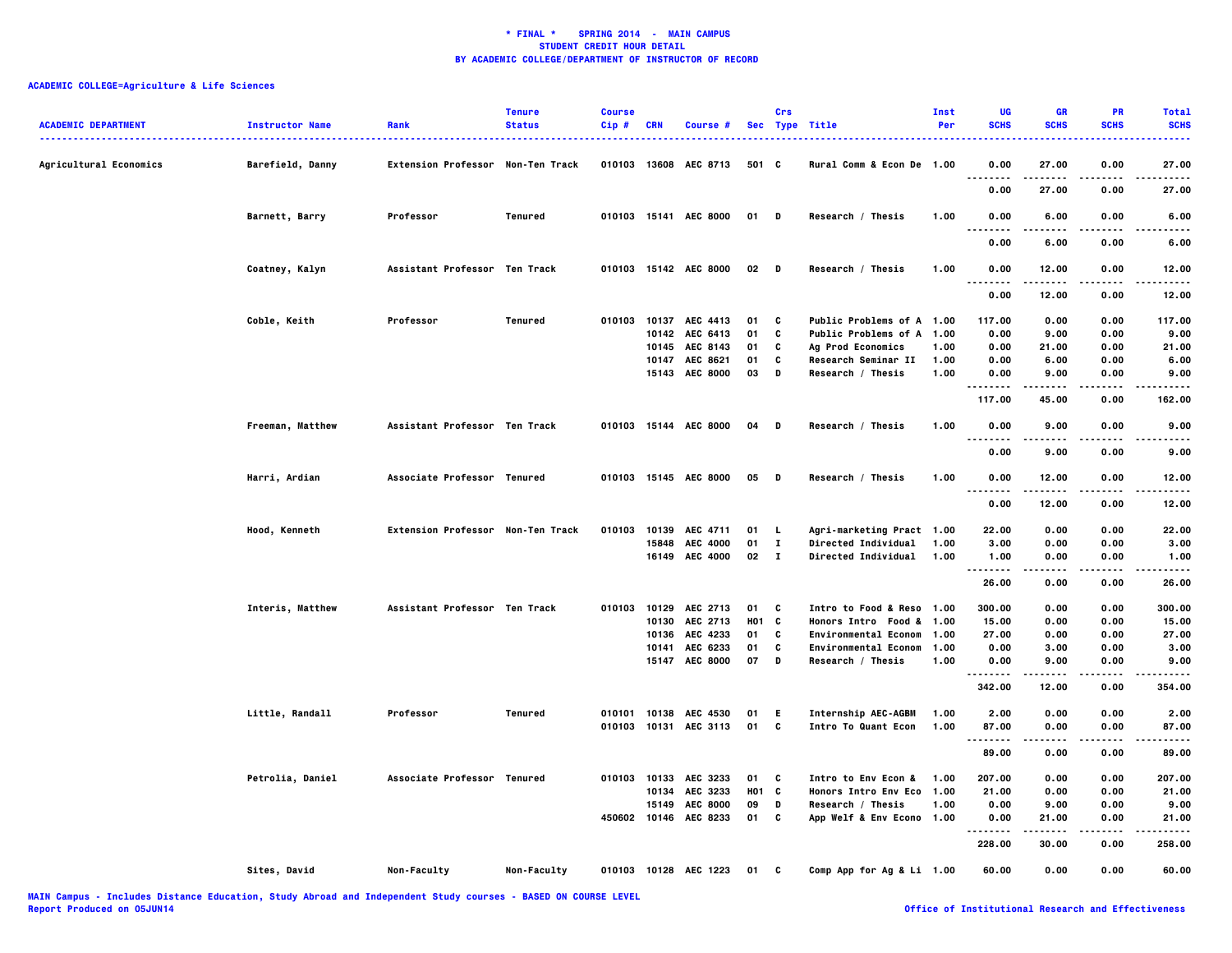| <b>ACADEMIC DEPARTMENT</b> | <b>Instructor Name</b> | Rank                              | <b>Tenure</b><br><b>Status</b> | <b>Course</b><br>$Cip$ # | <b>CRN</b> | Course #              |        | Crs          | Sec Type Title             | Inst<br>Per | UG<br><b>SCHS</b>            | <b>GR</b><br><b>SCHS</b> | PR<br><b>SCHS</b> | <b>Total</b><br><b>SCHS</b> |
|----------------------------|------------------------|-----------------------------------|--------------------------------|--------------------------|------------|-----------------------|--------|--------------|----------------------------|-------------|------------------------------|--------------------------|-------------------|-----------------------------|
| Agricultural Economics     | Barefield, Danny       | Extension Professor Non-Ten Track |                                |                          |            | 010103 13608 AEC 8713 | 501 C  |              | Rural Comm & Econ De 1.00  |             | 0.00                         | 27.00                    | 0.00              | 27.00                       |
|                            |                        |                                   |                                |                          |            |                       |        |              |                            |             | 0.00                         | 27.00                    | 0.00              | 27.00                       |
|                            | Barnett, Barry         | Professor                         | Tenured                        |                          |            | 010103 15141 AEC 8000 | 01 D   |              | Research / Thesis          | 1.00        | 0.00                         | 6.00                     | 0.00              | 6.00                        |
|                            |                        |                                   |                                |                          |            |                       |        |              |                            |             | 0.00                         | 6.00                     | 0.00              | 6.00                        |
|                            | Coatney, Kalyn         | Assistant Professor Ten Track     |                                |                          |            | 010103 15142 AEC 8000 | $02$ D |              | Research / Thesis          | 1.00        | 0.00<br>$\sim$ $\sim$ $\sim$ | 12.00                    | 0.00              | 12.00                       |
|                            |                        |                                   |                                |                          |            |                       |        |              |                            |             | 0.00                         | 12.00                    | 0.00              | 12.00                       |
|                            | Coble, Keith           | Professor                         | Tenured                        |                          |            | 010103 10137 AEC 4413 | 01     | C            | Public Problems of A 1.00  |             | 117.00                       | 0.00                     | 0.00              | 117.00                      |
|                            |                        |                                   |                                |                          |            | 10142 AEC 6413        | 01     | C            | Public Problems of A 1.00  |             | 0.00                         | 9.00                     | 0.00              | 9.00                        |
|                            |                        |                                   |                                |                          |            | 10145 AEC 8143        | 01     | C            | Ag Prod Economics          | 1.00        | 0.00                         | 21.00                    | 0.00              | 21.00                       |
|                            |                        |                                   |                                |                          |            | 10147 AEC 8621        | 01     | C            | Research Seminar II        | 1.00        | 0.00                         | 6.00                     | 0.00              | 6.00                        |
|                            |                        |                                   |                                |                          |            | 15143 AEC 8000        | 03     | D            | Research / Thesis          | 1.00        | 0.00<br>--------             | 9.00                     | 0.00              | 9.00                        |
|                            |                        |                                   |                                |                          |            |                       |        |              |                            |             | 117.00                       | 45.00                    | 0.00              | 162.00                      |
|                            | Freeman, Matthew       | Assistant Professor Ten Track     |                                |                          |            | 010103 15144 AEC 8000 | 04     | D            | Research / Thesis          | 1.00        | 0.00                         | 9.00                     | 0.00              | 9.00                        |
|                            |                        |                                   |                                |                          |            |                       |        |              |                            |             | 0.00                         | 9.00                     | 0.00              | 9.00                        |
|                            | Harri, Ardian          | Associate Professor Tenured       |                                |                          |            | 010103 15145 AEC 8000 | 05     | D            | Research / Thesis          | 1.00        | 0.00<br>$\ddotsc$            | 12.00                    | 0.00              | 12.00                       |
|                            |                        |                                   |                                |                          |            |                       |        |              |                            |             | 0.00                         | 12.00                    | 0.00              | 12.00                       |
|                            | Hood, Kenneth          | Extension Professor Non-Ten Track |                                | 010103                   |            | 10139 AEC 4711        | 01     | L,           | Agri-marketing Pract 1.00  |             | 22.00                        | 0.00                     | 0.00              | 22.00                       |
|                            |                        |                                   |                                |                          | 15848      | <b>AEC 4000</b>       | 01     | $\mathbf{I}$ | Directed Individual        | 1.00        | 3.00                         | 0.00                     | 0.00              | 3.00                        |
|                            |                        |                                   |                                |                          |            | 16149 AEC 4000        | 02     | $\mathbf{I}$ | <b>Directed Individual</b> | 1.00        | 1.00                         | 0.00                     | 0.00              | 1.00                        |
|                            |                        |                                   |                                |                          |            |                       |        |              |                            |             | <br>26.00                    | -----<br>0.00            | .<br>0.00         | .<br>26.00                  |
|                            | Interis, Matthew       | Assistant Professor Ten Track     |                                |                          |            | 010103 10129 AEC 2713 | 01     | C            | Intro to Food & Reso 1.00  |             | 300.00                       | 0.00                     | 0.00              | 300.00                      |
|                            |                        |                                   |                                |                          | 10130      | AEC 2713              | HO1    | C            | Honors Intro Food & 1.00   |             | 15.00                        | 0.00                     | 0.00              | 15.00                       |
|                            |                        |                                   |                                |                          | 10136      | AEC 4233              | 01     | C            | Environmental Econom 1.00  |             | 27.00                        | 0.00                     | 0.00              | 27.00                       |
|                            |                        |                                   |                                |                          | 10141      | AEC 6233              | 01     | C            | Environmental Econom 1.00  |             | 0.00                         | 3.00                     | 0.00              | 3.00                        |
|                            |                        |                                   |                                |                          |            | 15147 AEC 8000        | 07     | D            | Research / Thesis          | 1.00        | 0.00                         | 9.00                     | 0.00              | 9.00                        |
|                            |                        |                                   |                                |                          |            |                       |        |              |                            |             | .                            |                          | $\cdots$          |                             |
|                            |                        |                                   |                                |                          |            |                       |        |              |                            |             | 342.00                       | 12.00                    | 0.00              | 354.00                      |
|                            | Little, Randall        | Professor                         | Tenured                        |                          |            | 010101 10138 AEC 4530 | 01     | E.           | Internship AEC-AGBM        | 1.00        | 2.00                         | 0.00                     | 0.00              | 2.00                        |
|                            |                        |                                   |                                |                          |            | 010103 10131 AEC 3113 | 01     | C            | <b>Intro To Quant Econ</b> | 1.00        | 87.00                        | 0.00                     | 0.00              | 87.00                       |
|                            |                        |                                   |                                |                          |            |                       |        |              |                            |             | <br>89.00                    | 0.00                     | 0.00              | 89,00                       |
|                            | Petrolia, Daniel       | Associate Professor Tenured       |                                |                          |            | 010103 10133 AEC 3233 | 01     | C            | Intro to Env Econ &        | 1.00        | 207.00                       | 0.00                     | 0.00              | 207.00                      |
|                            |                        |                                   |                                |                          |            | 10134 AEC 3233        | H01 C  |              | Honors Intro Env Eco 1.00  |             | 21.00                        | 0.00                     | 0.00              | 21.00                       |
|                            |                        |                                   |                                |                          |            | 15149 AEC 8000        | 09     | D            | Research / Thesis          | 1.00        | 0.00                         | 9.00                     | 0.00              | 9.00                        |
|                            |                        |                                   |                                |                          |            | 450602 10146 AEC 8233 | 01     | C            | App Welf & Env Econo 1.00  |             | 0.00                         | 21.00                    | 0.00              | 21.00                       |
|                            |                        |                                   |                                |                          |            |                       |        |              |                            |             | <br>228.00                   | .<br>30.00               | .<br>0.00         | .<br>258.00                 |
|                            | Sites, David           | Non-Faculty                       | Non-Faculty                    |                          |            | 010103 10128 AEC 1223 | 01     | C            | Comp App for Ag & Li 1.00  |             | 60.00                        | 0.00                     | 0.00              | 60.00                       |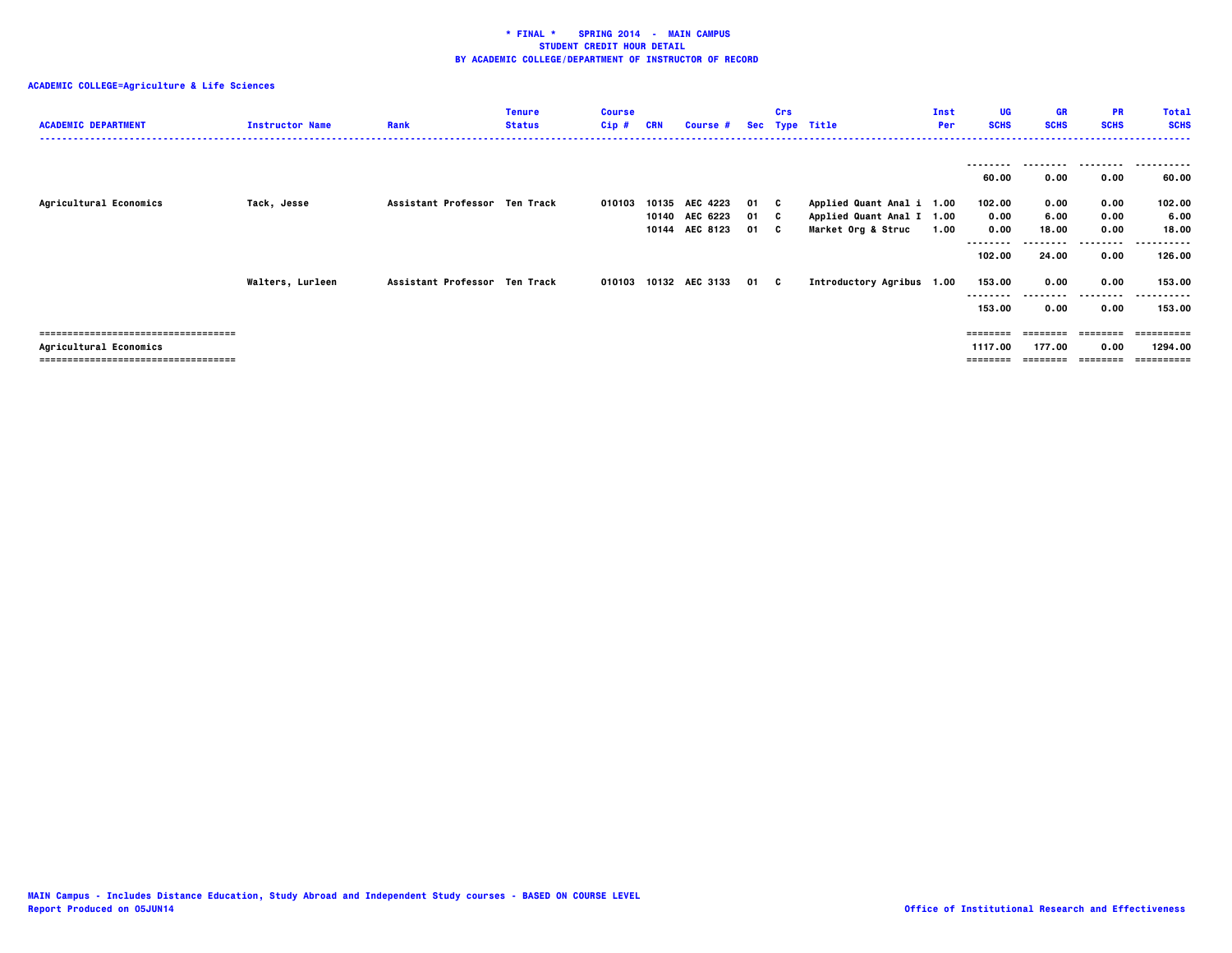| <b>ACADEMIC DEPARTMENT</b>                                   | <b>Instructor Name</b> | Rank                          | <b>Tenure</b><br><b>Status</b> | <b>Course</b><br>Cip# | CRN   | <b>Course #</b>                              |                      | Crs | Sec Type Title                                                               | Inst<br>Per | UG<br><b>SCHS</b>                  | GR<br><b>SCHS</b>     | <b>PR</b><br><b>SCHS</b> | <b>Total</b><br><b>SCHS</b>      |
|--------------------------------------------------------------|------------------------|-------------------------------|--------------------------------|-----------------------|-------|----------------------------------------------|----------------------|-----|------------------------------------------------------------------------------|-------------|------------------------------------|-----------------------|--------------------------|----------------------------------|
|                                                              |                        |                               |                                |                       |       |                                              |                      |     |                                                                              |             | 60.00                              | 0.00                  | 0.00                     | 60.00                            |
| Agricultural Economics                                       | Tack, Jesse            | Assistant Professor Ten Track |                                | 010103                | 10135 | AEC 4223<br>10140 AEC 6223<br>10144 AEC 8123 | 01 C<br>01 C<br>01 C |     | Applied Quant Anal i 1.00<br>Applied Quant Anal I 1.00<br>Market Org & Struc | 1.00        | 102.00<br>0.00<br>0.00<br>-------- | 0.00<br>6.00<br>18.00 | 0.00<br>0.00<br>0.00     | 102.00<br>6.00<br>18.00<br>.     |
|                                                              | Walters, Lurleen       | Assistant Professor Ten Track |                                |                       |       | 010103 10132 AEC 3133                        | 01 C                 |     | Introductory Agribus 1.00                                                    |             | 102.00<br>153.00<br>153.00         | 24.00<br>0.00<br>0.00 | 0.00<br>0.00<br>0.00     | 126.00<br>153.00<br>153.00       |
| ==================================<br>Agricultural Economics |                        |                               |                                |                       |       |                                              |                      |     |                                                                              |             | 1117.00                            | 177.00                | 0.00                     | ----------<br>1294.00<br>:====== |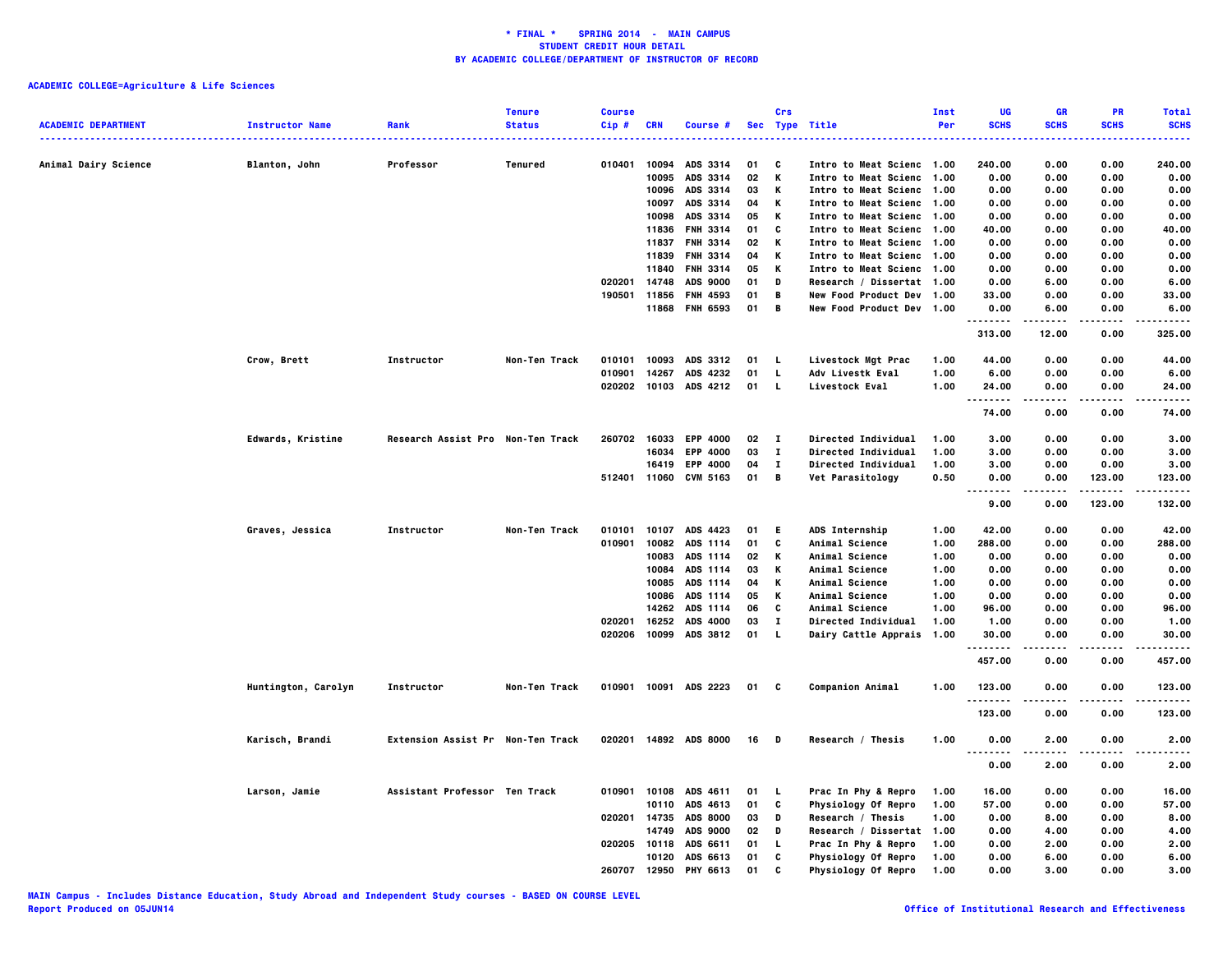|                            |                        |                                   | <b>Tenure</b>        | <b>Course</b> |            |                       |      | Crs          |                            | Inst | UG                               | <b>GR</b>   | PR          | <b>Total</b>        |
|----------------------------|------------------------|-----------------------------------|----------------------|---------------|------------|-----------------------|------|--------------|----------------------------|------|----------------------------------|-------------|-------------|---------------------|
| <b>ACADEMIC DEPARTMENT</b> | <b>Instructor Name</b> | Rank                              | <b>Status</b>        | Cip#          | <b>CRN</b> | Course #              |      |              | Sec Type Title             | Per  | <b>SCHS</b>                      | <b>SCHS</b> | <b>SCHS</b> | <b>SCHS</b><br>---- |
|                            |                        |                                   |                      |               |            |                       |      |              |                            |      |                                  |             |             |                     |
| Animal Dairy Science       | Blanton, John          | Professor                         | Tenured              | 010401        | 10094      | ADS 3314              | 01   | C            | Intro to Meat Scienc 1.00  |      | 240.00                           | 0.00        | 0.00        | 240.00              |
|                            |                        |                                   |                      |               | 10095      | ADS 3314              | 02   | Κ            | Intro to Meat Scienc 1.00  |      | 0.00                             | 0.00        | 0.00        | 0.00                |
|                            |                        |                                   |                      |               | 10096      | ADS 3314              | 03   | Κ            | Intro to Meat Scienc 1.00  |      | 0.00                             | 0.00        | 0.00        | 0.00                |
|                            |                        |                                   |                      |               | 10097      | ADS 3314              | 04   | Κ            | Intro to Meat Scienc 1.00  |      | 0.00                             | 0.00        | 0.00        | 0.00                |
|                            |                        |                                   |                      |               | 10098      | ADS 3314              | 05   | Κ            | Intro to Meat Scienc 1.00  |      | 0.00                             | 0.00        | 0.00        | 0.00                |
|                            |                        |                                   |                      |               | 11836      | <b>FNH 3314</b>       | 01   | C            | Intro to Meat Scienc 1.00  |      | 40.00                            | 0.00        | 0.00        | 40.00               |
|                            |                        |                                   |                      |               | 11837      | <b>FNH 3314</b>       | 02   | Κ            | Intro to Meat Scienc 1.00  |      | 0.00                             | 0.00        | 0.00        | 0.00                |
|                            |                        |                                   |                      |               | 11839      | <b>FNH 3314</b>       | 04   | Κ            | Intro to Meat Scienc 1.00  |      | 0.00                             | 0.00        | 0.00        | 0.00                |
|                            |                        |                                   |                      |               | 11840      | <b>FNH 3314</b>       | 05   | K            | Intro to Meat Scienc 1.00  |      | 0.00                             | 0.00        | 0.00        | 0.00                |
|                            |                        |                                   |                      | 020201        | 14748      | <b>ADS 9000</b>       | 01   | D            | Research / Dissertat 1.00  |      | 0.00                             | 6.00        | 0.00        | 6.00                |
|                            |                        |                                   |                      | 190501        | 11856      | FNH 4593              | 01   | В            | New Food Product Dev 1.00  |      | 33.00                            | 0.00        | 0.00        | 33.00               |
|                            |                        |                                   |                      |               | 11868      | <b>FNH 6593</b>       | 01   | В            | New Food Product Dev 1.00  |      | 0.00                             | 6.00        | 0.00        | 6.00                |
|                            |                        |                                   |                      |               |            |                       |      |              |                            |      | $- - - - -$                      |             |             |                     |
|                            |                        |                                   |                      |               |            |                       |      |              |                            |      | 313.00                           | 12.00       | 0.00        | 325.00              |
|                            | Crow, Brett            | Instructor                        | Non-Ten Track        | 010101        | 10093      | ADS 3312              | 01   | - L          | Livestock Mgt Prac         | 1.00 | 44.00                            | 0.00        | 0.00        | 44.00               |
|                            |                        |                                   |                      | 010901        | 14267      | ADS 4232              | 01   | $\mathbf{L}$ | Adv Livestk Eval           | 1.00 | 6.00                             | 0.00        | 0.00        | 6.00                |
|                            |                        |                                   |                      |               |            | 020202 10103 ADS 4212 | 01 L |              | <b>Livestock Eval</b>      | 1.00 | 24.00                            | 0.00        | 0.00        | 24.00               |
|                            |                        |                                   |                      |               |            |                       |      |              |                            |      | <u>.</u>                         | .           | .           | .                   |
|                            |                        |                                   |                      |               |            |                       |      |              |                            |      | 74.00                            | 0.00        | 0.00        | 74.00               |
|                            | Edwards, Kristine      | Research Assist Pro Non-Ten Track |                      | 260702 16033  |            | <b>EPP 4000</b>       | 02   | $\mathbf{I}$ | <b>Directed Individual</b> | 1.00 | 3.00                             | 0.00        | 0.00        | 3.00                |
|                            |                        |                                   |                      |               | 16034      | <b>EPP 4000</b>       | 03   | $\bf{I}$     | Directed Individual        | 1.00 | 3.00                             | 0.00        | 0.00        | 3.00                |
|                            |                        |                                   |                      |               | 16419      | <b>EPP 4000</b>       | 04   | $\mathbf{I}$ | <b>Directed Individual</b> | 1.00 | 3.00                             | 0.00        | 0.00        | 3.00                |
|                            |                        |                                   |                      |               |            | 512401 11060 CVM 5163 | 01   | В            |                            | 0.50 | 0.00                             | 0.00        | 123.00      | 123.00              |
|                            |                        |                                   |                      |               |            |                       |      |              | <b>Vet Parasitology</b>    |      |                                  |             |             |                     |
|                            |                        |                                   |                      |               |            |                       |      |              |                            |      | 9.00                             | 0.00        | 123.00      | 132.00              |
|                            | Graves, Jessica        | Instructor                        | Non-Ten Track        | 010101        |            | 10107 ADS 4423        | 01   | E.           | ADS Internship             | 1.00 | 42.00                            | 0.00        | 0.00        | 42.00               |
|                            |                        |                                   |                      | 010901        | 10082      | ADS 1114              | 01   | C            | <b>Animal Science</b>      | 1.00 | 288.00                           | 0.00        | 0.00        | 288.00              |
|                            |                        |                                   |                      |               | 10083      | ADS 1114              | 02   | Κ            | Animal Science             | 1.00 | 0.00                             | 0.00        | 0.00        | 0.00                |
|                            |                        |                                   |                      |               | 10084      | ADS 1114              | 03   | Κ            | <b>Animal Science</b>      | 1.00 | 0.00                             | 0.00        | 0.00        | 0.00                |
|                            |                        |                                   |                      |               | 10085      | ADS 1114              | 04   | Κ            | Animal Science             | 1.00 | 0.00                             | 0.00        | 0.00        | 0.00                |
|                            |                        |                                   |                      |               | 10086      | ADS 1114              | 05   | Κ            | Animal Science             | 1.00 | 0.00                             | 0.00        | 0.00        | 0.00                |
|                            |                        |                                   |                      |               | 14262      | ADS 1114              | 06   | c            | <b>Animal Science</b>      | 1.00 | 96.00                            | 0.00        | 0.00        | 96.00               |
|                            |                        |                                   |                      | 020201        | 16252      | ADS 4000              | 03   | $\mathbf I$  | <b>Directed Individual</b> | 1.00 | 1.00                             | 0.00        | 0.00        | 1.00                |
|                            |                        |                                   |                      | 020206        |            | ADS 3812              | 01   | <b>L</b>     |                            |      | 30.00                            |             | 0.00        |                     |
|                            |                        |                                   |                      |               | 10099      |                       |      |              | Dairy Cattle Apprais       | 1.00 | .                                | 0.00        | .           | 30.00<br>.          |
|                            |                        |                                   |                      |               |            |                       |      |              |                            |      | 457.00                           | 0.00        | 0.00        | 457.00              |
|                            | Huntington, Carolyn    | Instructor                        | <b>Non-Ten Track</b> | 010901        |            | 10091 ADS 2223        | 01   | C            | <b>Companion Animal</b>    | 1.00 | 123.00                           | 0.00        | 0.00        | 123.00              |
|                            |                        |                                   |                      |               |            |                       |      |              |                            |      | .                                |             |             |                     |
|                            |                        |                                   |                      |               |            |                       |      |              |                            |      | 123.00                           | 0.00        | 0.00        | 123.00              |
|                            | Karisch, Brandi        | Extension Assist Pr Non-Ten Track |                      | 020201        |            | 14892 ADS 8000        | 16   | D            | Research / Thesis          | 1.00 | 0.00                             | 2.00        | 0.00        | 2.00                |
|                            |                        |                                   |                      |               |            |                       |      |              |                            |      | $\cdots$<br>$\sim$ $\sim$ $\sim$ | ----        |             |                     |
|                            |                        |                                   |                      |               |            |                       |      |              |                            |      | 0.00                             | 2.00        | 0.00        | 2.00                |
|                            | Larson, Jamie          | Assistant Professor Ten Track     |                      | 010901        | 10108      | ADS 4611              | 01   | L.           | Prac In Phy & Repro        | 1.00 | 16.00                            | 0.00        | 0.00        | 16.00               |
|                            |                        |                                   |                      |               | 10110      | ADS 4613              | 01   | C            | <b>Physiology Of Repro</b> | 1.00 | 57.00                            | 0.00        | 0.00        | 57.00               |
|                            |                        |                                   |                      | 020201 14735  |            | <b>ADS 8000</b>       | 03   | D            | Research / Thesis          | 1.00 | 0.00                             | 8.00        | 0.00        | 8.00                |
|                            |                        |                                   |                      |               | 14749      | <b>ADS 9000</b>       | 02   | D            | Research / Dissertat 1.00  |      | 0.00                             | 4.00        | 0.00        | 4.00                |
|                            |                        |                                   |                      | 020205        | 10118      | ADS 6611              | 01   | L.           | Prac In Phy & Repro        | 1.00 | 0.00                             | 2.00        | 0.00        | 2.00                |
|                            |                        |                                   |                      |               | 10120      | ADS 6613              | 01   | C            | Physiology Of Repro        | 1.00 | 0.00                             | 6.00        | 0.00        | 6.00                |
|                            |                        |                                   |                      | 260707        | 12950      | <b>PHY 6613</b>       | 01   | c            | Physiology Of Repro        | 1.00 | 0.00                             | 3.00        | 0.00        | 3.00                |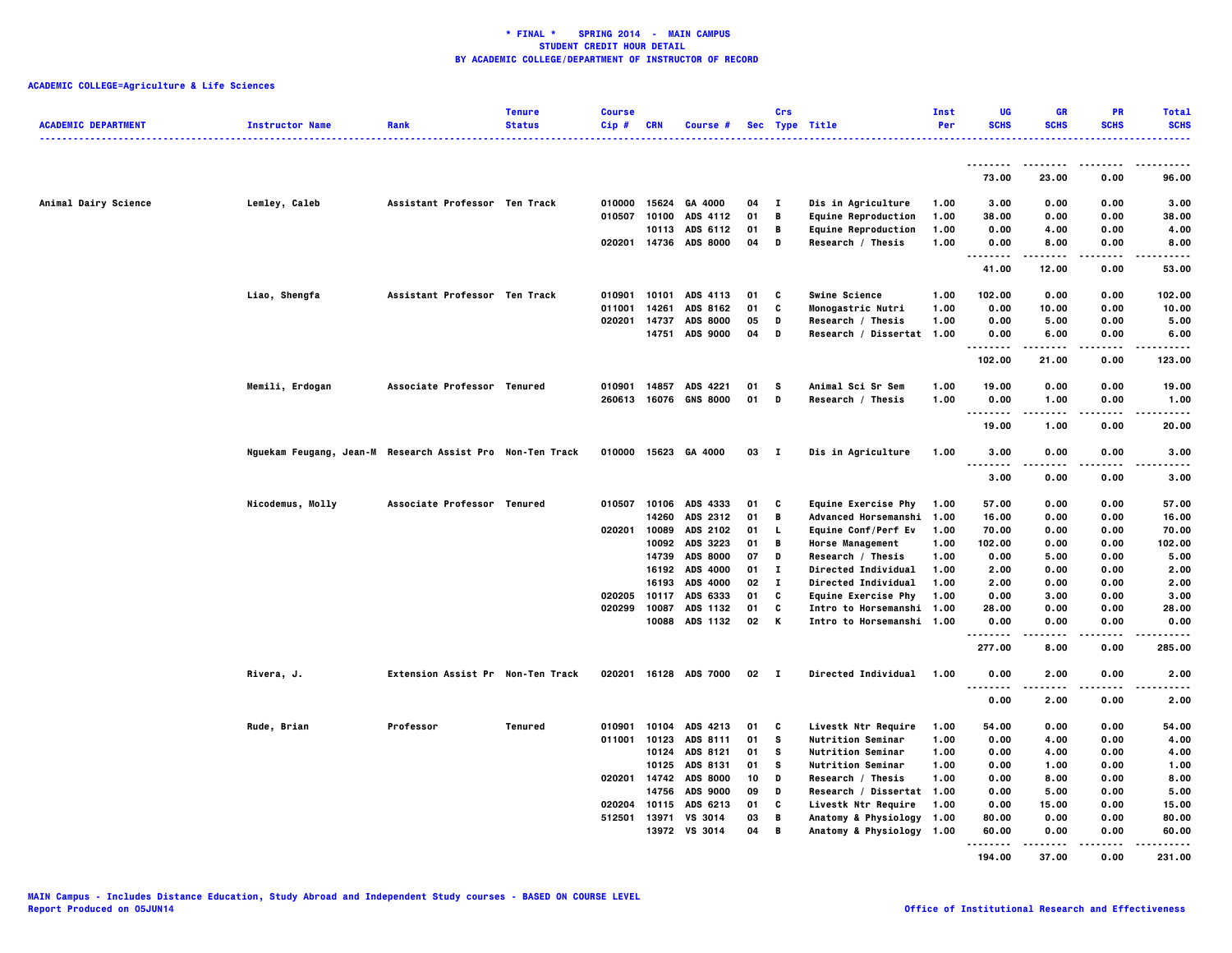| <b>ACADEMIC DEPARTMENT</b> | <b>Instructor Name</b>                                    | Rank                              | <b>Tenure</b><br><b>Status</b> | <b>Course</b><br>Cip# | <b>CRN</b>   | Course #                   |          | Crs          | Sec Type Title                                         | Inst<br>Per  | UG<br><b>SCHS</b>                 | <b>GR</b><br><b>SCHS</b> | <b>PR</b><br><b>SCHS</b> | <b>Total</b><br><b>SCHS</b> |
|----------------------------|-----------------------------------------------------------|-----------------------------------|--------------------------------|-----------------------|--------------|----------------------------|----------|--------------|--------------------------------------------------------|--------------|-----------------------------------|--------------------------|--------------------------|-----------------------------|
|                            |                                                           |                                   |                                |                       |              |                            |          |              |                                                        |              | --------                          |                          |                          |                             |
|                            |                                                           |                                   |                                |                       |              |                            |          |              |                                                        |              | 73.00                             | 23.00                    | 0.00                     | 96.00                       |
| Animal Dairy Science       | Lemley, Caleb                                             | Assistant Professor Ten Track     |                                | 010000                | 15624        | GA 4000                    | 04       | п            | Dis in Agriculture                                     | 1.00         | 3.00                              | 0.00                     | 0.00                     | 3.00                        |
|                            |                                                           |                                   |                                | 010507                | 10100        | ADS 4112                   | 01       | В            | <b>Equine Reproduction</b>                             | 1.00         | 38.00                             | 0.00                     | 0.00                     | 38.00                       |
|                            |                                                           |                                   |                                |                       |              | 10113 ADS 6112             | 01       | В            | <b>Equine Reproduction</b>                             | 1.00         | 0.00                              | 4.00                     | 0.00                     | 4.00                        |
|                            |                                                           |                                   |                                |                       |              | 020201 14736 ADS 8000      | 04       | D            | Research / Thesis                                      | 1.00         | 0.00<br>. .                       | 8.00                     | 0.00                     | 8.00                        |
|                            |                                                           |                                   |                                |                       |              |                            |          |              |                                                        |              | 41.00                             | 12.00                    | 0.00                     | 53.00                       |
|                            | Liao, Shengfa                                             | Assistant Professor Ten Track     |                                | 010901                | 10101        | ADS 4113                   | 01       | C            | <b>Swine Science</b>                                   | 1.00         | 102.00                            | 0.00                     | 0.00                     | 102.00                      |
|                            |                                                           |                                   |                                | 011001                | 14261        | ADS 8162                   | 01       | C            | Monogastric Nutri                                      | 1.00         | 0.00                              | 10.00                    | 0.00                     | 10.00                       |
|                            |                                                           |                                   |                                | 020201                | 14737        | <b>ADS 8000</b>            | 05       | D            | Research / Thesis                                      | 1.00         | 0.00                              | 5.00                     | 0.00                     | 5.00                        |
|                            |                                                           |                                   |                                |                       | 14751        | <b>ADS 9000</b>            | 04       | D            | Research / Dissertat 1.00                              |              | 0.00<br>--------                  | 6.00<br>-----            | 0.00                     | 6.00                        |
|                            |                                                           |                                   |                                |                       |              |                            |          |              |                                                        |              | 102.00                            | 21.00                    | 0.00                     | 123.00                      |
|                            | Memili, Erdogan                                           | Associate Professor Tenured       |                                | 010901                | 14857        | ADS 4221                   | 01       | s            | Animal Sci Sr Sem                                      | 1.00         | 19.00                             | 0.00                     | 0.00                     | 19.00                       |
|                            |                                                           |                                   |                                |                       |              | 260613 16076 GNS 8000      | 01       | D            | Research / Thesis                                      | 1.00         | 0.00<br>.<br>.                    | 1.00<br>----             | 0.00<br>.                | 1.00                        |
|                            |                                                           |                                   |                                |                       |              |                            |          |              |                                                        |              | 19.00                             | 1.00                     | 0.00                     | 20.00                       |
|                            | Nguekam Feugang, Jean-M Research Assist Pro Non-Ten Track |                                   |                                |                       |              | 010000 15623 GA 4000       | 03       | $\mathbf{I}$ | Dis in Agriculture                                     | 1.00         | 3.00                              | 0.00                     | 0.00                     | 3.00                        |
|                            |                                                           |                                   |                                |                       |              |                            |          |              |                                                        |              | <br>3.00                          | $\cdots$<br>0.00         | 0.00                     | 3.00                        |
|                            | Nicodemus, Molly                                          | Associate Professor Tenured       |                                | 010507                |              | 10106 ADS 4333             | 01       | C            | <b>Equine Exercise Phy</b>                             | 1.00         | 57.00                             | 0.00                     | 0.00                     | 57.00                       |
|                            |                                                           |                                   |                                |                       | 14260        | ADS 2312                   | 01       | B            | Advanced Horsemanshi 1.00                              |              | 16.00                             | 0.00                     | 0.00                     | 16.00                       |
|                            |                                                           |                                   |                                | 020201                | 10089        | ADS 2102                   | 01       | L.           | Equine Conf/Perf Ev                                    | 1.00         | 70.00                             | 0.00                     | 0.00                     | 70.00                       |
|                            |                                                           |                                   |                                |                       | 10092        | ADS 3223                   | 01       | B            | <b>Horse Management</b>                                | 1.00         | 102.00                            | 0.00                     | 0.00                     | 102.00                      |
|                            |                                                           |                                   |                                |                       | 14739        | <b>ADS 8000</b>            | 07       | D            | Research / Thesis                                      | 1.00         | 0.00                              | 5.00                     | 0.00                     | 5.00                        |
|                            |                                                           |                                   |                                |                       |              | 16192 ADS 4000             | 01       | Т.           | Directed Individual                                    | 1.00         | 2.00                              | 0.00                     | 0.00                     | 2.00                        |
|                            |                                                           |                                   |                                |                       | 16193        | <b>ADS 4000</b>            | 02       | $\mathbf{I}$ | Directed Individual                                    | 1.00         | 2.00                              | 0.00                     | 0.00                     | 2.00                        |
|                            |                                                           |                                   |                                | 020205                | 10117        | ADS 6333                   | 01       | C            | Equine Exercise Phy                                    | 1.00         | 0.00                              | 3.00                     | 0.00                     | 3.00                        |
|                            |                                                           |                                   |                                | 020299                | 10087        | ADS 1132<br>10088 ADS 1132 | 01<br>02 | C<br>К       | Intro to Horsemanshi 1.00<br>Intro to Horsemanshi 1.00 |              | 28.00<br>0.00                     | 0.00<br>0.00             | 0.00<br>0.00             | 28.00<br>0.00               |
|                            |                                                           |                                   |                                |                       |              |                            |          |              |                                                        |              | 277.00                            | 8.00                     | 0.00                     | 285.00                      |
|                            | Rivera, J.                                                | Extension Assist Pr Non-Ten Track |                                |                       |              | 020201 16128 ADS 7000      | 02       | $\mathbf{I}$ | Directed Individual                                    | 1.00         | 0.00                              | 2.00                     | 0.00                     | 2.00                        |
|                            |                                                           |                                   |                                |                       |              |                            |          |              |                                                        |              | $\sim$ $\sim$ $\sim$<br>.<br>0.00 | .<br>2.00                | .<br>0.00                | 2.00                        |
|                            |                                                           |                                   |                                |                       |              |                            |          |              |                                                        |              |                                   |                          |                          |                             |
|                            | Rude, Brian                                               | Professor                         | <b>Tenured</b>                 | 010901                | 10104        | ADS 4213                   | 01       | C            | Livestk Ntr Require                                    | 1.00         | 54.00                             | 0.00                     | 0.00                     | 54.00                       |
|                            |                                                           |                                   |                                | 011001                | 10123        | ADS 8111<br>10124 ADS 8121 | 01<br>01 | s<br>s       | <b>Nutrition Seminar</b><br>Nutrition Seminar          | 1.00<br>1.00 | 0.00<br>0.00                      | 4.00<br>4.00             | 0.00<br>0.00             | 4.00<br>4.00                |
|                            |                                                           |                                   |                                |                       | 10125        | ADS 8131                   | 01       | s            | <b>Nutrition Seminar</b>                               | 1.00         | 0.00                              | 1.00                     | 0.00                     | 1.00                        |
|                            |                                                           |                                   |                                | 020201 14742          |              | <b>ADS 8000</b>            | 10       | D            | Research / Thesis                                      | 1.00         | 0.00                              | 8.00                     | 0.00                     | 8.00                        |
|                            |                                                           |                                   |                                |                       | 14756        | <b>ADS 9000</b>            | 09       | D            | Research / Dissertat 1.00                              |              | 0.00                              | 5.00                     | 0.00                     | 5.00                        |
|                            |                                                           |                                   |                                | 020204 10115          |              | ADS 6213                   | 01       | C            | Livestk Ntr Require                                    | 1.00         | 0.00                              | 15.00                    | 0.00                     | 15.00                       |
|                            |                                                           |                                   |                                |                       | 512501 13971 | VS 3014                    | 03       | В            | Anatomy & Physiology                                   | 1.00         | 80.00                             | 0.00                     | 0.00                     | 80.00                       |
|                            |                                                           |                                   |                                |                       |              | 13972 VS 3014              | 04       | В            | Anatomy & Physiology 1.00                              |              | 60.00<br>--------                 | 0.00                     | 0.00                     | 60.00                       |
|                            |                                                           |                                   |                                |                       |              |                            |          |              |                                                        |              | 194.00                            | 37.00                    | 0.00                     | 231.00                      |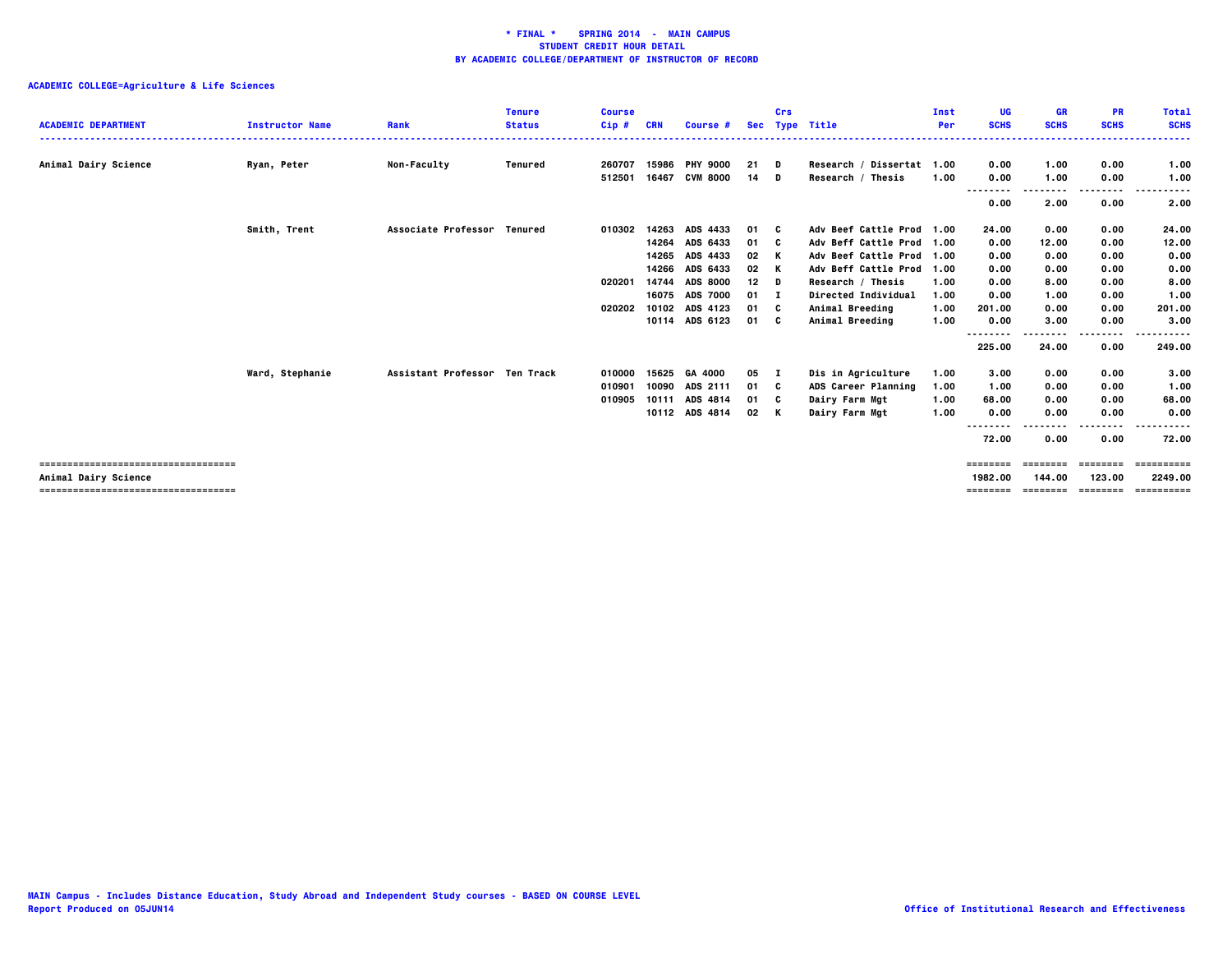| <b>ACADEMIC DEPARTMENT</b>                                  | <b>Instructor Name</b> | Rank                          | <b>Tenure</b><br><b>Status</b> | <b>Course</b><br>$Cip$ # | <b>CRN</b> | Course #        |      | Crs | Sec Type Title            | Inst<br>Per | UG<br><b>SCHS</b>   | GR<br><b>SCHS</b>  | <b>PR</b><br><b>SCHS</b> | <b>Total</b><br><b>SCHS</b> |
|-------------------------------------------------------------|------------------------|-------------------------------|--------------------------------|--------------------------|------------|-----------------|------|-----|---------------------------|-------------|---------------------|--------------------|--------------------------|-----------------------------|
| Animal Dairy Science                                        | Ryan, Peter            | <b>Non-Faculty</b>            | Tenured                        | 260707                   |            | 15986 PHY 9000  | 21   | D   | Research / Dissertat 1.00 |             | 0.00                | 1.00               | 0.00                     | 1.00                        |
|                                                             |                        |                               |                                | 512501                   | 16467      | <b>CVM 8000</b> | 14   | D   | Research / Thesis         | 1.00        | 0.00                | 1.00               | 0.00                     | 1.00                        |
|                                                             |                        |                               |                                |                          |            |                 |      |     |                           |             | <br>0.00            | --------<br>2.00   | --------<br>0.00         | $- - -$<br>.<br>2.00        |
|                                                             | Smith, Trent           | Associate Professor Tenured   |                                | 010302                   | 14263      | <b>ADS 4433</b> | 01   | C.  | Adv Beef Cattle Prod 1.00 |             | 24.00               | 0.00               | 0.00                     | 24.00                       |
|                                                             |                        |                               |                                |                          | 14264      | ADS 6433        | 01   | c   | Adv Beff Cattle Prod 1.00 |             | 0.00                | 12.00              | 0.00                     | 12.00                       |
|                                                             |                        |                               |                                |                          | 14265      | ADS 4433        | 02   | K   | Adv Beef Cattle Prod 1.00 |             | 0.00                | 0.00               | 0.00                     | 0.00                        |
|                                                             |                        |                               |                                |                          | 14266      | <b>ADS 6433</b> | 02   | K   | Adv Beff Cattle Prod 1.00 |             | 0.00                | 0.00               | 0.00                     | 0.00                        |
|                                                             |                        |                               |                                | 020201                   |            | 14744 ADS 8000  | 12   | D   | Research / Thesis         | 1.00        | 0.00                | 8.00               | 0.00                     | 8.00                        |
|                                                             |                        |                               |                                |                          | 16075      | <b>ADS 7000</b> | 01   |     | Directed Individual       | 1.00        | 0.00                | 1.00               | 0.00                     | 1.00                        |
|                                                             |                        |                               |                                | 020202                   | 10102      | ADS 4123        | 01   | - C | Animal Breeding           | 1.00        | 201.00              | 0.00               | 0.00                     | 201.00                      |
|                                                             |                        |                               |                                |                          |            | 10114 ADS 6123  | 01 C |     | Animal Breeding           | 1.00        | 0.00                | 3.00               | 0.00                     | 3.00                        |
|                                                             |                        |                               |                                |                          |            |                 |      |     |                           |             | --------<br>225.00  | --------<br>24.00  | .<br>0.00                | .<br>249.00                 |
|                                                             | Ward, Stephanie        | Assistant Professor Ten Track |                                | 010000                   | 15625      | GA 4000         | 05   | п   | Dis in Agriculture        | 1.00        | 3.00                | 0.00               | 0.00                     | 3.00                        |
|                                                             |                        |                               |                                | 010901                   | 10090      | ADS 2111        | 01   | - C | ADS Career Planning       | 1.00        | 1.00                | 0.00               | 0.00                     | 1.00                        |
|                                                             |                        |                               |                                | 010905                   | 10111      | ADS 4814        | 01   | C.  | Dairy Farm Mgt            | 1.00        | 68.00               | 0.00               | 0.00                     | 68.00                       |
|                                                             |                        |                               |                                |                          |            | 10112 ADS 4814  | 02   | K   | Dairy Farm Mgt            | 1.00        | 0.00                | 0.00               | 0.00                     | 0.00                        |
|                                                             |                        |                               |                                |                          |            |                 |      |     |                           |             | <br>.<br>72.00      | 0.00               | ----<br>0.00             | 72.00                       |
| ===================================<br>Animal Dairy Science |                        |                               |                                |                          |            |                 |      |     |                           |             | ========<br>1982.00 | ========<br>144.00 | ========<br>123.00       | ==========<br>2249.00       |
| -------------------------------------                       |                        |                               |                                |                          |            |                 |      |     |                           |             | ========            | ========           | ========                 | ==========                  |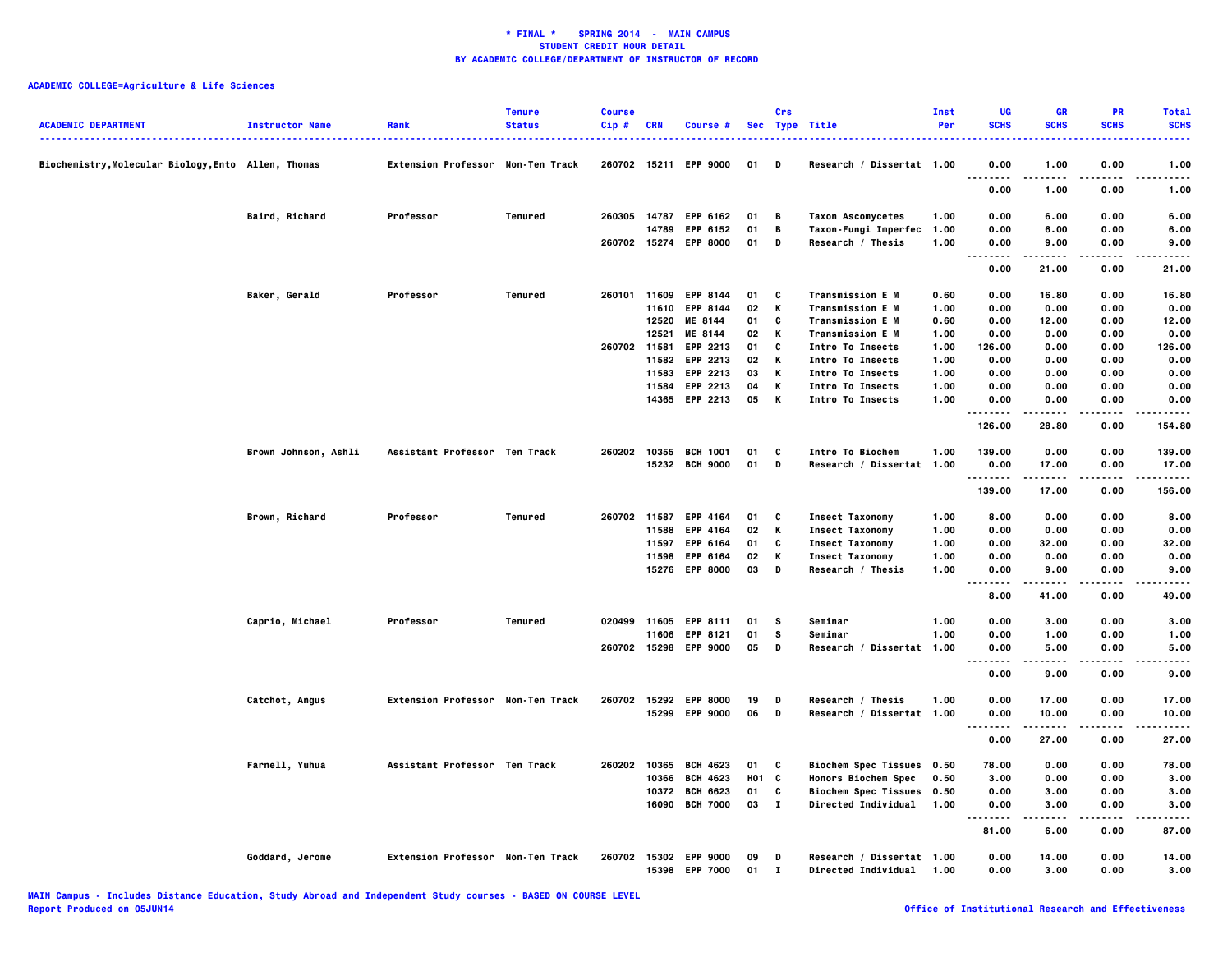| <b>ACADEMIC DEPARTMENT</b>                        | <b>Instructor Name</b> | Rank                              | <b>Tenure</b><br><b>Status</b> | <b>Course</b><br>$Cip$ # | <b>CRN</b> | <b>Course #</b>                          |            | Crs               | Sec Type Title                                   | Inst<br>Per  | UG<br><b>SCHS</b> | <b>GR</b><br><b>SCHS</b> | <b>PR</b><br><b>SCHS</b> | <b>Total</b><br><b>SCHS</b><br> |
|---------------------------------------------------|------------------------|-----------------------------------|--------------------------------|--------------------------|------------|------------------------------------------|------------|-------------------|--------------------------------------------------|--------------|-------------------|--------------------------|--------------------------|---------------------------------|
| Biochemistry,Molecular Biology,Ento Allen, Thomas |                        | Extension Professor Non-Ten Track |                                |                          |            | 260702 15211 EPP 9000                    | 01         | D                 | Research / Dissertat 1.00                        |              | 0.00<br>.         | 1.00                     | 0.00                     | 1.00                            |
|                                                   |                        |                                   |                                |                          |            |                                          |            |                   |                                                  |              | 0.00              | 1.00                     | 0.00                     | 1.00                            |
|                                                   | Baird, Richard         | Professor                         | Tenured                        | 260305 14787             |            | <b>EPP 6162</b>                          | 01         | в                 | <b>Taxon Ascomycetes</b>                         | 1.00         | 0.00              | 6.00                     | 0.00                     | 6.00                            |
|                                                   |                        |                                   |                                |                          | 14789      | <b>EPP 6152</b><br>260702 15274 EPP 8000 | 01<br>01   | B<br>D            | Taxon-Fungi Imperfec<br>Research / Thesis        | 1.00<br>1.00 | 0.00<br>0.00      | 6.00<br>9.00             | 0.00<br>0.00             | 6.00<br>9.00                    |
|                                                   |                        |                                   |                                |                          |            |                                          |            |                   |                                                  |              | .<br>.            | .                        | .                        | .                               |
|                                                   |                        |                                   |                                |                          |            |                                          |            |                   |                                                  |              | 0.00              | 21.00                    | 0.00                     | 21.00                           |
|                                                   | Baker, Gerald          | Professor                         | Tenured                        |                          |            | 260101 11609 EPP 8144                    | 01         | C                 | Transmission E M                                 | 0.60         | 0.00              | 16.80                    | 0.00                     | 16.80                           |
|                                                   |                        |                                   |                                |                          | 11610      | <b>EPP 8144</b>                          | 02         | К                 | Transmission E M                                 | 1.00         | 0.00              | 0.00                     | 0.00                     | 0.00                            |
|                                                   |                        |                                   |                                |                          | 12520      | ME 8144                                  | 01         | C                 | <b>Transmission E M</b>                          | 0.60         | 0.00              | 12.00                    | 0.00                     | 12.00                           |
|                                                   |                        |                                   |                                |                          | 12521      | ME 8144                                  | 02         | к                 | <b>Transmission E M</b>                          | 1.00         | 0.00              | 0.00                     | 0.00                     | 0.00                            |
|                                                   |                        |                                   |                                | 260702 11581             |            | EPP 2213                                 | 01         | c                 | Intro To Insects                                 | 1.00         | 126.00            | 0.00                     | 0.00                     | 126.00                          |
|                                                   |                        |                                   |                                |                          | 11582      | EPP 2213                                 | 02         | К                 | Intro To Insects                                 | 1.00         | 0.00              | 0.00                     | 0.00                     | 0.00                            |
|                                                   |                        |                                   |                                |                          | 11583      | <b>EPP 2213</b>                          | 03         | к                 | <b>Intro To Insects</b>                          | 1.00         | 0.00              | 0.00                     | 0.00                     | 0.00                            |
|                                                   |                        |                                   |                                |                          |            | 11584 EPP 2213                           | 04         | к                 | <b>Intro To Insects</b>                          | 1.00         | 0.00              | 0.00                     | 0.00                     | 0.00                            |
|                                                   |                        |                                   |                                |                          |            | 14365 EPP 2213                           | 05         | K                 | Intro To Insects                                 | 1.00         | 0.00<br>          | 0.00<br>.                | 0.00<br>.                | 0.00<br>.                       |
|                                                   |                        |                                   |                                |                          |            |                                          |            |                   |                                                  |              | 126.00            | 28.80                    | 0.00                     | 154.80                          |
|                                                   | Brown Johnson, Ashli   | Assistant Professor Ten Track     |                                |                          |            | 260202 10355 BCH 1001                    | 01         | C                 | <b>Intro To Biochem</b>                          | 1.00         | 139.00            | 0.00                     | 0.00                     | 139.00                          |
|                                                   |                        |                                   |                                |                          |            | 15232 BCH 9000                           | 01         | D                 | Research / Dissertat 1.00                        |              | 0.00              | 17.00                    | 0.00                     | 17.00                           |
|                                                   |                        |                                   |                                |                          |            |                                          |            |                   |                                                  |              | .<br>139.00       | 17.00                    | 0.00                     | .<br>156.00                     |
|                                                   | Brown, Richard         | Professor                         | <b>Tenured</b>                 |                          |            | 260702 11587 EPP 4164                    | 01         | C                 | <b>Insect Taxonomy</b>                           | 1.00         | 8.00              | 0.00                     | 0.00                     | 8.00                            |
|                                                   |                        |                                   |                                |                          | 11588      | <b>EPP 4164</b>                          | 02         | K                 | <b>Insect Taxonomy</b>                           | 1.00         | 0.00              | 0.00                     | 0.00                     | 0.00                            |
|                                                   |                        |                                   |                                |                          |            | 11597 EPP 6164                           | 01         | C                 | <b>Insect Taxonomy</b>                           | 1.00         | 0.00              | 32.00                    | 0.00                     | 32.00                           |
|                                                   |                        |                                   |                                |                          |            | 11598 EPP 6164                           | 02         | K                 | <b>Insect Taxonomy</b>                           | 1.00         | 0.00              | 0.00                     | 0.00                     | 0.00                            |
|                                                   |                        |                                   |                                |                          |            | 15276 EPP 8000                           | 03         | D                 | Research / Thesis                                | 1.00         | 0.00              | 9.00                     | 0.00                     | 9.00                            |
|                                                   |                        |                                   |                                |                          |            |                                          |            |                   |                                                  |              | .<br>.            |                          |                          | .                               |
|                                                   |                        |                                   |                                |                          |            |                                          |            |                   |                                                  |              | 8.00              | 41.00                    | 0.00                     | 49.00                           |
|                                                   | Caprio, Michael        | Professor                         | <b>Tenured</b>                 |                          |            | 020499 11605 EPP 8111                    | 01         | s                 | Seminar                                          | 1.00         | 0.00              | 3.00                     | 0.00                     | 3.00                            |
|                                                   |                        |                                   |                                |                          | 11606      | <b>EPP 8121</b>                          | 01         | s                 | Seminar                                          | 1.00         | 0.00              | 1.00                     | 0.00                     | 1.00                            |
|                                                   |                        |                                   |                                |                          |            | 260702 15298 EPP 9000                    | 05         | D                 | Research / Dissertat 1.00                        |              | 0.00              | 5.00                     | 0.00                     | 5.00                            |
|                                                   |                        |                                   |                                |                          |            |                                          |            |                   |                                                  |              | .<br>0.00         | .<br>9.00                | .<br>0.00                | $- - - -$<br>9.00               |
|                                                   | Catchot, Angus         | Extension Professor Non-Ten Track |                                |                          |            | 260702 15292 EPP 8000                    | 19         | D                 | Research / Thesis                                | 1.00         | 0.00              | 17.00                    | 0.00                     | 17.00                           |
|                                                   |                        |                                   |                                |                          |            | 15299 EPP 9000                           | 06         | D                 | Research / Dissertat 1.00                        |              | 0.00              | 10.00                    | 0.00                     | 10.00                           |
|                                                   |                        |                                   |                                |                          |            |                                          |            |                   |                                                  |              |                   |                          |                          |                                 |
|                                                   |                        |                                   |                                |                          |            |                                          |            |                   |                                                  |              | 0.00              | 27.00                    | 0.00                     | 27.00                           |
|                                                   | Farnell, Yuhua         | Assistant Professor Ten Track     |                                | 260202                   | 10365      | <b>BCH 4623</b>                          | 01         | C                 | <b>Biochem Spec Tissues</b>                      | 0.50         | 78.00             | 0.00                     | 0.00                     | 78.00                           |
|                                                   |                        |                                   |                                |                          | 10366      | <b>BCH 4623</b>                          | <b>HO1</b> | $\mathbf{c}$      | <b>Honors Biochem Spec</b>                       | 0.50         | 3.00              | 0.00                     | 0.00                     | 3.00                            |
|                                                   |                        |                                   |                                |                          |            | 10372 BCH 6623                           | 01         | C                 | <b>Biochem Spec Tissues</b>                      | 0.50         | 0.00              | 3.00                     | 0.00                     | 3.00                            |
|                                                   |                        |                                   |                                |                          | 16090      | <b>BCH 7000</b>                          | 03         | $\mathbf{I}$      | Directed Individual                              | 1.00         | 0.00<br>.         | 3.00<br>.                | 0.00<br>$- - -$          | 3.00<br>-----                   |
|                                                   |                        |                                   |                                |                          |            |                                          |            |                   |                                                  |              | 81.00             | 6.00                     | 0.00                     | 87.00                           |
|                                                   | Goddard, Jerome        | Extension Professor Non-Ten Track |                                |                          |            | 260702 15302 EPP 9000<br>15398 EPP 7000  | 09<br>01   | D<br>$\mathbf{I}$ | Research / Dissertat 1.00<br>Directed Individual | 1.00         | 0.00<br>0.00      | 14.00<br>3.00            | 0.00<br>0.00             | 14.00<br>3.00                   |
|                                                   |                        |                                   |                                |                          |            |                                          |            |                   |                                                  |              |                   |                          |                          |                                 |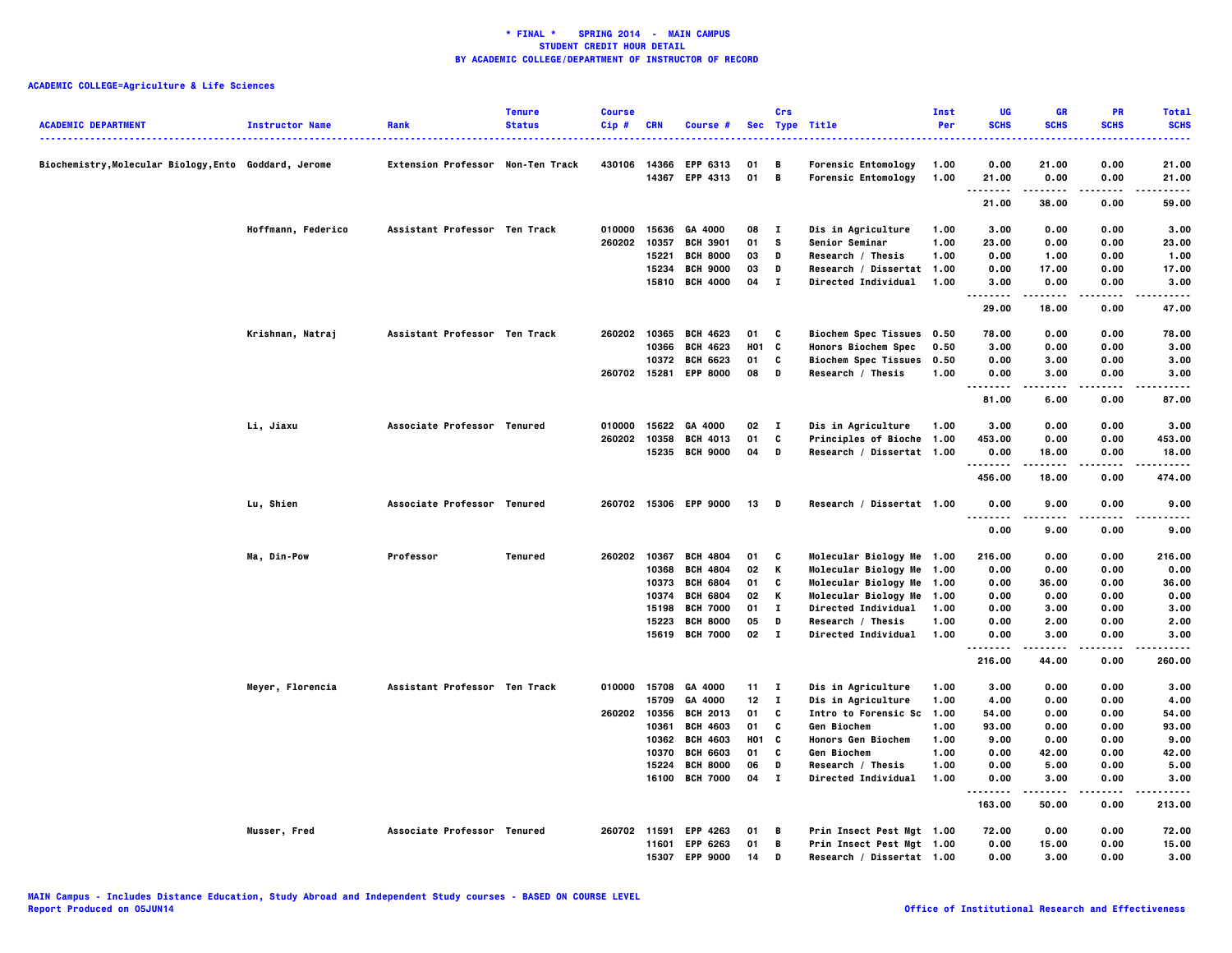|                                                     |                        |                                          | <b>Tenure</b> | <b>Course</b> |                |                                    |            | Crs               |                                                         | Inst         | UG            | <b>GR</b>     | <b>PR</b>    | <b>Total</b>  |
|-----------------------------------------------------|------------------------|------------------------------------------|---------------|---------------|----------------|------------------------------------|------------|-------------------|---------------------------------------------------------|--------------|---------------|---------------|--------------|---------------|
| <b>ACADEMIC DEPARTMENT</b>                          | <b>Instructor Name</b> | Rank                                     | <b>Status</b> | Cip#          | <b>CRN</b>     | Course #                           |            |                   | Sec Type Title                                          | Per          | <b>SCHS</b>   | <b>SCHS</b>   | <b>SCHS</b>  | <b>SCHS</b>   |
| Biochemistry,Molecular Biology,Ento Goddard, Jerome |                        | <b>Extension Professor Non-Ten Track</b> |               | 430106        | 14366          | <b>EPP 6313</b>                    | 01         | в                 | <b>Forensic Entomology</b>                              | 1.00         | 0.00          | 21.00         | 0.00         | 21.00         |
|                                                     |                        |                                          |               |               |                | 14367 EPP 4313                     | 01         | B                 | Forensic Entomology                                     | 1.00         | 21.00         | 0.00          | 0.00         | 21.00         |
|                                                     |                        |                                          |               |               |                |                                    |            |                   |                                                         |              | .<br>21.00    | 38.00         | .<br>0.00    | 59.00         |
|                                                     |                        | Assistant Professor Ten Track            |               |               | 15636          | GA 4000                            |            |                   |                                                         |              |               |               |              |               |
|                                                     | Hoffmann, Federico     |                                          |               | 010000        | 10357          | <b>BCH 3901</b>                    | 08<br>01   | $\mathbf{I}$<br>s | Dis in Agriculture                                      | 1.00<br>1.00 | 3.00<br>23.00 | 0.00          | 0.00<br>0.00 | 3.00          |
|                                                     |                        |                                          |               | 260202        | 15221          | <b>BCH 8000</b>                    | 03         | D                 | <b>Senior Seminar</b><br>Research / Thesis              | 1.00         | 0.00          | 0.00<br>1.00  | 0.00         | 23.00<br>1.00 |
|                                                     |                        |                                          |               |               |                | 15234 BCH 9000                     | 03         | D                 | Research / Dissertat 1.00                               |              | 0.00          | 17.00         | 0.00         | 17.00         |
|                                                     |                        |                                          |               |               | 15810          | <b>BCH 4000</b>                    | 04         | $\mathbf{I}$      | <b>Directed Individual</b>                              | 1.00         | 3.00          | 0.00          | 0.00         | 3.00          |
|                                                     |                        |                                          |               |               |                |                                    |            |                   |                                                         |              | <br>29.00     | .<br>18.00    | .<br>0.00    | .<br>47.00    |
|                                                     |                        |                                          |               |               |                |                                    |            |                   |                                                         |              |               |               |              |               |
|                                                     | Krishnan, Natraj       | Assistant Professor Ten Track            |               | 260202        | 10365<br>10366 | <b>BCH 4623</b><br><b>BCH 4623</b> | 01<br>HO1  | C<br>C            | Biochem Spec Tissues 0.50<br><b>Honors Biochem Spec</b> | 0.50         | 78.00<br>3.00 | 0.00<br>0.00  | 0.00<br>0.00 | 78.00<br>3.00 |
|                                                     |                        |                                          |               |               | 10372          | <b>BCH 6623</b>                    | 01         | C                 | <b>Biochem Spec Tissues</b>                             | 0.50         | 0.00          | 3.00          | 0.00         | 3.00          |
|                                                     |                        |                                          |               | 260702 15281  |                | <b>EPP 8000</b>                    | 08         | D                 | Research / Thesis                                       | 1.00         | 0.00          | 3.00          | 0.00         | 3.00          |
|                                                     |                        |                                          |               |               |                |                                    |            |                   |                                                         |              | .             | <b>.</b>      | .            | .             |
|                                                     |                        |                                          |               |               |                |                                    |            |                   |                                                         |              | 81.00         | 6.00          | 0.00         | 87.00         |
|                                                     | Li, Jiaxu              | Associate Professor Tenured              |               | 010000        | 15622          | GA 4000                            | 02         | $\mathbf{I}$      | Dis in Agriculture                                      | 1.00         | 3.00          | 0.00          | 0.00         | 3.00          |
|                                                     |                        |                                          |               | 260202        | 10358          | <b>BCH 4013</b>                    | 01         | C                 | Principles of Bioche 1.00                               |              | 453.00        | 0.00          | 0.00         | 453.00        |
|                                                     |                        |                                          |               |               |                | 15235 BCH 9000                     | 04         | D                 | Research / Dissertat 1.00                               |              | 0.00          | 18.00         | 0.00         | 18.00         |
|                                                     |                        |                                          |               |               |                |                                    |            |                   |                                                         |              | .             | .             | .            | .             |
|                                                     |                        |                                          |               |               |                |                                    |            |                   |                                                         |              | 456.00        | 18.00         | 0.00         | 474.00        |
|                                                     | Lu, Shien              | Associate Professor Tenured              |               |               |                | 260702 15306 EPP 9000              | 13         | D                 | Research / Dissertat 1.00                               |              | 0.00<br>.     | 9.00<br>----- | 0.00<br>.    | 9.00<br>----- |
|                                                     |                        |                                          |               |               |                |                                    |            |                   |                                                         |              | 0.00          | 9.00          | 0.00         | 9.00          |
|                                                     | Ma, Din-Pow            | Professor                                | Tenured       | 260202        | 10367          | <b>BCH 4804</b>                    | 01         | C                 | Molecular Biology Me 1.00                               |              | 216.00        | 0.00          | 0.00         | 216.00        |
|                                                     |                        |                                          |               |               | 10368          | <b>BCH 4804</b>                    | 02         | Κ                 | Molecular Biology Me 1.00                               |              | 0.00          | 0.00          | 0.00         | 0.00          |
|                                                     |                        |                                          |               |               | 10373          | <b>BCH 6804</b>                    | 01         | c                 | Molecular Biology Me 1.00                               |              | 0.00          | 36.00         | 0.00         | 36.00         |
|                                                     |                        |                                          |               |               | 10374          | <b>BCH 6804</b>                    | 02         | Κ                 | Molecular Biology Me 1.00                               |              | 0.00          | 0.00          | 0.00         | 0.00          |
|                                                     |                        |                                          |               |               | 15198          | <b>BCH 7000</b>                    | 01         | $\bf{I}$          | <b>Directed Individual</b>                              | 1.00         | 0.00          | 3.00          | 0.00         | 3.00          |
|                                                     |                        |                                          |               |               | 15223          | <b>BCH 8000</b>                    | 05         | D                 | Research / Thesis                                       | 1.00         | 0.00          | 2.00          | 0.00         | 2.00          |
|                                                     |                        |                                          |               |               |                | 15619 BCH 7000                     | 02 I       |                   | <b>Directed Individual</b>                              | 1.00         | 0.00<br>.     | 3.00<br>.     | 0.00<br>.    | 3.00          |
|                                                     |                        |                                          |               |               |                |                                    |            |                   |                                                         |              | 216.00        | 44.00         | 0.00         | 260.00        |
|                                                     | Meyer, Florencia       | Assistant Professor Ten Track            |               | 010000 15708  |                | GA 4000                            | 11 I       |                   | Dis in Agriculture                                      | 1.00         | 3.00          | 0.00          | 0.00         | 3.00          |
|                                                     |                        |                                          |               |               | 15709          | GA 4000                            | 12         | $\mathbf{I}$      | Dis in Agriculture                                      | 1.00         | 4.00          | 0.00          | 0.00         | 4.00          |
|                                                     |                        |                                          |               | 260202        | 10356          | <b>BCH 2013</b>                    | 01         | c                 | Intro to Forensic Sc                                    | 1.00         | 54.00         | 0.00          | 0.00         | 54.00         |
|                                                     |                        |                                          |               |               | 10361          | <b>BCH 4603</b>                    | 01         | C                 | <b>Gen Biochem</b>                                      | 1.00         | 93.00         | 0.00          | 0.00         | 93.00         |
|                                                     |                        |                                          |               |               | 10362          | <b>BCH 4603</b>                    | <b>HO1</b> | C                 | <b>Honors Gen Biochem</b>                               | 1.00         | 9.00          | 0.00          | 0.00         | 9.00          |
|                                                     |                        |                                          |               |               | 10370          | <b>BCH 6603</b>                    | 01         | C                 | Gen Biochem                                             | 1.00         | 0.00          | 42.00         | 0.00         | 42.00         |
|                                                     |                        |                                          |               |               | 15224          | <b>BCH 8000</b>                    | 06         | D                 | Research / Thesis                                       | 1.00         | 0.00          | 5.00          | 0.00         | 5.00          |
|                                                     |                        |                                          |               |               | 16100          | <b>BCH 7000</b>                    | 04         | $\mathbf{I}$      | <b>Directed Individual</b>                              | 1.00         | 0.00<br>.     | 3.00<br>.     | 0.00<br>.    | 3.00<br>----- |
|                                                     |                        |                                          |               |               |                |                                    |            |                   |                                                         |              | 163.00        | 50.00         | 0.00         | 213.00        |
|                                                     | Musser, Fred           | Associate Professor Tenured              |               | 260702 11591  |                | <b>EPP 4263</b>                    | 01         | в                 | Prin Insect Pest Mgt 1.00                               |              | 72.00         | 0.00          | 0.00         | 72.00         |
|                                                     |                        |                                          |               |               | 11601          | <b>EPP 6263</b>                    | 01         | B                 | Prin Insect Pest Mgt 1.00                               |              | 0.00          | 15.00         | 0.00         | 15.00         |
|                                                     |                        |                                          |               |               | 15307          | <b>EPP 9000</b>                    | 14         | D                 | Research / Dissertat 1.00                               |              | 0.00          | 3.00          | 0.00         | 3.00          |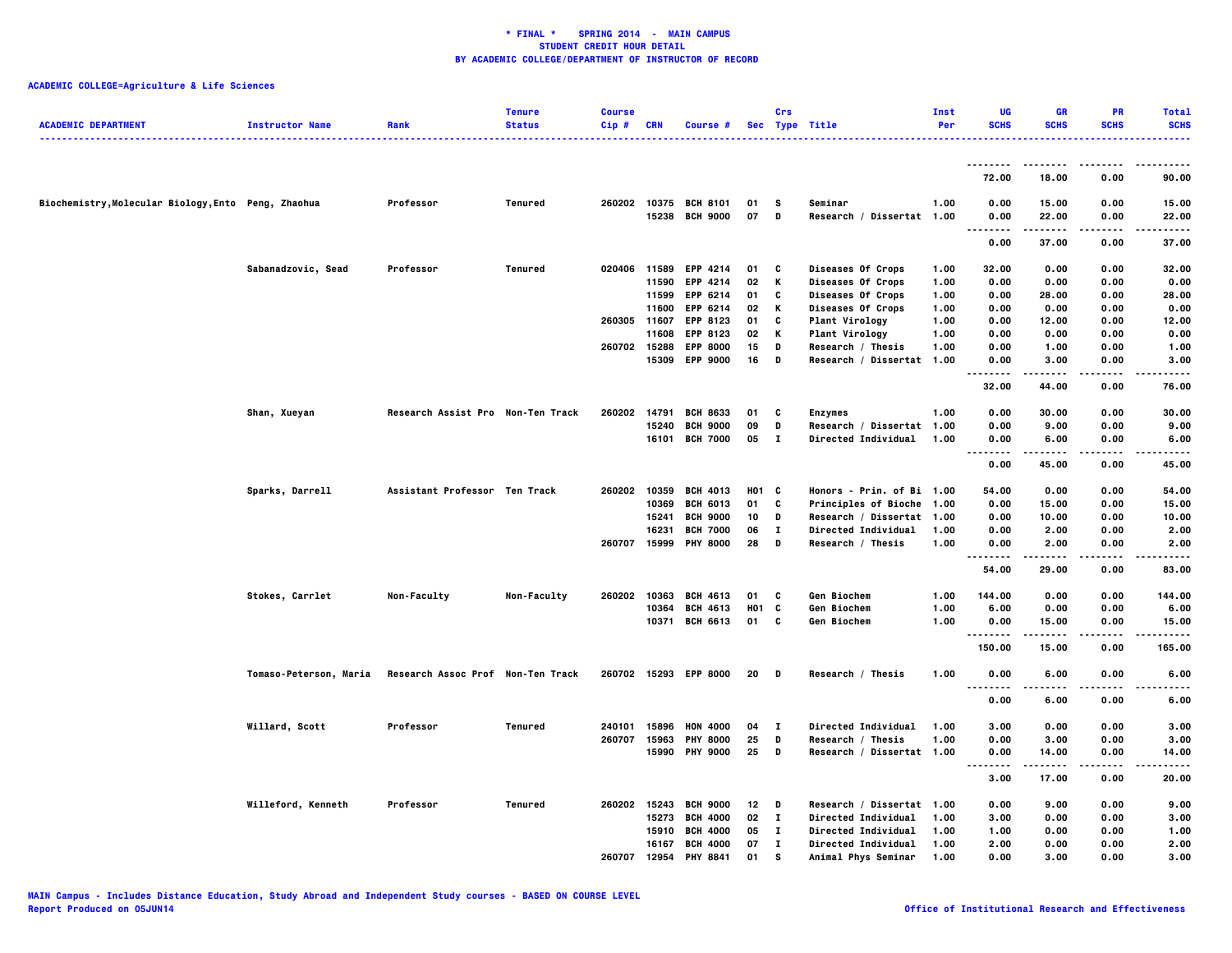| <b>ACADEMIC DEPARTMENT</b>                          | <b>Instructor Name</b> | Rank                              | <b>Tenure</b><br><b>Status</b> | <b>Course</b><br>$Cip$ # | <b>CRN</b> | Course #              |                 | Crs          | Sec Type Title            | Inst<br>Per | UG<br><b>SCHS</b>  | <b>GR</b><br><b>SCHS</b> | <b>PR</b><br><b>SCHS</b> | <b>Total</b><br><b>SCHS</b><br>. |
|-----------------------------------------------------|------------------------|-----------------------------------|--------------------------------|--------------------------|------------|-----------------------|-----------------|--------------|---------------------------|-------------|--------------------|--------------------------|--------------------------|----------------------------------|
|                                                     |                        |                                   |                                |                          |            |                       |                 |              |                           |             | .                  | .                        | $- - - -$                | .                                |
|                                                     |                        |                                   |                                |                          |            |                       |                 |              |                           |             | 72.00              | 18.00                    | 0.00                     | 90.00                            |
| Biochemistry, Molecular Biology, Ento Peng, Zhaohua |                        | Professor                         | Tenured                        | 260202                   |            | 10375 BCH 8101        | 01              | - S          | Seminar                   | 1.00        | 0.00               | 15.00                    | 0.00                     | 15.00                            |
|                                                     |                        |                                   |                                |                          |            | 15238 BCH 9000        | 07              | D            | Research / Dissertat 1.00 |             | 0.00<br>           | 22.00<br>.               | 0.00<br>$- - - -$        | 22.00<br>.                       |
|                                                     |                        |                                   |                                |                          |            |                       |                 |              |                           |             | 0.00               | 37.00                    | 0.00                     | 37.00                            |
|                                                     | Sabanadzovic, Sead     | Professor                         | Tenured                        | 020406 11589             |            | <b>EPP 4214</b>       | 01              | C            | Diseases Of Crops         | 1.00        | 32.00              | 0.00                     | 0.00                     | 32.00                            |
|                                                     |                        |                                   |                                |                          | 11590      | <b>EPP 4214</b>       | 02              | K            | Diseases Of Crops         | 1.00        | 0.00               | 0.00                     | 0.00                     | 0.00                             |
|                                                     |                        |                                   |                                |                          | 11599      | EPP 6214              | 01              | C            | Diseases Of Crops         | 1.00        | 0.00               | 28.00                    | 0.00                     | 28.00                            |
|                                                     |                        |                                   |                                |                          | 11600      | EPP 6214              | 02              | К            | Diseases Of Crops         | 1.00        | 0.00               | 0.00                     | 0.00                     | 0.00                             |
|                                                     |                        |                                   |                                | 260305 11607             |            | <b>EPP 8123</b>       | 01              | C            | Plant Virology            | 1.00        | 0.00               | 12.00                    | 0.00                     | 12.00                            |
|                                                     |                        |                                   |                                |                          | 11608      | EPP 8123              | 02              | К            | <b>Plant Virology</b>     | 1.00        | 0.00               | 0.00                     | 0.00                     | 0.00                             |
|                                                     |                        |                                   |                                | 260702                   | 15288      | <b>EPP 8000</b>       | 15              | D            | Research / Thesis         | 1.00        | 0.00               | 1.00                     | 0.00                     | 1.00                             |
|                                                     |                        |                                   |                                |                          |            | 15309 EPP 9000        | 16              | D            | Research / Dissertat 1.00 |             | 0.00<br>.          | 3.00                     | 0.00                     | 3.00                             |
|                                                     |                        |                                   |                                |                          |            |                       |                 |              |                           |             | 32.00              | 44.00                    | 0.00                     | 76.00                            |
|                                                     | Shan, Xueyan           | Research Assist Pro Non-Ten Track |                                | 260202                   | 14791      | <b>BCH 8633</b>       | 01              | C            | <b>Enzymes</b>            | 1.00        | 0.00               | 30.00                    | 0.00                     | 30.00                            |
|                                                     |                        |                                   |                                |                          | 15240      | <b>BCH 9000</b>       | 09              | D            | Research / Dissertat 1.00 |             | 0.00               | 9.00                     | 0.00                     | 9.00                             |
|                                                     |                        |                                   |                                |                          |            | 16101 BCH 7000        | 05              | $\mathbf{I}$ | Directed Individual       | 1.00        | 0.00               | 6.00                     | 0.00                     | 6.00                             |
|                                                     |                        |                                   |                                |                          |            |                       |                 |              |                           |             | .<br>0.00          | .<br>45.00               | 0.00                     | .<br>45.00                       |
|                                                     | Sparks, Darrell        | Assistant Professor Ten Track     |                                | 260202                   | 10359      | <b>BCH 4013</b>       | H01 C           |              | Honors - Prin. of Bi 1.00 |             | 54.00              | 0.00                     | 0.00                     | 54.00                            |
|                                                     |                        |                                   |                                |                          | 10369      | <b>BCH 6013</b>       | 01              | C            | Principles of Bioche 1.00 |             | 0.00               | 15.00                    | 0.00                     | 15.00                            |
|                                                     |                        |                                   |                                |                          | 15241      | <b>BCH 9000</b>       | 10              | D            | Research / Dissertat 1.00 |             | 0.00               | 10.00                    | 0.00                     | 10.00                            |
|                                                     |                        |                                   |                                |                          | 16231      | <b>BCH 7000</b>       | 06              | л.           | Directed Individual       | 1.00        | 0.00               | 2.00                     | 0.00                     | 2.00                             |
|                                                     |                        |                                   |                                | 260707                   |            | 15999 PHY 8000        | 28              | D            | Research / Thesis         | 1.00        | 0.00               | 2.00                     | 0.00                     | 2.00                             |
|                                                     |                        |                                   |                                |                          |            |                       |                 |              |                           |             | $- - - -$<br>54.00 | 29.00                    | 0.00                     | -----<br>83.00                   |
|                                                     | Stokes, Carrlet        | Non-Faculty                       | Non-Faculty                    | 260202                   | 10363      | <b>BCH 4613</b>       | 01              | C            | Gen Biochem               | 1.00        | 144.00             | 0.00                     | 0.00                     | 144.00                           |
|                                                     |                        |                                   |                                |                          | 10364      | <b>BCH 4613</b>       | HO1             | C            | Gen Biochem               | 1.00        | 6.00               | 0.00                     | 0.00                     | 6.00                             |
|                                                     |                        |                                   |                                |                          |            | 10371 BCH 6613        | 01              | c            | Gen Biochem               | 1.00        | 0.00               | 15.00                    | 0.00                     | 15.00                            |
|                                                     |                        |                                   |                                |                          |            |                       |                 |              |                           |             | .<br>150.00        | -----<br>15.00           | $- - - -$<br>0.00        | .<br>165.00                      |
|                                                     | Tomaso-Peterson, Maria | Research Assoc Prof Non-Ten Track |                                |                          |            | 260702 15293 EPP 8000 | 20              | - D          | Research / Thesis         | 1.00        | 0.00               | 6.00                     | 0.00                     | 6.00                             |
|                                                     |                        |                                   |                                |                          |            |                       |                 |              |                           |             | <br>0.00           | 6.00                     | 0.00                     | 6.00                             |
|                                                     | Willard, Scott         | Professor                         | Tenured                        |                          |            | 240101 15896 HON 4000 | 04 I            |              | Directed Individual       | 1.00        | 3.00               | 0.00                     | 0.00                     | 3.00                             |
|                                                     |                        |                                   |                                | 260707                   | 15963      | <b>PHY 8000</b>       | 25              | D            | Research / Thesis         | 1.00        | 0.00               | 3.00                     | 0.00                     | 3.00                             |
|                                                     |                        |                                   |                                |                          |            | 15990 PHY 9000        | 25              | D            | Research / Dissertat 1.00 |             | 0.00               | 14.00                    | 0.00                     | 14.00                            |
|                                                     |                        |                                   |                                |                          |            |                       |                 |              |                           |             |                    |                          |                          | -----                            |
|                                                     |                        |                                   |                                |                          |            |                       |                 |              |                           |             | 3.00               | 17.00                    | 0.00                     | 20.00                            |
|                                                     | Willeford, Kenneth     | Professor                         | <b>Tenured</b>                 | 260202 15243             |            | <b>BCH 9000</b>       | 12 <sub>2</sub> | - D          | Research / Dissertat 1.00 |             | 0.00               | 9.00                     | 0.00                     | 9.00                             |
|                                                     |                        |                                   |                                |                          | 15273      | <b>BCH 4000</b>       | 02              | $\mathbf{I}$ | Directed Individual       | 1.00        | 3.00               | 0.00                     | 0.00                     | 3.00                             |
|                                                     |                        |                                   |                                |                          | 15910      | <b>BCH 4000</b>       | 05              | $\mathbf{I}$ | Directed Individual       | 1.00        | 1.00               | 0.00                     | 0.00                     | 1.00                             |
|                                                     |                        |                                   |                                |                          | 16167      | <b>BCH 4000</b>       | 07              | л.           | Directed Individual       | 1.00        | 2.00               | 0.00                     | 0.00                     | 2.00                             |
|                                                     |                        |                                   |                                | 260707                   | 12954      | <b>PHY 8841</b>       | 01              | s            | Animal Phys Seminar       | 1.00        | 0.00               | 3.00                     | 0.00                     | 3.00                             |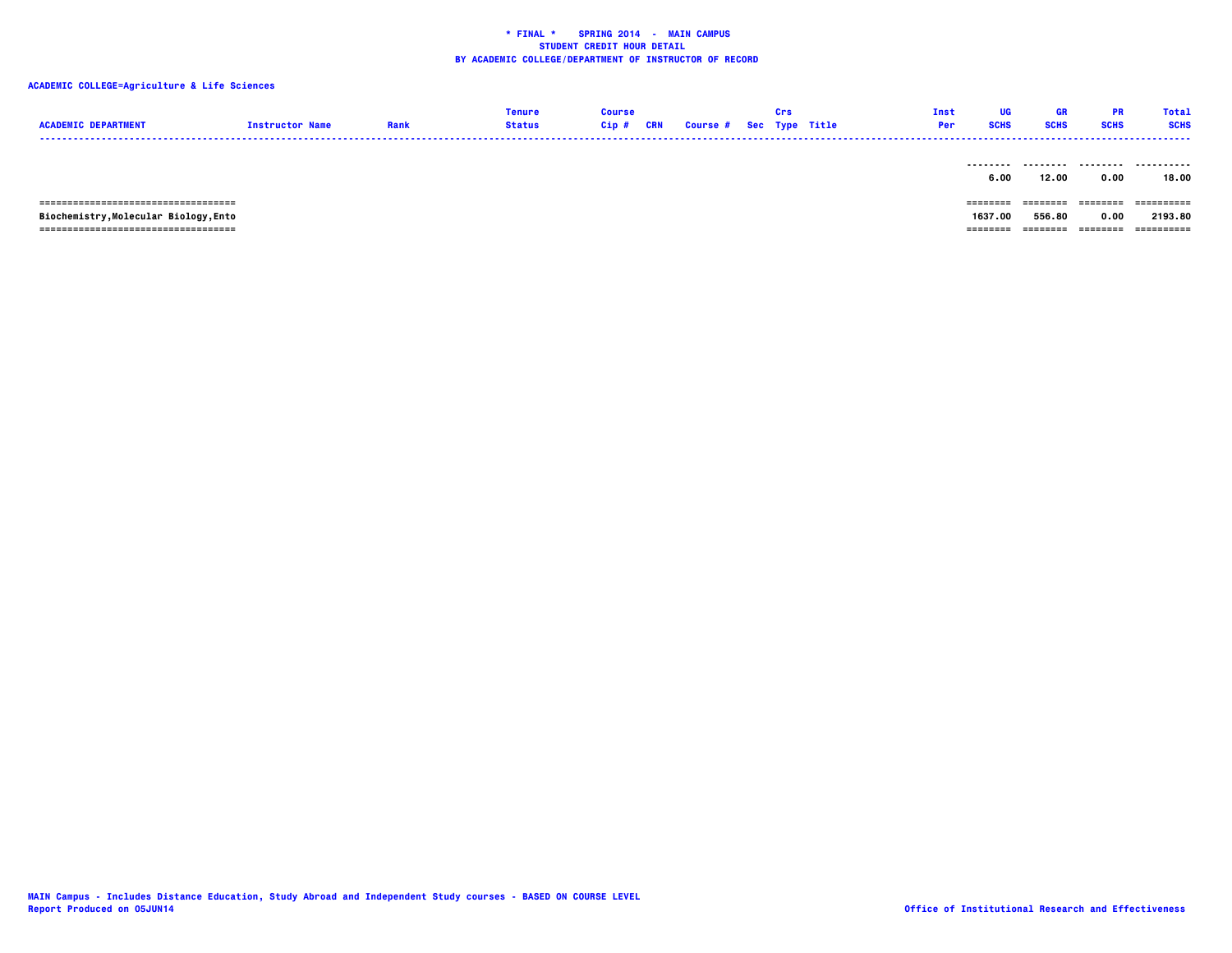### **ACADEMIC COLLEGE=Agriculture & Life Sciences**

| <b>ACADEMIC DEPARTMENT</b>             | <b>Instructor Name</b> | Rank | Tenure<br>Status | Course<br>Cip# | CRN | <b>Course # Sec Type Title</b> | Crs | Inst<br>Per | UG<br><b>SCHS</b> | <b>GR</b><br><b>SCHS</b> | <b>PR</b><br><b>SCHS</b> | Total<br><b>SCHS</b><br>---------- |
|----------------------------------------|------------------------|------|------------------|----------------|-----|--------------------------------|-----|-------------|-------------------|--------------------------|--------------------------|------------------------------------|
|                                        |                        |      |                  |                |     |                                |     |             | --------<br>6.00  | ---------<br>12.00       | .<br>0.00                | .<br>18.00                         |
| -------------------------------------- |                        |      |                  |                |     |                                |     |             | ======            | --------                 | ---------                | ==========                         |

  **Biochemistry,Molecular Biology,Ento 1637.00 556.80 0.00 2193.80 =================================== ======== ======== ======== ==========**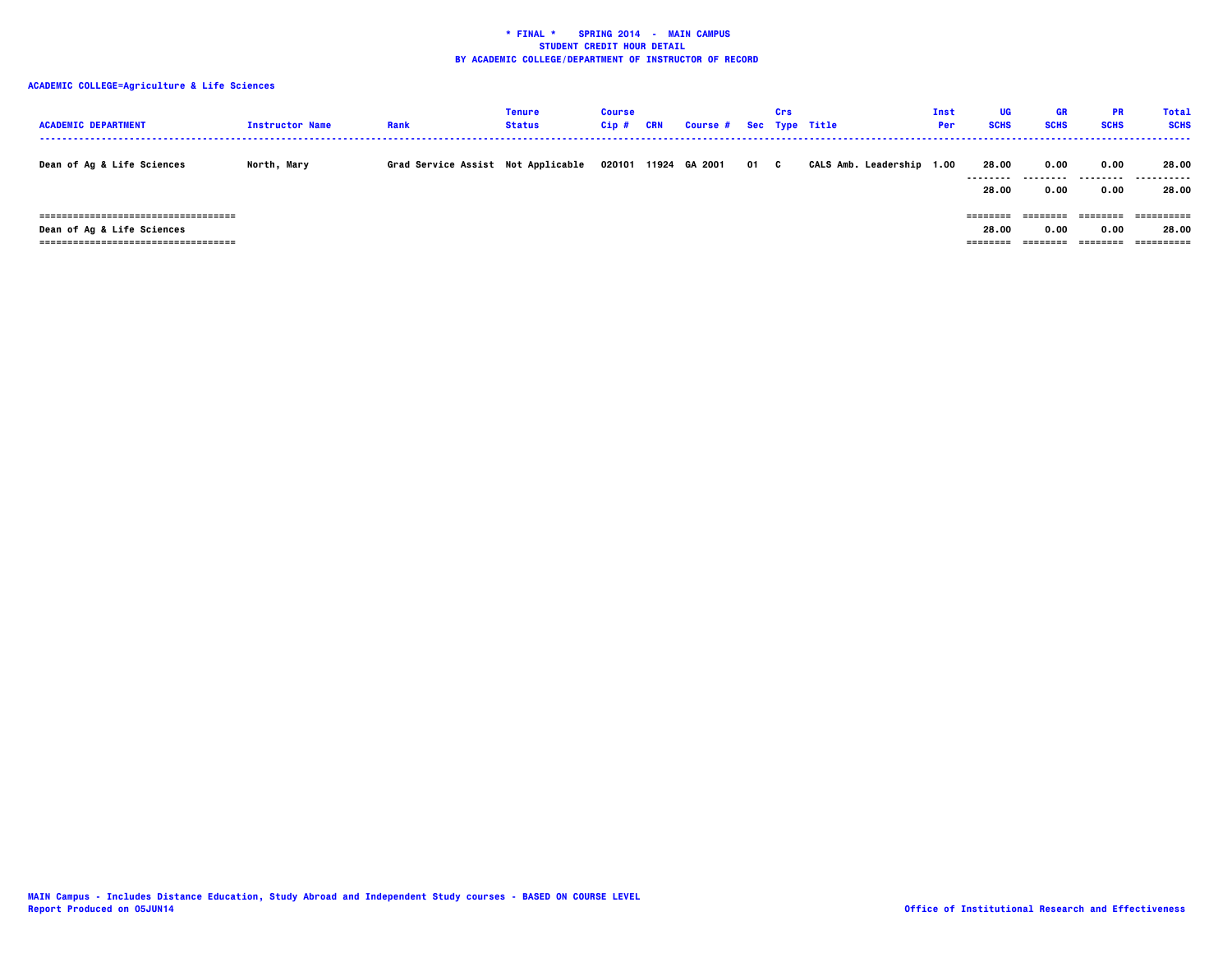| <b>ACADEMIC DEPARTMENT</b>                                                                                      | <b>Instructor Name</b> | Rank                               | Tenure<br><b>Status</b> | <b>Course</b><br>Cip# | CRN | Course # Sec Type Title |      | Crs |                      | Inst<br>Per | <b>UG</b><br><b>SCHS</b>    | <b>GR</b><br><b>SCHS</b>  | <b>PR</b><br><b>SCHS</b> | <b>Total</b><br><b>SCHS</b>       |
|-----------------------------------------------------------------------------------------------------------------|------------------------|------------------------------------|-------------------------|-----------------------|-----|-------------------------|------|-----|----------------------|-------------|-----------------------------|---------------------------|--------------------------|-----------------------------------|
| <b>Dean of Ag &amp; Life Sciences</b>                                                                           | North, Mary            | Grad Service Assist Not Applicable |                         | 020101                |     | 11924 GA 2001           | 01 C |     | CALS Amb. Leadership | 1.00        | 28.00<br>--------<br>28.00  | 0.00<br>---------<br>0.00 | 0.00<br>--------<br>0.00 | 28.00<br>.<br>28.00               |
| -------------------------------------<br><b>Dean of Ag &amp; Life Sciences</b><br>;============================ |                        |                                    |                         |                       |     |                         |      |     |                      |             | ========<br>28.00<br>====== | ========<br>0.00          | ========<br>0.00         | ==========<br>28.00<br>========== |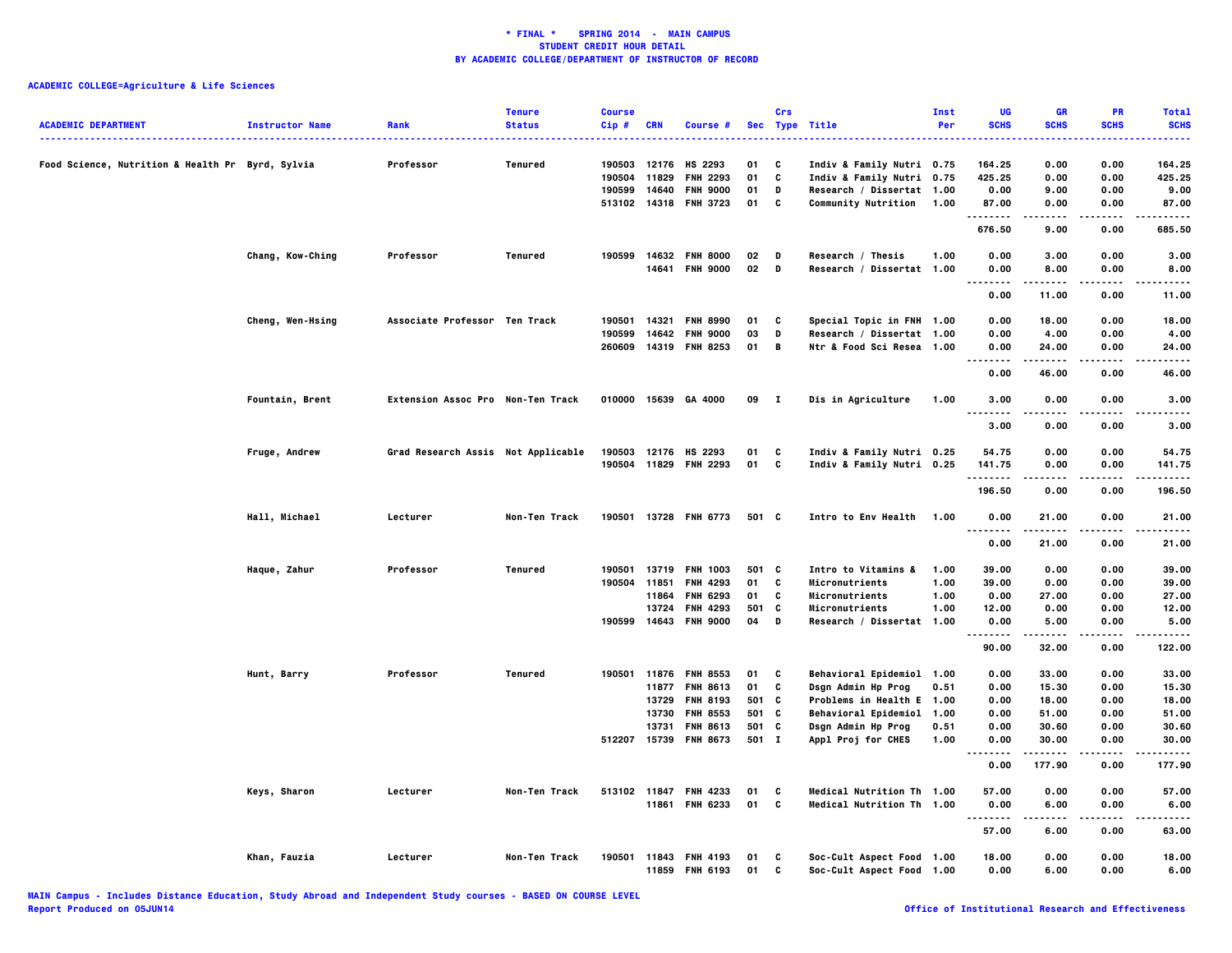| <b>ACADEMIC DEPARTMENT</b>                       | <b>Instructor Name</b> | Rank                               | <b>Tenure</b><br><b>Status</b> | <b>Course</b><br>Cip# | <b>CRN</b> | Course #              |       | Crs          | Sec Type Title             | Inst<br>Per | UG<br><b>SCHS</b>                     | GR<br><b>SCHS</b> | PR<br><b>SCHS</b> | <b>Total</b><br><b>SCHS</b> |
|--------------------------------------------------|------------------------|------------------------------------|--------------------------------|-----------------------|------------|-----------------------|-------|--------------|----------------------------|-------------|---------------------------------------|-------------------|-------------------|-----------------------------|
| Food Science, Nutrition & Health Pr Byrd, Sylvia |                        | Professor                          | Tenured                        | 190503                | 12176      | HS 2293               | 01    | C            | Indiv & Family Nutri 0.75  |             | 164.25                                | 0.00              | 0.00              | 164.25                      |
|                                                  |                        |                                    |                                | 190504                | 11829      | <b>FNH 2293</b>       | 01    | C            | Indiv & Family Nutri 0.75  |             | 425.25                                | 0.00              | 0.00              | 425.25                      |
|                                                  |                        |                                    |                                | 190599                | 14640      | <b>FNH 9000</b>       | 01    | D            | Research / Dissertat 1.00  |             | 0.00                                  | 9.00              | 0.00              | 9.00                        |
|                                                  |                        |                                    |                                | 513102                |            | 14318 FNH 3723        | 01    | C            | <b>Community Nutrition</b> | 1.00        | 87.00                                 | 0.00              | 0.00              | 87.00                       |
|                                                  |                        |                                    |                                |                       |            |                       |       |              |                            |             | .<br>676.50                           | -----<br>9.00     | .<br>0.00         | .<br>685.50                 |
|                                                  | Chang, Kow-Ching       | Professor                          | Tenured                        | 190599                |            | 14632 FNH 8000        | 02    | D            | Research / Thesis          | 1.00        | 0.00                                  | 3.00              | 0.00              | 3.00                        |
|                                                  |                        |                                    |                                |                       |            | 14641 FNH 9000        | 02    | D            | Research / Dissertat 1.00  |             | 0.00                                  | 8.00              | 0.00              | 8.00                        |
|                                                  |                        |                                    |                                |                       |            |                       |       |              |                            |             | 0.00                                  | 11.00             | 0.00              | 11.00                       |
|                                                  | Cheng, Wen-Hsing       | Associate Professor Ten Track      |                                | 190501                | 14321      | <b>FNH 8990</b>       | 01    | C            | Special Topic in FNH 1.00  |             | 0.00                                  | 18.00             | 0.00              | 18.00                       |
|                                                  |                        |                                    |                                | 190599                | 14642      | <b>FNH 9000</b>       | 03    | D            | Research / Dissertat 1.00  |             | 0.00                                  | 4.00              | 0.00              | 4.00                        |
|                                                  |                        |                                    |                                | 260609                |            | 14319 FNH 8253        | 01    | B            | Ntr & Food Sci Resea 1.00  |             | 0.00<br>-----<br>$\sim$ $\sim$ $\sim$ | 24.00<br>.        | 0.00              | 24.00<br>$\cdots$           |
|                                                  |                        |                                    |                                |                       |            |                       |       |              |                            |             | 0.00                                  | 46.00             | 0.00              | 46.00                       |
|                                                  | Fountain, Brent        | Extension Assoc Pro Non-Ten Track  |                                | 010000                |            | 15639 GA 4000         | 09    | $\mathbf{I}$ | Dis in Agriculture         | 1.00        | 3.00<br>$\sim$ $\sim$ $\sim$<br>.     | 0.00<br>.         | 0.00<br>$- - - -$ | 3.00<br>-----               |
|                                                  |                        |                                    |                                |                       |            |                       |       |              |                            |             | 3.00                                  | 0.00              | 0.00              | 3.00                        |
|                                                  | Fruge, Andrew          | Grad Research Assis Not Applicable |                                | 190503                |            | 12176 HS 2293         | 01    | C            | Indiv & Family Nutri 0.25  |             | 54.75                                 | 0.00              | 0.00              | 54.75                       |
|                                                  |                        |                                    |                                |                       |            | 190504 11829 FNH 2293 | 01    | c            | Indiv & Family Nutri 0.25  |             | 141.75                                | 0.00              | 0.00              | 141.75                      |
|                                                  |                        |                                    |                                |                       |            |                       |       |              |                            |             | .<br>196.50                           | 0.00              | 0.00              | $- - - - -$<br>196.50       |
|                                                  |                        |                                    |                                |                       |            |                       |       |              |                            |             |                                       |                   |                   |                             |
|                                                  | Hall, Michael          | Lecturer                           | Non-Ten Track                  |                       |            | 190501 13728 FNH 6773 | 501 C |              | Intro to Env Health        | 1.00        | 0.00<br>.                             | 21.00             | 0.00              | 21.00<br>.                  |
|                                                  |                        |                                    |                                |                       |            |                       |       |              |                            |             | 0.00                                  | 21.00             | 0.00              | 21.00                       |
|                                                  | Haque, Zahur           | Professor                          | Tenured                        | 190501                |            | 13719 FNH 1003        | 501 C |              | Intro to Vitamins &        | 1.00        | 39.00                                 | 0.00              | 0.00              | 39.00                       |
|                                                  |                        |                                    |                                | 190504 11851          |            | <b>FNH 4293</b>       | 01    | C            | Micronutrients             | 1.00        | 39.00                                 | 0.00              | 0.00              | 39.00                       |
|                                                  |                        |                                    |                                |                       | 11864      | <b>FNH 6293</b>       | 01    | C            | Micronutrients             | 1.00        | 0.00                                  | 27.00             | 0.00              | 27.00                       |
|                                                  |                        |                                    |                                |                       |            | 13724 FNH 4293        | 501   | C            | Micronutrients             | 1.00        | 12.00                                 | 0.00              | 0.00              | 12.00                       |
|                                                  |                        |                                    |                                | 190599                |            | 14643 FNH 9000        | 04    | $\,$ D       | Research / Dissertat 1.00  |             | 0.00<br>.                             | 5.00              | 0.00              | 5.00<br>.                   |
|                                                  |                        |                                    |                                |                       |            |                       |       |              |                            |             | 90.00                                 | 32.00             | 0.00              | 122.00                      |
|                                                  | Hunt, Barry            | Professor                          | Tenured                        |                       |            | 190501 11876 FNH 8553 | 01    | C            | Behavioral Epidemiol 1.00  |             | 0.00                                  | 33.00             | 0.00              | 33.00                       |
|                                                  |                        |                                    |                                |                       |            | 11877 FNH 8613        | 01    | C            | Dsgn Admin Hp Prog         | 0.51        | 0.00                                  | 15.30             | 0.00              | 15.30                       |
|                                                  |                        |                                    |                                |                       | 13729      | <b>FNH 8193</b>       | 501   | C            | Problems in Health E 1.00  |             | 0.00                                  | 18.00             | 0.00              | 18.00                       |
|                                                  |                        |                                    |                                |                       |            | 13730 FNH 8553        | 501 C |              | Behavioral Epidemiol 1.00  |             | 0.00                                  | 51.00             | 0.00              | 51.00                       |
|                                                  |                        |                                    |                                |                       | 13731      | <b>FNH 8613</b>       | 501 C |              | Dsgn Admin Hp Prog         | 0.51        | 0.00                                  | 30.60             | 0.00              | 30.60                       |
|                                                  |                        |                                    |                                | 512207                |            | 15739 FNH 8673        | 501 I |              | Appl Proj for CHES         | 1.00        | 0.00<br>                              | 30.00<br>.        | 0.00<br>.         | 30.00<br>.                  |
|                                                  |                        |                                    |                                |                       |            |                       |       |              |                            |             | 0.00                                  | 177.90            | 0.00              | 177.90                      |
|                                                  | Keys, Sharon           | Lecturer                           | Non-Ten Track                  |                       |            | 513102 11847 FNH 4233 | 01    | C            | Medical Nutrition Th 1.00  |             | 57.00                                 | 0.00              | 0.00              | 57.00                       |
|                                                  |                        |                                    |                                |                       |            | 11861 FNH 6233        | 01    | C            | Medical Nutrition Th 1.00  |             | 0.00                                  | 6.00              | 0.00              | 6.00                        |
|                                                  |                        |                                    |                                |                       |            |                       |       |              |                            |             | 57.00                                 | 6.00              | 0.00              | 63.00                       |
|                                                  | Khan, Fauzia           | Lecturer                           | Non-Ten Track                  |                       |            | 190501 11843 FNH 4193 | 01    | C            | Soc-Cult Aspect Food 1.00  |             | 18.00                                 | 0.00              | 0.00              | 18,00                       |
|                                                  |                        |                                    |                                |                       | 11859      | <b>FNH 6193</b>       | 01    | C            | Soc-Cult Aspect Food 1.00  |             | 0.00                                  | 6.00              | 0.00              | 6.00                        |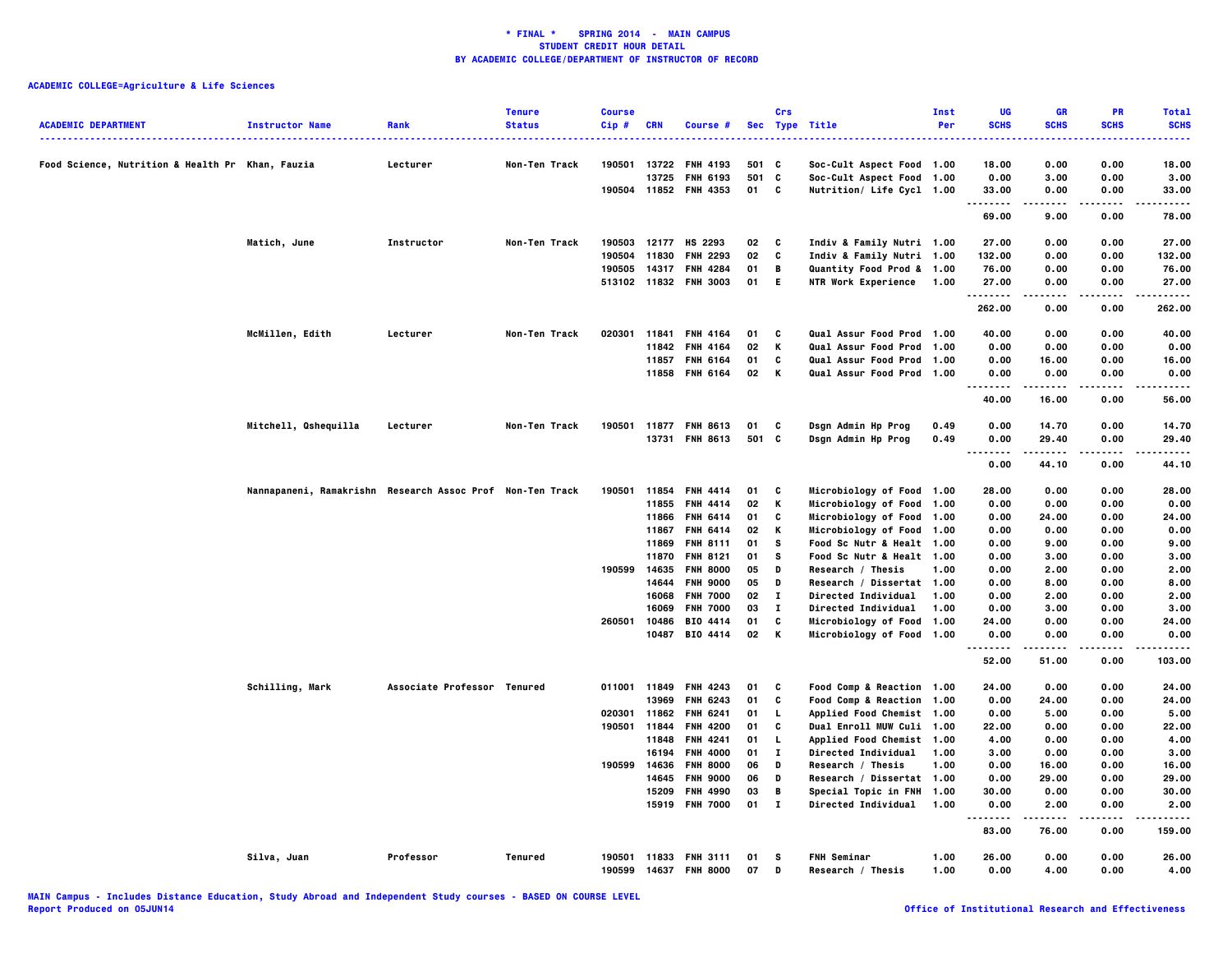| <b>ACADEMIC DEPARTMENT</b>                       | <b>Instructor Name</b>                                    | Rank                        | <b>Tenure</b><br><b>Status</b> | <b>Course</b><br>Cip# | CRN          | Course #              |       | Crs          | Sec Type Title                       | Inst<br>Per | UG<br><b>SCHS</b> | <b>GR</b><br><b>SCHS</b> | <b>PR</b><br><b>SCHS</b> | <b>Total</b><br><b>SCHS</b> |
|--------------------------------------------------|-----------------------------------------------------------|-----------------------------|--------------------------------|-----------------------|--------------|-----------------------|-------|--------------|--------------------------------------|-------------|-------------------|--------------------------|--------------------------|-----------------------------|
|                                                  |                                                           |                             |                                |                       |              |                       |       |              |                                      |             |                   |                          |                          |                             |
| Food Science, Nutrition & Health Pr Khan, Fauzia |                                                           | Lecturer                    | Non-Ten Track                  | 190501                | 13722        | <b>FNH 4193</b>       | 501   | C            | Soc-Cult Aspect Food 1.00            |             | 18.00             | 0.00                     | 0.00                     | 18.00                       |
|                                                  |                                                           |                             |                                |                       | 13725        | <b>FNH 6193</b>       | 501 C |              | Soc-Cult Aspect Food 1.00            |             | 0.00              | 3.00                     | 0.00                     | 3.00                        |
|                                                  |                                                           |                             |                                |                       |              | 190504 11852 FNH 4353 | 01 C  |              | Nutrition/ Life Cycl 1.00            |             | 33.00<br>.        | 0.00<br>.                | 0.00<br>.                | 33.00<br>----               |
|                                                  |                                                           |                             |                                |                       |              |                       |       |              |                                      |             | 69.00             | 9.00                     | 0.00                     | 78.00                       |
|                                                  | Matich, June                                              | Instructor                  | Non-Ten Track                  |                       |              | 190503 12177 HS 2293  | 02    | C            | Indiv & Family Nutri 1.00            |             | 27.00             | 0.00                     | 0.00                     | 27.00                       |
|                                                  |                                                           |                             |                                | 190504                | 11830        | <b>FNH 2293</b>       | 02    | C            | Indiv & Family Nutri 1.00            |             | 132.00            | 0.00                     | 0.00                     | 132.00                      |
|                                                  |                                                           |                             |                                | 190505                | 14317        | <b>FNH 4284</b>       | 01    | B            | Quantity Food Prod & 1.00            |             | 76.00             | 0.00                     | 0.00                     | 76.00                       |
|                                                  |                                                           |                             |                                |                       |              | 513102 11832 FNH 3003 | 01 E  |              | NTR Work Experience 1.00             |             | 27.00<br>.        | 0.00<br>.                | 0.00<br>$- - - -$        | 27.00<br>.                  |
|                                                  |                                                           |                             |                                |                       |              |                       |       |              |                                      |             | 262.00            | 0.00                     | 0.00                     | 262.00                      |
|                                                  | McMillen, Edith                                           | Lecturer                    | Non-Ten Track                  |                       | 020301 11841 | <b>FNH 4164</b>       | 01    | C            | <b>Qual Assur Food Prod 1.00</b>     |             | 40.00             | 0.00                     | 0.00                     | 40.00                       |
|                                                  |                                                           |                             |                                |                       | 11842        | <b>FNH 4164</b>       | 02    | K            | <b>Qual Assur Food Prod 1.00</b>     |             | 0.00              | 0.00                     | 0.00                     | 0.00                        |
|                                                  |                                                           |                             |                                |                       | 11857        | <b>FNH 6164</b>       | 01    | C            | Qual Assur Food Prod 1.00            |             | 0.00              | 16.00                    | 0.00                     | 16.00                       |
|                                                  |                                                           |                             |                                |                       |              | 11858 FNH 6164        | 02    | K            | Qual Assur Food Prod 1.00            |             | 0.00<br>.         | 0.00<br>.                | 0.00<br>$- - - -$        | 0.00<br>.                   |
|                                                  |                                                           |                             |                                |                       |              |                       |       |              |                                      |             | 40.00             | 16.00                    | 0.00                     | 56.00                       |
|                                                  | Mitchell, Qshequilla                                      | Lecturer                    | Non-Ten Track                  |                       |              | 190501 11877 FNH 8613 | 01    | C            | Dsgn Admin Hp Prog                   | 0.49        | 0.00              | 14.70                    | 0.00                     | 14.70                       |
|                                                  |                                                           |                             |                                |                       |              | 13731 FNH 8613        | 501 C |              | Dsgn Admin Hp Prog                   | 0.49        | 0.00              | 29.40                    | 0.00                     | 29.40                       |
|                                                  |                                                           |                             |                                |                       |              |                       |       |              |                                      |             | .<br>0.00         | .<br>44.10               | .<br>0.00                | .<br>44.10                  |
|                                                  | Nannapaneni, Ramakrishn Research Assoc Prof Non-Ten Track |                             |                                | 190501                |              | 11854 FNH 4414        | 01    | C            | Microbiology of Food 1.00            |             | 28.00             | 0.00                     | 0.00                     | 28.00                       |
|                                                  |                                                           |                             |                                |                       | 11855        | <b>FNH 4414</b>       | 02    | К            | Microbiology of Food 1.00            |             | 0.00              | 0.00                     | 0.00                     | 0.00                        |
|                                                  |                                                           |                             |                                |                       |              | 11866 FNH 6414        | 01    | C            | Microbiology of Food 1.00            |             | 0.00              | 24.00                    | 0.00                     | 24.00                       |
|                                                  |                                                           |                             |                                |                       |              | 11867 FNH 6414        | 02    | К            | Microbiology of Food 1.00            |             | 0.00              | 0.00                     | 0.00                     | 0.00                        |
|                                                  |                                                           |                             |                                |                       | 11869        | <b>FNH 8111</b>       | 01    | s            | Food Sc Nutr & Healt 1.00            |             | 0.00              | 9.00                     | 0.00                     | 9.00                        |
|                                                  |                                                           |                             |                                |                       | 11870        | <b>FNH 8121</b>       | 01    | <b>S</b>     | <b>Food Sc Nutr &amp; Healt 1.00</b> |             | 0.00              | 3.00                     | 0.00                     | 3.00                        |
|                                                  |                                                           |                             |                                | 190599                | 14635        | <b>FNH 8000</b>       | 05    | D            | Research / Thesis                    | 1.00        | 0.00              | 2.00                     | 0.00                     | 2.00                        |
|                                                  |                                                           |                             |                                |                       | 14644        | <b>FNH 9000</b>       | 05    | D            | Research / Dissertat 1.00            |             | 0.00              | 8.00                     | 0.00                     | 8.00                        |
|                                                  |                                                           |                             |                                |                       | 16068        | <b>FNH 7000</b>       | 02    | $\bf{I}$     | <b>Directed Individual</b>           | 1.00        | 0.00              | 2.00                     | 0.00                     | 2.00                        |
|                                                  |                                                           |                             |                                |                       | 16069        | <b>FNH 7000</b>       | 03    | $\mathbf{I}$ | <b>Directed Individual</b>           | 1.00        | 0.00              | 3.00                     | 0.00                     | 3.00                        |
|                                                  |                                                           |                             |                                | 260501                | 10486        | <b>BIO 4414</b>       | 01    | C            | Microbiology of Food 1.00            |             | 24.00             | 0.00                     | 0.00                     | 24.00                       |
|                                                  |                                                           |                             |                                |                       |              | 10487 BIO 4414        | 02    | K            | Microbiology of Food 1.00            |             | 0.00<br>.         | 0.00<br>.                | 0.00<br>.                | 0.00<br>$\cdots$            |
|                                                  |                                                           |                             |                                |                       |              |                       |       |              |                                      |             | 52.00             | 51.00                    | 0.00                     | 103.00                      |
|                                                  | Schilling, Mark                                           | Associate Professor Tenured |                                |                       |              | 011001 11849 FNH 4243 | 01    | C            | Food Comp & Reaction 1.00            |             | 24.00             | 0.00                     | 0.00                     | 24.00                       |
|                                                  |                                                           |                             |                                |                       | 13969        | <b>FNH 6243</b>       | 01    | C            | Food Comp & Reaction 1.00            |             | 0.00              | 24.00                    | 0.00                     | 24.00                       |
|                                                  |                                                           |                             |                                |                       | 020301 11862 | <b>FNH 6241</b>       | 01    | $\mathbf{L}$ | Applied Food Chemist 1.00            |             | 0.00              | 5.00                     | 0.00                     | 5.00                        |
|                                                  |                                                           |                             |                                |                       | 190501 11844 | <b>FNH 4200</b>       | 01    | C            | <b>Dual Enroll MUW Culi 1.00</b>     |             | 22.00             | 0.00                     | 0.00                     | 22.00                       |
|                                                  |                                                           |                             |                                |                       | 11848        | <b>FNH 4241</b>       | 01    | L.           | Applied Food Chemist 1.00            |             | 4.00              | 0.00                     | 0.00                     | 4.00                        |
|                                                  |                                                           |                             |                                |                       | 16194        | <b>FNH 4000</b>       | 01    | п            | <b>Directed Individual</b>           | 1.00        | 3.00              | 0.00                     | 0.00                     | 3.00                        |
|                                                  |                                                           |                             |                                | 190599                | 14636        | <b>FNH 8000</b>       | 06    | D            | Research / Thesis                    | 1.00        | 0.00              | 16.00                    | 0.00                     | 16.00                       |
|                                                  |                                                           |                             |                                |                       | 14645        | <b>FNH 9000</b>       | 06    | D            | Research / Dissertat 1.00            |             | 0.00              | 29.00                    | 0.00                     | 29.00                       |
|                                                  |                                                           |                             |                                |                       | 15209        | <b>FNH 4990</b>       | 03    | B            | Special Topic in FNH 1.00            |             | 30.00             | 0.00                     | 0.00                     | 30.00                       |
|                                                  |                                                           |                             |                                |                       |              | 15919 FNH 7000        | 01    | $\mathbf{I}$ | <b>Directed Individual</b>           | 1.00        | 0.00<br>.         | 2.00<br>.                | 0.00                     | 2.00<br>.                   |
|                                                  |                                                           |                             |                                |                       |              |                       |       |              |                                      |             | 83.00             | 76.00                    | 0.00                     | 159.00                      |
|                                                  | Silva, Juan                                               | Professor                   | Tenured                        |                       |              | 190501 11833 FNH 3111 | 01    | s            | <b>FNH Seminar</b>                   | 1.00        | 26.00             | 0.00                     | 0.00                     | 26.00                       |
|                                                  |                                                           |                             |                                |                       | 190599 14637 | <b>FNH 8000</b>       | 07    | D            | Research / Thesis                    | 1.00        | 0.00              | 4.00                     | 0.00                     | 4.00                        |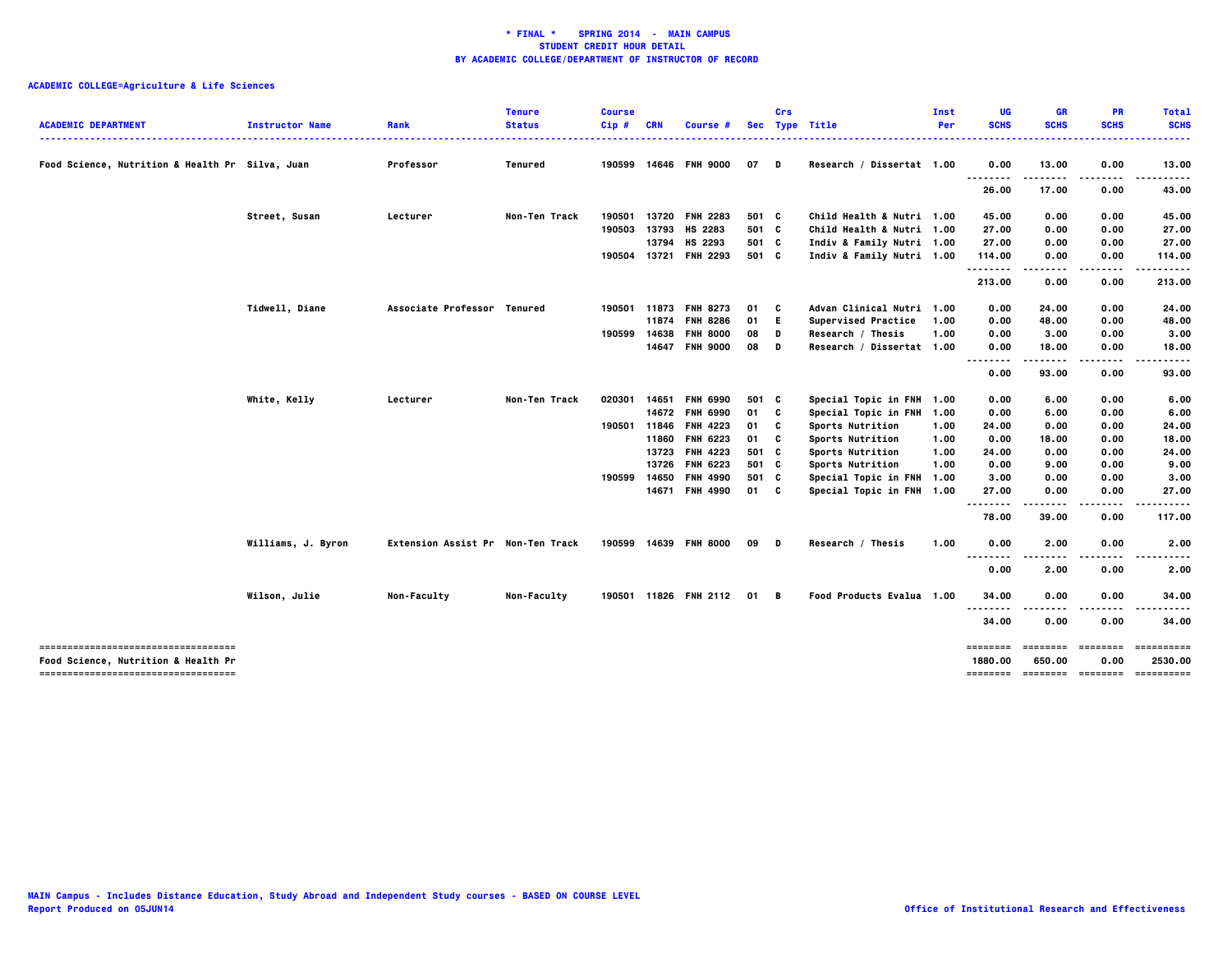|                                                                            |                        |                                   | <b>Tenure</b>  | <b>Course</b> |            |                       |       | Crs |                            | Inst | UG          | GR          | <b>PR</b>   | <b>Total</b>                          |
|----------------------------------------------------------------------------|------------------------|-----------------------------------|----------------|---------------|------------|-----------------------|-------|-----|----------------------------|------|-------------|-------------|-------------|---------------------------------------|
| <b>ACADEMIC DEPARTMENT</b>                                                 | <b>Instructor Name</b> | Rank                              | <b>Status</b>  | Cip#          | <b>CRN</b> | Course #              |       |     | Sec Type Title             | Per  | <b>SCHS</b> | <b>SCHS</b> | <b>SCHS</b> | <b>SCHS</b>                           |
| Food Science, Nutrition & Health Pr Silva, Juan                            |                        | Professor                         | <b>Tenured</b> |               |            | 190599 14646 FNH 9000 | 07    | D   | Research / Dissertat 1.00  |      | 0.00        | 13.00       | 0.00        | 13.00                                 |
|                                                                            |                        |                                   |                |               |            |                       |       |     |                            |      | <br>26.00   | 17.00       | 0.00        | 43.00                                 |
|                                                                            | Street, Susan          | Lecturer                          | Non-Ten Track  | 190501        | 13720      | <b>FNH 2283</b>       | 501 C |     | Child Health & Nutri 1.00  |      | 45.00       | 0.00        | 0.00        | 45.00                                 |
|                                                                            |                        |                                   |                | 190503        | 13793      | HS 2283               | 501 C |     | Child Health & Nutri 1.00  |      | 27.00       | 0.00        | 0.00        | 27.00                                 |
|                                                                            |                        |                                   |                |               | 13794      | HS 2293               | 501 C |     | Indiv & Family Nutri 1.00  |      | 27.00       | 0.00        | 0.00        | 27.00                                 |
|                                                                            |                        |                                   |                |               |            | 190504 13721 FNH 2293 | 501 C |     | Indiv & Family Nutri 1.00  |      | 114.00      | 0.00        | 0.00        | 114.00                                |
|                                                                            |                        |                                   |                |               |            |                       |       |     |                            |      | <br>213.00  | 0.00        | 0.00        | 213.00                                |
|                                                                            | Tidwell, Diane         | Associate Professor Tenured       |                | 190501        | 11873      | <b>FNH 8273</b>       | 01    | C   | Advan Clinical Nutri 1.00  |      | 0.00        | 24.00       | 0.00        | 24.00                                 |
|                                                                            |                        |                                   |                |               | 11874      | <b>FNH 8286</b>       | 01    | E.  | <b>Supervised Practice</b> | 1.00 | 0.00        | 48.00       | 0.00        | 48.00                                 |
|                                                                            |                        |                                   |                | 190599 14638  |            | <b>FNH 8000</b>       | 08    | D   | Research / Thesis          | 1.00 | 0.00        | 3.00        | 0.00        | 3.00                                  |
|                                                                            |                        |                                   |                |               |            | 14647 FNH 9000        | 08    | D   | Research / Dissertat 1.00  |      | 0.00        | 18.00       | 0.00        | 18.00                                 |
|                                                                            |                        |                                   |                |               |            |                       |       |     |                            |      | <br>0.00    | 93.00       | 0.00        | 93.00                                 |
|                                                                            | White, Kelly           | Lecturer                          | Non-Ten Track  | 020301        | 14651      | <b>FNH 6990</b>       | 501 C |     | Special Topic in FNH 1.00  |      | 0.00        | 6.00        | 0.00        | 6.00                                  |
|                                                                            |                        |                                   |                |               | 14672      | <b>FNH 6990</b>       | 01    | C   | Special Topic in FNH 1.00  |      | 0.00        | 6.00        | 0.00        | 6.00                                  |
|                                                                            |                        |                                   |                | 190501 11846  |            | <b>FNH 4223</b>       | 01    | C   | Sports Nutrition           | 1.00 | 24.00       | 0.00        | 0.00        | 24.00                                 |
|                                                                            |                        |                                   |                |               | 11860      | <b>FNH 6223</b>       | 01    | c   | Sports Nutrition           | 1.00 | 0.00        | 18.00       | 0.00        | 18.00                                 |
|                                                                            |                        |                                   |                |               | 13723      | <b>FNH 4223</b>       | 501 C |     | <b>Sports Nutrition</b>    | 1.00 | 24.00       | 0.00        | 0.00        | 24.00                                 |
|                                                                            |                        |                                   |                |               | 13726      | <b>FNH 6223</b>       | 501 C |     | Sports Nutrition           | 1.00 | 0.00        | 9.00        | 0.00        | 9.00                                  |
|                                                                            |                        |                                   |                | 190599        | 14650      | <b>FNH 4990</b>       | 501 C |     | Special Topic in FNH 1.00  |      | 3.00        | 0.00        | 0.00        | 3.00                                  |
|                                                                            |                        |                                   |                |               |            | 14671 FNH 4990        | 01 C  |     | Special Topic in FNH 1.00  |      | 27.00       | 0.00        | 0.00        | 27.00                                 |
|                                                                            |                        |                                   |                |               |            |                       |       |     |                            |      | <br>78.00   | 39.00       | 0.00        | 117.00                                |
|                                                                            | Williams, J. Byron     | Extension Assist Pr Non-Ten Track |                |               |            | 190599 14639 FNH 8000 | 09    | D   | Research / Thesis          | 1.00 | 0.00        | 2.00        | 0.00        | 2.00                                  |
|                                                                            |                        |                                   |                |               |            |                       |       |     |                            |      | 0.00        | 2.00        | 0.00        | 2.00                                  |
|                                                                            | Wilson, Julie          | Non-Faculty                       | Non-Faculty    |               |            | 190501 11826 FNH 2112 | 01    | в   | Food Products Evalua 1.00  |      | 34.00       | 0.00        | 0.00        | 34.00                                 |
|                                                                            |                        |                                   |                |               |            |                       |       |     |                            |      | <br>34.00   | 0.00        | 0.00        | 34.00                                 |
| -----------------------------------                                        |                        |                                   |                |               |            |                       |       |     |                            |      | ========    | ========    | ========    | ==========                            |
| Food Science, Nutrition & Health Pr<br>----------------------------------- |                        |                                   |                |               |            |                       |       |     |                            |      | 1880.00     | 650.00      | 0.00        | 2530.00                               |
|                                                                            |                        |                                   |                |               |            |                       |       |     |                            |      |             |             |             | ======== ======== ======== ========== |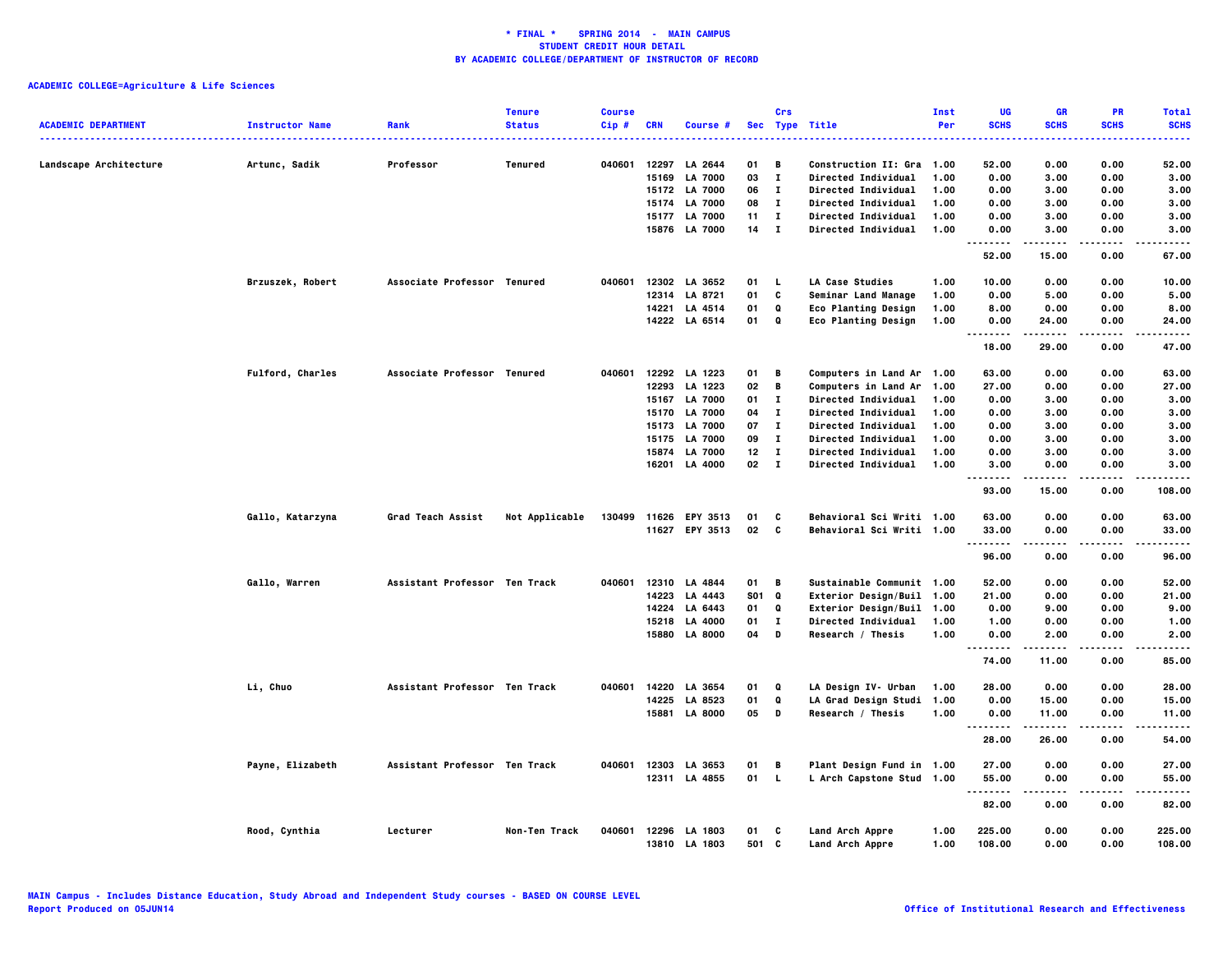| <b>ACADEMIC DEPARTMENT</b> | <b>Instructor Name</b>  | Rank                          | <b>Tenure</b><br><b>Status</b> | <b>Course</b><br>Cip# | <b>CRN</b> | Course #                       |                 | Crs          | Sec Type Title                     | Inst<br>Per  | UG<br><b>SCHS</b>             | <b>GR</b><br><b>SCHS</b> | <b>PR</b><br><b>SCHS</b> | <b>Total</b><br><b>SCHS</b> |
|----------------------------|-------------------------|-------------------------------|--------------------------------|-----------------------|------------|--------------------------------|-----------------|--------------|------------------------------------|--------------|-------------------------------|--------------------------|--------------------------|-----------------------------|
|                            |                         |                               |                                |                       |            |                                |                 |              |                                    |              |                               |                          |                          |                             |
| Landscape Architecture     | Artunc, Sadik           | Professor                     | Tenured                        | 040601                | 12297      | LA 2644                        | 01              | В            | <b>Construction II: Gra 1.00</b>   |              | 52.00                         | 0.00                     | 0.00                     | 52.00                       |
|                            |                         |                               |                                |                       | 15169      | <b>LA 7000</b>                 | 03              | $\mathbf{I}$ | Directed Individual                | 1.00         | 0.00                          | 3.00                     | 0.00                     | 3.00                        |
|                            |                         |                               |                                |                       |            | 15172 LA 7000                  | 06              | $\mathbf{I}$ | Directed Individual                | 1.00         | 0.00                          | 3.00                     | 0.00                     | 3.00                        |
|                            |                         |                               |                                |                       | 15174      | <b>LA 7000</b>                 | 08              | $\mathbf{I}$ | <b>Directed Individual</b>         | 1.00         | 0.00                          | 3.00                     | 0.00                     | 3.00                        |
|                            |                         |                               |                                |                       | 15177      | <b>LA 7000</b>                 | 11              | $\mathbf{I}$ | <b>Directed Individual</b>         | 1.00         | 0.00                          | 3.00                     | 0.00                     | 3,00                        |
|                            |                         |                               |                                |                       | 15876      | <b>LA 7000</b>                 | 14              | $\mathbf{I}$ | <b>Directed Individual</b>         | 1.00         | 0.00                          | 3.00                     | 0.00                     | 3.00                        |
|                            |                         |                               |                                |                       |            |                                |                 |              |                                    |              | -----<br>52.00                | -----<br>15.00           | .<br>0.00                | $- - - -$<br>67.00          |
|                            | Brzuszek, Robert        | Associate Professor Tenured   |                                | 040601                |            | 12302 LA 3652                  | 01              | <b>L</b>     | LA Case Studies                    | 1.00         | 10.00                         | 0.00                     | 0.00                     | 10.00                       |
|                            |                         |                               |                                |                       |            | 12314 LA 8721                  | 01              | C            | Seminar Land Manage                | 1.00         | 0.00                          | 5.00                     | 0.00                     | 5.00                        |
|                            |                         |                               |                                |                       |            | 14221 LA 4514                  | 01              | Q            | <b>Eco Planting Design</b>         | 1.00         | 8.00                          | 0.00                     | 0.00                     | 8.00                        |
|                            |                         |                               |                                |                       |            | 14222 LA 6514                  | 01              | Q            | <b>Eco Planting Design</b>         | 1.00         | 0.00                          | 24.00                    | 0.00                     | 24.00                       |
|                            |                         |                               |                                |                       |            |                                |                 |              |                                    |              | --------<br>18.00             | 29.00                    | 0.00                     | 47.00                       |
|                            | <b>Fulford, Charles</b> | Associate Professor Tenured   |                                | 040601                |            | 12292 LA 1223                  | 01              | В            | <b>Computers in Land Ar 1.00</b>   |              | 63.00                         | 0.00                     | 0.00                     | 63.00                       |
|                            |                         |                               |                                |                       |            | 12293 LA 1223                  | 02              | В            | <b>Computers in Land Ar</b>        | 1.00         | 27.00                         | 0.00                     | 0.00                     | 27.00                       |
|                            |                         |                               |                                |                       | 15167      | <b>LA 7000</b>                 | 01              | $\mathbf{I}$ | Directed Individual                | 1.00         | 0.00                          | 3.00                     | 0.00                     | 3.00                        |
|                            |                         |                               |                                |                       | 15170      | <b>LA 7000</b>                 | 04              | $\bf{I}$     | Directed Individual                | 1.00         | 0.00                          | 3.00                     | 0.00                     | 3.00                        |
|                            |                         |                               |                                |                       | 15173      | <b>LA 7000</b>                 | 07              | $\mathbf{I}$ | <b>Directed Individual</b>         | 1.00         | 0.00                          | 3.00                     | 0.00                     | 3.00                        |
|                            |                         |                               |                                |                       | 15175      | <b>LA 7000</b>                 | 09              | $\bf{I}$     | <b>Directed Individual</b>         | 1.00         | 0.00                          | 3.00                     | 0.00                     | 3.00                        |
|                            |                         |                               |                                |                       | 15874      | <b>LA 7000</b>                 | 12 <sub>2</sub> | $\mathbf{I}$ | Directed Individual                | 1.00         | 0.00                          | 3.00                     | 0.00                     | 3.00                        |
|                            |                         |                               |                                |                       | 16201      | LA 4000                        | 02 I            |              | Directed Individual                | 1.00         | 3.00                          | 0.00                     | 0.00                     | 3.00                        |
|                            |                         |                               |                                |                       |            |                                |                 |              |                                    |              | .<br>93.00                    | 15.00                    | $- - - -$<br>0.00        | 108.00                      |
|                            | Gallo, Katarzyna        | Grad Teach Assist             | Not Applicable                 |                       |            | 130499 11626 EPY 3513          | 01              | C            | Behavioral Sci Writi 1.00          |              | 63.00                         | 0.00                     | 0.00                     | 63.00                       |
|                            |                         |                               |                                |                       |            | 11627 EPY 3513                 | 02              | C            | Behavioral Sci Writi 1.00          |              | 33.00                         | 0.00                     | 0.00                     | 33.00                       |
|                            |                         |                               |                                |                       |            |                                |                 |              |                                    |              | .<br>96.00                    | 0.00                     | 0.00                     | 96.00                       |
|                            | Gallo, Warren           | Assistant Professor Ten Track |                                | 040601                |            | 12310 LA 4844                  | 01              | В            | Sustainable Communit 1.00          |              | 52.00                         | 0.00                     | 0.00                     | 52.00                       |
|                            |                         |                               |                                |                       | 14223      | LA 4443                        | <b>SO1</b>      | Q            | Exterior Design/Buil 1.00          |              | 21.00                         | 0.00                     | 0.00                     | 21.00                       |
|                            |                         |                               |                                |                       | 14224      | LA 6443                        | 01              | Q            | Exterior Design/Buil               | 1.00         | 0.00                          | 9.00                     | 0.00                     | 9.00                        |
|                            |                         |                               |                                |                       | 15218      | LA 4000                        | 01              | $\mathbf{I}$ | Directed Individual                | 1.00         | 1.00                          | 0.00                     | 0.00                     | 1.00                        |
|                            |                         |                               |                                |                       | 15880      | <b>LA 8000</b>                 | 04              | D            | Research / Thesis                  | 1.00         | 0.00                          | 2.00                     | 0.00                     | 2.00                        |
|                            |                         |                               |                                |                       |            |                                |                 |              |                                    |              | $\sim$ $\sim$ $\sim$<br>74.00 | 11.00                    | 0.00                     | 85.00                       |
|                            | Li, Chuo                | Assistant Professor Ten Track |                                | 040601                | 14220      | LA 3654                        | 01              | Q            | LA Design IV- Urban                | 1.00         | 28.00                         | 0.00                     | 0.00                     | 28.00                       |
|                            |                         |                               |                                |                       | 14225      | LA 8523                        | 01              | Q            | LA Grad Design Studi 1.00          |              | 0.00                          | 15.00                    | 0.00                     | 15.00                       |
|                            |                         |                               |                                |                       |            | 15881 LA 8000                  | 05              | D            | Research / Thesis                  | 1.00         | 0.00                          | 11.00                    | 0.00                     | 11.00                       |
|                            |                         |                               |                                |                       |            |                                |                 |              |                                    |              | .<br>28.00                    | .<br>26.00               | .<br>0.00                | .<br>54.00                  |
|                            | Payne, Elizabeth        | Assistant Professor Ten Track |                                | 040601                | 12303      | LA 3653                        | 01              | В            | Plant Design Fund in 1.00          |              | 27.00                         | 0.00                     | 0.00                     | 27.00                       |
|                            |                         |                               |                                |                       |            | 12311 LA 4855                  | 01              | $\mathbf{L}$ | L Arch Capstone Stud 1.00          |              | 55.00<br>.                    | 0.00                     | 0.00                     | 55.00                       |
|                            |                         |                               |                                |                       |            |                                |                 |              |                                    |              | 82.00                         | 0.00                     | 0.00                     | 82.00                       |
|                            | Rood, Cynthia           | Lecturer                      | Non-Ten Track                  | 040601                |            | 12296 LA 1803<br>13810 LA 1803 | 01<br>501       | C<br>C       | Land Arch Appre<br>Land Arch Appre | 1.00<br>1.00 | 225.00<br>108,00              | 0.00<br>0.00             | 0.00<br>0.00             | 225.00<br>108.00            |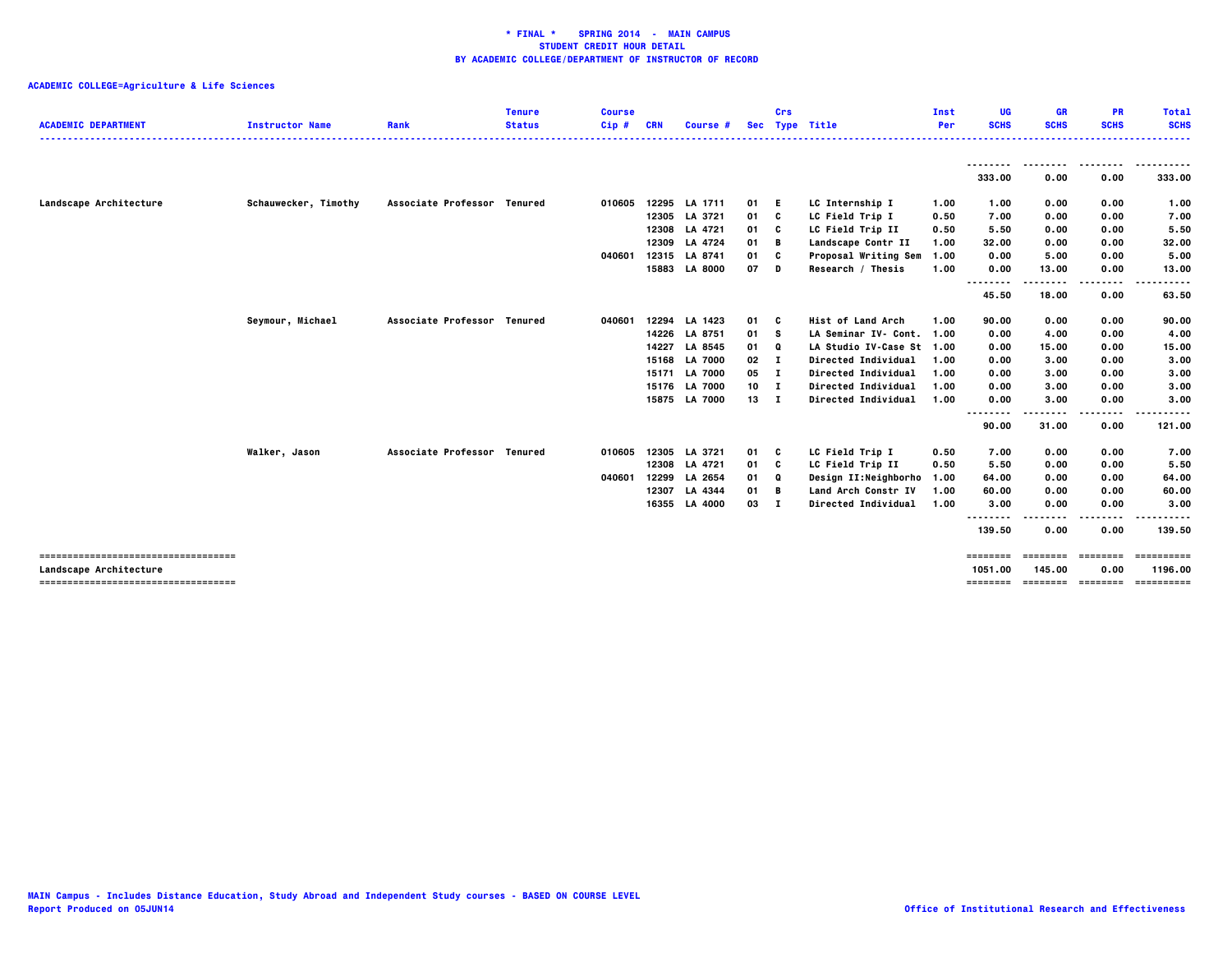| <b>ACADEMIC DEPARTMENT</b>            | <b>Instructor Name</b> | Rank                        | Tenure<br><b>Status</b> | <b>Course</b><br>Cip# | <b>CRN</b> | Course #       |      | Crs          | Sec Type Title             | Inst<br><b>Per</b> | UG<br><b>SCHS</b>  | <b>GR</b><br><b>SCHS</b> | <b>PR</b><br><b>SCHS</b> | <b>Total</b><br><b>SCHS</b> |
|---------------------------------------|------------------------|-----------------------------|-------------------------|-----------------------|------------|----------------|------|--------------|----------------------------|--------------------|--------------------|--------------------------|--------------------------|-----------------------------|
|                                       |                        |                             |                         |                       |            |                |      |              |                            |                    | --------<br>333.00 | --------<br>0.00         | 0.00                     | .<br>333.00                 |
| Landscape Architecture                | Schauwecker, Timothy   | Associate Professor Tenured |                         | 010605                | 12295      | LA 1711        | 01 E |              | LC Internship I            | 1.00               | 1.00               | 0.00                     | 0.00                     | 1.00                        |
|                                       |                        |                             |                         |                       |            | 12305 LA 3721  | 01   | C            | LC Field Trip I            | 0.50               | 7.00               | 0.00                     | 0.00                     | 7.00                        |
|                                       |                        |                             |                         |                       |            | 12308 LA 4721  | 01   | C            | LC Field Trip II           | 0.50               | 5.50               | 0.00                     | 0.00                     | 5.50                        |
|                                       |                        |                             |                         |                       | 12309      | LA 4724        | 01   | B            | Landscape Contr II         | 1.00               | 32.00              | 0.00                     | 0.00                     | 32.00                       |
|                                       |                        |                             |                         | 040601                | 12315      | LA 8741        | 01   | C            | Proposal Writing Sem       | 1.00               | 0.00               | 5.00                     | 0.00                     | 5.00                        |
|                                       |                        |                             |                         |                       |            | 15883 LA 8000  | 07   | D            | Research / Thesis          | 1.00               | 0.00               | 13.00                    | 0.00                     | 13.00                       |
|                                       |                        |                             |                         |                       |            |                |      |              |                            |                    | .<br>45.50         | 18.00                    | 0.00                     | 63.50                       |
|                                       | Seymour, Michael       | <b>Associate Professor</b>  | Tenured                 | 040601                | 12294      | LA 1423        | 01   | - C          | <b>Hist of Land Arch</b>   | 1.00               | 90.00              | 0.00                     | 0.00                     | 90.00                       |
|                                       |                        |                             |                         |                       |            | 14226 LA 8751  | 01 S |              | LA Seminar IV- Cont. 1.00  |                    | 0.00               | 4.00                     | 0.00                     | 4.00                        |
|                                       |                        |                             |                         |                       | 14227      | LA 8545        | 01   | Q            | LA Studio IV-Case St 1.00  |                    | 0.00               | 15.00                    | 0.00                     | 15.00                       |
|                                       |                        |                             |                         |                       | 15168      | <b>LA 7000</b> | 02   | $\mathbf{I}$ | Directed Individual        | 1.00               | 0.00               | 3.00                     | 0.00                     | 3.00                        |
|                                       |                        |                             |                         |                       | 15171      | <b>LA 7000</b> | 05   | $\mathbf{I}$ | Directed Individual        | 1.00               | 0.00               | 3.00                     | 0.00                     | 3.00                        |
|                                       |                        |                             |                         |                       | 15176      | <b>LA 7000</b> | 10   | $\mathbf{I}$ | Directed Individual        | 1.00               | 0.00               | 3.00                     | 0.00                     | 3.00                        |
|                                       |                        |                             |                         |                       |            | 15875 LA 7000  | 13 I |              | <b>Directed Individual</b> | 1.00               | 0.00               | 3.00                     | 0.00                     | 3.00                        |
|                                       |                        |                             |                         |                       |            |                |      |              |                            |                    | .<br>.<br>90.00    | 31.00                    | 0.00                     | 121.00                      |
|                                       | Walker, Jason          | Associate Professor Tenured |                         | 010605                | 12305      | LA 3721        | 01 C |              | LC Field Trip I            | 0.50               | 7.00               | 0.00                     | 0.00                     | 7.00                        |
|                                       |                        |                             |                         |                       |            | 12308 LA 4721  | 01   | C            | LC Field Trip II           | 0.50               | 5.50               | 0.00                     | 0.00                     | 5.50                        |
|                                       |                        |                             |                         | 040601                | 12299      | LA 2654        | 01   | Q            | Design II:Neighborho       | 1.00               | 64.00              | 0.00                     | 0.00                     | 64.00                       |
|                                       |                        |                             |                         |                       | 12307      | LA 4344        | 01   | в            | Land Arch Constr IV        | 1.00               | 60.00              | 0.00                     | 0.00                     | 60.00                       |
|                                       |                        |                             |                         |                       |            | 16355 LA 4000  | 03 I |              | Directed Individual        | 1.00               | 3.00               | 0.00                     | 0.00                     | 3.00                        |
|                                       |                        |                             |                         |                       |            |                |      |              |                            |                    | .<br>139.50        | .<br>0.00                | .<br>0.00                | .<br>139.50                 |
| ------------------------------------- |                        |                             |                         |                       |            |                |      |              |                            |                    | ========           | eeeeeee                  | ========                 | ==========                  |
| <b>Landscape Architecture</b>         |                        |                             |                         |                       |            |                |      |              |                            |                    | 1051.00            | 145.00                   | 0.00                     | 1196.00                     |
| ------------------------------------- |                        |                             |                         |                       |            |                |      |              |                            |                    | ========           | -------------------      |                          | ==========                  |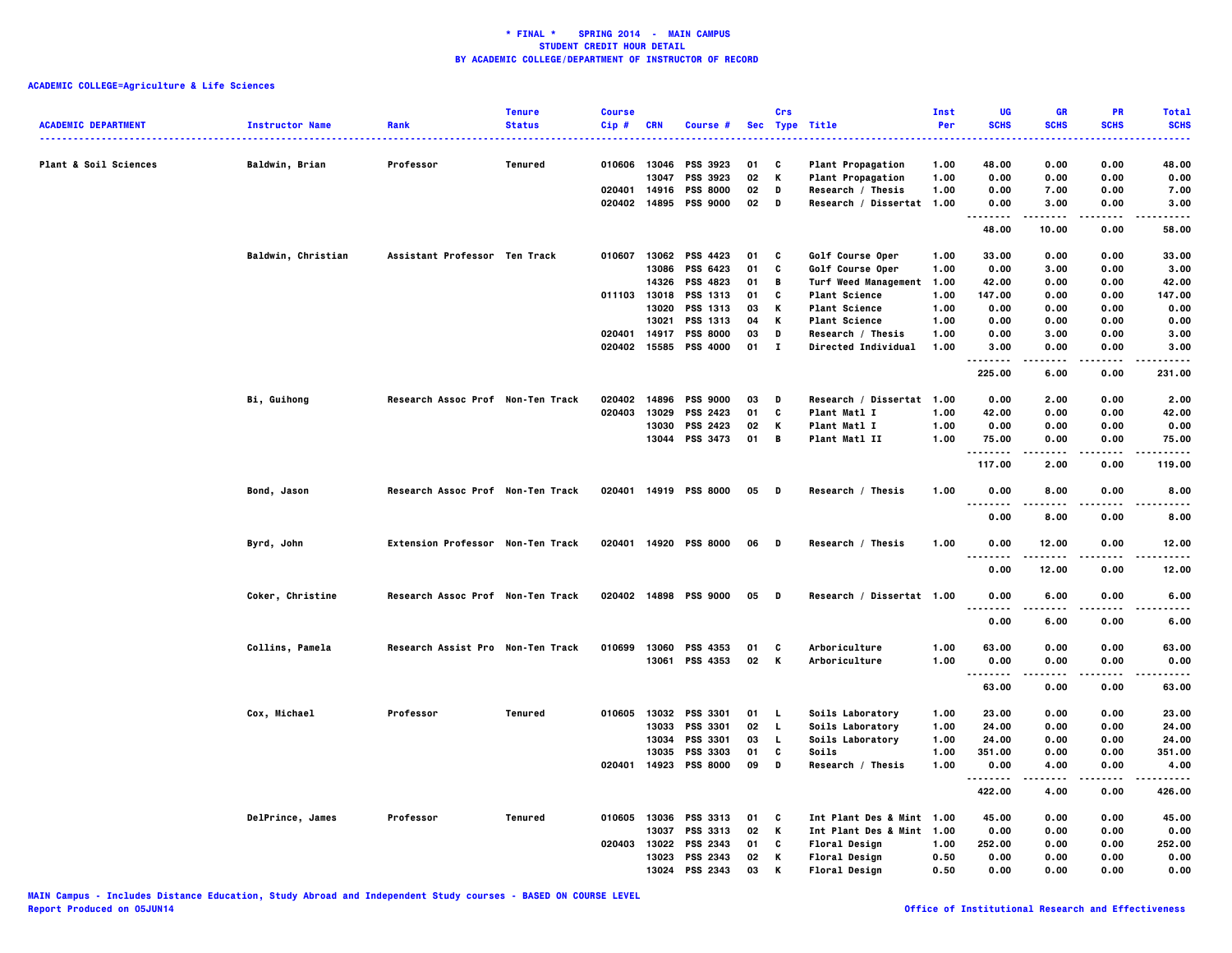|                            |                        |                                   | <b>Tenure</b>  | <b>Course</b> |                |                       |          | Crs            |                             | Inst         | UG                     | <b>GR</b>     | PR           | <b>Total</b>                                                                                                                             |
|----------------------------|------------------------|-----------------------------------|----------------|---------------|----------------|-----------------------|----------|----------------|-----------------------------|--------------|------------------------|---------------|--------------|------------------------------------------------------------------------------------------------------------------------------------------|
| <b>ACADEMIC DEPARTMENT</b> | <b>Instructor Name</b> | Rank                              | <b>Status</b>  | $Cip$ #       | <b>CRN</b>     | Course #              |          |                | Sec Type Title              | Per<br>.     | <b>SCHS</b><br>$- - -$ | <b>SCHS</b>   | <b>SCHS</b>  | <b>SCHS</b><br>$\frac{1}{2} \left( \frac{1}{2} \right) \left( \frac{1}{2} \right) \left( \frac{1}{2} \right) \left( \frac{1}{2} \right)$ |
| Plant & Soil Sciences      |                        |                                   | <b>Tenured</b> | 010606 13046  |                | <b>PSS 3923</b>       | 01       | C              |                             | 1.00         |                        | 0.00          | 0.00         | 48.00                                                                                                                                    |
|                            | Baldwin, Brian         | Professor                         |                |               |                |                       |          |                | <b>Plant Propagation</b>    |              | 48.00                  |               |              |                                                                                                                                          |
|                            |                        |                                   |                | 020401        | 13047<br>14916 | PSS 3923              | 02<br>02 | Κ<br>D         | <b>Plant Propagation</b>    | 1.00<br>1.00 | 0.00<br>0.00           | 0.00          | 0.00<br>0.00 | 0.00                                                                                                                                     |
|                            |                        |                                   |                |               |                | <b>PSS 8000</b>       |          |                | Research / Thesis           |              |                        | 7.00          |              | 7.00                                                                                                                                     |
|                            |                        |                                   |                | 020402 14895  |                | <b>PSS 9000</b>       | 02       | D              | Research / Dissertat 1.00   |              | 0.00<br>-----<br>      | 3.00<br>----- | 0.00<br>.    | 3.00<br>----                                                                                                                             |
|                            |                        |                                   |                |               |                |                       |          |                |                             |              | 48.00                  | 10.00         | 0.00         | 58.00                                                                                                                                    |
|                            | Baldwin, Christian     | Assistant Professor Ten Track     |                | 010607        | 13062          | PSS 4423              | 01       | c              | Golf Course Oper            | 1.00         | 33.00                  | 0.00          | 0.00         | 33.00                                                                                                                                    |
|                            |                        |                                   |                |               | 13086          | PSS 6423              | 01       | c              | Golf Course Oper            | 1.00         | 0.00                   | 3.00          | 0.00         | 3.00                                                                                                                                     |
|                            |                        |                                   |                |               | 14326          | <b>PSS 4823</b>       | 01       | В              | <b>Turf Weed Management</b> | 1.00         | 42.00                  | 0.00          | 0.00         | 42.00                                                                                                                                    |
|                            |                        |                                   |                | 011103 13018  |                | PSS 1313              | 01       | C              | <b>Plant Science</b>        | 1.00         | 147.00                 | 0.00          | 0.00         | 147.00                                                                                                                                   |
|                            |                        |                                   |                |               | 13020          | PSS 1313              | 03       | Κ              | <b>Plant Science</b>        | 1.00         | 0.00                   | 0.00          | 0.00         | 0.00                                                                                                                                     |
|                            |                        |                                   |                |               | 13021          | PSS 1313              | 04       | Κ              | <b>Plant Science</b>        | 1.00         | 0.00                   | 0.00          | 0.00         | 0.00                                                                                                                                     |
|                            |                        |                                   |                | 020401        | 14917          | <b>PSS 8000</b>       | 03       | D              | Research / Thesis           | 1.00         | 0.00                   | 3.00          | 0.00         | 3.00                                                                                                                                     |
|                            |                        |                                   |                | 020402        | 15585          | <b>PSS 4000</b>       | 01       | $\bf{I}$       | <b>Directed Individual</b>  | 1.00         | 3.00                   | 0.00          | 0.00         | 3.00                                                                                                                                     |
|                            |                        |                                   |                |               |                |                       |          |                |                             |              | .<br><br>225.00        | 6.00          | .<br>0.00    | 231.00                                                                                                                                   |
|                            | Bi, Guihong            | Research Assoc Prof Non-Ten Track |                | 020402        | 14896          | <b>PSS 9000</b>       | 03       | D              | Research / Dissertat 1.00   |              | 0.00                   | 2.00          | 0.00         | 2.00                                                                                                                                     |
|                            |                        |                                   |                | 020403        | 13029          | PSS 2423              | 01       | c              | Plant Matl I                | 1.00         | 42.00                  | 0.00          | 0.00         | 42.00                                                                                                                                    |
|                            |                        |                                   |                |               | 13030          | <b>PSS 2423</b>       | 02       | Κ              | Plant Matl I                | 1.00         | 0.00                   | 0.00          | 0.00         | 0.00                                                                                                                                     |
|                            |                        |                                   |                |               |                | 13044 PSS 3473        | 01       | В              | Plant Matl II               | 1.00         | 75.00                  | 0.00          | 0.00         | 75.00                                                                                                                                    |
|                            |                        |                                   |                |               |                |                       |          |                |                             |              | .<br>117.00            | .<br>2.00     | .<br>0.00    | .<br>119.00                                                                                                                              |
|                            |                        |                                   |                |               |                |                       |          |                |                             |              |                        |               |              |                                                                                                                                          |
|                            | Bond, Jason            | Research Assoc Prof Non-Ten Track |                |               |                | 020401 14919 PSS 8000 | 05       | $\blacksquare$ | Research / Thesis           | 1.00         | 0.00<br>.<br>.         | 8.00          | 0.00<br>.    | 8.00<br>.                                                                                                                                |
|                            |                        |                                   |                |               |                |                       |          |                |                             |              | 0.00                   | 8.00          | 0.00         | 8.00                                                                                                                                     |
|                            | Byrd, John             | Extension Professor Non-Ten Track |                |               |                | 020401 14920 PSS 8000 | 06       | D              | Research / Thesis           | 1.00         | 0.00                   | 12.00         | 0.00         | 12.00                                                                                                                                    |
|                            |                        |                                   |                |               |                |                       |          |                |                             |              | 0.00                   | 12.00         | 0.00         | 12.00                                                                                                                                    |
|                            | Coker, Christine       | Research Assoc Prof Non-Ten Track |                | 020402 14898  |                | <b>PSS 9000</b>       | 05 D     |                | Research / Dissertat 1.00   |              | 0.00<br>.<br>          | 6.00<br>.     | 0.00         | 6.00<br>----                                                                                                                             |
|                            |                        |                                   |                |               |                |                       |          |                |                             |              | 0.00                   | 6.00          | 0.00         | 6.00                                                                                                                                     |
|                            | Collins, Pamela        | Research Assist Pro Non-Ten Track |                | 010699        | 13060          | <b>PSS 4353</b>       | 01       | C              | Arboriculture               | 1.00         | 63.00                  | 0.00          | 0.00         | 63.00                                                                                                                                    |
|                            |                        |                                   |                |               | 13061          | PSS 4353              | 02       | K              | Arboriculture               | 1.00         | 0.00                   | 0.00          | 0.00         | 0.00                                                                                                                                     |
|                            |                        |                                   |                |               |                |                       |          |                |                             |              | --------<br>63.00      | 0.00          | 0.00         | 63.00                                                                                                                                    |
|                            | Cox, Michael           | Professor                         | Tenured        |               |                | 010605 13032 PSS 3301 | 01       | <b>L</b>       | Soils Laboratory            | 1.00         | 23.00                  | 0.00          | 0.00         | 23.00                                                                                                                                    |
|                            |                        |                                   |                |               | 13033          | <b>PSS 3301</b>       | 02       | <b>L</b>       | Soils Laboratory            | 1.00         | 24.00                  | 0.00          | 0.00         | 24.00                                                                                                                                    |
|                            |                        |                                   |                |               | 13034          | <b>PSS 3301</b>       | 03       | L.             | Soils Laboratory            | 1.00         | 24.00                  | 0.00          | 0.00         | 24.00                                                                                                                                    |
|                            |                        |                                   |                |               | 13035          | <b>PSS 3303</b>       | 01       | C              | Soils                       | 1.00         | 351.00                 | 0.00          | 0.00         | 351.00                                                                                                                                   |
|                            |                        |                                   |                | 020401        |                | 14923 PSS 8000        | 09       | D              | Research / Thesis           | 1.00         | 0.00                   | 4.00          | 0.00         | 4.00                                                                                                                                     |
|                            |                        |                                   |                |               |                |                       |          |                |                             |              | .                      |               |              |                                                                                                                                          |
|                            |                        |                                   |                |               |                |                       |          |                |                             |              | 422.00                 | 4.00          | 0.00         | 426.00                                                                                                                                   |
|                            | DelPrince, James       | Professor                         | <b>Tenured</b> |               |                | 010605 13036 PSS 3313 | 01       | C              | Int Plant Des & Mint 1.00   |              | 45.00                  | 0.00          | 0.00         | 45.00                                                                                                                                    |
|                            |                        |                                   |                |               | 13037          | PSS 3313              | 02       | Κ              | Int Plant Des & Mint 1.00   |              | 0.00                   | 0.00          | 0.00         | 0.00                                                                                                                                     |
|                            |                        |                                   |                | 020403        | 13022          | PSS 2343              | 01       | C              | <b>Floral Design</b>        | 1.00         | 252.00                 | 0.00          | 0.00         | 252.00                                                                                                                                   |
|                            |                        |                                   |                |               | 13023          | <b>PSS 2343</b>       | 02       | Κ              | <b>Floral Design</b>        | 0.50         | 0.00                   | 0.00          | 0.00         | 0.00                                                                                                                                     |
|                            |                        |                                   |                |               |                | 13024 PSS 2343        | 03       | К              | <b>Floral Design</b>        | 0.50         | 0.00                   | 0.00          | 0.00         | 0.00                                                                                                                                     |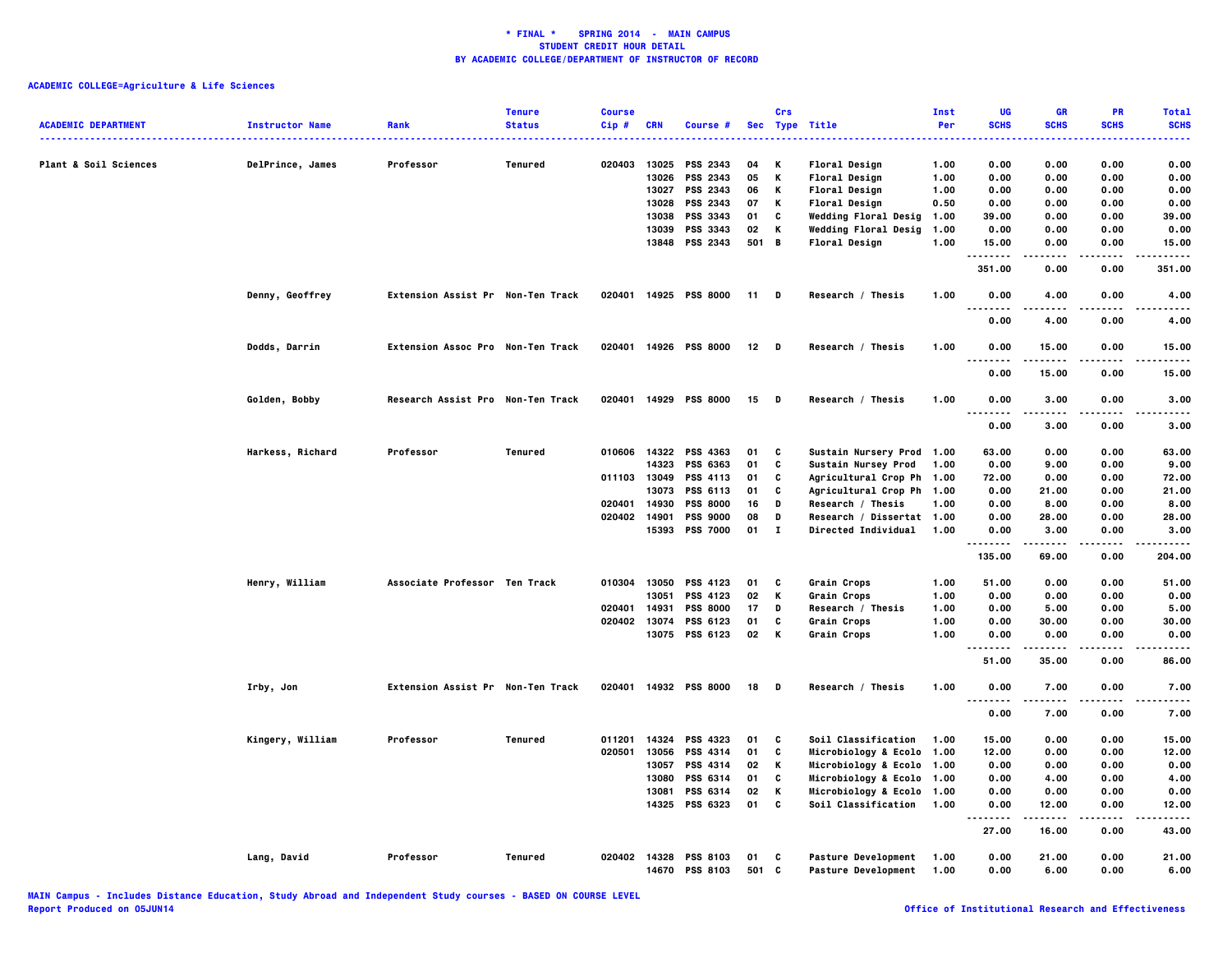| <b>ACADEMIC DEPARTMENT</b> | <b>Instructor Name</b> | Rank                                     | <b>Tenure</b><br><b>Status</b> | <b>Course</b><br>$Cip$ # | <b>CRN</b>     | Course #                                |             | Crs          | Sec Type Title                                           | <b>Inst</b><br>Per | UG<br><b>SCHS</b>                     | <b>GR</b><br><b>SCHS</b> | PR<br><b>SCHS</b> | <b>Total</b><br><b>SCHS</b> |
|----------------------------|------------------------|------------------------------------------|--------------------------------|--------------------------|----------------|-----------------------------------------|-------------|--------------|----------------------------------------------------------|--------------------|---------------------------------------|--------------------------|-------------------|-----------------------------|
|                            |                        |                                          |                                |                          |                |                                         |             |              |                                                          | -----              | .                                     |                          |                   | <b></b>                     |
| Plant & Soil Sciences      | DelPrince, James       | Professor                                | Tenured                        | 020403                   | 13025<br>13026 | PSS 2343<br><b>PSS 2343</b>             | 04<br>05    | Κ<br>Κ       | Floral Design                                            | 1.00<br>1.00       | 0.00<br>0.00                          | 0.00<br>0.00             | 0.00<br>0.00      | 0.00<br>0.00                |
|                            |                        |                                          |                                |                          | 13027          | PSS 2343                                | 06          | Κ            | Floral Design<br>Floral Design                           | 1.00               | 0.00                                  | 0.00                     | 0.00              | 0.00                        |
|                            |                        |                                          |                                |                          | 13028          | PSS 2343                                | 07          | Κ            | Floral Design                                            | 0.50               | 0.00                                  | 0.00                     | 0.00              | 0.00                        |
|                            |                        |                                          |                                |                          | 13038          | <b>PSS 3343</b>                         | 01          | c            | Wedding Floral Desig                                     | 1.00               | 39.00                                 | 0.00                     | 0.00              | 39,00                       |
|                            |                        |                                          |                                |                          | 13039          | PSS 3343                                | 02          | К            | Wedding Floral Desig                                     | 1.00               | 0.00                                  | 0.00                     | 0.00              | 0.00                        |
|                            |                        |                                          |                                |                          |                | 13848 PSS 2343                          | 501 B       |              | <b>Floral Design</b>                                     | 1.00               | 15.00                                 | 0.00                     | 0.00              | 15.00                       |
|                            |                        |                                          |                                |                          |                |                                         |             |              |                                                          |                    | .<br>351.00                           | 0.00                     | .<br>0.00         | .<br>351.00                 |
|                            |                        |                                          |                                |                          |                |                                         |             |              |                                                          |                    |                                       |                          |                   |                             |
|                            | Denny, Geoffrey        | Extension Assist Pr Non-Ten Track        |                                |                          |                | 020401 14925 PSS 8000                   | $11$ D      |              | Research / Thesis                                        | 1.00               | 0.00<br>$\sim$ $\sim$ $\sim$<br>----- | 4.00<br>-----            | 0.00<br>.         | 4.00<br>.                   |
|                            |                        |                                          |                                |                          |                |                                         |             |              |                                                          |                    | 0.00                                  | 4.00                     | 0.00              | 4.00                        |
|                            | Dodds, Darrin          | <b>Extension Assoc Pro Non-Ten Track</b> |                                |                          |                | 020401 14926 PSS 8000                   | $12$ D      |              | Research / Thesis                                        | 1.00               | 0.00<br>.                             | 15.00                    | 0.00              | 15.00<br>.                  |
|                            |                        |                                          |                                |                          |                |                                         |             |              |                                                          |                    | 0.00                                  | 15.00                    | 0.00              | 15.00                       |
|                            | Golden, Bobby          | Research Assist Pro Non-Ten Track        |                                |                          |                | 020401 14929 PSS 8000                   | 15          | <b>D</b>     | Research / Thesis                                        | 1.00               | 0.00<br>$\sim$ $\sim$ $\sim$<br>.     | 3.00<br>.                | 0.00              | 3.00<br>----                |
|                            |                        |                                          |                                |                          |                |                                         |             |              |                                                          |                    | 0.00                                  | 3.00                     | 0.00              | 3.00                        |
|                            | Harkess, Richard       | Professor                                | Tenured                        |                          |                | 010606 14322 PSS 4363                   | 01          | C            | Sustain Nursery Prod 1.00                                |                    | 63.00                                 | 0.00                     | 0.00              | 63.00                       |
|                            |                        |                                          |                                |                          | 14323          | PSS 6363                                | 01          | C            | Sustain Nursey Prod                                      | 1.00               | 0.00                                  | 9.00                     | 0.00              | 9.00                        |
|                            |                        |                                          |                                | 011103 13049             |                | PSS 4113                                | 01          | C            | Agricultural Crop Ph 1.00                                |                    | 72.00                                 | 0.00                     | 0.00              | 72.00                       |
|                            |                        |                                          |                                |                          | 13073          | PSS 6113                                | 01          | C            | Agricultural Crop Ph 1.00                                |                    | 0.00                                  | 21.00                    | 0.00              | 21.00                       |
|                            |                        |                                          |                                | 020401                   | 14930          | <b>PSS 8000</b>                         | 16          | D            | Research / Thesis                                        | 1.00               | 0.00                                  | 8.00                     | 0.00              | 8.00                        |
|                            |                        |                                          |                                | 020402                   | 14901          | <b>PSS 9000</b>                         | 08          | D            | Research / Dissertat 1.00                                |                    | 0.00                                  | 28.00                    | 0.00              | 28.00                       |
|                            |                        |                                          |                                |                          | 15393          | <b>PSS 7000</b>                         | 01          | $\mathbf{I}$ | Directed Individual                                      | 1.00               | 0.00                                  | 3.00                     | 0.00              | 3.00                        |
|                            |                        |                                          |                                |                          |                |                                         |             |              |                                                          |                    | .<br>135.00                           | -----<br>69.00           | .<br>0.00         | .<br>204.00                 |
|                            | Henry, William         | Associate Professor Ten Track            |                                | 010304                   | 13050          | PSS 4123                                | 01          | c            | Grain Crops                                              | 1.00               | 51.00                                 | 0.00                     | 0.00              | 51.00                       |
|                            |                        |                                          |                                |                          | 13051          | PSS 4123                                | 02          | K            | Grain Crops                                              | 1.00               | 0.00                                  | 0.00                     | 0.00              | 0.00                        |
|                            |                        |                                          |                                | 020401                   | 14931          | <b>PSS 8000</b>                         | 17          | D            | Research / Thesis                                        | 1.00               | 0.00                                  | 5.00                     | 0.00              | 5.00                        |
|                            |                        |                                          |                                | 020402                   | 13074          | PSS 6123                                | 01          | C            | Grain Crops                                              | 1.00               | 0.00                                  | 30.00                    | 0.00              | 30.00                       |
|                            |                        |                                          |                                |                          |                | 13075 PSS 6123                          | 02          | K            | Grain Crops                                              | 1.00               | 0.00                                  | 0.00                     | 0.00              | 0.00                        |
|                            |                        |                                          |                                |                          |                |                                         |             |              |                                                          |                    | 51.00                                 | 35.00                    | 0.00              | 86.00                       |
|                            | Irby, Jon              | Extension Assist Pr Non-Ten Track        |                                |                          |                | 020401 14932 PSS 8000                   | 18          | <b>D</b>     | Research / Thesis                                        | 1.00               | 0.00                                  | 7.00                     | 0.00              | 7.00                        |
|                            |                        |                                          |                                |                          |                |                                         |             |              |                                                          |                    | $\ddotsc$<br>.                        |                          | .                 | $- - - -$                   |
|                            |                        |                                          |                                |                          |                |                                         |             |              |                                                          |                    | 0.00                                  | 7.00                     | 0.00              | 7.00                        |
|                            | Kingery, William       | Professor                                | Tenured                        | 011201                   |                | 14324 PSS 4323                          | 01          | C            | Soil Classification                                      | 1.00               | 15.00                                 | 0.00                     | 0.00              | 15.00                       |
|                            |                        |                                          |                                | 020501                   | 13056          | <b>PSS 4314</b>                         | 01          | C            | Microbiology & Ecolo 1.00                                |                    | 12.00                                 | 0.00                     | 0.00              | 12.00                       |
|                            |                        |                                          |                                |                          | 13057          | PSS 4314                                | 02          | Κ            | Microbiology & Ecolo 1.00                                |                    | 0.00                                  | 0.00                     | 0.00              | 0.00                        |
|                            |                        |                                          |                                |                          | 13080          | PSS 6314                                | 01          | C            | Microbiology & Ecolo 1.00                                |                    | 0.00                                  | 4.00                     | 0.00              | 4.00                        |
|                            |                        |                                          |                                |                          | 13081          | PSS 6314                                | 02          | K            | Microbiology & Ecolo 1.00                                |                    | 0.00                                  | 0.00                     | 0.00              | 0.00                        |
|                            |                        |                                          |                                |                          | 14325          | PSS 6323                                | 01          | C            | Soil Classification                                      | 1.00               | 0.00<br>.                             | 12.00<br>.               | 0.00<br>.         | 12.00<br>----               |
|                            |                        |                                          |                                |                          |                |                                         |             |              |                                                          |                    | 27.00                                 | 16.00                    | 0.00              | 43.00                       |
|                            | Lang, David            | Professor                                | Tenured                        |                          |                | 020402 14328 PSS 8103<br>14670 PSS 8103 | 01<br>501 C | C            | <b>Pasture Development</b><br><b>Pasture Development</b> | 1.00<br>1.00       | 0.00<br>0.00                          | 21.00<br>6.00            | 0.00<br>0.00      | 21.00<br>6.00               |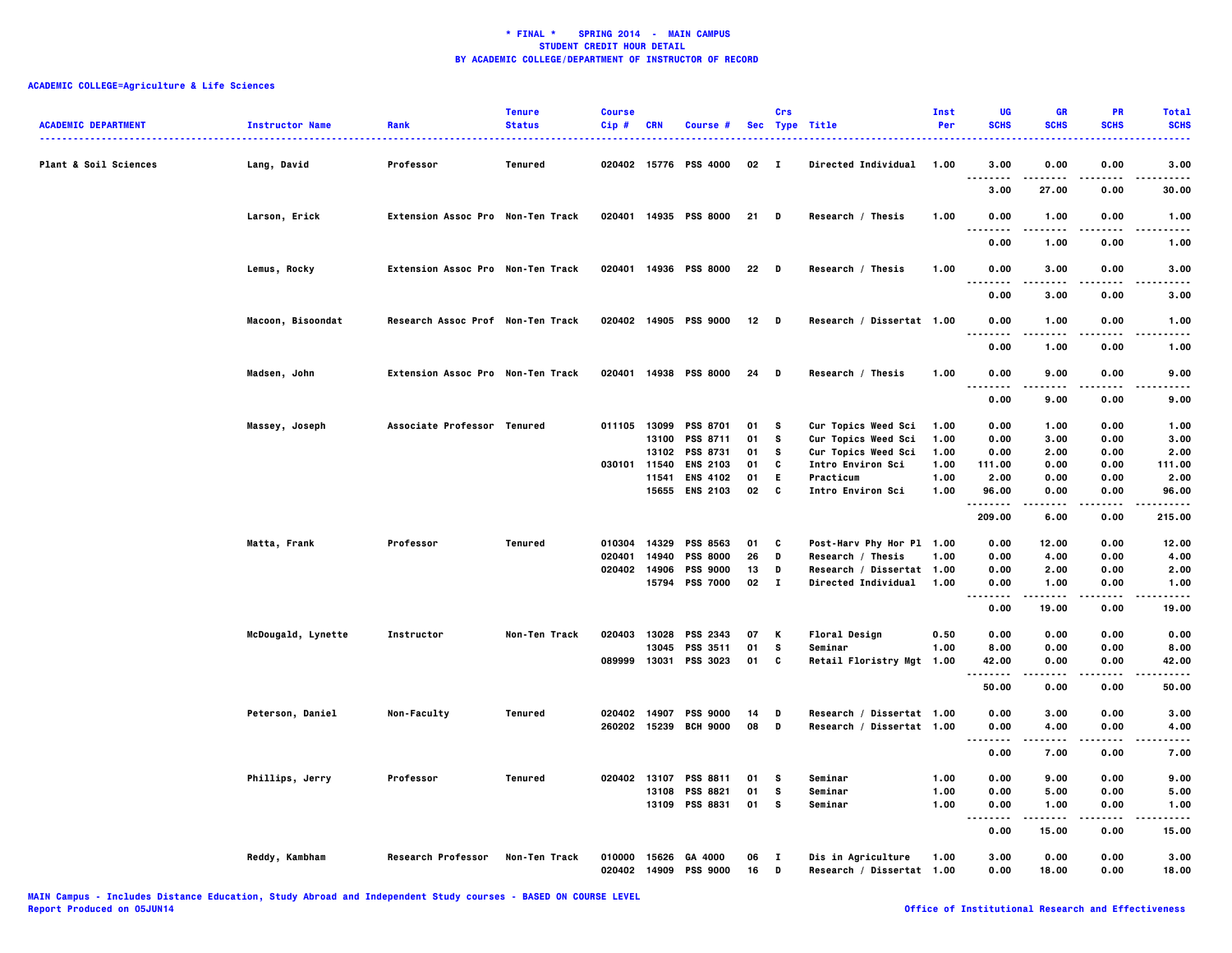| <b>ACADEMIC DEPARTMENT</b>       | <b>Instructor Name</b> | Rank                              | <b>Tenure</b><br><b>Status</b> | <b>Course</b><br>$Cip$ # | <b>CRN</b> | Course #                               |          | Crs               | Sec Type Title                                  | Inst<br>Per | UG<br><b>SCHS</b>            | <b>GR</b><br><b>SCHS</b> | PR<br><b>SCHS</b> | <b>Total</b><br><b>SCHS</b> |
|----------------------------------|------------------------|-----------------------------------|--------------------------------|--------------------------|------------|----------------------------------------|----------|-------------------|-------------------------------------------------|-------------|------------------------------|--------------------------|-------------------|-----------------------------|
| <b>Plant &amp; Soil Sciences</b> | Lang, David            | Professor                         | Tenured                        |                          |            | 020402 15776 PSS 4000                  | 02       | $\mathbf{I}$      | <b>Directed Individual</b>                      | 1.00        | 3.00<br>$\sim$ $\sim$ $\sim$ | 0.00                     | 0.00              | 3.00                        |
|                                  |                        |                                   |                                |                          |            |                                        |          |                   |                                                 |             | 3.00                         | 27.00                    | 0.00              | 30.00                       |
|                                  | Larson, Erick          | Extension Assoc Pro Non-Ten Track |                                |                          |            | 020401 14935 PSS 8000                  | 21 D     |                   | Research / Thesis                               | 1.00        | 0.00<br>. .                  | 1.00                     | 0.00              | 1.00                        |
|                                  |                        |                                   |                                |                          |            |                                        |          |                   |                                                 |             | 0.00                         | 1.00                     | 0.00              | 1.00                        |
|                                  | Lemus, Rocky           | Extension Assoc Pro Non-Ten Track |                                |                          |            | 020401 14936 PSS 8000                  | 22 D     |                   | Research / Thesis                               | 1.00        | 0.00                         | 3.00                     | 0.00              | 3.00                        |
|                                  |                        |                                   |                                |                          |            |                                        |          |                   |                                                 |             | 0.00                         | 3.00                     | 0.00              | 3.00                        |
|                                  | Macoon, Bisoondat      | Research Assoc Prof Non-Ten Track |                                |                          |            | 020402 14905 PSS 9000                  | $12$ D   |                   | Research / Dissertat 1.00                       |             | 0.00                         | 1.00                     | 0.00              | 1.00                        |
|                                  |                        |                                   |                                |                          |            |                                        |          |                   |                                                 |             | 0.00                         | 1.00                     | 0.00              | 1.00                        |
|                                  | Madsen, John           | Extension Assoc Pro Non-Ten Track |                                |                          |            | 020401 14938 PSS 8000                  | 24       | D                 | Research / Thesis                               | 1.00        | 0.00<br>$\sim$ $\sim$ $\sim$ | 9.00                     | 0.00              | 9.00                        |
|                                  |                        |                                   |                                |                          |            |                                        |          |                   |                                                 |             | 0.00                         | 9.00                     | 0.00              | 9.00                        |
|                                  | Massey, Joseph         | Associate Professor Tenured       |                                |                          |            | 011105 13099 PSS 8701                  | 01       | s                 | Cur Topics Weed Sci                             | 1.00        | 0.00                         | 1.00                     | 0.00              | 1.00                        |
|                                  |                        |                                   |                                |                          | 13100      | <b>PSS 8711</b>                        | 01       | s                 | Cur Topics Weed Sci                             | 1.00        | 0.00                         | 3.00                     | 0.00              | 3.00                        |
|                                  |                        |                                   |                                |                          | 13102      | <b>PSS 8731</b>                        | 01       | s                 | Cur Topics Weed Sci                             | 1.00        | 0.00                         | 2.00                     | 0.00              | 2.00                        |
|                                  |                        |                                   |                                | 030101 11540             |            | <b>ENS 2103</b>                        | 01       | C                 | Intro Environ Sci                               | 1.00        | 111.00                       | 0.00                     | 0.00              | 111.00                      |
|                                  |                        |                                   |                                |                          | 11541      | <b>ENS 4102</b>                        | 01       | E                 | Practicum                                       | 1.00        | 2.00                         | 0.00                     | 0.00              | 2.00                        |
|                                  |                        |                                   |                                |                          |            | 15655 ENS 2103                         | 02       | C                 | <b>Intro Environ Sci</b>                        | 1.00        | 96.00                        | 0.00                     | 0.00              | 96.00                       |
|                                  |                        |                                   |                                |                          |            |                                        |          |                   |                                                 |             | .<br>209.00                  | 6.00                     | 0.00              | 215.00                      |
|                                  | Matta, Frank           | Professor                         | Tenured                        | 010304                   | 14329      | <b>PSS 8563</b>                        | 01       | C                 | Post-Harv Phy Hor Pl 1.00                       |             | 0.00                         | 12.00                    | 0.00              | 12.00                       |
|                                  |                        |                                   |                                | 020401                   | 14940      | <b>PSS 8000</b>                        | 26       | D                 | Research / Thesis                               | 1.00        | 0.00                         | 4.00                     | 0.00              | 4.00                        |
|                                  |                        |                                   |                                | 020402 14906             |            | <b>PSS 9000</b>                        | 13       | D                 | Research / Dissertat 1.00                       |             | 0.00                         | 2.00                     | 0.00              | 2.00                        |
|                                  |                        |                                   |                                |                          |            | 15794 PSS 7000                         | 02       | $\blacksquare$    | Directed Individual                             | 1.00        | 0.00                         | 1.00                     | 0.00              | 1.00                        |
|                                  |                        |                                   |                                |                          |            |                                        |          |                   |                                                 |             |                              | .                        | .                 | . <b>.</b> .                |
|                                  |                        |                                   |                                |                          |            |                                        |          |                   |                                                 |             | 0.00                         | 19.00                    | 0.00              | 19.00                       |
|                                  | McDougald, Lynette     | Instructor                        | Non-Ten Track                  |                          |            | 020403 13028 PSS 2343                  | 07       | К                 | Floral Design                                   | 0.50        | 0.00                         | 0.00                     | 0.00              | 0.00                        |
|                                  |                        |                                   |                                |                          | 13045      | PSS 3511                               | 01       | s                 | Seminar                                         | 1.00        | 8.00                         | 0.00                     | 0.00              | 8.00                        |
|                                  |                        |                                   |                                | 089999                   | 13031      | PSS 3023                               | 01       | C                 | Retail Floristry Mgt 1.00                       |             | 42.00                        | 0.00                     | 0.00              | 42.00                       |
|                                  |                        |                                   |                                |                          |            |                                        |          |                   |                                                 |             | --------<br>50.00            | .<br>0.00                | $- - - -$<br>0.00 | .<br>50.00                  |
|                                  | Peterson, Daniel       | Non-Faculty                       | Tenured                        | 020402 14907             |            | <b>PSS 9000</b>                        | 14       | D                 | Research / Dissertat 1.00                       |             | 0.00                         | 3.00                     | 0.00              | 3.00                        |
|                                  |                        |                                   |                                |                          |            | 260202 15239 BCH 9000                  | 08       | D                 | Research / Dissertat 1.00                       |             | 0.00                         | 4.00                     | 0.00              | 4.00                        |
|                                  |                        |                                   |                                |                          |            |                                        |          |                   |                                                 |             | <br>0.00                     | 7.00                     | 0.00              | 7.00                        |
|                                  | Phillips, Jerry        | Professor                         | Tenured                        | 020402 13107             |            | <b>PSS 8811</b>                        | 01       | s                 | Seminar                                         | 1.00        | 0.00                         | 9.00                     | 0.00              | 9.00                        |
|                                  |                        |                                   |                                |                          | 13108      | <b>PSS 8821</b>                        | 01       | s                 | Seminar                                         | 1.00        | 0.00                         | 5.00                     | 0.00              | 5.00                        |
|                                  |                        |                                   |                                |                          |            | 13109 PSS 8831                         | 01       | s                 | Seminar                                         | 1.00        | 0.00                         | 1.00                     | 0.00              | 1.00                        |
|                                  |                        |                                   |                                |                          |            |                                        |          |                   |                                                 |             | .<br>0.00                    | .<br>15.00               | .<br>0.00         | .<br>15.00                  |
|                                  | Reddy, Kambham         | <b>Research Professor</b>         | Non-Ten Track                  | 010000                   |            | 15626 GA 4000<br>020402 14909 PSS 9000 | 06<br>16 | $\mathbf{I}$<br>D | Dis in Agriculture<br>Research / Dissertat 1.00 | 1.00        | 3.00<br>0.00                 | 0.00<br>18.00            | 0.00<br>0.00      | 3.00<br>18.00               |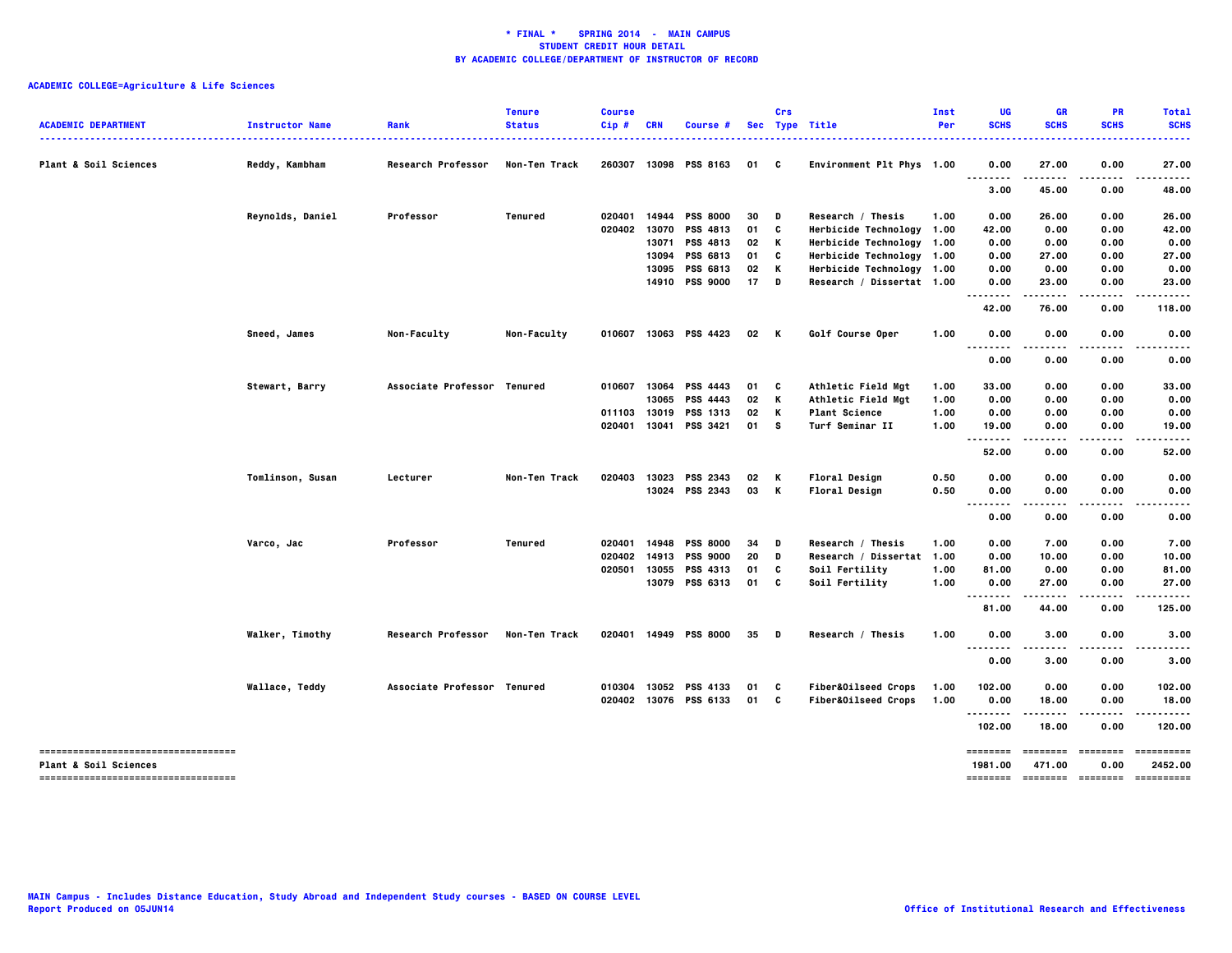| <b>ACADEMIC DEPARTMENT</b>                                                | <b>Instructor Name</b> | Rank                        | <b>Tenure</b><br><b>Status</b> | <b>Course</b><br>Cip# | <b>CRN</b>   | Course #              |    | Crs | Sec Type Title            | Inst<br>Per | UG<br><b>SCHS</b><br>. | <b>GR</b><br><b>SCHS</b> | PR<br><b>SCHS</b>    | <b>Total</b><br><b>SCHS</b><br>.   |
|---------------------------------------------------------------------------|------------------------|-----------------------------|--------------------------------|-----------------------|--------------|-----------------------|----|-----|---------------------------|-------------|------------------------|--------------------------|----------------------|------------------------------------|
| Plant & Soil Sciences                                                     | Reddy, Kambham         | Research Professor          | Non-Ten Track                  | 260307                |              | 13098 PSS 8163        | 01 | C   | Environment Plt Phys 1.00 |             | 0.00                   | 27.00                    | 0.00                 | 27.00                              |
|                                                                           |                        |                             |                                |                       |              |                       |    |     |                           |             | 3.00                   | 45.00                    | 0.00                 | 48.00                              |
|                                                                           | Reynolds, Daniel       | Professor                   | <b>Tenured</b>                 | 020401                | 14944        | <b>PSS 8000</b>       | 30 | D   | Research / Thesis         | 1.00        | 0.00                   | 26.00                    | 0.00                 | 26.00                              |
|                                                                           |                        |                             |                                | 020402                | 13070        | PSS 4813              | 01 | C   | Herbicide Technology 1.00 |             | 42.00                  | 0.00                     | 0.00                 | 42.00                              |
|                                                                           |                        |                             |                                |                       |              | 13071 PSS 4813        | 02 | К   | Herbicide Technology 1.00 |             | 0.00                   | 0.00                     | 0.00                 | 0.00                               |
|                                                                           |                        |                             |                                |                       | 13094        | PSS 6813              | 01 | C   | Herbicide Technology 1.00 |             | 0.00                   | 27.00                    | 0.00                 | 27.00                              |
|                                                                           |                        |                             |                                |                       | 13095        | PSS 6813              | 02 | К   | Herbicide Technology 1.00 |             | 0.00                   | 0.00                     | 0.00                 | 0.00                               |
|                                                                           |                        |                             |                                |                       | 14910        | <b>PSS 9000</b>       | 17 | D   | Research / Dissertat 1.00 |             | 0.00                   | 23.00                    | 0.00                 | 23.00                              |
|                                                                           |                        |                             |                                |                       |              |                       |    |     |                           |             | 42.00                  | 76.00                    | 0.00                 | 118.00                             |
|                                                                           | Sneed, James           | <b>Non-Faculty</b>          | Non-Faculty                    |                       |              | 010607 13063 PSS 4423 | 02 | K   | Golf Course Oper          | 1.00        | 0.00                   | 0.00                     | 0.00                 | 0.00                               |
|                                                                           |                        |                             |                                |                       |              |                       |    |     |                           |             | ----<br>0.00           | ----<br>0.00             | $- - -$<br>0.00      | 0.00                               |
|                                                                           | Stewart, Barry         | Associate Professor Tenured |                                |                       |              | 010607 13064 PSS 4443 | 01 | C   | Athletic Field Mgt        | 1.00        | 33.00                  | 0.00                     | 0.00                 | 33.00                              |
|                                                                           |                        |                             |                                |                       | 13065        | <b>PSS 4443</b>       | 02 | K   | Athletic Field Mgt        | 1.00        | 0.00                   | 0.00                     | 0.00                 | 0.00                               |
|                                                                           |                        |                             |                                | 011103                | 13019        | PSS 1313              | 02 | K   | <b>Plant Science</b>      | 1.00        | 0.00                   | 0.00                     | 0.00                 | 0.00                               |
|                                                                           |                        |                             |                                |                       | 020401 13041 | PSS 3421              | 01 | s   | Turf Seminar II           | 1.00        | 19.00                  | 0.00                     | 0.00                 | 19.00                              |
|                                                                           |                        |                             |                                |                       |              |                       |    |     |                           |             | .                      | $\cdots$                 | $- - - -$            |                                    |
|                                                                           |                        |                             |                                |                       |              |                       |    |     |                           |             | 52.00                  | 0.00                     | 0.00                 | 52.00                              |
|                                                                           | Tomlinson, Susan       | Lecturer                    | Non-Ten Track                  | 020403                | 13023        | PSS 2343              | 02 | К   | <b>Floral Design</b>      | 0.50        | 0.00                   | 0.00                     | 0.00                 | 0.00                               |
|                                                                           |                        |                             |                                |                       |              | 13024 PSS 2343        | 03 | K   | <b>Floral Design</b>      | 0.50        | 0.00<br>$\sim$ $\sim$  | 0.00<br>----             | 0.00                 | 0.00                               |
|                                                                           |                        |                             |                                |                       |              |                       |    |     |                           |             | 0.00                   | 0.00                     | 0.00                 | 0.00                               |
|                                                                           | Varco, Jac             | Professor                   | Tenured                        | 020401                | 14948        | <b>PSS 8000</b>       | 34 | D   | Research / Thesis         | 1.00        | 0.00                   | 7.00                     | 0.00                 | 7.00                               |
|                                                                           |                        |                             |                                | 020402                | 14913        | <b>PSS 9000</b>       | 20 | D   | Research / Dissertat 1.00 |             | 0.00                   | 10.00                    | 0.00                 | 10.00                              |
|                                                                           |                        |                             |                                | 020501                | 13055        | <b>PSS 4313</b>       | 01 | C   | Soil Fertility            | 1.00        | 81.00                  | 0.00                     | 0.00                 | 81.00                              |
|                                                                           |                        |                             |                                |                       |              | 13079 PSS 6313        | 01 | C   | Soil Fertility            | 1.00        | 0.00                   | 27.00                    | 0.00                 | 27.00                              |
|                                                                           |                        |                             |                                |                       |              |                       |    |     |                           |             | .<br>81.00             | .<br>44.00               | . <b>.</b> .<br>0.00 | .<br>125.00                        |
|                                                                           | Walker, Timothy        | Research Professor          | Non-Ten Track                  |                       |              | 020401 14949 PSS 8000 | 35 | D   | Research / Thesis         | 1.00        | 0.00                   | 3.00                     | 0.00                 | 3.00                               |
|                                                                           |                        |                             |                                |                       |              |                       |    |     |                           |             | 0.00                   | 3.00                     | 0.00                 | 3.00                               |
|                                                                           | Wallace, Teddy         | Associate Professor Tenured |                                | 010304                |              | 13052 PSS 4133        | 01 | c   | Fiber&Oilseed Crops       | 1.00        | 102.00                 | 0.00                     | 0.00                 | 102.00                             |
|                                                                           |                        |                             |                                |                       |              | 020402 13076 PSS 6133 | 01 | C   | Fiber&Oilseed Crops       | 1.00        | 0.00                   | 18.00                    | 0.00                 | 18.00                              |
|                                                                           |                        |                             |                                |                       |              |                       |    |     |                           |             | <br>102.00             | 18.00                    | 0.00                 | 120.00                             |
| -------------------------------------<br><b>Plant &amp; Soil Sciences</b> |                        |                             |                                |                       |              |                       |    |     |                           |             | ========<br>1981.00    | ========<br>471.00       | ========<br>0.00     | ==========<br>2452.00              |
| ----------------------------------                                        |                        |                             |                                |                       |              |                       |    |     |                           |             |                        |                          |                      | -------- ------- -------- -------- |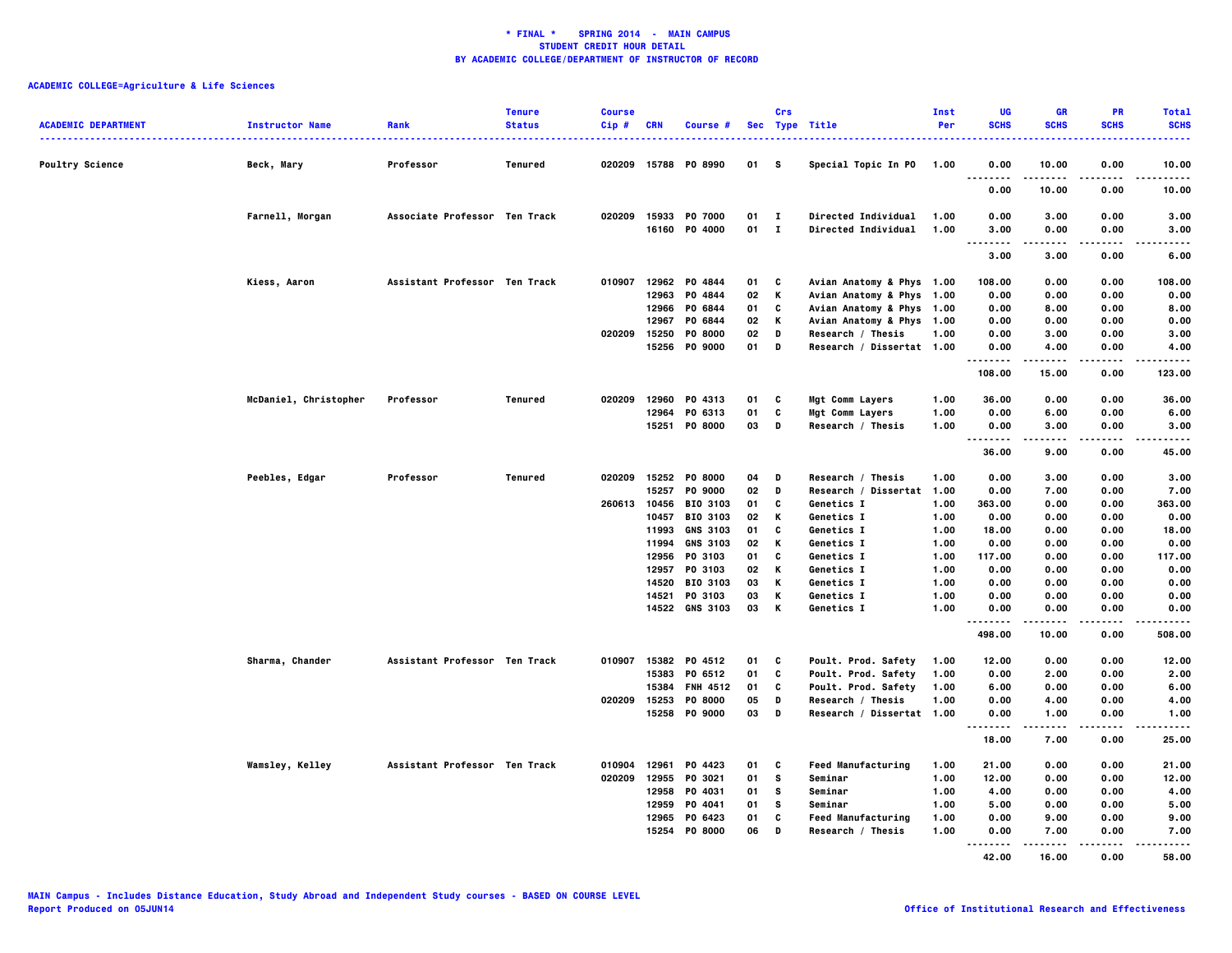| <b>ACADEMIC DEPARTMENT</b> | <b>Instructor Name</b> | Rank                          | <b>Tenure</b><br><b>Status</b> | <b>Course</b><br>Cip# | <b>CRN</b> | <b>Course #</b>                |          | Crs                          | Sec Type Title                             | Inst<br>Per  | <b>UG</b><br><b>SCHS</b> | <b>GR</b><br><b>SCHS</b> | PR<br><b>SCHS</b> | <b>Total</b><br><b>SCHS</b> |
|----------------------------|------------------------|-------------------------------|--------------------------------|-----------------------|------------|--------------------------------|----------|------------------------------|--------------------------------------------|--------------|--------------------------|--------------------------|-------------------|-----------------------------|
| <b>Poultry Science</b>     | Beck, Mary             | Professor                     | Tenured                        | 020209                |            | 15788 PO 8990                  | 01       | s                            | Special Topic In PO                        | 1.00         | 0.00                     | 10.00                    | 0.00              | 10.00                       |
|                            |                        |                               |                                |                       |            |                                |          |                              |                                            |              | .<br>0.00                | 10.00                    | 0.00              | .<br>10.00                  |
|                            | Farnell, Morgan        | Associate Professor Ten Track |                                | 020209                |            | 15933 PO 7000<br>16160 P0 4000 | 01<br>01 | $\mathbf{I}$<br>$\mathbf{I}$ | Directed Individual<br>Directed Individual | 1.00<br>1.00 | 0.00<br>3.00             | 3.00<br>0.00             | 0.00<br>0.00      | 3.00<br>3.00                |
|                            |                        |                               |                                |                       |            |                                |          |                              |                                            |              | <br>3.00                 | -----<br>3.00            | .<br>0.00         | <br>6.00                    |
|                            | Kiess, Aaron           | Assistant Professor Ten Track |                                |                       |            | 010907 12962 P0 4844           | 01       | C                            | Avian Anatomy & Phys 1.00                  |              | 108.00                   | 0.00                     | 0.00              | 108.00                      |
|                            |                        |                               |                                |                       | 12963      | P0 4844                        | 02       | K                            | Avian Anatomy & Phys 1.00                  |              | 0.00                     | 0.00                     | 0.00              | 0.00                        |
|                            |                        |                               |                                |                       | 12966      | PO 6844                        | 01       | C                            | Avian Anatomy & Phys 1.00                  |              | 0.00                     | 8.00                     | 0.00              | 8.00                        |
|                            |                        |                               |                                |                       | 12967      | PO 6844                        | 02       | K                            | Avian Anatomy & Phys 1.00                  |              | 0.00                     | 0.00                     | 0.00              | 0.00                        |
|                            |                        |                               |                                | 020209                | 15250      | <b>PO 8000</b>                 | 02       | D                            | Research / Thesis                          | 1.00         | 0.00                     | 3.00                     | 0.00              | 3.00                        |
|                            |                        |                               |                                |                       |            | 15256 PO 9000                  | 01       | D                            | Research / Dissertat 1.00                  |              | 0.00<br>.                | 4.00                     | 0.00              | 4.00                        |
|                            |                        |                               |                                |                       |            |                                |          |                              |                                            |              | 108.00                   | <br>15.00                | 0.00              | .<br>123.00                 |
|                            | McDaniel, Christopher  | Professor                     | Tenured                        | 020209                |            | 12960 PO 4313                  | 01       | C                            | Mgt Comm Layers                            | 1.00         | 36.00                    | 0.00                     | 0.00              | 36.00                       |
|                            |                        |                               |                                |                       | 12964      | PO 6313                        | 01       | C                            | Mgt Comm Layers                            | 1.00         | 0.00                     | 6.00                     | 0.00              | 6.00                        |
|                            |                        |                               |                                |                       |            | 15251 PO 8000                  | 03       | D                            |                                            | 1.00         | 0.00                     | 3.00                     | 0.00              | 3.00                        |
|                            |                        |                               |                                |                       |            |                                |          |                              | Research / Thesis                          |              | .                        | .                        | $- - - -$         | .                           |
|                            |                        |                               |                                |                       |            |                                |          |                              |                                            |              | 36.00                    | 9.00                     | 0.00              | 45.00                       |
|                            | Peebles, Edgar         | Professor                     | Tenured                        |                       |            | 020209 15252 P0 8000           | 04       | D                            | Research / Thesis                          | 1.00         | 0.00                     | 3.00                     | 0.00              | 3.00                        |
|                            |                        |                               |                                |                       | 15257      | <b>PO 9000</b>                 | 02       | D                            | Research / Dissertat                       | 1.00         | 0.00                     | 7.00                     | 0.00              | 7.00                        |
|                            |                        |                               |                                | 260613 10456          |            | <b>BIO 3103</b>                | 01       | c                            | Genetics I                                 | 1.00         | 363.00                   | 0.00                     | 0.00              | 363.00                      |
|                            |                        |                               |                                |                       | 10457      | <b>BIO 3103</b>                | 02       | K                            | Genetics I                                 | 1.00         | 0.00                     | 0.00                     | 0.00              | 0.00                        |
|                            |                        |                               |                                |                       | 11993      | <b>GNS 3103</b>                | 01       | C                            | Genetics I                                 | 1.00         | 18.00                    | 0.00                     | 0.00              | 18.00                       |
|                            |                        |                               |                                |                       | 11994      | <b>GNS 3103</b>                | 02       | K                            | Genetics I                                 | 1.00         | 0.00                     | 0.00                     | 0.00              | 0.00                        |
|                            |                        |                               |                                |                       | 12956      | PO 3103                        | 01       | C                            | Genetics I                                 | 1.00         | 117.00                   | 0.00                     | 0.00              | 117.00                      |
|                            |                        |                               |                                |                       |            |                                |          |                              |                                            |              |                          |                          |                   |                             |
|                            |                        |                               |                                |                       | 12957      | PO 3103                        | 02       | K                            | Genetics I                                 | 1.00         | 0.00                     | 0.00                     | 0.00              | 0.00                        |
|                            |                        |                               |                                |                       |            | 14520 BIO 3103                 | 03       | к                            | Genetics I                                 | 1.00         | 0.00                     | 0.00                     | 0.00              | 0.00                        |
|                            |                        |                               |                                |                       |            | 14521 PO 3103                  | 03       | К                            | Genetics I                                 | 1.00         | 0.00                     | 0.00                     | 0.00              | 0.00                        |
|                            |                        |                               |                                |                       |            | 14522 GNS 3103                 | 03       | K                            | Genetics I                                 | 1.00         | 0.00<br>.                | 0.00                     | 0.00              | 0.00<br>.                   |
|                            |                        |                               |                                |                       |            |                                |          |                              |                                            |              | 498.00                   | 10.00                    | 0.00              | 508.00                      |
|                            | Sharma, Chander        | Assistant Professor Ten Track |                                |                       |            | 010907 15382 P0 4512           | 01       | C                            | Poult. Prod. Safety                        | 1.00         | 12.00                    | 0.00                     | 0.00              | 12.00                       |
|                            |                        |                               |                                |                       |            | 15383 PO 6512                  | 01       | C                            | Poult. Prod. Safety                        | 1.00         | 0.00                     | 2.00                     | 0.00              | 2.00                        |
|                            |                        |                               |                                |                       | 15384      | <b>FNH 4512</b>                | 01       | C                            | Poult. Prod. Safety                        | 1.00         | 6.00                     | 0.00                     | 0.00              | 6.00                        |
|                            |                        |                               |                                | 020209 15253          |            | P0 8000                        | 05       | D                            | Research / Thesis                          | 1.00         | 0.00                     | 4.00                     | 0.00              | 4.00                        |
|                            |                        |                               |                                |                       |            | 15258 PO 9000                  | 03       | D                            | Research / Dissertat 1.00                  |              | 0.00                     | 1.00                     | 0.00              | 1.00                        |
|                            |                        |                               |                                |                       |            |                                |          |                              |                                            |              | .<br>18.00               | 7.00                     | 0.00              | 25.00                       |
|                            | Wamsley, Kelley        | Assistant Professor Ten Track |                                |                       |            | 010904 12961 P0 4423           | 01       | c                            | <b>Feed Manufacturing</b>                  | 1.00         | 21.00                    | 0.00                     | 0.00              | 21.00                       |
|                            |                        |                               |                                | 020209                | 12955      | PO 3021                        | 01       | s                            | Seminar                                    | 1.00         | 12.00                    | 0.00                     | 0.00              | 12.00                       |
|                            |                        |                               |                                |                       | 12958      | PO 4031                        | 01       | s                            | Seminar                                    | 1.00         | 4.00                     | 0.00                     | 0.00              | 4.00                        |
|                            |                        |                               |                                |                       | 12959      |                                |          | s                            | Seminar                                    | 1.00         | 5.00                     |                          |                   |                             |
|                            |                        |                               |                                |                       |            | PO 4041                        | 01       | C                            |                                            |              |                          | 0.00                     | 0.00              | 5.00                        |
|                            |                        |                               |                                |                       |            | 12965 PO 6423                  | 01       |                              | <b>Feed Manufacturing</b>                  | 1.00         | 0.00                     | 9.00                     | 0.00              | 9.00                        |
|                            |                        |                               |                                |                       |            | 15254 P0 8000                  | 06       | D                            | Research / Thesis                          | 1.00         | 0.00<br>                 | 7.00                     | 0.00<br>.         | 7.00<br>.                   |
|                            |                        |                               |                                |                       |            |                                |          |                              |                                            |              | 42.00                    | 16.00                    | 0.00              | 58.00                       |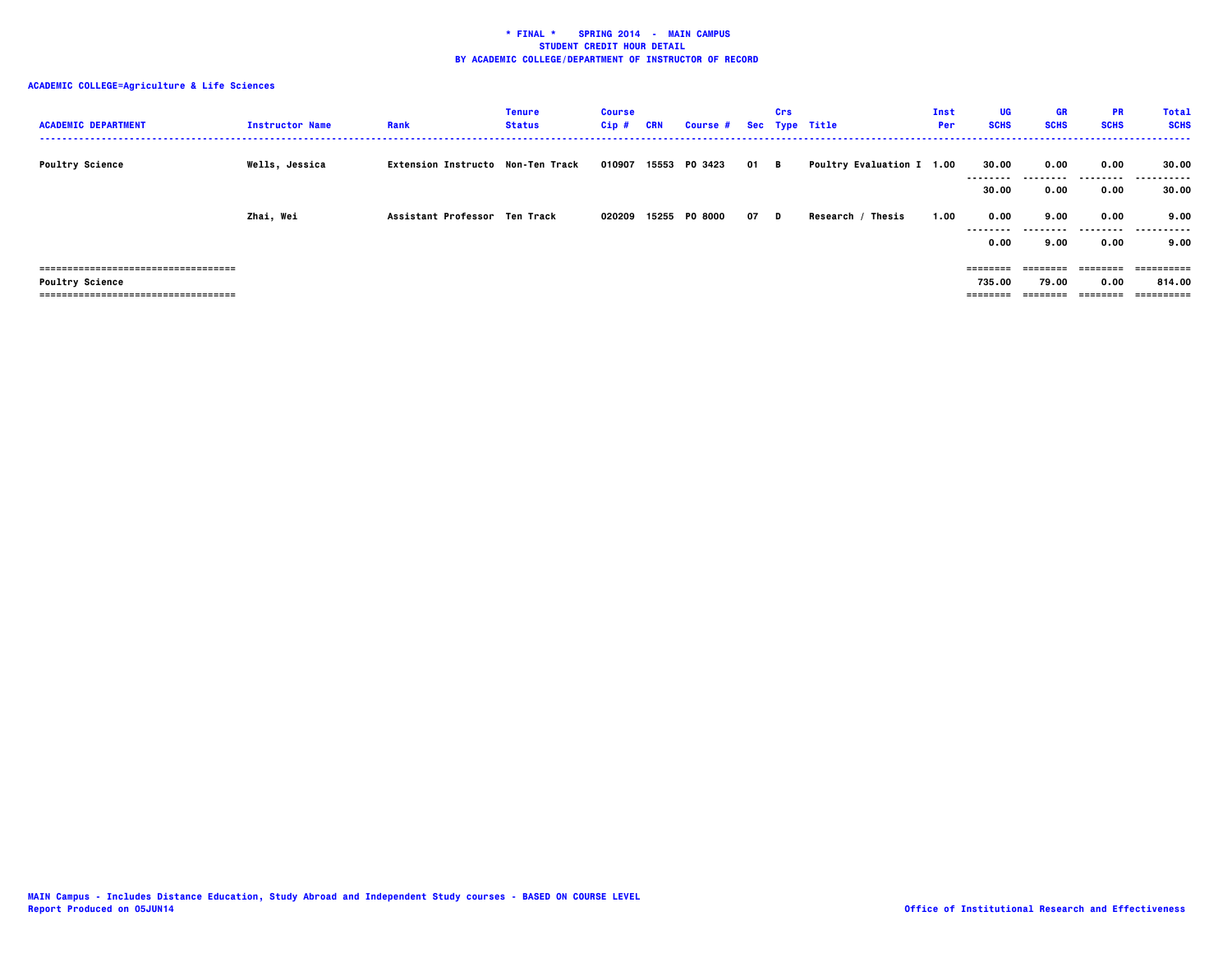| <b>ACADEMIC DEPARTMENT</b>           | <b>Instructor Name</b> | Rank                              | <b>Tenure</b><br><b>Status</b> | <b>Course</b><br>$Cip$ # | <b>CRN</b> | <b>Course #</b> |      | Crs | Sec Type Title                   | Inst<br>Per | UG<br><b>SCHS</b> | <b>GR</b><br><b>SCHS</b> | <b>PR</b><br><b>SCHS</b> | <b>Total</b><br><b>SCHS</b> |
|--------------------------------------|------------------------|-----------------------------------|--------------------------------|--------------------------|------------|-----------------|------|-----|----------------------------------|-------------|-------------------|--------------------------|--------------------------|-----------------------------|
| <b>Poultry Science</b>               | Wells, Jessica         | Extension Instructo Non-Ten Track |                                | 010907                   |            | 15553 PO 3423   | 01 B |     | <b>Poultry Evaluation I 1.00</b> |             | 30.00             | 0.00                     | 0.00<br>---------        | 30.00<br>.                  |
|                                      | Zhai, Wei              | Assistant Professor Ten Track     |                                | 020209                   |            | 15255 PO 8000   | 07 D |     | Research / Thesis                | 1.00        | 30.00<br>0.00     | 0.00<br>9.00             | 0.00<br>0.00             | 30.00<br>9.00<br>           |
|                                      |                        |                                   |                                |                          |            |                 |      |     |                                  |             | 0.00              | 9.00                     | 0.00                     | 9.00                        |
| ==================================== |                        |                                   |                                |                          |            |                 |      |     |                                  |             |                   | ========                 | ========                 | ==========                  |
| <b>Poultry Science</b>               |                        |                                   |                                |                          |            |                 |      |     |                                  |             | 735.00            | 79.00                    | 0.00                     | 814.00                      |
| ------------------------------------ |                        |                                   |                                |                          |            |                 |      |     |                                  |             |                   |                          | ---------                | ==========                  |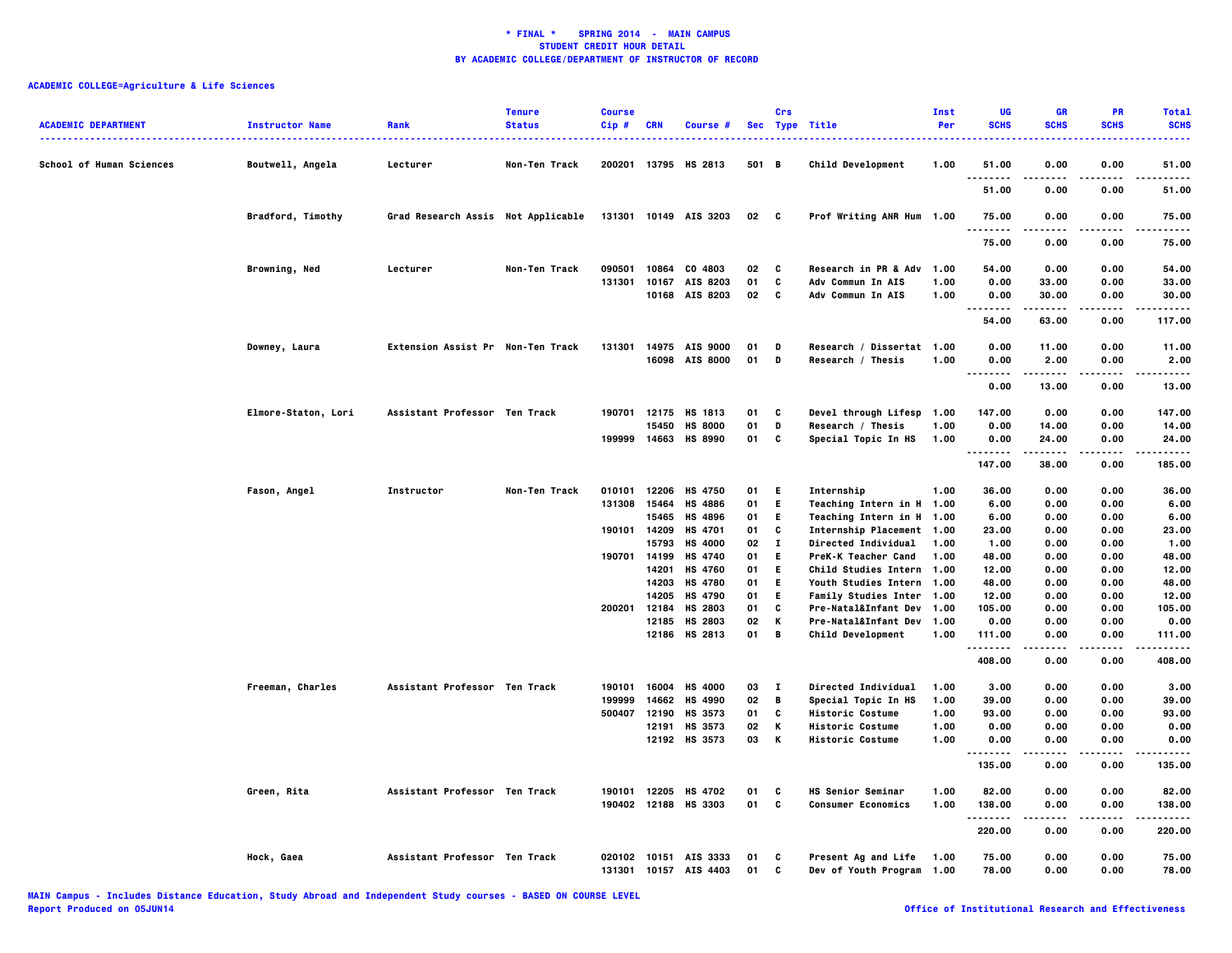| <b>ACADEMIC DEPARTMENT</b>      | <b>Instructor Name</b>   | Rank                               | <b>Tenure</b><br><b>Status</b> | <b>Course</b><br>Cip# | <b>CRN</b>     | Course #                  |          | Crs          | Sec Type Title                                         | Inst<br>Per | UG<br><b>SCHS</b>    | <b>GR</b><br><b>SCHS</b> | <b>PR</b><br><b>SCHS</b> | <b>Total</b><br><b>SCHS</b><br>---- |
|---------------------------------|--------------------------|------------------------------------|--------------------------------|-----------------------|----------------|---------------------------|----------|--------------|--------------------------------------------------------|-------------|----------------------|--------------------------|--------------------------|-------------------------------------|
| <b>School of Human Sciences</b> | Boutwell, Angela         | Lecturer                           | Non-Ten Track                  |                       |                | 200201 13795 HS 2813      | 501 B    |              | <b>Child Development</b>                               | 1.00        | 51.00                | 0.00                     | 0.00                     | 51.00                               |
|                                 |                          |                                    |                                |                       |                |                           |          |              |                                                        |             | 51.00                | 0.00                     | 0.00                     | 51.00                               |
|                                 | <b>Bradford, Timothy</b> | Grad Research Assis Not Applicable |                                |                       |                | 131301 10149 AIS 3203     | 02 C     |              | Prof Writing ANR Hum 1.00                              |             | 75.00<br>.           | 0.00                     | 0.00                     | 75.00<br>.                          |
|                                 |                          |                                    |                                |                       |                |                           |          |              |                                                        |             | 75.00                | 0.00                     | 0.00                     | 75.00                               |
|                                 | Browning, Ned            | Lecturer                           | Non-Ten Track                  | 090501                | 10864          | CO 4803                   | 02       | C            | <b>Research in PR &amp; Adv</b>                        | 1.00        | 54.00                | 0.00                     | 0.00                     | 54.00                               |
|                                 |                          |                                    |                                | 131301                | 10167          | AIS 8203                  | 01       | C            | Adv Commun In AIS                                      | 1.00        | 0.00                 | 33.00                    | 0.00                     | 33.00                               |
|                                 |                          |                                    |                                |                       |                | 10168 AIS 8203            | 02       | C            | Adv Commun In AIS                                      | 1.00        | 0.00                 | 30.00                    | 0.00                     | 30.00                               |
|                                 |                          |                                    |                                |                       |                |                           |          |              |                                                        |             | .<br>54.00           | .<br>63.00               | .<br>0.00                | .<br>117.00                         |
|                                 | Downey, Laura            | Extension Assist Pr Non-Ten Track  |                                | 131301                |                | 14975 AIS 9000            | 01       | D            | Research / Dissertat 1.00                              |             | 0.00                 | 11.00                    | 0.00                     | 11.00                               |
|                                 |                          |                                    |                                |                       |                | 16098 AIS 8000            | 01       | D            | Research / Thesis                                      | 1.00        | 0.00                 | 2.00                     | 0.00                     | 2.00                                |
|                                 |                          |                                    |                                |                       |                |                           |          |              |                                                        |             | --------             | .                        | .                        | .                                   |
|                                 |                          |                                    |                                |                       |                |                           |          |              |                                                        |             | 0.00                 | 13.00                    | 0.00                     | 13.00                               |
|                                 | Elmore-Staton, Lori      | Assistant Professor Ten Track      |                                |                       |                | 190701 12175 HS 1813      | 01       | C            | Devel through Lifesp                                   | 1.00        | 147.00               | 0.00                     | 0.00                     | 147.00                              |
|                                 |                          |                                    |                                |                       | 15450          | <b>HS 8000</b>            | 01       | D            | Research / Thesis                                      | 1.00        | 0.00                 | 14.00                    | 0.00                     | 14.00                               |
|                                 |                          |                                    |                                |                       |                | 199999 14663 HS 8990      | 01       | C            | Special Topic In HS                                    | 1.00        | 0.00<br>.            | 24.00<br>.               | 0.00<br>-----            | 24.00<br>.                          |
|                                 |                          |                                    |                                |                       |                |                           |          |              |                                                        |             | 147.00               | 38.00                    | 0.00                     | 185.00                              |
|                                 | Fason, Angel             | Instructor                         | Non-Ten Track                  |                       | 010101 12206   | <b>HS 4750</b>            | 01       | -E           | Internship                                             | 1.00        | 36.00                | 0.00                     | 0.00                     | 36.00                               |
|                                 |                          |                                    |                                | 131308                | 15464          | <b>HS 4886</b>            | 01       | E.           | Teaching Intern in H                                   | 1.00        | 6.00                 | 0.00                     | 0.00                     | 6.00                                |
|                                 |                          |                                    |                                |                       | 15465          | HS 4896                   | 01       | E.           | Teaching Intern in H 1.00                              |             | 6.00                 | 0.00                     | 0.00                     | 6.00                                |
|                                 |                          |                                    |                                |                       | 190101 14209   | HS 4701                   | 01       | C            | Internship Placement 1.00                              |             | 23.00                | 0.00                     | 0.00                     | 23.00                               |
|                                 |                          |                                    |                                |                       | 15793          | <b>HS 4000</b>            | 02       | $\mathbf{I}$ | Directed Individual                                    | 1.00        | 1.00                 | 0.00                     | 0.00                     | 1.00                                |
|                                 |                          |                                    |                                | 190701                | 14199<br>14201 | HS 4740<br><b>HS 4760</b> | 01<br>01 | E.<br>E.     | PreK-K Teacher Cand                                    | 1.00        | 48.00<br>12.00       | 0.00<br>0.00             | 0.00<br>0.00             | 48.00<br>12.00                      |
|                                 |                          |                                    |                                |                       |                | 14203 HS 4780             | 01       | E.           | Child Studies Intern 1.00<br>Youth Studies Intern 1.00 |             | 48.00                | 0.00                     | 0.00                     | 48.00                               |
|                                 |                          |                                    |                                |                       | 14205          | <b>HS 4790</b>            | 01       | E.           | <b>Family Studies Inter 1.00</b>                       |             | 12.00                | 0.00                     | 0.00                     | 12.00                               |
|                                 |                          |                                    |                                | 200201                | 12184          | HS 2803                   | 01       | $\mathbf{c}$ | Pre-Natal&Infant Dev 1.00                              |             | 105.00               | 0.00                     | 0.00                     | 105.00                              |
|                                 |                          |                                    |                                |                       | 12185          | HS 2803                   | 02       | к            | Pre-Natal&Infant Dev 1.00                              |             | 0.00                 | 0.00                     | 0.00                     | 0.00                                |
|                                 |                          |                                    |                                |                       |                | 12186 HS 2813             | 01       | $\mathbf{B}$ | <b>Child Development</b>                               | 1.00        | 111.00               | 0.00<br>-----            | 0.00<br>.                | 111.00<br>.                         |
|                                 |                          |                                    |                                |                       |                |                           |          |              |                                                        |             | . <b>.</b><br>408.00 | 0.00                     | 0.00                     | 408.00                              |
|                                 | Freeman, Charles         | Assistant Professor Ten Track      |                                | 190101                | 16004          | <b>HS 4000</b>            | 03       | $\mathbf{I}$ | <b>Directed Individual</b>                             | 1.00        | 3.00                 | 0.00                     | 0.00                     | 3.00                                |
|                                 |                          |                                    |                                | 199999                | 14662          | HS 4990                   | 02       | B            | Special Topic In HS                                    | 1.00        | 39.00                | 0.00                     | 0.00                     | 39.00                               |
|                                 |                          |                                    |                                | 500407                | 12190          | HS 3573                   | 01       | C            | <b>Historic Costume</b>                                | 1.00        | 93.00                | 0.00                     | 0.00                     | 93.00                               |
|                                 |                          |                                    |                                |                       | 12191          | HS 3573                   | 02       | К            | <b>Historic Costume</b>                                | 1.00        | 0.00                 | 0.00                     | 0.00                     | 0.00                                |
|                                 |                          |                                    |                                |                       |                | 12192 HS 3573             | 03       | к            | <b>Historic Costume</b>                                | 1.00        | 0.00<br>             | 0.00<br>.                | 0.00<br>.                | 0.00<br>.                           |
|                                 |                          |                                    |                                |                       |                |                           |          |              |                                                        |             | 135.00               | 0.00                     | 0.00                     | 135.00                              |
|                                 | Green, Rita              | Assistant Professor Ten Track      |                                | 190101                | 12205          | <b>HS 4702</b>            | 01       | C            | <b>HS Senior Seminar</b>                               | 1.00        | 82.00                | 0.00                     | 0.00                     | 82.00                               |
|                                 |                          |                                    |                                |                       |                | 190402 12188 HS 3303      | 01       | C            | <b>Consumer Economics</b>                              | 1.00        | 138.00<br>.          | 0.00                     | 0.00                     | 138.00<br>.                         |
|                                 |                          |                                    |                                |                       |                |                           |          |              |                                                        |             | 220.00               | 0.00                     | 0.00                     | 220.00                              |
|                                 | Hock, Gaea               | Assistant Professor Ten Track      |                                |                       |                | 020102 10151 AIS 3333     | 01       | C            | Present Ag and Life                                    | 1.00        | 75.00                | 0.00                     | 0.00                     | 75.00                               |
|                                 |                          |                                    |                                | 131301                | 10157          | AIS 4403                  | 01       | c            | <b>Dev of Youth Program</b>                            | 1.00        | 78.00                | 0.00                     | 0.00                     | 78.00                               |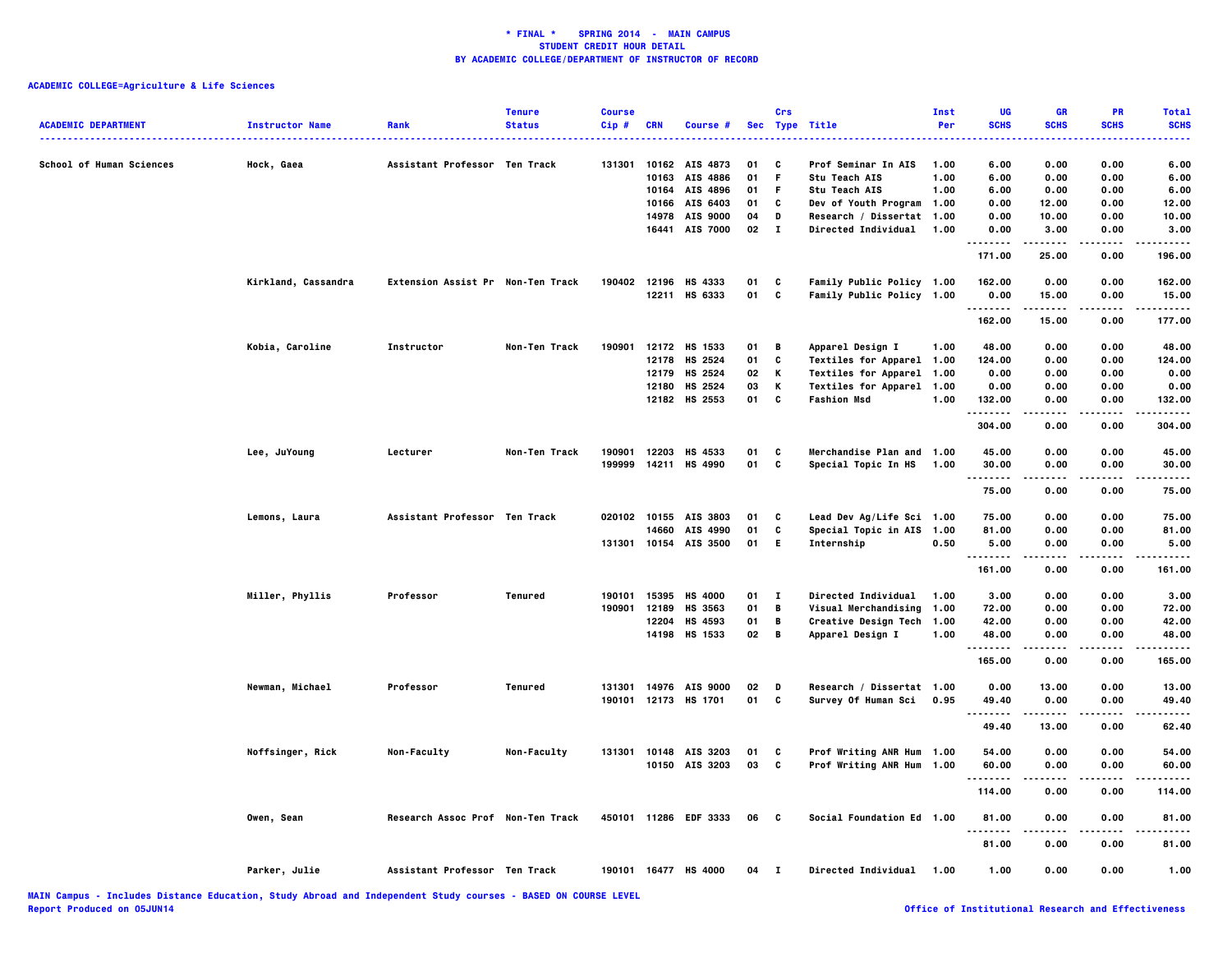| <b>ACADEMIC DEPARTMENT</b>      | <b>Instructor Name</b> | Rank                              | <b>Tenure</b><br><b>Status</b> | <b>Course</b><br>Cip# | <b>CRN</b> | Course #              |    | Crs          | Sec Type Title             | Inst<br>Per | UG<br><b>SCHS</b> | GR<br><b>SCHS</b>  | PR<br><b>SCHS</b> | <b>Total</b><br><b>SCHS</b><br>. |
|---------------------------------|------------------------|-----------------------------------|--------------------------------|-----------------------|------------|-----------------------|----|--------------|----------------------------|-------------|-------------------|--------------------|-------------------|----------------------------------|
| <b>School of Human Sciences</b> | Hock, Gaea             | Assistant Professor Ten Track     |                                | 131301                |            | 10162 AIS 4873        | 01 | C            | Prof Seminar In AIS        | 1.00        | 6.00              | 0.00               | 0.00              | 6.00                             |
|                                 |                        |                                   |                                |                       | 10163      | AIS 4886              | 01 | F            | Stu Teach AIS              | 1.00        | 6.00              | 0.00               | 0.00              | 6.00                             |
|                                 |                        |                                   |                                |                       |            | 10164 AIS 4896        | 01 | F.           | Stu Teach AIS              | 1.00        | 6.00              | 0.00               | 0.00              | 6.00                             |
|                                 |                        |                                   |                                |                       |            | 10166 AIS 6403        | 01 | C            | Dev of Youth Program 1.00  |             | 0.00              | 12.00              | 0.00              | 12.00                            |
|                                 |                        |                                   |                                |                       |            | 14978 AIS 9000        | 04 | D            | Research / Dissertat 1.00  |             | 0.00              | 10.00              | 0.00              | 10.00                            |
|                                 |                        |                                   |                                |                       |            | 16441 AIS 7000        | 02 | $\mathbf{I}$ | Directed Individual        | 1.00        | 0.00<br>.         | 3.00<br>. <b>.</b> | 0.00<br>$- - - -$ | 3.00<br>.                        |
|                                 |                        |                                   |                                |                       |            |                       |    |              |                            |             | 171.00            | 25.00              | 0.00              | 196.00                           |
|                                 | Kirkland, Cassandra    | Extension Assist Pr Non-Ten Track |                                | 190402                |            | 12196 HS 4333         | 01 | C            | Family Public Policy 1.00  |             | 162.00            | 0.00               | 0.00              | 162.00                           |
|                                 |                        |                                   |                                |                       |            | 12211 HS 6333         | 01 | C            | Family Public Policy 1.00  |             | 0.00              | 15.00              | 0.00              | 15.00                            |
|                                 |                        |                                   |                                |                       |            |                       |    |              |                            |             | .<br>162.00       | .<br>15.00         | .<br>0.00         | .<br>177.00                      |
|                                 |                        |                                   |                                |                       |            |                       |    |              |                            |             |                   |                    |                   |                                  |
|                                 | Kobia, Caroline        | Instructor                        | Non-Ten Track                  |                       |            | 190901 12172 HS 1533  | 01 | В            | Apparel Design I           | 1.00        | 48.00             | 0.00               | 0.00              | 48.00                            |
|                                 |                        |                                   |                                |                       |            | 12178 HS 2524         | 01 | C            | Textiles for Apparel 1.00  |             | 124.00            | 0.00               | 0.00              | 124.00                           |
|                                 |                        |                                   |                                |                       |            | 12179 HS 2524         | 02 | К            | Textiles for Apparel 1.00  |             | 0.00              | 0.00               | 0.00              | 0.00                             |
|                                 |                        |                                   |                                |                       | 12180      | HS 2524               | 03 | К            | Textiles for Apparel 1.00  |             | 0.00              | 0.00               | 0.00              | 0.00                             |
|                                 |                        |                                   |                                |                       |            | 12182 HS 2553         | 01 | C            | <b>Fashion Msd</b>         | 1.00        | 132.00<br>.       | 0.00<br>-----      | 0.00<br>-----     | 132.00<br>.                      |
|                                 |                        |                                   |                                |                       |            |                       |    |              |                            |             | 304.00            | 0.00               | 0.00              | 304.00                           |
|                                 | Lee, JuYoung           | Lecturer                          | Non-Ten Track                  | 190901                | 12203      | HS 4533               | 01 | c            | Merchandise Plan and 1.00  |             | 45.00             | 0.00               | 0.00              | 45.00                            |
|                                 |                        |                                   |                                | 199999                |            | 14211 HS 4990         | 01 | C            | Special Topic In HS        | 1.00        | 30.00             | 0.00               | 0.00              | 30.00                            |
|                                 |                        |                                   |                                |                       |            |                       |    |              |                            |             | 75.00             | 0.00               | 0.00              | 75.00                            |
|                                 | Lemons, Laura          | Assistant Professor Ten Track     |                                | 020102                |            | 10155 AIS 3803        | 01 | C            | Lead Dev Ag/Life Sci 1.00  |             | 75.00             | 0.00               | 0.00              | 75.00                            |
|                                 |                        |                                   |                                |                       | 14660      | AIS 4990              | 01 | C            | Special Topic in AIS 1.00  |             | 81.00             | 0.00               | 0.00              | 81.00                            |
|                                 |                        |                                   |                                |                       |            | 131301 10154 AIS 3500 | 01 | E.           | Internship                 | 0.50        | 5.00              | 0.00               | 0.00              | 5.00                             |
|                                 |                        |                                   |                                |                       |            |                       |    |              |                            |             | .<br>161.00       | 0.00               | 0.00              | 161.00                           |
|                                 | Miller, Phyllis        | Professor                         | <b>Tenured</b>                 | 190101                |            | 15395 HS 4000         | 01 | $\mathbf{I}$ | Directed Individual        | 1.00        | 3.00              | 0.00               | 0.00              | 3.00                             |
|                                 |                        |                                   |                                | 190901                | 12189      | HS 3563               | 01 | B            | Visual Merchandising       | 1.00        | 72.00             | 0.00               | 0.00              | 72.00                            |
|                                 |                        |                                   |                                |                       | 12204      | HS 4593               | 01 | B            | Creative Design Tech 1.00  |             | 42.00             | 0.00               | 0.00              | 42.00                            |
|                                 |                        |                                   |                                |                       |            | 14198 HS 1533         | 02 | B            | Apparel Design I           | 1.00        | 48.00             | 0.00               | 0.00              | 48.00                            |
|                                 |                        |                                   |                                |                       |            |                       |    |              |                            |             | .<br>165.00       | .<br>0.00          | .<br>0.00         | .<br>165.00                      |
|                                 | Newman, Michael        | Professor                         | Tenured                        | 131301                |            | 14976 AIS 9000        | 02 | D            | Research / Dissertat 1.00  |             | 0.00              | 13.00              | 0.00              | 13.00                            |
|                                 |                        |                                   |                                |                       |            | 190101 12173 HS 1701  | 01 | C            | Survey Of Human Sci        | 0.95        | 49.40             | 0.00               | 0.00              | 49.40                            |
|                                 |                        |                                   |                                |                       |            |                       |    |              |                            |             | .<br>49.40        | -----<br>13.00     | .<br>0.00         | .<br>62.40                       |
|                                 |                        |                                   |                                |                       |            |                       |    |              |                            |             |                   |                    |                   |                                  |
|                                 | Noffsinger, Rick       | Non-Faculty                       | Non-Faculty                    | 131301                |            | 10148 AIS 3203        | 01 | C            | Prof Writing ANR Hum 1.00  |             | 54.00             | 0.00               | 0.00              | 54.00                            |
|                                 |                        |                                   |                                |                       |            | 10150 AIS 3203        | 03 | c            | Prof Writing ANR Hum 1.00  |             | 60.00<br>.        | 0.00               | 0.00              | 60.00                            |
|                                 |                        |                                   |                                |                       |            |                       |    |              |                            |             | 114.00            | 0.00               | 0.00              | 114.00                           |
|                                 | Owen, Sean             | Research Assoc Prof Non-Ten Track |                                |                       |            | 450101 11286 EDF 3333 | 06 | C            | Social Foundation Ed 1.00  |             | 81.00             | 0.00               | 0.00              | 81.00                            |
|                                 |                        |                                   |                                |                       |            |                       |    |              |                            |             | 81.00             | 0.00               | 0.00              | 81.00                            |
|                                 | Parker, Julie          | Assistant Professor Ten Track     |                                |                       |            | 190101 16477 HS 4000  | 04 | - 1          | <b>Directed Individual</b> | 1.00        | 1.00              | 0.00               | 0.00              | 1.00                             |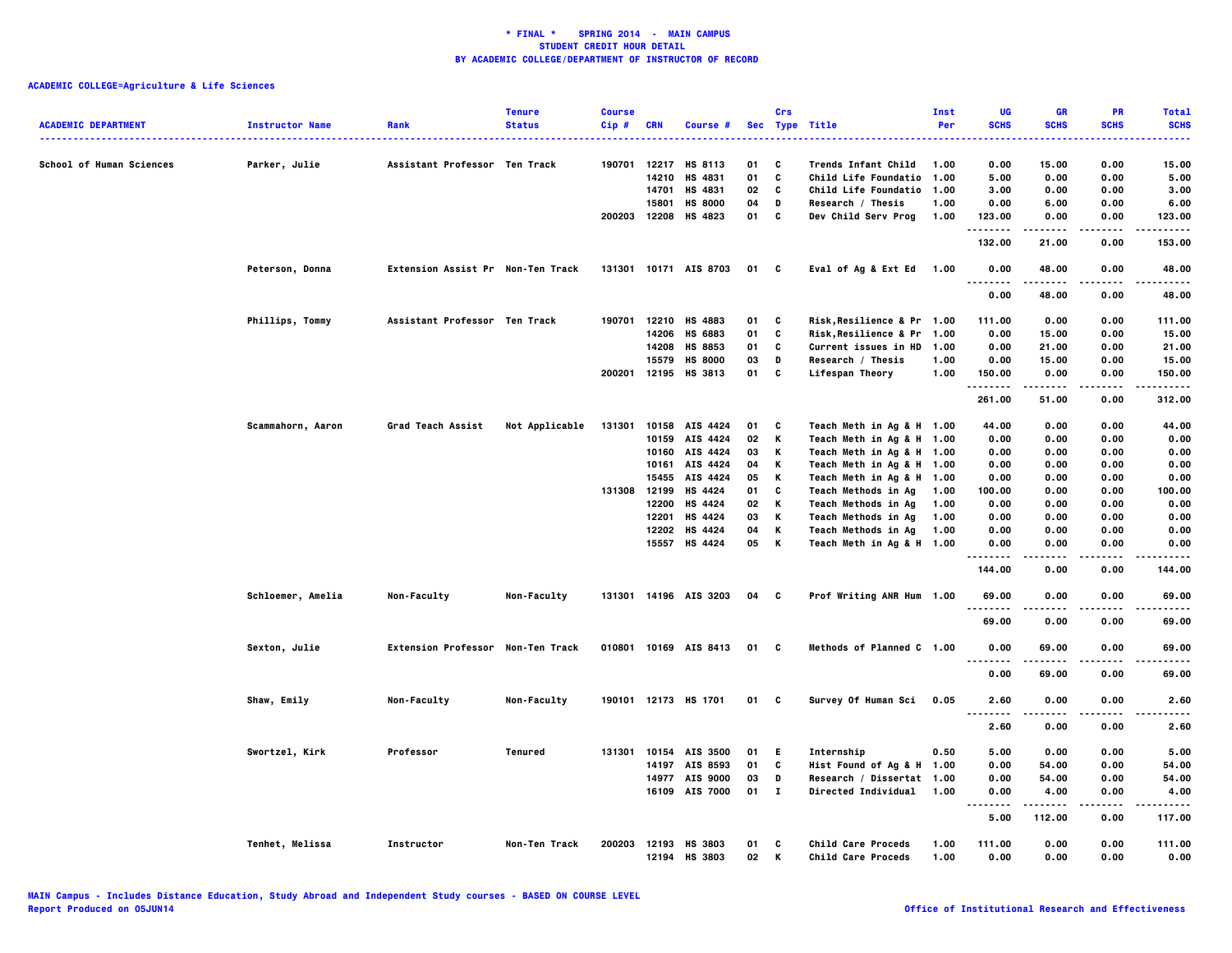| <b>ACADEMIC DEPARTMENT</b>      | <b>Instructor Name</b> | Rank                              | <b>Tenure</b><br><b>Status</b> | <b>Course</b><br>$Cip$ # | <b>CRN</b> | Course #                        |          | Crs          | Sec Type Title<br><u></u>                | Inst<br>Per  | UG<br><b>SCHS</b><br>$\sim$ $\sim$ $\sim$   | <b>GR</b><br><b>SCHS</b> | <b>PR</b><br><b>SCHS</b> | <b>Total</b><br><b>SCHS</b><br>----- |
|---------------------------------|------------------------|-----------------------------------|--------------------------------|--------------------------|------------|---------------------------------|----------|--------------|------------------------------------------|--------------|---------------------------------------------|--------------------------|--------------------------|--------------------------------------|
| <b>School of Human Sciences</b> | Parker, Julie          | Assistant Professor Ten Track     |                                | 190701                   |            | 12217 HS 8113                   | 01       | C            | <b>Trends Infant Child</b>               | 1.00         | 0.00                                        | 15.00                    | 0.00                     | 15.00                                |
|                                 |                        |                                   |                                |                          | 14210      | HS 4831                         | 01       | c            | Child Life Foundatio                     | 1.00         | 5.00                                        | 0.00                     | 0.00                     | 5.00                                 |
|                                 |                        |                                   |                                |                          | 14701      | HS 4831                         | 02       | C            | <b>Child Life Foundatio</b>              | 1.00         | 3.00                                        | 0.00                     | 0.00                     | 3.00                                 |
|                                 |                        |                                   |                                |                          | 15801      | <b>HS 8000</b>                  | 04       | D            | Research / Thesis                        | 1.00         | 0.00                                        | 6.00                     | 0.00                     | 6.00                                 |
|                                 |                        |                                   |                                | 200203 12208             |            | HS 4823                         | 01       | c            | Dev Child Serv Prog                      | 1.00         | 123.00<br>.                                 | 0.00<br>-----            | 0.00                     | 123.00<br>.                          |
|                                 |                        |                                   |                                |                          |            |                                 |          |              |                                          |              | 132.00                                      | 21.00                    | 0.00                     | 153.00                               |
|                                 | Peterson, Donna        | Extension Assist Pr Non-Ten Track |                                |                          |            | 131301 10171 AIS 8703           | 01 C     |              | Eval of Ag & Ext Ed 1.00                 |              | 0.00<br><br>$\cdots$                        | 48.00                    | 0.00                     | 48.00                                |
|                                 |                        |                                   |                                |                          |            |                                 |          |              |                                          |              | 0.00                                        | 48.00                    | 0.00                     | 48.00                                |
|                                 | Phillips, Tommy        | Assistant Professor Ten Track     |                                | 190701                   |            | 12210 HS 4883                   | 01       | C            | <b>Risk,Resilience &amp; Pr 1.00</b>     |              | 111.00                                      | 0.00                     | 0.00                     | 111.00                               |
|                                 |                        |                                   |                                |                          | 14206      | <b>HS 6883</b>                  | 01       | c            | Risk, Resilience & Pr                    | 1.00         | 0.00                                        | 15.00                    | 0.00                     | 15.00                                |
|                                 |                        |                                   |                                |                          | 14208      | HS 8853                         | 01       | C            | Current issues in HD                     | 1.00         | 0.00                                        | 21.00                    | 0.00                     | 21.00                                |
|                                 |                        |                                   |                                |                          | 15579      | <b>HS 8000</b>                  | 03       | D            | Research / Thesis                        | 1.00         | 0.00                                        | 15.00                    | 0.00                     | 15.00                                |
|                                 |                        |                                   |                                | 200201                   | 12195      | HS 3813                         | 01       | C            | Lifespan Theory                          | 1.00         | 150.00<br>.                                 | 0.00<br>.                | 0.00<br>.                | 150.00<br>.                          |
|                                 |                        |                                   |                                |                          |            |                                 |          |              |                                          |              | 261.00                                      | 51.00                    | 0.00                     | 312.00                               |
|                                 | Scammahorn, Aaron      | Grad Teach Assist                 | Not Applicable                 | 131301                   |            | 10158 AIS 4424                  | 01       | C            | Teach Meth in Ag & H 1.00                |              | 44.00                                       | 0.00                     | 0.00                     | 44.00                                |
|                                 |                        |                                   |                                |                          | 10159      | AIS 4424                        | 02       | Κ            | Teach Meth in Ag & H 1.00                |              | 0.00                                        | 0.00                     | 0.00                     | 0.00                                 |
|                                 |                        |                                   |                                |                          | 10160      | AIS 4424                        | 03       | Κ            | Teach Meth in Ag & H 1.00                |              | 0.00                                        | 0.00                     | 0.00                     | 0.00                                 |
|                                 |                        |                                   |                                |                          | 10161      | AIS 4424                        | 04       | Κ            | Teach Meth in Ag & H 1.00                |              | 0.00                                        | 0.00                     | 0.00                     | 0.00                                 |
|                                 |                        |                                   |                                |                          | 15455      | AIS 4424                        | 05       | Κ            | Teach Meth in Ag & H 1.00                |              | 0.00                                        | 0.00                     | 0.00                     | 0.00                                 |
|                                 |                        |                                   |                                | 131308                   | 12199      | HS 4424                         | 01       | c            | Teach Methods in Ag                      | 1.00         | 100.00                                      | 0.00                     | 0.00                     | 100.00                               |
|                                 |                        |                                   |                                |                          | 12200      | <b>HS 4424</b>                  | 02       | Κ            | Teach Methods in Ag                      | 1.00         | 0.00                                        | 0.00                     | 0.00                     | 0.00                                 |
|                                 |                        |                                   |                                |                          | 12201      | <b>HS 4424</b>                  | 03       | Κ            | Teach Methods in Ag                      | 1.00         | 0.00                                        | 0.00                     | 0.00                     | 0.00                                 |
|                                 |                        |                                   |                                |                          | 12202      | HS 4424                         | 04       | Κ            | <b>Teach Methods in Ag</b>               | 1.00         | 0.00                                        | 0.00                     | 0.00                     | 0.00                                 |
|                                 |                        |                                   |                                |                          |            | 15557 HS 4424                   | 05       | К            | Teach Meth in Ag & H 1.00                |              | 0.00<br>.                                   | 0.00<br>.                | 0.00<br>.                | 0.00<br>.                            |
|                                 |                        |                                   |                                |                          |            |                                 |          |              |                                          |              | 144.00                                      | 0.00                     | 0.00                     | 144.00                               |
|                                 | Schloemer, Amelia      | Non-Faculty                       | Non-Faculty                    |                          |            | 131301 14196 AIS 3203           | 04       | C            | Prof Writing ANR Hum 1.00                |              | 69.00                                       | 0.00                     | 0.00                     | 69.00                                |
|                                 |                        |                                   |                                |                          |            |                                 |          |              |                                          |              | 69.00                                       | 0.00                     | 0.00                     | 69.00                                |
|                                 | Sexton, Julie          | Extension Professor Non-Ten Track |                                |                          |            | 010801 10169 AIS 8413           | 01 C     |              | Methods of Planned C 1.00                |              | 0.00<br>$- - - -$                           | 69.00<br>.               | 0.00<br>.                | 69.00                                |
|                                 |                        |                                   |                                |                          |            |                                 |          |              |                                          |              | 0.00                                        | 69.00                    | 0.00                     | 69.00                                |
|                                 | Shaw, Emily            | Non-Faculty                       | Non-Faculty                    |                          |            | 190101 12173 HS 1701            | 01       | C            | Survey Of Human Sci                      | 0.05         | 2.60<br><br>.                               | 0.00                     | 0.00<br>.                | 2.60                                 |
|                                 |                        |                                   |                                |                          |            |                                 |          |              |                                          |              | 2.60                                        | 0.00                     | 0.00                     | 2.60                                 |
|                                 | Swortzel, Kirk         | Professor                         | Tenured                        | 131301                   |            | 10154 AIS 3500                  | 01       | E.           | Internship                               | 0.50         | 5.00                                        | 0.00                     | 0.00                     | 5.00                                 |
|                                 |                        |                                   |                                |                          | 14197      | AIS 8593                        | 01       | c            | Hist Found of Ag & H 1.00                |              | 0.00                                        | 54.00                    | 0.00                     | 54.00                                |
|                                 |                        |                                   |                                |                          | 14977      | AIS 9000                        | 03       | D            | Research / Dissertat 1.00                |              | 0.00                                        | 54.00                    | 0.00                     | 54.00                                |
|                                 |                        |                                   |                                |                          | 16109      | <b>AIS 7000</b>                 | 01       | $\mathbf{I}$ | Directed Individual                      | 1.00         | 0.00<br>$- - - - -$<br>$\sim$ $\sim$ $\sim$ | 4.00<br><u>.</u>         | 0.00<br>.                | 4.00<br>-----                        |
|                                 |                        |                                   |                                |                          |            |                                 |          |              |                                          |              | 5.00                                        | 112.00                   | 0.00                     | 117.00                               |
|                                 | Tenhet, Melissa        | Instructor                        | Non-Ten Track                  | 200203                   | 12193      | <b>HS 3803</b><br>12194 HS 3803 | 01<br>02 | C<br>К       | Child Care Proceds<br>Child Care Proceds | 1.00<br>1.00 | 111.00<br>0.00                              | 0.00<br>0.00             | 0.00<br>0.00             | 111.00<br>0.00                       |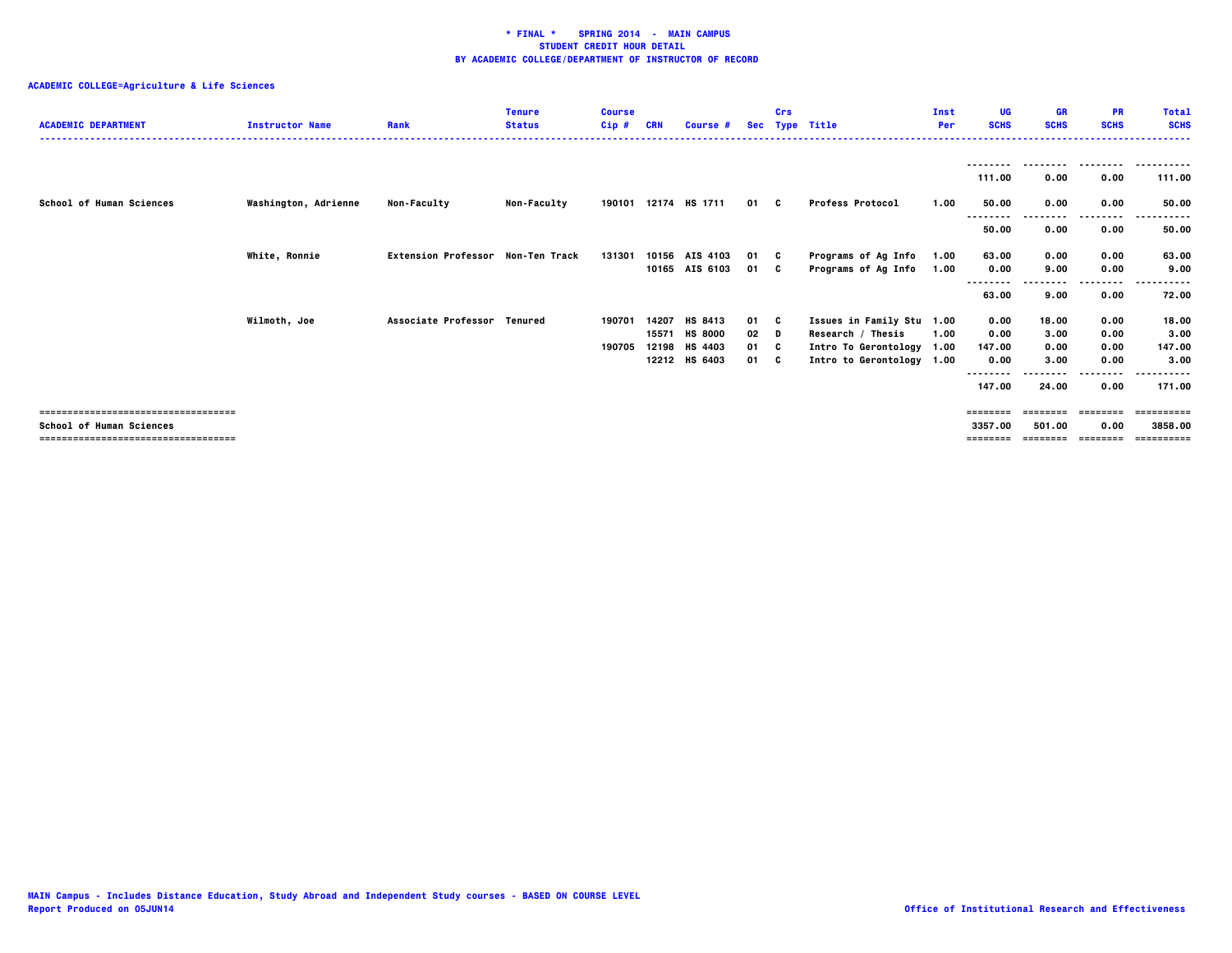| <b>ACADEMIC DEPARTMENT</b>            | <b>Instructor Name</b> | Rank                                     | <b>Tenure</b><br><b>Status</b> | <b>Course</b><br>Cip# | <b>CRN</b> | Course #             |        | Crs<br>Sec Type Title |                           | Inst<br>Per | UG<br><b>SCHS</b>  | <b>GR</b><br><b>SCHS</b> | <b>PR</b><br><b>SCHS</b> | <b>Total</b><br><b>SCHS</b> |
|---------------------------------------|------------------------|------------------------------------------|--------------------------------|-----------------------|------------|----------------------|--------|-----------------------|---------------------------|-------------|--------------------|--------------------------|--------------------------|-----------------------------|
|                                       |                        |                                          |                                |                       |            |                      |        |                       |                           |             | --------<br>111.00 | 0.00                     | ---------<br>0.00        | .<br>111.00                 |
| <b>School of Human Sciences</b>       | Washington, Adrienne   | <b>Non-Faculty</b>                       | <b>Non-Faculty</b>             |                       |            | 190101 12174 HS 1711 | 01 C   |                       | <b>Profess Protocol</b>   | 1.00        | 50.00              | 0.00                     | 0.00                     | 50.00                       |
|                                       |                        |                                          |                                |                       |            |                      |        |                       |                           |             | <br>50.00          | 0.00                     | .<br>0.00                | 50.00                       |
|                                       | <b>White, Ronnie</b>   | <b>Extension Professor Non-Ten Track</b> |                                | 131301                |            | 10156 AIS 4103       | 01 C   |                       | Programs of Ag Info       | 1.00        | 63.00              | 0.00                     | 0.00                     | 63.00                       |
|                                       |                        |                                          |                                |                       |            | 10165 AIS 6103       | 01 C   |                       | Programs of Ag Info       | 1.00        | 0.00               | 9.00                     | 0.00                     | 9.00                        |
|                                       |                        |                                          |                                |                       |            |                      |        |                       |                           |             | .<br>63.00         | 9.00                     | ----<br>0.00             | 72.00                       |
|                                       |                        |                                          |                                |                       |            |                      |        |                       |                           |             |                    |                          |                          |                             |
|                                       | Wilmoth, Joe           | Associate Professor Tenured              |                                | 190701                | 14207      | HS 8413              | 01 C   |                       | Issues in Family Stu 1.00 |             | 0.00               | 18.00                    | 0.00                     | 18.00                       |
|                                       |                        |                                          |                                |                       | 15571      | <b>HS 8000</b>       | $02$ D |                       | Research / Thesis         | 1.00        | 0.00               | 3.00                     | 0.00                     | 3.00                        |
|                                       |                        |                                          |                                | 190705                | 12198      | HS 4403              | 01 C   |                       | Intro To Gerontology 1.00 |             | 147.00             | 0.00                     | 0.00                     | 147.00                      |
|                                       |                        |                                          |                                |                       | 12212      | HS 6403              | 01 C   |                       | Intro to Gerontology 1.00 |             | 0.00               | 3.00                     | 0.00                     | 3.00                        |
|                                       |                        |                                          |                                |                       |            |                      |        |                       |                           |             | --------           |                          | .                        | ------                      |
|                                       |                        |                                          |                                |                       |            |                      |        |                       |                           |             | 147.00             | 24.00                    | 0.00                     | 171.00                      |
| ------------------------------------- |                        |                                          |                                |                       |            |                      |        |                       |                           |             | ========           | ========                 | ---------                | -==========                 |
| <b>School of Human Sciences</b>       |                        |                                          |                                |                       |            |                      |        |                       |                           |             | 3357.00            | 501.00                   | 0.00                     | 3858,00                     |
| ====================================  |                        |                                          |                                |                       |            |                      |        |                       |                           |             |                    |                          | ========                 | ==========                  |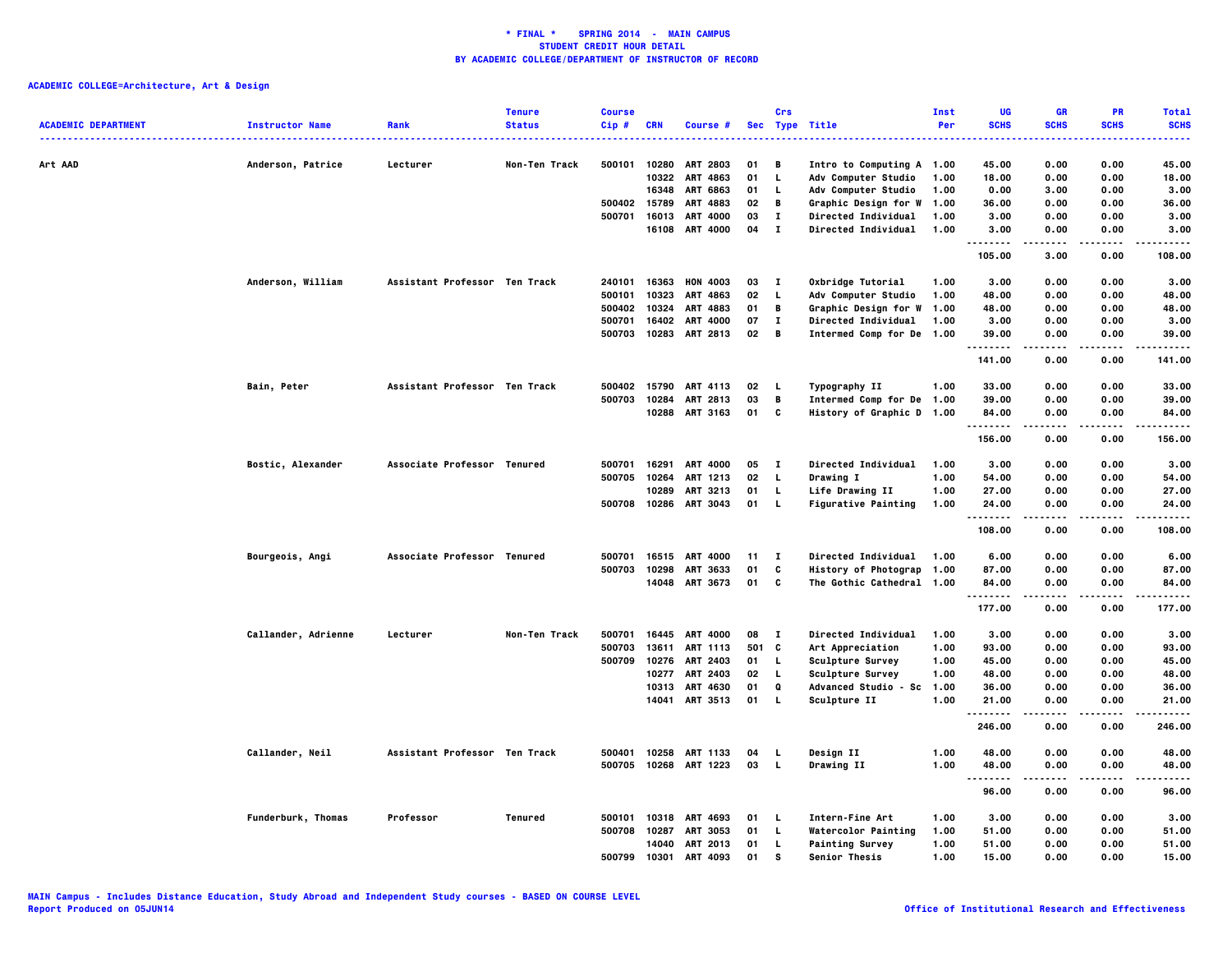| <b>ACADEMIC DEPARTMENT</b> | <b>Instructor Name</b> | Rank                          | <b>Tenure</b><br><b>Status</b> | <b>Course</b><br>Cip# | <b>CRN</b>   | Course #              |       | Crs                         | Sec Type Title             | Inst<br>Per | UG<br><b>SCHS</b> | <b>GR</b><br><b>SCHS</b> | PR<br><b>SCHS</b> | <b>Total</b><br><b>SCHS</b> |
|----------------------------|------------------------|-------------------------------|--------------------------------|-----------------------|--------------|-----------------------|-------|-----------------------------|----------------------------|-------------|-------------------|--------------------------|-------------------|-----------------------------|
|                            | .                      |                               |                                |                       |              |                       |       |                             |                            |             |                   |                          |                   |                             |
| Art AAD                    | Anderson, Patrice      | Lecturer                      | Non-Ten Track                  | 500101                | 10280        | <b>ART 2803</b>       | 01    | В                           | Intro to Computing A 1.00  |             | 45.00             | 0.00                     | 0.00              | 45.00                       |
|                            |                        |                               |                                |                       | 10322        | ART 4863              | 01    | L.                          | Adv Computer Studio        | 1.00        | 18.00             | 0.00                     | 0.00              | 18.00                       |
|                            |                        |                               |                                |                       | 16348        | <b>ART 6863</b>       | 01    | L                           | Adv Computer Studio        | 1.00        | 0.00              | 3.00                     | 0.00              | 3.00                        |
|                            |                        |                               |                                | 500402                | 15789        | ART 4883              | 02    | В                           | Graphic Design for W       | 1.00        | 36.00             | 0.00                     | 0.00              | 36.00                       |
|                            |                        |                               |                                | 500701                | 16013        | ART 4000              | 03    | $\mathbf I$<br>$\mathbf{I}$ | Directed Individual        | 1.00        | 3.00              | 0.00                     | 0.00              | 3.00                        |
|                            |                        |                               |                                |                       |              | 16108 ART 4000        | 04    |                             | Directed Individual        | 1.00        | 3.00<br>.         | 0.00<br>.                | 0.00<br>.         | 3.00<br>.                   |
|                            |                        |                               |                                |                       |              |                       |       |                             |                            |             | 105.00            | 3.00                     | 0.00              | 108.00                      |
|                            | Anderson, William      | Assistant Professor Ten Track |                                | 240101                | 16363        | <b>HON 4003</b>       | 03    | $\mathbf{I}$                | Oxbridge Tutorial          | 1.00        | 3.00              | 0.00                     | 0.00              | 3.00                        |
|                            |                        |                               |                                | 500101                | 10323        | ART 4863              | 02    | L.                          | <b>Adv Computer Studio</b> | 1.00        | 48.00             | 0.00                     | 0.00              | 48.00                       |
|                            |                        |                               |                                | 500402                | 10324        | ART 4883              | 01    | В                           | Graphic Design for W 1.00  |             | 48.00             | 0.00                     | 0.00              | 48.00                       |
|                            |                        |                               |                                | 500701                | 16402        | ART 4000              | 07    | $\mathbf I$                 | Directed Individual        | 1.00        | 3.00              | 0.00                     | 0.00              | 3.00                        |
|                            |                        |                               |                                | 500703                |              | 10283 ART 2813        | 02    | B                           | Intermed Comp for De 1.00  |             | 39.00<br>.        | 0.00<br>----             | 0.00<br>.         | 39.00                       |
|                            |                        |                               |                                |                       |              |                       |       |                             |                            |             | 141.00            | 0.00                     | 0.00              | 141.00                      |
|                            | Bain, Peter            | Assistant Professor Ten Track |                                | 500402                | 15790        | <b>ART 4113</b>       | 02    | <b>L</b>                    | Typography II              | 1.00        | 33.00             | 0.00                     | 0.00              | 33.00                       |
|                            |                        |                               |                                | 500703                | 10284        | ART 2813              | 03    | В                           | Intermed Comp for De 1.00  |             | 39.00             | 0.00                     | 0.00              | 39.00                       |
|                            |                        |                               |                                |                       |              | 10288 ART 3163        | 01    | $\mathbf{C}$                | History of Graphic D 1.00  |             | 84.00<br>.        | 0.00<br>.                | 0.00<br>.         | 84.00<br>.                  |
|                            |                        |                               |                                |                       |              |                       |       |                             |                            |             | 156.00            | 0.00                     | 0.00              | 156.00                      |
|                            | Bostic, Alexander      | Associate Professor Tenured   |                                | 500701                | 16291        | ART 4000              | 05    | $\mathbf{I}$                | Directed Individual        | 1.00        | 3.00              | 0.00                     | 0.00              | 3.00                        |
|                            |                        |                               |                                | 500705                | 10264        | ART 1213              | 02    | L                           | <b>Drawing I</b>           | 1.00        | 54.00             | 0.00                     | 0.00              | 54.00                       |
|                            |                        |                               |                                |                       | 10289        | ART 3213              | 01    | L.                          | Life Drawing II            | 1.00        | 27.00             | 0.00                     | 0.00              | 27.00                       |
|                            |                        |                               |                                |                       | 500708 10286 | ART 3043              | 01    | $\mathbf{L}$                | <b>Figurative Painting</b> | 1.00        | 24.00<br><u>.</u> | 0.00<br>.                | 0.00<br>.         | 24.00<br>.                  |
|                            |                        |                               |                                |                       |              |                       |       |                             |                            |             | 108.00            | 0.00                     | 0.00              | 108.00                      |
|                            | Bourgeois, Angi        | Associate Professor Tenured   |                                | 500701                | 16515        | <b>ART 4000</b>       | 11    | $\mathbf{I}$                | Directed Individual        | 1.00        | 6.00              | 0.00                     | 0.00              | 6.00                        |
|                            |                        |                               |                                | 500703                | 10298        | ART 3633              | 01    | C                           | History of Photograp 1.00  |             | 87.00             | 0.00                     | 0.00              | 87.00                       |
|                            |                        |                               |                                |                       |              | 14048 ART 3673        | 01    | <b>C</b>                    | The Gothic Cathedral 1.00  |             | 84.00<br>.        | 0.00<br>$- - - -$        | 0.00<br>.         | 84.00<br>.                  |
|                            |                        |                               |                                |                       |              |                       |       |                             |                            |             | 177.00            | 0.00                     | 0.00              | 177.00                      |
|                            | Callander, Adrienne    | Lecturer                      | Non-Ten Track                  | 500701                | 16445        | <b>ART 4000</b>       | 08    | п                           | Directed Individual        | 1.00        | 3.00              | 0.00                     | 0.00              | 3.00                        |
|                            |                        |                               |                                | 500703                | 13611        | <b>ART 1113</b>       | 501 C |                             | Art Appreciation           | 1.00        | 93.00             | 0.00                     | 0.00              | 93.00                       |
|                            |                        |                               |                                | 500709                | 10276        | ART 2403              | 01    | L.                          | Sculpture Survey           | 1.00        | 45.00             | 0.00                     | 0.00              | 45.00                       |
|                            |                        |                               |                                |                       | 10277        | <b>ART 2403</b>       | 02    | L.                          | Sculpture Survey           | 1.00        | 48.00             | 0.00                     | 0.00              | 48.00                       |
|                            |                        |                               |                                |                       |              | 10313 ART 4630        | 01    | Q                           | Advanced Studio - Sc 1.00  |             | 36.00             | 0.00                     | 0.00              | 36.00                       |
|                            |                        |                               |                                |                       | 14041        | ART 3513              | 01    | L.                          | Sculpture II               | 1.00        | 21.00<br>.        | 0.00<br>----             | 0.00<br>.         | 21.00<br>.                  |
|                            |                        |                               |                                |                       |              |                       |       |                             |                            |             | 246.00            | 0.00                     | 0.00              | 246.00                      |
|                            | Callander, Neil        | Assistant Professor Ten Track |                                | 500401                | 10258        | ART 1133              | 04    | L                           | Design II                  | 1.00        | 48.00             | 0.00                     | 0.00              | 48.00                       |
|                            |                        |                               |                                |                       |              | 500705 10268 ART 1223 | 03    | $\mathbf{L}$                | <b>Drawing II</b>          | 1.00        | 48.00<br>         | 0.00<br>.                | 0.00<br>.         | 48.00<br>.                  |
|                            |                        |                               |                                |                       |              |                       |       |                             |                            |             | 96.00             | 0.00                     | 0.00              | 96.00                       |
|                            | Funderburk, Thomas     | Professor                     | <b>Tenured</b>                 | 500101                | 10318        | ART 4693              | 01    | L.                          | Intern-Fine Art            | 1.00        | 3.00              | 0.00                     | 0.00              | 3.00                        |
|                            |                        |                               |                                | 500708                | 10287        | ART 3053              | 01    | L.                          | <b>Watercolor Painting</b> | 1.00        | 51.00             | 0.00                     | 0.00              | 51.00                       |
|                            |                        |                               |                                |                       | 14040        | <b>ART 2013</b>       | 01    | L                           | <b>Painting Survey</b>     | 1.00        | 51.00             | 0.00                     | 0.00              | 51.00                       |
|                            |                        |                               |                                | 500799                | 10301        | <b>ART 4093</b>       | 01    | s                           | Senior Thesis              | 1.00        | 15.00             | 0.00                     | 0.00              | 15.00                       |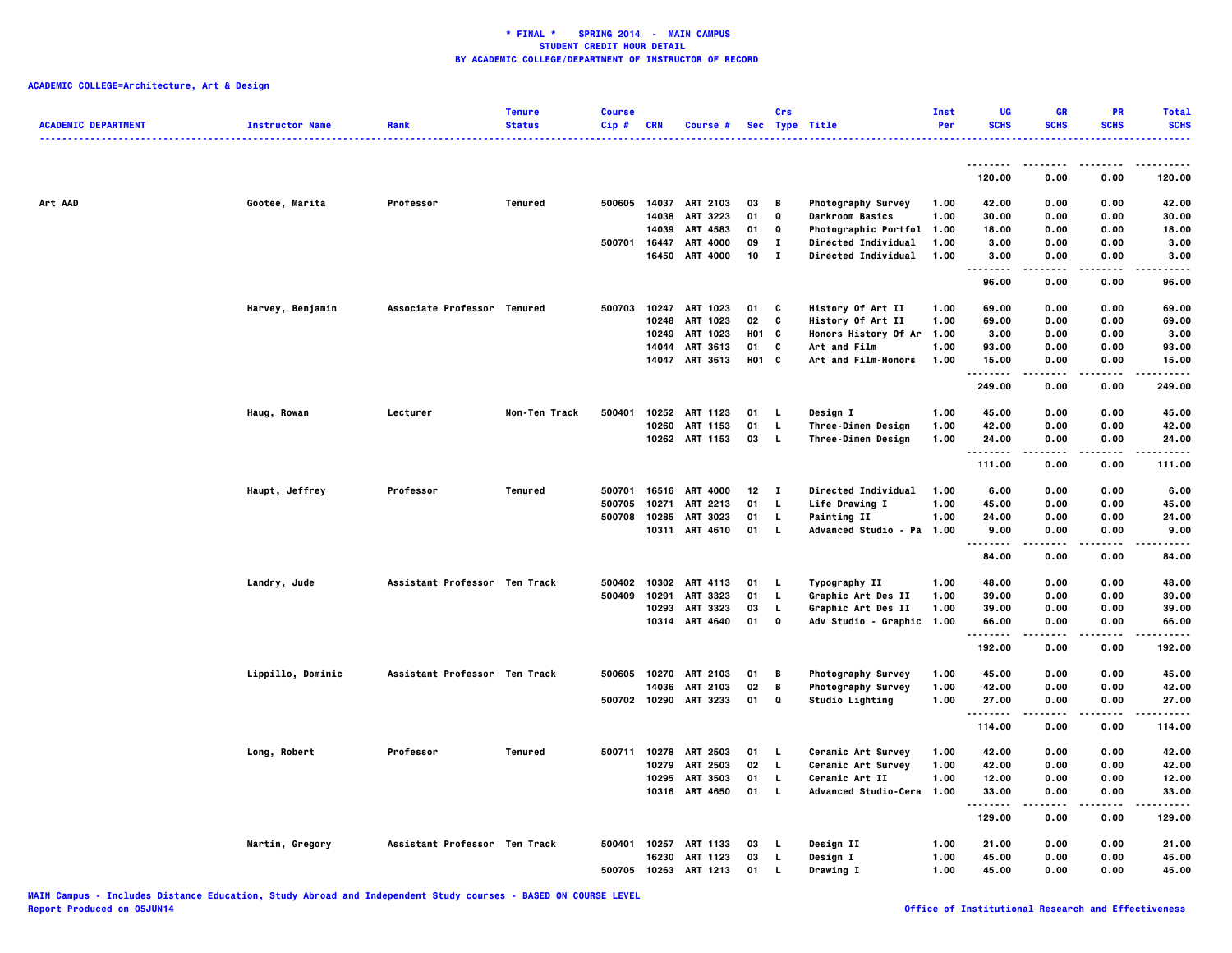| <b>ACADEMIC DEPARTMENT</b> | <b>Instructor Name</b> | Rank                          | <b>Tenure</b><br><b>Status</b> | <b>Course</b><br>$Cip$ # | <b>CRN</b> | Course #        |       | Crs          | Sec Type Title            | Inst<br>Per | UG<br><b>SCHS</b>                 | <b>GR</b><br><b>SCHS</b> | PR<br><b>SCHS</b> | <b>Total</b><br><b>SCHS</b> |
|----------------------------|------------------------|-------------------------------|--------------------------------|--------------------------|------------|-----------------|-------|--------------|---------------------------|-------------|-----------------------------------|--------------------------|-------------------|-----------------------------|
|                            |                        |                               |                                |                          |            |                 |       |              |                           |             |                                   |                          |                   |                             |
|                            |                        |                               |                                |                          |            |                 |       |              |                           |             | <u>.</u><br>120.00                | 0.00                     | 0.00              | 120.00                      |
| Art AAD                    | Gootee, Marita         | Professor                     | Tenured                        | 500605                   |            | 14037 ART 2103  | 03    | B            | Photography Survey        | 1.00        | 42.00                             | 0.00                     | 0.00              | 42.00                       |
|                            |                        |                               |                                |                          | 14038      | ART 3223        | 01    | Q            | <b>Darkroom Basics</b>    | 1.00        | 30.00                             | 0.00                     | 0.00              | 30.00                       |
|                            |                        |                               |                                |                          | 14039      | ART 4583        | 01    | Q            | Photographic Portfol 1.00 |             | 18.00                             | 0.00                     | 0.00              | 18.00                       |
|                            |                        |                               |                                | 500701                   |            | 16447 ART 4000  | 09    | $\mathbf{I}$ | Directed Individual       | 1.00        | 3.00                              | 0.00                     | 0.00              | 3.00                        |
|                            |                        |                               |                                |                          | 16450      | <b>ART 4000</b> | 10    | $\mathbf{I}$ | Directed Individual       | 1.00        | 3.00<br>$\sim$ $\sim$ $\sim$<br>. | 0.00                     | 0.00              | 3.00                        |
|                            |                        |                               |                                |                          |            |                 |       |              |                           |             | 96.00                             | 0.00                     | 0.00              | 96.00                       |
|                            | Harvey, Benjamin       | Associate Professor Tenured   |                                | 500703                   |            | 10247 ART 1023  | 01    | C            | History Of Art II         | 1.00        | 69.00                             | 0.00                     | 0.00              | 69.00                       |
|                            |                        |                               |                                |                          | 10248      | ART 1023        | 02    | C            | History Of Art II         | 1.00        | 69.00                             | 0.00                     | 0.00              | 69.00                       |
|                            |                        |                               |                                |                          |            | 10249 ART 1023  | H01 C |              | Honors History Of Ar 1.00 |             | 3.00                              | 0.00                     | 0.00              | 3.00                        |
|                            |                        |                               |                                |                          | 14044      | ART 3613        | 01    | C            | Art and Film              | 1.00        | 93.00                             | 0.00                     | 0.00              | 93.00                       |
|                            |                        |                               |                                |                          |            | 14047 ART 3613  | H01 C |              | Art and Film-Honors       | 1.00        | 15.00<br>.                        | 0.00<br>.                | 0.00<br>.         | 15.00<br>.                  |
|                            |                        |                               |                                |                          |            |                 |       |              |                           |             | 249.00                            | 0.00                     | 0.00              | 249.00                      |
|                            | Haug, Rowan            | Lecturer                      | Non-Ten Track                  | 500401                   |            | 10252 ART 1123  | 01    | L.           | Design I                  | 1.00        | 45.00                             | 0.00                     | 0.00              | 45.00                       |
|                            |                        |                               |                                |                          | 10260      | ART 1153        | 01    | L            | Three-Dimen Design        | 1.00        | 42.00                             | 0.00                     | 0.00              | 42.00                       |
|                            |                        |                               |                                |                          |            | 10262 ART 1153  | 03    | L.           | Three-Dimen Design        | 1.00        | 24.00<br>.                        | 0.00<br>-----            | 0.00<br>-----     | 24.00<br>- - - - - -        |
|                            |                        |                               |                                |                          |            |                 |       |              |                           |             | 111.00                            | 0.00                     | 0.00              | 111.00                      |
|                            | Haupt, Jeffrey         | Professor                     | Tenured                        | 500701                   |            | 16516 ART 4000  | 12    | $\mathbf{I}$ | Directed Individual       | 1.00        | 6.00                              | 0.00                     | 0.00              | 6.00                        |
|                            |                        |                               |                                | 500705                   | 10271      | ART 2213        | 01    | L            | Life Drawing I            | 1.00        | 45.00                             | 0.00                     | 0.00              | 45.00                       |
|                            |                        |                               |                                | 500708                   | 10285      | <b>ART 3023</b> | 01    | L            | <b>Painting II</b>        | 1.00        | 24.00                             | 0.00                     | 0.00              | 24.00                       |
|                            |                        |                               |                                |                          |            | 10311 ART 4610  | 01    | <b>L</b>     | Advanced Studio - Pa 1.00 |             | 9.00                              | 0.00                     | 0.00              | 9.00                        |
|                            |                        |                               |                                |                          |            |                 |       |              |                           |             | 84.00                             | 0.00                     | 0.00              | 84.00                       |
|                            | Landry, Jude           | Assistant Professor Ten Track |                                | 500402                   |            | 10302 ART 4113  | 01    | L            | Typography II             | 1.00        | 48.00                             | 0.00                     | 0.00              | 48.00                       |
|                            |                        |                               |                                | 500409                   | 10291      | ART 3323        | 01    | L            | Graphic Art Des II        | 1.00        | 39.00                             | 0.00                     | 0.00              | 39.00                       |
|                            |                        |                               |                                |                          | 10293      | ART 3323        | 03    | L            | Graphic Art Des II        | 1.00        | 39.00                             | 0.00                     | 0.00              | 39.00                       |
|                            |                        |                               |                                |                          |            | 10314 ART 4640  | 01    | Q            | Adv Studio - Graphic 1.00 |             | 66.00<br>.                        | 0.00<br>.                | 0.00<br>.         | 66.00<br>.                  |
|                            |                        |                               |                                |                          |            |                 |       |              |                           |             | 192.00                            | 0.00                     | 0.00              | 192.00                      |
|                            | Lippillo, Dominic      | Assistant Professor Ten Track |                                | 500605                   |            | 10270 ART 2103  | 01    | В            | Photography Survey        | 1.00        | 45.00                             | 0.00                     | 0.00              | 45.00                       |
|                            |                        |                               |                                |                          | 14036      | <b>ART 2103</b> | 02    | B            | Photography Survey        | 1.00        | 42.00                             | 0.00                     | 0.00              | 42.00                       |
|                            |                        |                               |                                | 500702                   | 10290      | ART 3233        | 01    | Q            | Studio Lighting           | 1.00        | 27.00<br>.                        | 0.00                     | 0.00              | 27.00<br>-----              |
|                            |                        |                               |                                |                          |            |                 |       |              |                           |             | 114.00                            | 0.00                     | 0.00              | 114.00                      |
|                            | Long, Robert           | Professor                     | Tenured                        | 500711                   | 10278      | <b>ART 2503</b> | 01    | L,           | Ceramic Art Survey        | 1.00        | 42.00                             | 0.00                     | 0.00              | 42.00                       |
|                            |                        |                               |                                |                          | 10279      | ART 2503        | 02    | L            | Ceramic Art Survey        | 1.00        | 42.00                             | 0.00                     | 0.00              | 42.00                       |
|                            |                        |                               |                                |                          | 10295      | <b>ART 3503</b> | 01    | L            | Ceramic Art II            | 1.00        | 12.00                             | 0.00                     | 0.00              | 12.00                       |
|                            |                        |                               |                                |                          |            | 10316 ART 4650  | 01    | L            | Advanced Studio-Cera 1.00 |             | 33.00<br>.                        | 0.00                     | 0.00<br>.         | 33.00<br>. <b>.</b> .       |
|                            |                        |                               |                                |                          |            |                 |       |              |                           |             | 129.00                            | 0.00                     | 0.00              | 129.00                      |
|                            | Martin, Gregory        | Assistant Professor Ten Track |                                | 500401                   |            | 10257 ART 1133  | 03    | L.           | Design II                 | 1.00        | 21.00                             | 0.00                     | 0.00              | 21.00                       |
|                            |                        |                               |                                |                          | 16230      | ART 1123        | 03    | L            | Design I                  | 1.00        | 45.00                             | 0.00                     | 0.00              | 45.00                       |
|                            |                        |                               |                                | 500705                   |            | 10263 ART 1213  | 01    | L.           | Drawing I                 | 1.00        | 45.00                             | 0.00                     | 0.00              | 45.00                       |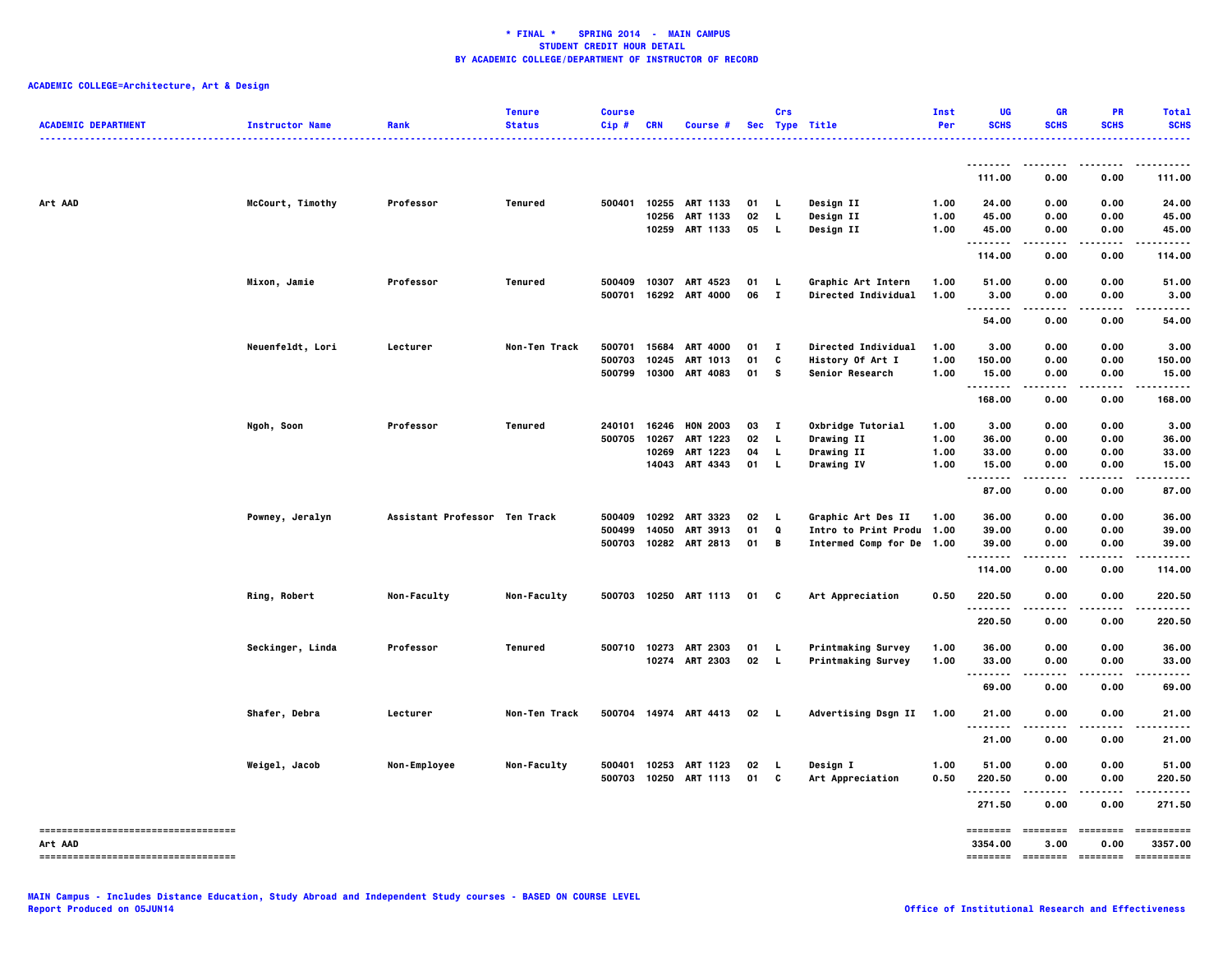| <b>ACADEMIC DEPARTMENT</b>           | <b>Instructor Name</b> | Rank                          | <b>Tenure</b><br><b>Status</b> | <b>Course</b><br>Cip# | <b>CRN</b> | Course #              |              | Crs          | Sec Type Title            | Inst<br>Per | UG<br><b>SCHS</b>   | <b>GR</b><br><b>SCHS</b> | PR<br><b>SCHS</b> | Total<br><b>SCHS</b> |
|--------------------------------------|------------------------|-------------------------------|--------------------------------|-----------------------|------------|-----------------------|--------------|--------------|---------------------------|-------------|---------------------|--------------------------|-------------------|----------------------|
|                                      |                        |                               |                                |                       |            |                       |              |              |                           |             |                     |                          |                   |                      |
|                                      |                        |                               |                                |                       |            |                       |              |              |                           |             | 111.00              | 0.00                     | 0.00              | 111.00               |
| Art AAD                              | McCourt, Timothy       | Professor                     | Tenured                        | 500401                | 10255      | ART 1133              | 01           | <b>L</b>     | Design II                 | 1.00        | 24.00               | 0.00                     | 0.00              | 24.00                |
|                                      |                        |                               |                                |                       | 10256      | ART 1133              | 02           | L.           | Design II                 | 1.00        | 45.00               | 0.00                     | 0.00              | 45.00                |
|                                      |                        |                               |                                |                       |            | 10259 ART 1133        | 05           | L.           | Design II                 | 1.00        | 45.00               | 0.00                     | 0.00              | 45.00                |
|                                      |                        |                               |                                |                       |            |                       |              |              |                           |             | ---------<br>114.00 | $\cdots$<br>0.00         | .<br>0.00         | .<br>114.00          |
|                                      | Mixon, Jamie           | Professor                     | Tenured                        | 500409                | 10307      | ART 4523              | 01           | L.           | Graphic Art Intern        | 1.00        | 51.00               | 0.00                     | 0.00              | 51.00                |
|                                      |                        |                               |                                | 500701                |            | 16292 ART 4000        | 06           | $\mathbf{I}$ | Directed Individual       | 1.00        | 3.00                | 0.00                     | 0.00              | 3.00                 |
|                                      |                        |                               |                                |                       |            |                       |              |              |                           |             |                     |                          |                   |                      |
|                                      |                        |                               |                                |                       |            |                       |              |              |                           |             | 54.00               | 0.00                     | 0.00              | 54.00                |
|                                      | Neuenfeldt, Lori       | Lecturer                      | Non-Ten Track                  | 500701                | 15684      | <b>ART 4000</b>       | 01           | $\mathbf{I}$ | Directed Individual       | 1.00        | 3.00                | 0.00                     | 0.00              | 3.00                 |
|                                      |                        |                               |                                | 500703                | 10245      | ART 1013              | 01           | C            | History Of Art I          | 1.00        | 150.00              | 0.00                     | 0.00              | 150.00               |
|                                      |                        |                               |                                | 500799                | 10300      | <b>ART 4083</b>       | 01           | s            | Senior Research           | 1.00        | 15.00               | 0.00                     | 0.00              | 15.00                |
|                                      |                        |                               |                                |                       |            |                       |              |              |                           |             | <br>168.00          | $\cdots$<br>0.00         | .<br>0.00         | .<br>168.00          |
|                                      | Ngoh, Soon             | Professor                     | Tenured                        | 240101                | 16246      | <b>HON 2003</b>       | 03           | $\mathbf{I}$ | Oxbridge Tutorial         | 1.00        | 3.00                | 0.00                     | 0.00              | 3.00                 |
|                                      |                        |                               |                                | 500705                | 10267      | ART 1223              | 02           | L.           | Drawing II                | 1.00        | 36.00               | 0.00                     | 0.00              | 36.00                |
|                                      |                        |                               |                                |                       | 10269      | ART 1223              | 04           | <b>L</b>     | <b>Drawing II</b>         | 1.00        | 33.00               | 0.00                     | 0.00              | 33.00                |
|                                      |                        |                               |                                |                       |            | 14043 ART 4343        | 01           | $\mathbf{L}$ | Drawing IV                | 1.00        | 15.00               | 0.00                     | 0.00              | 15.00                |
|                                      |                        |                               |                                |                       |            |                       |              |              |                           |             | .                   | .                        |                   |                      |
|                                      |                        |                               |                                |                       |            |                       |              |              |                           |             | 87.00               | 0.00                     | 0.00              | 87.00                |
|                                      | Powney, Jeralyn        | Assistant Professor Ten Track |                                | 500409                | 10292      | <b>ART 3323</b>       | 02           | $\mathbf{L}$ | Graphic Art Des II        | 1.00        | 36.00               | 0.00                     | 0.00              | 36.00                |
|                                      |                        |                               |                                | 500499                | 14050      | ART 3913              | 01           | Q            | Intro to Print Produ 1.00 |             | 39.00               | 0.00                     | 0.00              | 39.00                |
|                                      |                        |                               |                                | 500703                |            | 10282 ART 2813        | 01           | B            | Intermed Comp for De 1.00 |             | 39.00               | 0.00                     | 0.00              | 39.00                |
|                                      |                        |                               |                                |                       |            |                       |              |              |                           |             | --------<br>114.00  | 0.00                     | 0.00              | 114.00               |
|                                      | Ring, Robert           | Non-Faculty                   | Non-Faculty                    | 500703                |            | 10250 ART 1113        | 01           | C            | Art Appreciation          | 0.50        | 220.50              | 0.00                     | 0.00              | 220.50               |
|                                      |                        |                               |                                |                       |            |                       |              |              |                           |             |                     |                          |                   |                      |
|                                      |                        |                               |                                |                       |            |                       |              |              |                           |             | 220.50              | 0.00                     | 0.00              | 220.50               |
|                                      | Seckinger, Linda       | Professor                     | Tenured                        |                       |            | 500710 10273 ART 2303 | 01           | - L          | <b>Printmaking Survey</b> | 1.00        | 36.00               | 0.00                     | 0.00              | 36.00                |
|                                      |                        |                               |                                |                       |            | 10274 ART 2303        | $02 \quad L$ |              | <b>Printmaking Survey</b> | 1.00        | 33.00               | 0.00                     | 0.00              | 33.00                |
|                                      |                        |                               |                                |                       |            |                       |              |              |                           |             | 69.00               | 0.00                     | 0.00              | 69.00                |
|                                      | Shafer, Debra          | Lecturer                      | Non-Ten Track                  |                       |            | 500704 14974 ART 4413 | $02 \quad L$ |              | Advertising Dsgn II 1.00  |             | 21.00               | 0.00                     | 0.00              | 21.00                |
|                                      |                        |                               |                                |                       |            |                       |              |              |                           |             |                     |                          |                   |                      |
|                                      |                        |                               |                                |                       |            |                       |              |              |                           |             | 21.00               | 0.00                     | 0.00              | 21.00                |
|                                      | Weigel, Jacob          | Non-Employee                  | Non-Faculty                    | 500401                | 10253      | <b>ART 1123</b>       | 02           | <b>L</b>     | Design I                  | 1.00        | 51.00               | 0.00                     | 0.00              | 51.00                |
|                                      |                        |                               |                                | 500703                | 10250      | <b>ART 1113</b>       | 01           | C            | Art Appreciation          | 0.50        | 220.50              | 0.00                     | 0.00              | 220.50               |
|                                      |                        |                               |                                |                       |            |                       |              |              |                           |             | .<br>271.50         | .<br>0.00                | .<br>0.00         | .<br>271.50          |
| -----------------------------------  |                        |                               |                                |                       |            |                       |              |              |                           |             | ========            | ---------                | ========          | -----------          |
| Art AAD                              |                        |                               |                                |                       |            |                       |              |              |                           |             | 3354.00             | 3.00                     | 0.00              | 3357.00              |
| ------------------------------------ |                        |                               |                                |                       |            |                       |              |              |                           |             |                     | -------- ------- ------- |                   | -----------          |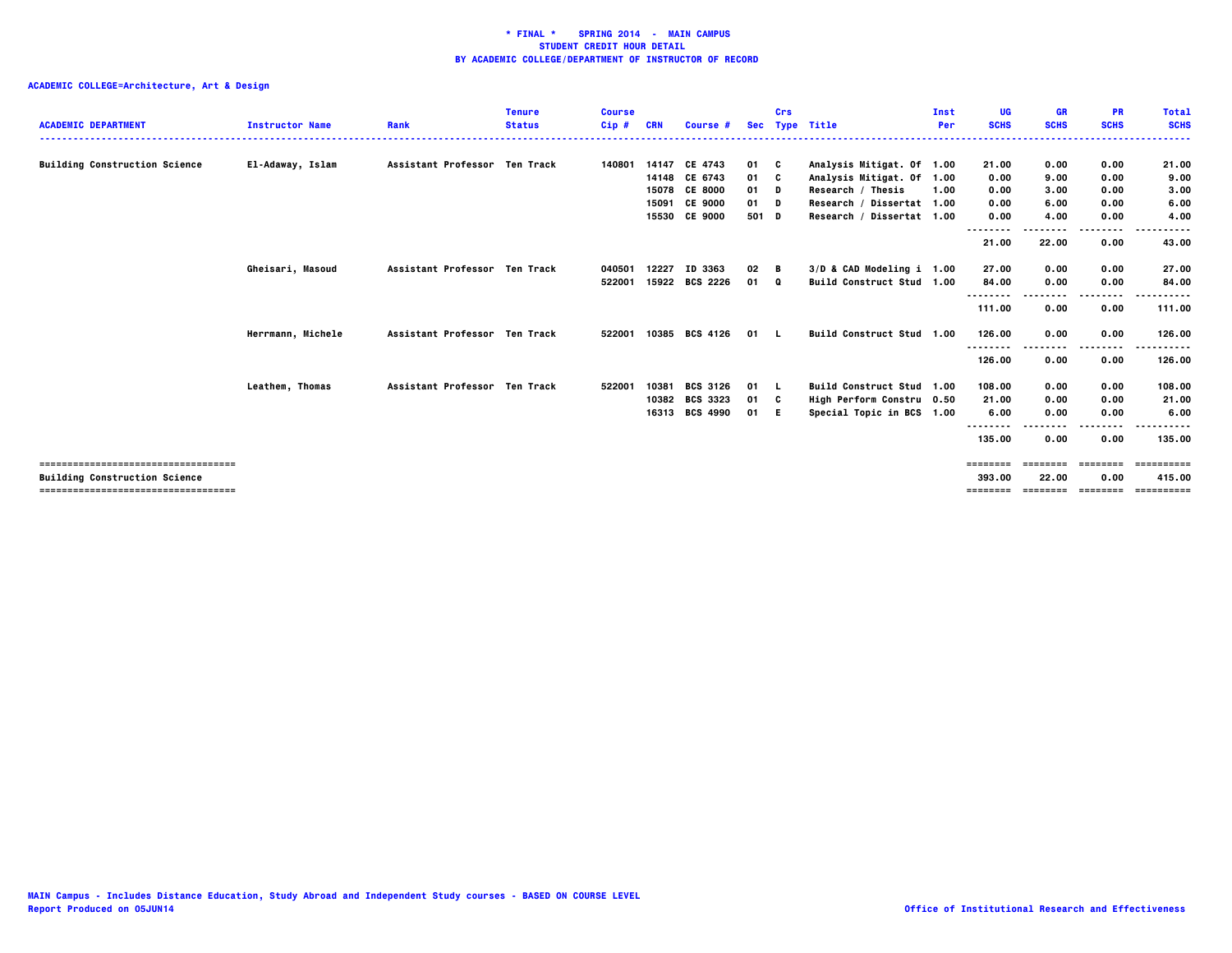| <b>ACADEMIC DEPARTMENT</b>            | <b>Instructor Name</b> | Rank                          | <b>Tenure</b><br><b>Status</b> | <b>Course</b><br>$Cip$ # | <b>CRN</b> | Course #        | <b>Sec</b> | Crs | <b>Type Title</b>         | Inst<br>Per | UG<br><b>SCHS</b>  | <b>GR</b><br><b>SCHS</b> | <b>PR</b><br><b>SCHS</b> | <b>Total</b><br><b>SCHS</b> |
|---------------------------------------|------------------------|-------------------------------|--------------------------------|--------------------------|------------|-----------------|------------|-----|---------------------------|-------------|--------------------|--------------------------|--------------------------|-----------------------------|
| <b>Building Construction Science</b>  | El-Adaway, Islam       | Assistant Professor Ten Track |                                | 140801                   |            | 14147 CE 4743   | 01 C       |     | Analysis Mitigat. Of 1.00 |             | 21.00              | 0.00                     | 0.00                     | 21.00                       |
|                                       |                        |                               |                                |                          |            | 14148 CE 6743   | 01 C       |     | Analysis Mitigat. Of 1.00 |             | 0.00               | 9.00                     | 0.00                     | 9.00                        |
|                                       |                        |                               |                                |                          |            | 15078 CE 8000   | $01$ D     |     | Research / Thesis         | 1.00        | 0.00               | 3,00                     | 0.00                     | 3.00                        |
|                                       |                        |                               |                                |                          | 15091      | <b>CE 9000</b>  | 01 D       |     | Research / Dissertat 1.00 |             | 0.00               | 6.00                     | 0.00                     | 6.00                        |
|                                       |                        |                               |                                |                          |            | 15530 CE 9000   | 501 D      |     | Research / Dissertat 1.00 |             | 0.00               | 4.00                     | 0.00                     | 4.00                        |
|                                       |                        |                               |                                |                          |            |                 |            |     |                           |             | --------           |                          | ----                     |                             |
|                                       |                        |                               |                                |                          |            |                 |            |     |                           |             | 21.00              | 22.00                    | 0.00                     | 43.00                       |
|                                       | Gheisari, Masoud       | Assistant Professor Ten Track |                                | 040501                   | 12227      | ID 3363         | 02         | в   | 3/D & CAD Modeling i 1.00 |             | 27.00              | 0.00                     | 0.00                     | 27.00                       |
|                                       |                        |                               |                                | 522001                   | 15922      | <b>BCS 2226</b> | 01 0       |     | Build Construct Stud 1.00 |             | 84.00              | 0.00                     | 0.00                     | 84.00                       |
|                                       |                        |                               |                                |                          |            |                 |            |     |                           |             | --------           |                          | .                        |                             |
|                                       |                        |                               |                                |                          |            |                 |            |     |                           |             | 111.00             | 0.00                     | 0.00                     | 111.00                      |
|                                       | Herrmann, Michele      | Assistant Professor Ten Track |                                | 522001                   |            | 10385 BCS 4126  | 01 L       |     | Build Construct Stud 1.00 |             | 126.00             | 0.00                     | 0.00                     | 126.00                      |
|                                       |                        |                               |                                |                          |            |                 |            |     |                           |             | --------<br>126.00 | 0.00                     | .<br>0.00                | .<br>126.00                 |
|                                       | Leathem, Thomas        | Assistant Professor Ten Track |                                | 522001                   | 10381      | <b>BCS 3126</b> | 01 L       |     | Build Construct Stud 1.00 |             | 108.00             | 0.00                     | 0.00                     | 108.00                      |
|                                       |                        |                               |                                |                          | 10382      | <b>BCS 3323</b> | 01 C       |     | High Perform Constru 0.50 |             | 21.00              | 0.00                     | 0.00                     | 21.00                       |
|                                       |                        |                               |                                |                          |            | 16313 BCS 4990  | 01 E       |     | Special Topic in BCS 1.00 |             | 6.00               | 0.00                     | 0.00                     | 6.00                        |
|                                       |                        |                               |                                |                          |            |                 |            |     |                           |             |                    |                          | ----                     |                             |
|                                       |                        |                               |                                |                          |            |                 |            |     |                           |             | 135.00             | 0.00                     | 0.00                     | 135.00                      |
| :=============================        |                        |                               |                                |                          |            |                 |            |     |                           |             | ========           |                          |                          |                             |
| <b>Building Construction Science</b>  |                        |                               |                                |                          |            |                 |            |     |                           |             | 393.00             | 22.00                    | 0.00                     | 415.00                      |
| ------------------------------------- |                        |                               |                                |                          |            |                 |            |     |                           |             | ========           | <b>EEEEEEE</b>           | ---------                | ==========                  |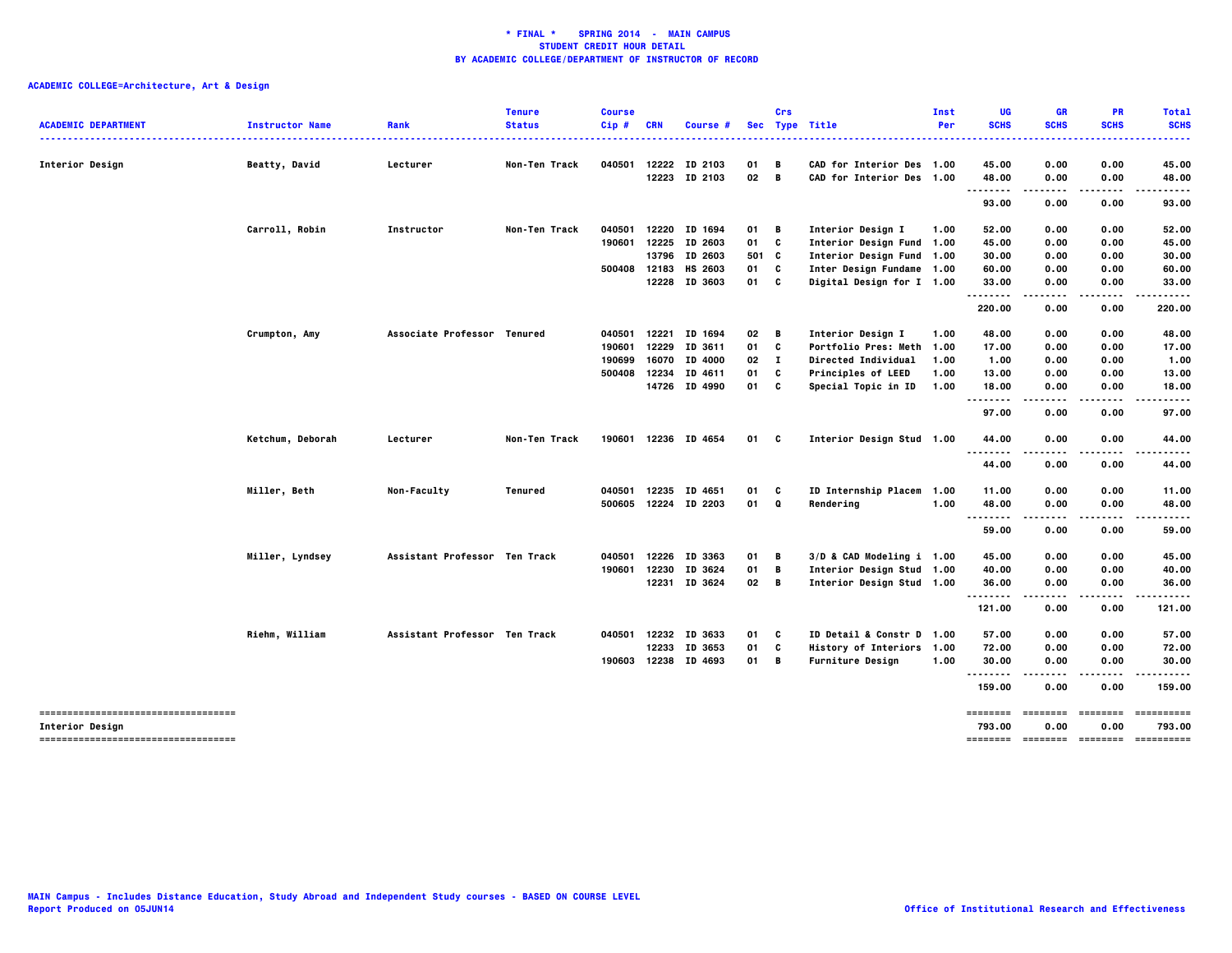|                                                          |                        |                               | <b>Tenure</b> | <b>Course</b> |            |                                 |          | Crs    |                                                      | Inst | UG                                              | <b>GR</b>    | <b>PR</b>    | <b>Total</b>   |
|----------------------------------------------------------|------------------------|-------------------------------|---------------|---------------|------------|---------------------------------|----------|--------|------------------------------------------------------|------|-------------------------------------------------|--------------|--------------|----------------|
| <b>ACADEMIC DEPARTMENT</b>                               | <b>Instructor Name</b> | Rank                          | <b>Status</b> | Cip#          | <b>CRN</b> | Course #                        |          |        | Sec Type Title                                       | Per  | <b>SCHS</b>                                     | <b>SCHS</b>  | <b>SCHS</b>  | <b>SCHS</b>    |
| Interior Design                                          | Beatty, David          | Lecturer                      | Non-Ten Track | 040501        | 12222      | ID 2103                         | 01       | В      | CAD for Interior Des 1.00                            |      | 45.00                                           | 0.00         | 0.00         | 45.00          |
|                                                          |                        |                               |               |               |            | 12223 ID 2103                   | 02       | В      | CAD for Interior Des 1.00                            |      | 48.00                                           | 0.00         | 0.00         | 48.00          |
|                                                          |                        |                               |               |               |            |                                 |          |        |                                                      |      | --------<br>93.00                               | 0.00         | 0.00         | 93.00          |
|                                                          | Carroll, Robin         | Instructor                    | Non-Ten Track | 040501        |            | 12220 ID 1694                   | 01       | в      | Interior Design I                                    | 1.00 | 52.00                                           | 0.00         | 0.00         | 52.00          |
|                                                          |                        |                               |               | 190601        |            | 12225 ID 2603                   | 01       | C      | Interior Design Fund 1.00                            |      | 45.00                                           | 0.00         | 0.00         | 45.00          |
|                                                          |                        |                               |               |               | 13796      | ID 2603                         | 501 C    |        | Interior Design Fund 1.00                            |      | 30.00                                           | 0.00         | 0.00         | 30.00          |
|                                                          |                        |                               |               | 500408        | 12183      | HS 2603                         | 01       | C      | Inter Design Fundame 1.00                            |      | 60.00                                           | 0.00         | 0.00         | 60.00          |
|                                                          |                        |                               |               |               |            | 12228 ID 3603                   | 01       | C      | Digital Design for I 1.00                            |      | 33.00                                           | 0.00         | 0.00         | 33.00          |
|                                                          |                        |                               |               |               |            |                                 |          |        |                                                      |      | .<br>220.00                                     | .<br>0.00    | .<br>0.00    | 220.00         |
|                                                          | Crumpton, Amy          | Associate Professor Tenured   |               | 040501        |            | 12221 ID 1694                   | 02       | B      | Interior Design I                                    | 1.00 | 48.00                                           | 0.00         | 0.00         | 48.00          |
|                                                          |                        |                               |               | 190601        |            | 12229 ID 3611                   | 01       | c      | Portfolio Pres: Meth 1.00                            |      | 17.00                                           | 0.00         | 0.00         | 17.00          |
|                                                          |                        |                               |               | 190699        | 16070      | ID 4000                         | 02       | п      | Directed Individual                                  | 1.00 | 1.00                                            | 0.00         | 0.00         | 1.00           |
|                                                          |                        |                               |               | 500408        |            | 12234 ID 4611                   | 01       | c      | Principles of LEED                                   | 1.00 | 13.00                                           | 0.00         | 0.00         | 13.00          |
|                                                          |                        |                               |               |               |            | 14726 ID 4990                   | 01       | c      | Special Topic in ID                                  | 1.00 | 18.00                                           | 0.00         | 0.00         | 18.00          |
|                                                          |                        |                               |               |               |            |                                 |          |        |                                                      |      | .<br>97.00                                      | 0.00         | 0.00         | 97.00          |
|                                                          | Ketchum, Deborah       | Lecturer                      | Non-Ten Track |               |            | 190601 12236 ID 4654            | 01       | C      | Interior Design Stud 1.00                            |      | 44.00<br>---                                    | 0.00         | 0.00         | 44.00          |
|                                                          |                        |                               |               |               |            |                                 |          |        |                                                      |      | 44.00                                           | 0.00         | 0.00         | 44.00          |
|                                                          | Miller, Beth           | Non-Faculty                   | Tenured       | 040501        |            | 12235 ID 4651                   | 01       | C      | ID Internship Placem 1.00                            |      | 11.00                                           | 0.00         | 0.00         | 11.00          |
|                                                          |                        |                               |               | 500605        |            | 12224 ID 2203                   | 01       | Q      | Rendering                                            | 1.00 | 48.00                                           | 0.00         | 0.00         | 48.00          |
|                                                          |                        |                               |               |               |            |                                 |          |        |                                                      |      | .<br>59.00                                      | .<br>0.00    | .<br>0.00    | 59.00          |
|                                                          | Miller, Lyndsey        | Assistant Professor Ten Track |               | 040501        | 12226      | ID 3363                         | 01       | В      | 3/D & CAD Modeling i 1.00                            |      | 45.00                                           | 0.00         | 0.00         | 45.00          |
|                                                          |                        |                               |               | 190601        | 12230      | ID 3624                         | 01       | B      | Interior Design Stud 1.00                            |      | 40.00                                           | 0.00         | 0.00         | 40.00          |
|                                                          |                        |                               |               |               |            | 12231 ID 3624                   | 02       | B      | Interior Design Stud 1.00                            |      | 36.00                                           | 0.00         | 0.00         | 36.00          |
|                                                          |                        |                               |               |               |            |                                 |          |        |                                                      |      | .<br>121.00                                     | 0.00         | 0.00         | 121.00         |
|                                                          |                        |                               |               |               |            |                                 |          |        |                                                      |      |                                                 |              |              |                |
|                                                          | Riehm, William         | Assistant Professor Ten Track |               | 040501        | 12232      | ID 3633                         | 01       | C      | ID Detail & Constr D 1.00                            |      | 57.00                                           | 0.00         | 0.00         | 57.00          |
|                                                          |                        |                               |               |               | 12233      | ID 3653<br>190603 12238 ID 4693 | 01<br>01 | C<br>B | History of Interiors 1.00<br><b>Furniture Design</b> | 1.00 | 72.00<br>30.00                                  | 0.00<br>0.00 | 0.00<br>0.00 | 72.00<br>30.00 |
|                                                          |                        |                               |               |               |            |                                 |          |        |                                                      |      |                                                 | $\cdot$      |              |                |
|                                                          |                        |                               |               |               |            |                                 |          |        |                                                      |      | 159.00                                          | 0.00         | 0.00         | 159.00         |
| =====================================<br>Interior Design |                        |                               |               |               |            |                                 |          |        |                                                      |      | ======== ======== ======== ==========<br>793.00 | 0.00         | 0.00         | 793.00         |
| ----------------------------------                       |                        |                               |               |               |            |                                 |          |        |                                                      |      |                                                 |              |              | ----------     |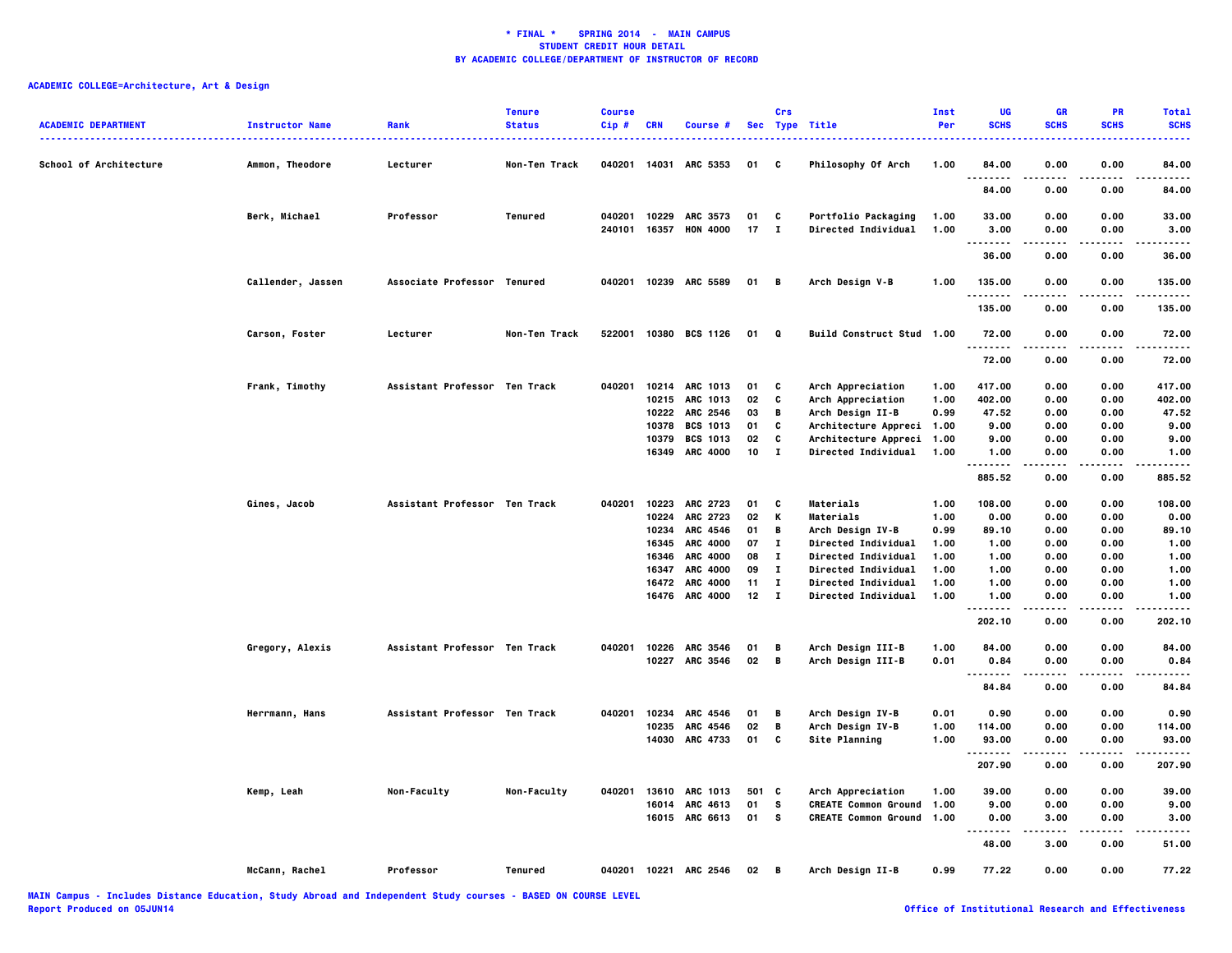| <b>ACADEMIC DEPARTMENT</b> | <b>Instructor Name</b> | Rank                          | <b>Tenure</b><br><b>Status</b> | <b>Course</b><br>$Cip$ # | <b>CRN</b> | Course #              |      | Crs            | Sec Type Title                   | <b>Inst</b><br>Per | UG<br><b>SCHS</b>              | <b>GR</b><br><b>SCHS</b> | PR<br><b>SCHS</b> | <b>Total</b><br><b>SCHS</b><br>$\frac{1}{2} \left( \frac{1}{2} \right) \left( \frac{1}{2} \right) \left( \frac{1}{2} \right) \left( \frac{1}{2} \right)$ |
|----------------------------|------------------------|-------------------------------|--------------------------------|--------------------------|------------|-----------------------|------|----------------|----------------------------------|--------------------|--------------------------------|--------------------------|-------------------|----------------------------------------------------------------------------------------------------------------------------------------------------------|
| School of Architecture     | Ammon, Theodore        | Lecturer                      | Non-Ten Track                  | 040201 14031             |            | <b>ARC 5353</b>       | 01   | C              | Philosophy Of Arch               | 1.00               | 84.00                          | 0.00                     | 0.00              | 84.00                                                                                                                                                    |
|                            |                        |                               |                                |                          |            |                       |      |                |                                  |                    | 84.00                          | 0.00                     | 0.00              | 84.00                                                                                                                                                    |
|                            | Berk, Michael          | Professor                     | Tenured                        |                          |            | 040201 10229 ARC 3573 | 01   | C              | Portfolio Packaging              | 1.00               | 33.00                          | 0.00                     | 0.00              | 33.00                                                                                                                                                    |
|                            |                        |                               |                                | 240101                   | 16357      | <b>HON 4000</b>       | 17   | $\mathbf{I}$   | Directed Individual              | 1.00               | 3.00<br>.                      | 0.00<br>.                | 0.00              | 3.00<br>.                                                                                                                                                |
|                            |                        |                               |                                |                          |            |                       |      |                |                                  |                    | 36.00                          | 0.00                     | 0.00              | 36.00                                                                                                                                                    |
|                            | Callender, Jassen      | Associate Professor Tenured   |                                |                          |            | 040201 10239 ARC 5589 | 01 B |                | Arch Design V-B                  | 1.00               | 135.00                         | 0.00                     | 0.00              | 135.00                                                                                                                                                   |
|                            |                        |                               |                                |                          |            |                       |      |                |                                  |                    | .                              |                          | ----              | .                                                                                                                                                        |
|                            |                        |                               |                                |                          |            |                       |      |                |                                  |                    | 135.00                         | 0.00                     | 0.00              | 135.00                                                                                                                                                   |
|                            | Carson, Foster         | Lecturer                      | Non-Ten Track                  | 522001                   |            | 10380 BCS 1126        | 01   | Q              | Build Construct Stud 1.00        |                    | 72.00<br>.                     | 0.00                     | 0.00              | 72.00<br>----                                                                                                                                            |
|                            |                        |                               |                                |                          |            |                       |      |                |                                  |                    | 72.00                          | 0.00                     | 0.00              | 72.00                                                                                                                                                    |
|                            | Frank, Timothy         | Assistant Professor Ten Track |                                | 040201                   |            | 10214 ARC 1013        | 01   | C              | Arch Appreciation                | 1.00               | 417.00                         | 0.00                     | 0.00              | 417.00                                                                                                                                                   |
|                            |                        |                               |                                |                          | 10215      | <b>ARC 1013</b>       | 02   | C              | Arch Appreciation                | 1.00               | 402.00                         | 0.00                     | 0.00              | 402.00                                                                                                                                                   |
|                            |                        |                               |                                |                          | 10222      | ARC 2546              | 03   | В              | Arch Design II-B                 | 0.99               | 47.52                          | 0.00                     | 0.00              | 47.52                                                                                                                                                    |
|                            |                        |                               |                                |                          | 10378      | <b>BCS 1013</b>       | 01   | C              | Architecture Appreci             | 1.00               | 9.00                           | 0.00                     | 0.00              | 9.00                                                                                                                                                     |
|                            |                        |                               |                                |                          | 10379      | <b>BCS 1013</b>       | 02   | c              | Architecture Appreci             | 1.00               | 9.00                           | 0.00                     | 0.00              | 9.00                                                                                                                                                     |
|                            |                        |                               |                                |                          | 16349      | <b>ARC 4000</b>       | 10   | $\mathbf{I}$   | Directed Individual              | 1.00               | 1.00<br>.                      | 0.00<br>.                | 0.00<br>$- - - -$ | 1.00<br>.                                                                                                                                                |
|                            |                        |                               |                                |                          |            |                       |      |                |                                  |                    | 885.52                         | 0.00                     | 0.00              | 885.52                                                                                                                                                   |
|                            | Gines, Jacob           | Assistant Professor Ten Track |                                | 040201                   | 10223      | <b>ARC 2723</b>       | 01   | C              | Materials                        | 1.00               | 108.00                         | 0.00                     | 0.00              | 108.00                                                                                                                                                   |
|                            |                        |                               |                                |                          | 10224      | <b>ARC 2723</b>       | 02   | К              | Materials                        | 1.00               | 0.00                           | 0.00                     | 0.00              | 0.00                                                                                                                                                     |
|                            |                        |                               |                                |                          | 10234      | ARC 4546              | 01   | B              | Arch Design IV-B                 | 0.99               | 89.10                          | 0.00                     | 0.00              | 89.10                                                                                                                                                    |
|                            |                        |                               |                                |                          | 16345      | <b>ARC 4000</b>       | 07   | $\mathbf{I}$   | Directed Individual              | 1.00               | 1.00                           | 0.00                     | 0.00              | 1.00                                                                                                                                                     |
|                            |                        |                               |                                |                          | 16346      | <b>ARC 4000</b>       | 08   | $\mathbf{I}$   | Directed Individual              | 1.00               | 1.00                           | 0.00                     | 0.00              | 1.00                                                                                                                                                     |
|                            |                        |                               |                                |                          | 16347      | <b>ARC 4000</b>       | 09   | $\mathbf{T}$   | Directed Individual              | 1.00               | 1.00                           | 0.00                     | 0.00              | 1.00                                                                                                                                                     |
|                            |                        |                               |                                |                          | 16472      | <b>ARC 4000</b>       | 11   | $\mathbf{I}$   | <b>Directed Individual</b>       | 1.00               | 1.00                           | 0.00                     | 0.00              | 1.00                                                                                                                                                     |
|                            |                        |                               |                                |                          |            | 16476 ARC 4000        | 12   | $\blacksquare$ | Directed Individual              | 1.00               | 1.00<br>.                      | 0.00                     | 0.00<br>.         | 1.00<br>.                                                                                                                                                |
|                            |                        |                               |                                |                          |            |                       |      |                |                                  |                    | 202.10                         | 0.00                     | 0.00              | 202.10                                                                                                                                                   |
|                            | Gregory, Alexis        | Assistant Professor Ten Track |                                | 040201                   |            | 10226 ARC 3546        | 01   | B              | Arch Design III-B                | 1.00               | 84.00                          | 0.00                     | 0.00              | 84.00                                                                                                                                                    |
|                            |                        |                               |                                |                          | 10227      | <b>ARC 3546</b>       | 02   | B              | Arch Design III-B                | 0.01               | 0.84                           | 0.00                     | 0.00              | 0.84                                                                                                                                                     |
|                            |                        |                               |                                |                          |            |                       |      |                |                                  |                    | .<br>84.84                     | 0.00                     | 0.00              | ----<br>84.84                                                                                                                                            |
|                            | Herrmann, Hans         | Assistant Professor Ten Track |                                | 040201                   | 10234      | ARC 4546              | 01   | B              | Arch Design IV-B                 | 0.01               | 0.90                           | 0.00                     | 0.00              | 0.90                                                                                                                                                     |
|                            |                        |                               |                                |                          | 10235      | ARC 4546              | 02   | B              | Arch Design IV-B                 | 1.00               | 114.00                         | 0.00                     | 0.00              | 114.00                                                                                                                                                   |
|                            |                        |                               |                                |                          |            | 14030 ARC 4733        | 01   | C              | Site Planning                    | 1.00               | 93.00                          | 0.00                     | 0.00              | 93.00                                                                                                                                                    |
|                            |                        |                               |                                |                          |            |                       |      |                |                                  |                    | $\sim$ $\sim$ $\sim$<br>207.90 | 0.00                     | .<br>0.00         | 207.90                                                                                                                                                   |
|                            | Kemp, Leah             | Non-Faculty                   | Non-Faculty                    | 040201                   |            | 13610 ARC 1013        | 501  | C              | Arch Appreciation                | 1.00               | 39.00                          | 0.00                     | 0.00              | 39,00                                                                                                                                                    |
|                            |                        |                               |                                |                          |            | 16014 ARC 4613        | 01   | <b>S</b>       | <b>CREATE Common Ground</b>      | 1.00               | 9.00                           | 0.00                     | 0.00              | 9.00                                                                                                                                                     |
|                            |                        |                               |                                |                          |            | 16015 ARC 6613        | 01 S |                | <b>CREATE Common Ground 1.00</b> |                    | 0.00                           | 3.00                     | 0.00              | 3.00                                                                                                                                                     |
|                            |                        |                               |                                |                          |            |                       |      |                |                                  |                    | $\sim$ $\sim$ $\sim$           |                          |                   |                                                                                                                                                          |
|                            |                        |                               |                                |                          |            |                       |      |                |                                  |                    | 48.00                          | 3.00                     | 0.00              | 51.00                                                                                                                                                    |
|                            | McCann, Rachel         | Professor                     | Tenured                        |                          |            | 040201 10221 ARC 2546 | 02   | — в            | Arch Design II-B                 | 0.99               | 77.22                          | 0.00                     | 0.00              | 77.22                                                                                                                                                    |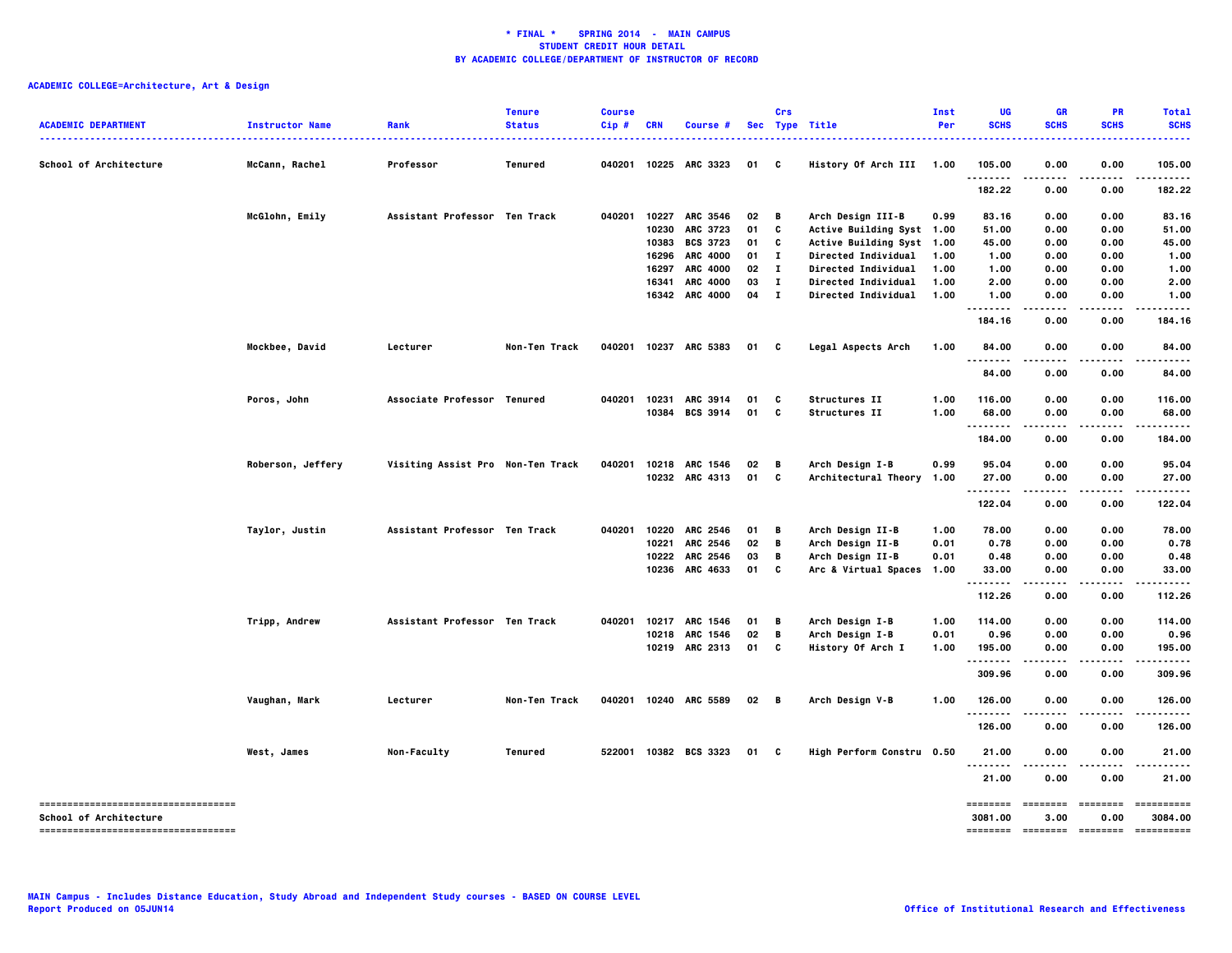| <b>ACADEMIC DEPARTMENT</b>                                      | <b>Instructor Name</b> | Rank                              | <b>Tenure</b><br><b>Status</b> | <b>Course</b><br>Cip# | <b>CRN</b> | Course #              |              | Crs          | Sec Type Title             | Inst<br>Per | UG<br><b>SCHS</b>   | <b>GR</b><br><b>SCHS</b> | PR<br><b>SCHS</b> | <b>Total</b><br><b>SCHS</b> |
|-----------------------------------------------------------------|------------------------|-----------------------------------|--------------------------------|-----------------------|------------|-----------------------|--------------|--------------|----------------------------|-------------|---------------------|--------------------------|-------------------|-----------------------------|
| School of Architecture                                          | McCann, Rachel         | Professor                         | Tenured                        |                       |            | 040201 10225 ARC 3323 | 01           | C            | History Of Arch III 1.00   |             | 105.00              | 0.00                     | 0.00              | 105.00                      |
|                                                                 |                        |                                   |                                |                       |            |                       |              |              |                            |             | <br>182.22          | - -<br>0.00              | 0.00              | 182.22                      |
|                                                                 | McGlohn, Emily         | Assistant Professor Ten Track     |                                | 040201                | 10227      | ARC 3546              | 02           | B            | Arch Design III-B          | 0.99        | 83.16               | 0.00                     | 0.00              | 83.16                       |
|                                                                 |                        |                                   |                                |                       | 10230      | <b>ARC 3723</b>       | 01           | C            | Active Building Syst 1.00  |             | 51.00               | 0.00                     | 0.00              | 51.00                       |
|                                                                 |                        |                                   |                                |                       | 10383      | <b>BCS 3723</b>       | 01           | C            | Active Building Syst 1.00  |             | 45.00               | 0.00                     | 0.00              | 45.00                       |
|                                                                 |                        |                                   |                                |                       | 16296      | <b>ARC 4000</b>       | 01           | I.           | <b>Directed Individual</b> | 1.00        | 1.00                | 0.00                     | 0.00              | 1.00                        |
|                                                                 |                        |                                   |                                |                       | 16297      | ARC 4000              | 02           | л.           | Directed Individual        | 1.00        | 1.00                | 0.00                     | 0.00              | 1.00                        |
|                                                                 |                        |                                   |                                |                       | 16341      | ARC 4000              | 03           | $\bf{I}$     | Directed Individual        | 1.00        | 2.00                | 0.00                     | 0.00              | 2.00                        |
|                                                                 |                        |                                   |                                |                       |            | 16342 ARC 4000        | 04           | $\mathbf{I}$ | <b>Directed Individual</b> | 1.00        | 1.00<br>.           | 0.00<br>$\cdots$         | 0.00<br>.         | 1.00<br>.                   |
|                                                                 |                        |                                   |                                |                       |            |                       |              |              |                            |             | 184.16              | 0.00                     | 0.00              | 184.16                      |
|                                                                 | Mockbee, David         | Lecturer                          | Non-Ten Track                  |                       |            | 040201 10237 ARC 5383 | 01 C         |              | Legal Aspects Arch         | 1.00        | 84.00               | 0.00                     | 0.00              | 84.00                       |
|                                                                 |                        |                                   |                                |                       |            |                       |              |              |                            |             | 84.00               | 0.00                     | 0.00              | 84.00                       |
|                                                                 | Poros, John            | Associate Professor Tenured       |                                | 040201                | 10231      | ARC 3914              | 01           | C            | Structures II              | 1.00        | 116.00              | 0.00                     | 0.00              | 116.00                      |
|                                                                 |                        |                                   |                                |                       | 10384      | <b>BCS 3914</b>       | 01           | C            | Structures II              | 1.00        | 68.00<br>           | 0.00<br>.                | 0.00<br>.         | 68.00<br>.                  |
|                                                                 |                        |                                   |                                |                       |            |                       |              |              |                            |             | 184.00              | 0.00                     | 0.00              | 184.00                      |
|                                                                 | Roberson, Jeffery      | Visiting Assist Pro Non-Ten Track |                                | 040201                | 10218      | ARC 1546              | 02           | B            | Arch Design I-B            | 0.99        | 95.04               | 0.00                     | 0.00              | 95.04                       |
|                                                                 |                        |                                   |                                |                       |            | 10232 ARC 4313        | 01           | C            | Architectural Theory 1.00  |             | 27.00<br>--------   | 0.00<br>.                | 0.00<br>- - - -   | 27.00<br>.                  |
|                                                                 |                        |                                   |                                |                       |            |                       |              |              |                            |             | 122.04              | 0.00                     | 0.00              | 122.04                      |
|                                                                 | Taylor, Justin         | Assistant Professor Ten Track     |                                | 040201                | 10220      | ARC 2546              | 01           | В            | Arch Design II-B           | 1.00        | 78.00               | 0.00                     | 0.00              | 78.00                       |
|                                                                 |                        |                                   |                                |                       | 10221      | <b>ARC 2546</b>       | 02           | В            | Arch Design II-B           | 0.01        | 0.78                | 0.00                     | 0.00              | 0.78                        |
|                                                                 |                        |                                   |                                |                       | 10222      | ARC 2546              | 03           | В            | Arch Design II-B           | 0.01        | 0.48                | 0.00                     | 0.00              | 0.48                        |
|                                                                 |                        |                                   |                                |                       | 10236      | ARC 4633              | 01           | C            | Arc & Virtual Spaces 1.00  |             | 33.00<br>           | 0.00<br>.                | 0.00<br>.         | 33.00                       |
|                                                                 |                        |                                   |                                |                       |            |                       |              |              |                            |             | 112.26              | 0.00                     | 0.00              | 112.26                      |
|                                                                 | Tripp, Andrew          | Assistant Professor Ten Track     |                                | 040201                | 10217      | ARC 1546              | 01           | В            | Arch Design I-B            | 1.00        | 114.00              | 0.00                     | 0.00              | 114.00                      |
|                                                                 |                        |                                   |                                |                       | 10218      | ARC 1546              | 02           | B            | Arch Design I-B            | 0.01        | 0.96                | 0.00                     | 0.00              | 0.96                        |
|                                                                 |                        |                                   |                                |                       |            | 10219 ARC 2313        | 01           | C            | History Of Arch I          | 1.00        | 195.00<br>          | 0.00<br>$\cdots$         | 0.00<br>.         | 195.00<br>.                 |
|                                                                 |                        |                                   |                                |                       |            |                       |              |              |                            |             | 309.96              | 0.00                     | 0.00              | 309.96                      |
|                                                                 | Vaughan, Mark          | Lecturer                          | Non-Ten Track                  |                       |            | 040201 10240 ARC 5589 | $02 \quad B$ |              | Arch Design V-B            | 1.00        | 126.00<br>--------  | 0.00                     | 0.00              | 126.00                      |
|                                                                 |                        |                                   |                                |                       |            |                       |              |              |                            |             | 126.00              | 0.00                     | 0.00              | 126.00                      |
|                                                                 | West, James            | Non-Faculty                       | <b>Tenured</b>                 |                       |            | 522001 10382 BCS 3323 | 01           | C            | High Perform Constru 0.50  |             | 21.00               | 0.00                     | 0.00              | 21.00                       |
|                                                                 |                        |                                   |                                |                       |            |                       |              |              |                            |             | <br>21.00           | 0.00                     | 0.00              | 21.00                       |
| -------------------------------------<br>School of Architecture |                        |                                   |                                |                       |            |                       |              |              |                            |             | ========<br>3081.00 | ========<br>3.00         | 0.00              | ==========<br>3084.00       |
| -----------------------------------                             |                        |                                   |                                |                       |            |                       |              |              |                            |             | ========            | ========                 | ========          | ==========                  |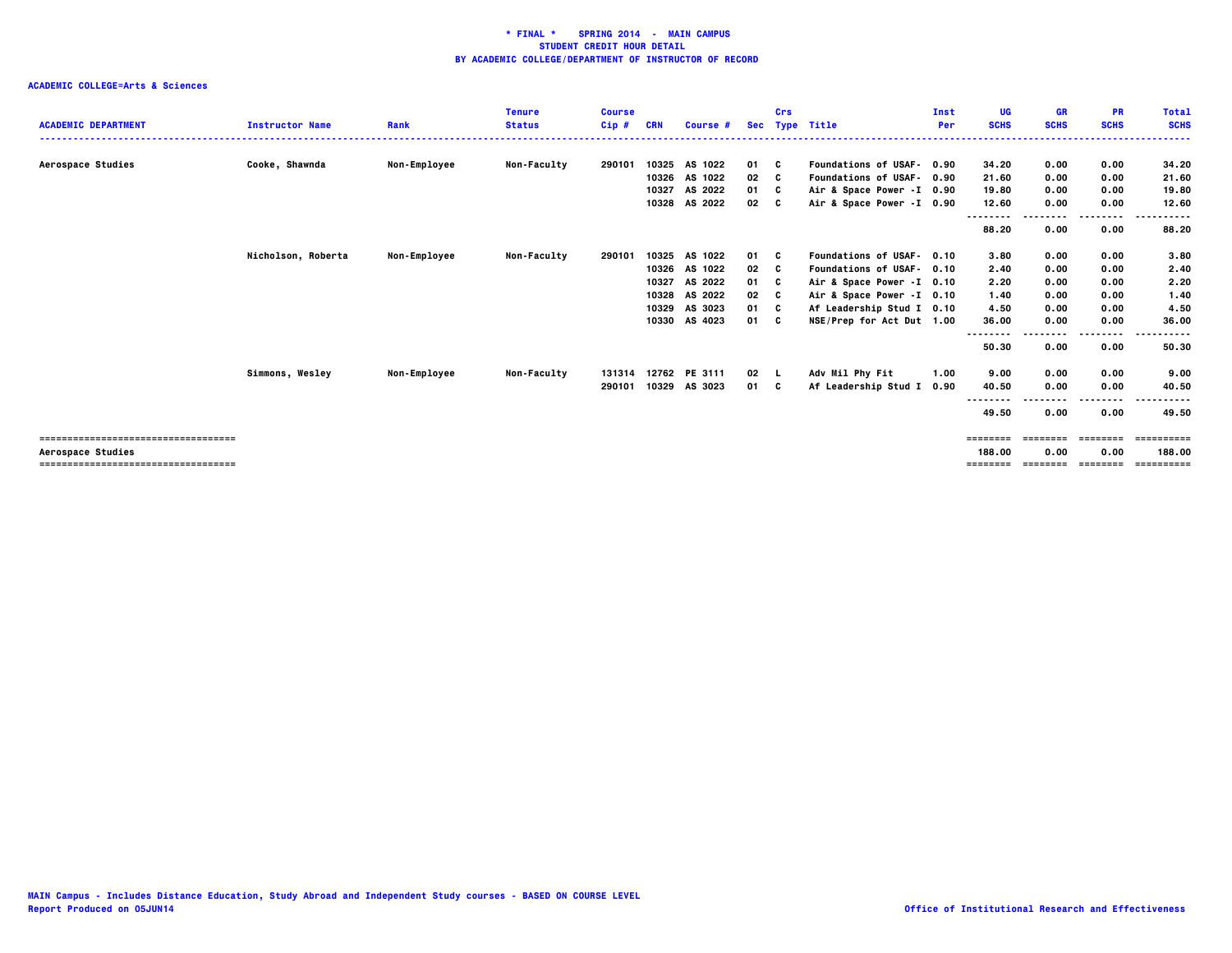|                                       |                        |                     | <b>Tenure</b>      | <b>Course</b> |       |                      |      | Crs |                           | Inst | UG                | <b>GR</b>   | <b>PR</b>   | <b>Total</b> |
|---------------------------------------|------------------------|---------------------|--------------------|---------------|-------|----------------------|------|-----|---------------------------|------|-------------------|-------------|-------------|--------------|
| <b>ACADEMIC DEPARTMENT</b>            | <b>Instructor Name</b> | Rank                | <b>Status</b>      | $Cip$ #       | CRN   | Course #             |      |     | Sec Type Title            | Per  | <b>SCHS</b>       | <b>SCHS</b> | <b>SCHS</b> | <b>SCHS</b>  |
|                                       |                        |                     |                    |               |       |                      |      |     |                           |      |                   |             |             |              |
| Aerospace Studies                     | Cooke, Shawnda         | <b>Non-Employee</b> | Non-Faculty        | 290101        |       | 10325 AS 1022        | 01 C |     | Foundations of USAF- 0.90 |      | 34.20             | 0.00        | 0.00        | 34.20        |
|                                       |                        |                     |                    |               |       | 10326 AS 1022        | 02   | c   | Foundations of USAF- 0.90 |      | 21.60             | 0.00        | 0.00        | 21.60        |
|                                       |                        |                     |                    |               | 10327 | AS 2022              | 01 C |     | Air & Space Power -I 0.90 |      | 19.80             | 0.00        | 0.00        | 19.80        |
|                                       |                        |                     |                    |               |       | 10328 AS 2022        | 02   | C.  | Air & Space Power -I 0.90 |      | 12.60             | 0.00        | 0.00        | 12.60        |
|                                       |                        |                     |                    |               |       |                      |      |     |                           |      | --------<br>88.20 | 0.00        | .<br>0.00   | .<br>88.20   |
|                                       | Nicholson, Roberta     | <b>Non-Employee</b> | <b>Non-Faculty</b> | 290101        |       | 10325 AS 1022        | 01 C |     | Foundations of USAF- 0.10 |      | 3.80              | 0.00        | 0.00        | 3.80         |
|                                       |                        |                     |                    |               |       | 10326 AS 1022        | 02   | c   | Foundations of USAF- 0.10 |      | 2.40              | 0.00        | 0.00        | 2.40         |
|                                       |                        |                     |                    |               | 10327 | AS 2022              | 01   | C   | Air & Space Power -I 0.10 |      | 2.20              | 0.00        | 0.00        | 2.20         |
|                                       |                        |                     |                    |               | 10328 | AS 2022              | 02   | - C | Air & Space Power -I 0.10 |      | 1.40              | 0.00        | 0.00        | 1.40         |
|                                       |                        |                     |                    |               | 10329 | AS 3023              | 01   | - C | Af Leadership Stud I 0.10 |      | 4.50              | 0.00        | 0.00        | 4.50         |
|                                       |                        |                     |                    |               | 10330 | AS 4023              | 01 C |     | NSE/Prep for Act Dut 1.00 |      | 36.00             | 0.00        | 0.00        | 36.00        |
|                                       |                        |                     |                    |               |       |                      |      |     |                           |      | --------          |             | ----        | .            |
|                                       |                        |                     |                    |               |       |                      |      |     |                           |      | 50.30             | 0.00        | 0.00        | 50.30        |
|                                       | Simmons, Wesley        | <b>Non-Employee</b> | <b>Non-Faculty</b> |               |       | 131314 12762 PE 3111 | 02   |     | Adv Mil Phy Fit           | 1.00 | 9.00              | 0.00        | 0.00        | 9.00         |
|                                       |                        |                     |                    | 290101        |       | 10329 AS 3023        | 01   | C.  | Af Leadership Stud I      | 0.90 | 40.50             | 0.00        | 0.00        | 40.50        |
|                                       |                        |                     |                    |               |       |                      |      |     |                           |      | --------          |             |             |              |
|                                       |                        |                     |                    |               |       |                      |      |     |                           |      | 49.50             | 0.00        | 0.00        | 49.50        |
| ====================================  |                        |                     |                    |               |       |                      |      |     |                           |      | ========          | ========    | ========    | ==========   |
| Aerospace Studies                     |                        |                     |                    |               |       |                      |      |     |                           |      | 188.00            | 0.00        | 0.00        | 188.00       |
| ===================================== |                        |                     |                    |               |       |                      |      |     |                           |      | ========          | ========    | ---------   | ==========   |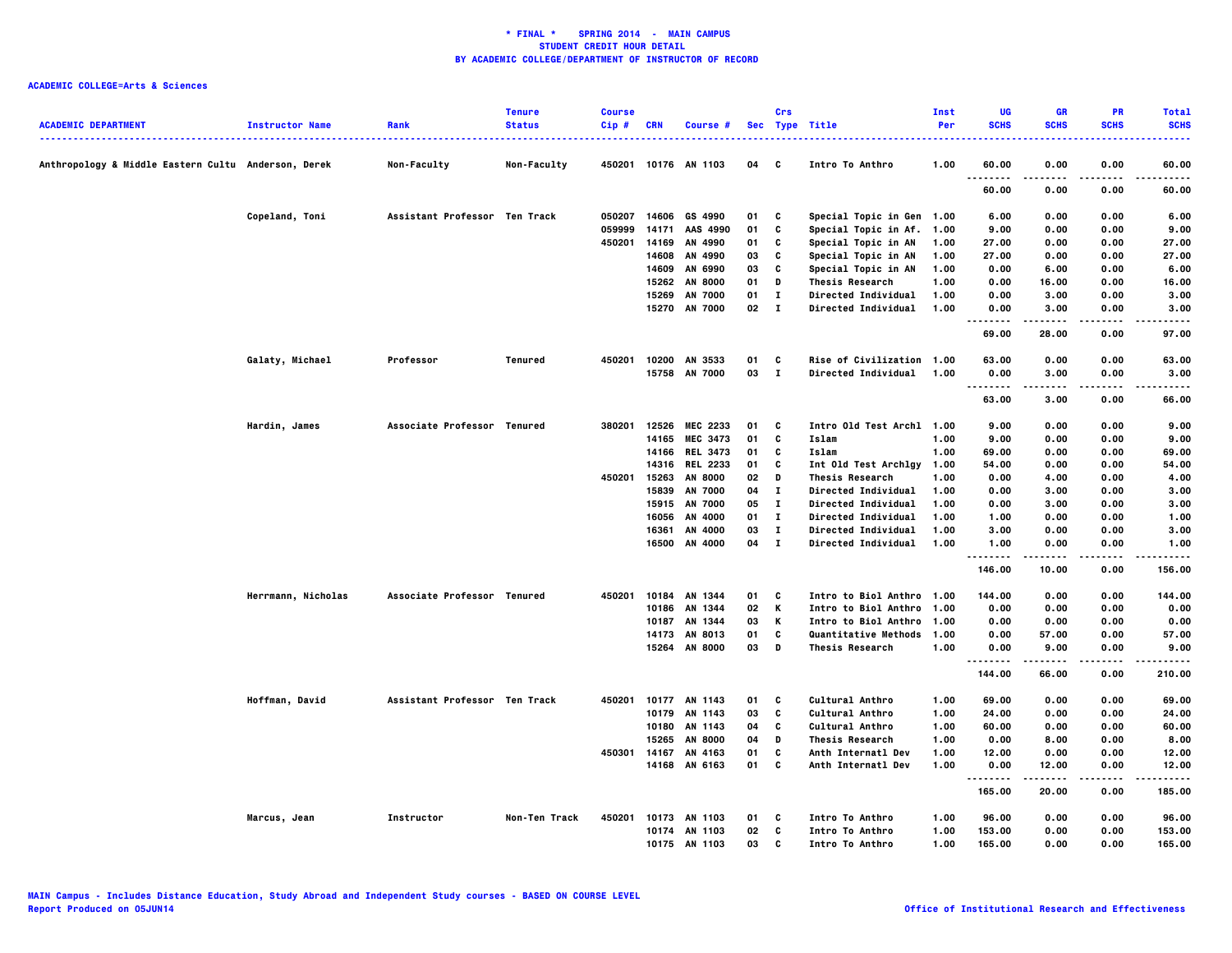|                                                     |                        |                               | <b>Tenure</b>      | <b>Course</b> |                |                      |              | Crs                          |                                               | <b>Inst</b>  | UG               | <b>GR</b>            | PR           | <b>Total</b>  |
|-----------------------------------------------------|------------------------|-------------------------------|--------------------|---------------|----------------|----------------------|--------------|------------------------------|-----------------------------------------------|--------------|------------------|----------------------|--------------|---------------|
| <b>ACADEMIC DEPARTMENT</b>                          | <b>Instructor Name</b> | Rank                          | <b>Status</b>      | Cip#          | <b>CRN</b>     | Course #             |              |                              | Sec Type Title                                | Per          | <b>SCHS</b>      | <b>SCHS</b>          | <b>SCHS</b>  | <b>SCHS</b>   |
|                                                     |                        | وسامات                        |                    |               |                |                      |              |                              |                                               |              |                  |                      |              |               |
| Anthropology & Middle Eastern Cultu Anderson, Derek |                        | Non-Faculty                   | <b>Non-Faculty</b> |               |                | 450201 10176 AN 1103 | 04           | $\mathbf{c}$                 | Intro To Anthro                               | 1.00         | 60.00            | 0.00                 | 0.00         | 60.00         |
|                                                     |                        |                               |                    |               |                |                      |              |                              |                                               |              | .<br>60.00       | 0.00                 | 0.00         | 60.00         |
|                                                     |                        |                               |                    |               |                |                      |              |                              |                                               |              |                  |                      |              |               |
|                                                     | Copeland, Toni         | Assistant Professor Ten Track |                    | 050207        | 14606          | GS 4990              | 01           | C                            | Special Topic in Gen 1.00                     |              | 6.00             | 0.00                 | 0.00         | 6.00          |
|                                                     |                        |                               |                    | 059999        | 14171          | AAS 4990             | 01           | c                            | Special Topic in Af. 1.00                     |              | 9.00             | 0.00                 | 0.00         | 9.00          |
|                                                     |                        |                               |                    | 450201        | 14169          | AN 4990              | 01           | C                            | Special Topic in AN                           | 1.00         | 27.00            | 0.00                 | 0.00         | 27.00         |
|                                                     |                        |                               |                    |               | 14608          | AN 4990              | 03           | c                            | Special Topic in AN                           | 1.00         | 27.00            | 0.00                 | 0.00         | 27.00         |
|                                                     |                        |                               |                    |               | 14609<br>15262 | AN 6990<br>AN 8000   | 03           | C<br>D                       | Special Topic in AN<br><b>Thesis Research</b> | 1.00         | 0.00             | 6.00                 | 0.00<br>0.00 | 6.00          |
|                                                     |                        |                               |                    |               | 15269          | <b>AN 7000</b>       | 01<br>01     | $\mathbf{I}$                 | <b>Directed Individual</b>                    | 1.00<br>1.00 | 0.00<br>0.00     | 16.00<br>3.00        | 0.00         | 16.00<br>3.00 |
|                                                     |                        |                               |                    |               |                | 15270 AN 7000        | $02 \quad 1$ |                              | Directed Individual                           | 1.00         | 0.00             | 3.00                 | 0.00         | 3.00          |
|                                                     |                        |                               |                    |               |                |                      |              |                              |                                               |              | --------         | .                    | .            | .             |
|                                                     |                        |                               |                    |               |                |                      |              |                              |                                               |              | 69.00            | 28.00                | 0.00         | 97.00         |
|                                                     | Galaty, Michael        | Professor                     | <b>Tenured</b>     | 450201        |                | 10200 AN 3533        | 01           | C                            | Rise of Civilization 1.00                     |              | 63.00            | 0.00                 | 0.00         | 63.00         |
|                                                     |                        |                               |                    |               |                | 15758 AN 7000        | 03           | $\blacksquare$               | <b>Directed Individual</b>                    | 1.00         | 0.00             | 3.00                 | 0.00         | 3.00          |
|                                                     |                        |                               |                    |               |                |                      |              |                              |                                               |              | .                |                      | .            | .             |
|                                                     |                        |                               |                    |               |                |                      |              |                              |                                               |              | 63.00            | 3.00                 | 0.00         | 66.00         |
|                                                     | Hardin, James          | Associate Professor Tenured   |                    | 380201        | 12526          | <b>MEC 2233</b>      | 01           | C                            | Intro Old Test Archl 1.00                     |              | 9.00             | 0.00                 | 0.00         | 9.00          |
|                                                     |                        |                               |                    |               | 14165          | <b>MEC 3473</b>      | 01           | C                            | Islam                                         | 1.00         | 9.00             | 0.00                 | 0.00         | 9.00          |
|                                                     |                        |                               |                    |               |                | 14166 REL 3473       | 01           | C                            | Islam                                         | 1.00         | 69.00            | 0.00                 | 0.00         | 69.00         |
|                                                     |                        |                               |                    |               |                | 14316 REL 2233       | 01           | C                            | Int Old Test Archlgy 1.00                     |              | 54.00            | 0.00                 | 0.00         | 54.00         |
|                                                     |                        |                               |                    | 450201 15263  |                | <b>AN 8000</b>       | 02           | D                            | <b>Thesis Research</b>                        | 1.00         | 0.00             | 4.00                 | 0.00         | 4.00          |
|                                                     |                        |                               |                    |               | 15839          | AN 7000              | 04           | $\mathbf{I}$                 | <b>Directed Individual</b>                    | 1.00         | 0.00             | 3.00                 | 0.00         | 3.00          |
|                                                     |                        |                               |                    |               |                | 15915 AN 7000        | 05           | $\mathbf{I}$                 | <b>Directed Individual</b>                    | 1.00         | 0.00             | 3.00                 | 0.00         | 3.00          |
|                                                     |                        |                               |                    |               | 16056<br>16361 | AN 4000<br>AN 4000   | 01<br>03     | $\mathbf{I}$<br>$\mathbf{I}$ | Directed Individual<br>Directed Individual    | 1.00<br>1.00 | 1.00<br>3.00     | 0.00<br>0.00         | 0.00<br>0.00 | 1.00<br>3.00  |
|                                                     |                        |                               |                    |               | 16500          | AN 4000              | 04           | $\mathbf{I}$                 | <b>Directed Individual</b>                    | 1.00         | 1.00             | 0.00                 | 0.00         | 1.00          |
|                                                     |                        |                               |                    |               |                |                      |              |                              |                                               |              | .                |                      |              |               |
|                                                     |                        |                               |                    |               |                |                      |              |                              |                                               |              | 146.00           | 10.00                | 0.00         | 156.00        |
|                                                     | Herrmann, Nicholas     | Associate Professor Tenured   |                    | 450201        |                | 10184 AN 1344        | 01           | C                            | Intro to Biol Anthro 1.00                     |              | 144.00           | 0.00                 | 0.00         | 144.00        |
|                                                     |                        |                               |                    |               | 10186          | AN 1344              | 02           | ĸ                            | Intro to Biol Anthro                          | 1.00         | 0.00             | 0.00                 | 0.00         | 0.00          |
|                                                     |                        |                               |                    |               | 10187          | AN 1344              | 03           | Κ                            | Intro to Biol Anthro 1.00                     |              | 0.00             | 0.00                 | 0.00         | 0.00          |
|                                                     |                        |                               |                    |               | 14173          | AN 8013              | 01           | C                            | Quantitative Methods 1.00                     |              | 0.00             | 57.00                | 0.00         | 57.00         |
|                                                     |                        |                               |                    |               | 15264          | <b>AN 8000</b>       | 03           | D                            | <b>Thesis Research</b>                        | 1.00         | 0.00<br><b>.</b> | 9.00<br>.            | 0.00<br>.    | 9.00<br>.     |
|                                                     |                        |                               |                    |               |                |                      |              |                              |                                               |              | 144.00           | 66.00                | 0.00         | 210.00        |
|                                                     | Hoffman, David         | Assistant Professor Ten Track |                    | 450201        |                | 10177 AN 1143        | 01           | C                            | <b>Cultural Anthro</b>                        | 1.00         | 69.00            | 0.00                 | 0.00         | 69.00         |
|                                                     |                        |                               |                    |               |                | 10179 AN 1143        | 03           | C                            | Cultural Anthro                               | 1.00         | 24.00            | 0.00                 | 0.00         | 24.00         |
|                                                     |                        |                               |                    |               |                | 10180 AN 1143        | 04           | C                            | <b>Cultural Anthro</b>                        | 1.00         | 60.00            | 0.00                 | 0.00         | 60.00         |
|                                                     |                        |                               |                    |               | 15265          | <b>AN 8000</b>       | 04           | D                            | <b>Thesis Research</b>                        | 1.00         | 0.00             | 8.00                 | 0.00         | 8.00          |
|                                                     |                        |                               |                    | 450301        |                | 14167 AN 4163        | 01           | C                            | Anth Internatl Dev                            | 1.00         | 12.00            | 0.00                 | 0.00         | 12.00         |
|                                                     |                        |                               |                    |               |                | 14168 AN 6163        | 01 C         |                              | Anth Internatl Dev                            | 1.00         | 0.00             | 12.00                | 0.00         | 12.00         |
|                                                     |                        |                               |                    |               |                |                      |              |                              |                                               |              | .<br>165.00      | $- - - - -$<br>20.00 | .<br>0.00    | 185.00        |
|                                                     | Marcus, Jean           | Instructor                    | Non-Ten Track      | 450201        |                | 10173 AN 1103        | 01           | C                            | Intro To Anthro                               | 1.00         | 96.00            | 0.00                 | 0.00         | 96.00         |
|                                                     |                        |                               |                    |               | 10174          | AN 1103              | 02           | C                            | Intro To Anthro                               | 1.00         | 153.00           | 0.00                 | 0.00         | 153.00        |
|                                                     |                        |                               |                    |               |                | 10175 AN 1103        | 03           | C                            | Intro To Anthro                               | 1.00         | 165.00           | 0.00                 | 0.00         | 165.00        |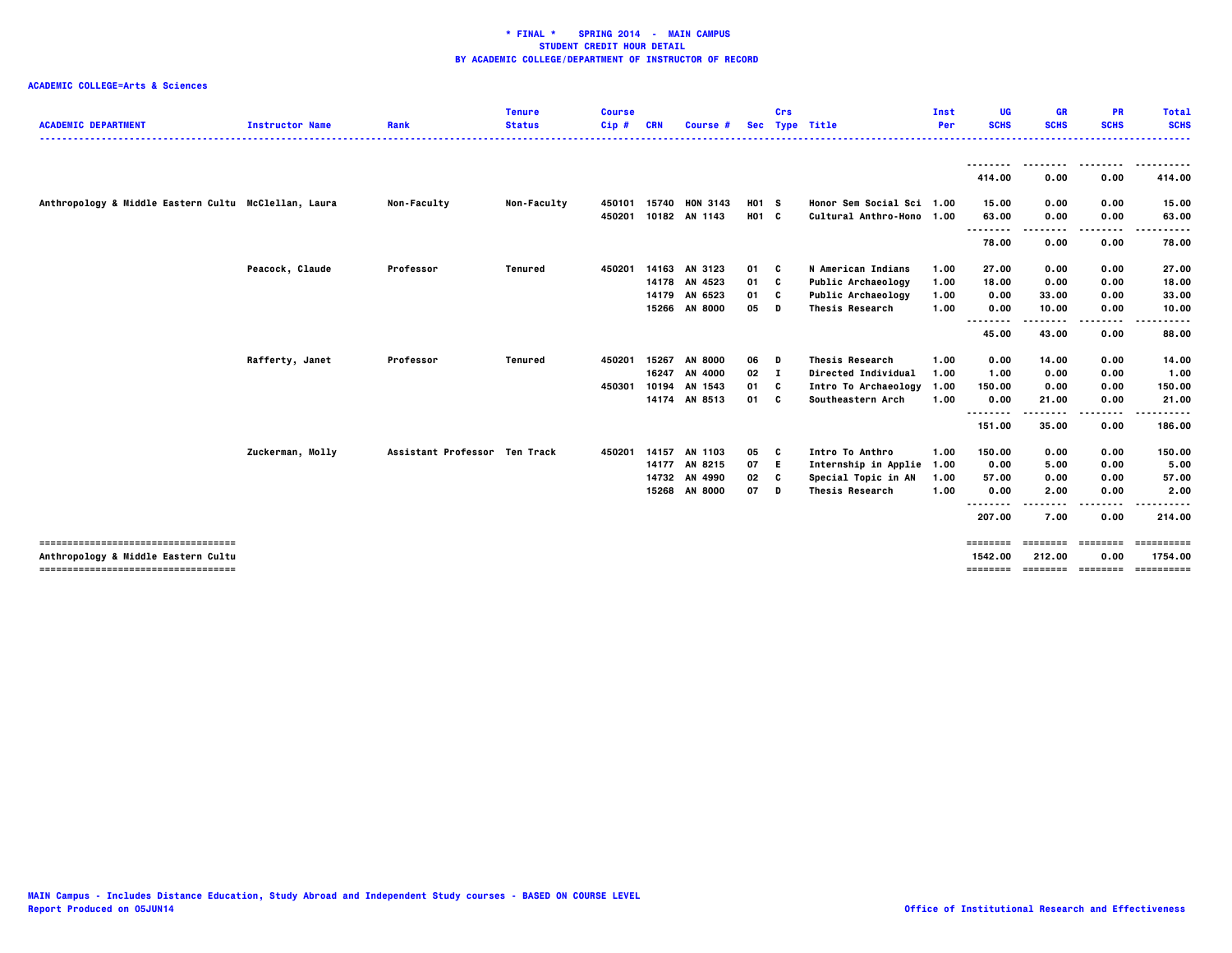| <b>ACADEMIC DEPARTMENT</b>                           | <b>Instructor Name</b> | Rank                          | <b>Tenure</b><br><b>Status</b> | <b>Course</b><br>$Cip$ # | <b>CRN</b> | Course #        |       | Crs          | Sec Type Title            | Inst<br>Per | UG<br><b>SCHS</b>                  | <b>GR</b><br><b>SCHS</b> | <b>PR</b><br><b>SCHS</b> | <b>Total</b><br><b>SCHS</b> |
|------------------------------------------------------|------------------------|-------------------------------|--------------------------------|--------------------------|------------|-----------------|-------|--------------|---------------------------|-------------|------------------------------------|--------------------------|--------------------------|-----------------------------|
|                                                      |                        |                               |                                |                          |            |                 |       |              |                           |             | --------                           |                          |                          | .                           |
|                                                      |                        |                               |                                |                          |            |                 |       |              |                           |             | 414.00                             | 0.00                     | 0.00                     | 414.00                      |
| Anthropology & Middle Eastern Cultu McClellan, Laura |                        | Non-Faculty                   | Non-Faculty                    | 450101                   | 15740      | <b>HON 3143</b> | H01 S |              | Honor Sem Social Sci 1.00 |             | 15.00                              | 0.00                     | 0.00                     | 15.00                       |
|                                                      |                        |                               |                                | 450201                   |            | 10182 AN 1143   | H01 C |              | Cultural Anthro-Hono 1.00 |             | 63.00<br>                          | 0.00                     | 0.00                     | 63.00                       |
|                                                      |                        |                               |                                |                          |            |                 |       |              |                           |             | 78.00                              | 0.00                     | 0.00                     | 78.00                       |
|                                                      | Peacock, Claude        | Professor                     | <b>Tenured</b>                 | 450201                   |            | 14163 AN 3123   | 01    | C            | N American Indians        | 1.00        | 27.00                              | 0.00                     | 0.00                     | 27.00                       |
|                                                      |                        |                               |                                |                          |            | 14178 AN 4523   | 01    | C            | Public Archaeology        | 1.00        | 18.00                              | 0.00                     | 0.00                     | 18.00                       |
|                                                      |                        |                               |                                |                          |            | 14179 AN 6523   | 01    | C            | Public Archaeology        | 1.00        | 0.00                               | 33.00                    | 0.00                     | 33.00                       |
|                                                      |                        |                               |                                |                          |            | 15266 AN 8000   | 05    | D            | <b>Thesis Research</b>    | 1.00        | 0.00<br>                           | 10.00                    | 0.00<br>----             | 10.00                       |
|                                                      |                        |                               |                                |                          |            |                 |       |              |                           |             | 45.00                              | 43.00                    | 0.00                     | 88.00                       |
|                                                      | Rafferty, Janet        | Professor                     | <b>Tenured</b>                 | 450201                   | 15267      | <b>AN 8000</b>  | 06    | D            | <b>Thesis Research</b>    | 1.00        | 0.00                               | 14.00                    | 0.00                     | 14.00                       |
|                                                      |                        |                               |                                |                          | 16247      | AN 4000         | 02    | $\mathbf{I}$ | Directed Individual       | 1.00        | 1.00                               | 0.00                     | 0.00                     | 1.00                        |
|                                                      |                        |                               |                                | 450301                   | 10194      | AN 1543         | 01    | C            | Intro To Archaeology      | 1.00        | 150.00                             | 0.00                     | 0.00                     | 150.00                      |
|                                                      |                        |                               |                                |                          |            | 14174 AN 8513   | 01    | C            | Southeastern Arch         | 1.00        | 0.00<br>                           | 21.00                    | 0.00<br>----             | 21.00<br>.                  |
|                                                      |                        |                               |                                |                          |            |                 |       |              |                           |             | 151.00                             | 35.00                    | 0.00                     | 186.00                      |
|                                                      | Zuckerman, Molly       | Assistant Professor Ten Track |                                | 450201                   | 14157      | AN 1103         | 05    | c            | Intro To Anthro           | 1.00        | 150.00                             | 0.00                     | 0.00                     | 150.00                      |
|                                                      |                        |                               |                                |                          |            | 14177 AN 8215   | 07    | E.           | Internship in Applie      | 1.00        | 0.00                               | 5.00                     | 0.00                     | 5.00                        |
|                                                      |                        |                               |                                |                          | 14732      | AN 4990         | 02    | C            | Special Topic in AN       | 1.00        | 57.00                              | 0.00                     | 0.00                     | 57.00                       |
|                                                      |                        |                               |                                |                          | 15268      | <b>AN 8000</b>  | 07    | D            | <b>Thesis Research</b>    | 1.00        | 0.00                               | 2.00                     | 0.00                     | 2.00                        |
|                                                      |                        |                               |                                |                          |            |                 |       |              |                           |             | <br>$\sim$ $\sim$ $\sim$<br>207.00 | 7.00                     | 0.00                     | 214.00                      |
| -----------------------------------                  |                        |                               |                                |                          |            |                 |       |              |                           |             | $=$ = = = = = = =                  | ========                 | ========                 | ==========                  |
| Anthropology & Middle Eastern Cultu                  |                        |                               |                                |                          |            |                 |       |              |                           |             | 1542.00                            | 212.00                   | 0.00                     | 1754.00                     |
| -------------------------------------                |                        |                               |                                |                          |            |                 |       |              |                           |             | ========                           | _____________________    |                          | ==========                  |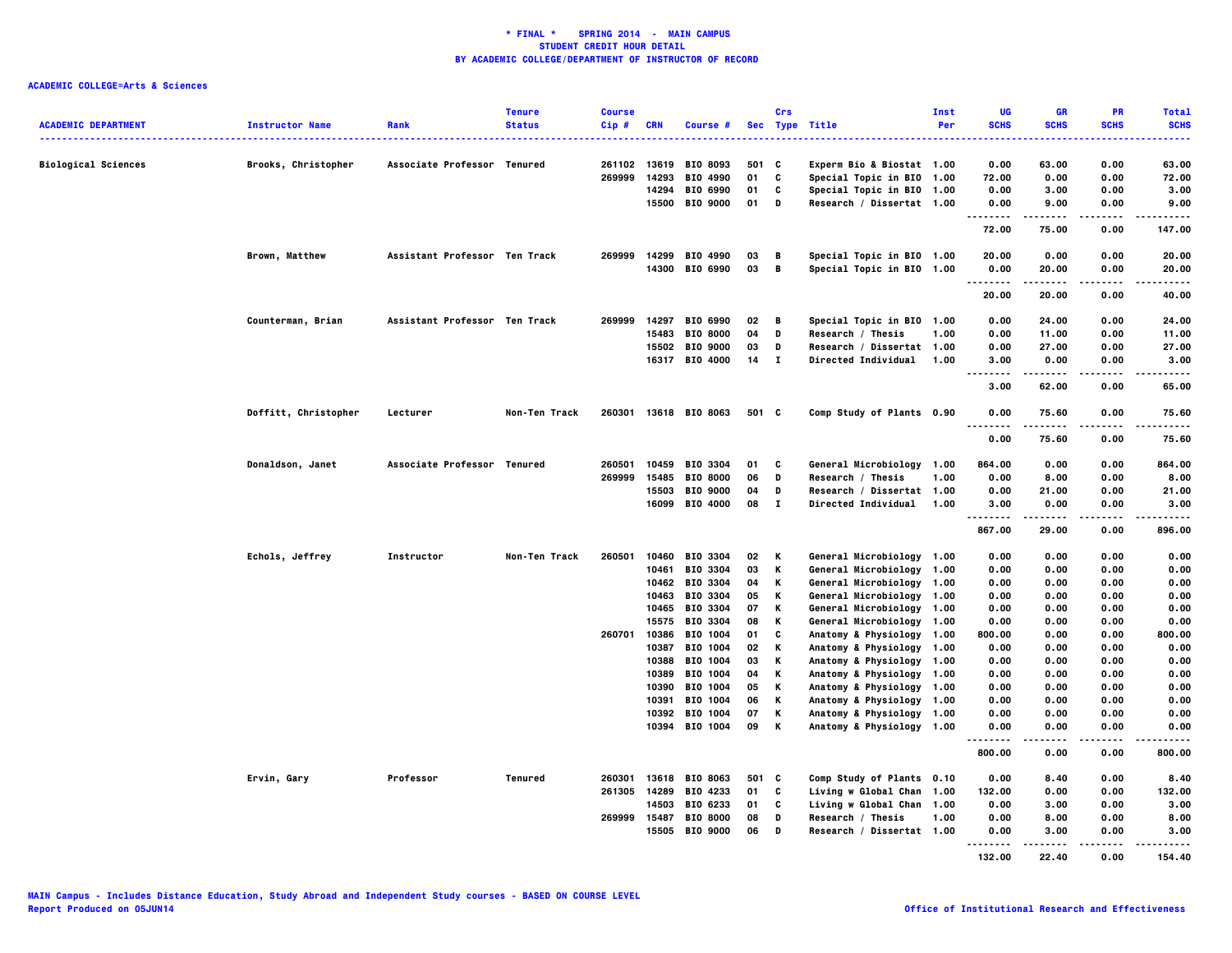| <b>ACADEMIC DEPARTMENT</b> | <b>Instructor Name</b> | Rank                          | <b>Tenure</b><br><b>Status</b> | <b>Course</b><br>Cip# | <b>CRN</b> | Course #                   |          | Crs          | Sec Type Title                                         | Inst<br>Per | UG<br><b>SCHS</b>         | <b>GR</b><br><b>SCHS</b> | <b>PR</b><br><b>SCHS</b> | <b>Total</b><br><b>SCHS</b> |
|----------------------------|------------------------|-------------------------------|--------------------------------|-----------------------|------------|----------------------------|----------|--------------|--------------------------------------------------------|-------------|---------------------------|--------------------------|--------------------------|-----------------------------|
| <b>Biological Sciences</b> | Brooks, Christopher    | Associate Professor Tenured   |                                | 261102                | 13619      | <b>BIO 8093</b>            | 501      | C            | Experm Bio & Biostat 1.00                              |             | 0.00                      | 63.00                    | 0.00                     | 63.00                       |
|                            |                        |                               |                                | 269999                | 14293      | BIO 4990                   | 01       | C            | Special Topic in BIO 1.00                              |             | 72.00                     | 0.00                     | 0.00                     | 72.00                       |
|                            |                        |                               |                                |                       | 14294      | BIO 6990                   | 01       | C            | Special Topic in BIO 1.00                              |             | 0.00                      | 3.00                     | 0.00                     | 3.00                        |
|                            |                        |                               |                                |                       | 15500      | <b>BIO 9000</b>            | 01       | D            | Research / Dissertat 1.00                              |             | 0.00                      | 9.00                     | 0.00                     | 9.00                        |
|                            |                        |                               |                                |                       |            |                            |          |              |                                                        |             | $- - - - -$<br>.<br>72.00 | -----<br>75.00           | .<br>0.00                | .<br>147.00                 |
|                            | Brown, Matthew         | Assistant Professor Ten Track |                                | 269999                | 14299      | BIO 4990                   | 03       | в            | Special Topic in BIO 1.00                              |             | 20.00                     | 0.00                     | 0.00                     | 20.00                       |
|                            |                        |                               |                                |                       |            | 14300 BIO 6990             | 03       | В            | Special Topic in BIO 1.00                              |             | 0.00<br>.                 | 20.00<br>.               | 0.00<br>.                | 20.00<br>-----              |
|                            |                        |                               |                                |                       |            |                            |          |              |                                                        |             | 20.00                     | 20.00                    | 0.00                     | 40.00                       |
|                            | Counterman, Brian      | Assistant Professor Ten Track |                                | 269999                |            | 14297 BIO 6990             | 02       | В            | Special Topic in BIO 1.00                              |             | 0.00                      | 24.00                    | 0.00                     | 24.00                       |
|                            |                        |                               |                                |                       | 15483      | <b>BIO 8000</b>            | 04       | D            | Research / Thesis                                      | 1.00        | 0.00                      | 11.00                    | 0.00                     | 11.00                       |
|                            |                        |                               |                                |                       |            | 15502 BIO 9000             | 03       | D            | Research / Dissertat 1.00                              |             | 0.00                      | 27.00                    | 0.00                     | 27.00                       |
|                            |                        |                               |                                |                       |            | 16317 BIO 4000             | $14$ I   |              | <b>Directed Individual</b>                             | 1.00        | 3.00<br>$- - - -$         | 0.00<br>.                | 0.00<br>.                | 3.00<br>.                   |
|                            |                        |                               |                                |                       |            |                            |          |              |                                                        |             | 3.00                      | 62.00                    | 0.00                     | 65.00                       |
|                            | Doffitt, Christopher   | Lecturer                      | Non-Ten Track                  | 260301                |            | 13618 BIO 8063             | 501 C    |              | Comp Study of Plants 0.90                              |             | 0.00<br>.                 | 75.60                    | 0.00                     | 75.60                       |
|                            |                        |                               |                                |                       |            |                            |          |              |                                                        |             | 0.00                      | 75.60                    | 0.00                     | 75.60                       |
|                            | Donaldson, Janet       | Associate Professor Tenured   |                                | 260501                | 10459      | <b>BIO 3304</b>            | 01       | C            | General Microbiology 1.00                              |             | 864.00                    | 0.00                     | 0.00                     | 864.00                      |
|                            |                        |                               |                                | 269999                | 15485      | <b>BIO 8000</b>            | 06       | D            | Research / Thesis                                      | 1.00        | 0.00                      | 8.00                     | 0.00                     | 8.00                        |
|                            |                        |                               |                                |                       |            | 15503 BIO 9000             | 04       | D            | Research / Dissertat 1.00                              |             | 0.00                      | 21.00                    | 0.00                     | 21.00                       |
|                            |                        |                               |                                |                       |            | 16099 BIO 4000             | 08       | $\mathbf{I}$ | <b>Directed Individual</b>                             | 1.00        | 3.00<br>--------          | 0.00<br>.                | 0.00<br>.                | 3.00<br>-----               |
|                            |                        |                               |                                |                       |            |                            |          |              |                                                        |             | 867.00                    | 29.00                    | 0.00                     | 896.00                      |
|                            | Echols, Jeffrey        | Instructor                    | <b>Non-Ten Track</b>           | 260501                | 10460      | BIO 3304                   | 02       | Κ            | General Microbiology 1.00                              |             | 0.00                      | 0.00                     | 0.00                     | 0.00                        |
|                            |                        |                               |                                |                       | 10461      | BIO 3304                   | 03       | Κ            | General Microbiology 1.00                              |             | 0.00                      | 0.00                     | 0.00                     | 0.00                        |
|                            |                        |                               |                                |                       |            | 10462 BIO 3304             | 04       | Κ            | General Microbiology 1.00                              |             | 0.00                      | 0.00                     | 0.00                     | 0.00                        |
|                            |                        |                               |                                |                       |            | 10463 BIO 3304             | 05       | Κ            | General Microbiology 1.00                              |             | 0.00                      | 0.00                     | 0.00                     | 0.00                        |
|                            |                        |                               |                                |                       | 10465      | BIO 3304                   | 07       | Κ            | General Microbiology 1.00                              |             | 0.00                      | 0.00                     | 0.00                     | 0.00                        |
|                            |                        |                               |                                |                       | 15575      | BIO 3304                   | 08       | Κ            | General Microbiology 1.00                              |             | 0.00                      | 0.00                     | 0.00                     | 0.00                        |
|                            |                        |                               |                                | 260701                | 10386      | <b>BIO 1004</b>            | 01       | C            | Anatomy & Physiology 1.00                              |             | 800.00                    | 0.00                     | 0.00                     | 800.00                      |
|                            |                        |                               |                                |                       | 10387      | <b>BIO 1004</b>            | 02       | Κ            | Anatomy & Physiology 1.00                              |             | 0.00                      | 0.00                     | 0.00                     | 0.00                        |
|                            |                        |                               |                                |                       | 10388      | <b>BIO 1004</b>            | 03       | Κ            | Anatomy & Physiology 1.00                              |             | 0.00                      | 0.00                     | 0.00                     | 0.00                        |
|                            |                        |                               |                                |                       | 10389      | BIO 1004<br>10390 BIO 1004 | 04<br>05 | Κ<br>Κ       | Anatomy & Physiology 1.00                              |             | 0.00<br>0.00              | 0.00<br>0.00             | 0.00<br>0.00             | 0.00<br>0.00                |
|                            |                        |                               |                                |                       |            |                            |          | Κ            | Anatomy & Physiology 1.00                              |             | 0.00                      | 0.00                     | 0.00                     |                             |
|                            |                        |                               |                                |                       | 10391      | BIO 1004<br>10392 BIO 1004 | 06<br>07 | Κ            | Anatomy & Physiology 1.00<br>Anatomy & Physiology 1.00 |             | 0.00                      | 0.00                     | 0.00                     | 0.00<br>0.00                |
|                            |                        |                               |                                |                       |            | 10394 BIO 1004             | 09       | Κ            | Anatomy & Physiology 1.00                              |             | 0.00                      | 0.00                     | 0.00                     | 0.00                        |
|                            |                        |                               |                                |                       |            |                            |          |              |                                                        |             | .<br>800.00               | 0.00                     | 0.00                     | 800.00                      |
|                            | Ervin, Gary            | Professor                     | Tenured                        | 260301                |            | 13618 BIO 8063             | 501 C    |              | Comp Study of Plants 0.10                              |             | 0.00                      | 8.40                     | 0.00                     | 8.40                        |
|                            |                        |                               |                                | 261305                | 14289      | BIO 4233                   | 01       | C            | Living w Global Chan 1.00                              |             | 132.00                    | 0.00                     | 0.00                     | 132.00                      |
|                            |                        |                               |                                |                       | 14503      | <b>BIO 6233</b>            | 01       | C            | Living w Global Chan 1.00                              |             | 0.00                      | 3.00                     | 0.00                     | 3.00                        |
|                            |                        |                               |                                | 269999                | 15487      | <b>BIO 8000</b>            | 08       | D            | Research / Thesis                                      | 1.00        | 0.00                      | 8.00                     | 0.00                     | 8.00                        |
|                            |                        |                               |                                |                       | 15505      | <b>BIO 9000</b>            | 06       | D            | Research / Dissertat 1.00                              |             | 0.00<br>.                 | 3.00<br>.                | 0.00<br>.                | 3.00<br>.                   |
|                            |                        |                               |                                |                       |            |                            |          |              |                                                        |             | 132.00                    | 22,40                    | 0.00                     | 154.40                      |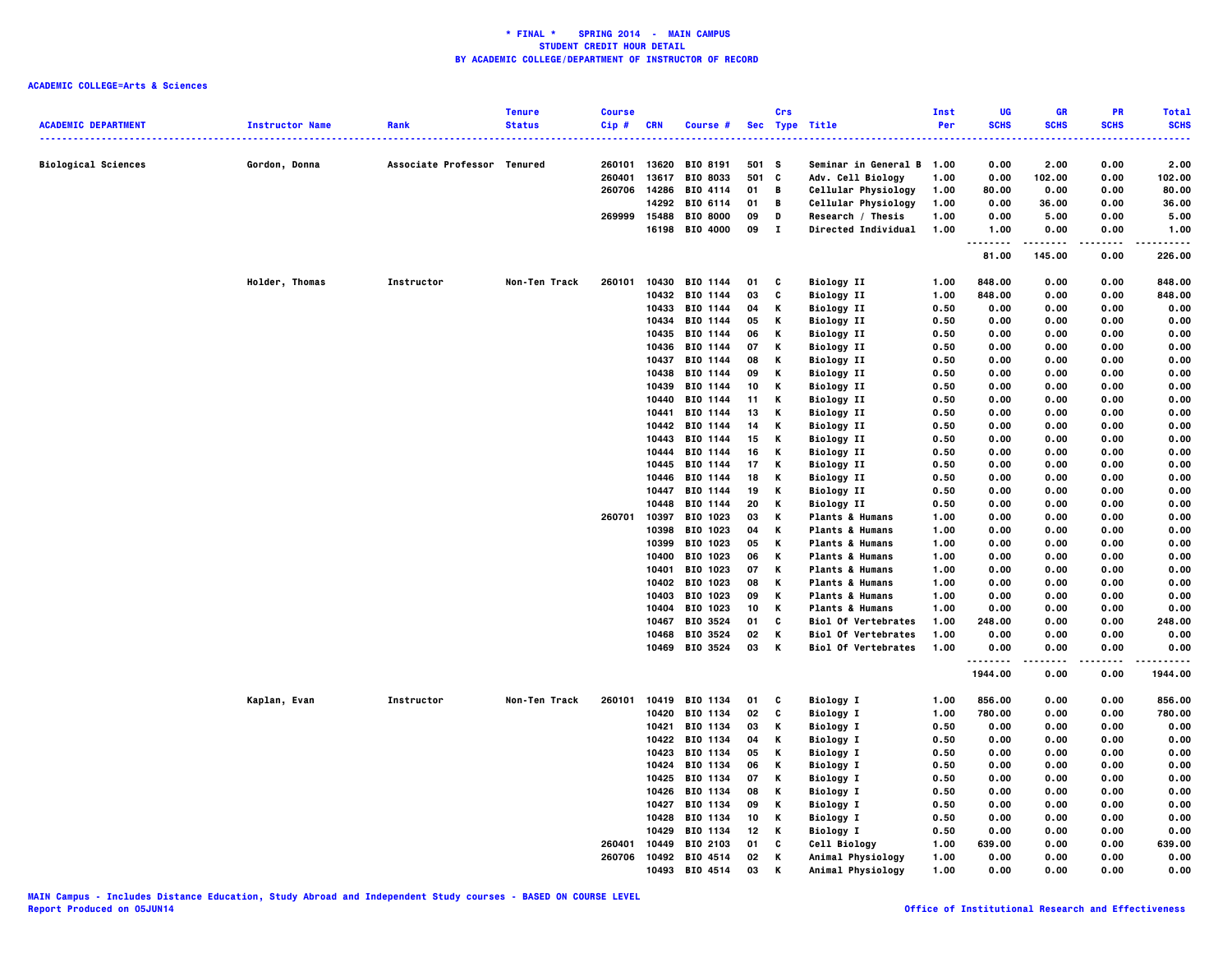|                            |                        |                             | <b>Tenure</b> | <b>Course</b> |                |                      |          | Crs               |                                               | Inst         | UG           | <b>GR</b>    | PR           | <b>Total</b>  |
|----------------------------|------------------------|-----------------------------|---------------|---------------|----------------|----------------------|----------|-------------------|-----------------------------------------------|--------------|--------------|--------------|--------------|---------------|
| <b>ACADEMIC DEPARTMENT</b> | <b>Instructor Name</b> | Rank                        | <b>Status</b> | Cip#          | <b>CRN</b>     | Course #             |          |                   | Sec Type Title<br>--------------------------- | Per          | <b>SCHS</b>  | <b>SCHS</b>  | <b>SCHS</b>  | <b>SCHS</b>   |
| <b>Biological Sciences</b> | Gordon, Donna          | Associate Professor Tenured |               | 260101        | 13620          | BIO 8191             | 501 S    |                   | Seminar in General B 1.00                     |              | 0.00         | 2.00         | 0.00         | 2.00          |
|                            |                        |                             |               | 260401        | 13617          | BIO 8033             | 501      | C                 | Adv. Cell Biology                             | 1.00         | 0.00         | 102.00       | 0.00         | 102.00        |
|                            |                        |                             |               | 260706        | 14286          | BIO 4114             | 01       | В                 | Cellular Physiology                           | 1.00         | 80.00        | 0.00         | 0.00         | 80.00         |
|                            |                        |                             |               |               |                | 14292 BIO 6114       | 01       | B                 | Cellular Physiology                           | 1.00         | 0.00         | 36.00        | 0.00         | 36.00         |
|                            |                        |                             |               | 269999        | 15488          | <b>BIO 8000</b>      | 09       | D                 | Research / Thesis                             | 1.00         | 0.00         | 5.00         | 0.00         | 5.00          |
|                            |                        |                             |               |               | 16198          | BIO 4000             | 09       | $\mathbf{I}$      | <b>Directed Individual</b>                    | 1.00         | 1.00<br>.    | 0.00         | 0.00         | 1.00<br>----- |
|                            |                        |                             |               |               |                |                      |          |                   |                                               |              | 81.00        | 145.00       | 0.00         | 226.00        |
|                            | Holder, Thomas         | Instructor                  | Non-Ten Track | 260101        | 10430          | BIO 1144             | 01       | C                 | <b>Biology II</b>                             | 1.00         | 848.00       | 0.00         | 0.00         | 848.00        |
|                            |                        |                             |               |               |                | 10432 BIO 1144       | 03       | C                 | <b>Biology II</b>                             | 1.00         | 848.00       | 0.00         | 0.00         | 848.00        |
|                            |                        |                             |               |               | 10433          | BIO 1144             | 04       | К                 | <b>Biology II</b>                             | 0.50         | 0.00         | 0.00         | 0.00         | 0.00          |
|                            |                        |                             |               |               | 10434          | BIO 1144             | 05       | К                 | <b>Biology II</b>                             | 0.50         | 0.00         | 0.00         | 0.00         | 0.00          |
|                            |                        |                             |               |               | 10435          | BIO 1144             | 06       | К                 | <b>Biology II</b>                             | 0.50         | 0.00         | 0.00         | 0.00         | 0.00          |
|                            |                        |                             |               |               | 10436          | BIO 1144             | 07       | К                 | <b>Biology II</b>                             | 0.50         | 0.00         | 0.00         | 0.00         | 0.00          |
|                            |                        |                             |               |               | 10437          | BIO 1144             | 08       | К<br>K            | <b>Biology II</b>                             | 0.50         | 0.00         | 0.00         | 0.00         | 0.00          |
|                            |                        |                             |               |               | 10438          | BIO 1144             | 09       |                   | <b>Biology II</b>                             | 0.50         | 0.00         | 0.00         | 0.00         | 0.00          |
|                            |                        |                             |               |               | 10439          | BIO 1144             | 10       | К                 | <b>Biology II</b>                             | 0.50         | 0.00         | 0.00         | 0.00         | 0.00          |
|                            |                        |                             |               |               | 10440          | BIO 1144             | 11<br>13 | К<br>К            | <b>Biology II</b>                             | 0.50<br>0.50 | 0.00<br>0.00 | 0.00<br>0.00 | 0.00<br>0.00 | 0.00<br>0.00  |
|                            |                        |                             |               |               | 10441<br>10442 | BIO 1144<br>BIO 1144 | 14       | К                 | <b>Biology II</b><br><b>Biology II</b>        | 0.50         | 0.00         | 0.00         | 0.00         | 0.00          |
|                            |                        |                             |               |               | 10443          | BIO 1144             | 15       | К                 | <b>Biology II</b>                             | 0.50         | 0.00         | 0.00         | 0.00         | 0.00          |
|                            |                        |                             |               |               | 10444          | BIO 1144             | 16       | Κ                 | <b>Biology II</b>                             | 0.50         | 0.00         | 0.00         | 0.00         | 0.00          |
|                            |                        |                             |               |               | 10445          | BIO 1144             | 17       | К                 | <b>Biology II</b>                             | 0.50         | 0.00         | 0.00         | 0.00         | 0.00          |
|                            |                        |                             |               |               | 10446          | BIO 1144             | 18       | К                 | <b>Biology II</b>                             | 0.50         | 0.00         | 0.00         | 0.00         | 0.00          |
|                            |                        |                             |               | 10447         | BIO 1144       | 19                   | К        | <b>Biology II</b> | 0.50                                          | 0.00         | 0.00         | 0.00         | 0.00         |               |
|                            |                        |                             |               |               | 10448          | BIO 1144             | 20       | К                 | <b>Biology II</b>                             | 0.50         | 0.00         | 0.00         | 0.00         | 0.00          |
|                            |                        |                             |               | 260701        | 10397          | BIO 1023             | 03       | К                 | <b>Plants &amp; Humans</b>                    | 1.00         | 0.00         | 0.00         | 0.00         | 0.00          |
|                            |                        |                             |               |               | 10398          | BIO 1023             | 04       | К                 | <b>Plants &amp; Humans</b>                    | 1.00         | 0.00         | 0.00         | 0.00         | 0.00          |
|                            |                        |                             |               |               | 10399          | BIO 1023             | 05       | К                 | <b>Plants &amp; Humans</b>                    | 1.00         | 0.00         | 0.00         | 0.00         | 0.00          |
|                            |                        |                             |               |               | 10400          | BIO 1023             | 06       | К                 | <b>Plants &amp; Humans</b>                    | 1.00         | 0.00         | 0.00         | 0.00         | 0.00          |
|                            |                        |                             |               |               | 10401          | BIO 1023             | 07       | К                 | <b>Plants &amp; Humans</b>                    | 1.00         | 0.00         | 0.00         | 0.00         | 0.00          |
|                            |                        |                             |               |               | 10402          | BIO 1023             | 08       | К                 | <b>Plants &amp; Humans</b>                    | 1.00         | 0.00         | 0.00         | 0.00         | 0.00          |
|                            |                        |                             |               |               | 10403          | <b>BIO 1023</b>      | 09       | К                 | <b>Plants &amp; Humans</b>                    | 1.00         | 0.00         | 0.00         | 0.00         | 0.00          |
|                            |                        |                             |               |               | 10404          | BIO 1023             | 10       | К                 | <b>Plants &amp; Humans</b>                    | 1.00         | 0.00         | 0.00         | 0.00         | 0.00          |
|                            |                        |                             |               |               | 10467          | BIO 3524             | 01       | C                 | <b>Biol Of Vertebrates</b>                    | 1.00         | 248.00       | 0.00         | 0.00         | 248.00        |
|                            |                        |                             |               |               | 10468          | BIO 3524             | 02       | К                 | <b>Biol Of Vertebrates</b>                    | 1.00         | 0.00         | 0.00         | 0.00         | 0.00          |
|                            |                        |                             |               |               | 10469          | BIO 3524             | 03       | К                 | <b>Biol Of Vertebrates</b>                    | 1.00         | 0.00<br>.    | 0.00<br>.    | 0.00<br>.    | 0.00<br>.     |
|                            |                        |                             |               |               |                |                      |          |                   |                                               |              | 1944.00      | 0.00         | 0.00         | 1944.00       |
|                            | Kaplan, Evan           | Instructor                  | Non-Ten Track | 260101        |                | 10419 BIO 1134       | 01       | c                 | <b>Biology I</b>                              | 1.00         | 856.00       | 0.00         | 0.00         | 856.00        |
|                            |                        |                             |               |               | 10420          | BIO 1134             | 02       | C                 | <b>Biology I</b>                              | 1.00         | 780.00       | 0.00         | 0.00         | 780.00        |
|                            |                        |                             |               |               | 10421          | BIO 1134             | 03       | К                 | <b>Biology I</b>                              | 0.50         | 0.00         | 0.00         | 0.00         | 0.00          |
|                            |                        |                             |               |               |                | 10422 BIO 1134       | 04       | К                 | <b>Biology I</b>                              | 0.50         | 0.00         | 0.00         | 0.00         | 0.00          |
|                            |                        |                             |               |               | 10423          | BIO 1134             | 05       | К                 | <b>Biology I</b>                              | 0.50         | 0.00         | 0.00         | 0.00         | 0.00          |
|                            |                        |                             |               |               |                | 10424 BIO 1134       | 06       | K                 | <b>Biology I</b>                              | 0.50         | 0.00         | 0.00         | 0.00         | 0.00          |
|                            |                        |                             |               |               | 10425          | BIO 1134             | 07       | Κ                 | <b>Biology I</b>                              | 0.50         | 0.00         | 0.00         | 0.00         | 0.00          |
|                            |                        |                             |               |               | 10426          | BIO 1134             | 08       | К                 | <b>Biology I</b>                              | 0.50         | 0.00         | 0.00         | 0.00         | 0.00<br>0.00  |
|                            |                        |                             |               |               | 10427<br>10428 | BIO 1134<br>BIO 1134 | 09<br>10 | К<br>К            | <b>Biology I</b>                              | 0.50<br>0.50 | 0.00<br>0.00 | 0.00<br>0.00 | 0.00<br>0.00 | 0.00          |
|                            |                        |                             |               |               | 10429          | BIO 1134             | 12       | К                 | <b>Biology I</b>                              |              | 0.00         | 0.00         | 0.00         | 0.00          |
|                            |                        |                             |               | 260401        | 10449          | BIO 2103             | 01       | C                 | <b>Biology I</b><br>Cell Biology              | 0.50<br>1.00 | 639.00       | 0.00         | 0.00         | 639.00        |
|                            |                        |                             |               | 260706        |                | 10492 BIO 4514       | 02       | Κ                 | Animal Physiology                             | 1.00         | 0.00         | 0.00         | 0.00         | 0.00          |
|                            |                        |                             |               |               | 10493          | BIO 4514             | 03       | К                 | Animal Physiology                             | 1.00         | 0.00         | 0.00         | 0.00         | 0.00          |
|                            |                        |                             |               |               |                |                      |          |                   |                                               |              |              |              |              |               |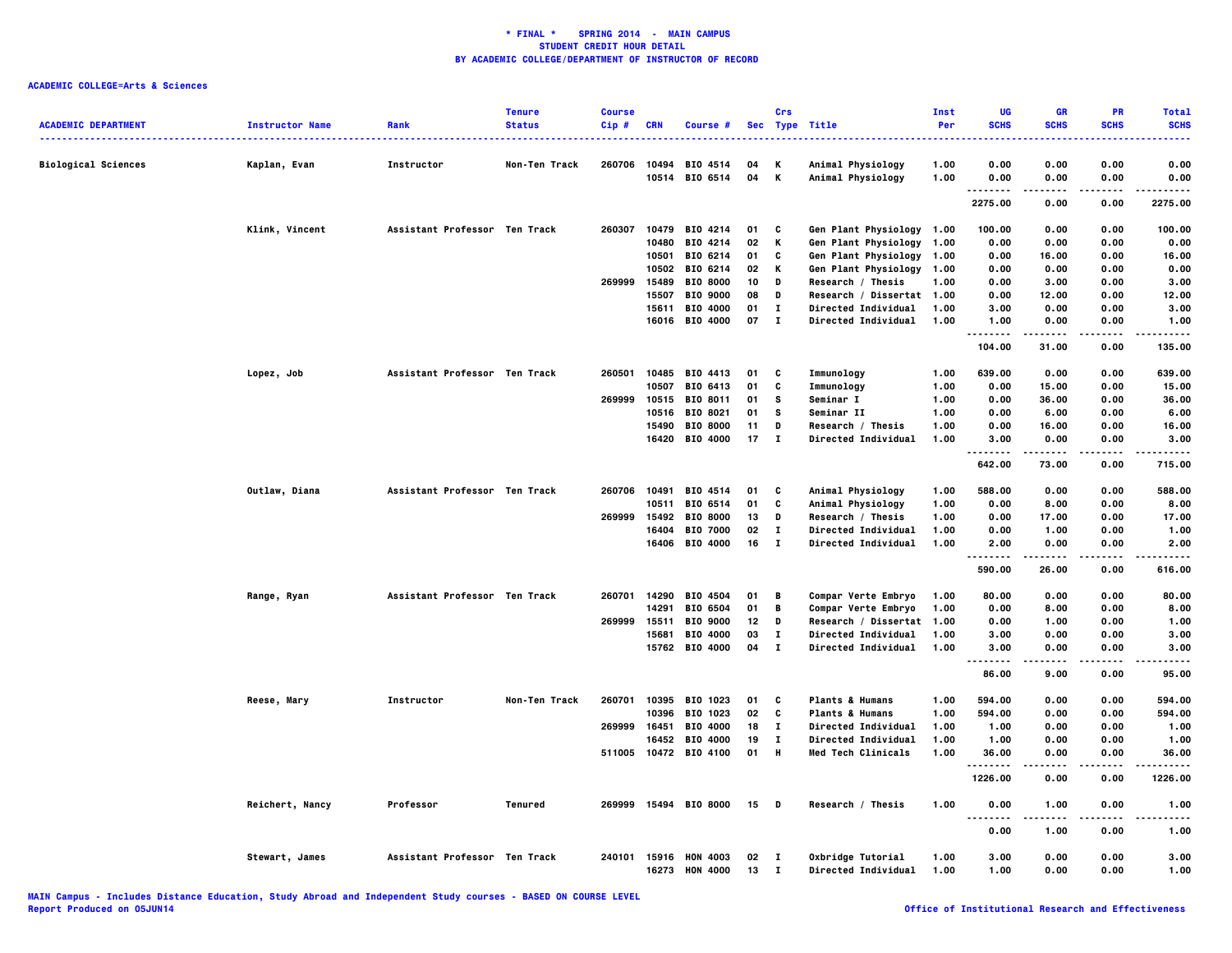|                            |                        |                               | <b>Tenure</b> | <b>Course</b> |              |                       |    | Crs          |                            | <b>Inst</b> | UG                | <b>GR</b>     | PR          | <b>Total</b>            |
|----------------------------|------------------------|-------------------------------|---------------|---------------|--------------|-----------------------|----|--------------|----------------------------|-------------|-------------------|---------------|-------------|-------------------------|
| <b>ACADEMIC DEPARTMENT</b> | <b>Instructor Name</b> | Rank                          | <b>Status</b> | Cip#          | <b>CRN</b>   | Course #              |    |              | Sec Type Title             | Per         | <b>SCHS</b>       | <b>SCHS</b>   | <b>SCHS</b> | <b>SCHS</b>             |
| <b>Biological Sciences</b> | Kaplan, Evan           | Instructor                    | Non-Ten Track | 260706        | 10494        | BIO 4514              | 04 | Κ            | Animal Physiology          | 1.00        | 0.00              | 0.00          | 0.00        | 0.00                    |
|                            |                        |                               |               |               |              | 10514 BIO 6514        | 04 | K            | Animal Physiology          | 1.00        | 0.00              | 0.00          | 0.00        | 0.00                    |
|                            |                        |                               |               |               |              |                       |    |              |                            |             | .<br>2275.00      | 0.00          | .<br>0.00   | . <b>.</b> .<br>2275.00 |
|                            | Klink, Vincent         | Assistant Professor Ten Track |               | 260307        |              | 10479 BIO 4214        | 01 | C            | Gen Plant Physiology 1.00  |             | 100.00            | 0.00          | 0.00        | 100.00                  |
|                            |                        |                               |               |               |              | 10480 BIO 4214        | 02 | K            | Gen Plant Physiology 1.00  |             | 0.00              | 0.00          | 0.00        | 0.00                    |
|                            |                        |                               |               |               |              | 10501 BIO 6214        | 01 | C            | Gen Plant Physiology 1.00  |             | 0.00              | 16.00         | 0.00        | 16.00                   |
|                            |                        |                               |               |               |              | 10502 BIO 6214        | 02 | Κ            | Gen Plant Physiology 1.00  |             | 0.00              | 0.00          | 0.00        | 0.00                    |
|                            |                        |                               |               | 269999        | 15489        | <b>BIO 8000</b>       | 10 | D            | Research / Thesis          | 1.00        | 0.00              | 3.00          | 0.00        | 3.00                    |
|                            |                        |                               |               |               | 15507        | <b>BIO 9000</b>       | 08 | D            | Research / Dissertat 1.00  |             | 0.00              | 12.00         | 0.00        | 12.00                   |
|                            |                        |                               |               |               | 15611        | BIO 4000              | 01 | п            | <b>Directed Individual</b> | 1.00        | 3.00              | 0.00          | 0.00        | 3.00                    |
|                            |                        |                               |               |               |              | 16016 BIO 4000        | 07 | $\mathbf{I}$ | <b>Directed Individual</b> | 1.00        | 1.00              | 0.00<br>.     | 0.00<br>.   | 1.00<br>.               |
|                            |                        |                               |               |               |              |                       |    |              |                            |             | <br>104.00        | 31.00         | 0.00        | 135.00                  |
|                            | Lopez, Job             | Assistant Professor Ten Track |               | 260501        |              | 10485 BIO 4413        | 01 | C            | Immunology                 | 1.00        | 639.00            | 0.00          | 0.00        | 639.00                  |
|                            |                        |                               |               |               | 10507        | BIO 6413              | 01 | C            | Immunology                 | 1.00        | 0.00              | 15.00         | 0.00        | 15.00                   |
|                            |                        |                               |               |               |              | 269999 10515 BIO 8011 | 01 | s            | Seminar I                  | 1.00        | 0.00              | 36.00         | 0.00        | 36.00                   |
|                            |                        |                               |               |               |              | 10516 BIO 8021        | 01 | <b>S</b>     | Seminar II                 | 1.00        | 0.00              | 6.00          | 0.00        | 6.00                    |
|                            |                        |                               |               |               | 15490        | <b>BIO 8000</b>       | 11 | D            | Research / Thesis          | 1.00        | 0.00              | 16.00         | 0.00        | 16.00                   |
|                            |                        |                               |               |               |              | 16420 BIO 4000        | 17 | $\mathbf{I}$ | Directed Individual        | 1.00        | 3.00<br>--------  | 0.00<br>.     | 0.00<br>.   | 3.00<br>.               |
|                            |                        |                               |               |               |              |                       |    |              |                            |             | 642.00            | 73.00         | 0.00        | 715.00                  |
|                            | Outlaw, Diana          | Assistant Professor Ten Track |               |               | 260706 10491 | BIO 4514              | 01 | - C          | Animal Physiology          | 1.00        | 588.00            | 0.00          | 0.00        | 588.00                  |
|                            |                        |                               |               |               | 10511        | BIO 6514              | 01 | C            | Animal Physiology          | 1.00        | 0.00              | 8.00          | 0.00        | 8.00                    |
|                            |                        |                               |               | 269999        | 15492        | <b>BIO 8000</b>       | 13 | D            | Research / Thesis          | 1.00        | 0.00              | 17.00         | 0.00        | 17.00                   |
|                            |                        |                               |               |               |              | 16404 BIO 7000        | 02 | $\mathbf{I}$ | <b>Directed Individual</b> | 1.00        | 0.00              | 1.00          | 0.00        | 1.00                    |
|                            |                        |                               |               |               |              | 16406 BIO 4000        | 16 | $\mathbf{I}$ | <b>Directed Individual</b> | 1.00        | 2.00<br>.         | 0.00<br>.     | 0.00<br>.   | 2.00<br>.               |
|                            |                        |                               |               |               |              |                       |    |              |                            |             | 590.00            | 26.00         | 0.00        | 616.00                  |
|                            | Range, Ryan            | Assistant Professor Ten Track |               | 260701        | 14290        | BIO 4504              | 01 | B            | Compar Verte Embryo        | 1.00        | 80.00             | 0.00          | 0.00        | 80.00                   |
|                            |                        |                               |               |               | 14291        | BIO 6504              | 01 | $\mathbf B$  | Compar Verte Embryo        | 1.00        | 0.00              | 8.00          | 0.00        | 8.00                    |
|                            |                        |                               |               | 269999        | 15511        | <b>BIO 9000</b>       | 12 | D            | Research / Dissertat       | 1.00        | 0.00              | 1.00          | 0.00        | 1.00                    |
|                            |                        |                               |               |               | 15681        | <b>BIO 4000</b>       | 03 | $\mathbf{I}$ | <b>Directed Individual</b> | 1.00        | 3.00              | 0.00          | 0.00        | 3.00                    |
|                            |                        |                               |               |               |              | 15762 BIO 4000        | 04 | $\mathbf{I}$ | <b>Directed Individual</b> | 1.00        | 3.00              | 0.00          | 0.00        | 3.00                    |
|                            |                        |                               |               |               |              |                       |    |              |                            |             | .<br>86.00        | 9.00          | 0.00        | 95.00                   |
|                            | Reese, Mary            | Instructor                    | Non-Ten Track | 260701        |              | 10395 BIO 1023        | 01 | C            | <b>Plants &amp; Humans</b> | 1.00        | 594.00            | 0.00          | 0.00        | 594.00                  |
|                            |                        |                               |               |               | 10396        | BIO 1023              | 02 | C            | <b>Plants &amp; Humans</b> | 1.00        | 594.00            | 0.00          | 0.00        | 594.00                  |
|                            |                        |                               |               |               | 269999 16451 | BIO 4000              | 18 | $\mathbf{I}$ | <b>Directed Individual</b> | 1.00        | 1.00              | 0.00          | 0.00        | 1.00                    |
|                            |                        |                               |               |               |              | 16452 BIO 4000        | 19 | $\mathbf{I}$ | <b>Directed Individual</b> | 1.00        | 1.00              | 0.00          | 0.00        | 1.00                    |
|                            |                        |                               |               |               |              | 511005 10472 BIO 4100 | 01 | H            | Med Tech Clinicals         | 1.00        | 36.00<br>-------- | 0.00<br>----- | 0.00<br>.   | 36.00<br>.              |
|                            |                        |                               |               |               |              |                       |    |              |                            |             | 1226.00           | 0.00          | 0.00        | 1226.00                 |
|                            | Reichert, Nancy        | Professor                     | Tenured       |               |              | 269999 15494 BIO 8000 | 15 | - 0          | Research / Thesis          | 1.00        | 0.00<br>          | 1.00          | 0.00        | 1.00                    |
|                            |                        |                               |               |               |              |                       |    |              |                            |             | 0.00              | 1.00          | 0.00        | 1.00                    |
|                            | Stewart, James         | Assistant Professor Ten Track |               |               |              | 240101 15916 HON 4003 | 02 | $\mathbf{I}$ | Oxbridge Tutorial          | 1.00        | 3.00              | 0.00          | 0.00        | 3.00                    |
|                            |                        |                               |               |               | 16273        | <b>HON 4000</b>       | 13 | л.           | Directed Individual        | 1.00        | 1.00              | 0.00          | 0.00        | 1.00                    |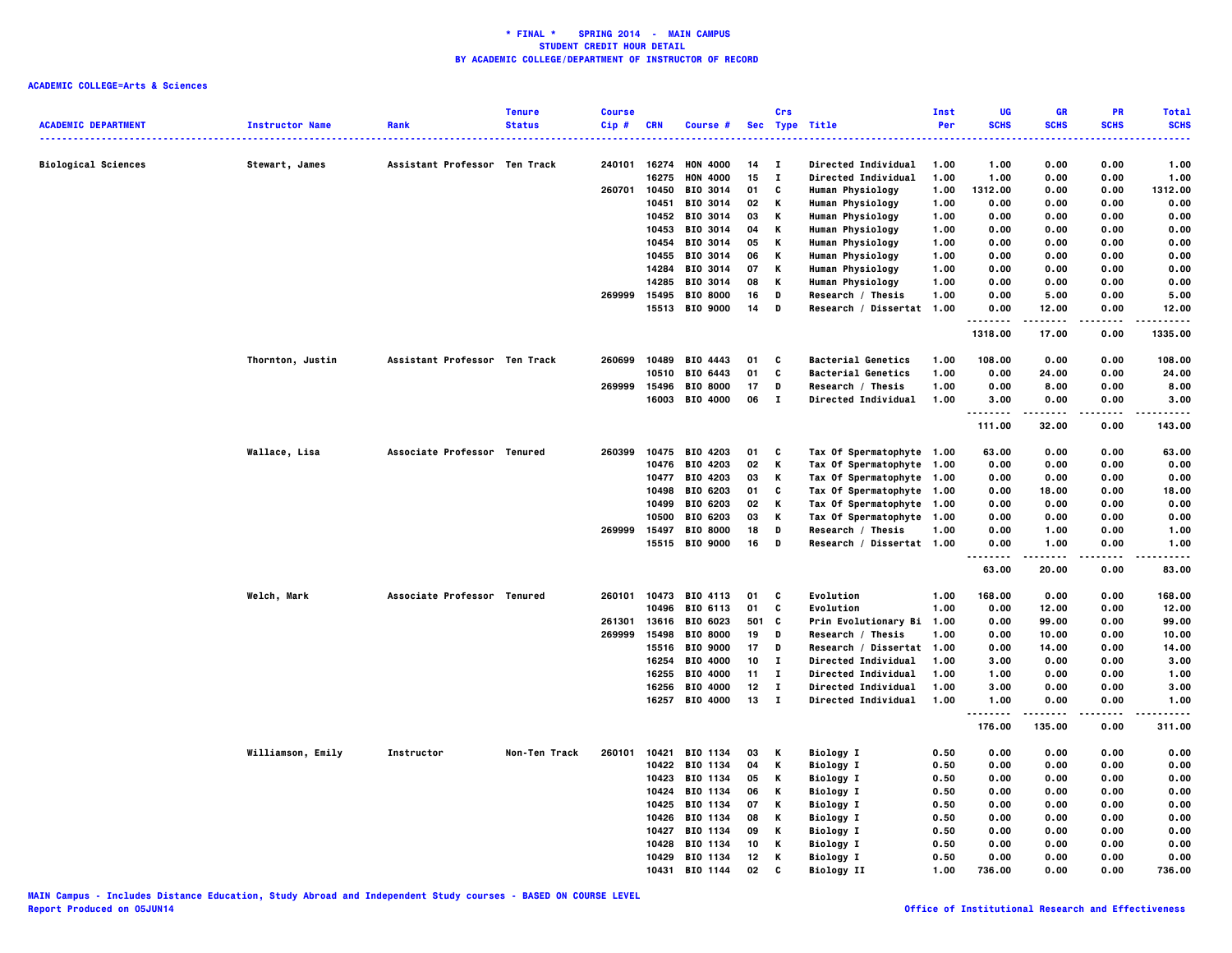| <b>ACADEMIC DEPARTMENT</b> | <b>Instructor Name</b> | Rank                          | <b>Tenure</b><br><b>Status</b> | <b>Course</b><br>Cip# | <b>CRN</b> | Course #        |     | Crs          | Sec Type Title             | Inst<br>Per | UG<br><b>SCHS</b>   | <b>GR</b><br><b>SCHS</b> | PR<br><b>SCHS</b> | <b>Total</b><br><b>SCHS</b> |
|----------------------------|------------------------|-------------------------------|--------------------------------|-----------------------|------------|-----------------|-----|--------------|----------------------------|-------------|---------------------|--------------------------|-------------------|-----------------------------|
|                            |                        |                               |                                |                       |            |                 |     |              |                            |             |                     |                          |                   |                             |
| <b>Biological Sciences</b> | Stewart, James         | Assistant Professor Ten Track |                                | 240101                | 16274      | <b>HON 4000</b> | 14  | $\mathbf{I}$ | <b>Directed Individual</b> | 1.00        | 1.00                | 0.00                     | 0.00              | 1.00                        |
|                            |                        |                               |                                |                       | 16275      | <b>HON 4000</b> | 15  | $\bf{I}$     | <b>Directed Individual</b> | 1.00        | 1.00                | 0.00                     | 0.00              | 1.00                        |
|                            |                        |                               |                                | 260701                | 10450      | BIO 3014        | 01  | C            | Human Physiology           | 1.00        | 1312.00             | 0.00                     | 0.00              | 1312.00                     |
|                            |                        |                               |                                |                       | 10451      | BIO 3014        | 02  | Κ            | Human Physiology           | 1.00        | 0.00                | 0.00                     | 0.00              | 0.00                        |
|                            |                        |                               |                                |                       |            | 10452 BIO 3014  | 03  | Κ            | Human Physiology           | 1.00        | 0.00                | 0.00                     | 0.00              | 0.00                        |
|                            |                        |                               |                                |                       | 10453      | BIO 3014        | 04  | Κ            | Human Physiology           | 1.00        | 0.00                | 0.00                     | 0.00              | 0.00                        |
|                            |                        |                               |                                |                       | 10454      | BIO 3014        | 05  | Κ            | Human Physiology           | 1.00        | 0.00                | 0.00                     | 0.00              | 0.00                        |
|                            |                        |                               |                                |                       | 10455      | BIO 3014        | 06  | Κ            | Human Physiology           | 1.00        | 0.00                | 0.00                     | 0.00              | 0.00                        |
|                            |                        |                               |                                |                       | 14284      | <b>BIO 3014</b> | 07  | Κ            | Human Physiology           | 1.00        | 0.00                | 0.00                     | 0.00              | 0.00                        |
|                            |                        |                               |                                |                       | 14285      | BIO 3014        | 08  | Κ            | <b>Human Physiology</b>    | 1.00        | 0.00                | 0.00                     | 0.00              | 0.00                        |
|                            |                        |                               |                                | 269999                | 15495      | <b>BIO 8000</b> | 16  | D            | Research / Thesis          | 1.00        | 0.00                | 5.00                     | 0.00              | 5.00                        |
|                            |                        |                               |                                |                       |            | 15513 BIO 9000  | 14  | D            | Research / Dissertat 1.00  |             | 0.00<br>.           | 12.00                    | 0.00              | 12.00                       |
|                            |                        |                               |                                |                       |            |                 |     |              |                            |             | 1318.00             | 17.00                    | 0.00              | 1335.00                     |
|                            | Thornton, Justin       | Assistant Professor Ten Track |                                | 260699                | 10489      | BIO 4443        | 01  | C            | <b>Bacterial Genetics</b>  | 1.00        | 108.00              | 0.00                     | 0.00              | 108.00                      |
|                            |                        |                               |                                |                       | 10510      | BIO 6443        | 01  | C            | <b>Bacterial Genetics</b>  | 1.00        | 0.00                | 24.00                    | 0.00              | 24.00                       |
|                            |                        |                               |                                | 269999                | 15496      | <b>BIO 8000</b> | 17  | D            | Research / Thesis          | 1.00        | 0.00                | 8.00                     | 0.00              | 8.00                        |
|                            |                        |                               |                                |                       | 16003      | <b>BIO 4000</b> | 06  | $\mathbf{I}$ | Directed Individual        | 1.00        | 3.00<br>.           | 0.00<br>.                | 0.00<br>.         | 3.00<br>.                   |
|                            |                        |                               |                                |                       |            |                 |     |              |                            |             | 111.00              | 32.00                    | 0.00              | 143.00                      |
|                            | Wallace, Lisa          | Associate Professor Tenured   |                                | 260399                | 10475      | BIO 4203        | 01  | C            | Tax Of Spermatophyte 1.00  |             | 63.00               | 0.00                     | 0.00              | 63.00                       |
|                            |                        |                               |                                |                       | 10476      | BIO 4203        | 02  | К            | Tax Of Spermatophyte 1.00  |             | 0.00                | 0.00                     | 0.00              | 0.00                        |
|                            |                        |                               |                                |                       | 10477      | <b>BIO 4203</b> | 03  | Κ            | Tax Of Spermatophyte 1.00  |             | 0.00                | 0.00                     | 0.00              | 0.00                        |
|                            |                        |                               |                                |                       | 10498      | <b>BIO 6203</b> | 01  | C            | Tax Of Spermatophyte 1.00  |             | 0.00                | 18.00                    | 0.00              | 18.00                       |
|                            |                        |                               |                                |                       | 10499      | BIO 6203        | 02  | Κ            | Tax Of Spermatophyte 1.00  |             | 0.00                | 0.00                     | 0.00              | 0.00                        |
|                            |                        |                               |                                |                       | 10500      | BIO 6203        | 03  | Κ            | Tax Of Spermatophyte 1.00  |             | 0.00                | 0.00                     | 0.00              | 0.00                        |
|                            |                        |                               |                                | 269999                | 15497      | <b>BIO 8000</b> | 18  | D            | Research / Thesis          | 1.00        | 0.00                | 1.00                     | 0.00              | 1.00                        |
|                            |                        |                               |                                |                       |            | 15515 BIO 9000  | 16  | D            | Research / Dissertat 1.00  |             | 0.00<br>.<br>$\sim$ | 1.00<br>.                | 0.00              | 1.00<br>                    |
|                            |                        |                               |                                |                       |            |                 |     |              |                            |             | 63.00               | 20.00                    | 0.00              | 83.00                       |
|                            | Welch, Mark            | Associate Professor Tenured   |                                | 260101                | 10473      | BIO 4113        | 01  | C            | Evolution                  | 1.00        | 168.00              | 0.00                     | 0.00              | 168.00                      |
|                            |                        |                               |                                |                       | 10496      | BIO 6113        | 01  | C            | Evolution                  | 1.00        | 0.00                | 12.00                    | 0.00              | 12.00                       |
|                            |                        |                               |                                | 261301                | 13616      | <b>BIO 6023</b> | 501 | C            | Prin Evolutionary Bi 1.00  |             | 0.00                | 99.00                    | 0.00              | 99.00                       |
|                            |                        |                               |                                | 269999                | 15498      | <b>BIO 8000</b> | 19  | D            | Research / Thesis          | 1.00        | 0.00                | 10.00                    | 0.00              | 10.00                       |
|                            |                        |                               |                                |                       | 15516      | <b>BIO 9000</b> | 17  | D            | Research / Dissertat 1.00  |             | 0.00                | 14.00                    | 0.00              | 14.00                       |
|                            |                        |                               |                                |                       | 16254      | <b>BIO 4000</b> | 10  | $\mathbf{T}$ | <b>Directed Individual</b> | 1.00        | 3.00                | 0.00                     | 0.00              | 3.00                        |
|                            |                        |                               |                                |                       | 16255      | BIO 4000        | 11  | $\mathbf{I}$ | <b>Directed Individual</b> | 1.00        | 1.00                | 0.00                     | 0.00              | 1.00                        |
|                            |                        |                               |                                |                       | 16256      | BIO 4000        | 12  | $\mathbf{I}$ | <b>Directed Individual</b> | 1.00        | 3.00                | 0.00                     | 0.00              | 3.00                        |
|                            |                        |                               |                                |                       | 16257      | <b>BIO 4000</b> | 13  | $\mathbf{I}$ | Directed Individual        | 1.00        | 1.00<br>.           | 0.00                     | 0.00              | 1.00                        |
|                            |                        |                               |                                |                       |            |                 |     |              |                            |             | 176.00              | 135.00                   | 0.00              | 311.00                      |
|                            | Williamson, Emily      | Instructor                    | Non-Ten Track                  | 260101                | 10421      | BIO 1134        | 03  | Κ            | <b>Biology I</b>           | 0.50        | 0.00                | 0.00                     | 0.00              | 0.00                        |
|                            |                        |                               |                                |                       |            | 10422 BIO 1134  | 04  | Κ            | <b>Biology I</b>           | 0.50        | 0.00                | 0.00                     | 0.00              | 0.00                        |
|                            |                        |                               |                                |                       | 10423      | BIO 1134        | 05  | Κ            | <b>Biology I</b>           | 0.50        | 0.00                | 0.00                     | 0.00              | 0.00                        |
|                            |                        |                               |                                |                       | 10424      | BIO 1134        | 06  | Κ            | <b>Biology I</b>           | 0.50        | 0.00                | 0.00                     | 0.00              | 0.00                        |
|                            |                        |                               |                                |                       | 10425      | BIO 1134        | 07  | Κ            | <b>Biology I</b>           | 0.50        | 0.00                | 0.00                     | 0.00              | 0.00                        |
|                            |                        |                               |                                |                       | 10426      | BIO 1134        | 08  | Κ            | <b>Biology I</b>           | 0.50        | 0.00                | 0.00                     | 0.00              | 0.00                        |
|                            |                        |                               |                                |                       | 10427      | BIO 1134        | 09  | Κ            | <b>Biology I</b>           | 0.50        | 0.00                | 0.00                     | 0.00              | 0.00                        |
|                            |                        |                               |                                |                       | 10428      | BIO 1134        | 10  | Κ            | <b>Biology I</b>           | 0.50        | 0.00                | 0.00                     | 0.00              | 0.00                        |
|                            |                        |                               |                                |                       | 10429      | BIO 1134        | 12  | Κ            | <b>Biology I</b>           | 0.50        | 0.00                | 0.00                     | 0.00              | 0.00                        |
|                            |                        |                               |                                |                       | 10431      | BIO 1144        | 02  | C            | <b>Biology II</b>          | 1.00        | 736.00              | 0.00                     | 0.00              | 736.00                      |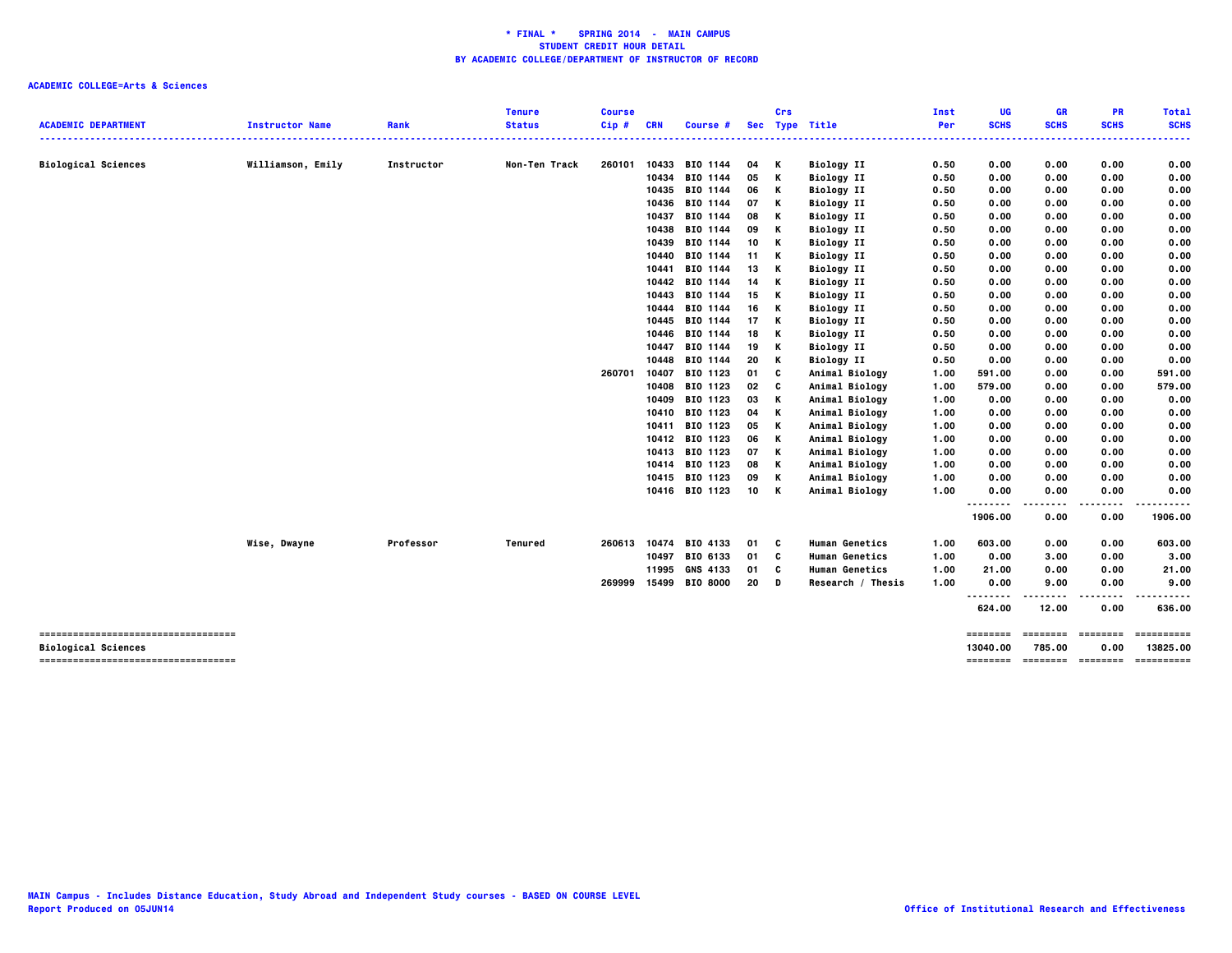|                                     |                        |            | <b>Tenure</b>  | <b>Course</b> |            |                            |      | Crs      |                                        | Inst         | UG           | <b>GR</b>    | <b>PR</b>    | <b>Total</b> |
|-------------------------------------|------------------------|------------|----------------|---------------|------------|----------------------------|------|----------|----------------------------------------|--------------|--------------|--------------|--------------|--------------|
| <b>ACADEMIC DEPARTMENT</b>          | <b>Instructor Name</b> | Rank       | <b>Status</b>  | Cip#          | <b>CRN</b> | Course #                   |      |          | Sec Type Title                         | Per          | <b>SCHS</b>  | <b>SCHS</b>  | <b>SCHS</b>  | <b>SCHS</b>  |
|                                     |                        |            |                |               |            |                            |      |          |                                        |              |              |              |              |              |
| <b>Biological Sciences</b>          | Williamson, Emily      | Instructor | Non-Ten Track  | 260101        | 10433      | BIO 1144                   | 04 K |          | <b>Biology II</b>                      | 0.50         | 0.00         | 0.00         | 0.00         | 0.00         |
|                                     |                        |            |                |               | 10434      | BIO 1144                   | 05   | К        | <b>Biology II</b>                      | 0.50         | 0.00         | 0.00         | 0.00         | 0.00         |
|                                     |                        |            |                |               |            | 10435 BIO 1144             | 06   | К        | <b>Biology II</b>                      | 0.50         | 0.00         | 0.00         | 0.00         | 0.00         |
|                                     |                        |            |                |               | 10436      | BIO 1144                   | 07   | Κ        |                                        |              |              |              | 0.00         | 0.00         |
|                                     |                        |            |                |               | 10437      | BIO 1144                   | 08   | к        | <b>Biology II</b><br><b>Biology II</b> | 0.50<br>0.50 | 0.00<br>0.00 | 0.00<br>0.00 | 0.00         | 0.00         |
|                                     |                        |            |                |               | 10438      | <b>BIO 1144</b>            | 09   | к        | <b>Biology II</b>                      | 0.50         | 0.00         | 0.00         | 0.00         | 0.00         |
|                                     |                        |            |                |               | 10439      | BIO 1144                   | 10   | к        |                                        | 0.50         | 0.00         | 0.00         | 0.00         | 0.00         |
|                                     |                        |            |                |               |            | BIO 1144                   | 11   | к        | <b>Biology II</b>                      | 0.50         | 0.00         |              | 0.00         | 0.00         |
|                                     |                        |            |                |               | 10440      |                            |      |          | <b>Biology II</b>                      |              |              | 0.00         |              |              |
|                                     |                        |            |                |               | 10441      | BIO 1144                   | 13   | к        | <b>Biology II</b>                      | 0.50         | 0.00         | 0.00         | 0.00         | 0.00         |
|                                     |                        |            |                |               |            | 10442 BIO 1144<br>BIO 1144 | 14   | к<br>к   | <b>Biology II</b>                      | 0.50         | 0.00         | 0.00         | 0.00         | 0.00<br>0.00 |
|                                     |                        |            |                |               | 10443      |                            | 15   |          | <b>Biology II</b>                      | 0.50         | 0.00         | 0.00         | 0.00         |              |
|                                     |                        |            |                |               | 10444      | BIO 1144                   | 16   | Κ        | <b>Biology II</b>                      | 0.50         | 0.00         | 0.00         | 0.00         | 0.00         |
|                                     |                        |            |                |               | 10445      | BIO 1144                   | 17   | к        | <b>Biology II</b>                      | 0.50         | 0.00         | 0.00         | 0.00         | 0.00         |
|                                     |                        |            |                |               | 10446      | BIO 1144                   | 18   | к        | <b>Biology II</b>                      | 0.50         | 0.00         | 0.00         | 0.00         | 0.00         |
|                                     |                        |            |                |               | 10447      | BIO 1144                   | 19   | Κ        | <b>Biology II</b>                      | 0.50         | 0.00         | 0.00         | 0.00         | 0.00         |
|                                     |                        |            |                |               | 10448      | BIO 1144                   | 20   | К        | <b>Biology II</b>                      | 0.50         | 0.00         | 0.00         | 0.00         | 0.00         |
|                                     |                        |            |                | 260701        | 10407      | BIO 1123                   | 01   | C        | Animal Biology                         | 1.00         | 591.00       | 0.00         | 0.00         | 591.00       |
|                                     |                        |            |                |               | 10408      | BIO 1123                   | 02   | C        | Animal Biology                         | 1.00         | 579.00       | 0.00         | 0.00         | 579.00       |
|                                     |                        |            |                |               | 10409      | BIO 1123                   | 03   | К        | Animal Biology                         | 1.00         | 0.00         | 0.00         | 0.00         | 0.00         |
|                                     |                        |            |                |               |            | 10410 BIO 1123             | 04   | K        | Animal Biology                         | 1.00         | 0.00         | 0.00         | 0.00         | 0.00         |
|                                     |                        |            |                |               |            | 10411 BIO 1123             | 05   | К        | Animal Biology                         | 1.00         | 0.00         | 0.00         | 0.00         | 0.00         |
|                                     |                        |            |                |               |            | 10412 BIO 1123             | 06   | Κ        | Animal Biology                         | 1.00         | 0.00         | 0.00         | 0.00         | 0.00         |
|                                     |                        |            |                |               |            | 10413 BIO 1123             | 07   | К        | Animal Biology                         | 1.00         | 0.00         | 0.00         | 0.00         | 0.00         |
|                                     |                        |            |                |               |            | 10414 BIO 1123             | 08   | К        | Animal Biology                         | 1.00         | 0.00         | 0.00         | 0.00         | 0.00         |
|                                     |                        |            |                |               |            | 10415 BIO 1123             | 09   | К        | Animal Biology                         | 1.00         | 0.00         | 0.00         | 0.00         | 0.00         |
|                                     |                        |            |                |               |            | 10416 BIO 1123             | 10 K |          | Animal Biology                         | 1.00         | 0.00         | 0.00         | 0.00         | 0.00         |
|                                     |                        |            |                |               |            |                            |      |          |                                        |              | .<br>1906.00 | .<br>0.00    | ----<br>0.00 | .<br>1906.00 |
|                                     | Wise, Dwayne           | Professor  | <b>Tenured</b> | 260613        | 10474      | BIO 4133                   | 01   | <b>C</b> | <b>Human Genetics</b>                  | 1.00         | 603.00       | 0.00         | 0.00         | 603.00       |
|                                     |                        |            |                |               | 10497      | BIO 6133                   | 01 C |          | <b>Human Genetics</b>                  | 1.00         | 0.00         | 3.00         | 0.00         | 3.00         |
|                                     |                        |            |                |               | 11995      | GNS 4133                   | 01   | C        | <b>Human Genetics</b>                  | 1.00         | 21.00        | 0.00         | 0.00         | 21.00        |
|                                     |                        |            |                | 269999        |            | 15499 BIO 8000             | 20   | D        | Research / Thesis                      | 1.00         | 0.00         | 9.00         | 0.00         | 9.00         |
|                                     |                        |            |                |               |            |                            |      |          |                                        |              | .<br>.       |              |              | ----         |
|                                     |                        |            |                |               |            |                            |      |          |                                        |              | 624.00       | 12.00        | 0.00         | 636.00       |
| ----------------------------------- |                        |            |                |               |            |                            |      |          |                                        |              | ========     | ========     | ========     | ==========   |
| <b>Biological Sciences</b>          |                        |            |                |               |            |                            |      |          |                                        |              |              |              |              |              |
|                                     |                        |            |                |               |            |                            |      |          |                                        |              | 13040.00     | 785.00       | 0.00         | 13825.00     |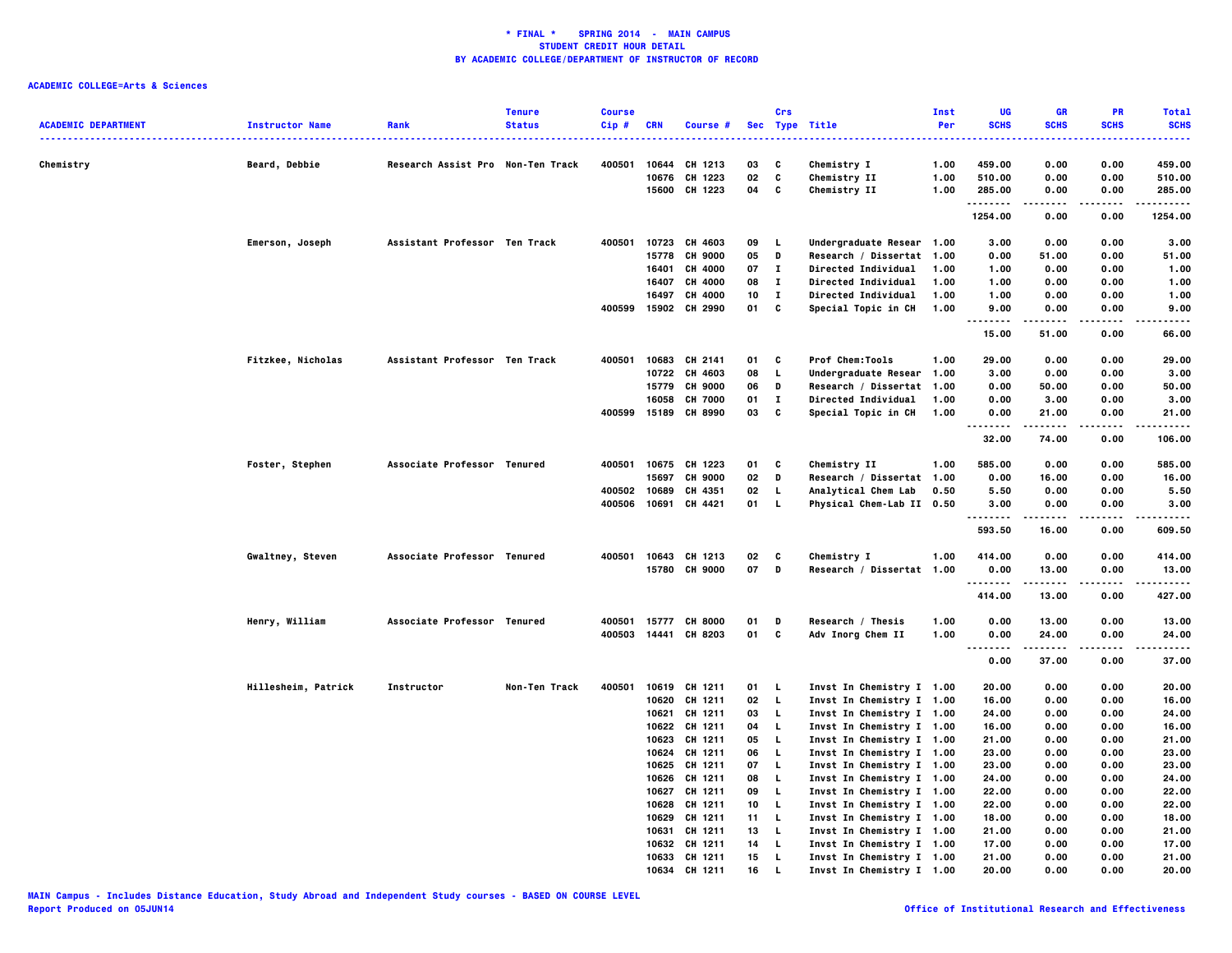| <b>ACADEMIC DEPARTMENT</b> | <b>Instructor Name</b> | Rank                              | <b>Tenure</b><br><b>Status</b> | <b>Course</b><br>Cip# | <b>CRN</b> | Course #       |    | Crs          | Sec Type Title            | Inst<br>Per | UG<br><b>SCHS</b>   | <b>GR</b><br><b>SCHS</b> | PR<br><b>SCHS</b> | <b>Total</b><br><b>SCHS</b><br> |
|----------------------------|------------------------|-----------------------------------|--------------------------------|-----------------------|------------|----------------|----|--------------|---------------------------|-------------|---------------------|--------------------------|-------------------|---------------------------------|
| Chemistry                  | Beard, Debbie          | Research Assist Pro Non-Ten Track |                                | 400501                | 10644      | CH 1213        | 03 | C            | Chemistry I               | 1.00        | 459.00              | 0.00                     | 0.00              | 459.00                          |
|                            |                        |                                   |                                |                       | 10676      | CH 1223        | 02 | C            | Chemistry II              | 1.00        | 510.00              | 0.00                     | 0.00              | 510.00                          |
|                            |                        |                                   |                                |                       |            | 15600 CH 1223  | 04 | C            | Chemistry II              | 1.00        | 285.00              | 0.00                     | 0.00              | 285.00                          |
|                            |                        |                                   |                                |                       |            |                |    |              |                           |             | <b>.</b><br>1254.00 | -----<br>0.00            | .<br>0.00         | .<br>1254.00                    |
|                            | Emerson, Joseph        | Assistant Professor Ten Track     |                                | 400501                |            | 10723 CH 4603  | 09 | L,           | Undergraduate Resear 1.00 |             | 3.00                | 0.00                     | 0.00              | 3.00                            |
|                            |                        |                                   |                                |                       | 15778      | <b>CH 9000</b> | 05 | D            | Research / Dissertat      | 1.00        | 0.00                | 51.00                    | 0.00              | 51.00                           |
|                            |                        |                                   |                                |                       | 16401      | CH 4000        | 07 | $\mathbf{I}$ | Directed Individual       | 1.00        | 1.00                | 0.00                     | 0.00              | 1.00                            |
|                            |                        |                                   |                                |                       | 16407      | CH 4000        | 08 | $\mathbf{I}$ | Directed Individual       | 1.00        | 1.00                | 0.00                     | 0.00              | 1.00                            |
|                            |                        |                                   |                                |                       | 16497      | CH 4000        | 10 | $\mathbf{I}$ | Directed Individual       | 1.00        | 1.00                | 0.00                     | 0.00              | 1.00                            |
|                            |                        |                                   |                                | 400599                | 15902      | CH 2990        | 01 | C            | Special Topic in CH       | 1.00        | 9.00<br>.           | 0.00                     | 0.00              | 9.00                            |
|                            |                        |                                   |                                |                       |            |                |    |              |                           |             | 15.00               | 51.00                    | 0.00              | 66.00                           |
|                            | Fitzkee, Nicholas      | Assistant Professor Ten Track     |                                | 400501                | 10683      | CH 2141        | 01 | C            | Prof Chem:Tools           | 1.00        | 29.00               | 0.00                     | 0.00              | 29,00                           |
|                            |                        |                                   |                                |                       | 10722      | CH 4603        | 08 | L.           | Undergraduate Resear      | 1.00        | 3.00                | 0.00                     | 0.00              | 3.00                            |
|                            |                        |                                   |                                |                       | 15779      | <b>CH 9000</b> | 06 | D            | Research / Dissertat      | 1.00        | 0.00                | 50.00                    | 0.00              | 50.00                           |
|                            |                        |                                   |                                |                       | 16058      | <b>CH 7000</b> | 01 | $\bf{I}$     | Directed Individual       | 1.00        | 0.00                | 3.00                     | 0.00              | 3.00                            |
|                            |                        |                                   |                                | 400599                | 15189      | <b>CH 8990</b> | 03 | C            | Special Topic in CH       | 1.00        | 0.00<br>.           | 21.00                    | 0.00              | 21.00<br>.                      |
|                            |                        |                                   |                                |                       |            |                |    |              |                           |             | 32.00               | 74.00                    | 0.00              | 106.00                          |
|                            | Foster, Stephen        | Associate Professor Tenured       |                                | 400501                | 10675      | CH 1223        | 01 | C            | Chemistry II              | 1.00        | 585.00              | 0.00                     | 0.00              | 585.00                          |
|                            |                        |                                   |                                |                       | 15697      | <b>CH 9000</b> | 02 | D            | Research / Dissertat      | 1.00        | 0.00                | 16.00                    | 0.00              | 16.00                           |
|                            |                        |                                   |                                | 400502                | 10689      | CH 4351        | 02 | L.           | Analytical Chem Lab       | 0.50        | 5.50                | 0.00                     | 0.00              | 5.50                            |
|                            |                        |                                   |                                | 400506                |            | 10691 CH 4421  | 01 | L.           | Physical Chem-Lab II 0.50 |             | 3.00                | 0.00                     | 0.00              | 3.00                            |
|                            |                        |                                   |                                |                       |            |                |    |              |                           |             | .<br>593.50         | 16.00                    | 0.00              | 609.50                          |
|                            | Gwaltney, Steven       | Associate Professor Tenured       |                                | 400501                |            | 10643 CH 1213  | 02 | c            | Chemistry I               | 1.00        | 414.00              | 0.00                     | 0.00              | 414.00                          |
|                            |                        |                                   |                                |                       |            | 15780 CH 9000  | 07 | D            | Research / Dissertat 1.00 |             | 0.00                | 13.00                    | 0.00              | 13.00                           |
|                            |                        |                                   |                                |                       |            |                |    |              |                           |             | .                   | .                        | .                 | . <b>.</b> .                    |
|                            |                        |                                   |                                |                       |            |                |    |              |                           |             | 414.00              | 13.00                    | 0.00              | 427.00                          |
|                            | Henry, William         | Associate Professor Tenured       |                                | 400501                | 15777      | <b>CH 8000</b> | 01 | D            | Research / Thesis         | 1.00        | 0.00                | 13.00                    | 0.00              | 13.00                           |
|                            |                        |                                   |                                | 400503                |            | 14441 CH 8203  | 01 | C            | Adv Inorg Chem II         | 1.00        | 0.00<br>.<br>.      | 24.00<br>.               | 0.00<br>.         | 24.00<br>.                      |
|                            |                        |                                   |                                |                       |            |                |    |              |                           |             | 0.00                | 37.00                    | 0.00              | 37.00                           |
|                            | Hillesheim, Patrick    | Instructor                        | Non-Ten Track                  | 400501                |            | 10619 CH 1211  | 01 | L.           | Invst In Chemistry I 1.00 |             | 20.00               | 0.00                     | 0.00              | 20.00                           |
|                            |                        |                                   |                                |                       |            | 10620 CH 1211  | 02 | $\mathbf{L}$ | Invst In Chemistry I 1.00 |             | 16.00               | 0.00                     | 0.00              | 16.00                           |
|                            |                        |                                   |                                |                       |            | 10621 CH 1211  | 03 | L.           | Invst In Chemistry I 1.00 |             | 24.00               | 0.00                     | 0.00              | 24.00                           |
|                            |                        |                                   |                                |                       |            | 10622 CH 1211  | 04 | L.           | Invst In Chemistry I 1.00 |             | 16.00               | 0.00                     | 0.00              | 16.00                           |
|                            |                        |                                   |                                |                       |            | 10623 CH 1211  | 05 | L.           | Invst In Chemistry I 1.00 |             | 21.00               | 0.00                     | 0.00              | 21.00                           |
|                            |                        |                                   |                                |                       |            | 10624 CH 1211  | 06 | $\mathbf{L}$ | Invst In Chemistry I 1.00 |             | 23.00               | 0.00                     | 0.00              | 23.00                           |
|                            |                        |                                   |                                |                       |            | 10625 CH 1211  | 07 | L.           | Invst In Chemistry I 1.00 |             | 23.00               | 0.00                     | 0.00              | 23.00                           |
|                            |                        |                                   |                                |                       |            | 10626 CH 1211  | 08 | L.           | Invst In Chemistry I 1.00 |             | 24.00               | 0.00                     | 0.00              | 24.00                           |
|                            |                        |                                   |                                |                       | 10627      | CH 1211        | 09 | L.           | Invst In Chemistry I 1.00 |             | 22.00               | 0.00                     | 0.00              | 22.00                           |
|                            |                        |                                   |                                |                       |            | 10628 CH 1211  | 10 | L.           | Invst In Chemistry I 1.00 |             | 22.00               | 0.00                     | 0.00              | 22.00                           |
|                            |                        |                                   |                                |                       |            | 10629 CH 1211  | 11 | L.           | Invst In Chemistry I 1.00 |             | 18.00               | 0.00                     | 0.00              | 18.00                           |
|                            |                        |                                   |                                |                       | 10631      | CH 1211        | 13 | L.           | Invst In Chemistry I 1.00 |             | 21.00               | 0.00                     | 0.00              | 21.00                           |
|                            |                        |                                   |                                |                       | 10632      | CH 1211        | 14 | L            | Invst In Chemistry I 1.00 |             | 17.00               | 0.00                     | 0.00              | 17.00                           |
|                            |                        |                                   |                                |                       |            | 10633 CH 1211  | 15 | L            | Invst In Chemistry I 1.00 |             | 21.00               | 0.00                     | 0.00              | 21.00                           |
|                            |                        |                                   |                                |                       |            | 10634 CH 1211  | 16 | L            | Invst In Chemistry I 1.00 |             | 20.00               | 0.00                     | 0.00              | 20,00                           |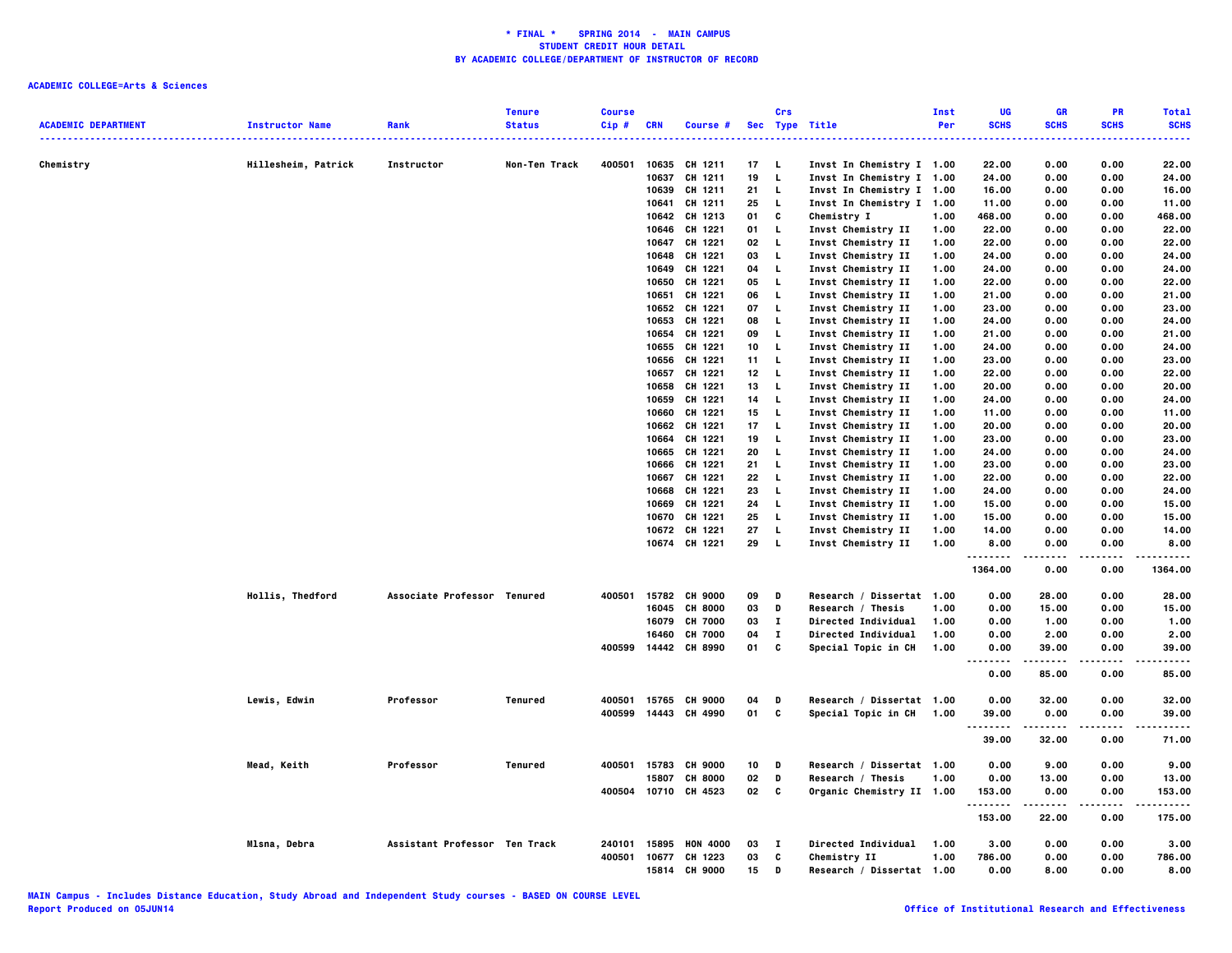| <b>ACADEMIC DEPARTMENT</b> | <b>Instructor Name</b> | Rank                          | <b>Tenure</b><br><b>Status</b> | <b>Course</b><br>$Cip$ # | <b>CRN</b> | Course #             |    | Crs          | Sec Type Title             | <b>Inst</b><br>Per | UG<br><b>SCHS</b>                 | <b>GR</b><br><b>SCHS</b> | PR<br><b>SCHS</b> | <b>Total</b><br><b>SCHS</b> |
|----------------------------|------------------------|-------------------------------|--------------------------------|--------------------------|------------|----------------------|----|--------------|----------------------------|--------------------|-----------------------------------|--------------------------|-------------------|-----------------------------|
|                            |                        |                               |                                |                          |            |                      |    |              |                            |                    | .                                 |                          |                   | وساعات                      |
| Chemistry                  | Hillesheim, Patrick    | Instructor                    | Non-Ten Track                  | 400501                   | 10635      | CH 1211              | 17 | - 1.         | Invst In Chemistry I 1.00  |                    | 22.00                             | 0.00                     | 0.00              | 22,00                       |
|                            |                        |                               |                                |                          | 10637      | CH 1211              | 19 | $\mathbf{L}$ | Invst In Chemistry I 1.00  |                    | 24.00                             | 0.00                     | 0.00              | 24.00                       |
|                            |                        |                               |                                |                          | 10639      | CH 1211              | 21 | L.           | Invst In Chemistry I 1.00  |                    | 16.00                             | 0.00                     | 0.00              | 16.00                       |
|                            |                        |                               |                                |                          | 10641      | CH 1211              | 25 | L.           | Invst In Chemistry I 1.00  |                    | 11.00                             | 0.00                     | 0.00              | 11.00                       |
|                            |                        |                               |                                |                          |            | 10642 CH 1213        | 01 | C            | Chemistry I                | 1.00               | 468.00                            | 0.00                     | 0.00              | 468.00                      |
|                            |                        |                               |                                |                          | 10646      | CH 1221              | 01 | L.           | Invst Chemistry II         | 1.00               | 22.00                             | 0.00                     | 0.00              | 22.00                       |
|                            |                        |                               |                                |                          | 10647      | CH 1221              | 02 | L.           | Invst Chemistry II         | 1.00               | 22.00                             | 0.00                     | 0.00              | 22.00                       |
|                            |                        |                               |                                |                          | 10648      | CH 1221              | 03 | L.           | Invst Chemistry II         | 1.00               | 24.00                             | 0.00                     | 0.00              | 24.00                       |
|                            |                        |                               |                                |                          | 10649      | CH 1221              | 04 | L,           | Invst Chemistry II         | 1.00               | 24.00                             | 0.00                     | 0.00              | 24.00                       |
|                            |                        |                               |                                |                          | 10650      | CH 1221              | 05 | L.           | Invst Chemistry II         | 1.00               | 22.00                             | 0.00                     | 0.00              | 22.00                       |
|                            |                        |                               |                                |                          | 10651      | CH 1221              | 06 | L.           | Invst Chemistry II         | 1.00               | 21.00                             | 0.00                     | 0.00              | 21.00                       |
|                            |                        |                               |                                |                          | 10652      | CH 1221              | 07 | <b>L</b>     | Invst Chemistry II         | 1.00               | 23.00                             | 0.00                     | 0.00              | 23.00                       |
|                            |                        |                               |                                |                          | 10653      | CH 1221              | 08 | L.           | Invst Chemistry II         | 1.00               | 24.00                             | 0.00                     | 0.00              | 24.00                       |
|                            |                        |                               |                                |                          | 10654      | CH 1221              | 09 | L.           | Invst Chemistry II         | 1.00               | 21.00                             | 0.00                     | 0.00              | 21.00                       |
|                            |                        |                               |                                |                          | 10655      | CH 1221              | 10 | L.           | Invst Chemistry II         | 1.00               | 24.00                             | 0.00                     | 0.00              | 24.00                       |
|                            |                        |                               |                                |                          | 10656      | CH 1221              | 11 | L.           | Invst Chemistry II         | 1.00               | 23.00                             | 0.00                     | 0.00              | 23.00                       |
|                            |                        |                               |                                |                          | 10657      | CH 1221              | 12 | <b>L</b>     | Invst Chemistry II         | 1.00               | 22.00                             | 0.00                     | 0.00              | 22.00                       |
|                            |                        |                               |                                |                          | 10658      | CH 1221              | 13 | $\mathbf{L}$ | Invst Chemistry II         | 1.00               | 20.00                             | 0.00                     | 0.00              | 20.00                       |
|                            |                        |                               |                                |                          | 10659      | CH 1221              | 14 | L.           | Invst Chemistry II         | 1.00               | 24.00                             | 0.00                     | 0.00              | 24.00                       |
|                            |                        |                               |                                |                          | 10660      | CH 1221              | 15 | L.           | Invst Chemistry II         | 1.00               | 11.00                             | 0.00                     | 0.00              | 11.00                       |
|                            |                        |                               |                                |                          | 10662      | CH 1221              | 17 | L.           | Invst Chemistry II         | 1.00               | 20.00                             | 0.00                     | 0.00              | 20.00                       |
|                            |                        |                               |                                |                          | 10664      | CH 1221              | 19 | L.           | Invst Chemistry II         | 1.00               | 23.00                             | 0.00                     | 0.00              | 23.00                       |
|                            |                        |                               |                                |                          | 10665      | CH 1221              | 20 | L.           | Invst Chemistry II         | 1.00               | 24.00                             | 0.00                     | 0.00              | 24.00                       |
|                            |                        |                               |                                |                          | 10666      | CH 1221              | 21 | L.           | Invst Chemistry II         | 1.00               | 23.00                             | 0.00                     | 0.00              | 23.00                       |
|                            |                        |                               |                                |                          | 10667      | CH 1221              | 22 | L,           | Invst Chemistry II         | 1.00               | 22.00                             | 0.00                     | 0.00              | 22.00                       |
|                            |                        |                               |                                |                          | 10668      | CH 1221              | 23 | L.           | Invst Chemistry II         | 1.00               | 24.00                             | 0.00                     | 0.00              | 24.00                       |
|                            |                        |                               |                                |                          | 10669      | CH 1221              | 24 | L.           | Invst Chemistry II         | 1.00               | 15.00                             | 0.00                     | 0.00              | 15.00                       |
|                            |                        |                               |                                |                          | 10670      | CH 1221              | 25 | L.           | Invst Chemistry II         | 1.00               | 15.00                             | 0.00                     | 0.00              | 15.00                       |
|                            |                        |                               |                                |                          |            | 10672 CH 1221        | 27 | L,           | Invst Chemistry II         | 1.00               | 14.00                             | 0.00                     | 0.00              | 14.00                       |
|                            |                        |                               |                                |                          |            | 10674 CH 1221        | 29 | L.           | Invst Chemistry II         | 1.00               | 8.00<br>.                         | 0.00<br>$- - - - -$      | 0.00<br>.         | 8.00<br>.                   |
|                            |                        |                               |                                |                          |            |                      |    |              |                            |                    | 1364.00                           | 0.00                     | 0.00              | 1364.00                     |
|                            | Hollis, Thedford       | Associate Professor Tenured   |                                | 400501                   |            | 15782 CH 9000        | 09 | D            | Research / Dissertat 1.00  |                    | 0.00                              | 28.00                    | 0.00              | 28,00                       |
|                            |                        |                               |                                |                          | 16045      | <b>CH 8000</b>       | 03 | D            | Research / Thesis          | 1.00               | 0.00                              | 15.00                    | 0.00              | 15.00                       |
|                            |                        |                               |                                |                          | 16079      | <b>CH 7000</b>       | 03 | $\mathbf{I}$ | <b>Directed Individual</b> | 1.00               | 0.00                              | 1.00                     | 0.00              | 1.00                        |
|                            |                        |                               |                                |                          | 16460      | <b>CH 7000</b>       | 04 | п            | <b>Directed Individual</b> | 1.00               | 0.00                              | 2.00                     | 0.00              | 2.00                        |
|                            |                        |                               |                                |                          |            | 400599 14442 CH 8990 | 01 | C            | Special Topic in CH        | 1.00               | 0.00                              | 39.00                    | 0.00              | 39.00                       |
|                            |                        |                               |                                |                          |            |                      |    |              |                            |                    | $\sim$ $\sim$ $\sim$<br>.<br>0.00 | .<br>85.00               | .<br>0.00         | -----<br>85.00              |
|                            | Lewis, Edwin           | Professor                     | Tenured                        | 400501                   | 15765      | <b>CH 9000</b>       | 04 | D            | Research / Dissertat 1.00  |                    | 0.00                              | 32.00                    | 0.00              | 32.00                       |
|                            |                        |                               |                                |                          |            | 400599 14443 CH 4990 | 01 | C            | Special Topic in CH        | 1.00               | 39.00                             | 0.00                     | 0.00              | 39.00                       |
|                            |                        |                               |                                |                          |            |                      |    |              |                            |                    | .                                 |                          |                   | .                           |
|                            |                        |                               |                                |                          |            |                      |    |              |                            |                    | 39.00                             | 32.00                    | 0.00              | 71.00                       |
|                            | Mead, Keith            | Professor                     | Tenured                        | 400501                   | 15783      | <b>CH 9000</b>       | 10 | D            | Research / Dissertat 1.00  |                    | 0.00                              | 9.00                     | 0.00              | 9.00                        |
|                            |                        |                               |                                |                          | 15807      | <b>CH 8000</b>       | 02 | D            | Research / Thesis          | 1.00               | 0.00                              | 13.00                    | 0.00              | 13.00                       |
|                            |                        |                               |                                |                          |            | 400504 10710 CH 4523 | 02 | C            | Organic Chemistry II 1.00  |                    | 153.00                            | 0.00                     | 0.00              | 153.00                      |
|                            |                        |                               |                                |                          |            |                      |    |              |                            |                    | .<br>153.00                       | -----<br>22.00           | .<br>0.00         | -----<br>175.00             |
|                            | Mlsna, Debra           | Assistant Professor Ten Track |                                | 240101                   | 15895      | <b>HON 4000</b>      | 03 | $\mathbf{I}$ | <b>Directed Individual</b> | 1.00               | 3.00                              | 0.00                     | 0.00              | 3.00                        |
|                            |                        |                               |                                | 400501                   | 10677      | CH 1223              | 03 | C            | Chemistry II               | 1.00               | 786.00                            | 0.00                     | 0.00              | 786.00                      |
|                            |                        |                               |                                |                          |            | 15814 CH 9000        | 15 | D            | Research / Dissertat 1.00  |                    | 0.00                              | 8.00                     | 0.00              | 8.00                        |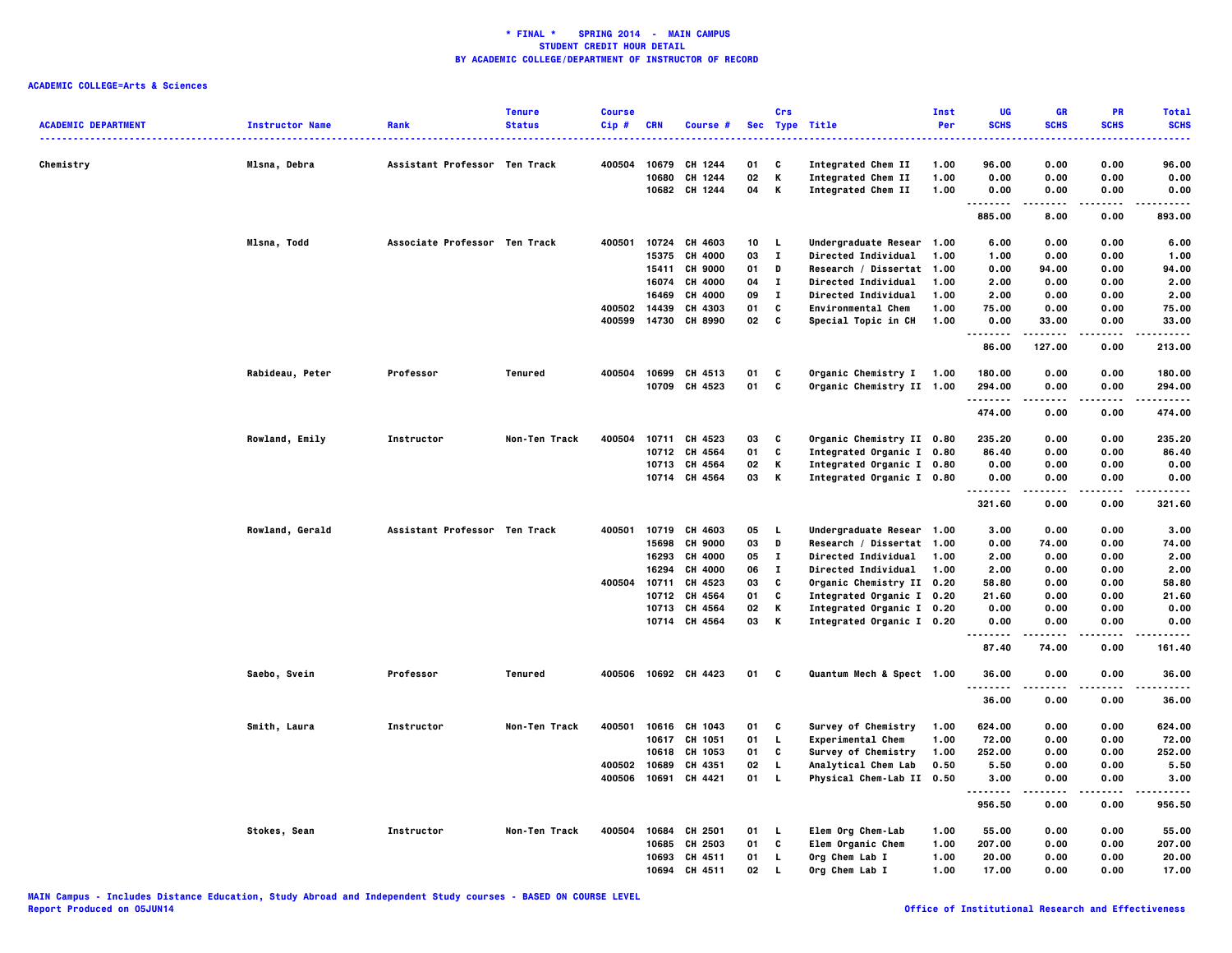|                            |                        |                               | <b>Tenure</b> | <b>Course</b> |            |                      |    | Crs          |                            | Inst | UG                   | <b>GR</b>   | <b>PR</b>         | <b>Total</b>          |
|----------------------------|------------------------|-------------------------------|---------------|---------------|------------|----------------------|----|--------------|----------------------------|------|----------------------|-------------|-------------------|-----------------------|
| <b>ACADEMIC DEPARTMENT</b> | <b>Instructor Name</b> | Rank                          | <b>Status</b> | $Cip$ #       | <b>CRN</b> | Course #             |    |              | Sec Type Title             | Per  | <b>SCHS</b>          | <b>SCHS</b> | <b>SCHS</b>       | <b>SCHS</b>           |
|                            |                        |                               |               |               |            |                      |    |              |                            |      |                      |             |                   |                       |
| Chemistry                  | Mlsna, Debra           | Assistant Professor Ten Track |               | 400504        | 10679      | CH 1244              | 01 | C            | Integrated Chem II         | 1.00 | 96.00                | 0.00        | 0.00              | 96.00                 |
|                            |                        |                               |               |               | 10680      | CH 1244              | 02 | к            | Integrated Chem II         | 1.00 | 0.00                 | 0.00        | 0.00              | 0.00                  |
|                            |                        |                               |               |               |            | 10682 CH 1244        | 04 | к            | Integrated Chem II         | 1.00 | 0.00<br>.<br>.       | 0.00        | 0.00              | 0.00<br>----          |
|                            |                        |                               |               |               |            |                      |    |              |                            |      | 885.00               | 8.00        | 0.00              | 893.00                |
|                            | Mlsna, Todd            | Associate Professor Ten Track |               | 400501        | 10724      | CH 4603              | 10 | L.           | Undergraduate Resear 1.00  |      | 6.00                 | 0.00        | 0.00              | 6.00                  |
|                            |                        |                               |               |               | 15375      | CH 4000              | 03 | $\mathbf{I}$ | Directed Individual        | 1.00 | 1.00                 | 0.00        | 0.00              | 1.00                  |
|                            |                        |                               |               |               | 15411      | <b>CH 9000</b>       | 01 | D            | Research / Dissertat       | 1.00 | 0.00                 | 94.00       | 0.00              | 94.00                 |
|                            |                        |                               |               |               | 16074      | <b>CH 4000</b>       | 04 | п            | <b>Directed Individual</b> | 1.00 | 2.00                 | 0.00        | 0.00              | 2.00                  |
|                            |                        |                               |               |               | 16469      | CH 4000              | 09 | л.           | <b>Directed Individual</b> | 1.00 | 2.00                 | 0.00        | 0.00              | 2.00                  |
|                            |                        |                               |               | 400502        | 14439      | CH 4303              | 01 | C            | <b>Environmental Chem</b>  | 1.00 | 75.00                | 0.00        | 0.00              | 75.00                 |
|                            |                        |                               |               | 400599        | 14730      | CH 8990              | 02 | C            | Special Topic in CH        | 1.00 | 0.00<br>.            | 33.00       | 0.00<br>.         | 33.00<br>.            |
|                            |                        |                               |               |               |            |                      |    |              |                            |      | 86.00                | 127.00      | 0.00              | 213.00                |
|                            | Rabideau, Peter        | Professor                     | Tenured       | 400504        |            | 10699 CH 4513        | 01 | C            | Organic Chemistry I 1.00   |      | 180.00               | 0.00        | 0.00              | 180.00                |
|                            |                        |                               |               |               |            | 10709 CH 4523        | 01 | C            | Organic Chemistry II 1.00  |      | 294.00               | 0.00        | 0.00              | 294.00                |
|                            |                        |                               |               |               |            |                      |    |              |                            |      | . <b>.</b><br>474.00 | .<br>0.00   | $- - - -$<br>0.00 | -----<br>474.00       |
|                            |                        |                               |               |               |            |                      |    |              |                            |      |                      |             |                   |                       |
|                            | Rowland, Emily         | Instructor                    | Non-Ten Track | 400504        | 10711      | CH 4523              | 03 | C            | Organic Chemistry II 0.80  |      | 235.20               | 0.00        | 0.00              | 235.20                |
|                            |                        |                               |               |               |            | 10712 CH 4564        | 01 | C            | Integrated Organic I 0.80  |      | 86.40                | 0.00        | 0.00              | 86.40                 |
|                            |                        |                               |               |               |            | 10713 CH 4564        | 02 | К            | Integrated Organic I 0.80  |      | 0.00                 | 0.00        | 0.00              | 0.00                  |
|                            |                        |                               |               |               |            | 10714 CH 4564        | 03 | К            | Integrated Organic I 0.80  |      | 0.00                 | 0.00        | 0.00              | 0.00                  |
|                            |                        |                               |               |               |            |                      |    |              |                            |      | 321.60               | 0.00        | 0.00              | 321.60                |
|                            | Rowland, Gerald        | Assistant Professor Ten Track |               | 400501        |            | 10719 CH 4603        | 05 | - L          | Undergraduate Resear 1.00  |      | 3.00                 | 0.00        | 0.00              | 3.00                  |
|                            |                        |                               |               |               | 15698      | <b>CH 9000</b>       | 03 | D            | Research / Dissertat 1.00  |      | 0.00                 | 74.00       | 0.00              | 74.00                 |
|                            |                        |                               |               |               | 16293      | CH 4000              | 05 | $\mathbf{I}$ | Directed Individual        | 1.00 | 2.00                 | 0.00        | 0.00              | 2.00                  |
|                            |                        |                               |               |               | 16294      | CH 4000              | 06 | $\mathbf{I}$ | Directed Individual        | 1.00 | 2.00                 | 0.00        | 0.00              | 2.00                  |
|                            |                        |                               |               | 400504        | 10711      | CH 4523              | 03 | $\mathbf{c}$ | Organic Chemistry II 0.20  |      | 58.80                | 0.00        | 0.00              | 58.80                 |
|                            |                        |                               |               |               |            | 10712 CH 4564        | 01 | C            | Integrated Organic I 0.20  |      | 21.60                | 0.00        | 0.00              | 21.60                 |
|                            |                        |                               |               |               | 10713      | CH 4564              | 02 | Κ            | Integrated Organic I 0.20  |      | 0.00                 | 0.00        | 0.00              | 0.00                  |
|                            |                        |                               |               |               | 10714      | CH 4564              | 03 | К            | Integrated Organic I 0.20  |      | 0.00                 | 0.00        | 0.00              | 0.00                  |
|                            |                        |                               |               |               |            |                      |    |              |                            |      | 87.40                | 74.00       | 0.00              | 161.40                |
|                            | Saebo, Svein           | Professor                     | Tenured       |               |            | 400506 10692 CH 4423 | 01 | C            | Quantum Mech & Spect 1.00  |      | 36.00                | 0.00        | 0.00              | 36.00                 |
|                            |                        |                               |               |               |            |                      |    |              |                            |      | .<br>36.00           | 0.00        | 0.00              | . <b>.</b> .<br>36.00 |
|                            | Smith, Laura           | Instructor                    | Non-Ten Track | 400501        |            | 10616 CH 1043        | 01 | C            | Survey of Chemistry        | 1.00 | 624.00               | 0.00        | 0.00              | 624.00                |
|                            |                        |                               |               |               | 10617      | CH 1051              | 01 | L.           | <b>Experimental Chem</b>   | 1.00 | 72.00                | 0.00        | 0.00              | 72.00                 |
|                            |                        |                               |               |               | 10618      | CH 1053              | 01 | C            | Survey of Chemistry        | 1.00 | 252.00               | 0.00        | 0.00              | 252.00                |
|                            |                        |                               |               | 400502        | 10689      | CH 4351              | 02 | L,           | Analytical Chem Lab        | 0.50 | 5.50                 | 0.00        | 0.00              | 5.50                  |
|                            |                        |                               |               | 400506        | 10691      | CH 4421              | 01 | $\mathbf{L}$ | Physical Chem-Lab II 0.50  |      | 3.00                 | 0.00        | 0.00              | 3.00                  |
|                            |                        |                               |               |               |            |                      |    |              |                            |      | 956.50               | 0.00        | 0.00              | 956.50                |
|                            | Stokes, Sean           | Instructor                    | Non-Ten Track | 400504        | 10684      | CH 2501              | 01 | L,           | Elem Org Chem-Lab          | 1.00 | 55.00                | 0.00        | 0.00              | 55.00                 |
|                            |                        |                               |               |               | 10685      | CH 2503              | 01 | C            | <b>Elem Organic Chem</b>   | 1.00 | 207.00               | 0.00        | 0.00              | 207.00                |
|                            |                        |                               |               |               | 10693      | CH 4511              | 01 | L,           | Org Chem Lab I             | 1.00 | 20.00                | 0.00        | 0.00              | 20.00                 |
|                            |                        |                               |               |               | 10694      | CH 4511              | 02 | <b>L</b>     | Org Chem Lab I             | 1.00 | 17.00                | 0.00        | 0.00              | 17.00                 |
|                            |                        |                               |               |               |            |                      |    |              |                            |      |                      |             |                   |                       |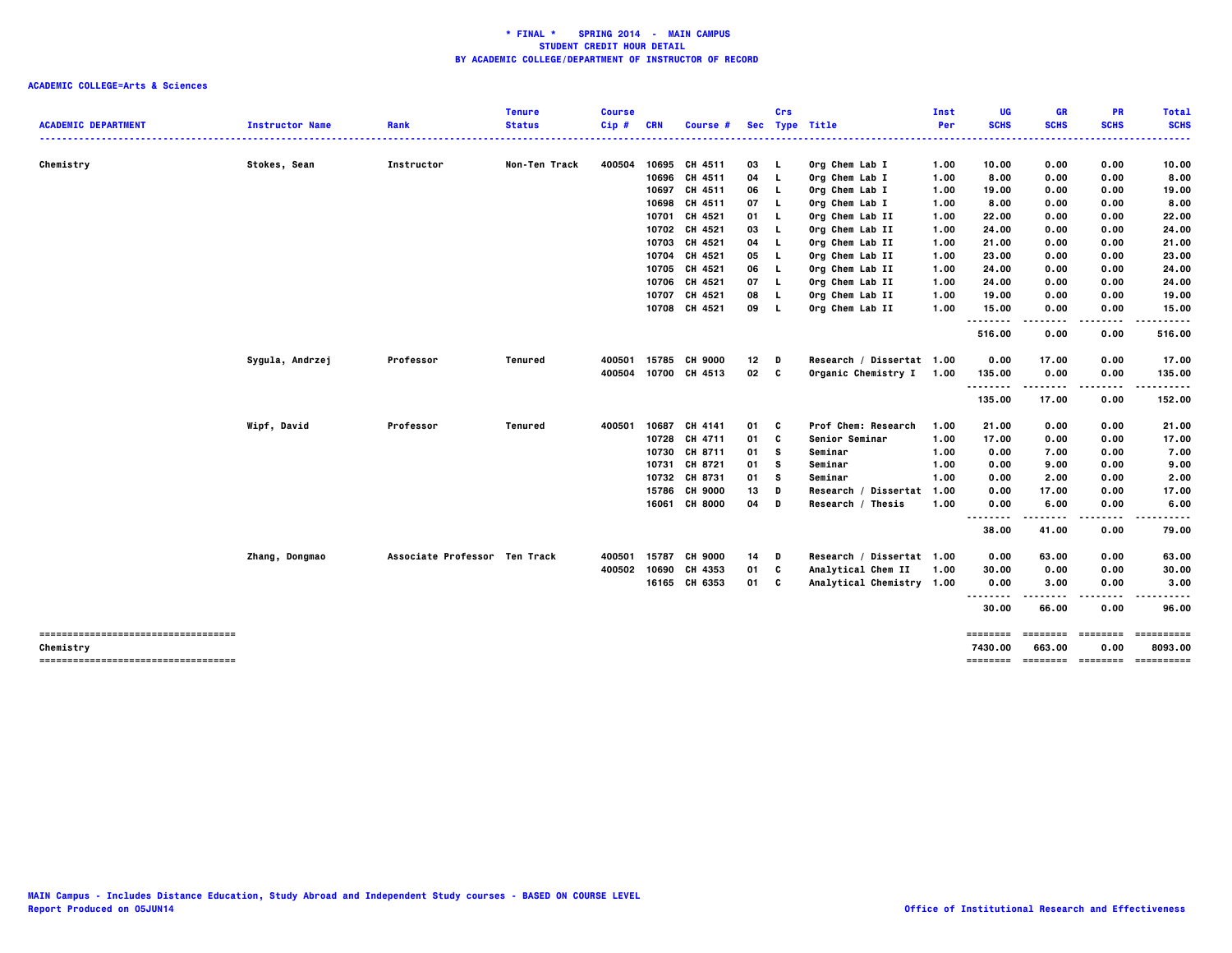| <b>SCHS</b><br><b>ACADEMIC DEPARTMENT</b><br><b>SCHS</b><br><b>SCHS</b><br><b>SCHS</b><br><b>Instructor Name</b><br>Rank<br><b>Status</b><br>Cip#<br><b>CRN</b><br>Sec Type Title<br>Per<br>Course #<br>.<br>Chemistry<br>Stokes, Sean<br>Non-Ten Track<br>400504<br>10695 CH 4511<br>03<br>Org Chem Lab I<br>0.00<br>0.00<br>Instructor<br>- L<br>1.00<br>10.00<br>10.00<br>10696 CH 4511<br>04<br>Org Chem Lab I<br>8.00<br>0.00<br>0.00<br>L.<br>1.00<br>10697 CH 4511<br>06<br>L.<br>Org Chem Lab I<br>0.00<br>0.00<br>1.00<br>19.00<br>10698<br>CH 4511<br>07<br>Org Chem Lab I<br>0.00<br>0.00<br>L.<br>1.00<br>8.00 |
|----------------------------------------------------------------------------------------------------------------------------------------------------------------------------------------------------------------------------------------------------------------------------------------------------------------------------------------------------------------------------------------------------------------------------------------------------------------------------------------------------------------------------------------------------------------------------------------------------------------------------|
|                                                                                                                                                                                                                                                                                                                                                                                                                                                                                                                                                                                                                            |
| 8.00<br>19.00<br>8.00                                                                                                                                                                                                                                                                                                                                                                                                                                                                                                                                                                                                      |
|                                                                                                                                                                                                                                                                                                                                                                                                                                                                                                                                                                                                                            |
|                                                                                                                                                                                                                                                                                                                                                                                                                                                                                                                                                                                                                            |
|                                                                                                                                                                                                                                                                                                                                                                                                                                                                                                                                                                                                                            |
|                                                                                                                                                                                                                                                                                                                                                                                                                                                                                                                                                                                                                            |
| 10701<br>CH 4521<br>Org Chem Lab II<br>22.00<br>0.00<br>0.00<br>22.00<br>01<br><b>L</b><br>1.00                                                                                                                                                                                                                                                                                                                                                                                                                                                                                                                            |
| 10702 CH 4521<br>03<br>L.<br>Org Chem Lab II<br>1.00<br>24.00<br>0.00<br>0.00<br>24.00                                                                                                                                                                                                                                                                                                                                                                                                                                                                                                                                     |
| 10703 CH 4521<br>L.<br>Org Chem Lab II<br>0.00<br>0.00<br>21.00<br>04<br>1.00<br>21.00                                                                                                                                                                                                                                                                                                                                                                                                                                                                                                                                     |
| 10704 CH 4521<br>05<br>Org Chem Lab II<br>0.00<br>0.00<br>23.00<br>L.<br>1.00<br>23.00                                                                                                                                                                                                                                                                                                                                                                                                                                                                                                                                     |
| 10705<br>CH 4521<br>Org Chem Lab II<br>0.00<br>24.00<br>06<br>L.<br>1.00<br>24.00<br>0.00                                                                                                                                                                                                                                                                                                                                                                                                                                                                                                                                  |
| 10706 CH 4521<br>Org Chem Lab II<br>07<br>L.<br>1.00<br>24.00<br>0.00<br>0.00<br>24.00                                                                                                                                                                                                                                                                                                                                                                                                                                                                                                                                     |
| 10707 CH 4521<br>19.00<br>08<br>L.<br>Org Chem Lab II<br>1.00<br>19.00<br>0.00<br>0.00                                                                                                                                                                                                                                                                                                                                                                                                                                                                                                                                     |
| 10708 CH 4521<br>09<br>Org Chem Lab II<br>1.00<br>15.00<br>0.00<br>0.00<br>15.00<br><b>L</b><br><br>$\cdots$                                                                                                                                                                                                                                                                                                                                                                                                                                                                                                               |
| 516.00<br>0.00<br>0.00<br>516.00                                                                                                                                                                                                                                                                                                                                                                                                                                                                                                                                                                                           |
| Sygula, Andrzej<br><b>Tenured</b><br>15785 CH 9000<br>12<br>Research / Dissertat 1.00<br>0.00<br>17.00<br>Professor<br>400501<br>0.00<br>17.00<br>D                                                                                                                                                                                                                                                                                                                                                                                                                                                                        |
| 10700 CH 4513<br>02<br>C<br>Organic Chemistry I 1.00<br>0.00<br>400504<br>135.00<br>0.00<br>135.00                                                                                                                                                                                                                                                                                                                                                                                                                                                                                                                         |
| .<br>135.00<br>17.00<br>0.00<br>152.00                                                                                                                                                                                                                                                                                                                                                                                                                                                                                                                                                                                     |
| Wipf, David<br>Professor<br>10687 CH 4141<br>Prof Chem: Research<br>0.00<br>0.00<br><b>Tenured</b><br>400501<br>01<br>C<br>1.00<br>21.00<br>21.00                                                                                                                                                                                                                                                                                                                                                                                                                                                                          |
| 10728 CH 4711<br>01<br>c<br>17.00<br>Senior Seminar<br>1.00<br>17.00<br>0.00<br>0.00                                                                                                                                                                                                                                                                                                                                                                                                                                                                                                                                       |
| 10730<br>CH 8711<br>7.00<br>01<br>s<br>Seminar<br>0.00<br>7.00<br>0.00<br>1.00                                                                                                                                                                                                                                                                                                                                                                                                                                                                                                                                             |
| CH 8721<br>10731<br>01<br>s<br>Seminar<br>0.00<br>9.00<br>0.00<br>9.00<br>1.00                                                                                                                                                                                                                                                                                                                                                                                                                                                                                                                                             |
| 10732 CH 8731<br>s<br>Seminar<br>0.00<br>2.00<br>0.00<br>2.00<br>01<br>1.00                                                                                                                                                                                                                                                                                                                                                                                                                                                                                                                                                |
| 15786<br><b>CH 9000</b><br>13<br>D<br>Research / Dissertat 1.00<br>0.00<br>17.00<br>0.00<br>17.00                                                                                                                                                                                                                                                                                                                                                                                                                                                                                                                          |
| 16061 CH 8000<br>04<br>1.00<br>6.00<br>0.00<br>6.00<br>D<br>Research / Thesis<br>0.00                                                                                                                                                                                                                                                                                                                                                                                                                                                                                                                                      |
| --------<br>.<br>.<br>.<br>38.00<br>41.00<br>0.00<br>79.00                                                                                                                                                                                                                                                                                                                                                                                                                                                                                                                                                                 |
| 15787<br><b>CH 9000</b><br>Research / Dissertat 1.00<br>Zhang, Dongmao<br>Associate Professor Ten Track<br>400501<br>14<br>0.00<br>63.00<br>0.00<br>63.00<br>D                                                                                                                                                                                                                                                                                                                                                                                                                                                             |
| 10690 CH 4353<br>C<br>Analytical Chem II<br>400502<br>01<br>1.00<br>30.00<br>0.00<br>0.00<br>30.00                                                                                                                                                                                                                                                                                                                                                                                                                                                                                                                         |
| 16165 CH 6353<br>01<br>C<br>Analytical Chemistry 1.00<br>0.00<br>3.00<br>0.00<br>3,00                                                                                                                                                                                                                                                                                                                                                                                                                                                                                                                                      |
| .<br>.<br>-----<br>30.00<br>0.00<br>66.00<br>96.00                                                                                                                                                                                                                                                                                                                                                                                                                                                                                                                                                                         |
| -----------------------------------<br>==========<br>========<br>$=$ = = = = = = =<br>$= = = = = = = =$                                                                                                                                                                                                                                                                                                                                                                                                                                                                                                                    |
| 7430.00<br>663.00<br>0.00<br>8093.00<br>Chemistry<br>==========<br>------------------------------------                                                                                                                                                                                                                                                                                                                                                                                                                                                                                                                    |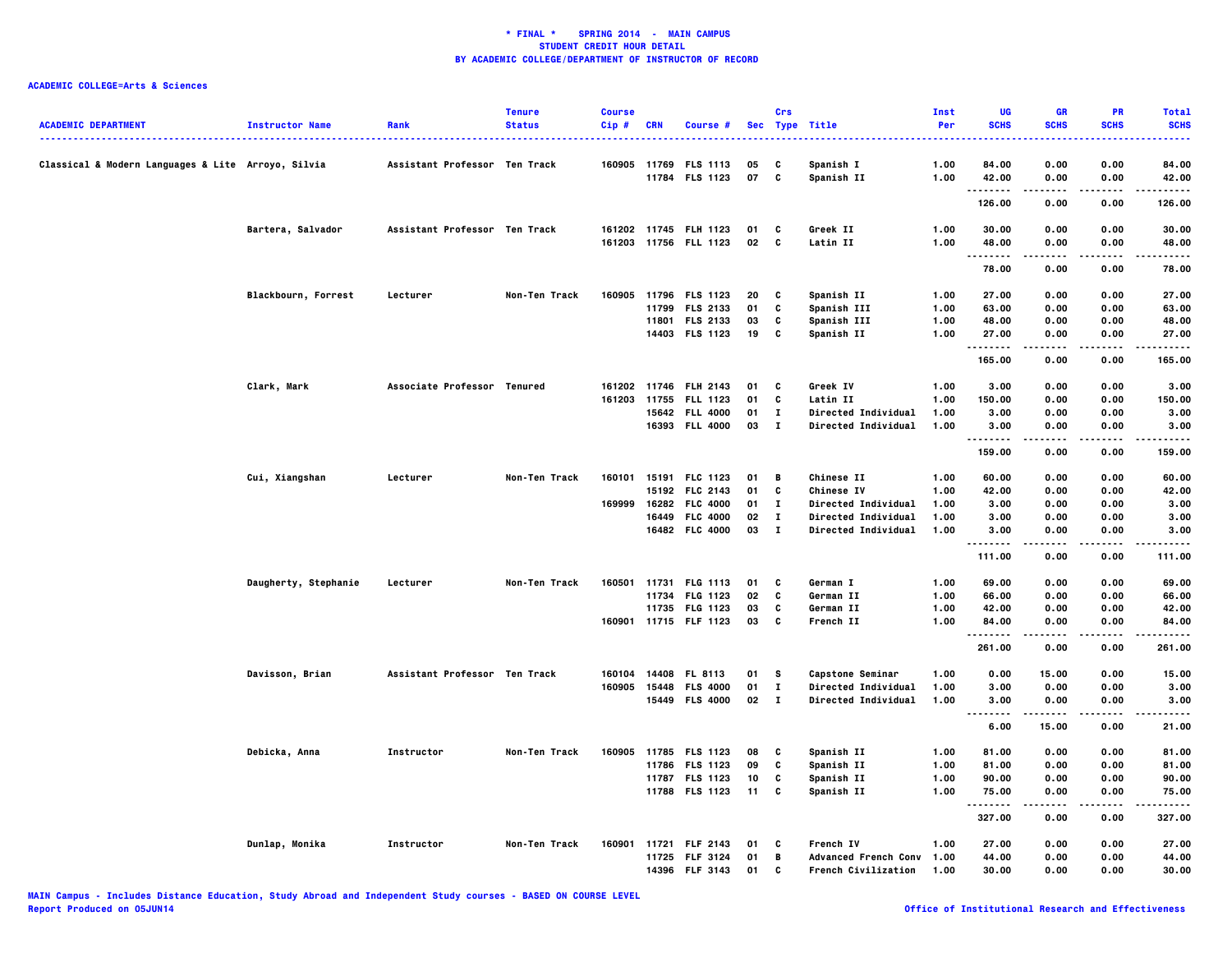| <b>ACADEMIC DEPARTMENT</b>                         | <b>Instructor Name</b> | Rank                          | <b>Tenure</b><br><b>Status</b> | <b>Course</b><br>Cip# | <b>CRN</b> | Course #              |    | Crs          | Sec Type Title             | Inst<br>Per | UG<br><b>SCHS</b>  | GR<br><b>SCHS</b>   | PR<br><b>SCHS</b> | <b>Total</b><br><b>SCHS</b> |
|----------------------------------------------------|------------------------|-------------------------------|--------------------------------|-----------------------|------------|-----------------------|----|--------------|----------------------------|-------------|--------------------|---------------------|-------------------|-----------------------------|
| Classical & Modern Languages & Lite Arroyo, Silvia |                        | Assistant Professor Ten Track |                                | 160905                | 11769      | <b>FLS 1113</b>       | 05 | C            | Spanish I                  | 1.00        | 84.00              | 0.00                | 0.00              | 84.00                       |
|                                                    |                        |                               |                                |                       |            | 11784 FLS 1123        | 07 | C            | Spanish II                 | 1.00        | 42.00<br>          | 0.00<br>.           | 0.00              | 42.00<br>.                  |
|                                                    |                        |                               |                                |                       |            |                       |    |              |                            |             | 126.00             | 0.00                | 0.00              | 126.00                      |
|                                                    | Bartera, Salvador      | Assistant Professor Ten Track |                                |                       |            | 161202 11745 FLH 1123 | 01 | C            | Greek II                   | 1.00        | 30.00              | 0.00                | 0.00              | 30.00                       |
|                                                    |                        |                               |                                |                       |            | 161203 11756 FLL 1123 | 02 | C            | Latin II                   | 1.00        | 48.00              | 0.00                | 0.00              | 48.00                       |
|                                                    |                        |                               |                                |                       |            |                       |    |              |                            |             | .<br>78.00         | .<br>0.00           | .<br>0.00         | .<br>78.00                  |
|                                                    | Blackbourn, Forrest    | Lecturer                      | Non-Ten Track                  |                       |            | 160905 11796 FLS 1123 | 20 | C            | Spanish II                 | 1.00        | 27.00              | 0.00                | 0.00              | 27.00                       |
|                                                    |                        |                               |                                |                       | 11799      | <b>FLS 2133</b>       | 01 | C            | Spanish III                | 1.00        | 63.00              | 0.00                | 0.00              | 63.00                       |
|                                                    |                        |                               |                                |                       |            | 11801 FLS 2133        | 03 | C            | <b>Spanish III</b>         | 1.00        | 48.00              | 0.00                | 0.00              | 48.00                       |
|                                                    |                        |                               |                                |                       |            | 14403 FLS 1123        | 19 | C            | Spanish II                 | 1.00        | 27.00              | 0.00                | 0.00              | 27.00                       |
|                                                    |                        |                               |                                |                       |            |                       |    |              |                            |             | .<br>165.00        | .<br>0.00           | $- - - -$<br>0.00 | .<br>165.00                 |
|                                                    | Clark, Mark            | Associate Professor Tenured   |                                |                       |            | 161202 11746 FLH 2143 | 01 | C            | Greek IV                   | 1.00        | 3.00               | 0.00                | 0.00              | 3.00                        |
|                                                    |                        |                               |                                | 161203                |            | 11755 FLL 1123        | 01 | C            | Latin II                   | 1.00        | 150.00             | 0.00                | 0.00              | 150.00                      |
|                                                    |                        |                               |                                |                       |            | 15642 FLL 4000        | 01 | $\mathbf{I}$ | <b>Directed Individual</b> | 1.00        | 3.00               | 0.00                | 0.00              | 3.00                        |
|                                                    |                        |                               |                                |                       |            | 16393 FLL 4000        | 03 | $\mathbf{I}$ | Directed Individual        | 1.00        | 3.00               | 0.00                | 0.00              | 3.00                        |
|                                                    |                        |                               |                                |                       |            |                       |    |              |                            |             | <b>.</b><br>159.00 | $- - - - -$<br>0.00 | .<br>0.00         | .<br>159.00                 |
|                                                    | Cui, Xiangshan         | Lecturer                      | Non-Ten Track                  | 160101                |            | 15191 FLC 1123        | 01 | В            | <b>Chinese II</b>          | 1.00        | 60.00              | 0.00                | 0.00              | 60.00                       |
|                                                    |                        |                               |                                |                       |            | 15192 FLC 2143        | 01 | C            | Chinese IV                 | 1.00        | 42.00              | 0.00                | 0.00              | 42.00                       |
|                                                    |                        |                               |                                | 169999                |            | 16282 FLC 4000        | 01 | $\mathbf{I}$ | <b>Directed Individual</b> | 1.00        | 3.00               | 0.00                | 0.00              | 3.00                        |
|                                                    |                        |                               |                                |                       |            | 16449 FLC 4000        | 02 | $\mathbf{I}$ | <b>Directed Individual</b> | 1.00        | 3.00               | 0.00                | 0.00              | 3.00                        |
|                                                    |                        |                               |                                |                       |            | 16482 FLC 4000        | 03 | $\mathbf{I}$ | <b>Directed Individual</b> | 1.00        | 3.00               | 0.00                | 0.00              | 3.00                        |
|                                                    |                        |                               |                                |                       |            |                       |    |              |                            |             | <br>111.00         | 0.00                | 0.00              | 111.00                      |
|                                                    |                        |                               |                                |                       |            |                       |    |              |                            |             |                    |                     |                   |                             |
|                                                    | Daugherty, Stephanie   | Lecturer                      | Non-Ten Track                  | 160501                |            | 11731 FLG 1113        | 01 | C            | German I                   | 1.00        | 69.00              | 0.00                | 0.00              | 69.00                       |
|                                                    |                        |                               |                                |                       |            | 11734 FLG 1123        | 02 | C            | German II                  | 1.00        | 66.00              | 0.00                | 0.00              | 66.00                       |
|                                                    |                        |                               |                                |                       |            | 11735 FLG 1123        | 03 | C            | German II                  | 1.00        | 42.00              | 0.00                | 0.00              | 42.00                       |
|                                                    |                        |                               |                                |                       |            | 160901 11715 FLF 1123 | 03 | C            | French II                  | 1.00        | 84.00<br>          | 0.00<br>-----       | 0.00<br>$- - - -$ | 84.00<br>.                  |
|                                                    |                        |                               |                                |                       |            |                       |    |              |                            |             | 261.00             | 0.00                | 0.00              | 261.00                      |
|                                                    | Davisson, Brian        | Assistant Professor Ten Track |                                |                       |            | 160104 14408 FL 8113  | 01 | s            | <b>Capstone Seminar</b>    | 1.00        | 0.00               | 15.00               | 0.00              | 15.00                       |
|                                                    |                        |                               |                                |                       |            | 160905 15448 FLS 4000 | 01 | $\mathbf{I}$ | Directed Individual        | 1.00        | 3.00               | 0.00                | 0.00              | 3.00                        |
|                                                    |                        |                               |                                |                       |            | 15449 FLS 4000        | 02 | $\mathbf{I}$ | <b>Directed Individual</b> | 1.00        | 3.00               | 0.00<br>$- - - - -$ | 0.00<br>$- - - -$ | 3.00<br>.                   |
|                                                    |                        |                               |                                |                       |            |                       |    |              |                            |             | <br>6.00           | 15.00               | 0.00              | 21.00                       |
|                                                    | Debicka, Anna          | Instructor                    | Non-Ten Track                  | 160905                |            | 11785 FLS 1123        | 08 | C            | Spanish II                 | 1.00        | 81.00              | 0.00                | 0.00              | 81.00                       |
|                                                    |                        |                               |                                |                       |            | 11786 FLS 1123        | 09 | C            | Spanish II                 | 1.00        | 81.00              | 0.00                | 0.00              | 81.00                       |
|                                                    |                        |                               |                                |                       |            | 11787 FLS 1123        | 10 | C            | Spanish II                 | 1.00        | 90.00              | 0.00                | 0.00              | 90.00                       |
|                                                    |                        |                               |                                |                       |            | 11788 FLS 1123        | 11 | C            | Spanish II                 | 1.00        | 75.00              | 0.00                | 0.00              | 75.00                       |
|                                                    |                        |                               |                                |                       |            |                       |    |              |                            |             | .<br>327.00        | .<br>0.00           | .<br>0.00         | .<br>327.00                 |
|                                                    | Dunlap, Monika         | Instructor                    | Non-Ten Track                  | 160901                |            | 11721 FLF 2143        | 01 | C            | French IV                  | 1.00        | 27.00              | 0.00                | 0.00              | 27.00                       |
|                                                    |                        |                               |                                |                       |            | 11725 FLF 3124        | 01 | B            | Advanced French Conv 1.00  |             | 44.00              | 0.00                | 0.00              | 44.00                       |
|                                                    |                        |                               |                                |                       |            | 14396 FLF 3143        | 01 | C            | French Civilization        | 1.00        | 30.00              | 0.00                | 0.00              | 30.00                       |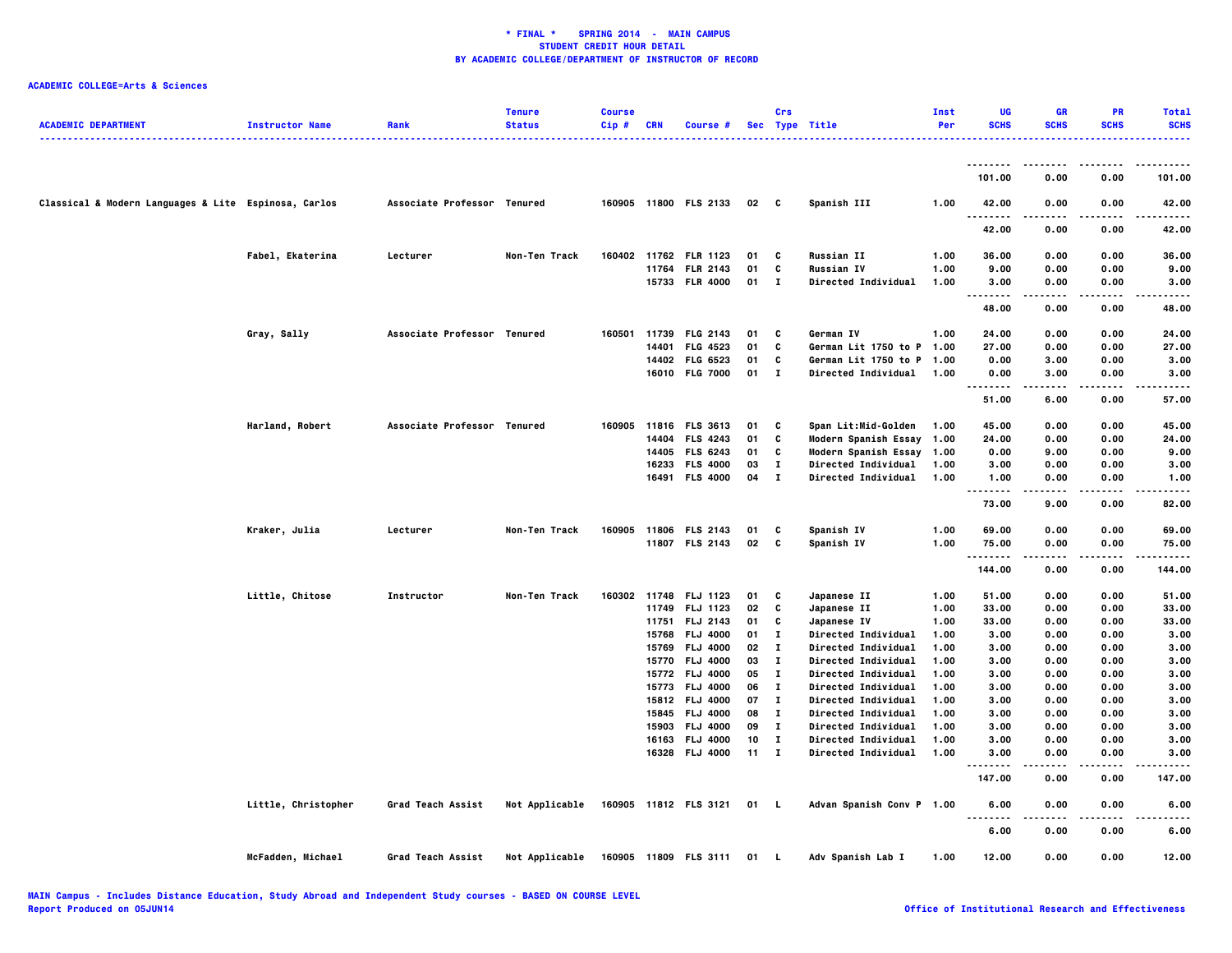| <b>ACADEMIC DEPARTMENT</b>                           | <b>Instructor Name</b> | Rank                        | <b>Tenure</b><br><b>Status</b> | <b>Course</b><br>$Cip$ # | <b>CRN</b>   | Course #                          |          | Crs                          | Sec Type Title<br>. <b>.</b> .                           | Inst<br>Per  | UG<br><b>SCHS</b>  | <b>GR</b><br><b>SCHS</b> | PR<br><b>SCHS</b> | <b>Total</b><br><b>SCHS</b><br>. |
|------------------------------------------------------|------------------------|-----------------------------|--------------------------------|--------------------------|--------------|-----------------------------------|----------|------------------------------|----------------------------------------------------------|--------------|--------------------|--------------------------|-------------------|----------------------------------|
|                                                      |                        |                             |                                |                          |              |                                   |          |                              |                                                          |              | .                  | ----                     | .                 | .                                |
|                                                      |                        |                             |                                |                          |              |                                   |          |                              |                                                          |              | 101.00             | 0.00                     | 0.00              | 101.00                           |
| Classical & Modern Languages & Lite Espinosa, Carlos |                        | Associate Professor Tenured |                                |                          |              | 160905 11800 FLS 2133             | 02 C     |                              | Spanish III                                              | 1.00         | 42.00              | 0.00                     | 0.00              | 42.00                            |
|                                                      |                        |                             |                                |                          |              |                                   |          |                              |                                                          |              | 42.00              | 0.00                     | 0.00              | 42.00                            |
|                                                      | Fabel, Ekaterina       | Lecturer                    | Non-Ten Track                  | 160402                   |              | 11762 FLR 1123                    | 01       | c                            | <b>Russian II</b>                                        | 1.00         | 36.00              | 0.00                     | 0.00              | 36.00                            |
|                                                      |                        |                             |                                |                          | 11764        | <b>FLR 2143</b>                   | 01       | C                            | <b>Russian IV</b>                                        | 1.00         | 9.00               | 0.00                     | 0.00              | 9.00                             |
|                                                      |                        |                             |                                |                          |              | 15733 FLR 4000                    | 01       | $\mathbf{I}$                 | <b>Directed Individual</b>                               | 1.00         | 3.00<br>.<br>      | 0.00<br>.                | 0.00<br>.         | 3.00<br>.                        |
|                                                      |                        |                             |                                |                          |              |                                   |          |                              |                                                          |              | 48.00              | 0.00                     | 0.00              | 48.00                            |
|                                                      | Gray, Sally            | Associate Professor Tenured |                                | 160501                   | 11739        | <b>FLG 2143</b>                   | 01       | C                            | German IV                                                | 1.00         | 24.00              | 0.00                     | 0.00              | 24.00                            |
|                                                      |                        |                             |                                |                          | 14401        | <b>FLG 4523</b>                   | 01       | C                            | German Lit 1750 to P 1.00                                |              | 27.00              | 0.00                     | 0.00              | 27.00                            |
|                                                      |                        |                             |                                |                          |              | 14402 FLG 6523                    | 01       | C                            | German Lit 1750 to P 1.00                                |              | 0.00               | 3.00                     | 0.00              | 3.00                             |
|                                                      |                        |                             |                                |                          |              | 16010 FLG 7000                    | 01       | $\mathbf{I}$                 | <b>Directed Individual</b>                               | 1.00         | 0.00<br>.          | 3.00<br>.                | 0.00<br>.         | 3.00<br>.                        |
|                                                      |                        |                             |                                |                          |              |                                   |          |                              |                                                          |              | 51.00              | 6.00                     | 0.00              | 57.00                            |
|                                                      | Harland, Robert        | Associate Professor Tenured |                                |                          |              | 160905 11816 FLS 3613             | 01       | C                            | Span Lit:Mid-Golden                                      | 1.00         | 45.00              | 0.00                     | 0.00              | 45.00                            |
|                                                      |                        |                             |                                |                          | 14404        | <b>FLS 4243</b>                   | 01       | C                            | Modern Spanish Essay 1.00                                |              | 24.00              | 0.00                     | 0.00              | 24.00                            |
|                                                      |                        |                             |                                |                          | 14405        | <b>FLS 6243</b>                   | 01       | C                            | Modern Spanish Essay 1.00                                |              | 0.00               | 9.00                     | 0.00              | 9.00                             |
|                                                      |                        |                             |                                |                          |              | 16233 FLS 4000                    | 03       | $\mathbf{I}$                 | Directed Individual                                      | 1.00         | 3.00               | 0.00                     | 0.00              | 3.00                             |
|                                                      |                        |                             |                                |                          |              | 16491 FLS 4000                    | 04       | $\mathbf{I}$                 | Directed Individual                                      | 1.00         | 1.00<br>.          | 0.00<br>.                | 0.00<br>$- - - -$ | 1.00<br>$- - - -$                |
|                                                      |                        |                             |                                |                          |              |                                   |          |                              |                                                          |              | 73.00              | 9.00                     | 0.00              | 82.00                            |
|                                                      | Kraker, Julia          | Lecturer                    | Non-Ten Track                  | 160905                   |              | 11806 FLS 2143                    | 01       | C                            | Spanish IV                                               | 1.00         | 69.00              | 0.00                     | 0.00              | 69.00                            |
|                                                      |                        |                             |                                |                          |              | 11807 FLS 2143                    | 02       | $\mathbf{c}$                 | Spanish IV                                               | 1.00         | 75.00              | 0.00                     | 0.00              | 75.00                            |
|                                                      |                        |                             |                                |                          |              |                                   |          |                              |                                                          |              | <b>.</b>           | .                        | .                 | .                                |
|                                                      |                        |                             |                                |                          |              |                                   |          |                              |                                                          |              | 144.00             | 0.00                     | 0.00              | 144.00                           |
|                                                      | Little, Chitose        | Instructor                  | Non-Ten Track                  |                          | 160302 11748 | <b>FLJ 1123</b>                   | 01       | C                            | Japanese II                                              | 1.00         | 51.00              | 0.00                     | 0.00              | 51.00                            |
|                                                      |                        |                             |                                |                          | 11749        | FLJ 1123                          | 02       | C                            | Japanese II                                              | 1.00         | 33.00              | 0.00                     | 0.00              | 33.00                            |
|                                                      |                        |                             |                                |                          | 11751        | FLJ 2143                          | 01       | C                            | Japanese IV                                              | 1.00         | 33.00              | 0.00                     | 0.00              | 33.00                            |
|                                                      |                        |                             |                                |                          | 15768        | <b>FLJ 4000</b>                   | 01       | $\mathbf{I}$                 | <b>Directed Individual</b>                               | 1.00         | 3.00               | 0.00                     | 0.00              | 3.00                             |
|                                                      |                        |                             |                                |                          |              | 15769 FLJ 4000                    | 02       | $\mathbf{I}$                 | <b>Directed Individual</b>                               | 1.00         | 3.00               | 0.00                     | 0.00              | 3.00                             |
|                                                      |                        |                             |                                |                          | 15770        | <b>FLJ 4000</b>                   | 03       | $\mathbf{I}$                 | Directed Individual                                      | 1.00         | 3.00               | 0.00                     | 0.00              | 3.00                             |
|                                                      |                        |                             |                                |                          |              | 15772 FLJ 4000                    | 05       | $\mathbf{I}$                 | <b>Directed Individual</b>                               | 1.00         | 3.00               | 0.00                     | 0.00              | 3.00                             |
|                                                      |                        |                             |                                |                          | 15773        | <b>FLJ 4000</b><br>15812 FLJ 4000 | 06<br>07 | $\mathbf{I}$<br>$\mathbf{I}$ | <b>Directed Individual</b>                               | 1.00<br>1.00 | 3.00<br>3.00       | 0.00<br>0.00             | 0.00<br>0.00      | 3.00<br>3.00                     |
|                                                      |                        |                             |                                |                          | 15845        | FLJ 4000                          | 08       | Т.                           | <b>Directed Individual</b><br><b>Directed Individual</b> | 1.00         | 3.00               | 0.00                     | 0.00              | 3.00                             |
|                                                      |                        |                             |                                |                          | 15903        | <b>FLJ 4000</b>                   | 09       | $\mathbf{I}$                 | <b>Directed Individual</b>                               | 1.00         | 3.00               | 0.00                     | 0.00              | 3.00                             |
|                                                      |                        |                             |                                |                          |              | 16163 FLJ 4000                    | 10       | Т.                           | <b>Directed Individual</b>                               | 1.00         | 3.00               | 0.00                     | 0.00              | 3.00                             |
|                                                      |                        |                             |                                |                          | 16328        | <b>FLJ 4000</b>                   | 11       | $\mathbf{I}$                 | <b>Directed Individual</b>                               | 1.00         | 3.00               | 0.00                     | 0.00              | 3.00                             |
|                                                      |                        |                             |                                |                          |              |                                   |          |                              |                                                          |              | <b>.</b><br>147.00 | .<br>0.00                | $- - - -$<br>0.00 | 147.00                           |
|                                                      | Little, Christopher    | Grad Teach Assist           | Not Applicable                 |                          |              | 160905 11812 FLS 3121             | 01 L     |                              | Advan Spanish Conv P 1.00                                |              | 6.00               | 0.00                     | 0.00              | 6.00                             |
|                                                      |                        |                             |                                |                          |              |                                   |          |                              |                                                          |              | 6.00               | 0.00                     | 0.00              | 6.00                             |
|                                                      | McFadden, Michael      | <b>Grad Teach Assist</b>    | Not Applicable                 |                          |              | 160905 11809 FLS 3111             | 01 L     |                              | Adv Spanish Lab I                                        | 1.00         | 12.00              | 0.00                     | 0.00              | 12.00                            |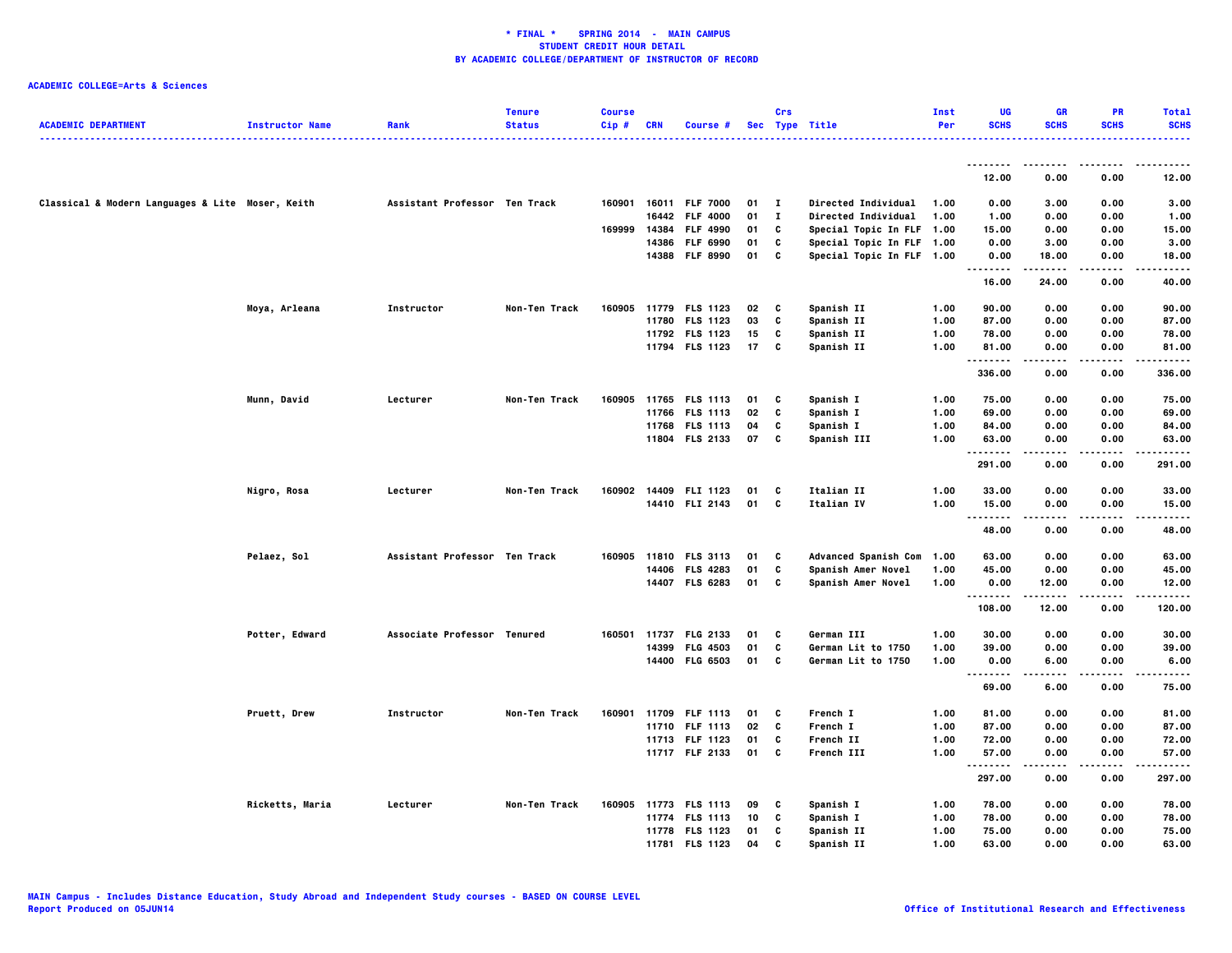|                                                  |                        |                               | <b>Tenure</b> | <b>Course</b> |            |                       |      | Crs            |                           | Inst | UG                | GR               | <b>PR</b>         | <b>Total</b>     |
|--------------------------------------------------|------------------------|-------------------------------|---------------|---------------|------------|-----------------------|------|----------------|---------------------------|------|-------------------|------------------|-------------------|------------------|
| <b>ACADEMIC DEPARTMENT</b>                       | <b>Instructor Name</b> | Rank                          | <b>Status</b> | Cip#          | <b>CRN</b> | Course #              |      |                | Sec Type Title            | Per  | <b>SCHS</b>       | <b>SCHS</b>      | <b>SCHS</b>       | <b>SCHS</b><br>. |
|                                                  |                        |                               |               |               |            |                       |      |                |                           |      |                   |                  |                   |                  |
|                                                  |                        |                               |               |               |            |                       |      |                |                           |      | --------<br>12.00 | ----<br>0.00     | .<br>0.00         | .<br>12.00       |
| Classical & Modern Languages & Lite Moser, Keith |                        | Assistant Professor Ten Track |               |               |            | 160901 16011 FLF 7000 | 01   | $\blacksquare$ | Directed Individual       | 1.00 | 0.00              | 3.00             | 0.00              | 3.00             |
|                                                  |                        |                               |               |               |            | 16442 FLF 4000        | 01   | $\mathbf{I}$   | Directed Individual       | 1.00 | 1.00              | 0.00             | 0.00              | 1.00             |
|                                                  |                        |                               |               | 169999        |            | 14384 FLF 4990        | 01   | C              | Special Topic In FLF 1.00 |      | 15.00             | 0.00             | 0.00              | 15.00            |
|                                                  |                        |                               |               |               |            | 14386 FLF 6990        | 01   | C              | Special Topic In FLF 1.00 |      | 0.00              | 3.00             | 0.00              | 3.00             |
|                                                  |                        |                               |               |               |            | 14388 FLF 8990        | 01   | C              | Special Topic In FLF 1.00 |      | 0.00<br>.         | 18.00<br>.       | 0.00<br>.         | 18.00            |
|                                                  |                        |                               |               |               |            |                       |      |                |                           |      | 16.00             | 24.00            | 0.00              | 40.00            |
|                                                  | Moya, Arleana          | Instructor                    | Non-Ten Track | 160905        |            | 11779 FLS 1123        | 02   | C              | Spanish II                | 1.00 | 90.00             | 0.00             | 0.00              | 90.00            |
|                                                  |                        |                               |               |               |            | 11780 FLS 1123        | 03   | C              | Spanish II                | 1.00 | 87.00             | 0.00             | 0.00              | 87.00            |
|                                                  |                        |                               |               |               |            | 11792 FLS 1123        | 15   | c              | Spanish II                | 1.00 | 78.00             | 0.00             | 0.00              | 78.00            |
|                                                  |                        |                               |               |               |            | 11794 FLS 1123        | 17   | C              | Spanish II                | 1.00 | 81.00<br>.        | 0.00<br>.        | 0.00<br>.         | 81.00<br>.       |
|                                                  |                        |                               |               |               |            |                       |      |                |                           |      | 336.00            | 0.00             | 0.00              | 336.00           |
|                                                  | Munn, David            | Lecturer                      | Non-Ten Track | 160905        |            | 11765 FLS 1113        | 01   | C              | Spanish I                 | 1.00 | 75.00             | 0.00             | 0.00              | 75.00            |
|                                                  |                        |                               |               |               |            | 11766 FLS 1113        | 02   | C              | Spanish I                 | 1.00 | 69.00             | 0.00             | 0.00              | 69.00            |
|                                                  |                        |                               |               |               |            | 11768 FLS 1113        | 04   | C              | Spanish I                 | 1.00 | 84.00             | 0.00             | 0.00              | 84.00            |
|                                                  |                        |                               |               |               |            | 11804 FLS 2133        | 07   | C              | Spanish III               | 1.00 | 63.00<br>.        | 0.00<br>$\cdots$ | 0.00<br>.         | 63.00<br>.       |
|                                                  |                        |                               |               |               |            |                       |      |                |                           |      | 291.00            | 0.00             | 0.00              | 291.00           |
|                                                  | Nigro, Rosa            | Lecturer                      | Non-Ten Track | 160902        |            | 14409 FLI 1123        | 01   | C              | Italian II                | 1.00 | 33.00             | 0.00             | 0.00              | 33.00            |
|                                                  |                        |                               |               |               |            | 14410 FLI 2143        | 01 C |                | Italian IV                | 1.00 | 15.00<br>.        | 0.00<br>----     | 0.00<br>.         | 15.00<br>-----   |
|                                                  |                        |                               |               |               |            |                       |      |                |                           |      | 48.00             | 0.00             | 0.00              | 48.00            |
|                                                  | Pelaez, Sol            | Assistant Professor Ten Track |               |               |            | 160905 11810 FLS 3113 | 01   | C              | Advanced Spanish Com 1.00 |      | 63.00             | 0.00             | 0.00              | 63.00            |
|                                                  |                        |                               |               |               |            | 14406 FLS 4283        | 01   | C              | Spanish Amer Novel        | 1.00 | 45.00             | 0.00             | 0.00              | 45.00            |
|                                                  |                        |                               |               |               |            | 14407 FLS 6283        | 01   | C              | Spanish Amer Novel        | 1.00 | 0.00              | 12.00            | 0.00              | 12.00            |
|                                                  |                        |                               |               |               |            |                       |      |                |                           |      | .<br>108.00       | -----<br>12.00   | $- - - -$<br>0.00 | .<br>120.00      |
|                                                  | Potter, Edward         | Associate Professor Tenured   |               |               |            | 160501 11737 FLG 2133 | 01   | C              | German III                | 1.00 | 30.00             | 0.00             | 0.00              | 30.00            |
|                                                  |                        |                               |               |               |            | 14399 FLG 4503        | 01   | C              | German Lit to 1750        | 1.00 | 39.00             | 0.00             | 0.00              | 39.00            |
|                                                  |                        |                               |               |               |            | 14400 FLG 6503        | 01   | C              | German Lit to 1750        | 1.00 | 0.00              | 6.00             | 0.00              | 6.00             |
|                                                  |                        |                               |               |               |            |                       |      |                |                           |      | <br>69.00         | 6.00             | 0.00              | 75.00            |
|                                                  | Pruett, Drew           | Instructor                    | Non-Ten Track |               |            | 160901 11709 FLF 1113 | 01   | C              | French I                  | 1.00 | 81.00             | 0.00             | 0.00              | 81.00            |
|                                                  |                        |                               |               |               |            | 11710 FLF 1113        | 02   | C              | French I                  | 1.00 | 87.00             | 0.00             | 0.00              | 87.00            |
|                                                  |                        |                               |               |               |            | 11713 FLF 1123        | 01   | c              | French II                 | 1.00 | 72.00             | 0.00             | 0.00              | 72.00            |
|                                                  |                        |                               |               |               |            | 11717 FLF 2133        | 01   | C              | French III                | 1.00 | 57.00<br>.        | 0.00<br>.        | 0.00<br>.         | 57.00<br>.       |
|                                                  |                        |                               |               |               |            |                       |      |                |                           |      | 297.00            | 0.00             | 0.00              | 297.00           |
|                                                  | Ricketts, Maria        | Lecturer                      | Non-Ten Track |               |            | 160905 11773 FLS 1113 | 09   | C              | Spanish I                 | 1.00 | 78.00             | 0.00             | 0.00              | 78.00            |
|                                                  |                        |                               |               |               |            | 11774 FLS 1113        | 10   | C              | Spanish I                 | 1.00 | 78.00             | 0.00             | 0.00              | 78.00            |
|                                                  |                        |                               |               |               |            | 11778 FLS 1123        | 01   | C              | Spanish II                | 1.00 | 75.00             | 0.00             | 0.00              | 75.00            |
|                                                  |                        |                               |               |               |            | 11781 FLS 1123        | 04   | c              | Spanish II                | 1.00 | 63.00             | 0.00             | 0.00              | 63.00            |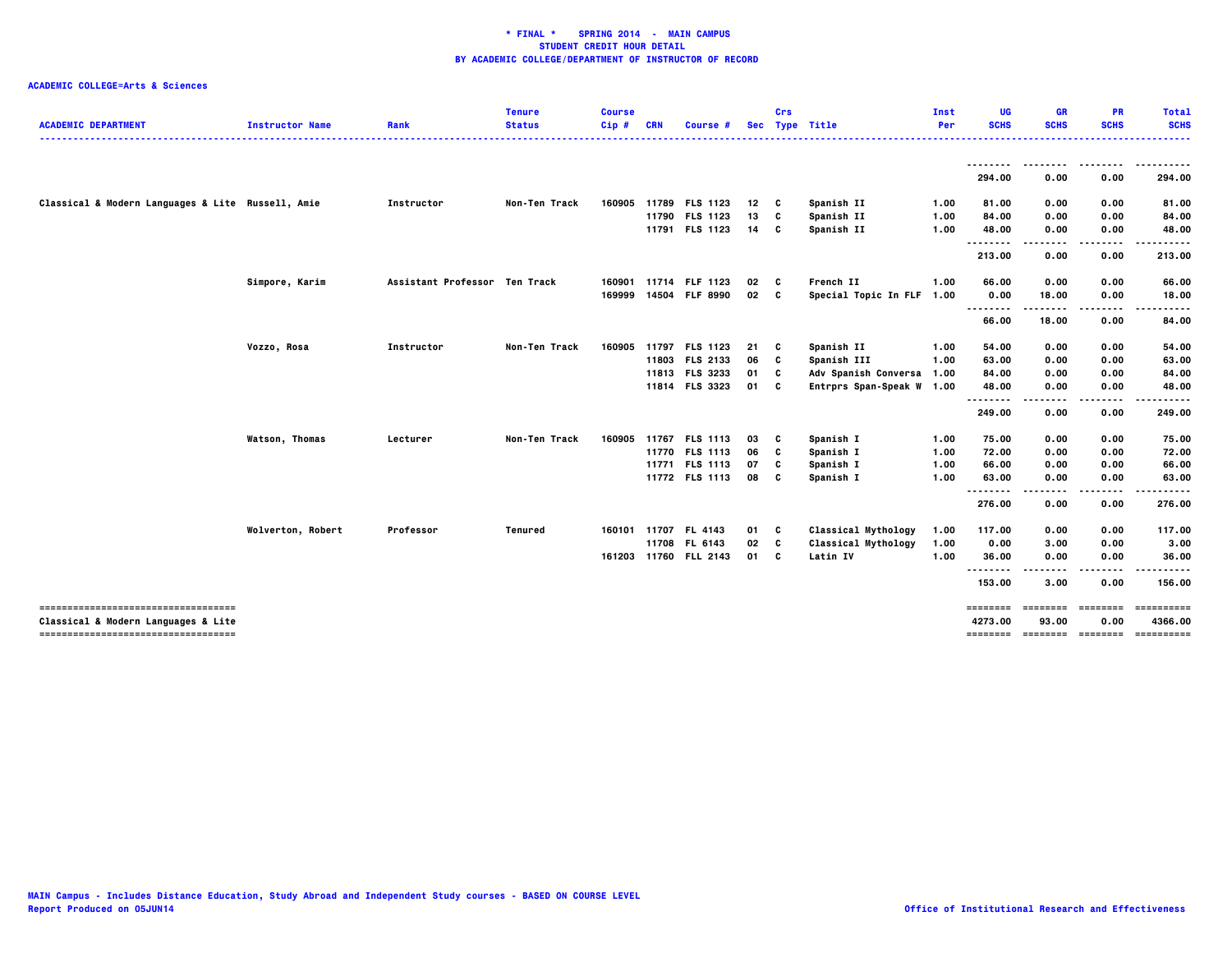| <b>ACADEMIC DEPARTMENT</b>                                                 | <b>Instructor Name</b> | Rank                          | <b>Tenure</b><br><b>Status</b> | <b>Course</b><br>$Cip$ # | <b>CRN</b> | Course #              |    | Crs | Sec Type Title            | Inst<br>Per | UG<br><b>SCHS</b>   | <b>GR</b><br><b>SCHS</b> | <b>PR</b><br><b>SCHS</b> | Total<br><b>SCHS</b>  |
|----------------------------------------------------------------------------|------------------------|-------------------------------|--------------------------------|--------------------------|------------|-----------------------|----|-----|---------------------------|-------------|---------------------|--------------------------|--------------------------|-----------------------|
|                                                                            |                        |                               |                                |                          |            |                       |    |     |                           |             |                     |                          |                          |                       |
|                                                                            |                        |                               |                                |                          |            |                       |    |     |                           |             | 294.00              | $- - -$<br>0.00          | 0.00                     | 294.00                |
| Classical & Modern Languages & Lite Russell, Amie                          |                        | Instructor                    | Non-Ten Track                  | 160905                   |            | 11789 FLS 1123        | 12 | C   | Spanish II                | 1.00        | 81.00               | 0.00                     | 0.00                     | 81.00                 |
|                                                                            |                        |                               |                                |                          |            | 11790 FLS 1123        | 13 | C   | Spanish II                | 1.00        | 84.00               | 0.00                     | 0.00                     | 84.00                 |
|                                                                            |                        |                               |                                |                          |            | 11791 FLS 1123        | 14 | C   | Spanish II                | 1.00        | 48.00               | 0.00                     | 0.00                     | 48.00                 |
|                                                                            |                        |                               |                                |                          |            |                       |    |     |                           |             | <br>213.00          | ---<br>0.00              | 0.00                     | 213.00                |
|                                                                            | Simpore, Karim         | Assistant Professor Ten Track |                                | 160901                   |            | 11714 FLF 1123        | 02 | C   | French II                 | 1.00        | 66.00               | 0.00                     | 0.00                     | 66.00                 |
|                                                                            |                        |                               |                                | 169999                   |            | 14504 FLF 8990        | 02 | c   | Special Topic In FLF 1.00 |             | 0.00                | 18.00                    | 0.00                     | 18.00                 |
|                                                                            |                        |                               |                                |                          |            |                       |    |     |                           |             | .<br>66.00          | ------<br>18.00          | .<br>0.00                | .<br>84.00            |
|                                                                            | Vozzo, Rosa            | Instructor                    | Non-Ten Track                  | 160905                   |            | 11797 FLS 1123        | 21 | C   | Spanish II                | 1.00        | 54.00               | 0.00                     | 0.00                     | 54.00                 |
|                                                                            |                        |                               |                                |                          |            | 11803 FLS 2133        | 06 | C   | Spanish III               | 1.00        | 63.00               | 0.00                     | 0.00                     | 63.00                 |
|                                                                            |                        |                               |                                |                          |            | 11813 FLS 3233        | 01 | C   | Adv Spanish Conversa 1.00 |             | 84.00               | 0.00                     | 0.00                     | 84.00                 |
|                                                                            |                        |                               |                                |                          |            | 11814 FLS 3323        | 01 | C   | Entrprs Span-Speak W 1.00 |             | 48.00<br>--------   | 0.00<br>.                | 0.00                     | 48.00                 |
|                                                                            |                        |                               |                                |                          |            |                       |    |     |                           |             | 249.00              | 0.00                     | 0.00                     | 249.00                |
|                                                                            | <b>Watson, Thomas</b>  | Lecturer                      | Non-Ten Track                  | 160905                   |            | 11767 FLS 1113        | 03 | C   | Spanish I                 | 1.00        | 75.00               | 0.00                     | 0.00                     | 75.00                 |
|                                                                            |                        |                               |                                |                          |            | 11770 FLS 1113        | 06 | C   | Spanish I                 | 1.00        | 72.00               | 0.00                     | 0.00                     | 72.00                 |
|                                                                            |                        |                               |                                |                          |            | 11771 FLS 1113        | 07 | C   | Spanish I                 | 1.00        | 66.00               | 0.00                     | 0.00                     | 66.00                 |
|                                                                            |                        |                               |                                |                          |            | 11772 FLS 1113        | 08 | C   | Spanish I                 | 1.00        | 63.00<br>--------   | 0.00                     | 0.00                     | 63.00                 |
|                                                                            |                        |                               |                                |                          |            |                       |    |     |                           |             | 276.00              | 0.00                     | 0.00                     | 276.00                |
|                                                                            | Wolverton, Robert      | Professor                     | <b>Tenured</b>                 |                          |            | 160101 11707 FL 4143  | 01 | C   | Classical Mythology       | 1.00        | 117.00              | 0.00                     | 0.00                     | 117.00                |
|                                                                            |                        |                               |                                |                          |            | 11708 FL 6143         | 02 | C   | Classical Mythology       | 1.00        | 0.00                | 3.00                     | 0.00                     | 3.00                  |
|                                                                            |                        |                               |                                |                          |            | 161203 11760 FLL 2143 | 01 | C   | Latin IV                  | 1.00        | 36.00               | 0.00                     | 0.00                     | 36.00                 |
|                                                                            |                        |                               |                                |                          |            |                       |    |     |                           |             | --------<br>153.00  | 3.00                     | 0.00                     | 156.00                |
| -----------------------------------<br>Classical & Modern Languages & Lite |                        |                               |                                |                          |            |                       |    |     |                           |             | ========<br>4273.00 | <b>EDESSEES</b><br>93.00 | ========<br>0.00         | ==========<br>4366.00 |
| -----------------------------------                                        |                        |                               |                                |                          |            |                       |    |     |                           |             |                     |                          |                          |                       |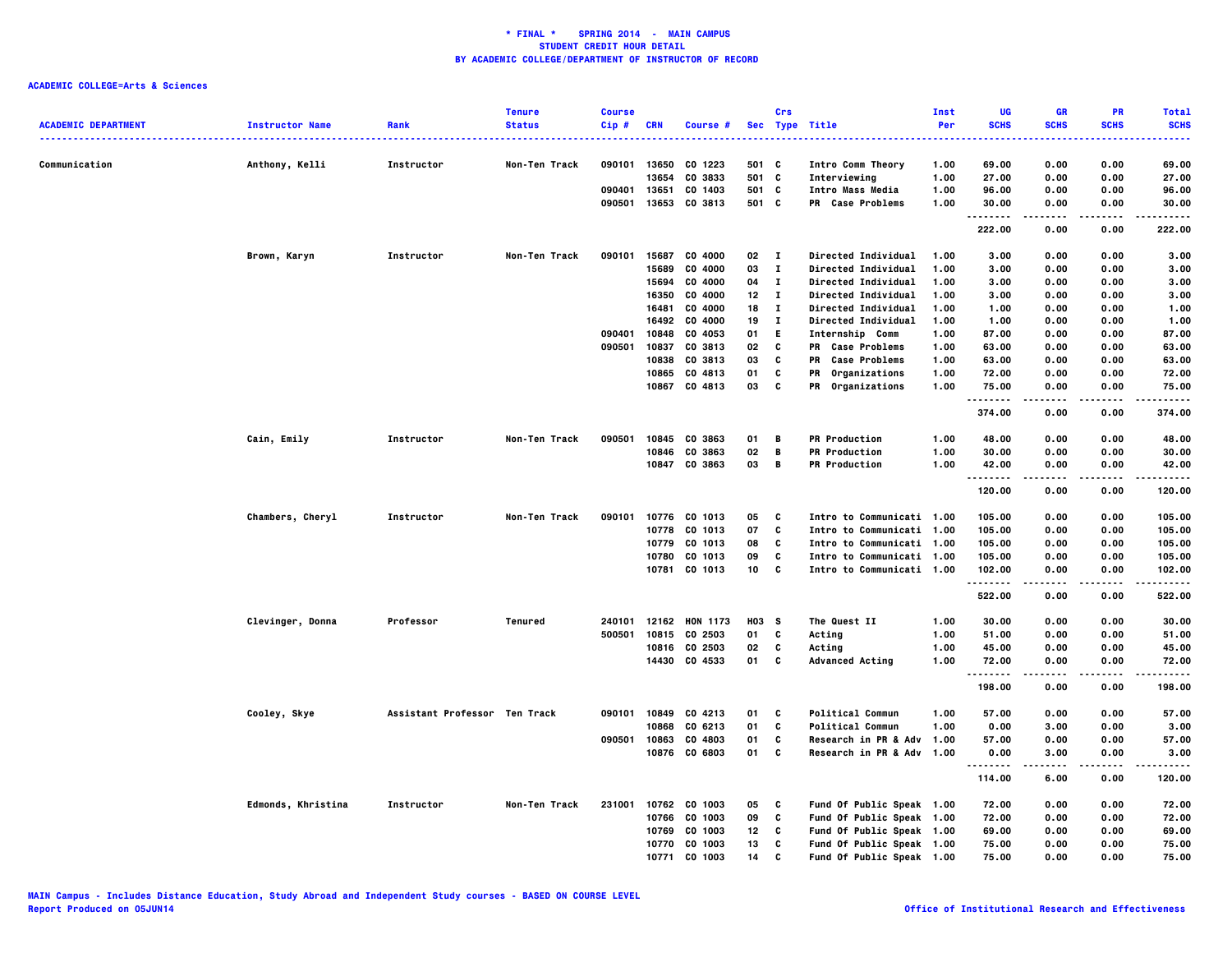|                            |                        |                               | <b>Tenure</b>        | <b>Course</b> |            |                |       | Crs          |                            | Inst | UG          | <b>GR</b>   | <b>PR</b>   | <b>Total</b>         |
|----------------------------|------------------------|-------------------------------|----------------------|---------------|------------|----------------|-------|--------------|----------------------------|------|-------------|-------------|-------------|----------------------|
| <b>ACADEMIC DEPARTMENT</b> | <b>Instructor Name</b> | Rank                          | <b>Status</b>        | Cip#          | <b>CRN</b> | Course #       |       |              | Sec Type Title             | Per  | <b>SCHS</b> | <b>SCHS</b> | <b>SCHS</b> | <b>SCHS</b><br>----- |
|                            |                        |                               |                      |               |            |                |       |              |                            |      |             |             |             |                      |
| Communication              | Anthony, Kelli         | Instructor                    | Non-Ten Track        | 090101        | 13650      | CO 1223        | 501 C |              | Intro Comm Theory          | 1.00 | 69.00       | 0.00        | 0.00        | 69.00                |
|                            |                        |                               |                      |               | 13654      | CO 3833        | 501 C |              | Interviewing               | 1.00 | 27.00       | 0.00        | 0.00        | 27.00                |
|                            |                        |                               |                      | 090401        | 13651      | CO 1403        | 501   | C            | Intro Mass Media           | 1.00 | 96.00       | 0.00        | 0.00        | 96.00                |
|                            |                        |                               |                      | 090501        | 13653      | CO 3813        | 501 C |              | <b>PR</b> Case Problems    | 1.00 | 30.00<br>.  | 0.00        | 0.00        | 30.00                |
|                            |                        |                               |                      |               |            |                |       |              |                            |      | 222.00      | 0.00        | 0.00        | 222.00               |
|                            | Brown, Karyn           | <b>Instructor</b>             | Non-Ten Track        | 090101        | 15687      | CO 4000        | 02 I  |              | Directed Individual        | 1.00 | 3.00        | 0.00        | 0.00        | 3.00                 |
|                            |                        |                               |                      |               | 15689      | CO 4000        | 03    | $\mathbf{I}$ | Directed Individual        | 1.00 | 3.00        | 0.00        | 0.00        | 3.00                 |
|                            |                        |                               |                      |               | 15694      | CO 4000        | 04    | $\bf{I}$     | <b>Directed Individual</b> | 1.00 | 3.00        | 0.00        | 0.00        | 3.00                 |
|                            |                        |                               |                      |               | 16350      | CO 4000        | 12    | $\mathbf{I}$ | <b>Directed Individual</b> | 1.00 | 3.00        | 0.00        | 0.00        | 3.00                 |
|                            |                        |                               |                      |               | 16481      | CO 4000        | 18    | $\mathbf{I}$ | <b>Directed Individual</b> | 1.00 | 1.00        | 0.00        | 0.00        | 1.00                 |
|                            |                        |                               |                      |               |            | 16492 CO 4000  | 19    | л.           | Directed Individual        | 1.00 | 1.00        | 0.00        | 0.00        | 1.00                 |
|                            |                        |                               |                      | 090401        | 10848      | CO 4053        | 01    | E.           | Internship Comm            | 1.00 | 87.00       | 0.00        | 0.00        | 87.00                |
|                            |                        |                               |                      | 090501        | 10837      | CO 3813        | 02    | C            | <b>PR</b> Case Problems    | 1.00 | 63.00       | 0.00        | 0.00        | 63.00                |
|                            |                        |                               |                      |               | 10838      | CO 3813        | 03    | C            | <b>Case Problems</b><br>PR | 1.00 | 63.00       | 0.00        | 0.00        | 63.00                |
|                            |                        |                               |                      |               | 10865      | CO 4813        | 01    | C            | Organizations<br>PR        | 1.00 | 72.00       | 0.00        | 0.00        | 72.00                |
|                            |                        |                               |                      |               |            | 10867 CO 4813  | 03    | C            | PR Organizations           | 1.00 | 75.00       | 0.00        | 0.00        | 75.00                |
|                            |                        |                               |                      |               |            |                |       |              |                            |      | .<br>374.00 | 0.00        | 0.00        | 374.00               |
|                            | Cain, Emily            | <b>Instructor</b>             | <b>Non-Ten Track</b> | 090501        |            | 10845 CO 3863  | 01    | в            | <b>PR Production</b>       | 1.00 | 48.00       | 0.00        | 0.00        | 48.00                |
|                            |                        |                               |                      |               | 10846      | CO 3863        | 02    | В            | <b>PR Production</b>       | 1.00 | 30.00       | 0.00        | 0.00        | 30.00                |
|                            |                        |                               |                      |               |            | 10847 CO 3863  | 03    | В            | <b>PR Production</b>       | 1.00 | 42.00       | 0.00        | 0.00        | 42.00                |
|                            |                        |                               |                      |               |            |                |       |              |                            |      | .           | .           | .           | .                    |
|                            |                        |                               |                      |               |            |                |       |              |                            |      | 120.00      | 0.00        | 0.00        | 120.00               |
|                            | Chambers, Cheryl       | Instructor                    | Non-Ten Track        | 090101        | 10776      | CO 1013        | 05    | C            | Intro to Communicati 1.00  |      | 105.00      | 0.00        | 0.00        | 105.00               |
|                            |                        |                               |                      |               | 10778      | CO 1013        | 07    | C            | Intro to Communicati 1.00  |      | 105.00      | 0.00        | 0.00        | 105.00               |
|                            |                        |                               |                      |               | 10779      | CO 1013        | 08    | C            | Intro to Communicati 1.00  |      | 105.00      | 0.00        | 0.00        | 105.00               |
|                            |                        |                               |                      |               | 10780      | CO 1013        | 09    | C            | Intro to Communicati 1.00  |      | 105.00      | 0.00        | 0.00        | 105.00               |
|                            |                        |                               |                      |               |            | 10781 CO 1013  | 10    | C            | Intro to Communicati 1.00  |      | 102.00      | 0.00        | 0.00        | 102.00               |
|                            |                        |                               |                      |               |            |                |       |              |                            |      | .<br>522.00 | 0.00        | 0.00        | .<br>522.00          |
|                            | Clevinger, Donna       | Professor                     | Tenured              | 240101        |            | 12162 HON 1173 | H03 S |              | The Quest II               | 1.00 | 30.00       | 0.00        | 0.00        | 30.00                |
|                            |                        |                               |                      | 500501        |            | 10815 CO 2503  | 01    | C            | Acting                     | 1.00 | 51.00       | 0.00        | 0.00        | 51.00                |
|                            |                        |                               |                      |               |            | 10816 CO 2503  | 02    | C            | Acting                     | 1.00 | 45.00       | 0.00        | 0.00        | 45.00                |
|                            |                        |                               |                      |               |            | 14430 CO 4533  | 01    | C            | <b>Advanced Acting</b>     | 1.00 | 72.00       | 0.00        | 0.00        | 72.00                |
|                            |                        |                               |                      |               |            |                |       |              |                            |      | . <b>.</b>  |             |             | .                    |
|                            |                        |                               |                      |               |            |                |       |              |                            |      | 198.00      | 0.00        | 0.00        | 198.00               |
|                            | Cooley, Skye           | Assistant Professor Ten Track |                      | 090101        |            | 10849 CO 4213  | 01    | C            | <b>Political Commun</b>    | 1.00 | 57.00       | 0.00        | 0.00        | 57.00                |
|                            |                        |                               |                      |               | 10868      | CO 6213        | 01    | C            | <b>Political Commun</b>    | 1.00 | 0.00        | 3.00        | 0.00        | 3.00                 |
|                            |                        |                               |                      | 090501        | 10863      | CO 4803        | 01    | C            | Research in PR & Adv 1.00  |      | 57.00       | 0.00        | 0.00        | 57.00                |
|                            |                        |                               |                      |               |            | 10876 CO 6803  | 01    | C            | Research in PR & Adv 1.00  |      | 0.00        | 3.00        | 0.00        | 3.00                 |
|                            |                        |                               |                      |               |            |                |       |              |                            |      | 114.00      | 6.00        | 0.00        | 120.00               |
|                            | Edmonds, Khristina     | Instructor                    | Non-Ten Track        | 231001        |            | 10762 CO 1003  | 05    | C            | Fund Of Public Speak 1.00  |      | 72.00       | 0.00        | 0.00        | 72.00                |
|                            |                        |                               |                      |               | 10766      | CO 1003        | 09    | C            | Fund Of Public Speak 1.00  |      | 72.00       | 0.00        | 0.00        | 72.00                |
|                            |                        |                               |                      |               | 10769      | CO 1003        | 12    | C            | Fund Of Public Speak 1.00  |      | 69.00       | 0.00        | 0.00        | 69.00                |
|                            |                        |                               |                      |               | 10770      | CO 1003        | 13    | C            | Fund Of Public Speak 1.00  |      | 75.00       | 0.00        | 0.00        | 75.00                |
|                            |                        |                               |                      |               | 10771      | CO 1003        | 14    | C            | Fund Of Public Speak 1.00  |      | 75.00       | 0.00        | 0.00        | 75.00                |
|                            |                        |                               |                      |               |            |                |       |              |                            |      |             |             |             |                      |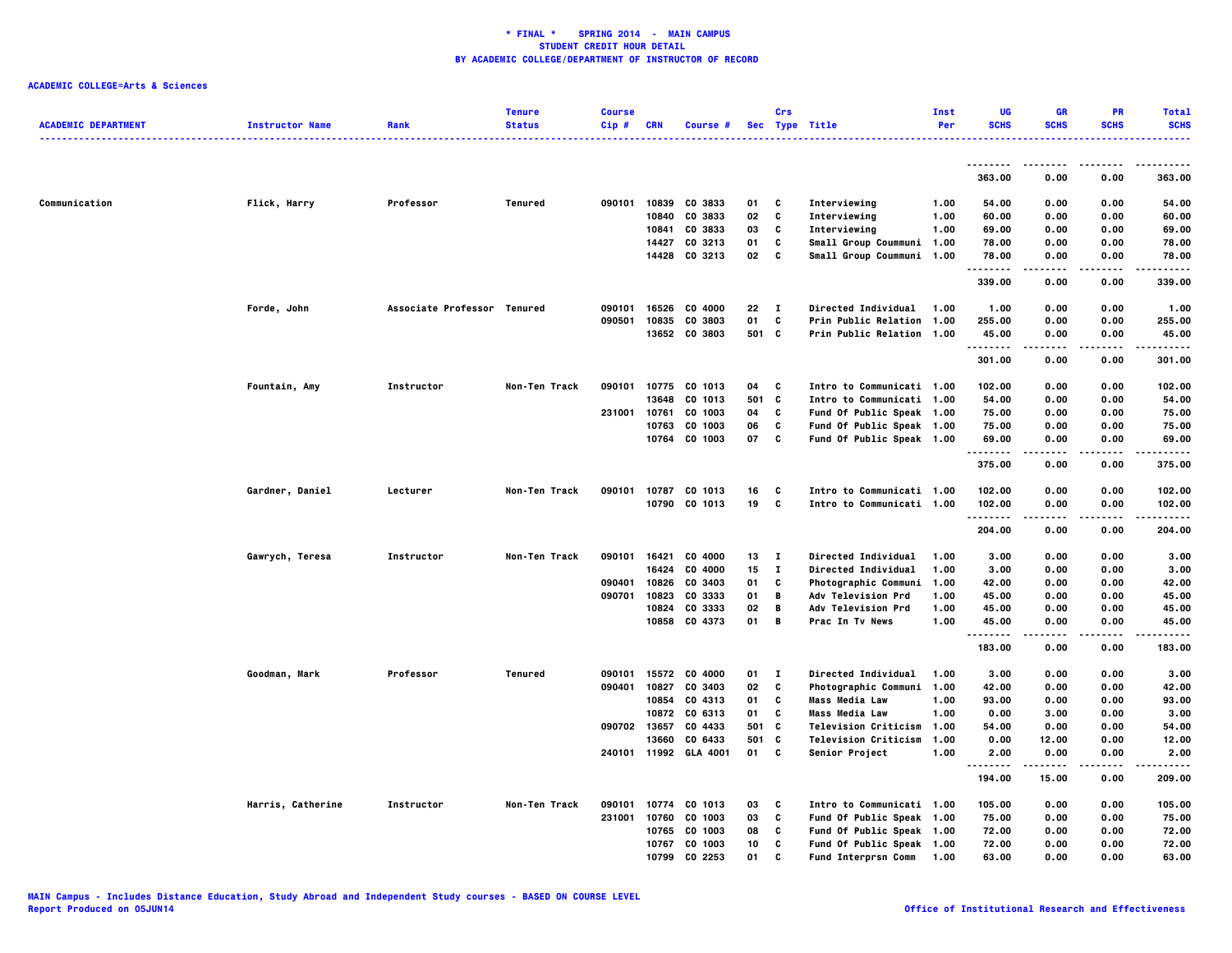|                            |                        |                             | <b>Tenure</b> | <b>Course</b> |              |                |     | Crs          |                             | Inst | UG          | <b>GR</b>   | <b>PR</b>   | <b>Total</b>     |
|----------------------------|------------------------|-----------------------------|---------------|---------------|--------------|----------------|-----|--------------|-----------------------------|------|-------------|-------------|-------------|------------------|
| <b>ACADEMIC DEPARTMENT</b> | <b>Instructor Name</b> | Rank                        | <b>Status</b> | Cip#          | <b>CRN</b>   | Course #       |     |              | Sec Type Title              | Per  | <b>SCHS</b> | <b>SCHS</b> | <b>SCHS</b> | <b>SCHS</b><br>. |
|                            |                        |                             |               |               |              |                |     |              |                             |      |             |             |             |                  |
|                            |                        |                             |               |               |              |                |     |              |                             |      | <br>363.00  | 0.00        | 0.00        | 363.00           |
| Communication              | Flick, Harry           | Professor                   | Tenured       | 090101        | 10839        | CO 3833        | 01  | C            | Interviewing                | 1.00 | 54.00       | 0.00        | 0.00        | 54.00            |
|                            |                        |                             |               |               | 10840        | CO 3833        | 02  | c            | Interviewing                | 1.00 | 60.00       | 0.00        | 0.00        | 60.00            |
|                            |                        |                             |               |               | 10841        | CO 3833        | 03  | C            | Interviewing                | 1.00 | 69.00       | 0.00        | 0.00        | 69.00            |
|                            |                        |                             |               |               | 14427        | CO 3213        | 01  | C            | Small Group Coummuni 1.00   |      | 78.00       | 0.00        | 0.00        | 78.00            |
|                            |                        |                             |               |               |              | 14428 CO 3213  | 02  | C            | Small Group Coummuni 1.00   |      | 78.00       | 0.00        | 0.00        | 78.00            |
|                            |                        |                             |               |               |              |                |     |              |                             |      | .<br>339.00 | 0.00        | 0.00        | .<br>339.00      |
|                            | Forde, John            | Associate Professor Tenured |               | 090101        | 16526        | CO 4000        | 22  | $\mathbf{I}$ | <b>Directed Individual</b>  | 1.00 | 1.00        | 0.00        | 0.00        | 1.00             |
|                            |                        |                             |               | 090501        | 10835        | CO 3803        | 01  | C            | <b>Prin Public Relation</b> | 1.00 | 255.00      | 0.00        | 0.00        | 255.00           |
|                            |                        |                             |               |               |              | 13652 CO 3803  |     | 501 C        | Prin Public Relation 1.00   |      | 45.00<br>.  | 0.00<br>.   | 0.00<br>.   | 45.00<br>.       |
|                            |                        |                             |               |               |              |                |     |              |                             |      | 301.00      | 0.00        | 0.00        | 301.00           |
|                            | Fountain, Amy          | Instructor                  | Non-Ten Track | 090101        |              | 10775 CO 1013  | 04  | C            | Intro to Communicati 1.00   |      | 102.00      | 0.00        | 0.00        | 102.00           |
|                            |                        |                             |               |               | 13648        | CO 1013        | 501 | C            | Intro to Communicati 1.00   |      | 54.00       | 0.00        | 0.00        | 54.00            |
|                            |                        |                             |               | 231001        | 10761        | CO 1003        | 04  | C            | Fund Of Public Speak 1.00   |      | 75.00       | 0.00        | 0.00        | 75.00            |
|                            |                        |                             |               |               | 10763        | CO 1003        | 06  | C            | Fund Of Public Speak 1.00   |      | 75.00       | 0.00        | 0.00        | 75.00            |
|                            |                        |                             |               |               | 10764        | CO 1003        | 07  | C            | Fund Of Public Speak 1.00   |      | 69.00<br>.  | 0.00        | 0.00        | 69.00<br>.       |
|                            |                        |                             |               |               |              |                |     |              |                             |      | 375.00      | 0.00        | 0.00        | 375.00           |
|                            | Gardner, Daniel        | Lecturer                    | Non-Ten Track | 090101        |              | 10787 CO 1013  | 16  | C            | Intro to Communicati 1.00   |      | 102.00      | 0.00        | 0.00        | 102.00           |
|                            |                        |                             |               |               |              | 10790 CO 1013  | 19  | C            | Intro to Communicati 1.00   |      | 102.00<br>. | 0.00        | 0.00<br>.   | 102.00<br>-----  |
|                            |                        |                             |               |               |              |                |     |              |                             |      | 204.00      | 0.00        | 0.00        | 204.00           |
|                            | Gawrych, Teresa        | Instructor                  | Non-Ten Track | 090101        | 16421        | CO 4000        | 13  | $\mathbf{I}$ | <b>Directed Individual</b>  | 1.00 | 3.00        | 0.00        | 0.00        | 3.00             |
|                            |                        |                             |               |               | 16424        | CO 4000        | 15  | $\bf{I}$     | Directed Individual         | 1.00 | 3.00        | 0.00        | 0.00        | 3.00             |
|                            |                        |                             |               | 090401        | 10826        | CO 3403        | 01  | C            | Photographic Communi        | 1.00 | 42.00       | 0.00        | 0.00        | 42.00            |
|                            |                        |                             |               | 090701        | 10823        | CO 3333        | 01  | В            | Adv Television Prd          | 1.00 | 45.00       | 0.00        | 0.00        | 45.00            |
|                            |                        |                             |               |               | 10824        | CO 3333        | 02  | В            | Adv Television Prd          | 1.00 | 45.00       | 0.00        | 0.00        | 45.00            |
|                            |                        |                             |               |               |              | 10858 CO 4373  | 01  | В            | Prac In Tv News             | 1.00 | 45.00       | 0.00        | 0.00        | 45.00            |
|                            |                        |                             |               |               |              |                |     |              |                             |      | <br>183.00  | .<br>0.00   | .<br>0.00   | .<br>183.00      |
|                            | Goodman, Mark          | Professor                   | Tenured       | 090101        | 15572        | CO 4000        | 01  | $\mathbf{I}$ | Directed Individual         | 1.00 | 3.00        | 0.00        | 0.00        | 3.00             |
|                            |                        |                             |               | 090401        | 10827        | CO 3403        | 02  | C            | <b>Photographic Communi</b> | 1.00 | 42.00       | 0.00        | 0.00        | 42.00            |
|                            |                        |                             |               |               | 10854        | CO 4313        | 01  | c            | <b>Mass Media Law</b>       | 1.00 | 93.00       | 0.00        | 0.00        | 93.00            |
|                            |                        |                             |               |               | 10872        | CO 6313        | 01  | c            | <b>Mass Media Law</b>       | 1.00 | 0.00        | 3.00        | 0.00        | 3.00             |
|                            |                        |                             |               |               | 090702 13657 | CO 4433        | 501 | C            | <b>Television Criticism</b> | 1.00 | 54.00       | 0.00        | 0.00        | 54.00            |
|                            |                        |                             |               |               | 13660        | CO 6433        | 501 | C            | <b>Television Criticism</b> | 1.00 | 0.00        | 12.00       | 0.00        | 12.00            |
|                            |                        |                             |               | 240101        |              | 11992 GLA 4001 | 01  | C            | Senior Project              | 1.00 | 2.00<br>.   | 0.00        | 0.00        | 2.00<br>.        |
|                            |                        |                             |               |               |              |                |     |              |                             |      | 194.00      | 15.00       | 0.00        | 209.00           |
|                            | Harris, Catherine      | Instructor                  | Non-Ten Track | 090101        |              | 10774 CO 1013  | 03  | C            | Intro to Communicati 1.00   |      | 105.00      | 0.00        | 0.00        | 105.00           |
|                            |                        |                             |               | 231001        | 10760        | CO 1003        | 03  | C            | Fund Of Public Speak 1.00   |      | 75.00       | 0.00        | 0.00        | 75.00            |
|                            |                        |                             |               |               | 10765        | CO 1003        | 08  | C            | Fund Of Public Speak 1.00   |      | 72.00       | 0.00        | 0.00        | 72.00            |
|                            |                        |                             |               |               |              | 10767 CO 1003  | 10  | c            | Fund Of Public Speak 1.00   |      | 72.00       | 0.00        | 0.00        | 72.00            |
|                            |                        |                             |               |               | 10799        | CO 2253        | 01  | C            | <b>Fund Interprsn Comm</b>  | 1.00 | 63.00       | 0.00        | 0.00        | 63.00            |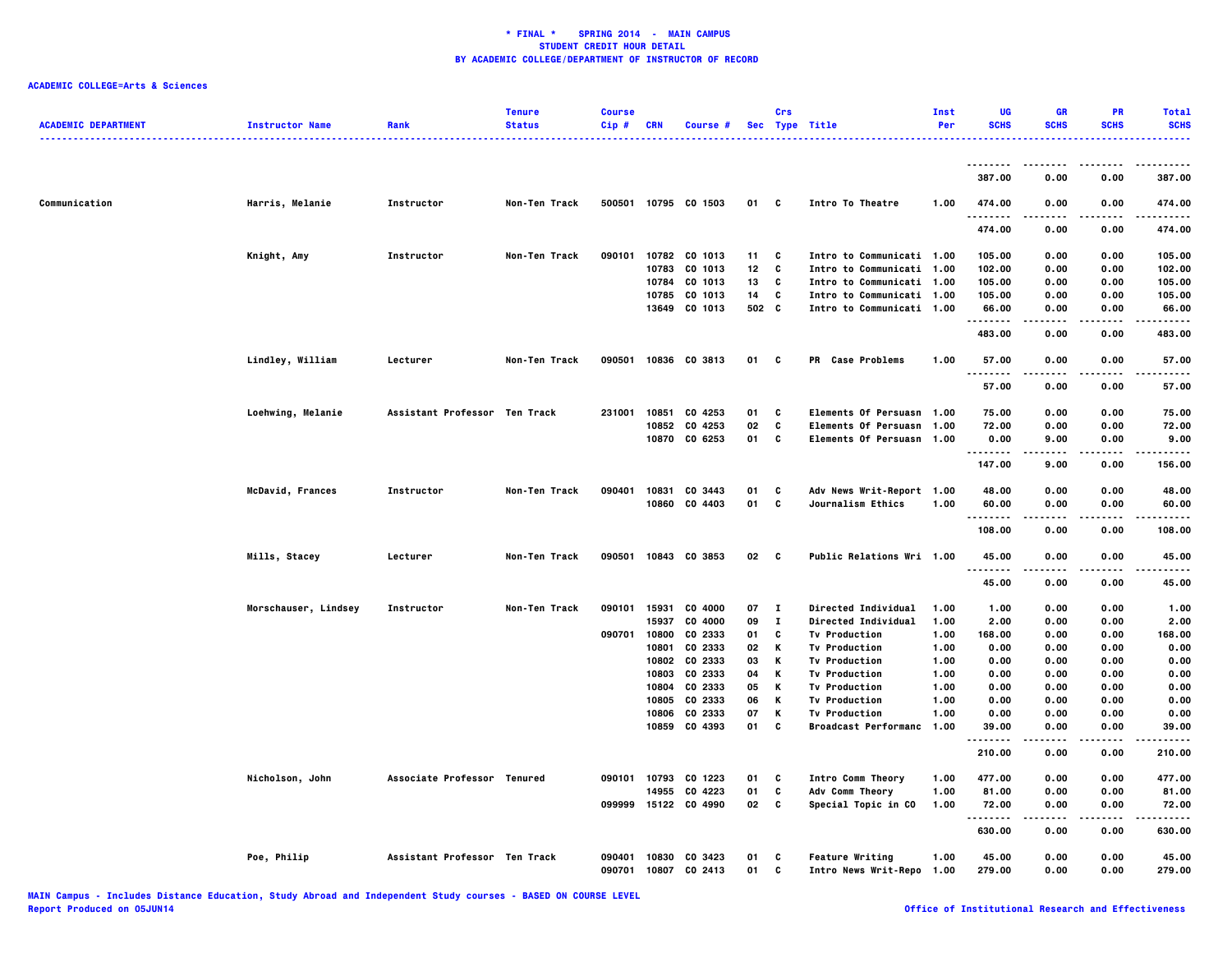| <b>ACADEMIC DEPARTMENT</b> | <b>Instructor Name</b> | Rank                          | <b>Tenure</b><br><b>Status</b> | <b>Course</b><br>Cip# | <b>CRN</b> | Course #                 |          | Crs          | Sec Type Title                               | Inst<br>Per  | UG<br><b>SCHS</b> | GR<br><b>SCHS</b> | PR<br><b>SCHS</b> | <b>Total</b><br><b>SCHS</b> |
|----------------------------|------------------------|-------------------------------|--------------------------------|-----------------------|------------|--------------------------|----------|--------------|----------------------------------------------|--------------|-------------------|-------------------|-------------------|-----------------------------|
|                            |                        |                               |                                |                       |            |                          |          |              |                                              |              |                   |                   |                   | .                           |
|                            |                        |                               |                                |                       |            |                          |          |              |                                              |              | .<br>387.00       | 0.00              | 0.00              | 387.00                      |
| Communication              | Harris, Melanie        | Instructor                    | Non-Ten Track                  |                       |            | 500501 10795 CO 1503     | 01       | C            | Intro To Theatre                             | 1.00         | 474.00            | 0.00              | 0.00              | 474.00                      |
|                            |                        |                               |                                |                       |            |                          |          |              |                                              |              | .<br>474.00       | 0.00              | .<br>0.00         | .<br>474.00                 |
|                            | Knight, Amy            | Instructor                    | Non-Ten Track                  | 090101                |            | 10782 CO 1013            | 11       | C            | Intro to Communicati 1.00                    |              | 105.00            | 0.00              | 0.00              | 105.00                      |
|                            |                        |                               |                                |                       | 10783      | CO 1013                  | 12       | C            | Intro to Communicati 1.00                    |              | 102.00            | 0.00              | 0.00              | 102.00                      |
|                            |                        |                               |                                |                       | 10784      | CO 1013                  | 13       | C            | Intro to Communicati 1.00                    |              | 105.00            | 0.00              | 0.00              | 105.00                      |
|                            |                        |                               |                                |                       | 10785      | CO 1013                  | 14       | C            | Intro to Communicati 1.00                    |              | 105.00            | 0.00              | 0.00              | 105.00                      |
|                            |                        |                               |                                |                       | 13649      | CO 1013                  | 502 C    |              | Intro to Communicati 1.00                    |              | 66.00<br>.        | 0.00              | 0.00              | 66.00<br>-----              |
|                            |                        |                               |                                |                       |            |                          |          |              |                                              |              | 483.00            | 0.00              | 0.00              | 483.00                      |
|                            | Lindley, William       | Lecturer                      | Non-Ten Track                  | 090501                |            | 10836 CO 3813            | 01       | C            | PR Case Problems                             | 1.00         | 57.00<br>---<br>. | 0.00              | 0.00              | 57.00                       |
|                            |                        |                               |                                |                       |            |                          |          |              |                                              |              | 57.00             | 0.00              | 0.00              | 57.00                       |
|                            | Loehwing, Melanie      | Assistant Professor Ten Track |                                | 231001                |            | 10851 CO 4253            | 01       | C            | Elements Of Persuasn 1.00                    |              | 75.00             | 0.00              | 0.00              | 75.00                       |
|                            |                        |                               |                                |                       |            | 10852 CO 4253            | 02       | C            | <b>Elements Of Persuasn</b>                  | 1.00         | 72.00             | 0.00              | 0.00              | 72.00                       |
|                            |                        |                               |                                |                       |            | 10870 CO 6253            | 01       | C            | Elements Of Persuasn 1.00                    |              | 0.00<br>.         | 9.00<br>-----     | 0.00<br>.         | 9.00<br>.                   |
|                            |                        |                               |                                |                       |            |                          |          |              |                                              |              | 147.00            | 9.00              | 0.00              | 156.00                      |
|                            | McDavid, Frances       | Instructor                    | Non-Ten Track                  | 090401                |            | 10831 CO 3443            | 01       | C            | Adv News Writ-Report 1.00                    |              | 48.00             | 0.00              | 0.00              | 48.00                       |
|                            |                        |                               |                                |                       |            | 10860 CO 4403            | 01       | C            | <b>Journalism Ethics</b>                     | 1.00         | 60.00<br>.        | 0.00              | 0.00              | 60.00                       |
|                            |                        |                               |                                |                       |            |                          |          |              |                                              |              | 108.00            | 0.00              | 0.00              | 108,00                      |
|                            | Mills, Stacey          | Lecturer                      | Non-Ten Track                  | 090501                |            | 10843 CO 3853            | 02       | <b>C</b>     | Public Relations Wri 1.00                    |              | 45.00<br>.        | 0.00              | 0.00              | 45.00                       |
|                            |                        |                               |                                |                       |            |                          |          |              |                                              |              | 45.00             | 0.00              | 0.00              | 45.00                       |
|                            | Morschauser, Lindsey   | Instructor                    | Non-Ten Track                  | 090101                |            | 15931 CO 4000            | 07       | - 1          | Directed Individual                          | 1.00         | 1.00              | 0.00              | 0.00              | 1.00                        |
|                            |                        |                               |                                |                       | 15937      | CO 4000                  | 09       | $\mathbf{I}$ | Directed Individual                          | 1.00         | 2.00              | 0.00              | 0.00              | 2.00                        |
|                            |                        |                               |                                | 090701                |            | 10800 CO 2333            | 01       | C            | <b>Tv Production</b>                         | 1.00         | 168.00            | 0.00              | 0.00              | 168.00                      |
|                            |                        |                               |                                |                       | 10801      | CO 2333                  | 02       | Κ            | <b>Tv Production</b>                         | 1.00         | 0.00              | 0.00              | 0.00              | 0.00                        |
|                            |                        |                               |                                |                       | 10803      | 10802 CO 2333<br>CO 2333 | 03<br>04 | К<br>К       | <b>Tv Production</b><br><b>Tv Production</b> | 1.00<br>1.00 | 0.00<br>0.00      | 0.00<br>0.00      | 0.00<br>0.00      | 0.00<br>0.00                |
|                            |                        |                               |                                |                       | 10804      | CO 2333                  | 05       | К            | <b>Tv Production</b>                         | 1.00         | 0.00              | 0.00              | 0.00              | 0.00                        |
|                            |                        |                               |                                |                       | 10805      | CO 2333                  | 06       | к            | <b>Tv Production</b>                         | 1.00         | 0.00              | 0.00              | 0.00              | 0.00                        |
|                            |                        |                               |                                |                       | 10806      | CO 2333                  | 07       | К            | <b>Tv Production</b>                         | 1.00         | 0.00              | 0.00              | 0.00              | 0.00                        |
|                            |                        |                               |                                |                       |            | 10859 CO 4393            | 01       | C            | Broadcast Performanc 1.00                    |              | 39.00             | 0.00              | 0.00              | 39.00                       |
|                            |                        |                               |                                |                       |            |                          |          |              |                                              |              | 210.00            | 0.00              | 0.00              | 210.00                      |
|                            | Nicholson, John        | Associate Professor Tenured   |                                |                       |            | 090101 10793 CO 1223     | 01       | c            | Intro Comm Theory                            | 1.00         | 477.00            | 0.00              | 0.00              | 477.00                      |
|                            |                        |                               |                                |                       | 14955      | CO 4223                  | 01       | C            | Adv Comm Theory                              | 1.00         | 81.00             | 0.00              | 0.00              | 81.00                       |
|                            |                        |                               |                                | 099999                |            | 15122 CO 4990            | 02       | C            | Special Topic in CO                          | 1.00         | 72.00<br>.        | 0.00              | 0.00              | 72.00                       |
|                            |                        |                               |                                |                       |            |                          |          |              |                                              |              | 630.00            | 0.00              | 0.00              | 630.00                      |
|                            | Poe, Philip            | Assistant Professor Ten Track |                                | 090401                |            | 10830 CO 3423            | 01       | C            | <b>Feature Writing</b>                       | 1.00         | 45.00             | 0.00              | 0.00              | 45.00                       |
|                            |                        |                               |                                | 090701                | 10807      | CO 2413                  | 01       | c            | Intro News Writ-Repo 1.00                    |              | 279.00            | 0.00              | 0.00              | 279.00                      |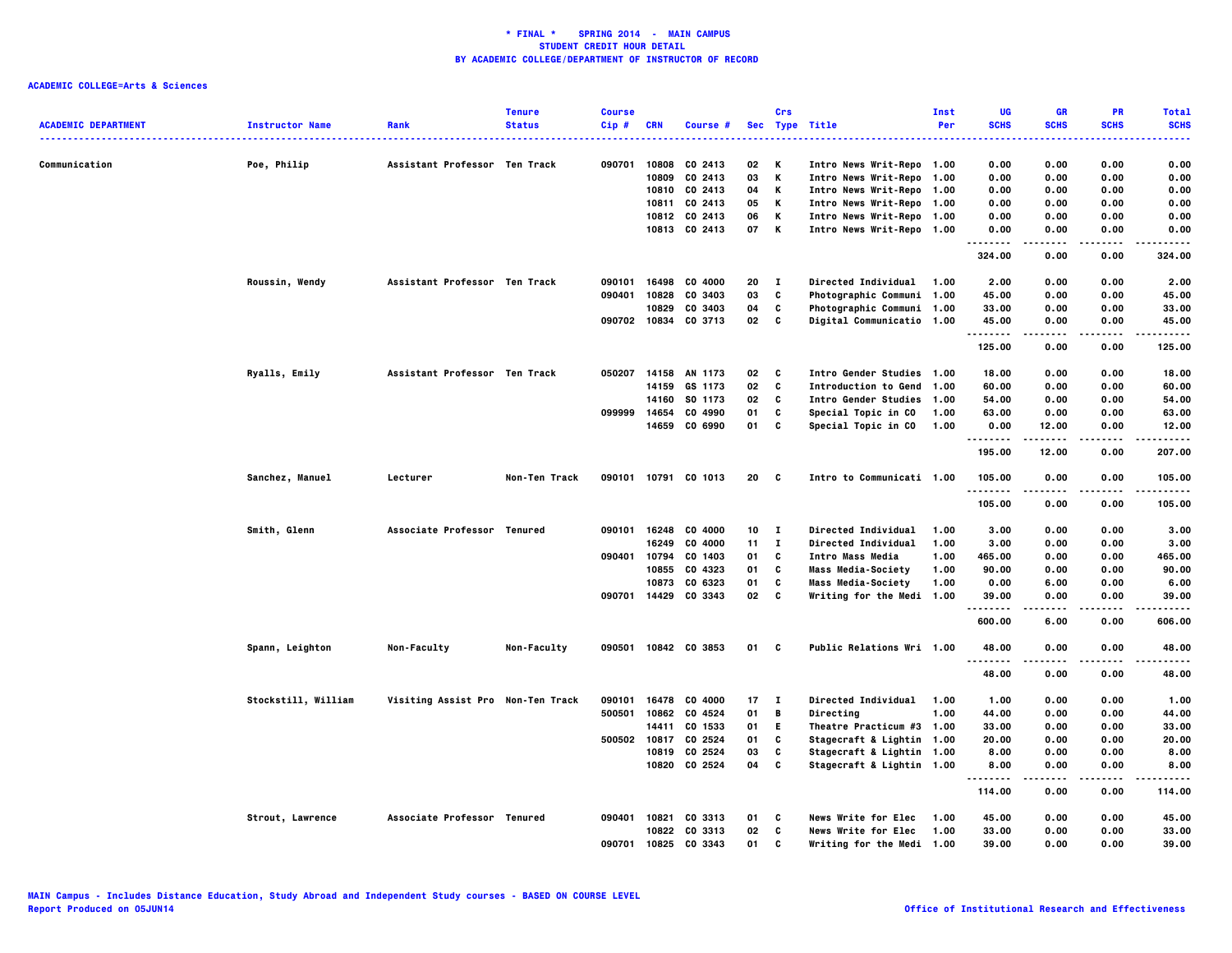|                            |                        |                                   | <b>Tenure</b> | <b>Course</b> |              |                      |      | Crs          |                            | <b>Inst</b> | UG                  | <b>GR</b>           | PR                | <b>Total</b>         |
|----------------------------|------------------------|-----------------------------------|---------------|---------------|--------------|----------------------|------|--------------|----------------------------|-------------|---------------------|---------------------|-------------------|----------------------|
| <b>ACADEMIC DEPARTMENT</b> | <b>Instructor Name</b> | Rank                              | <b>Status</b> | $Cip$ #       | <b>CRN</b>   | Course #             |      |              | Sec Type Title<br>.        | Per         | <b>SCHS</b><br>---- | <b>SCHS</b>         | <b>SCHS</b>       | <b>SCHS</b><br>----- |
| Communication              | Poe, Philip            | Assistant Professor Ten Track     |               | 090701        |              | 10808 CO 2413        | 02   | ĸ            | Intro News Writ-Repo 1.00  |             | 0.00                | 0.00                | 0.00              | 0.00                 |
|                            |                        |                                   |               |               | 10809        | CO 2413              | 03   | ĸ            | Intro News Writ-Repo 1.00  |             | 0.00                | 0.00                | 0.00              | 0.00                 |
|                            |                        |                                   |               |               | 10810        | CO 2413              | 04   | Κ            | Intro News Writ-Repo 1.00  |             | 0.00                | 0.00                | 0.00              | 0.00                 |
|                            |                        |                                   |               |               |              | 10811 CO 2413        | 05   | К            | Intro News Writ-Repo 1.00  |             | 0.00                | 0.00                | 0.00              | 0.00                 |
|                            |                        |                                   |               |               |              | 10812 CO 2413        | 06   | Κ            | Intro News Writ-Repo 1.00  |             | 0.00                | 0.00                | 0.00              | 0.00                 |
|                            |                        |                                   |               |               |              | 10813 CO 2413        | 07   | K            | Intro News Writ-Repo 1.00  |             | 0.00<br>            | 0.00<br>.           | 0.00<br>.         | 0.00<br>.            |
|                            |                        |                                   |               |               |              |                      |      |              |                            |             | 324.00              | 0.00                | 0.00              | 324.00               |
|                            | Roussin, Wendy         | Assistant Professor Ten Track     |               | 090101        | 16498        | CO 4000              | 20   | $\mathbf{I}$ | <b>Directed Individual</b> | 1.00        | 2.00                | 0.00                | 0.00              | 2.00                 |
|                            |                        |                                   |               | 090401        | 10828        | CO 3403              | 03   | C            | Photographic Communi 1.00  |             | 45.00               | 0.00                | 0.00              | 45.00                |
|                            |                        |                                   |               |               | 10829        | CO 3403              | 04   | C            | Photographic Communi 1.00  |             | 33.00               | 0.00                | 0.00              | 33.00                |
|                            |                        |                                   |               |               | 090702 10834 | CO 3713              | 02   | C            | Digital Communicatio 1.00  |             | 45.00<br>.          | 0.00                | 0.00              | 45.00                |
|                            |                        |                                   |               |               |              |                      |      |              |                            |             | 125.00              | 0.00                | 0.00              | 125.00               |
|                            | Ryalls, Emily          | Assistant Professor Ten Track     |               | 050207        |              | 14158 AN 1173        | 02   | c            | Intro Gender Studies 1.00  |             | 18.00               | 0.00                | 0.00              | 18.00                |
|                            |                        |                                   |               |               |              | 14159 GS 1173        | 02   | C            | Introduction to Gend 1.00  |             | 60.00               | 0.00                | 0.00              | 60.00                |
|                            |                        |                                   |               |               | 14160        | SO 1173              | 02   | C            | Intro Gender Studies 1.00  |             | 54.00               | 0.00                | 0.00              | 54.00                |
|                            |                        |                                   |               | 099999        | 14654        | CO 4990              | 01   | C            | Special Topic in CO        | 1.00        | 63.00               | 0.00                | 0.00              | 63.00                |
|                            |                        |                                   |               |               | 14659        | CO 6990              | 01   | C            | Special Topic in CO        | 1.00        | 0.00<br>.           | 12.00               | 0.00              | 12.00<br>.           |
|                            |                        |                                   |               |               |              |                      |      |              |                            |             | 195.00              | 12.00               | 0.00              | 207.00               |
|                            | Sanchez, Manuel        | Lecturer                          | Non-Ten Track |               |              | 090101 10791 CO 1013 | 20   | <b>C</b>     | Intro to Communicati 1.00  |             | 105.00<br>.         | 0.00                | 0.00<br>$\cdots$  | 105.00<br>.          |
|                            |                        |                                   |               |               |              |                      |      |              |                            |             | 105.00              | 0.00                | 0.00              | 105.00               |
|                            | Smith, Glenn           | Associate Professor Tenured       |               | 090101        | 16248        | CO 4000              | 10   | п            | <b>Directed Individual</b> | 1.00        | 3.00                | 0.00                | 0.00              | 3.00                 |
|                            |                        |                                   |               |               | 16249        | CO 4000              | 11   | $\mathbf{I}$ | <b>Directed Individual</b> | 1.00        | 3.00                | 0.00                | 0.00              | 3.00                 |
|                            |                        |                                   |               | 090401        | 10794        | CO 1403              | 01   | C            | Intro Mass Media           | 1.00        | 465.00              | 0.00                | 0.00              | 465.00               |
|                            |                        |                                   |               |               | 10855        | CO 4323              | 01   | C            | <b>Mass Media-Society</b>  | 1.00        | 90.00               | 0.00                | 0.00              | 90.00                |
|                            |                        |                                   |               |               | 10873        | CO 6323              | 01   | C            | <b>Mass Media-Society</b>  | 1.00        | 0.00                | 6.00                | 0.00              | 6.00                 |
|                            |                        |                                   |               |               |              | 090701 14429 CO 3343 | 02   | C            | Writing for the Medi 1.00  |             | 39.00<br>.          | 0.00                | 0.00<br>.         | 39,00<br>.           |
|                            |                        |                                   |               |               |              |                      |      |              |                            |             | 600.00              | 6.00                | 0.00              | 606.00               |
|                            | Spann, Leighton        | Non-Faculty                       | Non-Faculty   |               |              | 090501 10842 CO 3853 | 01 C |              | Public Relations Wri 1.00  |             | 48.00<br><u>.</u>   | 0.00<br>.           | 0.00<br>$- - - -$ | 48.00<br>.           |
|                            |                        |                                   |               |               |              |                      |      |              |                            |             | 48.00               | 0.00                | 0.00              | 48.00                |
|                            | Stockstill, William    | Visiting Assist Pro Non-Ten Track |               | 090101        | 16478        | CO 4000              | 17   | T            | Directed Individual        | 1.00        | 1.00                | 0.00                | 0.00              | 1.00                 |
|                            |                        |                                   |               | 500501        |              | 10862 CO 4524        | 01   | B            | Directing                  | 1.00        | 44.00               | 0.00                | 0.00              | 44.00                |
|                            |                        |                                   |               |               | 14411        | CO 1533              | 01   | E.           | Theatre Practicum #3 1.00  |             | 33.00               | 0.00                | 0.00              | 33.00                |
|                            |                        |                                   |               | 500502        | 10817        | CO 2524              | 01   | C            | Stagecraft & Lightin 1.00  |             | 20.00               | 0.00                | 0.00              | 20.00                |
|                            |                        |                                   |               |               | 10819        | CO 2524              | 03   | C            | Stagecraft & Lightin 1.00  |             | 8.00                | 0.00                | 0.00              | 8.00                 |
|                            |                        |                                   |               |               |              | 10820 CO 2524        | 04   | C            | Stagecraft & Lightin 1.00  |             | 8.00<br>.           | 0.00<br>$- - - - -$ | 0.00<br>.         | 8.00<br>-----        |
|                            |                        |                                   |               |               |              |                      |      |              |                            |             | 114.00              | 0.00                | 0.00              | 114.00               |
|                            | Strout, Lawrence       | Associate Professor Tenured       |               | 090401        | 10821        | CO 3313              | 01   | C            | News Write for Elec        | 1.00        | 45.00               | 0.00                | 0.00              | 45.00                |
|                            |                        |                                   |               |               |              | 10822 CO 3313        | 02   | C            | News Write for Elec        | 1.00        | 33.00               | 0.00                | 0.00              | 33.00                |
|                            |                        |                                   |               | 090701        | 10825        | CO 3343              | 01   | C            | Writing for the Medi       | 1.00        | 39.00               | 0.00                | 0.00              | 39.00                |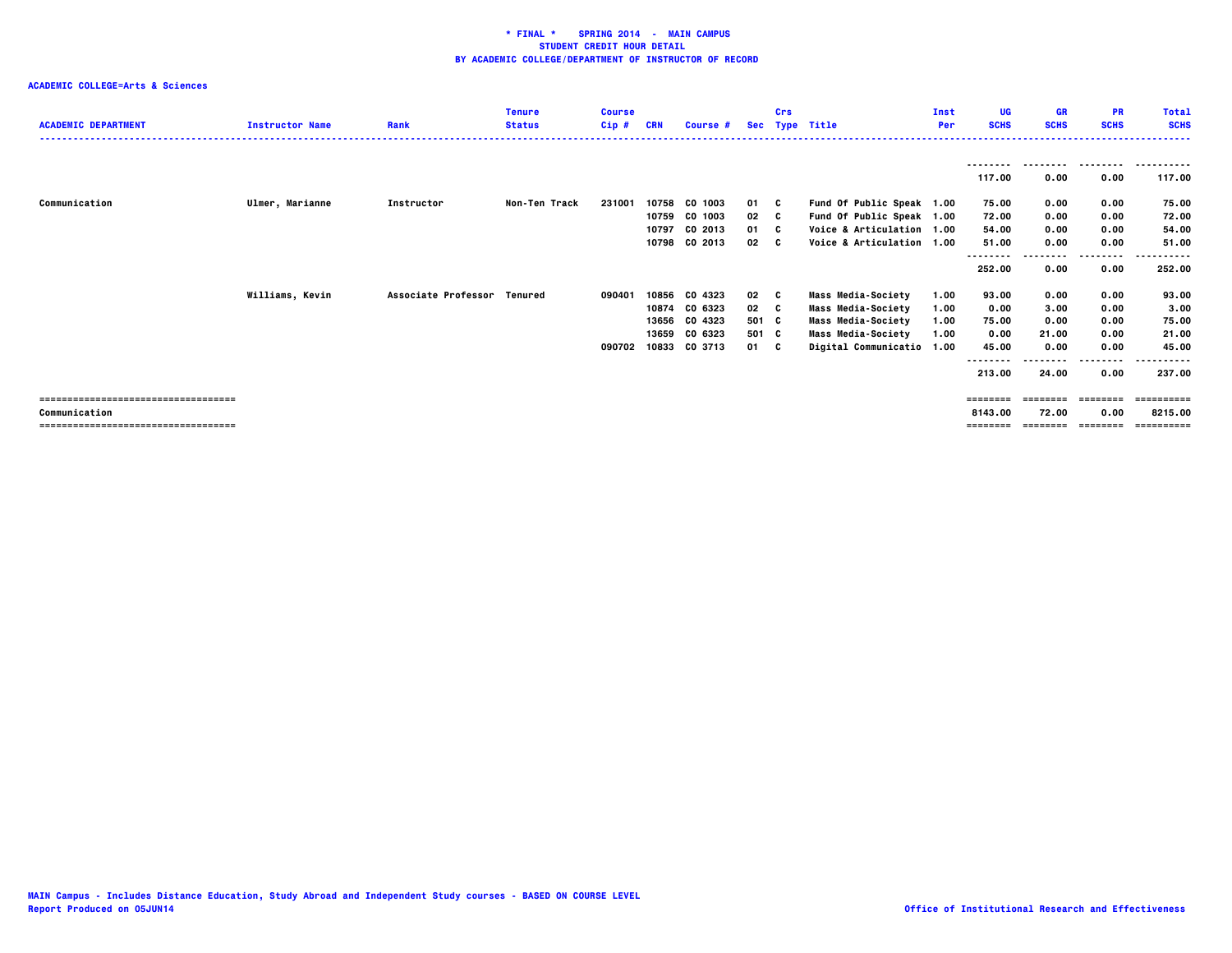| <b>ACADEMIC DEPARTMENT</b>           | <b>Instructor Name</b> | Rank                        | <b>Tenure</b><br><b>Status</b> | <b>Course</b><br>$Cip$ # | <b>CRN</b> | Course # |       | Crs | Sec Type Title            | Inst<br>Per | UG<br><b>SCHS</b> | <b>GR</b><br><b>SCHS</b> | <b>PR</b><br><b>SCHS</b> | <b>Total</b><br><b>SCHS</b> |
|--------------------------------------|------------------------|-----------------------------|--------------------------------|--------------------------|------------|----------|-------|-----|---------------------------|-------------|-------------------|--------------------------|--------------------------|-----------------------------|
|                                      |                        |                             |                                |                          |            |          |       |     |                           |             | 117.00            | --------<br>0.00         | ---------<br>0.00        | .<br>117.00                 |
| Communication                        | Ulmer, Marianne        | Instructor                  | Non-Ten Track                  | 231001                   | 10758      | CO 1003  | 01 C  |     | Fund Of Public Speak 1.00 |             | 75.00             | 0.00                     | 0.00                     | 75.00                       |
|                                      |                        |                             |                                |                          | 10759      | CO 1003  | 02    | - C | Fund Of Public Speak 1.00 |             | 72.00             | 0.00                     | 0.00                     | 72.00                       |
|                                      |                        |                             |                                |                          | 10797      | CO 2013  | 01 C  |     | Voice & Articulation 1.00 |             | 54.00             | 0.00                     | 0.00                     | 54.00                       |
|                                      |                        |                             |                                |                          | 10798      | CO 2013  | 02    | - C | Voice & Articulation 1.00 |             | 51.00             | 0.00                     | 0.00                     | 51.00                       |
|                                      |                        |                             |                                |                          |            |          |       |     |                           |             | --------          |                          | .                        |                             |
|                                      |                        |                             |                                |                          |            |          |       |     |                           |             | 252.00            | 0.00                     | 0.00                     | 252.00                      |
|                                      | Williams, Kevin        | Associate Professor Tenured |                                | 090401                   | 10856      | CO 4323  | 02    | C.  | <b>Mass Media-Society</b> | 1.00        | 93.00             | 0.00                     | 0.00                     | 93.00                       |
|                                      |                        |                             |                                |                          | 10874      | CO 6323  | 02    | - C | Mass Media-Society        | 1.00        | 0.00              | 3.00                     | 0.00                     | 3.00                        |
|                                      |                        |                             |                                |                          | 13656      | CO 4323  | 501 C |     | <b>Mass Media-Society</b> | 1.00        | 75.00             | 0.00                     | 0.00                     | 75.00                       |
|                                      |                        |                             |                                |                          | 13659      | CO 6323  | 501 C |     | Mass Media-Society        | 1.00        | 0.00              | 21.00                    | 0.00                     | 21.00                       |
|                                      |                        |                             |                                | 090702                   | 10833      | CO 3713  | 01 C  |     | Digital Communicatio 1.00 |             | 45.00             | 0.00                     | 0.00                     | 45.00                       |
|                                      |                        |                             |                                |                          |            |          |       |     |                           |             | --------          |                          | .                        |                             |
|                                      |                        |                             |                                |                          |            |          |       |     |                           |             | 213.00            | 24.00                    | 0.00                     | 237.00                      |
| ==================================== |                        |                             |                                |                          |            |          |       |     |                           |             | ========          |                          |                          | :=======                    |
| Communication                        |                        |                             |                                |                          |            |          |       |     |                           |             | 8143.00           | 72.00                    | 0.00                     | 8215.00                     |
| ------------------------------------ |                        |                             |                                |                          |            |          |       |     |                           |             | ========          |                          | $= 222222222$            | ==========                  |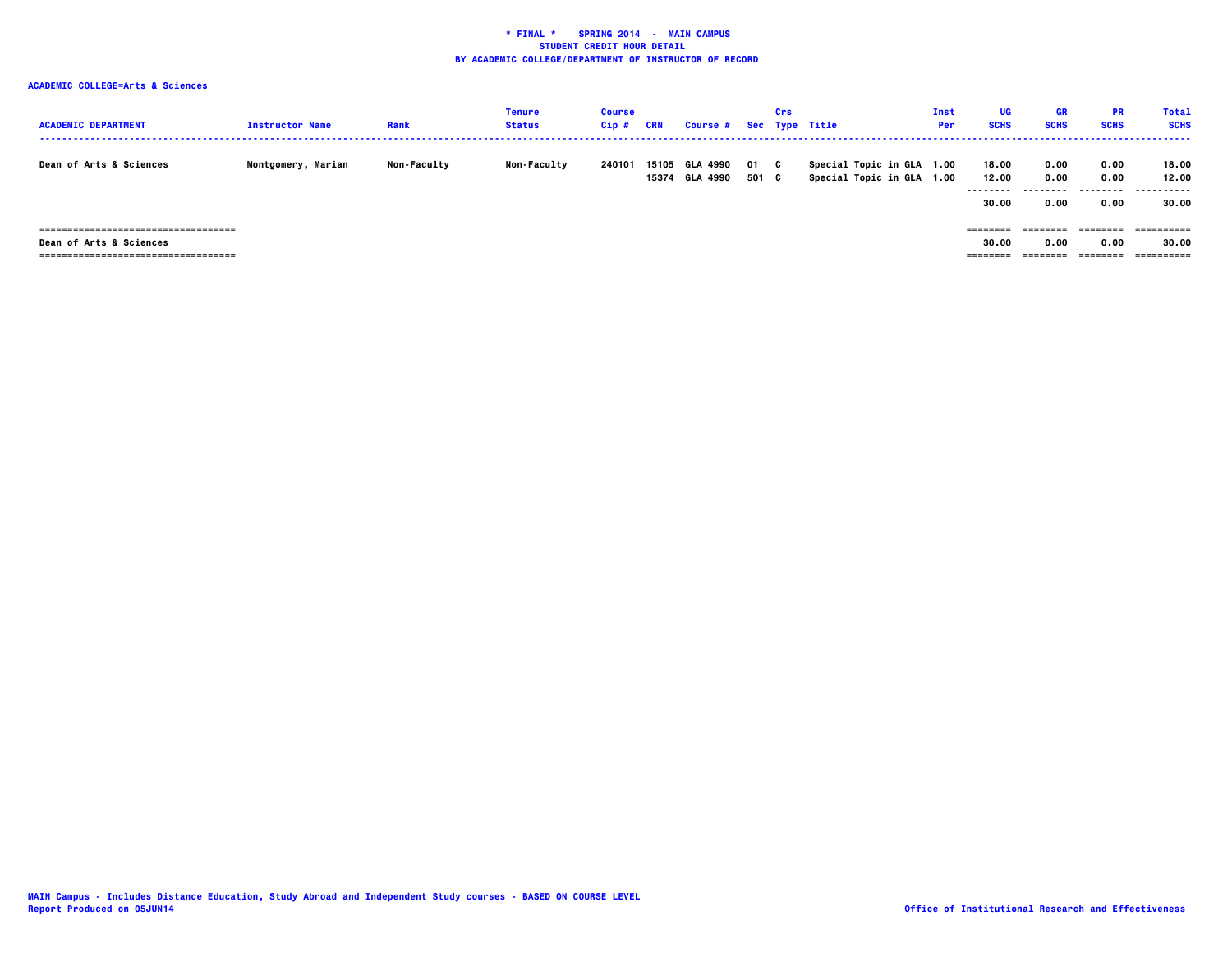| <b>ACADEMIC DEPARTMENT</b>            | <b>Instructor Name</b> | Rank               | Tenure<br><b>Status</b> | <b>Course</b><br>Cip# | CRN            | Course # Sec Type Title |               | Crs |                                                        | Inst<br>Per | UG<br><b>SCHS</b>          | <b>GR</b><br><b>SCHS</b>  | <b>PR</b><br><b>SCHS</b> | <b>Total</b><br><b>SCHS</b> |
|---------------------------------------|------------------------|--------------------|-------------------------|-----------------------|----------------|-------------------------|---------------|-----|--------------------------------------------------------|-------------|----------------------------|---------------------------|--------------------------|-----------------------------|
| Dean of Arts & Sciences               | Montgomery, Marian     | <b>Non-Faculty</b> | <b>Non-Faculty</b>      | 240101                | 15105<br>15374 | GLA 4990<br>GLA 4990    | 01 C<br>501 C |     | Special Topic in GLA 1.00<br>Special Topic in GLA 1.00 |             | 18.00<br>12.00<br>-------- | 0.00<br>0.00<br>--------- | 0.00<br>0.00             | 18.00<br>12.00<br>.         |
|                                       |                        |                    |                         |                       |                |                         |               |     |                                                        |             | 30.00                      | 0.00                      | 0.00                     | 30.00                       |
| ===================================== |                        |                    |                         |                       |                |                         |               |     |                                                        |             | ========                   | ========                  | ========                 | -----------                 |
| Dean of Arts & Sciences               |                        |                    |                         |                       |                |                         |               |     |                                                        |             | 30.00                      | 0.00                      | 0.00                     | 30.00                       |
| ------------------------------------- |                        |                    |                         |                       |                |                         |               |     |                                                        |             | ========                   |                           | ========                 | ==========                  |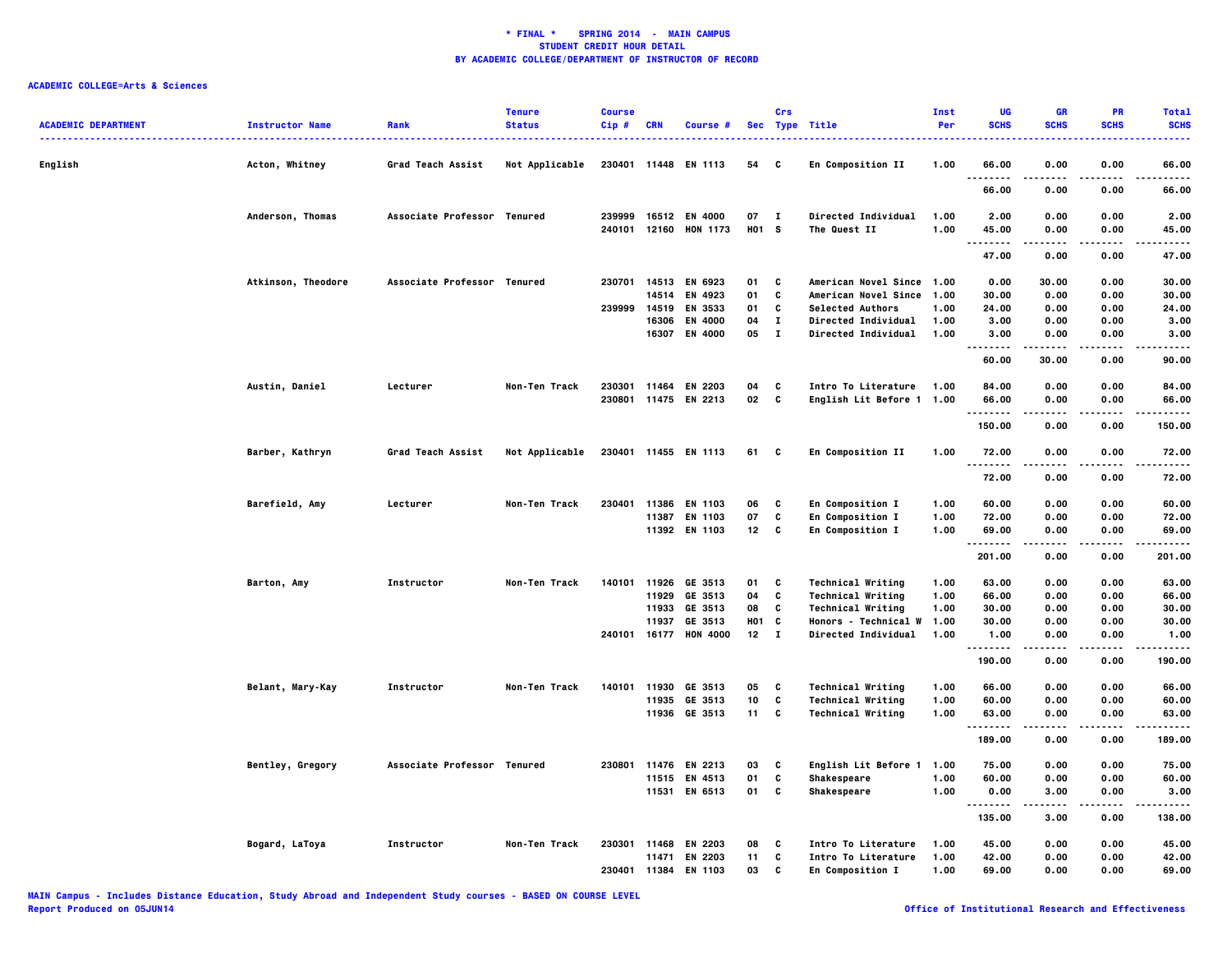| <b>ACADEMIC DEPARTMENT</b> | <b>Instructor Name</b> | Rank                        | <b>Tenure</b><br><b>Status</b> | <b>Course</b><br>Cip# | <b>CRN</b> | Course #              |                 | Crs          | Sec Type Title            | Inst<br>Per | UG<br><b>SCHS</b>  | <b>GR</b><br><b>SCHS</b> | <b>PR</b><br><b>SCHS</b> | <b>Total</b><br><b>SCHS</b> |
|----------------------------|------------------------|-----------------------------|--------------------------------|-----------------------|------------|-----------------------|-----------------|--------------|---------------------------|-------------|--------------------|--------------------------|--------------------------|-----------------------------|
| English                    | Acton, Whitney         | Grad Teach Assist           | Not Applicable                 | 230401 11448          |            | EN 1113               | 54              | C            | En Composition II         | 1.00        | 66.00              | 0.00                     | 0.00                     | 66.00                       |
|                            |                        |                             |                                |                       |            |                       |                 |              |                           |             | 66.00              | 0.00                     | 0.00                     | 66.00                       |
|                            | Anderson, Thomas       | <b>Associate Professor</b>  | Tenured                        | 239999                |            | 16512 EN 4000         | 07              | $\mathbf{I}$ | Directed Individual       | 1.00        | 2.00               | 0.00                     | 0.00                     | 2.00                        |
|                            |                        |                             |                                | 240101                |            | 12160 HON 1173        | H01 S           |              | The Quest II              | 1.00        | 45.00<br>          | 0.00                     | 0.00                     | 45.00<br>.                  |
|                            |                        |                             |                                |                       |            |                       |                 |              |                           |             | 47.00              | 0.00                     | 0.00                     | 47.00                       |
|                            | Atkinson, Theodore     | Associate Professor Tenured |                                |                       |            | 230701 14513 EN 6923  | 01              | C            | American Novel Since 1.00 |             | 0.00               | 30.00                    | 0.00                     | 30.00                       |
|                            |                        |                             |                                |                       | 14514      | EN 4923               | 01              | C            | American Novel Since 1.00 |             | 30.00              | 0.00                     | 0.00                     | 30.00                       |
|                            |                        |                             |                                | 239999                | 14519      | EN 3533               | 01              | c            | <b>Selected Authors</b>   | 1.00        | 24.00              | 0.00                     | 0.00                     | 24.00                       |
|                            |                        |                             |                                |                       | 16306      | EN 4000               | 04              | $\bf{I}$     | Directed Individual       | 1.00        | 3.00               | 0.00                     | 0.00                     | 3.00                        |
|                            |                        |                             |                                |                       | 16307      | EN 4000               | 05              | $\mathbf{I}$ | Directed Individual       | 1.00        | 3.00<br>.          | 0.00<br>-----            | 0.00                     | 3.00<br>$- - - -$           |
|                            |                        |                             |                                |                       |            |                       |                 |              |                           |             | 60.00              | 30.00                    | 0.00                     | 90.00                       |
|                            | Austin, Daniel         | Lecturer                    | Non-Ten Track                  | 230301                | 11464      | <b>EN 2203</b>        | 04              | C            | Intro To Literature       | 1.00        | 84.00              | 0.00                     | 0.00                     | 84.00                       |
|                            |                        |                             |                                | 230801                |            | 11475 EN 2213         | 02              | C            | English Lit Before 1      | 1.00        | 66.00<br>.         | 0.00                     | 0.00<br>.                | 66.00<br>.                  |
|                            |                        |                             |                                |                       |            |                       |                 |              |                           |             | 150.00             | 0.00                     | 0.00                     | 150.00                      |
|                            | Barber, Kathryn        | Grad Teach Assist           | Not Applicable                 |                       |            | 230401 11455 EN 1113  | 61              | C            | En Composition II         | 1.00        | 72.00<br>.         | 0.00                     | 0.00                     | 72.00<br>.                  |
|                            |                        |                             |                                |                       |            |                       |                 |              |                           |             | 72.00              | 0.00                     | 0.00                     | 72.00                       |
|                            | Barefield, Amy         | Lecturer                    | Non-Ten Track                  | 230401                | 11386      | EN 1103               | 06              | c            | En Composition I          | 1.00        | 60.00              | 0.00                     | 0.00                     | 60.00                       |
|                            |                        |                             |                                |                       | 11387      | EN 1103               | 07              | C            | <b>En Composition I</b>   | 1.00        | 72.00              | 0.00                     | 0.00                     | 72.00                       |
|                            |                        |                             |                                |                       |            | 11392 EN 1103         | 12 <sub>2</sub> | C            | En Composition I          | 1.00        | 69.00<br>.         | 0.00<br>-----            | 0.00<br>.                | 69.00<br>.                  |
|                            |                        |                             |                                |                       |            |                       |                 |              |                           |             | 201.00             | 0.00                     | 0.00                     | 201.00                      |
|                            | Barton, Amy            | Instructor                  | Non-Ten Track                  | 140101                | 11926      | GE 3513               | 01              | C            | <b>Technical Writing</b>  | 1.00        | 63.00              | 0.00                     | 0.00                     | 63.00                       |
|                            |                        |                             |                                |                       |            | 11929 GE 3513         | 04              | c            | <b>Technical Writing</b>  | 1.00        | 66.00              | 0.00                     | 0.00                     | 66.00                       |
|                            |                        |                             |                                |                       | 11933      | GE 3513               | 08              | c            | <b>Technical Writing</b>  | 1.00        | 30.00              | 0.00                     | 0.00                     | 30.00                       |
|                            |                        |                             |                                |                       | 11937      | GE 3513               | <b>HO1</b>      | C            | Honors - Technical W      | 1.00        | 30.00              | 0.00                     | 0.00                     | 30.00                       |
|                            |                        |                             |                                |                       |            | 240101 16177 HON 4000 | $12$ I          |              | Directed Individual       | 1.00        | 1.00<br>. <b>.</b> | 0.00<br>----             | 0.00<br>$- - - -$        | 1.00<br>.                   |
|                            |                        |                             |                                |                       |            |                       |                 |              |                           |             | 190.00             | 0.00                     | 0.00                     | 190.00                      |
|                            | Belant, Mary-Kay       | <b>Instructor</b>           | Non-Ten Track                  | 140101                | 11930      | GE 3513               | 05              | C            | <b>Technical Writing</b>  | 1.00        | 66.00              | 0.00                     | 0.00                     | 66.00                       |
|                            |                        |                             |                                |                       | 11935      | GE 3513               | 10              | C            | <b>Technical Writing</b>  | 1.00        | 60.00              | 0.00                     | 0.00                     | 60.00                       |
|                            |                        |                             |                                |                       |            | 11936 GE 3513         | 11              | C            | <b>Technical Writing</b>  | 1.00        | 63.00<br>.         | 0.00                     | 0.00                     | 63.00                       |
|                            |                        |                             |                                |                       |            |                       |                 |              |                           |             | 189.00             | 0.00                     | 0.00                     | 189.00                      |
|                            | Bentley, Gregory       | Associate Professor Tenured |                                | 230801                | 11476      | EN 2213               | 03              | C            | English Lit Before 1      | 1.00        | 75.00              | 0.00                     | 0.00                     | 75.00                       |
|                            |                        |                             |                                |                       | 11515      | EN 4513               | 01              | C            | Shakespeare               | 1.00        | 60.00              | 0.00                     | 0.00                     | 60.00                       |
|                            |                        |                             |                                |                       |            | 11531 EN 6513         | 01              | C            | Shakespeare               | 1.00        | 0.00<br>.          | 3.00<br>.                | 0.00<br>.                | 3.00<br>.                   |
|                            |                        |                             |                                |                       |            |                       |                 |              |                           |             | 135.00             | 3.00                     | 0.00                     | 138.00                      |
|                            | Bogard, LaToya         | Instructor                  | Non-Ten Track                  |                       |            | 230301 11468 EN 2203  | 08              | C            | Intro To Literature       | 1.00        | 45.00              | 0.00                     | 0.00                     | 45.00                       |
|                            |                        |                             |                                |                       | 11471      | EN 2203               | 11              | c            | Intro To Literature       | 1.00        | 42.00              | 0.00                     | 0.00                     | 42.00                       |
|                            |                        |                             |                                | 230401 11384          |            | EN 1103               | 03              | C            | En Composition I          | 1.00        | 69.00              | 0.00                     | 0.00                     | 69.00                       |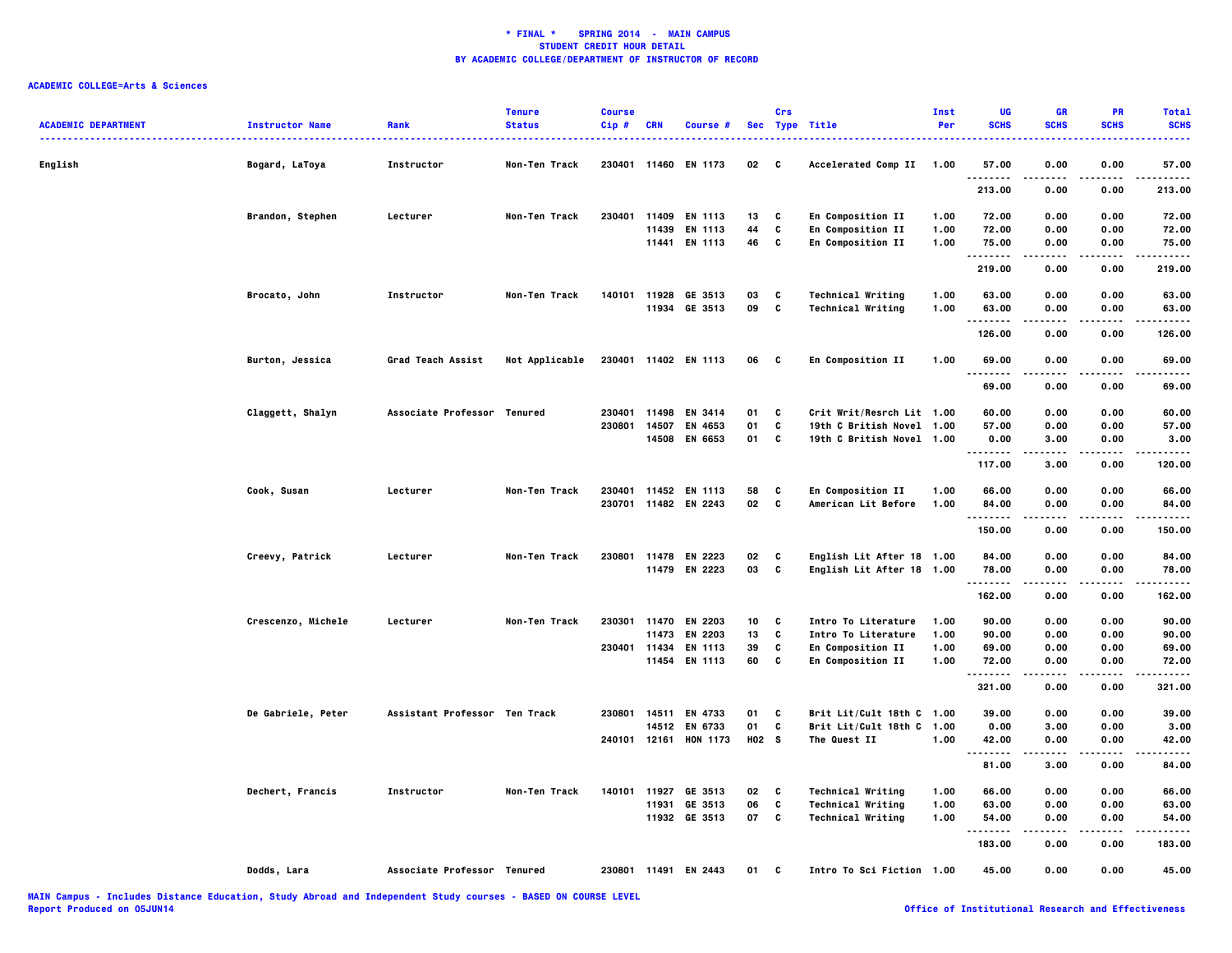| <b>ACADEMIC DEPARTMENT</b> | <b>Instructor Name</b> | Rank                          | <b>Tenure</b><br><b>Status</b> | <b>Course</b><br>Cip# | <b>CRN</b> | Course #              |                   | Crs          | Sec Type Title            | Inst<br>Per | UG<br><b>SCHS</b>     | <b>GR</b><br><b>SCHS</b> | PR<br><b>SCHS</b> | <b>Total</b><br><b>SCHS</b> |
|----------------------------|------------------------|-------------------------------|--------------------------------|-----------------------|------------|-----------------------|-------------------|--------------|---------------------------|-------------|-----------------------|--------------------------|-------------------|-----------------------------|
| English                    | Bogard, LaToya         | Instructor                    | Non-Ten Track                  | 230401                | 11460      | EN 1173               | 02                | C            | Accelerated Comp II       | 1.00        | 57.00                 | 0.00                     | 0.00              | 57.00                       |
|                            |                        |                               |                                |                       |            |                       |                   |              |                           |             | 213.00                | 0.00                     | 0.00              | 213.00                      |
|                            | Brandon, Stephen       | Lecturer                      | Non-Ten Track                  | 230401                | 11409      | EN 1113               | 13                | c            | En Composition II         | 1.00        | 72.00                 | 0.00                     | 0.00              | 72.00                       |
|                            |                        |                               |                                |                       | 11439      | EN 1113               | 44                | c            | <b>En Composition II</b>  | 1.00        | 72.00                 | 0.00                     | 0.00              | 72.00                       |
|                            |                        |                               |                                |                       |            | 11441 EN 1113         | 46                | C            | En Composition II         | 1.00        | 75.00<br>.            | 0.00                     | 0.00              | 75.00                       |
|                            |                        |                               |                                |                       |            |                       |                   |              |                           |             | 219.00                | 0.00                     | 0.00              | 219.00                      |
|                            | Brocato, John          | Instructor                    | Non-Ten Track                  |                       |            | 140101 11928 GE 3513  | 03                | c            | <b>Technical Writing</b>  | 1.00        | 63.00                 | 0.00                     | 0.00              | 63.00                       |
|                            |                        |                               |                                |                       | 11934      | GE 3513               | 09                | C            | <b>Technical Writing</b>  | 1.00        | 63.00<br>.            | 0.00<br>.                | 0.00<br>.         | 63.00<br>.                  |
|                            |                        |                               |                                |                       |            |                       |                   |              |                           |             | 126.00                | 0.00                     | 0.00              | 126.00                      |
|                            | Burton, Jessica        | Grad Teach Assist             | Not Applicable                 |                       |            | 230401 11402 EN 1113  | 06                | $\mathbf{c}$ | En Composition II         | 1.00        | 69.00<br>.            | 0.00<br>.                | 0.00<br>.         | 69.00<br>.                  |
|                            |                        |                               |                                |                       |            |                       |                   |              |                           |             | 69.00                 | 0.00                     | 0.00              | 69.00                       |
|                            | Claggett, Shalyn       | Associate Professor Tenured   |                                | 230401                | 11498      | EN 3414               | 01                | C            | Crit Writ/Resrch Lit 1.00 |             | 60.00                 | 0.00                     | 0.00              | 60.00                       |
|                            |                        |                               |                                | 230801                | 14507      | EN 4653               | 01                | c            | 19th C British Novel 1.00 |             | 57.00                 | 0.00                     | 0.00              | 57.00                       |
|                            |                        |                               |                                |                       | 14508      | <b>EN 6653</b>        | 01                | C            | 19th C British Novel 1.00 |             | 0.00                  | 3.00                     | 0.00              | 3.00                        |
|                            |                        |                               |                                |                       |            |                       |                   |              |                           |             | .<br>117.00           | 3.00                     | 0.00              | 120.00                      |
|                            | Cook, Susan            | Lecturer                      | Non-Ten Track                  | 230401                |            | 11452 EN 1113         | 58                | c            | En Composition II         | 1.00        | 66.00                 | 0.00                     | 0.00              | 66.00                       |
|                            |                        |                               |                                |                       |            | 230701 11482 EN 2243  | 02                | C            | American Lit Before       | 1.00        | 84.00                 | 0.00                     | 0.00              | 84.00                       |
|                            |                        |                               |                                |                       |            |                       |                   |              |                           |             | <br>150.00            | 0.00                     | .<br>0.00         | .<br>150.00                 |
|                            |                        |                               |                                |                       |            |                       |                   |              |                           |             |                       |                          |                   |                             |
|                            | Creevy, Patrick        | Lecturer                      | Non-Ten Track                  | 230801                |            | 11478 EN 2223         | 02                | C            | English Lit After 18 1.00 |             | 84.00                 | 0.00                     | 0.00              | 84.00                       |
|                            |                        |                               |                                |                       |            | 11479 EN 2223         | 03                | C            | English Lit After 18 1.00 |             | 78.00<br>.            | 0.00                     | 0.00              | 78.00                       |
|                            |                        |                               |                                |                       |            |                       |                   |              |                           |             | 162.00                | 0.00                     | 0.00              | 162.00                      |
|                            | Crescenzo, Michele     | Lecturer                      | Non-Ten Track                  | 230301                |            | 11470 EN 2203         | 10                | c            | Intro To Literature       | 1.00        | 90.00                 | 0.00                     | 0.00              | 90.00                       |
|                            |                        |                               |                                |                       | 11473      | EN 2203               | 13                | C            | Intro To Literature       | 1.00        | 90.00                 | 0.00                     | 0.00              | 90.00                       |
|                            |                        |                               |                                | 230401 11434          |            | <b>EN 1113</b>        | 39                | C            | <b>En Composition II</b>  | 1.00        | 69.00                 | 0.00                     | 0.00              | 69.00                       |
|                            |                        |                               |                                |                       | 11454      | EN 1113               | 60                | c            | En Composition II         | 1.00        | 72.00<br>.            | 0.00<br>.                | 0.00<br>.         | 72.00<br>.                  |
|                            |                        |                               |                                |                       |            |                       |                   |              |                           |             | 321.00                | 0.00                     | 0.00              | 321.00                      |
|                            | De Gabriele, Peter     | Assistant Professor Ten Track |                                | 230801                | 14511      | EN 4733               | 01                | C            | Brit Lit/Cult 18th C 1.00 |             | 39.00                 | 0.00                     | 0.00              | 39.00                       |
|                            |                        |                               |                                |                       | 14512      | EN 6733               | 01                | c            | Brit Lit/Cult 18th C 1.00 |             | 0.00                  | 3.00                     | 0.00              | 3.00                        |
|                            |                        |                               |                                |                       |            | 240101 12161 HON 1173 | H <sub>02</sub> S |              | The Quest II              | 1.00        | 42.00<br>.            | 0.00<br>$- - - -$        | 0.00<br>$- - - -$ | 42.00<br>----               |
|                            |                        |                               |                                |                       |            |                       |                   |              |                           |             | 81.00                 | 3.00                     | 0.00              | 84.00                       |
|                            | Dechert, Francis       | Instructor                    | Non-Ten Track                  |                       |            | 140101 11927 GE 3513  | 02                | C            | <b>Technical Writing</b>  | 1.00        | 66.00                 | 0.00                     | 0.00              | 66.00                       |
|                            |                        |                               |                                |                       |            | 11931 GE 3513         | 06                | C            | <b>Technical Writing</b>  | 1.00        | 63.00                 | 0.00                     | 0.00              | 63.00                       |
|                            |                        |                               |                                |                       |            | 11932 GE 3513         | 07                | C            | <b>Technical Writing</b>  | 1.00        | 54.00                 | 0.00                     | 0.00              | 54.00                       |
|                            |                        |                               |                                |                       |            |                       |                   |              |                           |             | $- - - - -$<br>183.00 | 0.00                     | 0.00              | 183.00                      |
|                            | Dodds, Lara            | Associate Professor Tenured   |                                |                       |            | 230801 11491 EN 2443  | 01                | C            | Intro To Sci Fiction 1.00 |             | 45.00                 | 0.00                     | 0.00              | 45.00                       |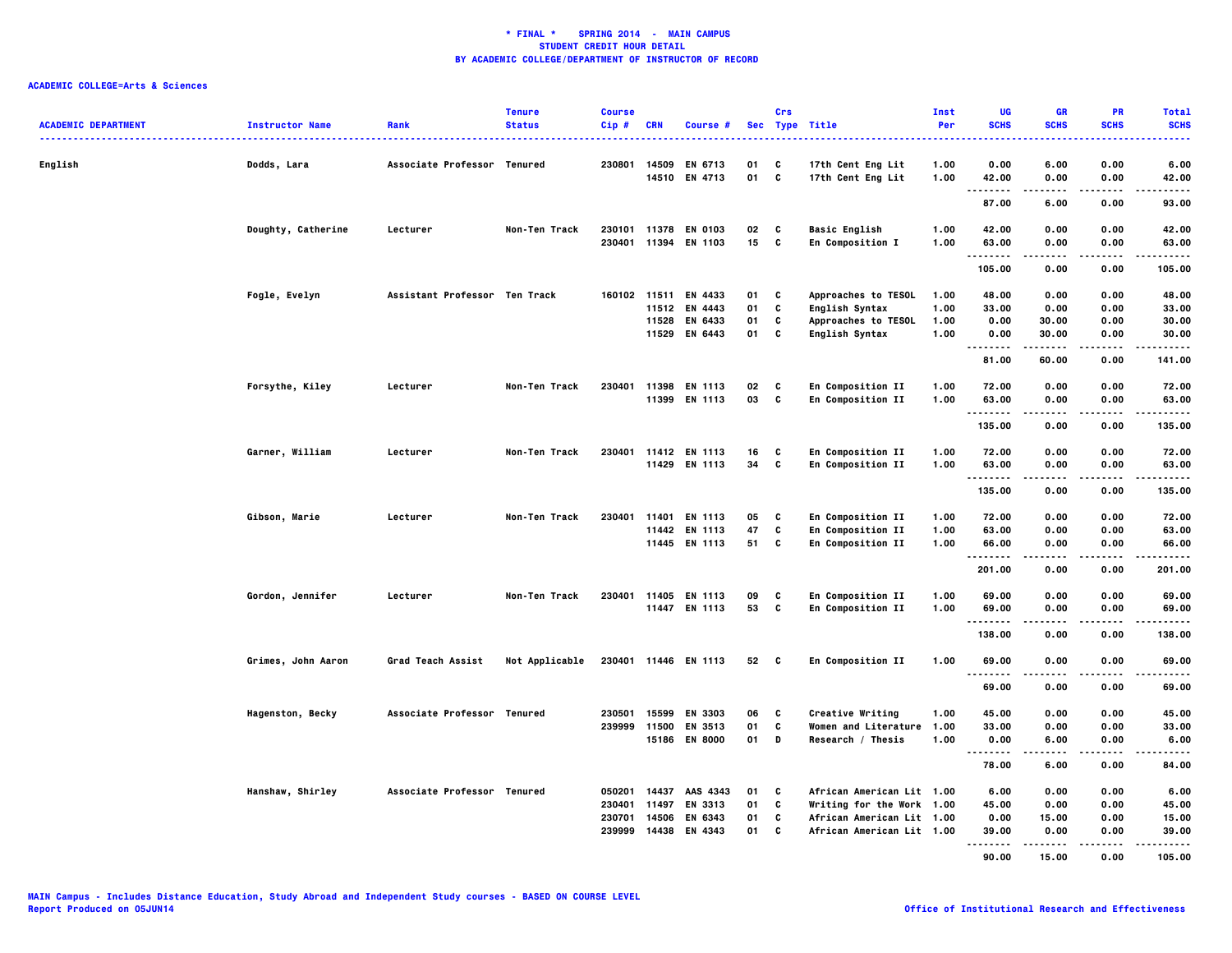| <b>ACADEMIC DEPARTMENT</b><br> | <b>Instructor Name</b>  | Rank                          | <b>Tenure</b><br><b>Status</b> | <b>Course</b><br>$Cip$ # | <b>CRN</b> | Course #                        | <b>Sec</b> | Crs               | <b>Type Title</b>                        | Inst<br>Per  | UG<br><b>SCHS</b>  | <b>GR</b><br><b>SCHS</b> | PR<br><b>SCHS</b> | <b>Total</b><br><b>SCHS</b><br> |
|--------------------------------|-------------------------|-------------------------------|--------------------------------|--------------------------|------------|---------------------------------|------------|-------------------|------------------------------------------|--------------|--------------------|--------------------------|-------------------|---------------------------------|
| English                        | Dodds, Lara             | Associate Professor Tenured   |                                | 230801                   | 14509      | EN 6713<br>14510 EN 4713        | 01<br>01   | C<br>$\mathbf{c}$ | 17th Cent Eng Lit<br>17th Cent Eng Lit   | 1.00<br>1.00 | 0.00<br>42.00      | 6.00<br>0.00             | 0.00<br>0.00      | 6.00<br>42.00                   |
|                                |                         |                               |                                |                          |            |                                 |            |                   |                                          |              | .<br>87.00         | 6.00                     | .<br>0.00         | -----<br>93.00                  |
|                                |                         |                               |                                |                          |            |                                 |            |                   |                                          |              |                    |                          |                   |                                 |
|                                | Doughty, Catherine      | Lecturer                      | Non-Ten Track                  | 230401                   | 11394      | 230101 11378 EN 0103<br>EN 1103 | 02<br>15   | C<br>C            | <b>Basic English</b><br>En Composition I | 1.00<br>1.00 | 42.00<br>63.00     | 0.00<br>0.00             | 0.00<br>0.00      | 42.00<br>63.00                  |
|                                |                         |                               |                                |                          |            |                                 |            |                   |                                          |              | .                  |                          | .                 | .                               |
|                                |                         |                               |                                |                          |            |                                 |            |                   |                                          |              | 105.00             | 0.00                     | 0.00              | 105.00                          |
|                                | Fogle, Evelyn           | Assistant Professor Ten Track |                                |                          |            | 160102 11511 EN 4433            | 01         | C                 | Approaches to TESOL                      | 1.00         | 48.00              | 0.00                     | 0.00              | 48.00                           |
|                                |                         |                               |                                |                          |            | 11512 EN 4443                   | 01         | C                 | <b>English Syntax</b>                    | 1.00         | 33.00              | 0.00                     | 0.00              | 33.00                           |
|                                |                         |                               |                                |                          |            | 11528 EN 6433                   | 01         | C                 | Approaches to TESOL                      | 1.00         | 0.00               | 30.00                    | 0.00              | 30.00                           |
|                                |                         |                               |                                |                          |            | 11529 EN 6443                   | 01         | C                 | <b>English Syntax</b>                    | 1.00         | 0.00<br>.          | 30.00                    | 0.00              | 30.00<br>.                      |
|                                |                         |                               |                                |                          |            |                                 |            |                   |                                          |              | 81.00              | 60.00                    | 0.00              | 141.00                          |
|                                | Forsythe, Kiley         | Lecturer                      | Non-Ten Track                  |                          |            | 230401 11398 EN 1113            | 02         | c                 | En Composition II                        | 1.00         | 72.00              | 0.00                     | 0.00              | 72.00                           |
|                                |                         |                               |                                |                          |            | 11399 EN 1113                   | 03         | c                 | En Composition II                        | 1.00         | 63.00              | 0.00                     | 0.00              | 63.00                           |
|                                |                         |                               |                                |                          |            |                                 |            |                   |                                          |              | <br>135.00         | 0.00                     | $- - - -$<br>0.00 | .<br>135.00                     |
|                                | Garner, William         | Lecturer                      | Non-Ten Track                  |                          |            | 230401 11412 EN 1113            | 16         | C                 | En Composition II                        | 1.00         | 72.00              | 0.00                     | 0.00              | 72.00                           |
|                                |                         |                               |                                |                          |            | 11429 EN 1113                   | 34         | C                 | En Composition II                        | 1.00         | 63.00              | 0.00                     | 0.00              | 63.00                           |
|                                |                         |                               |                                |                          |            |                                 |            |                   |                                          |              | <b>.</b><br>135.00 | $- - - -$<br>0.00        | $- - - -$<br>0.00 | .<br>135.00                     |
|                                |                         |                               |                                |                          |            |                                 |            |                   |                                          |              |                    |                          |                   |                                 |
|                                | Gibson, Marie           | Lecturer                      | Non-Ten Track                  | 230401                   | 11401      | EN 1113                         | 05         | C                 | En Composition II                        | 1.00         | 72.00              | 0.00                     | 0.00              | 72.00                           |
|                                |                         |                               |                                |                          |            | 11442 EN 1113                   | 47         | C                 | En Composition II                        | 1.00         | 63.00              | 0.00                     | 0.00              | 63.00                           |
|                                |                         |                               |                                |                          |            | 11445 EN 1113                   | 51         | C                 | En Composition II                        | 1.00         | 66.00<br>.         | 0.00<br>-----            | 0.00<br>.         | 66.00<br>.                      |
|                                |                         |                               |                                |                          |            |                                 |            |                   |                                          |              | 201.00             | 0.00                     | 0.00              | 201.00                          |
|                                | Gordon, Jennifer        | Lecturer                      | Non-Ten Track                  | 230401                   |            | 11405 EN 1113                   | 09         | C                 | En Composition II                        | 1.00         | 69.00              | 0.00                     | 0.00              | 69.00                           |
|                                |                         |                               |                                |                          |            | 11447 EN 1113                   | 53         | $\mathbf{c}$      | En Composition II                        | 1.00         | 69.00              | 0.00                     | 0.00              | 69.00                           |
|                                |                         |                               |                                |                          |            |                                 |            |                   |                                          |              | .                  |                          |                   | .                               |
|                                |                         |                               |                                |                          |            |                                 |            |                   |                                          |              | 138.00             | 0.00                     | 0.00              | 138.00                          |
|                                | Grimes, John Aaron      | Grad Teach Assist             | Not Applicable                 |                          |            | 230401 11446 EN 1113            | 52         | $\mathbf{c}$      | En Composition II                        | 1.00         | 69.00<br>.         | 0.00                     | 0.00              | 69.00<br>.                      |
|                                |                         |                               |                                |                          |            |                                 |            |                   |                                          |              | 69.00              | 0.00                     | 0.00              | 69.00                           |
|                                | <b>Hagenston, Becky</b> | Associate Professor Tenured   |                                | 230501                   | 15599      | EN 3303                         | 06         | C                 | Creative Writing                         | 1.00         | 45.00              | 0.00                     | 0.00              | 45.00                           |
|                                |                         |                               |                                | 239999                   |            | 11500 EN 3513                   | 01         | C                 | Women and Literature                     | 1.00         | 33.00              | 0.00                     | 0.00              | 33.00                           |
|                                |                         |                               |                                |                          |            | 15186 EN 8000                   | 01         | D                 | Research / Thesis                        | 1.00         | 0.00               | 6.00                     | 0.00              | 6.00                            |
|                                |                         |                               |                                |                          |            |                                 |            |                   |                                          |              | --------<br>78.00  | 6.00                     | 0.00              | -----<br>84.00                  |
|                                | Hanshaw, Shirley        | Associate Professor Tenured   |                                | 050201                   | 14437      | AAS 4343                        | 01         | C                 | African American Lit 1.00                |              | 6.00               | 0.00                     | 0.00              | 6.00                            |
|                                |                         |                               |                                | 230401                   | 11497      | EN 3313                         | 01         | C                 | Writing for the Work 1.00                |              | 45.00              | 0.00                     | 0.00              | 45.00                           |
|                                |                         |                               |                                | 230701                   | 14506      | EN 6343                         | 01         | C                 | African American Lit 1.00                |              | 0.00               | 15.00                    | 0.00              | 15.00                           |
|                                |                         |                               |                                | 239999                   |            | 14438 EN 4343                   | 01         | C                 | African American Lit 1.00                |              | 39.00              | 0.00                     | 0.00              | 39,00                           |
|                                |                         |                               |                                |                          |            |                                 |            |                   |                                          |              | .<br>90.00         | 15.00                    | 0.00              | .<br>105.00                     |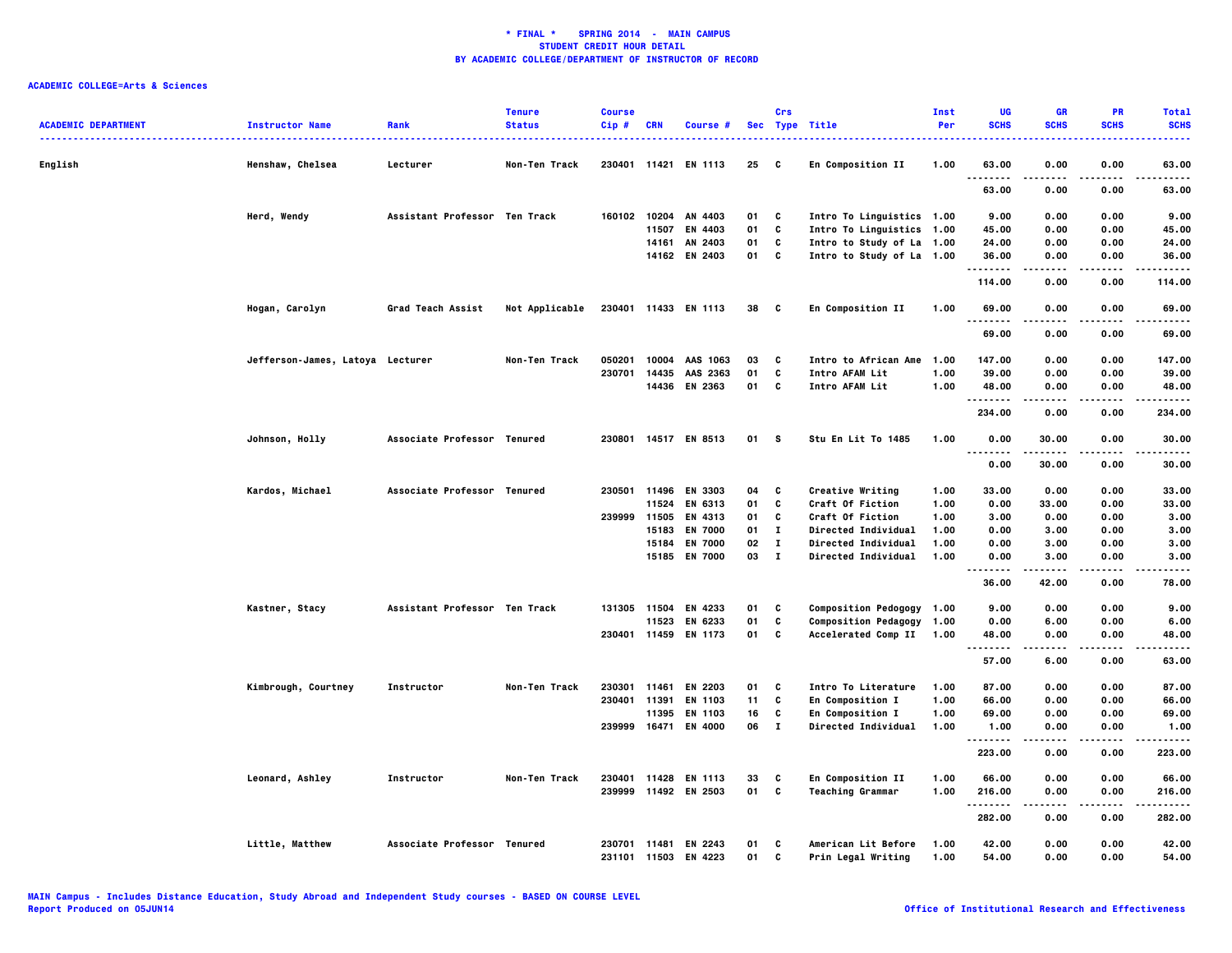| English<br>0.00<br>0.00<br>Henshaw, Chelsea<br>Lecturer<br>Non-Ten Track<br>230401 11421 EN 1113<br>25<br>C<br>En Composition II<br>1.00<br>63.00<br>63.00<br>.<br>63.00<br>0.00<br>0.00<br>63.00<br>Assistant Professor Ten Track<br>160102 10204 AN 4403<br>Intro To Linguistics 1.00<br>9.00<br>Herd, Wendy<br>01<br>C<br>0.00<br>0.00<br>9.00<br>C<br>Intro To Linguistics 1.00<br>11507<br>EN 4403<br>01<br>45.00<br>0.00<br>0.00<br>45.00<br>c<br>0.00<br>14161<br>AN 2403<br>01<br>Intro to Study of La 1.00<br>24.00<br>0.00<br>24.00<br>C<br>14162 EN 2403<br>01<br>Intro to Study of La 1.00<br>36.00<br>0.00<br>0.00<br>36.00<br>. <b>.</b><br>.<br>0.00<br>114.00<br>0.00<br>114.00<br>Hogan, Carolyn<br>Grad Teach Assist<br>Not Applicable<br>230401 11433 EN 1113<br>En Composition II<br>1.00<br>0.00<br>0.00<br>38<br>$\mathbf{c}$<br>69.00<br>69.00<br>.<br>-----<br>69.00<br>0.00<br>0.00<br>69.00<br>147.00<br>147.00<br>Jefferson-James, Latoya Lecturer<br>Non-Ten Track<br>050201<br>10004 AAS 1063<br>03<br>C<br>Intro to African Ame<br>1.00<br>0.00<br>0.00<br>c<br>230701<br>14435<br>01<br>Intro AFAM Lit<br>1.00<br>39.00<br>0.00<br>0.00<br>39.00<br>AAS 2363<br>C<br>14436<br>EN 2363<br>01<br>Intro AFAM Lit<br>1.00<br>48.00<br>0.00<br>0.00<br>48.00<br>.<br>234.00<br>0.00<br>0.00<br>234.00<br>Associate Professor Tenured<br>230801 14517 EN 8513<br>s<br>1.00<br>30.00<br>0.00<br>30.00<br>Johnson, Holly<br>01<br>Stu En Lit To 1485<br>0.00<br>$\sim$ $\sim$ $\sim$<br>.<br>0.00<br>30.00<br>0.00<br>30.00<br>Kardos, Michael<br>Associate Professor Tenured<br>230501<br>11496<br>EN 3303<br>C<br>Creative Writing<br>33.00<br>0.00<br>0.00<br>33.00<br>04<br>1.00<br>c<br>11524<br>EN 6313<br>01<br><b>Craft Of Fiction</b><br>1.00<br>0.00<br>33.00<br>0.00<br>33.00<br>239999 11505<br>EN 4313<br>01<br>C<br><b>Craft Of Fiction</b><br>1.00<br>3.00<br>0.00<br>0.00<br>3.00<br>15183<br><b>EN 7000</b><br>01<br>$\bf{I}$<br>Directed Individual<br>1.00<br>0.00<br>3.00<br>0.00<br>3.00<br>15184<br><b>EN 7000</b><br>02<br>$\mathbf{I}$<br>Directed Individual<br>1.00<br>0.00<br>3.00<br>0.00<br>3.00<br>15185 EN 7000<br>03 I<br>Directed Individual<br>3.00<br>0.00<br>1.00<br>0.00<br>3.00<br>.<br>.<br>.<br>.<br>36.00<br>42.00<br>78.00<br>0.00<br>Kastner, Stacy<br>Assistant Professor Ten Track<br>131305 11504 EN 4233<br>01<br>C<br>Composition Pedogogy 1.00<br>9.00<br>0.00<br>0.00<br>9.00<br>11523<br>EN 6233<br>01<br>C<br>Composition Pedagogy 1.00<br>0.00<br>6.00<br>0.00<br>6.00<br>C<br>230401 11459 EN 1173<br>01<br>Accelerated Comp II 1.00<br>48.00<br>0.00<br>0.00<br>48.00<br>.<br>.<br>.<br>57.00<br>6.00<br>0.00<br>63.00<br>C<br>87.00<br>87.00<br>Kimbrough, Courtney<br>Instructor<br>Non-Ten Track<br>230301<br>11461<br><b>EN 2203</b><br>01<br>Intro To Literature<br>1.00<br>0.00<br>0.00<br>C<br>0.00<br>230401<br>11391<br>EN 1103<br>11<br><b>En Composition I</b><br>1.00<br>66.00<br>0.00<br>66.00<br>11395<br>EN 1103<br>16<br>C<br><b>En Composition I</b><br>1.00<br>69.00<br>0.00<br>0.00<br>69.00<br>239999 16471 EN 4000<br>$\mathbf{I}$<br>06<br>Directed Individual<br>1.00<br>1.00<br>0.00<br>0.00<br>1.00<br>.<br>.<br>.<br>.<br>223.00<br>0.00<br>0.00<br>223.00<br>230401<br>11428<br>EN 1113<br>33<br>C<br>En Composition II<br>1.00<br>66.00<br>0.00<br>0.00<br>66.00<br>Leonard, Ashley<br>Instructor<br>Non-Ten Track<br>C<br>239999 11492 EN 2503<br>01<br><b>Teaching Grammar</b><br>1.00<br>216.00<br>0.00<br>0.00<br>216.00<br>.<br>-----<br>.<br>282.00<br>0.00<br>0.00<br>282.00<br>Little, Matthew<br>Associate Professor Tenured<br>American Lit Before<br>230701 11481 EN 2243<br>01<br>C<br>1.00<br>42.00<br>0.00<br>0.00<br>42.00<br>231101 11503 EN 4223<br>01<br>C<br>Prin Legal Writing<br>1.00<br>54.00<br>0.00<br>0.00<br>54.00 | <b>ACADEMIC DEPARTMENT</b> | <b>Instructor Name</b><br>. | Rank | <b>Tenure</b><br><b>Status</b> | <b>Course</b><br>Cip# | <b>CRN</b> | Course # | Crs | Sec Type Title | Inst<br>Per | UG<br><b>SCHS</b> | <b>GR</b><br><b>SCHS</b> | PR<br><b>SCHS</b> | <b>Total</b><br><b>SCHS</b> |
|--------------------------------------------------------------------------------------------------------------------------------------------------------------------------------------------------------------------------------------------------------------------------------------------------------------------------------------------------------------------------------------------------------------------------------------------------------------------------------------------------------------------------------------------------------------------------------------------------------------------------------------------------------------------------------------------------------------------------------------------------------------------------------------------------------------------------------------------------------------------------------------------------------------------------------------------------------------------------------------------------------------------------------------------------------------------------------------------------------------------------------------------------------------------------------------------------------------------------------------------------------------------------------------------------------------------------------------------------------------------------------------------------------------------------------------------------------------------------------------------------------------------------------------------------------------------------------------------------------------------------------------------------------------------------------------------------------------------------------------------------------------------------------------------------------------------------------------------------------------------------------------------------------------------------------------------------------------------------------------------------------------------------------------------------------------------------------------------------------------------------------------------------------------------------------------------------------------------------------------------------------------------------------------------------------------------------------------------------------------------------------------------------------------------------------------------------------------------------------------------------------------------------------------------------------------------------------------------------------------------------------------------------------------------------------------------------------------------------------------------------------------------------------------------------------------------------------------------------------------------------------------------------------------------------------------------------------------------------------------------------------------------------------------------------------------------------------------------------------------------------------------------------------------------------------------------------------------------------------------------------------------------------------------------------------------------------------------------------------------------------------------------------------------------------------------------------------------------------------------------------------------------------------------------------------------------------------------------------------------------------------------------------------------------------------------------------------------------------------------------------------------------------------------------------------------------------------------------------------|----------------------------|-----------------------------|------|--------------------------------|-----------------------|------------|----------|-----|----------------|-------------|-------------------|--------------------------|-------------------|-----------------------------|
|                                                                                                                                                                                                                                                                                                                                                                                                                                                                                                                                                                                                                                                                                                                                                                                                                                                                                                                                                                                                                                                                                                                                                                                                                                                                                                                                                                                                                                                                                                                                                                                                                                                                                                                                                                                                                                                                                                                                                                                                                                                                                                                                                                                                                                                                                                                                                                                                                                                                                                                                                                                                                                                                                                                                                                                                                                                                                                                                                                                                                                                                                                                                                                                                                                                                                                                                                                                                                                                                                                                                                                                                                                                                                                                                                                                                                                                        |                            |                             |      |                                |                       |            |          |     |                |             |                   |                          |                   |                             |
|                                                                                                                                                                                                                                                                                                                                                                                                                                                                                                                                                                                                                                                                                                                                                                                                                                                                                                                                                                                                                                                                                                                                                                                                                                                                                                                                                                                                                                                                                                                                                                                                                                                                                                                                                                                                                                                                                                                                                                                                                                                                                                                                                                                                                                                                                                                                                                                                                                                                                                                                                                                                                                                                                                                                                                                                                                                                                                                                                                                                                                                                                                                                                                                                                                                                                                                                                                                                                                                                                                                                                                                                                                                                                                                                                                                                                                                        |                            |                             |      |                                |                       |            |          |     |                |             |                   |                          |                   |                             |
|                                                                                                                                                                                                                                                                                                                                                                                                                                                                                                                                                                                                                                                                                                                                                                                                                                                                                                                                                                                                                                                                                                                                                                                                                                                                                                                                                                                                                                                                                                                                                                                                                                                                                                                                                                                                                                                                                                                                                                                                                                                                                                                                                                                                                                                                                                                                                                                                                                                                                                                                                                                                                                                                                                                                                                                                                                                                                                                                                                                                                                                                                                                                                                                                                                                                                                                                                                                                                                                                                                                                                                                                                                                                                                                                                                                                                                                        |                            |                             |      |                                |                       |            |          |     |                |             |                   |                          |                   |                             |
|                                                                                                                                                                                                                                                                                                                                                                                                                                                                                                                                                                                                                                                                                                                                                                                                                                                                                                                                                                                                                                                                                                                                                                                                                                                                                                                                                                                                                                                                                                                                                                                                                                                                                                                                                                                                                                                                                                                                                                                                                                                                                                                                                                                                                                                                                                                                                                                                                                                                                                                                                                                                                                                                                                                                                                                                                                                                                                                                                                                                                                                                                                                                                                                                                                                                                                                                                                                                                                                                                                                                                                                                                                                                                                                                                                                                                                                        |                            |                             |      |                                |                       |            |          |     |                |             |                   |                          |                   |                             |
|                                                                                                                                                                                                                                                                                                                                                                                                                                                                                                                                                                                                                                                                                                                                                                                                                                                                                                                                                                                                                                                                                                                                                                                                                                                                                                                                                                                                                                                                                                                                                                                                                                                                                                                                                                                                                                                                                                                                                                                                                                                                                                                                                                                                                                                                                                                                                                                                                                                                                                                                                                                                                                                                                                                                                                                                                                                                                                                                                                                                                                                                                                                                                                                                                                                                                                                                                                                                                                                                                                                                                                                                                                                                                                                                                                                                                                                        |                            |                             |      |                                |                       |            |          |     |                |             |                   |                          |                   |                             |
|                                                                                                                                                                                                                                                                                                                                                                                                                                                                                                                                                                                                                                                                                                                                                                                                                                                                                                                                                                                                                                                                                                                                                                                                                                                                                                                                                                                                                                                                                                                                                                                                                                                                                                                                                                                                                                                                                                                                                                                                                                                                                                                                                                                                                                                                                                                                                                                                                                                                                                                                                                                                                                                                                                                                                                                                                                                                                                                                                                                                                                                                                                                                                                                                                                                                                                                                                                                                                                                                                                                                                                                                                                                                                                                                                                                                                                                        |                            |                             |      |                                |                       |            |          |     |                |             |                   |                          |                   |                             |
|                                                                                                                                                                                                                                                                                                                                                                                                                                                                                                                                                                                                                                                                                                                                                                                                                                                                                                                                                                                                                                                                                                                                                                                                                                                                                                                                                                                                                                                                                                                                                                                                                                                                                                                                                                                                                                                                                                                                                                                                                                                                                                                                                                                                                                                                                                                                                                                                                                                                                                                                                                                                                                                                                                                                                                                                                                                                                                                                                                                                                                                                                                                                                                                                                                                                                                                                                                                                                                                                                                                                                                                                                                                                                                                                                                                                                                                        |                            |                             |      |                                |                       |            |          |     |                |             |                   |                          |                   |                             |
|                                                                                                                                                                                                                                                                                                                                                                                                                                                                                                                                                                                                                                                                                                                                                                                                                                                                                                                                                                                                                                                                                                                                                                                                                                                                                                                                                                                                                                                                                                                                                                                                                                                                                                                                                                                                                                                                                                                                                                                                                                                                                                                                                                                                                                                                                                                                                                                                                                                                                                                                                                                                                                                                                                                                                                                                                                                                                                                                                                                                                                                                                                                                                                                                                                                                                                                                                                                                                                                                                                                                                                                                                                                                                                                                                                                                                                                        |                            |                             |      |                                |                       |            |          |     |                |             |                   |                          |                   |                             |
|                                                                                                                                                                                                                                                                                                                                                                                                                                                                                                                                                                                                                                                                                                                                                                                                                                                                                                                                                                                                                                                                                                                                                                                                                                                                                                                                                                                                                                                                                                                                                                                                                                                                                                                                                                                                                                                                                                                                                                                                                                                                                                                                                                                                                                                                                                                                                                                                                                                                                                                                                                                                                                                                                                                                                                                                                                                                                                                                                                                                                                                                                                                                                                                                                                                                                                                                                                                                                                                                                                                                                                                                                                                                                                                                                                                                                                                        |                            |                             |      |                                |                       |            |          |     |                |             |                   |                          |                   |                             |
|                                                                                                                                                                                                                                                                                                                                                                                                                                                                                                                                                                                                                                                                                                                                                                                                                                                                                                                                                                                                                                                                                                                                                                                                                                                                                                                                                                                                                                                                                                                                                                                                                                                                                                                                                                                                                                                                                                                                                                                                                                                                                                                                                                                                                                                                                                                                                                                                                                                                                                                                                                                                                                                                                                                                                                                                                                                                                                                                                                                                                                                                                                                                                                                                                                                                                                                                                                                                                                                                                                                                                                                                                                                                                                                                                                                                                                                        |                            |                             |      |                                |                       |            |          |     |                |             |                   |                          |                   |                             |
|                                                                                                                                                                                                                                                                                                                                                                                                                                                                                                                                                                                                                                                                                                                                                                                                                                                                                                                                                                                                                                                                                                                                                                                                                                                                                                                                                                                                                                                                                                                                                                                                                                                                                                                                                                                                                                                                                                                                                                                                                                                                                                                                                                                                                                                                                                                                                                                                                                                                                                                                                                                                                                                                                                                                                                                                                                                                                                                                                                                                                                                                                                                                                                                                                                                                                                                                                                                                                                                                                                                                                                                                                                                                                                                                                                                                                                                        |                            |                             |      |                                |                       |            |          |     |                |             |                   |                          |                   |                             |
|                                                                                                                                                                                                                                                                                                                                                                                                                                                                                                                                                                                                                                                                                                                                                                                                                                                                                                                                                                                                                                                                                                                                                                                                                                                                                                                                                                                                                                                                                                                                                                                                                                                                                                                                                                                                                                                                                                                                                                                                                                                                                                                                                                                                                                                                                                                                                                                                                                                                                                                                                                                                                                                                                                                                                                                                                                                                                                                                                                                                                                                                                                                                                                                                                                                                                                                                                                                                                                                                                                                                                                                                                                                                                                                                                                                                                                                        |                            |                             |      |                                |                       |            |          |     |                |             |                   |                          |                   |                             |
|                                                                                                                                                                                                                                                                                                                                                                                                                                                                                                                                                                                                                                                                                                                                                                                                                                                                                                                                                                                                                                                                                                                                                                                                                                                                                                                                                                                                                                                                                                                                                                                                                                                                                                                                                                                                                                                                                                                                                                                                                                                                                                                                                                                                                                                                                                                                                                                                                                                                                                                                                                                                                                                                                                                                                                                                                                                                                                                                                                                                                                                                                                                                                                                                                                                                                                                                                                                                                                                                                                                                                                                                                                                                                                                                                                                                                                                        |                            |                             |      |                                |                       |            |          |     |                |             |                   |                          |                   |                             |
|                                                                                                                                                                                                                                                                                                                                                                                                                                                                                                                                                                                                                                                                                                                                                                                                                                                                                                                                                                                                                                                                                                                                                                                                                                                                                                                                                                                                                                                                                                                                                                                                                                                                                                                                                                                                                                                                                                                                                                                                                                                                                                                                                                                                                                                                                                                                                                                                                                                                                                                                                                                                                                                                                                                                                                                                                                                                                                                                                                                                                                                                                                                                                                                                                                                                                                                                                                                                                                                                                                                                                                                                                                                                                                                                                                                                                                                        |                            |                             |      |                                |                       |            |          |     |                |             |                   |                          |                   |                             |
|                                                                                                                                                                                                                                                                                                                                                                                                                                                                                                                                                                                                                                                                                                                                                                                                                                                                                                                                                                                                                                                                                                                                                                                                                                                                                                                                                                                                                                                                                                                                                                                                                                                                                                                                                                                                                                                                                                                                                                                                                                                                                                                                                                                                                                                                                                                                                                                                                                                                                                                                                                                                                                                                                                                                                                                                                                                                                                                                                                                                                                                                                                                                                                                                                                                                                                                                                                                                                                                                                                                                                                                                                                                                                                                                                                                                                                                        |                            |                             |      |                                |                       |            |          |     |                |             |                   |                          |                   |                             |
|                                                                                                                                                                                                                                                                                                                                                                                                                                                                                                                                                                                                                                                                                                                                                                                                                                                                                                                                                                                                                                                                                                                                                                                                                                                                                                                                                                                                                                                                                                                                                                                                                                                                                                                                                                                                                                                                                                                                                                                                                                                                                                                                                                                                                                                                                                                                                                                                                                                                                                                                                                                                                                                                                                                                                                                                                                                                                                                                                                                                                                                                                                                                                                                                                                                                                                                                                                                                                                                                                                                                                                                                                                                                                                                                                                                                                                                        |                            |                             |      |                                |                       |            |          |     |                |             |                   |                          |                   |                             |
|                                                                                                                                                                                                                                                                                                                                                                                                                                                                                                                                                                                                                                                                                                                                                                                                                                                                                                                                                                                                                                                                                                                                                                                                                                                                                                                                                                                                                                                                                                                                                                                                                                                                                                                                                                                                                                                                                                                                                                                                                                                                                                                                                                                                                                                                                                                                                                                                                                                                                                                                                                                                                                                                                                                                                                                                                                                                                                                                                                                                                                                                                                                                                                                                                                                                                                                                                                                                                                                                                                                                                                                                                                                                                                                                                                                                                                                        |                            |                             |      |                                |                       |            |          |     |                |             |                   |                          |                   |                             |
|                                                                                                                                                                                                                                                                                                                                                                                                                                                                                                                                                                                                                                                                                                                                                                                                                                                                                                                                                                                                                                                                                                                                                                                                                                                                                                                                                                                                                                                                                                                                                                                                                                                                                                                                                                                                                                                                                                                                                                                                                                                                                                                                                                                                                                                                                                                                                                                                                                                                                                                                                                                                                                                                                                                                                                                                                                                                                                                                                                                                                                                                                                                                                                                                                                                                                                                                                                                                                                                                                                                                                                                                                                                                                                                                                                                                                                                        |                            |                             |      |                                |                       |            |          |     |                |             |                   |                          |                   |                             |
|                                                                                                                                                                                                                                                                                                                                                                                                                                                                                                                                                                                                                                                                                                                                                                                                                                                                                                                                                                                                                                                                                                                                                                                                                                                                                                                                                                                                                                                                                                                                                                                                                                                                                                                                                                                                                                                                                                                                                                                                                                                                                                                                                                                                                                                                                                                                                                                                                                                                                                                                                                                                                                                                                                                                                                                                                                                                                                                                                                                                                                                                                                                                                                                                                                                                                                                                                                                                                                                                                                                                                                                                                                                                                                                                                                                                                                                        |                            |                             |      |                                |                       |            |          |     |                |             |                   |                          |                   |                             |
|                                                                                                                                                                                                                                                                                                                                                                                                                                                                                                                                                                                                                                                                                                                                                                                                                                                                                                                                                                                                                                                                                                                                                                                                                                                                                                                                                                                                                                                                                                                                                                                                                                                                                                                                                                                                                                                                                                                                                                                                                                                                                                                                                                                                                                                                                                                                                                                                                                                                                                                                                                                                                                                                                                                                                                                                                                                                                                                                                                                                                                                                                                                                                                                                                                                                                                                                                                                                                                                                                                                                                                                                                                                                                                                                                                                                                                                        |                            |                             |      |                                |                       |            |          |     |                |             |                   |                          |                   |                             |
|                                                                                                                                                                                                                                                                                                                                                                                                                                                                                                                                                                                                                                                                                                                                                                                                                                                                                                                                                                                                                                                                                                                                                                                                                                                                                                                                                                                                                                                                                                                                                                                                                                                                                                                                                                                                                                                                                                                                                                                                                                                                                                                                                                                                                                                                                                                                                                                                                                                                                                                                                                                                                                                                                                                                                                                                                                                                                                                                                                                                                                                                                                                                                                                                                                                                                                                                                                                                                                                                                                                                                                                                                                                                                                                                                                                                                                                        |                            |                             |      |                                |                       |            |          |     |                |             |                   |                          |                   |                             |
|                                                                                                                                                                                                                                                                                                                                                                                                                                                                                                                                                                                                                                                                                                                                                                                                                                                                                                                                                                                                                                                                                                                                                                                                                                                                                                                                                                                                                                                                                                                                                                                                                                                                                                                                                                                                                                                                                                                                                                                                                                                                                                                                                                                                                                                                                                                                                                                                                                                                                                                                                                                                                                                                                                                                                                                                                                                                                                                                                                                                                                                                                                                                                                                                                                                                                                                                                                                                                                                                                                                                                                                                                                                                                                                                                                                                                                                        |                            |                             |      |                                |                       |            |          |     |                |             |                   |                          |                   |                             |
|                                                                                                                                                                                                                                                                                                                                                                                                                                                                                                                                                                                                                                                                                                                                                                                                                                                                                                                                                                                                                                                                                                                                                                                                                                                                                                                                                                                                                                                                                                                                                                                                                                                                                                                                                                                                                                                                                                                                                                                                                                                                                                                                                                                                                                                                                                                                                                                                                                                                                                                                                                                                                                                                                                                                                                                                                                                                                                                                                                                                                                                                                                                                                                                                                                                                                                                                                                                                                                                                                                                                                                                                                                                                                                                                                                                                                                                        |                            |                             |      |                                |                       |            |          |     |                |             |                   |                          |                   |                             |
|                                                                                                                                                                                                                                                                                                                                                                                                                                                                                                                                                                                                                                                                                                                                                                                                                                                                                                                                                                                                                                                                                                                                                                                                                                                                                                                                                                                                                                                                                                                                                                                                                                                                                                                                                                                                                                                                                                                                                                                                                                                                                                                                                                                                                                                                                                                                                                                                                                                                                                                                                                                                                                                                                                                                                                                                                                                                                                                                                                                                                                                                                                                                                                                                                                                                                                                                                                                                                                                                                                                                                                                                                                                                                                                                                                                                                                                        |                            |                             |      |                                |                       |            |          |     |                |             |                   |                          |                   |                             |
|                                                                                                                                                                                                                                                                                                                                                                                                                                                                                                                                                                                                                                                                                                                                                                                                                                                                                                                                                                                                                                                                                                                                                                                                                                                                                                                                                                                                                                                                                                                                                                                                                                                                                                                                                                                                                                                                                                                                                                                                                                                                                                                                                                                                                                                                                                                                                                                                                                                                                                                                                                                                                                                                                                                                                                                                                                                                                                                                                                                                                                                                                                                                                                                                                                                                                                                                                                                                                                                                                                                                                                                                                                                                                                                                                                                                                                                        |                            |                             |      |                                |                       |            |          |     |                |             |                   |                          |                   |                             |
|                                                                                                                                                                                                                                                                                                                                                                                                                                                                                                                                                                                                                                                                                                                                                                                                                                                                                                                                                                                                                                                                                                                                                                                                                                                                                                                                                                                                                                                                                                                                                                                                                                                                                                                                                                                                                                                                                                                                                                                                                                                                                                                                                                                                                                                                                                                                                                                                                                                                                                                                                                                                                                                                                                                                                                                                                                                                                                                                                                                                                                                                                                                                                                                                                                                                                                                                                                                                                                                                                                                                                                                                                                                                                                                                                                                                                                                        |                            |                             |      |                                |                       |            |          |     |                |             |                   |                          |                   |                             |
|                                                                                                                                                                                                                                                                                                                                                                                                                                                                                                                                                                                                                                                                                                                                                                                                                                                                                                                                                                                                                                                                                                                                                                                                                                                                                                                                                                                                                                                                                                                                                                                                                                                                                                                                                                                                                                                                                                                                                                                                                                                                                                                                                                                                                                                                                                                                                                                                                                                                                                                                                                                                                                                                                                                                                                                                                                                                                                                                                                                                                                                                                                                                                                                                                                                                                                                                                                                                                                                                                                                                                                                                                                                                                                                                                                                                                                                        |                            |                             |      |                                |                       |            |          |     |                |             |                   |                          |                   |                             |
|                                                                                                                                                                                                                                                                                                                                                                                                                                                                                                                                                                                                                                                                                                                                                                                                                                                                                                                                                                                                                                                                                                                                                                                                                                                                                                                                                                                                                                                                                                                                                                                                                                                                                                                                                                                                                                                                                                                                                                                                                                                                                                                                                                                                                                                                                                                                                                                                                                                                                                                                                                                                                                                                                                                                                                                                                                                                                                                                                                                                                                                                                                                                                                                                                                                                                                                                                                                                                                                                                                                                                                                                                                                                                                                                                                                                                                                        |                            |                             |      |                                |                       |            |          |     |                |             |                   |                          |                   |                             |
|                                                                                                                                                                                                                                                                                                                                                                                                                                                                                                                                                                                                                                                                                                                                                                                                                                                                                                                                                                                                                                                                                                                                                                                                                                                                                                                                                                                                                                                                                                                                                                                                                                                                                                                                                                                                                                                                                                                                                                                                                                                                                                                                                                                                                                                                                                                                                                                                                                                                                                                                                                                                                                                                                                                                                                                                                                                                                                                                                                                                                                                                                                                                                                                                                                                                                                                                                                                                                                                                                                                                                                                                                                                                                                                                                                                                                                                        |                            |                             |      |                                |                       |            |          |     |                |             |                   |                          |                   |                             |
|                                                                                                                                                                                                                                                                                                                                                                                                                                                                                                                                                                                                                                                                                                                                                                                                                                                                                                                                                                                                                                                                                                                                                                                                                                                                                                                                                                                                                                                                                                                                                                                                                                                                                                                                                                                                                                                                                                                                                                                                                                                                                                                                                                                                                                                                                                                                                                                                                                                                                                                                                                                                                                                                                                                                                                                                                                                                                                                                                                                                                                                                                                                                                                                                                                                                                                                                                                                                                                                                                                                                                                                                                                                                                                                                                                                                                                                        |                            |                             |      |                                |                       |            |          |     |                |             |                   |                          |                   |                             |
|                                                                                                                                                                                                                                                                                                                                                                                                                                                                                                                                                                                                                                                                                                                                                                                                                                                                                                                                                                                                                                                                                                                                                                                                                                                                                                                                                                                                                                                                                                                                                                                                                                                                                                                                                                                                                                                                                                                                                                                                                                                                                                                                                                                                                                                                                                                                                                                                                                                                                                                                                                                                                                                                                                                                                                                                                                                                                                                                                                                                                                                                                                                                                                                                                                                                                                                                                                                                                                                                                                                                                                                                                                                                                                                                                                                                                                                        |                            |                             |      |                                |                       |            |          |     |                |             |                   |                          |                   |                             |
|                                                                                                                                                                                                                                                                                                                                                                                                                                                                                                                                                                                                                                                                                                                                                                                                                                                                                                                                                                                                                                                                                                                                                                                                                                                                                                                                                                                                                                                                                                                                                                                                                                                                                                                                                                                                                                                                                                                                                                                                                                                                                                                                                                                                                                                                                                                                                                                                                                                                                                                                                                                                                                                                                                                                                                                                                                                                                                                                                                                                                                                                                                                                                                                                                                                                                                                                                                                                                                                                                                                                                                                                                                                                                                                                                                                                                                                        |                            |                             |      |                                |                       |            |          |     |                |             |                   |                          |                   |                             |
|                                                                                                                                                                                                                                                                                                                                                                                                                                                                                                                                                                                                                                                                                                                                                                                                                                                                                                                                                                                                                                                                                                                                                                                                                                                                                                                                                                                                                                                                                                                                                                                                                                                                                                                                                                                                                                                                                                                                                                                                                                                                                                                                                                                                                                                                                                                                                                                                                                                                                                                                                                                                                                                                                                                                                                                                                                                                                                                                                                                                                                                                                                                                                                                                                                                                                                                                                                                                                                                                                                                                                                                                                                                                                                                                                                                                                                                        |                            |                             |      |                                |                       |            |          |     |                |             |                   |                          |                   |                             |
|                                                                                                                                                                                                                                                                                                                                                                                                                                                                                                                                                                                                                                                                                                                                                                                                                                                                                                                                                                                                                                                                                                                                                                                                                                                                                                                                                                                                                                                                                                                                                                                                                                                                                                                                                                                                                                                                                                                                                                                                                                                                                                                                                                                                                                                                                                                                                                                                                                                                                                                                                                                                                                                                                                                                                                                                                                                                                                                                                                                                                                                                                                                                                                                                                                                                                                                                                                                                                                                                                                                                                                                                                                                                                                                                                                                                                                                        |                            |                             |      |                                |                       |            |          |     |                |             |                   |                          |                   |                             |
|                                                                                                                                                                                                                                                                                                                                                                                                                                                                                                                                                                                                                                                                                                                                                                                                                                                                                                                                                                                                                                                                                                                                                                                                                                                                                                                                                                                                                                                                                                                                                                                                                                                                                                                                                                                                                                                                                                                                                                                                                                                                                                                                                                                                                                                                                                                                                                                                                                                                                                                                                                                                                                                                                                                                                                                                                                                                                                                                                                                                                                                                                                                                                                                                                                                                                                                                                                                                                                                                                                                                                                                                                                                                                                                                                                                                                                                        |                            |                             |      |                                |                       |            |          |     |                |             |                   |                          |                   |                             |
|                                                                                                                                                                                                                                                                                                                                                                                                                                                                                                                                                                                                                                                                                                                                                                                                                                                                                                                                                                                                                                                                                                                                                                                                                                                                                                                                                                                                                                                                                                                                                                                                                                                                                                                                                                                                                                                                                                                                                                                                                                                                                                                                                                                                                                                                                                                                                                                                                                                                                                                                                                                                                                                                                                                                                                                                                                                                                                                                                                                                                                                                                                                                                                                                                                                                                                                                                                                                                                                                                                                                                                                                                                                                                                                                                                                                                                                        |                            |                             |      |                                |                       |            |          |     |                |             |                   |                          |                   |                             |
|                                                                                                                                                                                                                                                                                                                                                                                                                                                                                                                                                                                                                                                                                                                                                                                                                                                                                                                                                                                                                                                                                                                                                                                                                                                                                                                                                                                                                                                                                                                                                                                                                                                                                                                                                                                                                                                                                                                                                                                                                                                                                                                                                                                                                                                                                                                                                                                                                                                                                                                                                                                                                                                                                                                                                                                                                                                                                                                                                                                                                                                                                                                                                                                                                                                                                                                                                                                                                                                                                                                                                                                                                                                                                                                                                                                                                                                        |                            |                             |      |                                |                       |            |          |     |                |             |                   |                          |                   |                             |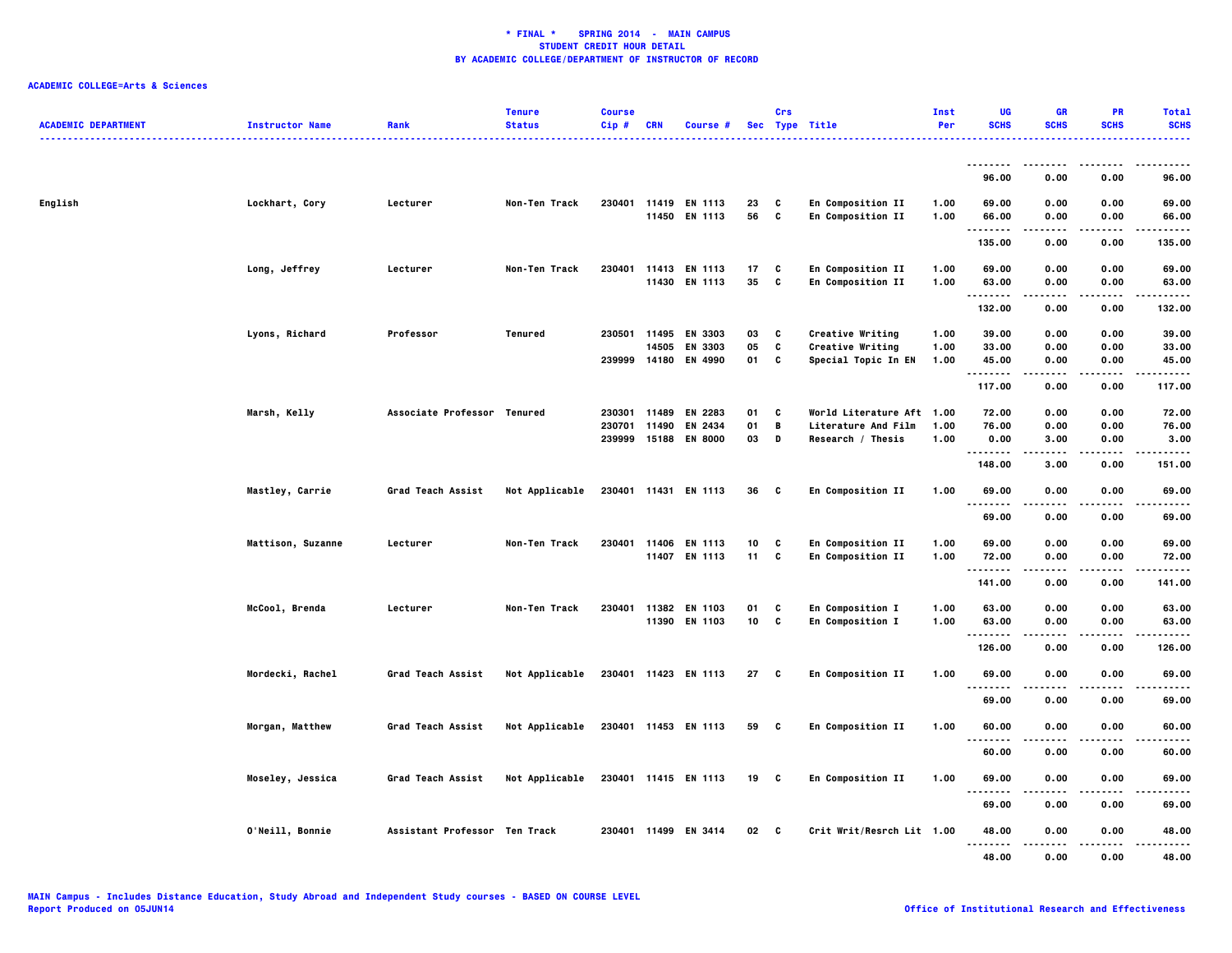| <b>ACADEMIC DEPARTMENT</b> | <b>Instructor Name</b> | Rank                          | <b>Tenure</b><br><b>Status</b> | <b>Course</b><br>Cip#      | <b>CRN</b>     | Course #                                          |                | Crs           | Sec Type Title                                                        | Inst<br>Per          | UG<br><b>SCHS</b>            | GR<br><b>SCHS</b>             | <b>PR</b><br><b>SCHS</b>  | <b>Total</b><br><b>SCHS</b>  |
|----------------------------|------------------------|-------------------------------|--------------------------------|----------------------------|----------------|---------------------------------------------------|----------------|---------------|-----------------------------------------------------------------------|----------------------|------------------------------|-------------------------------|---------------------------|------------------------------|
|                            |                        |                               |                                |                            |                |                                                   |                |               |                                                                       |                      |                              |                               |                           |                              |
|                            |                        |                               |                                |                            |                |                                                   |                |               |                                                                       |                      | 96.00                        | 0.00                          | 0.00                      | 96.00                        |
| English                    | Lockhart, Cory         | Lecturer                      | Non-Ten Track                  | 230401                     |                | 11419 EN 1113<br>11450 EN 1113                    | 23<br>56       | C<br>C        | En Composition II<br>En Composition II                                | 1.00<br>1.00         | 69.00<br>66.00<br>.          | 0.00<br>0.00                  | 0.00<br>0.00              | 69.00<br>66.00<br>.          |
|                            |                        |                               |                                |                            |                |                                                   |                |               |                                                                       |                      | 135.00                       | 0.00                          | 0.00                      | 135.00                       |
|                            | Long, Jeffrey          | Lecturer                      | Non-Ten Track                  | 230401                     |                | 11413 EN 1113<br>11430 EN 1113                    | 17<br>35       | C<br>C        | En Composition II<br>En Composition II                                | 1.00<br>1.00         | 69.00<br>63.00               | 0.00<br>0.00                  | 0.00<br>0.00              | 69.00<br>63.00               |
|                            |                        |                               |                                |                            |                |                                                   |                |               |                                                                       |                      | --------<br>132.00           | 0.00                          | .<br>0.00                 | .<br>132.00                  |
|                            | Lyons, Richard         | Professor                     | Tenured                        | 230501                     | 11495<br>14505 | <b>EN 3303</b><br>EN 3303<br>239999 14180 EN 4990 | 03<br>05<br>01 | C<br>C<br>C   | Creative Writing<br>Creative Writing<br>Special Topic In EN           | 1.00<br>1.00<br>1.00 | 39.00<br>33.00<br>45.00<br>. | 0.00<br>0.00<br>0.00<br>----- | 0.00<br>0.00<br>0.00<br>. | 39.00<br>33.00<br>45.00<br>. |
|                            |                        |                               |                                |                            |                |                                                   |                |               |                                                                       |                      | 117.00                       | 0.00                          | 0.00                      | 117.00                       |
|                            | Marsh, Kelly           | Associate Professor Tenured   |                                | 230301<br>230701<br>239999 | 11489<br>11490 | EN 2283<br>EN 2434<br>15188 EN 8000               | 01<br>01<br>03 | C<br>В<br>D   | World Literature Aft 1.00<br>Literature And Film<br>Research / Thesis | 1.00<br>1.00         | 72.00<br>76.00<br>0.00       | 0.00<br>0.00<br>3.00          | 0.00<br>0.00<br>0.00      | 72.00<br>76.00<br>3.00       |
|                            |                        |                               |                                |                            |                |                                                   |                |               |                                                                       |                      | .<br>148.00                  | 3.00                          | 0.00                      | $- - - -$<br>151.00          |
|                            | Mastley, Carrie        | Grad Teach Assist             | Not Applicable                 |                            |                | 230401 11431 EN 1113                              | 36             | <b>C</b>      | En Composition II                                                     | 1.00                 | 69.00                        | 0.00                          | 0.00                      | 69.00                        |
|                            |                        |                               |                                |                            |                |                                                   |                |               |                                                                       |                      | .<br>69.00                   | 0.00                          | 0.00                      | 69.00                        |
|                            | Mattison, Suzanne      | Lecturer                      | Non-Ten Track                  |                            |                | 230401 11406 EN 1113<br>11407 EN 1113             | 10<br>11       | C<br><b>C</b> | En Composition II<br>En Composition II                                | 1.00<br>1.00         | 69.00<br>72.00               | 0.00<br>0.00                  | 0.00<br>0.00              | 69.00<br>72.00               |
|                            |                        |                               |                                |                            |                |                                                   |                |               |                                                                       |                      | <br>141.00                   | 0.00                          | .<br>0.00                 | .<br>141.00                  |
|                            | McCool, Brenda         | Lecturer                      | Non-Ten Track                  | 230401                     |                | 11382 EN 1103<br>11390 EN 1103                    | 01<br>10       | C<br>C        | En Composition I<br>En Composition I                                  | 1.00<br>1.00         | 63.00<br>63.00               | 0.00<br>0.00                  | 0.00<br>0.00              | 63.00<br>63.00               |
|                            |                        |                               |                                |                            |                |                                                   |                |               |                                                                       |                      | .<br>126.00                  | 0.00                          | 0.00                      | .<br>126.00                  |
|                            | Mordecki, Rachel       | Grad Teach Assist             | Not Applicable                 |                            |                | 230401 11423 EN 1113                              | 27             | C             | En Composition II                                                     | 1.00                 | 69.00<br><u>.</u>            | 0.00                          | 0.00                      | 69.00<br>.                   |
|                            |                        |                               |                                |                            |                |                                                   |                |               |                                                                       |                      | 69.00                        | 0.00                          | 0.00                      | 69.00                        |
|                            | Morgan, Matthew        | Grad Teach Assist             | Not Applicable                 |                            |                | 230401 11453 EN 1113                              | 59 C           |               | En Composition II                                                     | 1.00                 | 60.00<br><u>.</u>            | 0.00                          | 0.00                      | 60.00<br>$- - - -$           |
|                            |                        |                               |                                |                            |                |                                                   |                |               |                                                                       |                      | 60.00                        | 0.00                          | 0.00                      | 60.00                        |
|                            | Moseley, Jessica       | Grad Teach Assist             | Not Applicable                 |                            |                | 230401 11415 EN 1113                              | 19 C           |               | En Composition II                                                     | 1.00                 | 69.00<br>$\ddotsc$           | 0.00                          | 0.00                      | 69.00                        |
|                            |                        |                               |                                |                            |                |                                                   |                |               |                                                                       |                      | 69.00                        | 0.00                          | 0.00                      | 69.00                        |
|                            | O'Neill, Bonnie        | Assistant Professor Ten Track |                                |                            |                | 230401 11499 EN 3414                              | 02 C           |               | Crit Writ/Resrch Lit 1.00                                             |                      | 48.00<br>.                   | 0.00                          | 0.00                      | 48.00<br>.                   |
|                            |                        |                               |                                |                            |                |                                                   |                |               |                                                                       |                      | 48.00                        | 0.00                          | 0.00                      | 48.00                        |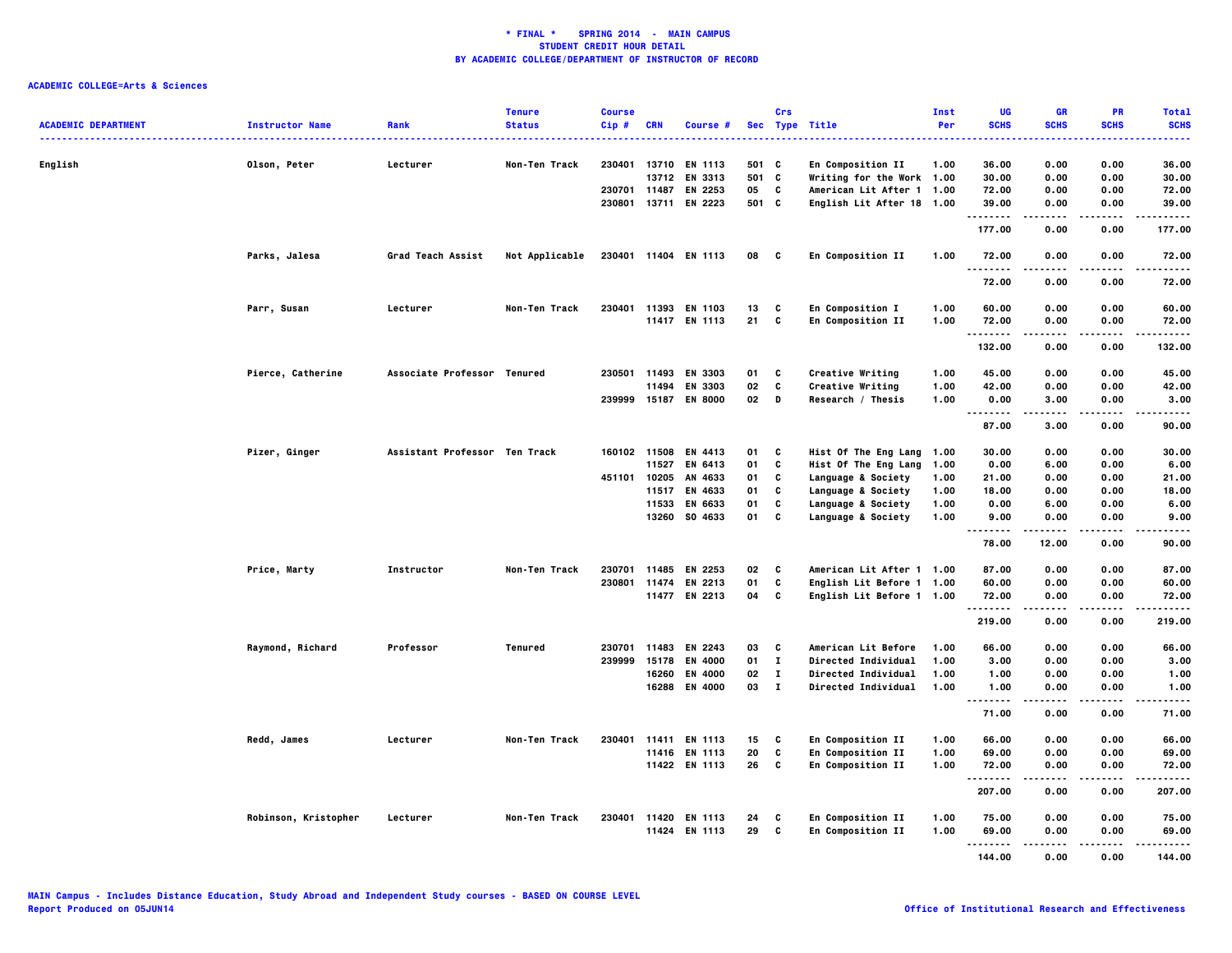| <b>ACADEMIC DEPARTMENT</b> | <b>Instructor Name</b> | Rank                          | <b>Tenure</b><br><b>Status</b> | <b>Course</b><br>Cip# | <b>CRN</b>   | Course #             |        | Crs          | Sec Type Title                   | Inst<br>Per | UG<br><b>SCHS</b>    | GR<br><b>SCHS</b> | <b>PR</b><br><b>SCHS</b> | <b>Total</b><br><b>SCHS</b> |
|----------------------------|------------------------|-------------------------------|--------------------------------|-----------------------|--------------|----------------------|--------|--------------|----------------------------------|-------------|----------------------|-------------------|--------------------------|-----------------------------|
|                            |                        |                               |                                |                       |              |                      |        |              |                                  |             |                      |                   |                          |                             |
| English                    | Olson, Peter           | Lecturer                      | Non-Ten Track                  | 230401                | 13710        | <b>EN 1113</b>       | 501 C  |              | <b>En Composition II</b>         | 1.00        | 36.00                | 0.00              | 0.00                     | 36.00                       |
|                            |                        |                               |                                |                       | 13712        | EN 3313              | 501 C  |              | <b>Writing for the Work 1.00</b> |             | 30.00                | 0.00              | 0.00                     | 30.00                       |
|                            |                        |                               |                                |                       | 230701 11487 | EN 2253              | 05     | C            | American Lit After 1 1.00        |             | 72.00                | 0.00              | 0.00                     | 72.00                       |
|                            |                        |                               |                                | 230801                |              | 13711 EN 2223        | 501 C  |              | English Lit After 18 1.00        |             | 39.00<br>.           | 0.00<br>.         | 0.00<br>----             | 39.00<br>.                  |
|                            |                        |                               |                                |                       |              |                      |        |              |                                  |             | 177.00               | 0.00              | 0.00                     | 177.00                      |
|                            | Parks, Jalesa          | Grad Teach Assist             | Not Applicable                 |                       |              | 230401 11404 EN 1113 | 08     | $\mathbf{c}$ | En Composition II                | 1.00        | 72.00<br>--------    | 0.00              | 0.00                     | 72.00                       |
|                            |                        |                               |                                |                       |              |                      |        |              |                                  |             | 72.00                | 0.00              | 0.00                     | 72.00                       |
|                            | Parr, Susan            | Lecturer                      | Non-Ten Track                  | 230401                |              | 11393 EN 1103        | 13     | C            | <b>En Composition I</b>          | 1.00        | 60.00                | 0.00              | 0.00                     | 60.00                       |
|                            |                        |                               |                                |                       |              | 11417 EN 1113        | 21     | C            | <b>En Composition II</b>         | 1.00        | 72.00                | 0.00              | 0.00                     | 72.00                       |
|                            |                        |                               |                                |                       |              |                      |        |              |                                  |             | .<br>132.00          | -----<br>0.00     | .<br>0.00                | .<br>132.00                 |
|                            | Pierce, Catherine      | Associate Professor Tenured   |                                | 230501                | 11493        | <b>EN 3303</b>       | 01     | c            | Creative Writing                 | 1.00        | 45.00                | 0.00              | 0.00                     | 45.00                       |
|                            |                        |                               |                                |                       | 11494        | EN 3303              | 02     | C            | Creative Writing                 | 1.00        | 42.00                | 0.00              | 0.00                     | 42.00                       |
|                            |                        |                               |                                |                       |              | 239999 15187 EN 8000 | $02$ D |              | Research / Thesis                | 1.00        | 0.00                 | 3.00              | 0.00                     | 3.00                        |
|                            |                        |                               |                                |                       |              |                      |        |              |                                  |             | .                    | .                 | .                        | .                           |
|                            |                        |                               |                                |                       |              |                      |        |              |                                  |             | 87.00                | 3.00              | 0.00                     | 90.00                       |
|                            | Pizer, Ginger          | Assistant Professor Ten Track |                                |                       | 160102 11508 | EN 4413              | 01     | C            | Hist Of The Eng Lang             | 1.00        | 30.00                | 0.00              | 0.00                     | 30.00                       |
|                            |                        |                               |                                |                       |              | 11527 EN 6413        | 01     | C            | Hist Of The Eng Lang             | 1.00        | 0.00                 | 6.00              | 0.00                     | 6.00                        |
|                            |                        |                               |                                |                       | 451101 10205 | AN 4633              | 01     | c            | Language & Society               | 1.00        | 21.00                | 0.00              | 0.00                     | 21.00                       |
|                            |                        |                               |                                |                       | 11517        | EN 4633              | 01     | C            | Language & Society               | 1.00        | 18.00                | 0.00              | 0.00                     | 18.00                       |
|                            |                        |                               |                                |                       |              | 11533 EN 6633        | 01     | C            | Language & Society               | 1.00        | 0.00                 | 6.00              | 0.00                     | 6.00                        |
|                            |                        |                               |                                |                       | 13260        | SO 4633              | 01     | C            | Language & Society               | 1.00        | 9.00<br>.            | 0.00              | 0.00<br>.                | 9.00                        |
|                            |                        |                               |                                |                       |              |                      |        |              |                                  |             | 78.00                | 12.00             | 0.00                     | 90.00                       |
|                            | Price, Marty           | Instructor                    | Non-Ten Track                  |                       |              | 230701 11485 EN 2253 | 02     | C            | American Lit After 1 1.00        |             | 87.00                | 0.00              | 0.00                     | 87.00                       |
|                            |                        |                               |                                |                       |              | 230801 11474 EN 2213 | 01     | C            | English Lit Before 1 1.00        |             | 60.00                | 0.00              | 0.00                     | 60.00                       |
|                            |                        |                               |                                |                       |              | 11477 EN 2213        | 04     | C            | English Lit Before 1 1.00        |             | 72.00                | 0.00<br>.         | 0.00<br>.                | 72.00                       |
|                            |                        |                               |                                |                       |              |                      |        |              |                                  |             | . <b>.</b><br>219.00 | 0.00              | 0.00                     | .<br>219.00                 |
|                            | Raymond, Richard       | Professor                     | Tenured                        | 230701                | 11483        | EN 2243              | 03     | C            | American Lit Before              | 1.00        | 66.00                | 0.00              | 0.00                     | 66.00                       |
|                            |                        |                               |                                | 239999                | 15178        | <b>EN 4000</b>       | 01     | $\mathbf{I}$ | <b>Directed Individual</b>       | 1.00        | 3.00                 | 0.00              | 0.00                     | 3.00                        |
|                            |                        |                               |                                |                       | 16260        | EN 4000              | 02     | $\mathbf{I}$ | <b>Directed Individual</b>       | 1.00        | 1.00                 | 0.00              | 0.00                     | 1.00                        |
|                            |                        |                               |                                |                       |              | 16288 EN 4000        | 03     | $\mathbf{I}$ | <b>Directed Individual</b>       | 1.00        | 1.00<br>             | 0.00<br>.         | 0.00<br>.                | 1.00<br>-----               |
|                            |                        |                               |                                |                       |              |                      |        |              |                                  |             | 71.00                | 0.00              | 0.00                     | 71.00                       |
|                            | Redd, James            | Lecturer                      | Non-Ten Track                  | 230401                | 11411        | <b>EN 1113</b>       | 15     | C            | En Composition II                | 1.00        | 66.00                | 0.00              | 0.00                     | 66.00                       |
|                            |                        |                               |                                |                       |              | 11416 EN 1113        | 20     | C            | En Composition II                | 1.00        | 69.00                | 0.00              | 0.00                     | 69.00                       |
|                            |                        |                               |                                |                       |              | 11422 EN 1113        | 26     | C            | <b>En Composition II</b>         | 1.00        | 72.00                | 0.00              | 0.00                     | 72.00                       |
|                            |                        |                               |                                |                       |              |                      |        |              |                                  |             | .<br>207.00          | 0.00              | .<br>0.00                | .<br>207.00                 |
|                            | Robinson, Kristopher   | Lecturer                      | Non-Ten Track                  |                       |              | 230401 11420 EN 1113 | 24     | C            | En Composition II                | 1.00        | 75.00                | 0.00              | 0.00                     | 75.00                       |
|                            |                        |                               |                                |                       |              | 11424 EN 1113        | 29     | C            | En Composition II                | 1.00        | 69.00                | 0.00              | 0.00                     | 69.00                       |
|                            |                        |                               |                                |                       |              |                      |        |              |                                  |             | .                    |                   |                          |                             |
|                            |                        |                               |                                |                       |              |                      |        |              |                                  |             | 144.00               | 0.00              | 0.00                     | 144.00                      |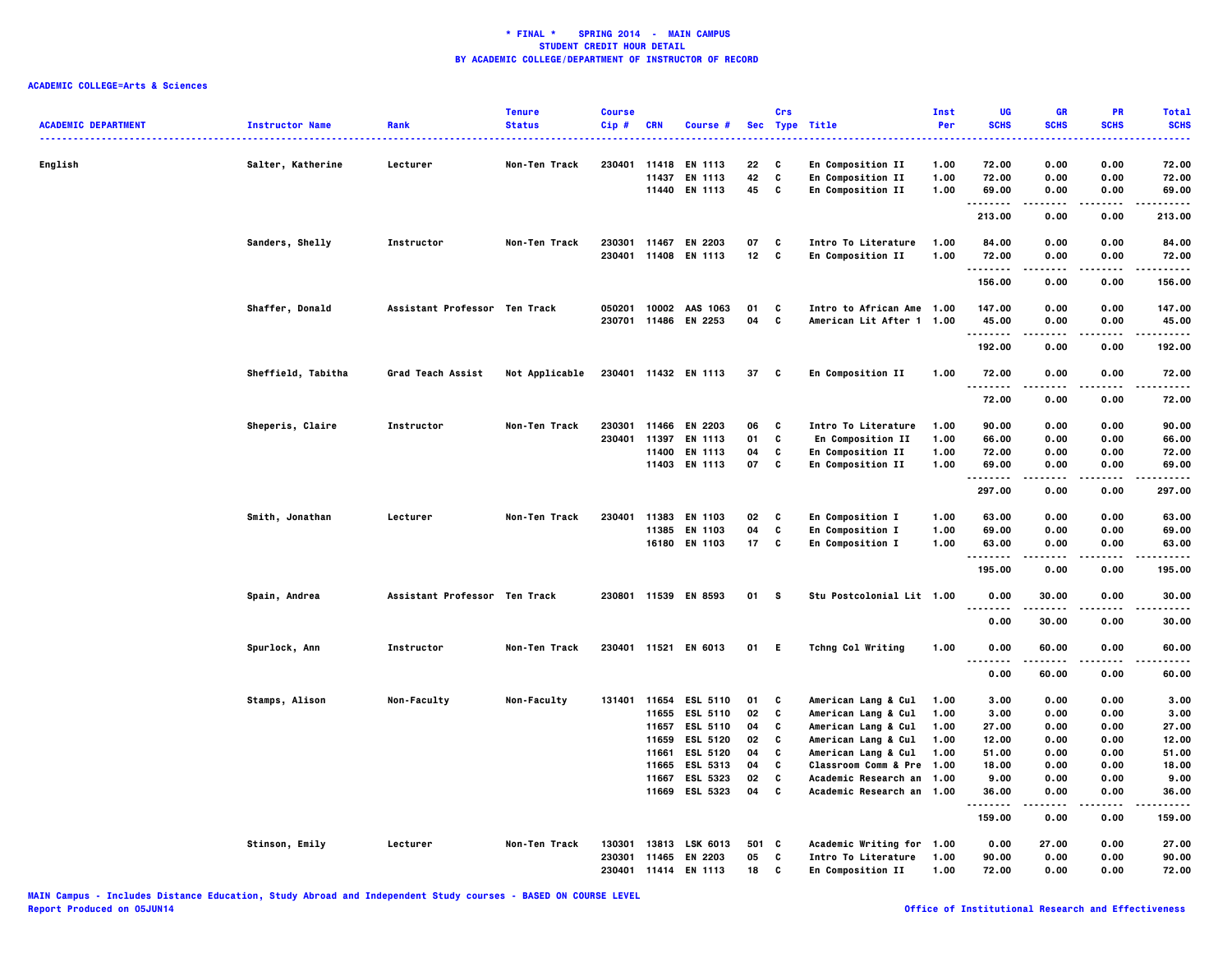| <b>ACADEMIC DEPARTMENT</b> | <b>Instructor Name</b> | Rank                          | <b>Tenure</b><br><b>Status</b> | <b>Course</b><br>$Cip$ #   | <b>CRN</b>                                         | Course #                                                                                                                                    | <b>Sec</b>                                   | Crs                                  | <b>Type Title</b>                                                                                                                                                                                       | Inst<br>Per                                          | UG<br><b>SCHS</b>                                                                | <b>GR</b><br><b>SCHS</b>                                             | PR<br><b>SCHS</b>                                                            | <b>Total</b><br><b>SCHS</b><br>-----                                                 |
|----------------------------|------------------------|-------------------------------|--------------------------------|----------------------------|----------------------------------------------------|---------------------------------------------------------------------------------------------------------------------------------------------|----------------------------------------------|--------------------------------------|---------------------------------------------------------------------------------------------------------------------------------------------------------------------------------------------------------|------------------------------------------------------|----------------------------------------------------------------------------------|----------------------------------------------------------------------|------------------------------------------------------------------------------|--------------------------------------------------------------------------------------|
| English                    | Salter, Katherine      | Lecturer                      | Non-Ten Track                  | 230401 11418               | 11437                                              | EN 1113<br>EN 1113<br>11440 EN 1113                                                                                                         | 22<br>42<br>45                               | C<br>C<br>C                          | En Composition II<br>En Composition II<br>En Composition II                                                                                                                                             | 1.00<br>1.00<br>1.00                                 | 72.00<br>72.00<br>69.00                                                          | 0.00<br>0.00<br>0.00                                                 | 0.00<br>0.00<br>0.00                                                         | 72.00<br>72.00<br>69.00                                                              |
|                            |                        |                               |                                |                            |                                                    |                                                                                                                                             |                                              |                                      |                                                                                                                                                                                                         |                                                      | .<br>213.00                                                                      | - - - - -<br>0.00                                                    | $- - - -$<br>0.00                                                            | .<br>213.00                                                                          |
|                            | Sanders, Shelly        | Instructor                    | Non-Ten Track                  | 230301<br>230401           |                                                    | 11467 EN 2203<br>11408 EN 1113                                                                                                              | 07<br>12                                     | C<br>C                               | Intro To Literature<br>En Composition II                                                                                                                                                                | 1.00<br>1.00                                         | 84.00<br>72.00<br>.                                                              | 0.00<br>0.00<br>-----                                                | 0.00<br>0.00<br>.                                                            | 84.00<br>72.00<br>.                                                                  |
|                            |                        |                               |                                |                            |                                                    |                                                                                                                                             |                                              |                                      |                                                                                                                                                                                                         |                                                      | 156.00                                                                           | 0.00                                                                 | 0.00                                                                         | 156.00                                                                               |
|                            | Shaffer, Donald        | Assistant Professor Ten Track |                                | 050201<br>230701           |                                                    | 10002 AAS 1063<br>11486 EN 2253                                                                                                             | 01<br>04                                     | C<br>C                               | Intro to African Ame 1.00<br>American Lit After 1 1.00                                                                                                                                                  |                                                      | 147.00<br>45.00<br>.                                                             | 0.00<br>0.00                                                         | 0.00<br>0.00                                                                 | 147.00<br>45.00<br>-----                                                             |
|                            |                        |                               |                                |                            |                                                    |                                                                                                                                             |                                              |                                      |                                                                                                                                                                                                         |                                                      | 192.00                                                                           | 0.00                                                                 | 0.00                                                                         | 192.00                                                                               |
|                            | Sheffield, Tabitha     | Grad Teach Assist             | Not Applicable                 |                            |                                                    | 230401 11432 EN 1113                                                                                                                        | 37                                           | - C                                  | En Composition II                                                                                                                                                                                       | 1.00                                                 | 72.00                                                                            | 0.00                                                                 | 0.00                                                                         | 72.00                                                                                |
|                            |                        |                               |                                |                            |                                                    |                                                                                                                                             |                                              |                                      |                                                                                                                                                                                                         |                                                      | 72.00                                                                            | 0.00                                                                 | 0.00                                                                         | 72.00                                                                                |
|                            | Sheperis, Claire       | Instructor                    | Non-Ten Track                  | 230301<br>230401           | 11397                                              | 11466 EN 2203<br>EN 1113<br>11400 EN 1113<br>11403 EN 1113                                                                                  | 06<br>01<br>04<br>07                         | C<br>C<br>C<br>C                     | Intro To Literature<br>En Composition II<br>En Composition II<br>En Composition II                                                                                                                      | 1.00<br>1.00<br>1.00<br>1.00                         | 90.00<br>66.00<br>72.00<br>69.00<br>.<br>297.00                                  | 0.00<br>0.00<br>0.00<br>0.00<br>-----<br>0.00                        | 0.00<br>0.00<br>0.00<br>0.00<br>.<br>0.00                                    | 90.00<br>66.00<br>72.00<br>69.00<br>.<br>297.00                                      |
|                            | Smith, Jonathan        | Lecturer                      | Non-Ten Track                  | 230401                     | 11383<br>11385                                     | EN 1103<br>EN 1103<br>16180 EN 1103                                                                                                         | 02<br>04<br>17                               | C<br>C<br>C                          | En Composition I<br>En Composition I<br>En Composition I                                                                                                                                                | 1.00<br>1.00<br>1.00                                 | 63.00<br>69.00<br>63.00<br>.                                                     | 0.00<br>0.00<br>0.00                                                 | 0.00<br>0.00<br>0.00<br>.                                                    | 63.00<br>69.00<br>63.00<br>$- - - -$                                                 |
|                            |                        |                               |                                |                            |                                                    |                                                                                                                                             |                                              |                                      |                                                                                                                                                                                                         |                                                      | 195.00                                                                           | 0.00                                                                 | 0.00                                                                         | 195.00                                                                               |
|                            | Spain, Andrea          | Assistant Professor Ten Track |                                |                            |                                                    | 230801 11539 EN 8593                                                                                                                        | 01                                           | <b>S</b>                             | Stu Postcolonial Lit 1.00                                                                                                                                                                               |                                                      | 0.00                                                                             | 30.00                                                                | 0.00                                                                         | 30.00                                                                                |
|                            | Spurlock, Ann          | Instructor                    | Non-Ten Track                  |                            |                                                    | 230401 11521 EN 6013                                                                                                                        | 01                                           | -E                                   | <b>Tchng Col Writing</b>                                                                                                                                                                                | 1.00                                                 | 0.00<br>0.00                                                                     | 30.00<br>60.00                                                       | 0.00<br>0.00                                                                 | 30.00<br>60.00                                                                       |
|                            |                        |                               |                                |                            |                                                    |                                                                                                                                             |                                              |                                      |                                                                                                                                                                                                         |                                                      | .<br>0.00                                                                        | 60.00                                                                | 0.00                                                                         | $- - - -$<br>60.00                                                                   |
|                            | Stamps, Alison         | Non-Faculty                   | Non-Faculty                    |                            | 11655<br>11657<br>11659<br>11661<br>11665<br>11667 | 131401 11654 ESL 5110<br><b>ESL 5110</b><br><b>ESL 5110</b><br><b>ESL 5120</b><br><b>ESL 5120</b><br>ESL 5313<br>ESL 5323<br>11669 ESL 5323 | 01<br>02<br>04<br>02<br>04<br>04<br>02<br>04 | C<br>C<br>C<br>C<br>C<br>c<br>C<br>C | American Lang & Cul<br>American Lang & Cul<br>American Lang & Cul<br>American Lang & Cul<br>American Lang & Cul<br><b>Classroom Comm &amp; Pre</b><br>Academic Research an<br>Academic Research an 1.00 | 1.00<br>1.00<br>1.00<br>1.00<br>1.00<br>1.00<br>1.00 | 3.00<br>3.00<br>27.00<br>12.00<br>51.00<br>18.00<br>9.00<br>36.00<br>.<br>159.00 | 0.00<br>0.00<br>0.00<br>0.00<br>0.00<br>0.00<br>0.00<br>0.00<br>0.00 | 0.00<br>0.00<br>0.00<br>0.00<br>0.00<br>0.00<br>0.00<br>0.00<br>----<br>0.00 | 3,00<br>3.00<br>27.00<br>12.00<br>51.00<br>18.00<br>9.00<br>36.00<br>-----<br>159.00 |
|                            | Stinson, Emily         | Lecturer                      | Non-Ten Track                  | 130301<br>230301<br>230401 | 13813<br>11465<br>11414                            | LSK 6013<br>EN 2203<br>EN 1113                                                                                                              | 501 C<br>05<br>18                            | C<br>C                               | Academic Writing for<br>Intro To Literature<br>En Composition II                                                                                                                                        | 1.00<br>1.00<br>1.00                                 | 0.00<br>90.00<br>72.00                                                           | 27.00<br>0.00<br>0.00                                                | 0.00<br>0.00<br>0.00                                                         | 27.00<br>90.00<br>72.00                                                              |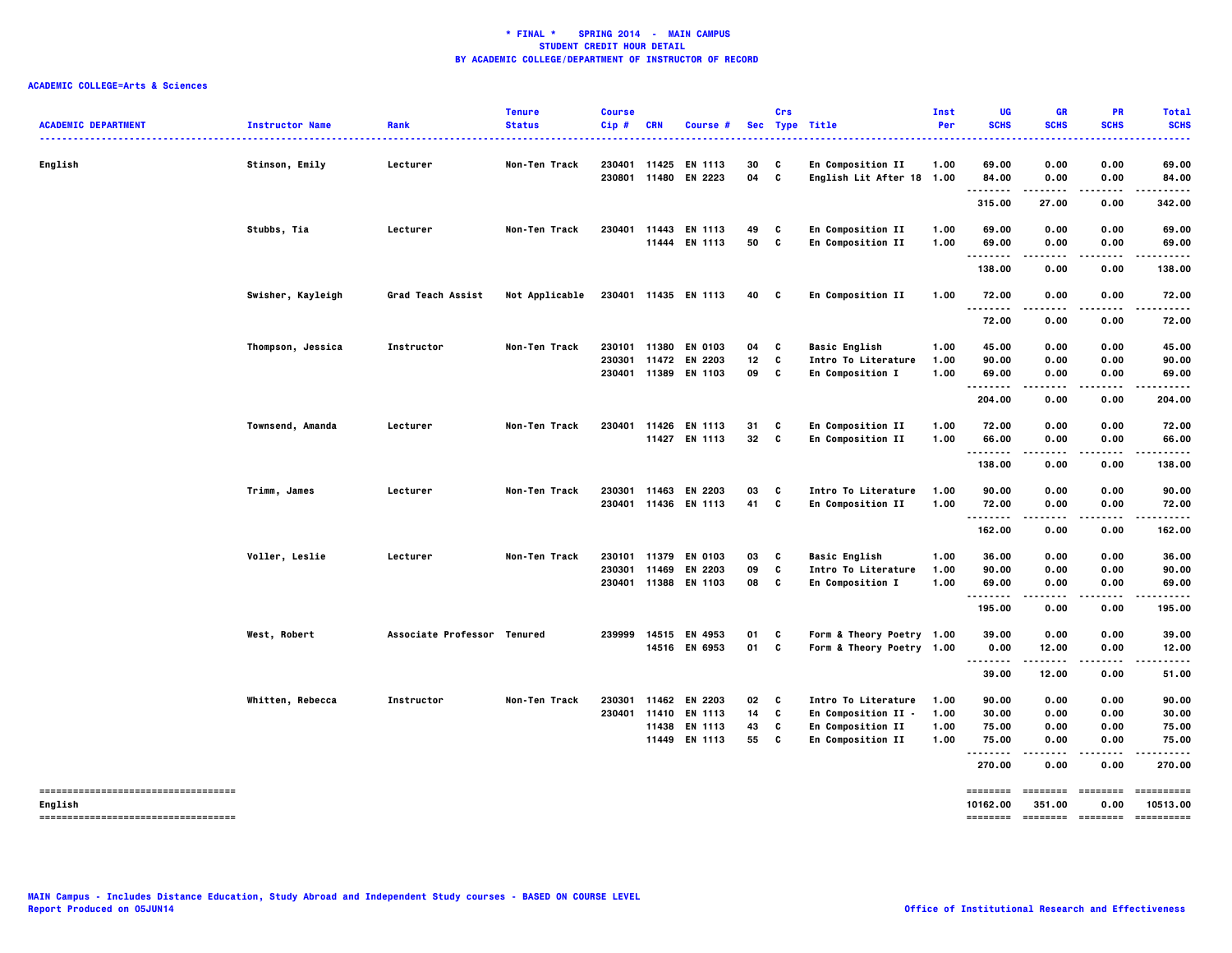| <b>ACADEMIC DEPARTMENT</b>                       | <b>Instructor Name</b> | Rank                        | <b>Tenure</b><br><b>Status</b> | <b>Course</b><br>Cip# | <b>CRN</b>                     | Course #                                                       |                | Crs         | Sec Type Title                                                  | Inst<br>Per          | <b>UG</b><br><b>SCHS</b> | GR<br><b>SCHS</b>    | <b>PR</b><br><b>SCHS</b>         | <b>Total</b><br><b>SCHS</b> |
|--------------------------------------------------|------------------------|-----------------------------|--------------------------------|-----------------------|--------------------------------|----------------------------------------------------------------|----------------|-------------|-----------------------------------------------------------------|----------------------|--------------------------|----------------------|----------------------------------|-----------------------------|
| English                                          | Stinson, Emily         | Lecturer                    | Non-Ten Track                  |                       | 230401 11425<br>230801 11480   | EN 1113<br>EN 2223                                             | 30<br>04       | C<br>c      | En Composition II<br>English Lit After 18 1.00                  | 1.00                 | 69.00<br>84.00           | 0.00<br>0.00         | 0.00<br>0.00                     | 69.00<br>84.00              |
|                                                  |                        |                             |                                |                       |                                |                                                                |                |             |                                                                 |                      | .<br>315.00              | .<br>27.00           | .<br>0.00                        | 342.00                      |
|                                                  | Stubbs, Tia            | Lecturer                    | Non-Ten Track                  |                       |                                | 230401 11443 EN 1113<br>11444 EN 1113                          | 49<br>50       | C<br>C      | En Composition II<br>En Composition II                          | 1.00<br>1.00         | 69.00<br>69.00<br>.      | 0.00<br>0.00<br>.    | 0.00<br>0.00<br>.                | 69.00<br>69.00<br>.         |
|                                                  |                        |                             |                                |                       |                                |                                                                |                |             |                                                                 |                      | 138.00                   | 0.00                 | 0.00                             | 138.00                      |
|                                                  | Swisher, Kayleigh      | <b>Grad Teach Assist</b>    | Not Applicable                 |                       |                                | 230401 11435 EN 1113                                           | 40             | C           | En Composition II                                               | 1.00                 | 72.00<br>$- - -$         | 0.00                 | 0.00                             | 72.00                       |
|                                                  |                        |                             |                                |                       |                                |                                                                |                |             |                                                                 |                      | 72.00                    | 0.00                 | 0.00                             | 72.00                       |
|                                                  | Thompson, Jessica      | Instructor                  | Non-Ten Track                  |                       | 230101 11380                   | <b>EN 0103</b><br>230301 11472 EN 2203<br>230401 11389 EN 1103 | 04<br>12<br>09 | C<br>C<br>C | <b>Basic English</b><br>Intro To Literature<br>En Composition I | 1.00<br>1.00<br>1.00 | 45.00<br>90.00<br>69.00  | 0.00<br>0.00<br>0.00 | 0.00<br>0.00<br>0.00             | 45.00<br>90.00<br>69.00     |
|                                                  |                        |                             |                                |                       |                                |                                                                |                |             |                                                                 |                      | .<br>204.00              | 0.00                 | 0.00                             | 204.00                      |
|                                                  | Townsend, Amanda       | Lecturer                    | Non-Ten Track                  |                       |                                | 230401 11426 EN 1113<br>11427 EN 1113                          | 31<br>32       | C<br>C      | En Composition II<br>En Composition II                          | 1.00<br>1.00         | 72.00<br>66.00           | 0.00<br>0.00         | 0.00<br>0.00                     | 72.00<br>66.00              |
|                                                  |                        |                             |                                |                       |                                |                                                                |                |             |                                                                 |                      | .<br>138.00              | .<br>0.00            | .<br>0.00                        | .<br>138.00                 |
|                                                  | Trimm, James           | Lecturer                    | Non-Ten Track                  |                       | 230301 11463                   | EN 2203<br>230401 11436 EN 1113                                | 03<br>41       | C<br>C      | Intro To Literature<br>En Composition II                        | 1.00<br>1.00         | 90.00<br>72.00           | 0.00<br>0.00         | 0.00<br>0.00                     | 90.00<br>72.00              |
|                                                  |                        |                             |                                |                       |                                |                                                                |                |             |                                                                 |                      | .<br>162.00              | $\cdots$<br>0.00     | .<br>0.00                        | .<br>162.00                 |
|                                                  | Voller, Leslie         | Lecturer                    | Non-Ten Track                  |                       | 230101 11379<br>230301 11469   | EN 0103<br>EN 2203<br>230401 11388 EN 1103                     | 03<br>09<br>08 | C<br>C<br>C | <b>Basic English</b><br>Intro To Literature<br>En Composition I | 1.00<br>1.00<br>1.00 | 36.00<br>90.00<br>69.00  | 0.00<br>0.00<br>0.00 | 0.00<br>0.00<br>0.00             | 36.00<br>90.00<br>69.00     |
|                                                  |                        |                             |                                |                       |                                |                                                                |                |             |                                                                 |                      | .<br>195.00              | .<br>0.00            | .<br>0.00                        | .<br>195.00                 |
|                                                  | West, Robert           | Associate Professor Tenured |                                |                       |                                | 239999 14515 EN 4953<br>14516 EN 6953                          | 01<br>01       | C<br>C      | Form & Theory Poetry 1.00<br>Form & Theory Poetry 1.00          |                      | 39.00<br>0.00            | 0.00<br>12.00        | 0.00<br>0.00                     | 39.00<br>12.00              |
|                                                  |                        |                             |                                |                       |                                |                                                                |                |             |                                                                 |                      | 39.00                    | 12.00                | 0.00                             | 51.00                       |
|                                                  | Whitten, Rebecca       | Instructor                  | Non-Ten Track                  | 230301                | 11462<br>230401 11410<br>11438 | EN 2203<br>EN 1113<br>EN 1113                                  | 02<br>14<br>43 | C<br>C<br>c | Intro To Literature<br>En Composition II -<br>En Composition II | 1.00<br>1.00<br>1.00 | 90.00<br>30.00<br>75.00  | 0.00<br>0.00<br>0.00 | 0.00<br>0.00<br>0.00             | 90.00<br>30.00<br>75.00     |
|                                                  |                        |                             |                                |                       | 11449                          | EN 1113                                                        | 55             | c           | En Composition II                                               | 1.00                 | 75.00<br>.<br>270.00     | 0.00<br>----<br>0.00 | 0.00<br>.<br>0.00                | 75.00<br>.<br>270.00        |
| ----------------------------------               |                        |                             |                                |                       |                                |                                                                |                |             |                                                                 |                      | ========                 |                      | ======== =======                 | ==========                  |
| English<br>------------------------------------- |                        |                             |                                |                       |                                |                                                                |                |             |                                                                 |                      | 10162.00                 | 351.00               | 0.00<br>-------- ------- ------- | 10513.00<br>-----------     |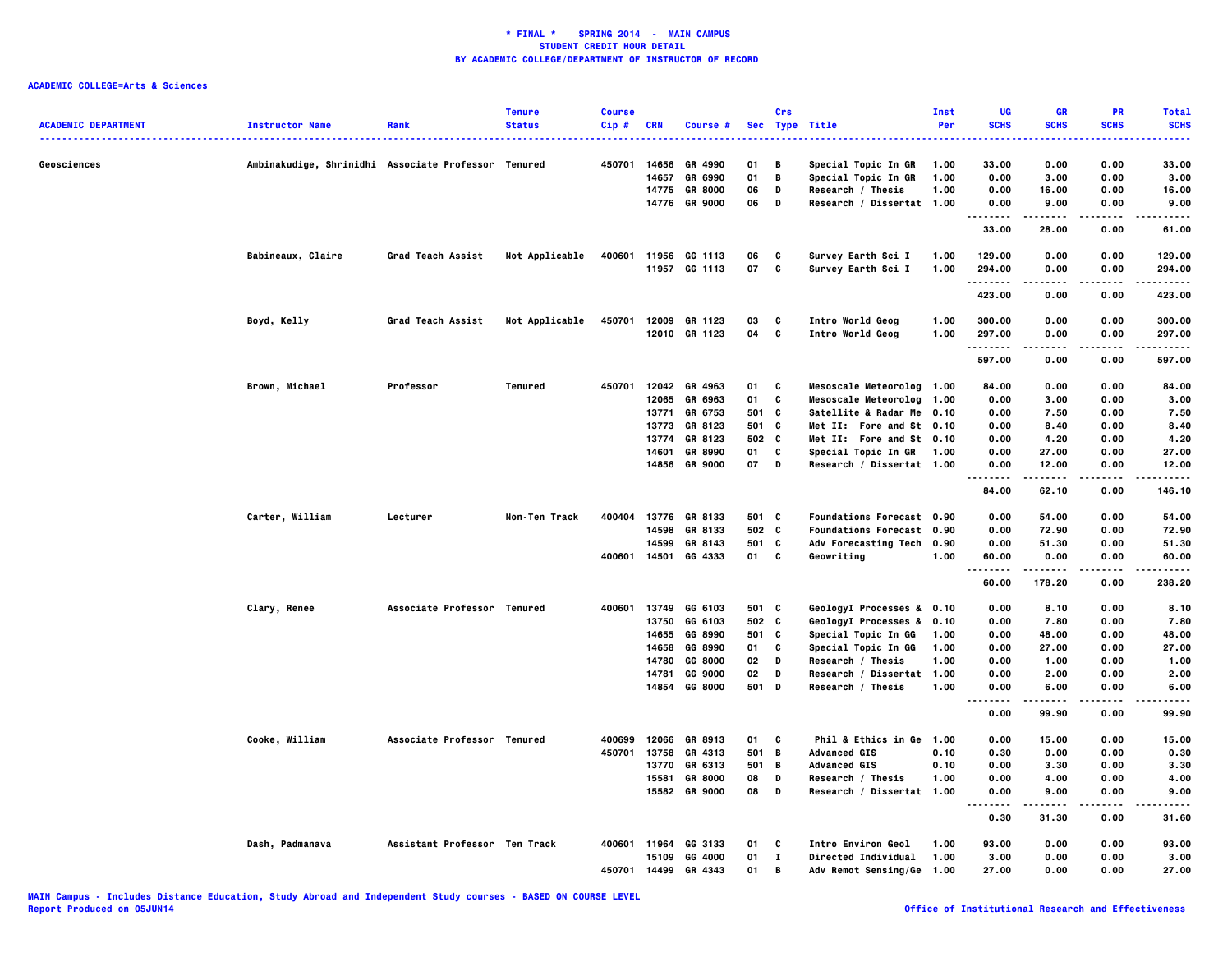| Ambinakudige, Shrinidhi Associate Professor Tenured<br>450701<br>14656<br>GR 4990<br>01<br>Special Topic In GR<br>33.00<br>0.00<br>0.00<br>33.00<br>Geosciences<br>B<br>1.00<br>01<br>B<br>0.00<br>14657<br>GR 6990<br>Special Topic In GR<br>1.00<br>0.00<br>3.00<br>3.00<br>06<br>14775<br><b>GR 8000</b><br>D<br>Research / Thesis<br>1.00<br>0.00<br>16.00<br>0.00<br>16.00<br>14776 GR 9000<br>06<br>D<br>Research / Dissertat 1.00<br>0.00<br>9.00<br>0.00<br>9.00<br><br>.<br>.<br>33.00<br>28.00<br>0.00<br>61.00<br>Babineaux, Claire<br>Grad Teach Assist<br>400601<br>Survey Earth Sci I<br>0.00<br>0.00<br>Not Applicable<br>11956 GG 1113<br>06<br>C<br>1.00<br>129.00<br>129.00<br>11957 GG 1113<br>07<br>c<br>Survey Earth Sci I<br>1.00<br>294.00<br>0.00<br>294.00<br>0.00<br>.<br>.<br>423.00<br>0.00<br>0.00<br>423.00<br>Grad Teach Assist<br>450701<br>12009 GR 1123<br>03<br>Intro World Geog<br>1.00<br>300.00<br>300.00<br>Boyd, Kelly<br>Not Applicable<br>C<br>0.00<br>0.00<br>12010 GR 1123<br>04<br>c<br>297.00<br>Intro World Geog<br>1.00<br>297.00<br>0.00<br>0.00<br>.<br>$- - - -$<br>.<br>.<br>597.00<br>0.00<br>0.00<br>597.00<br>Brown, Michael<br>Professor<br>450701 12042 GR 4963<br>Mesoscale Meteorolog 1.00<br>84.00<br>Tenured<br>01<br>C<br>84.00<br>0.00<br>0.00<br>C<br>12065<br>GR 6963<br>01<br>Mesoscale Meteorolog<br>1.00<br>0.00<br>3.00<br>0.00<br>3.00<br>13771<br>GR 6753<br>501<br>C<br>Satellite & Radar Me 0.10<br>0.00<br>7.50<br>0.00<br>7.50<br>13773<br>GR 8123<br>501 C<br>Met II: Fore and St 0.10<br>0.00<br>8.40<br>0.00<br>8.40<br>13774<br>GR 8123<br>502 C<br>Met II: Fore and St 0.10<br>0.00<br>0.00<br>4.20<br>4.20<br>01<br>C<br>Special Topic In GR<br>0.00<br>27.00<br>0.00<br>14601<br>GR 8990<br>1.00<br>27.00<br>14856 GR 9000<br>07<br>D<br>Research / Dissertat 1.00<br>0.00<br>12.00<br>0.00<br>12.00<br>.<br>.<br>.<br>.<br>84.00<br>62.10<br>0.00<br>146.10<br>Carter, William<br>400404<br>13776 GR 8133<br>501 C<br><b>Foundations Forecast 0.90</b><br>0.00<br>54.00<br>Lecturer<br>Non-Ten Track<br>54.00<br>0.00<br>14598<br>GR 8133<br>502 C<br><b>Foundations Forecast 0.90</b><br>0.00<br>72.90<br>0.00<br>72.90<br>501<br>c<br>0.00<br>0.00<br>14599<br>GR 8143<br>Adv Forecasting Tech 0.90<br>51.30<br>51.30<br>14501<br>GG 4333<br>01<br>C<br>Geowriting<br>60.00<br>400601<br>1.00<br>60.00<br>0.00<br>0.00<br>.<br>-----<br>$- - - -$<br>.<br>178.20<br>238.20<br>60.00<br>0.00<br>Clary, Renee<br>Associate Professor Tenured<br>400601<br>13749<br>GG 6103<br>501 C<br>GeologyI Processes & 0.10<br>0.00<br>8.10<br>0.00<br>8.10<br>502 C<br>13750<br>GG 6103<br>GeologyI Processes & 0.10<br>0.00<br>7.80<br>0.00<br>7.80<br>14655 GG 8990<br>501 C<br>Special Topic In GG<br>0.00<br>0.00<br>48.00<br>1.00<br>48.00<br>GG 8990<br>C<br>Special Topic In GG<br>0.00<br>27.00<br>27.00<br>14658<br>01<br>1.00<br>0.00<br>14780<br>GG 8000<br>02<br>D<br>Research / Thesis<br>1.00<br>0.00<br>1.00<br>0.00<br>1.00<br>14781<br>GG 9000<br>02<br>D<br>Research / Dissertat 1.00<br>0.00<br>2.00<br>0.00<br>2.00<br>14854 GG 8000<br>501 D<br>Research / Thesis<br>1.00<br>0.00<br>6.00<br>0.00<br>6.00<br><br>.<br>.<br>.<br>$- - - -$<br>99.90<br>0.00<br>99.90<br>0.00<br>Cooke, William<br>Associate Professor Tenured<br>12066 GR 8913<br>01 C<br>Phil & Ethics in Ge 1.00<br>0.00<br>0.00<br>15.00<br>400699<br>15.00<br>450701<br>13758<br>GR 4313<br>501<br>B<br><b>Advanced GIS</b><br>0.10<br>0.30<br>0.00<br>0.00<br>0.30<br>13770<br>GR 6313<br>501<br>- в<br><b>Advanced GIS</b><br>0.10<br>0.00<br>0.00<br>3.30<br>3.30<br><b>GR 8000</b><br>1.00<br>0.00<br>4.00<br>0.00<br>15581<br>08<br>D<br>Research / Thesis<br>4.00<br>15582 GR 9000<br>08<br>D<br>Research / Dissertat 1.00<br>0.00<br>9.00<br>0.00<br>9.00<br>-----<br>.<br>.<br>.<br>0.30<br>31.30<br>0.00<br>31.60<br>Dash, Padmanava<br>Assistant Professor Ten Track<br>11964<br>GG 3133<br><b>Intro Environ Geol</b><br>1.00<br>93.00<br>0.00<br>0.00<br>93.00<br>400601<br>01<br>C<br>15109<br>GG 4000<br>01<br>п<br>Directed Individual<br>1.00<br>3.00<br>0.00<br>0.00<br>3.00<br>450701 14499<br>27.00<br>0.00<br>0.00<br>GR 4343<br>01<br>B<br>Adv Remot Sensing/Ge 1.00<br>27.00 | <b>ACADEMIC DEPARTMENT</b> | <b>Instructor Name</b> | Rank | <b>Tenure</b><br><b>Status</b> | <b>Course</b><br>Cip# | CRN | Course # | Crs | Sec Type Title | <b>Inst</b><br>Per | UG<br><b>SCHS</b> | <b>GR</b><br><b>SCHS</b> | PR<br><b>SCHS</b> | <b>Total</b><br><b>SCHS</b> |
|--------------------------------------------------------------------------------------------------------------------------------------------------------------------------------------------------------------------------------------------------------------------------------------------------------------------------------------------------------------------------------------------------------------------------------------------------------------------------------------------------------------------------------------------------------------------------------------------------------------------------------------------------------------------------------------------------------------------------------------------------------------------------------------------------------------------------------------------------------------------------------------------------------------------------------------------------------------------------------------------------------------------------------------------------------------------------------------------------------------------------------------------------------------------------------------------------------------------------------------------------------------------------------------------------------------------------------------------------------------------------------------------------------------------------------------------------------------------------------------------------------------------------------------------------------------------------------------------------------------------------------------------------------------------------------------------------------------------------------------------------------------------------------------------------------------------------------------------------------------------------------------------------------------------------------------------------------------------------------------------------------------------------------------------------------------------------------------------------------------------------------------------------------------------------------------------------------------------------------------------------------------------------------------------------------------------------------------------------------------------------------------------------------------------------------------------------------------------------------------------------------------------------------------------------------------------------------------------------------------------------------------------------------------------------------------------------------------------------------------------------------------------------------------------------------------------------------------------------------------------------------------------------------------------------------------------------------------------------------------------------------------------------------------------------------------------------------------------------------------------------------------------------------------------------------------------------------------------------------------------------------------------------------------------------------------------------------------------------------------------------------------------------------------------------------------------------------------------------------------------------------------------------------------------------------------------------------------------------------------------------------------------------------------------------------------------------------------------------------------------------------------------------------------------------------------------------------------------------------------------------------------------------------------------------------------------------------------------------------------------------------------------------------------------------------------------------------------------------------------------------------------------------------------------------------------------------------------------------------------------------------------------|----------------------------|------------------------|------|--------------------------------|-----------------------|-----|----------|-----|----------------|--------------------|-------------------|--------------------------|-------------------|-----------------------------|
|                                                                                                                                                                                                                                                                                                                                                                                                                                                                                                                                                                                                                                                                                                                                                                                                                                                                                                                                                                                                                                                                                                                                                                                                                                                                                                                                                                                                                                                                                                                                                                                                                                                                                                                                                                                                                                                                                                                                                                                                                                                                                                                                                                                                                                                                                                                                                                                                                                                                                                                                                                                                                                                                                                                                                                                                                                                                                                                                                                                                                                                                                                                                                                                                                                                                                                                                                                                                                                                                                                                                                                                                                                                                                                                                                                                                                                                                                                                                                                                                                                                                                                                                                                                                                                                                    |                            |                        |      |                                |                       |     |          |     |                |                    |                   |                          |                   |                             |
|                                                                                                                                                                                                                                                                                                                                                                                                                                                                                                                                                                                                                                                                                                                                                                                                                                                                                                                                                                                                                                                                                                                                                                                                                                                                                                                                                                                                                                                                                                                                                                                                                                                                                                                                                                                                                                                                                                                                                                                                                                                                                                                                                                                                                                                                                                                                                                                                                                                                                                                                                                                                                                                                                                                                                                                                                                                                                                                                                                                                                                                                                                                                                                                                                                                                                                                                                                                                                                                                                                                                                                                                                                                                                                                                                                                                                                                                                                                                                                                                                                                                                                                                                                                                                                                                    |                            |                        |      |                                |                       |     |          |     |                |                    |                   |                          |                   |                             |
|                                                                                                                                                                                                                                                                                                                                                                                                                                                                                                                                                                                                                                                                                                                                                                                                                                                                                                                                                                                                                                                                                                                                                                                                                                                                                                                                                                                                                                                                                                                                                                                                                                                                                                                                                                                                                                                                                                                                                                                                                                                                                                                                                                                                                                                                                                                                                                                                                                                                                                                                                                                                                                                                                                                                                                                                                                                                                                                                                                                                                                                                                                                                                                                                                                                                                                                                                                                                                                                                                                                                                                                                                                                                                                                                                                                                                                                                                                                                                                                                                                                                                                                                                                                                                                                                    |                            |                        |      |                                |                       |     |          |     |                |                    |                   |                          |                   |                             |
|                                                                                                                                                                                                                                                                                                                                                                                                                                                                                                                                                                                                                                                                                                                                                                                                                                                                                                                                                                                                                                                                                                                                                                                                                                                                                                                                                                                                                                                                                                                                                                                                                                                                                                                                                                                                                                                                                                                                                                                                                                                                                                                                                                                                                                                                                                                                                                                                                                                                                                                                                                                                                                                                                                                                                                                                                                                                                                                                                                                                                                                                                                                                                                                                                                                                                                                                                                                                                                                                                                                                                                                                                                                                                                                                                                                                                                                                                                                                                                                                                                                                                                                                                                                                                                                                    |                            |                        |      |                                |                       |     |          |     |                |                    |                   |                          |                   |                             |
|                                                                                                                                                                                                                                                                                                                                                                                                                                                                                                                                                                                                                                                                                                                                                                                                                                                                                                                                                                                                                                                                                                                                                                                                                                                                                                                                                                                                                                                                                                                                                                                                                                                                                                                                                                                                                                                                                                                                                                                                                                                                                                                                                                                                                                                                                                                                                                                                                                                                                                                                                                                                                                                                                                                                                                                                                                                                                                                                                                                                                                                                                                                                                                                                                                                                                                                                                                                                                                                                                                                                                                                                                                                                                                                                                                                                                                                                                                                                                                                                                                                                                                                                                                                                                                                                    |                            |                        |      |                                |                       |     |          |     |                |                    |                   |                          |                   |                             |
|                                                                                                                                                                                                                                                                                                                                                                                                                                                                                                                                                                                                                                                                                                                                                                                                                                                                                                                                                                                                                                                                                                                                                                                                                                                                                                                                                                                                                                                                                                                                                                                                                                                                                                                                                                                                                                                                                                                                                                                                                                                                                                                                                                                                                                                                                                                                                                                                                                                                                                                                                                                                                                                                                                                                                                                                                                                                                                                                                                                                                                                                                                                                                                                                                                                                                                                                                                                                                                                                                                                                                                                                                                                                                                                                                                                                                                                                                                                                                                                                                                                                                                                                                                                                                                                                    |                            |                        |      |                                |                       |     |          |     |                |                    |                   |                          |                   |                             |
|                                                                                                                                                                                                                                                                                                                                                                                                                                                                                                                                                                                                                                                                                                                                                                                                                                                                                                                                                                                                                                                                                                                                                                                                                                                                                                                                                                                                                                                                                                                                                                                                                                                                                                                                                                                                                                                                                                                                                                                                                                                                                                                                                                                                                                                                                                                                                                                                                                                                                                                                                                                                                                                                                                                                                                                                                                                                                                                                                                                                                                                                                                                                                                                                                                                                                                                                                                                                                                                                                                                                                                                                                                                                                                                                                                                                                                                                                                                                                                                                                                                                                                                                                                                                                                                                    |                            |                        |      |                                |                       |     |          |     |                |                    |                   |                          |                   |                             |
|                                                                                                                                                                                                                                                                                                                                                                                                                                                                                                                                                                                                                                                                                                                                                                                                                                                                                                                                                                                                                                                                                                                                                                                                                                                                                                                                                                                                                                                                                                                                                                                                                                                                                                                                                                                                                                                                                                                                                                                                                                                                                                                                                                                                                                                                                                                                                                                                                                                                                                                                                                                                                                                                                                                                                                                                                                                                                                                                                                                                                                                                                                                                                                                                                                                                                                                                                                                                                                                                                                                                                                                                                                                                                                                                                                                                                                                                                                                                                                                                                                                                                                                                                                                                                                                                    |                            |                        |      |                                |                       |     |          |     |                |                    |                   |                          |                   |                             |
|                                                                                                                                                                                                                                                                                                                                                                                                                                                                                                                                                                                                                                                                                                                                                                                                                                                                                                                                                                                                                                                                                                                                                                                                                                                                                                                                                                                                                                                                                                                                                                                                                                                                                                                                                                                                                                                                                                                                                                                                                                                                                                                                                                                                                                                                                                                                                                                                                                                                                                                                                                                                                                                                                                                                                                                                                                                                                                                                                                                                                                                                                                                                                                                                                                                                                                                                                                                                                                                                                                                                                                                                                                                                                                                                                                                                                                                                                                                                                                                                                                                                                                                                                                                                                                                                    |                            |                        |      |                                |                       |     |          |     |                |                    |                   |                          |                   |                             |
|                                                                                                                                                                                                                                                                                                                                                                                                                                                                                                                                                                                                                                                                                                                                                                                                                                                                                                                                                                                                                                                                                                                                                                                                                                                                                                                                                                                                                                                                                                                                                                                                                                                                                                                                                                                                                                                                                                                                                                                                                                                                                                                                                                                                                                                                                                                                                                                                                                                                                                                                                                                                                                                                                                                                                                                                                                                                                                                                                                                                                                                                                                                                                                                                                                                                                                                                                                                                                                                                                                                                                                                                                                                                                                                                                                                                                                                                                                                                                                                                                                                                                                                                                                                                                                                                    |                            |                        |      |                                |                       |     |          |     |                |                    |                   |                          |                   |                             |
|                                                                                                                                                                                                                                                                                                                                                                                                                                                                                                                                                                                                                                                                                                                                                                                                                                                                                                                                                                                                                                                                                                                                                                                                                                                                                                                                                                                                                                                                                                                                                                                                                                                                                                                                                                                                                                                                                                                                                                                                                                                                                                                                                                                                                                                                                                                                                                                                                                                                                                                                                                                                                                                                                                                                                                                                                                                                                                                                                                                                                                                                                                                                                                                                                                                                                                                                                                                                                                                                                                                                                                                                                                                                                                                                                                                                                                                                                                                                                                                                                                                                                                                                                                                                                                                                    |                            |                        |      |                                |                       |     |          |     |                |                    |                   |                          |                   |                             |
|                                                                                                                                                                                                                                                                                                                                                                                                                                                                                                                                                                                                                                                                                                                                                                                                                                                                                                                                                                                                                                                                                                                                                                                                                                                                                                                                                                                                                                                                                                                                                                                                                                                                                                                                                                                                                                                                                                                                                                                                                                                                                                                                                                                                                                                                                                                                                                                                                                                                                                                                                                                                                                                                                                                                                                                                                                                                                                                                                                                                                                                                                                                                                                                                                                                                                                                                                                                                                                                                                                                                                                                                                                                                                                                                                                                                                                                                                                                                                                                                                                                                                                                                                                                                                                                                    |                            |                        |      |                                |                       |     |          |     |                |                    |                   |                          |                   |                             |
|                                                                                                                                                                                                                                                                                                                                                                                                                                                                                                                                                                                                                                                                                                                                                                                                                                                                                                                                                                                                                                                                                                                                                                                                                                                                                                                                                                                                                                                                                                                                                                                                                                                                                                                                                                                                                                                                                                                                                                                                                                                                                                                                                                                                                                                                                                                                                                                                                                                                                                                                                                                                                                                                                                                                                                                                                                                                                                                                                                                                                                                                                                                                                                                                                                                                                                                                                                                                                                                                                                                                                                                                                                                                                                                                                                                                                                                                                                                                                                                                                                                                                                                                                                                                                                                                    |                            |                        |      |                                |                       |     |          |     |                |                    |                   |                          |                   |                             |
|                                                                                                                                                                                                                                                                                                                                                                                                                                                                                                                                                                                                                                                                                                                                                                                                                                                                                                                                                                                                                                                                                                                                                                                                                                                                                                                                                                                                                                                                                                                                                                                                                                                                                                                                                                                                                                                                                                                                                                                                                                                                                                                                                                                                                                                                                                                                                                                                                                                                                                                                                                                                                                                                                                                                                                                                                                                                                                                                                                                                                                                                                                                                                                                                                                                                                                                                                                                                                                                                                                                                                                                                                                                                                                                                                                                                                                                                                                                                                                                                                                                                                                                                                                                                                                                                    |                            |                        |      |                                |                       |     |          |     |                |                    |                   |                          |                   |                             |
|                                                                                                                                                                                                                                                                                                                                                                                                                                                                                                                                                                                                                                                                                                                                                                                                                                                                                                                                                                                                                                                                                                                                                                                                                                                                                                                                                                                                                                                                                                                                                                                                                                                                                                                                                                                                                                                                                                                                                                                                                                                                                                                                                                                                                                                                                                                                                                                                                                                                                                                                                                                                                                                                                                                                                                                                                                                                                                                                                                                                                                                                                                                                                                                                                                                                                                                                                                                                                                                                                                                                                                                                                                                                                                                                                                                                                                                                                                                                                                                                                                                                                                                                                                                                                                                                    |                            |                        |      |                                |                       |     |          |     |                |                    |                   |                          |                   |                             |
|                                                                                                                                                                                                                                                                                                                                                                                                                                                                                                                                                                                                                                                                                                                                                                                                                                                                                                                                                                                                                                                                                                                                                                                                                                                                                                                                                                                                                                                                                                                                                                                                                                                                                                                                                                                                                                                                                                                                                                                                                                                                                                                                                                                                                                                                                                                                                                                                                                                                                                                                                                                                                                                                                                                                                                                                                                                                                                                                                                                                                                                                                                                                                                                                                                                                                                                                                                                                                                                                                                                                                                                                                                                                                                                                                                                                                                                                                                                                                                                                                                                                                                                                                                                                                                                                    |                            |                        |      |                                |                       |     |          |     |                |                    |                   |                          |                   |                             |
|                                                                                                                                                                                                                                                                                                                                                                                                                                                                                                                                                                                                                                                                                                                                                                                                                                                                                                                                                                                                                                                                                                                                                                                                                                                                                                                                                                                                                                                                                                                                                                                                                                                                                                                                                                                                                                                                                                                                                                                                                                                                                                                                                                                                                                                                                                                                                                                                                                                                                                                                                                                                                                                                                                                                                                                                                                                                                                                                                                                                                                                                                                                                                                                                                                                                                                                                                                                                                                                                                                                                                                                                                                                                                                                                                                                                                                                                                                                                                                                                                                                                                                                                                                                                                                                                    |                            |                        |      |                                |                       |     |          |     |                |                    |                   |                          |                   |                             |
|                                                                                                                                                                                                                                                                                                                                                                                                                                                                                                                                                                                                                                                                                                                                                                                                                                                                                                                                                                                                                                                                                                                                                                                                                                                                                                                                                                                                                                                                                                                                                                                                                                                                                                                                                                                                                                                                                                                                                                                                                                                                                                                                                                                                                                                                                                                                                                                                                                                                                                                                                                                                                                                                                                                                                                                                                                                                                                                                                                                                                                                                                                                                                                                                                                                                                                                                                                                                                                                                                                                                                                                                                                                                                                                                                                                                                                                                                                                                                                                                                                                                                                                                                                                                                                                                    |                            |                        |      |                                |                       |     |          |     |                |                    |                   |                          |                   |                             |
|                                                                                                                                                                                                                                                                                                                                                                                                                                                                                                                                                                                                                                                                                                                                                                                                                                                                                                                                                                                                                                                                                                                                                                                                                                                                                                                                                                                                                                                                                                                                                                                                                                                                                                                                                                                                                                                                                                                                                                                                                                                                                                                                                                                                                                                                                                                                                                                                                                                                                                                                                                                                                                                                                                                                                                                                                                                                                                                                                                                                                                                                                                                                                                                                                                                                                                                                                                                                                                                                                                                                                                                                                                                                                                                                                                                                                                                                                                                                                                                                                                                                                                                                                                                                                                                                    |                            |                        |      |                                |                       |     |          |     |                |                    |                   |                          |                   |                             |
|                                                                                                                                                                                                                                                                                                                                                                                                                                                                                                                                                                                                                                                                                                                                                                                                                                                                                                                                                                                                                                                                                                                                                                                                                                                                                                                                                                                                                                                                                                                                                                                                                                                                                                                                                                                                                                                                                                                                                                                                                                                                                                                                                                                                                                                                                                                                                                                                                                                                                                                                                                                                                                                                                                                                                                                                                                                                                                                                                                                                                                                                                                                                                                                                                                                                                                                                                                                                                                                                                                                                                                                                                                                                                                                                                                                                                                                                                                                                                                                                                                                                                                                                                                                                                                                                    |                            |                        |      |                                |                       |     |          |     |                |                    |                   |                          |                   |                             |
|                                                                                                                                                                                                                                                                                                                                                                                                                                                                                                                                                                                                                                                                                                                                                                                                                                                                                                                                                                                                                                                                                                                                                                                                                                                                                                                                                                                                                                                                                                                                                                                                                                                                                                                                                                                                                                                                                                                                                                                                                                                                                                                                                                                                                                                                                                                                                                                                                                                                                                                                                                                                                                                                                                                                                                                                                                                                                                                                                                                                                                                                                                                                                                                                                                                                                                                                                                                                                                                                                                                                                                                                                                                                                                                                                                                                                                                                                                                                                                                                                                                                                                                                                                                                                                                                    |                            |                        |      |                                |                       |     |          |     |                |                    |                   |                          |                   |                             |
|                                                                                                                                                                                                                                                                                                                                                                                                                                                                                                                                                                                                                                                                                                                                                                                                                                                                                                                                                                                                                                                                                                                                                                                                                                                                                                                                                                                                                                                                                                                                                                                                                                                                                                                                                                                                                                                                                                                                                                                                                                                                                                                                                                                                                                                                                                                                                                                                                                                                                                                                                                                                                                                                                                                                                                                                                                                                                                                                                                                                                                                                                                                                                                                                                                                                                                                                                                                                                                                                                                                                                                                                                                                                                                                                                                                                                                                                                                                                                                                                                                                                                                                                                                                                                                                                    |                            |                        |      |                                |                       |     |          |     |                |                    |                   |                          |                   |                             |
|                                                                                                                                                                                                                                                                                                                                                                                                                                                                                                                                                                                                                                                                                                                                                                                                                                                                                                                                                                                                                                                                                                                                                                                                                                                                                                                                                                                                                                                                                                                                                                                                                                                                                                                                                                                                                                                                                                                                                                                                                                                                                                                                                                                                                                                                                                                                                                                                                                                                                                                                                                                                                                                                                                                                                                                                                                                                                                                                                                                                                                                                                                                                                                                                                                                                                                                                                                                                                                                                                                                                                                                                                                                                                                                                                                                                                                                                                                                                                                                                                                                                                                                                                                                                                                                                    |                            |                        |      |                                |                       |     |          |     |                |                    |                   |                          |                   |                             |
|                                                                                                                                                                                                                                                                                                                                                                                                                                                                                                                                                                                                                                                                                                                                                                                                                                                                                                                                                                                                                                                                                                                                                                                                                                                                                                                                                                                                                                                                                                                                                                                                                                                                                                                                                                                                                                                                                                                                                                                                                                                                                                                                                                                                                                                                                                                                                                                                                                                                                                                                                                                                                                                                                                                                                                                                                                                                                                                                                                                                                                                                                                                                                                                                                                                                                                                                                                                                                                                                                                                                                                                                                                                                                                                                                                                                                                                                                                                                                                                                                                                                                                                                                                                                                                                                    |                            |                        |      |                                |                       |     |          |     |                |                    |                   |                          |                   |                             |
|                                                                                                                                                                                                                                                                                                                                                                                                                                                                                                                                                                                                                                                                                                                                                                                                                                                                                                                                                                                                                                                                                                                                                                                                                                                                                                                                                                                                                                                                                                                                                                                                                                                                                                                                                                                                                                                                                                                                                                                                                                                                                                                                                                                                                                                                                                                                                                                                                                                                                                                                                                                                                                                                                                                                                                                                                                                                                                                                                                                                                                                                                                                                                                                                                                                                                                                                                                                                                                                                                                                                                                                                                                                                                                                                                                                                                                                                                                                                                                                                                                                                                                                                                                                                                                                                    |                            |                        |      |                                |                       |     |          |     |                |                    |                   |                          |                   |                             |
|                                                                                                                                                                                                                                                                                                                                                                                                                                                                                                                                                                                                                                                                                                                                                                                                                                                                                                                                                                                                                                                                                                                                                                                                                                                                                                                                                                                                                                                                                                                                                                                                                                                                                                                                                                                                                                                                                                                                                                                                                                                                                                                                                                                                                                                                                                                                                                                                                                                                                                                                                                                                                                                                                                                                                                                                                                                                                                                                                                                                                                                                                                                                                                                                                                                                                                                                                                                                                                                                                                                                                                                                                                                                                                                                                                                                                                                                                                                                                                                                                                                                                                                                                                                                                                                                    |                            |                        |      |                                |                       |     |          |     |                |                    |                   |                          |                   |                             |
|                                                                                                                                                                                                                                                                                                                                                                                                                                                                                                                                                                                                                                                                                                                                                                                                                                                                                                                                                                                                                                                                                                                                                                                                                                                                                                                                                                                                                                                                                                                                                                                                                                                                                                                                                                                                                                                                                                                                                                                                                                                                                                                                                                                                                                                                                                                                                                                                                                                                                                                                                                                                                                                                                                                                                                                                                                                                                                                                                                                                                                                                                                                                                                                                                                                                                                                                                                                                                                                                                                                                                                                                                                                                                                                                                                                                                                                                                                                                                                                                                                                                                                                                                                                                                                                                    |                            |                        |      |                                |                       |     |          |     |                |                    |                   |                          |                   |                             |
|                                                                                                                                                                                                                                                                                                                                                                                                                                                                                                                                                                                                                                                                                                                                                                                                                                                                                                                                                                                                                                                                                                                                                                                                                                                                                                                                                                                                                                                                                                                                                                                                                                                                                                                                                                                                                                                                                                                                                                                                                                                                                                                                                                                                                                                                                                                                                                                                                                                                                                                                                                                                                                                                                                                                                                                                                                                                                                                                                                                                                                                                                                                                                                                                                                                                                                                                                                                                                                                                                                                                                                                                                                                                                                                                                                                                                                                                                                                                                                                                                                                                                                                                                                                                                                                                    |                            |                        |      |                                |                       |     |          |     |                |                    |                   |                          |                   |                             |
|                                                                                                                                                                                                                                                                                                                                                                                                                                                                                                                                                                                                                                                                                                                                                                                                                                                                                                                                                                                                                                                                                                                                                                                                                                                                                                                                                                                                                                                                                                                                                                                                                                                                                                                                                                                                                                                                                                                                                                                                                                                                                                                                                                                                                                                                                                                                                                                                                                                                                                                                                                                                                                                                                                                                                                                                                                                                                                                                                                                                                                                                                                                                                                                                                                                                                                                                                                                                                                                                                                                                                                                                                                                                                                                                                                                                                                                                                                                                                                                                                                                                                                                                                                                                                                                                    |                            |                        |      |                                |                       |     |          |     |                |                    |                   |                          |                   |                             |
|                                                                                                                                                                                                                                                                                                                                                                                                                                                                                                                                                                                                                                                                                                                                                                                                                                                                                                                                                                                                                                                                                                                                                                                                                                                                                                                                                                                                                                                                                                                                                                                                                                                                                                                                                                                                                                                                                                                                                                                                                                                                                                                                                                                                                                                                                                                                                                                                                                                                                                                                                                                                                                                                                                                                                                                                                                                                                                                                                                                                                                                                                                                                                                                                                                                                                                                                                                                                                                                                                                                                                                                                                                                                                                                                                                                                                                                                                                                                                                                                                                                                                                                                                                                                                                                                    |                            |                        |      |                                |                       |     |          |     |                |                    |                   |                          |                   |                             |
|                                                                                                                                                                                                                                                                                                                                                                                                                                                                                                                                                                                                                                                                                                                                                                                                                                                                                                                                                                                                                                                                                                                                                                                                                                                                                                                                                                                                                                                                                                                                                                                                                                                                                                                                                                                                                                                                                                                                                                                                                                                                                                                                                                                                                                                                                                                                                                                                                                                                                                                                                                                                                                                                                                                                                                                                                                                                                                                                                                                                                                                                                                                                                                                                                                                                                                                                                                                                                                                                                                                                                                                                                                                                                                                                                                                                                                                                                                                                                                                                                                                                                                                                                                                                                                                                    |                            |                        |      |                                |                       |     |          |     |                |                    |                   |                          |                   |                             |
|                                                                                                                                                                                                                                                                                                                                                                                                                                                                                                                                                                                                                                                                                                                                                                                                                                                                                                                                                                                                                                                                                                                                                                                                                                                                                                                                                                                                                                                                                                                                                                                                                                                                                                                                                                                                                                                                                                                                                                                                                                                                                                                                                                                                                                                                                                                                                                                                                                                                                                                                                                                                                                                                                                                                                                                                                                                                                                                                                                                                                                                                                                                                                                                                                                                                                                                                                                                                                                                                                                                                                                                                                                                                                                                                                                                                                                                                                                                                                                                                                                                                                                                                                                                                                                                                    |                            |                        |      |                                |                       |     |          |     |                |                    |                   |                          |                   |                             |
|                                                                                                                                                                                                                                                                                                                                                                                                                                                                                                                                                                                                                                                                                                                                                                                                                                                                                                                                                                                                                                                                                                                                                                                                                                                                                                                                                                                                                                                                                                                                                                                                                                                                                                                                                                                                                                                                                                                                                                                                                                                                                                                                                                                                                                                                                                                                                                                                                                                                                                                                                                                                                                                                                                                                                                                                                                                                                                                                                                                                                                                                                                                                                                                                                                                                                                                                                                                                                                                                                                                                                                                                                                                                                                                                                                                                                                                                                                                                                                                                                                                                                                                                                                                                                                                                    |                            |                        |      |                                |                       |     |          |     |                |                    |                   |                          |                   |                             |
|                                                                                                                                                                                                                                                                                                                                                                                                                                                                                                                                                                                                                                                                                                                                                                                                                                                                                                                                                                                                                                                                                                                                                                                                                                                                                                                                                                                                                                                                                                                                                                                                                                                                                                                                                                                                                                                                                                                                                                                                                                                                                                                                                                                                                                                                                                                                                                                                                                                                                                                                                                                                                                                                                                                                                                                                                                                                                                                                                                                                                                                                                                                                                                                                                                                                                                                                                                                                                                                                                                                                                                                                                                                                                                                                                                                                                                                                                                                                                                                                                                                                                                                                                                                                                                                                    |                            |                        |      |                                |                       |     |          |     |                |                    |                   |                          |                   |                             |
|                                                                                                                                                                                                                                                                                                                                                                                                                                                                                                                                                                                                                                                                                                                                                                                                                                                                                                                                                                                                                                                                                                                                                                                                                                                                                                                                                                                                                                                                                                                                                                                                                                                                                                                                                                                                                                                                                                                                                                                                                                                                                                                                                                                                                                                                                                                                                                                                                                                                                                                                                                                                                                                                                                                                                                                                                                                                                                                                                                                                                                                                                                                                                                                                                                                                                                                                                                                                                                                                                                                                                                                                                                                                                                                                                                                                                                                                                                                                                                                                                                                                                                                                                                                                                                                                    |                            |                        |      |                                |                       |     |          |     |                |                    |                   |                          |                   |                             |
|                                                                                                                                                                                                                                                                                                                                                                                                                                                                                                                                                                                                                                                                                                                                                                                                                                                                                                                                                                                                                                                                                                                                                                                                                                                                                                                                                                                                                                                                                                                                                                                                                                                                                                                                                                                                                                                                                                                                                                                                                                                                                                                                                                                                                                                                                                                                                                                                                                                                                                                                                                                                                                                                                                                                                                                                                                                                                                                                                                                                                                                                                                                                                                                                                                                                                                                                                                                                                                                                                                                                                                                                                                                                                                                                                                                                                                                                                                                                                                                                                                                                                                                                                                                                                                                                    |                            |                        |      |                                |                       |     |          |     |                |                    |                   |                          |                   |                             |
|                                                                                                                                                                                                                                                                                                                                                                                                                                                                                                                                                                                                                                                                                                                                                                                                                                                                                                                                                                                                                                                                                                                                                                                                                                                                                                                                                                                                                                                                                                                                                                                                                                                                                                                                                                                                                                                                                                                                                                                                                                                                                                                                                                                                                                                                                                                                                                                                                                                                                                                                                                                                                                                                                                                                                                                                                                                                                                                                                                                                                                                                                                                                                                                                                                                                                                                                                                                                                                                                                                                                                                                                                                                                                                                                                                                                                                                                                                                                                                                                                                                                                                                                                                                                                                                                    |                            |                        |      |                                |                       |     |          |     |                |                    |                   |                          |                   |                             |
|                                                                                                                                                                                                                                                                                                                                                                                                                                                                                                                                                                                                                                                                                                                                                                                                                                                                                                                                                                                                                                                                                                                                                                                                                                                                                                                                                                                                                                                                                                                                                                                                                                                                                                                                                                                                                                                                                                                                                                                                                                                                                                                                                                                                                                                                                                                                                                                                                                                                                                                                                                                                                                                                                                                                                                                                                                                                                                                                                                                                                                                                                                                                                                                                                                                                                                                                                                                                                                                                                                                                                                                                                                                                                                                                                                                                                                                                                                                                                                                                                                                                                                                                                                                                                                                                    |                            |                        |      |                                |                       |     |          |     |                |                    |                   |                          |                   |                             |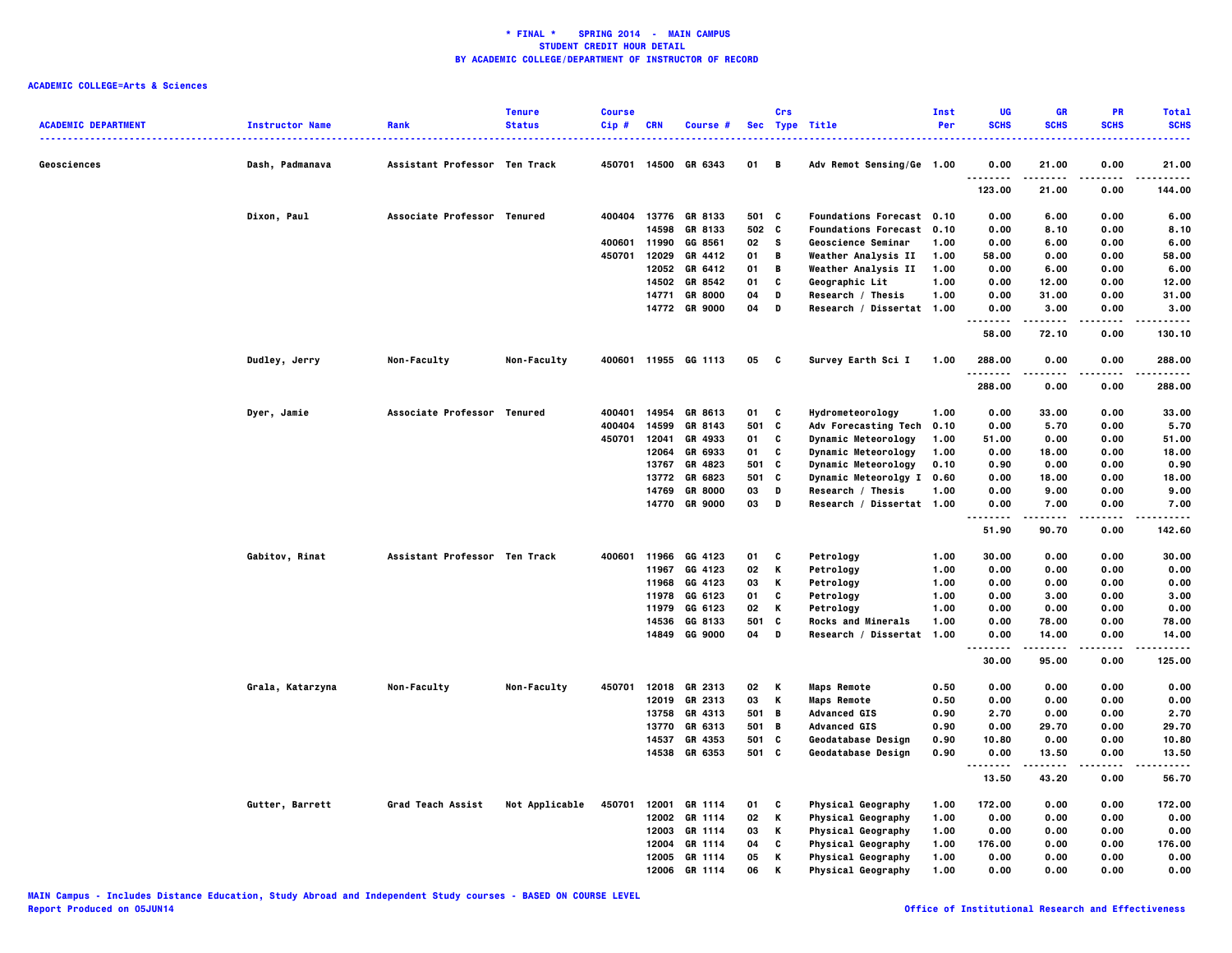|                            |                        |                               | <b>Tenure</b>  | <b>Course</b> |              |                      |       | Crs      |                                  | Inst | UG                                  | <b>GR</b>     | PR           | <b>Total</b>      |
|----------------------------|------------------------|-------------------------------|----------------|---------------|--------------|----------------------|-------|----------|----------------------------------|------|-------------------------------------|---------------|--------------|-------------------|
| <b>ACADEMIC DEPARTMENT</b> | <b>Instructor Name</b> | Rank                          | <b>Status</b>  | Cip#          | <b>CRN</b>   | Course #             |       |          | Sec Type Title                   | Per  | <b>SCHS</b>                         | <b>SCHS</b>   | <b>SCHS</b>  | <b>SCHS</b>       |
| Geosciences                | Dash, Padmanava        | Assistant Professor Ten Track |                |               | 450701 14500 | GR 6343              | 01    | B        | Adv Remot Sensing/Ge 1.00        |      | 0.00                                | 21.00         | 0.00         | 21.00             |
|                            |                        |                               |                |               |              |                      |       |          |                                  |      | $\sim$ $\sim$ $\sim$<br>.<br>123.00 | 21.00         | 0.00         | 144.00            |
|                            | Dixon, Paul            | Associate Professor Tenured   |                | 400404        | 13776        | GR 8133              | 501 C |          | <b>Foundations Forecast 0.10</b> |      | 0.00                                | 6.00          | 0.00         | 6.00              |
|                            |                        |                               |                |               | 14598        | GR 8133              | 502 C |          | <b>Foundations Forecast 0.10</b> |      | 0.00                                | 8.10          | 0.00         | 8.10              |
|                            |                        |                               |                |               | 400601 11990 | GG 8561              | 02    | <b>S</b> | Geoscience Seminar               | 1.00 | 0.00                                | 6.00          | 0.00         | 6.00              |
|                            |                        |                               |                | 450701        | 12029        | GR 4412              | 01    | B        | Weather Analysis II              | 1.00 | 58.00                               | 0.00          | 0.00         | 58.00             |
|                            |                        |                               |                |               |              | 12052 GR 6412        | 01    | B        | Weather Analysis II              | 1.00 | 0.00                                | 6.00          | 0.00         | 6.00              |
|                            |                        |                               |                |               | 14502        | GR 8542              | 01    | C        | Geographic Lit                   | 1.00 | 0.00                                | 12.00         | 0.00         | 12.00             |
|                            |                        |                               |                |               | 14771        | <b>GR 8000</b>       | 04    | D        | Research / Thesis                | 1.00 | 0.00                                | 31.00         | 0.00         | 31.00             |
|                            |                        |                               |                |               |              | 14772 GR 9000        | 04    | D        | Research / Dissertat 1.00        |      | 0.00<br>.                           | 3.00<br>----- | 0.00<br>---- | 3.00<br>$- - - -$ |
|                            |                        |                               |                |               |              |                      |       |          |                                  |      | 58.00                               | 72.10         | 0.00         | 130.10            |
|                            | Dudley, Jerry          | Non-Faculty                   | Non-Faculty    |               |              | 400601 11955 GG 1113 | 05    | - C      | Survey Earth Sci I               | 1.00 | 288.00                              | 0.00          | 0.00         | 288.00            |
|                            |                        |                               |                |               |              |                      |       |          |                                  |      | 288.00                              | 0.00          | 0.00         | 288.00            |
|                            | Dyer, Jamie            | Associate Professor Tenured   |                | 400401        |              | 14954 GR 8613        | 01    | C        | Hydrometeorology                 | 1.00 | 0.00                                | 33.00         | 0.00         | 33.00             |
|                            |                        |                               |                | 400404        | 14599        | GR 8143              | 501 C |          | Adv Forecasting Tech             | 0.10 | 0.00                                | 5.70          | 0.00         | 5.70              |
|                            |                        |                               |                | 450701        | 12041        | GR 4933              | 01    | C        | Dynamic Meteorology              | 1.00 | 51.00                               | 0.00          | 0.00         | 51.00             |
|                            |                        |                               |                |               | 12064        | GR 6933              | 01    | C        | Dynamic Meteorology              | 1.00 | 0.00                                | 18.00         | 0.00         | 18.00             |
|                            |                        |                               |                |               | 13767        | GR 4823              | 501   | C        | <b>Dynamic Meteorology</b>       | 0.10 | 0.90                                | 0.00          | 0.00         | 0.90              |
|                            |                        |                               |                |               | 13772        | GR 6823              | 501   | c        | <b>Dynamic Meteorolgy I</b>      | 0.60 | 0.00                                | 18.00         | 0.00         | 18.00             |
|                            |                        |                               |                |               | 14769        | <b>GR 8000</b>       | 03    | D        | Research / Thesis                | 1.00 | 0.00                                | 9.00          | 0.00         | 9.00              |
|                            |                        |                               |                |               | 14770        | <b>GR 9000</b>       | 03    | D        | Research / Dissertat 1.00        |      | 0.00                                | 7.00          | 0.00         | 7.00              |
|                            |                        |                               |                |               |              |                      |       |          |                                  |      | 51.90                               | 90.70         | 0.00         | 142.60            |
|                            | Gabitov, Rinat         | Assistant Professor Ten Track |                | 400601        | 11966        | GG 4123              | 01    | C        | Petrology                        | 1.00 | 30.00                               | 0.00          | 0.00         | 30.00             |
|                            |                        |                               |                |               | 11967        | GG 4123              | 02    | Κ        | Petrology                        | 1.00 | 0.00                                | 0.00          | 0.00         | 0.00              |
|                            |                        |                               |                |               | 11968        | GG 4123              | 03    | Κ        | Petrology                        | 1.00 | 0.00                                | 0.00          | 0.00         | 0.00              |
|                            |                        |                               |                |               | 11978        | GG 6123              | 01    | C        | Petrology                        | 1.00 | 0.00                                | 3.00          | 0.00         | 3.00              |
|                            |                        |                               |                |               | 11979        | GG 6123              | 02    | Κ        | Petrology                        | 1.00 | 0.00                                | 0.00          | 0.00         | 0.00              |
|                            |                        |                               |                |               | 14536        | GG 8133              | 501   | C        | <b>Rocks and Minerals</b>        | 1.00 | 0.00                                | 78.00         | 0.00         | 78.00             |
|                            |                        |                               |                |               |              | 14849 GG 9000        | 04    | D        | Research / Dissertat             | 1.00 | 0.00                                | 14.00         | 0.00<br>.    | 14.00             |
|                            |                        |                               |                |               |              |                      |       |          |                                  |      | -----<br>30.00                      | .<br>95.00    | 0.00         | .<br>125.00       |
|                            | Grala, Katarzyna       | Non-Faculty                   | Non-Faculty    | 450701        |              | 12018 GR 2313        | 02    | K        | <b>Maps Remote</b>               | 0.50 | 0.00                                | 0.00          | 0.00         | 0.00              |
|                            |                        |                               |                |               | 12019        | GR 2313              | 03    | Κ        | <b>Maps Remote</b>               | 0.50 | 0.00                                | 0.00          | 0.00         | 0.00              |
|                            |                        |                               |                |               | 13758        | GR 4313              | 501 B |          | <b>Advanced GIS</b>              | 0.90 | 2.70                                | 0.00          | 0.00         | 2.70              |
|                            |                        |                               |                |               | 13770        | GR 6313              | 501 B |          | <b>Advanced GIS</b>              | 0.90 | 0.00                                | 29.70         | 0.00         | 29.70             |
|                            |                        |                               |                |               | 14537        | GR 4353              | 501   | C        | Geodatabase Design               | 0.90 | 10.80                               | 0.00          | 0.00         | 10.80             |
|                            |                        |                               |                |               |              | 14538 GR 6353        | 501 C |          | Geodatabase Design               | 0.90 | 0.00                                | 13.50         | 0.00         | 13.50             |
|                            |                        |                               |                |               |              |                      |       |          |                                  |      | --------<br>13.50                   | .<br>43.20    | .<br>0.00    | .<br>56.70        |
|                            | Gutter, Barrett        | Grad Teach Assist             | Not Applicable | 450701        | 12001        | GR 1114              | 01    | C        | <b>Physical Geography</b>        | 1.00 | 172.00                              | 0.00          | 0.00         | 172.00            |
|                            |                        |                               |                |               |              | 12002 GR 1114        | 02    | Κ        | <b>Physical Geography</b>        | 1.00 | 0.00                                | 0.00          | 0.00         | 0.00              |
|                            |                        |                               |                |               |              | 12003 GR 1114        | 03    | Κ        | <b>Physical Geography</b>        | 1.00 | 0.00                                | 0.00          | 0.00         | 0.00              |
|                            |                        |                               |                |               | 12004        | GR 1114              | 04    | C        | <b>Physical Geography</b>        | 1.00 | 176.00                              | 0.00          | 0.00         | 176.00            |
|                            |                        |                               |                |               |              | 12005 GR 1114        | 05    | К        | Physical Geography               | 1.00 | 0.00                                | 0.00          | 0.00         | 0.00              |
|                            |                        |                               |                |               |              | 12006 GR 1114        | 06    | К        | Physical Geography               | 1.00 | 0.00                                | 0.00          | 0.00         | 0.00              |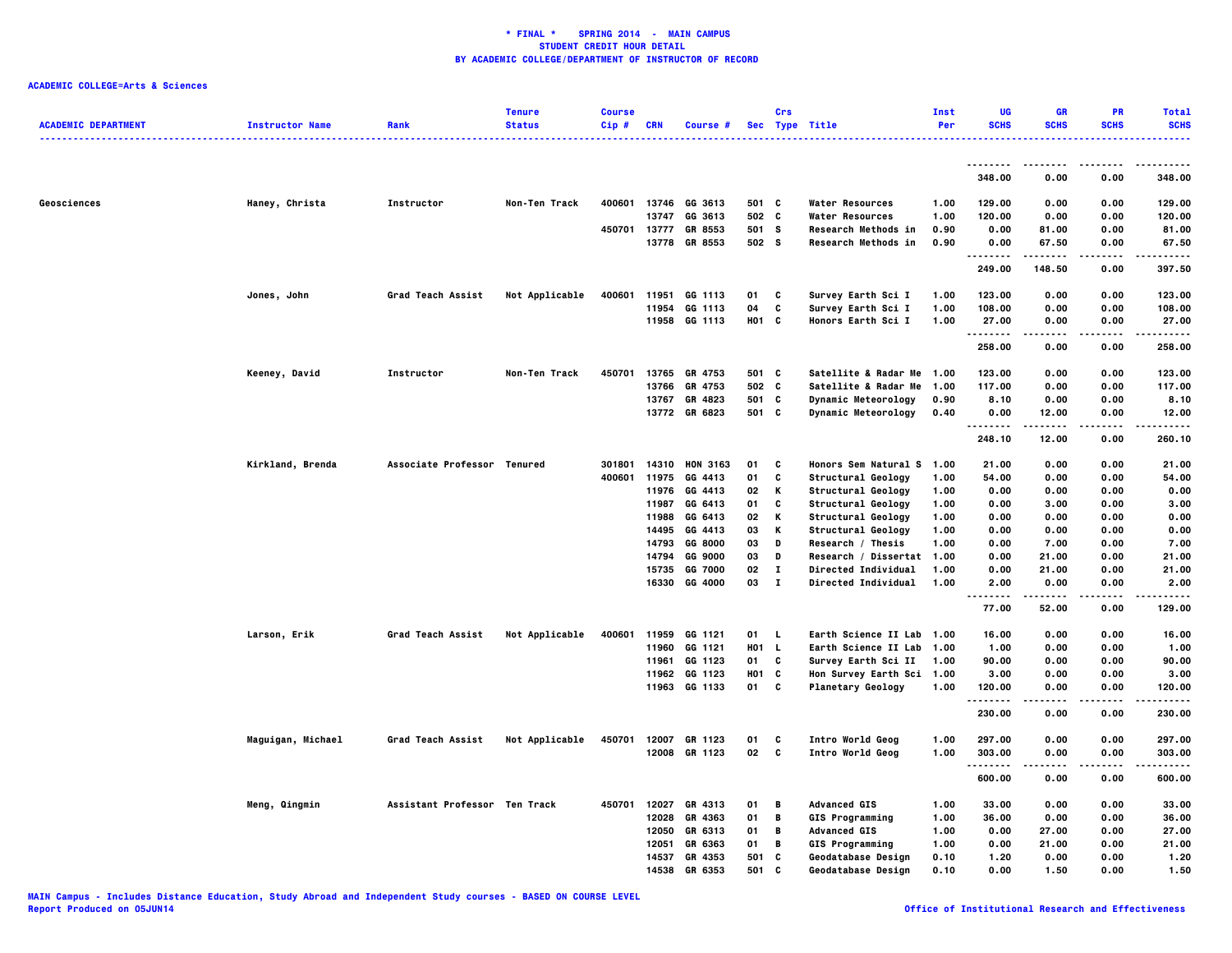|                            |                        |                               | <b>Tenure</b>  | <b>Course</b> |            |                      |            | Crs          |                           | Inst | UG               | GR          | PR          | <b>Total</b> |
|----------------------------|------------------------|-------------------------------|----------------|---------------|------------|----------------------|------------|--------------|---------------------------|------|------------------|-------------|-------------|--------------|
| <b>ACADEMIC DEPARTMENT</b> | <b>Instructor Name</b> | Rank                          | <b>Status</b>  | Cip#          | <b>CRN</b> | Course #             |            |              | Sec Type Title            | Per  | <b>SCHS</b>      | <b>SCHS</b> | <b>SCHS</b> | <b>SCHS</b>  |
|                            |                        |                               |                |               |            |                      |            |              |                           |      | .                |             |             |              |
|                            |                        |                               |                |               |            |                      |            |              |                           |      | 348.00           | 0.00        | 0.00        | 348.00       |
| Geosciences                | Haney, Christa         | Instructor                    | Non-Ten Track  | 400601        |            | 13746 GG 3613        | 501 C      |              | Water Resources           | 1.00 | 129.00           | 0.00        | 0.00        | 129.00       |
|                            |                        |                               |                |               | 13747      | GG 3613              | 502 C      |              | <b>Water Resources</b>    | 1.00 | 120.00           | 0.00        | 0.00        | 120.00       |
|                            |                        |                               |                | 450701        | 13777      | GR 8553              | 501 S      |              | Research Methods in       | 0.90 | 0.00             | 81.00       | 0.00        | 81.00        |
|                            |                        |                               |                |               |            | 13778 GR 8553        | 502 S      |              | Research Methods in       | 0.90 | 0.00<br>.        | 67.50<br>   | 0.00<br>.   | 67.50<br>.   |
|                            |                        |                               |                |               |            |                      |            |              |                           |      | 249.00           | 148.50      | 0.00        | 397.50       |
|                            | Jones, John            | Grad Teach Assist             | Not Applicable | 400601        | 11951      | GG 1113              | 01         | C            | Survey Earth Sci I        | 1.00 | 123.00           | 0.00        | 0.00        | 123.00       |
|                            |                        |                               |                |               | 11954      | GG 1113              | 04         | C            | Survey Earth Sci I        | 1.00 | 108.00           | 0.00        | 0.00        | 108.00       |
|                            |                        |                               |                |               |            | 11958 GG 1113        | H01 C      |              | <b>Honors Earth Sci I</b> | 1.00 | 27.00<br>.       | 0.00        | 0.00        | 27.00<br>    |
|                            |                        |                               |                |               |            |                      |            |              |                           |      | 258.00           | 0.00        | 0.00        | 258.00       |
|                            | Keeney, David          | Instructor                    | Non-Ten Track  | 450701        | 13765      | GR 4753              | 501 C      |              | Satellite & Radar Me 1.00 |      | 123.00           | 0.00        | 0.00        | 123.00       |
|                            |                        |                               |                |               |            | 13766 GR 4753        | 502 C      |              | Satellite & Radar Me 1.00 |      | 117.00           | 0.00        | 0.00        | 117.00       |
|                            |                        |                               |                |               |            | 13767 GR 4823        | 501 C      |              | Dynamic Meteorology       | 0.90 | 8.10             | 0.00        | 0.00        | 8.10         |
|                            |                        |                               |                |               |            | 13772 GR 6823        | 501 C      |              | Dynamic Meteorology       | 0.40 | 0.00<br>.        | 12.00       | 0.00        | 12.00        |
|                            |                        |                               |                |               |            |                      |            |              |                           |      | 248.10           | 12.00       | 0.00        | 260.10       |
|                            | Kirkland, Brenda       | Associate Professor Tenured   |                | 301801        |            | 14310 HON 3163       | 01         | C            | Honors Sem Natural S 1.00 |      | 21.00            | 0.00        | 0.00        | 21.00        |
|                            |                        |                               |                | 400601        | 11975      | GG 4413              | 01         | C            | Structural Geology        | 1.00 | 54.00            | 0.00        | 0.00        | 54.00        |
|                            |                        |                               |                |               | 11976      | GG 4413              | 02         | К            | Structural Geology        | 1.00 | 0.00             | 0.00        | 0.00        | 0.00         |
|                            |                        |                               |                |               | 11987      | GG 6413              | 01         | C            | Structural Geology        | 1.00 | 0.00             | 3.00        | 0.00        | 3.00         |
|                            |                        |                               |                |               | 11988      | GG 6413              | 02         | К            | Structural Geology        | 1.00 | 0.00             | 0.00        | 0.00        | 0.00         |
|                            |                        |                               |                |               | 14495      | GG 4413              | 03         | к            | Structural Geology        | 1.00 | 0.00             | 0.00        | 0.00        | 0.00         |
|                            |                        |                               |                |               | 14793      | GG 8000              | 03         | D            | Research / Thesis         | 1.00 | 0.00             | 7.00        | 0.00        | 7.00         |
|                            |                        |                               |                |               | 14794      | GG 9000              | 03         | D            | Research / Dissertat 1.00 |      | 0.00             | 21.00       | 0.00        | 21.00        |
|                            |                        |                               |                |               | 15735      | GG 7000              | 02         | $\mathbf{I}$ | Directed Individual       | 1.00 | 0.00             | 21.00       | 0.00        | 21.00        |
|                            |                        |                               |                |               |            | 16330 GG 4000        | 03         | $\mathbf{I}$ | Directed Individual       | 1.00 | 2.00<br>-------- | 0.00<br>.   | 0.00<br>.   | 2.00<br>.    |
|                            |                        |                               |                |               |            |                      |            |              |                           |      | 77.00            | 52.00       | 0.00        | 129.00       |
|                            | Larson, Erik           | Grad Teach Assist             | Not Applicable |               |            | 400601 11959 GG 1121 | 01         | L.           | Earth Science II Lab 1.00 |      | 16.00            | 0.00        | 0.00        | 16.00        |
|                            |                        |                               |                |               | 11960      | GG 1121              | <b>HO1</b> | L.           | Earth Science II Lab      | 1.00 | 1.00             | 0.00        | 0.00        | 1.00         |
|                            |                        |                               |                |               | 11961      | GG 1123              | 01         | C            | Survey Earth Sci II       | 1.00 | 90.00            | 0.00        | 0.00        | 90.00        |
|                            |                        |                               |                |               |            | 11962 GG 1123        | <b>HO1</b> | C            | Hon Survey Earth Sci 1.00 |      | 3.00             | 0.00        | 0.00        | 3.00         |
|                            |                        |                               |                |               |            | 11963 GG 1133        | 01         | C            | <b>Planetary Geology</b>  | 1.00 | 120.00<br>.      | 0.00        | 0.00        | 120.00<br>.  |
|                            |                        |                               |                |               |            |                      |            |              |                           |      | 230.00           | .<br>0.00   | .<br>0.00   | 230.00       |
|                            | Maguigan, Michael      | Grad Teach Assist             | Not Applicable | 450701        |            | 12007 GR 1123        | 01         | c            | Intro World Geog          | 1.00 | 297.00           | 0.00        | 0.00        | 297.00       |
|                            |                        |                               |                |               |            | 12008 GR 1123        | 02         | $\mathbf{c}$ | Intro World Geog          | 1.00 | 303.00<br>.      | 0.00        | 0.00        | 303.00<br>.  |
|                            |                        |                               |                |               |            |                      |            |              |                           |      | 600.00           | 0.00        | 0.00        | 600.00       |
|                            | Meng, Qingmin          | Assistant Professor Ten Track |                | 450701        | 12027      | GR 4313              | 01         | В            | <b>Advanced GIS</b>       | 1.00 | 33.00            | 0.00        | 0.00        | 33.00        |
|                            |                        |                               |                |               | 12028      | GR 4363              | 01         | В            | <b>GIS Programming</b>    | 1.00 | 36.00            | 0.00        | 0.00        | 36.00        |
|                            |                        |                               |                |               | 12050      | GR 6313              | 01         | В            | <b>Advanced GIS</b>       | 1.00 | 0.00             | 27.00       | 0.00        | 27.00        |
|                            |                        |                               |                |               | 12051      | GR 6363              | 01         | В            | <b>GIS Programming</b>    | 1.00 | 0.00             | 21.00       | 0.00        | 21.00        |
|                            |                        |                               |                |               | 14537      | GR 4353              | 501        | C            | Geodatabase Design        | 0.10 | 1.20             | 0.00        | 0.00        | 1.20         |
|                            |                        |                               |                |               | 14538      | GR 6353              | 501        | c            | Geodatabase Design        | 0.10 | 0.00             | 1.50        | 0.00        | 1.50         |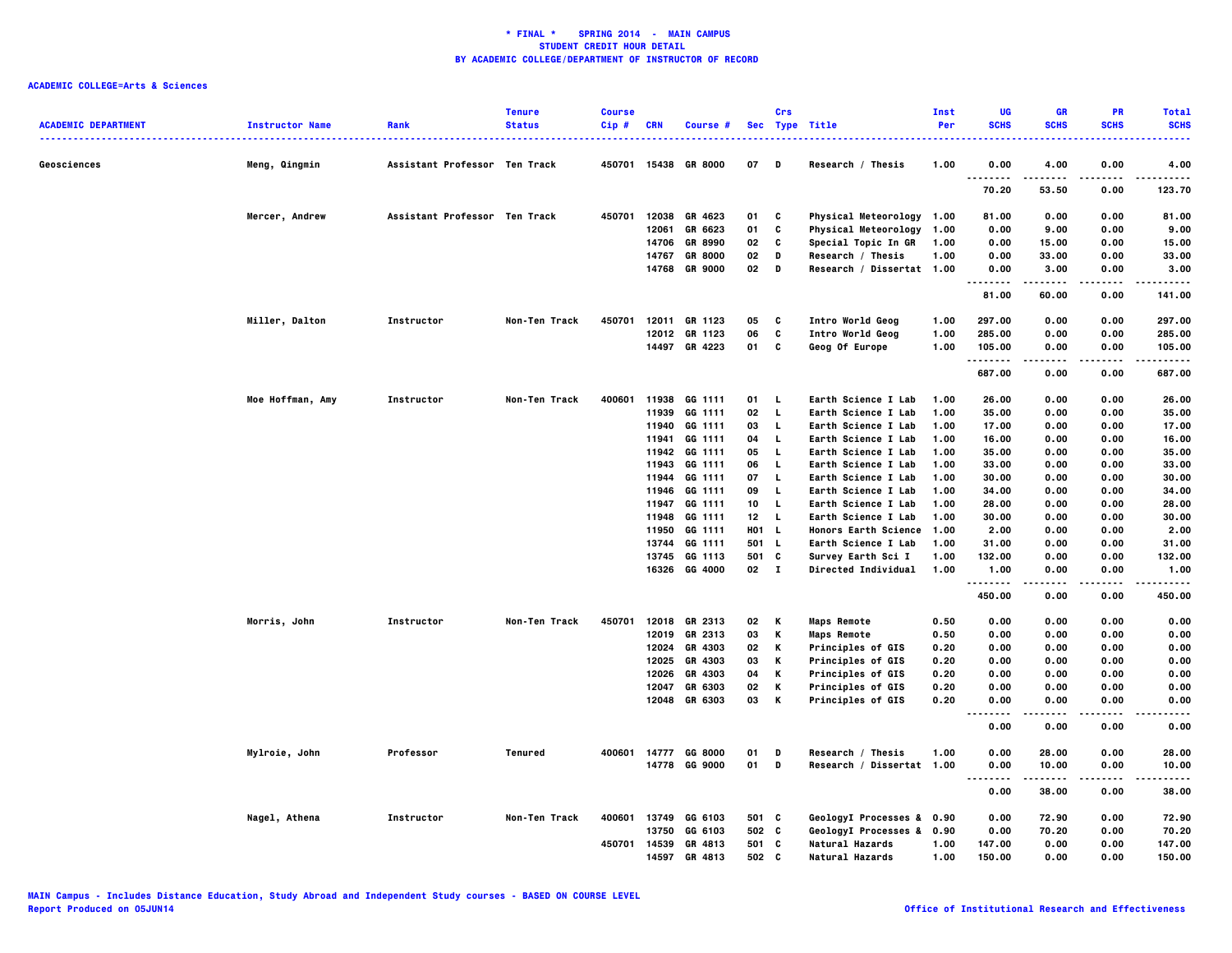| <b>ACADEMIC DEPARTMENT</b> | <b>Instructor Name</b> | Rank                          | <b>Tenure</b><br><b>Status</b> | <b>Course</b><br>$Cip$ # | <b>CRN</b>     | Course #                         |          | Crs          | Sec Type Title                                 | Inst<br>Per  | UG<br><b>SCHS</b>                 | GR<br><b>SCHS</b> | <b>PR</b><br><b>SCHS</b> | <b>Total</b><br><b>SCHS</b> |
|----------------------------|------------------------|-------------------------------|--------------------------------|--------------------------|----------------|----------------------------------|----------|--------------|------------------------------------------------|--------------|-----------------------------------|-------------------|--------------------------|-----------------------------|
| Geosciences                | Meng, Qingmin          | Assistant Professor Ten Track |                                |                          |                | 450701 15438 GR 8000             | 07       | Ð            | Research / Thesis                              | 1.00         | 0.00                              | 4.00              | 0.00                     | 4.00                        |
|                            |                        |                               |                                |                          |                |                                  |          |              |                                                |              | 70.20                             | 53.50             | 0.00                     | 123.70                      |
|                            | Mercer, Andrew         | Assistant Professor Ten Track |                                | 450701                   | 12038          | GR 4623                          | 01       | C            | Physical Meteorology 1.00                      |              | 81.00                             | 0.00              | 0.00                     | 81.00                       |
|                            |                        |                               |                                |                          | 12061          | GR 6623                          | 01       | C            | <b>Physical Meteorology</b>                    | 1.00         | 0.00                              | 9.00              | 0.00                     | 9.00                        |
|                            |                        |                               |                                |                          | 14706<br>14767 | <b>GR 8990</b><br><b>GR 8000</b> | 02<br>02 | C<br>D       | Special Topic In GR<br>Research / Thesis       | 1.00<br>1.00 | 0.00<br>0.00                      | 15.00<br>33.00    | 0.00<br>0.00             | 15.00<br>33.00              |
|                            |                        |                               |                                |                          | 14768          | <b>GR 9000</b>                   | 02       | D            | Research / Dissertat 1.00                      |              | 0.00                              | 3.00              | 0.00                     | 3.00                        |
|                            |                        |                               |                                |                          |                |                                  |          |              |                                                |              | $\ddotsc$<br>$- - - - -$<br>81.00 | 60.00             | 0.00                     | .<br>141.00                 |
|                            | Miller, Dalton         | Instructor                    | Non-Ten Track                  | 450701                   |                | 12011 GR 1123                    | 05       | c            | Intro World Geog                               | 1.00         | 297.00                            | 0.00              | 0.00                     | 297.00                      |
|                            |                        |                               |                                |                          |                | 12012 GR 1123                    | 06       | C            | Intro World Geog                               | 1.00         | 285.00                            | 0.00              | 0.00                     | 285.00                      |
|                            |                        |                               |                                |                          |                | 14497 GR 4223                    | 01       | C            | Geog Of Europe                                 | 1.00         | 105.00<br>.                       | 0.00              | 0.00                     | 105.00<br>.                 |
|                            |                        |                               |                                |                          |                |                                  |          |              |                                                |              | 687.00                            | 0.00              | 0.00                     | 687.00                      |
|                            | Moe Hoffman, Amy       | Instructor                    | Non-Ten Track                  | 400601                   |                | 11938 GG 1111                    | 01       | L            | Earth Science I Lab                            | 1.00         | 26.00                             | 0.00              | 0.00                     | 26.00                       |
|                            |                        |                               |                                |                          |                | 11939 GG 1111                    | 02       | L            | Earth Science I Lab                            | 1.00         | 35.00                             | 0.00              | 0.00                     | 35.00                       |
|                            |                        |                               |                                |                          | 11940          | GG 1111                          | 03       | L            | Earth Science I Lab                            | 1.00         | 17.00                             | 0.00              | 0.00                     | 17.00                       |
|                            |                        |                               |                                |                          | 11941          | GG 1111                          | 04       | L            | Earth Science I Lab                            | 1.00         | 16.00                             | 0.00              | 0.00                     | 16.00                       |
|                            |                        |                               |                                |                          | 11942          | GG 1111                          | 05       | L            | Earth Science I Lab                            | 1.00         | 35.00                             | 0.00              | 0.00                     | 35.00                       |
|                            |                        |                               |                                |                          | 11943          | GG 1111                          | 06       | L            | Earth Science I Lab                            | 1.00         | 33.00                             | 0.00              | 0.00                     | 33.00                       |
|                            |                        |                               |                                |                          | 11944<br>11946 | GG 1111<br>GG 1111               | 07<br>09 | L<br>L       | Earth Science I Lab<br>Earth Science I Lab     | 1.00<br>1.00 | 30.00<br>34.00                    | 0.00<br>0.00      | 0.00<br>0.00             | 30.00<br>34.00              |
|                            |                        |                               |                                |                          |                | 11947 GG 1111                    | 10       | L.           | Earth Science I Lab                            | 1.00         | 28.00                             | 0.00              | 0.00                     | 28.00                       |
|                            |                        |                               |                                |                          | 11948          | GG 1111                          | 12       | L.           | Earth Science I Lab                            | 1.00         | 30.00                             | 0.00              | 0.00                     | 30.00                       |
|                            |                        |                               |                                |                          | 11950          | GG 1111                          | H01 L    |              | Honors Earth Science 1.00                      |              | 2.00                              | 0.00              | 0.00                     | 2.00                        |
|                            |                        |                               |                                |                          | 13744          | GG 1111                          | 501      | <b>L</b>     | Earth Science I Lab                            | 1.00         | 31.00                             | 0.00              | 0.00                     | 31.00                       |
|                            |                        |                               |                                |                          | 13745          | GG 1113                          | 501      | C            | Survey Earth Sci I                             | 1.00         | 132.00                            | 0.00              | 0.00                     | 132.00                      |
|                            |                        |                               |                                |                          |                | 16326 GG 4000                    | 02       | $\mathbf{I}$ | Directed Individual                            | 1.00         | 1.00<br>.                         | 0.00              | 0.00                     | 1.00                        |
|                            |                        |                               |                                |                          |                |                                  |          |              |                                                |              | 450.00                            | 0.00              | 0.00                     | 450.00                      |
|                            | <b>Morris, John</b>    | Instructor                    | Non-Ten Track                  | 450701                   |                | 12018 GR 2313                    | 02       | Κ            | <b>Maps Remote</b>                             | 0.50         | 0.00                              | 0.00              | 0.00                     | 0.00                        |
|                            |                        |                               |                                |                          | 12019          | GR 2313                          | 03       | К            | <b>Maps Remote</b>                             | 0.50         | 0.00                              | 0.00              | 0.00                     | 0.00                        |
|                            |                        |                               |                                |                          | 12024          | GR 4303                          | 02       | К            | Principles of GIS                              | 0.20         | 0.00                              | 0.00              | 0.00                     | 0.00                        |
|                            |                        |                               |                                |                          | 12025          | GR 4303                          | 03       | к            | Principles of GIS                              | 0.20         | 0.00                              | 0.00              | 0.00                     | 0.00                        |
|                            |                        |                               |                                |                          | 12026          | GR 4303                          | 04       | К            | Principles of GIS                              | 0.20         | 0.00                              | 0.00              | 0.00                     | 0.00                        |
|                            |                        |                               |                                |                          | 12047          | GR 6303<br>12048 GR 6303         | 02<br>03 | К<br>К       | Principles of GIS<br>Principles of GIS         | 0.20<br>0.20 | 0.00<br>0.00                      | 0.00<br>0.00      | 0.00<br>0.00             | 0.00<br>0.00                |
|                            |                        |                               |                                |                          |                |                                  |          |              |                                                |              | .<br>.<br>0.00                    | .<br>0.00         | .<br>0.00                | ----<br>0.00                |
|                            |                        |                               |                                |                          |                |                                  |          |              |                                                |              |                                   |                   |                          |                             |
|                            | Mylroie, John          | Professor                     | Tenured                        | 400601                   | 14777          | GG 8000<br>14778 GG 9000         | 01<br>01 | D<br>D       | Research / Thesis<br>Research / Dissertat 1.00 | 1.00         | 0.00<br>0.00                      | 28.00<br>10.00    | 0.00<br>0.00             | 28.00<br>10.00              |
|                            |                        |                               |                                |                          |                |                                  |          |              |                                                |              | $\cdots$<br>.<br>0.00             | .<br>38.00        | .<br>0.00                | .<br>38.00                  |
|                            | Nagel, Athena          | Instructor                    | Non-Ten Track                  | 400601                   | 13749          | GG 6103                          | 501 C    |              | GeologyI Processes & 0.90                      |              | 0.00                              | 72.90             | 0.00                     | 72.90                       |
|                            |                        |                               |                                |                          | 13750          | GG 6103                          | 502 C    |              | GeologyI Processes & 0.90                      |              | 0.00                              | 70.20             | 0.00                     | 70.20                       |
|                            |                        |                               |                                | 450701                   | 14539          | GR 4813                          | 501 C    |              | Natural Hazards                                | 1.00         | 147.00                            | 0.00              | 0.00                     | 147.00                      |
|                            |                        |                               |                                |                          | 14597          | GR 4813                          | 502 C    |              | Natural Hazards                                | 1.00         | 150.00                            | 0.00              | 0.00                     | 150.00                      |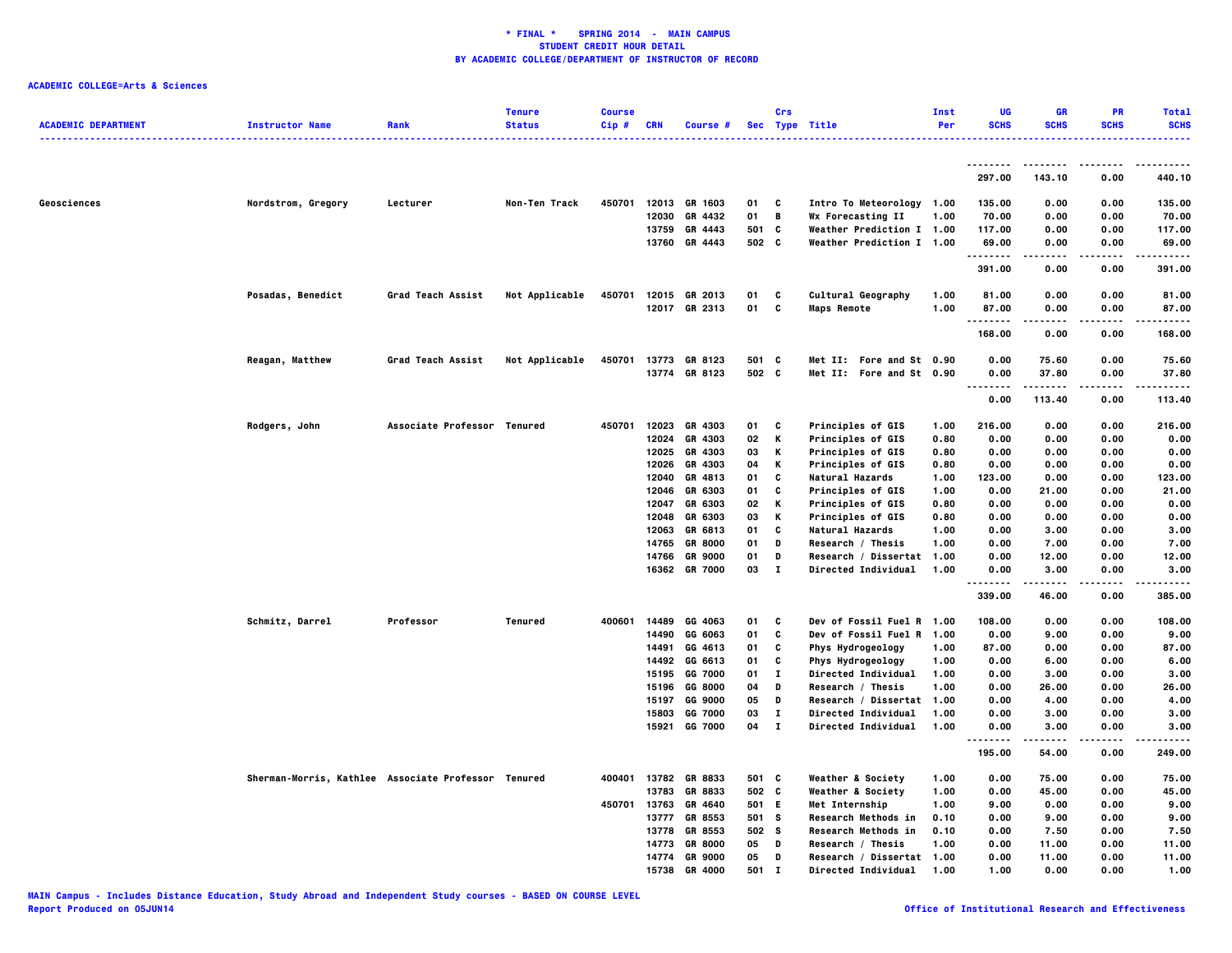| <b>ACADEMIC DEPARTMENT</b> | <b>Instructor Name</b>                              | Rank                        | <b>Tenure</b><br><b>Status</b> | <b>Course</b><br>Cip# | <b>CRN</b> | Course #             |       | Crs          | Sec Type Title             | Inst<br>Per | UG<br><b>SCHS</b>      | GR<br><b>SCHS</b> | <b>PR</b><br><b>SCHS</b> | <b>Total</b><br><b>SCHS</b> |
|----------------------------|-----------------------------------------------------|-----------------------------|--------------------------------|-----------------------|------------|----------------------|-------|--------------|----------------------------|-------------|------------------------|-------------------|--------------------------|-----------------------------|
|                            |                                                     |                             |                                |                       |            |                      |       |              | -------------------        |             | <u>.</u>               | --------          | .                        | .<br>.                      |
|                            |                                                     |                             |                                |                       |            |                      |       |              |                            |             | 297.00                 | 143.10            | 0.00                     | 440.10                      |
| Geosciences                | Nordstrom, Gregory                                  | Lecturer                    | Non-Ten Track                  | 450701                |            | 12013 GR 1603        | 01    | C            | Intro To Meteorology 1.00  |             | 135.00                 | 0.00              | 0.00                     | 135.00                      |
|                            |                                                     |                             |                                |                       | 12030      | GR 4432              | 01    | B            | Wx Forecasting II          | 1.00        | 70.00                  | 0.00              | 0.00                     | 70.00                       |
|                            |                                                     |                             |                                |                       | 13759      | GR 4443              | 501   | C            | Weather Prediction I 1.00  |             | 117.00                 | 0.00              | 0.00                     | 117.00                      |
|                            |                                                     |                             |                                |                       | 13760      | GR 4443              | 502 C |              | Weather Prediction I 1.00  |             | 69.00<br>.             | 0.00              | 0.00<br>.                | 69.00<br>.                  |
|                            |                                                     |                             |                                |                       |            |                      |       |              |                            |             | 391.00                 | 0.00              | 0.00                     | 391.00                      |
|                            | Posadas, Benedict                                   | Grad Teach Assist           | Not Applicable                 | 450701                | 12015      | GR 2013              | 01    | C            | Cultural Geography         | 1.00        | 81.00                  | 0.00              | 0.00                     | 81.00                       |
|                            |                                                     |                             |                                |                       |            | 12017 GR 2313        | 01    | c            | <b>Maps Remote</b>         | 1.00        | 87.00<br>.             | 0.00              | 0.00                     | 87.00                       |
|                            |                                                     |                             |                                |                       |            |                      |       |              |                            |             | 168.00                 | 0.00              | 0.00                     | 168.00                      |
|                            | Reagan, Matthew                                     | Grad Teach Assist           | Not Applicable                 | 450701                |            | 13773 GR 8123        | 501 C |              | Met II: Fore and St 0.90   |             | 0.00                   | 75.60             | 0.00                     | 75.60                       |
|                            |                                                     |                             |                                |                       |            | 13774 GR 8123        | 502 C |              | Met II: Fore and St 0.90   |             | 0.00<br>$\ddotsc$<br>. | 37.80<br>.        | 0.00<br>.                | 37.80<br>.                  |
|                            |                                                     |                             |                                |                       |            |                      |       |              |                            |             | 0.00                   | 113.40            | 0.00                     | 113.40                      |
|                            | Rodgers, John                                       | Associate Professor Tenured |                                | 450701                | 12023      | GR 4303              | 01    | C            | Principles of GIS          | 1.00        | 216.00                 | 0.00              | 0.00                     | 216.00                      |
|                            |                                                     |                             |                                |                       | 12024      | GR 4303              | 02    | К            | Principles of GIS          | 0.80        | 0.00                   | 0.00              | 0.00                     | 0.00                        |
|                            |                                                     |                             |                                |                       | 12025      | GR 4303              | 03    | к            | Principles of GIS          | 0.80        | 0.00                   | 0.00              | 0.00                     | 0.00                        |
|                            |                                                     |                             |                                |                       | 12026      | GR 4303              | 04    | к            | Principles of GIS          | 0.80        | 0.00                   | 0.00              | 0.00                     | 0.00                        |
|                            |                                                     |                             |                                |                       | 12040      | GR 4813              | 01    | C            | Natural Hazards            | 1.00        | 123.00                 | 0.00              | 0.00                     | 123.00                      |
|                            |                                                     |                             |                                |                       | 12046      | GR 6303              | 01    | C            | Principles of GIS          | 1.00        | 0.00                   | 21.00             | 0.00                     | 21.00                       |
|                            |                                                     |                             |                                |                       | 12047      | GR 6303              | 02    | К            | Principles of GIS          | 0.80        | 0.00                   | 0.00              | 0.00                     | 0.00                        |
|                            |                                                     |                             |                                |                       | 12048      | GR 6303              | 03    | к            | Principles of GIS          | 0.80        | 0.00                   | 0.00              | 0.00                     | 0.00                        |
|                            |                                                     |                             |                                |                       | 12063      | GR 6813              | 01    | C            | Natural Hazards            | 1.00        | 0.00                   | 3.00              | 0.00                     | 3.00                        |
|                            |                                                     |                             |                                |                       | 14765      | <b>GR 8000</b>       | 01    | D            | Research / Thesis          | 1.00        | 0.00                   | 7.00              | 0.00                     | 7.00                        |
|                            |                                                     |                             |                                |                       | 14766      | <b>GR 9000</b>       | 01    | D            | Research / Dissertat 1.00  |             | 0.00                   | 12.00             | 0.00                     | 12.00                       |
|                            |                                                     |                             |                                |                       |            | 16362 GR 7000        | 03    | $\mathbf{I}$ | Directed Individual        | 1.00        | 0.00                   | 3.00              | 0.00<br>.                | 3.00<br>.                   |
|                            |                                                     |                             |                                |                       |            |                      |       |              |                            |             | 339.00                 | 46.00             | 0.00                     | 385.00                      |
|                            | Schmitz, Darrel                                     | Professor                   | Tenured                        | 400601                | 14489      | GG 4063              | 01    | C            | Dev of Fossil Fuel R 1.00  |             | 108.00                 | 0.00              | 0.00                     | 108.00                      |
|                            |                                                     |                             |                                |                       | 14490      | GG 6063              | 01    | C            | Dev of Fossil Fuel R       | 1.00        | 0.00                   | 9.00              | 0.00                     | 9.00                        |
|                            |                                                     |                             |                                |                       | 14491      | GG 4613              | 01    | C            | Phys Hydrogeology          | 1.00        | 87.00                  | 0.00              | 0.00                     | 87.00                       |
|                            |                                                     |                             |                                |                       | 14492      | GG 6613              | 01    | C            | Phys Hydrogeology          | 1.00        | 0.00                   | 6.00              | 0.00                     | 6.00                        |
|                            |                                                     |                             |                                |                       | 15195      | GG 7000              | 01    | л.           | Directed Individual        | 1.00        | 0.00                   | 3.00              | 0.00                     | 3.00                        |
|                            |                                                     |                             |                                |                       | 15196      | GG 8000              | 04    | D            | Research / Thesis          | 1.00        | 0.00                   | 26.00             | 0.00                     | 26.00                       |
|                            |                                                     |                             |                                |                       | 15197      | GG 9000              | 05    | D            | Research / Dissertat 1.00  |             | 0.00                   | 4.00              | 0.00                     | 4.00                        |
|                            |                                                     |                             |                                |                       | 15803      | GG 7000              | 03    | л.           | Directed Individual        | 1.00        | 0.00                   | 3.00              | 0.00                     | 3.00                        |
|                            |                                                     |                             |                                |                       |            | 15921 GG 7000        | 04    | $\mathbf{I}$ | <b>Directed Individual</b> | 1.00        | 0.00<br>.              | 3.00              | 0.00<br>.                | 3.00                        |
|                            |                                                     |                             |                                |                       |            |                      |       |              |                            |             | 195.00                 | 54.00             | 0.00                     | 249.00                      |
|                            | Sherman-Morris, Kathlee Associate Professor Tenured |                             |                                |                       |            | 400401 13782 GR 8833 | 501 C |              | Weather & Society          | 1.00        | 0.00                   | 75.00             | 0.00                     | 75.00                       |
|                            |                                                     |                             |                                |                       | 13783      | GR 8833              | 502 C |              | Weather & Society          | 1.00        | 0.00                   | 45.00             | 0.00                     | 45.00                       |
|                            |                                                     |                             |                                | 450701                | 13763      | GR 4640              | 501   | E.           | Met Internship             | 1.00        | 9.00                   | 0.00              | 0.00                     | 9.00                        |
|                            |                                                     |                             |                                |                       | 13777      | GR 8553              | 501 S |              | Research Methods in        | 0.10        | 0.00                   | 9.00              | 0.00                     | 9.00                        |
|                            |                                                     |                             |                                |                       | 13778      | GR 8553              | 502 S |              | Research Methods in        | 0.10        | 0.00                   | 7.50              | 0.00                     | 7.50                        |
|                            |                                                     |                             |                                |                       | 14773      | <b>GR 8000</b>       | 05    | D            | Research / Thesis          | 1.00        | 0.00                   | 11.00             | 0.00                     | 11.00                       |
|                            |                                                     |                             |                                |                       | 14774      | <b>GR 9000</b>       | 05    | D            | Research / Dissertat 1.00  |             | 0.00                   | 11.00             | 0.00                     | 11.00                       |
|                            |                                                     |                             |                                |                       | 15738      | GR 4000              | 501   | п            | Directed Individual        | 1.00        | 1.00                   | 0.00              | 0.00                     | 1.00                        |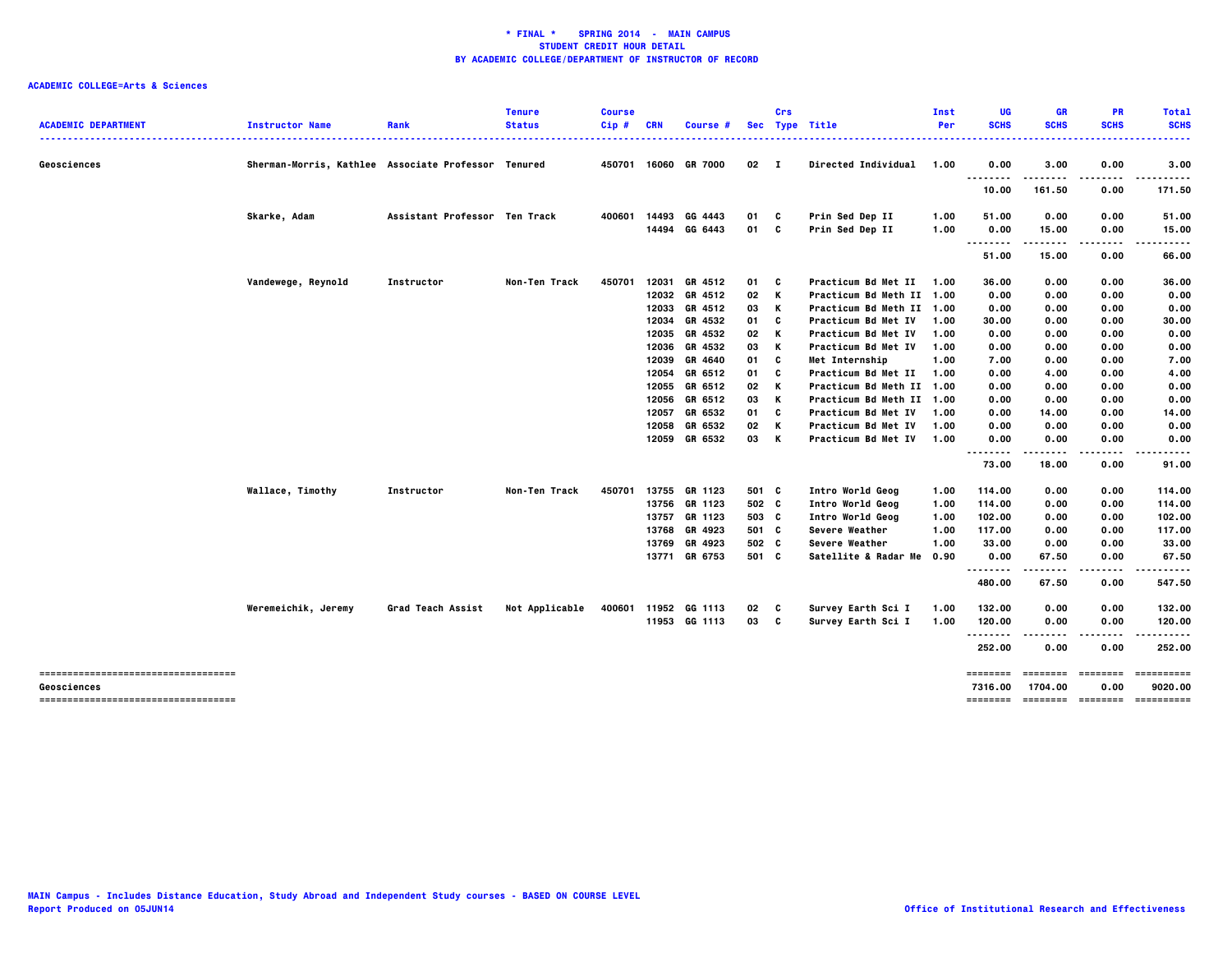|                                     |                                                     |                               | <b>Tenure</b>  | <b>Course</b> |            |                      |                 | Crs |                            | Inst | <b>UG</b>   | <b>GR</b>   | <b>PR</b>   | <b>Total</b>                 |
|-------------------------------------|-----------------------------------------------------|-------------------------------|----------------|---------------|------------|----------------------|-----------------|-----|----------------------------|------|-------------|-------------|-------------|------------------------------|
| <b>ACADEMIC DEPARTMENT</b>          | <b>Instructor Name</b>                              | Rank                          | <b>Status</b>  | $Cip \#$      | <b>CRN</b> | <b>Course #</b>      |                 |     | Sec Type Title             | Per  | <b>SCHS</b> | <b>SCHS</b> | <b>SCHS</b> | <b>SCHS</b>                  |
|                                     |                                                     |                               |                |               |            |                      |                 |     |                            |      |             |             |             | .                            |
| Geosciences                         | Sherman-Morris, Kathlee Associate Professor Tenured |                               |                |               |            | 450701 16060 GR 7000 | $02 \quad I$    |     | <b>Directed Individual</b> | 1.00 | 0.00        | 3.00        | 0.00        | 3.00                         |
|                                     |                                                     |                               |                |               |            |                      |                 |     |                            |      | .<br>.      |             | .           | .                            |
|                                     |                                                     |                               |                |               |            |                      |                 |     |                            |      | 10.00       | 161.50      | 0.00        | 171.50                       |
|                                     | Skarke, Adam                                        | Assistant Professor Ten Track |                | 400601        | 14493      | GG 4443              | 01              | - C | Prin Sed Dep II            | 1.00 | 51.00       | 0.00        | 0.00        | 51.00                        |
|                                     |                                                     |                               |                |               | 14494      | GG 6443              | 01              | c   | Prin Sed Dep II            | 1.00 | 0.00        | 15.00       | 0.00        | 15.00                        |
|                                     |                                                     |                               |                |               |            |                      |                 |     |                            |      |             |             |             | -----                        |
|                                     |                                                     |                               |                |               |            |                      |                 |     |                            |      | 51.00       | 15.00       | 0.00        | 66.00                        |
|                                     | Vandewege, Reynold                                  | Instructor                    | Non-Ten Track  | 450701        | 12031      | GR 4512              | 01              | - C | Practicum Bd Met II        | 1.00 | 36.00       | 0.00        | 0.00        | 36.00                        |
|                                     |                                                     |                               |                |               |            | 12032 GR 4512        | 02 K            |     | Practicum Bd Meth II 1.00  |      | 0.00        | 0.00        | 0.00        | 0.00                         |
|                                     |                                                     |                               |                |               | 12033      | GR 4512              | 03              | K   | Practicum Bd Meth II 1.00  |      | 0.00        | 0.00        | 0.00        | 0.00                         |
|                                     |                                                     |                               |                |               | 12034      | GR 4532              | 01              | C   | Practicum Bd Met IV        | 1.00 | 30.00       | 0.00        | 0.00        | 30.00                        |
|                                     |                                                     |                               |                |               | 12035      | GR 4532              | 02              | K   | Practicum Bd Met IV        | 1.00 | 0.00        | 0.00        | 0.00        | 0.00                         |
|                                     |                                                     |                               |                |               | 12036      | GR 4532              | 03              | K   | Practicum Bd Met IV        | 1.00 | 0.00        | 0.00        | 0.00        | 0.00                         |
|                                     |                                                     |                               |                |               |            | 12039 GR 4640        | 01              | C   | Met Internship             | 1.00 | 7.00        | 0.00        | 0.00        | 7.00                         |
|                                     |                                                     |                               |                |               | 12054      | GR 6512              | 01              | C   | Practicum Bd Met II        | 1.00 | 0.00        | 4.00        | 0.00        | 4.00                         |
|                                     |                                                     |                               |                |               | 12055      | GR 6512              | 02 K            |     | Practicum Bd Meth II 1.00  |      | 0.00        | 0.00        | 0.00        | 0.00                         |
|                                     |                                                     |                               |                |               | 12056      | GR 6512              | 03              | K   | Practicum Bd Meth II 1.00  |      | 0.00        | 0.00        | 0.00        | 0.00                         |
|                                     |                                                     |                               |                |               | 12057      | GR 6532              | 01              | C   | Practicum Bd Met IV        | 1.00 | 0.00        | 14.00       | 0.00        | 14.00                        |
|                                     |                                                     |                               |                |               |            | 12058 GR 6532        | 02              | K   | Practicum Bd Met IV        | 1.00 | 0.00        | 0.00        | 0.00        | 0.00                         |
|                                     |                                                     |                               |                |               |            | 12059 GR 6532        | 03 K            |     | Practicum Bd Met IV        | 1.00 | 0.00<br>.   | 0.00<br>.   | 0.00<br>.   | 0.00<br>.                    |
|                                     |                                                     |                               |                |               |            |                      |                 |     |                            |      | 73.00       | 18.00       | 0.00        | 91.00                        |
|                                     | Wallace, Timothy                                    | Instructor                    | Non-Ten Track  | 450701        |            | 13755 GR 1123        | 501 C           |     | Intro World Geog           | 1.00 | 114.00      | 0.00        | 0.00        | 114.00                       |
|                                     |                                                     |                               |                |               |            | 13756 GR 1123        | 502 C           |     | Intro World Geog           | 1.00 | 114.00      | 0.00        | 0.00        | 114.00                       |
|                                     |                                                     |                               |                |               | 13757      | GR 1123              | 503 C           |     | Intro World Geog           | 1.00 | 102.00      | 0.00        | 0.00        | 102.00                       |
|                                     |                                                     |                               |                |               | 13768      | GR 4923              | 501 C           |     | Severe Weather             | 1.00 | 117.00      | 0.00        | 0.00        | 117.00                       |
|                                     |                                                     |                               |                |               | 13769      | GR 4923              | 502 C           |     | Severe Weather             | 1.00 | 33.00       | 0.00        | 0.00        | 33.00                        |
|                                     |                                                     |                               |                |               |            | 13771 GR 6753        | 501 C           |     | Satellite & Radar Me       | 0.90 | 0.00<br>    | 67.50       | 0.00        | 67.50<br>.                   |
|                                     |                                                     |                               |                |               |            |                      |                 |     |                            |      | 480.00      | 67.50       | 0.00        | 547.50                       |
|                                     | Weremeichik, Jeremy                                 | Grad Teach Assist             | Not Applicable | 400601        |            | 11952 GG 1113        | 02 <sub>c</sub> |     | Survey Earth Sci I         | 1.00 | 132.00      | 0.00        | 0.00        | 132.00                       |
|                                     |                                                     |                               |                |               |            | 11953 GG 1113        | 03 C            |     | Survey Earth Sci I         | 1.00 | 120.00      | 0.00        | 0.00        | 120.00                       |
|                                     |                                                     |                               |                |               |            |                      |                 |     |                            |      | .           |             |             | .                            |
|                                     |                                                     |                               |                |               |            |                      |                 |     |                            |      | 252.00      | 0.00        | 0.00        | 252.00                       |
| ----------------------------------- |                                                     |                               |                |               |            |                      |                 |     |                            |      | ========    | ========    | eccesses    | ==========                   |
| Geosciences                         |                                                     |                               |                |               |            |                      |                 |     |                            |      | 7316.00     | 1704.00     | 0.00        | 9020.00                      |
| ----------------------------------- |                                                     |                               |                |               |            |                      |                 |     |                            |      | ========    |             |             | --------- -------- --------- |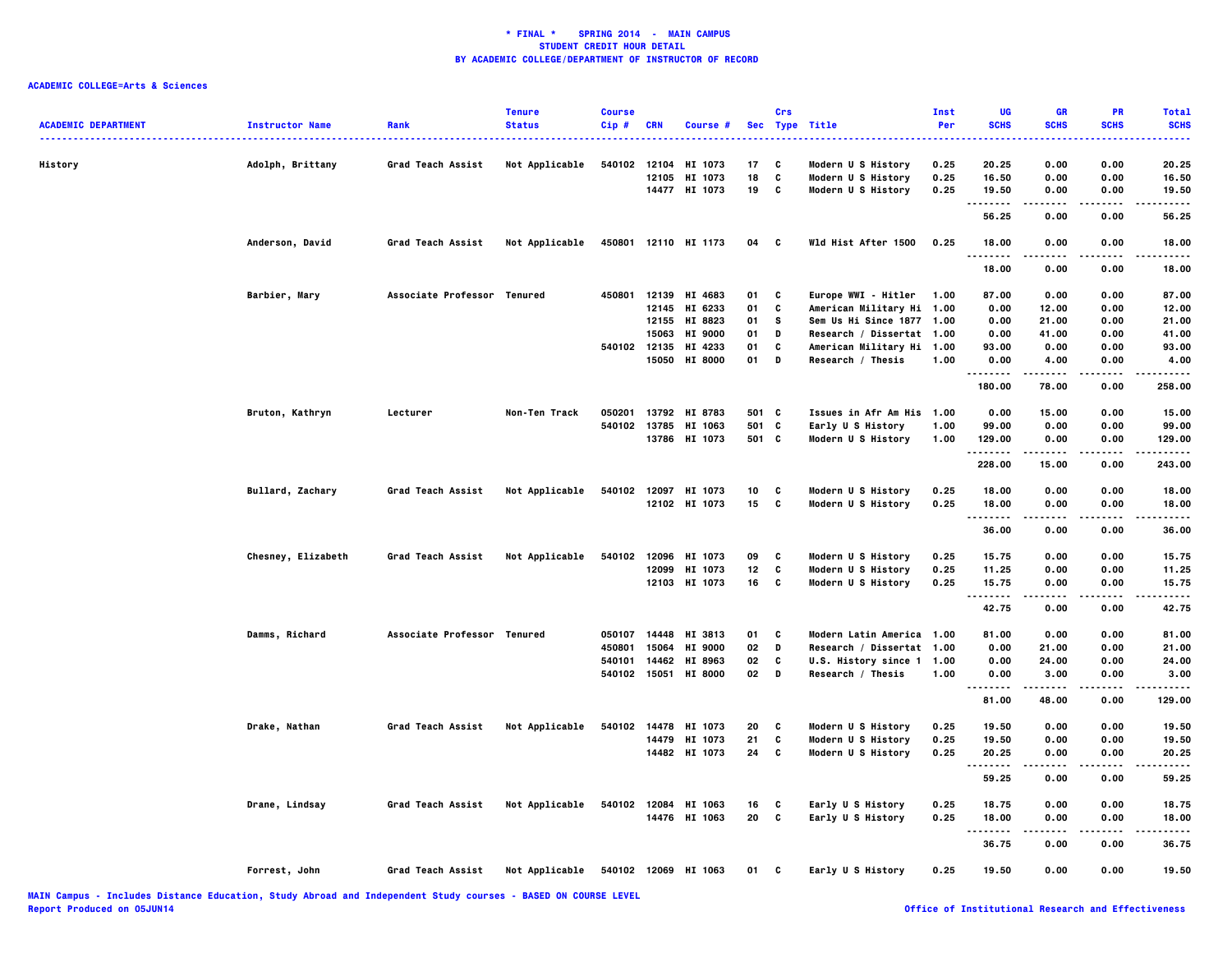| <b>ACADEMIC DEPARTMENT</b> | <b>Instructor Name</b> | Rank                        | <b>Tenure</b><br><b>Status</b> | <b>Course</b><br>Cip# | <b>CRN</b> | Course #             |        | Crs          | Sec Type Title            | Inst<br>Per | UG<br><b>SCHS</b> | <b>GR</b><br><b>SCHS</b> | PR<br><b>SCHS</b> | <b>Total</b><br><b>SCHS</b> |
|----------------------------|------------------------|-----------------------------|--------------------------------|-----------------------|------------|----------------------|--------|--------------|---------------------------|-------------|-------------------|--------------------------|-------------------|-----------------------------|
|                            |                        |                             |                                |                       |            |                      |        |              |                           |             |                   |                          |                   |                             |
| History                    | Adolph, Brittany       | Grad Teach Assist           | Not Applicable                 | 540102 12104          |            | HI 1073              | 17     | C            | Modern U S History        | 0.25        | 20.25             | 0.00                     | 0.00              | 20.25                       |
|                            |                        |                             |                                |                       |            | 12105 HI 1073        | 18     | C            | Modern U S History        | 0.25        | 16.50             | 0.00                     | 0.00              | 16.50                       |
|                            |                        |                             |                                |                       |            | 14477 HI 1073        | 19 C   |              | Modern U S History        | 0.25        | 19.50<br>.        | 0.00                     | 0.00              | 19.50<br>$- - - -$          |
|                            |                        |                             |                                |                       |            |                      |        |              |                           |             | 56.25             | 0.00                     | 0.00              | 56.25                       |
|                            | Anderson, David        | Grad Teach Assist           | Not Applicable                 |                       |            | 450801 12110 HI 1173 | 04 C   |              | Wld Hist After 1500       | 0.25        | 18.00<br>.        | 0.00                     | 0.00              | 18.00                       |
|                            |                        |                             |                                |                       |            |                      |        |              |                           |             | 18.00             | 0.00                     | 0.00              | 18.00                       |
|                            | Barbier, Mary          | Associate Professor Tenured |                                |                       |            | 450801 12139 HI 4683 | 01     | C            | Europe WWI - Hitler       | 1.00        | 87.00             | 0.00                     | 0.00              | 87.00                       |
|                            |                        |                             |                                |                       |            | 12145 HI 6233        | 01     | C            | American Military Hi 1.00 |             | 0.00              | 12.00                    | 0.00              | 12.00                       |
|                            |                        |                             |                                |                       |            | 12155 HI 8823        | 01     | s.           | Sem Us Hi Since 1877 1.00 |             | 0.00              | 21.00                    | 0.00              | 21.00                       |
|                            |                        |                             |                                |                       | 15063      | <b>HI 9000</b>       | 01     | D            | Research / Dissertat 1.00 |             | 0.00              | 41.00                    | 0.00              | 41.00                       |
|                            |                        |                             |                                |                       |            | 540102 12135 HI 4233 | 01     | C            | American Military Hi 1.00 |             | 93.00             | 0.00                     | 0.00              | 93.00                       |
|                            |                        |                             |                                |                       | 15050      | <b>HI 8000</b>       | 01     | D            | Research / Thesis         | 1.00        | 0.00<br>.         | 4.00<br>-----            | 0.00<br>.         | 4.00<br>.                   |
|                            |                        |                             |                                |                       |            |                      |        |              |                           |             | 180.00            | 78.00                    | 0.00              | 258.00                      |
|                            | Bruton, Kathryn        | Lecturer                    | Non-Ten Track                  | 050201                |            | 13792 HI 8783        | 501 C  |              | Issues in Afr Am His 1.00 |             | 0.00              | 15.00                    | 0.00              | 15.00                       |
|                            |                        |                             |                                |                       |            | 540102 13785 HI 1063 | 501 C  |              | Early U S History         | 1.00        | 99.00             | 0.00                     | 0.00              | 99.00                       |
|                            |                        |                             |                                |                       |            | 13786 HI 1073        | 501 C  |              | Modern U S History        | 1.00        | 129.00<br>        | 0.00<br>.                | 0.00<br>.         | 129.00<br>.                 |
|                            |                        |                             |                                |                       |            |                      |        |              |                           |             | 228.00            | 15.00                    | 0.00              | 243.00                      |
|                            | Bullard, Zachary       | Grad Teach Assist           | Not Applicable                 |                       |            | 540102 12097 HI 1073 | 10     | C            | Modern U S History        | 0.25        | 18.00             | 0.00                     | 0.00              | 18.00                       |
|                            |                        |                             |                                |                       |            | 12102 HI 1073        | 15     | $\mathbf{c}$ | Modern U S History        | 0.25        | 18.00<br>.        | 0.00<br>-----            | 0.00<br>.         | 18.00<br>.                  |
|                            |                        |                             |                                |                       |            |                      |        |              |                           |             | 36.00             | 0.00                     | 0.00              | 36.00                       |
|                            | Chesney, Elizabeth     | Grad Teach Assist           | Not Applicable                 | 540102                |            | 12096 HI 1073        | 09     | C            | Modern U S History        | 0.25        | 15.75             | 0.00                     | 0.00              | 15.75                       |
|                            |                        |                             |                                |                       | 12099      | HI 1073              | 12     | C            | Modern U S History        | 0.25        | 11.25             | 0.00                     | 0.00              | 11.25                       |
|                            |                        |                             |                                |                       |            | 12103 HI 1073        | 16     | c            | Modern U S History        | 0.25        | 15.75<br>.        | 0.00                     | 0.00              | 15.75<br>.                  |
|                            |                        |                             |                                |                       |            |                      |        |              |                           |             | 42.75             | 0.00                     | 0.00              | 42.75                       |
|                            | Damms, Richard         | Associate Professor Tenured |                                |                       |            | 050107 14448 HI 3813 | 01     | C            | Modern Latin America 1.00 |             | 81.00             | 0.00                     | 0.00              | 81.00                       |
|                            |                        |                             |                                | 450801                | 15064      | <b>HI 9000</b>       | 02     | D            | Research / Dissertat 1.00 |             | 0.00              | 21.00                    | 0.00              | 21.00                       |
|                            |                        |                             |                                |                       |            | 540101 14462 HI 8963 | 02     | C            | U.S. History since 1 1.00 |             | 0.00              | 24.00                    | 0.00              | 24.00                       |
|                            |                        |                             |                                |                       |            | 540102 15051 HI 8000 | $02$ D |              | Research / Thesis         | 1.00        | 0.00<br>.         | 3.00<br>.                | 0.00<br>.         | 3.00<br>.                   |
|                            |                        |                             |                                |                       |            |                      |        |              |                           |             | 81.00             | 48.00                    | 0.00              | 129.00                      |
|                            | Drake, Nathan          | Grad Teach Assist           | Not Applicable                 |                       |            | 540102 14478 HI 1073 | 20     | C            | Modern U S History        | 0.25        | 19.50             | 0.00                     | 0.00              | 19.50                       |
|                            |                        |                             |                                |                       |            | 14479 HI 1073        | 21     | C            | Modern U S History        | 0.25        | 19.50             | 0.00                     | 0.00              | 19.50                       |
|                            |                        |                             |                                |                       |            | 14482 HI 1073        | 24     | C            | Modern U S History        | 0.25        | 20.25<br>.        | 0.00                     | 0.00<br>.         | 20.25<br>.                  |
|                            |                        |                             |                                |                       |            |                      |        |              |                           |             | 59.25             | 0.00                     | 0.00              | 59.25                       |
|                            | Drane, Lindsay         | Grad Teach Assist           | Not Applicable                 | 540102                |            | 12084 HI 1063        | 16     | C            | Early U S History         | 0.25        | 18.75             | 0.00                     | 0.00              | 18.75                       |
|                            |                        |                             |                                |                       |            | 14476 HI 1063        | 20     | c            | Early U S History         | 0.25        | 18.00             | 0.00                     | 0.00              | 18,00                       |
|                            |                        |                             |                                |                       |            |                      |        |              |                           |             | .<br>36.75        | .<br>0.00                | .<br>0.00         | .<br>36.75                  |
|                            | Forrest, John          | Grad Teach Assist           | Not Applicable                 |                       |            | 540102 12069 HI 1063 | 01     | C            | Early U S History         | 0.25        | 19.50             | 0.00                     | 0.00              | 19.50                       |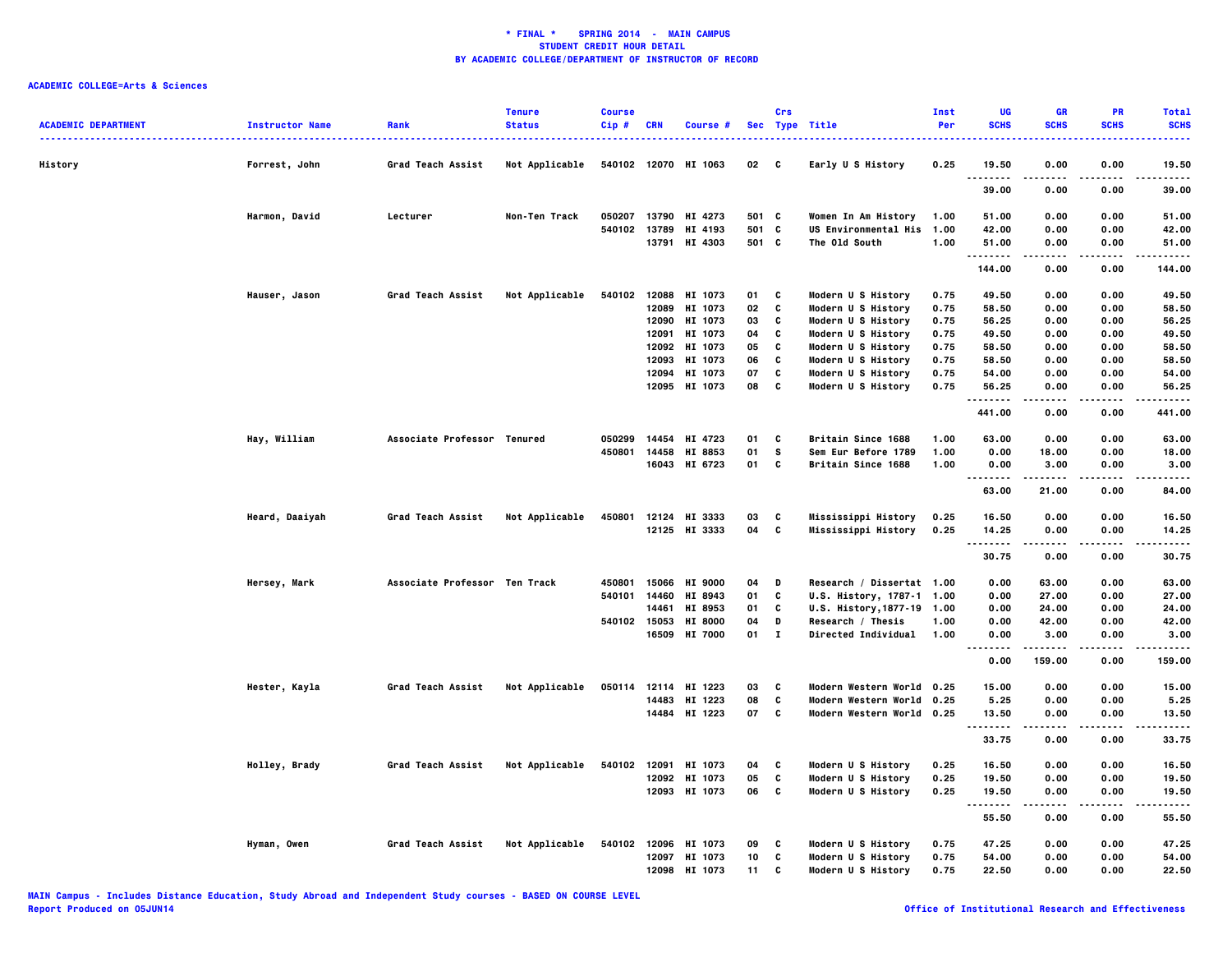| <b>SCHS</b><br><b>SCHS</b><br><b>SCHS</b><br><b>SCHS</b><br><b>ACADEMIC DEPARTMENT</b><br>Sec Type Title<br>Per<br><b>Instructor Name</b><br><b>Status</b><br>Cip#<br>Rank<br>CRN<br>Course #<br>History<br>Grad Teach Assist<br>Not Applicable<br>540102 12070 HI 1063<br>02 C<br>Early U S History<br>0.25<br>19.50<br>0.00<br>0.00<br>19.50<br>Forrest, John<br>.<br>.<br>.<br>.<br>39.00<br>0.00<br>0.00<br>39.00<br>Harmon, David<br>Lecturer<br>Non-Ten Track<br>050207<br>13790<br>HI 4273<br>501<br><b>C</b><br>Women In Am History<br>1.00<br>51.00<br>0.00<br>0.00<br>51.00<br>501 C<br>540102<br>13789<br>HI 4193<br><b>US Environmental His 1.00</b><br>42.00<br>0.00<br>0.00<br>42.00<br>13791 HI 4303<br>501 C<br>The Old South<br>1.00<br>0.00<br>51.00<br>0.00<br>51.00<br>.<br>.<br>.<br>144.00<br>0.00<br>0.00<br>144.00<br>Hauser, Jason<br>Grad Teach Assist<br>Not Applicable<br>540102 12088 HI 1073<br>01<br>C<br>Modern U S History<br>0.75<br>49.50<br>0.00<br>0.00<br>49.50<br>12089<br>HI 1073<br>02<br>C<br>Modern U S History<br>0.75<br>58.50<br>58.50<br>0.00<br>0.00<br>12090 HI 1073<br>03<br>C<br>Modern U S History<br>0.75<br>56.25<br>56.25<br>0.00<br>0.00<br>HI 1073<br>C<br>Modern U S History<br>0.75<br>49.50<br>49.50<br>12091<br>04<br>0.00<br>0.00<br>$\mathbf{c}$<br>0.75<br>58.50<br>0.00<br>12092 HI 1073<br>05<br>Modern U S History<br>0.00<br>58.50<br>C<br>58.50<br>12093<br>HI 1073<br>06<br>Modern U S History<br>0.75<br>58.50<br>0.00<br>0.00<br>12094<br>HI 1073<br>07<br>c<br>0.75<br>54.00<br>0.00<br>0.00<br>54.00<br>Modern U S History<br>12095 HI 1073<br>08<br>C<br>Modern U S History<br>0.75<br>56.25<br>0.00<br>56.25<br>0.00<br><br>.<br>441.00<br>0.00<br>0.00<br>441.00<br>Hay, William<br>Associate Professor Tenured<br>050299<br>14454<br>HI 4723<br>01<br><b>Britain Since 1688</b><br>1.00<br>63.00<br>0.00<br>0.00<br>63.00<br>C<br>450801<br>14458 HI 8853<br>01<br><b>S</b><br>Sem Eur Before 1789<br>1.00<br>0.00<br>18.00<br>0.00<br>18.00<br>c<br>16043 HI 6723<br>01<br>Britain Since 1688<br>1.00<br>0.00<br>3.00<br>0.00<br>3.00<br>$- - -$<br>-----<br>.<br>.<br>63.00<br>21.00<br>0.00<br>84.00<br>Heard, Daaiyah<br>Grad Teach Assist<br>450801<br>12124 HI 3333<br>03<br>C<br>Mississippi History<br>0.25<br>16.50<br>0.00<br>0.00<br>16.50<br>Not Applicable<br>C<br>12125 HI 3333<br>04<br>Mississippi History<br>0.25<br>14.25<br>0.00<br>0.00<br>14.25<br>.<br>-----<br>$- - - -$<br>.<br>30.75<br>0.00<br>0.00<br>30.75<br>Associate Professor Ten Track<br>15066<br><b>HI 9000</b><br>Research / Dissertat 1.00<br>0.00<br>63.00<br>63.00<br>Hersey, Mark<br>450801<br>04<br>D<br>0.00<br>C<br>540101<br>14460<br>HI 8943<br>01<br>U.S. History, 1787-1 1.00<br>0.00<br>27.00<br>0.00<br>27.00<br>14461<br>HI 8953<br>01<br>C<br>U.S. History, 1877-19 1.00<br>0.00<br>24.00<br>0.00<br>24.00<br>540102<br>15053<br><b>HI 8000</b><br>04<br>D<br>Research / Thesis<br>1.00<br>0.00<br>42.00<br>0.00<br>42.00<br>16509 HI 7000<br>$01 \quad I$<br><b>Directed Individual</b><br>1.00<br>0.00<br>0.00<br>3.00<br>3.00<br>$\cdots$<br>.<br>.<br>0.00<br>159.00<br>0.00<br>159.00<br>Hester, Kayla<br>Grad Teach Assist<br>Not Applicable<br>050114 12114 HI 1223<br>03<br>C<br>Modern Western World 0.25<br>15.00<br>0.00<br>0.00<br>15.00<br>14483<br>HI 1223<br>08<br>C<br>Modern Western World 0.25<br>5.25<br>0.00<br>0.00<br>5.25<br>14484 HI 1223<br>07<br>c<br>Modern Western World 0.25<br>13.50<br>13.50<br>0.00<br>0.00<br>.<br>.<br>.<br>-----<br>33.75<br>33.75<br>0.00<br>0.00<br>Grad Teach Assist<br>Not Applicable<br>540102<br>HI 1073<br>Modern U S History<br>0.25<br>16.50<br>0.00<br>16.50<br>Holley, Brady<br>12091<br>04<br>C<br>0.00<br>C<br>12092 HI 1073<br>05<br>Modern U S History<br>0.25<br>19.50<br>0.00<br>0.00<br>19.50<br>C<br>12093 HI 1073<br>06<br>Modern U S History<br>0.25<br>19.50<br>0.00<br>0.00<br>19.50<br>.<br>.<br>.<br>.<br>55.50<br>0.00<br>0.00<br>55.50<br>Hyman, Owen<br>Grad Teach Assist<br>Not Applicable<br>540102<br>12096<br>HI 1073<br>09<br>Modern U S History<br>0.75<br>47.25<br>0.00<br>0.00<br>47.25<br>C<br>C<br>Modern U S History<br>12097<br>HI 1073<br>10<br>0.75<br>54.00<br>0.00<br>0.00<br>54.00<br>12098<br>HI 1073<br>11<br>c<br>0.75<br>22.50<br>0.00<br>0.00<br>Modern U S History<br>22.50 |  | <b>Tenure</b> | <b>Course</b> |  | Crs | <b>Inst</b> | UG | <b>GR</b> | PR | <b>Total</b> |
|--------------------------------------------------------------------------------------------------------------------------------------------------------------------------------------------------------------------------------------------------------------------------------------------------------------------------------------------------------------------------------------------------------------------------------------------------------------------------------------------------------------------------------------------------------------------------------------------------------------------------------------------------------------------------------------------------------------------------------------------------------------------------------------------------------------------------------------------------------------------------------------------------------------------------------------------------------------------------------------------------------------------------------------------------------------------------------------------------------------------------------------------------------------------------------------------------------------------------------------------------------------------------------------------------------------------------------------------------------------------------------------------------------------------------------------------------------------------------------------------------------------------------------------------------------------------------------------------------------------------------------------------------------------------------------------------------------------------------------------------------------------------------------------------------------------------------------------------------------------------------------------------------------------------------------------------------------------------------------------------------------------------------------------------------------------------------------------------------------------------------------------------------------------------------------------------------------------------------------------------------------------------------------------------------------------------------------------------------------------------------------------------------------------------------------------------------------------------------------------------------------------------------------------------------------------------------------------------------------------------------------------------------------------------------------------------------------------------------------------------------------------------------------------------------------------------------------------------------------------------------------------------------------------------------------------------------------------------------------------------------------------------------------------------------------------------------------------------------------------------------------------------------------------------------------------------------------------------------------------------------------------------------------------------------------------------------------------------------------------------------------------------------------------------------------------------------------------------------------------------------------------------------------------------------------------------------------------------------------------------------------------------------------------------------------------------------------------------------------------------------------------------------------------------------------------------------------------------------------------------------------------------------------------------------------------------------------------------------------------------------------------------------------------------------------------------------------------------------------------------------------------------------------------------------------------------------------------------------------------------------------------------------------------------------------------------------------------------------------------------|--|---------------|---------------|--|-----|-------------|----|-----------|----|--------------|
|                                                                                                                                                                                                                                                                                                                                                                                                                                                                                                                                                                                                                                                                                                                                                                                                                                                                                                                                                                                                                                                                                                                                                                                                                                                                                                                                                                                                                                                                                                                                                                                                                                                                                                                                                                                                                                                                                                                                                                                                                                                                                                                                                                                                                                                                                                                                                                                                                                                                                                                                                                                                                                                                                                                                                                                                                                                                                                                                                                                                                                                                                                                                                                                                                                                                                                                                                                                                                                                                                                                                                                                                                                                                                                                                                                                                                                                                                                                                                                                                                                                                                                                                                                                                                                                                                                                                                                    |  |               |               |  |     |             |    |           |    |              |
|                                                                                                                                                                                                                                                                                                                                                                                                                                                                                                                                                                                                                                                                                                                                                                                                                                                                                                                                                                                                                                                                                                                                                                                                                                                                                                                                                                                                                                                                                                                                                                                                                                                                                                                                                                                                                                                                                                                                                                                                                                                                                                                                                                                                                                                                                                                                                                                                                                                                                                                                                                                                                                                                                                                                                                                                                                                                                                                                                                                                                                                                                                                                                                                                                                                                                                                                                                                                                                                                                                                                                                                                                                                                                                                                                                                                                                                                                                                                                                                                                                                                                                                                                                                                                                                                                                                                                                    |  |               |               |  |     |             |    |           |    |              |
|                                                                                                                                                                                                                                                                                                                                                                                                                                                                                                                                                                                                                                                                                                                                                                                                                                                                                                                                                                                                                                                                                                                                                                                                                                                                                                                                                                                                                                                                                                                                                                                                                                                                                                                                                                                                                                                                                                                                                                                                                                                                                                                                                                                                                                                                                                                                                                                                                                                                                                                                                                                                                                                                                                                                                                                                                                                                                                                                                                                                                                                                                                                                                                                                                                                                                                                                                                                                                                                                                                                                                                                                                                                                                                                                                                                                                                                                                                                                                                                                                                                                                                                                                                                                                                                                                                                                                                    |  |               |               |  |     |             |    |           |    |              |
|                                                                                                                                                                                                                                                                                                                                                                                                                                                                                                                                                                                                                                                                                                                                                                                                                                                                                                                                                                                                                                                                                                                                                                                                                                                                                                                                                                                                                                                                                                                                                                                                                                                                                                                                                                                                                                                                                                                                                                                                                                                                                                                                                                                                                                                                                                                                                                                                                                                                                                                                                                                                                                                                                                                                                                                                                                                                                                                                                                                                                                                                                                                                                                                                                                                                                                                                                                                                                                                                                                                                                                                                                                                                                                                                                                                                                                                                                                                                                                                                                                                                                                                                                                                                                                                                                                                                                                    |  |               |               |  |     |             |    |           |    |              |
|                                                                                                                                                                                                                                                                                                                                                                                                                                                                                                                                                                                                                                                                                                                                                                                                                                                                                                                                                                                                                                                                                                                                                                                                                                                                                                                                                                                                                                                                                                                                                                                                                                                                                                                                                                                                                                                                                                                                                                                                                                                                                                                                                                                                                                                                                                                                                                                                                                                                                                                                                                                                                                                                                                                                                                                                                                                                                                                                                                                                                                                                                                                                                                                                                                                                                                                                                                                                                                                                                                                                                                                                                                                                                                                                                                                                                                                                                                                                                                                                                                                                                                                                                                                                                                                                                                                                                                    |  |               |               |  |     |             |    |           |    |              |
|                                                                                                                                                                                                                                                                                                                                                                                                                                                                                                                                                                                                                                                                                                                                                                                                                                                                                                                                                                                                                                                                                                                                                                                                                                                                                                                                                                                                                                                                                                                                                                                                                                                                                                                                                                                                                                                                                                                                                                                                                                                                                                                                                                                                                                                                                                                                                                                                                                                                                                                                                                                                                                                                                                                                                                                                                                                                                                                                                                                                                                                                                                                                                                                                                                                                                                                                                                                                                                                                                                                                                                                                                                                                                                                                                                                                                                                                                                                                                                                                                                                                                                                                                                                                                                                                                                                                                                    |  |               |               |  |     |             |    |           |    |              |
|                                                                                                                                                                                                                                                                                                                                                                                                                                                                                                                                                                                                                                                                                                                                                                                                                                                                                                                                                                                                                                                                                                                                                                                                                                                                                                                                                                                                                                                                                                                                                                                                                                                                                                                                                                                                                                                                                                                                                                                                                                                                                                                                                                                                                                                                                                                                                                                                                                                                                                                                                                                                                                                                                                                                                                                                                                                                                                                                                                                                                                                                                                                                                                                                                                                                                                                                                                                                                                                                                                                                                                                                                                                                                                                                                                                                                                                                                                                                                                                                                                                                                                                                                                                                                                                                                                                                                                    |  |               |               |  |     |             |    |           |    |              |
|                                                                                                                                                                                                                                                                                                                                                                                                                                                                                                                                                                                                                                                                                                                                                                                                                                                                                                                                                                                                                                                                                                                                                                                                                                                                                                                                                                                                                                                                                                                                                                                                                                                                                                                                                                                                                                                                                                                                                                                                                                                                                                                                                                                                                                                                                                                                                                                                                                                                                                                                                                                                                                                                                                                                                                                                                                                                                                                                                                                                                                                                                                                                                                                                                                                                                                                                                                                                                                                                                                                                                                                                                                                                                                                                                                                                                                                                                                                                                                                                                                                                                                                                                                                                                                                                                                                                                                    |  |               |               |  |     |             |    |           |    |              |
|                                                                                                                                                                                                                                                                                                                                                                                                                                                                                                                                                                                                                                                                                                                                                                                                                                                                                                                                                                                                                                                                                                                                                                                                                                                                                                                                                                                                                                                                                                                                                                                                                                                                                                                                                                                                                                                                                                                                                                                                                                                                                                                                                                                                                                                                                                                                                                                                                                                                                                                                                                                                                                                                                                                                                                                                                                                                                                                                                                                                                                                                                                                                                                                                                                                                                                                                                                                                                                                                                                                                                                                                                                                                                                                                                                                                                                                                                                                                                                                                                                                                                                                                                                                                                                                                                                                                                                    |  |               |               |  |     |             |    |           |    |              |
|                                                                                                                                                                                                                                                                                                                                                                                                                                                                                                                                                                                                                                                                                                                                                                                                                                                                                                                                                                                                                                                                                                                                                                                                                                                                                                                                                                                                                                                                                                                                                                                                                                                                                                                                                                                                                                                                                                                                                                                                                                                                                                                                                                                                                                                                                                                                                                                                                                                                                                                                                                                                                                                                                                                                                                                                                                                                                                                                                                                                                                                                                                                                                                                                                                                                                                                                                                                                                                                                                                                                                                                                                                                                                                                                                                                                                                                                                                                                                                                                                                                                                                                                                                                                                                                                                                                                                                    |  |               |               |  |     |             |    |           |    |              |
|                                                                                                                                                                                                                                                                                                                                                                                                                                                                                                                                                                                                                                                                                                                                                                                                                                                                                                                                                                                                                                                                                                                                                                                                                                                                                                                                                                                                                                                                                                                                                                                                                                                                                                                                                                                                                                                                                                                                                                                                                                                                                                                                                                                                                                                                                                                                                                                                                                                                                                                                                                                                                                                                                                                                                                                                                                                                                                                                                                                                                                                                                                                                                                                                                                                                                                                                                                                                                                                                                                                                                                                                                                                                                                                                                                                                                                                                                                                                                                                                                                                                                                                                                                                                                                                                                                                                                                    |  |               |               |  |     |             |    |           |    |              |
|                                                                                                                                                                                                                                                                                                                                                                                                                                                                                                                                                                                                                                                                                                                                                                                                                                                                                                                                                                                                                                                                                                                                                                                                                                                                                                                                                                                                                                                                                                                                                                                                                                                                                                                                                                                                                                                                                                                                                                                                                                                                                                                                                                                                                                                                                                                                                                                                                                                                                                                                                                                                                                                                                                                                                                                                                                                                                                                                                                                                                                                                                                                                                                                                                                                                                                                                                                                                                                                                                                                                                                                                                                                                                                                                                                                                                                                                                                                                                                                                                                                                                                                                                                                                                                                                                                                                                                    |  |               |               |  |     |             |    |           |    |              |
|                                                                                                                                                                                                                                                                                                                                                                                                                                                                                                                                                                                                                                                                                                                                                                                                                                                                                                                                                                                                                                                                                                                                                                                                                                                                                                                                                                                                                                                                                                                                                                                                                                                                                                                                                                                                                                                                                                                                                                                                                                                                                                                                                                                                                                                                                                                                                                                                                                                                                                                                                                                                                                                                                                                                                                                                                                                                                                                                                                                                                                                                                                                                                                                                                                                                                                                                                                                                                                                                                                                                                                                                                                                                                                                                                                                                                                                                                                                                                                                                                                                                                                                                                                                                                                                                                                                                                                    |  |               |               |  |     |             |    |           |    |              |
|                                                                                                                                                                                                                                                                                                                                                                                                                                                                                                                                                                                                                                                                                                                                                                                                                                                                                                                                                                                                                                                                                                                                                                                                                                                                                                                                                                                                                                                                                                                                                                                                                                                                                                                                                                                                                                                                                                                                                                                                                                                                                                                                                                                                                                                                                                                                                                                                                                                                                                                                                                                                                                                                                                                                                                                                                                                                                                                                                                                                                                                                                                                                                                                                                                                                                                                                                                                                                                                                                                                                                                                                                                                                                                                                                                                                                                                                                                                                                                                                                                                                                                                                                                                                                                                                                                                                                                    |  |               |               |  |     |             |    |           |    |              |
|                                                                                                                                                                                                                                                                                                                                                                                                                                                                                                                                                                                                                                                                                                                                                                                                                                                                                                                                                                                                                                                                                                                                                                                                                                                                                                                                                                                                                                                                                                                                                                                                                                                                                                                                                                                                                                                                                                                                                                                                                                                                                                                                                                                                                                                                                                                                                                                                                                                                                                                                                                                                                                                                                                                                                                                                                                                                                                                                                                                                                                                                                                                                                                                                                                                                                                                                                                                                                                                                                                                                                                                                                                                                                                                                                                                                                                                                                                                                                                                                                                                                                                                                                                                                                                                                                                                                                                    |  |               |               |  |     |             |    |           |    |              |
|                                                                                                                                                                                                                                                                                                                                                                                                                                                                                                                                                                                                                                                                                                                                                                                                                                                                                                                                                                                                                                                                                                                                                                                                                                                                                                                                                                                                                                                                                                                                                                                                                                                                                                                                                                                                                                                                                                                                                                                                                                                                                                                                                                                                                                                                                                                                                                                                                                                                                                                                                                                                                                                                                                                                                                                                                                                                                                                                                                                                                                                                                                                                                                                                                                                                                                                                                                                                                                                                                                                                                                                                                                                                                                                                                                                                                                                                                                                                                                                                                                                                                                                                                                                                                                                                                                                                                                    |  |               |               |  |     |             |    |           |    |              |
|                                                                                                                                                                                                                                                                                                                                                                                                                                                                                                                                                                                                                                                                                                                                                                                                                                                                                                                                                                                                                                                                                                                                                                                                                                                                                                                                                                                                                                                                                                                                                                                                                                                                                                                                                                                                                                                                                                                                                                                                                                                                                                                                                                                                                                                                                                                                                                                                                                                                                                                                                                                                                                                                                                                                                                                                                                                                                                                                                                                                                                                                                                                                                                                                                                                                                                                                                                                                                                                                                                                                                                                                                                                                                                                                                                                                                                                                                                                                                                                                                                                                                                                                                                                                                                                                                                                                                                    |  |               |               |  |     |             |    |           |    |              |
|                                                                                                                                                                                                                                                                                                                                                                                                                                                                                                                                                                                                                                                                                                                                                                                                                                                                                                                                                                                                                                                                                                                                                                                                                                                                                                                                                                                                                                                                                                                                                                                                                                                                                                                                                                                                                                                                                                                                                                                                                                                                                                                                                                                                                                                                                                                                                                                                                                                                                                                                                                                                                                                                                                                                                                                                                                                                                                                                                                                                                                                                                                                                                                                                                                                                                                                                                                                                                                                                                                                                                                                                                                                                                                                                                                                                                                                                                                                                                                                                                                                                                                                                                                                                                                                                                                                                                                    |  |               |               |  |     |             |    |           |    |              |
|                                                                                                                                                                                                                                                                                                                                                                                                                                                                                                                                                                                                                                                                                                                                                                                                                                                                                                                                                                                                                                                                                                                                                                                                                                                                                                                                                                                                                                                                                                                                                                                                                                                                                                                                                                                                                                                                                                                                                                                                                                                                                                                                                                                                                                                                                                                                                                                                                                                                                                                                                                                                                                                                                                                                                                                                                                                                                                                                                                                                                                                                                                                                                                                                                                                                                                                                                                                                                                                                                                                                                                                                                                                                                                                                                                                                                                                                                                                                                                                                                                                                                                                                                                                                                                                                                                                                                                    |  |               |               |  |     |             |    |           |    |              |
|                                                                                                                                                                                                                                                                                                                                                                                                                                                                                                                                                                                                                                                                                                                                                                                                                                                                                                                                                                                                                                                                                                                                                                                                                                                                                                                                                                                                                                                                                                                                                                                                                                                                                                                                                                                                                                                                                                                                                                                                                                                                                                                                                                                                                                                                                                                                                                                                                                                                                                                                                                                                                                                                                                                                                                                                                                                                                                                                                                                                                                                                                                                                                                                                                                                                                                                                                                                                                                                                                                                                                                                                                                                                                                                                                                                                                                                                                                                                                                                                                                                                                                                                                                                                                                                                                                                                                                    |  |               |               |  |     |             |    |           |    |              |
|                                                                                                                                                                                                                                                                                                                                                                                                                                                                                                                                                                                                                                                                                                                                                                                                                                                                                                                                                                                                                                                                                                                                                                                                                                                                                                                                                                                                                                                                                                                                                                                                                                                                                                                                                                                                                                                                                                                                                                                                                                                                                                                                                                                                                                                                                                                                                                                                                                                                                                                                                                                                                                                                                                                                                                                                                                                                                                                                                                                                                                                                                                                                                                                                                                                                                                                                                                                                                                                                                                                                                                                                                                                                                                                                                                                                                                                                                                                                                                                                                                                                                                                                                                                                                                                                                                                                                                    |  |               |               |  |     |             |    |           |    |              |
|                                                                                                                                                                                                                                                                                                                                                                                                                                                                                                                                                                                                                                                                                                                                                                                                                                                                                                                                                                                                                                                                                                                                                                                                                                                                                                                                                                                                                                                                                                                                                                                                                                                                                                                                                                                                                                                                                                                                                                                                                                                                                                                                                                                                                                                                                                                                                                                                                                                                                                                                                                                                                                                                                                                                                                                                                                                                                                                                                                                                                                                                                                                                                                                                                                                                                                                                                                                                                                                                                                                                                                                                                                                                                                                                                                                                                                                                                                                                                                                                                                                                                                                                                                                                                                                                                                                                                                    |  |               |               |  |     |             |    |           |    |              |
|                                                                                                                                                                                                                                                                                                                                                                                                                                                                                                                                                                                                                                                                                                                                                                                                                                                                                                                                                                                                                                                                                                                                                                                                                                                                                                                                                                                                                                                                                                                                                                                                                                                                                                                                                                                                                                                                                                                                                                                                                                                                                                                                                                                                                                                                                                                                                                                                                                                                                                                                                                                                                                                                                                                                                                                                                                                                                                                                                                                                                                                                                                                                                                                                                                                                                                                                                                                                                                                                                                                                                                                                                                                                                                                                                                                                                                                                                                                                                                                                                                                                                                                                                                                                                                                                                                                                                                    |  |               |               |  |     |             |    |           |    |              |
|                                                                                                                                                                                                                                                                                                                                                                                                                                                                                                                                                                                                                                                                                                                                                                                                                                                                                                                                                                                                                                                                                                                                                                                                                                                                                                                                                                                                                                                                                                                                                                                                                                                                                                                                                                                                                                                                                                                                                                                                                                                                                                                                                                                                                                                                                                                                                                                                                                                                                                                                                                                                                                                                                                                                                                                                                                                                                                                                                                                                                                                                                                                                                                                                                                                                                                                                                                                                                                                                                                                                                                                                                                                                                                                                                                                                                                                                                                                                                                                                                                                                                                                                                                                                                                                                                                                                                                    |  |               |               |  |     |             |    |           |    |              |
|                                                                                                                                                                                                                                                                                                                                                                                                                                                                                                                                                                                                                                                                                                                                                                                                                                                                                                                                                                                                                                                                                                                                                                                                                                                                                                                                                                                                                                                                                                                                                                                                                                                                                                                                                                                                                                                                                                                                                                                                                                                                                                                                                                                                                                                                                                                                                                                                                                                                                                                                                                                                                                                                                                                                                                                                                                                                                                                                                                                                                                                                                                                                                                                                                                                                                                                                                                                                                                                                                                                                                                                                                                                                                                                                                                                                                                                                                                                                                                                                                                                                                                                                                                                                                                                                                                                                                                    |  |               |               |  |     |             |    |           |    |              |
|                                                                                                                                                                                                                                                                                                                                                                                                                                                                                                                                                                                                                                                                                                                                                                                                                                                                                                                                                                                                                                                                                                                                                                                                                                                                                                                                                                                                                                                                                                                                                                                                                                                                                                                                                                                                                                                                                                                                                                                                                                                                                                                                                                                                                                                                                                                                                                                                                                                                                                                                                                                                                                                                                                                                                                                                                                                                                                                                                                                                                                                                                                                                                                                                                                                                                                                                                                                                                                                                                                                                                                                                                                                                                                                                                                                                                                                                                                                                                                                                                                                                                                                                                                                                                                                                                                                                                                    |  |               |               |  |     |             |    |           |    |              |
|                                                                                                                                                                                                                                                                                                                                                                                                                                                                                                                                                                                                                                                                                                                                                                                                                                                                                                                                                                                                                                                                                                                                                                                                                                                                                                                                                                                                                                                                                                                                                                                                                                                                                                                                                                                                                                                                                                                                                                                                                                                                                                                                                                                                                                                                                                                                                                                                                                                                                                                                                                                                                                                                                                                                                                                                                                                                                                                                                                                                                                                                                                                                                                                                                                                                                                                                                                                                                                                                                                                                                                                                                                                                                                                                                                                                                                                                                                                                                                                                                                                                                                                                                                                                                                                                                                                                                                    |  |               |               |  |     |             |    |           |    |              |
|                                                                                                                                                                                                                                                                                                                                                                                                                                                                                                                                                                                                                                                                                                                                                                                                                                                                                                                                                                                                                                                                                                                                                                                                                                                                                                                                                                                                                                                                                                                                                                                                                                                                                                                                                                                                                                                                                                                                                                                                                                                                                                                                                                                                                                                                                                                                                                                                                                                                                                                                                                                                                                                                                                                                                                                                                                                                                                                                                                                                                                                                                                                                                                                                                                                                                                                                                                                                                                                                                                                                                                                                                                                                                                                                                                                                                                                                                                                                                                                                                                                                                                                                                                                                                                                                                                                                                                    |  |               |               |  |     |             |    |           |    |              |
|                                                                                                                                                                                                                                                                                                                                                                                                                                                                                                                                                                                                                                                                                                                                                                                                                                                                                                                                                                                                                                                                                                                                                                                                                                                                                                                                                                                                                                                                                                                                                                                                                                                                                                                                                                                                                                                                                                                                                                                                                                                                                                                                                                                                                                                                                                                                                                                                                                                                                                                                                                                                                                                                                                                                                                                                                                                                                                                                                                                                                                                                                                                                                                                                                                                                                                                                                                                                                                                                                                                                                                                                                                                                                                                                                                                                                                                                                                                                                                                                                                                                                                                                                                                                                                                                                                                                                                    |  |               |               |  |     |             |    |           |    |              |
|                                                                                                                                                                                                                                                                                                                                                                                                                                                                                                                                                                                                                                                                                                                                                                                                                                                                                                                                                                                                                                                                                                                                                                                                                                                                                                                                                                                                                                                                                                                                                                                                                                                                                                                                                                                                                                                                                                                                                                                                                                                                                                                                                                                                                                                                                                                                                                                                                                                                                                                                                                                                                                                                                                                                                                                                                                                                                                                                                                                                                                                                                                                                                                                                                                                                                                                                                                                                                                                                                                                                                                                                                                                                                                                                                                                                                                                                                                                                                                                                                                                                                                                                                                                                                                                                                                                                                                    |  |               |               |  |     |             |    |           |    |              |
|                                                                                                                                                                                                                                                                                                                                                                                                                                                                                                                                                                                                                                                                                                                                                                                                                                                                                                                                                                                                                                                                                                                                                                                                                                                                                                                                                                                                                                                                                                                                                                                                                                                                                                                                                                                                                                                                                                                                                                                                                                                                                                                                                                                                                                                                                                                                                                                                                                                                                                                                                                                                                                                                                                                                                                                                                                                                                                                                                                                                                                                                                                                                                                                                                                                                                                                                                                                                                                                                                                                                                                                                                                                                                                                                                                                                                                                                                                                                                                                                                                                                                                                                                                                                                                                                                                                                                                    |  |               |               |  |     |             |    |           |    |              |
|                                                                                                                                                                                                                                                                                                                                                                                                                                                                                                                                                                                                                                                                                                                                                                                                                                                                                                                                                                                                                                                                                                                                                                                                                                                                                                                                                                                                                                                                                                                                                                                                                                                                                                                                                                                                                                                                                                                                                                                                                                                                                                                                                                                                                                                                                                                                                                                                                                                                                                                                                                                                                                                                                                                                                                                                                                                                                                                                                                                                                                                                                                                                                                                                                                                                                                                                                                                                                                                                                                                                                                                                                                                                                                                                                                                                                                                                                                                                                                                                                                                                                                                                                                                                                                                                                                                                                                    |  |               |               |  |     |             |    |           |    |              |
|                                                                                                                                                                                                                                                                                                                                                                                                                                                                                                                                                                                                                                                                                                                                                                                                                                                                                                                                                                                                                                                                                                                                                                                                                                                                                                                                                                                                                                                                                                                                                                                                                                                                                                                                                                                                                                                                                                                                                                                                                                                                                                                                                                                                                                                                                                                                                                                                                                                                                                                                                                                                                                                                                                                                                                                                                                                                                                                                                                                                                                                                                                                                                                                                                                                                                                                                                                                                                                                                                                                                                                                                                                                                                                                                                                                                                                                                                                                                                                                                                                                                                                                                                                                                                                                                                                                                                                    |  |               |               |  |     |             |    |           |    |              |
|                                                                                                                                                                                                                                                                                                                                                                                                                                                                                                                                                                                                                                                                                                                                                                                                                                                                                                                                                                                                                                                                                                                                                                                                                                                                                                                                                                                                                                                                                                                                                                                                                                                                                                                                                                                                                                                                                                                                                                                                                                                                                                                                                                                                                                                                                                                                                                                                                                                                                                                                                                                                                                                                                                                                                                                                                                                                                                                                                                                                                                                                                                                                                                                                                                                                                                                                                                                                                                                                                                                                                                                                                                                                                                                                                                                                                                                                                                                                                                                                                                                                                                                                                                                                                                                                                                                                                                    |  |               |               |  |     |             |    |           |    |              |
|                                                                                                                                                                                                                                                                                                                                                                                                                                                                                                                                                                                                                                                                                                                                                                                                                                                                                                                                                                                                                                                                                                                                                                                                                                                                                                                                                                                                                                                                                                                                                                                                                                                                                                                                                                                                                                                                                                                                                                                                                                                                                                                                                                                                                                                                                                                                                                                                                                                                                                                                                                                                                                                                                                                                                                                                                                                                                                                                                                                                                                                                                                                                                                                                                                                                                                                                                                                                                                                                                                                                                                                                                                                                                                                                                                                                                                                                                                                                                                                                                                                                                                                                                                                                                                                                                                                                                                    |  |               |               |  |     |             |    |           |    |              |
|                                                                                                                                                                                                                                                                                                                                                                                                                                                                                                                                                                                                                                                                                                                                                                                                                                                                                                                                                                                                                                                                                                                                                                                                                                                                                                                                                                                                                                                                                                                                                                                                                                                                                                                                                                                                                                                                                                                                                                                                                                                                                                                                                                                                                                                                                                                                                                                                                                                                                                                                                                                                                                                                                                                                                                                                                                                                                                                                                                                                                                                                                                                                                                                                                                                                                                                                                                                                                                                                                                                                                                                                                                                                                                                                                                                                                                                                                                                                                                                                                                                                                                                                                                                                                                                                                                                                                                    |  |               |               |  |     |             |    |           |    |              |
|                                                                                                                                                                                                                                                                                                                                                                                                                                                                                                                                                                                                                                                                                                                                                                                                                                                                                                                                                                                                                                                                                                                                                                                                                                                                                                                                                                                                                                                                                                                                                                                                                                                                                                                                                                                                                                                                                                                                                                                                                                                                                                                                                                                                                                                                                                                                                                                                                                                                                                                                                                                                                                                                                                                                                                                                                                                                                                                                                                                                                                                                                                                                                                                                                                                                                                                                                                                                                                                                                                                                                                                                                                                                                                                                                                                                                                                                                                                                                                                                                                                                                                                                                                                                                                                                                                                                                                    |  |               |               |  |     |             |    |           |    |              |
|                                                                                                                                                                                                                                                                                                                                                                                                                                                                                                                                                                                                                                                                                                                                                                                                                                                                                                                                                                                                                                                                                                                                                                                                                                                                                                                                                                                                                                                                                                                                                                                                                                                                                                                                                                                                                                                                                                                                                                                                                                                                                                                                                                                                                                                                                                                                                                                                                                                                                                                                                                                                                                                                                                                                                                                                                                                                                                                                                                                                                                                                                                                                                                                                                                                                                                                                                                                                                                                                                                                                                                                                                                                                                                                                                                                                                                                                                                                                                                                                                                                                                                                                                                                                                                                                                                                                                                    |  |               |               |  |     |             |    |           |    |              |
|                                                                                                                                                                                                                                                                                                                                                                                                                                                                                                                                                                                                                                                                                                                                                                                                                                                                                                                                                                                                                                                                                                                                                                                                                                                                                                                                                                                                                                                                                                                                                                                                                                                                                                                                                                                                                                                                                                                                                                                                                                                                                                                                                                                                                                                                                                                                                                                                                                                                                                                                                                                                                                                                                                                                                                                                                                                                                                                                                                                                                                                                                                                                                                                                                                                                                                                                                                                                                                                                                                                                                                                                                                                                                                                                                                                                                                                                                                                                                                                                                                                                                                                                                                                                                                                                                                                                                                    |  |               |               |  |     |             |    |           |    |              |
|                                                                                                                                                                                                                                                                                                                                                                                                                                                                                                                                                                                                                                                                                                                                                                                                                                                                                                                                                                                                                                                                                                                                                                                                                                                                                                                                                                                                                                                                                                                                                                                                                                                                                                                                                                                                                                                                                                                                                                                                                                                                                                                                                                                                                                                                                                                                                                                                                                                                                                                                                                                                                                                                                                                                                                                                                                                                                                                                                                                                                                                                                                                                                                                                                                                                                                                                                                                                                                                                                                                                                                                                                                                                                                                                                                                                                                                                                                                                                                                                                                                                                                                                                                                                                                                                                                                                                                    |  |               |               |  |     |             |    |           |    |              |
|                                                                                                                                                                                                                                                                                                                                                                                                                                                                                                                                                                                                                                                                                                                                                                                                                                                                                                                                                                                                                                                                                                                                                                                                                                                                                                                                                                                                                                                                                                                                                                                                                                                                                                                                                                                                                                                                                                                                                                                                                                                                                                                                                                                                                                                                                                                                                                                                                                                                                                                                                                                                                                                                                                                                                                                                                                                                                                                                                                                                                                                                                                                                                                                                                                                                                                                                                                                                                                                                                                                                                                                                                                                                                                                                                                                                                                                                                                                                                                                                                                                                                                                                                                                                                                                                                                                                                                    |  |               |               |  |     |             |    |           |    |              |
|                                                                                                                                                                                                                                                                                                                                                                                                                                                                                                                                                                                                                                                                                                                                                                                                                                                                                                                                                                                                                                                                                                                                                                                                                                                                                                                                                                                                                                                                                                                                                                                                                                                                                                                                                                                                                                                                                                                                                                                                                                                                                                                                                                                                                                                                                                                                                                                                                                                                                                                                                                                                                                                                                                                                                                                                                                                                                                                                                                                                                                                                                                                                                                                                                                                                                                                                                                                                                                                                                                                                                                                                                                                                                                                                                                                                                                                                                                                                                                                                                                                                                                                                                                                                                                                                                                                                                                    |  |               |               |  |     |             |    |           |    |              |
|                                                                                                                                                                                                                                                                                                                                                                                                                                                                                                                                                                                                                                                                                                                                                                                                                                                                                                                                                                                                                                                                                                                                                                                                                                                                                                                                                                                                                                                                                                                                                                                                                                                                                                                                                                                                                                                                                                                                                                                                                                                                                                                                                                                                                                                                                                                                                                                                                                                                                                                                                                                                                                                                                                                                                                                                                                                                                                                                                                                                                                                                                                                                                                                                                                                                                                                                                                                                                                                                                                                                                                                                                                                                                                                                                                                                                                                                                                                                                                                                                                                                                                                                                                                                                                                                                                                                                                    |  |               |               |  |     |             |    |           |    |              |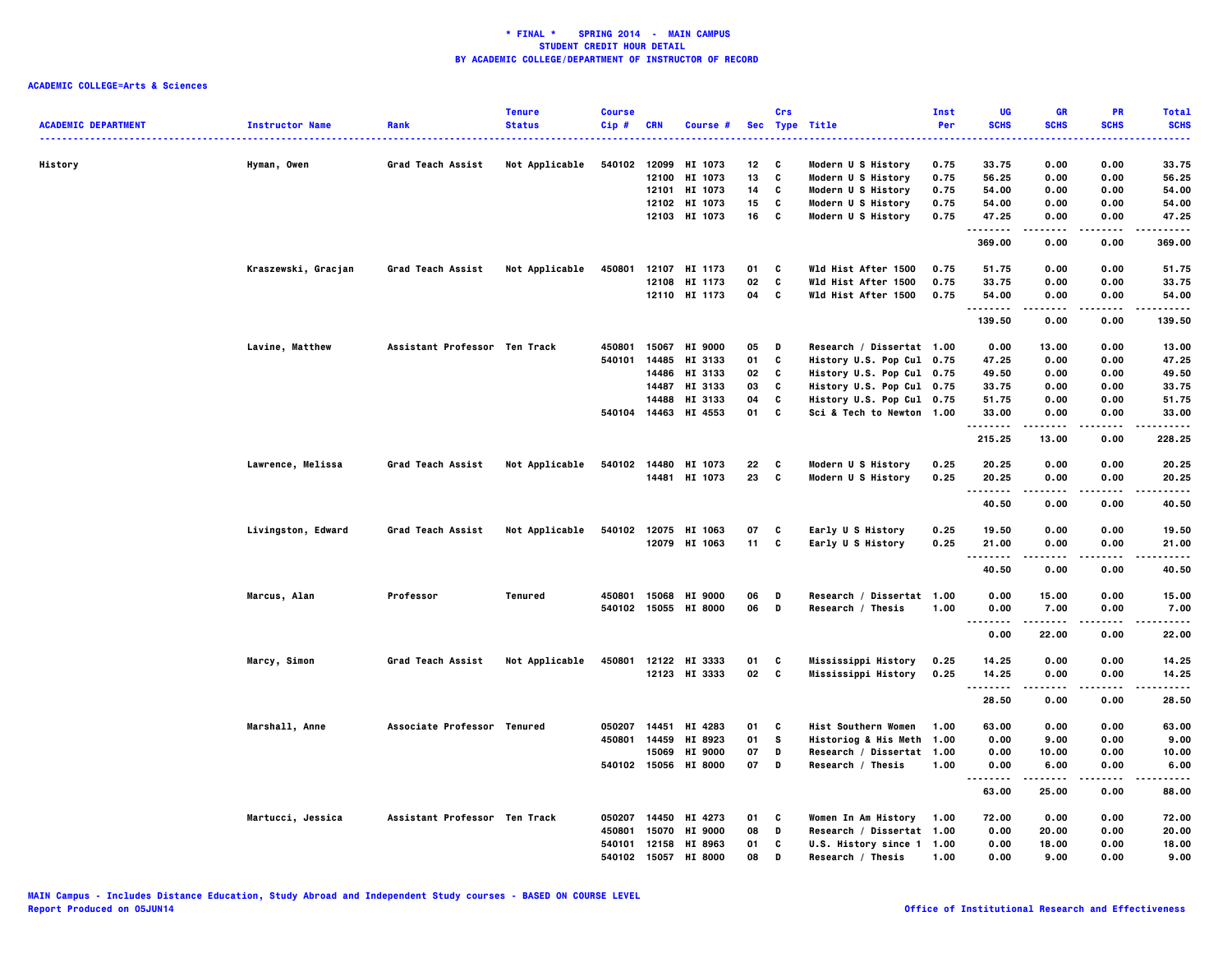| <b>ACADEMIC DEPARTMENT</b> | <b>Instructor Name</b> | Rank                          | <b>Tenure</b><br><b>Status</b> | <b>Course</b><br>$Cip$ #     | <b>CRN</b> | Course #             |          | Crs           | Sec Type Title                                 | Inst<br>Per | UG<br><b>SCHS</b> | <b>GR</b><br><b>SCHS</b> | <b>PR</b><br><b>SCHS</b> | <b>Total</b><br><b>SCHS</b><br>$\frac{1}{2} \left( \frac{1}{2} \right) \left( \frac{1}{2} \right) \left( \frac{1}{2} \right) \left( \frac{1}{2} \right)$ |
|----------------------------|------------------------|-------------------------------|--------------------------------|------------------------------|------------|----------------------|----------|---------------|------------------------------------------------|-------------|-------------------|--------------------------|--------------------------|----------------------------------------------------------------------------------------------------------------------------------------------------------|
| History                    | Hyman, Owen            | Grad Teach Assist             | Not Applicable                 |                              |            | 540102 12099 HI 1073 | 12       | C             | Modern U S History                             | 0.75        | 33.75             | 0.00                     | 0.00                     | 33.75                                                                                                                                                    |
|                            |                        |                               |                                |                              | 12100      | HI 1073              | 13       | C             | Modern U S History                             | 0.75        | 56.25             | 0.00                     | 0.00                     | 56.25                                                                                                                                                    |
|                            |                        |                               |                                |                              | 12101      | HI 1073              | 14       | C             | Modern U S History                             | 0.75        | 54.00             | 0.00                     | 0.00                     | 54.00                                                                                                                                                    |
|                            |                        |                               |                                |                              |            | 12102 HI 1073        | 15       | C             | Modern U S History                             | 0.75        | 54.00             | 0.00                     | 0.00                     | 54.00                                                                                                                                                    |
|                            |                        |                               |                                |                              |            | 12103 HI 1073        | 16       | C             | Modern U S History                             | 0.75        | 47.25<br>         | 0.00<br>-----            | 0.00                     | 47.25<br>.                                                                                                                                               |
|                            |                        |                               |                                |                              |            |                      |          |               |                                                |             | 369.00            | 0.00                     | 0.00                     | 369.00                                                                                                                                                   |
|                            | Kraszewski, Gracjan    | Grad Teach Assist             | Not Applicable                 | 450801                       |            | 12107 HI 1173        | 01       | C             | Wld Hist After 1500                            | 0.75        | 51.75             | 0.00                     | 0.00                     | 51.75                                                                                                                                                    |
|                            |                        |                               |                                |                              |            | 12108 HI 1173        | 02       | C             | Wld Hist After 1500                            | 0.75        | 33.75             | 0.00                     | 0.00                     | 33.75                                                                                                                                                    |
|                            |                        |                               |                                |                              |            | 12110 HI 1173        | 04       | C             | Wld Hist After 1500                            | 0.75        | 54.00<br>         | 0.00                     | 0.00                     | 54.00                                                                                                                                                    |
|                            |                        |                               |                                |                              |            |                      |          |               |                                                |             | 139.50            | 0.00                     | 0.00                     | 139.50                                                                                                                                                   |
|                            | Lavine, Matthew        | Assistant Professor Ten Track |                                | 450801                       | 15067      | <b>HI 9000</b>       | 05       | D             | Research / Dissertat 1.00                      |             | 0.00              | 13.00                    | 0.00                     | 13.00                                                                                                                                                    |
|                            |                        |                               |                                | 540101                       | 14485      | HI 3133              | 01       | C             | History U.S. Pop Cul 0.75                      |             | 47.25             | 0.00                     | 0.00                     | 47.25                                                                                                                                                    |
|                            |                        |                               |                                |                              |            | 14486 HI 3133        | 02       | C             | History U.S. Pop Cul 0.75                      |             | 49.50             | 0.00                     | 0.00                     | 49.50                                                                                                                                                    |
|                            |                        |                               |                                |                              | 14487      | HI 3133              | 03       | C             | History U.S. Pop Cul 0.75                      |             | 33.75             | 0.00                     | 0.00                     | 33.75                                                                                                                                                    |
|                            |                        |                               |                                |                              | 14488      | HI 3133              | 04       | C             | History U.S. Pop Cul 0.75                      |             | 51.75             | 0.00                     | 0.00                     | 51.75                                                                                                                                                    |
|                            |                        |                               |                                |                              |            | 540104 14463 HI 4553 | 01       | C             | Sci & Tech to Newton 1.00                      |             | 33.00<br>.        | 0.00                     | 0.00                     | 33.00<br>.                                                                                                                                               |
|                            |                        |                               |                                |                              |            |                      |          |               |                                                |             | 215.25            | 13.00                    | 0.00                     | 228.25                                                                                                                                                   |
|                            | Lawrence, Melissa      | Grad Teach Assist             | Not Applicable                 |                              |            | 540102 14480 HI 1073 | 22       | C             | Modern U S History                             | 0.25        | 20.25             | 0.00                     | 0.00                     | 20.25                                                                                                                                                    |
|                            |                        |                               |                                |                              |            | 14481 HI 1073        | 23       | <b>C</b>      | Modern U S History                             | 0.25        | 20.25             | 0.00                     | 0.00                     | 20.25                                                                                                                                                    |
|                            |                        |                               |                                |                              |            |                      |          |               |                                                |             | .                 | .                        | .                        | .                                                                                                                                                        |
|                            |                        |                               |                                |                              |            |                      |          |               |                                                |             | 40.50             | 0.00                     | 0.00                     | 40.50                                                                                                                                                    |
|                            | Livingston, Edward     | Grad Teach Assist             | Not Applicable                 |                              |            | 540102 12075 HI 1063 | 07       | C             | Early U S History                              | 0.25        | 19.50             | 0.00                     | 0.00                     | 19.50                                                                                                                                                    |
|                            |                        |                               |                                |                              |            | 12079 HI 1063        | 11       | c             | Early U S History                              | 0.25        | 21.00             | 0.00                     | 0.00                     | 21.00                                                                                                                                                    |
|                            |                        |                               |                                |                              |            |                      |          |               |                                                |             | --------<br>40.50 | .<br>0.00                | .<br>0.00                | .<br>40.50                                                                                                                                               |
|                            |                        |                               |                                |                              |            |                      |          |               |                                                |             |                   |                          |                          |                                                                                                                                                          |
|                            | Marcus, Alan           | Professor                     | Tenured                        | 450801                       |            | 15068 HI 9000        | 06       | D             | Research / Dissertat 1.00                      |             | 0.00              | 15.00                    | 0.00                     | 15.00                                                                                                                                                    |
|                            |                        |                               |                                |                              |            | 540102 15055 HI 8000 | 06       | D             | Research / Thesis                              | 1.00        | 0.00<br>          | 7.00<br>.                | 0.00<br>.                | 7.00<br>. <b>.</b> .                                                                                                                                     |
|                            |                        |                               |                                |                              |            |                      |          |               |                                                |             | 0.00              | 22.00                    | 0.00                     | 22.00                                                                                                                                                    |
|                            | Marcy, Simon           | Grad Teach Assist             | Not Applicable                 | 450801                       |            | 12122 HI 3333        | 01       | C             | Mississippi History                            | 0.25        | 14.25             | 0.00                     | 0.00                     | 14.25                                                                                                                                                    |
|                            |                        |                               |                                |                              |            | 12123 HI 3333        | 02       | <b>C</b>      | Mississippi History                            | 0.25        | 14.25             | 0.00                     | 0.00                     | 14.25                                                                                                                                                    |
|                            |                        |                               |                                |                              |            |                      |          |               |                                                |             | .<br>28.50        | 0.00                     | 0.00                     | .<br>28.50                                                                                                                                               |
|                            |                        |                               |                                |                              |            |                      |          |               |                                                |             |                   |                          |                          |                                                                                                                                                          |
|                            | Marshall, Anne         | Associate Professor Tenured   |                                | 050207 14451<br>450801 14459 |            | HI 4283<br>HI 8923   | 01<br>01 | C<br><b>S</b> | Hist Southern Women<br>Historiog & His Meth    | 1.00        | 63.00<br>0.00     | 0.00<br>9.00             | 0.00<br>0.00             | 63.00<br>9.00                                                                                                                                            |
|                            |                        |                               |                                |                              | 15069      | <b>HI 9000</b>       | 07       | D             |                                                | 1.00        | 0.00              | 10.00                    | 0.00                     | 10.00                                                                                                                                                    |
|                            |                        |                               |                                |                              |            | 540102 15056 HI 8000 | 07       | D             | Research / Dissertat 1.00<br>Research / Thesis | 1.00        | 0.00              | 6.00                     | 0.00                     | 6.00                                                                                                                                                     |
|                            |                        |                               |                                |                              |            |                      |          |               |                                                |             |                   |                          |                          | . <b>.</b> .                                                                                                                                             |
|                            |                        |                               |                                |                              |            |                      |          |               |                                                |             | 63.00             | 25.00                    | 0.00                     | 88.00                                                                                                                                                    |
|                            | Martucci, Jessica      | Assistant Professor Ten Track |                                | 050207 14450                 |            | HI 4273              | 01       | C             | Women In Am History                            | 1.00        | 72.00             | 0.00                     | 0.00                     | 72.00                                                                                                                                                    |
|                            |                        |                               |                                | 450801                       | 15070      | <b>HI 9000</b>       | 08       | $\mathbf D$   | Research / Dissertat 1.00                      |             | 0.00              | 20.00                    | 0.00                     | 20.00                                                                                                                                                    |
|                            |                        |                               |                                | 540101                       | 12158      | HI 8963              | 01       | C             | U.S. History since 1 1.00                      |             | 0.00              | 18.00                    | 0.00                     | 18.00                                                                                                                                                    |
|                            |                        |                               |                                | 540102 15057                 |            | <b>HI 8000</b>       | 08       | D             | Research / Thesis                              | 1.00        | 0.00              | 9.00                     | 0.00                     | 9.00                                                                                                                                                     |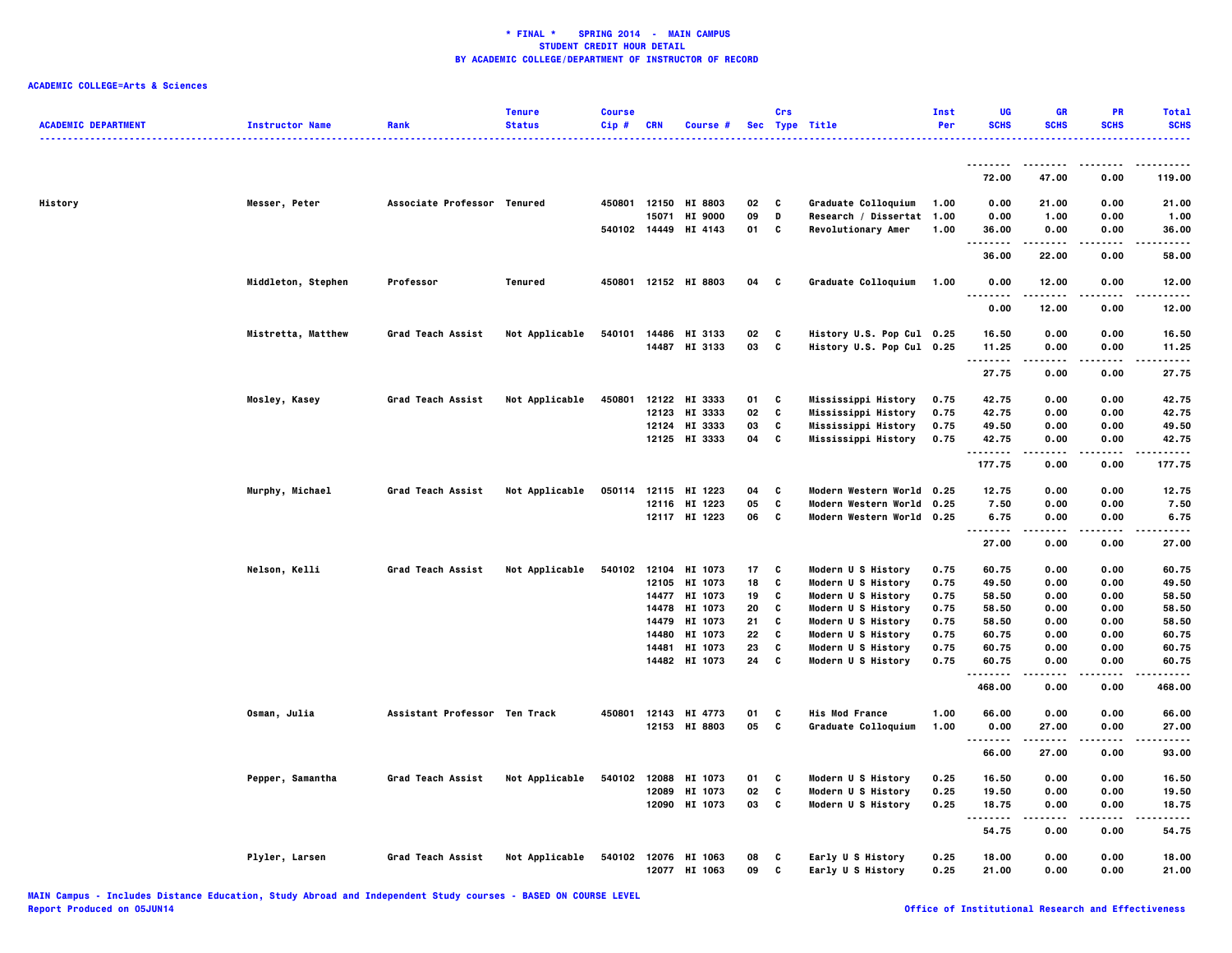| <b>ACADEMIC DEPARTMENT</b> | <b>Instructor Name</b> | Rank                          | <b>Tenure</b><br><b>Status</b> | <b>Course</b><br>Cip# | <b>CRN</b>     | Course #                               |          | Crs    | Sec Type Title                                         | Inst<br>Per  | UG<br><b>SCHS</b> | GR<br><b>SCHS</b> | PR<br><b>SCHS</b> | <b>Total</b><br><b>SCHS</b> |
|----------------------------|------------------------|-------------------------------|--------------------------------|-----------------------|----------------|----------------------------------------|----------|--------|--------------------------------------------------------|--------------|-------------------|-------------------|-------------------|-----------------------------|
|                            |                        |                               |                                |                       |                |                                        |          |        |                                                        |              | .                 |                   |                   | ------                      |
|                            |                        |                               |                                |                       |                |                                        |          |        |                                                        |              | 72.00             | -----<br>47.00    | 0.00              | 119.00                      |
| History                    | Messer, Peter          | Associate Professor Tenured   |                                |                       |                | 450801 12150 HI 8803                   | 02       | C      | Graduate Colloquium                                    | 1.00         | 0.00              | 21.00             | 0.00              | 21.00                       |
|                            |                        |                               |                                |                       | 15071          | <b>HI 9000</b><br>540102 14449 HI 4143 | 09<br>01 | D<br>C | Research / Dissertat 1.00<br>Revolutionary Amer        | 1.00         | 0.00<br>36.00     | 1.00<br>0.00      | 0.00<br>0.00      | 1.00<br>36.00               |
|                            |                        |                               |                                |                       |                |                                        |          |        |                                                        |              | --------<br>36.00 | -----<br>22.00    | .<br>0.00         | -----<br>58.00              |
|                            | Middleton, Stephen     | Professor                     | Tenured                        |                       |                | 450801 12152 HI 8803                   | 04       | C      | Graduate Colloquium                                    | 1.00         | 0.00<br>.<br>.    | 12.00<br>.        | 0.00<br>.         | 12.00<br>.                  |
|                            |                        |                               |                                |                       |                |                                        |          |        |                                                        |              | 0.00              | 12.00             | 0.00              | 12.00                       |
|                            | Mistretta, Matthew     | Grad Teach Assist             | Not Applicable                 | 540101                |                | 14486 HI 3133<br>14487 HI 3133         | 02<br>03 | C<br>C | History U.S. Pop Cul 0.25<br>History U.S. Pop Cul 0.25 |              | 16.50<br>11.25    | 0.00<br>0.00      | 0.00<br>0.00      | 16.50<br>11.25              |
|                            |                        |                               |                                |                       |                |                                        |          |        |                                                        |              | .                 |                   | .                 | .                           |
|                            |                        |                               |                                |                       |                |                                        |          |        |                                                        |              | 27.75             | 0.00              | 0.00              | 27.75                       |
|                            | Mosley, Kasey          | Grad Teach Assist             | Not Applicable                 | 450801                |                | 12122 HI 3333                          | 01       | C      | Mississippi History                                    | 0.75         | 42.75             | 0.00              | 0.00              | 42.75                       |
|                            |                        |                               |                                |                       |                | 12123 HI 3333                          | 02       | C      | Mississippi History                                    | 0.75         | 42.75             | 0.00              | 0.00              | 42.75                       |
|                            |                        |                               |                                |                       |                | 12124 HI 3333<br>12125 HI 3333         | 03<br>04 | c<br>C | Mississippi History<br>Mississippi History             | 0.75<br>0.75 | 49.50<br>42.75    | 0.00<br>0.00      | 0.00<br>0.00      | 49.50<br>42.75              |
|                            |                        |                               |                                |                       |                |                                        |          |        |                                                        |              | .                 | .                 | .                 | .                           |
|                            |                        |                               |                                |                       |                |                                        |          |        |                                                        |              | 177.75            | 0.00              | 0.00              | 177.75                      |
|                            | Murphy, Michael        | Grad Teach Assist             | Not Applicable                 |                       |                | 050114 12115 HI 1223                   | 04       | C      | Modern Western World 0.25                              |              | 12.75             | 0.00              | 0.00              | 12.75                       |
|                            |                        |                               |                                |                       |                | 12116 HI 1223                          | 05<br>06 | C<br>C | <b>Modern Western World</b>                            | 0.25         | 7.50              | 0.00              | 0.00              | 7.50                        |
|                            |                        |                               |                                |                       |                | 12117 HI 1223                          |          |        | Modern Western World 0.25                              |              | 6.75<br>.         | 0.00              | 0.00              | 6.75                        |
|                            |                        |                               |                                |                       |                |                                        |          |        |                                                        |              | 27.00             | 0.00              | 0.00              | 27.00                       |
|                            | Nelson, Kelli          | <b>Grad Teach Assist</b>      | Not Applicable                 | 540102                |                | 12104 HI 1073                          | 17       | C      | Modern U S History                                     | 0.75         | 60.75             | 0.00              | 0.00              | 60.75                       |
|                            |                        |                               |                                |                       |                | 12105 HI 1073                          | 18       | C      | Modern U S History                                     | 0.75         | 49.50             | 0.00              | 0.00              | 49.50                       |
|                            |                        |                               |                                |                       |                | 14477 HI 1073                          | 19       | C      | Modern U S History                                     | 0.75         | 58.50             | 0.00              | 0.00              | 58.50                       |
|                            |                        |                               |                                |                       | 14478<br>14479 | HI 1073<br>HI 1073                     | 20<br>21 | C<br>C | Modern U S History<br>Modern U S History               | 0.75<br>0.75 | 58.50<br>58.50    | 0.00<br>0.00      | 0.00<br>0.00      | 58.50<br>58.50              |
|                            |                        |                               |                                |                       | 14480          | HI 1073                                | 22       | C      | Modern U S History                                     | 0.75         | 60.75             | 0.00              | 0.00              | 60.75                       |
|                            |                        |                               |                                |                       |                | 14481 HI 1073                          | 23       | C      | Modern U S History                                     | 0.75         | 60.75             | 0.00              | 0.00              | 60.75                       |
|                            |                        |                               |                                |                       |                | 14482 HI 1073                          | 24       | C      | Modern U S History                                     | 0.75         | 60.75<br>.        | 0.00              | 0.00              | 60.75                       |
|                            |                        |                               |                                |                       |                |                                        |          |        |                                                        |              | 468.00            | 0.00              | 0.00              | 468.00                      |
|                            | Osman, Julia           | Assistant Professor Ten Track |                                |                       |                | 450801 12143 HI 4773                   | 01       | C      | <b>His Mod France</b>                                  | 1.00         | 66.00             | 0.00              | 0.00              | 66.00                       |
|                            |                        |                               |                                |                       |                | 12153 HI 8803                          | 05       | C      | Graduate Colloquium                                    | 1.00         | 0.00<br>.         | 27.00             | 0.00              | 27.00<br>-----              |
|                            |                        |                               |                                |                       |                |                                        |          |        |                                                        |              | 66.00             | 27.00             | 0.00              | 93.00                       |
|                            | Pepper, Samantha       | Grad Teach Assist             | Not Applicable                 | 540102                |                | 12088 HI 1073                          | 01       | C      | Modern U S History                                     | 0.25         | 16.50             | 0.00              | 0.00              | 16.50                       |
|                            |                        |                               |                                |                       |                | 12089 HI 1073                          | 02       | C      | Modern U S History                                     | 0.25         | 19.50             | 0.00              | 0.00              | 19.50                       |
|                            |                        |                               |                                |                       |                | 12090 HI 1073                          | 03       | C      | Modern U S History                                     | 0.25         | 18.75<br>         | 0.00              | 0.00<br>.         | 18.75                       |
|                            |                        |                               |                                |                       |                |                                        |          |        |                                                        |              | 54.75             | 0.00              | 0.00              | 54.75                       |
|                            | Plyler, Larsen         | <b>Grad Teach Assist</b>      | Not Applicable                 |                       |                | 540102 12076 HI 1063<br>12077 HI 1063  | 08<br>09 | c<br>c | Early U S History<br>Early U S History                 | 0.25<br>0.25 | 18.00<br>21.00    | 0.00<br>0.00      | 0.00<br>0.00      | 18.00<br>21.00              |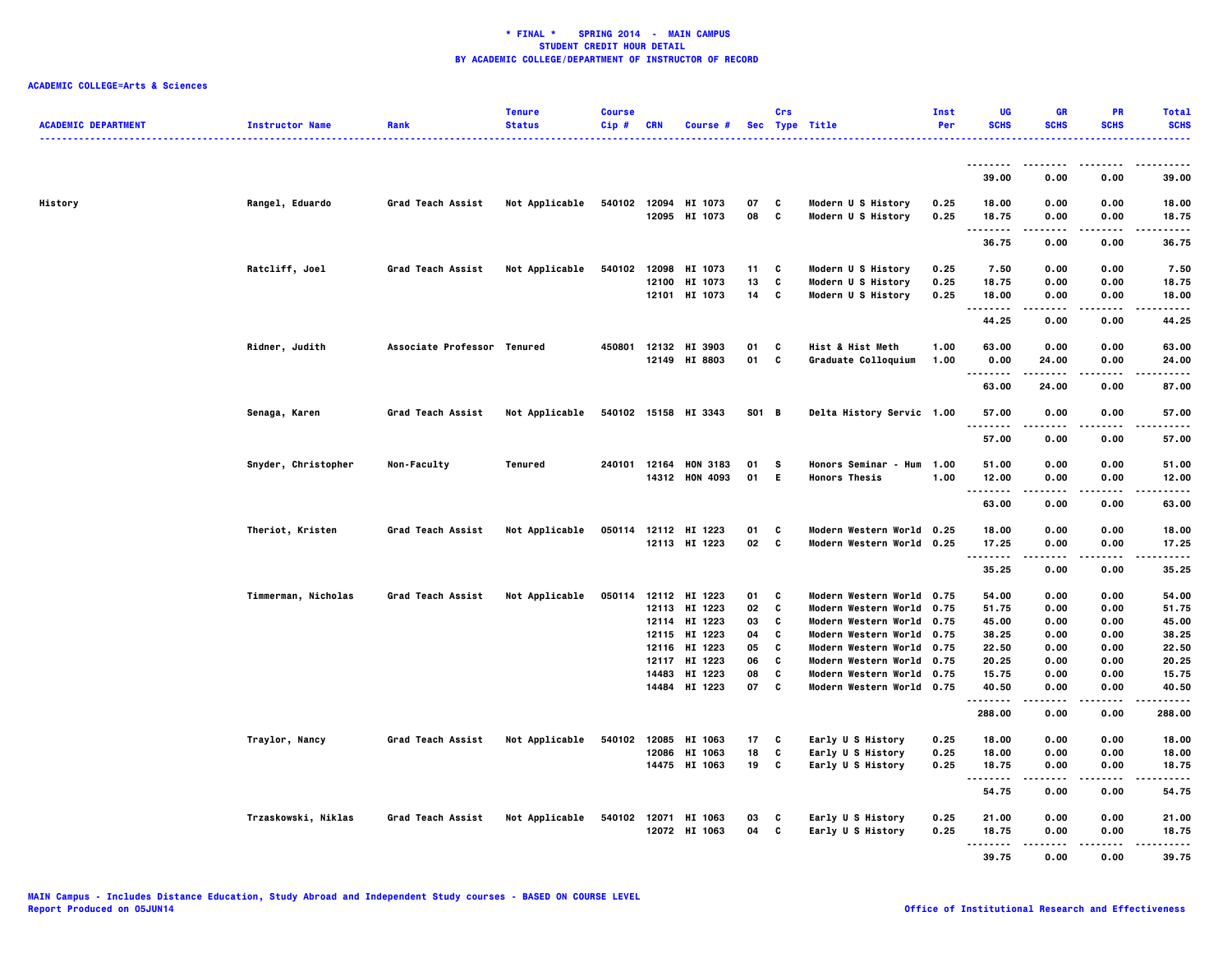| <b>ACADEMIC DEPARTMENT</b> | <b>Instructor Name</b> | Rank                        | <b>Tenure</b><br><b>Status</b> | <b>Course</b><br>$Cip$ # | <b>CRN</b>     | Course #                              |          | Crs    | Sec Type Title                                         | Inst<br>Per  | UG<br><b>SCHS</b>   | <b>GR</b><br><b>SCHS</b> | <b>PR</b><br><b>SCHS</b> | <b>Total</b><br><b>SCHS</b><br>. |
|----------------------------|------------------------|-----------------------------|--------------------------------|--------------------------|----------------|---------------------------------------|----------|--------|--------------------------------------------------------|--------------|---------------------|--------------------------|--------------------------|----------------------------------|
|                            |                        |                             |                                |                          |                |                                       |          |        |                                                        |              | --------            | ----                     | . <b>.</b> .             | .                                |
|                            |                        |                             |                                |                          |                |                                       |          |        |                                                        |              | 39.00               | 0.00                     | 0.00                     | 39.00                            |
| History                    | Rangel, Eduardo        | <b>Grad Teach Assist</b>    | Not Applicable                 |                          |                | 540102 12094 HI 1073<br>12095 HI 1073 | 07<br>08 | c<br>C | Modern U S History<br>Modern U S History               | 0.25<br>0.25 | 18.00<br>18.75<br>. | 0.00<br>0.00<br>.        | 0.00<br>0.00<br>.        | 18.00<br>18.75<br>.              |
|                            |                        |                             |                                |                          |                |                                       |          |        |                                                        |              | 36.75               | 0.00                     | 0.00                     | 36.75                            |
|                            | Ratcliff, Joel         | Grad Teach Assist           | Not Applicable                 | 540102                   | 12098          | HI 1073                               | 11       | C      | Modern U S History                                     | 0.25         | 7.50                | 0.00                     | 0.00                     | 7.50                             |
|                            |                        |                             |                                |                          | 12100          | HI 1073                               | 13       | C      | Modern U S History                                     | 0.25         | 18.75               | 0.00                     | 0.00                     | 18.75                            |
|                            |                        |                             |                                |                          |                | 12101 HI 1073                         | 14       | C      | Modern U S History                                     | 0.25         | 18.00<br>.          | 0.00                     | 0.00                     | 18.00                            |
|                            |                        |                             |                                |                          |                |                                       |          |        |                                                        |              | 44.25               | 0.00                     | 0.00                     | 44.25                            |
|                            | Ridner, Judith         | Associate Professor Tenured |                                |                          |                | 450801 12132 HI 3903                  | 01       | C      | Hist & Hist Meth                                       | 1.00         | 63.00               | 0.00                     | 0.00                     | 63.00                            |
|                            |                        |                             |                                |                          |                | 12149 HI 8803                         | 01       | C      | Graduate Colloquium                                    | 1.00         | 0.00<br>$- - - -$   | 24.00<br>.               | 0.00<br>.                | 24.00                            |
|                            |                        |                             |                                |                          |                |                                       |          |        |                                                        |              | 63.00               | 24.00                    | 0.00                     | 87.00                            |
|                            | Senaga, Karen          | Grad Teach Assist           | Not Applicable                 |                          |                | 540102 15158 HI 3343                  | S01 B    |        | Delta History Servic 1.00                              |              | 57.00<br>.          | 0.00<br>.                | 0.00<br>.                | 57.00<br>.                       |
|                            |                        |                             |                                |                          |                |                                       |          |        |                                                        |              | 57.00               | 0.00                     | 0.00                     | 57.00                            |
|                            | Snyder, Christopher    | Non-Faculty                 | Tenured                        |                          |                | 240101 12164 HON 3183                 | 01       | s      | Honors Seminar - Hum 1.00                              |              | 51.00               | 0.00                     | 0.00                     | 51.00                            |
|                            |                        |                             |                                |                          |                | 14312 HON 4093                        | 01       | E.     | <b>Honors Thesis</b>                                   | 1.00         | 12.00<br>.          | 0.00                     | 0.00                     | 12.00                            |
|                            |                        |                             |                                |                          |                |                                       |          |        |                                                        |              | 63.00               | 0.00                     | 0.00                     | 63.00                            |
|                            | Theriot, Kristen       | Grad Teach Assist           | Not Applicable                 | 050114                   |                | 12112 HI 1223                         | 01       | C      | Modern Western World 0.25                              |              | 18.00               | 0.00                     | 0.00                     | 18.00                            |
|                            |                        |                             |                                |                          |                | 12113 HI 1223                         | 02       | C      | Modern Western World 0.25                              |              | 17.25               | 0.00                     | 0.00                     | 17.25                            |
|                            |                        |                             |                                |                          |                |                                       |          |        |                                                        |              | .<br>35.25          | ----<br>0.00             | .<br>0.00                | .<br>35.25                       |
|                            | Timmerman, Nicholas    | Grad Teach Assist           | Not Applicable                 | 050114                   |                | 12112 HI 1223                         | 01       | C      | Modern Western World 0.75                              |              | 54.00               | 0.00                     | 0.00                     | 54.00                            |
|                            |                        |                             |                                |                          | 12113          | HI 1223                               | 02       | C      | Modern Western World 0.75                              |              | 51.75               | 0.00                     | 0.00                     | 51.75                            |
|                            |                        |                             |                                |                          |                | 12114 HI 1223                         | 03       | C      | Modern Western World 0.75                              |              | 45.00               | 0.00                     | 0.00                     | 45.00                            |
|                            |                        |                             |                                |                          |                | 12115 HI 1223                         | 04       | C      | Modern Western World 0.75                              |              | 38.25               | 0.00                     | 0.00                     | 38.25                            |
|                            |                        |                             |                                |                          | 12116          | HI 1223                               | 05       | C      | Modern Western World 0.75                              |              | 22.50               | 0.00                     | 0.00                     | 22.50                            |
|                            |                        |                             |                                |                          | 12117<br>14483 | HI 1223<br>HI 1223                    | 06<br>08 | C<br>C | Modern Western World 0.75                              |              | 20.25<br>15.75      | 0.00<br>0.00             | 0.00<br>0.00             | 20.25<br>15.75                   |
|                            |                        |                             |                                |                          |                | 14484 HI 1223                         | 07       | C      | Modern Western World 0.75<br>Modern Western World 0.75 |              | 40.50               | 0.00                     | 0.00                     | 40.50                            |
|                            |                        |                             |                                |                          |                |                                       |          |        |                                                        |              | .<br>288.00         | $\cdots$<br>0.00         | .<br>0.00                | .<br>288.00                      |
|                            | Traylor, Nancy         | Grad Teach Assist           | Not Applicable                 | 540102                   | 12085          | HI 1063                               | 17       | C      | Early U S History                                      | 0.25         | 18.00               | 0.00                     | 0.00                     | 18.00                            |
|                            |                        |                             |                                |                          | 12086          | HI 1063                               | 18       | C      | Early U S History                                      | 0.25         | 18.00               | 0.00                     | 0.00                     | 18.00                            |
|                            |                        |                             |                                |                          |                | 14475 HI 1063                         | 19       | C      | Early U S History                                      | 0.25         | 18.75<br>           | 0.00<br>----             | 0.00<br>.                | 18.75<br>----                    |
|                            |                        |                             |                                |                          |                |                                       |          |        |                                                        |              | 54.75               | 0.00                     | 0.00                     | 54.75                            |
|                            | Trzaskowski, Niklas    | <b>Grad Teach Assist</b>    | Not Applicable                 |                          |                | 540102 12071 HI 1063                  | 03       | c      | Early U S History                                      | 0.25         | 21.00               | 0.00                     | 0.00                     | 21.00                            |
|                            |                        |                             |                                |                          |                | 12072 HI 1063                         | 04       | C      | Early U S History                                      | 0.25         | 18.75               | 0.00                     | 0.00                     | 18.75                            |
|                            |                        |                             |                                |                          |                |                                       |          |        |                                                        |              | .<br>39.75          | $- - - -$<br>0.00        | .<br>0.00                | .<br>39.75                       |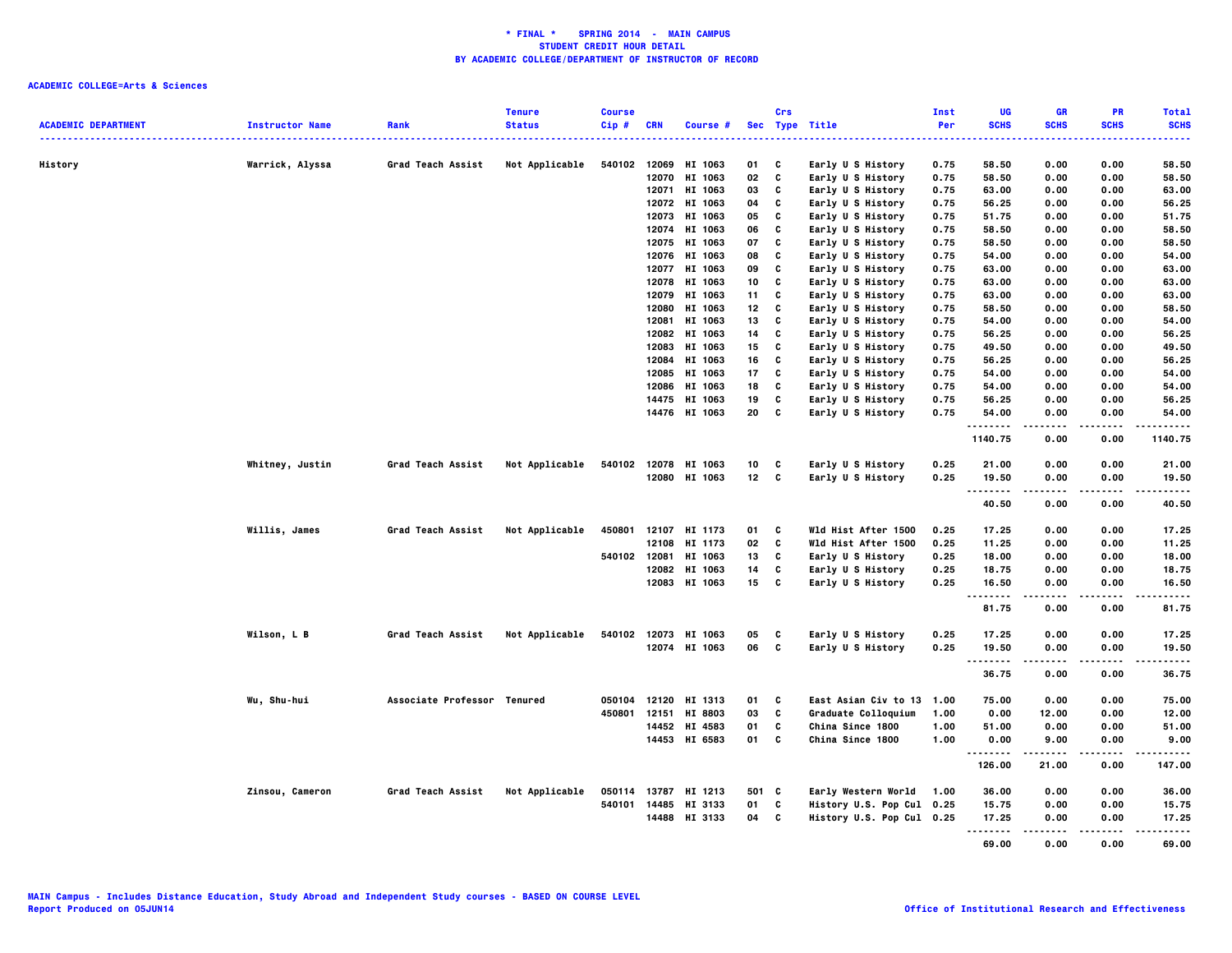|                            |                        |                             | <b>Tenure</b>  | <b>Course</b> |              |                      |                 | Crs          |                           | Inst | UG          | <b>GR</b>     | <b>PR</b>         | <b>Total</b> |
|----------------------------|------------------------|-----------------------------|----------------|---------------|--------------|----------------------|-----------------|--------------|---------------------------|------|-------------|---------------|-------------------|--------------|
| <b>ACADEMIC DEPARTMENT</b> | <b>Instructor Name</b> | Rank                        | <b>Status</b>  | $Cip$ #       | CRN          | <b>Course #</b>      | <b>Sec</b>      |              | <b>Type Title</b>         | Per  | <b>SCHS</b> | <b>SCHS</b>   | <b>SCHS</b>       | <b>SCHS</b>  |
|                            |                        |                             |                |               |              |                      |                 |              |                           | .    |             |               |                   | .            |
| History                    | Warrick, Alyssa        | Grad Teach Assist           | Not Applicable | 540102        | 12069        | HI 1063              | 01              | C            | Early U S History         | 0.75 | 58.50       | 0.00          | 0.00              | 58.50        |
|                            |                        |                             |                |               |              | 12070 HI 1063        | 02              | C            | Early U S History         | 0.75 | 58.50       | 0.00          | 0.00              | 58.50        |
|                            |                        |                             |                |               | 12071        | HI 1063              | 03              | C            | Early U S History         | 0.75 | 63.00       | 0.00          | 0.00              | 63.00        |
|                            |                        |                             |                |               |              | 12072 HI 1063        | 04              | c            | Early U S History         | 0.75 | 56.25       | 0.00          | 0.00              | 56.25        |
|                            |                        |                             |                |               |              | 12073 HI 1063        | 05              | C            | Early U S History         | 0.75 | 51.75       | 0.00          | 0.00              | 51.75        |
|                            |                        |                             |                |               | 12074        | HI 1063              | 06              | C            | Early U S History         | 0.75 | 58.50       | 0.00          | 0.00              | 58.50        |
|                            |                        |                             |                |               |              | 12075 HI 1063        | 07              | c            | Early U S History         | 0.75 | 58.50       | 0.00          | 0.00              | 58.50        |
|                            |                        |                             |                |               |              | 12076 HI 1063        | 08              | C            | Early U S History         | 0.75 | 54.00       | 0.00          | 0.00              | 54.00        |
|                            |                        |                             |                |               | 12077        | HI 1063              | 09              | C            | Early U S History         | 0.75 | 63.00       | 0.00          | 0.00              | 63.00        |
|                            |                        |                             |                |               |              | 12078 HI 1063        | 10              | c            | Early U S History         | 0.75 | 63.00       | 0.00          | 0.00              | 63.00        |
|                            |                        |                             |                |               | 12079        | HI 1063              | 11              | c            | Early U S History         | 0.75 | 63.00       | 0.00          | 0.00              | 63.00        |
|                            |                        |                             |                |               |              |                      |                 |              |                           |      |             |               |                   |              |
|                            |                        |                             |                |               | 12080        | HI 1063              | 12              | C            | Early U S History         | 0.75 | 58.50       | 0.00          | 0.00              | 58.50        |
|                            |                        |                             |                |               | 12081        | HI 1063              | 13              | c            | Early U S History         | 0.75 | 54.00       | 0.00          | 0.00              | 54.00        |
|                            |                        |                             |                |               | 12082        | HI 1063              | 14              | C            | Early U S History         | 0.75 | 56.25       | 0.00          | 0.00              | 56.25        |
|                            |                        |                             |                |               |              | 12083 HI 1063        | 15              | C            | Early U S History         | 0.75 | 49.50       | 0.00          | 0.00              | 49.50        |
|                            |                        |                             |                |               | 12084        | HI 1063              | 16              | C            | Early U S History         | 0.75 | 56.25       | 0.00          | 0.00              | 56.25        |
|                            |                        |                             |                |               |              | 12085 HI 1063        | 17              | C            | Early U S History         | 0.75 | 54.00       | 0.00          | 0.00              | 54.00        |
|                            |                        |                             |                |               |              | 12086 HI 1063        | 18              | C            | Early U S History         | 0.75 | 54.00       | 0.00          | 0.00              | 54.00        |
|                            |                        |                             |                |               | 14475        | HI 1063              | 19              | c            | Early U S History         | 0.75 | 56.25       | 0.00          | 0.00              | 56.25        |
|                            |                        |                             |                |               |              | 14476 HI 1063        | 20              | C            | Early U S History         | 0.75 | 54.00       | 0.00          | 0.00              | 54.00        |
|                            |                        |                             |                |               |              |                      |                 |              |                           |      | <br>1140.75 | -----<br>0.00 | .<br>0.00         | <br>1140.75  |
|                            |                        |                             |                |               |              |                      |                 |              |                           |      |             |               |                   |              |
|                            | Whitney, Justin        | Grad Teach Assist           | Not Applicable | 540102        |              | 12078 HI 1063        | 10              | C            | Early U S History         | 0.25 | 21.00       | 0.00          | 0.00              | 21.00        |
|                            |                        |                             |                |               |              | 12080 HI 1063        | 12 <sub>2</sub> | $\mathbf{c}$ | Early U S History         | 0.25 | 19.50       | 0.00          | 0.00              | 19.50        |
|                            |                        |                             |                |               |              |                      |                 |              |                           |      | .<br>40.50  | .<br>0.00     | $- - - -$<br>0.00 | .<br>40.50   |
|                            |                        |                             |                |               |              |                      |                 |              |                           |      |             |               |                   |              |
|                            | Willis, James          | Grad Teach Assist           | Not Applicable | 450801        |              | 12107 HI 1173        | 01              | C            | Wld Hist After 1500       | 0.25 | 17.25       | 0.00          | 0.00              | 17.25        |
|                            |                        |                             |                |               | 12108        | HI 1173              | 02              | C            | Wld Hist After 1500       | 0.25 | 11.25       | 0.00          | 0.00              | 11.25        |
|                            |                        |                             |                |               | 540102 12081 | HI 1063              | 13              | C            | Early U S History         | 0.25 | 18.00       | 0.00          | 0.00              | 18.00        |
|                            |                        |                             |                |               |              | 12082 HI 1063        | 14              | C            | Early U S History         | 0.25 | 18.75       | 0.00          | 0.00              | 18.75        |
|                            |                        |                             |                |               |              | 12083 HI 1063        | 15              | c            | Early U S History         | 0.25 | 16.50       | 0.00          | 0.00              | 16.50        |
|                            |                        |                             |                |               |              |                      |                 |              |                           |      |             |               | .                 | -----        |
|                            |                        |                             |                |               |              |                      |                 |              |                           |      | 81.75       | 0.00          | 0.00              | 81.75        |
|                            | Wilson, L B            | Grad Teach Assist           | Not Applicable |               |              | 540102 12073 HI 1063 | 05              | C            | Early U S History         | 0.25 | 17.25       | 0.00          | 0.00              | 17.25        |
|                            |                        |                             |                |               |              | 12074 HI 1063        | 06              | c            | Early U S History         | 0.25 | 19.50       | 0.00          | 0.00              | 19.50        |
|                            |                        |                             |                |               |              |                      |                 |              |                           |      | .           |               | ----              | .            |
|                            |                        |                             |                |               |              |                      |                 |              |                           |      | 36.75       | 0.00          | 0.00              | 36.75        |
|                            | Wu, Shu-hui            | Associate Professor Tenured |                | 050104        | 12120        | HI 1313              | 01              | C            | East Asian Civ to 13      | 1.00 | 75.00       | 0.00          | 0.00              | 75.00        |
|                            |                        |                             |                | 450801        | 12151        | HI 8803              | 03              | C            | Graduate Colloquium       | 1.00 | 0.00        | 12.00         | 0.00              | 12.00        |
|                            |                        |                             |                |               |              | 14452 HI 4583        | 01              | C            | China Since 1800          | 1.00 | 51.00       | 0.00          | 0.00              | 51.00        |
|                            |                        |                             |                |               |              | 14453 HI 6583        | 01              | c            | China Since 1800          | 1.00 | 0.00        | 9.00          | 0.00              | 9.00         |
|                            |                        |                             |                |               |              |                      |                 |              |                           |      | .           |               |                   | .            |
|                            |                        |                             |                |               |              |                      |                 |              |                           |      | 126.00      | 21.00         | 0.00              | 147.00       |
|                            | Zinsou, Cameron        | Grad Teach Assist           | Not Applicable |               |              | 050114 13787 HI 1213 | 501 C           |              | Early Western World       | 1.00 | 36.00       | 0.00          | 0.00              | 36.00        |
|                            |                        |                             |                | 540101        |              | 14485 HI 3133        | 01              | C            | History U.S. Pop Cul 0.25 |      | 15.75       | 0.00          | 0.00              | 15.75        |
|                            |                        |                             |                |               |              | 14488 HI 3133        | 04 C            |              | History U.S. Pop Cul 0.25 |      | 17.25       | 0.00          | 0.00              | 17.25        |
|                            |                        |                             |                |               |              |                      |                 |              |                           |      | .           | ------        | $- - - - -$       | .            |
|                            |                        |                             |                |               |              |                      |                 |              |                           |      | 69.00       | 0.00          | 0.00              | 69.00        |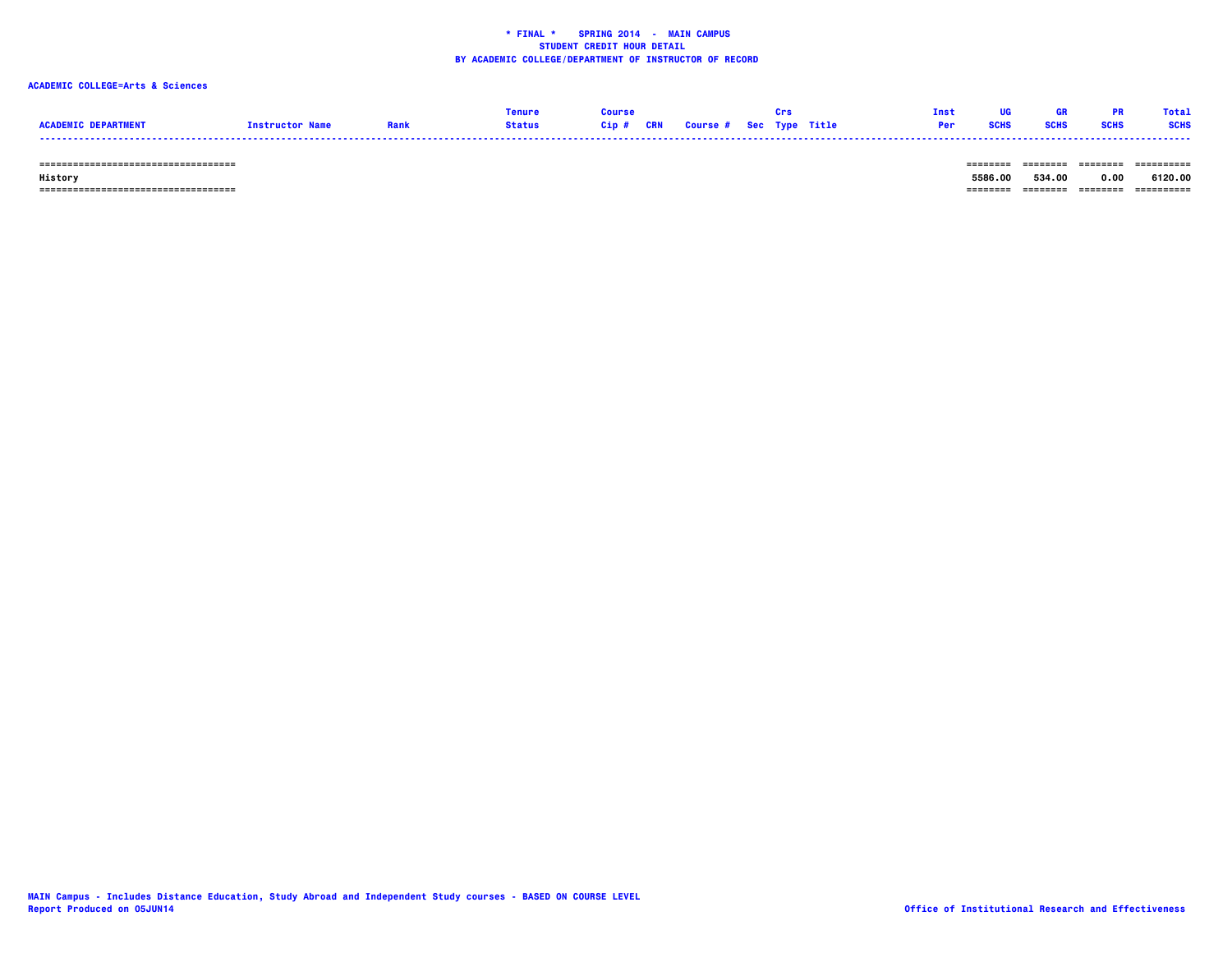# **ACADEMIC COLLEGE=Arts & Sciences**

|                            |                        |               |  |                                   |  | <b>Inst</b> | <b>TIG</b> |             | <b>DD</b>   | Total       |
|----------------------------|------------------------|---------------|--|-----------------------------------|--|-------------|------------|-------------|-------------|-------------|
| <b>ACADEMTC DEPARTMENT</b> | <b>Instructor Name</b> | <b>Status</b> |  | Cip # CRN Course # Sec Type Title |  | Per         | SCHS       | <b>SCHS</b> | <b>SCHS</b> | <b>SCHS</b> |
|                            |                        |               |  |                                   |  |             |            |             |             |             |

 **=================================== ======== ======== ======== ==========**

 **=================================== ======== ======== ======== ==========**

 **History 5586.00 534.00 0.00 6120.00**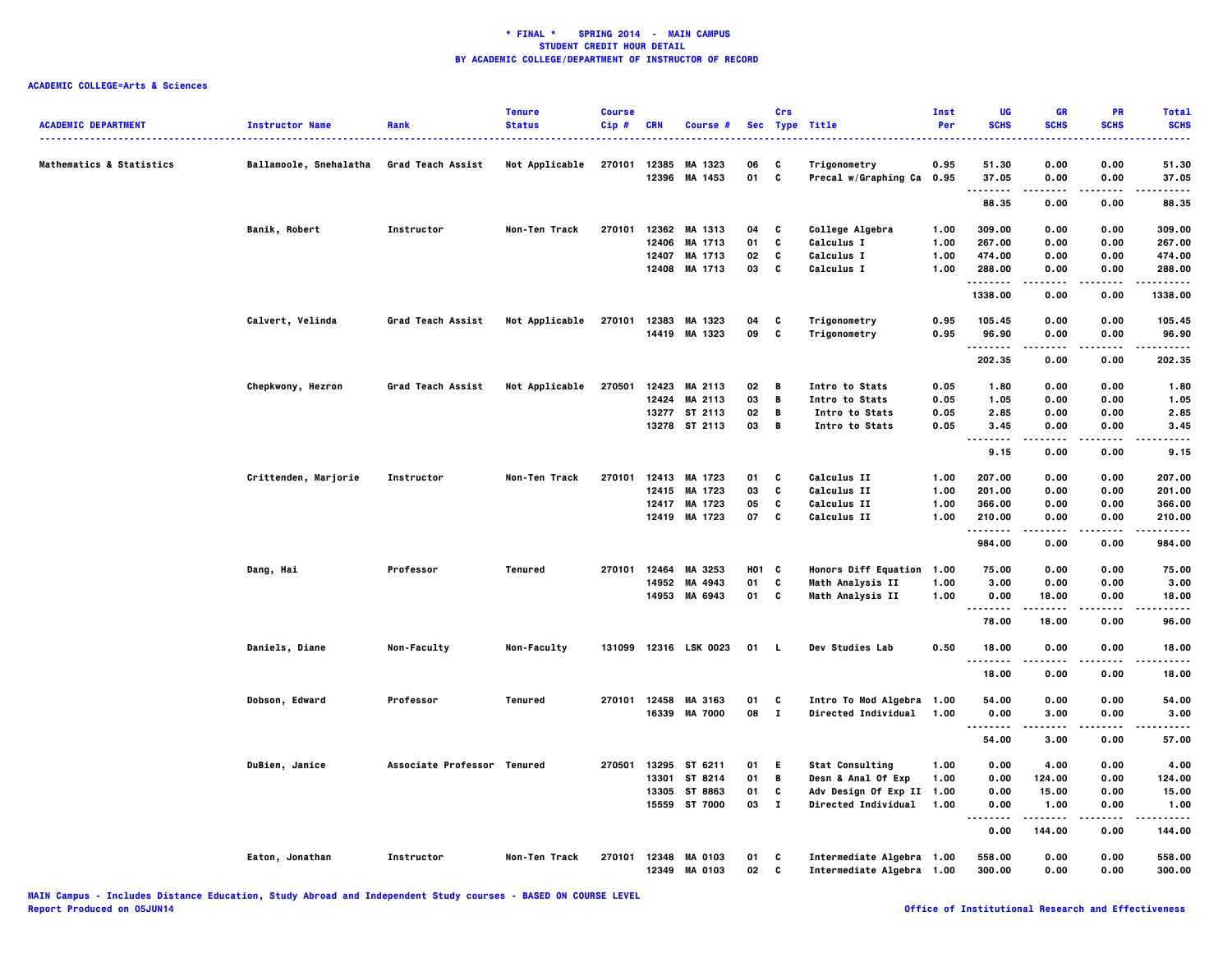| <b>ACADEMIC DEPARTMENT</b>          | <b>Instructor Name</b> | Rank                        | <b>Tenure</b><br><b>Status</b> | <b>Course</b><br>Cip# | <b>CRN</b>     | Course #                        |          | Crs          | Sec Type Title                                         | Inst<br>Per | UG<br><b>SCHS</b>       | <b>GR</b><br><b>SCHS</b> | PR<br><b>SCHS</b> | <b>Total</b><br><b>SCHS</b><br><b></b> |
|-------------------------------------|------------------------|-----------------------------|--------------------------------|-----------------------|----------------|---------------------------------|----------|--------------|--------------------------------------------------------|-------------|-------------------------|--------------------------|-------------------|----------------------------------------|
| <b>Mathematics &amp; Statistics</b> | Ballamoole, Snehalatha | Grad Teach Assist           | Not Applicable                 | 270101                | 12385<br>12396 | MA 1323<br>MA 1453              | 06<br>01 | C<br>c       | Trigonometry<br>Precal w/Graphing Ca 0.95              | 0.95        | 51.30<br>37.05          | 0.00<br>0.00             | 0.00<br>0.00      | 51.30<br>37.05                         |
|                                     |                        |                             |                                |                       |                |                                 |          |              |                                                        |             | .<br>88.35              | .<br>0.00                | 0.00              | .<br>88.35                             |
|                                     | Banik, Robert          | Instructor                  | Non-Ten Track                  | 270101                |                | 12362 MA 1313                   | 04       | C            |                                                        | 1.00        | 309.00                  | 0.00                     | 0.00              | 309.00                                 |
|                                     |                        |                             |                                |                       |                | 12406 MA 1713                   | 01       | C            | College Algebra<br>Calculus I                          | 1.00        | 267.00                  | 0.00                     | 0.00              | 267.00                                 |
|                                     |                        |                             |                                |                       |                | 12407 MA 1713                   | 02       | C            | Calculus I                                             | 1.00        | 474.00                  | 0.00                     | 0.00              | 474.00                                 |
|                                     |                        |                             |                                |                       |                | 12408 MA 1713                   | 03       | C            | <b>Calculus I</b>                                      | 1.00        | 288.00                  | 0.00                     | 0.00              | 288.00                                 |
|                                     |                        |                             |                                |                       |                |                                 |          |              |                                                        |             | . <b>.</b> .<br>1338.00 | 0.00                     | 0.00              | -----<br>1338.00                       |
|                                     | Calvert, Velinda       | Grad Teach Assist           | Not Applicable                 | 270101                |                | 12383 MA 1323                   | 04       | C            | Trigonometry                                           | 0.95        | 105.45                  | 0.00                     | 0.00              | 105.45                                 |
|                                     |                        |                             |                                |                       |                | 14419 MA 1323                   | 09       | C            | Trigonometry                                           | 0.95        | 96.90                   | 0.00                     | 0.00              | 96.90                                  |
|                                     |                        |                             |                                |                       |                |                                 |          |              |                                                        |             | <br>202.35              | 0.00                     | 0.00              | 202.35                                 |
|                                     | Chepkwony, Hezron      | Grad Teach Assist           | Not Applicable                 | 270501                |                | 12423 MA 2113                   | 02       | В            | <b>Intro to Stats</b>                                  | 0.05        | 1.80                    | 0.00                     | 0.00              | 1.80                                   |
|                                     |                        |                             |                                |                       | 12424          | MA 2113                         | 03       | B            | Intro to Stats                                         | 0.05        | 1.05                    | 0.00                     | 0.00              | 1.05                                   |
|                                     |                        |                             |                                |                       |                | 13277 ST 2113                   | 02       | B            | Intro to Stats                                         | 0.05        | 2.85                    | 0.00                     | 0.00              | 2.85                                   |
|                                     |                        |                             |                                |                       |                | 13278 ST 2113                   | 03       | B            | Intro to Stats                                         | 0.05        | 3.45                    | 0.00                     | 0.00              | 3.45                                   |
|                                     |                        |                             |                                |                       |                |                                 |          |              |                                                        |             | <br>9.15                | <br>0.00                 | 0.00              | -----<br>9.15                          |
|                                     | Crittenden, Marjorie   | Instructor                  | Non-Ten Track                  | 270101                |                | 12413 MA 1723                   | 01       | C            | <b>Calculus II</b>                                     | 1.00        | 207.00                  | 0.00                     | 0.00              | 207.00                                 |
|                                     |                        |                             |                                |                       |                | 12415 MA 1723                   | 03       | C            | Calculus II                                            | 1.00        | 201.00                  | 0.00                     | 0.00              | 201.00                                 |
|                                     |                        |                             |                                |                       | 12417          | MA 1723                         | 05       | C            | Calculus II                                            | 1.00        | 366.00                  | 0.00                     | 0.00              | 366.00                                 |
|                                     |                        |                             |                                |                       |                | 12419 MA 1723                   | 07       | C            | Calculus II                                            | 1.00        | 210.00                  | 0.00                     | 0.00              | 210.00                                 |
|                                     |                        |                             |                                |                       |                |                                 |          |              |                                                        |             | 984.00                  | 0.00                     | 0.00              | 984.00                                 |
|                                     | Dang, Hai              | Professor                   | Tenured                        | 270101                | 12464          | MA 3253                         | H01 C    |              | <b>Honors Diff Equation</b>                            | 1.00        | 75.00                   | 0.00                     | 0.00              | 75.00                                  |
|                                     |                        |                             |                                |                       | 14952          | MA 4943                         | 01       | C            | Math Analysis II                                       | 1.00        | 3.00                    | 0.00                     | 0.00              | 3.00                                   |
|                                     |                        |                             |                                |                       |                | 14953 MA 6943                   | 01       | C            | <b>Math Analysis II</b>                                | 1.00        | 0.00                    | 18.00                    | 0.00              | 18.00                                  |
|                                     |                        |                             |                                |                       |                |                                 |          |              |                                                        |             |                         | .                        | .                 | .                                      |
|                                     |                        |                             |                                |                       |                |                                 |          |              |                                                        |             | 78.00                   | 18.00                    | 0.00              | 96.00                                  |
|                                     | Daniels, Diane         | Non-Faculty                 | Non-Faculty                    | 131099                |                | 12316 LSK 0023                  | 01 L     |              | <b>Dev Studies Lab</b>                                 | 0.50        | 18.00<br>               | 0.00<br>.                | 0.00<br>.         | 18.00<br>. <b>.</b> .                  |
|                                     |                        |                             |                                |                       |                |                                 |          |              |                                                        |             | 18.00                   | 0.00                     | 0.00              | 18.00                                  |
|                                     | Dobson, Edward         | Professor                   | Tenured                        |                       |                | 270101 12458 MA 3163            | 01       | C            | Intro To Mod Algebra 1.00                              |             | 54.00                   | 0.00                     | 0.00              | 54.00                                  |
|                                     |                        |                             |                                |                       |                | 16339 MA 7000                   | 08       | $\mathbf{I}$ | Directed Individual 1.00                               |             | 0.00                    | 3.00                     | 0.00              | 3.00                                   |
|                                     |                        |                             |                                |                       |                |                                 |          |              |                                                        |             | --------<br>54.00       | -----<br>3.00            | 0.00              | .<br>57.00                             |
|                                     | DuBien, Janice         | Associate Professor Tenured |                                | 270501                |                | 13295 ST 6211                   | 01       | E.           | <b>Stat Consulting</b>                                 | 1.00        | 0.00                    | 4.00                     | 0.00              | 4.00                                   |
|                                     |                        |                             |                                |                       | 13301          | ST 8214                         | 01       | B            | Desn & Anal Of Exp                                     | 1.00        | 0.00                    | 124.00                   | 0.00              | 124.00                                 |
|                                     |                        |                             |                                |                       |                | 13305 ST 8863                   | 01       | C            | Adv Design Of Exp II                                   | 1.00        | 0.00                    | 15.00                    | 0.00              | 15.00                                  |
|                                     |                        |                             |                                |                       | 15559          | ST 7000                         | 03       | $\mathbf{I}$ | <b>Directed Individual</b>                             | 1.00        | 0.00                    | 1.00                     | 0.00              | 1.00                                   |
|                                     |                        |                             |                                |                       |                |                                 |          |              |                                                        |             | <br>.<br>0.00           | 144.00                   | .<br>0.00         | .<br>144.00                            |
|                                     | Eaton, Jonathan        | Instructor                  | Non-Ten Track                  | 270101                | 12349          | 12348 MA 0103<br><b>MA 0103</b> | 01<br>02 | C<br>C       | Intermediate Algebra 1.00<br>Intermediate Algebra 1.00 |             | 558.00<br>300.00        | 0.00<br>0.00             | 0.00<br>0.00      | 558.00<br>300.00                       |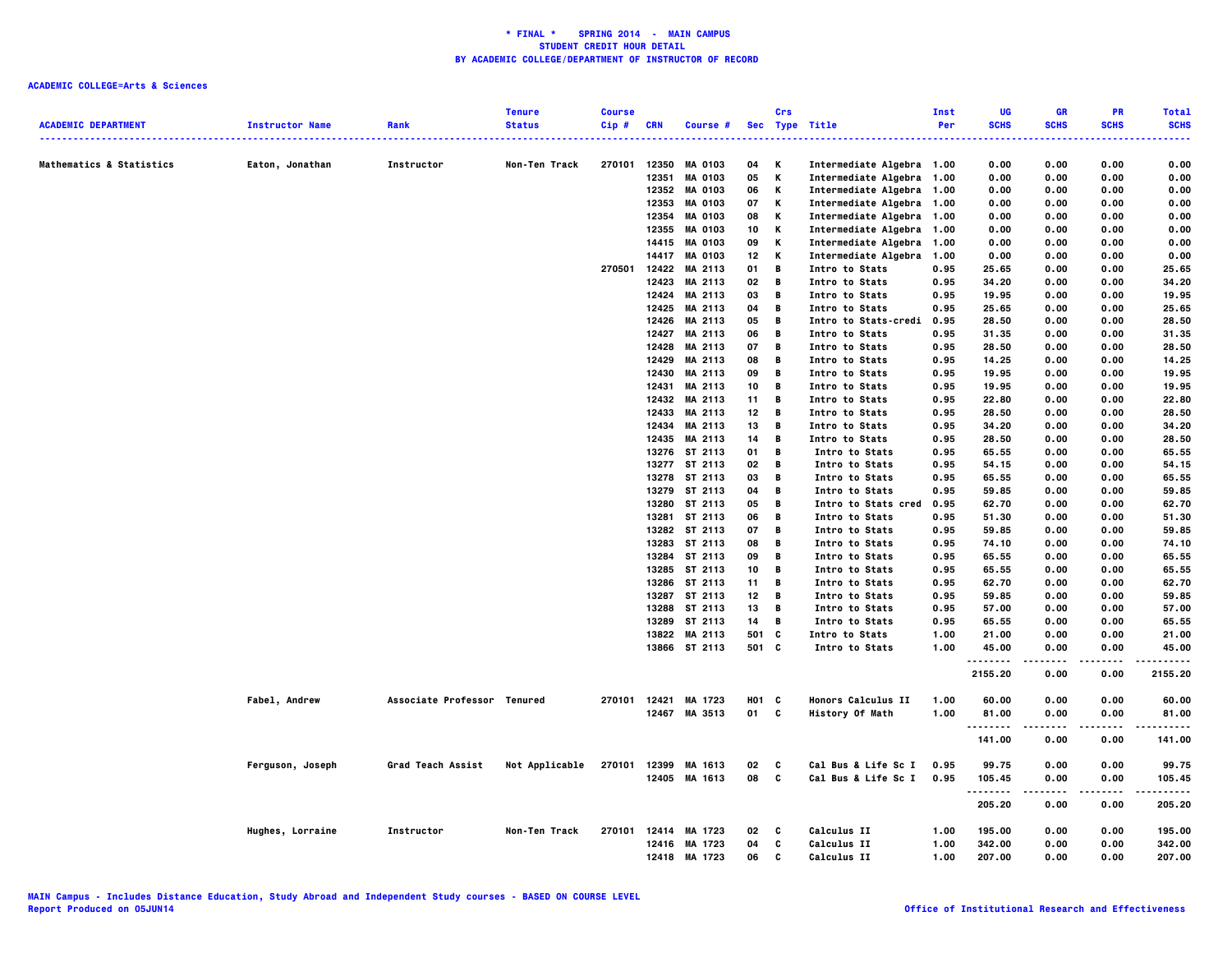|                                     |                        |                             | <b>Tenure</b>  | <b>Course</b> |            |                                       |            | Crs |                                                       | Inst         | UG               | GR           | PR           | <b>Total</b>    |
|-------------------------------------|------------------------|-----------------------------|----------------|---------------|------------|---------------------------------------|------------|-----|-------------------------------------------------------|--------------|------------------|--------------|--------------|-----------------|
| <b>ACADEMIC DEPARTMENT</b>          | <b>Instructor Name</b> | Rank                        | <b>Status</b>  | Cip#          | <b>CRN</b> | Course #                              |            |     | Sec Type Title                                        | Per          | <b>SCHS</b><br>. | <b>SCHS</b>  | <b>SCHS</b>  | <b>SCHS</b>     |
| <b>Mathematics &amp; Statistics</b> | Eaton, Jonathan        | Instructor                  | Non-Ten Track  | 270101        | 12350      | <b>MA 0103</b>                        | 04         | Κ   | Intermediate Algebra 1.00                             |              | 0.00             | 0.00         | 0.00         | 0.00            |
|                                     |                        |                             |                |               | 12351      | <b>MA 0103</b>                        | 05         | Κ   | Intermediate Algebra 1.00                             |              | 0.00             | 0.00         | 0.00         | 0.00            |
|                                     |                        |                             |                |               |            | 12352 MA 0103                         | 06         | Κ   | Intermediate Algebra 1.00                             |              | 0.00             | 0.00         | 0.00         | 0.00            |
|                                     |                        |                             |                |               | 12353      | <b>MA 0103</b>                        | 07         | Κ   | Intermediate Algebra 1.00                             |              | 0.00             | 0.00         | 0.00         | 0.00            |
|                                     |                        |                             |                |               | 12354      | <b>MA 0103</b>                        | 08         | К   | Intermediate Algebra 1.00                             |              | 0.00             | 0.00         | 0.00         | 0.00            |
|                                     |                        |                             |                |               | 12355      | <b>MA 0103</b>                        | 10         | Κ   | Intermediate Algebra 1.00                             |              | 0.00             | 0.00         | 0.00         | 0.00            |
|                                     |                        |                             |                |               |            | 14415 MA 0103                         | 09         | Κ   | Intermediate Algebra 1.00                             |              | 0.00             | 0.00         | 0.00         | 0.00            |
|                                     |                        |                             |                |               |            | 14417 MA 0103                         | 12         | Κ   | Intermediate Algebra 1.00                             |              | 0.00             | 0.00         | 0.00         | 0.00            |
|                                     |                        |                             |                | 270501        |            | 12422 MA 2113                         | 01         | B   | Intro to Stats                                        | 0.95         | 25.65            | 0.00         | 0.00         | 25.65           |
|                                     |                        |                             |                |               | 12423      | MA 2113                               | 02         | B   | Intro to Stats                                        | 0.95         | 34.20            | 0.00         | 0.00         | 34.20           |
|                                     |                        |                             |                |               |            | 12424 MA 2113                         | 03         | В   | Intro to Stats                                        | 0.95         | 19.95            | 0.00         | 0.00         | 19.95           |
|                                     |                        |                             |                |               |            | 12425 MA 2113                         | 04         | В   | Intro to Stats                                        | 0.95         | 25.65            | 0.00         | 0.00         | 25.65           |
|                                     |                        |                             |                |               |            | 12426 MA 2113                         | 05         | В   | Intro to Stats-credi                                  | 0.95         | 28.50            | 0.00         | 0.00         | 28.50           |
|                                     |                        |                             |                |               |            | 12427 MA 2113                         | 06         | B   | Intro to Stats                                        | 0.95         | 31.35            | 0.00         | 0.00         | 31.35           |
|                                     |                        |                             |                |               |            | 12428 MA 2113                         | 07         | B   | Intro to Stats                                        | 0.95         | 28.50            | 0.00         | 0.00         | 28.50           |
|                                     |                        |                             |                |               |            | 12429 MA 2113                         | 08         | в   | Intro to Stats                                        | 0.95         | 14.25            | 0.00         | 0.00         | 14.25           |
|                                     |                        |                             |                |               |            | 12430 MA 2113                         | 09         | В   | Intro to Stats                                        | 0.95         | 19.95            | 0.00         | 0.00         | 19.95           |
|                                     |                        |                             |                |               | 12431      | MA 2113                               | 10         | В   | Intro to Stats                                        | 0.95         | 19.95            | 0.00         | 0.00         | 19.95           |
|                                     |                        |                             |                |               |            | 12432 MA 2113                         | 11         | В   | Intro to Stats                                        | 0.95         | 22.80            | 0.00         | 0.00         | 22.80           |
|                                     |                        |                             |                |               |            | 12433 MA 2113                         | 12         | В   | Intro to Stats                                        | 0.95         | 28.50            | 0.00         | 0.00         | 28.50           |
|                                     |                        |                             |                |               |            | 12434 MA 2113                         | 13         | В   | Intro to Stats                                        | 0.95         | 34.20            | 0.00         | 0.00         | 34.20           |
|                                     |                        |                             |                |               |            | 12435 MA 2113                         | 14         | B   | Intro to Stats                                        | 0.95         | 28.50            | 0.00         | 0.00         | 28.50           |
|                                     |                        |                             |                |               |            | 13276 ST 2113                         | 01         | В   | Intro to Stats                                        | 0.95         | 65.55            | 0.00         | 0.00         | 65.55           |
|                                     |                        |                             |                |               |            | 13277 ST 2113                         | 02         | В   | Intro to Stats                                        | 0.95         | 54.15            | 0.00         | 0.00         | 54.15           |
|                                     |                        |                             |                |               |            | 13278 ST 2113                         | 03         | В   | Intro to Stats                                        | 0.95         | 65.55            | 0.00         | 0.00         | 65.55           |
|                                     |                        |                             |                |               |            | 13279 ST 2113                         | 04         | В   | Intro to Stats                                        | 0.95         | 59.85            | 0.00         | 0.00         | 59.85           |
|                                     |                        |                             |                |               |            | 13280 ST 2113                         | 05         | В   | Intro to Stats cred                                   | 0.95         | 62.70            | 0.00         | 0.00         | 62.70           |
|                                     |                        |                             |                |               |            | 13281 ST 2113                         | 06         | В   | Intro to Stats                                        | 0.95         | 51.30            | 0.00         | 0.00         | 51.30           |
|                                     |                        |                             |                |               |            | 13282 ST 2113                         | 07         | В   | Intro to Stats                                        | 0.95         | 59.85            | 0.00         | 0.00         | 59.85           |
|                                     |                        |                             |                |               | 13283      | ST 2113                               | 08         | В   | Intro to Stats                                        | 0.95         | 74.10            | 0.00         | 0.00         | 74.10           |
|                                     |                        |                             |                |               |            | 13284 ST 2113                         | 09         | В   | Intro to Stats                                        | 0.95         | 65.55            | 0.00         | 0.00         | 65.55           |
|                                     |                        |                             |                |               |            | 13285 ST 2113                         | 10         | В   | Intro to Stats                                        | 0.95         | 65.55            | 0.00         | 0.00         | 65.55           |
|                                     |                        |                             |                |               |            | 13286 ST 2113                         | 11         | В   | Intro to Stats                                        | 0.95         | 62.70            | 0.00         | 0.00         | 62.70           |
|                                     |                        |                             |                |               |            | 13287 ST 2113                         | 12         | В   | Intro to Stats                                        | 0.95         | 59.85            | 0.00         | 0.00         | 59.85           |
|                                     |                        |                             |                |               |            | 13288 ST 2113                         | 13         | B   | Intro to Stats                                        | 0.95         | 57.00            | 0.00         | 0.00         | 57.00           |
|                                     |                        |                             |                |               |            | 13289 ST 2113                         | 14         | B   | Intro to Stats                                        | 0.95         | 65.55            | 0.00         | 0.00         | 65.55           |
|                                     |                        |                             |                |               |            | 13822 MA 2113                         | 501        | C   | Intro to Stats                                        | 1.00         | 21.00            | 0.00         | 0.00         | 21.00           |
|                                     |                        |                             |                |               |            | 13866 ST 2113                         | 501 C      |     | Intro to Stats                                        | 1.00         | 45.00<br>.       | 0.00<br>.    | 0.00<br>.    | 45.00<br>.      |
|                                     |                        |                             |                |               |            |                                       |            |     |                                                       |              | 2155.20          | 0.00         | 0.00         | 2155.20         |
|                                     | Fabel, Andrew          | Associate Professor Tenured |                | 270101 12421  |            | MA 1723                               | H01 C      |     | Honors Calculus II                                    | 1.00         | 60.00            | 0.00         | 0.00         | 60.00           |
|                                     |                        |                             |                |               |            | 12467 MA 3513                         | 01 C       |     | <b>History Of Math</b>                                | 1.00         | 81.00            | 0.00         | 0.00         | 81.00           |
|                                     |                        |                             |                |               |            |                                       |            |     |                                                       |              | .<br>141.00      | 0.00         | 0.00         | .<br>141.00     |
|                                     |                        |                             |                |               |            |                                       |            |     |                                                       |              |                  |              |              |                 |
|                                     | Ferguson, Joseph       | Grad Teach Assist           | Not Applicable |               |            | 270101 12399 MA 1613<br>12405 MA 1613 | 02<br>08 C | C   | <b>Cal Bus &amp; Life Sc I</b><br>Cal Bus & Life Sc I | 0.95<br>0.95 | 99.75<br>105.45  | 0.00<br>0.00 | 0.00<br>0.00 | 99.75<br>105.45 |
|                                     |                        |                             |                |               |            |                                       |            |     |                                                       |              | .                | .            | .            | $- - - - -$     |
|                                     |                        |                             |                |               |            |                                       |            |     |                                                       |              | 205.20           | 0.00         | 0.00         | 205.20          |
|                                     | Hughes, Lorraine       | Instructor                  | Non-Ten Track  | 270101        |            | 12414 MA 1723                         | 02         | C   | Calculus II                                           | 1.00         | 195.00           | 0.00         | 0.00         | 195.00          |
|                                     |                        |                             |                |               | 12416      | MA 1723                               | 04         | C   | Calculus II                                           | 1.00         | 342.00           | 0.00         | 0.00         | 342.00          |
|                                     |                        |                             |                |               | 12418      | MA 1723                               | 06         | C   | Calculus II                                           | 1.00         | 207.00           | 0.00         | 0.00         | 207.00          |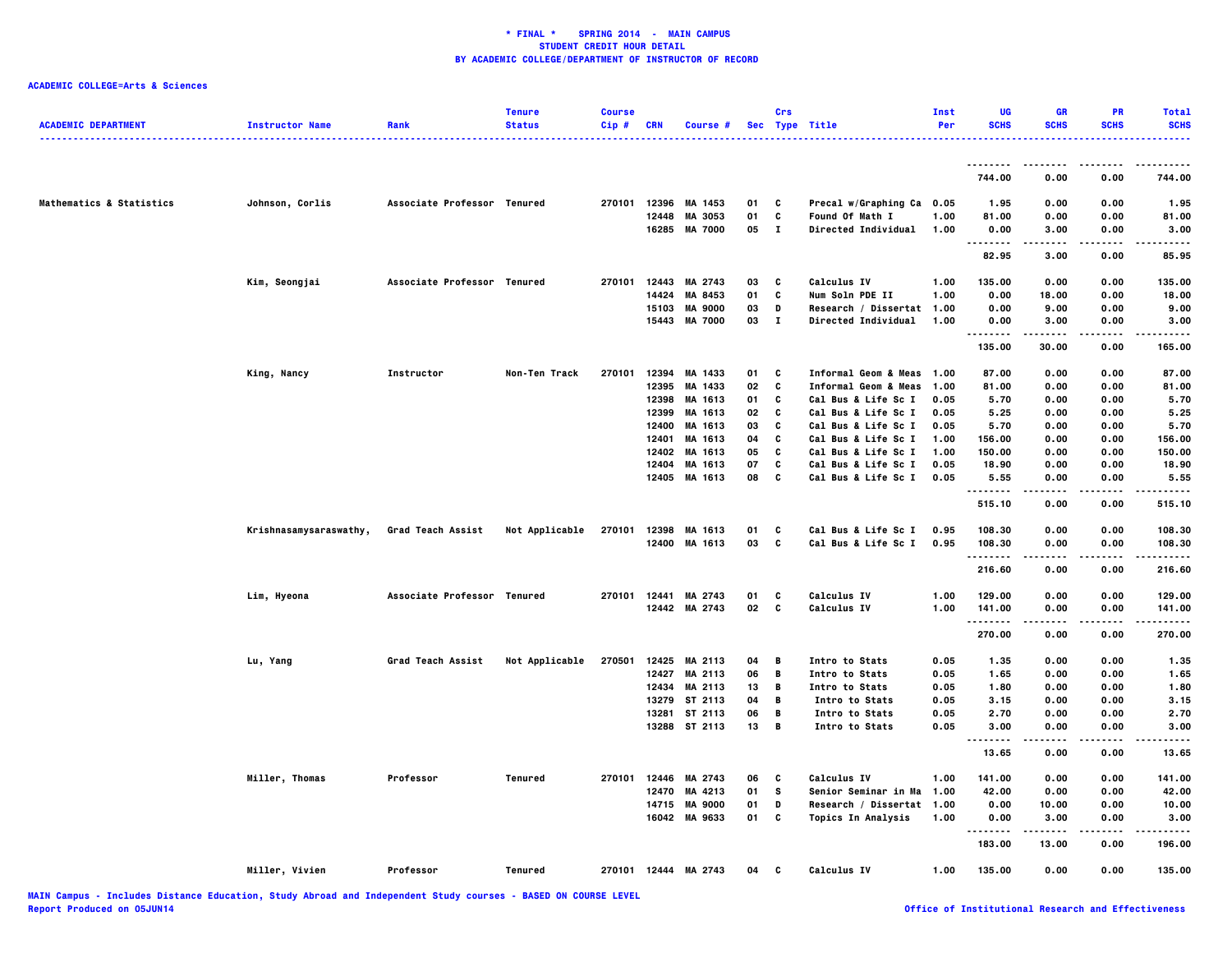| <b>ACADEMIC DEPARTMENT</b> | <b>Instructor Name</b> | Rank                        | <b>Tenure</b><br><b>Status</b> | <b>Course</b><br>Cip# | <b>CRN</b> | Course #             |    | Crs          | Sec Type Title                  | Inst<br>Per | UG<br><b>SCHS</b> | GR<br><b>SCHS</b>  | PR<br><b>SCHS</b> | <b>Total</b><br><b>SCHS</b><br>. |
|----------------------------|------------------------|-----------------------------|--------------------------------|-----------------------|------------|----------------------|----|--------------|---------------------------------|-------------|-------------------|--------------------|-------------------|----------------------------------|
|                            |                        |                             |                                |                       |            |                      |    |              |                                 |             |                   |                    |                   |                                  |
|                            |                        |                             |                                |                       |            |                      |    |              |                                 |             | 744.00            | 0.00               | 0.00              | 744.00                           |
| Mathematics & Statistics   | Johnson, Corlis        | Associate Professor Tenured |                                |                       |            | 270101 12396 MA 1453 | 01 | C            | Precal w/Graphing Ca 0.05       |             | 1.95              | 0.00               | 0.00              | 1.95                             |
|                            |                        |                             |                                |                       | 12448      | MA 3053              | 01 | C            | Found Of Math I                 | 1.00        | 81.00             | 0.00               | 0.00              | 81.00                            |
|                            |                        |                             |                                |                       |            | 16285 MA 7000        | 05 | $\mathbf{I}$ | <b>Directed Individual</b>      | 1.00        | 0.00<br>.         | 3.00<br>.          | 0.00<br>.         | 3.00<br>.                        |
|                            |                        |                             |                                |                       |            |                      |    |              |                                 |             | 82.95             | 3.00               | 0.00              | 85.95                            |
|                            | Kim, Seongjai          | Associate Professor Tenured |                                | 270101                |            | 12443 MA 2743        | 03 | C            | Calculus IV                     | 1.00        | 135.00            | 0.00               | 0.00              | 135.00                           |
|                            |                        |                             |                                |                       | 14424      | <b>MA 8453</b>       | 01 | C            | Num Soln PDE II                 | 1.00        | 0.00              | 18.00              | 0.00              | 18.00                            |
|                            |                        |                             |                                |                       | 15103      | <b>MA 9000</b>       | 03 | D            | Research / Dissertat 1.00       |             | 0.00              | 9.00               | 0.00              | 9.00                             |
|                            |                        |                             |                                |                       | 15443      | <b>MA 7000</b>       | 03 | $\mathbf{I}$ | <b>Directed Individual</b>      | 1.00        | 0.00<br>.         | 3.00<br>. <b>.</b> | 0.00<br>.         | 3.00<br>.                        |
|                            |                        |                             |                                |                       |            |                      |    |              |                                 |             | 135.00            | 30.00              | 0.00              | 165.00                           |
|                            | King, Nancy            | Instructor                  | Non-Ten Track                  | 270101                | 12394      | MA 1433              | 01 | c            | Informal Geom & Meas 1.00       |             | 87.00             | 0.00               | 0.00              | 87.00                            |
|                            |                        |                             |                                |                       | 12395      | MA 1433              | 02 | C            | <b>Informal Geom &amp; Meas</b> | 1.00        | 81.00             | 0.00               | 0.00              | 81.00                            |
|                            |                        |                             |                                |                       |            | 12398 MA 1613        | 01 | C            | Cal Bus & Life Sc I             | 0.05        | 5.70              | 0.00               | 0.00              | 5.70                             |
|                            |                        |                             |                                |                       | 12399      | MA 1613              | 02 | C            | Cal Bus & Life Sc I             | 0.05        | 5.25              | 0.00               | 0.00              | 5.25                             |
|                            |                        |                             |                                |                       | 12400      | MA 1613              | 03 | c            | Cal Bus & Life Sc I             | 0.05        | 5.70              | 0.00               | 0.00              | 5.70                             |
|                            |                        |                             |                                |                       | 12401      | MA 1613              | 04 | C            | Cal Bus & Life Sc I             | 1.00        | 156.00            | 0.00               | 0.00              | 156.00                           |
|                            |                        |                             |                                |                       | 12402      | MA 1613              | 05 | C            | Cal Bus & Life Sc I             | 1.00        | 150.00            | 0.00               | 0.00              | 150.00                           |
|                            |                        |                             |                                |                       | 12404      | MA 1613              | 07 | C            | Cal Bus & Life Sc I             | 0.05        | 18.90             | 0.00               | 0.00              | 18.90                            |
|                            |                        |                             |                                |                       |            | 12405 MA 1613        | 08 | C            | Cal Bus & Life Sc I             | 0.05        | 5.55<br>.         | 0.00               | 0.00              | 5.55<br>.                        |
|                            |                        |                             |                                |                       |            |                      |    |              |                                 |             | 515.10            | 0.00               | 0.00              | 515.10                           |
|                            | Krishnasamysaraswathy, | Grad Teach Assist           | Not Applicable                 | 270101                |            | 12398 MA 1613        | 01 | c            | Cal Bus & Life Sc I             | 0.95        | 108.30            | 0.00               | 0.00              | 108.30                           |
|                            |                        |                             |                                |                       |            | 12400 MA 1613        | 03 | C            | Cal Bus & Life Sc I             | 0.95        | 108.30            | 0.00               | 0.00              | 108.30                           |
|                            |                        |                             |                                |                       |            |                      |    |              |                                 |             | .<br>216.60       | 0.00               | 0.00              | .<br>216.60                      |
|                            |                        |                             |                                |                       |            |                      |    |              |                                 |             |                   |                    |                   |                                  |
|                            | Lim, Hyeona            | Associate Professor Tenured |                                |                       |            | 270101 12441 MA 2743 | 01 | C            | Calculus IV                     | 1.00        | 129.00            | 0.00               | 0.00              | 129.00                           |
|                            |                        |                             |                                |                       |            | 12442 MA 2743        | 02 | c            | Calculus IV                     | 1.00        | 141.00<br>.       | 0.00<br>.          | 0.00<br>.         | 141.00<br>. <b>.</b>             |
|                            |                        |                             |                                |                       |            |                      |    |              |                                 |             | 270.00            | 0.00               | 0.00              | 270.00                           |
|                            | Lu, Yang               | Grad Teach Assist           | Not Applicable                 | 270501                |            | 12425 MA 2113        | 04 | В            | Intro to Stats                  | 0.05        | 1.35              | 0.00               | 0.00              | 1.35                             |
|                            |                        |                             |                                |                       |            | 12427 MA 2113        | 06 | B            | Intro to Stats                  | 0.05        | 1.65              | 0.00               | 0.00              | 1.65                             |
|                            |                        |                             |                                |                       |            | 12434 MA 2113        | 13 | В            | Intro to Stats                  | 0.05        | 1.80              | 0.00               | 0.00              | 1.80                             |
|                            |                        |                             |                                |                       |            | 13279 ST 2113        | 04 | B            | Intro to Stats                  | 0.05        | 3.15              | 0.00               | 0.00              | 3.15                             |
|                            |                        |                             |                                |                       |            | 13281 ST 2113        | 06 | В            | Intro to Stats                  | 0.05        | 2.70              | 0.00               | 0.00              | 2.70                             |
|                            |                        |                             |                                |                       |            | 13288 ST 2113        | 13 | B            | Intro to Stats                  | 0.05        | 3.00<br>--------  | 0.00               | 0.00              | 3.00                             |
|                            |                        |                             |                                |                       |            |                      |    |              |                                 |             | 13.65             | 0.00               | 0.00              | 13.65                            |
|                            | Miller, Thomas         | Professor                   | Tenured                        |                       |            | 270101 12446 MA 2743 | 06 | c            | <b>Calculus IV</b>              | 1.00        | 141.00            | 0.00               | 0.00              | 141.00                           |
|                            |                        |                             |                                |                       | 12470      | MA 4213              | 01 | s            | Senior Seminar in Ma            | 1.00        | 42.00             | 0.00               | 0.00              | 42.00                            |
|                            |                        |                             |                                |                       | 14715      | <b>MA 9000</b>       | 01 | D            | Research / Dissertat 1.00       |             | 0.00              | 10.00              | 0.00              | 10.00                            |
|                            |                        |                             |                                |                       |            | 16042 MA 9633        | 01 | C            | <b>Topics In Analysis</b>       | 1.00        | 0.00              | 3.00               | 0.00              | 3.00                             |
|                            |                        |                             |                                |                       |            |                      |    |              |                                 |             | .<br>183.00       | -----<br>13.00     | .<br>0.00         | .<br>196.00                      |
|                            | Miller, Vivien         | Professor                   | Tenured                        |                       |            | 270101 12444 MA 2743 | 04 | c            | Calculus IV                     | 1.00        | 135.00            | 0.00               | 0.00              | 135.00                           |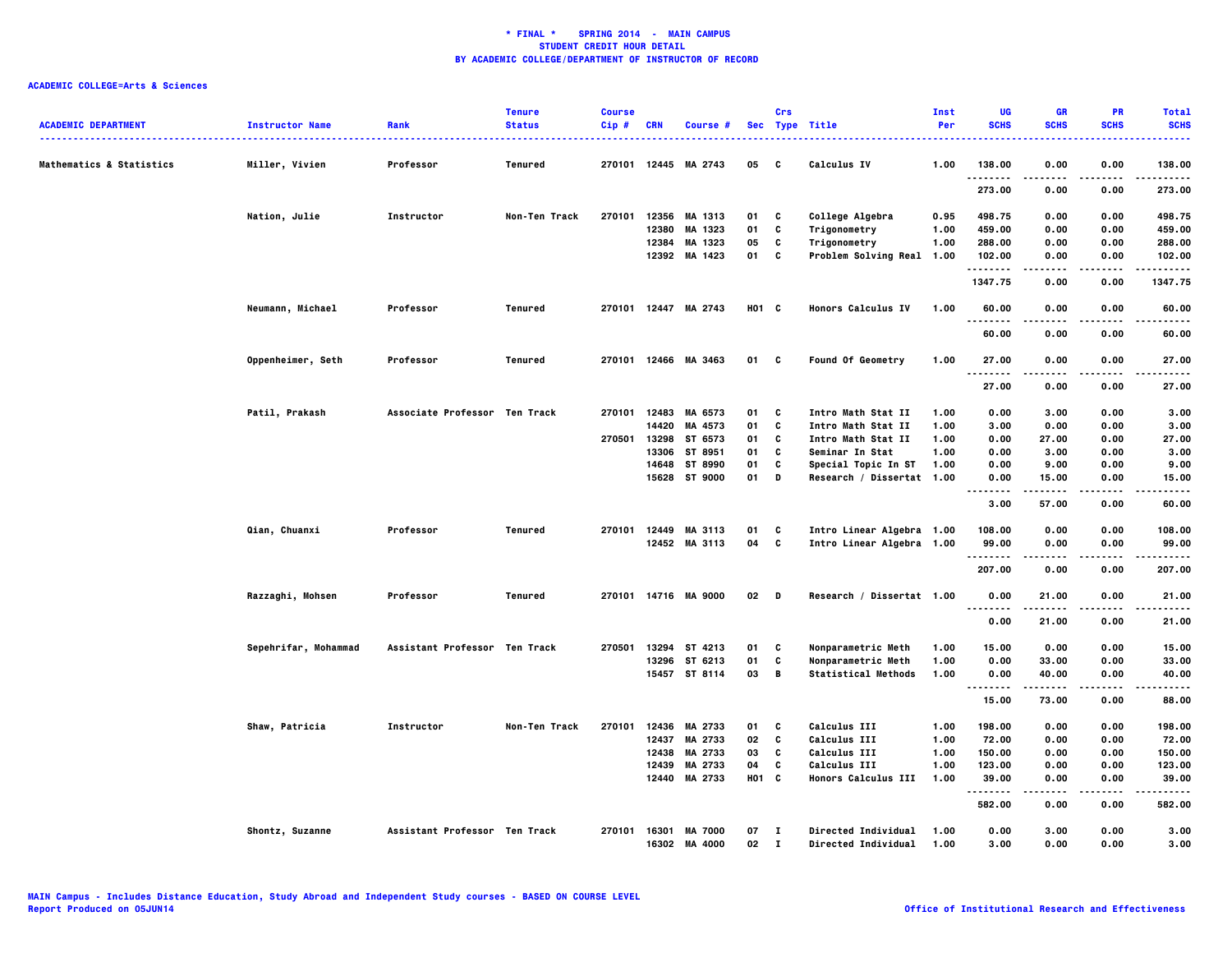| <b>ACADEMIC DEPARTMENT</b>          | <b>Instructor Name</b> | Rank                          | <b>Tenure</b><br><b>Status</b> | <b>Course</b><br>Cip# | <b>CRN</b> | Course #                        |                   | Crs                | Sec Type Title                                    | Inst<br>Per  | UG<br><b>SCHS</b>    | <b>GR</b><br><b>SCHS</b> | <b>PR</b><br><b>SCHS</b> | <b>Total</b><br><b>SCHS</b> |
|-------------------------------------|------------------------|-------------------------------|--------------------------------|-----------------------|------------|---------------------------------|-------------------|--------------------|---------------------------------------------------|--------------|----------------------|--------------------------|--------------------------|-----------------------------|
| <b>Mathematics &amp; Statistics</b> | Miller, Vivien         | Professor                     | Tenured                        |                       |            | 270101 12445 MA 2743            | 05                | c                  | <b>Calculus IV</b>                                | 1.00         | 138.00               | 0.00                     | 0.00                     | 138,00                      |
|                                     |                        |                               |                                |                       |            |                                 |                   |                    |                                                   |              | .<br>273.00          | -----<br>0.00            | .<br>0.00                | .<br>273.00                 |
|                                     | Nation, Julie          | Instructor                    | Non-Ten Track                  |                       |            | 270101 12356 MA 1313            | 01                | C                  | College Algebra                                   | 0.95         | 498.75               | 0.00                     | 0.00                     | 498.75                      |
|                                     |                        |                               |                                |                       | 12380      | MA 1323                         | 01                | C                  | Trigonometry                                      | 1.00         | 459.00               | 0.00                     | 0.00                     | 459.00                      |
|                                     |                        |                               |                                |                       | 12384      | MA 1323                         | 05                | C                  | Trigonometry                                      | 1.00         | 288.00               | 0.00                     | 0.00                     | 288.00                      |
|                                     |                        |                               |                                |                       |            | 12392 MA 1423                   | 01                | C                  | Problem Solving Real 1.00                         |              | 102.00<br>. <b>.</b> | 0.00                     | 0.00<br>.                | 102.00<br>.                 |
|                                     |                        |                               |                                |                       |            |                                 |                   |                    |                                                   |              | 1347.75              | 0.00                     | 0.00                     | 1347.75                     |
|                                     | Neumann, Michael       | Professor                     | Tenured                        |                       |            | 270101 12447 MA 2743            | H01 C             |                    | <b>Honors Calculus IV</b>                         | 1.00         | 60.00<br>.           | 0.00                     | 0.00<br>$\cdots$         | 60.00<br>.                  |
|                                     |                        |                               |                                |                       |            |                                 |                   |                    |                                                   |              | 60.00                | .<br>0.00                | 0.00                     | 60.00                       |
|                                     | Oppenheimer, Seth      | Professor                     | Tenured                        |                       |            | 270101 12466 MA 3463            | 01                | C                  | <b>Found Of Geometry</b>                          | 1.00         | 27.00                | 0.00                     | 0.00                     | 27.00                       |
|                                     |                        |                               |                                |                       |            |                                 |                   |                    |                                                   |              | .<br>27.00           | 0.00                     | 0.00                     | 27.00                       |
|                                     | Patil, Prakash         | Associate Professor Ten Track |                                |                       |            | 270101 12483 MA 6573            | 01                | C                  | Intro Math Stat II                                | 1.00         | 0.00                 | 3.00                     | 0.00                     | 3.00                        |
|                                     |                        |                               |                                |                       |            | 14420 MA 4573                   | 01                | C                  | Intro Math Stat II                                | 1.00         | 3.00                 | 0.00                     | 0.00                     | 3.00                        |
|                                     |                        |                               |                                | 270501                | 13298      | ST 6573                         | 01                | C                  | Intro Math Stat II                                | 1.00         | 0.00                 | 27.00                    | 0.00                     | 27.00                       |
|                                     |                        |                               |                                |                       | 13306      | ST 8951                         | 01                | C                  | Seminar In Stat                                   | 1.00         | 0.00                 | 3.00                     | 0.00                     | 3.00                        |
|                                     |                        |                               |                                |                       | 14648      | ST 8990                         | 01                | c                  | Special Topic In ST                               | 1.00         | 0.00                 | 9.00                     | 0.00                     | 9.00                        |
|                                     |                        |                               |                                |                       | 15628      | ST 9000                         | 01                | D                  | Research / Dissertat 1.00                         |              | 0.00                 | 15.00                    | 0.00                     | 15.00                       |
|                                     |                        |                               |                                |                       |            |                                 |                   |                    |                                                   |              | .<br>3.00            | .<br>57.00               | .<br>0.00                | .<br>60.00                  |
|                                     | Qian, Chuanxi          | Professor                     | Tenured                        |                       |            | 270101 12449 MA 3113            | 01                | C                  | Intro Linear Algebra 1.00                         |              | 108.00               | 0.00                     | 0.00                     | 108.00                      |
|                                     |                        |                               |                                |                       |            | 12452 MA 3113                   | 04 C              |                    | Intro Linear Algebra 1.00                         |              | 99.00                | 0.00                     | 0.00                     | 99.00                       |
|                                     |                        |                               |                                |                       |            |                                 |                   |                    |                                                   |              | .                    |                          |                          | .                           |
|                                     |                        |                               |                                |                       |            |                                 |                   |                    |                                                   |              | 207.00               | 0.00                     | 0.00                     | 207.00                      |
|                                     | Razzaghi, Mohsen       | Professor                     | Tenured                        |                       |            | 270101 14716 MA 9000            | $02$ D            |                    | Research / Dissertat 1.00                         |              | 0.00<br>.            | 21.00<br>.               | 0.00<br>.                | 21.00<br>.                  |
|                                     |                        |                               |                                |                       |            |                                 |                   |                    |                                                   |              | 0.00                 | 21.00                    | 0.00                     | 21.00                       |
|                                     | Sepehrifar, Mohammad   | Assistant Professor Ten Track |                                | 270501                | 13294      | ST 4213                         | 01                | C                  | Nonparametric Meth                                | 1.00         | 15.00                | 0.00                     | 0.00                     | 15.00                       |
|                                     |                        |                               |                                |                       |            | 13296 ST 6213                   | 01                | C                  | Nonparametric Meth                                | 1.00         | 0.00                 | 33.00                    | 0.00                     | 33.00                       |
|                                     |                        |                               |                                |                       |            | 15457 ST 8114                   | 03                | B                  | <b>Statistical Methods</b>                        | 1.00         | 0.00                 | 40.00                    | 0.00                     | 40.00                       |
|                                     |                        |                               |                                |                       |            |                                 |                   |                    |                                                   |              | <br>15.00            | . <b>.</b><br>73.00      | $- - - -$<br>0.00        | .<br>88.00                  |
|                                     | Shaw, Patricia         | Instructor                    | Non-Ten Track                  | 270101                |            | 12436 MA 2733                   | 01                | C                  | <b>Calculus III</b>                               | 1.00         | 198.00               | 0.00                     | 0.00                     | 198.00                      |
|                                     |                        |                               |                                |                       | 12437      | MA 2733                         | 02                | C                  | <b>Calculus III</b>                               | 1.00         | 72.00                | 0.00                     | 0.00                     | 72.00                       |
|                                     |                        |                               |                                |                       | 12438      | MA 2733                         | 03                | C                  | <b>Calculus III</b>                               | 1.00         | 150.00               | 0.00                     | 0.00                     | 150.00                      |
|                                     |                        |                               |                                |                       | 12439      | MA 2733                         | 04                | C                  | <b>Calculus III</b>                               | 1.00         | 123.00               | 0.00                     | 0.00                     | 123.00                      |
|                                     |                        |                               |                                |                       | 12440      | MA 2733                         | HO <sub>1</sub> C |                    | Honors Calculus III                               | 1.00         | 39.00                | 0.00                     | 0.00                     | 39.00                       |
|                                     |                        |                               |                                |                       |            |                                 |                   |                    |                                                   |              | .<br>582.00          | 0.00                     | 0.00                     | 582.00                      |
|                                     |                        |                               |                                |                       |            |                                 |                   |                    |                                                   |              |                      |                          |                          |                             |
|                                     | Shontz, Suzanne        | Assistant Professor Ten Track |                                |                       | 16302      | 270101 16301 MA 7000<br>MA 4000 | 07<br>02          | $\mathbf{I}$<br>л. | Directed Individual<br><b>Directed Individual</b> | 1.00<br>1.00 | 0.00<br>3.00         | 3.00<br>0.00             | 0.00<br>0.00             | 3.00<br>3.00                |
|                                     |                        |                               |                                |                       |            |                                 |                   |                    |                                                   |              |                      |                          |                          |                             |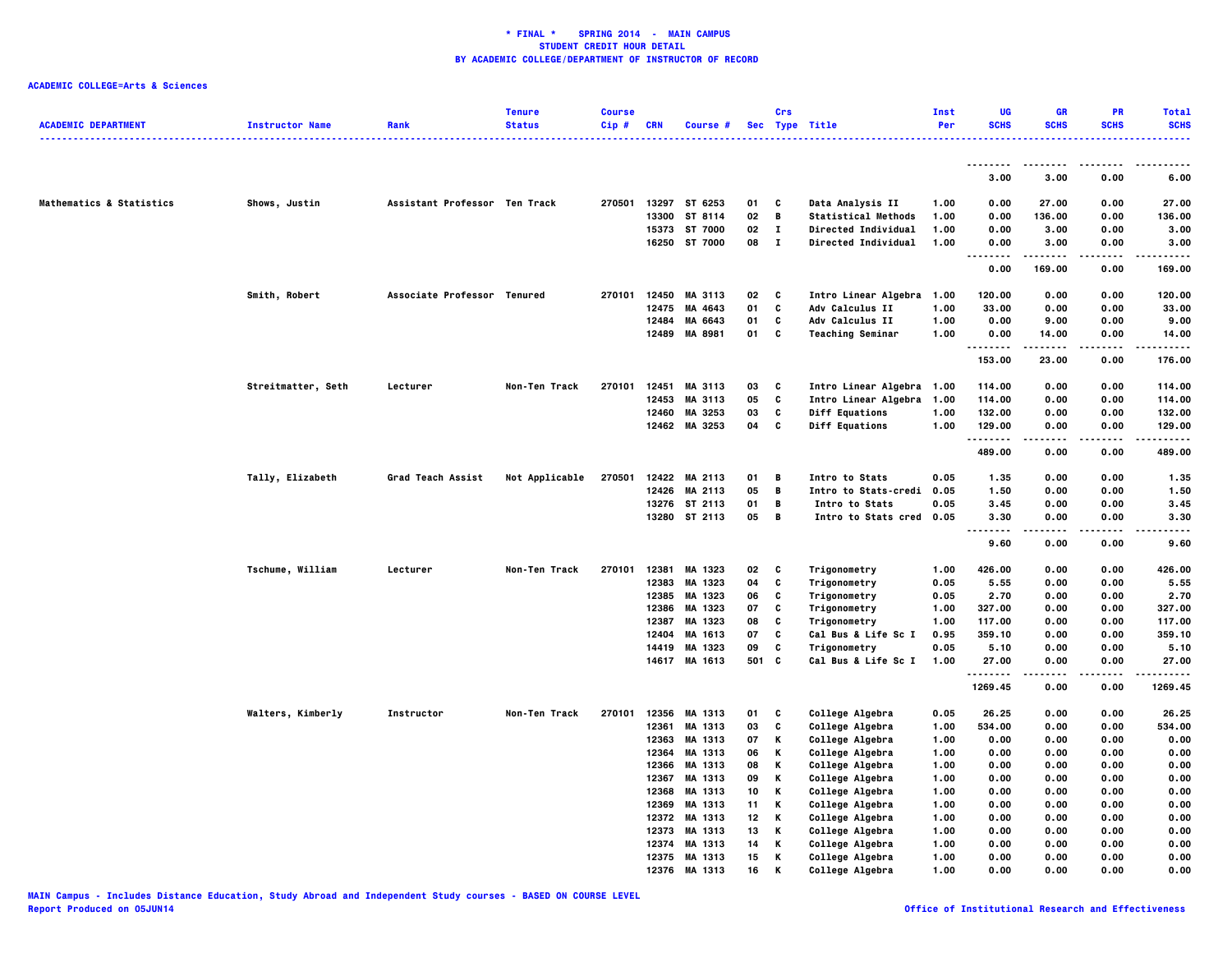| <b>ACADEMIC DEPARTMENT</b> | <b>Instructor Name</b> | Rank                          | <b>Tenure</b><br><b>Status</b> | <b>Course</b><br>Cip# | <b>CRN</b>     | Course #           |          | Crs          | Sec Type Title                     | Inst<br>Per  | UG<br><b>SCHS</b> | <b>GR</b><br><b>SCHS</b> | PR<br><b>SCHS</b> | <b>Total</b><br><b>SCHS</b> |
|----------------------------|------------------------|-------------------------------|--------------------------------|-----------------------|----------------|--------------------|----------|--------------|------------------------------------|--------------|-------------------|--------------------------|-------------------|-----------------------------|
|                            |                        |                               |                                |                       |                |                    |          |              |                                    |              |                   |                          |                   | .                           |
|                            |                        |                               |                                |                       |                |                    |          |              |                                    |              |                   | .                        |                   |                             |
|                            |                        |                               |                                |                       |                |                    |          |              |                                    |              | 3.00              | 3.00                     | 0.00              | 6.00                        |
| Mathematics & Statistics   | Shows, Justin          | Assistant Professor Ten Track |                                | 270501                |                | 13297 ST 6253      | 01       | c            | Data Analysis II                   | 1.00         | 0.00              | 27.00                    | 0.00              | 27.00                       |
|                            |                        |                               |                                |                       | 13300          | ST 8114            | 02       | В            | <b>Statistical Methods</b>         | 1.00         | 0.00              | 136.00                   | 0.00              | 136.00                      |
|                            |                        |                               |                                |                       | 15373          | ST 7000            | 02       | $\mathbf I$  | Directed Individual                | 1.00         | 0.00              | 3.00                     | 0.00              | 3.00                        |
|                            |                        |                               |                                |                       | 16250          | ST 7000            | 08       | $\mathbf{I}$ | Directed Individual                | 1.00         | 0.00<br>$- - - -$ | 3.00                     | 0.00<br>.         | 3.00<br>.                   |
|                            |                        |                               |                                |                       |                |                    |          |              |                                    |              | 0.00              | 169.00                   | 0.00              | 169.00                      |
|                            | Smith, Robert          | Associate Professor Tenured   |                                | 270101                | 12450          | MA 3113            | 02       | C            | Intro Linear Algebra               | 1.00         | 120.00            | 0.00                     | 0.00              | 120.00                      |
|                            |                        |                               |                                |                       | 12475          | MA 4643            | 01       | C            | <b>Adv Calculus II</b>             | 1.00         | 33.00             | 0.00                     | 0.00              | 33.00                       |
|                            |                        |                               |                                |                       | 12484          | MA 6643            | 01       | C            | <b>Adv Calculus II</b>             | 1.00         | 0.00              | 9.00                     | 0.00              | 9.00                        |
|                            |                        |                               |                                |                       |                | 12489 MA 8981      | 01       | C            | <b>Teaching Seminar</b>            | 1.00         | 0.00<br>          | 14.00<br>-----           | 0.00<br>.         | 14.00<br>.                  |
|                            |                        |                               |                                |                       |                |                    |          |              |                                    |              | 153.00            | 23.00                    | 0.00              | 176.00                      |
|                            | Streitmatter, Seth     | Lecturer                      | Non-Ten Track                  | 270101                |                | 12451 MA 3113      | 03       | C            | Intro Linear Algebra 1.00          |              | 114.00            | 0.00                     | 0.00              | 114.00                      |
|                            |                        |                               |                                |                       | 12453          | MA 3113            | 05       | c            | Intro Linear Algebra               | 1.00         | 114.00            | 0.00                     | 0.00              | 114.00                      |
|                            |                        |                               |                                |                       | 12460          | MA 3253            | 03       | c            | Diff Equations                     | 1.00         | 132.00            | 0.00                     | 0.00              | 132.00                      |
|                            |                        |                               |                                |                       |                | 12462 MA 3253      | 04       | c            | <b>Diff Equations</b>              | 1.00         | 129.00<br>.       | 0.00                     | 0.00<br>$- - - -$ | 129.00<br>-----             |
|                            |                        |                               |                                |                       |                |                    |          |              |                                    |              | 489.00            | 0.00                     | 0.00              | 489.00                      |
|                            | Tally, Elizabeth       | Grad Teach Assist             | Not Applicable                 | 270501                |                | 12422 MA 2113      | 01       | В            | <b>Intro to Stats</b>              | 0.05         | 1.35              | 0.00                     | 0.00              | 1.35                        |
|                            |                        |                               |                                |                       | 12426          | MA 2113            | 05       | В            | <b>Intro to Stats-credi</b>        | 0.05         | 1.50              | 0.00                     | 0.00              | 1.50                        |
|                            |                        |                               |                                |                       |                | 13276 ST 2113      | 01       | В            | Intro to Stats                     | 0.05         | 3.45              | 0.00                     | 0.00              | 3.45                        |
|                            |                        |                               |                                |                       |                | 13280 ST 2113      | 05       | В            | Intro to Stats cred 0.05           |              | 3.30<br>.         | 0.00<br>.                | 0.00              | 3.30<br>----                |
|                            |                        |                               |                                |                       |                |                    |          |              |                                    |              | 9.60              | 0.00                     | 0.00              | 9.60                        |
|                            | Tschume, William       | Lecturer                      | Non-Ten Track                  | 270101                | 12381          | MA 1323            | 02       | c            | Trigonometry                       | 1.00         | 426.00            | 0.00                     | 0.00              | 426.00                      |
|                            |                        |                               |                                |                       | 12383          | MA 1323            | 04       | c            | Trigonometry                       | 0.05         | 5.55              | 0.00                     | 0.00              | 5.55                        |
|                            |                        |                               |                                |                       | 12385          | MA 1323            | 06       | C            | Trigonometry                       | 0.05         | 2.70              | 0.00                     | 0.00              | 2.70                        |
|                            |                        |                               |                                |                       | 12386          | MA 1323            | 07       | c            | Trigonometry                       | 1.00         | 327.00            | 0.00                     | 0.00              | 327.00                      |
|                            |                        |                               |                                |                       | 12387          | MA 1323            | 08       | C            | Trigonometry                       | 1.00         | 117.00            | 0.00                     | 0.00              | 117.00                      |
|                            |                        |                               |                                |                       | 12404          | MA 1613            | 07       | c            | Cal Bus & Life Sc I                | 0.95         | 359.10            | 0.00                     | 0.00              | 359.10                      |
|                            |                        |                               |                                |                       | 14419          | MA 1323            | 09       | C            | Trigonometry                       | 0.05         | 5.10              | 0.00                     | 0.00              | 5.10                        |
|                            |                        |                               |                                |                       |                | 14617 MA 1613      | 501      | C            | Cal Bus & Life Sc I                | 1.00         | 27.00<br>.        | 0.00                     | 0.00              | 27.00                       |
|                            |                        |                               |                                |                       |                |                    |          |              |                                    |              | 1269.45           | 0.00                     | 0.00              | 1269.45                     |
|                            | Walters, Kimberly      | Instructor                    | Non-Ten Track                  | 270101                | 12356          | MA 1313            | 01       | c            | College Algebra                    | 0.05         | 26.25             | 0.00                     | 0.00              | 26.25                       |
|                            |                        |                               |                                |                       | 12361          | MA 1313            | 03       | C            | College Algebra                    | 1.00         | 534.00            | 0.00                     | 0.00              | 534.00                      |
|                            |                        |                               |                                |                       | 12363          | MA 1313            | 07       | Κ            | College Algebra                    | 1.00         | 0.00              | 0.00                     | 0.00              | 0.00                        |
|                            |                        |                               |                                |                       | 12364          | MA 1313            | 06       | Κ            | College Algebra                    | 1.00         | 0.00              | 0.00                     | 0.00              | 0.00                        |
|                            |                        |                               |                                |                       | 12366          | MA 1313            | 08       | Κ            | College Algebra                    | 1.00         | 0.00              | 0.00                     | 0.00              | 0.00                        |
|                            |                        |                               |                                |                       | 12367<br>12368 | MA 1313<br>MA 1313 | 09<br>10 | Κ<br>Κ       | College Algebra<br>College Algebra | 1.00         | 0.00<br>0.00      | 0.00<br>0.00             | 0.00<br>0.00      | 0.00<br>0.00                |
|                            |                        |                               |                                |                       | 12369          | MA 1313            | 11       | Κ            | College Algebra                    | 1.00<br>1.00 | 0.00              | 0.00                     | 0.00              | 0.00                        |
|                            |                        |                               |                                |                       | 12372          | MA 1313            | 12       | Κ            | College Algebra                    | 1.00         | 0.00              | 0.00                     | 0.00              | 0.00                        |
|                            |                        |                               |                                |                       | 12373          | MA 1313            | 13       | Κ            | College Algebra                    | 1.00         | 0.00              | 0.00                     | 0.00              | 0.00                        |
|                            |                        |                               |                                |                       | 12374          | MA 1313            | 14       | κ            | College Algebra                    | 1.00         | 0.00              | 0.00                     | 0.00              | 0.00                        |
|                            |                        |                               |                                |                       | 12375          | MA 1313            | 15       | Κ            | College Algebra                    | 1.00         | 0.00              | 0.00                     | 0.00              | 0.00                        |
|                            |                        |                               |                                |                       |                | 12376 MA 1313      | 16       | K            | College Algebra                    | 1.00         | 0.00              | 0.00                     | 0.00              | 0.00                        |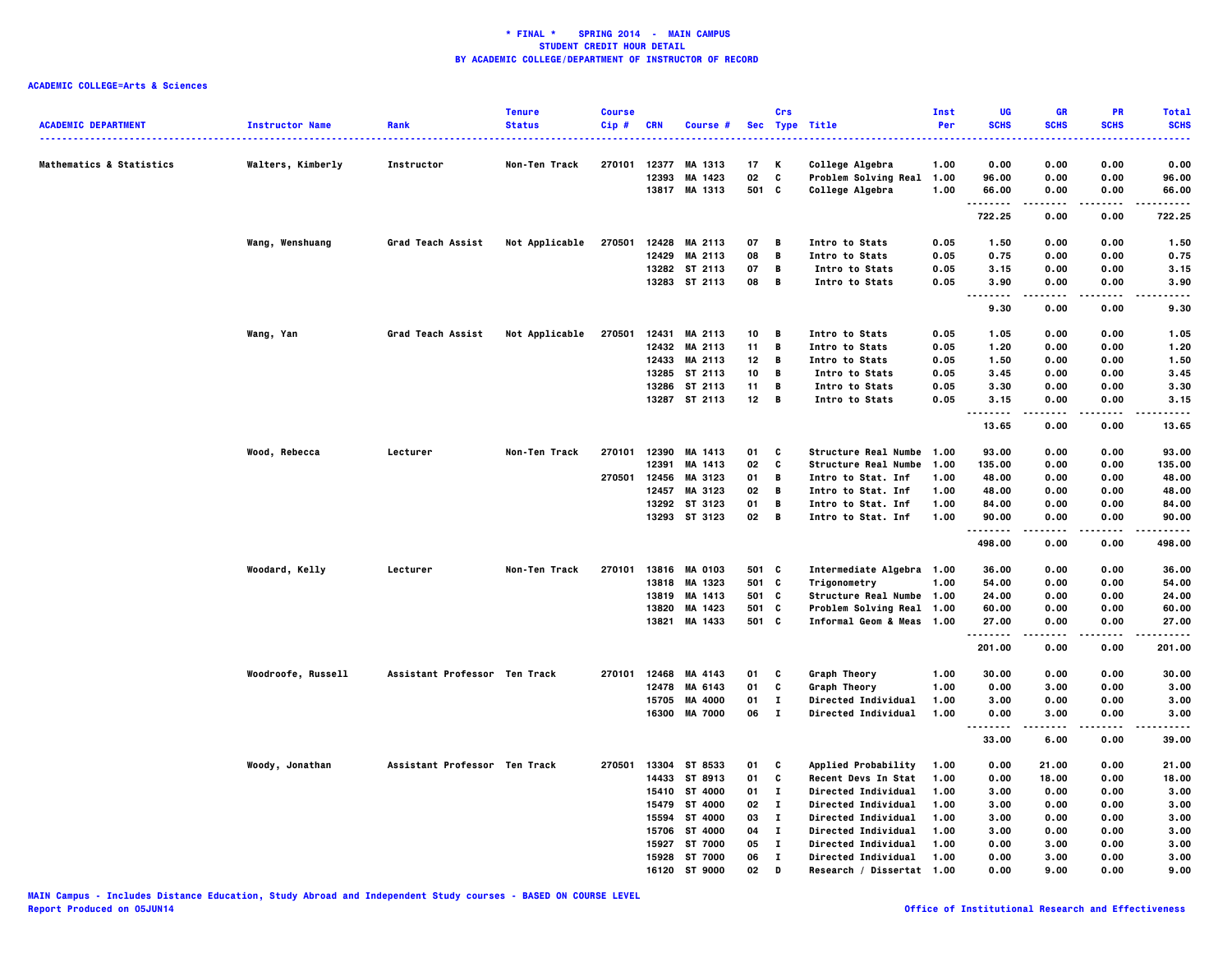|                                     |                        |                               | <b>Tenure</b>  | <b>Course</b> |            |                |                 | Crs          |                             | Inst | UG           | <b>GR</b>     | PR                | <b>Total</b>  |
|-------------------------------------|------------------------|-------------------------------|----------------|---------------|------------|----------------|-----------------|--------------|-----------------------------|------|--------------|---------------|-------------------|---------------|
| <b>ACADEMIC DEPARTMENT</b>          | <b>Instructor Name</b> | Rank                          | <b>Status</b>  | $Cip$ #       | <b>CRN</b> | Course #       |                 |              | Sec Type Title              | Per  | <b>SCHS</b>  | <b>SCHS</b>   | <b>SCHS</b>       | <b>SCHS</b>   |
| <b>Mathematics &amp; Statistics</b> | Walters, Kimberly      | Instructor                    | Non-Ten Track  | 270101        | 12377      | MA 1313        | 17              | K            | College Algebra             | 1.00 | 0.00         | 0.00          | 0.00              | 0.00          |
|                                     |                        |                               |                |               | 12393      | MA 1423        | 02              | C            | Problem Solving Real        | 1.00 | 96.00        | 0.00          | 0.00              | 96.00         |
|                                     |                        |                               |                |               |            | 13817 MA 1313  | 501 C           |              | College Algebra             | 1.00 | 66.00        | 0.00          | 0.00              | 66.00         |
|                                     |                        |                               |                |               |            |                |                 |              |                             |      | .<br>722.25  | 0.00          | .<br>0.00         | 722.25        |
|                                     | Wang, Wenshuang        | Grad Teach Assist             | Not Applicable | 270501        |            | 12428 MA 2113  | 07              | B            | Intro to Stats              | 0.05 | 1.50         | 0.00          | 0.00              | 1.50          |
|                                     |                        |                               |                |               | 12429      | MA 2113        | 08              | В            | Intro to Stats              | 0.05 | 0.75         | 0.00          | 0.00              | 0.75          |
|                                     |                        |                               |                |               |            | 13282 ST 2113  | 07              | $\mathbf{B}$ | Intro to Stats              | 0.05 | 3.15         | 0.00          | 0.00              | 3.15          |
|                                     |                        |                               |                |               |            | 13283 ST 2113  | 08              | $\mathbf{B}$ | Intro to Stats              | 0.05 | 3.90<br>---- | 0.00<br>----- | 0.00<br>$- - - -$ | 3.90<br>----- |
|                                     |                        |                               |                |               |            |                |                 |              |                             |      | 9.30         | 0.00          | 0.00              | 9.30          |
|                                     | Wang, Yan              | <b>Grad Teach Assist</b>      | Not Applicable | 270501        |            | 12431 MA 2113  | 10              | В            | Intro to Stats              | 0.05 | 1.05         | 0.00          | 0.00              | 1.05          |
|                                     |                        |                               |                |               |            | 12432 MA 2113  | 11              | В            | Intro to Stats              | 0.05 | 1.20         | 0.00          | 0.00              | 1.20          |
|                                     |                        |                               |                |               |            | 12433 MA 2113  | 12              | В            | Intro to Stats              | 0.05 | 1.50         | 0.00          | 0.00              | 1.50          |
|                                     |                        |                               |                |               |            | 13285 ST 2113  | 10              | B            | Intro to Stats              | 0.05 | 3.45         | 0.00          | 0.00              | 3.45          |
|                                     |                        |                               |                |               |            | 13286 ST 2113  | 11              | B            | Intro to Stats              | 0.05 | 3.30         | 0.00          | 0.00              | 3.30          |
|                                     |                        |                               |                |               |            | 13287 ST 2113  | 12 <sub>2</sub> | B            | Intro to Stats              | 0.05 | 3.15<br>.    | 0.00<br>----- | 0.00<br>.         | 3.15<br>.     |
|                                     |                        |                               |                |               |            |                |                 |              |                             |      | 13.65        | 0.00          | 0.00              | 13.65         |
|                                     | Wood, Rebecca          | Lecturer                      | Non-Ten Track  | 270101        | 12390      | MA 1413        | 01              | C            | Structure Real Numbe 1.00   |      | 93.00        | 0.00          | 0.00              | 93.00         |
|                                     |                        |                               |                |               | 12391      | MA 1413        | 02              | c            | <b>Structure Real Numbe</b> | 1.00 | 135.00       | 0.00          | 0.00              | 135.00        |
|                                     |                        |                               |                | 270501        | 12456      | MA 3123        | 01              | В            | Intro to Stat. Inf          | 1.00 | 48.00        | 0.00          | 0.00              | 48.00         |
|                                     |                        |                               |                |               | 12457      | MA 3123        | 02              | В            | Intro to Stat. Inf          | 1.00 | 48.00        | 0.00          | 0.00              | 48.00         |
|                                     |                        |                               |                |               | 13292      | ST 3123        | 01              | В            | Intro to Stat. Inf          | 1.00 | 84.00        | 0.00          | 0.00              | 84.00         |
|                                     |                        |                               |                |               |            | 13293 ST 3123  | 02              | B            | Intro to Stat. Inf          | 1.00 | 90.00<br>.   | 0.00          | 0.00              | 90.00<br>.    |
|                                     |                        |                               |                |               |            |                |                 |              |                             |      | 498.00       | 0.00          | 0.00              | 498.00        |
|                                     | Woodard, Kelly         | Lecturer                      | Non-Ten Track  | 270101        |            | 13816 MA 0103  | 501 C           |              | Intermediate Algebra 1.00   |      | 36.00        | 0.00          | 0.00              | 36.00         |
|                                     |                        |                               |                |               |            | 13818 MA 1323  | 501 C           |              | Trigonometry                | 1.00 | 54.00        | 0.00          | 0.00              | 54.00         |
|                                     |                        |                               |                |               | 13819      | MA 1413        | 501             | C            | Structure Real Numbe 1.00   |      | 24.00        | 0.00          | 0.00              | 24.00         |
|                                     |                        |                               |                |               | 13820      | MA 1423        | 501             | C            | Problem Solving Real 1.00   |      | 60.00        | 0.00          | 0.00              | 60.00         |
|                                     |                        |                               |                |               | 13821      | MA 1433        | 501 C           |              | Informal Geom & Meas 1.00   |      | 27.00        | 0.00          | 0.00              | 27.00         |
|                                     |                        |                               |                |               |            |                |                 |              |                             |      | .<br>201.00  | 0.00          | 0.00              | .<br>201.00   |
|                                     |                        |                               |                |               |            |                |                 |              |                             |      |              |               |                   |               |
|                                     | Woodroofe, Russell     | Assistant Professor Ten Track |                | 270101        | 12468      | MA 4143        | 01              | C            | Graph Theory                | 1.00 | 30.00        | 0.00          | 0.00              | 30.00         |
|                                     |                        |                               |                |               | 12478      | MA 6143        | 01              | C            | Graph Theory                | 1.00 | 0.00         | 3.00          | 0.00              | 3.00          |
|                                     |                        |                               |                |               | 15705      | MA 4000        | 01              | $\mathbf{I}$ | Directed Individual         | 1.00 | 3.00         | 0.00          | 0.00              | 3.00          |
|                                     |                        |                               |                |               | 16300      | <b>MA 7000</b> | 06              | $\mathbf{I}$ | Directed Individual         | 1.00 | 0.00<br>     | 3.00<br>.     | 0.00<br>.         | 3,00<br>.     |
|                                     |                        |                               |                |               |            |                |                 |              |                             |      | 33.00        | 6.00          | 0.00              | 39.00         |
|                                     | Woody, Jonathan        | Assistant Professor Ten Track |                | 270501        |            | 13304 ST 8533  | 01              | C            | Applied Probability         | 1.00 | 0.00         | 21.00         | 0.00              | 21.00         |
|                                     |                        |                               |                |               |            | 14433 ST 8913  | 01              | C            | Recent Devs In Stat         | 1.00 | 0.00         | 18.00         | 0.00              | 18.00         |
|                                     |                        |                               |                |               | 15410      | ST 4000        | 01              | $\mathbf{I}$ | <b>Directed Individual</b>  | 1.00 | 3.00         | 0.00          | 0.00              | 3.00          |
|                                     |                        |                               |                |               | 15479      | ST 4000        | 02              | $\mathbf{I}$ | <b>Directed Individual</b>  | 1.00 | 3.00         | 0.00          | 0.00              | 3.00          |
|                                     |                        |                               |                |               | 15594      | ST 4000        | 03              | п            | <b>Directed Individual</b>  | 1.00 | 3.00         | 0.00          | 0.00              | 3.00          |
|                                     |                        |                               |                |               | 15706      | ST 4000        | 04              | $\mathbf{I}$ | <b>Directed Individual</b>  | 1.00 | 3.00         | 0.00          | 0.00              | 3.00          |
|                                     |                        |                               |                |               | 15927      | ST 7000        | 05              | $\mathbf{I}$ | <b>Directed Individual</b>  | 1.00 | 0.00         | 3.00          | 0.00              | 3.00          |
|                                     |                        |                               |                |               | 15928      | ST 7000        | 06              | $\mathbf{I}$ | <b>Directed Individual</b>  | 1.00 | 0.00         | 3.00          | 0.00              | 3.00          |
|                                     |                        |                               |                |               | 16120      | ST 9000        | 02              | D            | Research / Dissertat        | 1.00 | 0.00         | 9.00          | 0.00              | 9.00          |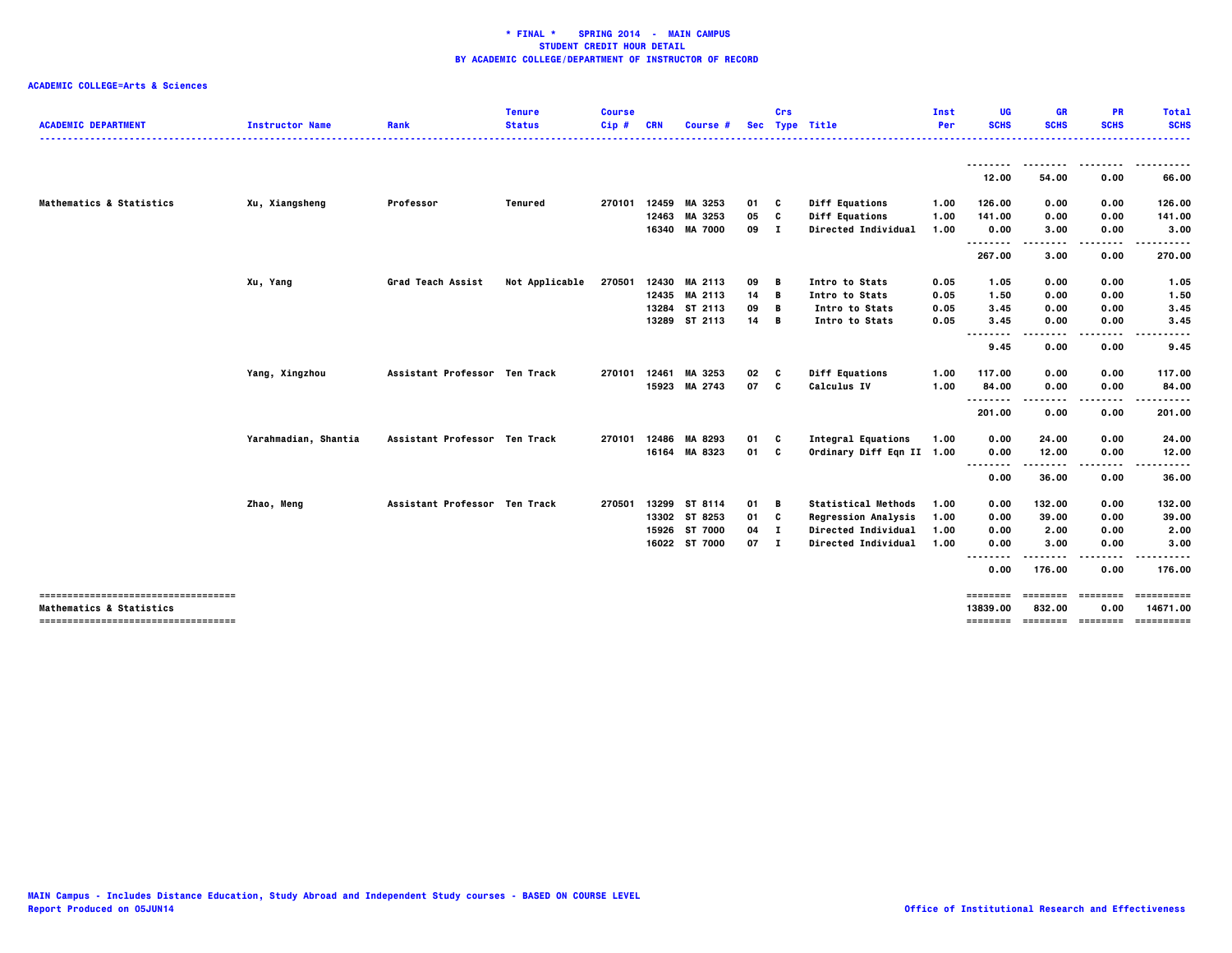| <b>ACADEMIC DEPARTMENT</b>                                                 | <b>Instructor Name</b> | Rank                          | <b>Tenure</b><br><b>Status</b> | <b>Course</b><br>Cip# | <b>CRN</b> | Course #       |        | Crs | Sec Type Title             | Inst<br>Per | UG<br><b>SCHS</b> | <b>GR</b><br><b>SCHS</b> | <b>PR</b><br><b>SCHS</b>          | <b>Total</b><br><b>SCHS</b><br>. |
|----------------------------------------------------------------------------|------------------------|-------------------------------|--------------------------------|-----------------------|------------|----------------|--------|-----|----------------------------|-------------|-------------------|--------------------------|-----------------------------------|----------------------------------|
|                                                                            |                        |                               |                                |                       |            |                |        |     |                            |             |                   |                          |                                   |                                  |
|                                                                            |                        |                               |                                |                       |            |                |        |     |                            |             | 12.00             | 54.00                    | 0.00                              | 66.00                            |
| Mathematics & Statistics                                                   | Xu, Xiangsheng         | Professor                     | Tenured                        | 270101                | 12459      | MA 3253        | 01     | C   | <b>Diff Equations</b>      | 1.00        | 126.00            | 0.00                     | 0.00                              | 126.00                           |
|                                                                            |                        |                               |                                |                       |            | 12463 MA 3253  | 05     | c   | <b>Diff Equations</b>      | 1.00        | 141.00            | 0.00                     | 0.00                              | 141.00                           |
|                                                                            |                        |                               |                                |                       | 16340      | <b>MA 7000</b> | 09     | . т | Directed Individual        | 1.00        | 0.00<br>.         | 3.00                     | 0.00                              | 3.00                             |
|                                                                            |                        |                               |                                |                       |            |                |        |     |                            |             | 267.00            | .<br>3.00                | .<br>0.00                         | ------<br>270.00                 |
|                                                                            | Xu, Yang               | <b>Grad Teach Assist</b>      | Not Applicable                 | 270501                |            | 12430 MA 2113  | 09     | в   | Intro to Stats             | 0.05        | 1.05              | 0.00                     | 0.00                              | 1.05                             |
|                                                                            |                        |                               |                                |                       |            | 12435 MA 2113  | 14     | В   | Intro to Stats             | 0.05        | 1.50              | 0.00                     | 0.00                              | 1.50                             |
|                                                                            |                        |                               |                                |                       |            | 13284 ST 2113  | 09     | B   | Intro to Stats             | 0.05        | 3.45              | 0.00                     | 0.00                              | 3.45                             |
|                                                                            |                        |                               |                                |                       |            | 13289 ST 2113  | 14     | В   | Intro to Stats             | 0.05        | 3.45              | 0.00                     | 0.00                              | 3.45                             |
|                                                                            |                        |                               |                                |                       |            |                |        |     |                            |             | <br>9.45          | .<br>0.00                | 0.00                              | 9.45                             |
|                                                                            | Yang, Xingzhou         | Assistant Professor Ten Track |                                | 270101                | 12461      | MA 3253        | 02     | c   | <b>Diff Equations</b>      | 1.00        | 117.00            | 0.00                     | 0.00                              | 117.00                           |
|                                                                            |                        |                               |                                |                       |            | 15923 MA 2743  | 07     | C   | Calculus IV                | 1.00        | 84.00             | 0.00                     | 0.00                              | 84.00                            |
|                                                                            |                        |                               |                                |                       |            |                |        |     |                            |             | $- - - -$<br>.    |                          |                                   |                                  |
|                                                                            |                        |                               |                                |                       |            |                |        |     |                            |             | 201.00            | 0.00                     | 0.00                              | 201.00                           |
|                                                                            | Yarahmadian, Shantia   | Assistant Professor Ten Track |                                | 270101                | 12486      | MA 8293        | 01     | C   | <b>Integral Equations</b>  | 1.00        | 0.00              | 24.00                    | 0.00                              | 24.00                            |
|                                                                            |                        |                               |                                |                       |            | 16164 MA 8323  | 01 C   |     | Ordinary Diff Eqn II 1.00  |             | 0.00              | 12.00                    | 0.00                              | 12.00                            |
|                                                                            |                        |                               |                                |                       |            |                |        |     |                            |             | <br>0.00          | 36.00                    | 0.00                              | 36.00                            |
|                                                                            |                        |                               |                                |                       |            |                |        |     |                            |             |                   |                          |                                   |                                  |
|                                                                            | Zhao, Meng             | Assistant Professor Ten Track |                                | 270501                |            | 13299 ST 8114  | 01     | в   | <b>Statistical Methods</b> | 1.00        | 0.00              | 132.00                   | 0.00                              | 132.00                           |
|                                                                            |                        |                               |                                |                       |            | 13302 ST 8253  | 01 C   |     | <b>Regression Analysis</b> | 1.00        | 0.00              | 39.00                    | 0.00                              | 39.00                            |
|                                                                            |                        |                               |                                |                       |            | 15926 ST 7000  | 04     | - 1 | Directed Individual        | 1.00        | 0.00              | 2.00                     | 0.00                              | 2.00                             |
|                                                                            |                        |                               |                                |                       |            | 16022 ST 7000  | $07$ I |     | Directed Individual        | 1.00        | 0.00              | 3.00                     | 0.00                              | 3.00                             |
|                                                                            |                        |                               |                                |                       |            |                |        |     |                            |             | . .<br>0.00       | 176.00                   | 0.00                              | 176.00                           |
| -----------------------------------                                        |                        |                               |                                |                       |            |                |        |     |                            |             | $=$ = = = = = = = | ========                 | ========                          |                                  |
| <b>Mathematics &amp; Statistics</b><br>----------------------------------- |                        |                               |                                |                       |            |                |        |     |                            |             | 13839.00          | 832.00                   | 0.00<br>-------- -------- ------- | 14671.00<br>==========           |
|                                                                            |                        |                               |                                |                       |            |                |        |     |                            |             |                   |                          |                                   |                                  |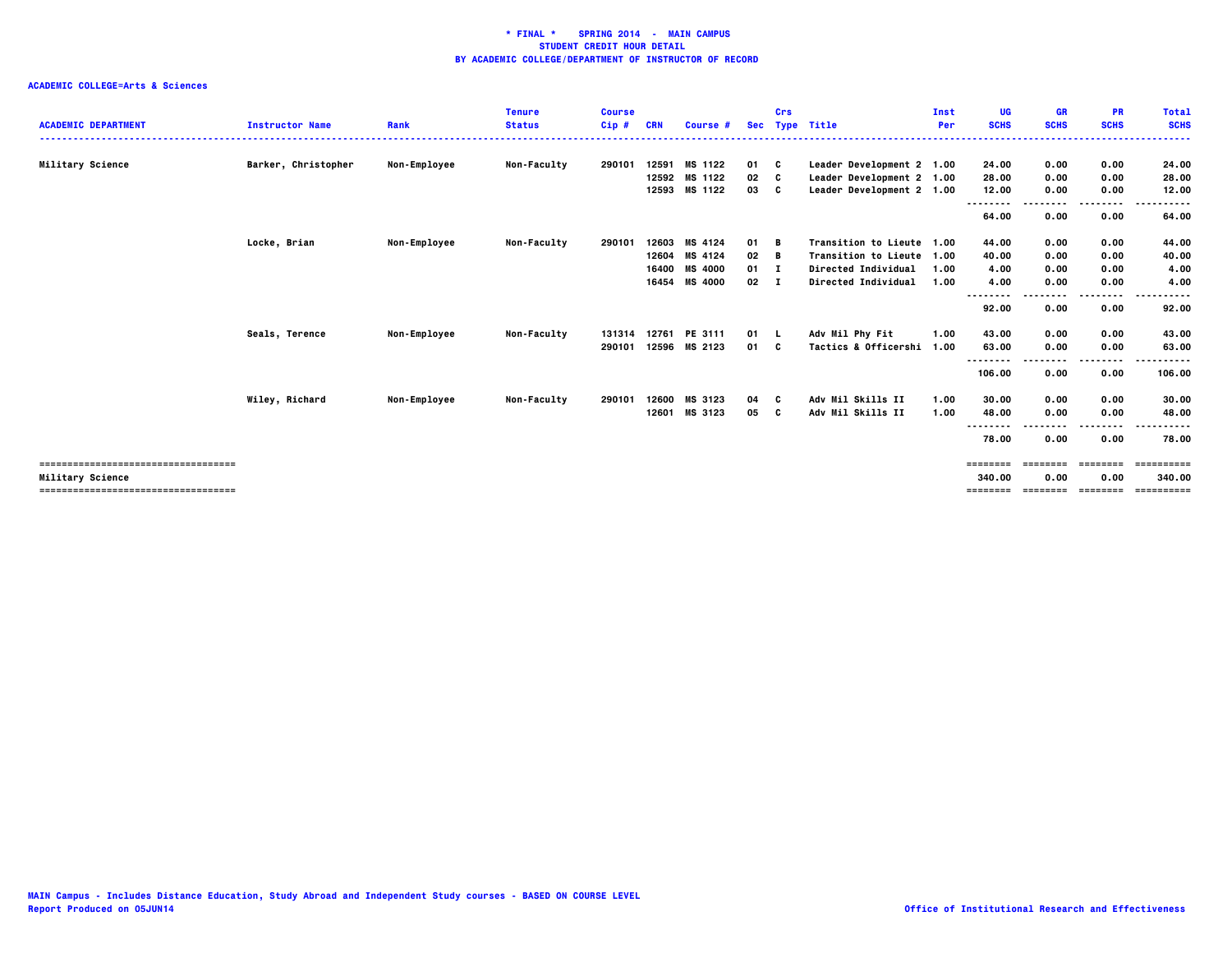| <b>ACADEMIC DEPARTMENT</b>            | <b>Instructor Name</b> | Rank                | <b>Tenure</b><br><b>Status</b> | <b>Course</b><br>$Cip$ # | <b>CRN</b> | Course #       |              | Crs      | Sec Type Title            | Inst<br><b>Per</b> | <b>UG</b><br><b>SCHS</b> | <b>GR</b><br><b>SCHS</b> | <b>PR</b><br><b>SCHS</b> | <b>Total</b><br><b>SCHS</b> |
|---------------------------------------|------------------------|---------------------|--------------------------------|--------------------------|------------|----------------|--------------|----------|---------------------------|--------------------|--------------------------|--------------------------|--------------------------|-----------------------------|
|                                       | Barker, Christopher    |                     | Non-Faculty                    | 290101                   | 12591      | MS 1122        | 01 C         |          | Leader Development 2 1.00 |                    |                          | 0.00                     | 0.00                     | 24.00                       |
| Military Science                      |                        | Non-Employee        |                                |                          | 12592      | MS 1122        | 02           | <b>C</b> |                           |                    | 24.00                    |                          | 0.00                     |                             |
|                                       |                        |                     |                                |                          |            | 12593 MS 1122  | 03 C         |          | Leader Development 2 1.00 |                    | 28.00                    | 0.00                     |                          | 28.00                       |
|                                       |                        |                     |                                |                          |            |                |              |          | Leader Development 2 1.00 |                    | 12.00                    | 0.00                     | 0.00                     | 12.00                       |
|                                       |                        |                     |                                |                          |            |                |              |          |                           |                    | --------                 |                          | .                        | -----                       |
|                                       |                        |                     |                                |                          |            |                |              |          |                           |                    | 64.00                    | 0.00                     | 0.00                     | 64.00                       |
|                                       | Locke, Brian           | Non-Employee        | Non-Faculty                    | 290101                   | 12603      | MS 4124        | 01 B         |          | Transition to Lieute 1.00 |                    | 44.00                    | 0.00                     | 0.00                     | 44.00                       |
|                                       |                        |                     |                                |                          |            | 12604 MS 4124  | 02           | B        | Transition to Lieute 1.00 |                    | 40.00                    | 0.00                     | 0.00                     | 40.00                       |
|                                       |                        |                     |                                |                          | 16400      | <b>MS 4000</b> | $01 \quad I$ |          | Directed Individual       | 1.00               | 4.00                     | 0.00                     | 0.00                     | 4.00                        |
|                                       |                        |                     |                                |                          |            | 16454 MS 4000  | $02 \quad 1$ |          | Directed Individual       | 1.00               | 4.00                     | 0.00                     | 0.00                     | 4.00                        |
|                                       |                        |                     |                                |                          |            |                |              |          |                           |                    | --------                 |                          | .                        | -----                       |
|                                       |                        |                     |                                |                          |            |                |              |          |                           |                    | 92.00                    | 0.00                     | 0.00                     | 92.00                       |
|                                       |                        |                     |                                |                          |            |                |              |          |                           |                    |                          |                          |                          |                             |
|                                       | Seals, Terence         | <b>Non-Employee</b> | <b>Non-Faculty</b>             | 131314                   | 12761      | PE 3111        | $01 \quad L$ |          | Adv Mil Phy Fit           | 1.00               | 43.00                    | 0.00                     | 0.00                     | 43.00                       |
|                                       |                        |                     |                                | 290101                   | 12596      | MS 2123        | 01 C         |          | Tactics & Officershi      | 1.00               | 63.00                    | 0.00                     | 0.00                     | 63.00                       |
|                                       |                        |                     |                                |                          |            |                |              |          |                           |                    |                          |                          | ----                     | .                           |
|                                       |                        |                     |                                |                          |            |                |              |          |                           |                    | 106.00                   | 0.00                     | 0.00                     | 106.00                      |
|                                       |                        |                     |                                |                          |            |                |              |          |                           |                    |                          |                          |                          |                             |
|                                       | Wiley, Richard         | <b>Non-Employee</b> | <b>Non-Faculty</b>             | 290101                   | 12600      | MS 3123        | 04C          |          | Adv Mil Skills II         | 1.00               | 30.00                    | 0.00                     | 0.00                     | 30.00                       |
|                                       |                        |                     |                                |                          | 12601      | MS 3123        | 05           |          | Adv Mil Skills II         | 1.00               | 48.00                    | 0.00                     | 0.00                     | 48.00                       |
|                                       |                        |                     |                                |                          |            |                |              |          |                           |                    | --------                 |                          |                          | .                           |
|                                       |                        |                     |                                |                          |            |                |              |          |                           |                    | 78.00                    | 0.00                     | 0.00                     | 78.00                       |
|                                       |                        |                     |                                |                          |            |                |              |          |                           |                    |                          |                          |                          |                             |
| ------------------------------------- |                        |                     |                                |                          |            |                |              |          |                           |                    |                          | ------                   | ========                 | ==========                  |
| Military Science                      |                        |                     |                                |                          |            |                |              |          |                           |                    | 340.00                   | 0.00                     | 0.00                     | 340.00                      |
| ------------------------------------- |                        |                     |                                |                          |            |                |              |          |                           |                    | ========                 | ========                 | ========                 | ==========                  |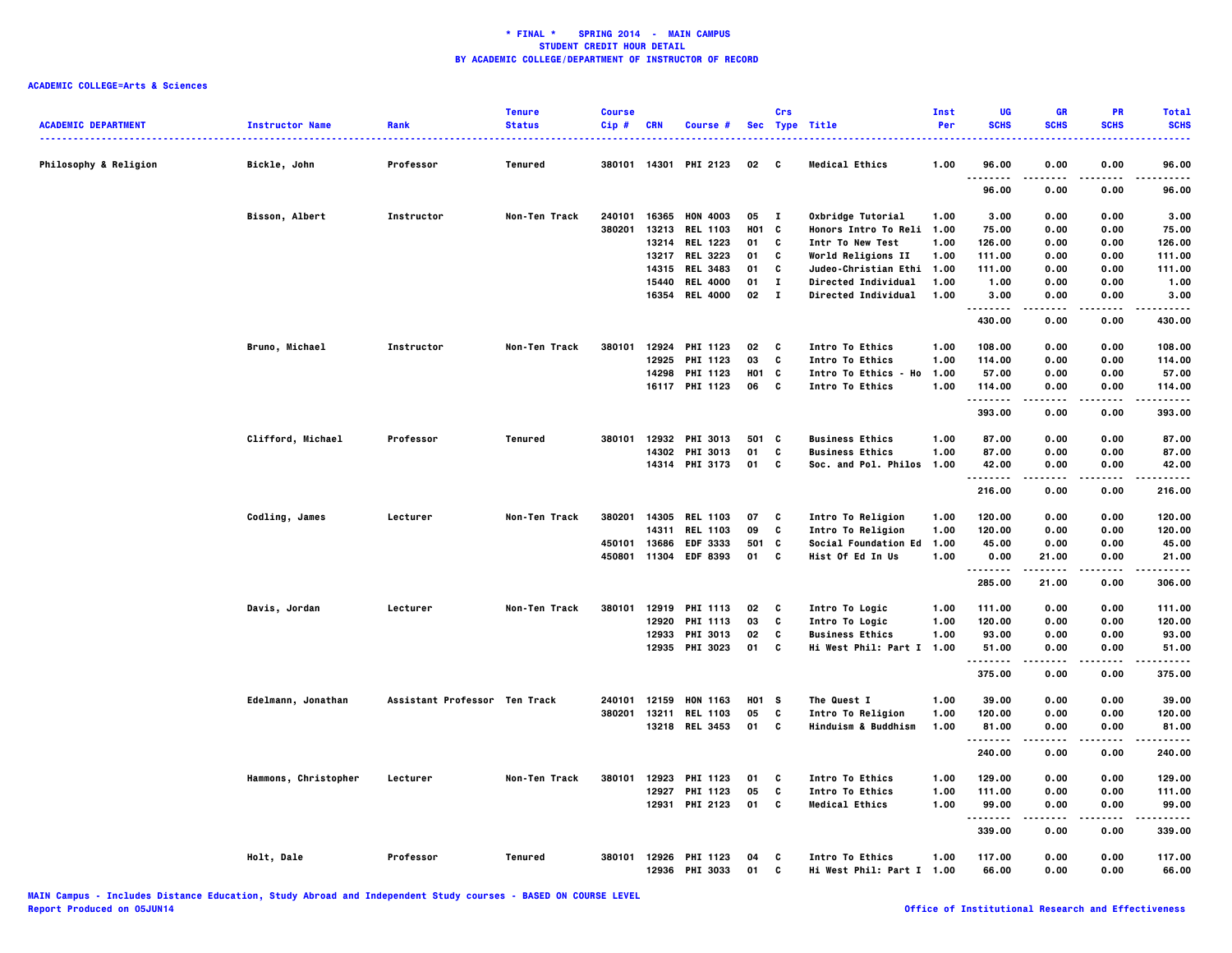| <b>ACADEMIC DEPARTMENT</b>       | <b>Instructor Name</b> | Rank                          | <b>Tenure</b><br><b>Status</b> | <b>Course</b><br>Cip# | CRN            | Course #                    |            | Crs          | Sec Type Title                               | Inst<br>Per | UG<br><b>SCHS</b> | <b>GR</b><br><b>SCHS</b> | PR<br><b>SCHS</b> | <b>Total</b><br><b>SCHS</b> |
|----------------------------------|------------------------|-------------------------------|--------------------------------|-----------------------|----------------|-----------------------------|------------|--------------|----------------------------------------------|-------------|-------------------|--------------------------|-------------------|-----------------------------|
| <b>Philosophy &amp; Religion</b> | Bickle, John           | Professor                     | Tenured                        | 380101                | 14301          | <b>PHI 2123</b>             | 02         | C            | <b>Medical Ethics</b>                        | 1.00        | 96.00             | 0.00                     | 0.00              | 96.00                       |
|                                  |                        |                               |                                |                       |                |                             |            |              |                                              |             | .<br>96.00        | 0.00                     | ----<br>0.00      | $- - - -$<br>96.00          |
|                                  | Bisson, Albert         | Instructor                    | Non-Ten Track                  | 240101                | 16365          | <b>HON 4003</b>             | 05         | $\mathbf{I}$ | Oxbridge Tutorial                            | 1.00        | 3.00              | 0.00                     | 0.00              | 3.00                        |
|                                  |                        |                               |                                | 380201                | 13213          | <b>REL 1103</b>             | H01 C      |              | <b>Honors Intro To Reli</b>                  | 1.00        | 75.00             | 0.00                     | 0.00              | 75.00                       |
|                                  |                        |                               |                                |                       |                | 13214 REL 1223              | 01         | C            | Intr To New Test                             | 1.00        | 126.00            | 0.00                     | 0.00              | 126.00                      |
|                                  |                        |                               |                                |                       |                | 13217 REL 3223              | 01         | C            | World Religions II                           | 1.00        | 111.00            | 0.00                     | 0.00              | 111.00                      |
|                                  |                        |                               |                                |                       |                | 14315 REL 3483              | 01         | C            | Judeo-Christian Ethi                         | 1.00        | 111.00            | 0.00                     | 0.00              | 111.00                      |
|                                  |                        |                               |                                |                       | 15440          | <b>REL 4000</b>             | 01         | $\mathbf{I}$ | <b>Directed Individual</b>                   | 1.00        | 1.00              | 0.00                     | 0.00              | 1.00                        |
|                                  |                        |                               |                                |                       |                | 16354 REL 4000              | 02         | $\mathbf{I}$ | Directed Individual                          | 1.00        | 3.00<br>.         | 0.00<br>.                | 0.00<br>.         | 3.00<br>.                   |
|                                  |                        |                               |                                |                       |                |                             |            |              |                                              |             | 430.00            | 0.00                     | 0.00              | 430.00                      |
|                                  | Bruno, Michael         | Instructor                    | Non-Ten Track                  | 380101                |                | 12924 PHI 1123              | 02         | C            | Intro To Ethics                              | 1.00        | 108.00            | 0.00                     | 0.00              | 108.00                      |
|                                  |                        |                               |                                |                       | 12925          | PHI 1123                    | 03         | C            | Intro To Ethics                              | 1.00        | 114.00            | 0.00                     | 0.00              | 114.00                      |
|                                  |                        |                               |                                |                       | 14298          | PHI 1123                    | <b>HO1</b> | c            | Intro To Ethics - Ho                         | 1.00        | 57.00             | 0.00                     | 0.00              | 57.00                       |
|                                  |                        |                               |                                |                       |                | 16117 PHI 1123              | 06         | c            | <b>Intro To Ethics</b>                       | 1.00        | 114.00<br>        | 0.00<br>$- - - -$        | 0.00<br>$- - - -$ | 114.00<br>.                 |
|                                  |                        |                               |                                |                       |                |                             |            |              |                                              |             | 393.00            | 0.00                     | 0.00              | 393.00                      |
|                                  | Clifford, Michael      | Professor                     | Tenured                        | 380101                | 12932          | <b>PHI 3013</b>             | 501        | c            | <b>Business Ethics</b>                       | 1.00        | 87.00             | 0.00                     | 0.00              | 87.00                       |
|                                  |                        |                               |                                |                       |                | 14302 PHI 3013              | 01         | C            | <b>Business Ethics</b>                       | 1.00        | 87.00             | 0.00                     | 0.00              | 87.00                       |
|                                  |                        |                               |                                |                       |                | 14314 PHI 3173              | 01         | C            | Soc. and Pol. Philos                         | 1.00        | 42.00             | 0.00                     | 0.00              | 42.00                       |
|                                  |                        |                               |                                |                       |                |                             |            |              |                                              |             | .                 |                          |                   | .                           |
|                                  |                        |                               |                                |                       |                |                             |            |              |                                              |             | 216.00            | 0.00                     | 0.00              | 216.00                      |
|                                  | Codling, James         | Lecturer                      | Non-Ten Track                  | 380201                |                | 14305 REL 1103              | 07         | C            | Intro To Religion                            | 1.00        | 120.00            | 0.00                     | 0.00              | 120.00                      |
|                                  |                        |                               |                                |                       | 14311          | <b>REL 1103</b>             | 09         | C            | Intro To Religion                            | 1.00        | 120.00            | 0.00                     | 0.00              | 120.00                      |
|                                  |                        |                               |                                | 450101                | 13686          | EDF 3333                    | 501        | C            | Social Foundation Ed                         | 1.00        | 45.00             | 0.00                     | 0.00              | 45.00                       |
|                                  |                        |                               |                                | 450801                | 11304          | <b>EDF 8393</b>             | 01         | C            | <b>Hist Of Ed In Us</b>                      | 1.00        | 0.00<br>.         | 21.00<br>-----           | 0.00<br>.         | 21.00<br>.                  |
|                                  |                        |                               |                                |                       |                |                             |            |              |                                              |             | 285.00            | 21.00                    | 0.00              | 306.00                      |
|                                  | Davis, Jordan          | Lecturer                      | Non-Ten Track                  | 380101                | 12919          | PHI 1113                    | 02         | C            | Intro To Logic                               | 1.00        | 111.00            | 0.00                     | 0.00              | 111.00                      |
|                                  |                        |                               |                                |                       | 12920          | PHI 1113                    | 03         | $\mathbf{c}$ | Intro To Logic                               | 1.00        | 120.00            | 0.00                     | 0.00              | 120.00                      |
|                                  |                        |                               |                                |                       |                | 12933 PHI 3013              | 02         | C            | <b>Business Ethics</b>                       | 1.00        | 93.00             | 0.00                     | 0.00              | 93.00                       |
|                                  |                        |                               |                                |                       |                | 12935 PHI 3023              | 01         | C            | Hi West Phil: Part I                         | 1.00        | 51.00<br>.        | 0.00<br>-----            | 0.00<br>.         | 51.00<br>.                  |
|                                  |                        |                               |                                |                       |                |                             |            |              |                                              |             | 375.00            | 0.00                     | 0.00              | 375.00                      |
|                                  | Edelmann, Jonathan     | Assistant Professor Ten Track |                                | 240101                | 12159          | <b>HON 1163</b>             | H01 S      |              | The Quest I                                  | 1.00        | 39.00             | 0.00                     | 0.00              | 39,00                       |
|                                  |                        |                               |                                | 380201                | 13211          | <b>REL 1103</b>             | 05         | C            | Intro To Religion                            | 1.00        | 120.00            | 0.00                     | 0.00              | 120.00                      |
|                                  |                        |                               |                                |                       |                | 13218 REL 3453              | 01         | c            | <b>Hinduism &amp; Buddhism</b>               | 1.00        | 81.00             | 0.00                     | 0.00              | 81.00                       |
|                                  |                        |                               |                                |                       |                |                             |            |              |                                              |             | <br>240.00        |                          | 0.00              | .<br>240.00                 |
|                                  |                        |                               |                                |                       |                |                             |            |              |                                              |             |                   | 0.00                     |                   |                             |
|                                  | Hammons, Christopher   | Lecturer                      | Non-Ten Track                  | 380101                |                | 12923 PHI 1123              | 01         | C            | Intro To Ethics                              | 1.00        | 129.00            | 0.00                     | 0.00              | 129.00                      |
|                                  |                        |                               |                                |                       | 12927          | PHI 1123                    | 05         | C            | Intro To Ethics                              | 1.00        | 111.00            | 0.00                     | 0.00              | 111.00                      |
|                                  |                        |                               |                                |                       | 12931          | PHI 2123                    | 01         | C            | <b>Medical Ethics</b>                        | 1.00        | 99.00<br>.        | 0.00<br>.                | 0.00<br>$\cdots$  | 99.00<br>.                  |
|                                  |                        |                               |                                |                       |                |                             |            |              |                                              |             | 339.00            | 0.00                     | 0.00              | 339.00                      |
|                                  | Holt, Dale             | Professor                     | Tenured                        | 380101                | 12926<br>12936 | PHI 1123<br><b>PHI 3033</b> | 04<br>01   | C<br>C       | Intro To Ethics<br>Hi West Phil: Part I 1.00 | 1.00        | 117.00<br>66.00   | 0.00<br>0.00             | 0.00<br>0.00      | 117.00<br>66.00             |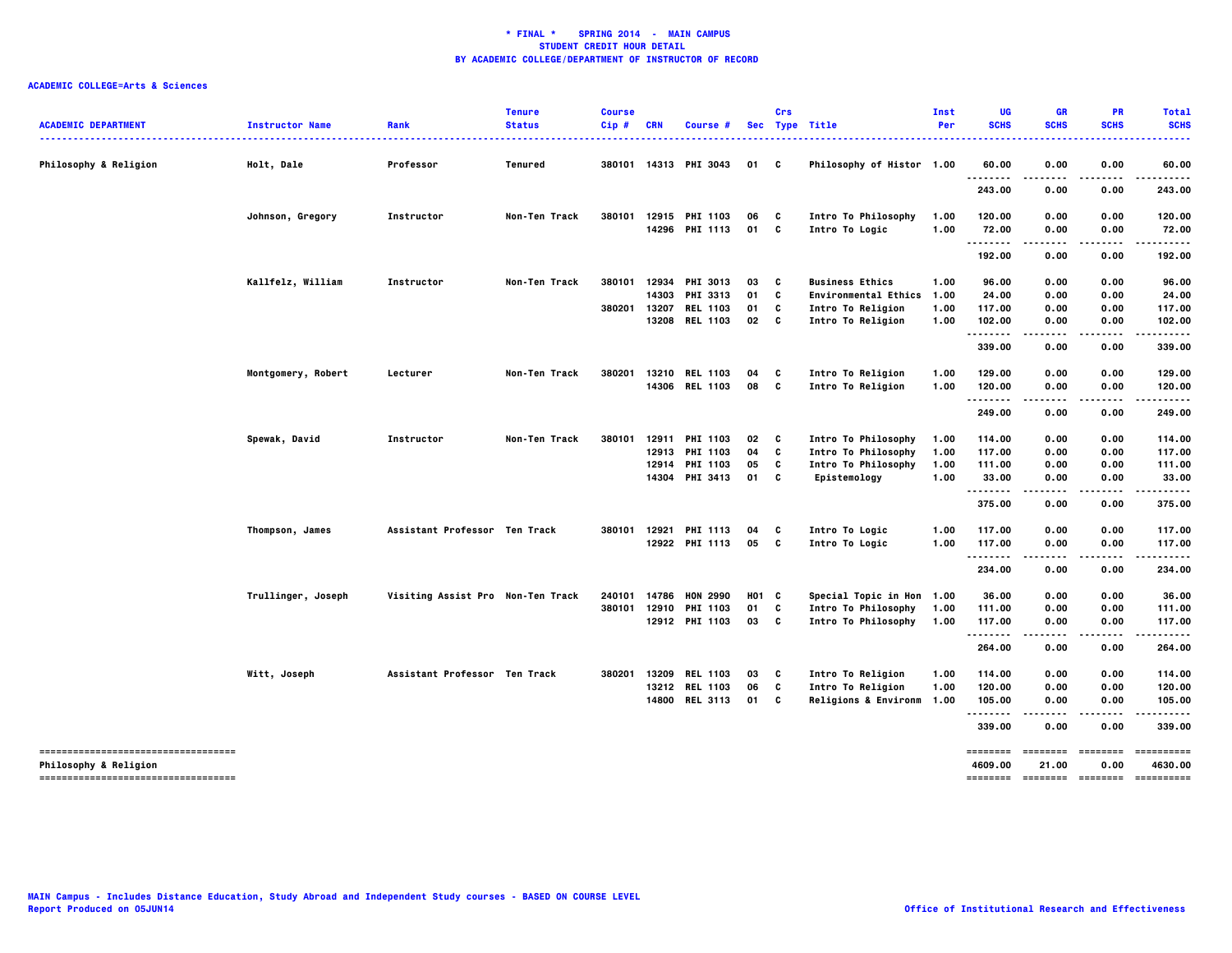| <b>ACADEMIC DEPARTMENT</b><br>                              | <b>Instructor Name</b><br>. | Rank                              | <b>Tenure</b><br><b>Status</b> | <b>Course</b><br>Cip# | <b>CRN</b>   | Course #              |       | Crs          | Sec Type Title              | Inst<br>Per | UG<br><b>SCHS</b>   | GR<br><b>SCHS</b> | <b>PR</b><br><b>SCHS</b> | <b>Total</b><br><b>SCHS</b><br>----- |
|-------------------------------------------------------------|-----------------------------|-----------------------------------|--------------------------------|-----------------------|--------------|-----------------------|-------|--------------|-----------------------------|-------------|---------------------|-------------------|--------------------------|--------------------------------------|
| <b>Philosophy &amp; Religion</b>                            | Holt, Dale                  | Professor                         | Tenured                        |                       |              | 380101 14313 PHI 3043 | 01    | C            | Philosophy of Histor 1.00   |             | 60.00               | 0.00              | 0.00                     | 60.00                                |
|                                                             |                             |                                   |                                |                       |              |                       |       |              |                             |             | .<br>243.00         | 0.00              | 0.00                     | 243.00                               |
|                                                             | Johnson, Gregory            | Instructor                        | Non-Ten Track                  |                       |              | 380101 12915 PHI 1103 | 06    | C            | Intro To Philosophy         | 1.00        | 120.00              | 0.00              | 0.00                     | 120.00                               |
|                                                             |                             |                                   |                                |                       |              | 14296 PHI 1113        | 01    | C            | Intro To Logic              | 1.00        | 72.00               | 0.00              | 0.00                     | 72.00                                |
|                                                             |                             |                                   |                                |                       |              |                       |       |              |                             |             | .<br>192.00         | .<br>0.00         | 0.00                     | .<br>192.00                          |
|                                                             | Kallfelz, William           | Instructor                        | Non-Ten Track                  |                       |              | 380101 12934 PHI 3013 | 03    | C            | <b>Business Ethics</b>      | 1.00        | 96.00               | 0.00              | 0.00                     | 96.00                                |
|                                                             |                             |                                   |                                |                       | 14303        | PHI 3313              | 01    | C            | <b>Environmental Ethics</b> | 1.00        | 24.00               | 0.00              | 0.00                     | 24.00                                |
|                                                             |                             |                                   |                                | 380201                | 13207        | <b>REL 1103</b>       | 01    | C            | Intro To Religion           | 1.00        | 117.00              | 0.00              | 0.00                     | 117.00                               |
|                                                             |                             |                                   |                                |                       |              | 13208 REL 1103        | 02    | C            | Intro To Religion           | 1.00        | 102.00<br>.         | 0.00              | 0.00                     | 102.00<br>.                          |
|                                                             |                             |                                   |                                |                       |              |                       |       |              |                             |             | 339.00              | 0.00              | 0.00                     | 339.00                               |
|                                                             | Montgomery, Robert          | Lecturer                          | Non-Ten Track                  | 380201                | 13210        | <b>REL 1103</b>       | 04    | C            | Intro To Religion           | 1.00        | 129.00              | 0.00              | 0.00                     | 129.00                               |
|                                                             |                             |                                   |                                |                       |              | 14306 REL 1103        | 08    | C            | Intro To Religion           | 1.00        | 120.00              | 0.00              | 0.00                     | 120.00                               |
|                                                             |                             |                                   |                                |                       |              |                       |       |              |                             |             | <br>249.00          | .<br>0.00         | .<br>0.00                | <br>249.00                           |
|                                                             | Spewak, David               | Instructor                        | Non-Ten Track                  | 380101                | 12911        | <b>PHI 1103</b>       | 02    | C            | Intro To Philosophy         | 1.00        | 114.00              | 0.00              | 0.00                     | 114.00                               |
|                                                             |                             |                                   |                                |                       | 12913        | PHI 1103              | 04    | C            | Intro To Philosophy         | 1.00        | 117.00              | 0.00              | 0.00                     | 117.00                               |
|                                                             |                             |                                   |                                |                       | 12914        | <b>PHI 1103</b>       | 05    | C            | Intro To Philosophy         | 1.00        | 111.00              | 0.00              | 0.00                     | 111.00                               |
|                                                             |                             |                                   |                                |                       |              | 14304 PHI 3413        | 01    | C            | Epistemology                | 1.00        | 33.00<br>           | 0.00<br>.         | 0.00<br>.                | 33.00                                |
|                                                             |                             |                                   |                                |                       |              |                       |       |              |                             |             | 375.00              | 0.00              | 0.00                     | 375.00                               |
|                                                             | Thompson, James             | Assistant Professor Ten Track     |                                |                       | 380101 12921 | <b>PHI 1113</b>       | 04    | C            | Intro To Logic              | 1.00        | 117.00              | 0.00              | 0.00                     | 117.00                               |
|                                                             |                             |                                   |                                |                       |              | 12922 PHI 1113        | 05    | $\mathbf{c}$ | Intro To Logic              | 1.00        | 117.00              | 0.00              | 0.00                     | 117.00                               |
|                                                             |                             |                                   |                                |                       |              |                       |       |              |                             |             | <br>234.00          | .<br>0.00         | .<br>0.00                | . <b>.</b><br>234.00                 |
|                                                             | Trullinger, Joseph          | Visiting Assist Pro Non-Ten Track |                                |                       | 240101 14786 | <b>HON 2990</b>       | H01 C |              | Special Topic in Hon 1.00   |             | 36.00               | 0.00              | 0.00                     | 36.00                                |
|                                                             |                             |                                   |                                |                       | 380101 12910 | <b>PHI 1103</b>       | 01    | C            | Intro To Philosophy         | 1.00        | 111.00              | 0.00              | 0.00                     | 111.00                               |
|                                                             |                             |                                   |                                |                       |              | 12912 PHI 1103        | 03    | c            | Intro To Philosophy         | 1.00        | 117.00<br>          | 0.00<br>.         | 0.00<br>.                | 117.00<br>.                          |
|                                                             |                             |                                   |                                |                       |              |                       |       |              |                             |             | 264.00              | 0.00              | 0.00                     | 264.00                               |
|                                                             | Witt, Joseph                | Assistant Professor Ten Track     |                                | 380201                | 13209        | <b>REL 1103</b>       | 03    | C            | Intro To Religion           | 1.00        | 114.00              | 0.00              | 0.00                     | 114.00                               |
|                                                             |                             |                                   |                                |                       |              | 13212 REL 1103        | 06    | C            | Intro To Religion           | 1.00        | 120.00              | 0.00              | 0.00                     | 120.00                               |
|                                                             |                             |                                   |                                |                       |              | 14800 REL 3113        | 01    | c            | Religions & Environm 1.00   |             | 105.00<br>.         | 0.00              | 0.00                     | 105.00                               |
|                                                             |                             |                                   |                                |                       |              |                       |       |              |                             |             | 339.00              | 0.00              | 0.00                     | 339.00                               |
| ----------------------------------                          |                             |                                   |                                |                       |              |                       |       |              |                             |             | ========            | ========          | ========                 | ==========                           |
| Philosophy & Religion<br>---------------------------------- |                             |                                   |                                |                       |              |                       |       |              |                             |             | 4609.00<br>======== | 21.00<br>======== | 0.00<br>========         | 4630.00<br>==========                |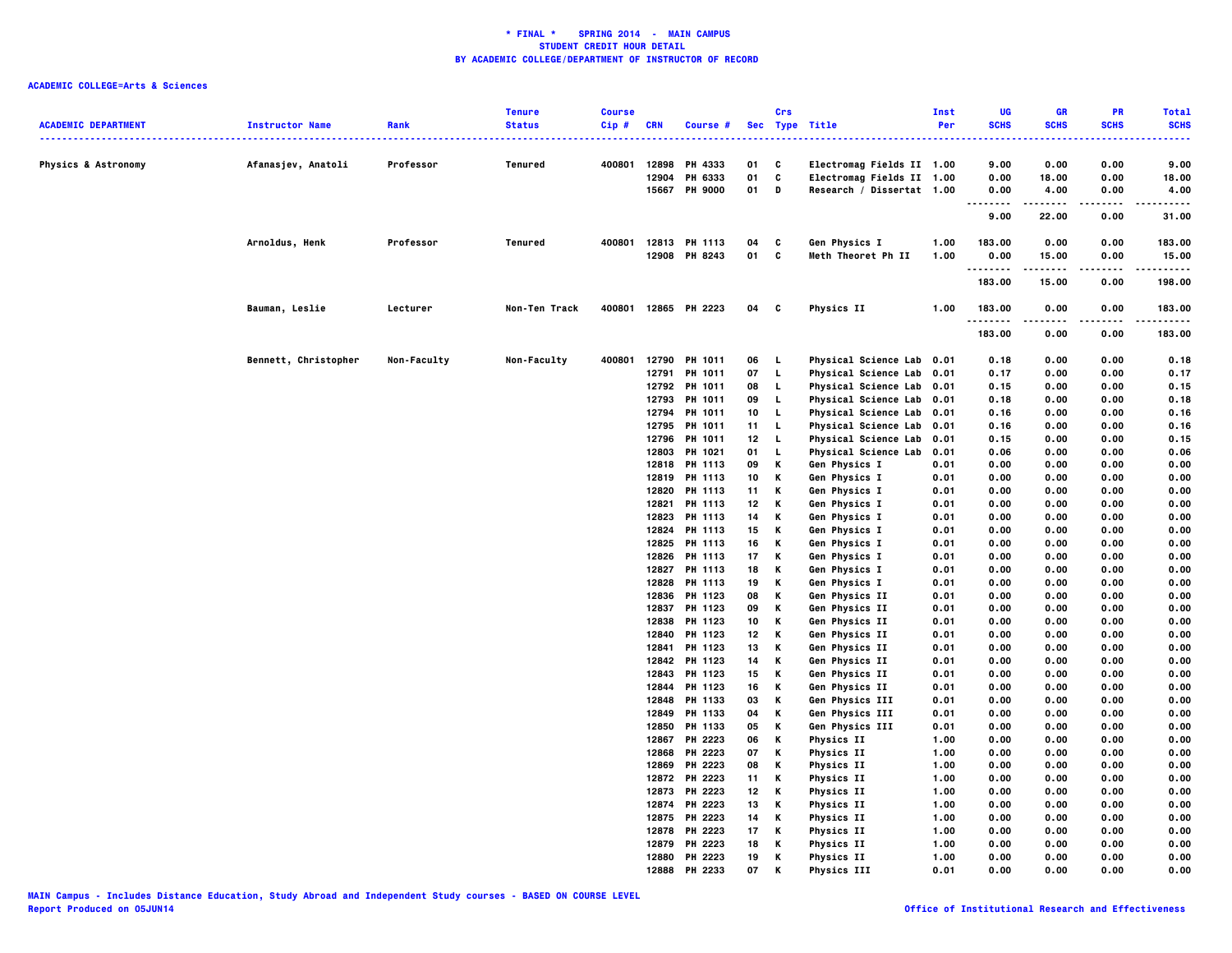| <b>ACADEMIC DEPARTMENT</b>     | <b>Instructor Name</b> | Rank        | <b>Tenure</b><br><b>Status</b> | <b>Course</b><br>Cip# | <b>CRN</b> | Course #                       |                       | Crs     | Sec Type Title                                         | Inst<br>Per  | UG<br><b>SCHS</b> | GR<br><b>SCHS</b> | PR<br><b>SCHS</b> | <b>Total</b><br><b>SCHS</b> |
|--------------------------------|------------------------|-------------|--------------------------------|-----------------------|------------|--------------------------------|-----------------------|---------|--------------------------------------------------------|--------------|-------------------|-------------------|-------------------|-----------------------------|
|                                |                        |             |                                |                       |            |                                |                       |         |                                                        |              |                   |                   |                   |                             |
| <b>Physics &amp; Astronomy</b> | Afanasjev, Anatoli     | Professor   | Tenured                        | 400801                |            | 12898 PH 4333                  | 01                    | C       | Electromag Fields II 1.00                              |              | 9.00              | 0.00              | 0.00              | 9.00                        |
|                                |                        |             |                                |                       | 12904      | PH 6333                        | 01                    | C       | Electromag Fields II 1.00                              |              | 0.00              | 18.00             | 0.00              | 18.00                       |
|                                |                        |             |                                |                       |            | 15667 PH 9000                  | 01                    | D       | Research / Dissertat 1.00                              |              | 0.00<br><br>.     | 4.00              | 0.00              | 4.00                        |
|                                |                        |             |                                |                       |            |                                |                       |         |                                                        |              | 9.00              | 22.00             | 0.00              | 31.00                       |
|                                | Arnoldus, Henk         | Professor   | Tenured                        | 400801                |            | 12813 PH 1113                  | 04                    | c       | Gen Physics I                                          | 1.00         | 183.00            | 0.00              | 0.00              | 183.00                      |
|                                |                        |             |                                |                       |            | 12908 PH 8243                  | 01                    | C       | Meth Theoret Ph II                                     | 1.00         | 0.00<br>.         | 15.00<br>.        | 0.00<br>.         | 15.00<br>.                  |
|                                |                        |             |                                |                       |            |                                |                       |         |                                                        |              | 183.00            | 15.00             | 0.00              | 198.00                      |
|                                | Bauman, Leslie         | Lecturer    | Non-Ten Track                  | 400801                |            | 12865 PH 2223                  | 04                    | c       | <b>Physics II</b>                                      | 1.00         | 183.00<br>.       | 0.00              | 0.00<br>.         | 183.00<br>.                 |
|                                |                        |             |                                |                       |            |                                |                       |         |                                                        |              | 183.00            | 0.00              | 0.00              | 183.00                      |
|                                | Bennett, Christopher   | Non-Faculty | Non-Faculty                    | 400801                | 12790      | PH 1011                        | 06                    | L,      | Physical Science Lab 0.01                              |              | 0.18              | 0.00              | 0.00              | 0.18                        |
|                                |                        |             |                                |                       |            | 12791 PH 1011                  | 07                    | L       | Physical Science Lab 0.01                              |              | 0.17              | 0.00              | 0.00              | 0.17                        |
|                                |                        |             |                                |                       |            | 12792 PH 1011                  | 08                    | L.      | Physical Science Lab 0.01                              |              | 0.15              | 0.00              | 0.00              | 0.15                        |
|                                |                        |             |                                |                       |            | 12793 PH 1011                  | 09                    | L.      | Physical Science Lab 0.01                              |              | 0.18              | 0.00              | 0.00              | 0.18                        |
|                                |                        |             |                                |                       |            | 12794 PH 1011                  | 10                    | L       | Physical Science Lab 0.01                              |              | 0.16              | 0.00              | 0.00              | 0.16                        |
|                                |                        |             |                                |                       |            | 12795 PH 1011<br>12796 PH 1011 | 11<br>12 <sub>2</sub> | L<br>L. | Physical Science Lab 0.01<br>Physical Science Lab 0.01 |              | 0.16<br>0.15      | 0.00<br>0.00      | 0.00<br>0.00      | 0.16<br>0.15                |
|                                |                        |             |                                |                       | 12803      | PH 1021                        | 01                    | L.      | Physical Science Lab                                   | 0.01         | 0.06              | 0.00              | 0.00              | 0.06                        |
|                                |                        |             |                                |                       |            | 12818 PH 1113                  | 09                    | К       | Gen Physics I                                          | 0.01         | 0.00              | 0.00              | 0.00              | 0.00                        |
|                                |                        |             |                                |                       |            | 12819 PH 1113                  | 10                    | К       | Gen Physics I                                          | 0.01         | 0.00              | 0.00              | 0.00              | 0.00                        |
|                                |                        |             |                                |                       |            | 12820 PH 1113                  | 11                    | К       | Gen Physics I                                          | 0.01         | 0.00              | 0.00              | 0.00              | 0.00                        |
|                                |                        |             |                                |                       | 12821      | PH 1113                        | 12                    | Κ       | Gen Physics I                                          | 0.01         | 0.00              | 0.00              | 0.00              | 0.00                        |
|                                |                        |             |                                |                       |            | 12823 PH 1113                  | 14                    | K       | Gen Physics I                                          | 0.01         | 0.00              | 0.00              | 0.00              | 0.00                        |
|                                |                        |             |                                |                       |            | 12824 PH 1113                  | 15                    | К       | Gen Physics I                                          | 0.01         | 0.00              | 0.00              | 0.00              | 0.00                        |
|                                |                        |             |                                |                       | 12825      | PH 1113                        | 16                    | К       | Gen Physics I                                          | 0.01         | 0.00              | 0.00              | 0.00              | 0.00                        |
|                                |                        |             |                                |                       |            | 12826 PH 1113                  | 17                    | К       | Gen Physics I                                          | 0.01         | 0.00              | 0.00              | 0.00              | 0.00                        |
|                                |                        |             |                                |                       |            | 12827 PH 1113                  | 18                    | К       | Gen Physics I                                          | 0.01         | 0.00              | 0.00<br>0.00      | 0.00              | 0.00                        |
|                                |                        |             |                                |                       |            | 12828 PH 1113<br>12836 PH 1123 | 19<br>08              | к<br>К  | Gen Physics I<br>Gen Physics II                        | 0.01<br>0.01 | 0.00<br>0.00      | 0.00              | 0.00<br>0.00      | 0.00<br>0.00                |
|                                |                        |             |                                |                       |            | 12837 PH 1123                  | 09                    | К       | Gen Physics II                                         | 0.01         | 0.00              | 0.00              | 0.00              | 0.00                        |
|                                |                        |             |                                |                       |            | 12838 PH 1123                  | 10                    | Κ       | Gen Physics II                                         | 0.01         | 0.00              | 0.00              | 0.00              | 0.00                        |
|                                |                        |             |                                |                       |            | 12840 PH 1123                  | 12                    | К       | Gen Physics II                                         | 0.01         | 0.00              | 0.00              | 0.00              | 0.00                        |
|                                |                        |             |                                |                       |            | 12841 PH 1123                  | 13                    | К       | Gen Physics II                                         | 0.01         | 0.00              | 0.00              | 0.00              | 0.00                        |
|                                |                        |             |                                |                       |            | 12842 PH 1123                  | 14                    | К       | Gen Physics II                                         | 0.01         | 0.00              | 0.00              | 0.00              | 0.00                        |
|                                |                        |             |                                |                       | 12843      | PH 1123                        | 15                    | К       | Gen Physics II                                         | 0.01         | 0.00              | 0.00              | 0.00              | 0.00                        |
|                                |                        |             |                                |                       | 12844      | PH 1123                        | 16                    | К       | Gen Physics II                                         | 0.01         | 0.00              | 0.00              | 0.00              | 0.00                        |
|                                |                        |             |                                |                       | 12848      | PH 1133                        | 03                    | к       | Gen Physics III                                        | 0.01         | 0.00              | 0.00              | 0.00              | 0.00                        |
|                                |                        |             |                                |                       |            | 12849 PH 1133                  | 04                    | к       | Gen Physics III                                        | 0.01         | 0.00              | 0.00              | 0.00              | 0.00                        |
|                                |                        |             |                                |                       |            | 12850 PH 1133                  | 05                    | Κ       | Gen Physics III                                        | 0.01         | 0.00              | 0.00              | 0.00              | 0.00                        |
|                                |                        |             |                                |                       | 12867      | PH 2223                        | 06                    | Κ       | <b>Physics II</b>                                      | 1.00         | 0.00              | 0.00              | 0.00              | 0.00                        |
|                                |                        |             |                                |                       |            | 12868 PH 2223                  | 07                    | Κ       | <b>Physics II</b>                                      | 1.00         | 0.00              | 0.00              | 0.00              | 0.00                        |
|                                |                        |             |                                |                       | 12869      | PH 2223                        | 08                    | Κ       | Physics II                                             | 1.00         | 0.00              | 0.00              | 0.00              | 0.00                        |
|                                |                        |             |                                |                       |            | 12872 PH 2223                  | 11                    | К       | <b>Physics II</b>                                      | 1.00         | 0.00              | 0.00              | 0.00              | 0.00                        |
|                                |                        |             |                                |                       |            | 12873 PH 2223                  | 12                    | К       | Physics II                                             | 1.00         | 0.00              | 0.00              | 0.00              | 0.00                        |
|                                |                        |             |                                |                       | 12874      | PH 2223                        | 13                    | К       | Physics II                                             | 1.00         | 0.00              | 0.00              | 0.00              | 0.00                        |
|                                |                        |             |                                |                       |            | 12875 PH 2223                  | 14                    | К       | Physics II                                             | 1.00         | 0.00              | 0.00              | 0.00              | 0.00                        |
|                                |                        |             |                                |                       |            | 12878 PH 2223                  | 17                    | К       | Physics II                                             | 1.00         | 0.00              | 0.00              | 0.00              | 0.00                        |
|                                |                        |             |                                |                       | 12879      | PH 2223                        | 18                    | к<br>Κ  | <b>Physics II</b>                                      | 1.00<br>1.00 | 0.00              | 0.00<br>0.00      | 0.00<br>0.00      | 0.00<br>0.00                |
|                                |                        |             |                                |                       | 12888      | 12880 PH 2223<br>PH 2233       | 19<br>07              | К       | Physics II<br><b>Physics III</b>                       | 0.01         | 0.00<br>0.00      | 0.00              | 0.00              | 0.00                        |
|                                |                        |             |                                |                       |            |                                |                       |         |                                                        |              |                   |                   |                   |                             |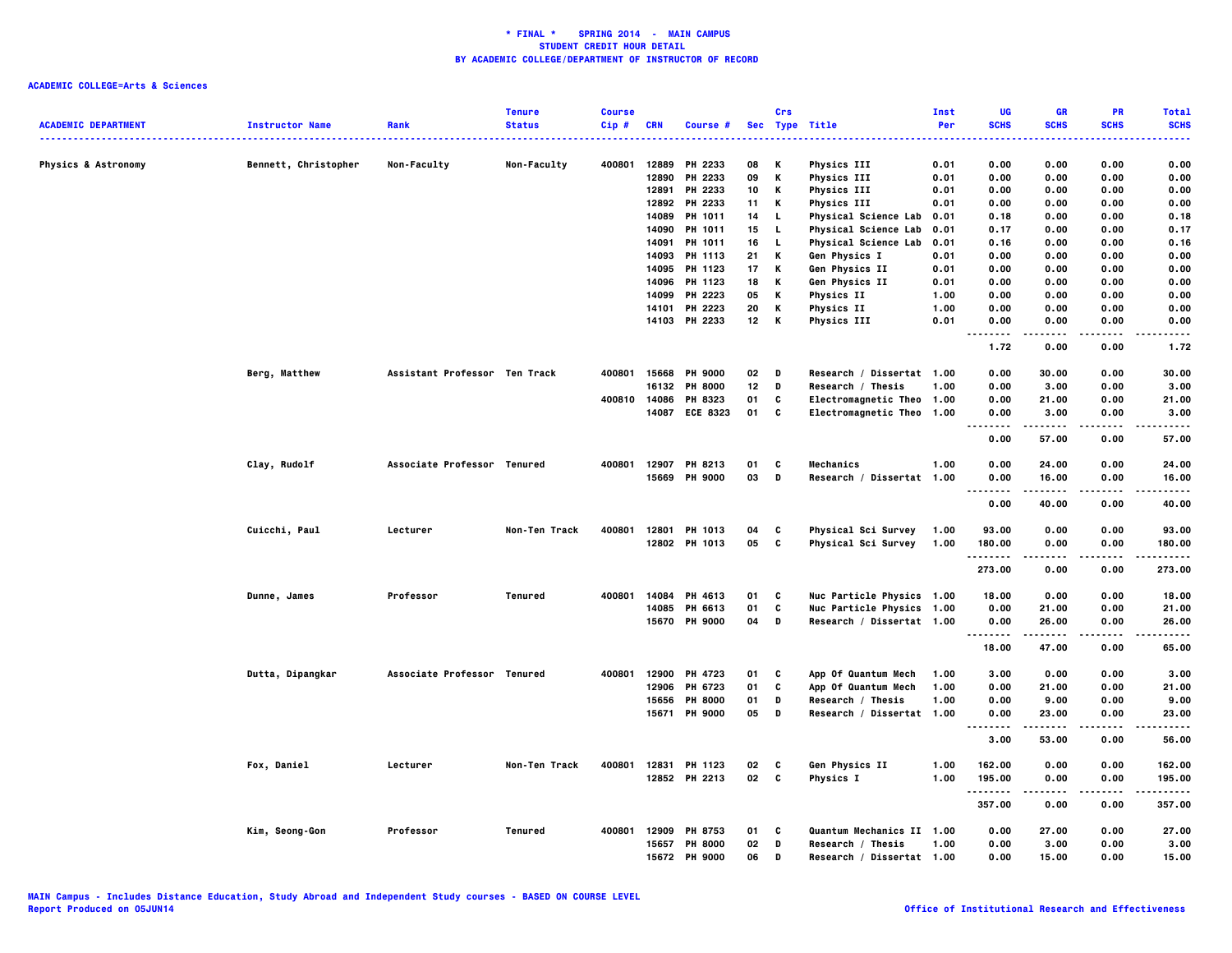| <b>ACADEMIC DEPARTMENT</b>     | <b>Instructor Name</b> | Rank                          | <b>Tenure</b><br><b>Status</b> | <b>Course</b><br>$Cip$ # | <b>CRN</b>     | Course #             |          | Crs    | Sec Type Title                    | Inst<br>Per  | UG<br><b>SCHS</b>        | <b>GR</b><br><b>SCHS</b> | <b>PR</b><br><b>SCHS</b> | <b>Total</b><br><b>SCHS</b> |
|--------------------------------|------------------------|-------------------------------|--------------------------------|--------------------------|----------------|----------------------|----------|--------|-----------------------------------|--------------|--------------------------|--------------------------|--------------------------|-----------------------------|
|                                |                        |                               |                                |                          |                |                      |          |        |                                   |              |                          |                          |                          | .                           |
| <b>Physics &amp; Astronomy</b> | Bennett, Christopher   | Non-Faculty                   | Non-Faculty                    | 400801                   | 12889          | PH 2233              | 08       | Κ      | <b>Physics III</b>                | 0.01         | 0.00                     | 0.00                     | 0.00                     | 0.00                        |
|                                |                        |                               |                                |                          | 12890<br>12891 | PH 2233<br>PH 2233   | 09<br>10 | Κ<br>К | Physics III<br><b>Physics III</b> | 0.01<br>0.01 | 0.00<br>0.00             | 0.00<br>0.00             | 0.00<br>0.00             | 0.00<br>0.00                |
|                                |                        |                               |                                |                          | 12892          | PH 2233              | 11       | Κ      | <b>Physics III</b>                | 0.01         | 0.00                     | 0.00                     | 0.00                     | 0.00                        |
|                                |                        |                               |                                |                          | 14089          | <b>PH 1011</b>       | 14       | L.     | <b>Physical Science Lab</b>       | 0.01         | 0.18                     | 0.00                     | 0.00                     | 0.18                        |
|                                |                        |                               |                                |                          |                | 14090 PH 1011        | 15       | L.     | <b>Physical Science Lab</b>       | 0.01         | 0.17                     | 0.00                     | 0.00                     | 0.17                        |
|                                |                        |                               |                                |                          | 14091          | PH 1011              | 16       | L.     | <b>Physical Science Lab</b>       | 0.01         | 0.16                     | 0.00                     | 0.00                     | 0.16                        |
|                                |                        |                               |                                |                          | 14093          | PH 1113              | 21       | К      | Gen Physics I                     | 0.01         | 0.00                     | 0.00                     | 0.00                     | 0.00                        |
|                                |                        |                               |                                |                          | 14095          | PH 1123              | 17       | Κ      | Gen Physics II                    | 0.01         | 0.00                     | 0.00                     | 0.00                     | 0.00                        |
|                                |                        |                               |                                |                          | 14096          | PH 1123              | 18       | Κ      | Gen Physics II                    | 0.01         | 0.00                     | 0.00                     | 0.00                     | 0.00                        |
|                                |                        |                               |                                |                          | 14099          | PH 2223              | 05       | Κ      | <b>Physics II</b>                 | 1.00         | 0.00                     | 0.00                     | 0.00                     | 0.00                        |
|                                |                        |                               |                                |                          | 14101          | PH 2223              | 20       | Κ      | Physics II                        | 1.00         | 0.00                     | 0.00                     | 0.00                     | 0.00                        |
|                                |                        |                               |                                |                          |                | 14103 PH 2233        | 12       | Κ      | Physics III                       | 0.01         | 0.00<br>. .<br>$- - - -$ | 0.00<br>.                | 0.00<br>.                | 0.00<br>----                |
|                                |                        |                               |                                |                          |                |                      |          |        |                                   |              | 1.72                     | 0.00                     | 0.00                     | 1.72                        |
|                                | Berg, Matthew          | Assistant Professor Ten Track |                                | 400801                   | 15668          | <b>PH 9000</b>       | 02       | D      | Research / Dissertat 1.00         |              | 0.00                     | 30.00                    | 0.00                     | 30.00                       |
|                                |                        |                               |                                |                          | 16132          | <b>PH 8000</b>       | 12       | D      | Research / Thesis                 | 1.00         | 0.00                     | 3.00                     | 0.00                     | 3.00                        |
|                                |                        |                               |                                | 400810 14086             |                | PH 8323              | 01       | C      | Electromagnetic Theo 1.00         |              | 0.00                     | 21.00                    | 0.00                     | 21.00                       |
|                                |                        |                               |                                |                          |                | 14087 ECE 8323       | 01       | C      | Electromagnetic Theo 1.00         |              | 0.00                     | 3.00                     | 0.00                     | 3.00                        |
|                                |                        |                               |                                |                          |                |                      |          |        |                                   |              | .                        |                          |                          | $\cdots$                    |
|                                |                        |                               |                                |                          |                |                      |          |        |                                   |              | 0.00                     | 57.00                    | 0.00                     | 57.00                       |
|                                | Clay, Rudolf           | Associate Professor Tenured   |                                |                          |                | 400801 12907 PH 8213 | 01       | C      | Mechanics                         | 1.00         | 0.00                     | 24.00                    | 0.00                     | 24.00                       |
|                                |                        |                               |                                |                          | 15669          | <b>PH 9000</b>       | 03       | D      | Research / Dissertat 1.00         |              | 0.00                     | 16.00                    | 0.00                     | 16.00                       |
|                                |                        |                               |                                |                          |                |                      |          |        |                                   |              | .<br>.<br>0.00           | -----<br>40.00           | .<br>0.00                | .<br>40.00                  |
|                                |                        |                               |                                |                          |                |                      |          |        |                                   |              |                          |                          |                          |                             |
|                                | Cuicchi, Paul          | Lecturer                      | Non-Ten Track                  | 400801                   | 12801          | PH 1013              | 04       | C      | Physical Sci Survey               | 1.00         | 93.00                    | 0.00                     | 0.00                     | 93.00                       |
|                                |                        |                               |                                |                          |                | 12802 PH 1013        | 05       | C      | Physical Sci Survey               | 1.00         | 180.00<br>. <b>.</b>     | 0.00<br>-----            | 0.00<br>.                | 180.00<br>.                 |
|                                |                        |                               |                                |                          |                |                      |          |        |                                   |              | 273.00                   | 0.00                     | 0.00                     | 273.00                      |
|                                | Dunne, James           | Professor                     | Tenured                        | 400801                   | 14084          | PH 4613              | 01       | C      | Nuc Particle Physics 1.00         |              | 18.00                    | 0.00                     | 0.00                     | 18,00                       |
|                                |                        |                               |                                |                          |                | 14085 PH 6613        | 01       | C      | Nuc Particle Physics 1.00         |              | 0.00                     | 21.00                    | 0.00                     | 21.00                       |
|                                |                        |                               |                                |                          |                | 15670 PH 9000        | 04       | D      | Research / Dissertat 1.00         |              | 0.00                     | 26.00                    | 0.00                     | 26.00                       |
|                                |                        |                               |                                |                          |                |                      |          |        |                                   |              | --------<br>18.00        | .<br>47.00               | .<br>0.00                | .<br>65.00                  |
|                                | Dutta, Dipangkar       | Associate Professor Tenured   |                                | 400801                   | 12900          | PH 4723              | 01       | C      | App Of Quantum Mech               | 1.00         | 3.00                     | 0.00                     | 0.00                     | 3.00                        |
|                                |                        |                               |                                |                          | 12906          | PH 6723              | 01       | C      | App Of Quantum Mech               | 1.00         | 0.00                     | 21.00                    | 0.00                     | 21.00                       |
|                                |                        |                               |                                |                          | 15656          | <b>PH 8000</b>       | 01       | D      | Research / Thesis                 | 1.00         | 0.00                     | 9.00                     | 0.00                     | 9.00                        |
|                                |                        |                               |                                |                          |                | 15671 PH 9000        | 05       | D      | Research / Dissertat 1.00         |              | 0.00                     | 23.00                    | 0.00                     | 23.00                       |
|                                |                        |                               |                                |                          |                |                      |          |        |                                   |              | --------                 |                          |                          | .                           |
|                                |                        |                               |                                |                          |                |                      |          |        |                                   |              | 3.00                     | 53.00                    | 0.00                     | 56.00                       |
|                                | Fox, Daniel            | Lecturer                      | Non-Ten Track                  | 400801                   |                | 12831 PH 1123        | 02       | C      | Gen Physics II                    | 1.00         | 162.00                   | 0.00                     | 0.00                     | 162.00                      |
|                                |                        |                               |                                |                          |                | 12852 PH 2213        | 02       | C      | Physics I                         | 1.00         | 195.00<br>.              | 0.00                     | 0.00<br>.                | 195.00<br>.                 |
|                                |                        |                               |                                |                          |                |                      |          |        |                                   |              | 357.00                   | 0.00                     | 0.00                     | 357.00                      |
|                                | Kim, Seong-Gon         | Professor                     | Tenured                        | 400801                   |                | 12909 PH 8753        | 01       | C      | Quantum Mechanics II 1.00         |              | 0.00                     | 27.00                    | 0.00                     | 27.00                       |
|                                |                        |                               |                                |                          | 15657          | <b>PH 8000</b>       | 02       | D      | Research / Thesis                 | 1.00         | 0.00                     | 3.00                     | 0.00                     | 3.00                        |
|                                |                        |                               |                                |                          |                | 15672 PH 9000        | 06       | D      | Research / Dissertat 1.00         |              | 0.00                     | 15.00                    | 0.00                     | 15.00                       |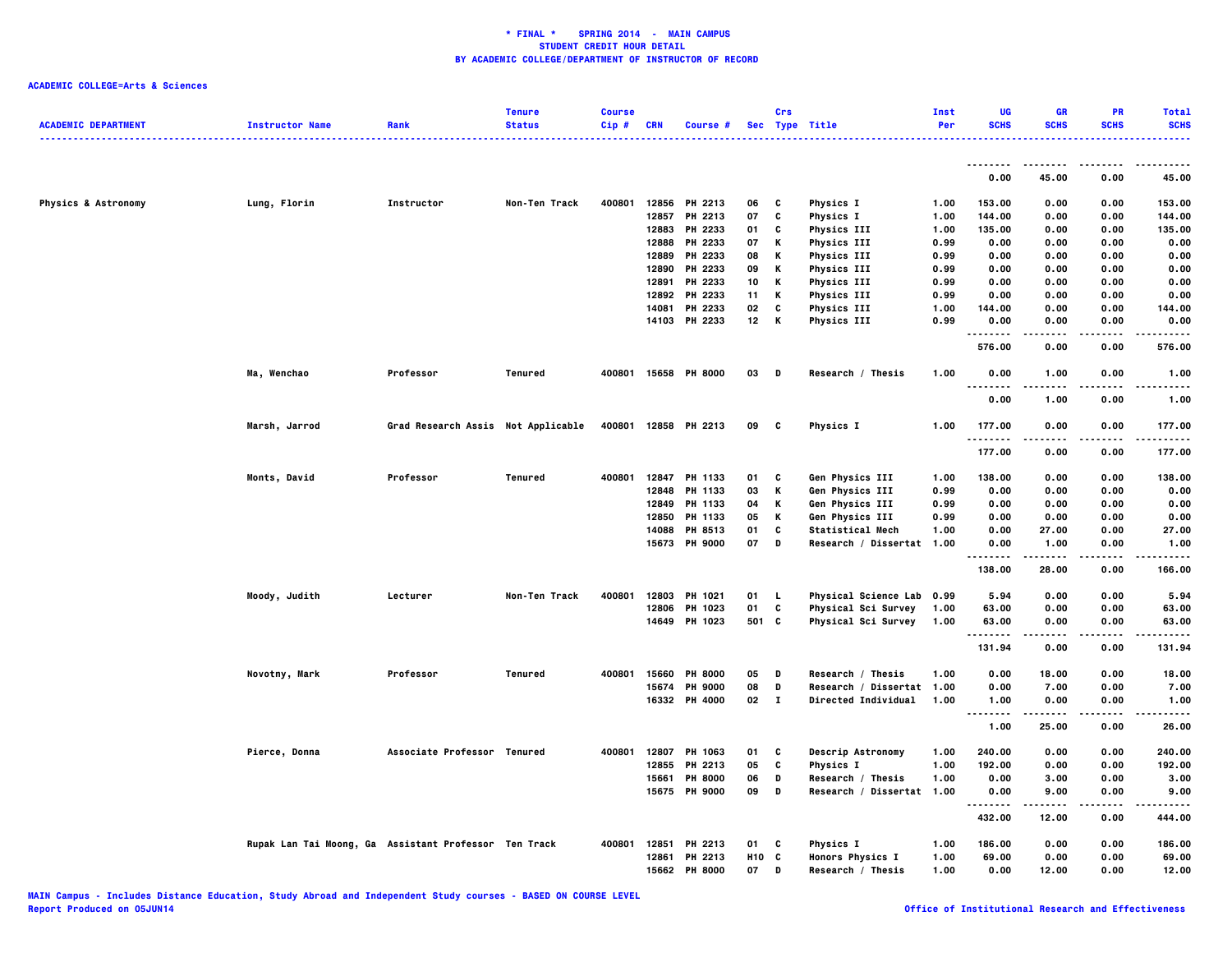|                                |                                                       |                                    | <b>Tenure</b> | <b>Course</b> |            |                      |            | Crs          |                            | Inst | UG                     | <b>GR</b>         | PR          | <b>Total</b> |
|--------------------------------|-------------------------------------------------------|------------------------------------|---------------|---------------|------------|----------------------|------------|--------------|----------------------------|------|------------------------|-------------------|-------------|--------------|
| <b>ACADEMIC DEPARTMENT</b>     | <b>Instructor Name</b>                                | Rank                               | <b>Status</b> | Cip#          | <b>CRN</b> | Course #             |            |              | Sec Type Title<br><u>.</u> | Per  | <b>SCHS</b>            | <b>SCHS</b>       | <b>SCHS</b> | <b>SCHS</b>  |
|                                |                                                       |                                    |               |               |            |                      |            |              |                            |      | .                      |                   | .           |              |
|                                |                                                       |                                    |               |               |            |                      |            |              |                            |      | 0.00                   | 45.00             | 0.00        | 45.00        |
| <b>Physics &amp; Astronomy</b> | Lung, Florin                                          | Instructor                         | Non-Ten Track | 400801        |            | 12856 PH 2213        | 06         | C            | <b>Physics I</b>           | 1.00 | 153.00                 | 0.00              | 0.00        | 153.00       |
|                                |                                                       |                                    |               |               | 12857      | PH 2213              | 07         | c            | <b>Physics I</b>           | 1.00 | 144.00                 | 0.00              | 0.00        | 144.00       |
|                                |                                                       |                                    |               |               | 12883      | PH 2233              | 01         | C            | <b>Physics III</b>         | 1.00 | 135.00                 | 0.00              | 0.00        | 135.00       |
|                                |                                                       |                                    |               |               | 12888      | PH 2233              | 07         | Κ            | <b>Physics III</b>         | 0.99 | 0.00                   | 0.00              | 0.00        | 0.00         |
|                                |                                                       |                                    |               |               | 12889      | PH 2233              | 08         | Κ            | <b>Physics III</b>         | 0.99 | 0.00                   | 0.00              | 0.00        | 0.00         |
|                                |                                                       |                                    |               |               | 12890      | PH 2233              | 09         | Κ            | <b>Physics III</b>         | 0.99 | 0.00                   | 0.00              | 0.00        | 0.00         |
|                                |                                                       |                                    |               |               | 12891      | PH 2233              | 10         | Κ            | <b>Physics III</b>         | 0.99 | 0.00                   | 0.00              | 0.00        | 0.00         |
|                                |                                                       |                                    |               |               |            | 12892 PH 2233        | 11         | Κ            | <b>Physics III</b>         | 0.99 | 0.00                   | 0.00              | 0.00        | 0.00         |
|                                |                                                       |                                    |               |               | 14081      | PH 2233              | 02         | C            | <b>Physics III</b>         | 1.00 | 144.00                 | 0.00              | 0.00        | 144.00       |
|                                |                                                       |                                    |               |               |            | 14103 PH 2233        | 12         | Κ            | <b>Physics III</b>         | 0.99 | 0.00<br>.              | 0.00              | 0.00        | 0.00<br>.    |
|                                |                                                       |                                    |               |               |            |                      |            |              |                            |      | 576.00                 | 0.00              | 0.00        | 576.00       |
|                                | Ma, Wenchao                                           | Professor                          | Tenured       |               |            | 400801 15658 PH 8000 | 03         | D            | Research / Thesis          | 1.00 | 0.00<br>.              | 1.00              | 0.00        | 1.00         |
|                                |                                                       |                                    |               |               |            |                      |            |              |                            |      | 0.00                   | 1.00              | 0.00        | 1.00         |
|                                | Marsh, Jarrod                                         | Grad Research Assis Not Applicable |               |               |            | 400801 12858 PH 2213 | 09         | C            | <b>Physics I</b>           | 1.00 | 177.00                 | 0.00              | 0.00        | 177.00       |
|                                |                                                       |                                    |               |               |            |                      |            |              |                            |      | .<br>177.00            | 0.00              | .<br>0.00   | .<br>177.00  |
|                                | Monts, David                                          | Professor                          | Tenured       | 400801        | 12847      | PH 1133              | 01         | C            | Gen Physics III            | 1.00 | 138.00                 | 0.00              | 0.00        | 138.00       |
|                                |                                                       |                                    |               |               | 12848      | PH 1133              | 03         | К            | Gen Physics III            | 0.99 | 0.00                   | 0.00              | 0.00        | 0.00         |
|                                |                                                       |                                    |               |               | 12849      | PH 1133              | 04         | Κ            | Gen Physics III            | 0.99 | 0.00                   | 0.00              | 0.00        | 0.00         |
|                                |                                                       |                                    |               |               | 12850      | PH 1133              | 05         | Κ            | Gen Physics III            | 0.99 | 0.00                   | 0.00              | 0.00        | 0.00         |
|                                |                                                       |                                    |               |               | 14088      | PH 8513              | 01         | c            | Statistical Mech           | 1.00 | 0.00                   | 27.00             | 0.00        | 27.00        |
|                                |                                                       |                                    |               |               |            | 15673 PH 9000        | 07         | D            | Research / Dissertat 1.00  |      | 0.00                   | 1.00              | 0.00        | 1.00         |
|                                |                                                       |                                    |               |               |            |                      |            |              |                            |      | <br>138.00             | .<br>28.00        | .<br>0.00   | .<br>166.00  |
|                                | Moody, Judith                                         | Lecturer                           | Non-Ten Track | 400801        | 12803      | <b>PH 1021</b>       | 01         | - L          | Physical Science Lab 0.99  |      | 5.94                   | 0.00              | 0.00        | 5.94         |
|                                |                                                       |                                    |               |               | 12806      | PH 1023              | 01         | C            | Physical Sci Survey        | 1.00 | 63.00                  | 0.00              | 0.00        | 63.00        |
|                                |                                                       |                                    |               |               |            | 14649 PH 1023        |            | 501 C        | Physical Sci Survey        | 1.00 | 63.00                  | 0.00              | 0.00        | 63.00        |
|                                |                                                       |                                    |               |               |            |                      |            |              |                            |      | .<br>131.94            | - - - - -<br>0.00 | .<br>0.00   | .<br>131.94  |
|                                | Novotny, Mark                                         | Professor                          | Tenured       | 400801        | 15660      | <b>PH 8000</b>       | 05         | D            | Research / Thesis          | 1.00 | 0.00                   | 18.00             | 0.00        | 18.00        |
|                                |                                                       |                                    |               |               | 15674      | <b>PH 9000</b>       | 08         | D            | Research / Dissertat 1.00  |      | 0.00                   | 7.00              | 0.00        | 7.00         |
|                                |                                                       |                                    |               |               | 16332      | <b>PH 4000</b>       | 02         | $\mathbf{I}$ | <b>Directed Individual</b> | 1.00 | 1.00                   | 0.00              | 0.00        | 1.00         |
|                                |                                                       |                                    |               |               |            |                      |            |              |                            |      | $\ddotsc$<br>.<br>1.00 | 25.00             | 0.00        | 26.00        |
|                                | Pierce, Donna                                         | Associate Professor Tenured        |               | 400801        | 12807      | PH 1063              | 01         | C            | Descrip Astronomy          | 1.00 | 240.00                 | 0.00              | 0.00        | 240.00       |
|                                |                                                       |                                    |               |               | 12855      | PH 2213              | 05         | C            | <b>Physics I</b>           | 1.00 | 192.00                 | 0.00              | 0.00        | 192.00       |
|                                |                                                       |                                    |               |               | 15661      | <b>PH 8000</b>       | 06         | D            | Research / Thesis          | 1.00 | 0.00                   | 3.00              | 0.00        | 3.00         |
|                                |                                                       |                                    |               |               |            | 15675 PH 9000        | 09         | D            | Research / Dissertat 1.00  |      | 0.00                   | 9.00              | 0.00        | 9.00         |
|                                |                                                       |                                    |               |               |            |                      |            |              |                            |      | .<br>432.00            | -----<br>12.00    | .<br>0.00   | .<br>444.00  |
|                                | Rupak Lan Tai Moong, Ga Assistant Professor Ten Track |                                    |               | 400801        | 12851      | PH 2213              | 01         | C            | Physics I                  | 1.00 | 186.00                 | 0.00              | 0.00        | 186.00       |
|                                |                                                       |                                    |               |               |            | 12861 PH 2213        | <b>H10</b> | C            | <b>Honors Physics I</b>    | 1.00 | 69.00                  | 0.00              | 0.00        | 69.00        |
|                                |                                                       |                                    |               |               | 15662      | <b>PH 8000</b>       | 07         | D            | Research / Thesis          | 1.00 | 0.00                   | 12.00             | 0.00        | 12.00        |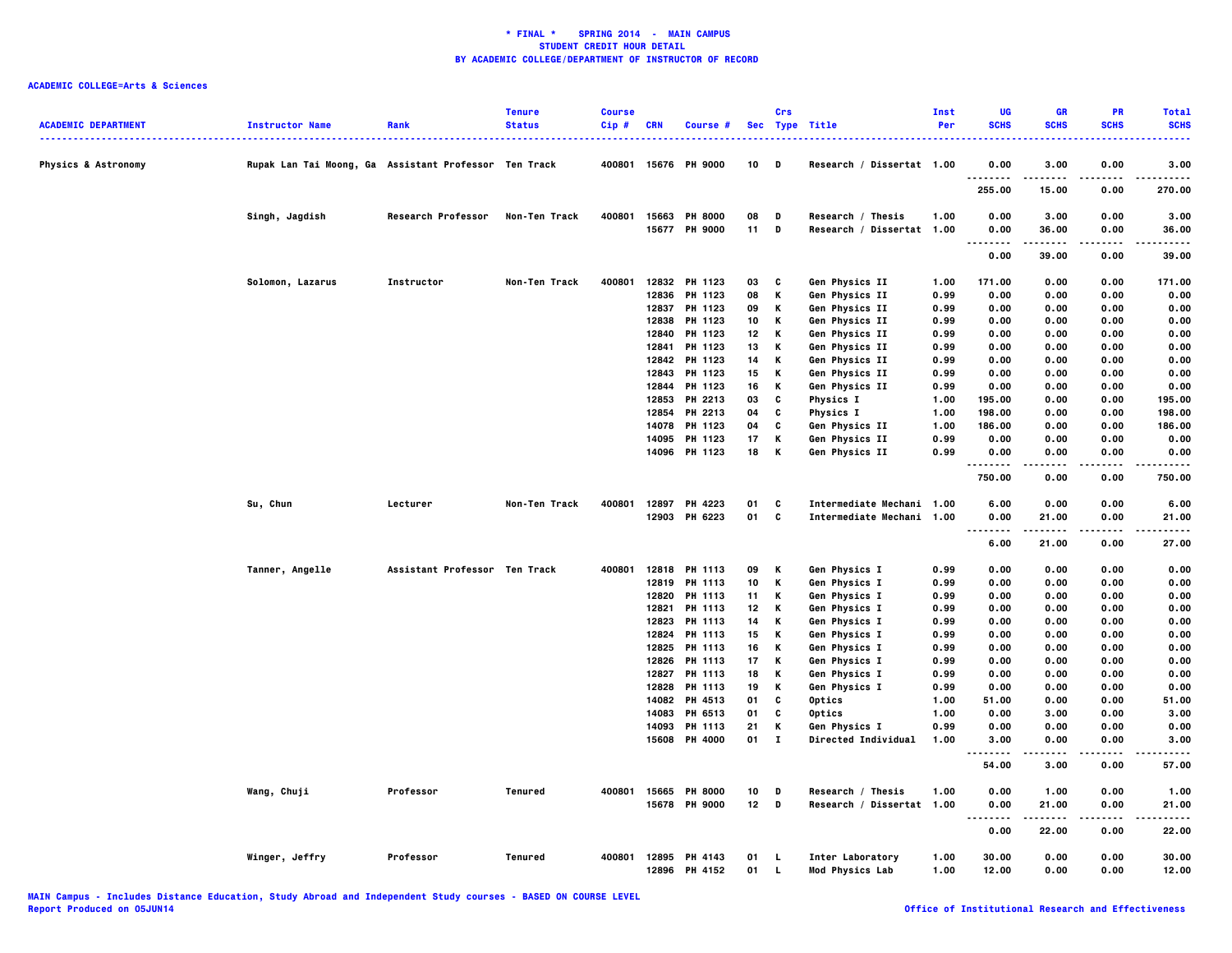| <b>ACADEMIC DEPARTMENT</b>     | <b>Instructor Name</b>                                | Rank                          | <b>Tenure</b><br><b>Status</b> | <b>Course</b><br>Cip# | <b>CRN</b> | Course #                       |          | Crs      | Sec Type Title                                 | Inst<br>Per | UG<br><b>SCHS</b>                     | <b>GR</b><br><b>SCHS</b> | PR<br><b>SCHS</b> | <b>Total</b><br><b>SCHS</b> |
|--------------------------------|-------------------------------------------------------|-------------------------------|--------------------------------|-----------------------|------------|--------------------------------|----------|----------|------------------------------------------------|-------------|---------------------------------------|--------------------------|-------------------|-----------------------------|
| <b>Physics &amp; Astronomy</b> | Rupak Lan Tai Moong, Ga Assistant Professor Ten Track |                               |                                |                       |            | 400801 15676 PH 9000           | 10       | D        | Research / Dissertat 1.00                      |             | 0.00                                  | 3.00                     | 0.00              | $\cdots$<br>3.00            |
|                                |                                                       |                               |                                |                       |            |                                |          |          |                                                |             | .<br>255.00                           | 15.00                    | 0.00              | 270.00                      |
|                                | Singh, Jagdish                                        | Research Professor            | Non-Ten Track                  | 400801                |            | 15663 PH 8000<br>15677 PH 9000 | 08<br>11 | D<br>D   | Research / Thesis<br>Research / Dissertat 1.00 | 1.00        | 0.00<br>0.00                          | 3.00<br>36.00            | 0.00<br>0.00      | 3.00<br>36.00               |
|                                |                                                       |                               |                                |                       |            |                                |          |          |                                                |             | $\sim$ $\sim$<br>.<br>0.00            | 39.00                    | 0.00              | 39.00                       |
|                                | Solomon, Lazarus                                      | Instructor                    | Non-Ten Track                  | 400801                |            | 12832 PH 1123                  | 03       | C        | Gen Physics II                                 | 1.00        | 171.00                                | 0.00                     | 0.00              | 171.00                      |
|                                |                                                       |                               |                                |                       | 12836      | PH 1123                        | 08       | Κ        | Gen Physics II                                 | 0.99        | 0.00                                  | 0.00                     | 0.00              | 0.00                        |
|                                |                                                       |                               |                                |                       | 12837      | PH 1123                        | 09       | Κ        | Gen Physics II                                 | 0.99        | 0.00                                  | 0.00                     | 0.00              | 0.00                        |
|                                |                                                       |                               |                                |                       | 12838      | PH 1123                        | 10       | Κ        | Gen Physics II                                 | 0.99        | 0.00                                  | 0.00                     | 0.00              | 0.00                        |
|                                |                                                       |                               |                                |                       | 12840      | PH 1123                        | 12       | Κ        | Gen Physics II                                 | 0.99        | 0.00                                  | 0.00                     | 0.00              | 0.00                        |
|                                |                                                       |                               |                                |                       | 12841      | PH 1123                        | 13       | Κ        | Gen Physics II                                 | 0.99        | 0.00                                  | 0.00                     | 0.00              | 0.00                        |
|                                |                                                       |                               |                                |                       | 12842      | PH 1123                        | 14       | Κ        | Gen Physics II                                 | 0.99        | 0.00                                  | 0.00                     | 0.00              | 0.00                        |
|                                |                                                       |                               |                                |                       | 12843      | PH 1123                        | 15       | Κ        | Gen Physics II                                 | 0.99        | 0.00                                  | 0.00                     | 0.00              | 0.00                        |
|                                |                                                       |                               |                                |                       |            | 12844 PH 1123                  | 16       | Κ        | Gen Physics II                                 | 0.99        | 0.00                                  | 0.00                     | 0.00              | 0.00                        |
|                                |                                                       |                               |                                |                       | 12853      | PH 2213                        | 03       | c        | <b>Physics I</b>                               | 1.00        | 195.00                                | 0.00                     | 0.00              | 195.00                      |
|                                |                                                       |                               |                                |                       | 12854      | PH 2213                        | 04       | c        | <b>Physics I</b>                               | 1.00        | 198.00                                | 0.00                     | 0.00              | 198.00                      |
|                                |                                                       |                               |                                |                       | 14078      | PH 1123                        | 04       | c        | Gen Physics II                                 | 1.00        | 186.00                                | 0.00                     | 0.00              | 186.00                      |
|                                |                                                       |                               |                                |                       | 14095      | PH 1123                        | 17       | Κ        | Gen Physics II                                 | 0.99        | 0.00                                  | 0.00                     | 0.00              | 0.00                        |
|                                |                                                       |                               |                                |                       | 14096      | PH 1123                        | 18       | Κ        | Gen Physics II                                 | 0.99        | 0.00<br>.                             | 0.00                     | 0.00<br>$- - - -$ | 0.00                        |
|                                |                                                       |                               |                                |                       |            |                                |          |          |                                                |             | 750.00                                | 0.00                     | 0.00              | 750.00                      |
|                                | Su, Chun                                              | Lecturer                      | Non-Ten Track                  | 400801                |            | 12897 PH 4223                  | 01       | C        | Intermediate Mechani 1.00                      |             | 6.00                                  | 0.00                     | 0.00              | 6.00                        |
|                                |                                                       |                               |                                |                       |            | 12903 PH 6223                  | 01       | C        | Intermediate Mechani 1.00                      |             | 0.00<br>$\sim$ $\sim$ $\sim$<br>----- | 21.00<br>-----           | 0.00              | 21.00                       |
|                                |                                                       |                               |                                |                       |            |                                |          |          |                                                |             | 6.00                                  | 21.00                    | 0.00              | 27.00                       |
|                                | Tanner, Angelle                                       | Assistant Professor Ten Track |                                | 400801                |            | 12818 PH 1113                  | 09       | Κ        | Gen Physics I                                  | 0.99        | 0.00                                  | 0.00                     | 0.00              | 0.00                        |
|                                |                                                       |                               |                                |                       |            | 12819 PH 1113                  | 10       | Κ        | Gen Physics I                                  | 0.99        | 0.00                                  | 0.00                     | 0.00              | 0.00                        |
|                                |                                                       |                               |                                |                       | 12820      | PH 1113                        | 11       | Κ        | Gen Physics I                                  | 0.99        | 0.00                                  | 0.00                     | 0.00              | 0.00                        |
|                                |                                                       |                               |                                |                       | 12821      | PH 1113                        | 12       | Κ        | Gen Physics I                                  | 0.99        | 0.00                                  | 0.00                     | 0.00              | 0.00                        |
|                                |                                                       |                               |                                |                       | 12823      | PH 1113                        | 14       | Κ        | Gen Physics I                                  | 0.99        | 0.00                                  | 0.00                     | 0.00              | 0.00                        |
|                                |                                                       |                               |                                |                       | 12824      | PH 1113                        | 15       | Κ        | Gen Physics I                                  | 0.99        | 0.00                                  | 0.00                     | 0.00              | 0.00                        |
|                                |                                                       |                               |                                |                       | 12825      | PH 1113                        | 16       | Κ        | Gen Physics I                                  | 0.99        | 0.00                                  | 0.00                     | 0.00              | 0.00                        |
|                                |                                                       |                               |                                |                       | 12826      | <b>PH 1113</b>                 | 17       | Κ        | Gen Physics I                                  | 0.99        | 0.00                                  | 0.00                     | 0.00              | 0.00                        |
|                                |                                                       |                               |                                |                       | 12827      | PH 1113                        | 18       | Κ        | Gen Physics I                                  | 0.99        | 0.00                                  | 0.00                     | 0.00              | 0.00                        |
|                                |                                                       |                               |                                |                       | 12828      | <b>PH 1113</b>                 | 19       | Κ        | Gen Physics I                                  | 0.99        | 0.00                                  | 0.00                     | 0.00              | 0.00                        |
|                                |                                                       |                               |                                |                       | 14082      | PH 4513                        | 01       | C        | Optics                                         | 1.00        | 51.00                                 | 0.00                     | 0.00              | 51.00                       |
|                                |                                                       |                               |                                |                       |            | 14083 PH 6513                  | 01       | C        | Optics                                         | 1.00        | 0.00                                  | 3.00                     | 0.00              | 3.00                        |
|                                |                                                       |                               |                                |                       |            | 14093 PH 1113                  | 21       | Κ        | Gen Physics I                                  | 0.99        | 0.00                                  | 0.00                     | 0.00              | 0.00                        |
|                                |                                                       |                               |                                |                       | 15608      | PH 4000                        | 01       | $\bf{I}$ | Directed Individual                            | 1.00        | 3.00<br>-----<br>                     | 0.00<br>.                | 0.00<br>.         | 3.00<br>$- - - -$           |
|                                |                                                       |                               |                                |                       |            |                                |          |          |                                                |             | 54.00                                 | 3.00                     | 0.00              | 57.00                       |
|                                | Wang, Chuji                                           | Professor                     | Tenured                        | 400801                | 15665      | <b>PH 8000</b>                 | 10       | D        | Research / Thesis                              | 1.00        | 0.00                                  | 1.00                     | 0.00              | 1.00                        |
|                                |                                                       |                               |                                |                       |            | 15678 PH 9000                  | 12       | D        | Research / Dissertat 1.00                      |             | 0.00<br>$\ddotsc$                     | 21.00                    | 0.00              | 21.00                       |
|                                |                                                       |                               |                                |                       |            |                                |          |          |                                                |             | 0.00                                  | 22.00                    | 0.00              | 22.00                       |
|                                | Winger, Jeffry                                        | Professor                     | Tenured                        | 400801                |            | 12895 PH 4143                  | 01       | <b>L</b> | Inter Laboratory                               | 1.00        | 30.00                                 | 0.00                     | 0.00              | 30.00                       |
|                                |                                                       |                               |                                |                       | 12896      | PH 4152                        | 01       | L.       | <b>Mod Physics Lab</b>                         | 1.00        | 12.00                                 | 0.00                     | 0.00              | 12.00                       |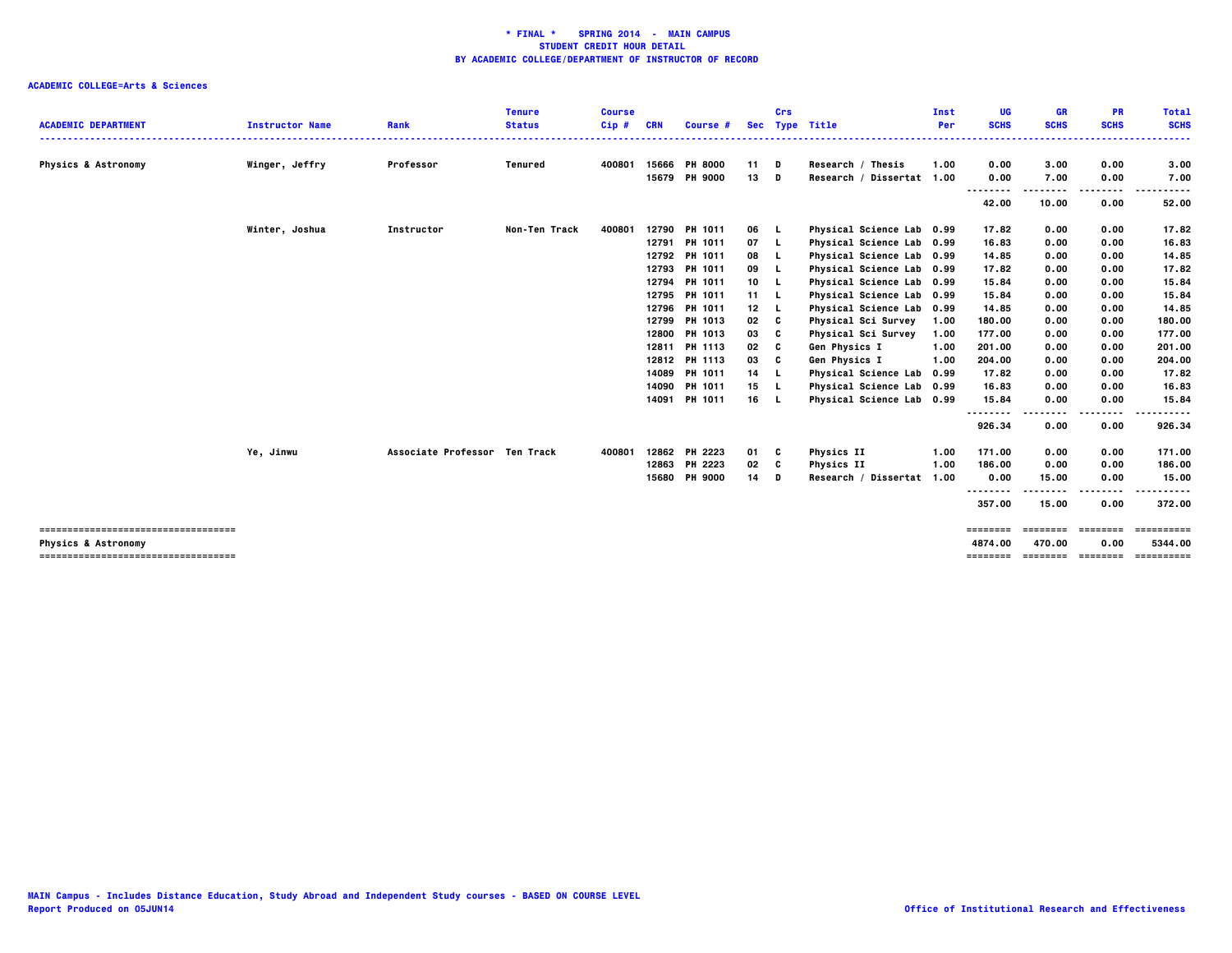|                                                                         |                        |                               | Tenure        | <b>Course</b> |       |                 |                 | Crs      |                           | Inst | UG                  | <b>GR</b>                       | PR           | <b>Total</b>          |
|-------------------------------------------------------------------------|------------------------|-------------------------------|---------------|---------------|-------|-----------------|-----------------|----------|---------------------------|------|---------------------|---------------------------------|--------------|-----------------------|
| <b>ACADEMIC DEPARTMENT</b>                                              | <b>Instructor Name</b> | Rank                          | <b>Status</b> | $Cip$ #       | CRN   | <b>Course #</b> | <b>Sec</b>      |          | <b>Type Title</b>         | Per  | <b>SCHS</b><br>.    | <b>SCHS</b>                     | <b>SCHS</b>  | <b>SCHS</b><br>.      |
| <b>Physics &amp; Astronomy</b>                                          | Winger, Jeffry         | Professor                     | Tenured       | 400801        | 15666 | <b>PH 8000</b>  | 11              | D        | Research / Thesis         | 1.00 | 0.00                | 3.00                            | 0.00         | 3.00                  |
|                                                                         |                        |                               |               |               |       | 15679 PH 9000   | 13              | D        | Research / Dissertat 1.00 |      | 0.00                | 7.00                            | 0.00         | 7.00                  |
|                                                                         |                        |                               |               |               |       |                 |                 |          |                           |      | <br>42.00           | 10.00                           | ----<br>0.00 | -----<br>52.00        |
|                                                                         | Winter, Joshua         | Instructor                    | Non-Ten Track | 400801        |       | 12790 PH 1011   | 06 L            |          | Physical Science Lab 0.99 |      | 17.82               | 0.00                            | 0.00         | 17.82                 |
|                                                                         |                        |                               |               |               | 12791 | <b>PH 1011</b>  | 07 L            |          | Physical Science Lab 0.99 |      | 16.83               | 0.00                            | 0.00         | 16.83                 |
|                                                                         |                        |                               |               |               |       | 12792 PH 1011   | 08              | <b>L</b> | Physical Science Lab 0.99 |      | 14.85               | 0.00                            | 0.00         | 14.85                 |
|                                                                         |                        |                               |               |               | 12793 | <b>PH 1011</b>  | 09              | -L.      | Physical Science Lab 0.99 |      | 17.82               | 0.00                            | 0.00         | 17.82                 |
|                                                                         |                        |                               |               |               | 12794 | <b>PH 1011</b>  | 10 L            |          | Physical Science Lab 0.99 |      | 15.84               | 0.00                            | 0.00         | 15.84                 |
|                                                                         |                        |                               |               |               | 12795 | PH 1011         | 11 L            |          | Physical Science Lab 0.99 |      | 15.84               | 0.00                            | 0.00         | 15.84                 |
|                                                                         |                        |                               |               |               | 12796 | <b>PH 1011</b>  | 12 <sub>2</sub> |          | Physical Science Lab 0.99 |      | 14.85               | 0.00                            | 0.00         | 14.85                 |
|                                                                         |                        |                               |               |               | 12799 | <b>PH 1013</b>  | 02              | c        | Physical Sci Survey       | 1.00 | 180.00              | 0.00                            | 0.00         | 180.00                |
|                                                                         |                        |                               |               |               |       | 12800 PH 1013   | 03              | c        | Physical Sci Survey       | 1.00 | 177.00              | 0.00                            | 0.00         | 177.00                |
|                                                                         |                        |                               |               |               |       | 12811 PH 1113   | 02              | C        | Gen Physics I             | 1.00 | 201.00              | 0.00                            | 0.00         | 201.00                |
|                                                                         |                        |                               |               |               |       | 12812 PH 1113   | 03              | C        | Gen Physics I             | 1.00 | 204.00              | 0.00                            | 0.00         | 204.00                |
|                                                                         |                        |                               |               |               |       | 14089 PH 1011   | 14              | - 1      | Physical Science Lab 0.99 |      | 17.82               | 0.00                            | 0.00         | 17.82                 |
|                                                                         |                        |                               |               |               |       | 14090 PH 1011   | 15 L            |          | Physical Science Lab 0.99 |      | 16.83               | 0.00                            | 0.00         | 16.83                 |
|                                                                         |                        |                               |               |               |       | 14091 PH 1011   | 16 L            |          | Physical Science Lab 0.99 |      | 15.84               | 0.00                            | 0.00         | 15.84                 |
|                                                                         |                        |                               |               |               |       |                 |                 |          |                           |      | .<br>926.34         | 0.00                            | 0.00         | 926.34                |
|                                                                         |                        |                               |               |               |       |                 |                 |          |                           |      |                     |                                 |              |                       |
|                                                                         | Ye, Jinwu              | Associate Professor Ten Track |               | 400801        |       | 12862 PH 2223   | 01 C            |          | <b>Physics II</b>         | 1.00 | 171.00              | 0.00                            | 0.00         | 171.00                |
|                                                                         |                        |                               |               |               | 12863 | PH 2223         | 02              | C        | Physics II                | 1.00 | 186.00              | 0.00                            | 0.00         | 186.00                |
|                                                                         |                        |                               |               |               |       | 15680 PH 9000   | 14              | D        | Research / Dissertat 1.00 |      | 0.00                | 15.00                           | 0.00         | 15.00                 |
|                                                                         |                        |                               |               |               |       |                 |                 |          |                           |      |                     | ----                            | .            | .                     |
|                                                                         |                        |                               |               |               |       |                 |                 |          |                           |      | 357.00              | 15.00                           | 0.00         | 372.00                |
| -------------------------------------                                   |                        |                               |               |               |       |                 |                 |          |                           |      | ========            | <b>EEEEEEE</b>                  | ========     | ==========            |
| <b>Physics &amp; Astronomy</b><br>------------------------------------- |                        |                               |               |               |       |                 |                 |          |                           |      | 4874.00<br>======== | 470.00<br>_____________________ | 0.00         | 5344.00<br>========== |
|                                                                         |                        |                               |               |               |       |                 |                 |          |                           |      |                     |                                 |              |                       |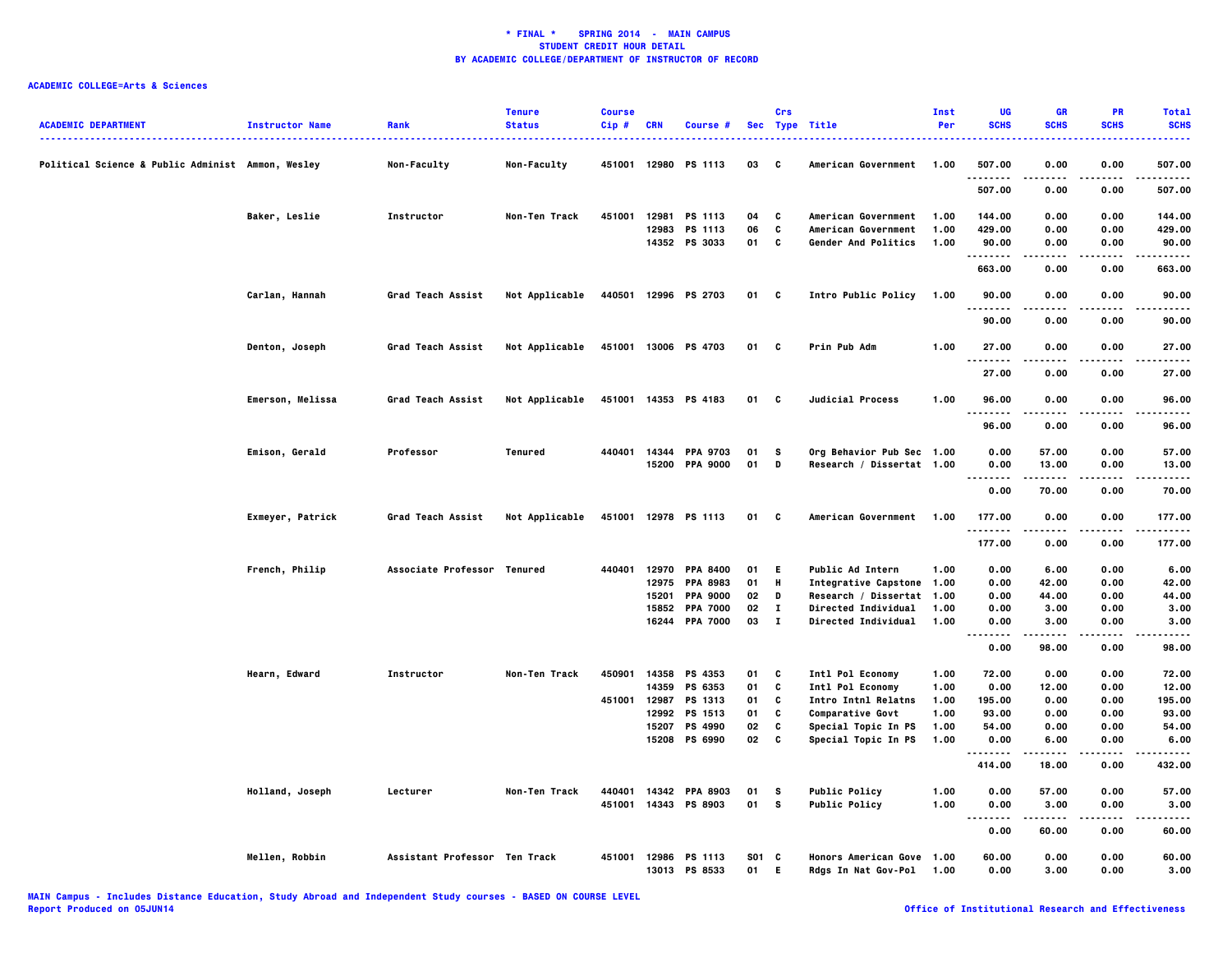| <b>ACADEMIC DEPARTMENT</b>                        | <b>Instructor Name</b> | Rank                          | <b>Tenure</b><br><b>Status</b> | <b>Course</b><br>Cip# | CRN   | Course #              |       | Crs          | Sec Type Title             | Inst<br>Per | UG<br><b>SCHS</b> | <b>GR</b><br><b>SCHS</b> | PR<br><b>SCHS</b> | <b>Total</b><br><b>SCHS</b> |
|---------------------------------------------------|------------------------|-------------------------------|--------------------------------|-----------------------|-------|-----------------------|-------|--------------|----------------------------|-------------|-------------------|--------------------------|-------------------|-----------------------------|
| Political Science & Public Administ Ammon, Wesley |                        | Non-Faculty                   | Non-Faculty                    |                       |       | 451001 12980 PS 1113  | 03    | C            | American Government        | 1.00        | 507.00            | 0.00                     | 0.00              | 507.00                      |
|                                                   |                        |                               |                                |                       |       |                       |       |              |                            |             | .<br>507.00       | 0.00                     | .<br>0.00         | -----<br>507.00             |
|                                                   | Baker, Leslie          | Instructor                    | Non-Ten Track                  | 451001                | 12981 | PS 1113               | 04    | C            | American Government        | 1.00        | 144.00            | 0.00                     | 0.00              | 144.00                      |
|                                                   |                        |                               |                                |                       |       | 12983 PS 1113         | 06    | C            | American Government        | 1.00        | 429.00            | 0.00                     | 0.00              | 429.00                      |
|                                                   |                        |                               |                                |                       |       | 14352 PS 3033         | 01    | c            | Gender And Politics        | 1.00        | 90.00             | 0.00                     | 0.00              | 90.00                       |
|                                                   |                        |                               |                                |                       |       |                       |       |              |                            |             | .<br>663.00       | .<br>0.00                | .<br>0.00         | .<br>663.00                 |
|                                                   |                        |                               |                                |                       |       |                       |       |              |                            |             |                   |                          |                   |                             |
|                                                   | Carlan, Hannah         | Grad Teach Assist             | Not Applicable                 |                       |       | 440501 12996 PS 2703  | 01 C  |              | Intro Public Policy        | 1.00        | 90.00<br>.        | 0.00<br>-----            | 0.00<br>.         | 90.00<br>.                  |
|                                                   |                        |                               |                                |                       |       |                       |       |              |                            |             | 90.00             | 0.00                     | 0.00              | 90.00                       |
|                                                   | Denton, Joseph         | Grad Teach Assist             | Not Applicable                 |                       |       | 451001 13006 PS 4703  | 01 C  |              | Prin Pub Adm               | 1.00        | 27.00<br>.        | 0.00                     | 0.00<br>.         | 27.00<br>.                  |
|                                                   |                        |                               |                                |                       |       |                       |       |              |                            |             | 27.00             | 0.00                     | 0.00              | 27.00                       |
|                                                   | Emerson, Melissa       | Grad Teach Assist             | Not Applicable                 |                       |       | 451001 14353 PS 4183  | 01 C  |              | <b>Judicial Process</b>    | 1.00        | 96.00             | 0.00                     | 0.00              | 96.00                       |
|                                                   |                        |                               |                                |                       |       |                       |       |              |                            |             | <br>96.00         | .<br>0.00                | .<br>0.00         | .<br>96.00                  |
|                                                   | Emison, Gerald         | Professor                     | Tenured                        | 440401                |       | 14344 PPA 9703        | 01    | s.           | Org Behavior Pub Sec 1.00  |             | 0.00              | 57.00                    | 0.00              | 57.00                       |
|                                                   |                        |                               |                                |                       |       | 15200 PPA 9000        | 01    | D            | Research / Dissertat 1.00  |             | 0.00              | 13.00                    | 0.00              | 13.00                       |
|                                                   |                        |                               |                                |                       |       |                       |       |              |                            |             | .                 |                          |                   | .                           |
|                                                   |                        |                               |                                |                       |       |                       |       |              |                            |             | 0.00              | 70.00                    | 0.00              | 70.00                       |
|                                                   | Exmeyer, Patrick       | Grad Teach Assist             | Not Applicable                 |                       |       | 451001 12978 PS 1113  | 01    | C            | American Government        | 1.00        | 177.00<br>        | 0.00                     | 0.00              | 177.00<br>                  |
|                                                   |                        |                               |                                |                       |       |                       |       |              |                            |             | 177.00            | 0.00                     | 0.00              | 177.00                      |
|                                                   | French, Philip         | Associate Professor Tenured   |                                |                       |       | 440401 12970 PPA 8400 | 01    | - E          | <b>Public Ad Intern</b>    | 1.00        | 0.00              | 6.00                     | 0.00              | 6.00                        |
|                                                   |                        |                               |                                |                       |       | 12975 PPA 8983        | 01    | H            | Integrative Capstone 1.00  |             | 0.00              | 42.00                    | 0.00              | 42.00                       |
|                                                   |                        |                               |                                |                       | 15201 | <b>PPA 9000</b>       | 02    | D            | Research / Dissertat 1.00  |             | 0.00              | 44.00                    | 0.00              | 44.00                       |
|                                                   |                        |                               |                                |                       |       | 15852 PPA 7000        | 02    | $\mathbf{I}$ | Directed Individual        | 1.00        | 0.00              | 3.00                     | 0.00              | 3.00                        |
|                                                   |                        |                               |                                |                       |       | 16244 PPA 7000        | 03    | $\mathbf{I}$ | <b>Directed Individual</b> | 1.00        | 0.00<br>          | 3.00<br>-----            | 0.00<br>$- - - -$ | 3.00<br>.                   |
|                                                   |                        |                               |                                |                       |       |                       |       |              |                            |             | 0.00              | 98.00                    | 0.00              | 98.00                       |
|                                                   | Hearn, Edward          | Instructor                    | Non-Ten Track                  | 450901                |       | 14358 PS 4353         | 01    | C            | Intl Pol Economy           | 1.00        | 72.00             | 0.00                     | 0.00              | 72.00                       |
|                                                   |                        |                               |                                |                       |       | 14359 PS 6353         | 01    | C            | Intl Pol Economy           | 1.00        | 0.00              | 12.00                    | 0.00              | 12.00                       |
|                                                   |                        |                               |                                | 451001                | 12987 | PS 1313               | 01    | C            | <b>Intro Intnl Relatns</b> | 1.00        | 195.00            | 0.00                     | 0.00              | 195.00                      |
|                                                   |                        |                               |                                |                       | 12992 | PS 1513               | 01    | C            | <b>Comparative Govt</b>    | 1.00        | 93.00             | 0.00                     | 0.00              | 93.00                       |
|                                                   |                        |                               |                                |                       | 15207 | PS 4990               | 02    | C            | Special Topic In PS        | 1.00        | 54.00             | 0.00                     | 0.00              | 54.00                       |
|                                                   |                        |                               |                                |                       | 15208 | PS 6990               | 02    | C            | Special Topic In PS        | 1.00        | 0.00              | 6.00                     | 0.00              | 6.00                        |
|                                                   |                        |                               |                                |                       |       |                       |       |              |                            |             |                   | -----                    | .                 | .                           |
|                                                   |                        |                               |                                |                       |       |                       |       |              |                            |             | 414.00            | 18.00                    | 0.00              | 432.00                      |
|                                                   | Holland, Joseph        | Lecturer                      | Non-Ten Track                  | 440401                |       | 14342 PPA 8903        | 01    | s            | <b>Public Policy</b>       | 1.00        | 0.00              | 57.00                    | 0.00              | 57.00                       |
|                                                   |                        |                               |                                |                       |       | 451001 14343 PS 8903  | 01    | <b>S</b>     | <b>Public Policy</b>       | 1.00        | 0.00              | 3.00                     | 0.00              | 3.00<br>----                |
|                                                   |                        |                               |                                |                       |       |                       |       |              |                            |             | $\cdots$<br>0.00  | 60.00                    | 0.00              | 60.00                       |
|                                                   | Mellen, Robbin         | Assistant Professor Ten Track |                                |                       |       | 451001 12986 PS 1113  | S01 C |              | Honors American Gove 1.00  |             | 60.00             | 0.00                     | 0.00              | 60.00                       |
|                                                   |                        |                               |                                |                       |       | 13013 PS 8533         | 01    | E.           | Rdgs In Nat Gov-Pol        | 1.00        | 0.00              | 3.00                     | 0.00              | 3.00                        |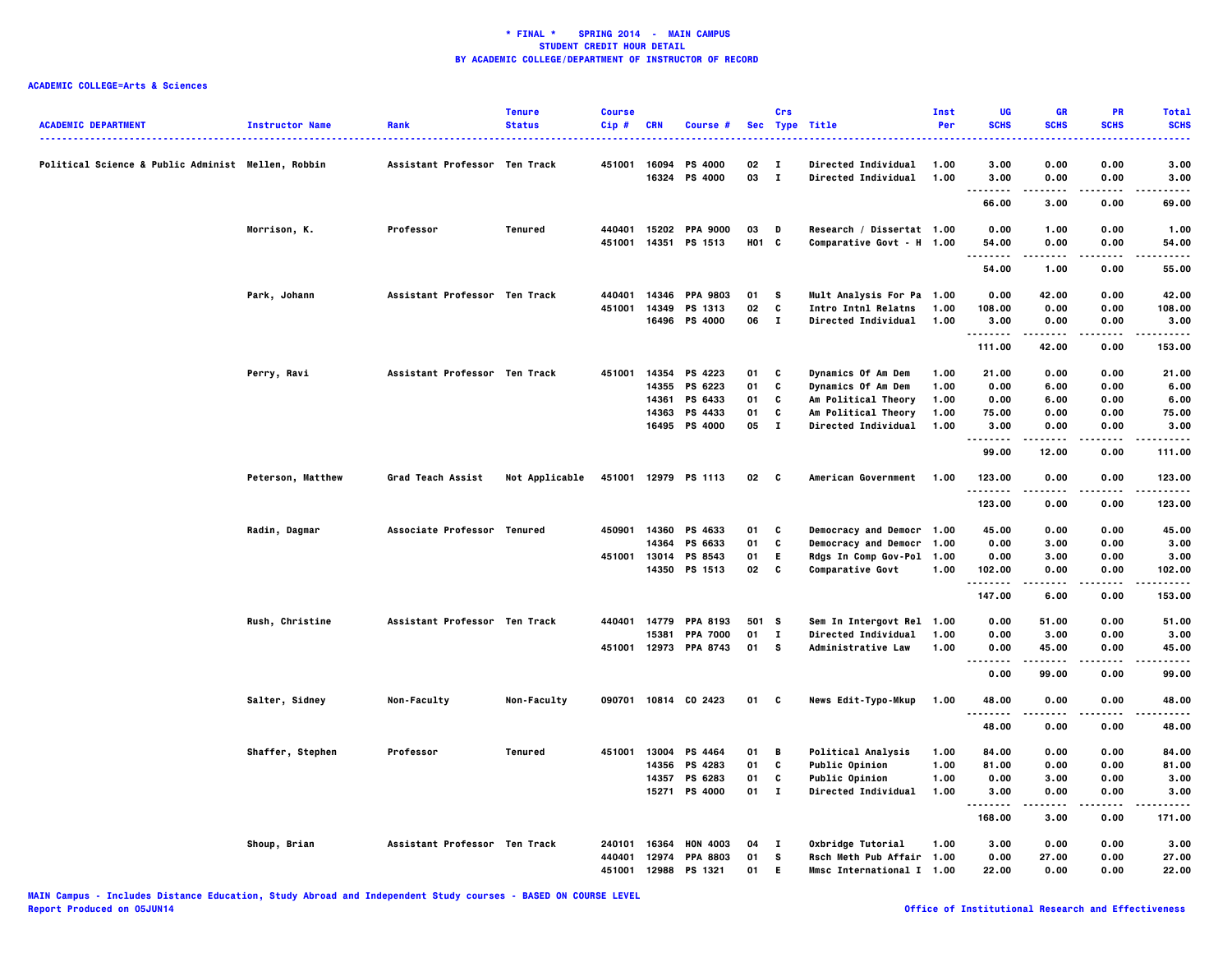| <b>ACADEMIC DEPARTMENT</b>                         | <b>Instructor Name</b> | Rank                          | <b>Tenure</b><br><b>Status</b> | <b>Course</b><br>Cip# | <b>CRN</b>     | Course #                               | <b>Sec</b>  | Crs                          | <b>Type Title</b>                                      | Inst<br>Per  | UG<br><b>SCHS</b> | GR<br><b>SCHS</b> | PR<br><b>SCHS</b> | <b>Total</b><br><b>SCHS</b> |
|----------------------------------------------------|------------------------|-------------------------------|--------------------------------|-----------------------|----------------|----------------------------------------|-------------|------------------------------|--------------------------------------------------------|--------------|-------------------|-------------------|-------------------|-----------------------------|
| Political Science & Public Administ Mellen, Robbin |                        | Assistant Professor Ten Track |                                | 451001                | 16094<br>16324 | <b>PS 4000</b><br>PS 4000              | 02<br>03    | $\mathbf{I}$<br>$\mathbf{I}$ | <b>Directed Individual</b><br>Directed Individual      | 1.00<br>1.00 | 3.00<br>3.00      | 0.00<br>0.00      | 0.00<br>0.00      | 3.00<br>3.00                |
|                                                    |                        |                               |                                |                       |                |                                        |             |                              |                                                        |              | .<br>66.00        | 3.00              | 0.00              | .<br>69.00                  |
|                                                    |                        |                               |                                |                       |                |                                        |             |                              |                                                        |              |                   |                   |                   |                             |
|                                                    | Morrison, K.           | Professor                     | Tenured                        | 440401                |                | 15202 PPA 9000<br>451001 14351 PS 1513 | 03<br>H01 C | D                            | Research / Dissertat 1.00<br>Comparative Govt - H 1.00 |              | 0.00<br>54.00     | 1.00<br>0.00      | 0.00<br>0.00      | 1.00<br>54.00               |
|                                                    |                        |                               |                                |                       |                |                                        |             |                              |                                                        |              | $\cdots$          | 1.00              | 0.00              | $- - - -$<br>55.00          |
|                                                    |                        |                               |                                |                       |                |                                        |             |                              |                                                        |              | 54.00             |                   |                   |                             |
|                                                    | Park, Johann           | Assistant Professor Ten Track |                                | 440401                |                | 14346 PPA 9803                         | 01          | - S                          | Mult Analysis For Pa                                   | 1.00         | 0.00              | 42.00             | 0.00              | 42.00                       |
|                                                    |                        |                               |                                | 451001                |                | 14349 PS 1313<br>16496 PS 4000         | 02<br>06    | C<br>$\mathbf{I}$            | <b>Intro Intnl Relatns</b><br>Directed Individual      | 1.00<br>1.00 | 108.00<br>3.00    | 0.00<br>0.00      | 0.00<br>0.00      | 108.00<br>3.00              |
|                                                    |                        |                               |                                |                       |                |                                        |             |                              |                                                        |              | .                 | . <b>.</b>        | .                 | .                           |
|                                                    |                        |                               |                                |                       |                |                                        |             |                              |                                                        |              | 111.00            | 42.00             | 0.00              | 153.00                      |
|                                                    | Perry, Ravi            | Assistant Professor Ten Track |                                | 451001                |                | 14354 PS 4223                          | 01          | C                            | Dynamics Of Am Dem                                     | 1.00         | 21.00             | 0.00              | 0.00              | 21.00                       |
|                                                    |                        |                               |                                |                       | 14355          | PS 6223                                | 01          | C                            | Dynamics Of Am Dem                                     | 1.00         | 0.00              | 6.00              | 0.00              | 6.00                        |
|                                                    |                        |                               |                                |                       | 14361          | PS 6433                                | 01          | c                            | Am Political Theory                                    | 1.00         | 0.00              | 6.00              | 0.00              | 6.00                        |
|                                                    |                        |                               |                                |                       | 14363          | PS 4433                                | 01          | C                            | Am Political Theory                                    | 1.00         | 75.00             | 0.00              | 0.00              | 75.00                       |
|                                                    |                        |                               |                                |                       |                | 16495 PS 4000                          | 05          | $\mathbf{I}$                 | Directed Individual                                    | 1.00         | 3.00<br>.         | 0.00              | 0.00<br>.         | 3.00<br>.                   |
|                                                    |                        |                               |                                |                       |                |                                        |             |                              |                                                        |              | 99.00             | 12.00             | 0.00              | 111.00                      |
|                                                    | Peterson, Matthew      | Grad Teach Assist             | Not Applicable                 |                       |                | 451001 12979 PS 1113                   | 02          | $\mathbf{c}$                 | American Government                                    | 1.00         | 123.00<br>.       | 0.00              | 0.00              | 123,00<br>.                 |
|                                                    |                        |                               |                                |                       |                |                                        |             |                              |                                                        |              | 123.00            | 0.00              | 0.00              | 123.00                      |
|                                                    | Radin, Dagmar          | Associate Professor Tenured   |                                |                       |                | 450901 14360 PS 4633                   | 01          | C                            | Democracy and Democr 1.00                              |              | 45.00             | 0.00              | 0.00              | 45.00                       |
|                                                    |                        |                               |                                |                       | 14364          | PS 6633                                | 01          | C                            | Democracy and Democr 1.00                              |              | 0.00              | 3.00              | 0.00              | 3.00                        |
|                                                    |                        |                               |                                | 451001                |                | 13014 PS 8543                          | 01          | E.                           | Rdgs In Comp Gov-Pol 1.00                              |              | 0.00              | 3.00              | 0.00              | 3.00                        |
|                                                    |                        |                               |                                |                       |                | 14350 PS 1513                          | 02          | C                            | Comparative Govt                                       | 1.00         | 102.00<br>.       | 0.00              | 0.00<br>.         | 102.00<br>.                 |
|                                                    |                        |                               |                                |                       |                |                                        |             |                              |                                                        |              | 147.00            | 6.00              | 0.00              | 153.00                      |
|                                                    | Rush, Christine        | Assistant Professor Ten Track |                                | 440401                |                | 14779 PPA 8193                         | 501 S       |                              | Sem In Intergovt Rel                                   | 1.00         | 0.00              | 51.00             | 0.00              | 51.00                       |
|                                                    |                        |                               |                                |                       | 15381          | <b>PPA 7000</b>                        | 01          | $\mathbf{I}$                 | Directed Individual                                    | 1.00         | 0.00              | 3.00              | 0.00              | 3.00                        |
|                                                    |                        |                               |                                |                       |                | 451001 12973 PPA 8743                  | 01          | s.                           | <b>Administrative Law</b>                              | 1.00         | 0.00<br>.         | 45.00<br>.        | 0.00<br>.         | 45.00<br>-----              |
|                                                    |                        |                               |                                |                       |                |                                        |             |                              |                                                        |              | 0.00              | 99.00             | 0.00              | 99.00                       |
|                                                    | Salter, Sidney         | Non-Faculty                   | Non-Faculty                    | 090701                |                | 10814 CO 2423                          | 01          | c                            | News Edit-Typo-Mkup                                    | 1.00         | 48.00<br>.        | 0.00              | 0.00              | 48,00<br>.                  |
|                                                    |                        |                               |                                |                       |                |                                        |             |                              |                                                        |              | 48.00             | 0.00              | 0.00              | 48.00                       |
|                                                    | Shaffer, Stephen       | Professor                     | Tenured                        | 451001                | 13004          | PS 4464                                | 01          | B                            | <b>Political Analysis</b>                              | 1.00         | 84.00             | 0.00              | 0.00              | 84.00                       |
|                                                    |                        |                               |                                |                       | 14356          | PS 4283                                | 01          | C                            | Public Opinion                                         | 1.00         | 81.00             | 0.00              | 0.00              | 81.00                       |
|                                                    |                        |                               |                                |                       |                | 14357 PS 6283                          | 01          | C                            | Public Opinion                                         | 1.00         | 0.00              | 3.00              | 0.00              | 3.00                        |
|                                                    |                        |                               |                                |                       |                | 15271 PS 4000                          | $01$ I      |                              | Directed Individual                                    | 1.00         | 3.00              | 0.00              | 0.00              | 3.00                        |
|                                                    |                        |                               |                                |                       |                |                                        |             |                              |                                                        |              | .<br>168.00       | -----<br>3.00     | .<br>0.00         | .<br>171.00                 |
|                                                    | Shoup, Brian           | Assistant Professor Ten Track |                                | 240101                | 16364          | <b>HON 4003</b>                        | 04          | - 1                          | Oxbridge Tutorial                                      | 1.00         | 3.00              | 0.00              | 0.00              | 3.00                        |
|                                                    |                        |                               |                                | 440401                | 12974          | <b>PPA 8803</b>                        | 01          | s                            | Rsch Meth Pub Affair 1.00                              |              | 0.00              | 27.00             | 0.00              | 27.00                       |
|                                                    |                        |                               |                                | 451001                |                | 12988 PS 1321                          | 01          | E.                           | Mmsc International I 1.00                              |              | 22.00             | 0.00              | 0.00              | 22.00                       |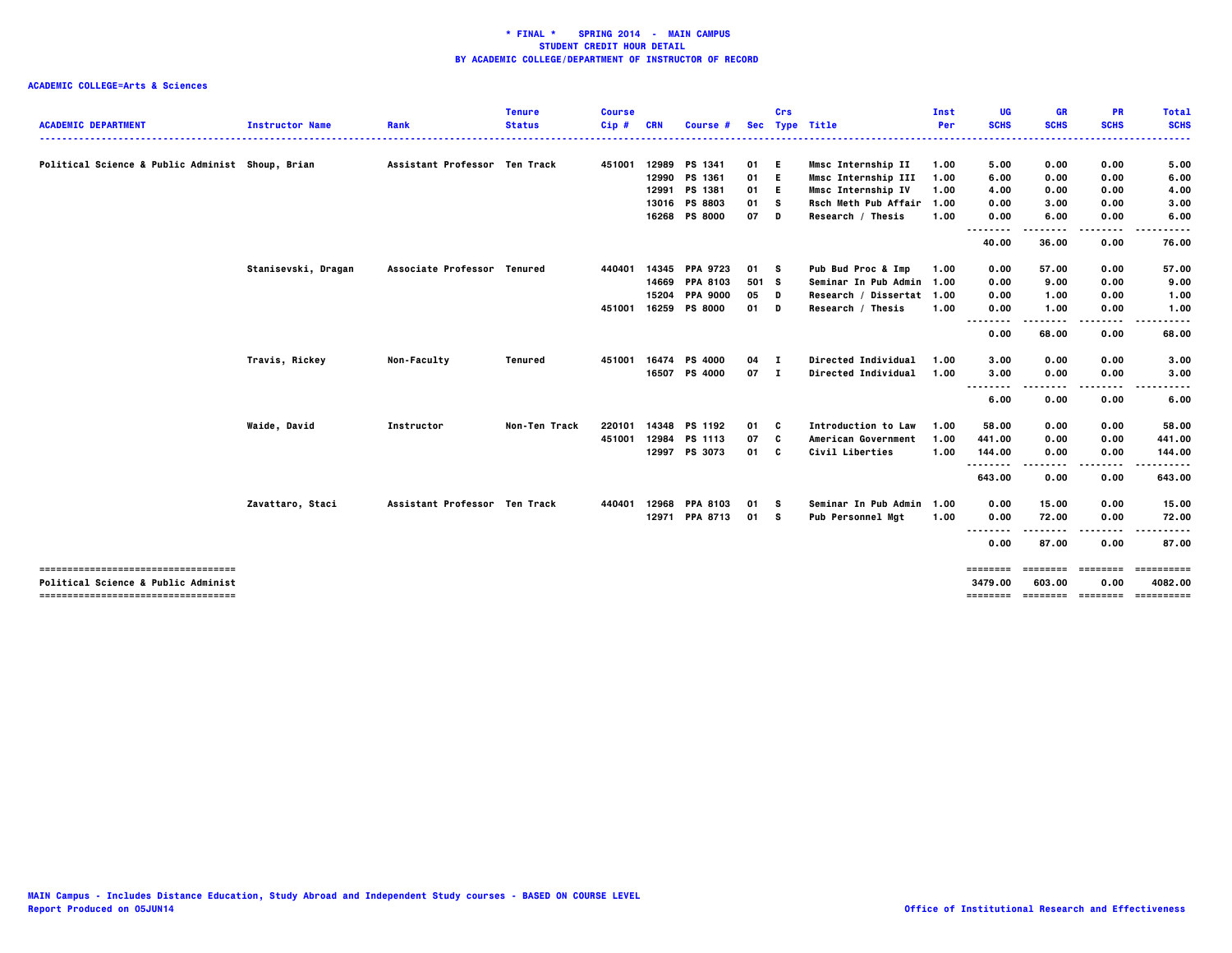| <b>ACADEMIC DEPARTMENT</b>                       | <b>Instructor Name</b> | Rank                          | <b>Tenure</b><br><b>Status</b> | <b>Course</b><br>$Cip$ # | CRN   | Course #        | <b>Sec</b> | Crs          | <b>Type Title</b>          | Inst<br>Per | UG<br><b>SCHS</b> | <b>GR</b><br><b>SCHS</b> | PR<br><b>SCHS</b> | <b>Total</b><br><b>SCHS</b> |
|--------------------------------------------------|------------------------|-------------------------------|--------------------------------|--------------------------|-------|-----------------|------------|--------------|----------------------------|-------------|-------------------|--------------------------|-------------------|-----------------------------|
|                                                  |                        |                               |                                |                          |       |                 |            |              |                            |             |                   |                          |                   |                             |
| Political Science & Public Administ Shoup, Brian |                        | Assistant Professor Ten Track |                                | 451001                   | 12989 | PS 1341         | 01         | E.           | Mmsc Internship II         | 1.00        | 5.00              | 0.00                     | 0.00              | 5.00                        |
|                                                  |                        |                               |                                |                          |       | 12990 PS 1361   | 01         | E.           | Mmsc Internship III        | 1.00        | 6.00              | 0.00                     | 0.00              | 6.00                        |
|                                                  |                        |                               |                                |                          |       | 12991 PS 1381   | 01         | -E.          | Mmsc Internship IV         | 1.00        | 4.00              | 0.00                     | 0.00              | 4.00                        |
|                                                  |                        |                               |                                |                          | 13016 | <b>PS 8803</b>  | 01         | s            | Rsch Meth Pub Affair       | 1.00        | 0.00              | 3.00                     | 0.00              | 3.00                        |
|                                                  |                        |                               |                                |                          |       | 16268 PS 8000   | 07         | D            | Research / Thesis          | 1.00        | 0.00              | 6.00                     | 0.00              | 6.00                        |
|                                                  |                        |                               |                                |                          |       |                 |            |              |                            |             | <br>.             | ----                     | .                 | -----                       |
|                                                  |                        |                               |                                |                          |       |                 |            |              |                            |             | 40.00             | 36.00                    | 0.00              | 76.00                       |
|                                                  | Stanisevski, Dragan    | Associate Professor Tenured   |                                | 440401                   | 14345 | <b>PPA 9723</b> | 01 S       |              | Pub Bud Proc & Imp         | 1.00        | 0.00              | 57.00                    | 0.00              | 57.00                       |
|                                                  |                        |                               |                                |                          |       | 14669 PPA 8103  | 501 S      |              | Seminar In Pub Admin 1.00  |             | 0.00              | 9.00                     | 0.00              | 9.00                        |
|                                                  |                        |                               |                                |                          | 15204 | <b>PPA 9000</b> | 05         | D            | Research / Dissertat 1.00  |             | 0.00              | 1.00                     | 0.00              | 1.00                        |
|                                                  |                        |                               |                                | 451001                   |       | 16259 PS 8000   | 01         | D            | Research / Thesis          | 1.00        | 0.00<br>.<br>.    | 1.00                     | 0.00              | 1.00                        |
|                                                  |                        |                               |                                |                          |       |                 |            |              |                            |             | 0.00              | 68.00                    | 0.00              | 68.00                       |
|                                                  | Travis, Rickey         | Non-Faculty                   | Tenured                        | 451001                   | 16474 | <b>PS 4000</b>  | 04         | $\mathbf{I}$ | Directed Individual        | 1.00        | 3.00              | 0.00                     | 0.00              | 3.00                        |
|                                                  |                        |                               |                                |                          |       | 16507 PS 4000   | 07 I       |              | Directed Individual        | 1.00        | 3.00              | 0.00                     | 0.00              | 3.00                        |
|                                                  |                        |                               |                                |                          |       |                 |            |              |                            |             | <br>6.00          | ----<br>0.00             | ----<br>0.00      | -----<br>6.00               |
|                                                  | Waide, David           | Instructor                    | Non-Ten Track                  | 220101                   | 14348 | PS 1192         | 01         | C            | <b>Introduction to Law</b> | 1.00        | 58.00             | 0.00                     | 0.00              | 58.00                       |
|                                                  |                        |                               |                                | 451001                   | 12984 | PS 1113         | 07         | C            | American Government        | 1.00        | 441.00            | 0.00                     | 0.00              | 441.00                      |
|                                                  |                        |                               |                                |                          |       | 12997 PS 3073   | 01         | C            | Civil Liberties            | 1.00        | 144.00            | 0.00                     | 0.00              | 144.00                      |
|                                                  |                        |                               |                                |                          |       |                 |            |              |                            |             | .<br>643.00       | 0.00                     | 0.00              | 643.00                      |
|                                                  | Zavattaro, Staci       | Assistant Professor Ten Track |                                | 440401                   | 12968 | <b>PPA 8103</b> | 01         | - S          | Seminar In Pub Admin       | 1.00        | 0.00              | 15.00                    | 0.00              | 15.00                       |
|                                                  |                        |                               |                                |                          |       | 12971 PPA 8713  | 01 S       |              | Pub Personnel Mgt          | 1.00        | 0.00              | 72.00                    | 0.00              | 72.00                       |
|                                                  |                        |                               |                                |                          |       |                 |            |              |                            |             | <br>0.00          | 87.00                    | 0.00              | 87.00                       |
| ------------------------------------             |                        |                               |                                |                          |       |                 |            |              |                            |             | ========          |                          | soccess consess:  | ==========                  |
| <b>Political Science &amp; Public Administ</b>   |                        |                               |                                |                          |       |                 |            |              |                            |             | 3479.00           | 603.00                   | 0.00              | 4082.00                     |
| =====================================            |                        |                               |                                |                          |       |                 |            |              |                            |             | ========          |                          | --------- ------- | ==========                  |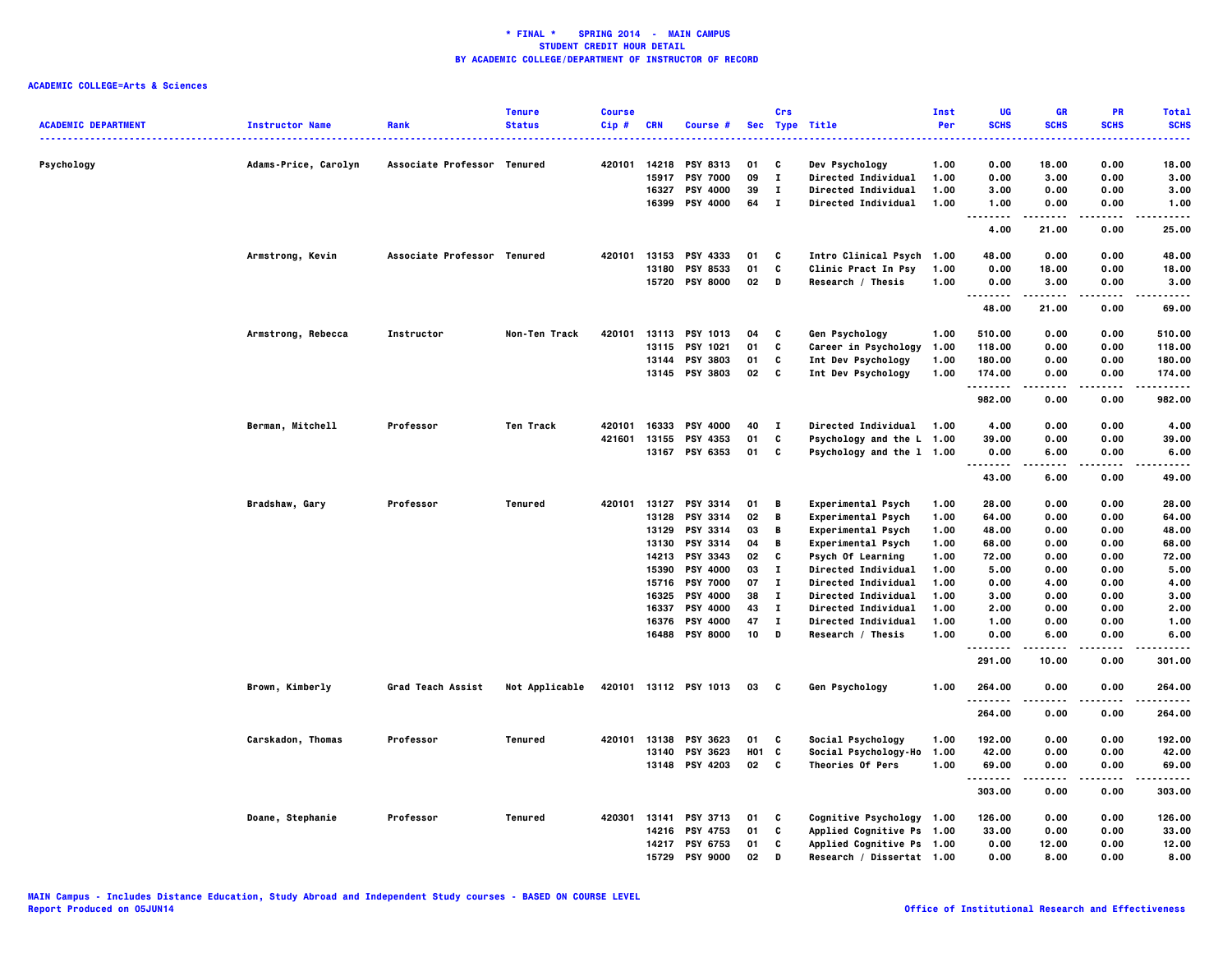| <b>ACADEMIC DEPARTMENT</b> | <b>Instructor Name</b> | Rank                        | <b>Tenure</b><br><b>Status</b> | <b>Course</b><br>$Cip$ # | <b>CRN</b>     | Course #                           |            | Crs                          | Sec Type Title                                           | Inst<br>Per  | UG<br><b>SCHS</b>                         | GR<br><b>SCHS</b> | <b>PR</b><br><b>SCHS</b> | <b>Total</b><br><b>SCHS</b> |
|----------------------------|------------------------|-----------------------------|--------------------------------|--------------------------|----------------|------------------------------------|------------|------------------------------|----------------------------------------------------------|--------------|-------------------------------------------|-------------------|--------------------------|-----------------------------|
| Psychology                 | Adams-Price, Carolyn   | Associate Professor Tenured |                                | 420101                   | 14218          | <b>PSY 8313</b>                    | 01         | C                            | Dev Psychology                                           | 1.00         | 0.00                                      | 18.00             | 0.00                     | 18.00                       |
|                            |                        |                             |                                |                          | 15917          | <b>PSY 7000</b>                    | 09         | $\mathbf{I}$                 | Directed Individual                                      | 1.00         | 0.00                                      | 3.00              | 0.00                     | 3.00                        |
|                            |                        |                             |                                |                          | 16327          | <b>PSY 4000</b>                    | 39         | $\mathbf I$                  | Directed Individual                                      | 1.00         | 3.00                                      | 0.00              | 0.00                     | 3.00                        |
|                            |                        |                             |                                |                          | 16399          | <b>PSY 4000</b>                    | 64         | $\mathbf{I}$                 | Directed Individual                                      | 1.00         | 1.00<br>$- - - -$<br>$\sim$ $\sim$ $\sim$ | 0.00              | 0.00<br>$- - - -$        | 1.00<br>$- - - -$           |
|                            |                        |                             |                                |                          |                |                                    |            |                              |                                                          |              | 4.00                                      | 21.00             | 0.00                     | 25.00                       |
|                            | Armstrong, Kevin       | Associate Professor Tenured |                                | 420101                   | 13153          | PSY 4333                           | 01         | C                            | Intro Clinical Psych 1.00                                |              | 48.00                                     | 0.00              | 0.00                     | 48.00                       |
|                            |                        |                             |                                |                          | 13180          | <b>PSY 8533</b>                    | 01         | C                            | Clinic Pract In Psy                                      | 1.00         | 0.00                                      | 18.00             | 0.00                     | 18.00                       |
|                            |                        |                             |                                |                          |                | 15720 PSY 8000                     | 02         | D                            | Research / Thesis                                        | 1.00         | 0.00<br>.<br>.                            | 3.00<br>.         | 0.00<br>.                | 3.00<br>.                   |
|                            |                        |                             |                                |                          |                |                                    |            |                              |                                                          |              | 48.00                                     | 21.00             | 0.00                     | 69.00                       |
|                            | Armstrong, Rebecca     | <b>Instructor</b>           | Non-Ten Track                  | 420101                   |                | 13113 PSY 1013                     | 04         | C                            | Gen Psychology                                           | 1.00         | 510.00                                    | 0.00              | 0.00                     | 510.00                      |
|                            |                        |                             |                                |                          | 13115          | <b>PSY 1021</b>                    | 01         | C                            | Career in Psychology                                     | 1.00         | 118.00                                    | 0.00              | 0.00                     | 118.00                      |
|                            |                        |                             |                                |                          |                | 13144 PSY 3803                     | 01         | C                            | Int Dev Psychology                                       | 1.00         | 180.00                                    | 0.00              | 0.00                     | 180.00                      |
|                            |                        |                             |                                |                          |                | 13145 PSY 3803                     | 02         | C                            | Int Dev Psychology                                       | 1.00         | 174.00<br>. <b>.</b>                      | 0.00              | 0.00<br>.                | 174.00<br>.                 |
|                            |                        |                             |                                |                          |                |                                    |            |                              |                                                          |              | 982.00                                    | 0.00              | 0.00                     | 982.00                      |
|                            | Berman, Mitchell       | Professor                   | Ten Track                      | 420101                   | 16333          | <b>PSY 4000</b>                    | 40         | $\mathbf{I}$                 | <b>Directed Individual</b>                               | 1.00         | 4.00                                      | 0.00              | 0.00                     | 4.00                        |
|                            |                        |                             |                                | 421601                   | 13155          | PSY 4353                           | 01         | C                            | Psychology and the L 1.00                                |              | 39.00                                     | 0.00              | 0.00                     | 39.00                       |
|                            |                        |                             |                                |                          |                | 13167 PSY 6353                     | 01         | C                            | Psychology and the 1 1.00                                |              | 0.00<br>.                                 | 6.00              | 0.00                     | 6.00<br>$- - - -$           |
|                            |                        |                             |                                |                          |                |                                    |            |                              |                                                          |              | 43.00                                     | 6.00              | 0.00                     | 49.00                       |
|                            | Bradshaw, Gary         | Professor                   | Tenured                        | 420101                   |                | 13127 PSY 3314                     | 01         | В                            | Experimental Psych                                       | 1.00         | 28.00                                     | 0.00              | 0.00                     | 28.00                       |
|                            |                        |                             |                                |                          | 13128          | <b>PSY 3314</b>                    | 02         | B                            | <b>Experimental Psych</b>                                | 1.00         | 64.00                                     | 0.00              | 0.00                     | 64.00                       |
|                            |                        |                             |                                |                          | 13129          | PSY 3314                           | 03         | В                            | Experimental Psych                                       | 1.00         | 48.00                                     | 0.00              | 0.00                     | 48.00                       |
|                            |                        |                             |                                |                          | 13130          | <b>PSY 3314</b>                    | 04         | В                            | Experimental Psych                                       | 1.00         | 68.00                                     | 0.00              | 0.00                     | 68.00                       |
|                            |                        |                             |                                |                          |                | 14213 PSY 3343                     | 02         | C                            | Psych Of Learning                                        | 1.00         | 72.00                                     | 0.00              | 0.00                     | 72.00                       |
|                            |                        |                             |                                |                          | 15390          | <b>PSY 4000</b>                    | 03         | $\mathbf I$                  | Directed Individual                                      | 1.00         | 5.00                                      | 0.00              | 0.00                     | 5.00                        |
|                            |                        |                             |                                |                          |                | 15716 PSY 7000                     | 07         | $\mathbf{T}$                 | Directed Individual                                      | 1.00         | 0.00                                      | 4.00              | 0.00                     | 4.00                        |
|                            |                        |                             |                                |                          | 16325          | <b>PSY 4000</b><br><b>PSY 4000</b> | 38         | $\mathbf{I}$<br>$\mathbf{I}$ | <b>Directed Individual</b>                               | 1.00         | 3.00                                      | 0.00              | 0.00                     | 3.00                        |
|                            |                        |                             |                                |                          | 16337<br>16376 | <b>PSY 4000</b>                    | 43<br>47   | $\mathbf{I}$                 | <b>Directed Individual</b><br><b>Directed Individual</b> | 1.00<br>1.00 | 2.00<br>1.00                              | 0.00<br>0.00      | 0.00<br>0.00             | 2.00<br>1.00                |
|                            |                        |                             |                                |                          |                | 16488 PSY 8000                     | 10         | $\,$ D                       | Research / Thesis                                        | 1.00         | 0.00                                      | 6.00              | 0.00                     | 6.00                        |
|                            |                        |                             |                                |                          |                |                                    |            |                              |                                                          |              | .<br>291.00                               | 10.00             | 0.00                     | <br>301.00                  |
|                            | Brown, Kimberly        | Grad Teach Assist           | Not Applicable                 |                          |                | 420101 13112 PSY 1013              | 03         | C                            | Gen Psychology                                           | 1.00         | 264.00                                    | 0.00              | 0.00                     | 264.00                      |
|                            |                        |                             |                                |                          |                |                                    |            |                              |                                                          |              | 264.00                                    | 0.00              | 0.00                     | 264.00                      |
|                            | Carskadon, Thomas      | Professor                   | Tenured                        | 420101                   | 13138          | PSY 3623                           | 01         | C                            | Social Psychology                                        | 1.00         | 192.00                                    | 0.00              | 0.00                     | 192.00                      |
|                            |                        |                             |                                |                          | 13140          | PSY 3623                           | <b>HO1</b> | C                            | Social Psychology-Ho 1.00                                |              | 42.00                                     | 0.00              | 0.00                     | 42.00                       |
|                            |                        |                             |                                |                          |                | 13148 PSY 4203                     | 02         | $\mathbf{c}$                 | Theories Of Pers                                         | 1.00         | 69.00                                     | 0.00              | 0.00                     | 69.00                       |
|                            |                        |                             |                                |                          |                |                                    |            |                              |                                                          |              | .<br>303.00                               | 0.00              | 0.00                     | .<br>303.00                 |
|                            | Doane, Stephanie       | Professor                   | <b>Tenured</b>                 | 420301                   | 13141          | <b>PSY 3713</b>                    | 01         | C                            | Cognitive Psychology 1.00                                |              | 126.00                                    | 0.00              | 0.00                     | 126.00                      |
|                            |                        |                             |                                |                          |                | 14216 PSY 4753                     | 01         | C                            | Applied Cognitive Ps 1.00                                |              | 33.00                                     | 0.00              | 0.00                     | 33.00                       |
|                            |                        |                             |                                |                          |                | 14217 PSY 6753                     | 01         | C                            | Applied Cognitive Ps 1.00                                |              | 0.00                                      | 12.00             | 0.00                     | 12.00                       |
|                            |                        |                             |                                |                          | 15729          | <b>PSY 9000</b>                    | 02         | D                            | Research / Dissertat 1.00                                |              | 0.00                                      | 8.00              | 0.00                     | 8.00                        |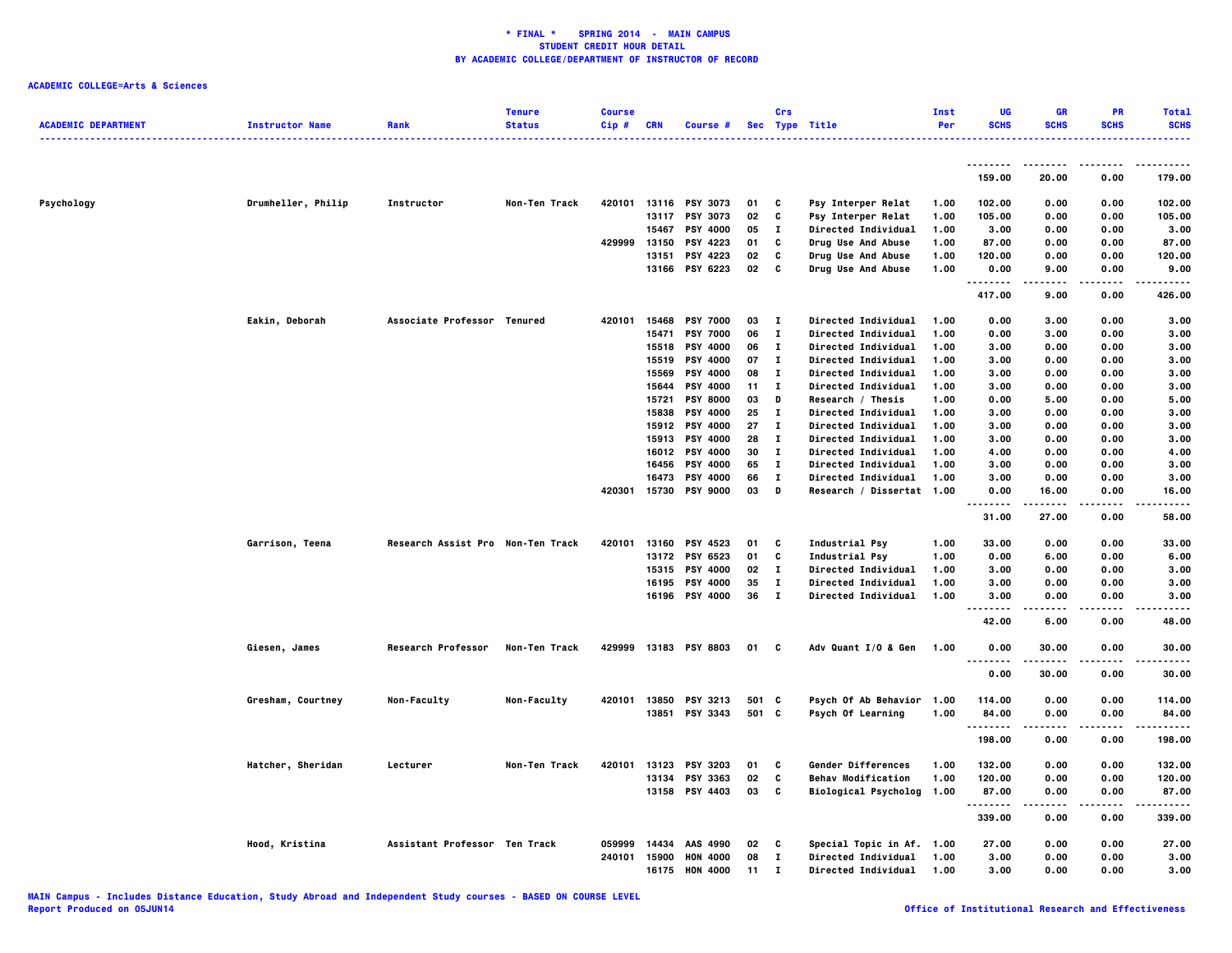|                            |                        |                                   | <b>Tenure</b> | <b>Course</b> |            |                                   |          | Crs               |                                                | Inst         | UG                 | GR             | <b>PR</b>       | <b>Total</b>       |
|----------------------------|------------------------|-----------------------------------|---------------|---------------|------------|-----------------------------------|----------|-------------------|------------------------------------------------|--------------|--------------------|----------------|-----------------|--------------------|
| <b>ACADEMIC DEPARTMENT</b> | <b>Instructor Name</b> | Rank                              | <b>Status</b> | $Cip$ #       | <b>CRN</b> | Course #                          |          |                   | Sec Type Title                                 | Per          | <b>SCHS</b>        | <b>SCHS</b>    | <b>SCHS</b>     | <b>SCHS</b>        |
|                            |                        |                                   |               |               |            |                                   |          |                   |                                                |              |                    |                |                 | .                  |
|                            |                        |                                   |               |               |            |                                   |          |                   |                                                |              | .                  |                |                 |                    |
|                            |                        |                                   |               |               |            |                                   |          |                   |                                                |              | 159.00             | 20.00          | 0.00            | 179.00             |
|                            |                        |                                   |               |               |            |                                   |          |                   |                                                |              |                    |                |                 |                    |
| Psychology                 | Drumheller, Philip     | Instructor                        | Non-Ten Track | 420101        |            | 13116 PSY 3073                    | 01       | C                 | Psy Interper Relat                             | 1.00         | 102.00             | 0.00           | 0.00            | 102.00             |
|                            |                        |                                   |               |               | 13117      | PSY 3073                          | 02       | C                 | Psy Interper Relat                             | 1.00         | 105.00             | 0.00           | 0.00            | 105.00             |
|                            |                        |                                   |               |               | 15467      | <b>PSY 4000</b>                   | 05       | $\mathbf{I}$      | Directed Individual                            | 1.00         | 3.00               | 0.00           | 0.00            | 3.00               |
|                            |                        |                                   |               | 429999 13150  |            | <b>PSY 4223</b>                   | 01       | C                 | Drug Use And Abuse                             | 1.00         | 87.00              | 0.00           | 0.00            | 87.00              |
|                            |                        |                                   |               |               | 13151      | <b>PSY 4223</b>                   | 02       | C                 | Drug Use And Abuse                             | 1.00         | 120.00             | 0.00           | 0.00            | 120.00             |
|                            |                        |                                   |               |               |            | 13166 PSY 6223                    | 02       | C                 | Drug Use And Abuse                             | 1.00         | 0.00<br>.          | 9.00           | 0.00            | 9.00<br>.          |
|                            |                        |                                   |               |               |            |                                   |          |                   |                                                |              | 417.00             | 9.00           | 0.00            | 426.00             |
|                            | Eakin, Deborah         | Associate Professor Tenured       |               | 420101        | 15468      | <b>PSY 7000</b>                   | 03       | $\mathbf{I}$      | Directed Individual                            | 1.00         | 0.00               | 3.00           | 0.00            | 3.00               |
|                            |                        |                                   |               |               | 15471      | <b>PSY 7000</b>                   | 06       | $\mathbf{I}$      | Directed Individual                            | 1.00         | 0.00               | 3.00           | 0.00            | 3.00               |
|                            |                        |                                   |               |               |            | 15518 PSY 4000                    | 06       | $\mathbf{I}$      | Directed Individual                            | 1.00         | 3.00               | 0.00           | 0.00            | 3.00               |
|                            |                        |                                   |               |               | 15519      | <b>PSY 4000</b>                   | 07       | $\mathbf{I}$      | Directed Individual                            | 1.00         | 3.00               | 0.00           | 0.00            | 3.00               |
|                            |                        |                                   |               |               | 15569      | <b>PSY 4000</b>                   | 08       | $\mathbf{I}$      | Directed Individual                            | 1.00         | 3.00               | 0.00           | 0.00            | 3.00               |
|                            |                        |                                   |               |               |            | 15644 PSY 4000                    | 11       | $\mathbf{I}$      | Directed Individual                            | 1.00         | 3.00               | 0.00           | 0.00            | 3.00               |
|                            |                        |                                   |               |               | 15721      | <b>PSY 8000</b>                   | 03       | D                 | Research / Thesis                              | 1.00         | 0.00               | 5.00           | 0.00            | 5.00               |
|                            |                        |                                   |               |               | 15838      | PSY 4000                          | 25       | $\mathbf{I}$      | Directed Individual                            | 1.00         | 3.00               | 0.00           | 0.00            | 3.00               |
|                            |                        |                                   |               |               |            | 15912 PSY 4000                    | 27       | $\mathbf{I}$      | Directed Individual                            | 1.00         | 3.00               | 0.00           | 0.00            | 3.00               |
|                            |                        |                                   |               |               |            | 15913 PSY 4000                    | 28       | $\mathbf{I}$      | Directed Individual                            | 1.00         | 3.00               | 0.00           | 0.00            | 3.00               |
|                            |                        |                                   |               |               | 16012      | <b>PSY 4000</b>                   | 30       | $\mathbf{T}$      | Directed Individual                            | 1.00         | 4.00               | 0.00           | 0.00            | 4.00               |
|                            |                        |                                   |               |               | 16456      | <b>PSY 4000</b>                   | 65       | л.                | Directed Individual                            | 1.00         | 3.00               | 0.00           | 0.00            | 3.00               |
|                            |                        |                                   |               |               | 16473      | <b>PSY 4000</b><br>15730 PSY 9000 | 66<br>03 | $\mathbf{I}$<br>D | Directed Individual                            | 1.00         | 3.00               | 0.00           | 0.00            | 3.00               |
|                            |                        |                                   |               | 420301        |            |                                   |          |                   | Research / Dissertat 1.00                      |              | 0.00<br>.          | 16.00<br>----- | 0.00<br>$- - -$ | 16.00<br>$- - - -$ |
|                            |                        |                                   |               |               |            |                                   |          |                   |                                                |              | 31.00              | 27.00          | 0.00            | 58.00              |
|                            |                        | Research Assist Pro Non-Ten Track |               | 420101        |            |                                   | 01       |                   |                                                |              | 33.00              |                |                 |                    |
|                            | Garrison, Teena        |                                   |               |               |            | 13160 PSY 4523<br>13172 PSY 6523  | 01       | C<br>C            | <b>Industrial Psy</b><br><b>Industrial Psy</b> | 1.00<br>1.00 | 0.00               | 0.00<br>6.00   | 0.00<br>0.00    | 33.00<br>6.00      |
|                            |                        |                                   |               |               |            | 15315 PSY 4000                    | 02       | $\mathbf{I}$      | Directed Individual                            | 1.00         | 3.00               | 0.00           | 0.00            | 3.00               |
|                            |                        |                                   |               |               |            | 16195 PSY 4000                    | 35       | $\mathbf{I}$      | Directed Individual                            | 1.00         | 3.00               | 0.00           | 0.00            | 3.00               |
|                            |                        |                                   |               |               |            | 16196 PSY 4000                    | 36       | $\mathbf{I}$      | Directed Individual                            | 1.00         | 3.00               | 0.00           | 0.00            | 3.00               |
|                            |                        |                                   |               |               |            |                                   |          |                   |                                                |              | $- - - -$          |                | ----            | .                  |
|                            |                        |                                   |               |               |            |                                   |          |                   |                                                |              | 42.00              | 6.00           | 0.00            | 48.00              |
|                            | Giesen, James          | Research Professor                | Non-Ten Track | 429999        |            | 13183 PSY 8803                    | 01       | C                 | Adv Quant I/O & Gen                            | 1.00         | 0.00               | 30.00          | 0.00            | 30.00              |
|                            |                        |                                   |               |               |            |                                   |          |                   |                                                |              | 0.00               | 30.00          | 0.00            | 30.00              |
|                            | Gresham, Courtney      | Non-Faculty                       | Non-Faculty   | 420101        |            | 13850 PSY 3213                    | 501 C    |                   | Psych Of Ab Behavior                           | 1.00         | 114.00             | 0.00           | 0.00            | 114.00             |
|                            |                        |                                   |               |               |            | 13851 PSY 3343                    | 501 C    |                   | Psych Of Learning                              | 1.00         | 84.00              | 0.00           | 0.00            | 84.00              |
|                            |                        |                                   |               |               |            |                                   |          |                   |                                                |              | .                  |                |                 | .                  |
|                            |                        |                                   |               |               |            |                                   |          |                   |                                                |              | 198.00             | 0.00           | 0.00            | 198.00             |
|                            | Hatcher, Sheridan      | Lecturer                          | Non-Ten Track | 420101        | 13123      | <b>PSY 3203</b>                   | 01       | C                 | Gender Differences                             | 1.00         | 132.00             | 0.00           | 0.00            | 132.00             |
|                            |                        |                                   |               |               |            | 13134 PSY 3363                    | 02       | C                 | <b>Behav Modification</b>                      | 1.00         | 120.00             | 0.00           | 0.00            | 120.00             |
|                            |                        |                                   |               |               |            | 13158 PSY 4403                    | 03       | C                 | <b>Biological Psycholog</b>                    | 1.00         | 87.00              | 0.00           | 0.00            | 87.00              |
|                            |                        |                                   |               |               |            |                                   |          |                   |                                                |              | <u>.</u><br>339.00 | -----<br>0.00  | .<br>0.00       | .<br>339.00        |
|                            | Hood, Kristina         | Assistant Professor Ten Track     |               | 059999        | 14434      | AAS 4990                          | 02       | c                 | Special Topic in Af.                           | 1.00         | 27.00              | 0.00           | 0.00            | 27.00              |
|                            |                        |                                   |               | 240101        | 15900      | <b>HON 4000</b>                   | 08       | $\mathbf{I}$      | Directed Individual                            | 1.00         | 3.00               | 0.00           | 0.00            | 3.00               |
|                            |                        |                                   |               |               | 16175      | <b>HON 4000</b>                   | 11       | л.                | <b>Directed Individual</b>                     | 1.00         | 3,00               | 0.00           | 0.00            | 3.00               |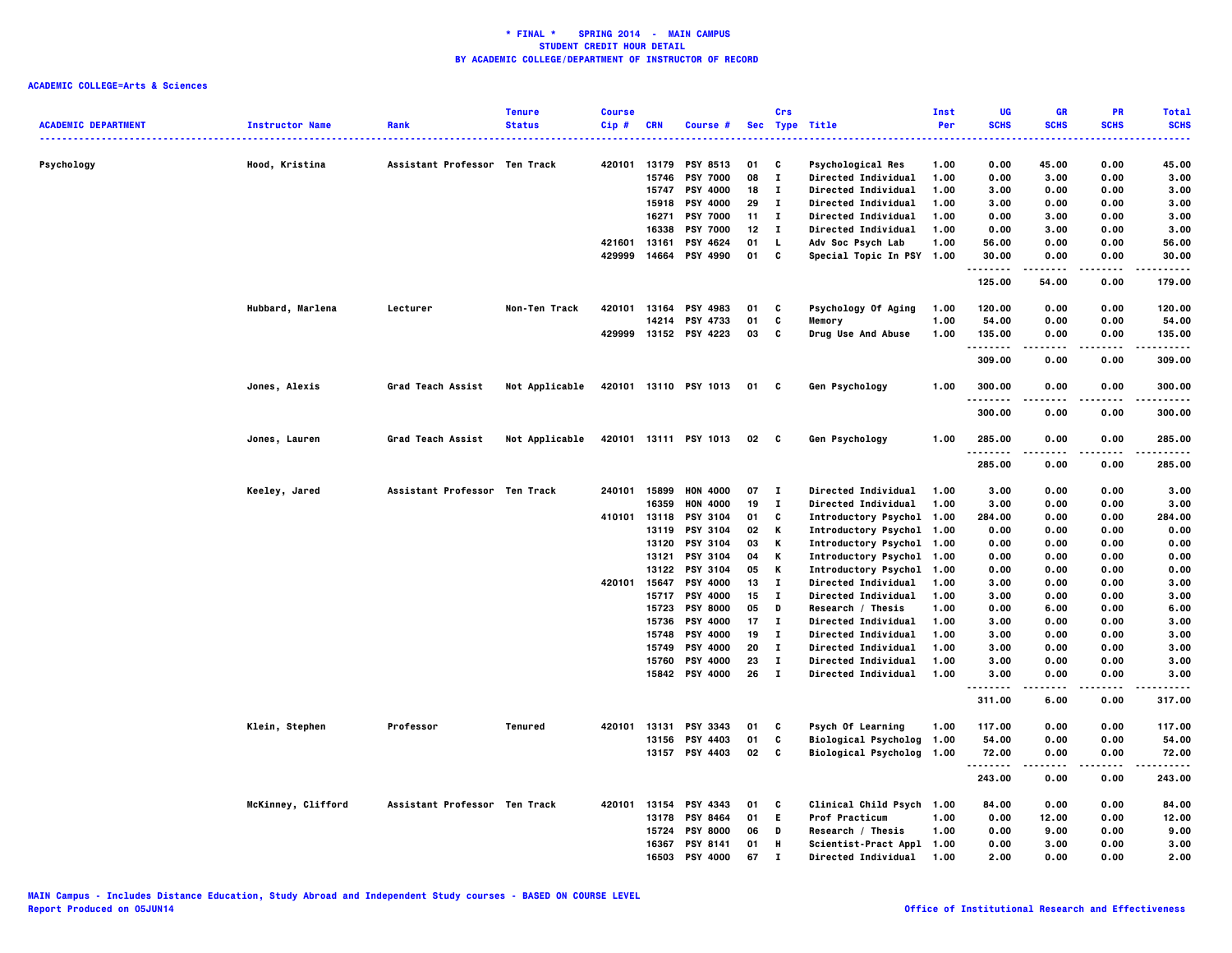|                            |                        |                               | <b>Tenure</b>  | <b>Course</b> |            |                       |      | Crs          |                             | Inst | UG                     | <b>GR</b>   | <b>PR</b>         | <b>Total</b>    |
|----------------------------|------------------------|-------------------------------|----------------|---------------|------------|-----------------------|------|--------------|-----------------------------|------|------------------------|-------------|-------------------|-----------------|
| <b>ACADEMIC DEPARTMENT</b> | <b>Instructor Name</b> | Rank                          | <b>Status</b>  | Cip#          | <b>CRN</b> | Course #              |      |              | Sec Type Title              | Per  | <b>SCHS</b><br>        | <b>SCHS</b> | <b>SCHS</b>       | <b>SCHS</b><br> |
| Psychology                 | Hood, Kristina         | Assistant Professor Ten Track |                | 420101        | 13179      | <b>PSY 8513</b>       | 01   | C            | <b>Psychological Res</b>    | 1.00 | 0.00                   | 45.00       | 0.00              | 45.00           |
|                            |                        |                               |                |               | 15746      | <b>PSY 7000</b>       | 08   | $\mathbf{I}$ | Directed Individual         | 1.00 | 0.00                   | 3.00        | 0.00              | 3.00            |
|                            |                        |                               |                |               | 15747      | <b>PSY 4000</b>       | 18   | $\mathbf{I}$ | <b>Directed Individual</b>  | 1.00 | 3.00                   | 0.00        | 0.00              | 3.00            |
|                            |                        |                               |                |               | 15918      | <b>PSY 4000</b>       | 29   | $\bf{I}$     | <b>Directed Individual</b>  | 1.00 | 3.00                   | 0.00        | 0.00              | 3.00            |
|                            |                        |                               |                |               | 16271      | <b>PSY 7000</b>       | 11   | $\mathbf{I}$ | <b>Directed Individual</b>  | 1.00 | 0.00                   | 3.00        | 0.00              | 3.00            |
|                            |                        |                               |                |               | 16338      | <b>PSY 7000</b>       | 12   | $\mathbf{I}$ | <b>Directed Individual</b>  | 1.00 | 0.00                   | 3.00        | 0.00              | 3.00            |
|                            |                        |                               |                | 421601        | 13161      | PSY 4624              | 01   | $\mathbf{L}$ | Adv Soc Psych Lab           | 1.00 | 56.00                  | 0.00        | 0.00              | 56.00           |
|                            |                        |                               |                | 429999        | 14664      | <b>PSY 4990</b>       | 01   | C            | Special Topic In PSY 1.00   |      | 30.00                  | 0.00        | 0.00              | 30.00           |
|                            |                        |                               |                |               |            |                       |      |              |                             |      | . <b>.</b><br>125.00   | 54.00       | 0.00              | .<br>179.00     |
|                            | Hubbard, Marlena       | Lecturer                      | Non-Ten Track  | 420101        | 13164      | <b>PSY 4983</b>       | 01   | C            | Psychology Of Aging         | 1.00 | 120.00                 | 0.00        | 0.00              | 120.00          |
|                            |                        |                               |                |               | 14214      | PSY 4733              | 01   | C            | Memory                      | 1.00 | 54.00                  | 0.00        | 0.00              | 54.00           |
|                            |                        |                               |                |               |            | 429999 13152 PSY 4223 | 03   | C            | Drug Use And Abuse          | 1.00 | 135.00<br>. <b>.</b>   | 0.00        | 0.00<br>$- - - -$ | 135.00<br>.     |
|                            |                        |                               |                |               |            |                       |      |              |                             |      | 309.00                 | 0.00        | 0.00              | 309.00          |
|                            | Jones, Alexis          | Grad Teach Assist             | Not Applicable |               |            | 420101 13110 PSY 1013 | 01 C |              | Gen Psychology              | 1.00 | 300.00                 | 0.00        | 0.00              | 300.00          |
|                            |                        |                               |                |               |            |                       |      |              |                             |      | 300.00                 | 0.00        | 0.00              | 300.00          |
|                            | Jones, Lauren          | Grad Teach Assist             | Not Applicable |               |            | 420101 13111 PSY 1013 | 02   | C            | Gen Psychology              | 1.00 | 285.00<br>. <b>.</b> . | 0.00        | 0.00              | 285.00          |
|                            |                        |                               |                |               |            |                       |      |              |                             |      | 285.00                 | 0.00        | 0.00              | 285.00          |
|                            | Keeley, Jared          | Assistant Professor Ten Track |                | 240101        | 15899      | <b>HON 4000</b>       | 07   | $\mathbf{I}$ | Directed Individual         | 1.00 | 3.00                   | 0.00        | 0.00              | 3.00            |
|                            |                        |                               |                |               | 16359      | <b>HON 4000</b>       | 19   | $\mathbf{I}$ | Directed Individual         | 1.00 | 3.00                   | 0.00        | 0.00              | 3.00            |
|                            |                        |                               |                | 410101        | 13118      | <b>PSY 3104</b>       | 01   | C            | Introductory Psychol        | 1.00 | 284.00                 | 0.00        | 0.00              | 284.00          |
|                            |                        |                               |                |               | 13119      | <b>PSY 3104</b>       | 02   | Κ            | Introductory Psychol 1.00   |      | 0.00                   | 0.00        | 0.00              | 0.00            |
|                            |                        |                               |                |               | 13120      | <b>PSY 3104</b>       | 03   | Κ            | Introductory Psychol 1.00   |      | 0.00                   | 0.00        | 0.00              | 0.00            |
|                            |                        |                               |                |               | 13121      | <b>PSY 3104</b>       | 04   | Κ            | Introductory Psychol 1.00   |      | 0.00                   | 0.00        | 0.00              | 0.00            |
|                            |                        |                               |                |               |            | 13122 PSY 3104        | 05   | Κ            | Introductory Psychol 1.00   |      | 0.00                   | 0.00        | 0.00              | 0.00            |
|                            |                        |                               |                | 420101        | 15647      | <b>PSY 4000</b>       | 13   | $\mathbf{I}$ | <b>Directed Individual</b>  | 1.00 | 3.00                   | 0.00        | 0.00              | 3.00            |
|                            |                        |                               |                |               |            | 15717 PSY 4000        | 15   | $\mathbf{I}$ | <b>Directed Individual</b>  | 1.00 | 3.00                   | 0.00        | 0.00              | 3.00            |
|                            |                        |                               |                |               | 15723      | <b>PSY 8000</b>       | 05   | D            | Research / Thesis           | 1.00 | 0.00                   | 6.00        | 0.00              | 6.00            |
|                            |                        |                               |                |               | 15736      | <b>PSY 4000</b>       | 17   | $\mathbf{I}$ | <b>Directed Individual</b>  | 1.00 | 3.00                   | 0.00        | 0.00              | 3.00            |
|                            |                        |                               |                |               | 15748      | <b>PSY 4000</b>       | 19   | $\mathbf{I}$ | Directed Individual         | 1.00 | 3.00                   | 0.00        | 0.00              | 3.00            |
|                            |                        |                               |                |               | 15749      | <b>PSY 4000</b>       | 20   | $\mathbf{I}$ | Directed Individual         | 1.00 | 3.00                   | 0.00        | 0.00              | 3.00            |
|                            |                        |                               |                |               | 15760      | <b>PSY 4000</b>       | 23   | $\mathbf{I}$ | <b>Directed Individual</b>  | 1.00 | 3.00                   | 0.00        | 0.00              | 3.00            |
|                            |                        |                               |                |               |            | 15842 PSY 4000        | 26   | $\mathbf{I}$ | <b>Directed Individual</b>  | 1.00 | 3.00                   | 0.00        | 0.00              | 3.00            |
|                            |                        |                               |                |               |            |                       |      |              |                             |      | 311.00                 | 6.00        | 0.00              | 317.00          |
|                            | Klein, Stephen         | Professor                     | Tenured        | 420101        | 13131      | <b>PSY 3343</b>       | 01   | C            | Psych Of Learning           | 1.00 | 117.00                 | 0.00        | 0.00              | 117.00          |
|                            |                        |                               |                |               | 13156      | PSY 4403              | 01   | c            | <b>Biological Psycholog</b> | 1.00 | 54.00                  | 0.00        | 0.00              | 54.00           |
|                            |                        |                               |                |               |            | 13157 PSY 4403        | 02   | C            | Biological Psycholog 1.00   |      | 72.00<br>.             | 0.00        | 0.00              | 72.00           |
|                            |                        |                               |                |               |            |                       |      |              |                             |      | 243.00                 | 0.00        | 0.00              | 243.00          |
|                            | McKinney, Clifford     | Assistant Professor Ten Track |                | 420101        | 13154      | PSY 4343              | 01   | C            | Clinical Child Psych 1.00   |      | 84.00                  | 0.00        | 0.00              | 84.00           |
|                            |                        |                               |                |               | 13178      | <b>PSY 8464</b>       | 01   | E.           | Prof Practicum              | 1.00 | 0.00                   | 12.00       | 0.00              | 12.00           |
|                            |                        |                               |                |               | 15724      | <b>PSY 8000</b>       | 06   | D            | Research / Thesis           | 1.00 | 0.00                   | 9.00        | 0.00              | 9.00            |
|                            |                        |                               |                |               |            | 16367 PSY 8141        | 01   | н            | Scientist-Pract Appl 1.00   |      | 0.00                   | 3.00        | 0.00              | 3.00            |
|                            |                        |                               |                |               | 16503      | <b>PSY 4000</b>       | 67   | $\mathbf{I}$ | <b>Directed Individual</b>  | 1.00 | 2.00                   | 0.00        | 0.00              | 2.00            |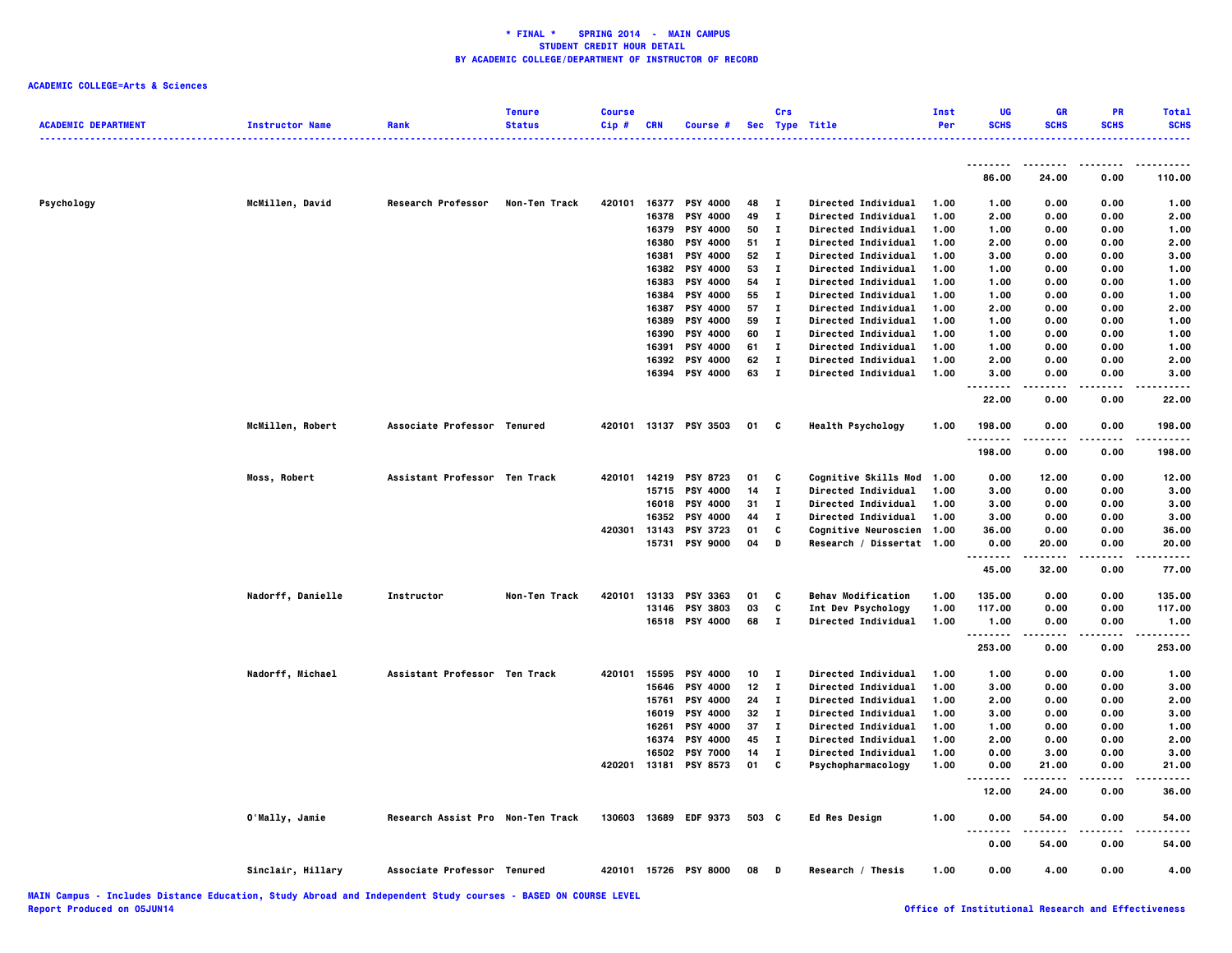|                            |                        |                                   | <b>Tenure</b> | <b>Course</b> |              |                       |       | Crs          |                             | Inst | <b>UG</b>   | GR          | PR          | <b>Total</b> |
|----------------------------|------------------------|-----------------------------------|---------------|---------------|--------------|-----------------------|-------|--------------|-----------------------------|------|-------------|-------------|-------------|--------------|
| <b>ACADEMIC DEPARTMENT</b> | <b>Instructor Name</b> | Rank                              | <b>Status</b> | Cip#          | <b>CRN</b>   | Course #              |       |              | Sec Type Title              | Per  | <b>SCHS</b> | <b>SCHS</b> | <b>SCHS</b> | <b>SCHS</b>  |
|                            |                        |                                   |               |               |              |                       |       |              |                             |      | --------    | .           |             |              |
|                            |                        |                                   |               |               |              |                       |       |              |                             |      | 86.00       | 24.00       | 0.00        | 110.00       |
| Psychology                 | McMillen, David        | <b>Research Professor</b>         | Non-Ten Track | 420101        | 16377        | <b>PSY 4000</b>       | 48    | п            | Directed Individual         | 1.00 | 1.00        | 0.00        | 0.00        | 1.00         |
|                            |                        |                                   |               |               | 16378        | <b>PSY 4000</b>       | 49    | Т.           | Directed Individual         | 1.00 | 2.00        | 0.00        | 0.00        | 2.00         |
|                            |                        |                                   |               |               | 16379        | <b>PSY 4000</b>       | 50    | $\mathbf I$  | Directed Individual         | 1.00 | 1.00        | 0.00        | 0.00        | 1.00         |
|                            |                        |                                   |               |               | 16380        | PSY 4000              | 51    | Т.           | Directed Individual         | 1.00 | 2.00        | 0.00        | 0.00        | 2.00         |
|                            |                        |                                   |               |               | 16381        | <b>PSY 4000</b>       | 52    | Т.           | Directed Individual         | 1.00 | 3.00        | 0.00        | 0.00        | 3.00         |
|                            |                        |                                   |               |               | 16382        | <b>PSY 4000</b>       | 53    | п            | Directed Individual         | 1.00 | 1.00        | 0.00        | 0.00        | 1.00         |
|                            |                        |                                   |               |               | 16383        | <b>PSY 4000</b>       | 54    | Т.           | Directed Individual         | 1.00 | 1.00        | 0.00        | 0.00        | 1.00         |
|                            |                        |                                   |               |               | 16384        | <b>PSY 4000</b>       | 55    | п            | Directed Individual         | 1.00 | 1.00        | 0.00        | 0.00        | 1.00         |
|                            |                        |                                   |               |               | 16387        | PSY 4000              | 57    | Т.           | Directed Individual         | 1.00 | 2.00        | 0.00        | 0.00        | 2.00         |
|                            |                        |                                   |               |               | 16389        | <b>PSY 4000</b>       | 59    | $\mathbf{I}$ | Directed Individual         | 1.00 | 1.00        | 0.00        | 0.00        | 1.00         |
|                            |                        |                                   |               |               | 16390        | PSY 4000              | 60    | $\mathbf I$  | Directed Individual         | 1.00 | 1.00        | 0.00        | 0.00        | 1.00         |
|                            |                        |                                   |               |               | 16391        | PSY 4000              | 61    | $\mathbf I$  | Directed Individual         | 1.00 | 1.00        | 0.00        | 0.00        | 1.00         |
|                            |                        |                                   |               |               | 16392        | PSY 4000              | 62    | $\mathbf I$  | Directed Individual         | 1.00 | 2.00        | 0.00        | 0.00        | 2.00         |
|                            |                        |                                   |               |               | 16394        | <b>PSY 4000</b>       | 63    | $\mathbf T$  | <b>Directed Individual</b>  | 1.00 | 3.00        | 0.00        | 0.00        | 3.00         |
|                            |                        |                                   |               |               |              |                       |       |              |                             |      | 22.00       | 0.00        | 0.00        | 22.00        |
|                            | McMillen, Robert       | Associate Professor Tenured       |               |               |              | 420101 13137 PSY 3503 | 01    | C            | <b>Health Psychology</b>    | 1.00 | 198.00<br>. | 0.00        | 0.00        | 198.00       |
|                            |                        |                                   |               |               |              |                       |       |              |                             |      | 198.00      | 0.00        | 0.00        | 198.00       |
|                            | Moss, Robert           | Assistant Professor Ten Track     |               |               | 420101 14219 | <b>PSY 8723</b>       | 01    | c            | Cognitive Skills Mod 1.00   |      | 0.00        | 12.00       | 0.00        | 12.00        |
|                            |                        |                                   |               |               | 15715        | <b>PSY 4000</b>       | 14    | $\mathbf I$  | Directed Individual         | 1.00 | 3.00        | 0.00        | 0.00        | 3.00         |
|                            |                        |                                   |               |               | 16018        | PSY 4000              | 31    | $\mathbf I$  | Directed Individual         | 1.00 | 3.00        | 0.00        | 0.00        | 3.00         |
|                            |                        |                                   |               |               | 16352        | <b>PSY 4000</b>       | 44    | Т.           | <b>Directed Individual</b>  | 1.00 | 3.00        | 0.00        | 0.00        | 3.00         |
|                            |                        |                                   |               |               | 420301 13143 | <b>PSY 3723</b>       | 01    | C            | <b>Cognitive Neuroscien</b> | 1.00 | 36.00       | 0.00        | 0.00        | 36.00        |
|                            |                        |                                   |               |               | 15731        | <b>PSY 9000</b>       | 04    | D            | Research / Dissertat 1.00   |      | 0.00<br>.   | 20.00<br>.  | 0.00<br>.   | 20.00        |
|                            |                        |                                   |               |               |              |                       |       |              |                             |      | 45.00       | 32.00       | 0.00        | 77.00        |
|                            | Nadorff, Danielle      | Instructor                        | Non-Ten Track | 420101        | 13133        | PSY 3363              | 01    | C            | <b>Behav Modification</b>   | 1.00 | 135.00      | 0.00        | 0.00        | 135.00       |
|                            |                        |                                   |               |               | 13146        | <b>PSY 3803</b>       | 03    | C            | Int Dev Psychology          | 1.00 | 117.00      | 0.00        | 0.00        | 117.00       |
|                            |                        |                                   |               |               |              | 16518 PSY 4000        | 68    | Т.           | Directed Individual         | 1.00 | 1.00<br>.   | 0.00        | 0.00        | 1.00         |
|                            |                        |                                   |               |               |              |                       |       |              |                             |      | 253.00      | 0.00        | 0.00        | 253.00       |
|                            | Nadorff, Michael       | Assistant Professor Ten Track     |               |               | 420101 15595 | <b>PSY 4000</b>       | 10    | п            | Directed Individual         | 1.00 | 1.00        | 0.00        | 0.00        | 1.00         |
|                            |                        |                                   |               |               | 15646        | <b>PSY 4000</b>       | 12    | T            | Directed Individual         | 1.00 | 3.00        | 0.00        | 0.00        | 3.00         |
|                            |                        |                                   |               |               | 15761        | PSY 4000              | 24    | $\mathbf I$  | Directed Individual         | 1.00 | 2.00        | 0.00        | 0.00        | 2.00         |
|                            |                        |                                   |               |               | 16019        | <b>PSY 4000</b>       | 32    | $\mathbf I$  | <b>Directed Individual</b>  | 1.00 | 3.00        | 0.00        | 0.00        | 3.00         |
|                            |                        |                                   |               |               | 16261        | <b>PSY 4000</b>       | 37    | п            | Directed Individual         | 1.00 | 1.00        | 0.00        | 0.00        | 1.00         |
|                            |                        |                                   |               |               | 16374        | <b>PSY 4000</b>       | 45    | Т.           | <b>Directed Individual</b>  | 1.00 | 2.00        | 0.00        | 0.00        | 2.00         |
|                            |                        |                                   |               |               | 16502        | <b>PSY 7000</b>       | 14    | Т.           | Directed Individual         | 1.00 | 0.00        | 3.00        | 0.00        | 3.00         |
|                            |                        |                                   |               |               | 420201 13181 | <b>PSY 8573</b>       | 01    | C            | Psychopharmacology          | 1.00 | 0.00<br>    | 21.00       | 0.00        | 21.00        |
|                            |                        |                                   |               |               |              |                       |       |              |                             |      | 12.00       | 24.00       | 0.00        | 36.00        |
|                            | O'Mally, Jamie         | Research Assist Pro Non-Ten Track |               |               |              | 130603 13689 EDF 9373 | 503 C |              | Ed Res Design               | 1.00 | 0.00<br>. . | 54.00       | 0.00        | 54.00        |
|                            |                        |                                   |               |               |              |                       |       |              |                             |      | 0.00        | 54.00       | 0.00        | 54.00        |
|                            | Sinclair, Hillary      | <b>Associate Professor</b>        | Tenured       |               |              | 420101 15726 PSY 8000 | 08    | Đ            | Research / Thesis           | 1.00 | 0.00        | 4.00        | 0.00        | 4.00         |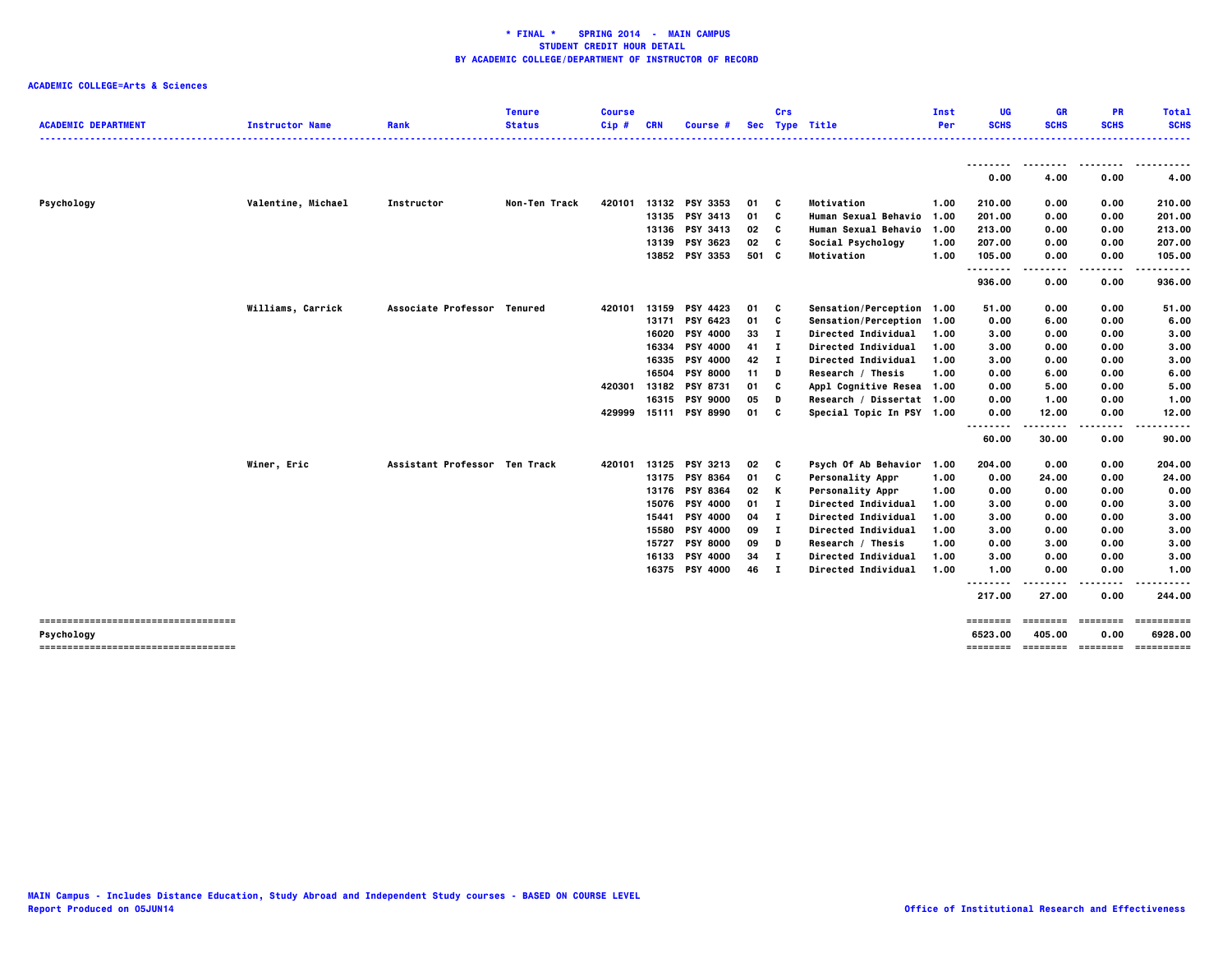| <b>SCHS</b><br><b>SCHS</b><br><b>SCHS</b><br><b>SCHS</b><br><b>ACADEMIC DEPARTMENT</b><br><b>Status</b><br>Cip#<br><b>CRN</b><br>Sec Type Title<br><b>Instructor Name</b><br>Rank<br>Course #<br>Per<br>.<br>--------<br>----<br>----------<br>.<br>4.00<br>0.00<br>0.00<br>4.00<br>Valentine, Michael<br>Non-Ten Track<br>13132 PSY 3353<br>Motivation<br>210.00<br>Psychology<br>Instructor<br>420101<br>01<br>c<br>1.00<br>0.00<br>0.00<br>210.00<br>13135 PSY 3413<br>01<br>C<br><b>Human Sexual Behavio</b><br>201.00<br>0.00<br>0.00<br>201.00<br>1.00<br>213.00<br>13136 PSY 3413<br>02<br>C<br>Human Sexual Behavio 1.00<br>213.00<br>0.00<br>0.00<br>13139<br><b>PSY 3623</b><br>02<br>C<br>Social Psychology<br>207.00<br>0.00<br>0.00<br>207.00<br>1.00<br>13852 PSY 3353<br>105.00<br>105.00<br>501 C<br>Motivation<br>1.00<br>0.00<br>0.00<br>--------<br>.<br>.<br>936.00<br>0.00<br>0.00<br>936.00<br>Williams, Carrick<br>13159 PSY 4423<br>Associate Professor Tenured<br>420101<br>01<br>C<br>Sensation/Perception 1.00<br>51.00<br>0.00<br>0.00<br>51.00<br>13171 PSY 6423<br>01<br>C<br>Sensation/Perception 1.00<br>0.00<br>6.00<br>0.00<br>6.00<br>16020<br><b>PSY 4000</b><br>33<br>$\mathbf{I}$<br><b>Directed Individual</b><br>3.00<br>0.00<br>0.00<br>3.00<br>1.00<br><b>PSY 4000</b><br>$\mathbf{I}$<br>3.00<br>16334<br>41<br>Directed Individual<br>1.00<br>3.00<br>0.00<br>0.00<br>16335<br><b>PSY 4000</b><br>42<br>$\mathbf{I}$<br>Directed Individual<br>3.00<br>3.00<br>0.00<br>0.00<br>1.00<br>6.00<br>16504<br><b>PSY 8000</b><br>11<br>D<br>Research / Thesis<br>0.00<br>6.00<br>0.00<br>1.00<br><b>PSY 8731</b><br>C<br>5.00<br>420301<br>13182<br>01<br>Appl Cognitive Resea 1.00<br>0.00<br>5.00<br>0.00<br>16315<br><b>PSY 9000</b><br>05<br>D<br>Research / Dissertat 1.00<br>0.00<br>1.00<br>0.00<br>1.00<br>C<br>429999<br>15111 PSY 8990<br>01<br>Special Topic In PSY 1.00<br>0.00<br>12.00<br>0.00<br>12.00<br>$\ddotsc$<br>60.00<br>30.00<br>0.00<br>90.00<br>Assistant Professor Ten Track<br>13125<br>Winer, Eric<br>420101<br><b>PSY 3213</b><br>02<br>C<br>Psych Of Ab Behavior 1.00<br>204.00<br>0.00<br>0.00<br>204.00<br>13175 PSY 8364<br>24.00<br>01<br>c<br><b>Personality Appr</b><br>1.00<br>0.00<br>24.00<br>0.00<br><b>PSY 8364</b><br>13176<br>02<br>K<br><b>Personality Appr</b><br>0.00<br>0.00<br>0.00<br>1.00<br>0.00<br>15076<br><b>PSY 4000</b><br>01<br>п<br>Directed Individual<br>1.00<br>3.00<br>0.00<br>0.00<br>3.00<br>15441<br><b>PSY 4000</b><br>04<br>$\mathbf{I}$<br>Directed Individual<br>0.00<br>3.00<br>1.00<br>3.00<br>0.00<br>15580 PSY 4000<br>09<br>$\mathbf{I}$<br>3.00<br>Directed Individual<br>1.00<br>3.00<br>0.00<br>0.00<br>15727<br><b>PSY 8000</b><br>09<br>D<br>Research / Thesis<br>3.00<br>0.00<br>3.00<br>1.00<br>0.00<br><b>PSY 4000</b><br>$\mathbf{I}$<br>3.00<br>16133<br>34<br>Directed Individual<br>3.00<br>0.00<br>0.00<br>1.00<br>16375 PSY 4000<br>46 I<br>1.00<br>0.00<br>1.00<br><b>Directed Individual</b><br>1.00<br>0.00<br>217.00<br>27.00<br>0.00<br>244.00<br>=====================================<br>-------- ------- -------<br>==========<br>6523.00<br>405.00<br>0.00<br>Psychology<br>=====================================<br>======== ======== ======== ========= |  | <b>Tenure</b> | <b>Course</b> |  | Crs | Inst | UG | <b>GR</b> | <b>PR</b> | Total |
|--------------------------------------------------------------------------------------------------------------------------------------------------------------------------------------------------------------------------------------------------------------------------------------------------------------------------------------------------------------------------------------------------------------------------------------------------------------------------------------------------------------------------------------------------------------------------------------------------------------------------------------------------------------------------------------------------------------------------------------------------------------------------------------------------------------------------------------------------------------------------------------------------------------------------------------------------------------------------------------------------------------------------------------------------------------------------------------------------------------------------------------------------------------------------------------------------------------------------------------------------------------------------------------------------------------------------------------------------------------------------------------------------------------------------------------------------------------------------------------------------------------------------------------------------------------------------------------------------------------------------------------------------------------------------------------------------------------------------------------------------------------------------------------------------------------------------------------------------------------------------------------------------------------------------------------------------------------------------------------------------------------------------------------------------------------------------------------------------------------------------------------------------------------------------------------------------------------------------------------------------------------------------------------------------------------------------------------------------------------------------------------------------------------------------------------------------------------------------------------------------------------------------------------------------------------------------------------------------------------------------------------------------------------------------------------------------------------------------------------------------------------------------------------------------------------------------------------------------------------------------------------------------------------------------------------------------------------------------------------------------------------------------------------------------------------------------------------------------------------------------------------------------------------------------------------------------------------------------------------------------------------------------------------------------|--|---------------|---------------|--|-----|------|----|-----------|-----------|-------|
|                                                                                                                                                                                                                                                                                                                                                                                                                                                                                                                                                                                                                                                                                                                                                                                                                                                                                                                                                                                                                                                                                                                                                                                                                                                                                                                                                                                                                                                                                                                                                                                                                                                                                                                                                                                                                                                                                                                                                                                                                                                                                                                                                                                                                                                                                                                                                                                                                                                                                                                                                                                                                                                                                                                                                                                                                                                                                                                                                                                                                                                                                                                                                                                                                                                                                                  |  |               |               |  |     |      |    |           |           |       |
|                                                                                                                                                                                                                                                                                                                                                                                                                                                                                                                                                                                                                                                                                                                                                                                                                                                                                                                                                                                                                                                                                                                                                                                                                                                                                                                                                                                                                                                                                                                                                                                                                                                                                                                                                                                                                                                                                                                                                                                                                                                                                                                                                                                                                                                                                                                                                                                                                                                                                                                                                                                                                                                                                                                                                                                                                                                                                                                                                                                                                                                                                                                                                                                                                                                                                                  |  |               |               |  |     |      |    |           |           |       |
|                                                                                                                                                                                                                                                                                                                                                                                                                                                                                                                                                                                                                                                                                                                                                                                                                                                                                                                                                                                                                                                                                                                                                                                                                                                                                                                                                                                                                                                                                                                                                                                                                                                                                                                                                                                                                                                                                                                                                                                                                                                                                                                                                                                                                                                                                                                                                                                                                                                                                                                                                                                                                                                                                                                                                                                                                                                                                                                                                                                                                                                                                                                                                                                                                                                                                                  |  |               |               |  |     |      |    |           |           |       |
|                                                                                                                                                                                                                                                                                                                                                                                                                                                                                                                                                                                                                                                                                                                                                                                                                                                                                                                                                                                                                                                                                                                                                                                                                                                                                                                                                                                                                                                                                                                                                                                                                                                                                                                                                                                                                                                                                                                                                                                                                                                                                                                                                                                                                                                                                                                                                                                                                                                                                                                                                                                                                                                                                                                                                                                                                                                                                                                                                                                                                                                                                                                                                                                                                                                                                                  |  |               |               |  |     |      |    |           |           |       |
|                                                                                                                                                                                                                                                                                                                                                                                                                                                                                                                                                                                                                                                                                                                                                                                                                                                                                                                                                                                                                                                                                                                                                                                                                                                                                                                                                                                                                                                                                                                                                                                                                                                                                                                                                                                                                                                                                                                                                                                                                                                                                                                                                                                                                                                                                                                                                                                                                                                                                                                                                                                                                                                                                                                                                                                                                                                                                                                                                                                                                                                                                                                                                                                                                                                                                                  |  |               |               |  |     |      |    |           |           |       |
|                                                                                                                                                                                                                                                                                                                                                                                                                                                                                                                                                                                                                                                                                                                                                                                                                                                                                                                                                                                                                                                                                                                                                                                                                                                                                                                                                                                                                                                                                                                                                                                                                                                                                                                                                                                                                                                                                                                                                                                                                                                                                                                                                                                                                                                                                                                                                                                                                                                                                                                                                                                                                                                                                                                                                                                                                                                                                                                                                                                                                                                                                                                                                                                                                                                                                                  |  |               |               |  |     |      |    |           |           |       |
|                                                                                                                                                                                                                                                                                                                                                                                                                                                                                                                                                                                                                                                                                                                                                                                                                                                                                                                                                                                                                                                                                                                                                                                                                                                                                                                                                                                                                                                                                                                                                                                                                                                                                                                                                                                                                                                                                                                                                                                                                                                                                                                                                                                                                                                                                                                                                                                                                                                                                                                                                                                                                                                                                                                                                                                                                                                                                                                                                                                                                                                                                                                                                                                                                                                                                                  |  |               |               |  |     |      |    |           |           |       |
|                                                                                                                                                                                                                                                                                                                                                                                                                                                                                                                                                                                                                                                                                                                                                                                                                                                                                                                                                                                                                                                                                                                                                                                                                                                                                                                                                                                                                                                                                                                                                                                                                                                                                                                                                                                                                                                                                                                                                                                                                                                                                                                                                                                                                                                                                                                                                                                                                                                                                                                                                                                                                                                                                                                                                                                                                                                                                                                                                                                                                                                                                                                                                                                                                                                                                                  |  |               |               |  |     |      |    |           |           |       |
| 6928.00                                                                                                                                                                                                                                                                                                                                                                                                                                                                                                                                                                                                                                                                                                                                                                                                                                                                                                                                                                                                                                                                                                                                                                                                                                                                                                                                                                                                                                                                                                                                                                                                                                                                                                                                                                                                                                                                                                                                                                                                                                                                                                                                                                                                                                                                                                                                                                                                                                                                                                                                                                                                                                                                                                                                                                                                                                                                                                                                                                                                                                                                                                                                                                                                                                                                                          |  |               |               |  |     |      |    |           |           |       |
|                                                                                                                                                                                                                                                                                                                                                                                                                                                                                                                                                                                                                                                                                                                                                                                                                                                                                                                                                                                                                                                                                                                                                                                                                                                                                                                                                                                                                                                                                                                                                                                                                                                                                                                                                                                                                                                                                                                                                                                                                                                                                                                                                                                                                                                                                                                                                                                                                                                                                                                                                                                                                                                                                                                                                                                                                                                                                                                                                                                                                                                                                                                                                                                                                                                                                                  |  |               |               |  |     |      |    |           |           |       |
|                                                                                                                                                                                                                                                                                                                                                                                                                                                                                                                                                                                                                                                                                                                                                                                                                                                                                                                                                                                                                                                                                                                                                                                                                                                                                                                                                                                                                                                                                                                                                                                                                                                                                                                                                                                                                                                                                                                                                                                                                                                                                                                                                                                                                                                                                                                                                                                                                                                                                                                                                                                                                                                                                                                                                                                                                                                                                                                                                                                                                                                                                                                                                                                                                                                                                                  |  |               |               |  |     |      |    |           |           |       |
|                                                                                                                                                                                                                                                                                                                                                                                                                                                                                                                                                                                                                                                                                                                                                                                                                                                                                                                                                                                                                                                                                                                                                                                                                                                                                                                                                                                                                                                                                                                                                                                                                                                                                                                                                                                                                                                                                                                                                                                                                                                                                                                                                                                                                                                                                                                                                                                                                                                                                                                                                                                                                                                                                                                                                                                                                                                                                                                                                                                                                                                                                                                                                                                                                                                                                                  |  |               |               |  |     |      |    |           |           |       |
|                                                                                                                                                                                                                                                                                                                                                                                                                                                                                                                                                                                                                                                                                                                                                                                                                                                                                                                                                                                                                                                                                                                                                                                                                                                                                                                                                                                                                                                                                                                                                                                                                                                                                                                                                                                                                                                                                                                                                                                                                                                                                                                                                                                                                                                                                                                                                                                                                                                                                                                                                                                                                                                                                                                                                                                                                                                                                                                                                                                                                                                                                                                                                                                                                                                                                                  |  |               |               |  |     |      |    |           |           |       |
|                                                                                                                                                                                                                                                                                                                                                                                                                                                                                                                                                                                                                                                                                                                                                                                                                                                                                                                                                                                                                                                                                                                                                                                                                                                                                                                                                                                                                                                                                                                                                                                                                                                                                                                                                                                                                                                                                                                                                                                                                                                                                                                                                                                                                                                                                                                                                                                                                                                                                                                                                                                                                                                                                                                                                                                                                                                                                                                                                                                                                                                                                                                                                                                                                                                                                                  |  |               |               |  |     |      |    |           |           |       |
|                                                                                                                                                                                                                                                                                                                                                                                                                                                                                                                                                                                                                                                                                                                                                                                                                                                                                                                                                                                                                                                                                                                                                                                                                                                                                                                                                                                                                                                                                                                                                                                                                                                                                                                                                                                                                                                                                                                                                                                                                                                                                                                                                                                                                                                                                                                                                                                                                                                                                                                                                                                                                                                                                                                                                                                                                                                                                                                                                                                                                                                                                                                                                                                                                                                                                                  |  |               |               |  |     |      |    |           |           |       |
|                                                                                                                                                                                                                                                                                                                                                                                                                                                                                                                                                                                                                                                                                                                                                                                                                                                                                                                                                                                                                                                                                                                                                                                                                                                                                                                                                                                                                                                                                                                                                                                                                                                                                                                                                                                                                                                                                                                                                                                                                                                                                                                                                                                                                                                                                                                                                                                                                                                                                                                                                                                                                                                                                                                                                                                                                                                                                                                                                                                                                                                                                                                                                                                                                                                                                                  |  |               |               |  |     |      |    |           |           |       |
|                                                                                                                                                                                                                                                                                                                                                                                                                                                                                                                                                                                                                                                                                                                                                                                                                                                                                                                                                                                                                                                                                                                                                                                                                                                                                                                                                                                                                                                                                                                                                                                                                                                                                                                                                                                                                                                                                                                                                                                                                                                                                                                                                                                                                                                                                                                                                                                                                                                                                                                                                                                                                                                                                                                                                                                                                                                                                                                                                                                                                                                                                                                                                                                                                                                                                                  |  |               |               |  |     |      |    |           |           |       |
|                                                                                                                                                                                                                                                                                                                                                                                                                                                                                                                                                                                                                                                                                                                                                                                                                                                                                                                                                                                                                                                                                                                                                                                                                                                                                                                                                                                                                                                                                                                                                                                                                                                                                                                                                                                                                                                                                                                                                                                                                                                                                                                                                                                                                                                                                                                                                                                                                                                                                                                                                                                                                                                                                                                                                                                                                                                                                                                                                                                                                                                                                                                                                                                                                                                                                                  |  |               |               |  |     |      |    |           |           |       |
|                                                                                                                                                                                                                                                                                                                                                                                                                                                                                                                                                                                                                                                                                                                                                                                                                                                                                                                                                                                                                                                                                                                                                                                                                                                                                                                                                                                                                                                                                                                                                                                                                                                                                                                                                                                                                                                                                                                                                                                                                                                                                                                                                                                                                                                                                                                                                                                                                                                                                                                                                                                                                                                                                                                                                                                                                                                                                                                                                                                                                                                                                                                                                                                                                                                                                                  |  |               |               |  |     |      |    |           |           |       |
|                                                                                                                                                                                                                                                                                                                                                                                                                                                                                                                                                                                                                                                                                                                                                                                                                                                                                                                                                                                                                                                                                                                                                                                                                                                                                                                                                                                                                                                                                                                                                                                                                                                                                                                                                                                                                                                                                                                                                                                                                                                                                                                                                                                                                                                                                                                                                                                                                                                                                                                                                                                                                                                                                                                                                                                                                                                                                                                                                                                                                                                                                                                                                                                                                                                                                                  |  |               |               |  |     |      |    |           |           |       |
|                                                                                                                                                                                                                                                                                                                                                                                                                                                                                                                                                                                                                                                                                                                                                                                                                                                                                                                                                                                                                                                                                                                                                                                                                                                                                                                                                                                                                                                                                                                                                                                                                                                                                                                                                                                                                                                                                                                                                                                                                                                                                                                                                                                                                                                                                                                                                                                                                                                                                                                                                                                                                                                                                                                                                                                                                                                                                                                                                                                                                                                                                                                                                                                                                                                                                                  |  |               |               |  |     |      |    |           |           |       |
|                                                                                                                                                                                                                                                                                                                                                                                                                                                                                                                                                                                                                                                                                                                                                                                                                                                                                                                                                                                                                                                                                                                                                                                                                                                                                                                                                                                                                                                                                                                                                                                                                                                                                                                                                                                                                                                                                                                                                                                                                                                                                                                                                                                                                                                                                                                                                                                                                                                                                                                                                                                                                                                                                                                                                                                                                                                                                                                                                                                                                                                                                                                                                                                                                                                                                                  |  |               |               |  |     |      |    |           |           |       |
|                                                                                                                                                                                                                                                                                                                                                                                                                                                                                                                                                                                                                                                                                                                                                                                                                                                                                                                                                                                                                                                                                                                                                                                                                                                                                                                                                                                                                                                                                                                                                                                                                                                                                                                                                                                                                                                                                                                                                                                                                                                                                                                                                                                                                                                                                                                                                                                                                                                                                                                                                                                                                                                                                                                                                                                                                                                                                                                                                                                                                                                                                                                                                                                                                                                                                                  |  |               |               |  |     |      |    |           |           |       |
|                                                                                                                                                                                                                                                                                                                                                                                                                                                                                                                                                                                                                                                                                                                                                                                                                                                                                                                                                                                                                                                                                                                                                                                                                                                                                                                                                                                                                                                                                                                                                                                                                                                                                                                                                                                                                                                                                                                                                                                                                                                                                                                                                                                                                                                                                                                                                                                                                                                                                                                                                                                                                                                                                                                                                                                                                                                                                                                                                                                                                                                                                                                                                                                                                                                                                                  |  |               |               |  |     |      |    |           |           |       |
|                                                                                                                                                                                                                                                                                                                                                                                                                                                                                                                                                                                                                                                                                                                                                                                                                                                                                                                                                                                                                                                                                                                                                                                                                                                                                                                                                                                                                                                                                                                                                                                                                                                                                                                                                                                                                                                                                                                                                                                                                                                                                                                                                                                                                                                                                                                                                                                                                                                                                                                                                                                                                                                                                                                                                                                                                                                                                                                                                                                                                                                                                                                                                                                                                                                                                                  |  |               |               |  |     |      |    |           |           |       |
|                                                                                                                                                                                                                                                                                                                                                                                                                                                                                                                                                                                                                                                                                                                                                                                                                                                                                                                                                                                                                                                                                                                                                                                                                                                                                                                                                                                                                                                                                                                                                                                                                                                                                                                                                                                                                                                                                                                                                                                                                                                                                                                                                                                                                                                                                                                                                                                                                                                                                                                                                                                                                                                                                                                                                                                                                                                                                                                                                                                                                                                                                                                                                                                                                                                                                                  |  |               |               |  |     |      |    |           |           |       |
|                                                                                                                                                                                                                                                                                                                                                                                                                                                                                                                                                                                                                                                                                                                                                                                                                                                                                                                                                                                                                                                                                                                                                                                                                                                                                                                                                                                                                                                                                                                                                                                                                                                                                                                                                                                                                                                                                                                                                                                                                                                                                                                                                                                                                                                                                                                                                                                                                                                                                                                                                                                                                                                                                                                                                                                                                                                                                                                                                                                                                                                                                                                                                                                                                                                                                                  |  |               |               |  |     |      |    |           |           |       |
|                                                                                                                                                                                                                                                                                                                                                                                                                                                                                                                                                                                                                                                                                                                                                                                                                                                                                                                                                                                                                                                                                                                                                                                                                                                                                                                                                                                                                                                                                                                                                                                                                                                                                                                                                                                                                                                                                                                                                                                                                                                                                                                                                                                                                                                                                                                                                                                                                                                                                                                                                                                                                                                                                                                                                                                                                                                                                                                                                                                                                                                                                                                                                                                                                                                                                                  |  |               |               |  |     |      |    |           |           |       |
|                                                                                                                                                                                                                                                                                                                                                                                                                                                                                                                                                                                                                                                                                                                                                                                                                                                                                                                                                                                                                                                                                                                                                                                                                                                                                                                                                                                                                                                                                                                                                                                                                                                                                                                                                                                                                                                                                                                                                                                                                                                                                                                                                                                                                                                                                                                                                                                                                                                                                                                                                                                                                                                                                                                                                                                                                                                                                                                                                                                                                                                                                                                                                                                                                                                                                                  |  |               |               |  |     |      |    |           |           |       |
|                                                                                                                                                                                                                                                                                                                                                                                                                                                                                                                                                                                                                                                                                                                                                                                                                                                                                                                                                                                                                                                                                                                                                                                                                                                                                                                                                                                                                                                                                                                                                                                                                                                                                                                                                                                                                                                                                                                                                                                                                                                                                                                                                                                                                                                                                                                                                                                                                                                                                                                                                                                                                                                                                                                                                                                                                                                                                                                                                                                                                                                                                                                                                                                                                                                                                                  |  |               |               |  |     |      |    |           |           |       |
|                                                                                                                                                                                                                                                                                                                                                                                                                                                                                                                                                                                                                                                                                                                                                                                                                                                                                                                                                                                                                                                                                                                                                                                                                                                                                                                                                                                                                                                                                                                                                                                                                                                                                                                                                                                                                                                                                                                                                                                                                                                                                                                                                                                                                                                                                                                                                                                                                                                                                                                                                                                                                                                                                                                                                                                                                                                                                                                                                                                                                                                                                                                                                                                                                                                                                                  |  |               |               |  |     |      |    |           |           |       |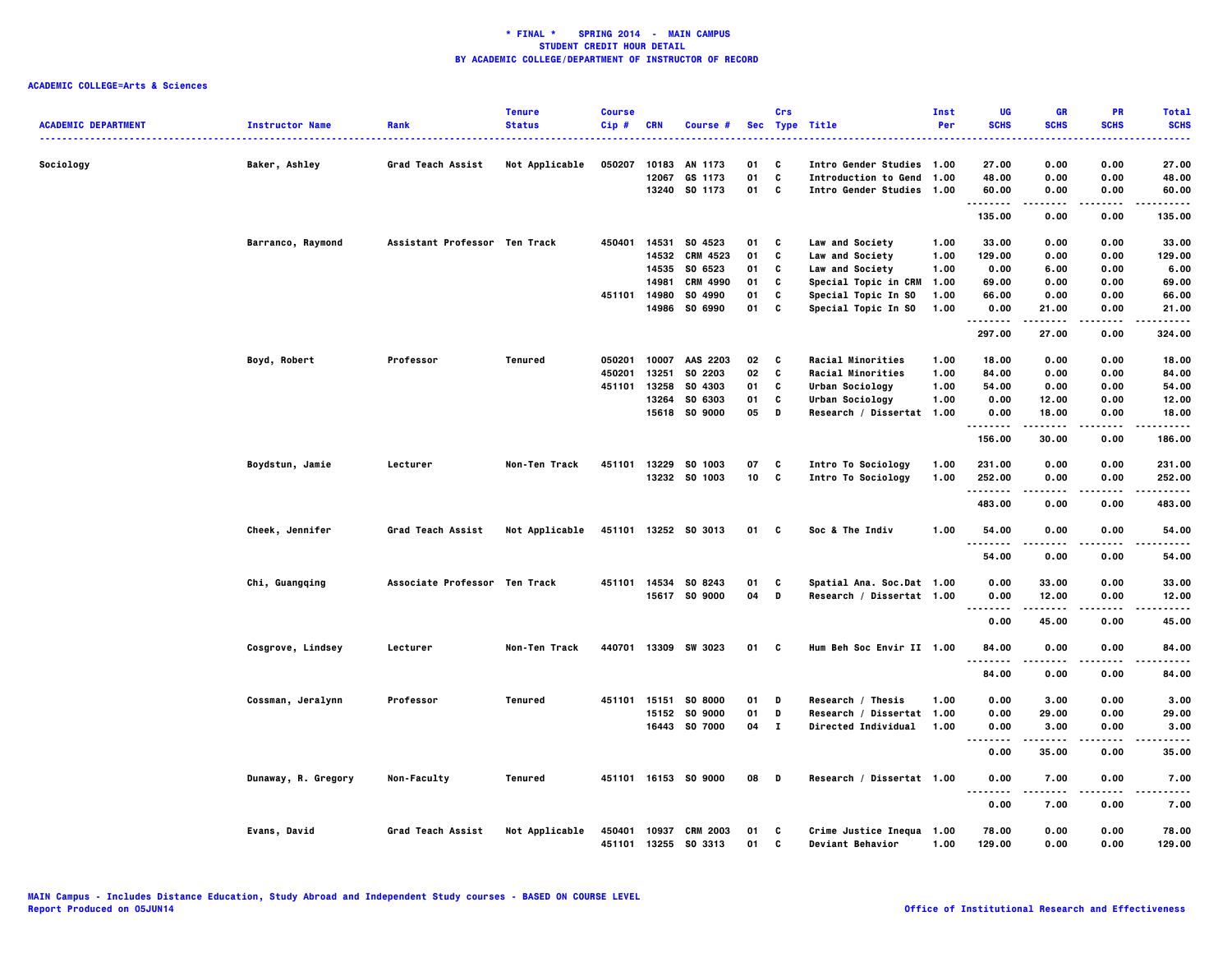| <b>ACADEMIC DEPARTMENT</b> | <b>Instructor Name</b> | Rank                          | <b>Tenure</b><br><b>Status</b> | <b>Course</b><br>Cip# | <b>CRN</b>     | Course #                                |                        | Crs    | Sec Type Title                                           | <b>Inst</b><br>Per | UG<br><b>SCHS</b>      | <b>GR</b><br><b>SCHS</b> | PR<br><b>SCHS</b>            | <b>Total</b><br><b>SCHS</b><br>$\frac{1}{2} \left( \frac{1}{2} \right) \left( \frac{1}{2} \right) \left( \frac{1}{2} \right) \left( \frac{1}{2} \right)$ |
|----------------------------|------------------------|-------------------------------|--------------------------------|-----------------------|----------------|-----------------------------------------|------------------------|--------|----------------------------------------------------------|--------------------|------------------------|--------------------------|------------------------------|----------------------------------------------------------------------------------------------------------------------------------------------------------|
| Sociology                  | Baker, Ashley          | Grad Teach Assist             | Not Applicable                 | 050207                | 10183<br>12067 | AN 1173<br>GS 1173                      | 01<br>01               | C<br>C | Intro Gender Studies 1.00<br><b>Introduction to Gend</b> | 1.00               | 27.00<br>48.00         | 0.00<br>0.00             | 0.00<br>0.00                 | 27.00<br>48.00                                                                                                                                           |
|                            |                        |                               |                                |                       |                | 13240 SO 1173                           | 01                     | C      | Intro Gender Studies 1.00                                |                    | 60.00<br>.             | 0.00<br>.                | 0.00<br>.                    | 60.00<br>.                                                                                                                                               |
|                            |                        |                               |                                |                       |                |                                         |                        |        |                                                          |                    | 135.00                 | 0.00                     | 0.00                         | 135.00                                                                                                                                                   |
|                            | Barranco, Raymond      | Assistant Professor Ten Track |                                | 450401                | 14531          | SO 4523                                 | 01                     | C      | <b>Law and Society</b>                                   | 1.00               | 33.00                  | 0.00                     | 0.00                         | 33.00                                                                                                                                                    |
|                            |                        |                               |                                |                       | 14532          | <b>CRM 4523</b>                         | 01                     | C      | Law and Society                                          | 1.00               | 129.00                 | 0.00                     | 0.00                         | 129.00                                                                                                                                                   |
|                            |                        |                               |                                |                       |                | 14535 SO 6523                           | 01                     | C      | Law and Society                                          | 1.00               | 0.00                   | 6.00                     | 0.00                         | 6.00                                                                                                                                                     |
|                            |                        |                               |                                |                       | 14981          | CRM 4990                                | 01                     | C      | Special Topic in CRM                                     | 1.00               | 69.00                  | 0.00                     | 0.00                         | 69.00                                                                                                                                                    |
|                            |                        |                               |                                | 451101                | 14980          | SO 4990<br>14986 SO 6990                | 01                     | C<br>C | Special Topic In SO                                      | 1.00<br>1.00       | 66.00                  | 0.00                     | 0.00                         | 66.00                                                                                                                                                    |
|                            |                        |                               |                                |                       |                |                                         | 01                     |        | Special Topic In SO                                      |                    | 0.00<br>.              | 21.00<br>.               | 0.00<br>.                    | 21.00<br>.                                                                                                                                               |
|                            |                        |                               |                                |                       |                |                                         |                        |        |                                                          |                    | 297.00                 | 27.00                    | 0.00                         | 324.00                                                                                                                                                   |
|                            | Boyd, Robert           | Professor                     | Tenured                        | 050201                |                | 10007 AAS 2203                          | 02                     | C      | <b>Racial Minorities</b>                                 | 1.00               | 18.00                  | 0.00                     | 0.00                         | 18.00                                                                                                                                                    |
|                            |                        |                               |                                | 450201                | 13251          | SO 2203                                 | 02                     | C      | Racial Minorities                                        | 1.00               | 84.00                  | 0.00                     | 0.00                         | 84.00                                                                                                                                                    |
|                            |                        |                               |                                | 451101                | 13258          | SO 4303                                 | 01                     | C      | Urban Sociology                                          | 1.00               | 54.00                  | 0.00                     | 0.00                         | 54.00                                                                                                                                                    |
|                            |                        |                               |                                |                       | 13264          | SO 6303                                 | 01                     | C      | Urban Sociology                                          | 1.00               | 0.00                   | 12.00                    | 0.00                         | 12.00                                                                                                                                                    |
|                            |                        |                               |                                |                       |                | 15618 SO 9000                           | 05                     | D      | Research / Dissertat 1.00                                |                    | 0.00                   | 18.00                    | 0.00                         | 18.00                                                                                                                                                    |
|                            |                        |                               |                                |                       |                |                                         |                        |        |                                                          |                    | <br>156.00             | 30.00                    | 0.00                         | .<br>186.00                                                                                                                                              |
|                            |                        |                               |                                |                       |                |                                         |                        |        |                                                          |                    |                        |                          |                              |                                                                                                                                                          |
|                            | Boydstun, Jamie        | Lecturer                      | Non-Ten Track                  | 451101                | 13229          | SO 1003<br>13232 SO 1003                | 07<br>10 <sup>10</sup> | C<br>c | Intro To Sociology                                       | 1.00<br>1.00       | 231.00<br>252.00       | 0.00<br>0.00             | 0.00<br>0.00                 | 231.00<br>252.00                                                                                                                                         |
|                            |                        |                               |                                |                       |                |                                         |                        |        | Intro To Sociology                                       |                    | .                      |                          | .                            | .                                                                                                                                                        |
|                            |                        |                               |                                |                       |                |                                         |                        |        |                                                          |                    | 483.00                 | 0.00                     | 0.00                         | 483.00                                                                                                                                                   |
|                            | Cheek, Jennifer        | Grad Teach Assist             | Not Applicable                 |                       |                | 451101 13252 S0 3013                    | 01 C                   |        | Soc & The Indiv                                          | 1.00               | 54.00<br>.             | 0.00<br>.                | 0.00<br>$- - - -$            | 54.00<br>.                                                                                                                                               |
|                            |                        |                               |                                |                       |                |                                         |                        |        |                                                          |                    | 54.00                  | 0.00                     | 0.00                         | 54.00                                                                                                                                                    |
|                            | Chi, Guangqing         | Associate Professor Ten Track |                                |                       |                | 451101 14534 SO 8243                    | 01                     | C      | Spatial Ana. Soc.Dat 1.00                                |                    | 0.00                   | 33.00                    | 0.00                         | 33.00                                                                                                                                                    |
|                            |                        |                               |                                |                       |                | 15617 SO 9000                           | 04                     | D      | Research / Dissertat 1.00                                |                    | 0.00                   | 12.00                    | 0.00                         | 12.00                                                                                                                                                    |
|                            |                        |                               |                                |                       |                |                                         |                        |        |                                                          |                    | $\cdots$               | -----                    | .                            | .                                                                                                                                                        |
|                            |                        |                               |                                |                       |                |                                         |                        |        |                                                          |                    | 0.00                   | 45.00                    | 0.00                         | 45.00                                                                                                                                                    |
|                            | Cosgrove, Lindsey      | Lecturer                      | Non-Ten Track                  |                       |                | 440701 13309 SW 3023                    | 01 C                   |        | Hum Beh Soc Envir II 1.00                                |                    | 84.00<br>.             | 0.00<br>.                | 0.00<br>.                    | 84.00<br>.                                                                                                                                               |
|                            |                        |                               |                                |                       |                |                                         |                        |        |                                                          |                    | 84.00                  | 0.00                     | 0.00                         | 84.00                                                                                                                                                    |
|                            | Cossman, Jeralynn      | Professor                     | Tenured                        | 451101 15151          |                | <b>SO 8000</b>                          | 01                     | D      | Research / Thesis                                        | 1.00               | 0.00                   | 3.00                     | 0.00                         | 3.00                                                                                                                                                     |
|                            |                        |                               |                                |                       |                | 15152 SO 9000                           | 01                     | D      | Research / Dissertat 1.00                                |                    | 0.00                   | 29.00                    | 0.00                         | 29.00                                                                                                                                                    |
|                            |                        |                               |                                |                       |                | 16443 SO 7000                           | 04 I                   |        | <b>Directed Individual</b>                               | 1.00               | 0.00                   | 3.00                     | 0.00                         | 3.00                                                                                                                                                     |
|                            |                        |                               |                                |                       |                |                                         |                        |        |                                                          |                    | 0.00                   | 35.00                    | 0.00                         | 35.00                                                                                                                                                    |
|                            | Dunaway, R. Gregory    | Non-Faculty                   | Tenured                        |                       |                | 451101 16153 SO 9000                    | 08                     | D      | Research / Dissertat 1.00                                |                    | 0.00                   | 7.00                     | 0.00                         | 7.00                                                                                                                                                     |
|                            |                        |                               |                                |                       |                |                                         |                        |        |                                                          |                    | $\ddotsc$<br>.<br>0.00 | .<br>7.00                | $\sim$ $\sim$ $\sim$<br>0.00 | $- - - -$<br>7.00                                                                                                                                        |
|                            |                        |                               |                                |                       |                |                                         |                        |        |                                                          |                    |                        |                          |                              |                                                                                                                                                          |
|                            | Evans, David           | Grad Teach Assist             | Not Applicable                 | 450401                | 10937          | <b>CRM 2003</b><br>451101 13255 S0 3313 | 01<br>01               | C<br>C | Crime Justice Inequa 1.00<br><b>Deviant Behavior</b>     | 1.00               | 78.00<br>129.00        | 0.00<br>0.00             | 0.00<br>0.00                 | 78.00<br>129.00                                                                                                                                          |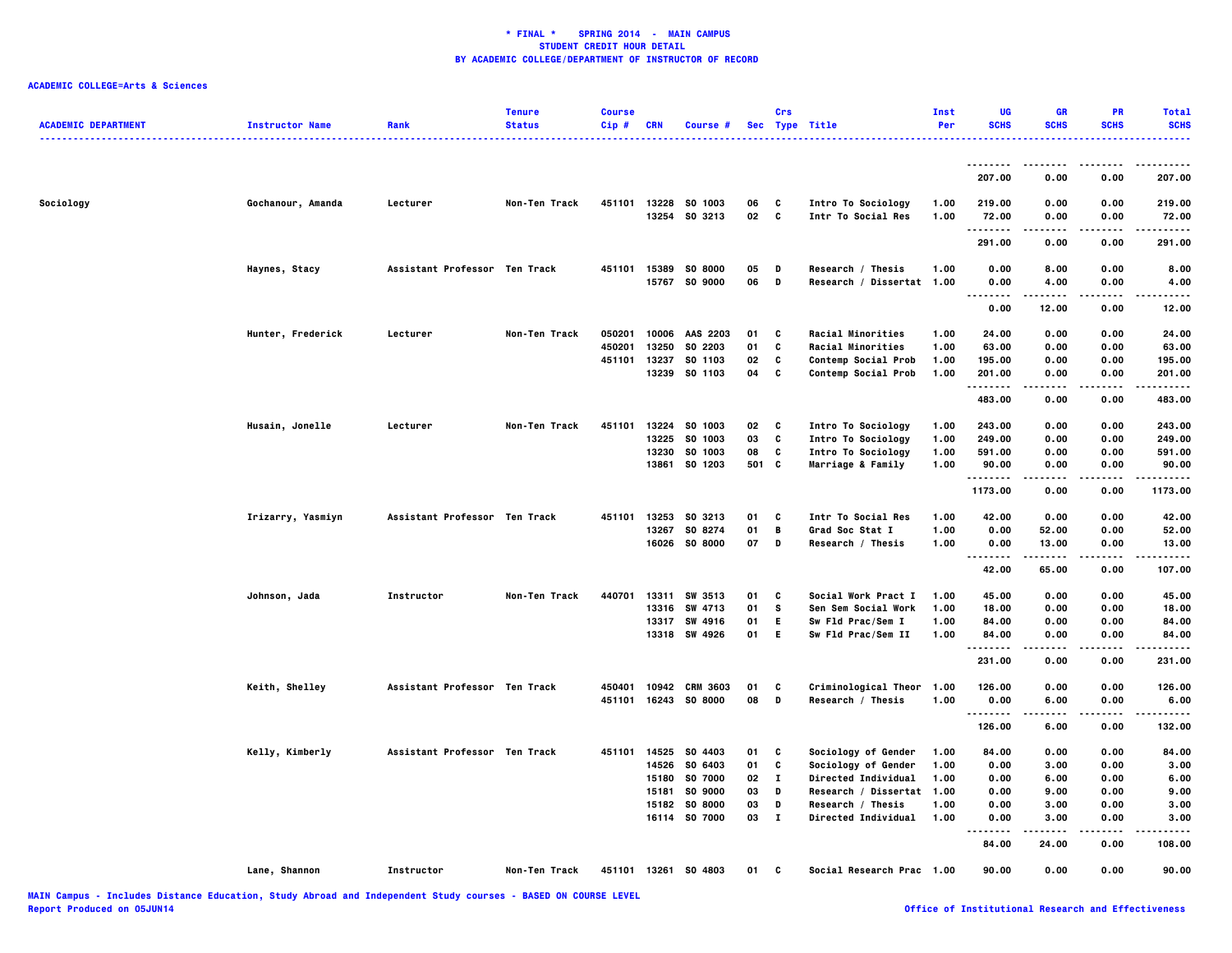| <b>ACADEMIC DEPARTMENT</b> | <b>Instructor Name</b> | Rank                          | Tenure<br><b>Status</b> | <b>Course</b><br>Cip# | <b>CRN</b>     | Course #                        |          | Crs           | Sec Type Title                                  | Inst<br>Per  | UG<br><b>SCHS</b> | <b>GR</b><br><b>SCHS</b> | PR<br><b>SCHS</b> | <b>Total</b><br><b>SCHS</b> |
|----------------------------|------------------------|-------------------------------|-------------------------|-----------------------|----------------|---------------------------------|----------|---------------|-------------------------------------------------|--------------|-------------------|--------------------------|-------------------|-----------------------------|
|                            |                        |                               |                         |                       |                |                                 |          |               |                                                 |              |                   |                          |                   |                             |
|                            |                        |                               |                         |                       |                |                                 |          |               |                                                 |              | 207.00            | 0.00                     | 0.00              | 207.00                      |
| Sociology                  | Gochanour, Amanda      | Lecturer                      | Non-Ten Track           | 451101                |                | 13228 SO 1003<br>13254 SO 3213  | 06<br>02 | C<br>C        | Intro To Sociology<br>Intr To Social Res        | 1.00<br>1.00 | 219.00<br>72.00   | 0.00<br>0.00             | 0.00<br>0.00      | 219.00<br>72.00             |
|                            |                        |                               |                         |                       |                |                                 |          |               |                                                 |              | .                 |                          |                   | .                           |
|                            |                        |                               |                         |                       |                |                                 |          |               |                                                 |              | 291.00            | 0.00                     | 0.00              | 291.00                      |
|                            | Haynes, Stacy          | Assistant Professor Ten Track |                         | 451101                |                | 15389 SO 8000<br>15767 SO 9000  | 05<br>06 | D<br>D        | Research / Thesis<br>Research / Dissertat 1.00  | 1.00         | 0.00<br>0.00      | 8.00<br>4.00             | 0.00<br>0.00      | 8.00<br>4.00                |
|                            |                        |                               |                         |                       |                |                                 |          |               |                                                 |              | .                 |                          |                   |                             |
|                            |                        |                               |                         |                       |                |                                 |          |               |                                                 |              | 0.00              | 12.00                    | 0.00              | 12.00                       |
|                            | Hunter, Frederick      | Lecturer                      | Non-Ten Track           | 050201                | 10006          | AAS 2203                        | 01       | C             | Racial Minorities                               | 1.00         | 24.00             | 0.00                     | 0.00              | 24.00                       |
|                            |                        |                               |                         | 450201                | 13250          | SO 2203                         | 01       | C             | Racial Minorities                               | 1.00         | 63.00             | 0.00                     | 0.00              | 63.00                       |
|                            |                        |                               |                         | 451101                | 13237<br>13239 | SO 1103<br>SO 1103              | 02<br>04 | c<br>c        | Contemp Social Prob                             | 1.00<br>1.00 | 195.00<br>201.00  | 0.00<br>0.00             | 0.00<br>0.00      | 195.00<br>201.00            |
|                            |                        |                               |                         |                       |                |                                 |          |               | Contemp Social Prob                             |              | . <b>.</b> .      |                          |                   |                             |
|                            |                        |                               |                         |                       |                |                                 |          |               |                                                 |              | 483.00            | 0.00                     | 0.00              | 483.00                      |
|                            | Husain, Jonelle        | Lecturer                      | Non-Ten Track           | 451101                | 13224          | SO 1003                         | 02       | C             | Intro To Sociology                              | 1.00         | 243.00            | 0.00                     | 0.00              | 243.00                      |
|                            |                        |                               |                         |                       | 13225          | SO 1003                         | 03       | C             | Intro To Sociology                              | 1.00         | 249.00            | 0.00                     | 0.00              | 249.00                      |
|                            |                        |                               |                         |                       | 13230          | SO 1003                         | 08       | C             | Intro To Sociology                              | 1.00         | 591.00            | 0.00                     | 0.00              | 591.00                      |
|                            |                        |                               |                         |                       | 13861          | SO 1203                         | 501 C    |               | Marriage & Family                               | 1.00         | 90.00<br>.        | 0.00<br>.                | 0.00<br>.         | 90.00<br>.                  |
|                            |                        |                               |                         |                       |                |                                 |          |               |                                                 |              | 1173.00           | 0.00                     | 0.00              | 1173.00                     |
|                            | Irizarry, Yasmiyn      | Assistant Professor Ten Track |                         | 451101                | 13253          | SO 3213                         | 01       | C             | Intr To Social Res                              | 1.00         | 42.00             | 0.00                     | 0.00              | 42.00                       |
|                            |                        |                               |                         |                       | 13267          | SO 8274                         | 01       | В             | Grad Soc Stat I                                 | 1.00         | 0.00              | 52.00                    | 0.00              | 52.00                       |
|                            |                        |                               |                         |                       |                | 16026 SO 8000                   | 07       | D             | Research / Thesis                               | 1.00         | 0.00<br>          | 13.00<br>.               | 0.00<br>.         | 13.00<br>.                  |
|                            |                        |                               |                         |                       |                |                                 |          |               |                                                 |              | 42.00             | 65.00                    | 0.00              | 107.00                      |
|                            | Johnson, Jada          | <b>Instructor</b>             | <b>Non-Ten Track</b>    | 440701                |                | 13311 SW 3513                   | 01       | C             | Social Work Pract I                             | 1.00         | 45.00             | 0.00                     | 0.00              | 45.00                       |
|                            |                        |                               |                         |                       | 13316          | SW 4713                         | 01       | s             | Sen Sem Social Work                             | 1.00         | 18.00             | 0.00                     | 0.00              | 18.00                       |
|                            |                        |                               |                         |                       | 13317          | SW 4916                         | 01       | E.            | Sw Fld Prac/Sem I                               | 1.00         | 84.00             | 0.00                     | 0.00              | 84.00                       |
|                            |                        |                               |                         |                       |                | 13318 SW 4926                   | 01       | E.            | Sw Fld Prac/Sem II                              | 1.00         | 84.00<br>.        | 0.00                     | 0.00              | 84.00                       |
|                            |                        |                               |                         |                       |                |                                 |          |               |                                                 |              | 231.00            | 0.00                     | 0.00              | 231.00                      |
|                            | Keith, Shelley         | Assistant Professor Ten Track |                         | 450401                |                | 10942 CRM 3603                  | 01       | C             | Criminological Theor                            | 1.00         | 126.00            | 0.00                     | 0.00              | 126.00                      |
|                            |                        |                               |                         | 451101                |                | 16243 SO 8000                   | 08       | D             | Research / Thesis                               | 1.00         | 0.00<br>.         | 6.00                     | 0.00              | 6.00                        |
|                            |                        |                               |                         |                       |                |                                 |          |               |                                                 |              | 126.00            | 6.00                     | 0.00              | 132.00                      |
|                            | Kelly, Kimberly        | Assistant Professor Ten Track |                         | 451101                | 14525          | SO 4403                         | 01       | C             | Sociology of Gender                             | 1.00         | 84.00             | 0.00                     | 0.00              | 84.00                       |
|                            |                        |                               |                         |                       | 14526          | SO 6403                         | 01       | C             | Sociology of Gender                             | 1.00         | 0.00              | 3.00                     | 0.00              | 3.00                        |
|                            |                        |                               |                         |                       | 15180          | SO 7000                         | 02       | л.            | <b>Directed Individual</b>                      | 1.00         | 0.00              | 6.00                     | 0.00              | 6.00                        |
|                            |                        |                               |                         |                       | 15181          | SO 9000                         | 03       | D             | Research / Dissertat                            | 1.00         | 0.00              | 9.00                     | 0.00              | 9.00                        |
|                            |                        |                               |                         |                       | 15182          | <b>SO 8000</b><br>16114 SO 7000 | 03<br>03 | D<br>$\bf{I}$ | Research / Thesis<br><b>Directed Individual</b> | 1.00<br>1.00 | 0.00<br>0.00      | 3.00<br>3.00             | 0.00<br>0.00      | 3.00<br>3.00                |
|                            |                        |                               |                         |                       |                |                                 |          |               |                                                 |              | $- - -$           | .                        | .                 | .                           |
|                            |                        |                               |                         |                       |                |                                 |          |               |                                                 |              | 84.00             | 24.00                    | 0.00              | 108.00                      |
|                            | Lane, Shannon          | Instructor                    | Non-Ten Track           |                       |                | 451101 13261 S0 4803            | 01       | C             | Social Research Prac 1.00                       |              | 90.00             | 0.00                     | 0.00              | 90.00                       |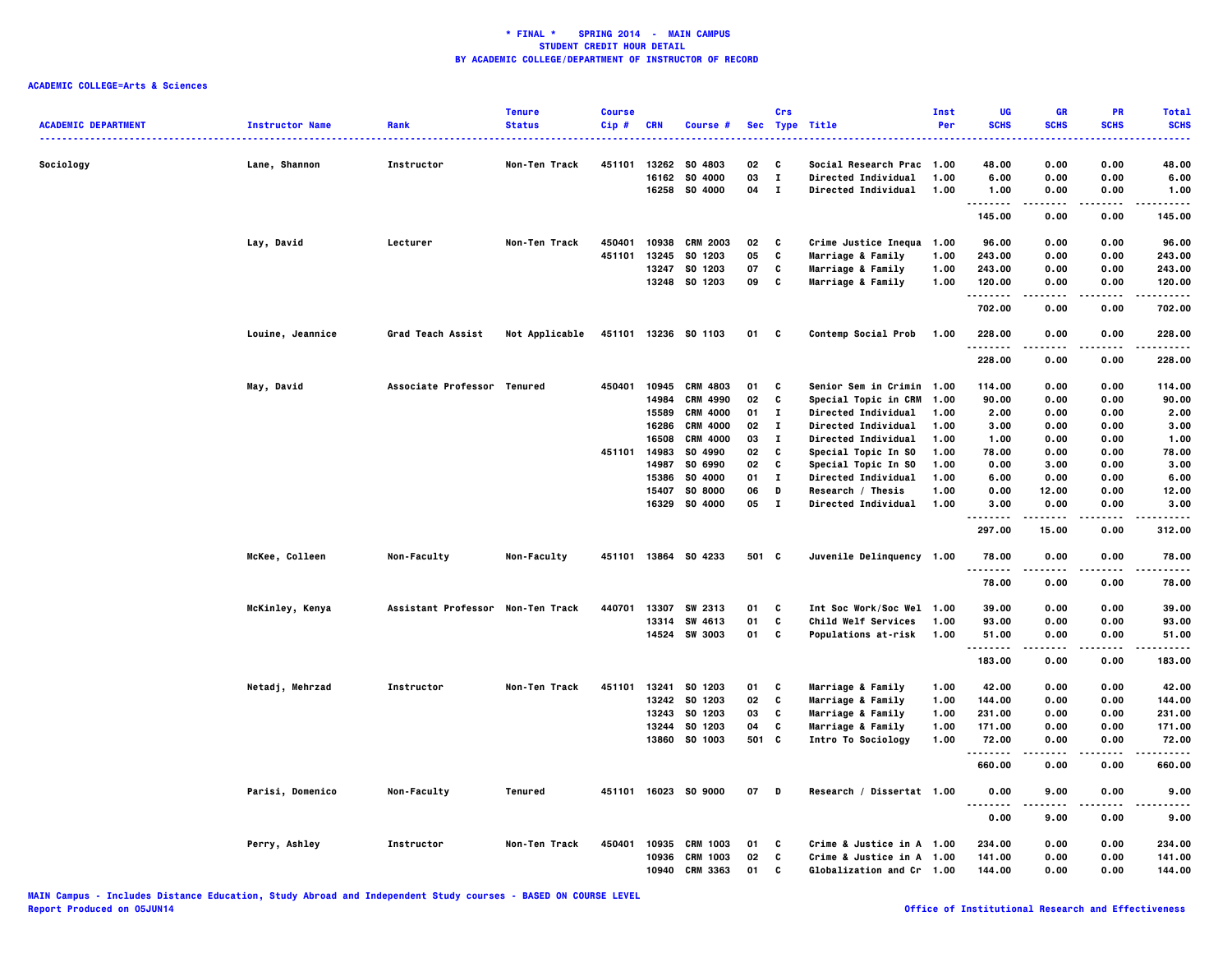|                            |                        |                                   | <b>Tenure</b>  | <b>Course</b> |            |                      |       | Crs          |                            | Inst | UG           | GR          | PR                | <b>Total</b>     |
|----------------------------|------------------------|-----------------------------------|----------------|---------------|------------|----------------------|-------|--------------|----------------------------|------|--------------|-------------|-------------------|------------------|
| <b>ACADEMIC DEPARTMENT</b> | <b>Instructor Name</b> | Rank                              | <b>Status</b>  | $Cip$ #       | <b>CRN</b> | Course #             |       |              | Sec Type Title             | Per  | <b>SCHS</b>  | <b>SCHS</b> | <b>SCHS</b>       | <b>SCHS</b>      |
|                            |                        |                                   |                |               |            |                      |       |              |                            |      |              |             |                   |                  |
| Sociology                  | Lane, Shannon          | <b>Instructor</b>                 | Non-Ten Track  | 451101        |            | 13262 SO 4803        | 02    | C            | Social Research Prac 1.00  |      | 48.00        | 0.00        | 0.00              | 48.00            |
|                            |                        |                                   |                |               | 16162      | SO 4000              | 03    | $\mathbf I$  | Directed Individual        | 1.00 | 6.00         | 0.00        | 0.00              | 6.00             |
|                            |                        |                                   |                |               |            | 16258 SO 4000        | 04    | $\mathbf{I}$ | <b>Directed Individual</b> | 1.00 | 1.00<br>.    | 0.00        | 0.00              | 1.00             |
|                            |                        |                                   |                |               |            |                      |       |              |                            |      | 145.00       | 0.00        | 0.00              | 145.00           |
|                            | Lay, David             | Lecturer                          | Non-Ten Track  | 450401        | 10938      | <b>CRM 2003</b>      | 02    | C            | Crime Justice Inequa 1.00  |      | 96.00        | 0.00        | 0.00              | 96.00            |
|                            |                        |                                   |                | 451101        | 13245      | SO 1203              | 05    | C            | Marriage & Family          | 1.00 | 243.00       | 0.00        | 0.00              | 243.00           |
|                            |                        |                                   |                |               | 13247      | SO 1203              | 07    | C            | Marriage & Family          | 1.00 | 243.00       | 0.00        | 0.00              | 243.00           |
|                            |                        |                                   |                |               |            | 13248 SO 1203        | 09    | C            | Marriage & Family          | 1.00 | 120.00<br>.  | 0.00<br>.   | 0.00<br>.         | 120.00<br>.      |
|                            |                        |                                   |                |               |            |                      |       |              |                            |      | 702.00       | 0.00        | 0.00              | 702.00           |
|                            | Louine, Jeannice       | Grad Teach Assist                 | Not Applicable |               |            | 451101 13236 S0 1103 | 01 C  |              | Contemp Social Prob        | 1.00 | 228.00<br>.  | 0.00        | 0.00              | 228.00<br>.      |
|                            |                        |                                   |                |               |            |                      |       |              |                            |      | 228.00       | 0.00        | 0.00              | 228.00           |
|                            | May, David             | Associate Professor Tenured       |                | 450401        |            | 10945 CRM 4803       | 01    | C            | Senior Sem in Crimin 1.00  |      | 114.00       | 0.00        | 0.00              | 114.00           |
|                            |                        |                                   |                |               | 14984      | <b>CRM 4990</b>      | 02    | C            | Special Topic in CRM       | 1.00 | 90.00        | 0.00        | 0.00              | 90.00            |
|                            |                        |                                   |                |               | 15589      | <b>CRM 4000</b>      | 01    | $\mathbf{I}$ | Directed Individual        | 1.00 | 2.00         | 0.00        | 0.00              | 2.00             |
|                            |                        |                                   |                |               | 16286      | <b>CRM 4000</b>      | 02    | $\mathbf{I}$ | Directed Individual        | 1.00 | 3.00         | 0.00        | 0.00              | 3.00             |
|                            |                        |                                   |                |               | 16508      | <b>CRM 4000</b>      | 03    | $\bf{I}$     | Directed Individual        | 1.00 | 1.00         | 0.00        | 0.00              | 1.00             |
|                            |                        |                                   |                | 451101        | 14983      | SO 4990              | 02    | C            | Special Topic In SO        | 1.00 | 78.00        | 0.00        | 0.00              | 78.00            |
|                            |                        |                                   |                |               | 14987      | SO 6990              | 02    | C            | Special Topic In SO        | 1.00 | 0.00         | 3.00        | 0.00              | 3.00             |
|                            |                        |                                   |                |               | 15386      | SO 4000              | 01    | $\mathbf I$  | Directed Individual        | 1.00 | 6.00         | 0.00        | 0.00              | 6.00             |
|                            |                        |                                   |                |               | 15407      | <b>SO 8000</b>       | 06    | D            | Research / Thesis          | 1.00 | 0.00         | 12.00       | 0.00              | 12.00            |
|                            |                        |                                   |                |               | 16329      | SO 4000              | 05    | $\mathbf{I}$ | <b>Directed Individual</b> | 1.00 | 3.00<br>.    | 0.00        | 0.00<br>$- - - -$ | 3.00<br>.        |
|                            |                        |                                   |                |               |            |                      |       |              |                            |      | 297.00       | 15.00       | 0.00              | 312.00           |
|                            | McKee, Colleen         | Non-Faculty                       | Non-Faculty    | 451101        |            | 13864 SO 4233        | 501 C |              | Juvenile Delinquency 1.00  |      | 78.00        | 0.00        | 0.00              | 78.00            |
|                            |                        |                                   |                |               |            |                      |       |              |                            |      | 78.00        | 0.00        | 0.00              | 78.00            |
|                            | McKinley, Kenya        | Assistant Professor Non-Ten Track |                | 440701        | 13307      | SW 2313              | 01    | C            | Int Soc Work/Soc Wel 1.00  |      | 39.00        | 0.00        | 0.00              | 39.00            |
|                            |                        |                                   |                |               |            | 13314 SW 4613        | 01    | C            | Child Welf Services        | 1.00 | 93.00        | 0.00        | 0.00              | 93.00            |
|                            |                        |                                   |                |               |            | 14524 SW 3003        | 01    | C            | <b>Populations at-risk</b> | 1.00 | 51.00        | 0.00        | 0.00              | 51.00            |
|                            |                        |                                   |                |               |            |                      |       |              |                            |      | .<br>183.00  | 0.00        | .<br>0.00         | .<br>183.00      |
|                            | Netadj, Mehrzad        | Instructor                        | Non-Ten Track  | 451101        | 13241      | SO 1203              | 01    | C            | Marriage & Family          | 1.00 | 42.00        | 0.00        | 0.00              | 42.00            |
|                            |                        |                                   |                |               | 13242      | SO 1203              | 02    | C            | Marriage & Family          | 1.00 | 144.00       | 0.00        | 0.00              | 144.00           |
|                            |                        |                                   |                |               |            | 13243 SO 1203        | 03    | C            | Marriage & Family          | 1.00 | 231.00       | 0.00        | 0.00              | 231.00           |
|                            |                        |                                   |                |               |            | 13244 SO 1203        | 04    | C            | Marriage & Family          | 1.00 | 171.00       | 0.00        | 0.00              | 171.00           |
|                            |                        |                                   |                |               | 13860      | SO 1003              | 501   | <b>C</b>     | Intro To Sociology         | 1.00 | 72.00        | 0.00        | 0.00              | 72.00            |
|                            |                        |                                   |                |               |            |                      |       |              |                            |      | .            | .           | $- - - -$         | -----            |
|                            |                        |                                   |                |               |            |                      |       |              |                            |      | 660.00       | 0.00        | 0.00              | 660.00           |
|                            | Parisi, Domenico       | Non-Faculty                       | Tenured        |               |            | 451101 16023 S0 9000 | 07 D  |              | Research / Dissertat 1.00  |      | 0.00<br>---- | 9.00        | 0.00<br>$- - - -$ | 9.00<br>$\cdots$ |
|                            |                        |                                   |                |               |            |                      |       |              |                            |      | 0.00         | 9.00        | 0.00              | 9.00             |
|                            | Perry, Ashley          | Instructor                        | Non-Ten Track  | 450401        | 10935      | <b>CRM 1003</b>      | 01    | C            | Crime & Justice in A 1.00  |      | 234.00       | 0.00        | 0.00              | 234.00           |
|                            |                        |                                   |                |               | 10936      | <b>CRM 1003</b>      | 02    | C            | Crime & Justice in A 1.00  |      | 141.00       | 0.00        | 0.00              | 141.00           |
|                            |                        |                                   |                |               | 10940      | <b>CRM 3363</b>      | 01    | C            | Globalization and Cr 1.00  |      | 144.00       | 0.00        | 0.00              | 144.00           |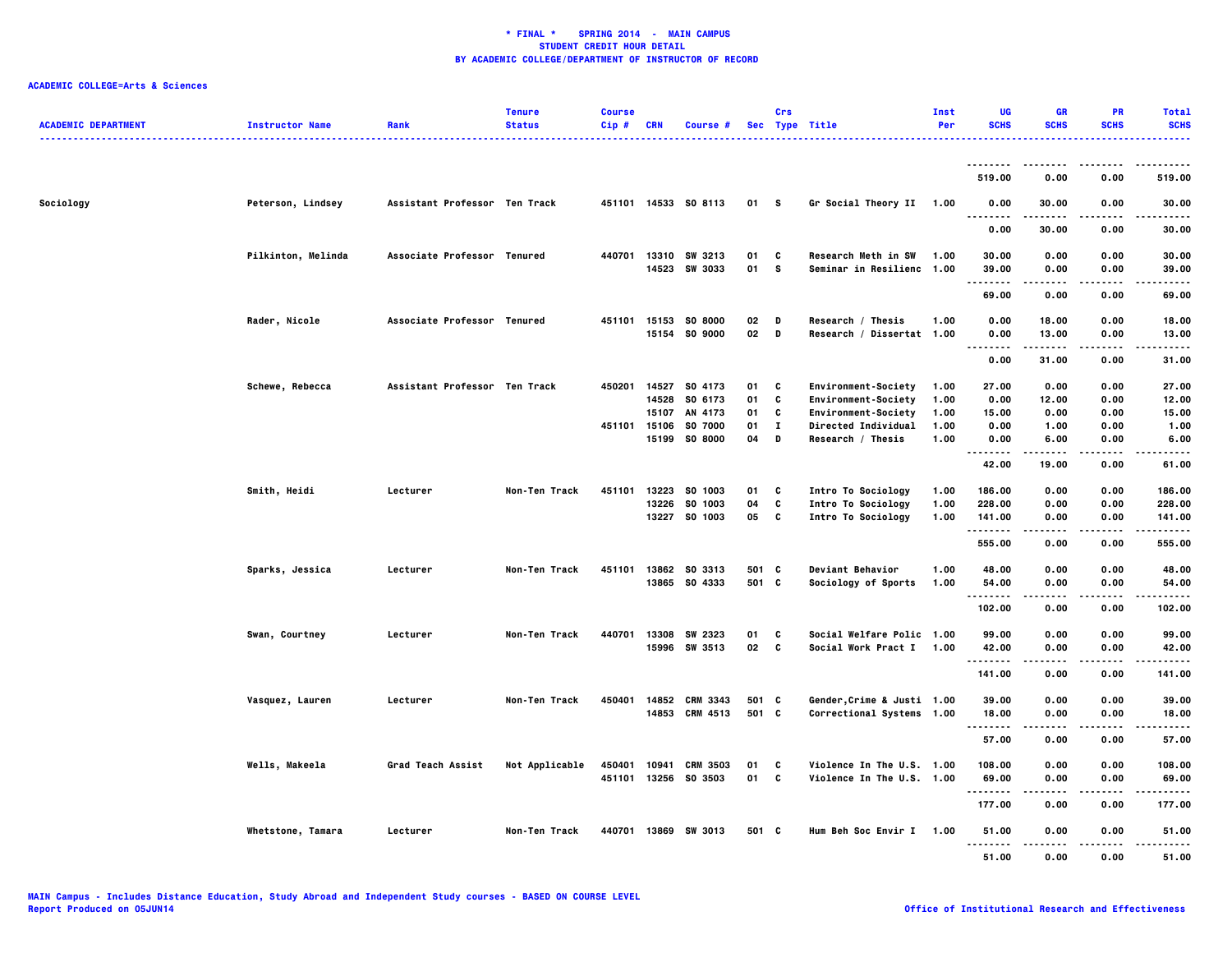| <b>ACADEMIC DEPARTMENT</b> | <b>Instructor Name</b> | Rank                          | <b>Tenure</b><br><b>Status</b> | <b>Course</b><br>$Cip$ # | <b>CRN</b> | Course #             |          | Crs               | Sec Type Title             | Inst<br>Per  | UG<br><b>SCHS</b>                     | <b>GR</b><br><b>SCHS</b> | <b>PR</b><br><b>SCHS</b> | <b>Total</b><br><b>SCHS</b><br>$\frac{1}{2} \left( \frac{1}{2} \right) \left( \frac{1}{2} \right) \left( \frac{1}{2} \right) \left( \frac{1}{2} \right)$ |
|----------------------------|------------------------|-------------------------------|--------------------------------|--------------------------|------------|----------------------|----------|-------------------|----------------------------|--------------|---------------------------------------|--------------------------|--------------------------|----------------------------------------------------------------------------------------------------------------------------------------------------------|
|                            |                        |                               |                                |                          |            |                      |          |                   |                            |              | --------                              | . <b>.</b>               | $- - - -$                | .                                                                                                                                                        |
|                            |                        |                               |                                |                          |            |                      |          |                   |                            |              | 519.00                                | 0.00                     | 0.00                     | 519.00                                                                                                                                                   |
| Sociology                  | Peterson, Lindsey      | Assistant Professor Ten Track |                                |                          |            | 451101 14533 S0 8113 | 01 S     |                   | Gr Social Theory II 1.00   |              | 0.00<br>$\ddotsc$<br>.                | 30.00                    | 0.00                     | 30.00                                                                                                                                                    |
|                            |                        |                               |                                |                          |            |                      |          |                   |                            |              | 0.00                                  | 30.00                    | 0.00                     | 30.00                                                                                                                                                    |
|                            | Pilkinton, Melinda     | Associate Professor Tenured   |                                | 440701                   |            | 13310 SW 3213        | 01       | C                 | Research Meth in SW        | 1.00         | 30.00                                 | 0.00                     | 0.00                     | 30.00                                                                                                                                                    |
|                            |                        |                               |                                |                          |            | 14523 SW 3033        | 01       | s.                | Seminar in Resilienc 1.00  |              | 39.00<br>--------                     | 0.00<br>.                | 0.00<br>----             | 39.00<br>-----                                                                                                                                           |
|                            |                        |                               |                                |                          |            |                      |          |                   |                            |              | 69.00                                 | 0.00                     | 0.00                     | 69.00                                                                                                                                                    |
|                            | Rader, Nicole          | Associate Professor Tenured   |                                |                          |            | 451101 15153 SO 8000 | 02       | D                 | Research / Thesis          | 1.00         | 0.00                                  | 18.00                    | 0.00                     | 18.00                                                                                                                                                    |
|                            |                        |                               |                                |                          |            | 15154 SO 9000        | 02 D     |                   | Research / Dissertat 1.00  |              | 0.00<br>$\sim$ $\sim$ $\sim$<br>----- | 13.00<br>.               | 0.00<br>.                | 13.00<br>.                                                                                                                                               |
|                            |                        |                               |                                |                          |            |                      |          |                   |                            |              | 0.00                                  | 31.00                    | 0.00                     | 31.00                                                                                                                                                    |
|                            | Schewe, Rebecca        | Assistant Professor Ten Track |                                | 450201                   |            | 14527 SO 4173        | 01       | C                 | Environment-Society        | 1.00         | 27.00                                 | 0.00                     | 0.00                     | 27.00                                                                                                                                                    |
|                            |                        |                               |                                |                          | 14528      | SO 6173              | 01       | C                 | Environment-Society        | 1.00         | 0.00                                  | 12.00                    | 0.00                     | 12.00                                                                                                                                                    |
|                            |                        |                               |                                |                          | 15107      | AN 4173              | 01       | C                 | <b>Environment-Society</b> | 1.00         | 15.00                                 | 0.00                     | 0.00                     | 15.00                                                                                                                                                    |
|                            |                        |                               |                                | 451101 15106             |            | SO 7000              | 01<br>04 | $\mathbf{I}$<br>D | <b>Directed Individual</b> | 1.00<br>1.00 | 0.00                                  | 1.00                     | 0.00                     | 1.00                                                                                                                                                     |
|                            |                        |                               |                                |                          |            | 15199 SO 8000        |          |                   | Research / Thesis          |              | 0.00<br>                              | 6.00                     | 0.00                     | 6.00                                                                                                                                                     |
|                            |                        |                               |                                |                          |            |                      |          |                   |                            |              | 42.00                                 | 19.00                    | 0.00                     | 61.00                                                                                                                                                    |
|                            | Smith, Heidi           | Lecturer                      | Non-Ten Track                  | 451101                   |            | 13223 SO 1003        | 01       | C                 | Intro To Sociology         | 1.00         | 186.00                                | 0.00                     | 0.00                     | 186.00                                                                                                                                                   |
|                            |                        |                               |                                |                          | 13226      | SO 1003              | 04       | C                 | <b>Intro To Sociology</b>  | 1.00         | 228.00                                | 0.00                     | 0.00                     | 228.00                                                                                                                                                   |
|                            |                        |                               |                                |                          |            | 13227 SO 1003        | 05       | C                 | Intro To Sociology         | 1.00         | 141.00                                | 0.00                     | 0.00                     | 141.00                                                                                                                                                   |
|                            |                        |                               |                                |                          |            |                      |          |                   |                            |              | .<br>555.00                           | .<br>0.00                | .<br>0.00                | ------<br>555.00                                                                                                                                         |
|                            | Sparks, Jessica        | Lecturer                      | Non-Ten Track                  | 451101                   |            | 13862 SO 3313        | 501 C    |                   | <b>Deviant Behavior</b>    | 1.00         | 48.00                                 | 0.00                     | 0.00                     | 48.00                                                                                                                                                    |
|                            |                        |                               |                                |                          |            | 13865 SO 4333        | 501 C    |                   | Sociology of Sports        | 1.00         | 54.00                                 | 0.00                     | 0.00                     | 54.00                                                                                                                                                    |
|                            |                        |                               |                                |                          |            |                      |          |                   |                            |              | . <b>.</b> .                          |                          |                          | .                                                                                                                                                        |
|                            |                        |                               |                                |                          |            |                      |          |                   |                            |              | 102.00                                | 0.00                     | 0.00                     | 102.00                                                                                                                                                   |
|                            | Swan, Courtney         | Lecturer                      | Non-Ten Track                  | 440701                   | 13308      | SW 2323              | 01       | C                 | Social Welfare Polic 1.00  |              | 99.00                                 | 0.00                     | 0.00                     | 99.00                                                                                                                                                    |
|                            |                        |                               |                                |                          |            | 15996 SW 3513        | 02 C     |                   | Social Work Pract I        | 1.00         | 42.00                                 | 0.00                     | 0.00                     | 42.00                                                                                                                                                    |
|                            |                        |                               |                                |                          |            |                      |          |                   |                            |              |                                       |                          | .                        | .                                                                                                                                                        |
|                            |                        |                               |                                |                          |            |                      |          |                   |                            |              | 141.00                                | 0.00                     | 0.00                     | 141.00                                                                                                                                                   |
|                            | Vasquez, Lauren        | Lecturer                      | Non-Ten Track                  | 450401                   |            | 14852 CRM 3343       | 501 C    |                   | Gender, Crime & Justi 1.00 |              | 39.00                                 | 0.00                     | 0.00                     | 39.00                                                                                                                                                    |
|                            |                        |                               |                                |                          |            | 14853 CRM 4513       | 501 C    |                   | Correctional Systems 1.00  |              | 18.00                                 | 0.00                     | 0.00                     | 18.00                                                                                                                                                    |
|                            |                        |                               |                                |                          |            |                      |          |                   |                            |              | .<br>57.00                            | 0.00                     | 0.00                     | 57.00                                                                                                                                                    |
|                            |                        |                               |                                |                          |            |                      |          |                   |                            |              |                                       |                          |                          |                                                                                                                                                          |
|                            | Wells, Makeela         | Grad Teach Assist             | Not Applicable                 | 450401                   | 10941      | <b>CRM 3503</b>      | 01       | C                 | Violence In The U.S. 1.00  |              | 108.00                                | 0.00                     | 0.00                     | 108.00                                                                                                                                                   |
|                            |                        |                               |                                |                          |            | 451101 13256 S0 3503 | 01       | C                 | Violence In The U.S. 1.00  |              | 69.00<br>.                            | 0.00                     | 0.00<br>----             | 69.00<br>.                                                                                                                                               |
|                            |                        |                               |                                |                          |            |                      |          |                   |                            |              | 177.00                                | 0.00                     | 0.00                     | 177.00                                                                                                                                                   |
|                            | Whetstone, Tamara      | Lecturer                      | Non-Ten Track                  |                          |            | 440701 13869 SW 3013 | 501 C    |                   | Hum Beh Soc Envir I 1.00   |              | 51.00<br><br>                         | 0.00                     | 0.00                     | 51.00                                                                                                                                                    |
|                            |                        |                               |                                |                          |            |                      |          |                   |                            |              | 51.00                                 | 0.00                     | 0.00                     | 51.00                                                                                                                                                    |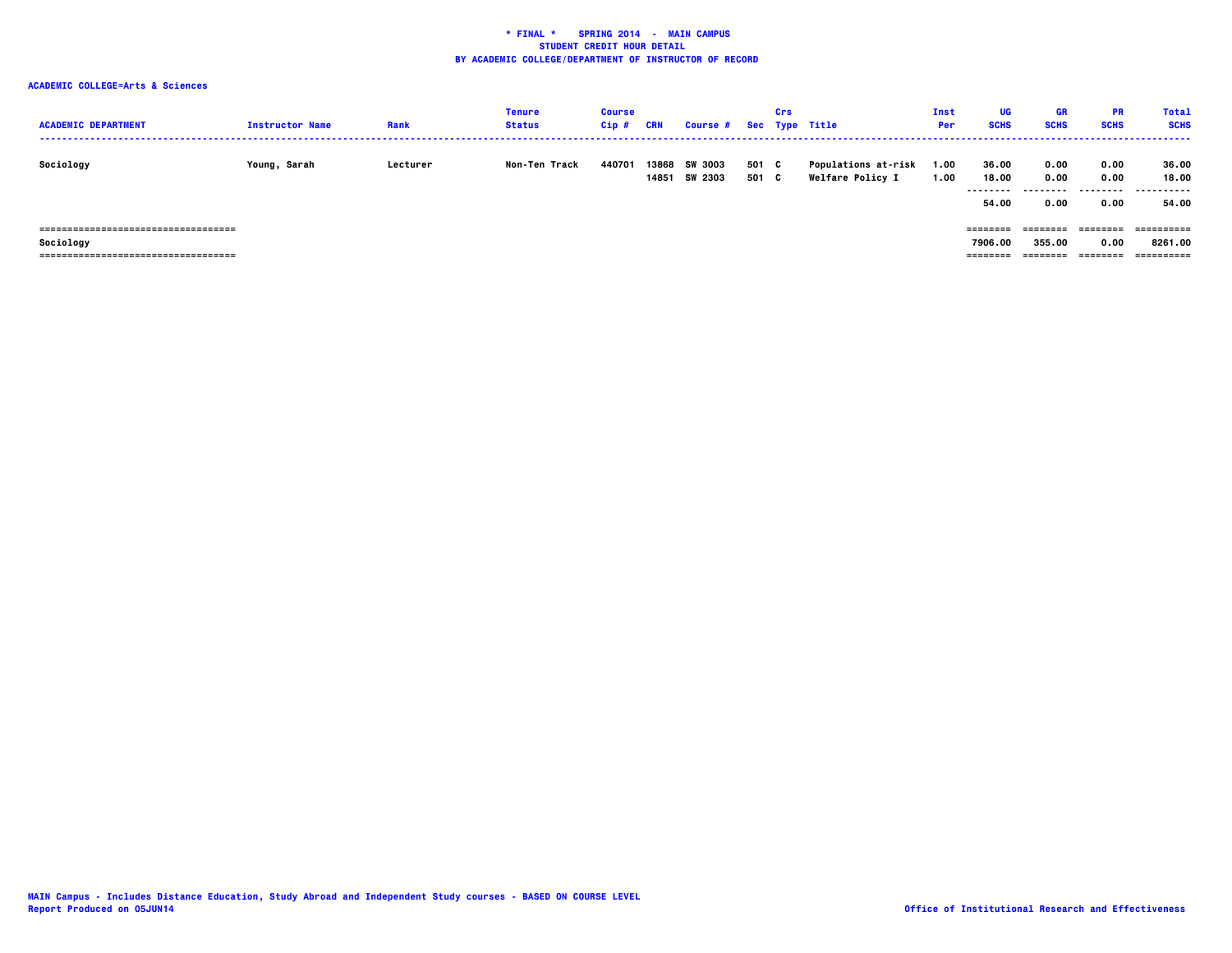| <b>ACADEMIC DEPARTMENT</b>            | <b>Instructor Name</b> | Rank     | Tenure<br><b>Status</b> | <b>Course</b><br>Cip# | CRN            | Course # Sec Type Title   |                | Crs |                                                       | Inst<br>Per  | UG<br><b>SCHS</b>                    | GR<br><b>SCHS</b>                 | <b>PR</b><br><b>SCHS</b>  | <b>Total</b><br><b>SCHS</b>  |
|---------------------------------------|------------------------|----------|-------------------------|-----------------------|----------------|---------------------------|----------------|-----|-------------------------------------------------------|--------------|--------------------------------------|-----------------------------------|---------------------------|------------------------------|
| Sociology                             | Young, Sarah           | Lecturer | Non-Ten Track           | 440701                | 13868<br>14851 | <b>SW 3003</b><br>SW 2303 | 501 C<br>501 C |     | <b>Populations at-risk</b><br><b>Welfare Policy I</b> | 1.00<br>1.00 | 36.00<br>18.00<br>---------<br>54.00 | 0.00<br>0.00<br>---------<br>0.00 | 0.00<br>0.00<br>.<br>0.00 | 36.00<br>18.00<br>.<br>54.00 |
| ===================================== |                        |          |                         |                       |                |                           |                |     |                                                       |              |                                      | ========                          | ========                  | ==========                   |
| Sociology                             |                        |          |                         |                       |                |                           |                |     |                                                       |              | 7906.00                              | 355.00                            | 0.00                      | 8261.00                      |
| ===================================== |                        |          |                         |                       |                |                           |                |     |                                                       |              |                                      | ========                          | ========                  | ==========                   |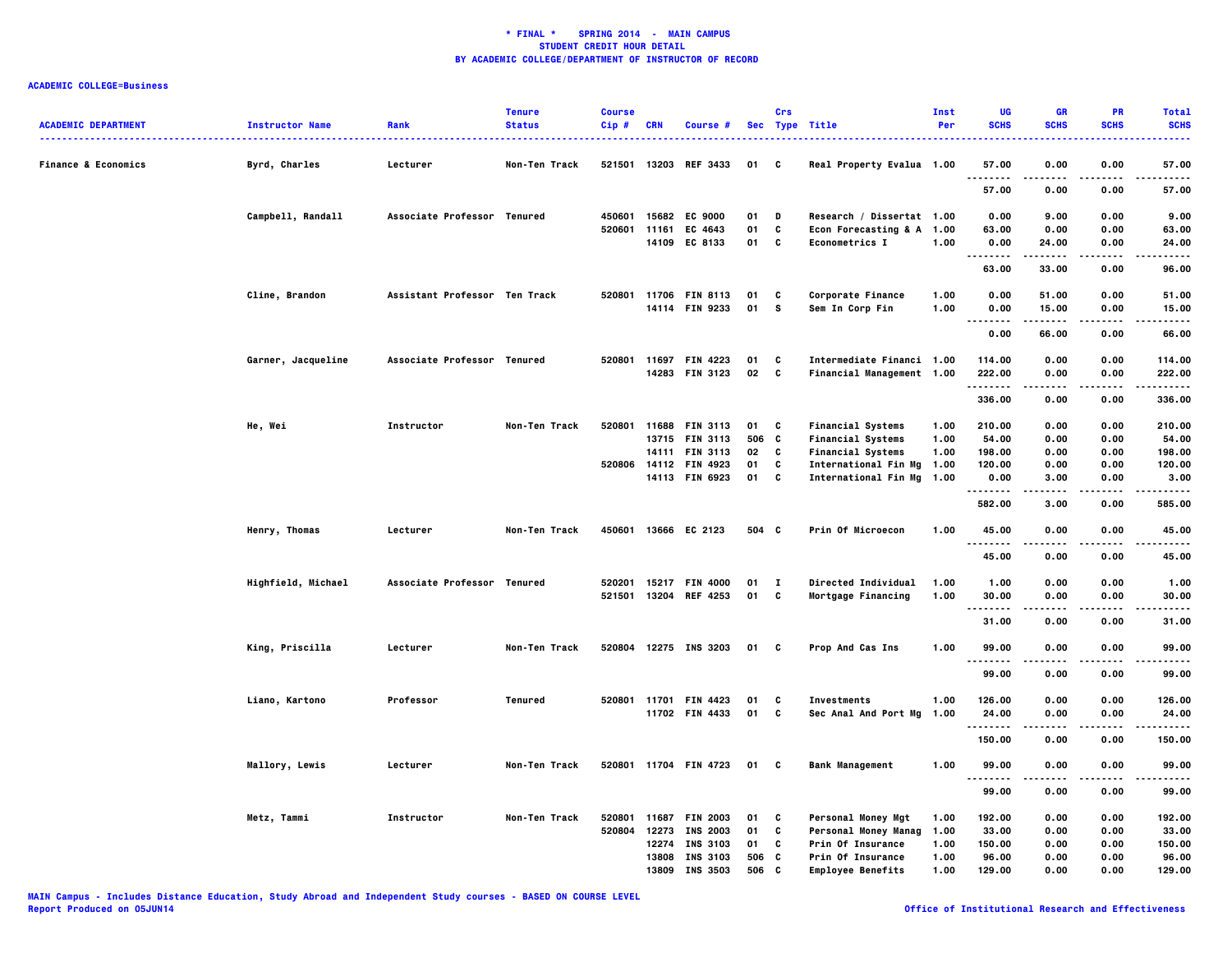| <b>ACADEMIC DEPARTMENT</b>     | <b>Instructor Name</b> | Rank                          | <b>Tenure</b><br><b>Status</b> | <b>Course</b><br>$Cip$ # | <b>CRN</b> | Course #                          |          | Crs          | Sec Type Title                                   | Inst<br>Per  | UG<br><b>SCHS</b>                 | <b>GR</b><br><b>SCHS</b> | PR<br><b>SCHS</b> | <b>Total</b><br><b>SCHS</b><br>$\frac{1}{2} \left( \frac{1}{2} \right) \left( \frac{1}{2} \right) \left( \frac{1}{2} \right) \left( \frac{1}{2} \right)$ |
|--------------------------------|------------------------|-------------------------------|--------------------------------|--------------------------|------------|-----------------------------------|----------|--------------|--------------------------------------------------|--------------|-----------------------------------|--------------------------|-------------------|----------------------------------------------------------------------------------------------------------------------------------------------------------|
| <b>Finance &amp; Economics</b> | Byrd, Charles          | Lecturer                      | Non-Ten Track                  |                          |            | 521501 13203 REF 3433             | 01       | C            | Real Property Evalua 1.00                        |              | 57.00                             | 0.00                     | 0.00              | 57.00                                                                                                                                                    |
|                                |                        |                               |                                |                          |            |                                   |          |              |                                                  |              | 57.00                             | 0.00                     | 0.00              | 57.00                                                                                                                                                    |
|                                | Campbell, Randall      | Associate Professor Tenured   |                                | 450601                   |            | 15682 EC 9000                     | 01       | D            | Research / Dissertat 1.00                        |              | 0.00                              | 9.00                     | 0.00              | 9.00                                                                                                                                                     |
|                                |                        |                               |                                | 520601                   | 11161      | EC 4643                           | 01       | C            | Econ Forecasting & A 1.00                        |              | 63.00                             | 0.00                     | 0.00              | 63.00                                                                                                                                                    |
|                                |                        |                               |                                |                          |            | 14109 EC 8133                     | 01       | C            | <b>Econometrics I</b>                            | 1.00         | 0.00<br>.                         | 24.00<br>.               | 0.00<br>.         | 24.00<br>.                                                                                                                                               |
|                                |                        |                               |                                |                          |            |                                   |          |              |                                                  |              | 63.00                             | 33.00                    | 0.00              | 96.00                                                                                                                                                    |
|                                | Cline, Brandon         | Assistant Professor Ten Track |                                | 520801                   |            | 11706 FIN 8113                    | 01       | C            | Corporate Finance                                | 1.00         | 0.00                              | 51.00                    | 0.00              | 51.00                                                                                                                                                    |
|                                |                        |                               |                                |                          |            | 14114 FIN 9233                    | 01       | s.           | Sem In Corp Fin                                  | 1.00         | 0.00<br>.<br>$\sim$ $\sim$ $\sim$ | 15.00                    | 0.00<br>$- - - -$ | 15.00<br>$- - - - -$                                                                                                                                     |
|                                |                        |                               |                                |                          |            |                                   |          |              |                                                  |              | 0.00                              | 66.00                    | 0.00              | 66.00                                                                                                                                                    |
|                                | Garner, Jacqueline     | Associate Professor Tenured   |                                | 520801                   | 11697      | <b>FIN 4223</b>                   | 01       | C            | Intermediate Financi 1.00                        |              | 114.00                            | 0.00                     | 0.00              | 114.00                                                                                                                                                   |
|                                |                        |                               |                                |                          |            | 14283 FIN 3123                    | 02       | C            | Financial Management 1.00                        |              | 222.00<br>.                       | 0.00                     | 0.00              | 222.00<br>$- - - - -$                                                                                                                                    |
|                                |                        |                               |                                |                          |            |                                   |          |              |                                                  |              | 336.00                            | 0.00                     | 0.00              | 336.00                                                                                                                                                   |
|                                | He, Wei                | Instructor                    | Non-Ten Track                  | 520801                   |            | 11688 FIN 3113                    | 01       | C            | <b>Financial Systems</b>                         | 1.00         | 210.00                            | 0.00                     | 0.00              | 210.00                                                                                                                                                   |
|                                |                        |                               |                                |                          |            | 13715 FIN 3113                    | 506      | C            | <b>Financial Systems</b>                         | 1.00         | 54.00                             | 0.00                     | 0.00              | 54.00                                                                                                                                                    |
|                                |                        |                               |                                |                          |            | 14111 FIN 3113                    | 02       | C            | <b>Financial Systems</b>                         | 1.00         | 198.00                            | 0.00                     | 0.00              | 198.00                                                                                                                                                   |
|                                |                        |                               |                                |                          |            | 520806 14112 FIN 4923             | 01       | C            | International Fin Mg                             | 1.00         | 120.00                            | 0.00                     | 0.00              | 120.00                                                                                                                                                   |
|                                |                        |                               |                                |                          |            | 14113 FIN 6923                    | 01       | C            | International Fin Mg                             | 1.00         | 0.00<br>.                         | 3.00                     | 0.00              | 3.00<br>.                                                                                                                                                |
|                                |                        |                               |                                |                          |            |                                   |          |              |                                                  |              | 582.00                            | 3.00                     | 0.00              | 585.00                                                                                                                                                   |
|                                | Henry, Thomas          | Lecturer                      | Non-Ten Track                  | 450601                   |            | 13666 EC 2123                     | 504 C    |              | Prin Of Microecon                                | 1.00         | 45.00                             | 0.00                     | 0.00              | 45.00                                                                                                                                                    |
|                                |                        |                               |                                |                          |            |                                   |          |              |                                                  |              | --------<br>45.00                 | 0.00                     | 0.00              | .<br>45.00                                                                                                                                               |
|                                | Highfield, Michael     | Associate Professor Tenured   |                                | 520201                   |            | 15217 FIN 4000                    | 01       | $\mathbf{I}$ | Directed Individual                              | 1.00         | 1.00                              | 0.00                     | 0.00              | 1.00                                                                                                                                                     |
|                                |                        |                               |                                | 521501                   |            | 13204 REF 4253                    | 01       | C            | Mortgage Financing                               | 1.00         | 30.00                             | 0.00                     | 0.00              | 30.00                                                                                                                                                    |
|                                |                        |                               |                                |                          |            |                                   |          |              |                                                  |              | . <b>.</b>                        |                          | ----              | .                                                                                                                                                        |
|                                |                        |                               |                                |                          |            |                                   |          |              |                                                  |              | 31.00                             | 0.00                     | 0.00              | 31.00                                                                                                                                                    |
|                                | King, Priscilla        | Lecturer                      | Non-Ten Track                  |                          |            | 520804 12275 INS 3203             | 01 C     |              | Prop And Cas Ins                                 | 1.00         | 99.00<br>.                        | 0.00                     | 0.00              | 99.00                                                                                                                                                    |
|                                |                        |                               |                                |                          |            |                                   |          |              |                                                  |              | 99.00                             | 0.00                     | 0.00              | 99.00                                                                                                                                                    |
|                                | Liano, Kartono         | Professor                     | Tenured                        |                          |            | 520801 11701 FIN 4423             | 01       | C            | Investments                                      | 1.00         | 126.00                            | 0.00                     | 0.00              | 126.00                                                                                                                                                   |
|                                |                        |                               |                                |                          |            | 11702 FIN 4433                    | 01       | C            | Sec Anal And Port Mg                             | 1.00         | 24.00                             | 0.00                     | 0.00              | 24.00                                                                                                                                                    |
|                                |                        |                               |                                |                          |            |                                   |          |              |                                                  |              | .                                 |                          |                   |                                                                                                                                                          |
|                                |                        |                               |                                |                          |            |                                   |          |              |                                                  |              | 150.00                            | 0.00                     | 0.00              | 150.00                                                                                                                                                   |
|                                | <b>Mallory, Lewis</b>  | Lecturer                      | Non-Ten Track                  |                          |            | 520801 11704 FIN 4723             | 01       | C            | <b>Bank Management</b>                           | 1.00         | 99.00<br>.                        | 0.00                     | 0.00              | 99.00                                                                                                                                                    |
|                                |                        |                               |                                |                          |            |                                   |          |              |                                                  |              | 99.00                             | 0.00                     | 0.00              | 99.00                                                                                                                                                    |
|                                |                        |                               |                                |                          |            |                                   |          |              |                                                  |              |                                   |                          |                   |                                                                                                                                                          |
|                                | Metz, Tammi            | Instructor                    | Non-Ten Track                  | 520801<br>520804         | 12273      | 11687 FIN 2003                    | 01       | C<br>C       | Personal Money Mgt                               | 1.00         | 192.00                            | 0.00                     | 0.00<br>0.00      | 192.00                                                                                                                                                   |
|                                |                        |                               |                                |                          |            | <b>INS 2003</b><br>12274 INS 3103 | 01<br>01 | C            | <b>Personal Money Manag</b><br>Prin Of Insurance | 1.00<br>1.00 | 33.00<br>150.00                   | 0.00<br>0.00             | 0.00              | 33.00<br>150.00                                                                                                                                          |
|                                |                        |                               |                                |                          |            | 13808 INS 3103                    | 506      | C            | Prin Of Insurance                                | 1.00         | 96.00                             | 0.00                     | 0.00              | 96.00                                                                                                                                                    |
|                                |                        |                               |                                |                          |            | 13809 INS 3503                    | 506      | C            | <b>Employee Benefits</b>                         | 1.00         | 129.00                            | 0.00                     | 0.00              | 129.00                                                                                                                                                   |
|                                |                        |                               |                                |                          |            |                                   |          |              |                                                  |              |                                   |                          |                   |                                                                                                                                                          |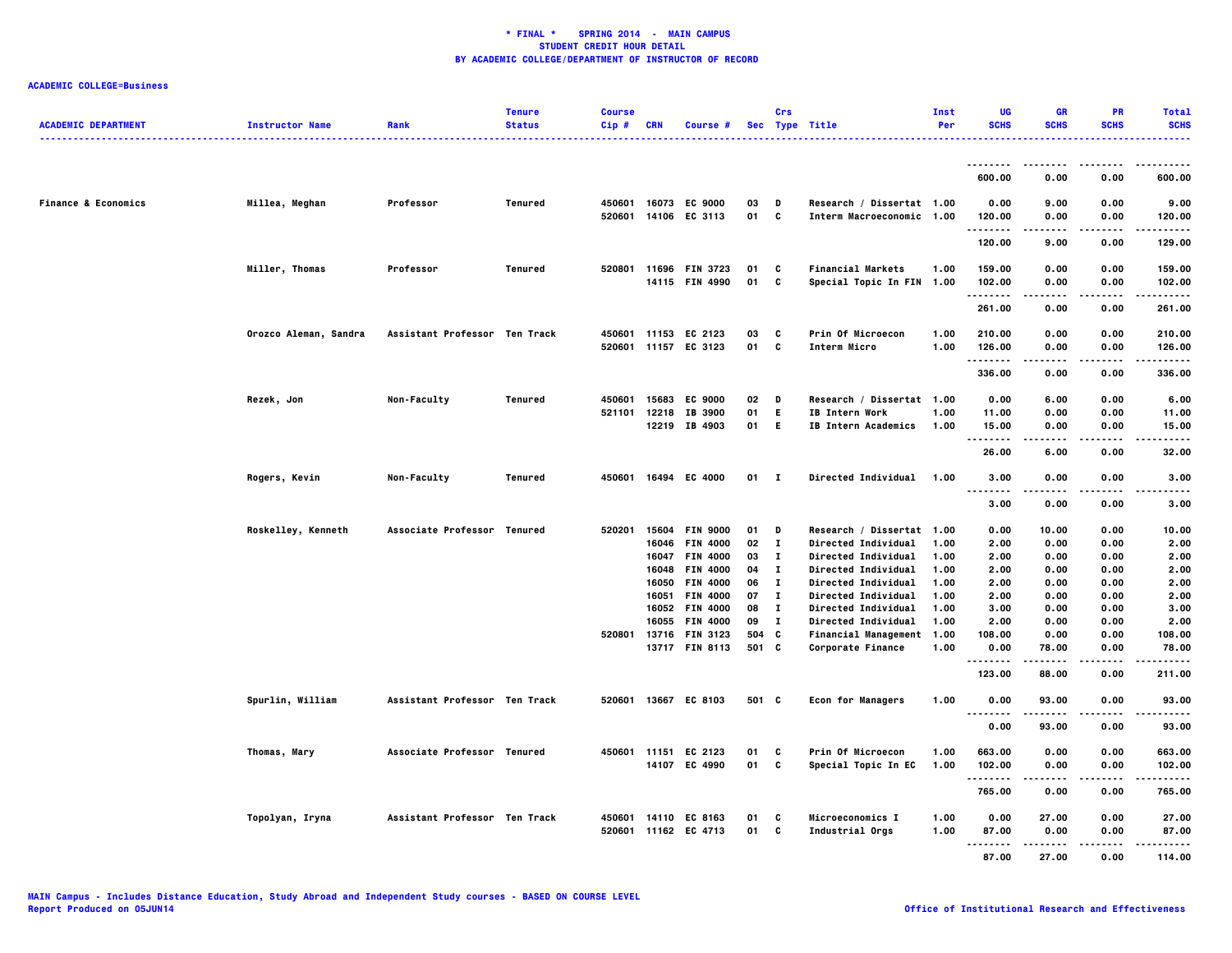| <b>ACADEMIC DEPARTMENT</b>     | <b>Instructor Name</b> | Rank                          | <b>Tenure</b><br><b>Status</b> | <b>Course</b><br>Cip# | <b>CRN</b>     | Course #                                     |                | Crs               | Sec Type Title                                                                   | Inst<br>Per  | UG<br><b>SCHS</b>           | <b>GR</b><br><b>SCHS</b> | <b>PR</b><br><b>SCHS</b>  | <b>Total</b><br><b>SCHS</b> |
|--------------------------------|------------------------|-------------------------------|--------------------------------|-----------------------|----------------|----------------------------------------------|----------------|-------------------|----------------------------------------------------------------------------------|--------------|-----------------------------|--------------------------|---------------------------|-----------------------------|
|                                |                        |                               |                                |                       |                |                                              |                |                   |                                                                                  |              |                             |                          |                           |                             |
|                                |                        |                               |                                |                       |                |                                              |                |                   |                                                                                  |              | .<br>600.00                 | 0.00                     | 0.00                      | ------<br>600.00            |
| <b>Finance &amp; Economics</b> | Millea, Meghan         | Professor                     | Tenured                        | 450601 16073          |                | <b>EC 9000</b><br>520601 14106 EC 3113       | 03<br>01       | D<br>$\mathbf{c}$ | Research / Dissertat 1.00<br>Interm Macroeconomic 1.00                           |              | 0.00<br>120.00              | 9.00<br>0.00             | 0.00<br>0.00              | 9.00<br>120.00              |
|                                |                        |                               |                                |                       |                |                                              |                |                   |                                                                                  |              | <u>.</u><br>120.00          | 9.00                     | 0.00                      | .<br>129.00                 |
|                                | <b>Miller, Thomas</b>  | Professor                     | <b>Tenured</b>                 |                       |                | 520801 11696 FIN 3723                        | 01             | C                 | <b>Financial Markets</b>                                                         | 1.00         | 159.00                      | 0.00                     | 0.00                      | 159.00                      |
|                                |                        |                               |                                |                       |                | 14115 FIN 4990                               | 01 C           |                   | Special Topic In FIN 1.00                                                        |              | 102.00<br>.                 | 0.00                     | 0.00<br>.                 | 102.00<br>                  |
|                                |                        |                               |                                |                       |                |                                              |                |                   |                                                                                  |              | 261.00                      | 0.00                     | 0.00                      | 261.00                      |
|                                | Orozco Aleman, Sandra  | Assistant Professor Ten Track |                                |                       |                | 450601 11153 EC 2123<br>520601 11157 EC 3123 | 03<br>01 C     | c                 | Prin Of Microecon<br>Interm Micro                                                | 1.00<br>1.00 | 210.00<br>126.00<br>.       | 0.00<br>0.00             | 0.00<br>0.00<br>----      | 210.00<br>126.00            |
|                                |                        |                               |                                |                       |                |                                              |                |                   |                                                                                  |              | 336.00                      | 0.00                     | 0.00                      | 336.00                      |
|                                | Rezek, Jon             | Non-Faculty                   | Tenured                        | 450601<br>521101      | 15683<br>12218 | EC 9000<br>IB 3900<br>12219 IB 4903          | 02<br>01<br>01 | D<br>Е.<br>E.     | Research / Dissertat 1.00<br><b>IB Intern Work</b><br><b>IB Intern Academics</b> | 1.00<br>1.00 | 0.00<br>11.00<br>15.00<br>. | 6.00<br>0.00<br>0.00     | 0.00<br>0.00<br>0.00      | 6.00<br>11.00<br>15.00      |
|                                |                        |                               |                                |                       |                |                                              |                |                   |                                                                                  |              | 26.00                       | $- - - -$<br>6.00        | .<br>0.00                 | .<br>32.00                  |
|                                | Rogers, Kevin          | Non-Faculty                   | Tenured                        |                       |                | 450601 16494 EC 4000                         | $01$ I         |                   | <b>Directed Individual</b>                                                       | 1.00         | 3.00<br>. .                 | 0.00                     | 0.00                      | 3.00                        |
|                                |                        |                               |                                |                       |                |                                              |                |                   |                                                                                  |              | 3.00                        | 0.00                     | 0.00                      | 3.00                        |
|                                | Roskelley, Kenneth     | Associate Professor Tenured   |                                | 520201                | 15604<br>16046 | <b>FIN 9000</b><br><b>FIN 4000</b>           | 01<br>02       | D<br>$\mathbf{I}$ | Research / Dissertat 1.00<br>Directed Individual                                 | 1.00         | 0.00<br>2.00                | 10.00<br>0.00            | 0.00<br>0.00              | 10.00<br>2.00               |
|                                |                        |                               |                                |                       |                | 16047 FIN 4000                               | 03             | п                 | <b>Directed Individual</b>                                                       | 1.00         | 2.00                        | 0.00                     | 0.00                      | 2.00                        |
|                                |                        |                               |                                |                       |                | 16048 FIN 4000                               | 04             | $\mathbf{I}$      | Directed Individual                                                              | 1.00         | 2.00                        | 0.00                     | 0.00                      | 2.00                        |
|                                |                        |                               |                                |                       | 16050          | <b>FIN 4000</b>                              | 06             | $\mathbf{I}$      | Directed Individual                                                              | 1.00         | 2.00                        | 0.00                     | 0.00                      | 2.00                        |
|                                |                        |                               |                                |                       |                | 16051 FIN 4000                               | 07             | $\mathbf{I}$      | <b>Directed Individual</b>                                                       | 1.00         | 2.00                        | 0.00                     | 0.00                      | 2.00                        |
|                                |                        |                               |                                |                       | 16052          | <b>FIN 4000</b>                              | 08             | $\mathbf{I}$      | <b>Directed Individual</b>                                                       | 1.00         | 3.00                        | 0.00                     | 0.00                      | 3.00                        |
|                                |                        |                               |                                |                       | 16055          | <b>FIN 4000</b>                              | 09             | $\mathbf{I}$      | <b>Directed Individual</b>                                                       | 1.00         | 2.00                        | 0.00                     | 0.00                      | 2.00                        |
|                                |                        |                               |                                | 520801                |                | 13716 FIN 3123                               | 504 C          |                   | Financial Management 1.00                                                        |              | 108.00                      | 0.00                     | 0.00                      | 108.00                      |
|                                |                        |                               |                                |                       |                | 13717 FIN 8113                               | 501 C          |                   | Corporate Finance                                                                | 1.00         | 0.00<br>.                   | 78.00<br>.               | 0.00<br>.                 | 78.00<br>.                  |
|                                |                        |                               |                                |                       |                |                                              |                |                   |                                                                                  |              | 123.00                      | 88.00                    | 0.00                      | 211.00                      |
|                                | Spurlin, William       | Assistant Professor Ten Track |                                |                       |                | 520601 13667 EC 8103                         | 501 C          |                   | <b>Econ for Managers</b>                                                         | 1.00         | 0.00<br>. .                 | 93.00                    | 0.00                      | 93.00                       |
|                                |                        |                               |                                |                       |                |                                              |                |                   |                                                                                  |              | 0.00                        | 93.00                    | 0.00                      | 93.00                       |
|                                | Thomas, Mary           | Associate Professor Tenured   |                                | 450601 11151          |                | EC 2123                                      | 01             | C                 | Prin Of Microecon                                                                | 1.00         | 663.00                      | 0.00                     | 0.00                      | 663.00                      |
|                                |                        |                               |                                |                       |                | 14107 EC 4990                                | 01 C           |                   | Special Topic In EC                                                              | 1.00         | 102.00<br>.                 | 0.00                     | 0.00<br>$- - - -$         | 102.00                      |
|                                |                        |                               |                                |                       |                |                                              |                |                   |                                                                                  |              | 765.00                      | 0.00                     | 0.00                      | 765.00                      |
|                                | Topolyan, Iryna        | Assistant Professor Ten Track |                                |                       |                | 450601 14110 EC 8163<br>520601 11162 EC 4713 | 01<br>01       | c<br>C            | Microeconomics I<br>Industrial Orgs                                              | 1.00<br>1.00 | 0.00<br>87.00               | 27.00<br>0.00<br>.       | 0.00<br>0.00<br>$- - - -$ | 27.00<br>87.00<br>.         |
|                                |                        |                               |                                |                       |                |                                              |                |                   |                                                                                  |              | <br>87.00                   | 27.00                    | 0.00                      | 114.00                      |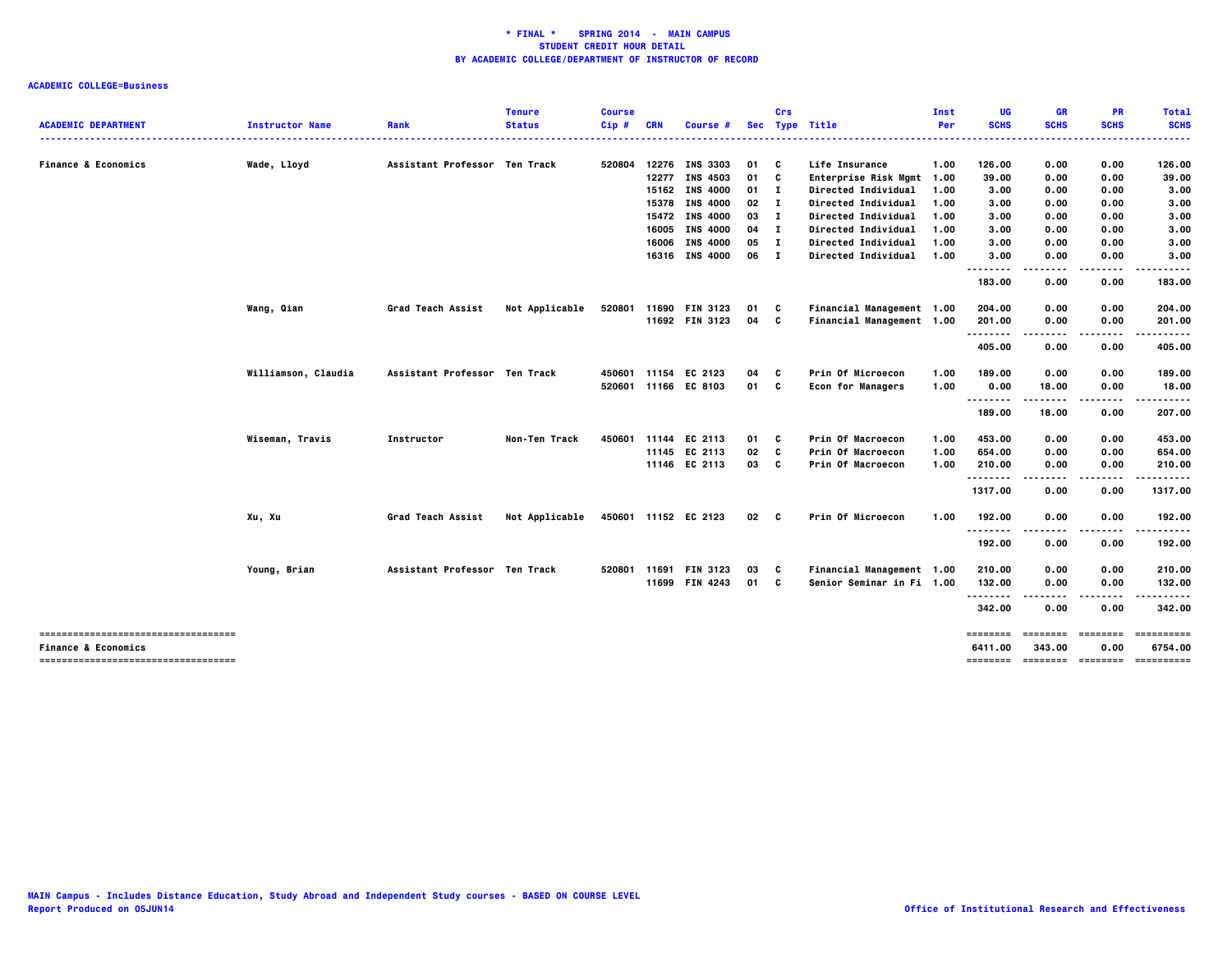|                                     |                        |                               | <b>Tenure</b>  | <b>Course</b> |            |                       |                 | Crs          |                            | Inst | UG              | GR            | <b>PR</b>   | <b>Total</b>                          |
|-------------------------------------|------------------------|-------------------------------|----------------|---------------|------------|-----------------------|-----------------|--------------|----------------------------|------|-----------------|---------------|-------------|---------------------------------------|
| <b>ACADEMIC DEPARTMENT</b>          | <b>Instructor Name</b> | Rank                          | <b>Status</b>  | Cip#          | <b>CRN</b> | <b>Course #</b>       |                 |              | Sec Type Title             | Per  | <b>SCHS</b>     | <b>SCHS</b>   | <b>SCHS</b> | <b>SCHS</b>                           |
|                                     |                        |                               |                |               |            |                       |                 |              |                            |      |                 |               |             |                                       |
| <b>Finance &amp; Economics</b>      | Wade, Lloyd            | Assistant Professor Ten Track |                | 520804        |            | 12276 INS 3303        | 01              | C            | Life Insurance             | 1.00 | 126.00          | 0.00          | 0.00        | 126.00                                |
|                                     |                        |                               |                |               |            | 12277 INS 4503        | 01              | C            | Enterprise Risk Mgmt 1.00  |      | 39.00           | 0.00          | 0.00        | 39.00                                 |
|                                     |                        |                               |                |               |            | 15162 INS 4000        | $01$ I          |              | Directed Individual        | 1.00 | 3.00            | 0.00          | 0.00        | 3.00                                  |
|                                     |                        |                               |                |               |            | 15378 INS 4000        | 02              | $\mathbf{I}$ | Directed Individual        | 1.00 | 3.00            | 0.00          | 0.00        | 3.00                                  |
|                                     |                        |                               |                |               |            | 15472 INS 4000        | 03              | $\mathbf{I}$ | Directed Individual        | 1.00 | 3.00            | 0.00          | 0.00        | 3.00                                  |
|                                     |                        |                               |                |               |            | 16005 INS 4000        | 04              | - 1          | Directed Individual        | 1.00 | 3.00            | 0.00          | 0.00        | 3.00                                  |
|                                     |                        |                               |                |               |            | 16006 INS 4000        | 05              | $\mathbf{I}$ | Directed Individual        | 1.00 | 3.00            | 0.00          | 0.00        | 3.00                                  |
|                                     |                        |                               |                |               |            | 16316 INS 4000        | 06              | $\mathbf{I}$ | <b>Directed Individual</b> | 1.00 | 3.00            | 0.00          | 0.00        | 3.00                                  |
|                                     |                        |                               |                |               |            |                       |                 |              |                            |      |                 |               |             | ----                                  |
|                                     |                        |                               |                |               |            |                       |                 |              |                            |      | 183.00          | 0.00          | 0.00        | 183.00                                |
|                                     | Wang, Qian             | <b>Grad Teach Assist</b>      | Not Applicable | 520801        |            | 11690 FIN 3123        | 01              | C            | Financial Management 1.00  |      | 204.00          | 0.00          | 0.00        | 204.00                                |
|                                     |                        |                               |                |               |            | 11692 FIN 3123        | 04 C            |              | Financial Management 1.00  |      | 201.00          | 0.00          | 0.00        | 201.00                                |
|                                     |                        |                               |                |               |            |                       |                 |              |                            |      | - - - - - - - - |               | $- - - -$   |                                       |
|                                     |                        |                               |                |               |            |                       |                 |              |                            |      | 405.00          | 0.00          | 0.00        | 405.00                                |
|                                     | Williamson, Claudia    | Assistant Professor Ten Track |                | 450601        | 11154      | EC 2123               | 04              | c            | Prin Of Microecon          | 1.00 | 189.00          | 0.00          | 0.00        | 189.00                                |
|                                     |                        |                               |                |               |            | 520601 11166 EC 8103  | 01 C            |              | <b>Econ for Managers</b>   | 1.00 | 0.00            | 18.00         | 0.00        | 18.00                                 |
|                                     |                        |                               |                |               |            |                       |                 |              |                            |      |                 | -----         | .           |                                       |
|                                     |                        |                               |                |               |            |                       |                 |              |                            |      | 189.00          | 18.00         | 0.00        | 207.00                                |
|                                     | Wiseman, Travis        | Instructor                    | Non-Ten Track  | 450601        |            | 11144 EC 2113         | 01              | C            | Prin Of Macroecon          | 1.00 | 453.00          | 0.00          | 0.00        | 453.00                                |
|                                     |                        |                               |                |               |            | 11145 EC 2113         | 02              | C            | Prin Of Macroecon          | 1.00 | 654.00          | 0.00          | 0.00        | 654.00                                |
|                                     |                        |                               |                |               |            | 11146 EC 2113         | 03              | C            | Prin Of Macroecon          | 1.00 | 210.00          | 0.00          | 0.00        | 210.00                                |
|                                     |                        |                               |                |               |            |                       |                 |              |                            |      | .               | $\sim$ $\sim$ | .           | .                                     |
|                                     |                        |                               |                |               |            |                       |                 |              |                            |      | 1317.00         | 0.00          | 0.00        | 1317.00                               |
|                                     | Xu, Xu                 | Grad Teach Assist             | Not Applicable |               |            | 450601 11152 EC 2123  | 02 <sub>c</sub> |              | Prin Of Microecon          | 1.00 | 192.00          | 0.00          | 0.00        | 192.00                                |
|                                     |                        |                               |                |               |            |                       |                 |              |                            |      | .               | .             | .           |                                       |
|                                     |                        |                               |                |               |            |                       |                 |              |                            |      | 192.00          | 0.00          | 0.00        | 192.00                                |
|                                     | Young, Brian           | Assistant Professor Ten Track |                |               |            | 520801 11691 FIN 3123 | 03              | C            | Financial Management 1.00  |      | 210.00          | 0.00          | 0.00        | 210.00                                |
|                                     |                        |                               |                |               |            | 11699 FIN 4243        | 01 C            |              | Senior Seminar in Fi 1.00  |      | 132.00          | 0.00          | 0.00        | 132.00                                |
|                                     |                        |                               |                |               |            |                       |                 |              |                            |      | .               | $- - - -$     | .           | .                                     |
|                                     |                        |                               |                |               |            |                       |                 |              |                            |      | 342.00          | 0.00          | 0.00        | 342.00                                |
| ----------------------------------- |                        |                               |                |               |            |                       |                 |              |                            |      | ========        | ========      | ========    | ==========                            |
| <b>Finance &amp; Economics</b>      |                        |                               |                |               |            |                       |                 |              |                            |      | 6411.00         | 343.00        | 0.00        | 6754.00                               |
| ----------------------------------- |                        |                               |                |               |            |                       |                 |              |                            |      |                 |               |             | ======== ======== ======== ========== |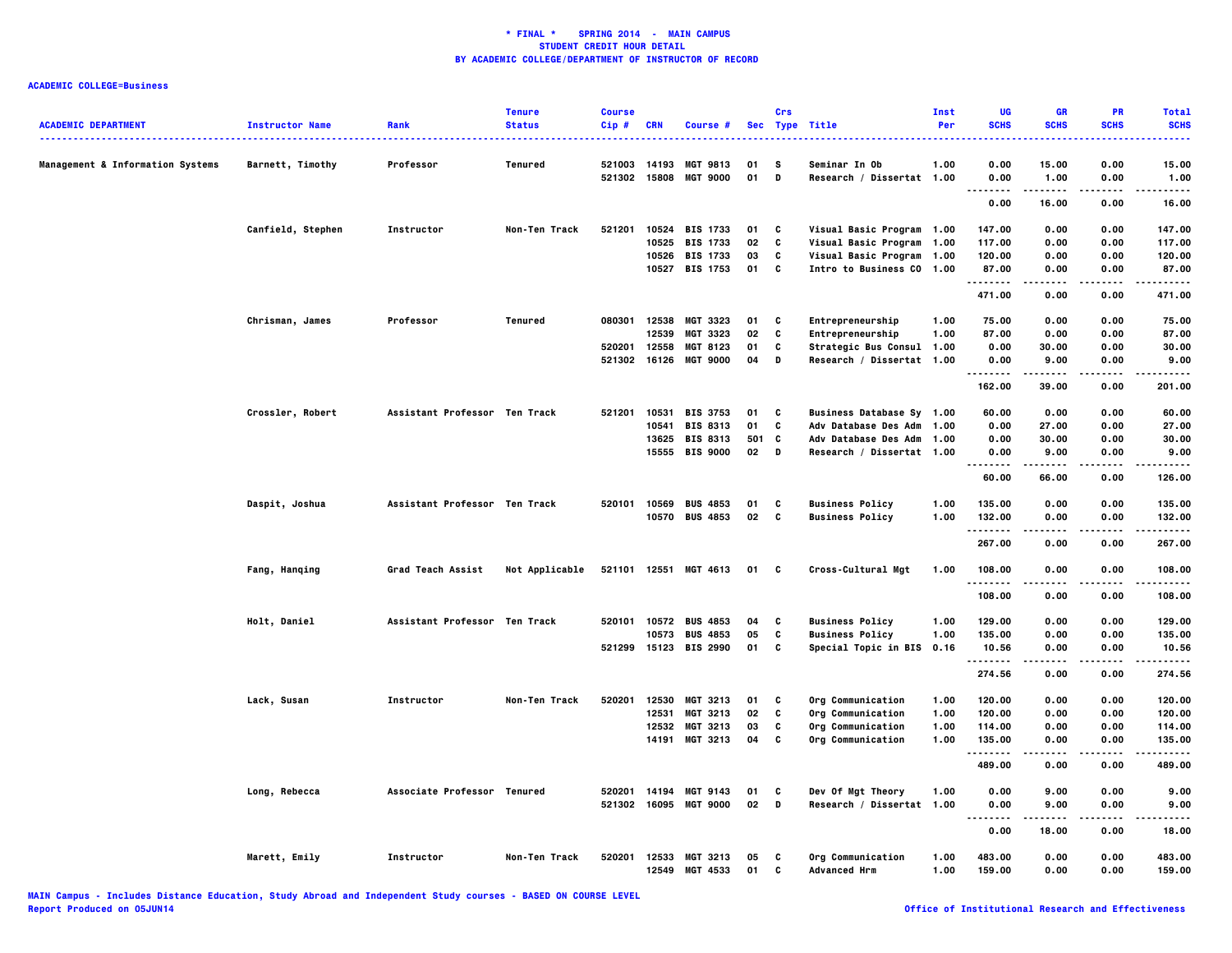|                                             |                             |                               | <b>Tenure</b>  | <b>Course</b> |              |                       |     | Crs         |                             | Inst | UG                           | GR             | PR                | <b>Total</b>          |
|---------------------------------------------|-----------------------------|-------------------------------|----------------|---------------|--------------|-----------------------|-----|-------------|-----------------------------|------|------------------------------|----------------|-------------------|-----------------------|
| <b>ACADEMIC DEPARTMENT</b>                  | <b>Instructor Name</b><br>. | Rank                          | <b>Status</b>  | Cip#          | <b>CRN</b>   | Course #              |     |             | Sec Type Title              | Per  | <b>SCHS</b>                  | <b>SCHS</b>    | <b>SCHS</b>       | <b>SCHS</b>           |
| <b>Management &amp; Information Systems</b> | Barnett, Timothy            | Professor                     | Tenured        | 521003        | 14193        | <b>MGT 9813</b>       | 01  | s           | Seminar In Ob               | 1.00 | 0.00                         | 15.00          | 0.00              | 15.00                 |
|                                             |                             |                               |                | 521302        | 15808        | <b>MGT 9000</b>       | 01  | D           | Research / Dissertat 1.00   |      | 0.00<br>.                    | 1.00<br>.      | 0.00<br>.         | 1.00<br>.             |
|                                             |                             |                               |                |               |              |                       |     |             |                             |      | 0.00                         | 16.00          | 0.00              | 16.00                 |
|                                             | Canfield, Stephen           | <b>Instructor</b>             | Non-Ten Track  | 521201        |              | 10524 BIS 1733        | 01  | C           | Visual Basic Program 1.00   |      | 147.00                       | 0.00           | 0.00              | 147.00                |
|                                             |                             |                               |                |               |              | 10525 BIS 1733        | 02  | C           | Visual Basic Program 1.00   |      | 117.00                       | 0.00           | 0.00              | 117.00                |
|                                             |                             |                               |                |               |              | 10526 BIS 1733        | 03  | C           | Visual Basic Program        | 1.00 | 120.00                       | 0.00           | 0.00              | 120.00                |
|                                             |                             |                               |                |               |              | 10527 BIS 1753        | 01  | C           | Intro to Business CO 1.00   |      | 87.00<br>. <b>.</b>          | 0.00           | 0.00              | 87.00<br>.            |
|                                             |                             |                               |                |               |              |                       |     |             |                             |      | 471.00                       | 0.00           | 0.00              | 471.00                |
|                                             | Chrisman, James             | Professor                     | Tenured        | 080301        | 12538        | <b>MGT 3323</b>       | 01  | C           | Entrepreneurship            | 1.00 | 75.00                        | 0.00           | 0.00              | 75.00                 |
|                                             |                             |                               |                |               | 12539        | MGT 3323              | 02  | C           | Entrepreneurship            | 1.00 | 87.00                        | 0.00           | 0.00              | 87.00                 |
|                                             |                             |                               |                | 520201        | 12558        | <b>MGT 8123</b>       | 01  | C           | Strategic Bus Consul 1.00   |      | 0.00                         | 30.00          | 0.00              | 30.00                 |
|                                             |                             |                               |                | 521302        | 16126        | <b>MGT 9000</b>       | 04  | D           | Research / Dissertat 1.00   |      | 0.00                         | 9.00           | 0.00              | 9.00                  |
|                                             |                             |                               |                |               |              |                       |     |             |                             |      | .<br>162.00                  | 39.00          | 0.00              | 201.00                |
|                                             | Crossler, Robert            | Assistant Professor Ten Track |                | 521201        | 10531        | <b>BIS 3753</b>       | 01  | C           | Business Database Sy 1.00   |      | 60.00                        | 0.00           | 0.00              | 60.00                 |
|                                             |                             |                               |                |               | 10541        | <b>BIS 8313</b>       | 01  | C           | <b>Adv Database Des Adm</b> | 1.00 | 0.00                         | 27.00          | 0.00              | 27.00                 |
|                                             |                             |                               |                |               |              | 13625 BIS 8313        | 501 | <b>C</b>    | <b>Adv Database Des Adm</b> | 1.00 | 0.00                         | 30.00          | 0.00              | 30.00                 |
|                                             |                             |                               |                |               | 15555        | <b>BIS 9000</b>       | 02  | $\mathbf D$ | Research / Dissertat 1.00   |      | 0.00                         | 9.00           | 0.00              | 9.00                  |
|                                             |                             |                               |                |               |              |                       |     |             |                             |      | .<br>60.00                   | -----<br>66.00 | $- - - -$<br>0.00 | .<br>126.00           |
|                                             | Daspit, Joshua              | Assistant Professor Ten Track |                | 520101        | 10569        | <b>BUS 4853</b>       | 01  | C           | <b>Business Policy</b>      | 1.00 | 135.00                       | 0.00           | 0.00              | 135.00                |
|                                             |                             |                               |                |               | 10570        | <b>BUS 4853</b>       | 02  | C           | <b>Business Policy</b>      | 1.00 | 132.00                       | 0.00           | 0.00              | 132.00                |
|                                             |                             |                               |                |               |              |                       |     |             |                             |      | .<br>267.00                  | 0.00           | 0.00              | -----<br>267.00       |
|                                             | Fang, Hanqing               | Grad Teach Assist             | Not Applicable |               |              | 521101 12551 MGT 4613 | 01  | C           | Cross-Cultural Mgt          | 1.00 | 108.00                       | 0.00           | 0.00              | 108.00                |
|                                             |                             |                               |                |               |              |                       |     |             |                             |      | .<br>108.00                  | 0.00           | 0.00              | .<br>108.00           |
|                                             |                             |                               |                |               |              |                       |     |             |                             |      |                              |                |                   |                       |
|                                             | Holt, Daniel                | Assistant Professor Ten Track |                | 520101        |              | 10572 BUS 4853        | 04  | C           | <b>Business Policy</b>      | 1.00 | 129.00                       | 0.00           | 0.00              | 129.00                |
|                                             |                             |                               |                |               |              | 10573 BUS 4853        | 05  | C           | <b>Business Policy</b>      | 1.00 | 135.00                       | 0.00           | 0.00              | 135.00                |
|                                             |                             |                               |                |               |              | 521299 15123 BIS 2990 | 01  | C           | Special Topic in BIS 0.16   |      | 10.56<br>.                   | 0.00<br>.      | 0.00<br>.         | 10.56<br>------       |
|                                             |                             |                               |                |               |              |                       |     |             |                             |      | 274.56                       | 0.00           | 0.00              | 274.56                |
|                                             | Lack, Susan                 | Instructor                    | Non-Ten Track  | 520201        | 12530        | MGT 3213              | 01  | C           | Org Communication           | 1.00 | 120.00                       | 0.00           | 0.00              | 120.00                |
|                                             |                             |                               |                |               | 12531        | MGT 3213              | 02  | C           | Org Communication           | 1.00 | 120.00                       | 0.00           | 0.00              | 120.00                |
|                                             |                             |                               |                |               |              | 12532 MGT 3213        | 03  | C           | Org Communication           | 1.00 | 114.00                       | 0.00           | 0.00              | 114.00                |
|                                             |                             |                               |                |               |              | 14191 MGT 3213        | 04  | C           | Org Communication           | 1.00 | 135.00<br>.                  | 0.00<br>.      | 0.00<br>$- - - -$ | 135.00<br>$- - - - -$ |
|                                             |                             |                               |                |               |              |                       |     |             |                             |      | 489.00                       | 0.00           | 0.00              | 489.00                |
|                                             | Long, Rebecca               | Associate Professor Tenured   |                | 520201        | 14194        | MGT 9143              | 01  | C           | Dev Of Mgt Theory           | 1.00 | 0.00                         | 9.00           | 0.00              | 9.00                  |
|                                             |                             |                               |                |               | 521302 16095 | <b>MGT 9000</b>       | 02  | D           | Research / Dissertat 1.00   |      | 0.00                         | 9.00           | 0.00              | 9.00                  |
|                                             |                             |                               |                |               |              |                       |     |             |                             |      | $\sim$ $\sim$ $\sim$<br>0.00 | 18.00          | 0.00              | 18.00                 |
|                                             | Marett, Emily               | Instructor                    | Non-Ten Track  | 520201        |              | 12533 MGT 3213        | 05  | C           | Org Communication           | 1.00 | 483.00                       | 0.00           | 0.00              | 483.00                |
|                                             |                             |                               |                |               | 12549        | MGT 4533              | 01  | C           | <b>Advanced Hrm</b>         | 1.00 | 159.00                       | 0.00           | 0.00              | 159.00                |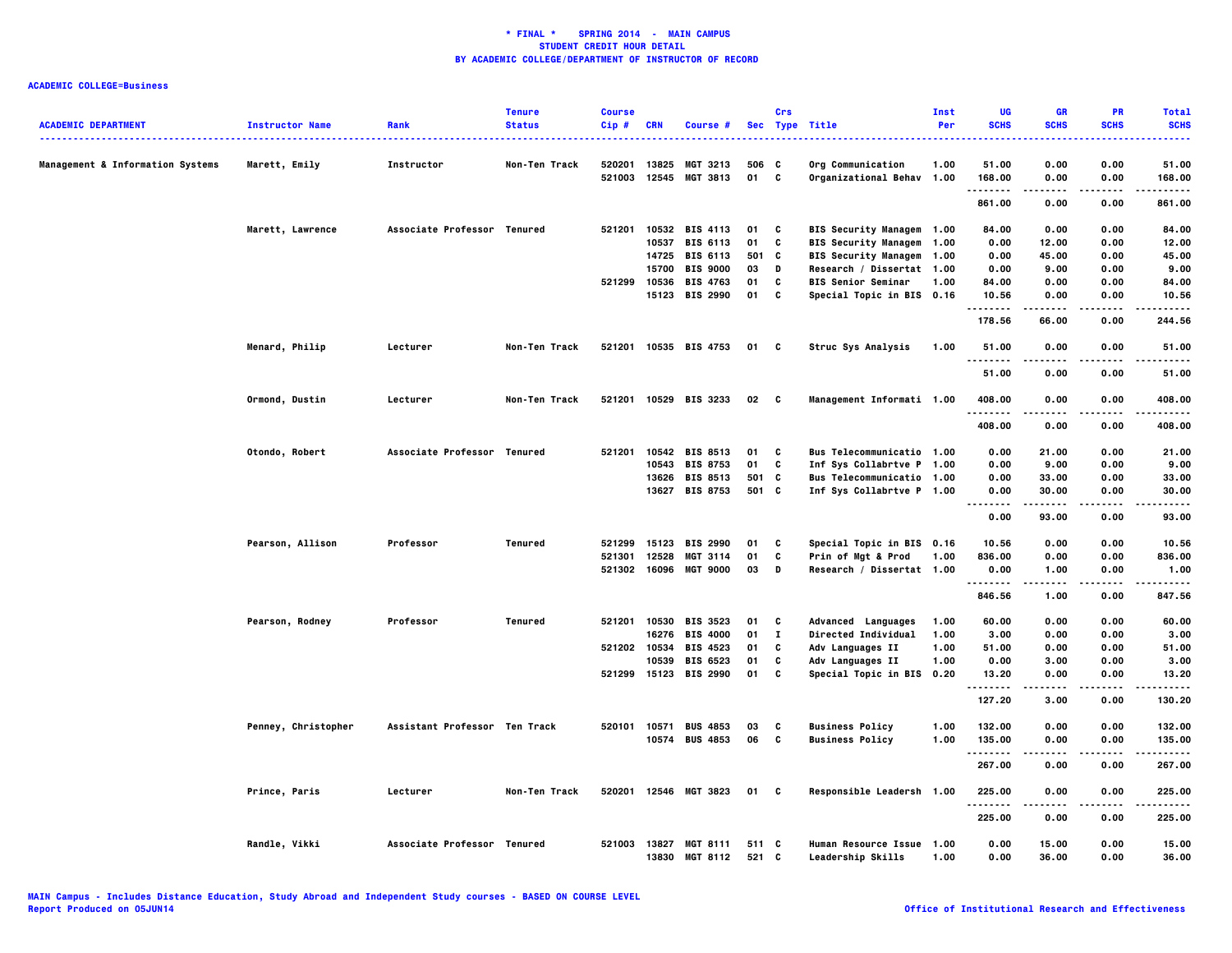| <b>ACADEMIC DEPARTMENT</b>                  | <b>Instructor Name</b> | Rank                          | <b>Tenure</b><br><b>Status</b> | <b>Course</b><br>Cip# | <b>CRN</b>     | Course #                    |             | Crs          | Sec Type Title                                 | Inst<br>Per | UG<br><b>SCHS</b> | <b>GR</b><br><b>SCHS</b> | <b>PR</b><br><b>SCHS</b> | <b>Total</b><br><b>SCHS</b> |
|---------------------------------------------|------------------------|-------------------------------|--------------------------------|-----------------------|----------------|-----------------------------|-------------|--------------|------------------------------------------------|-------------|-------------------|--------------------------|--------------------------|-----------------------------|
|                                             |                        |                               |                                |                       |                |                             |             |              |                                                |             |                   |                          |                          |                             |
| <b>Management &amp; Information Systems</b> | Marett, Emily          | Instructor                    | Non-Ten Track                  | 520201<br>521003      | 13825<br>12545 | MGT 3213<br><b>MGT 3813</b> | 506 C<br>01 | <b>C</b>     | Org Communication<br>Organizational Behav 1.00 | 1.00        | 51.00<br>168.00   | 0.00<br>0.00             | 0.00<br>0.00             | 51.00<br>168,00             |
|                                             |                        |                               |                                |                       |                |                             |             |              |                                                |             | .                 | .                        | .                        |                             |
|                                             |                        |                               |                                |                       |                |                             |             |              |                                                |             | 861.00            | 0.00                     | 0.00                     | 861.00                      |
|                                             | Marett, Lawrence       | Associate Professor Tenured   |                                | 521201                |                | 10532 BIS 4113              | 01          | C            | BIS Security Managem 1.00                      |             | 84.00             | 0.00                     | 0.00                     | 84.00                       |
|                                             |                        |                               |                                |                       |                | 10537 BIS 6113              | 01          | C            | BIS Security Managem 1.00                      |             | 0.00              | 12.00                    | 0.00                     | 12.00                       |
|                                             |                        |                               |                                |                       |                | 14725 BIS 6113              | 501         | C            | BIS Security Managem 1.00                      |             | 0.00              | 45.00                    | 0.00                     | 45.00                       |
|                                             |                        |                               |                                |                       | 15700          | <b>BIS 9000</b>             | 03          | D            | Research / Dissertat 1.00                      |             | 0.00              | 9.00                     | 0.00                     | 9.00                        |
|                                             |                        |                               |                                | 521299 10536          |                | <b>BIS 4763</b>             | 01          | C            | <b>BIS Senior Seminar</b>                      | 1.00        | 84.00             | 0.00                     | 0.00                     | 84.00                       |
|                                             |                        |                               |                                |                       | 15123          | <b>BIS 2990</b>             | 01          | C            | Special Topic in BIS 0.16                      |             | 10.56<br>.        | 0.00<br>-----            | 0.00<br>.                | 10.56<br>.                  |
|                                             |                        |                               |                                |                       |                |                             |             |              |                                                |             | 178.56            | 66.00                    | 0.00                     | 244.56                      |
|                                             | Menard, Philip         | Lecturer                      | Non-Ten Track                  |                       |                | 521201 10535 BIS 4753       | 01          | C            | Struc Sys Analysis                             | 1.00        | 51.00<br>.        | 0.00                     | 0.00                     | 51.00                       |
|                                             |                        |                               |                                |                       |                |                             |             |              |                                                |             | 51.00             | 0.00                     | 0.00                     | 51.00                       |
|                                             | Ormond, Dustin         | Lecturer                      | Non-Ten Track                  |                       |                | 521201 10529 BIS 3233       | 02 C        |              | Management Informati 1.00                      |             | 408.00<br>.       | 0.00                     | 0.00                     | 408.00                      |
|                                             |                        |                               |                                |                       |                |                             |             |              |                                                |             | 408.00            | 0.00                     | 0.00                     | 408.00                      |
|                                             | Otondo, Robert         | Associate Professor Tenured   |                                | 521201                |                | 10542 BIS 8513              | 01          | C            | Bus Telecommunicatio 1.00                      |             | 0.00              | 21.00                    | 0.00                     | 21.00                       |
|                                             |                        |                               |                                |                       |                | 10543 BIS 8753              | 01          | C            | Inf Sys Collabrtve P 1.00                      |             | 0.00              | 9.00                     | 0.00                     | 9.00                        |
|                                             |                        |                               |                                |                       |                | 13626 BIS 8513              | 501         | C            | Bus Telecommunicatio 1.00                      |             | 0.00              | 33.00                    | 0.00                     | 33.00                       |
|                                             |                        |                               |                                |                       |                | 13627 BIS 8753              | 501 C       |              | Inf Sys Collabrtve P 1.00                      |             | 0.00<br>.         | 30.00                    | 0.00                     | 30.00                       |
|                                             |                        |                               |                                |                       |                |                             |             |              |                                                |             | 0.00              | 93.00                    | 0.00                     | 93.00                       |
|                                             | Pearson, Allison       | Professor                     | Tenured                        | 521299                | 15123          | <b>BIS 2990</b>             | 01          | C            | Special Topic in BIS 0.16                      |             | 10.56             | 0.00                     | 0.00                     | 10.56                       |
|                                             |                        |                               |                                | 521301                | 12528          | <b>MGT 3114</b>             | 01          | C            | Prin of Mgt & Prod                             | 1.00        | 836.00            | 0.00                     | 0.00                     | 836.00                      |
|                                             |                        |                               |                                | 521302                | 16096          | <b>MGT 9000</b>             | 03          | D            | Research / Dissertat 1.00                      |             | 0.00<br>.         | 1.00<br>.                | 0.00<br>$- - - -$        | 1.00<br>.                   |
|                                             |                        |                               |                                |                       |                |                             |             |              |                                                |             | 846.56            | 1.00                     | 0.00                     | 847.56                      |
|                                             | Pearson, Rodney        | Professor                     | <b>Tenured</b>                 | 521201                | 10530          | <b>BIS 3523</b>             | 01          | C            | Advanced Languages                             | 1.00        | 60.00             | 0.00                     | 0.00                     | 60.00                       |
|                                             |                        |                               |                                |                       | 16276          | <b>BIS 4000</b>             | 01          | $\mathbf{I}$ | Directed Individual                            | 1.00        | 3.00              | 0.00                     | 0.00                     | 3.00                        |
|                                             |                        |                               |                                | 521202 10534          |                | <b>BIS 4523</b>             | 01          | C            | Adv Languages II                               | 1.00        | 51.00             | 0.00                     | 0.00                     | 51.00                       |
|                                             |                        |                               |                                |                       | 10539          | <b>BIS 6523</b>             | 01          | C            | Adv Languages II                               | 1.00        | 0.00              | 3.00                     | 0.00                     | 3.00                        |
|                                             |                        |                               |                                |                       |                | 521299 15123 BIS 2990       | 01          | C            | Special Topic in BIS 0.20                      |             | 13.20<br>.        | 0.00                     | 0.00                     | 13.20<br>.                  |
|                                             |                        |                               |                                |                       |                |                             |             |              |                                                |             | 127.20            | 3.00                     | 0.00                     | 130.20                      |
|                                             | Penney, Christopher    | Assistant Professor Ten Track |                                |                       |                | 520101 10571 BUS 4853       | 03          | C            | <b>Business Policy</b>                         | 1.00        | 132.00            | 0.00                     | 0.00                     | 132.00                      |
|                                             |                        |                               |                                |                       |                | 10574 BUS 4853              | 06          | <b>C</b>     | <b>Business Policy</b>                         | 1.00        | 135.00            | 0.00                     | 0.00                     | 135.00                      |
|                                             |                        |                               |                                |                       |                |                             |             |              |                                                |             | .<br>267.00       | -----<br>0.00            | .<br>0.00                | .<br>267.00                 |
|                                             | Prince, Paris          | Lecturer                      | Non-Ten Track                  |                       |                | 520201 12546 MGT 3823       | 01          | C            | Responsible Leadersh 1.00                      |             | 225.00            | 0.00                     | 0.00                     | 225.00                      |
|                                             |                        |                               |                                |                       |                |                             |             |              |                                                |             | .<br>225.00       | .<br>0.00                | .<br>0.00                | .<br>225.00                 |
|                                             | Randle, Vikki          | Associate Professor Tenured   |                                | 521003 13827          |                | <b>MGT 8111</b>             | 511 C       |              | Human Resource Issue 1.00                      |             | 0.00              | 15.00                    | 0.00                     | 15.00                       |
|                                             |                        |                               |                                |                       | 13830          | <b>MGT 8112</b>             | 521 C       |              | Leadership Skills                              | 1.00        | 0.00              | 36.00                    | 0.00                     | 36.00                       |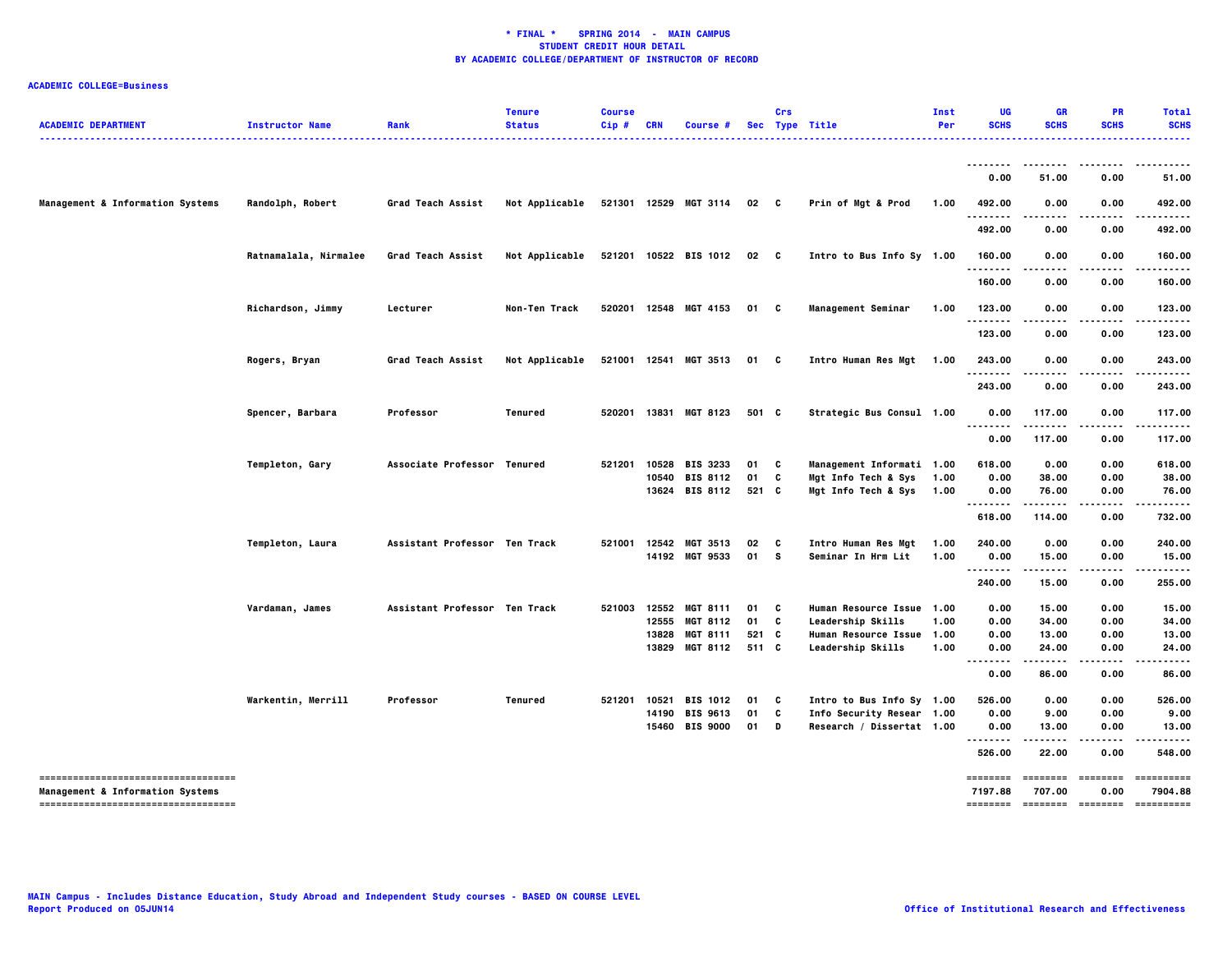| <b>ACADEMIC DEPARTMENT</b>                                                          | <b>Instructor Name</b> | Rank                          | <b>Tenure</b><br><b>Status</b> | <b>Course</b><br>$Cip$ # | <b>CRN</b>   | Course #                          |                 | Crs          | Sec Type Title                                 | Inst<br>Per | UG<br><b>SCHS</b>  | GR<br><b>SCHS</b> | <b>PR</b><br><b>SCHS</b>  | <b>Total</b><br><b>SCHS</b><br>.                |
|-------------------------------------------------------------------------------------|------------------------|-------------------------------|--------------------------------|--------------------------|--------------|-----------------------------------|-----------------|--------------|------------------------------------------------|-------------|--------------------|-------------------|---------------------------|-------------------------------------------------|
|                                                                                     |                        |                               |                                |                          |              |                                   |                 |              |                                                |             | --------           |                   |                           |                                                 |
|                                                                                     |                        |                               |                                |                          |              |                                   |                 |              |                                                |             | 0.00               | 51.00             | 0.00                      | 51.00                                           |
| Management & Information Systems                                                    | Randolph, Robert       | Grad Teach Assist             | Not Applicable                 |                          |              | 521301 12529 MGT 3114             | 02 <sub>c</sub> |              | Prin of Mgt & Prod                             | 1.00        | 492.00<br>-------- | 0.00              | 0.00<br>$- - - -$         | 492.00<br>.                                     |
|                                                                                     |                        |                               |                                |                          |              |                                   |                 |              |                                                |             | 492.00             | 0.00              | 0.00                      | 492.00                                          |
|                                                                                     | Ratnamalala, Nirmalee  | Grad Teach Assist             | Not Applicable                 |                          |              | 521201 10522 BIS 1012             | 02              | $\mathbf{c}$ | Intro to Bus Info Sy 1.00                      |             | 160.00             | 0.00              | 0.00                      | 160.00                                          |
|                                                                                     |                        |                               |                                |                          |              |                                   |                 |              |                                                |             | 160.00             | 0.00              | 0.00                      | 160.00                                          |
|                                                                                     | Richardson, Jimmy      | Lecturer                      | Non-Ten Track                  |                          |              | 520201 12548 MGT 4153             | 01              | C            | Management Seminar                             | 1.00        | 123.00<br><u>.</u> | 0.00              | 0.00<br>$- - - -$         | 123.00<br>.                                     |
|                                                                                     |                        |                               |                                |                          |              |                                   |                 |              |                                                |             | 123.00             | 0.00              | 0.00                      | 123.00                                          |
|                                                                                     | Rogers, Bryan          | Grad Teach Assist             | Not Applicable                 |                          |              | 521001 12541 MGT 3513             | 01              | C            | Intro Human Res Mgt 1.00                       |             | 243.00             | 0.00              | 0.00                      | 243.00                                          |
|                                                                                     |                        |                               |                                |                          |              |                                   |                 |              |                                                |             | 243.00             | 0.00              | 0.00                      | 243.00                                          |
|                                                                                     | Spencer, Barbara       | Professor                     | <b>Tenured</b>                 |                          |              | 520201 13831 MGT 8123             | 501 C           |              | Strategic Bus Consul 1.00                      |             | 0.00<br>.          | 117.00            | 0.00                      | 117.00                                          |
|                                                                                     |                        |                               |                                |                          |              |                                   |                 |              |                                                |             | 0.00               | 117.00            | 0.00                      | 117.00                                          |
|                                                                                     | Templeton, Gary        | Associate Professor Tenured   |                                | 521201                   | 10528        | <b>BIS 3233</b>                   | 01              | C            | Management Informati 1.00                      |             | 618.00             | 0.00              | 0.00                      | 618.00                                          |
|                                                                                     |                        |                               |                                |                          |              | 10540 BIS 8112                    | 01              | C            | Mgt Info Tech & Sys                            | 1.00        | 0.00               | 38.00             | 0.00                      | 38.00                                           |
|                                                                                     |                        |                               |                                |                          |              | 13624 BIS 8112                    | 521 C           |              | Mgt Info Tech & Sys 1.00                       |             | 0.00<br>.          | 76.00<br>.        | 0.00                      | 76.00                                           |
|                                                                                     |                        |                               |                                |                          |              |                                   |                 |              |                                                |             | 618.00             | 114.00            | 0.00                      | 732.00                                          |
|                                                                                     | Templeton, Laura       | Assistant Professor Ten Track |                                |                          | 521001 12542 | <b>MGT 3513</b>                   | 02              | C            | Intro Human Res Mgt                            | 1.00        | 240.00             | 0.00              | 0.00                      | 240.00                                          |
|                                                                                     |                        |                               |                                |                          |              | 14192 MGT 9533                    | 01              | s            | Seminar In Hrm Lit                             | 1.00        | 0.00<br>           | 15.00             | 0.00                      | 15.00                                           |
|                                                                                     |                        |                               |                                |                          |              |                                   |                 |              |                                                |             | 240.00             | 15.00             | 0.00                      | 255.00                                          |
|                                                                                     | Vardaman, James        | Assistant Professor Ten Track |                                | 521003                   |              | 12552 MGT 8111                    | 01              | C            | Human Resource Issue 1.00                      |             | 0.00               | 15.00             | 0.00                      | 15.00                                           |
|                                                                                     |                        |                               |                                |                          | 12555        | <b>MGT 8112</b>                   | 01              | C            | Leadership Skills                              | 1.00        | 0.00               | 34.00             | 0.00                      | 34.00                                           |
|                                                                                     |                        |                               |                                |                          | 13828        | <b>MGT 8111</b><br>13829 MGT 8112 | 521 C<br>511 C  |              | Human Resource Issue 1.00<br>Leadership Skills | 1.00        | 0.00<br>0.00       | 13.00<br>24.00    | 0.00<br>0.00              | 13.00<br>24.00                                  |
|                                                                                     |                        |                               |                                |                          |              |                                   |                 |              |                                                |             | <br>0.00           | .<br>86.00        | .<br>0.00                 | .<br>86.00                                      |
|                                                                                     | Warkentin, Merrill     | Professor                     | <b>Tenured</b>                 | 521201                   | 10521        | <b>BIS 1012</b>                   | 01              | C            | Intro to Bus Info Sy 1.00                      |             | 526.00             | 0.00              | 0.00                      | 526.00                                          |
|                                                                                     |                        |                               |                                |                          |              | 14190 BIS 9613                    | 01              | c            | Info Security Resear 1.00                      |             | 0.00               | 9.00              | 0.00                      | 9.00                                            |
|                                                                                     |                        |                               |                                |                          |              | 15460 BIS 9000                    | 01              | D            | Research / Dissertat 1.00                      |             | 0.00               | 13.00             | 0.00                      | 13.00                                           |
|                                                                                     |                        |                               |                                |                          |              |                                   |                 |              |                                                |             | .<br>526.00        | 22.00             | 0.00                      | 548.00                                          |
| ====================================<br><b>Management &amp; Information Systems</b> |                        |                               |                                |                          |              |                                   |                 |              |                                                |             | 7197.88            | 707.00            | 0.00                      | ======== ======== ======== =========<br>7904.88 |
| -----------------------------------                                                 |                        |                               |                                |                          |              |                                   |                 |              |                                                |             |                    |                   | -------- -------- ------- | ==========                                      |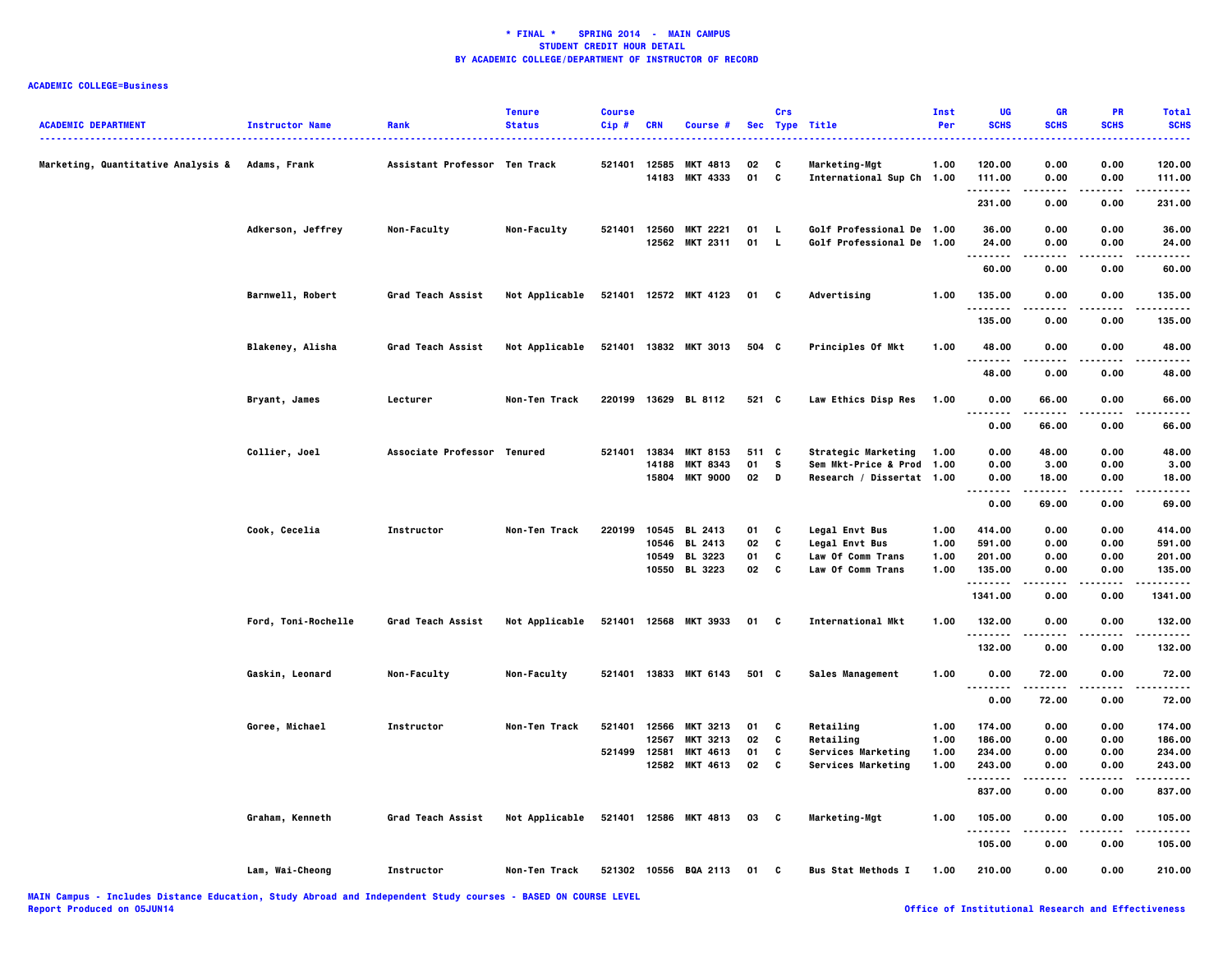| <b>ACADEMIC DEPARTMENT</b>                      | <b>Instructor Name</b> | Rank                          | <b>Tenure</b><br><b>Status</b> | <b>Course</b><br>Cip# | <b>CRN</b> | Course #              |       | Crs          | Sec Type Title             | Inst<br>Per | UG<br><b>SCHS</b> | GR<br><b>SCHS</b>   | PR<br><b>SCHS</b> | <b>Total</b><br><b>SCHS</b> |
|-------------------------------------------------|------------------------|-------------------------------|--------------------------------|-----------------------|------------|-----------------------|-------|--------------|----------------------------|-------------|-------------------|---------------------|-------------------|-----------------------------|
| Marketing, Quantitative Analysis & Adams, Frank |                        | Assistant Professor Ten Track |                                | 521401                | 12585      | <b>MKT 4813</b>       | 02    | c            | Marketing-Mgt              | 1.00        | 120.00            | 0.00                | 0.00              | .<br>120,00                 |
|                                                 |                        |                               |                                |                       | 14183      | <b>MKT 4333</b>       | 01    | $\mathbf{c}$ | International Sup Ch 1.00  |             | 111.00<br>.       | 0.00<br>.           | 0.00<br>.         | 111.00<br>.                 |
|                                                 |                        |                               |                                |                       |            |                       |       |              |                            |             | 231.00            | 0.00                | 0.00              | 231.00                      |
|                                                 | Adkerson, Jeffrey      | Non-Faculty                   | Non-Faculty                    | 521401                | 12560      | <b>MKT 2221</b>       | 01    | L.           | Golf Professional De 1.00  |             | 36.00             | 0.00                | 0.00              | 36.00                       |
|                                                 |                        |                               |                                |                       |            | 12562 MKT 2311        | 01    | $\mathbf{L}$ | Golf Professional De 1.00  |             | 24.00             | 0.00                | 0.00              | 24.00                       |
|                                                 |                        |                               |                                |                       |            |                       |       |              |                            |             | .<br>60.00        | .<br>0.00           | .<br>0.00         | .<br>60.00                  |
|                                                 | Barnwell, Robert       | Grad Teach Assist             | Not Applicable                 |                       |            | 521401 12572 MKT 4123 | 01 C  |              | Advertising                | 1.00        | 135.00            | 0.00                | 0.00              | 135.00                      |
|                                                 |                        |                               |                                |                       |            |                       |       |              |                            |             | .<br>135.00       | -----<br>0.00       | .<br>0.00         | ------<br>135.00            |
|                                                 | Blakeney, Alisha       | Grad Teach Assist             | Not Applicable                 |                       |            | 521401 13832 MKT 3013 | 504 C |              | Principles Of Mkt          | 1.00        | 48.00             | 0.00                | 0.00              | 48.00                       |
|                                                 |                        |                               |                                |                       |            |                       |       |              |                            |             | 48.00             | 0.00                | 0.00              | 48.00                       |
|                                                 | Bryant, James          | Lecturer                      | Non-Ten Track                  | 220199                |            | 13629 BL 8112         | 521 C |              | Law Ethics Disp Res        | 1.00        | 0.00              | 66.00               | 0.00              | 66.00                       |
|                                                 |                        |                               |                                |                       |            |                       |       |              |                            |             | .<br>0.00         | .<br>66.00          | .<br>0.00         | .<br>66.00                  |
|                                                 | Collier, Joel          | Associate Professor Tenured   |                                | 521401                | 13834      | <b>MKT 8153</b>       | 511 C |              | <b>Strategic Marketing</b> | 1.00        | 0.00              | 48.00               | 0.00              | 48.00                       |
|                                                 |                        |                               |                                |                       | 14188      | <b>MKT 8343</b>       | 01    | s            | Sem Mkt-Price & Prod 1.00  |             | 0.00              | 3.00                | 0.00              | 3.00                        |
|                                                 |                        |                               |                                |                       | 15804      | <b>MKT 9000</b>       | 02    | D            | Research / Dissertat 1.00  |             | 0.00<br>          | 18.00<br>-----      | 0.00<br>.         | 18.00<br>-----              |
|                                                 |                        |                               |                                |                       |            |                       |       |              |                            |             | 0.00              | 69.00               | 0.00              | 69.00                       |
|                                                 | Cook, Cecelia          | Instructor                    | Non-Ten Track                  | 220199                |            | 10545 BL 2413         | 01    | C            | <b>Legal Envt Bus</b>      | 1.00        | 414.00            | 0.00                | 0.00              | 414.00                      |
|                                                 |                        |                               |                                |                       | 10546      | <b>BL 2413</b>        | 02    | C            | <b>Legal Envt Bus</b>      | 1.00        | 591.00            | 0.00                | 0.00              | 591.00                      |
|                                                 |                        |                               |                                |                       | 10549      | <b>BL 3223</b>        | 01    | C            | Law Of Comm Trans          | 1.00        | 201.00            | 0.00                | 0.00              | 201.00                      |
|                                                 |                        |                               |                                |                       |            | 10550 BL 3223         | 02    | C            | Law Of Comm Trans          | 1.00        | 135.00<br>.       | 0.00                | 0.00              | 135.00<br>.                 |
|                                                 |                        |                               |                                |                       |            |                       |       |              |                            |             | 1341.00           | 0.00                | 0.00              | 1341.00                     |
|                                                 | Ford, Toni-Rochelle    | <b>Grad Teach Assist</b>      | Not Applicable                 |                       |            | 521401 12568 MKT 3933 | 01 C  |              | International Mkt          | 1.00        | 132.00<br>.       | 0.00                | 0.00<br>$- - - -$ | 132.00<br>                  |
|                                                 |                        |                               |                                |                       |            |                       |       |              |                            |             | 132.00            | 0.00                | 0.00              | 132.00                      |
|                                                 | Gaskin, Leonard        | Non-Faculty                   | Non-Faculty                    |                       |            | 521401 13833 MKT 6143 | 501 C |              | Sales Management           | 1.00        | 0.00<br>--------  | 72.00<br>. <b>.</b> | 0.00<br>.         | 72.00<br>.                  |
|                                                 |                        |                               |                                |                       |            |                       |       |              |                            |             | 0.00              | 72.00               | 0.00              | 72.00                       |
|                                                 | Goree, Michael         | Instructor                    | Non-Ten Track                  | 521401                | 12566      | <b>MKT 3213</b>       | 01    | C            | Retailing                  | 1.00        | 174.00            | 0.00                | 0.00              | 174.00                      |
|                                                 |                        |                               |                                |                       | 12567      | <b>MKT 3213</b>       | 02    | C            | Retailing                  | 1.00        | 186.00            | 0.00                | 0.00              | 186.00                      |
|                                                 |                        |                               |                                | 521499                | 12581      | MKT 4613              | 01    | C            | Services Marketing         | 1.00        | 234.00            | 0.00                | 0.00              | 234.00                      |
|                                                 |                        |                               |                                |                       |            | 12582 MKT 4613        | 02    | C            | Services Marketing         | 1.00        | 243.00<br>.       | 0.00                | 0.00              | 243.00<br>.                 |
|                                                 |                        |                               |                                |                       |            |                       |       |              |                            |             | 837.00            | 0.00                | 0.00              | 837.00                      |
|                                                 | Graham, Kenneth        | Grad Teach Assist             | Not Applicable                 |                       |            | 521401 12586 MKT 4813 | 03    | $\mathbf{c}$ | Marketing-Mgt              | 1.00        | 105.00<br>.       | 0.00                | 0.00<br>$- - - -$ | 105.00<br>.                 |
|                                                 |                        |                               |                                |                       |            |                       |       |              |                            |             | 105.00            | 0.00                | 0.00              | 105.00                      |
|                                                 | Lam, Wai-Cheong        | Instructor                    | Non-Ten Track                  |                       |            | 521302 10556 BQA 2113 | 01    | c            | <b>Bus Stat Methods I</b>  | 1.00        | 210.00            | 0.00                | 0.00              | 210.00                      |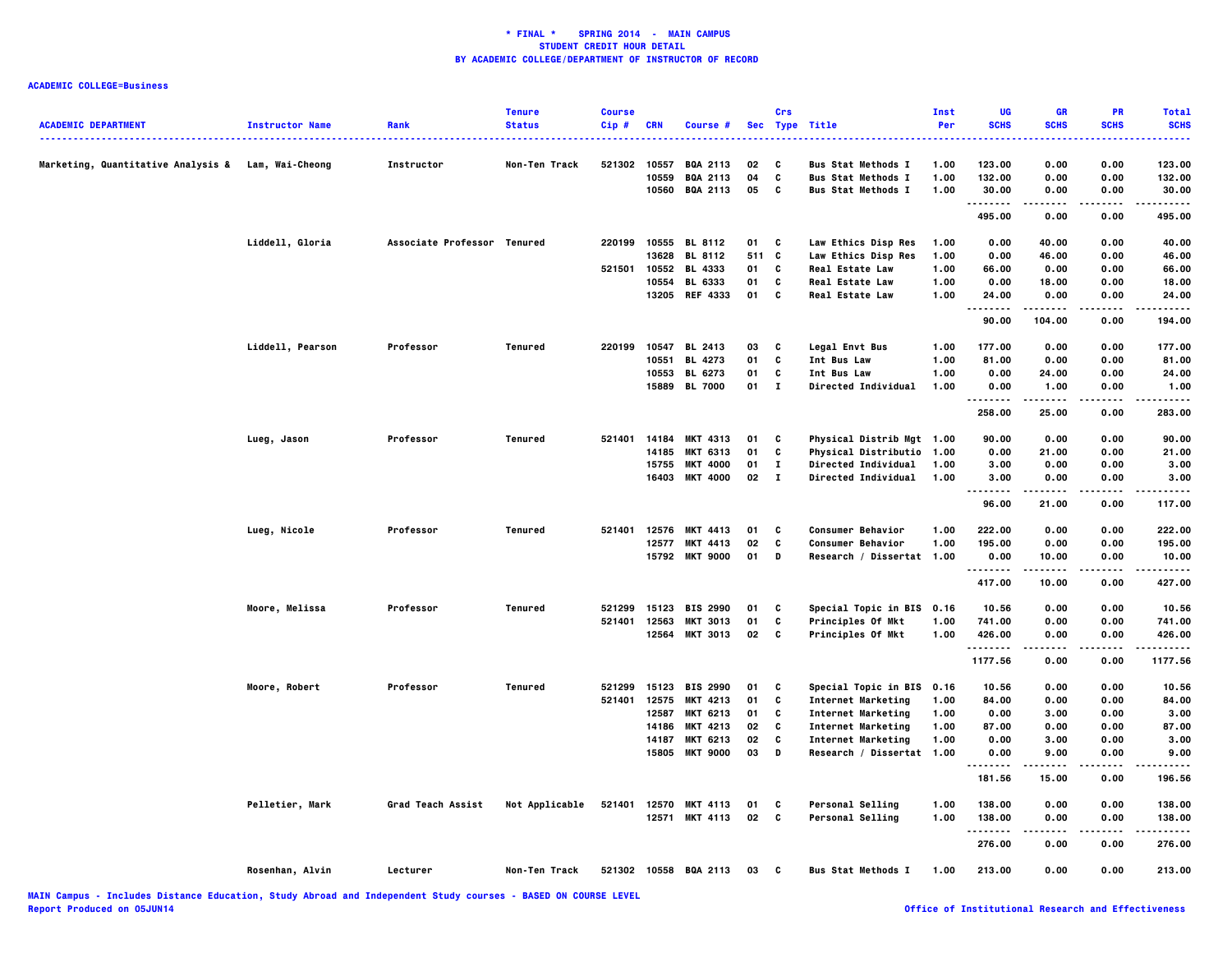|                                                    |                        |                             | <b>Tenure</b>  | <b>Course</b> |            |                       |            | Crs          |                            | <b>Inst</b> | UG             | <b>GR</b>   | PR                | <b>Total</b>           |
|----------------------------------------------------|------------------------|-----------------------------|----------------|---------------|------------|-----------------------|------------|--------------|----------------------------|-------------|----------------|-------------|-------------------|------------------------|
| <b>ACADEMIC DEPARTMENT</b>                         | <b>Instructor Name</b> | Rank                        | <b>Status</b>  | $Cip$ #       | <b>CRN</b> | Course #              | <b>Sec</b> |              | <b>Type Title</b>          | Per         | <b>SCHS</b>    | <b>SCHS</b> | <b>SCHS</b>       | <b>SCHS</b>            |
| Marketing, Quantitative Analysis & Lam, Wai-Cheong |                        | Instructor                  | Non-Ten Track  | 521302        | 10557      | <b>BQA 2113</b>       | 02         | C            | <b>Bus Stat Methods I</b>  | 1.00        | 123.00         | 0.00        | 0.00              | 123.00                 |
|                                                    |                        |                             |                |               | 10559      | <b>BQA 2113</b>       | 04         | C            | <b>Bus Stat Methods I</b>  | 1.00        | 132.00         | 0.00        | 0.00              | 132.00                 |
|                                                    |                        |                             |                |               |            | 10560 BQA 2113        | 05         | <b>C</b>     | <b>Bus Stat Methods I</b>  | 1.00        | 30.00<br>.     | 0.00<br>.   | 0.00              | 30.00                  |
|                                                    |                        |                             |                |               |            |                       |            |              |                            |             | 495.00         | 0.00        | 0.00              | 495.00                 |
|                                                    | Liddell, Gloria        | Associate Professor Tenured |                |               |            | 220199 10555 BL 8112  | 01 C       |              | Law Ethics Disp Res        | 1.00        | 0.00           | 40.00       | 0.00              | 40.00                  |
|                                                    |                        |                             |                |               | 13628      | <b>BL 8112</b>        | 511 C      |              | Law Ethics Disp Res        | 1.00        | 0.00           | 46.00       | 0.00              | 46.00                  |
|                                                    |                        |                             |                | 521501        | 10552      | <b>BL 4333</b>        | 01         | C            | <b>Real Estate Law</b>     | 1.00        | 66.00          | 0.00        | 0.00              | 66.00                  |
|                                                    |                        |                             |                |               | 10554      | BL 6333               | 01         | C            | <b>Real Estate Law</b>     | 1.00        | 0.00           | 18.00       | 0.00              | 18.00                  |
|                                                    |                        |                             |                |               |            | 13205 REF 4333        | 01 C       |              | <b>Real Estate Law</b>     | 1.00        | 24.00<br>.     | 0.00<br>.   | 0.00<br>.         | 24.00<br>.             |
|                                                    |                        |                             |                |               |            |                       |            |              |                            |             | 90.00          | 104.00      | 0.00              | 194.00                 |
|                                                    | Liddell, Pearson       | Professor                   | <b>Tenured</b> | 220199        | 10547      | <b>BL 2413</b>        | 03         | C            | <b>Legal Envt Bus</b>      | 1.00        | 177.00         | 0.00        | 0.00              | 177.00                 |
|                                                    |                        |                             |                |               | 10551      | <b>BL 4273</b>        | 01         | C            | Int Bus Law                | 1.00        | 81.00          | 0.00        | 0.00              | 81.00                  |
|                                                    |                        |                             |                |               | 10553      | <b>BL 6273</b>        | 01         | C            | <b>Int Bus Law</b>         | 1.00        | 0.00           | 24.00       | 0.00              | 24.00                  |
|                                                    |                        |                             |                |               |            | 15889 BL 7000         | $01$ I     |              | <b>Directed Individual</b> | 1.00        | 0.00<br>.      | 1.00<br>.   | 0.00<br>.         | 1.00                   |
|                                                    |                        |                             |                |               |            |                       |            |              |                            |             | 258.00         | 25.00       | 0.00              | 283.00                 |
|                                                    | Lueg, Jason            | Professor                   | Tenured        | 521401        |            | 14184 MKT 4313        | 01         | C            | Physical Distrib Mgt 1.00  |             | 90.00          | 0.00        | 0.00              | 90.00                  |
|                                                    |                        |                             |                |               | 14185      | <b>MKT 6313</b>       | 01         | C            | Physical Distributio 1.00  |             | 0.00           | 21.00       | 0.00              | 21.00                  |
|                                                    |                        |                             |                |               | 15755      | <b>MKT 4000</b>       | 01         | $\mathbf{I}$ | Directed Individual        | 1.00        | 3.00           | 0.00        | 0.00              | 3.00                   |
|                                                    |                        |                             |                |               |            | 16403 MKT 4000        | 02         | $\mathbf{I}$ | <b>Directed Individual</b> | 1.00        | 3.00           | 0.00        | 0.00              | 3.00                   |
|                                                    |                        |                             |                |               |            |                       |            |              |                            |             | <br>96.00      | .<br>21.00  | .<br>0.00         | .<br>117.00            |
|                                                    | Lueg, Nicole           | Professor                   | <b>Tenured</b> |               |            | 521401 12576 MKT 4413 | 01         | C            | <b>Consumer Behavior</b>   | 1.00        | 222.00         | 0.00        | 0.00              | 222.00                 |
|                                                    |                        |                             |                |               | 12577      | <b>MKT 4413</b>       | 02         | C            | <b>Consumer Behavior</b>   | 1.00        | 195.00         | 0.00        | 0.00              | 195.00                 |
|                                                    |                        |                             |                |               | 15792      | <b>MKT 9000</b>       | 01         | D            | Research / Dissertat 1.00  |             | 0.00           | 10.00       | 0.00              | 10.00                  |
|                                                    |                        |                             |                |               |            |                       |            |              |                            |             | .              |             |                   |                        |
|                                                    |                        |                             |                |               |            |                       |            |              |                            |             | 417.00         | 10.00       | 0.00              | 427.00                 |
|                                                    | Moore, Melissa         | Professor                   | <b>Tenured</b> | 521299        | 15123      | <b>BIS 2990</b>       | 01         | C            | Special Topic in BIS 0.16  |             | 10.56          | 0.00        | 0.00              | 10.56                  |
|                                                    |                        |                             |                | 521401        | 12563      | <b>MKT 3013</b>       | 01         | C            | Principles Of Mkt          | 1.00        | 741.00         | 0.00        | 0.00              | 741.00                 |
|                                                    |                        |                             |                |               |            | 12564 MKT 3013        | 02 C       |              | Principles Of Mkt          | 1.00        | 426.00<br>.    | 0.00<br>.   | 0.00<br>.         | 426.00<br>.            |
|                                                    |                        |                             |                |               |            |                       |            |              |                            |             | 1177.56        | 0.00        | 0.00              | 1177.56                |
|                                                    | Moore, Robert          | Professor                   | Tenured        | 521299        |            | 15123 BIS 2990        | 01         | $\mathbf{c}$ | Special Topic in BIS 0.16  |             | 10.56          | 0.00        | 0.00              | 10.56                  |
|                                                    |                        |                             |                | 521401        | 12575      | <b>MKT 4213</b>       | 01         | C            | Internet Marketing         | 1.00        | 84.00          | 0.00        | 0.00              | 84.00                  |
|                                                    |                        |                             |                |               | 12587      | <b>MKT 6213</b>       | 01         | c            | Internet Marketing         | 1.00        | 0.00           | 3.00        | 0.00              | 3.00                   |
|                                                    |                        |                             |                |               | 14186      | <b>MKT 4213</b>       | 02         | C            | Internet Marketing         | 1.00        | 87.00          | 0.00        | 0.00              | 87.00                  |
|                                                    |                        |                             |                |               | 14187      | <b>MKT 6213</b>       | 02         | C            | Internet Marketing         | 1.00        | 0.00           | 3.00        | 0.00              | 3.00                   |
|                                                    |                        |                             |                |               | 15805      | <b>MKT 9000</b>       | 03         | D            | Research / Dissertat 1.00  |             | 0.00<br>.<br>. | 9.00        | 0.00<br>$- - - -$ | 9.00                   |
|                                                    |                        |                             |                |               |            |                       |            |              |                            |             | 181.56         | 15.00       | 0.00              | 196.56                 |
|                                                    | Pelletier, Mark        | Grad Teach Assist           | Not Applicable | 521401        |            | 12570 MKT 4113        | 01         | C            | Personal Selling           | 1.00        | 138.00         | 0.00        | 0.00              | 138,00                 |
|                                                    |                        |                             |                |               |            | 12571 MKT 4113        | 02         | $\mathbf{c}$ | <b>Personal Selling</b>    | 1.00        | 138.00         | 0.00        | 0.00              | 138.00                 |
|                                                    |                        |                             |                |               |            |                       |            |              |                            |             | .<br>276.00    | .<br>0.00   | .<br>0.00         | . <b>.</b> .<br>276.00 |
|                                                    | Rosenhan, Alvin        | Lecturer                    | Non-Ten Track  | 521302 10558  |            | <b>BQA 2113</b>       | 03         | C            | <b>Bus Stat Methods I</b>  | 1.00        | 213.00         | 0.00        | 0.00              | 213.00                 |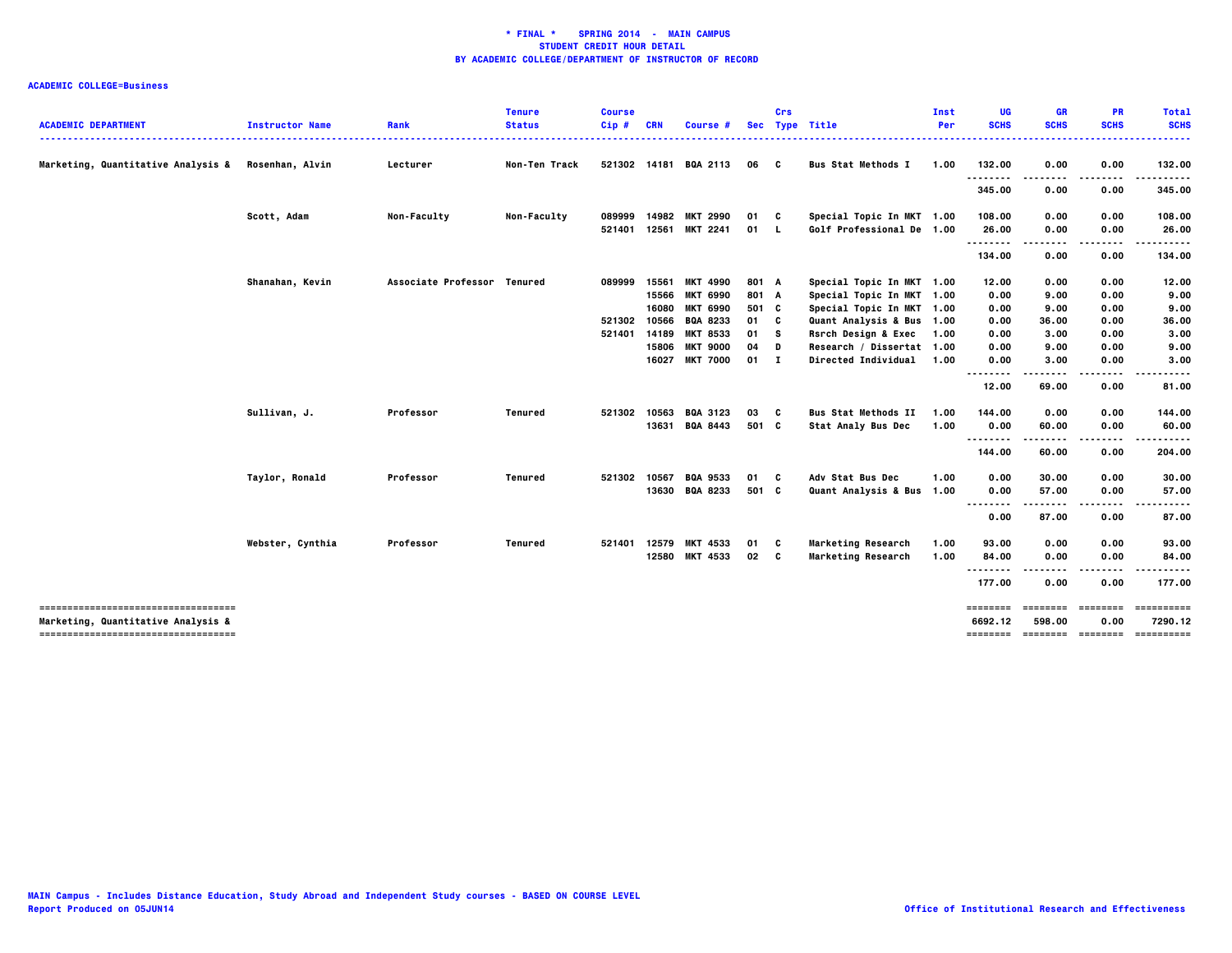|                                                                           |                        |                             | <b>Tenure</b> | <b>Course</b> |            |                       |            | Crs |                            | Inst       | UG                  | <b>GR</b>      | PR                       | <b>Total</b>                                                                                                                                                                                                                                                                                                                                                                                                                                                                                      |
|---------------------------------------------------------------------------|------------------------|-----------------------------|---------------|---------------|------------|-----------------------|------------|-----|----------------------------|------------|---------------------|----------------|--------------------------|---------------------------------------------------------------------------------------------------------------------------------------------------------------------------------------------------------------------------------------------------------------------------------------------------------------------------------------------------------------------------------------------------------------------------------------------------------------------------------------------------|
| <b>ACADEMIC DEPARTMENT</b>                                                | <b>Instructor Name</b> | Rank                        | <b>Status</b> | $Cip$ #       | <b>CRN</b> | Course #              | <b>Sec</b> |     | <b>Type Title</b>          | <b>Per</b> | <b>SCHS</b>         | <b>SCHS</b>    | <b>SCHS</b>              | <b>SCHS</b><br>-----                                                                                                                                                                                                                                                                                                                                                                                                                                                                              |
| Marketing, Quantitative Analysis &                                        | Rosenhan, Alvin        | Lecturer                    | Non-Ten Track |               |            | 521302 14181 BQA 2113 | 06 C       |     | <b>Bus Stat Methods I</b>  | 1.00       | 132.00              | 0.00           | 0.00                     | 132.00                                                                                                                                                                                                                                                                                                                                                                                                                                                                                            |
|                                                                           |                        |                             |               |               |            |                       |            |     |                            |            | .<br>345.00         | 0.00           | .<br>0.00                | .<br>345.00                                                                                                                                                                                                                                                                                                                                                                                                                                                                                       |
|                                                                           | Scott, Adam            | Non-Faculty                 | Non-Faculty   | 089999        |            | 14982 MKT 2990        | 01         | C   | Special Topic In MKT 1.00  |            | 108.00              | 0.00           | 0.00                     | 108.00                                                                                                                                                                                                                                                                                                                                                                                                                                                                                            |
|                                                                           |                        |                             |               | 521401        | 12561      | <b>MKT 2241</b>       | 01 L       |     | Golf Professional De 1.00  |            | 26.00<br>.          | 0.00           | 0.00                     | 26.00                                                                                                                                                                                                                                                                                                                                                                                                                                                                                             |
|                                                                           |                        |                             |               |               |            |                       |            |     |                            |            | 134.00              | 0.00           | 0.00                     | 134.00                                                                                                                                                                                                                                                                                                                                                                                                                                                                                            |
|                                                                           | Shanahan, Kevin        | Associate Professor Tenured |               | 089999        | 15561      | <b>MKT 4990</b>       | 801 A      |     | Special Topic In MKT 1.00  |            | 12.00               | 0.00           | 0.00                     | 12.00                                                                                                                                                                                                                                                                                                                                                                                                                                                                                             |
|                                                                           |                        |                             |               |               | 15566      | <b>MKT 6990</b>       | 801 A      |     | Special Topic In MKT 1.00  |            | 0.00                | 9.00           | 0.00                     | 9.00                                                                                                                                                                                                                                                                                                                                                                                                                                                                                              |
|                                                                           |                        |                             |               |               | 16080      | <b>MKT 6990</b>       | 501 C      |     | Special Topic In MKT 1.00  |            | 0.00                | 9.00           | 0.00                     | 9.00                                                                                                                                                                                                                                                                                                                                                                                                                                                                                              |
|                                                                           |                        |                             |               | 521302        | 10566      | <b>BQA 8233</b>       | 01         | C   | Quant Analysis & Bus 1.00  |            | 0.00                | 36.00          | 0.00                     | 36.00                                                                                                                                                                                                                                                                                                                                                                                                                                                                                             |
|                                                                           |                        |                             |               | 521401        | 14189      | <b>MKT 8533</b>       | 01         | s   | Rsrch Design & Exec        | 1.00       | 0.00                | 3.00           | 0.00                     | 3.00                                                                                                                                                                                                                                                                                                                                                                                                                                                                                              |
|                                                                           |                        |                             |               |               | 15806      | <b>MKT 9000</b>       | 04         | D   | Research / Dissertat 1.00  |            | 0.00                | 9.00           | 0.00                     | 9.00                                                                                                                                                                                                                                                                                                                                                                                                                                                                                              |
|                                                                           |                        |                             |               |               | 16027      | <b>MKT 7000</b>       | 01 I       |     | <b>Directed Individual</b> | 1.00       | 0.00                | 3.00           | 0.00                     | 3.00                                                                                                                                                                                                                                                                                                                                                                                                                                                                                              |
|                                                                           |                        |                             |               |               |            |                       |            |     |                            |            | <br>12.00           | 69.00          | 0.00                     | 81.00                                                                                                                                                                                                                                                                                                                                                                                                                                                                                             |
|                                                                           | Sullivan, J.           | Professor                   | Tenured       | 521302        | 10563      | <b>BQA 3123</b>       | 03         | C   | <b>Bus Stat Methods II</b> | 1.00       | 144.00              | 0.00           | 0.00                     | 144.00                                                                                                                                                                                                                                                                                                                                                                                                                                                                                            |
|                                                                           |                        |                             |               |               |            | 13631 BQA 8443        | 501 C      |     | <b>Stat Analy Bus Dec</b>  | 1.00       | 0.00                | 60.00          | 0.00                     | 60.00                                                                                                                                                                                                                                                                                                                                                                                                                                                                                             |
|                                                                           |                        |                             |               |               |            |                       |            |     |                            |            | <br>144.00          | -----<br>60.00 | .<br>0.00                | .<br>204.00                                                                                                                                                                                                                                                                                                                                                                                                                                                                                       |
|                                                                           | Taylor, Ronald         | Professor                   | Tenured       | 521302        | 10567      | <b>BQA 9533</b>       | 01         | C   | Adv Stat Bus Dec           | 1.00       | 0.00                | 30.00          | 0.00                     | 30.00                                                                                                                                                                                                                                                                                                                                                                                                                                                                                             |
|                                                                           |                        |                             |               |               |            | 13630 BQA 8233        | 501 C      |     | Quant Analysis & Bus 1.00  |            | 0.00                | 57.00          | 0.00                     | 57.00                                                                                                                                                                                                                                                                                                                                                                                                                                                                                             |
|                                                                           |                        |                             |               |               |            |                       |            |     |                            |            | <br>0.00            | .<br>87.00     | .<br>0.00                | 87.00                                                                                                                                                                                                                                                                                                                                                                                                                                                                                             |
|                                                                           | Webster, Cynthia       | Professor                   | Tenured       | 521401        | 12579      | <b>MKT 4533</b>       | 01         | C   | Marketing Research         | 1.00       | 93.00               | 0.00           | 0.00                     | 93.00                                                                                                                                                                                                                                                                                                                                                                                                                                                                                             |
|                                                                           |                        |                             |               |               |            | 12580 MKT 4533        | 02         | C   | Marketing Research         | 1.00       | 84.00               | 0.00           | 0.00                     | 84.00                                                                                                                                                                                                                                                                                                                                                                                                                                                                                             |
|                                                                           |                        |                             |               |               |            |                       |            |     |                            |            | <br>177.00          | ----<br>0.00   | 0.00                     | 177.00                                                                                                                                                                                                                                                                                                                                                                                                                                                                                            |
| -------------------------------------                                     |                        |                             |               |               |            |                       |            |     |                            |            | ========            | ========       | <b>EDESSER</b>           | ==========                                                                                                                                                                                                                                                                                                                                                                                                                                                                                        |
| Marketing, Quantitative Analysis &<br>----------------------------------- |                        |                             |               |               |            |                       |            |     |                            |            | 6692.12<br>======== | 598.00         | 0.00<br>======== ======= | 7290.12<br>$\begin{array}{cccccccccc} \multicolumn{2}{c}{} & \multicolumn{2}{c}{} & \multicolumn{2}{c}{} & \multicolumn{2}{c}{} & \multicolumn{2}{c}{} & \multicolumn{2}{c}{} & \multicolumn{2}{c}{} & \multicolumn{2}{c}{} & \multicolumn{2}{c}{} & \multicolumn{2}{c}{} & \multicolumn{2}{c}{} & \multicolumn{2}{c}{} & \multicolumn{2}{c}{} & \multicolumn{2}{c}{} & \multicolumn{2}{c}{} & \multicolumn{2}{c}{} & \multicolumn{2}{c}{} & \multicolumn{2}{c}{} & \multicolumn{2}{c}{} & \mult$ |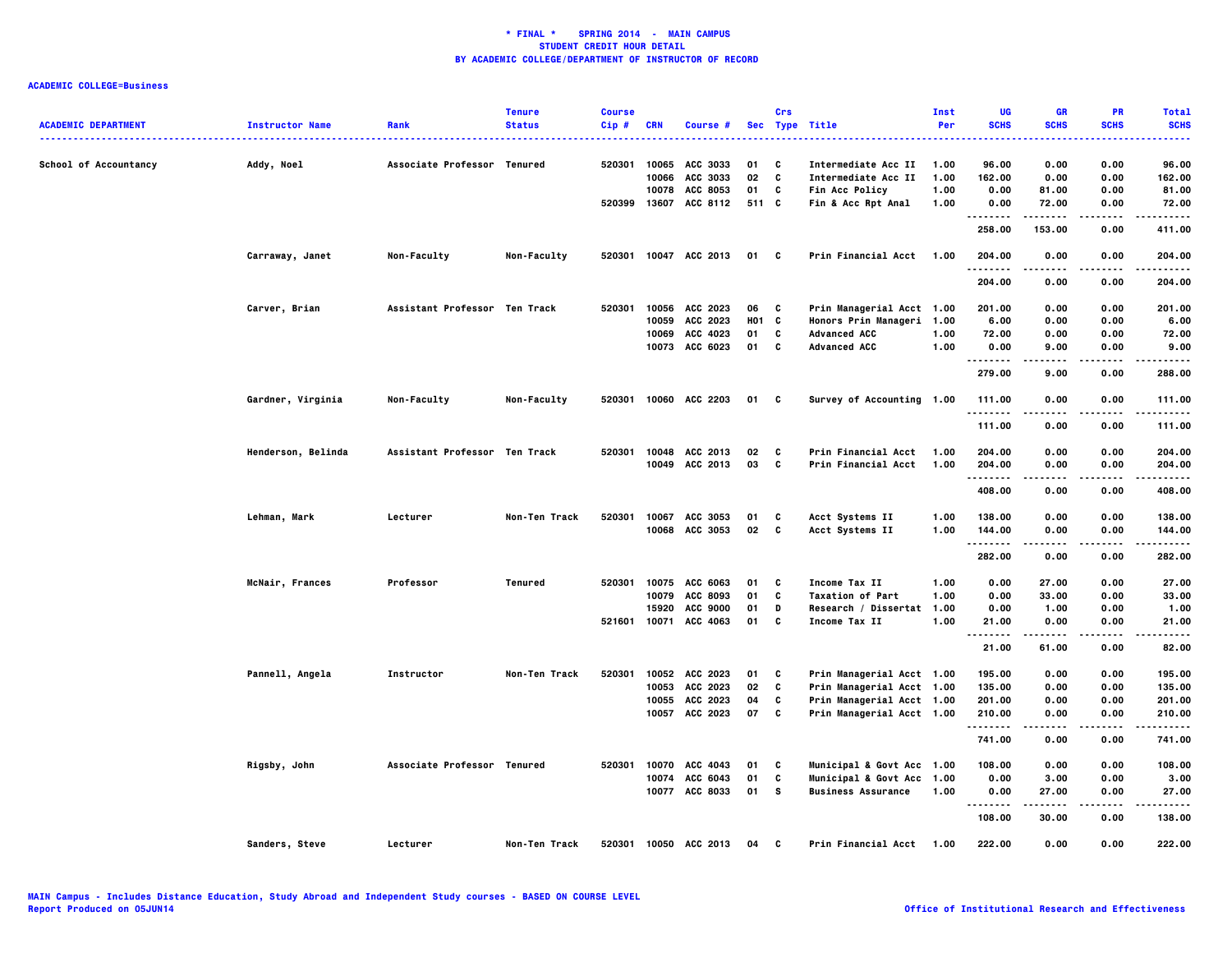|                            |                        |                               | <b>Tenure</b>        | <b>Course</b> |            |                       |       | Crs |                           | Inst | UG                      | <b>GR</b>     | PR          | <b>Total</b> |
|----------------------------|------------------------|-------------------------------|----------------------|---------------|------------|-----------------------|-------|-----|---------------------------|------|-------------------------|---------------|-------------|--------------|
| <b>ACADEMIC DEPARTMENT</b> | <b>Instructor Name</b> | Rank                          | <b>Status</b>        | Cip#          | <b>CRN</b> | Course #              |       |     | Sec Type Title            | Per  | <b>SCHS</b>             | <b>SCHS</b>   | <b>SCHS</b> | <b>SCHS</b>  |
| School of Accountancy      | Addy, Noel             | Associate Professor Tenured   |                      | 520301        | 10065      | ACC 3033              | 01    | C   | Intermediate Acc II       | 1.00 | 96.00                   | 0.00          | 0.00        | 96.00        |
|                            |                        |                               |                      |               | 10066      | ACC 3033              | 02    | C   | Intermediate Acc II       | 1.00 | 162.00                  | 0.00          | 0.00        | 162.00       |
|                            |                        |                               |                      |               | 10078      | <b>ACC 8053</b>       | 01    | C   | <b>Fin Acc Policy</b>     | 1.00 | 0.00                    | 81.00         | 0.00        | 81.00        |
|                            |                        |                               |                      | 520399        |            | 13607 ACC 8112        | 511 C |     | Fin & Acc Rpt Anal        | 1.00 | 0.00<br>- - - - - - - - | 72.00         | 0.00        | 72.00        |
|                            |                        |                               |                      |               |            |                       |       |     |                           |      | 258.00                  | 153.00        | 0.00        | 411.00       |
|                            | Carraway, Janet        | Non-Faculty                   | Non-Faculty          |               |            | 520301 10047 ACC 2013 | 01    | C   | Prin Financial Acct       | 1.00 | 204.00<br>. <b>.</b>    | 0.00<br>.     | 0.00        | 204.00<br>.  |
|                            |                        |                               |                      |               |            |                       |       |     |                           |      | 204.00                  | 0.00          | 0.00        | 204.00       |
|                            | Carver, Brian          | Assistant Professor Ten Track |                      | 520301        | 10056      | ACC 2023              | 06    | C   | Prin Managerial Acct 1.00 |      | 201.00                  | 0.00          | 0.00        | 201.00       |
|                            |                        |                               |                      |               | 10059      | ACC 2023              | H01 C |     | Honors Prin Manageri 1.00 |      | 6.00                    | 0.00          | 0.00        | 6.00         |
|                            |                        |                               |                      |               |            | 10069 ACC 4023        | 01    | C   | <b>Advanced ACC</b>       | 1.00 | 72.00                   | 0.00          | 0.00        | 72.00        |
|                            |                        |                               |                      |               |            | 10073 ACC 6023        | 01    | C   | <b>Advanced ACC</b>       | 1.00 | 0.00<br>.               | 9.00          | 0.00        | 9.00<br>.    |
|                            |                        |                               |                      |               |            |                       |       |     |                           |      | 279.00                  | 9.00          | 0.00        | 288.00       |
|                            | Gardner, Virginia      | Non-Faculty                   | Non-Faculty          | 520301        |            | 10060 ACC 2203        | 01 C  |     | Survey of Accounting 1.00 |      | 111.00<br>.             | 0.00          | 0.00<br>.   | 111.00<br>.  |
|                            |                        |                               |                      |               |            |                       |       |     |                           |      | 111.00                  | 0.00          | 0.00        | 111.00       |
|                            | Henderson, Belinda     | Assistant Professor Ten Track |                      | 520301        | 10048      | ACC 2013              | 02    | C   | Prin Financial Acct       | 1.00 | 204.00                  | 0.00          | 0.00        | 204.00       |
|                            |                        |                               |                      |               |            | 10049 ACC 2013        | 03    | C   | Prin Financial Acct       | 1.00 | 204.00                  | 0.00          | 0.00        | 204.00       |
|                            |                        |                               |                      |               |            |                       |       |     |                           |      | .<br>408.00             | 0.00          | 0.00        | .<br>408.00  |
|                            | Lehman, Mark           | Lecturer                      | <b>Non-Ten Track</b> | 520301        |            | 10067 ACC 3053        | 01    | C   | Acct Systems II           | 1.00 | 138.00                  | 0.00          | 0.00        | 138.00       |
|                            |                        |                               |                      |               |            | 10068 ACC 3053        | 02    | C   | Acct Systems II           | 1.00 | 144.00                  | 0.00          | 0.00        | 144.00       |
|                            |                        |                               |                      |               |            |                       |       |     |                           |      | .<br>282.00             | -----<br>0.00 | .<br>0.00   | .<br>282.00  |
|                            | McNair, Frances        | Professor                     | Tenured              | 520301        | 10075      | ACC 6063              | 01    | C   | <b>Income Tax II</b>      | 1.00 | 0.00                    | 27.00         | 0.00        | 27.00        |
|                            |                        |                               |                      |               | 10079      | ACC 8093              | 01    | C   | <b>Taxation of Part</b>   | 1.00 | 0.00                    | 33.00         | 0.00        | 33.00        |
|                            |                        |                               |                      |               | 15920      | <b>ACC 9000</b>       | 01    | D   | Research / Dissertat 1.00 |      | 0.00                    | 1.00          | 0.00        | 1.00         |
|                            |                        |                               |                      | 521601        | 10071      | ACC 4063              | 01    | c   | Income Tax II             | 1.00 | 21.00                   | 0.00          | 0.00        | 21.00        |
|                            |                        |                               |                      |               |            |                       |       |     |                           |      | <br>21.00               | 61.00         | 0.00        | 82.00        |
|                            | Pannell, Angela        | Instructor                    | Non-Ten Track        | 520301        |            | 10052 ACC 2023        | 01    | C   | Prin Managerial Acct 1.00 |      | 195.00                  | 0.00          | 0.00        | 195.00       |
|                            |                        |                               |                      |               | 10053      | ACC 2023              | 02    | C   | Prin Managerial Acct 1.00 |      | 135.00                  | 0.00          | 0.00        | 135.00       |
|                            |                        |                               |                      |               |            | 10055 ACC 2023        | 04    | C   | Prin Managerial Acct 1.00 |      | 201.00                  | 0.00          | 0.00        | 201.00       |
|                            |                        |                               |                      |               |            | 10057 ACC 2023        | 07    | C   | Prin Managerial Acct 1.00 |      | 210.00                  | 0.00          | 0.00        | 210.00       |
|                            |                        |                               |                      |               |            |                       |       |     |                           |      | .<br>741.00             | 0.00          | 0.00        | .<br>741.00  |
|                            | Rigsby, John           | Associate Professor Tenured   |                      | 520301        |            | 10070 ACC 4043        | 01    | C   | Municipal & Govt Acc 1.00 |      | 108.00                  | 0.00          | 0.00        | 108.00       |
|                            |                        |                               |                      |               |            | 10074 ACC 6043        | 01    | C   | Municipal & Govt Acc 1.00 |      | 0.00                    | 3.00          | 0.00        | 3.00         |
|                            |                        |                               |                      |               |            | 10077 ACC 8033        | 01    | s.  | <b>Business Assurance</b> | 1.00 | 0.00                    | 27.00         | 0.00        | 27.00        |
|                            |                        |                               |                      |               |            |                       |       |     |                           |      | <br>108.00              | 30.00         | 0.00        | 138.00       |
|                            | Sanders, Steve         | Lecturer                      | Non-Ten Track        |               |            | 520301 10050 ACC 2013 | 04    | C   | Prin Financial Acct 1.00  |      | 222.00                  | 0.00          | 0.00        | 222.00       |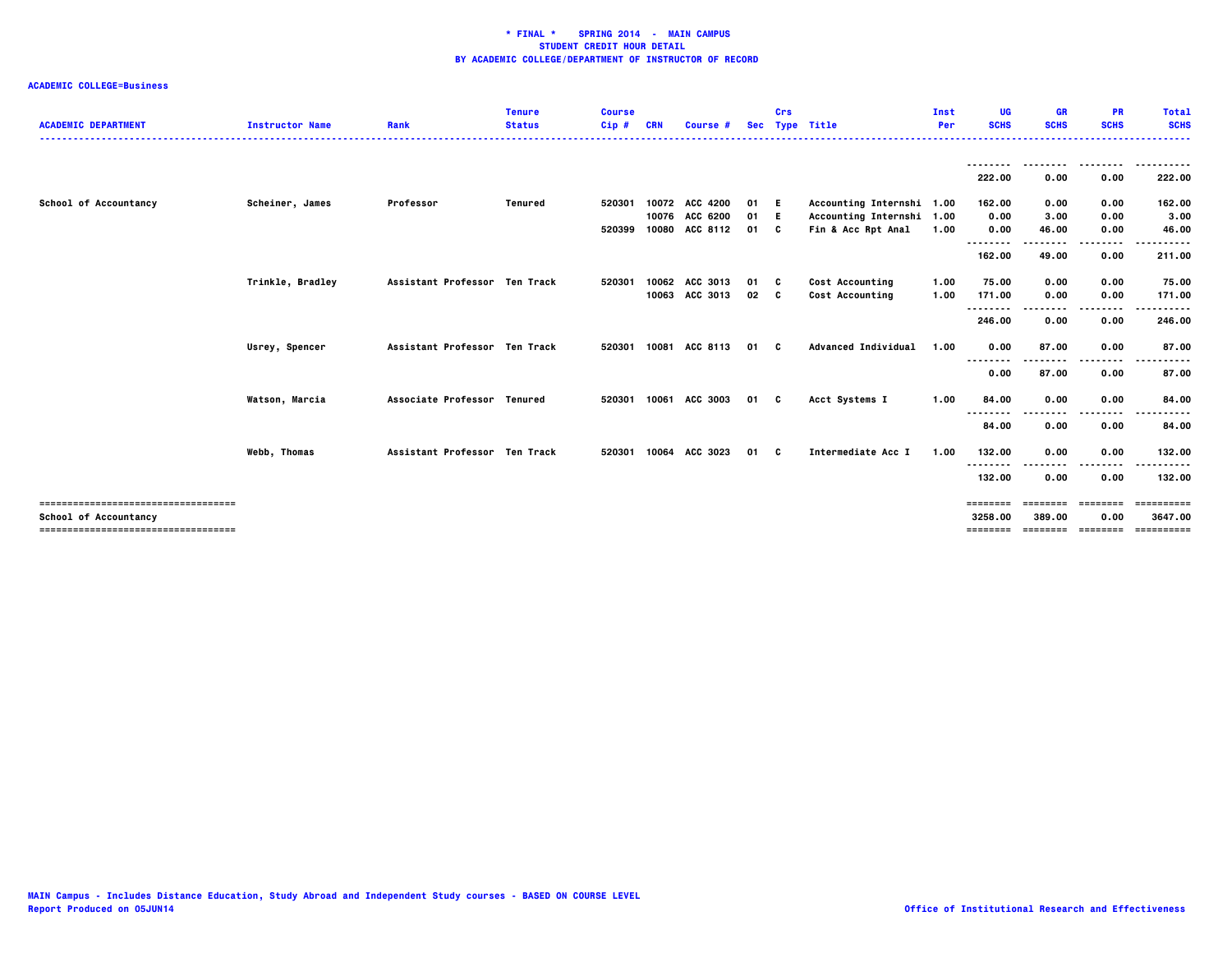| <b>ACADEMIC DEPARTMENT</b>                                     | <b>Instructor Name</b> | Rank                          | <b>Tenure</b><br><b>Status</b> | <b>Course</b><br>$Cip$ # | CRN   | <b>Course #</b>                                    | <b>Sec</b>           | Crs | <b>Type Title</b>                                                            | Inst<br>Per  | <b>UG</b><br><b>SCHS</b>        | <b>GR</b><br><b>SCHS</b>       | <b>PR</b><br><b>SCHS</b>          | <b>Total</b><br><b>SCHS</b>         |
|----------------------------------------------------------------|------------------------|-------------------------------|--------------------------------|--------------------------|-------|----------------------------------------------------|----------------------|-----|------------------------------------------------------------------------------|--------------|---------------------------------|--------------------------------|-----------------------------------|-------------------------------------|
|                                                                |                        |                               |                                |                          |       |                                                    |                      |     |                                                                              |              | 222.00                          | 0.00                           | 0.00                              | 222.00                              |
| School of Accountancy                                          | Scheiner, James        | Professor                     | Tenured                        | 520301<br>520399         |       | 10072 ACC 4200<br>10076 ACC 6200<br>10080 ACC 8112 | 01 E<br>01 E<br>01 C |     | Accounting Internshi 1.00<br>Accounting Internshi 1.00<br>Fin & Acc Rpt Anal | 1.00         | 162.00<br>0.00<br>0.00          | 0.00<br>3.00<br>46.00          | 0.00<br>0.00<br>0.00              | 162.00<br>3.00<br>46.00             |
|                                                                |                        |                               |                                |                          |       |                                                    |                      |     |                                                                              |              | <br>162.00                      | 49.00                          | .<br>0.00                         | .<br>211.00                         |
|                                                                | Trinkle, Bradley       | Assistant Professor Ten Track |                                | 520301                   | 10062 | ACC 3013<br>10063 ACC 3013                         | 01 C<br>$02 \quad C$ |     | Cost Accounting<br>Cost Accounting                                           | 1.00<br>1.00 | 75.00<br>171.00<br>--------     | 0.00<br>0.00                   | 0.00<br>0.00<br>.                 | 75.00<br>171.00                     |
|                                                                | Usrey, Spencer         | Assistant Professor Ten Track |                                | 520301                   | 10081 | ACC 8113                                           | 01 C                 |     | <b>Advanced Individual</b>                                                   | 1.00         | 246.00<br>0.00                  | 0.00<br>87.00                  | 0.00<br>0.00                      | 246.00<br>87.00                     |
|                                                                |                        |                               |                                |                          |       |                                                    |                      |     |                                                                              |              | .<br>0.00                       | 87.00                          | .<br>0.00                         | .<br>87.00                          |
|                                                                | Watson, Marcia         | Associate Professor Tenured   |                                | 520301                   | 10061 | ACC 3003                                           | 01 C                 |     | Acct Systems I                                                               | 1.00         | 84.00<br>--------<br>84.00      | 0.00<br>0.00                   | 0.00<br>.<br>0.00                 | 84.00<br>.<br>84.00                 |
|                                                                | Webb, Thomas           | Assistant Professor Ten Track |                                | 520301                   | 10064 | ACC 3023                                           | 01 C                 |     | Intermediate Acc I                                                           | 1.00         | 132.00                          | 0.00                           | 0.00                              | 132.00<br>.                         |
|                                                                |                        |                               |                                |                          |       |                                                    |                      |     |                                                                              |              | --------<br>132.00              | 0.00                           | ----<br>0.00                      | 132.00                              |
| -------------------------------------<br>School of Accountancy |                        |                               |                                |                          |       |                                                    |                      |     |                                                                              |              | ========<br>3258.00<br>======== | ========<br>389.00<br>======== | $= 122222222$<br>0.00<br>======== | ==========<br>3647.00<br>========== |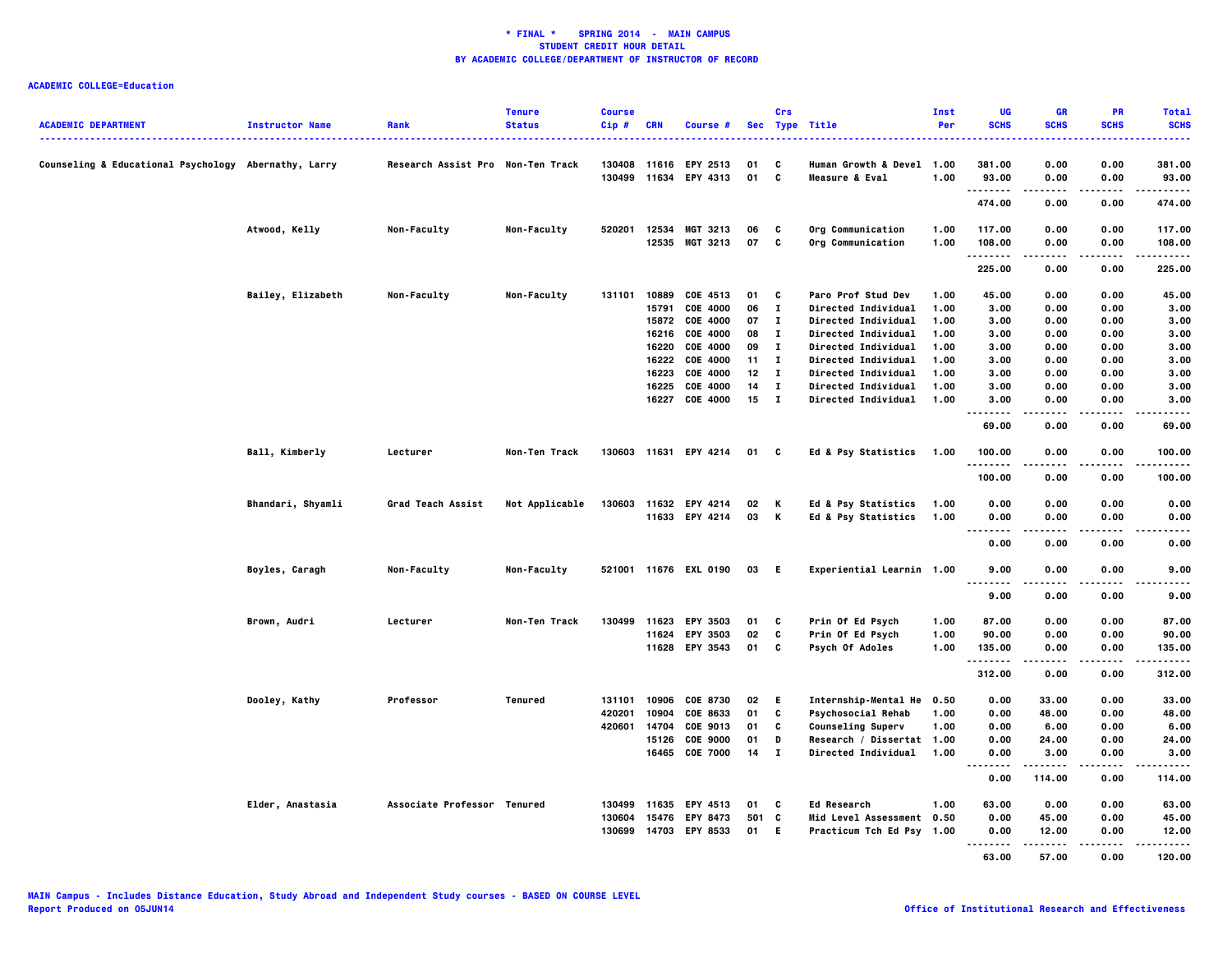| <b>ACADEMIC DEPARTMENT</b>                           | <b>Instructor Name</b> | Rank                              | <b>Tenure</b><br><b>Status</b> | <b>Course</b><br>Cip# | <b>CRN</b> | Course #                         |           | Crs            | Sec Type Title<br>.                                    | Inst<br>Per | <b>UG</b><br><b>SCHS</b>          | <b>GR</b><br><b>SCHS</b> | <b>PR</b><br><b>SCHS</b> | <b>Total</b><br><b>SCHS</b><br>. |
|------------------------------------------------------|------------------------|-----------------------------------|--------------------------------|-----------------------|------------|----------------------------------|-----------|----------------|--------------------------------------------------------|-------------|-----------------------------------|--------------------------|--------------------------|----------------------------------|
| Counseling & Educational Psychology Abernathy, Larry |                        | Research Assist Pro Non-Ten Track |                                |                       |            | 130408 11616 EPY 2513            | 01        | C              | Human Growth & Devel 1.00                              |             | 381.00                            | 0.00                     | 0.00                     | 381.00                           |
|                                                      |                        |                                   |                                |                       |            | 130499 11634 EPY 4313            | 01 C      |                | Measure & Eval                                         | 1.00        | 93.00                             | 0.00                     | 0.00                     | 93.00                            |
|                                                      |                        |                                   |                                |                       |            |                                  |           |                |                                                        |             | $\sim$ $\sim$ $\sim$<br>474.00    | 0.00                     | 0.00                     | 474.00                           |
|                                                      | Atwood, Kelly          | Non-Faculty                       | Non-Faculty                    | 520201                |            | 12534 MGT 3213                   | 06        | C              | Org Communication                                      | 1.00        | 117.00                            | 0.00                     | 0.00                     | 117.00                           |
|                                                      |                        |                                   |                                |                       | 12535      | MGT 3213                         | 07        | C              | Org Communication                                      | 1.00        | 108.00                            | 0.00                     | 0.00                     | 108.00                           |
|                                                      |                        |                                   |                                |                       |            |                                  |           |                |                                                        |             | .<br>225.00                       | $- - - -$<br>0.00        | ----<br>0.00             | -----<br>225.00                  |
|                                                      | Bailey, Elizabeth      | Non-Faculty                       | Non-Faculty                    | 131101                | 10889      | COE 4513                         | 01        | C              | Paro Prof Stud Dev                                     | 1.00        | 45.00                             | 0.00                     | 0.00                     | 45.00                            |
|                                                      |                        |                                   |                                |                       | 15791      | COE 4000                         | 06        | $\mathbf{I}$   | <b>Directed Individual</b>                             | 1.00        | 3.00                              | 0.00                     | 0.00                     | 3.00                             |
|                                                      |                        |                                   |                                |                       |            | 15872 COE 4000                   | 07        | $\mathbf{I}$   | Directed Individual                                    | 1.00        | 3.00                              | 0.00                     | 0.00                     | 3.00                             |
|                                                      |                        |                                   |                                |                       | 16216      | <b>COE 4000</b>                  | 08        | $\mathbf{I}$   | Directed Individual                                    | 1.00        | 3.00                              | 0.00                     | 0.00                     | 3.00                             |
|                                                      |                        |                                   |                                |                       | 16220      | COE 4000                         | 09        | $\mathbf{I}$   | <b>Directed Individual</b>                             | 1.00        | 3.00                              | 0.00                     | 0.00                     | 3.00                             |
|                                                      |                        |                                   |                                |                       |            | 16222 COE 4000                   | 11        | л.             | <b>Directed Individual</b>                             | 1.00        | 3.00                              | 0.00                     | 0.00                     | 3.00                             |
|                                                      |                        |                                   |                                |                       | 16223      | COE 4000                         | 12        | $\mathbf{I}$   | <b>Directed Individual</b>                             | 1.00        | 3.00                              | 0.00                     | 0.00                     | 3.00                             |
|                                                      |                        |                                   |                                |                       | 16225      | <b>COE 4000</b>                  | 14        | $\mathbf{I}$   | Directed Individual                                    | 1.00        | 3.00                              | 0.00                     | 0.00                     | 3.00                             |
|                                                      |                        |                                   |                                |                       |            | 16227 COE 4000                   | 15        | $\blacksquare$ | <b>Directed Individual</b>                             | 1.00        | 3.00                              | 0.00                     | 0.00                     | 3.00                             |
|                                                      |                        |                                   |                                |                       |            |                                  |           |                |                                                        |             | 69.00                             | 0.00                     | 0.00                     | 69.00                            |
|                                                      | Ball, Kimberly         | Lecturer                          | Non-Ten Track                  |                       |            | 130603 11631 EPY 4214            | 01 C      |                | <b>Ed &amp; Psy Statistics</b>                         | 1.00        | 100.00                            | 0.00                     | 0.00                     | 100.00                           |
|                                                      |                        |                                   |                                |                       |            |                                  |           |                |                                                        |             | .<br>100.00                       | 0.00                     | .<br>0.00                | .<br>100.00                      |
|                                                      | Bhandari, Shyamli      | Grad Teach Assist                 | Not Applicable                 |                       |            | 130603 11632 EPY 4214            | 02        | K              | <b>Ed &amp; Psy Statistics</b>                         | 1.00        | 0.00                              | 0.00                     | 0.00                     | 0.00                             |
|                                                      |                        |                                   |                                |                       |            | 11633 EPY 4214                   | 03        | K              | Ed & Psy Statistics                                    | 1.00        | 0.00                              | 0.00                     | 0.00                     | 0.00                             |
|                                                      |                        |                                   |                                |                       |            |                                  |           |                |                                                        |             | $\sim$ $\sim$ $\sim$              |                          |                          | ----                             |
|                                                      |                        |                                   |                                |                       |            |                                  |           |                |                                                        |             | 0.00                              | 0.00                     | 0.00                     | 0.00                             |
|                                                      | Boyles, Caragh         | Non-Faculty                       | Non-Faculty                    |                       |            | 521001 11676 EXL 0190            | 03        | - E            | Experiential Learnin 1.00                              |             | 9.00<br>$\sim$ $\sim$ $\sim$      | 0.00                     | 0.00                     | 9.00                             |
|                                                      |                        |                                   |                                |                       |            |                                  |           |                |                                                        |             | 9.00                              | 0.00                     | 0.00                     | 9.00                             |
|                                                      | Brown, Audri           | Lecturer                          | Non-Ten Track                  |                       |            | 130499 11623 EPY 3503            | 01        | C              | Prin Of Ed Psych                                       | 1.00        | 87.00                             | 0.00                     | 0.00                     | 87.00                            |
|                                                      |                        |                                   |                                |                       | 11624      | <b>EPY 3503</b>                  | 02        | C              | Prin Of Ed Psych                                       | 1.00        | 90.00                             | 0.00                     | 0.00                     | 90.00                            |
|                                                      |                        |                                   |                                |                       | 11628      | EPY 3543                         | 01        | C              | Psych Of Adoles                                        | 1.00        | 135.00                            | 0.00                     | 0.00                     | 135.00                           |
|                                                      |                        |                                   |                                |                       |            |                                  |           |                |                                                        |             | .<br>312.00                       | 0.00                     | 0.00                     | .<br>312.00                      |
|                                                      | Dooley, Kathy          | Professor                         | Tenured                        | 131101                | 10906      | <b>COE 8730</b>                  | 02        | - E            | Internship-Mental He 0.50                              |             | 0.00                              | 33.00                    | 0.00                     | 33.00                            |
|                                                      |                        |                                   |                                | 420201                | 10904      | COE 8633                         | 01        | C              | Psychosocial Rehab                                     | 1.00        | 0.00                              | 48.00                    | 0.00                     | 48.00                            |
|                                                      |                        |                                   |                                | 420601                | 14704      | COE 9013                         | 01        | C              | <b>Counseling Superv</b>                               | 1.00        | 0.00                              | 6.00                     | 0.00                     | 6.00                             |
|                                                      |                        |                                   |                                |                       | 15126      | COE 9000                         | 01        | D              | Research / Dissertat 1.00                              |             | 0.00                              | 24.00                    | 0.00                     | 24.00                            |
|                                                      |                        |                                   |                                |                       |            | 16465 COE 7000                   | 14        | $\mathbf{I}$   | Directed Individual                                    | 1.00        | 0.00                              | 3.00                     | 0.00                     | 3.00                             |
|                                                      |                        |                                   |                                |                       |            |                                  |           |                |                                                        |             | $\sim$ $\sim$ $\sim$<br>.<br>0.00 | 114.00                   | 0.00                     | .<br>114.00                      |
|                                                      |                        |                                   |                                |                       |            |                                  |           |                |                                                        |             |                                   |                          |                          | 63.00                            |
|                                                      | Elder, Anastasia       | Associate Professor Tenured       |                                |                       |            | 130499 11635 EPY 4513            | 01        | C<br>c         | <b>Ed Research</b>                                     | 1.00        | 63.00                             | 0.00                     | 0.00                     |                                  |
|                                                      |                        |                                   |                                | 130604<br>130699      |            | 15476 EPY 8473<br>14703 EPY 8533 | 501<br>01 | -E             | Mid Level Assessment 0.50<br>Practicum Tch Ed Psy 1.00 |             | 0.00<br>0.00                      | 45.00<br>12.00           | 0.00<br>0.00             | 45.00<br>12.00                   |
|                                                      |                        |                                   |                                |                       |            |                                  |           |                |                                                        |             | $\sim$ $\sim$ $\sim$<br>.         |                          |                          |                                  |
|                                                      |                        |                                   |                                |                       |            |                                  |           |                |                                                        |             | 63.00                             | 57.00                    | 0.00                     | 120.00                           |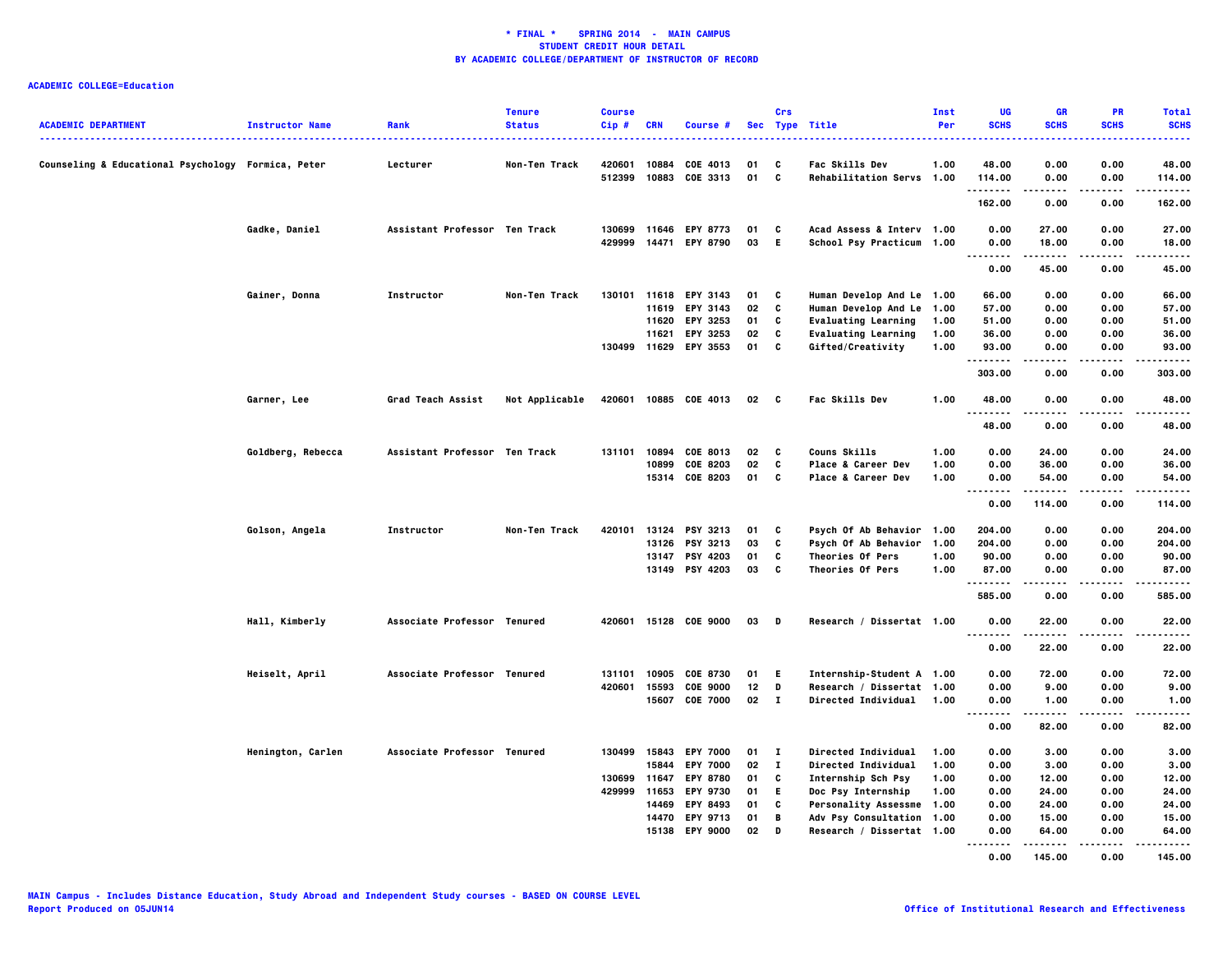| Counseling & Educational Psychology Formica, Peter<br>420601<br>10884<br>COE 4013<br><b>Fac Skills Dev</b><br>1.00<br>48.00<br>0.00<br>0.00<br>48.00<br>Lecturer<br>Non-Ten Track<br>01<br>C<br>10883<br>C<br>512399<br>COE 3313<br>01<br>Rehabilitation Servs 1.00<br>0.00<br>0.00<br>114.00<br>114.00<br>.<br>.<br>----<br>162.00<br>0.00<br>0.00<br>162.00<br>Gadke, Daniel<br>Assistant Professor Ten Track<br>130699<br>11646 EPY 8773<br>01<br>C<br>Acad Assess & Interv 1.00<br>0.00<br>27.00<br>27.00<br>0.00<br>429999<br>14471<br><b>EPY 8790</b><br>03<br>- E<br>School Psy Practicum 1.00<br>0.00<br>18.00<br>0.00<br>18.00<br>.<br>-----<br>$- - - -$<br>.<br>45.00<br>0.00<br>0.00<br>45.00<br>Human Develop And Le 1.00<br>Gainer, Donna<br>Instructor<br>Non-Ten Track<br>130101<br>11618 EPY 3143<br>01<br>C<br>66.00<br>0.00<br>0.00<br>66.00<br>02<br>C<br>Human Develop And Le 1.00<br>57.00<br>11619 EPY 3143<br>57.00<br>0.00<br>0.00<br>11620 EPY 3253<br>01<br>C<br><b>Evaluating Learning</b><br>1.00<br>51.00<br>0.00<br>0.00<br>51.00<br>C<br>11621<br>EPY 3253<br>02<br><b>Evaluating Learning</b><br>1.00<br>36.00<br>0.00<br>0.00<br>36.00<br>C<br>130499 11629 EPY 3553<br>01<br>Gifted/Creativity<br>1.00<br>0.00<br>93.00<br>93.00<br>0.00<br>.<br>303.00<br>0.00<br>0.00<br>303.00<br>Garner, Lee<br>Grad Teach Assist<br>Not Applicable<br>420601<br>10885 COE 4013<br>02 C<br>Fac Skills Dev<br>1.00<br>48.00<br>0.00<br>0.00<br>48.00<br>$\cdots$<br>.<br>----<br>48.00<br>0.00<br>0.00<br>48.00<br>Goldberg, Rebecca<br>Assistant Professor Ten Track<br>Couns Skills<br>1.00<br>131101<br>10894<br>COE 8013<br>02<br>C<br>0.00<br>24.00<br>0.00<br>24.00<br>10899<br>COE 8203<br>02<br>C<br>Place & Career Dev<br>1.00<br>0.00<br>36.00<br>0.00<br>36.00<br>15314 COE 8203<br>01 C<br>1.00<br>54.00<br>Place & Career Dev<br>0.00<br>54.00<br>0.00<br>.<br>$- - -$<br>.<br>.<br>0.00<br>114.00<br>0.00<br>114.00<br>Psych Of Ab Behavior 1.00<br>Golson, Angela<br>Instructor<br>Non-Ten Track<br>420101<br>13124<br><b>PSY 3213</b><br>01<br>C<br>204.00<br>0.00<br>0.00<br>204.00<br>C<br>13126 PSY 3213<br>03<br>Psych Of Ab Behavior<br>1.00<br>204.00<br>0.00<br>0.00<br>204.00<br>13147 PSY 4203<br>01<br>c<br>Theories Of Pers<br>1.00<br>90.00<br>0.00<br>0.00<br>90.00<br>13149 PSY 4203<br>03<br>$\mathbf{c}$<br>Theories Of Pers<br>1.00<br>87.00<br>0.00<br>0.00<br>87.00<br>.<br>.<br>585.00<br>0.00<br>0.00<br>585.00<br>Hall, Kimberly<br>15128 COE 9000<br>Research / Dissertat 1.00<br>Associate Professor Tenured<br>420601<br>03<br>$\blacksquare$<br>0.00<br>22.00<br>0.00<br>22.00<br>.<br>.<br>.<br>22.00<br>0.00<br>0.00<br>22.00<br>72.00<br>72.00<br>Heiselt, April<br>Associate Professor Tenured<br>131101<br>10905<br>COE 8730<br>01<br>E.<br>Internship-Student A 1.00<br>0.00<br>0.00<br>D<br>420601<br>15593<br><b>COE 9000</b><br>12<br>Research / Dissertat 1.00<br>0.00<br>9.00<br>0.00<br>9.00<br>15607 COE 7000<br>$02 \quad I$<br>Directed Individual<br>1.00<br>0.00<br>1.00<br>0.00<br>1.00<br>.<br>.<br>0.00<br>82.00<br>0.00<br>82.00<br>Associate Professor Tenured<br>130499 15843 EPY 7000<br>01<br>$\mathbf{I}$<br>Directed Individual<br>1.00<br>0.00<br>3.00<br>0.00<br>3.00<br>Henington, Carlen<br>02<br>$\bf{I}$<br>Directed Individual<br>1.00<br>0.00<br>15844<br><b>EPY 7000</b><br>3.00<br>0.00<br>3.00<br>130699<br>11647<br><b>EPY 8780</b><br>C<br>Internship Sch Psy<br>1.00<br>0.00<br>12.00<br>0.00<br>12.00<br>01<br>429999<br>11653<br><b>EPY 9730</b><br>01<br>E.<br>Doc Psy Internship<br>1.00<br>0.00<br>24.00<br>0.00<br>24.00<br>14469 EPY 8493<br>01<br>C<br><b>Personality Assessme</b><br>1.00<br>0.00<br>24.00<br>0.00<br>24.00<br>14470 EPY 9713<br>$\overline{B}$<br>15.00<br>01<br>Adv Psy Consultation 1.00<br>0.00<br>15.00<br>0.00<br>15138 EPY 9000<br>02<br>D<br>Research / Dissertat 1.00<br>0.00<br>64.00<br>0.00<br>64.00<br>.<br>.<br>.<br>. | <b>ACADEMIC DEPARTMENT</b> | <b>Instructor Name</b> | Rank | <b>Tenure</b><br><b>Status</b> | <b>Course</b><br>$Cip$ # | <b>CRN</b> | <b>Course #</b> | Crs | Sec Type Title | Inst<br>Per | <b>UG</b><br><b>SCHS</b> | <b>GR</b><br><b>SCHS</b> | PR<br><b>SCHS</b> | <b>Total</b><br><b>SCHS</b><br>----- |
|------------------------------------------------------------------------------------------------------------------------------------------------------------------------------------------------------------------------------------------------------------------------------------------------------------------------------------------------------------------------------------------------------------------------------------------------------------------------------------------------------------------------------------------------------------------------------------------------------------------------------------------------------------------------------------------------------------------------------------------------------------------------------------------------------------------------------------------------------------------------------------------------------------------------------------------------------------------------------------------------------------------------------------------------------------------------------------------------------------------------------------------------------------------------------------------------------------------------------------------------------------------------------------------------------------------------------------------------------------------------------------------------------------------------------------------------------------------------------------------------------------------------------------------------------------------------------------------------------------------------------------------------------------------------------------------------------------------------------------------------------------------------------------------------------------------------------------------------------------------------------------------------------------------------------------------------------------------------------------------------------------------------------------------------------------------------------------------------------------------------------------------------------------------------------------------------------------------------------------------------------------------------------------------------------------------------------------------------------------------------------------------------------------------------------------------------------------------------------------------------------------------------------------------------------------------------------------------------------------------------------------------------------------------------------------------------------------------------------------------------------------------------------------------------------------------------------------------------------------------------------------------------------------------------------------------------------------------------------------------------------------------------------------------------------------------------------------------------------------------------------------------------------------------------------------------------------------------------------------------------------------------------------------------------------------------------------------------------------------------------------------------------------------------------------------------------------------------------------------------------------------------------------------------------------------------------------------------------------------------------------------------------------------------------------------------------------------------------------------------------------------------------------------------------------------------------------------------------------------------------------------------------------------------------------------------------------------------------|----------------------------|------------------------|------|--------------------------------|--------------------------|------------|-----------------|-----|----------------|-------------|--------------------------|--------------------------|-------------------|--------------------------------------|
|                                                                                                                                                                                                                                                                                                                                                                                                                                                                                                                                                                                                                                                                                                                                                                                                                                                                                                                                                                                                                                                                                                                                                                                                                                                                                                                                                                                                                                                                                                                                                                                                                                                                                                                                                                                                                                                                                                                                                                                                                                                                                                                                                                                                                                                                                                                                                                                                                                                                                                                                                                                                                                                                                                                                                                                                                                                                                                                                                                                                                                                                                                                                                                                                                                                                                                                                                                                                                                                                                                                                                                                                                                                                                                                                                                                                                                                                                                                                                                        |                            |                        |      |                                |                          |            |                 |     |                |             |                          |                          |                   |                                      |
|                                                                                                                                                                                                                                                                                                                                                                                                                                                                                                                                                                                                                                                                                                                                                                                                                                                                                                                                                                                                                                                                                                                                                                                                                                                                                                                                                                                                                                                                                                                                                                                                                                                                                                                                                                                                                                                                                                                                                                                                                                                                                                                                                                                                                                                                                                                                                                                                                                                                                                                                                                                                                                                                                                                                                                                                                                                                                                                                                                                                                                                                                                                                                                                                                                                                                                                                                                                                                                                                                                                                                                                                                                                                                                                                                                                                                                                                                                                                                                        |                            |                        |      |                                |                          |            |                 |     |                |             |                          |                          |                   |                                      |
|                                                                                                                                                                                                                                                                                                                                                                                                                                                                                                                                                                                                                                                                                                                                                                                                                                                                                                                                                                                                                                                                                                                                                                                                                                                                                                                                                                                                                                                                                                                                                                                                                                                                                                                                                                                                                                                                                                                                                                                                                                                                                                                                                                                                                                                                                                                                                                                                                                                                                                                                                                                                                                                                                                                                                                                                                                                                                                                                                                                                                                                                                                                                                                                                                                                                                                                                                                                                                                                                                                                                                                                                                                                                                                                                                                                                                                                                                                                                                                        |                            |                        |      |                                |                          |            |                 |     |                |             |                          |                          |                   |                                      |
|                                                                                                                                                                                                                                                                                                                                                                                                                                                                                                                                                                                                                                                                                                                                                                                                                                                                                                                                                                                                                                                                                                                                                                                                                                                                                                                                                                                                                                                                                                                                                                                                                                                                                                                                                                                                                                                                                                                                                                                                                                                                                                                                                                                                                                                                                                                                                                                                                                                                                                                                                                                                                                                                                                                                                                                                                                                                                                                                                                                                                                                                                                                                                                                                                                                                                                                                                                                                                                                                                                                                                                                                                                                                                                                                                                                                                                                                                                                                                                        |                            |                        |      |                                |                          |            |                 |     |                |             |                          |                          |                   |                                      |
|                                                                                                                                                                                                                                                                                                                                                                                                                                                                                                                                                                                                                                                                                                                                                                                                                                                                                                                                                                                                                                                                                                                                                                                                                                                                                                                                                                                                                                                                                                                                                                                                                                                                                                                                                                                                                                                                                                                                                                                                                                                                                                                                                                                                                                                                                                                                                                                                                                                                                                                                                                                                                                                                                                                                                                                                                                                                                                                                                                                                                                                                                                                                                                                                                                                                                                                                                                                                                                                                                                                                                                                                                                                                                                                                                                                                                                                                                                                                                                        |                            |                        |      |                                |                          |            |                 |     |                |             |                          |                          |                   |                                      |
|                                                                                                                                                                                                                                                                                                                                                                                                                                                                                                                                                                                                                                                                                                                                                                                                                                                                                                                                                                                                                                                                                                                                                                                                                                                                                                                                                                                                                                                                                                                                                                                                                                                                                                                                                                                                                                                                                                                                                                                                                                                                                                                                                                                                                                                                                                                                                                                                                                                                                                                                                                                                                                                                                                                                                                                                                                                                                                                                                                                                                                                                                                                                                                                                                                                                                                                                                                                                                                                                                                                                                                                                                                                                                                                                                                                                                                                                                                                                                                        |                            |                        |      |                                |                          |            |                 |     |                |             |                          |                          |                   |                                      |
|                                                                                                                                                                                                                                                                                                                                                                                                                                                                                                                                                                                                                                                                                                                                                                                                                                                                                                                                                                                                                                                                                                                                                                                                                                                                                                                                                                                                                                                                                                                                                                                                                                                                                                                                                                                                                                                                                                                                                                                                                                                                                                                                                                                                                                                                                                                                                                                                                                                                                                                                                                                                                                                                                                                                                                                                                                                                                                                                                                                                                                                                                                                                                                                                                                                                                                                                                                                                                                                                                                                                                                                                                                                                                                                                                                                                                                                                                                                                                                        |                            |                        |      |                                |                          |            |                 |     |                |             |                          |                          |                   |                                      |
|                                                                                                                                                                                                                                                                                                                                                                                                                                                                                                                                                                                                                                                                                                                                                                                                                                                                                                                                                                                                                                                                                                                                                                                                                                                                                                                                                                                                                                                                                                                                                                                                                                                                                                                                                                                                                                                                                                                                                                                                                                                                                                                                                                                                                                                                                                                                                                                                                                                                                                                                                                                                                                                                                                                                                                                                                                                                                                                                                                                                                                                                                                                                                                                                                                                                                                                                                                                                                                                                                                                                                                                                                                                                                                                                                                                                                                                                                                                                                                        |                            |                        |      |                                |                          |            |                 |     |                |             |                          |                          |                   |                                      |
|                                                                                                                                                                                                                                                                                                                                                                                                                                                                                                                                                                                                                                                                                                                                                                                                                                                                                                                                                                                                                                                                                                                                                                                                                                                                                                                                                                                                                                                                                                                                                                                                                                                                                                                                                                                                                                                                                                                                                                                                                                                                                                                                                                                                                                                                                                                                                                                                                                                                                                                                                                                                                                                                                                                                                                                                                                                                                                                                                                                                                                                                                                                                                                                                                                                                                                                                                                                                                                                                                                                                                                                                                                                                                                                                                                                                                                                                                                                                                                        |                            |                        |      |                                |                          |            |                 |     |                |             |                          |                          |                   |                                      |
|                                                                                                                                                                                                                                                                                                                                                                                                                                                                                                                                                                                                                                                                                                                                                                                                                                                                                                                                                                                                                                                                                                                                                                                                                                                                                                                                                                                                                                                                                                                                                                                                                                                                                                                                                                                                                                                                                                                                                                                                                                                                                                                                                                                                                                                                                                                                                                                                                                                                                                                                                                                                                                                                                                                                                                                                                                                                                                                                                                                                                                                                                                                                                                                                                                                                                                                                                                                                                                                                                                                                                                                                                                                                                                                                                                                                                                                                                                                                                                        |                            |                        |      |                                |                          |            |                 |     |                |             |                          |                          |                   |                                      |
|                                                                                                                                                                                                                                                                                                                                                                                                                                                                                                                                                                                                                                                                                                                                                                                                                                                                                                                                                                                                                                                                                                                                                                                                                                                                                                                                                                                                                                                                                                                                                                                                                                                                                                                                                                                                                                                                                                                                                                                                                                                                                                                                                                                                                                                                                                                                                                                                                                                                                                                                                                                                                                                                                                                                                                                                                                                                                                                                                                                                                                                                                                                                                                                                                                                                                                                                                                                                                                                                                                                                                                                                                                                                                                                                                                                                                                                                                                                                                                        |                            |                        |      |                                |                          |            |                 |     |                |             |                          |                          |                   |                                      |
|                                                                                                                                                                                                                                                                                                                                                                                                                                                                                                                                                                                                                                                                                                                                                                                                                                                                                                                                                                                                                                                                                                                                                                                                                                                                                                                                                                                                                                                                                                                                                                                                                                                                                                                                                                                                                                                                                                                                                                                                                                                                                                                                                                                                                                                                                                                                                                                                                                                                                                                                                                                                                                                                                                                                                                                                                                                                                                                                                                                                                                                                                                                                                                                                                                                                                                                                                                                                                                                                                                                                                                                                                                                                                                                                                                                                                                                                                                                                                                        |                            |                        |      |                                |                          |            |                 |     |                |             |                          |                          |                   |                                      |
|                                                                                                                                                                                                                                                                                                                                                                                                                                                                                                                                                                                                                                                                                                                                                                                                                                                                                                                                                                                                                                                                                                                                                                                                                                                                                                                                                                                                                                                                                                                                                                                                                                                                                                                                                                                                                                                                                                                                                                                                                                                                                                                                                                                                                                                                                                                                                                                                                                                                                                                                                                                                                                                                                                                                                                                                                                                                                                                                                                                                                                                                                                                                                                                                                                                                                                                                                                                                                                                                                                                                                                                                                                                                                                                                                                                                                                                                                                                                                                        |                            |                        |      |                                |                          |            |                 |     |                |             |                          |                          |                   |                                      |
|                                                                                                                                                                                                                                                                                                                                                                                                                                                                                                                                                                                                                                                                                                                                                                                                                                                                                                                                                                                                                                                                                                                                                                                                                                                                                                                                                                                                                                                                                                                                                                                                                                                                                                                                                                                                                                                                                                                                                                                                                                                                                                                                                                                                                                                                                                                                                                                                                                                                                                                                                                                                                                                                                                                                                                                                                                                                                                                                                                                                                                                                                                                                                                                                                                                                                                                                                                                                                                                                                                                                                                                                                                                                                                                                                                                                                                                                                                                                                                        |                            |                        |      |                                |                          |            |                 |     |                |             |                          |                          |                   |                                      |
|                                                                                                                                                                                                                                                                                                                                                                                                                                                                                                                                                                                                                                                                                                                                                                                                                                                                                                                                                                                                                                                                                                                                                                                                                                                                                                                                                                                                                                                                                                                                                                                                                                                                                                                                                                                                                                                                                                                                                                                                                                                                                                                                                                                                                                                                                                                                                                                                                                                                                                                                                                                                                                                                                                                                                                                                                                                                                                                                                                                                                                                                                                                                                                                                                                                                                                                                                                                                                                                                                                                                                                                                                                                                                                                                                                                                                                                                                                                                                                        |                            |                        |      |                                |                          |            |                 |     |                |             |                          |                          |                   |                                      |
|                                                                                                                                                                                                                                                                                                                                                                                                                                                                                                                                                                                                                                                                                                                                                                                                                                                                                                                                                                                                                                                                                                                                                                                                                                                                                                                                                                                                                                                                                                                                                                                                                                                                                                                                                                                                                                                                                                                                                                                                                                                                                                                                                                                                                                                                                                                                                                                                                                                                                                                                                                                                                                                                                                                                                                                                                                                                                                                                                                                                                                                                                                                                                                                                                                                                                                                                                                                                                                                                                                                                                                                                                                                                                                                                                                                                                                                                                                                                                                        |                            |                        |      |                                |                          |            |                 |     |                |             |                          |                          |                   |                                      |
|                                                                                                                                                                                                                                                                                                                                                                                                                                                                                                                                                                                                                                                                                                                                                                                                                                                                                                                                                                                                                                                                                                                                                                                                                                                                                                                                                                                                                                                                                                                                                                                                                                                                                                                                                                                                                                                                                                                                                                                                                                                                                                                                                                                                                                                                                                                                                                                                                                                                                                                                                                                                                                                                                                                                                                                                                                                                                                                                                                                                                                                                                                                                                                                                                                                                                                                                                                                                                                                                                                                                                                                                                                                                                                                                                                                                                                                                                                                                                                        |                            |                        |      |                                |                          |            |                 |     |                |             |                          |                          |                   |                                      |
|                                                                                                                                                                                                                                                                                                                                                                                                                                                                                                                                                                                                                                                                                                                                                                                                                                                                                                                                                                                                                                                                                                                                                                                                                                                                                                                                                                                                                                                                                                                                                                                                                                                                                                                                                                                                                                                                                                                                                                                                                                                                                                                                                                                                                                                                                                                                                                                                                                                                                                                                                                                                                                                                                                                                                                                                                                                                                                                                                                                                                                                                                                                                                                                                                                                                                                                                                                                                                                                                                                                                                                                                                                                                                                                                                                                                                                                                                                                                                                        |                            |                        |      |                                |                          |            |                 |     |                |             |                          |                          |                   |                                      |
|                                                                                                                                                                                                                                                                                                                                                                                                                                                                                                                                                                                                                                                                                                                                                                                                                                                                                                                                                                                                                                                                                                                                                                                                                                                                                                                                                                                                                                                                                                                                                                                                                                                                                                                                                                                                                                                                                                                                                                                                                                                                                                                                                                                                                                                                                                                                                                                                                                                                                                                                                                                                                                                                                                                                                                                                                                                                                                                                                                                                                                                                                                                                                                                                                                                                                                                                                                                                                                                                                                                                                                                                                                                                                                                                                                                                                                                                                                                                                                        |                            |                        |      |                                |                          |            |                 |     |                |             |                          |                          |                   |                                      |
|                                                                                                                                                                                                                                                                                                                                                                                                                                                                                                                                                                                                                                                                                                                                                                                                                                                                                                                                                                                                                                                                                                                                                                                                                                                                                                                                                                                                                                                                                                                                                                                                                                                                                                                                                                                                                                                                                                                                                                                                                                                                                                                                                                                                                                                                                                                                                                                                                                                                                                                                                                                                                                                                                                                                                                                                                                                                                                                                                                                                                                                                                                                                                                                                                                                                                                                                                                                                                                                                                                                                                                                                                                                                                                                                                                                                                                                                                                                                                                        |                            |                        |      |                                |                          |            |                 |     |                |             |                          |                          |                   |                                      |
|                                                                                                                                                                                                                                                                                                                                                                                                                                                                                                                                                                                                                                                                                                                                                                                                                                                                                                                                                                                                                                                                                                                                                                                                                                                                                                                                                                                                                                                                                                                                                                                                                                                                                                                                                                                                                                                                                                                                                                                                                                                                                                                                                                                                                                                                                                                                                                                                                                                                                                                                                                                                                                                                                                                                                                                                                                                                                                                                                                                                                                                                                                                                                                                                                                                                                                                                                                                                                                                                                                                                                                                                                                                                                                                                                                                                                                                                                                                                                                        |                            |                        |      |                                |                          |            |                 |     |                |             |                          |                          |                   |                                      |
|                                                                                                                                                                                                                                                                                                                                                                                                                                                                                                                                                                                                                                                                                                                                                                                                                                                                                                                                                                                                                                                                                                                                                                                                                                                                                                                                                                                                                                                                                                                                                                                                                                                                                                                                                                                                                                                                                                                                                                                                                                                                                                                                                                                                                                                                                                                                                                                                                                                                                                                                                                                                                                                                                                                                                                                                                                                                                                                                                                                                                                                                                                                                                                                                                                                                                                                                                                                                                                                                                                                                                                                                                                                                                                                                                                                                                                                                                                                                                                        |                            |                        |      |                                |                          |            |                 |     |                |             |                          |                          |                   |                                      |
|                                                                                                                                                                                                                                                                                                                                                                                                                                                                                                                                                                                                                                                                                                                                                                                                                                                                                                                                                                                                                                                                                                                                                                                                                                                                                                                                                                                                                                                                                                                                                                                                                                                                                                                                                                                                                                                                                                                                                                                                                                                                                                                                                                                                                                                                                                                                                                                                                                                                                                                                                                                                                                                                                                                                                                                                                                                                                                                                                                                                                                                                                                                                                                                                                                                                                                                                                                                                                                                                                                                                                                                                                                                                                                                                                                                                                                                                                                                                                                        |                            |                        |      |                                |                          |            |                 |     |                |             |                          |                          |                   |                                      |
|                                                                                                                                                                                                                                                                                                                                                                                                                                                                                                                                                                                                                                                                                                                                                                                                                                                                                                                                                                                                                                                                                                                                                                                                                                                                                                                                                                                                                                                                                                                                                                                                                                                                                                                                                                                                                                                                                                                                                                                                                                                                                                                                                                                                                                                                                                                                                                                                                                                                                                                                                                                                                                                                                                                                                                                                                                                                                                                                                                                                                                                                                                                                                                                                                                                                                                                                                                                                                                                                                                                                                                                                                                                                                                                                                                                                                                                                                                                                                                        |                            |                        |      |                                |                          |            |                 |     |                |             |                          |                          |                   |                                      |
|                                                                                                                                                                                                                                                                                                                                                                                                                                                                                                                                                                                                                                                                                                                                                                                                                                                                                                                                                                                                                                                                                                                                                                                                                                                                                                                                                                                                                                                                                                                                                                                                                                                                                                                                                                                                                                                                                                                                                                                                                                                                                                                                                                                                                                                                                                                                                                                                                                                                                                                                                                                                                                                                                                                                                                                                                                                                                                                                                                                                                                                                                                                                                                                                                                                                                                                                                                                                                                                                                                                                                                                                                                                                                                                                                                                                                                                                                                                                                                        |                            |                        |      |                                |                          |            |                 |     |                |             |                          |                          |                   |                                      |
|                                                                                                                                                                                                                                                                                                                                                                                                                                                                                                                                                                                                                                                                                                                                                                                                                                                                                                                                                                                                                                                                                                                                                                                                                                                                                                                                                                                                                                                                                                                                                                                                                                                                                                                                                                                                                                                                                                                                                                                                                                                                                                                                                                                                                                                                                                                                                                                                                                                                                                                                                                                                                                                                                                                                                                                                                                                                                                                                                                                                                                                                                                                                                                                                                                                                                                                                                                                                                                                                                                                                                                                                                                                                                                                                                                                                                                                                                                                                                                        |                            |                        |      |                                |                          |            |                 |     |                |             |                          |                          |                   |                                      |
|                                                                                                                                                                                                                                                                                                                                                                                                                                                                                                                                                                                                                                                                                                                                                                                                                                                                                                                                                                                                                                                                                                                                                                                                                                                                                                                                                                                                                                                                                                                                                                                                                                                                                                                                                                                                                                                                                                                                                                                                                                                                                                                                                                                                                                                                                                                                                                                                                                                                                                                                                                                                                                                                                                                                                                                                                                                                                                                                                                                                                                                                                                                                                                                                                                                                                                                                                                                                                                                                                                                                                                                                                                                                                                                                                                                                                                                                                                                                                                        |                            |                        |      |                                |                          |            |                 |     |                |             |                          |                          |                   |                                      |
|                                                                                                                                                                                                                                                                                                                                                                                                                                                                                                                                                                                                                                                                                                                                                                                                                                                                                                                                                                                                                                                                                                                                                                                                                                                                                                                                                                                                                                                                                                                                                                                                                                                                                                                                                                                                                                                                                                                                                                                                                                                                                                                                                                                                                                                                                                                                                                                                                                                                                                                                                                                                                                                                                                                                                                                                                                                                                                                                                                                                                                                                                                                                                                                                                                                                                                                                                                                                                                                                                                                                                                                                                                                                                                                                                                                                                                                                                                                                                                        |                            |                        |      |                                |                          |            |                 |     |                |             |                          |                          |                   |                                      |
|                                                                                                                                                                                                                                                                                                                                                                                                                                                                                                                                                                                                                                                                                                                                                                                                                                                                                                                                                                                                                                                                                                                                                                                                                                                                                                                                                                                                                                                                                                                                                                                                                                                                                                                                                                                                                                                                                                                                                                                                                                                                                                                                                                                                                                                                                                                                                                                                                                                                                                                                                                                                                                                                                                                                                                                                                                                                                                                                                                                                                                                                                                                                                                                                                                                                                                                                                                                                                                                                                                                                                                                                                                                                                                                                                                                                                                                                                                                                                                        |                            |                        |      |                                |                          |            |                 |     |                |             |                          |                          |                   |                                      |
|                                                                                                                                                                                                                                                                                                                                                                                                                                                                                                                                                                                                                                                                                                                                                                                                                                                                                                                                                                                                                                                                                                                                                                                                                                                                                                                                                                                                                                                                                                                                                                                                                                                                                                                                                                                                                                                                                                                                                                                                                                                                                                                                                                                                                                                                                                                                                                                                                                                                                                                                                                                                                                                                                                                                                                                                                                                                                                                                                                                                                                                                                                                                                                                                                                                                                                                                                                                                                                                                                                                                                                                                                                                                                                                                                                                                                                                                                                                                                                        |                            |                        |      |                                |                          |            |                 |     |                |             |                          |                          |                   |                                      |
|                                                                                                                                                                                                                                                                                                                                                                                                                                                                                                                                                                                                                                                                                                                                                                                                                                                                                                                                                                                                                                                                                                                                                                                                                                                                                                                                                                                                                                                                                                                                                                                                                                                                                                                                                                                                                                                                                                                                                                                                                                                                                                                                                                                                                                                                                                                                                                                                                                                                                                                                                                                                                                                                                                                                                                                                                                                                                                                                                                                                                                                                                                                                                                                                                                                                                                                                                                                                                                                                                                                                                                                                                                                                                                                                                                                                                                                                                                                                                                        |                            |                        |      |                                |                          |            |                 |     |                |             |                          |                          |                   |                                      |
|                                                                                                                                                                                                                                                                                                                                                                                                                                                                                                                                                                                                                                                                                                                                                                                                                                                                                                                                                                                                                                                                                                                                                                                                                                                                                                                                                                                                                                                                                                                                                                                                                                                                                                                                                                                                                                                                                                                                                                                                                                                                                                                                                                                                                                                                                                                                                                                                                                                                                                                                                                                                                                                                                                                                                                                                                                                                                                                                                                                                                                                                                                                                                                                                                                                                                                                                                                                                                                                                                                                                                                                                                                                                                                                                                                                                                                                                                                                                                                        |                            |                        |      |                                |                          |            |                 |     |                |             |                          |                          |                   |                                      |
|                                                                                                                                                                                                                                                                                                                                                                                                                                                                                                                                                                                                                                                                                                                                                                                                                                                                                                                                                                                                                                                                                                                                                                                                                                                                                                                                                                                                                                                                                                                                                                                                                                                                                                                                                                                                                                                                                                                                                                                                                                                                                                                                                                                                                                                                                                                                                                                                                                                                                                                                                                                                                                                                                                                                                                                                                                                                                                                                                                                                                                                                                                                                                                                                                                                                                                                                                                                                                                                                                                                                                                                                                                                                                                                                                                                                                                                                                                                                                                        |                            |                        |      |                                |                          |            |                 |     |                |             |                          |                          |                   |                                      |
|                                                                                                                                                                                                                                                                                                                                                                                                                                                                                                                                                                                                                                                                                                                                                                                                                                                                                                                                                                                                                                                                                                                                                                                                                                                                                                                                                                                                                                                                                                                                                                                                                                                                                                                                                                                                                                                                                                                                                                                                                                                                                                                                                                                                                                                                                                                                                                                                                                                                                                                                                                                                                                                                                                                                                                                                                                                                                                                                                                                                                                                                                                                                                                                                                                                                                                                                                                                                                                                                                                                                                                                                                                                                                                                                                                                                                                                                                                                                                                        |                            |                        |      |                                |                          |            |                 |     |                |             |                          |                          |                   |                                      |
|                                                                                                                                                                                                                                                                                                                                                                                                                                                                                                                                                                                                                                                                                                                                                                                                                                                                                                                                                                                                                                                                                                                                                                                                                                                                                                                                                                                                                                                                                                                                                                                                                                                                                                                                                                                                                                                                                                                                                                                                                                                                                                                                                                                                                                                                                                                                                                                                                                                                                                                                                                                                                                                                                                                                                                                                                                                                                                                                                                                                                                                                                                                                                                                                                                                                                                                                                                                                                                                                                                                                                                                                                                                                                                                                                                                                                                                                                                                                                                        |                            |                        |      |                                |                          |            |                 |     |                |             |                          |                          |                   |                                      |
|                                                                                                                                                                                                                                                                                                                                                                                                                                                                                                                                                                                                                                                                                                                                                                                                                                                                                                                                                                                                                                                                                                                                                                                                                                                                                                                                                                                                                                                                                                                                                                                                                                                                                                                                                                                                                                                                                                                                                                                                                                                                                                                                                                                                                                                                                                                                                                                                                                                                                                                                                                                                                                                                                                                                                                                                                                                                                                                                                                                                                                                                                                                                                                                                                                                                                                                                                                                                                                                                                                                                                                                                                                                                                                                                                                                                                                                                                                                                                                        |                            |                        |      |                                |                          |            |                 |     |                |             |                          |                          |                   |                                      |
|                                                                                                                                                                                                                                                                                                                                                                                                                                                                                                                                                                                                                                                                                                                                                                                                                                                                                                                                                                                                                                                                                                                                                                                                                                                                                                                                                                                                                                                                                                                                                                                                                                                                                                                                                                                                                                                                                                                                                                                                                                                                                                                                                                                                                                                                                                                                                                                                                                                                                                                                                                                                                                                                                                                                                                                                                                                                                                                                                                                                                                                                                                                                                                                                                                                                                                                                                                                                                                                                                                                                                                                                                                                                                                                                                                                                                                                                                                                                                                        |                            |                        |      |                                |                          |            |                 |     |                |             | 0.00                     | 145.00                   | 0.00              | 145.00                               |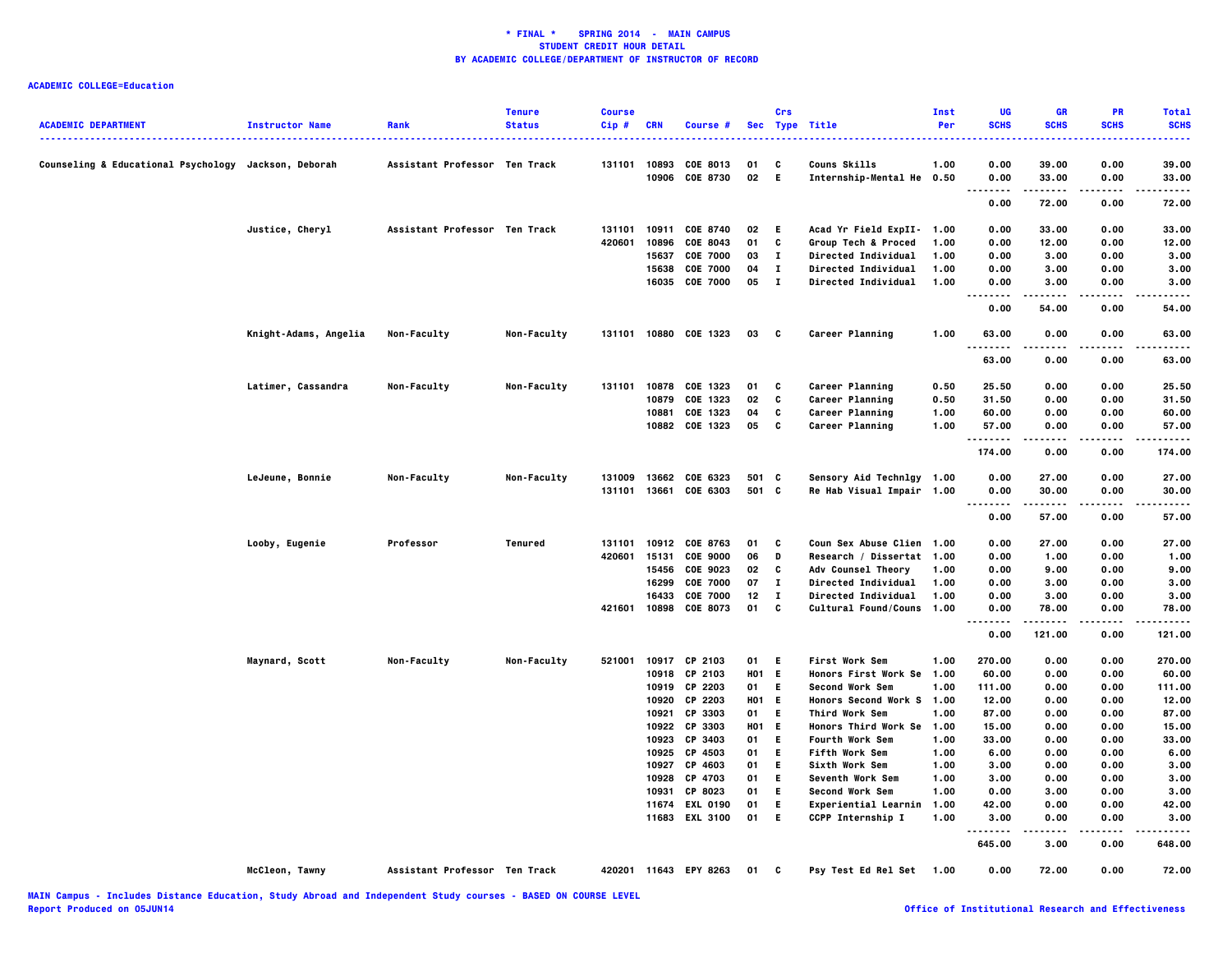|                                                      |                        |                               | <b>Tenure</b> | <b>Course</b>    |                |                             |            | Crs          |                                           | Inst         | UG                                       | GR             | PR           | <b>Total</b> |
|------------------------------------------------------|------------------------|-------------------------------|---------------|------------------|----------------|-----------------------------|------------|--------------|-------------------------------------------|--------------|------------------------------------------|----------------|--------------|--------------|
| <b>ACADEMIC DEPARTMENT</b>                           | <b>Instructor Name</b> | Rank                          | <b>Status</b> | Cip#             | <b>CRN</b>     | Course #                    |            |              | Sec Type Title                            | Per          | <b>SCHS</b>                              | <b>SCHS</b>    | <b>SCHS</b>  | <b>SCHS</b>  |
|                                                      |                        |                               |               |                  |                |                             |            |              |                                           |              |                                          |                |              |              |
| Counseling & Educational Psychology Jackson, Deborah |                        | Assistant Professor Ten Track |               | 131101           | 10906          | 10893 COE 8013              | 01<br>02   | c<br>- E     | Couns Skills                              | 1.00         | 0.00                                     | 39.00          | 0.00         | 39.00        |
|                                                      |                        |                               |               |                  |                | <b>COE 8730</b>             |            |              | Internship-Mental He 0.50                 |              | 0.00<br>.                                | 33.00          | 0.00         | 33.00        |
|                                                      |                        |                               |               |                  |                |                             |            |              |                                           |              | 0.00                                     | 72.00          | 0.00         | 72.00        |
|                                                      | Justice, Cheryl        | Assistant Professor Ten Track |               | 131101           |                | 10911 COE 8740              | 02         | E.           | Acad Yr Field ExpII- 1.00                 |              | 0.00                                     | 33.00          | 0.00         | 33.00        |
|                                                      |                        |                               |               | 420601           | 10896          | COE 8043                    | 01         | C            | Group Tech & Proced                       | 1.00         | 0.00                                     | 12.00          | 0.00         | 12.00        |
|                                                      |                        |                               |               |                  | 15637          | <b>COE 7000</b>             | 03         | $\mathbf{I}$ | <b>Directed Individual</b>                | 1.00         | 0.00                                     | 3.00           | 0.00         | 3.00         |
|                                                      |                        |                               |               |                  | 15638          | <b>COE 7000</b>             | 04         | л.           | Directed Individual                       | 1.00         | 0.00                                     | 3.00           | 0.00         | 3.00         |
|                                                      |                        |                               |               |                  |                | 16035 COE 7000              | 05         | $\mathbf{I}$ | <b>Directed Individual</b>                | 1.00         | 0.00<br>$\sim$ $\sim$                    | 3.00           | 0.00         | 3.00         |
|                                                      |                        |                               |               |                  |                |                             |            |              |                                           |              | 0.00                                     | 54.00          | 0.00         | 54.00        |
|                                                      | Knight-Adams, Angelia  | Non-Faculty                   | Non-Faculty   |                  |                | 131101 10880 COE 1323       | 03         | $\mathbf{c}$ | Career Planning                           | 1.00         | 63.00<br>.                               | 0.00           | 0.00         | 63.00        |
|                                                      |                        |                               |               |                  |                |                             |            |              |                                           |              | 63.00                                    | 0.00           | 0.00         | 63.00        |
|                                                      | Latimer, Cassandra     | Non-Faculty                   | Non-Faculty   | 131101           |                | 10878 COE 1323              | 01         | C            | Career Planning                           | 0.50         | 25.50                                    | 0.00           | 0.00         | 25.50        |
|                                                      |                        |                               |               |                  |                | 10879 COE 1323              | 02         | C            | Career Planning                           | 0.50         | 31.50                                    | 0.00           | 0.00         | 31.50        |
|                                                      |                        |                               |               |                  |                | 10881 COE 1323              | 04         | C            | Career Planning                           | 1.00         | 60.00                                    | 0.00           | 0.00         | 60.00        |
|                                                      |                        |                               |               |                  |                | 10882 COE 1323              | 05         | C            | Career Planning                           | 1.00         | 57.00<br><u>.</u>                        | 0.00           | 0.00         | 57.00        |
|                                                      |                        |                               |               |                  |                |                             |            |              |                                           |              | 174.00                                   | 0.00           | 0.00         | 174.00       |
|                                                      | LeJeune, Bonnie        | Non-Faculty                   | Non-Faculty   | 131009           |                | 13662 COE 6323              | 501 C      |              | Sensory Aid Technlgy 1.00                 |              | 0.00                                     | 27.00          | 0.00         | 27.00        |
|                                                      |                        |                               |               | 131101           |                | 13661 COE 6303              | 501 C      |              | Re Hab Visual Impair 1.00                 |              | 0.00                                     | 30.00          | 0.00         | 30.00        |
|                                                      |                        |                               |               |                  |                |                             |            |              |                                           |              | <br>.<br>0.00                            | -----<br>57.00 | .<br>0.00    | 57.00        |
|                                                      |                        |                               |               |                  |                |                             |            |              |                                           |              |                                          |                |              |              |
|                                                      | Looby, Eugenie         | Professor                     | Tenured       | 131101<br>420601 | 10912          | COE 8763                    | 01         | c            | Coun Sex Abuse Clien 1.00                 |              | 0.00                                     | 27.00          | 0.00         | 27.00        |
|                                                      |                        |                               |               |                  | 15131<br>15456 | <b>COE 9000</b><br>COE 9023 | 06<br>02   | D<br>C       | Research / Dissertat 1.00                 |              | 0.00<br>0.00                             | 1.00<br>9.00   | 0.00<br>0.00 | 1.00<br>9.00 |
|                                                      |                        |                               |               |                  | 16299          | <b>COE 7000</b>             | 07         | $\mathbf{I}$ | Adv Counsel Theory<br>Directed Individual | 1.00<br>1.00 | 0.00                                     | 3.00           | 0.00         | 3.00         |
|                                                      |                        |                               |               |                  | 16433          | <b>COE 7000</b>             | 12         | $\mathbf{I}$ | Directed Individual                       | 1.00         | 0.00                                     | 3.00           | 0.00         | 3.00         |
|                                                      |                        |                               |               | 421601           |                | 10898 COE 8073              | 01         | C            | Cultural Found/Couns 1.00                 |              | 0.00                                     | 78.00          | 0.00         | 78.00        |
|                                                      |                        |                               |               |                  |                |                             |            |              |                                           |              | $\cdots$<br>$\sim$ $\sim$ $\sim$<br>0.00 | .<br>121.00    | .<br>0.00    | .<br>121.00  |
|                                                      | Maynard, Scott         | Non-Faculty                   | Non-Faculty   | 521001           |                | 10917 CP 2103               | 01         | Е            | <b>First Work Sem</b>                     | 1.00         | 270.00                                   | 0.00           | 0.00         | 270.00       |
|                                                      |                        |                               |               |                  | 10918          | CP 2103                     | <b>HO1</b> | E            | Honors First Work Se 1.00                 |              | 60.00                                    | 0.00           | 0.00         | 60.00        |
|                                                      |                        |                               |               |                  | 10919          | CP 2203                     | 01         | Е            | <b>Second Work Sem</b>                    | 1.00         | 111.00                                   | 0.00           | 0.00         | 111.00       |
|                                                      |                        |                               |               |                  |                | 10920 CP 2203               | <b>HO1</b> | E.           | Honors Second Work S 1.00                 |              | 12.00                                    | 0.00           | 0.00         | 12.00        |
|                                                      |                        |                               |               |                  | 10921          | CP 3303                     | 01         | E.           | Third Work Sem                            | 1.00         | 87.00                                    | 0.00           | 0.00         | 87.00        |
|                                                      |                        |                               |               |                  |                | 10922 CP 3303               | <b>HO1</b> | E.           | Honors Third Work Se                      | 1.00         | 15.00                                    | 0.00           | 0.00         | 15.00        |
|                                                      |                        |                               |               |                  | 10923          | CP 3403                     | 01         | Е            | <b>Fourth Work Sem</b>                    | 1.00         | 33.00                                    | 0.00           | 0.00         | 33.00        |
|                                                      |                        |                               |               |                  | 10925          | CP 4503                     | 01         | Е            | <b>Fifth Work Sem</b>                     | 1.00         | 6.00                                     | 0.00           | 0.00         | 6.00         |
|                                                      |                        |                               |               |                  | 10927          | CP 4603                     | 01         | E.           | Sixth Work Sem                            | 1.00         | 3.00                                     | 0.00           | 0.00         | 3.00         |
|                                                      |                        |                               |               |                  | 10928          | CP 4703                     | 01         | E.           | Seventh Work Sem                          | 1.00         | 3.00                                     | 0.00           | 0.00         | 3.00         |
|                                                      |                        |                               |               |                  | 10931          | CP 8023                     | 01         | E.           | Second Work Sem                           | 1.00         | 0.00                                     | 3.00           | 0.00         | 3.00         |
|                                                      |                        |                               |               |                  | 11674          | <b>EXL 0190</b>             | 01         | E.           | Experiential Learnin                      | 1.00         | 42.00                                    | 0.00           | 0.00         | 42.00        |
|                                                      |                        |                               |               |                  |                | 11683 EXL 3100              | 01         | E.           | CCPP Internship I                         | 1.00         | 3.00                                     | 0.00           | 0.00         | 3.00         |
|                                                      |                        |                               |               |                  |                |                             |            |              |                                           |              | $\ddotsc$<br>645.00                      | 3.00           | 0.00         | 648.00       |
|                                                      | McCleon, Tawny         | Assistant Professor Ten Track |               |                  |                | 420201 11643 EPY 8263       | 01         | c            | Psy Test Ed Rel Set 1.00                  |              | 0.00                                     | 72.00          | 0.00         | 72.00        |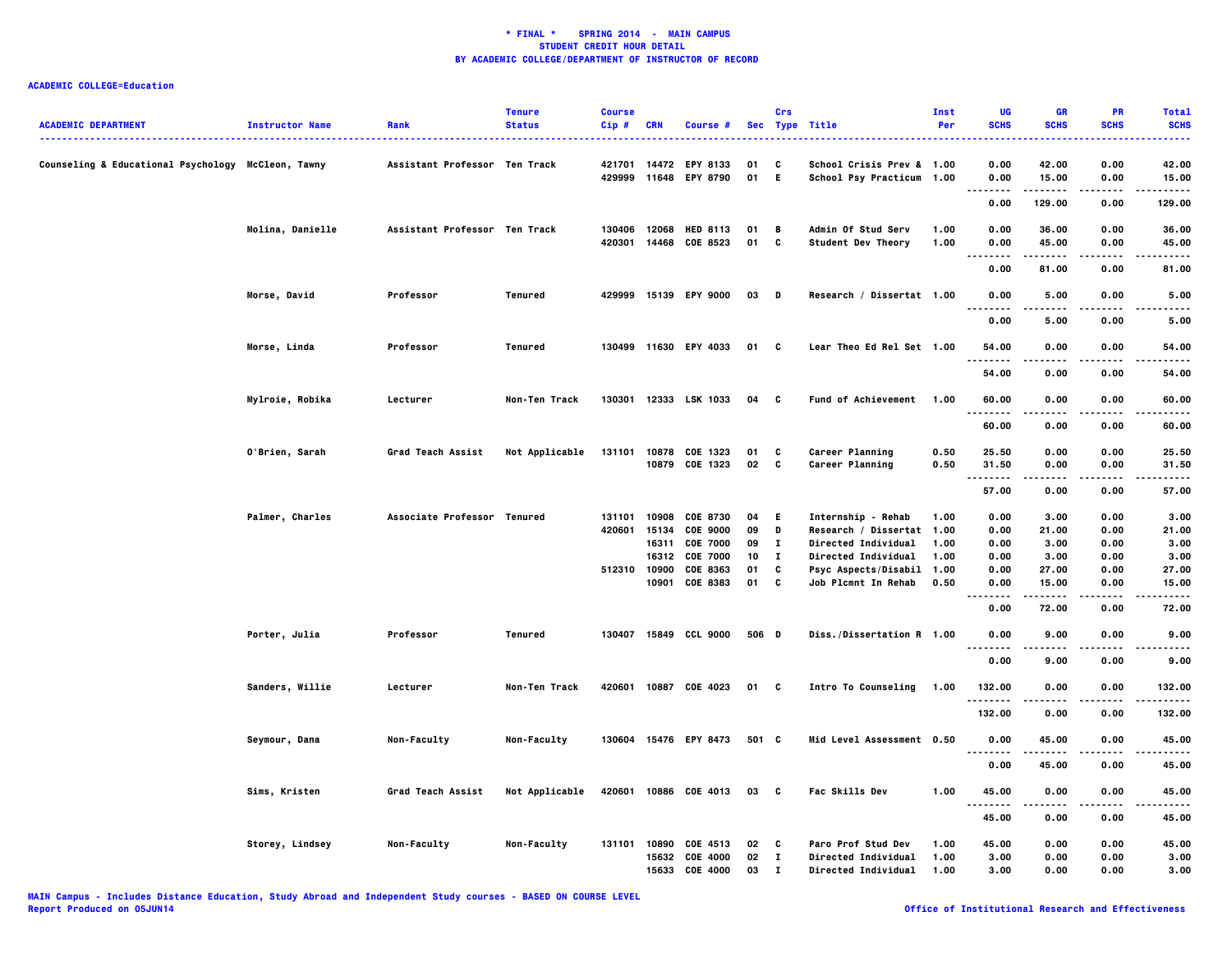| <b>ACADEMIC DEPARTMENT</b>                         | <b>Instructor Name</b> | Rank                          | <b>Tenure</b><br><b>Status</b> | <b>Course</b><br>Cip# | <b>CRN</b> | Course #              |       | Crs          | Sec Type Title             | Inst<br>Per | UG<br><b>SCHS</b>                     | GR<br><b>SCHS</b> | PR<br><b>SCHS</b> | <b>Total</b><br><b>SCHS</b> |
|----------------------------------------------------|------------------------|-------------------------------|--------------------------------|-----------------------|------------|-----------------------|-------|--------------|----------------------------|-------------|---------------------------------------|-------------------|-------------------|-----------------------------|
| Counseling & Educational Psychology McCleon, Tawny |                        | Assistant Professor Ten Track |                                | 421701                | 14472      | <b>EPY 8133</b>       | 01    | C            | School Crisis Prev & 1.00  |             | 0.00                                  | 42.00             | 0.00              | 42.00                       |
|                                                    |                        |                               |                                | 429999                |            | 11648 EPY 8790        | 01    | - E          | School Psy Practicum 1.00  |             | 0.00<br>$\sim$ $\sim$ $\sim$<br>----- | 15.00<br>.        | 0.00              | 15.00<br>.                  |
|                                                    |                        |                               |                                |                       |            |                       |       |              |                            |             | 0.00                                  | 129.00            | 0.00              | 129.00                      |
|                                                    | Molina, Danielle       | Assistant Professor Ten Track |                                | 130406                | 12068      | <b>HED 8113</b>       | 01    | B            | <b>Admin Of Stud Serv</b>  | 1.00        | 0.00                                  | 36.00             | 0.00              | 36.00                       |
|                                                    |                        |                               |                                | 420301                |            | 14468 COE 8523        | 01    | C            | Student Dev Theory         | 1.00        | 0.00<br>.<br>. .                      | 45.00<br>.        | 0.00<br>.         | 45.00<br>.                  |
|                                                    |                        |                               |                                |                       |            |                       |       |              |                            |             | 0.00                                  | 81.00             | 0.00              | 81.00                       |
|                                                    | <b>Morse, David</b>    | Professor                     | Tenured                        |                       |            | 429999 15139 EPY 9000 | 03 D  |              | Research / Dissertat 1.00  |             | 0.00<br>-----<br>$\sim$ $\sim$ $\sim$ | 5.00<br>-----     | 0.00<br>.         | 5.00<br>.                   |
|                                                    |                        |                               |                                |                       |            |                       |       |              |                            |             | 0.00                                  | 5.00              | 0.00              | 5.00                        |
|                                                    | Morse, Linda           | Professor                     | Tenured                        |                       |            | 130499 11630 EPY 4033 | 01    | C            | Lear Theo Ed Rel Set 1.00  |             | 54.00                                 | 0.00              | 0.00              | 54.00                       |
|                                                    |                        |                               |                                |                       |            |                       |       |              |                            |             | .<br>54.00                            | 0.00              | 0.00              | .<br>54.00                  |
|                                                    | Mylroie, Robika        | Lecturer                      | Non-Ten Track                  | 130301                |            | 12333 LSK 1033        | 04    | <b>C</b>     | Fund of Achievement        | 1.00        | 60.00                                 | 0.00              | 0.00              | 60.00                       |
|                                                    |                        |                               |                                |                       |            |                       |       |              |                            |             | .<br>60.00                            | .<br>0.00         | .<br>0.00         | .<br>60.00                  |
|                                                    | O'Brien, Sarah         | <b>Grad Teach Assist</b>      | Not Applicable                 | 131101                |            | 10878 COE 1323        | 01    | C            | Career Planning            | 0.50        | 25.50                                 | 0.00              | 0.00              | 25.50                       |
|                                                    |                        |                               |                                |                       |            | 10879 COE 1323        | 02    | C            | Career Planning            | 0.50        | 31.50                                 | 0.00              | 0.00              | 31.50                       |
|                                                    |                        |                               |                                |                       |            |                       |       |              |                            |             | 57.00                                 | 0.00              | 0.00              | .<br>57.00                  |
|                                                    | Palmer, Charles        | Associate Professor Tenured   |                                | 131101                | 10908      | COE 8730              | 04    | E.           | Internship - Rehab         | 1.00        | 0.00                                  | 3.00              | 0.00              | 3.00                        |
|                                                    |                        |                               |                                | 420601                | 15134      | <b>COE 9000</b>       | 09    | D            | Research / Dissertat 1.00  |             | 0.00                                  | 21.00             | 0.00              | 21.00                       |
|                                                    |                        |                               |                                |                       |            | 16311 COE 7000        | 09    | $\mathbf{I}$ | <b>Directed Individual</b> | 1.00        | 0.00                                  | 3.00              | 0.00              | 3.00                        |
|                                                    |                        |                               |                                |                       | 16312      | <b>COE 7000</b>       | 10    | п            | <b>Directed Individual</b> | 1.00        | 0.00                                  | 3.00              | 0.00              | 3.00                        |
|                                                    |                        |                               |                                | 512310 10900          |            | COE 8363              | 01    | C            | Psyc Aspects/Disabil 1.00  |             | 0.00                                  | 27.00             | 0.00              | 27.00                       |
|                                                    |                        |                               |                                |                       |            | 10901 COE 8383        | 01    | C            | Job Plcmnt In Rehab        | 0.50        | 0.00<br>.<br>.                        | 15.00<br>.        | 0.00<br>.         | 15.00<br>.                  |
|                                                    |                        |                               |                                |                       |            |                       |       |              |                            |             | 0.00                                  | 72.00             | 0.00              | 72.00                       |
|                                                    | Porter, Julia          | Professor                     | Tenured                        |                       |            | 130407 15849 CCL 9000 | 506 D |              | Diss./Dissertation R 1.00  |             | 0.00                                  | 9.00              | 0.00              | 9.00                        |
|                                                    |                        |                               |                                |                       |            |                       |       |              |                            |             | .<br>0.00                             | 9.00              | .<br>0.00         | <br>9.00                    |
|                                                    | Sanders, Willie        | Lecturer                      | Non-Ten Track                  | 420601                |            | 10887 COE 4023        | 01 C  |              | <b>Intro To Counseling</b> | 1.00        | 132.00                                | 0.00              | 0.00              | 132.00                      |
|                                                    |                        |                               |                                |                       |            |                       |       |              |                            |             | .<br>132.00                           | 0.00              | .<br>0.00         | .<br>132.00                 |
|                                                    | Seymour, Dana          | Non-Faculty                   | Non-Faculty                    |                       |            | 130604 15476 EPY 8473 | 501 C |              | Mid Level Assessment 0.50  |             | 0.00                                  | 45.00             | 0.00              | 45.00                       |
|                                                    |                        |                               |                                |                       |            |                       |       |              |                            |             | .<br>0.00                             | 45.00             | 0.00              | .<br>45.00                  |
|                                                    |                        |                               |                                | 420601                |            | 10886 COE 4013        |       |              | Fac Skills Dev             | 1.00        | 45.00                                 | 0.00              | 0.00              |                             |
|                                                    | Sims, Kristen          | Grad Teach Assist             | Not Applicable                 |                       |            |                       | 03 C  |              |                            |             | .                                     | .                 | .                 | 45.00<br>.                  |
|                                                    |                        |                               |                                |                       |            |                       |       |              |                            |             | 45.00                                 | 0.00              | 0.00              | 45.00                       |
|                                                    | Storey, Lindsey        | Non-Faculty                   | Non-Faculty                    | 131101                | 10890      | COE 4513              | 02    | C            | Paro Prof Stud Dev         | 1.00        | 45.00                                 | 0.00              | 0.00              | 45.00                       |
|                                                    |                        |                               |                                |                       |            | 15632 COE 4000        | 02    | $\mathbf{I}$ | Directed Individual        | 1.00        | 3.00                                  | 0.00              | 0.00              | 3.00                        |
|                                                    |                        |                               |                                |                       | 15633      | <b>COE 4000</b>       | 03    | $\mathbf I$  | <b>Directed Individual</b> | 1.00        | 3.00                                  | 0.00              | 0.00              | 3.00                        |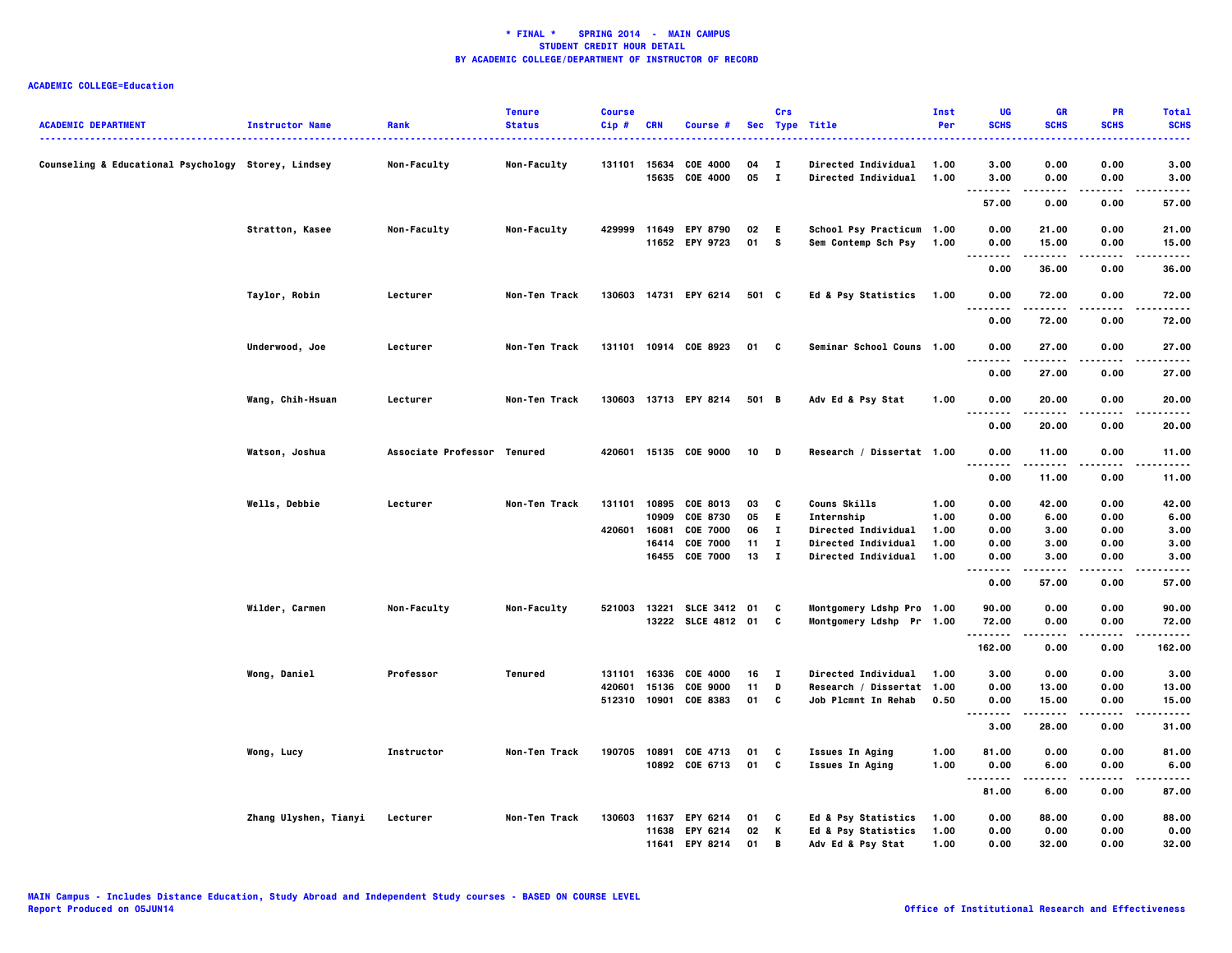| <b>ACADEMIC DEPARTMENT</b>                          | <b>Instructor Name</b> | Rank                        | <b>Tenure</b><br><b>Status</b> | <b>Course</b><br>Cip# | <b>CRN</b> | Course #              |       | Crs          | Sec Type Title             | Inst<br>Per | UG<br><b>SCHS</b>     | GR<br><b>SCHS</b>   | PR<br><b>SCHS</b>   | <b>Total</b><br><b>SCHS</b> |
|-----------------------------------------------------|------------------------|-----------------------------|--------------------------------|-----------------------|------------|-----------------------|-------|--------------|----------------------------|-------------|-----------------------|---------------------|---------------------|-----------------------------|
|                                                     |                        |                             |                                |                       |            |                       |       |              |                            |             |                       |                     |                     |                             |
| Counseling & Educational Psychology Storey, Lindsey |                        | Non-Faculty                 | Non-Faculty                    |                       |            | 131101 15634 COE 4000 | 04    | $\mathbf{I}$ | <b>Directed Individual</b> | 1.00        | 3.00                  | 0.00                | 0.00                | 3.00                        |
|                                                     |                        |                             |                                |                       | 15635      | COE 4000              | 05    | - 1          | <b>Directed Individual</b> | 1.00        | 3.00<br>$\sim$ $\sim$ | 0.00                | 0.00                | 3.00                        |
|                                                     |                        |                             |                                |                       |            |                       |       |              |                            |             | 57.00                 | 0.00                | 0.00                | 57.00                       |
|                                                     | Stratton, Kasee        | Non-Faculty                 | Non-Faculty                    | 429999                |            | 11649 EPY 8790        | 02    | E.           | School Psy Practicum 1.00  |             | 0.00                  | 21.00               | 0.00                | 21.00                       |
|                                                     |                        |                             |                                |                       |            | 11652 EPY 9723        | 01 S  |              | Sem Contemp Sch Psy        | 1.00        | 0.00                  | 15.00               | 0.00                | 15.00                       |
|                                                     |                        |                             |                                |                       |            |                       |       |              |                            |             | .<br>.                |                     |                     |                             |
|                                                     |                        |                             |                                |                       |            |                       |       |              |                            |             | 0.00                  | 36.00               | 0.00                | 36.00                       |
|                                                     | Taylor, Robin          | Lecturer                    | Non-Ten Track                  |                       |            | 130603 14731 EPY 6214 | 501 C |              | Ed & Psy Statistics 1.00   |             | 0.00<br>.<br>.        | 72.00<br>. <b>.</b> | 0.00                | 72.00<br>.                  |
|                                                     |                        |                             |                                |                       |            |                       |       |              |                            |             | 0.00                  | 72.00               | 0.00                | 72.00                       |
|                                                     | Underwood, Joe         | Lecturer                    | Non-Ten Track                  |                       |            | 131101 10914 COE 8923 | 01 C  |              | Seminar School Couns 1.00  |             | 0.00                  | 27.00               | 0.00                | 27.00                       |
|                                                     |                        |                             |                                |                       |            |                       |       |              |                            |             | <br>.<br>0.00         | 27.00               | .<br>0.00           | .<br>27.00                  |
|                                                     | Wang, Chih-Hsuan       | Lecturer                    | Non-Ten Track                  |                       |            | 130603 13713 EPY 8214 | 501 B |              | Adv Ed & Psy Stat          | 1.00        | 0.00                  | 20.00               | 0.00                | 20.00                       |
|                                                     |                        |                             |                                |                       |            |                       |       |              |                            |             | $\cdots$              | . <b>.</b>          | .                   | -----                       |
|                                                     |                        |                             |                                |                       |            |                       |       |              |                            |             | 0.00                  | 20.00               | 0.00                | 20.00                       |
|                                                     | Watson, Joshua         | Associate Professor Tenured |                                |                       |            | 420601 15135 COE 9000 | 10    | <b>D</b>     | Research / Dissertat 1.00  |             | 0.00                  | 11.00               | 0.00                | 11.00                       |
|                                                     |                        |                             |                                |                       |            |                       |       |              |                            |             | .<br>0.00             | 11.00               | 0.00                | 11.00                       |
|                                                     | Wells, Debbie          | Lecturer                    | Non-Ten Track                  | 131101                |            | 10895 COE 8013        | 03    | c            | Couns Skills               | 1.00        | 0.00                  | 42.00               | 0.00                | 42.00                       |
|                                                     |                        |                             |                                |                       | 10909      | <b>COE 8730</b>       | 05    | E.           | Internship                 | 1.00        | 0.00                  | 6.00                | 0.00                | 6.00                        |
|                                                     |                        |                             |                                | 420601                | 16081      | <b>COE 7000</b>       | 06    | л.           | Directed Individual        | 1.00        | 0.00                  | 3.00                | 0.00                | 3.00                        |
|                                                     |                        |                             |                                |                       | 16414      | <b>COE 7000</b>       | 11    | $\mathbf{I}$ | Directed Individual        | 1.00        | 0.00                  | 3.00                | 0.00                | 3.00                        |
|                                                     |                        |                             |                                |                       |            | 16455 COE 7000        | 13 I  |              | <b>Directed Individual</b> | 1.00        | 0.00<br>.             | 3.00<br>.           | 0.00<br>.           | 3.00<br>.                   |
|                                                     |                        |                             |                                |                       |            |                       |       |              |                            |             | 0.00                  | 57.00               | 0.00                | 57.00                       |
|                                                     | Wilder, Carmen         | Non-Faculty                 | Non-Faculty                    | 521003                |            | 13221 SLCE 3412 01    |       | C            | Montgomery Ldshp Pro 1.00  |             | 90.00                 | 0.00                | 0.00                | 90.00                       |
|                                                     |                        |                             |                                |                       |            | 13222 SLCE 4812 01 C  |       |              | Montgomery Ldshp Pr 1.00   |             | 72.00                 | 0.00                | 0.00                | 72.00                       |
|                                                     |                        |                             |                                |                       |            |                       |       |              |                            |             | .<br>162.00           | 0.00                | 0.00                | 162.00                      |
|                                                     | Wong, Daniel           | Professor                   | Tenured                        | 131101                | 16336      | COE 4000              | 16    | $\mathbf{I}$ | <b>Directed Individual</b> | 1.00        | 3.00                  | 0.00                | 0.00                | 3.00                        |
|                                                     |                        |                             |                                | 420601                | 15136      | <b>COE 9000</b>       | 11    | D            | Research / Dissertat 1.00  |             | 0.00                  | 13.00               | 0.00                | 13.00                       |
|                                                     |                        |                             |                                | 512310                |            | 10901 COE 8383        | 01    | $\mathbf{c}$ | Job Plcmnt In Rehab        | 0.50        | 0.00                  | 15.00               | 0.00                | 15.00                       |
|                                                     |                        |                             |                                |                       |            |                       |       |              |                            |             | .<br>3.00             | 28.00               | 0.00                | 31.00                       |
|                                                     |                        |                             |                                |                       |            |                       |       |              |                            |             |                       |                     |                     |                             |
|                                                     | Wong, Lucy             | Instructor                  | Non-Ten Track                  | 190705                |            | 10891 COE 4713        | 01    | C            | <b>Issues In Aging</b>     | 1.00        | 81.00                 | 0.00                | 0.00                | 81.00                       |
|                                                     |                        |                             |                                |                       |            | 10892 COE 6713        | 01    | C            | <b>Issues In Aging</b>     | 1.00        | 0.00<br>.             | 6.00<br>.           | 0.00<br>$- - - - -$ | 6.00<br>.                   |
|                                                     |                        |                             |                                |                       |            |                       |       |              |                            |             | 81.00                 | 6.00                | 0.00                | 87.00                       |
|                                                     | Zhang Ulyshen, Tianyi  | Lecturer                    | Non-Ten Track                  | 130603                |            | 11637 EPY 6214        | 01    | C            | Ed & Psy Statistics        | 1.00        | 0.00                  | 88.00               | 0.00                | 88.00                       |
|                                                     |                        |                             |                                |                       |            | 11638 EPY 6214        | 02    | К            | Ed & Psy Statistics        | 1.00        | 0.00                  | 0.00                | 0.00                | 0.00                        |
|                                                     |                        |                             |                                |                       | 11641      | <b>EPY 8214</b>       | 01    | B            | Adv Ed & Psy Stat          | 1.00        | 0.00                  | 32.00               | 0.00                | 32.00                       |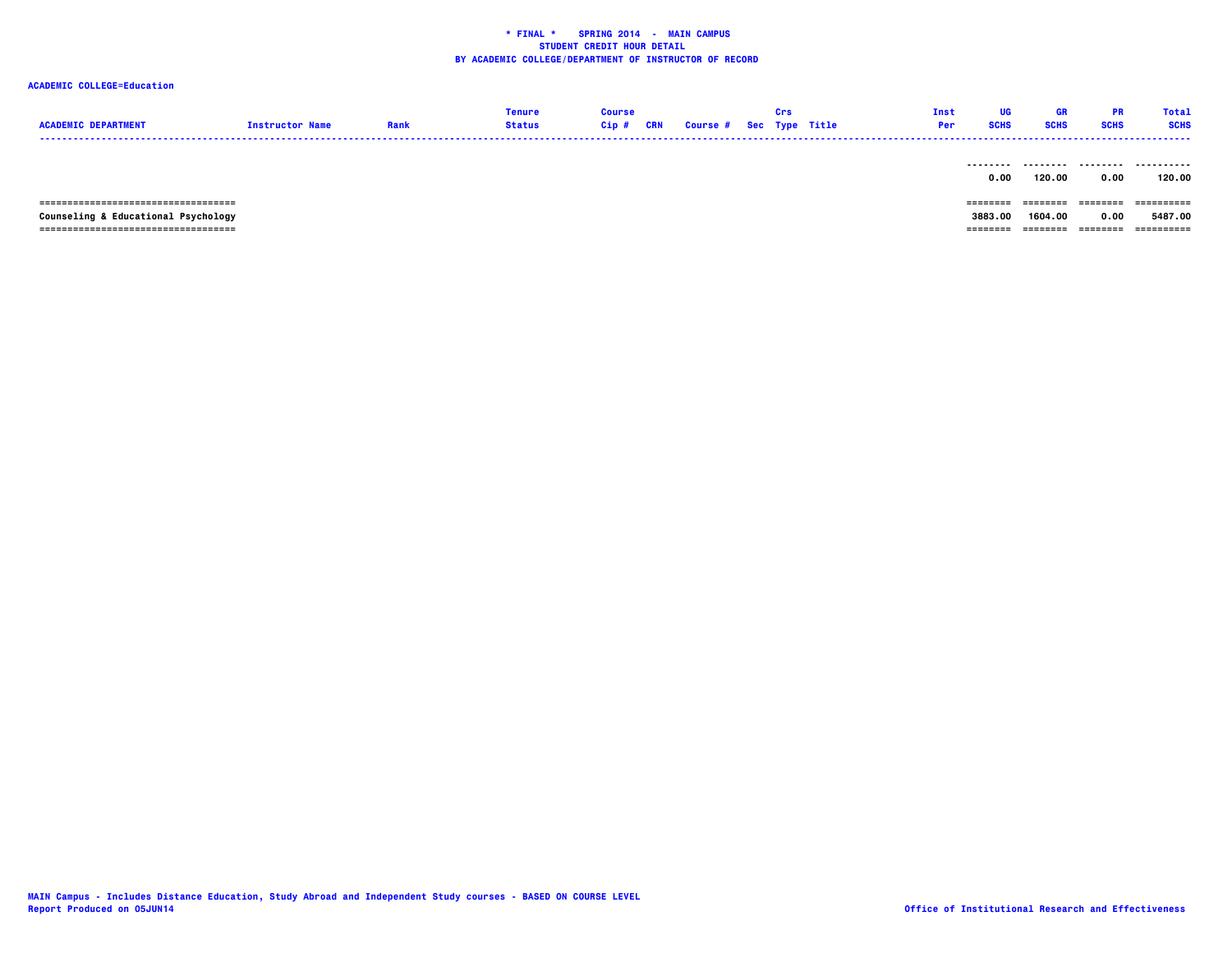# **ACADEMIC COLLEGE=Education**

| <b>ACADEMIC DEPARTMENT</b>                                                   | <b>Instructor Name</b> | Rank | <b>Tenure</b><br><b>Status</b> | <b>Course</b><br>$Cip$ # | CRN | <b>Course # Sec Type Title</b> | Crs | Inst<br>Per | UG<br><b>SCHS</b> | GR<br><b>SCHS</b> | <b>PR</b><br><b>SCHS</b> | Total<br><b>SCHS</b>  |
|------------------------------------------------------------------------------|------------------------|------|--------------------------------|--------------------------|-----|--------------------------------|-----|-------------|-------------------|-------------------|--------------------------|-----------------------|
|                                                                              |                        |      |                                |                          |     |                                |     |             | 0.00              | 120.00            | 0.00                     | 120.00                |
| =====================================<br>Counseling & Educational Psychology |                        |      |                                |                          |     |                                |     |             | ======<br>3883.00 | 1604.00           | ---------<br>0.00        | ==========<br>5487.00 |

 **=================================== ======== ======== ======== ==========**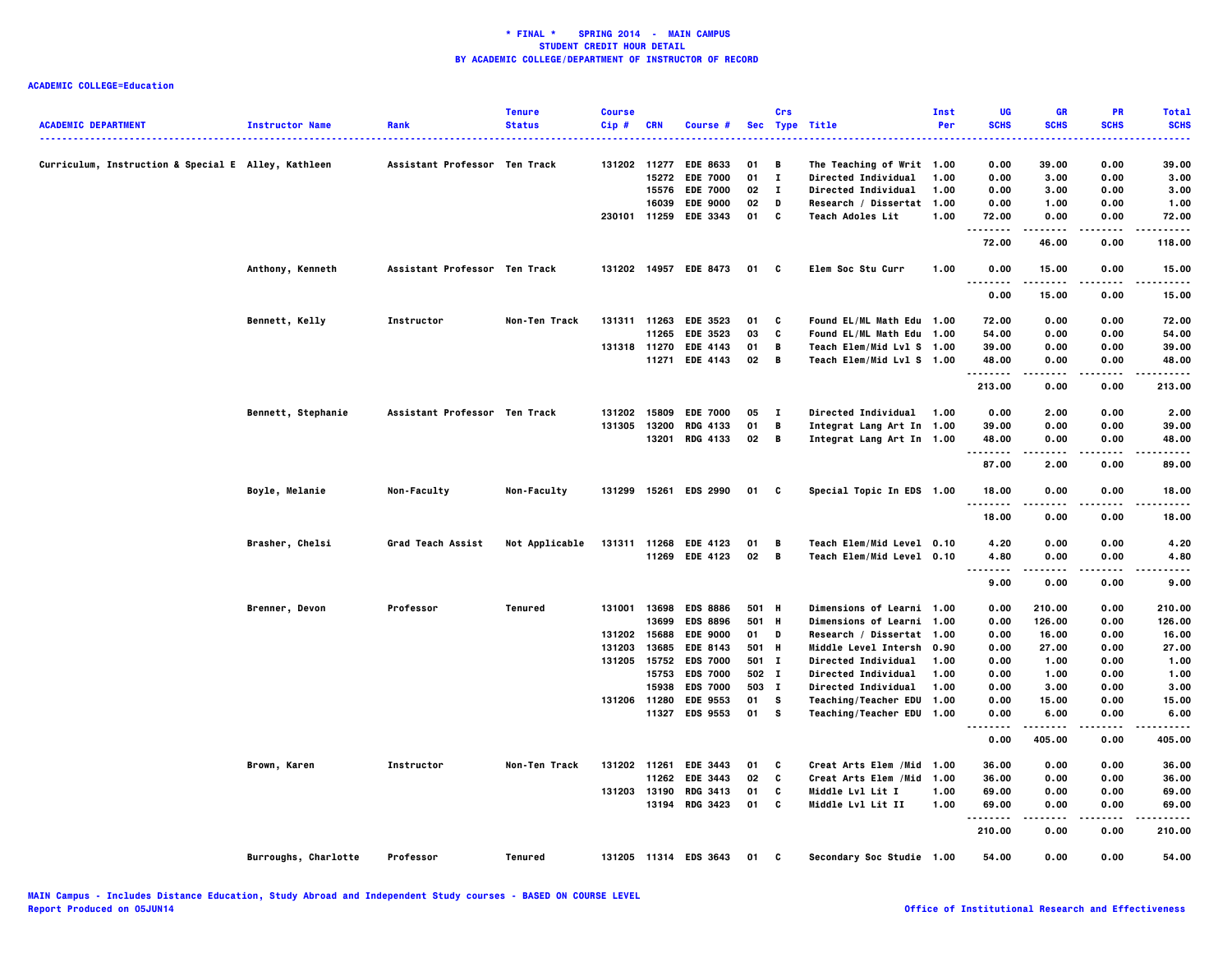| <b>ACADEMIC DEPARTMENT</b>                          | <b>Instructor Name</b> | Rank                          | <b>Tenure</b><br><b>Status</b> | <b>Course</b><br>Cip# | <b>CRN</b> | Course #              |       | Crs            | Sec Type Title             | Inst<br>Per | UG<br><b>SCHS</b>                   | <b>GR</b><br><b>SCHS</b> | PR<br><b>SCHS</b> | <b>Total</b><br><b>SCHS</b> |
|-----------------------------------------------------|------------------------|-------------------------------|--------------------------------|-----------------------|------------|-----------------------|-------|----------------|----------------------------|-------------|-------------------------------------|--------------------------|-------------------|-----------------------------|
| Curriculum, Instruction & Special E Alley, Kathleen |                        | Assistant Professor Ten Track |                                | 131202 11277          |            | <b>EDE 8633</b>       | 01    | B              | The Teaching of Writ 1.00  |             | 0.00                                | 39.00                    | 0.00              | 39.00                       |
|                                                     |                        |                               |                                |                       | 15272      | <b>EDE 7000</b>       | 01    | $\mathbf{I}$   | <b>Directed Individual</b> | 1.00        | 0.00                                | 3.00                     | 0.00              | 3.00                        |
|                                                     |                        |                               |                                |                       | 15576      | <b>EDE 7000</b>       | 02    | $\mathbf{I}$   | <b>Directed Individual</b> | 1.00        | 0.00                                | 3.00                     | 0.00              | 3.00                        |
|                                                     |                        |                               |                                |                       | 16039      | <b>EDE 9000</b>       | 02    | D              | Research / Dissertat 1.00  |             | 0.00                                | 1.00                     | 0.00              | 1.00                        |
|                                                     |                        |                               |                                | 230101 11259          |            | <b>EDE 3343</b>       | 01    | $\mathbf{c}$   | <b>Teach Adoles Lit</b>    | 1.00        | 72.00<br>.                          | 0.00                     | 0.00              | 72.00                       |
|                                                     |                        |                               |                                |                       |            |                       |       |                |                            |             | 72.00                               | 46.00                    | 0.00              | 118.00                      |
|                                                     | Anthony, Kenneth       | Assistant Professor Ten Track |                                |                       |            | 131202 14957 EDE 8473 | 01 C  |                | Elem Soc Stu Curr          | 1.00        | 0.00<br>.                           | 15.00<br>.               | 0.00<br>.         | 15.00<br>.                  |
|                                                     |                        |                               |                                |                       |            |                       |       |                |                            |             | 0.00                                | 15.00                    | 0.00              | 15.00                       |
|                                                     | Bennett, Kelly         | Instructor                    | Non-Ten Track                  |                       |            | 131311 11263 EDE 3523 | 01    | C              | Found EL/ML Math Edu 1.00  |             | 72.00                               | 0.00                     | 0.00              | 72.00                       |
|                                                     |                        |                               |                                |                       | 11265      | <b>EDE 3523</b>       | 03    | C              | Found EL/ML Math Edu 1.00  |             | 54.00                               | 0.00                     | 0.00              | 54.00                       |
|                                                     |                        |                               |                                | 131318 11270          |            | <b>EDE 4143</b>       | 01    | В              | Teach Elem/Mid Lvl S 1.00  |             | 39.00                               | 0.00                     | 0.00              | 39.00                       |
|                                                     |                        |                               |                                |                       |            | 11271 EDE 4143        | 02    | $\overline{B}$ | Teach Elem/Mid Lvl S 1.00  |             | 48.00<br>.                          | 0.00<br>.                | 0.00<br>.         | 48.00<br>.                  |
|                                                     |                        |                               |                                |                       |            |                       |       |                |                            |             | 213.00                              | 0.00                     | 0.00              | 213.00                      |
|                                                     | Bennett, Stephanie     | Assistant Professor Ten Track |                                | 131202 15809          |            | <b>EDE 7000</b>       | 05    | $\mathbf{I}$   | <b>Directed Individual</b> | 1.00        | 0.00                                | 2.00                     | 0.00              | 2.00                        |
|                                                     |                        |                               |                                | 131305 13200          |            | <b>RDG 4133</b>       | 01    | B              | Integrat Lang Art In 1.00  |             | 39.00                               | 0.00                     | 0.00              | 39.00                       |
|                                                     |                        |                               |                                |                       |            | 13201 RDG 4133        | 02    | — в            | Integrat Lang Art In 1.00  |             | 48.00<br>$- - - - -$                | 0.00                     | 0.00              | 48.00                       |
|                                                     |                        |                               |                                |                       |            |                       |       |                |                            |             | 87.00                               | 2.00                     | 0.00              | 89.00                       |
|                                                     | Boyle, Melanie         | Non-Faculty                   | Non-Faculty                    |                       |            | 131299 15261 EDS 2990 | 01 C  |                | Special Topic In EDS 1.00  |             | 18.00<br>.                          | 0.00                     | 0.00              | 18.00                       |
|                                                     |                        |                               |                                |                       |            |                       |       |                |                            |             | 18.00                               | 0.00                     | 0.00              | 18.00                       |
|                                                     | Brasher, Chelsi        | Grad Teach Assist             | Not Applicable                 |                       |            | 131311 11268 EDE 4123 | 01    | — В            | Teach Elem/Mid Level 0.10  |             | 4.20                                | 0.00                     | 0.00              | 4.20                        |
|                                                     |                        |                               |                                |                       |            | 11269 EDE 4123        | 02 B  |                | Teach Elem/Mid Level 0.10  |             | 4.80<br>. .<br>$\sim$ $\sim$ $\sim$ | 0.00                     | 0.00              | 4.80                        |
|                                                     |                        |                               |                                |                       |            |                       |       |                |                            |             | 9.00                                | 0.00                     | 0.00              | 9.00                        |
|                                                     | Brenner, Devon         | Professor                     | Tenured                        |                       |            | 131001 13698 EDS 8886 | 501 H |                | Dimensions of Learni 1.00  |             | 0.00                                | 210.00                   | 0.00              | 210.00                      |
|                                                     |                        |                               |                                |                       | 13699      | <b>EDS 8896</b>       | 501 H |                | Dimensions of Learni 1.00  |             | 0.00                                | 126.00                   | 0.00              | 126.00                      |
|                                                     |                        |                               |                                | 131202 15688          |            | <b>EDE 9000</b>       | 01 D  |                | Research / Dissertat 1.00  |             | 0.00                                | 16.00                    | 0.00              | 16.00                       |
|                                                     |                        |                               |                                | 131203                | 13685      | <b>EDE 8143</b>       | 501 H |                | Middle Level Intersh 0.90  |             | 0.00                                | 27.00                    | 0.00              | 27.00                       |
|                                                     |                        |                               |                                | 131205 15752          |            | <b>EDS 7000</b>       | 501 I |                | <b>Directed Individual</b> | 1.00        | 0.00                                | 1.00                     | 0.00              | 1.00                        |
|                                                     |                        |                               |                                |                       | 15753      | <b>EDS 7000</b>       | 502 I |                | Directed Individual        | 1.00        | 0.00                                | 1.00                     | 0.00              | 1.00                        |
|                                                     |                        |                               |                                |                       | 15938      | <b>EDS 7000</b>       | 503 I |                | <b>Directed Individual</b> | 1.00        | 0.00                                | 3.00                     | 0.00              | 3.00                        |
|                                                     |                        |                               |                                | 131206 11280          |            | <b>EDE 9553</b>       | 01    | s              | Teaching/Teacher EDU 1.00  |             | 0.00                                | 15.00                    | 0.00              | 15.00                       |
|                                                     |                        |                               |                                |                       | 11327      | <b>EDS 9553</b>       | 01    | s              | Teaching/Teacher EDU 1.00  |             | 0.00<br>.<br>$\sim$ $\sim$ $\sim$   | 6.00<br>.                | 0.00<br>.         | 6.00<br>.                   |
|                                                     |                        |                               |                                |                       |            |                       |       |                |                            |             | 0.00                                | 405.00                   | 0.00              | 405.00                      |
|                                                     | Brown, Karen           | Instructor                    | Non-Ten Track                  | 131202 11261          |            | <b>EDE 3443</b>       | 01    | C              | Creat Arts Elem /Mid 1.00  |             | 36.00                               | 0.00                     | 0.00              | 36.00                       |
|                                                     |                        |                               |                                |                       | 11262      | <b>EDE 3443</b>       | 02    | C              | Creat Arts Elem /Mid 1.00  |             | 36.00                               | 0.00                     | 0.00              | 36.00                       |
|                                                     |                        |                               |                                | 131203 13190          |            | <b>RDG 3413</b>       | 01    | C              | <b>Middle Lvl Lit I</b>    | 1.00        | 69.00                               | 0.00                     | 0.00              | 69.00                       |
|                                                     |                        |                               |                                |                       |            | 13194 RDG 3423        | 01    | C              | <b>Middle Lvl Lit II</b>   | 1.00        | 69.00<br>.                          | 0.00<br>.                | 0.00<br>-----     | 69.00<br>.                  |
|                                                     |                        |                               |                                |                       |            |                       |       |                |                            |             | 210.00                              | 0.00                     | 0.00              | 210.00                      |
|                                                     | Burroughs, Charlotte   | Professor                     | Tenured                        |                       |            | 131205 11314 EDS 3643 | 01    | $\mathbf{c}$   | Secondary Soc Studie 1.00  |             | 54.00                               | 0.00                     | 0.00              | 54.00                       |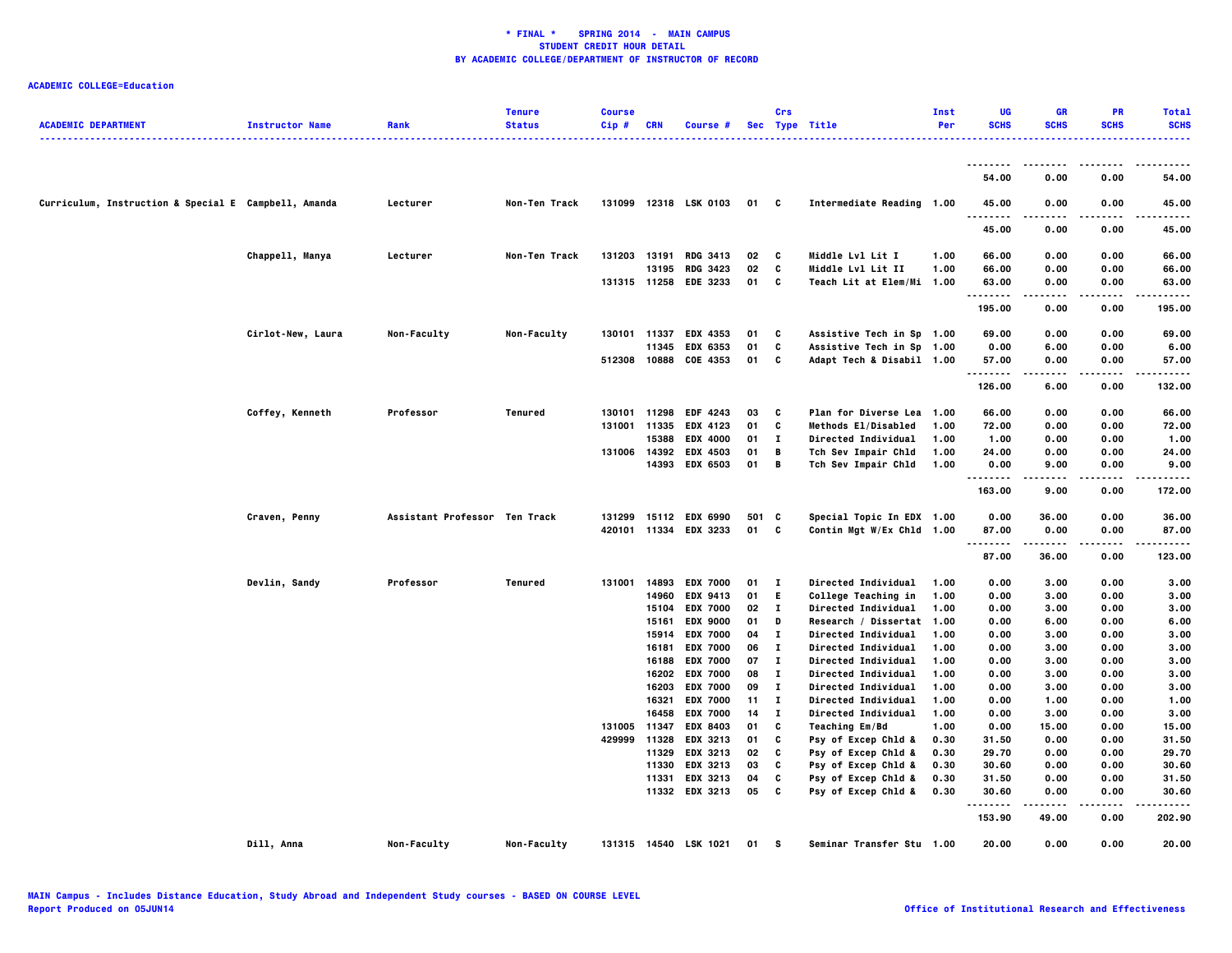| <b>ACADEMIC DEPARTMENT</b>                           | <b>Instructor Name</b> | Rank                          | <b>Tenure</b><br><b>Status</b> | <b>Course</b><br>Cip# | <b>CRN</b>            | Course #                    |          | Crs         | Sec Type Title                             | Inst<br>Per  | UG<br><b>SCHS</b> | GR<br><b>SCHS</b> | PR<br><b>SCHS</b> | <b>Total</b><br><b>SCHS</b> |
|------------------------------------------------------|------------------------|-------------------------------|--------------------------------|-----------------------|-----------------------|-----------------------------|----------|-------------|--------------------------------------------|--------------|-------------------|-------------------|-------------------|-----------------------------|
|                                                      |                        |                               |                                |                       |                       |                             |          |             |                                            |              |                   |                   |                   |                             |
|                                                      |                        |                               |                                |                       |                       |                             |          |             |                                            |              | --------<br>54.00 | .<br>0.00         | 0.00              | 54.00                       |
| Curriculum, Instruction & Special E Campbell, Amanda |                        | Lecturer                      | Non-Ten Track                  |                       |                       | 131099 12318 LSK 0103       | 01       | C           | Intermediate Reading 1.00                  |              | 45.00             | 0.00              | 0.00              | 45.00                       |
|                                                      |                        |                               |                                |                       |                       |                             |          |             |                                            |              | 45.00             | 0.00              | 0.00              | 45.00                       |
|                                                      | Chappell, Manya        | Lecturer                      | Non-Ten Track                  |                       | 131203 13191          | <b>RDG 3413</b>             | 02       | C           | Middle Lvl Lit I                           | 1.00         | 66.00             | 0.00              | 0.00              | 66.00                       |
|                                                      |                        |                               |                                |                       | 13195                 | <b>RDG 3423</b>             | 02       | c           | Middle Lvl Lit II                          | 1.00         | 66.00             | 0.00              | 0.00              | 66.00                       |
|                                                      |                        |                               |                                |                       |                       | 131315 11258 EDE 3233       | 01       | C           | Teach Lit at Elem/Mi 1.00                  |              | 63.00<br>.        | 0.00<br>.         | 0.00<br>.         | 63.00<br>.                  |
|                                                      |                        |                               |                                |                       |                       |                             |          |             |                                            |              | 195.00            | 0.00              | 0.00              | 195.00                      |
|                                                      | Cirlot-New, Laura      | Non-Faculty                   | Non-Faculty                    |                       | 130101 11337          | <b>EDX 4353</b>             | 01       | C           | Assistive Tech in Sp 1.00                  |              | 69.00             | 0.00              | 0.00              | 69.00                       |
|                                                      |                        |                               |                                |                       | 11345                 | EDX 6353                    | 01       | C           | Assistive Tech in Sp 1.00                  |              | 0.00              | 6.00              | 0.00              | 6.00                        |
|                                                      |                        |                               |                                |                       |                       | 512308 10888 COE 4353       | 01       | C           | Adapt Tech & Disabil 1.00                  |              | 57.00<br>         | 0.00<br>$\cdots$  | 0.00<br>.         | 57.00<br>.                  |
|                                                      |                        |                               |                                |                       |                       |                             |          |             |                                            |              | 126.00            | 6.00              | 0.00              | 132.00                      |
|                                                      | Coffey, Kenneth        | Professor                     | Tenured                        |                       | 130101 11298          | EDF 4243                    | 03       | C           | <b>Plan for Diverse Lea</b>                | 1.00         | 66.00             | 0.00              | 0.00              | 66.00                       |
|                                                      |                        |                               |                                |                       | 131001 11335          | <b>EDX 4123</b>             | 01       | C           | Methods El/Disabled                        | 1.00         | 72.00             | 0.00              | 0.00              | 72.00                       |
|                                                      |                        |                               |                                |                       | 15388                 | <b>EDX 4000</b>             | 01       | п           | Directed Individual                        | 1.00         | 1.00              | 0.00              | 0.00              | 1.00                        |
|                                                      |                        |                               |                                |                       |                       | 131006 14392 EDX 4503       | 01       | В           | Tch Sev Impair Chld                        | 1.00         | 24.00             | 0.00              | 0.00              | 24.00                       |
|                                                      |                        |                               |                                |                       |                       | 14393 EDX 6503              | 01       | B           | Tch Sev Impair Chld                        | 1.00         | 0.00              | 9.00              | 0.00              | 9.00                        |
|                                                      |                        |                               |                                |                       |                       |                             |          |             |                                            |              | 163.00            | 9.00              | 0.00              | 172.00                      |
|                                                      | Craven, Penny          | Assistant Professor Ten Track |                                |                       |                       | 131299 15112 EDX 6990       | 501 C    |             | Special Topic In EDX 1.00                  |              | 0.00              | 36.00             | 0.00              | 36.00                       |
|                                                      |                        |                               |                                |                       |                       | 420101 11334 EDX 3233       | 01       | C           | Contin Mgt W/Ex Chld 1.00                  |              | 87.00             | 0.00              | 0.00              | 87.00                       |
|                                                      |                        |                               |                                |                       |                       |                             |          |             |                                            |              | <br>87.00         | 36.00             | .<br>0.00         | 123.00                      |
|                                                      | Devlin, Sandy          | Professor                     | <b>Tenured</b>                 | 131001                | 14893                 | <b>EDX 7000</b>             | 01       | п           | Directed Individual                        | 1.00         | 0.00              | 3.00              | 0.00              | 3.00                        |
|                                                      |                        |                               |                                |                       | 14960                 | <b>EDX 9413</b>             | 01       | E.          | College Teaching in                        | 1.00         | 0.00              | 3.00              | 0.00              | 3.00                        |
|                                                      |                        |                               |                                |                       | 15104                 | <b>EDX 7000</b>             | 02       | л.          | Directed Individual                        | 1.00         | 0.00              | 3.00              | 0.00              | 3.00                        |
|                                                      |                        |                               |                                |                       | 15161                 | <b>EDX 9000</b>             | 01       | D           | Research / Dissertat 1.00                  |              | 0.00              | 6.00              | 0.00              | 6.00                        |
|                                                      |                        |                               |                                |                       | 15914                 | <b>EDX 7000</b>             | 04       | л.          | <b>Directed Individual</b>                 | 1.00         | 0.00              | 3.00              | 0.00              | 3.00                        |
|                                                      |                        |                               |                                |                       | 16181                 | <b>EDX 7000</b>             | 06       | Т.          | Directed Individual                        | 1.00         | 0.00              | 3.00              | 0.00              | 3.00                        |
|                                                      |                        |                               |                                |                       | 16188                 | <b>EDX 7000</b>             | 07       | Т.          | Directed Individual                        | 1.00         | 0.00              | 3.00              | 0.00              | 3.00                        |
|                                                      |                        |                               |                                |                       | 16202                 | <b>EDX 7000</b>             | 08       | Т.          | Directed Individual                        | 1.00         | 0.00              | 3.00              | 0.00              | 3.00                        |
|                                                      |                        |                               |                                |                       | 16203                 | <b>EDX 7000</b>             | 09       | п           | Directed Individual                        | 1.00         | 0.00              | 3.00              | 0.00              | 3.00                        |
|                                                      |                        |                               |                                |                       | 16321                 | <b>EDX 7000</b>             | 11       | Т.          | Directed Individual                        | 1.00         | 0.00              | 1.00              | 0.00              | 1.00                        |
|                                                      |                        |                               |                                |                       | 16458                 | <b>EDX 7000</b>             | 14       | $\mathbf I$ | Directed Individual                        | 1.00         | 0.00              | 3.00              | 0.00              | 3.00                        |
|                                                      |                        |                               |                                | 131005                | 11347                 | <b>EDX 8403</b>             | 01       | C           | Teaching Em/Bd                             | 1.00         | 0.00              | 15.00             | 0.00              | 15.00                       |
|                                                      |                        |                               |                                |                       | 429999 11328<br>11329 | <b>EDX 3213</b><br>EDX 3213 | 01<br>02 | C<br>C      | Psy of Excep Chld &<br>Psy of Excep Chld & | 0.30<br>0.30 | 31.50<br>29.70    | 0.00<br>0.00      | 0.00<br>0.00      | 31.50<br>29.70              |
|                                                      |                        |                               |                                |                       | 11330                 | EDX 3213                    | 03       | C           | Psy of Excep Chld &                        | 0.30         | 30.60             | 0.00              | 0.00              | 30.60                       |
|                                                      |                        |                               |                                |                       | 11331                 | EDX 3213                    | 04       | C           | Psy of Excep Chld &                        | 0.30         | 31.50             | 0.00              | 0.00              | 31.50                       |
|                                                      |                        |                               |                                |                       |                       | 11332 EDX 3213              | 05       | C           | Psy of Excep Chld &                        | 0.30         | 30.60             | 0.00              | 0.00              | 30.60                       |
|                                                      |                        |                               |                                |                       |                       |                             |          |             |                                            |              | .                 | -----             | .                 | .                           |
|                                                      |                        |                               |                                |                       |                       |                             |          |             |                                            |              | 153.90            | 49.00             | 0.00              | 202.90                      |
|                                                      | Dill, Anna             | Non-Faculty                   | Non-Faculty                    |                       |                       | 131315 14540 LSK 1021       | 01       | s           | Seminar Transfer Stu 1.00                  |              | 20.00             | 0.00              | 0.00              | 20.00                       |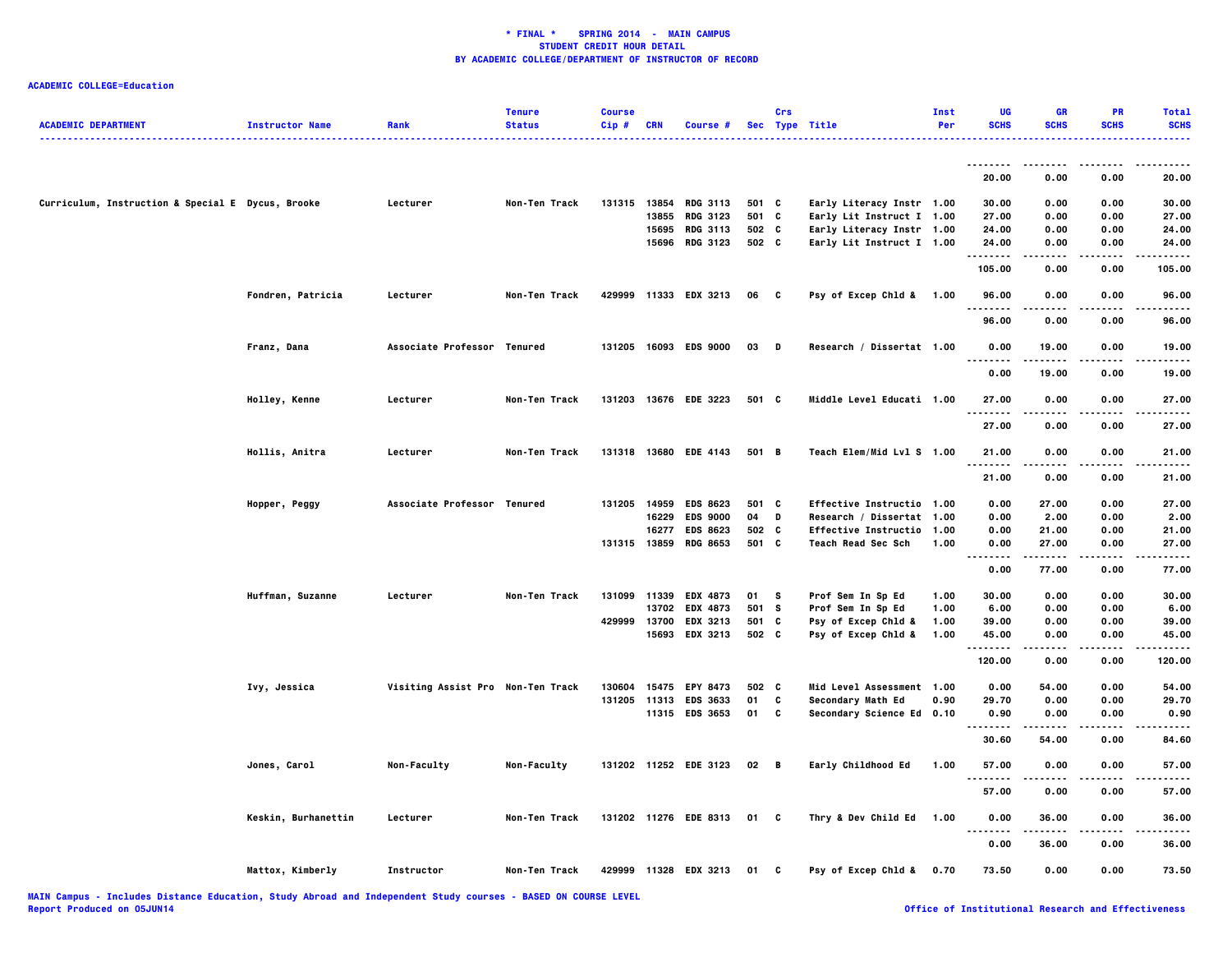| <b>ACADEMIC DEPARTMENT</b>                        | <b>Instructor Name</b> | Rank                              | <b>Tenure</b><br><b>Status</b> | <b>Course</b><br>Cip# | <b>CRN</b> | Course #                           |                | Crs          | Sec Type Title            | Inst<br>Per | UG<br><b>SCHS</b>                         | <b>GR</b><br><b>SCHS</b> | PR<br><b>SCHS</b> | <b>Total</b><br><b>SCHS</b> |
|---------------------------------------------------|------------------------|-----------------------------------|--------------------------------|-----------------------|------------|------------------------------------|----------------|--------------|---------------------------|-------------|-------------------------------------------|--------------------------|-------------------|-----------------------------|
|                                                   |                        |                                   |                                |                       |            |                                    |                |              |                           |             |                                           |                          |                   |                             |
|                                                   |                        |                                   |                                |                       |            |                                    |                |              |                           |             | - - - - - - - -<br>20.00                  | 0.00                     | 0.00              | .<br>20.00                  |
|                                                   |                        |                                   |                                |                       |            |                                    |                |              |                           |             |                                           |                          |                   |                             |
| Curriculum, Instruction & Special E Dycus, Brooke |                        | Lecturer                          | Non-Ten Track                  |                       |            | 131315 13854 RDG 3113              | 501 C          |              | Early Literacy Instr 1.00 |             | 30.00                                     | 0.00                     | 0.00              | 30.00                       |
|                                                   |                        |                                   |                                |                       | 13855      | <b>RDG 3123</b>                    | 501            | C            | Early Lit Instruct I 1.00 |             | 27.00                                     | 0.00                     | 0.00              | 27.00                       |
|                                                   |                        |                                   |                                |                       |            | 15695 RDG 3113                     | 502 C          |              | Early Literacy Instr 1.00 |             | 24.00                                     | 0.00                     | 0.00              | 24.00                       |
|                                                   |                        |                                   |                                |                       |            | 15696 RDG 3123                     | 502 C          |              | Early Lit Instruct I 1.00 |             | 24.00<br>$\cdots$                         | 0.00                     | 0.00              | 24.00                       |
|                                                   |                        |                                   |                                |                       |            |                                    |                |              |                           |             | 105.00                                    | 0.00                     | 0.00              | 105.00                      |
|                                                   | Fondren, Patricia      | Lecturer                          | Non-Ten Track                  |                       |            | 429999 11333 EDX 3213              | 06 C           |              | Psy of Excep Chld & 1.00  |             | 96.00<br>.                                | 0.00<br>.                | 0.00<br>.         | 96.00<br>.                  |
|                                                   |                        |                                   |                                |                       |            |                                    |                |              |                           |             | 96.00                                     | 0.00                     | 0.00              | 96.00                       |
|                                                   | Franz, Dana            | Associate Professor Tenured       |                                |                       |            | 131205 16093 EDS 9000              | 03 D           |              | Research / Dissertat 1.00 |             | 0.00                                      | 19.00                    | 0.00              | 19.00                       |
|                                                   |                        |                                   |                                |                       |            |                                    |                |              |                           |             | $\sim$ $\sim$ $\sim$<br>- - - - -<br>0.00 | 19.00                    | .<br>0.00         | .<br>19.00                  |
|                                                   | Holley, Kenne          | Lecturer                          | Non-Ten Track                  |                       |            | 131203 13676 EDE 3223              | 501 C          |              | Middle Level Educati 1.00 |             | 27.00                                     | 0.00                     | 0.00              | 27.00                       |
|                                                   |                        |                                   |                                |                       |            |                                    |                |              |                           |             | 27.00                                     | 0.00                     | 0.00              | 27.00                       |
|                                                   | Hollis, Anitra         | Lecturer                          | Non-Ten Track                  |                       |            | 131318 13680 EDE 4143              | 501 B          |              | Teach Elem/Mid Lvl S 1.00 |             | 21.00                                     | 0.00                     | 0.00              | 21.00                       |
|                                                   |                        |                                   |                                |                       |            |                                    |                |              |                           |             | .                                         | .                        | .                 | .                           |
|                                                   |                        |                                   |                                |                       |            |                                    |                |              |                           |             | 21.00                                     | 0.00                     | 0.00              | 21.00                       |
|                                                   | Hopper, Peggy          | Associate Professor Tenured       |                                | 131205                | 14959      | <b>EDS 8623</b>                    | 501 C          |              | Effective Instructio 1.00 |             | 0.00                                      | 27.00                    | 0.00              | 27.00                       |
|                                                   |                        |                                   |                                |                       | 16229      | <b>EDS 9000</b>                    | 04             | $\mathbf{D}$ | Research / Dissertat 1.00 |             | 0.00                                      | 2.00                     | 0.00              | 2.00                        |
|                                                   |                        |                                   |                                |                       | 16277      | <b>EDS 8623</b><br><b>RDG 8653</b> | 502 C<br>501 C |              | Effective Instructio 1.00 |             | 0.00                                      | 21.00                    | 0.00<br>0.00      | 21.00                       |
|                                                   |                        |                                   |                                | 131315 13859          |            |                                    |                |              | Teach Read Sec Sch        | 1.00        | 0.00<br>-----<br>.                        | 27.00<br>.               | .                 | 27.00<br>.                  |
|                                                   |                        |                                   |                                |                       |            |                                    |                |              |                           |             | 0.00                                      | 77.00                    | 0.00              | 77.00                       |
|                                                   | Huffman, Suzanne       | Lecturer                          | Non-Ten Track                  | 131099                |            | 11339 EDX 4873                     | 01             | s            | Prof Sem In Sp Ed         | 1.00        | 30.00                                     | 0.00                     | 0.00              | 30.00                       |
|                                                   |                        |                                   |                                |                       | 13702      | <b>EDX 4873</b>                    | 501 S          |              | Prof Sem In Sp Ed         | 1.00        | 6.00                                      | 0.00                     | 0.00              | 6.00                        |
|                                                   |                        |                                   |                                | 429999                |            | 13700 EDX 3213                     | 501 C          |              | Psy of Excep Chld &       | 1.00        | 39.00                                     | 0.00                     | 0.00              | 39.00                       |
|                                                   |                        |                                   |                                |                       |            | 15693 EDX 3213                     | 502 C          |              | Psy of Excep Chld &       | 1.00        | 45.00<br>- - - - - - - -                  | 0.00                     | 0.00<br>.         | 45.00                       |
|                                                   |                        |                                   |                                |                       |            |                                    |                |              |                           |             | 120.00                                    | 0.00                     | 0.00              | 120.00                      |
|                                                   | Ivy, Jessica           | Visiting Assist Pro Non-Ten Track |                                | 130604                |            | 15475 EPY 8473                     | 502 C          |              | Mid Level Assessment 1.00 |             | 0.00                                      | 54.00                    | 0.00              | 54.00                       |
|                                                   |                        |                                   |                                | 131205                |            | 11313 EDS 3633                     | 01             | C            | Secondary Math Ed         | 0.90        | 29.70                                     | 0.00                     | 0.00              | 29.70                       |
|                                                   |                        |                                   |                                |                       |            | 11315 EDS 3653                     | 01 C           |              | Secondary Science Ed 0.10 |             | 0.90                                      | 0.00                     | 0.00              | 0.90                        |
|                                                   |                        |                                   |                                |                       |            |                                    |                |              |                           |             | <br>30.60                                 | 54.00                    | 0.00              | 84.60                       |
|                                                   | Jones, Carol           | Non-Faculty                       | Non-Faculty                    |                       |            | 131202 11252 EDE 3123              | 02             | — в          | Early Childhood Ed        | 1.00        | 57.00                                     | 0.00                     | 0.00              | 57.00                       |
|                                                   |                        |                                   |                                |                       |            |                                    |                |              |                           |             | .<br>57.00                                | 0.00                     | 0.00              | 57.00                       |
|                                                   | Keskin, Burhanettin    | Lecturer                          | Non-Ten Track                  |                       |            | 131202 11276 EDE 8313              | 01 C           |              | Thry & Dev Child Ed       | 1.00        | 0.00                                      | 36.00                    | 0.00              | 36.00                       |
|                                                   |                        |                                   |                                |                       |            |                                    |                |              |                           |             | <u>.</u>                                  |                          |                   | .                           |
|                                                   |                        |                                   |                                |                       |            |                                    |                |              |                           |             | 0.00                                      | 36.00                    | 0.00              | 36.00                       |
|                                                   | Mattox, Kimberly       | Instructor                        | Non-Ten Track                  |                       |            | 429999 11328 EDX 3213              | 01             | c            | Psy of Excep Chld &       | 0.70        | 73.50                                     | 0.00                     | 0.00              | 73.50                       |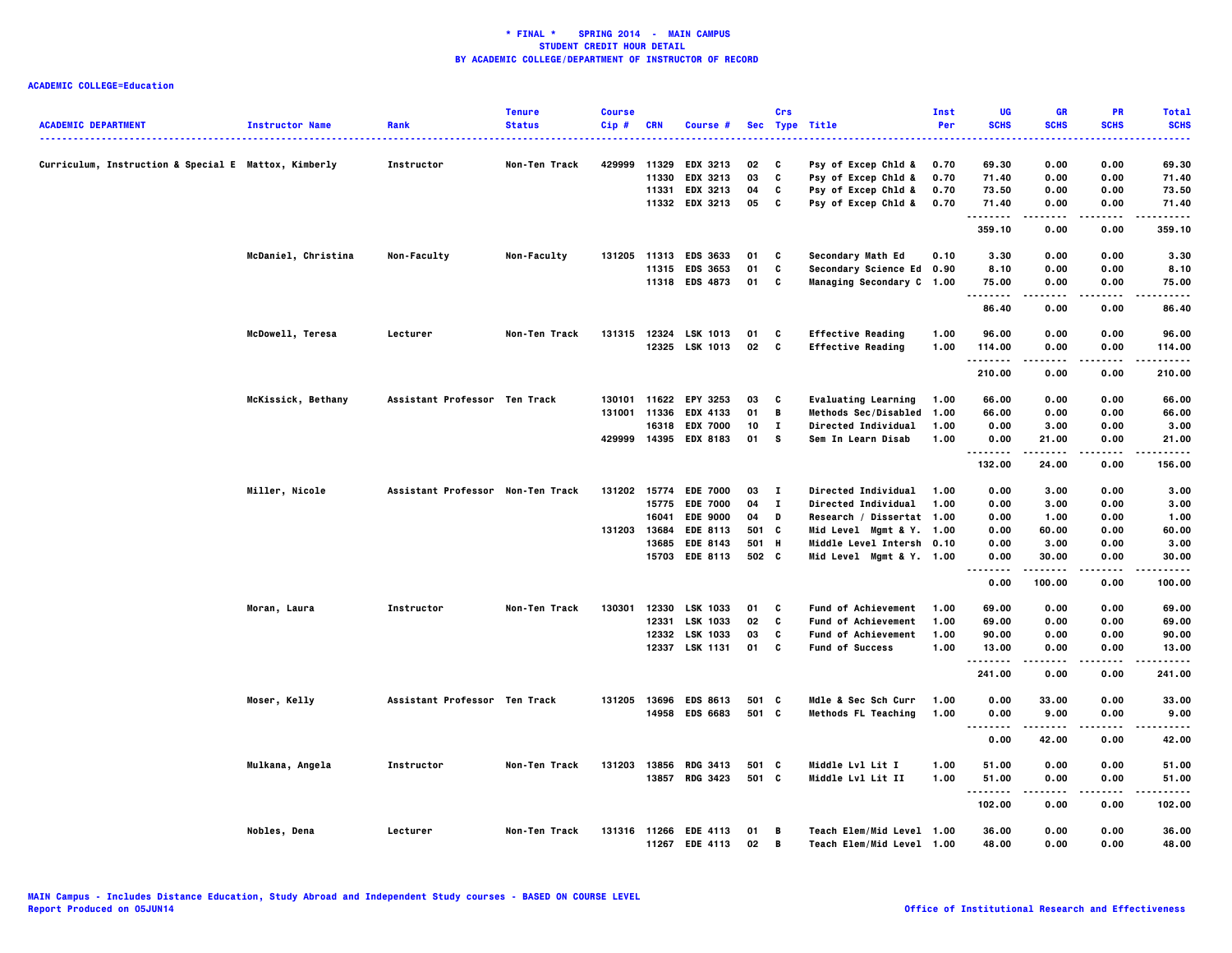| <b>ACADEMIC DEPARTMENT</b>                           | <b>Instructor Name</b> | Rank                              | <b>Tenure</b><br><b>Status</b> | <b>Course</b><br>Cip# | <b>CRN</b> | Course #              |       | Crs          | Sec Type Title              | Inst<br>Per | UG<br><b>SCHS</b> | GR<br><b>SCHS</b> | PR<br><b>SCHS</b> | <b>Total</b><br><b>SCHS</b> |
|------------------------------------------------------|------------------------|-----------------------------------|--------------------------------|-----------------------|------------|-----------------------|-------|--------------|-----------------------------|-------------|-------------------|-------------------|-------------------|-----------------------------|
| Curriculum, Instruction & Special E Mattox, Kimberly |                        | Instructor                        | Non-Ten Track                  | 429999                |            | 11329 EDX 3213        | 02    | C            | Psy of Excep Chld &         | 0.70        | 69.30             | 0.00              | 0.00              | 69.30                       |
|                                                      |                        |                                   |                                |                       | 11330      | <b>EDX 3213</b>       | 03    | C            | Psy of Excep Chld &         | 0.70        | 71.40             | 0.00              | 0.00              | 71.40                       |
|                                                      |                        |                                   |                                |                       |            | 11331 EDX 3213        | 04    | C            | Psy of Excep Chld &         | 0.70        | 73.50             | 0.00              | 0.00              | 73.50                       |
|                                                      |                        |                                   |                                |                       |            | 11332 EDX 3213        | 05    | C            | Psy of Excep Chld &         | 0.70        | 71.40<br>.        | 0.00              | 0.00              | 71.40                       |
|                                                      |                        |                                   |                                |                       |            |                       |       |              |                             |             | 359.10            | 0.00              | 0.00              | 359.10                      |
|                                                      | McDaniel, Christina    | Non-Faculty                       | Non-Faculty                    |                       |            | 131205 11313 EDS 3633 | 01    | C            | Secondary Math Ed           | 0.10        | 3.30              | 0.00              | 0.00              | 3.30                        |
|                                                      |                        |                                   |                                |                       |            | 11315 EDS 3653        | 01    | C            | Secondary Science Ed 0.90   |             | 8.10              | 0.00              | 0.00              | 8.10                        |
|                                                      |                        |                                   |                                |                       |            | 11318 EDS 4873        | 01    | c            | Managing Secondary C 1.00   |             | 75.00<br>.        | 0.00<br>$- - - -$ | 0.00<br>.         | 75.00<br>-----              |
|                                                      |                        |                                   |                                |                       |            |                       |       |              |                             |             | 86.40             | 0.00              | 0.00              | 86.40                       |
|                                                      | McDowell, Teresa       | Lecturer                          | Non-Ten Track                  |                       |            | 131315 12324 LSK 1013 | 01    | C            | <b>Effective Reading</b>    | 1.00        | 96.00             | 0.00              | 0.00              | 96.00                       |
|                                                      |                        |                                   |                                |                       |            | 12325 LSK 1013        | 02    | C            | <b>Effective Reading</b>    | 1.00        | 114.00            | 0.00              | 0.00              | 114.00                      |
|                                                      |                        |                                   |                                |                       |            |                       |       |              |                             |             | 210.00            | 0.00              | 0.00              | 210.00                      |
|                                                      | McKissick, Bethany     | Assistant Professor Ten Track     |                                | 130101                |            | 11622 EPY 3253        | 03    | C            | <b>Evaluating Learning</b>  | 1.00        | 66.00             | 0.00              | 0.00              | 66.00                       |
|                                                      |                        |                                   |                                | 131001                | 11336      | <b>EDX 4133</b>       | 01    | В            | <b>Methods Sec/Disabled</b> | 1.00        | 66.00             | 0.00              | 0.00              | 66.00                       |
|                                                      |                        |                                   |                                |                       | 16318      | <b>EDX 7000</b>       | 10    | $\bf{I}$     | Directed Individual         | 1.00        | 0.00              | 3.00              | 0.00              | 3.00                        |
|                                                      |                        |                                   |                                |                       |            | 429999 14395 EDX 8183 | 01    | s            | Sem In Learn Disab          | 1.00        | 0.00              | 21.00             | 0.00              | 21.00                       |
|                                                      |                        |                                   |                                |                       |            |                       |       |              |                             |             | .<br>132.00       | .<br>24.00        | .<br>0.00         | .<br>156.00                 |
|                                                      | Miller, Nicole         | Assistant Professor Non-Ten Track |                                |                       |            | 131202 15774 EDE 7000 | 03    | - 1          | <b>Directed Individual</b>  | 1.00        | 0.00              | 3.00              | 0.00              | 3.00                        |
|                                                      |                        |                                   |                                |                       |            | 15775 EDE 7000        | 04    | $\mathbf{I}$ | <b>Directed Individual</b>  | 1.00        | 0.00              | 3.00              | 0.00              | 3.00                        |
|                                                      |                        |                                   |                                |                       | 16041      | <b>EDE 9000</b>       | 04    | D            | Research / Dissertat 1.00   |             | 0.00              | 1.00              | 0.00              | 1.00                        |
|                                                      |                        |                                   |                                | 131203                |            | 13684 EDE 8113        | 501 C |              | Mid Level Mgmt & Y. 1.00    |             | 0.00              | 60.00             | 0.00              | 60.00                       |
|                                                      |                        |                                   |                                |                       |            | 13685 EDE 8143        | 501 H |              | Middle Level Intersh 0.10   |             | 0.00              | 3.00              | 0.00              | 3.00                        |
|                                                      |                        |                                   |                                |                       |            | 15703 EDE 8113        | 502 C |              | Mid Level Mgmt & Y. 1.00    |             | 0.00<br>. .<br>.  | 30.00<br>.        | 0.00<br>.         | 30.00                       |
|                                                      |                        |                                   |                                |                       |            |                       |       |              |                             |             | 0.00              | 100.00            | 0.00              | 100.00                      |
|                                                      | Moran, Laura           | Instructor                        | Non-Ten Track                  | 130301                |            | 12330 LSK 1033        | 01    | C            | Fund of Achievement         | 1.00        | 69.00             | 0.00              | 0.00              | 69.00                       |
|                                                      |                        |                                   |                                |                       | 12331      | LSK 1033              | 02    | C            | <b>Fund of Achievement</b>  | 1.00        | 69.00             | 0.00              | 0.00              | 69.00                       |
|                                                      |                        |                                   |                                |                       |            | 12332 LSK 1033        | 03    | C            | Fund of Achievement         | 1.00        | 90.00             | 0.00              | 0.00              | 90.00                       |
|                                                      |                        |                                   |                                |                       |            | 12337 LSK 1131        | 01    | $\mathbf{c}$ | <b>Fund of Success</b>      | 1.00        | 13.00<br>.        | 0.00<br>-----     | 0.00<br>.         | 13.00<br>.                  |
|                                                      |                        |                                   |                                |                       |            |                       |       |              |                             |             | 241.00            | 0.00              | 0.00              | 241.00                      |
|                                                      | Moser, Kelly           | Assistant Professor Ten Track     |                                | 131205                |            | 13696 EDS 8613        | 501 C |              | Mdle & Sec Sch Curr         | 1.00        | 0.00              | 33.00             | 0.00              | 33.00                       |
|                                                      |                        |                                   |                                |                       |            | 14958 EDS 6683        | 501 C |              | <b>Methods FL Teaching</b>  | 1.00        | 0.00<br>          | 9.00              | 0.00              | 9.00                        |
|                                                      |                        |                                   |                                |                       |            |                       |       |              |                             |             | 0.00              | 42.00             | 0.00              | 42.00                       |
|                                                      | Mulkana, Angela        | Instructor                        | Non-Ten Track                  | 131203                | 13856      | <b>RDG 3413</b>       | 501 C |              | Middle Lvl Lit I            | 1.00        | 51.00             | 0.00              | 0.00              | 51.00                       |
|                                                      |                        |                                   |                                |                       |            | 13857 RDG 3423        | 501 C |              | Middle Lvl Lit II           | 1.00        | 51.00<br>.        | 0.00<br>.         | 0.00<br>.         | 51.00<br>.                  |
|                                                      |                        |                                   |                                |                       |            |                       |       |              |                             |             | 102.00            | 0.00              | 0.00              | 102.00                      |
|                                                      | Nobles, Dena           | Lecturer                          | Non-Ten Track                  |                       |            | 131316 11266 EDE 4113 | 01    | В            | Teach Elem/Mid Level 1.00   |             | 36.00             | 0.00              | 0.00              | 36.00                       |
|                                                      |                        |                                   |                                |                       |            | 11267 EDE 4113        | 02    | B            | Teach Elem/Mid Level 1.00   |             | 48.00             | 0.00              | 0.00              | 48.00                       |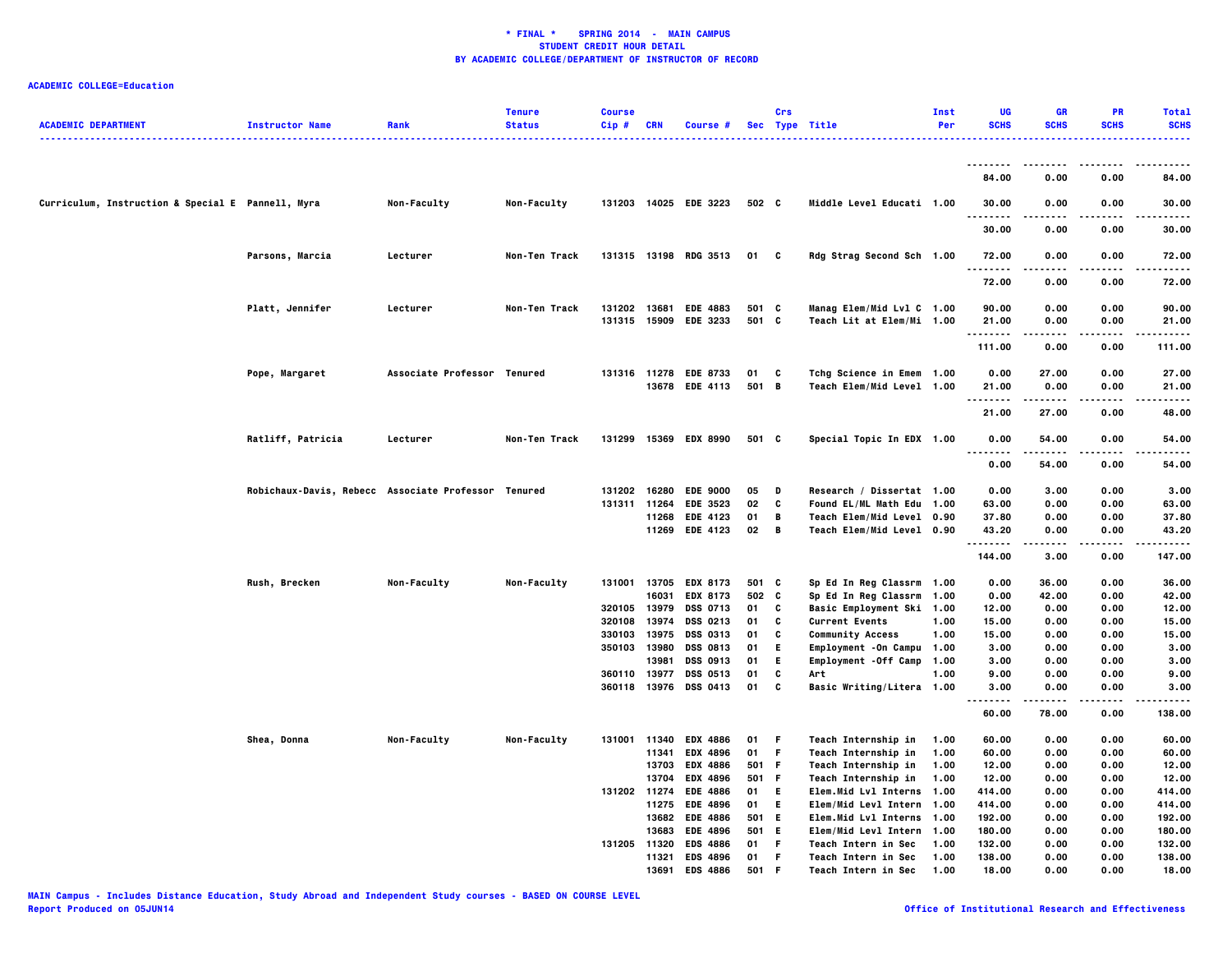|                                                   |                                                     |                             | <b>Tenure</b>      | <b>Course</b>                |              |                                          |                | Crs    |                                                        | <b>Inst</b> | UG                               | GR               | PR                | <b>Total</b>   |
|---------------------------------------------------|-----------------------------------------------------|-----------------------------|--------------------|------------------------------|--------------|------------------------------------------|----------------|--------|--------------------------------------------------------|-------------|----------------------------------|------------------|-------------------|----------------|
| <b>ACADEMIC DEPARTMENT</b>                        | <b>Instructor Name</b>                              | Rank                        | <b>Status</b>      | Cip#                         | CRN          | Course #                                 |                |        | Sec Type Title                                         | Per         | <b>SCHS</b>                      | <b>SCHS</b>      | <b>SCHS</b>       | <b>SCHS</b>    |
|                                                   |                                                     |                             |                    |                              |              |                                          |                |        |                                                        |             |                                  |                  |                   |                |
|                                                   |                                                     |                             |                    |                              |              |                                          |                |        |                                                        |             | 84.00                            | 0.00             | 0.00              | 84.00          |
| Curriculum, Instruction & Special E Pannell, Myra |                                                     | Non-Faculty                 | Non-Faculty        |                              |              | 131203 14025 EDE 3223                    | 502 C          |        | Middle Level Educati 1.00                              |             | 30.00                            | 0.00             | 0.00              | 30.00          |
|                                                   |                                                     |                             |                    |                              |              |                                          |                |        |                                                        |             | $- - -$<br>30.00                 | $\cdots$<br>0.00 | 0.00              | .<br>30.00     |
|                                                   | Parsons, Marcia                                     | Lecturer                    | Non-Ten Track      |                              |              | 131315 13198 RDG 3513                    | 01 C           |        | Rdg Strag Second Sch 1.00                              |             | 72.00                            | 0.00             | 0.00              | 72.00          |
|                                                   |                                                     |                             |                    |                              |              |                                          |                |        |                                                        |             | .<br>72.00                       | ----<br>0.00     | $- - - -$<br>0.00 | .<br>72.00     |
|                                                   |                                                     |                             |                    |                              |              |                                          |                |        |                                                        |             |                                  |                  |                   |                |
|                                                   | Platt, Jennifer                                     | Lecturer                    | Non-Ten Track      | 131202 13681                 |              | <b>EDE 4883</b><br>131315 15909 EDE 3233 | 501 C<br>501 C |        | Manag Elem/Mid Lvl C 1.00<br>Teach Lit at Elem/Mi 1.00 |             | 90.00<br>21.00                   | 0.00<br>0.00     | 0.00<br>0.00      | 90.00<br>21.00 |
|                                                   |                                                     |                             |                    |                              |              |                                          |                |        |                                                        |             | .                                | -----            | .                 | .              |
|                                                   |                                                     |                             |                    |                              |              |                                          |                |        |                                                        |             | 111.00                           | 0.00             | 0.00              | 111.00         |
|                                                   | Pope, Margaret                                      | Associate Professor Tenured |                    |                              |              | 131316 11278 EDE 8733                    | 01 C           |        | Tchg Science in Emem 1.00                              |             | 0.00                             | 27.00            | 0.00              | 27.00          |
|                                                   |                                                     |                             |                    |                              |              | 13678 EDE 4113                           | 501 B          |        | Teach Elem/Mid Level 1.00                              |             | 21.00                            | 0.00             | 0.00              | 21.00          |
|                                                   |                                                     |                             |                    |                              |              |                                          |                |        |                                                        |             | .<br>21.00                       | .<br>27.00       | .<br>0.00         | .<br>48.00     |
|                                                   | Ratliff, Patricia                                   | Lecturer                    | Non-Ten Track      |                              |              | 131299 15369 EDX 8990                    | 501 C          |        | Special Topic In EDX 1.00                              |             | 0.00                             | 54.00            | 0.00              | 54.00          |
|                                                   |                                                     |                             |                    |                              |              |                                          |                |        |                                                        |             | $\ddotsc$<br>$- - - - -$<br>0.00 | ------<br>54.00  | -----<br>0.00     | .<br>54.00     |
|                                                   | Robichaux-Davis, Rebecc Associate Professor Tenured |                             |                    |                              | 131202 16280 | <b>EDE 9000</b>                          | 05             | D      | Research / Dissertat 1.00                              |             | 0.00                             | 3.00             | 0.00              | 3.00           |
|                                                   |                                                     |                             |                    |                              | 131311 11264 | <b>EDE 3523</b>                          | 02             | c      | Found EL/ML Math Edu 1.00                              |             | 63.00                            | 0.00             | 0.00              | 63.00          |
|                                                   |                                                     |                             |                    |                              |              | 11268 EDE 4123                           | 01             | B      | Teach Elem/Mid Level 0.90                              |             | 37.80                            | 0.00             | 0.00              | 37.80          |
|                                                   |                                                     |                             |                    |                              |              | 11269 EDE 4123                           | 02 B           |        | Teach Elem/Mid Level 0.90                              |             | 43.20                            | 0.00             | 0.00              | 43.20          |
|                                                   |                                                     |                             |                    |                              |              |                                          |                |        |                                                        |             | .<br>144.00                      | .<br>3.00        | .<br>0.00         | .<br>147.00    |
|                                                   | Rush, Brecken                                       | Non-Faculty                 | <b>Non-Faculty</b> |                              |              | 131001 13705 EDX 8173                    | 501 C          |        | Sp Ed In Reg Classrm 1.00                              |             | 0.00                             | 36.00            | 0.00              | 36.00          |
|                                                   |                                                     |                             |                    |                              | 16031        | EDX 8173                                 | 502 C          |        | Sp Ed In Reg Classrm 1.00                              |             | 0.00                             | 42.00            | 0.00              | 42.00          |
|                                                   |                                                     |                             |                    | 320105                       | 13979        | <b>DSS 0713</b>                          | 01             | c      | Basic Employment Ski 1.00                              |             | 12.00                            | 0.00             | 0.00              | 12.00          |
|                                                   |                                                     |                             |                    | 320108                       | 13974        | DSS 0213                                 | 01             | C      | <b>Current Events</b>                                  | 1.00        | 15.00                            | 0.00             | 0.00              | 15.00          |
|                                                   |                                                     |                             |                    | 330103                       | 13975        | DSS 0313                                 | 01             | C      | <b>Community Access</b>                                | 1.00        | 15.00                            | 0.00             | 0.00              | 15.00          |
|                                                   |                                                     |                             |                    | 350103                       | 13980        | DSS 0813                                 | 01             | E.     | Employment - On Campu 1.00                             |             | 3.00                             | 0.00             | 0.00              | 3.00           |
|                                                   |                                                     |                             |                    |                              | 13981        | DSS 0913                                 | 01             | E      | Employment - Off Camp 1.00                             |             | 3.00                             | 0.00             | 0.00              | 3.00           |
|                                                   |                                                     |                             |                    | 360110 13977<br>360118 13976 |              | DSS 0513<br>DSS 0413                     | 01<br>01       | C<br>C | Art<br>Basic Writing/Litera 1.00                       | 1.00        | 9.00<br>3.00                     | 0.00<br>0.00     | 0.00<br>0.00      | 9.00<br>3.00   |
|                                                   |                                                     |                             |                    |                              |              |                                          |                |        |                                                        |             | .<br>60.00                       | .<br>78.00       | .<br>0.00         | .<br>138.00    |
|                                                   | Shea, Donna                                         | Non-Faculty                 | Non-Faculty        |                              | 131001 11340 | <b>EDX 4886</b>                          | 01             | F      | Teach Internship in                                    | 1.00        | 60.00                            | 0.00             | 0.00              | 60.00          |
|                                                   |                                                     |                             |                    |                              | 11341        | <b>EDX 4896</b>                          | 01             | F      | Teach Internship in                                    | 1.00        | 60.00                            | 0.00             | 0.00              | 60.00          |
|                                                   |                                                     |                             |                    |                              | 13703        | <b>EDX 4886</b>                          | 501 F          |        | Teach Internship in                                    | 1.00        | 12.00                            | 0.00             | 0.00              | 12.00          |
|                                                   |                                                     |                             |                    |                              | 13704        | <b>EDX 4896</b>                          | 501 F          |        | Teach Internship in                                    | 1.00        | 12.00                            | 0.00             | 0.00              | 12.00          |
|                                                   |                                                     |                             |                    |                              | 131202 11274 | <b>EDE 4886</b>                          | 01             | - E    | Elem.Mid Lvl Interns 1.00                              |             | 414.00                           | 0.00             | 0.00              | 414.00         |
|                                                   |                                                     |                             |                    |                              | 11275        | <b>EDE 4896</b>                          | 01             | - E    | Elem/Mid Levl Intern 1.00                              |             | 414.00                           | 0.00             | 0.00              | 414.00         |
|                                                   |                                                     |                             |                    |                              |              | 13682 EDE 4886                           | 501 E          |        | Elem.Mid Lvl Interns 1.00                              |             | 192.00                           | 0.00             | 0.00              | 192.00         |
|                                                   |                                                     |                             |                    |                              | 13683        | <b>EDE 4896</b>                          | 501 E          |        | Elem/Mid Levl Intern 1.00                              |             | 180.00                           | 0.00             | 0.00              | 180.00         |
|                                                   |                                                     |                             |                    |                              | 131205 11320 | <b>EDS 4886</b>                          | 01             | F.     | <b>Teach Intern in Sec</b>                             | 1.00        | 132.00                           | 0.00             | 0.00              | 132.00         |
|                                                   |                                                     |                             |                    |                              | 11321        | <b>EDS 4896</b>                          | 01             | F      | Teach Intern in Sec                                    | 1.00        | 138.00                           | 0.00             | 0.00              | 138.00         |
|                                                   |                                                     |                             |                    |                              | 13691        | <b>EDS 4886</b>                          | 501            | F.     | Teach Intern in Sec 1.00                               |             | 18.00                            | 0.00             | 0.00              | 18.00          |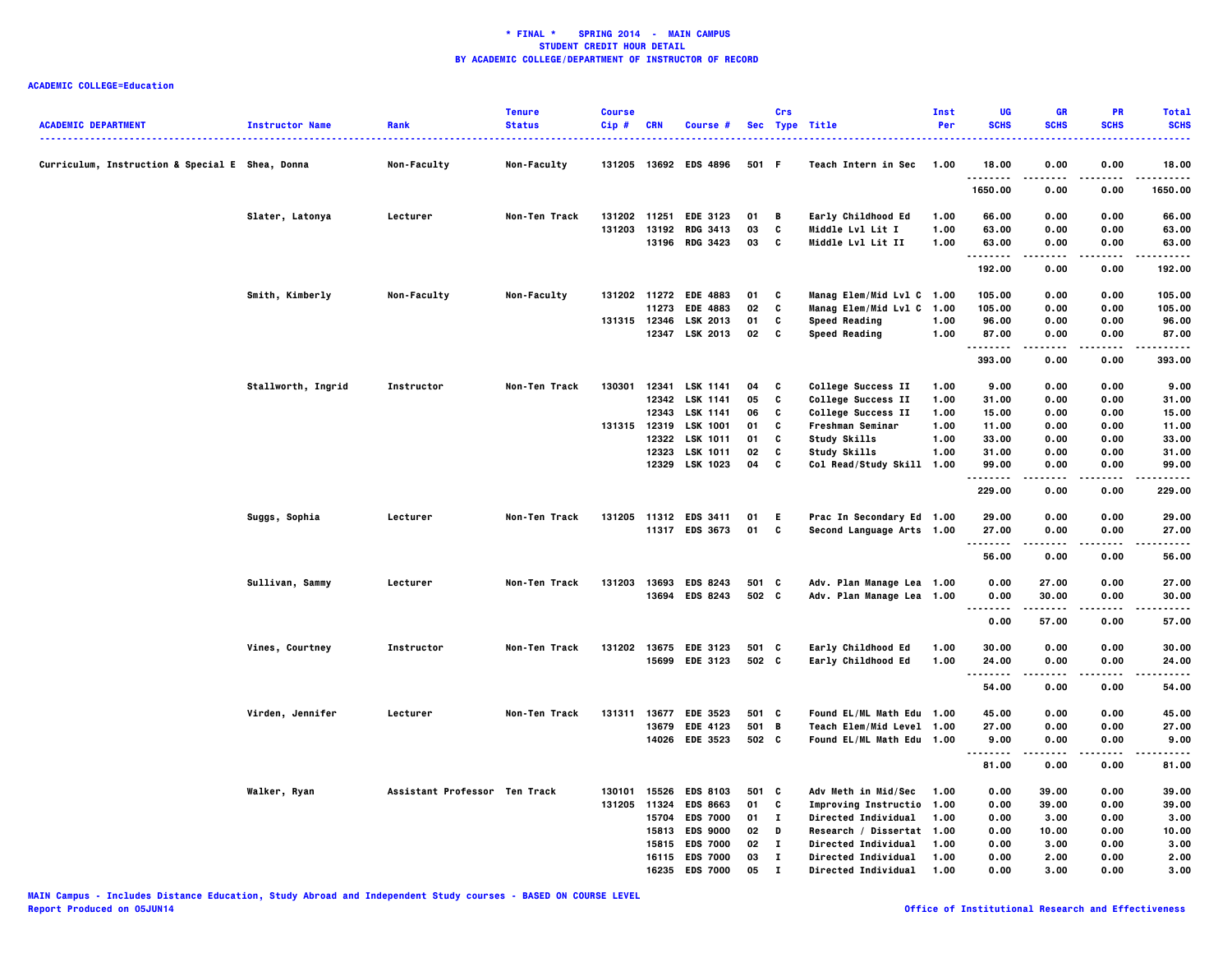| <b>ACADEMIC DEPARTMENT</b>                      | <b>Instructor Name</b> | Rank                          | <b>Tenure</b><br><b>Status</b> | <b>Course</b><br>Cip# | <b>CRN</b>   | Course #                                |        | Crs          | Sec Type Title             | Inst<br>Per | UG<br><b>SCHS</b>          | GR<br><b>SCHS</b> | PR<br><b>SCHS</b>  | <b>Total</b><br><b>SCHS</b> |
|-------------------------------------------------|------------------------|-------------------------------|--------------------------------|-----------------------|--------------|-----------------------------------------|--------|--------------|----------------------------|-------------|----------------------------|-------------------|--------------------|-----------------------------|
| Curriculum, Instruction & Special E Shea, Donna |                        | Non-Faculty                   | Non-Faculty                    |                       |              | 131205 13692 EDS 4896                   | 501 F  |              | Teach Intern in Sec        | 1.00        | 18.00                      | 0.00              | 0.00               | 18.00                       |
|                                                 |                        |                               |                                |                       |              |                                         |        |              |                            |             | .<br>1650.00               | 0.00              | 0.00               | 1650.00                     |
|                                                 | Slater, Latonya        | Lecturer                      | Non-Ten Track                  |                       | 131202 11251 | <b>EDE 3123</b>                         | 01     | B            | Early Childhood Ed         | 1.00        | 66.00                      | 0.00              | 0.00               | 66.00                       |
|                                                 |                        |                               |                                | 131203                |              | 13192 RDG 3413                          | 03     | C            | Middle Lvl Lit I           | 1.00        | 63.00                      | 0.00              | 0.00               | 63.00                       |
|                                                 |                        |                               |                                |                       |              | 13196 RDG 3423                          | 03     | C            | Middle Lvl Lit II          | 1.00        | 63.00<br>.                 | 0.00<br>-----     | 0.00<br>.          | 63.00<br>------             |
|                                                 |                        |                               |                                |                       |              |                                         |        |              |                            |             | 192.00                     | 0.00              | 0.00               | 192.00                      |
|                                                 | Smith, Kimberly        | Non-Faculty                   | Non-Faculty                    |                       |              | 131202 11272 EDE 4883                   | 01     | C            | Manag Elem/Mid Lvl C 1.00  |             | 105.00                     | 0.00              | 0.00               | 105.00                      |
|                                                 |                        |                               |                                |                       |              | 11273 EDE 4883                          | 02     | C            | Manag Elem/Mid Lvl C       | 1.00        | 105.00                     | 0.00              | 0.00               | 105.00                      |
|                                                 |                        |                               |                                |                       |              | 131315 12346 LSK 2013<br>12347 LSK 2013 | 01     | C<br>C       | <b>Speed Reading</b>       | 1.00        | 96.00                      | 0.00              | 0.00               | 96.00                       |
|                                                 |                        |                               |                                |                       |              |                                         | 02     |              | Speed Reading              | 1.00        | 87.00<br>.                 | 0.00              | 0.00<br>. <b>.</b> | 87.00<br>.                  |
|                                                 |                        |                               |                                |                       |              |                                         |        |              |                            |             | 393.00                     | 0.00              | 0.00               | 393.00                      |
|                                                 | Stallworth, Ingrid     | Instructor                    | Non-Ten Track                  | 130301                |              | 12341 LSK 1141                          | 04     | C            | College Success II         | 1.00        | 9.00                       | 0.00              | 0.00               | 9.00                        |
|                                                 |                        |                               |                                |                       |              | 12342 LSK 1141                          | 05     | C            | College Success II         | 1.00        | 31.00                      | 0.00              | 0.00               | 31.00                       |
|                                                 |                        |                               |                                |                       |              | 12343 LSK 1141                          | 06     | C            | College Success II         | 1.00        | 15.00                      | 0.00              | 0.00               | 15.00                       |
|                                                 |                        |                               |                                |                       |              | 131315 12319 LSK 1001                   | 01     | C            | Freshman Seminar           | 1.00        | 11.00                      | 0.00              | 0.00               | 11.00                       |
|                                                 |                        |                               |                                |                       | 12322        | <b>LSK 1011</b>                         | 01     | C            | Study Skills               | 1.00        | 33.00                      | 0.00              | 0.00               | 33.00                       |
|                                                 |                        |                               |                                |                       | 12323        | <b>LSK 1011</b>                         | 02     | C            | Study Skills               | 1.00        | 31.00                      | 0.00              | 0.00               | 31.00                       |
|                                                 |                        |                               |                                |                       |              | 12329 LSK 1023                          | 04     | C            | Col Read/Study Skill 1.00  |             | 99.00<br>.                 | 0.00              | 0.00               | 99.00<br>.                  |
|                                                 |                        |                               |                                |                       |              |                                         |        |              |                            |             | 229.00                     | 0.00              | 0.00               | 229.00                      |
|                                                 | Suggs, Sophia          | Lecturer                      | Non-Ten Track                  | 131205                |              | 11312 EDS 3411                          | 01     | E.           | Prac In Secondary Ed 1.00  |             | 29.00                      | 0.00              | 0.00               | 29.00                       |
|                                                 |                        |                               |                                |                       |              | 11317 EDS 3673                          | 01     | C            | Second Language Arts 1.00  |             | 27.00<br>.                 | 0.00              | 0.00<br>.          | 27.00<br>.                  |
|                                                 |                        |                               |                                |                       |              |                                         |        |              |                            |             | 56.00                      | 0.00              | 0.00               | 56.00                       |
|                                                 | Sullivan, Sammy        | Lecturer                      | Non-Ten Track                  | 131203                |              | 13693 EDS 8243                          | 501 C  |              | Adv. Plan Manage Lea 1.00  |             | 0.00                       | 27.00             | 0.00               | 27.00                       |
|                                                 |                        |                               |                                |                       |              | 13694 EDS 8243                          | 502 C  |              | Adv. Plan Manage Lea 1.00  |             | 0.00                       | 30.00             | 0.00               | 30.00                       |
|                                                 |                        |                               |                                |                       |              |                                         |        |              |                            |             | $\sim$ $\sim$<br>.<br>0.00 | 57.00             | 0.00               | 57.00                       |
|                                                 | Vines, Courtney        | Instructor                    | Non-Ten Track                  |                       |              | 131202 13675 EDE 3123                   | 501 C  |              | Early Childhood Ed         | 1.00        | 30.00                      | 0.00              | 0.00               | 30.00                       |
|                                                 |                        |                               |                                |                       |              | 15699 EDE 3123                          | 502 C  |              | Early Childhood Ed         | 1.00        | 24.00                      | 0.00              | 0.00               | 24.00                       |
|                                                 |                        |                               |                                |                       |              |                                         |        |              |                            |             | <br>54.00                  | .<br>0.00         | 0.00               | .<br>54.00                  |
|                                                 | Virden, Jennifer       | Lecturer                      | Non-Ten Track                  |                       |              | 131311 13677 EDE 3523                   | 501 C  |              | Found EL/ML Math Edu 1.00  |             | 45.00                      | 0.00              | 0.00               | 45.00                       |
|                                                 |                        |                               |                                |                       |              | 13679 EDE 4123                          | 501 B  |              | Teach Elem/Mid Level 1.00  |             | 27.00                      | 0.00              | 0.00               | 27.00                       |
|                                                 |                        |                               |                                |                       |              | 14026 EDE 3523                          | 502 C  |              | Found EL/ML Math Edu 1.00  |             | 9.00                       | 0.00              | 0.00               | 9.00                        |
|                                                 |                        |                               |                                |                       |              |                                         |        |              |                            |             | .<br>81.00                 | 0.00              | 0.00               | $- - - -$<br>81.00          |
|                                                 | Walker, Ryan           | Assistant Professor Ten Track |                                | 130101                |              | 15526 EDS 8103                          | 501 C  |              | Adv Meth in Mid/Sec        | 1.00        | 0.00                       | 39.00             | 0.00               | 39.00                       |
|                                                 |                        |                               |                                | 131205                |              | 11324 EDS 8663                          | 01     | C            | Improving Instructio 1.00  |             | 0.00                       | 39.00             | 0.00               | 39.00                       |
|                                                 |                        |                               |                                |                       |              | 15704 EDS 7000                          | $01$ I |              | <b>Directed Individual</b> | 1.00        | 0.00                       | 3.00              | 0.00               | 3.00                        |
|                                                 |                        |                               |                                |                       |              | 15813 EDS 9000                          | 02     | D            | Research / Dissertat 1.00  |             | 0.00                       | 10.00             | 0.00               | 10.00                       |
|                                                 |                        |                               |                                |                       |              | 15815 EDS 7000                          | 02     | $\mathbf{I}$ | Directed Individual        | 1.00        | 0.00                       | 3.00              | 0.00               | 3.00                        |
|                                                 |                        |                               |                                |                       |              | 16115 EDS 7000                          | 03     | $\mathbf I$  | <b>Directed Individual</b> | 1.00        | 0.00                       | 2.00              | 0.00               | 2.00                        |
|                                                 |                        |                               |                                |                       | 16235        | <b>EDS 7000</b>                         | 05     | $\mathbf I$  | Directed Individual 1.00   |             | 0.00                       | 3.00              | 0.00               | 3.00                        |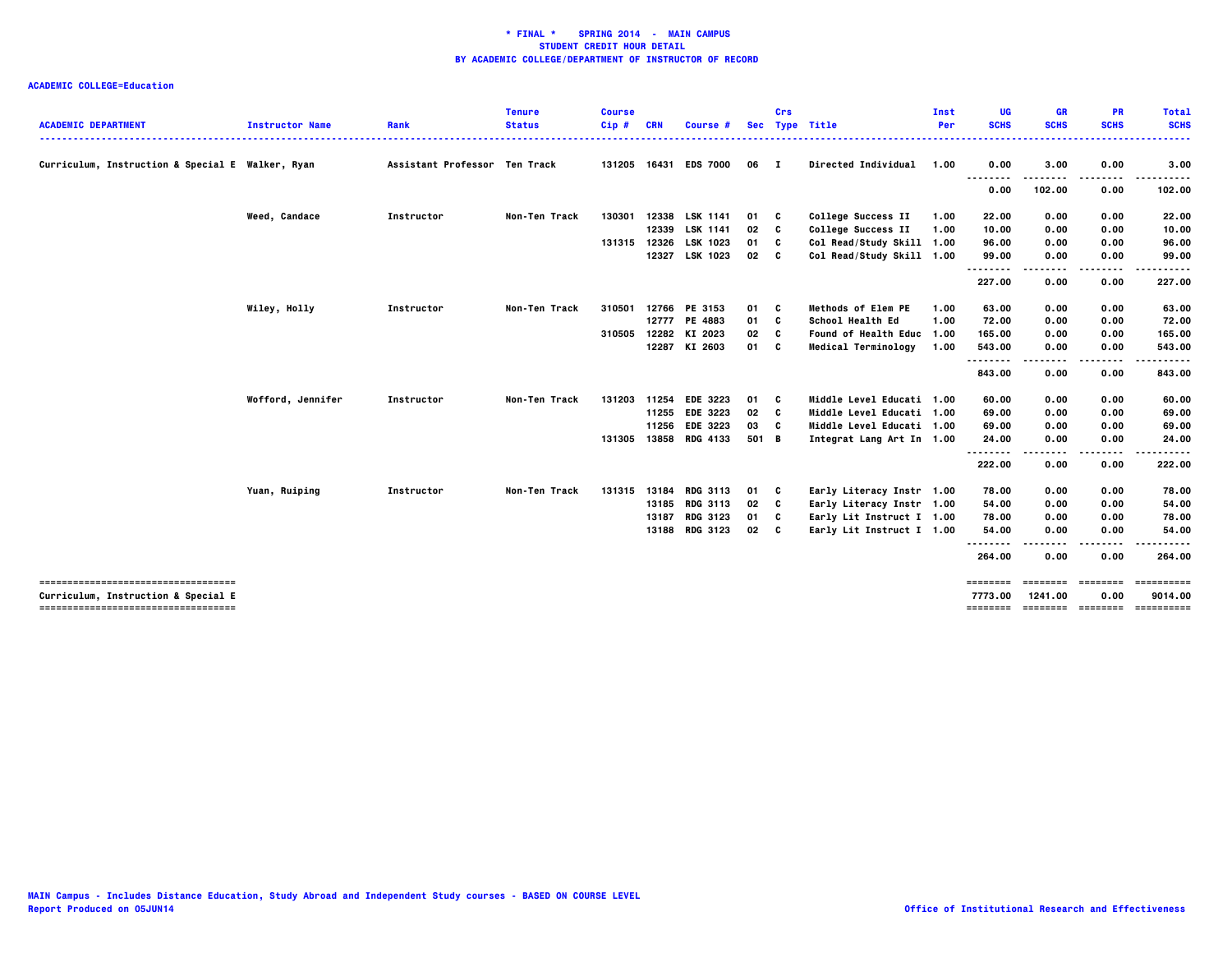| <b>ACADEMIC DEPARTMENT</b>                                                 | <b>Instructor Name</b> | Rank                          | <b>Tenure</b><br><b>Status</b> | <b>Course</b><br>Cip# | <b>CRN</b> | Course #              | <b>Sec</b>      | Crs      | <b>Type Title</b>         | Inst<br>Per | UG<br><b>SCHS</b>   | <b>GR</b><br><b>SCHS</b> | <b>PR</b><br><b>SCHS</b> | <b>Total</b><br><b>SCHS</b> |
|----------------------------------------------------------------------------|------------------------|-------------------------------|--------------------------------|-----------------------|------------|-----------------------|-----------------|----------|---------------------------|-------------|---------------------|--------------------------|--------------------------|-----------------------------|
|                                                                            |                        |                               |                                |                       |            |                       |                 |          |                           |             |                     |                          |                          | .                           |
| Curriculum, Instruction & Special E Walker, Ryan                           |                        | Assistant Professor Ten Track |                                |                       |            | 131205 16431 EDS 7000 | 06              | - 1      | Directed Individual       | 1.00        | 0.00                | 3.00                     | 0.00                     | 3.00                        |
|                                                                            |                        |                               |                                |                       |            |                       |                 |          |                           |             | 0.00                | 102.00                   | 0.00                     | 102.00                      |
|                                                                            | Weed, Candace          | Instructor                    | Non-Ten Track                  | 130301                |            | 12338 LSK 1141        | 01              | - C      | College Success II        | 1.00        | 22.00               | 0.00                     | 0.00                     | 22.00                       |
|                                                                            |                        |                               |                                |                       |            | 12339 LSK 1141        | 02              | C        | College Success II        | 1.00        | 10.00               | 0.00                     | 0.00                     | 10.00                       |
|                                                                            |                        |                               |                                | 131315                | 12326      | LSK 1023              | 01              | C        | Col Read/Study Skill 1.00 |             | 96.00               | 0.00                     | 0.00                     | 96.00                       |
|                                                                            |                        |                               |                                |                       |            | 12327 LSK 1023        | 02              | <b>C</b> | Col Read/Study Skill 1.00 |             | 99.00<br>.<br>.     | 0.00                     | 0.00                     | 99.00                       |
|                                                                            |                        |                               |                                |                       |            |                       |                 |          |                           |             | 227.00              | 0.00                     | 0.00                     | 227.00                      |
|                                                                            | Wiley, Holly           | Instructor                    | Non-Ten Track                  | 310501                |            | 12766 PE 3153         | 01              | C        | <b>Methods of Elem PE</b> | 1.00        | 63.00               | 0.00                     | 0.00                     | 63.00                       |
|                                                                            |                        |                               |                                |                       |            | 12777 PE 4883         | 01              | C        | School Health Ed          | 1.00        | 72.00               | 0.00                     | 0.00                     | 72.00                       |
|                                                                            |                        |                               |                                | 310505                |            | 12282 KI 2023         | 02              | c        | Found of Health Educ 1.00 |             | 165.00              | 0.00                     | 0.00                     | 165.00                      |
|                                                                            |                        |                               |                                |                       |            | 12287 KI 2603         | 01 C            |          | Medical Terminology       | 1.00        | 543.00              | 0.00                     | 0.00                     | 543.00                      |
|                                                                            |                        |                               |                                |                       |            |                       |                 |          |                           |             | .                   |                          |                          | ----                        |
|                                                                            |                        |                               |                                |                       |            |                       |                 |          |                           |             | 843.00              | 0.00                     | 0.00                     | 843.00                      |
|                                                                            | Wofford, Jennifer      | Instructor                    | Non-Ten Track                  | 131203                | 11254      | <b>EDE 3223</b>       | 01              | <b>C</b> | Middle Level Educati 1.00 |             | 60.00               | 0.00                     | 0.00                     | 60.00                       |
|                                                                            |                        |                               |                                |                       |            | 11255 EDE 3223        | 02              | C        | Middle Level Educati 1.00 |             | 69.00               | 0.00                     | 0.00                     | 69.00                       |
|                                                                            |                        |                               |                                |                       | 11256      | <b>EDE 3223</b>       | 03              | C        | Middle Level Educati 1.00 |             | 69.00               | 0.00                     | 0.00                     | 69.00                       |
|                                                                            |                        |                               |                                | 131305                |            | 13858 RDG 4133        | 501 B           |          | Integrat Lang Art In 1.00 |             | 24.00<br>.          | 0.00                     | 0.00<br>----             | 24.00<br>-----              |
|                                                                            |                        |                               |                                |                       |            |                       |                 |          |                           |             | 222.00              | 0.00                     | 0.00                     | 222.00                      |
|                                                                            | Yuan, Ruiping          | Instructor                    | Non-Ten Track                  | 131315                |            | 13184 RDG 3113        | 01 C            |          | Early Literacy Instr 1.00 |             | 78.00               | 0.00                     | 0.00                     | 78.00                       |
|                                                                            |                        |                               |                                |                       |            | 13185 RDG 3113        | 02              | <b>C</b> | Early Literacy Instr 1.00 |             | 54.00               | 0.00                     | 0.00                     | 54.00                       |
|                                                                            |                        |                               |                                |                       |            | 13187 RDG 3123        | 01 C            |          | Early Lit Instruct I 1.00 |             | 78.00               | 0.00                     | 0.00                     | 78.00                       |
|                                                                            |                        |                               |                                |                       |            | 13188 RDG 3123        | 02 <sub>c</sub> |          | Early Lit Instruct I 1.00 |             | 54.00               | 0.00                     | 0.00                     | 54.00                       |
|                                                                            |                        |                               |                                |                       |            |                       |                 |          |                           |             | 264.00              | 0.00                     | 0.00                     | 264.00                      |
| -----------------------------------                                        |                        |                               |                                |                       |            |                       |                 |          |                           |             | ========            | ========                 | ========                 | ==========                  |
| Curriculum, Instruction & Special E<br>----------------------------------- |                        |                               |                                |                       |            |                       |                 |          |                           |             | 7773.00<br>======== | 1241.00                  | 0.00<br>======== ======= | 9014.00<br>==========       |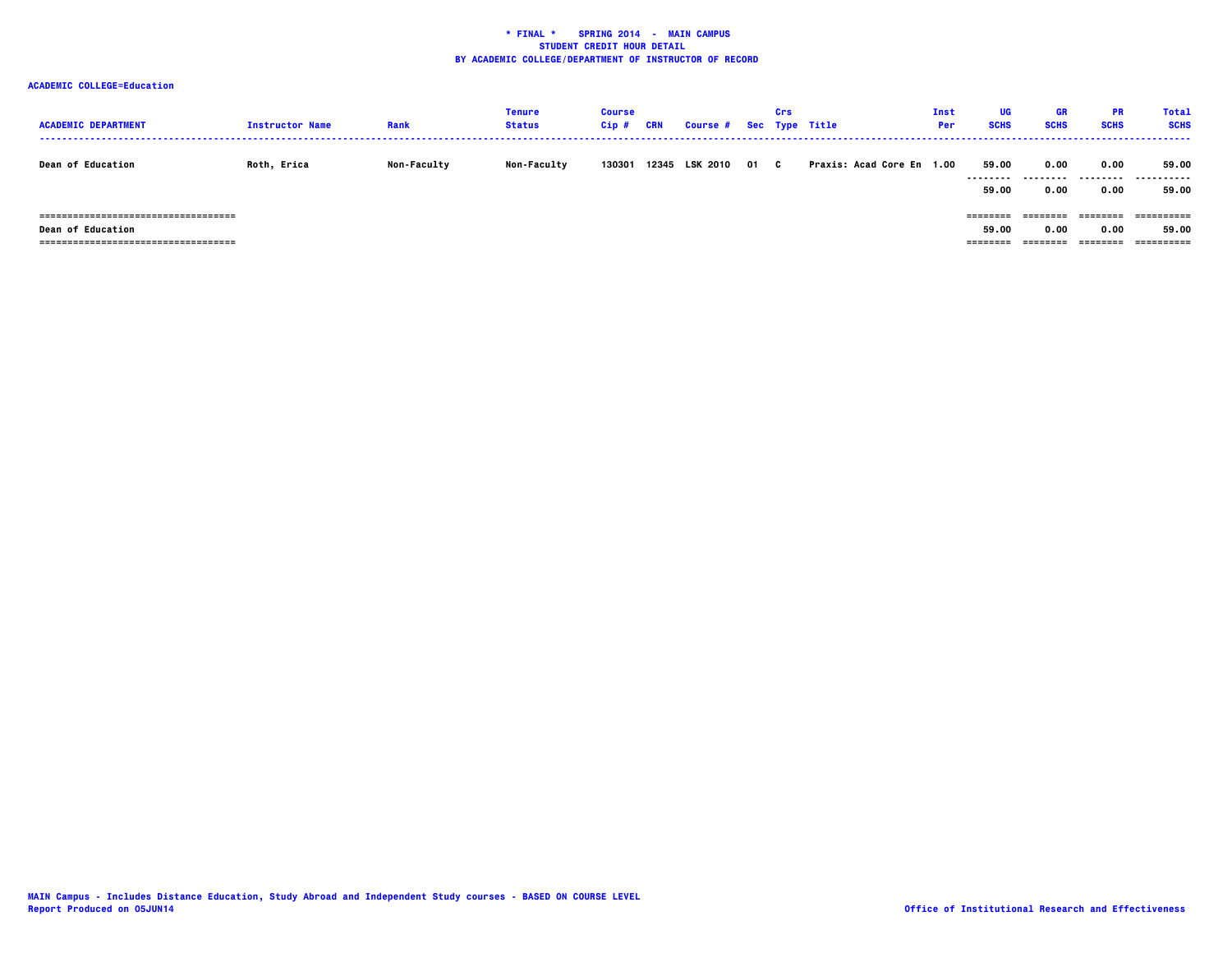| <b>ACADEMIC DEPARTMENT</b>                                            | <b>Instructor Name</b> | Rank               | Tenure<br><b>Status</b> | <b>Course</b><br>$Cip$ # | CRN   | Course # Sec Type Title |      | Crs |                           | Inst<br><b>Per</b> | <b>UG</b><br><b>SCHS</b>  | <b>GR</b><br><b>SCHS</b> | <b>PR</b><br><b>SCHS</b>    | <b>Total</b><br><b>SCHS</b> |
|-----------------------------------------------------------------------|------------------------|--------------------|-------------------------|--------------------------|-------|-------------------------|------|-----|---------------------------|--------------------|---------------------------|--------------------------|-----------------------------|-----------------------------|
| <b>Dean of Education</b>                                              | Roth, Erica            | <b>Non-Faculty</b> | <b>Non-Faculty</b>      | 130301                   | 12345 | <b>LSK 2010</b>         | 01 C |     | Praxis: Acad Core En 1.00 |                    | 59.00<br><br>59.00        | 0.00<br>-----<br>0.00    | 0.00<br>---------<br>0.00   | 59.00<br>.<br>59.00         |
| =====================================<br><b>Dean of Education</b><br> |                        |                    |                         |                          |       |                         |      |     |                           |                    | ========<br>59.00<br>==== | 0.00                     | ========<br>0.00<br>:====== | ==========<br>59.00         |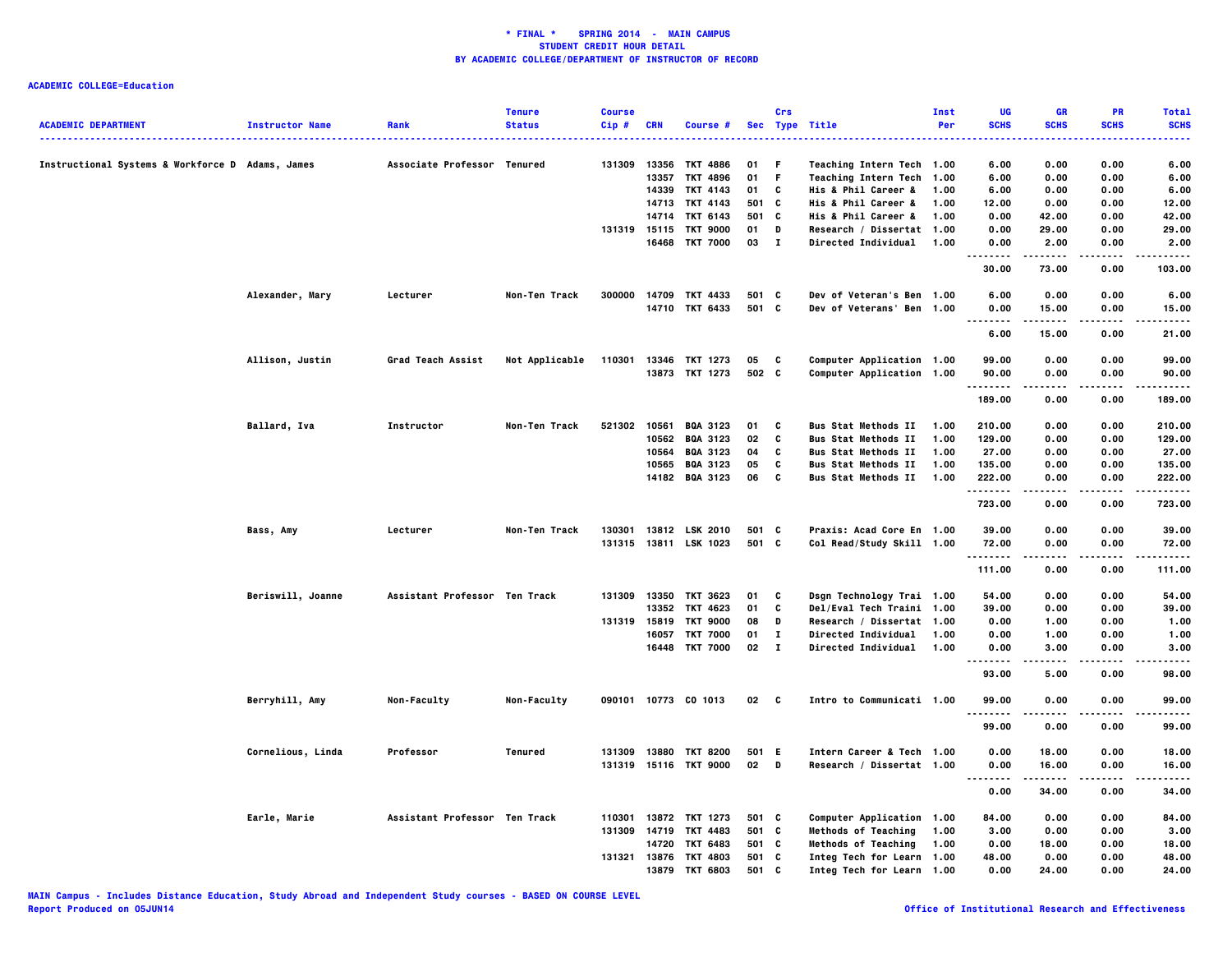|                                                  |                        |                               | <b>Tenure</b>  | <b>Course</b> |            |                       |       | Crs          |                                    | Inst | UG          | GR                 | PR            | <b>Total</b> |
|--------------------------------------------------|------------------------|-------------------------------|----------------|---------------|------------|-----------------------|-------|--------------|------------------------------------|------|-------------|--------------------|---------------|--------------|
| <b>ACADEMIC DEPARTMENT</b>                       | <b>Instructor Name</b> | Rank                          | <b>Status</b>  | Cip#          | <b>CRN</b> | Course #              |       |              | Sec Type Title                     | Per  | <b>SCHS</b> | <b>SCHS</b>        | <b>SCHS</b>   | <b>SCHS</b>  |
| Instructional Systems & Workforce D Adams, James |                        | Associate Professor Tenured   |                | 131309        | 13356      | <b>TKT 4886</b>       | 01    | F            | Teaching Intern Tech 1.00          |      | 6.00        | 0.00               | 0.00          | 6.00         |
|                                                  |                        |                               |                |               | 13357      | <b>TKT 4896</b>       | 01    | F            | Teaching Intern Tech 1.00          |      | 6.00        | 0.00               | 0.00          | 6.00         |
|                                                  |                        |                               |                |               | 14339      | TKT 4143              | 01    | c            | <b>His &amp; Phil Career &amp;</b> | 1.00 | 6.00        | 0.00               | 0.00          | 6.00         |
|                                                  |                        |                               |                |               |            | 14713 TKT 4143        | 501 C |              | His & Phil Career &                | 1.00 | 12.00       | 0.00               | 0.00          | 12.00        |
|                                                  |                        |                               |                |               |            | 14714 TKT 6143        | 501   | C            | His & Phil Career &                | 1.00 | 0.00        | 42.00              | 0.00          | 42.00        |
|                                                  |                        |                               |                | 131319 15115  |            | <b>TKT 9000</b>       | 01    | D            | Research / Dissertat 1.00          |      | 0.00        | 29.00              | 0.00          | 29.00        |
|                                                  |                        |                               |                |               |            | 16468 TKT 7000        | 03 I  |              | Directed Individual 1.00           |      | 0.00        | 2.00               | 0.00<br>.     | 2.00         |
|                                                  |                        |                               |                |               |            |                       |       |              |                                    |      | 30.00       | 73.00              | 0.00          | 103.00       |
|                                                  | Alexander, Mary        | Lecturer                      | Non-Ten Track  | 300000        |            | 14709 TKT 4433        | 501 C |              | Dev of Veteran's Ben 1.00          |      | 6.00        | 0.00               | 0.00          | 6.00         |
|                                                  |                        |                               |                |               |            | 14710 TKT 6433        | 501 C |              | Dev of Veterans' Ben 1.00          |      | 0.00<br>.   | 15.00<br>.         | 0.00<br>.     | 15.00<br>.   |
|                                                  |                        |                               |                |               |            |                       |       |              |                                    |      | 6.00        | 15.00              | 0.00          | 21.00        |
|                                                  | Allison, Justin        | Grad Teach Assist             | Not Applicable | 110301        | 13346      | TKT 1273              | 05    | C            | Computer Application 1.00          |      | 99.00       | 0.00               | 0.00          | 99.00        |
|                                                  |                        |                               |                |               |            | 13873 TKT 1273        | 502 C |              | Computer Application 1.00          |      | 90.00<br>.  | 0.00               | 0.00          | 90.00        |
|                                                  |                        |                               |                |               |            |                       |       |              |                                    |      | 189.00      | 0.00               | 0.00          | 189.00       |
|                                                  | Ballard, Iva           | Instructor                    | Non-Ten Track  | 521302        |            | 10561 BQA 3123        | 01    | C            | <b>Bus Stat Methods II</b>         | 1.00 | 210.00      | 0.00               | 0.00          | 210.00       |
|                                                  |                        |                               |                |               |            | 10562 BQA 3123        | 02    | C            | <b>Bus Stat Methods II</b>         | 1.00 | 129.00      | 0.00               | 0.00          | 129.00       |
|                                                  |                        |                               |                |               |            | 10564 BQA 3123        | 04    | C            | <b>Bus Stat Methods II</b>         | 1.00 | 27.00       | 0.00               | 0.00          | 27.00        |
|                                                  |                        |                               |                |               |            | 10565 BQA 3123        | 05    | C            | <b>Bus Stat Methods II</b>         | 1.00 | 135.00      | 0.00               | 0.00          | 135.00       |
|                                                  |                        |                               |                |               |            | 14182 BQA 3123        | 06    | C            | <b>Bus Stat Methods II</b>         | 1.00 | 222.00<br>  | 0.00<br>.          | 0.00<br>.     | 222.00       |
|                                                  |                        |                               |                |               |            |                       |       |              |                                    |      | 723.00      | 0.00               | 0.00          | <br>723.00   |
|                                                  | Bass, Amy              | Lecturer                      | Non-Ten Track  |               |            | 130301 13812 LSK 2010 | 501 C |              | Praxis: Acad Core En 1.00          |      | 39.00       | 0.00               | 0.00          | 39.00        |
|                                                  |                        |                               |                |               |            | 131315 13811 LSK 1023 | 501 C |              | Col Read/Study Skill 1.00          |      | 72.00<br>.  | 0.00<br>. <b>.</b> | 0.00<br>----- | 72.00<br>.   |
|                                                  |                        |                               |                |               |            |                       |       |              |                                    |      | 111.00      | 0.00               | 0.00          | 111.00       |
|                                                  | Beriswill, Joanne      | Assistant Professor Ten Track |                | 131309        |            | 13350 TKT 3623        | 01    | C            | Dsgn Technology Trai 1.00          |      | 54.00       | 0.00               | 0.00          | 54.00        |
|                                                  |                        |                               |                |               | 13352      | TKT 4623              | 01    | C            | Del/Eval Tech Traini 1.00          |      | 39.00       | 0.00               | 0.00          | 39.00        |
|                                                  |                        |                               |                | 131319 15819  |            | <b>TKT 9000</b>       | 08    | D            | Research / Dissertat 1.00          |      | 0.00        | 1.00               | 0.00          | 1.00         |
|                                                  |                        |                               |                |               |            | 16057 TKT 7000        | 01    | $\mathbf{I}$ | Directed Individual                | 1.00 | 0.00        | 1.00               | 0.00          | 1.00         |
|                                                  |                        |                               |                |               |            | 16448 TKT 7000        | 02    | $\mathbf{I}$ | Directed Individual                | 1.00 | 0.00<br>.   | 3.00<br>.          | 0.00<br>.     | 3.00<br>.    |
|                                                  |                        |                               |                |               |            |                       |       |              |                                    |      | 93.00       | 5.00               | 0.00          | 98.00        |
|                                                  | Berryhill, Amy         | Non-Faculty                   | Non-Faculty    |               |            | 090101 10773 CO 1013  | 02    | $\mathbf{c}$ | Intro to Communicati 1.00          |      | 99.00<br>.  | 0.00<br>$- - - -$  | 0.00<br>.     | 99.00<br>.   |
|                                                  |                        |                               |                |               |            |                       |       |              |                                    |      | 99.00       | 0.00               | 0.00          | 99.00        |
|                                                  | Cornelious, Linda      | Professor                     | Tenured        | 131309        | 13880      | <b>TKT 8200</b>       | 501 E |              | Intern Career & Tech 1.00          |      | 0.00        | 18.00              | 0.00          | 18.00        |
|                                                  |                        |                               |                |               |            | 131319 15116 TKT 9000 | 02    | D            | Research / Dissertat 1.00          |      | 0.00        | 16.00              | 0.00          | 16.00        |
|                                                  |                        |                               |                |               |            |                       |       |              |                                    |      | <br>0.00    | 34.00              | 0.00          | 34.00        |
|                                                  | Earle, Marie           | Assistant Professor Ten Track |                |               |            | 110301 13872 TKT 1273 | 501 C |              | Computer Application 1.00          |      | 84.00       | 0.00               | 0.00          | 84.00        |
|                                                  |                        |                               |                | 131309        | 14719      | TKT 4483              | 501 C |              | <b>Methods of Teaching</b>         | 1.00 | 3.00        | 0.00               | 0.00          | 3.00         |
|                                                  |                        |                               |                |               | 14720      | TKT 6483              | 501 C |              | <b>Methods of Teaching</b>         | 1.00 | 0.00        | 18.00              | 0.00          | 18.00        |
|                                                  |                        |                               |                | 131321        |            | 13876 TKT 4803        | 501 C |              | Integ Tech for Learn 1.00          |      | 48.00       | 0.00               | 0.00          | 48.00        |
|                                                  |                        |                               |                |               | 13879      | <b>TKT 6803</b>       | 501 C |              | Integ Tech for Learn 1.00          |      | 0.00        | 24.00              | 0.00          | 24.00        |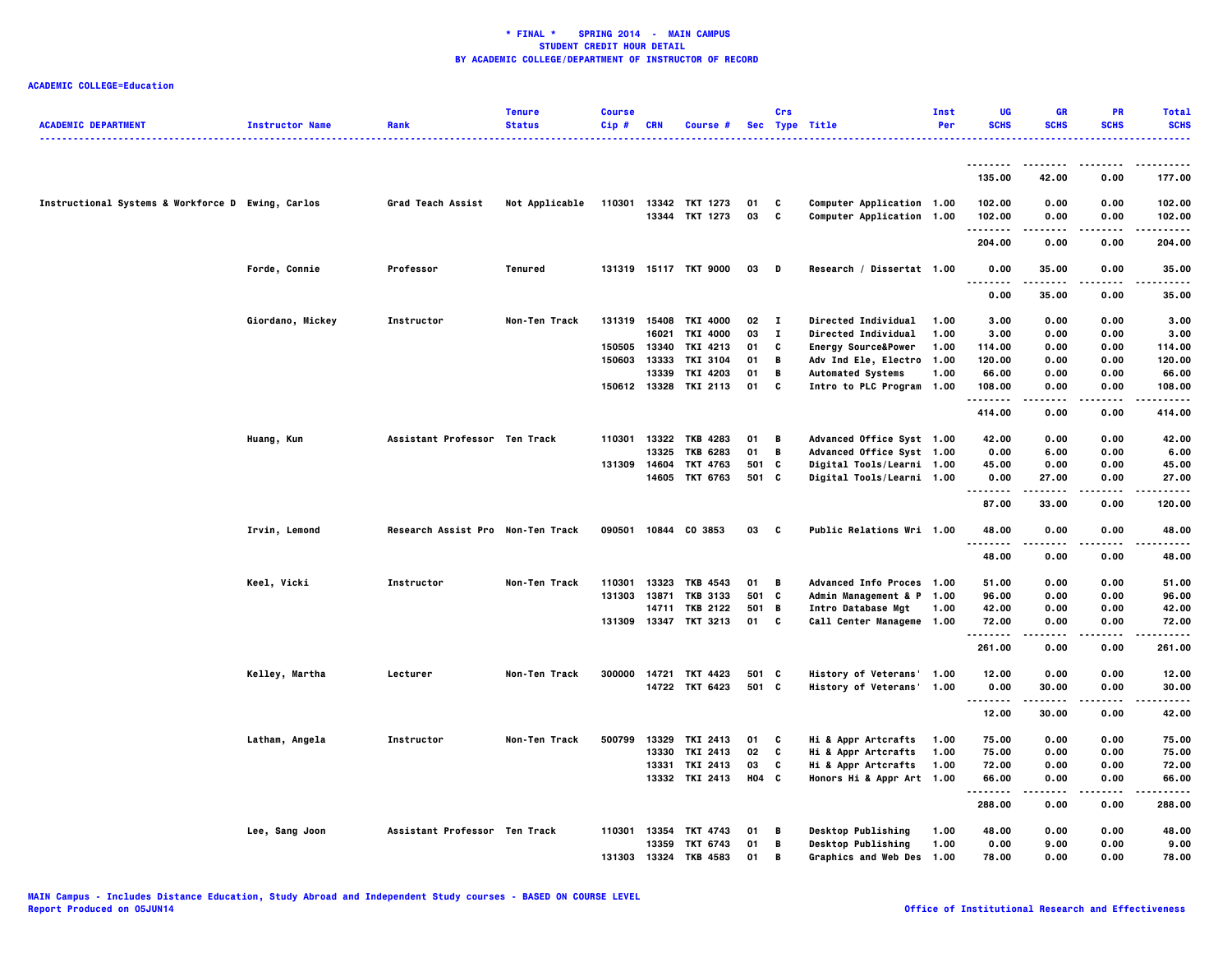| <b>ACADEMIC DEPARTMENT</b>                        | <b>Instructor Name</b> | Rank                              | <b>Tenure</b><br><b>Status</b> | <b>Course</b><br>$Cip$ # | <b>CRN</b>   | Course #              |         | Crs          | Sec Type Title                 | Inst<br>Per | UG<br><b>SCHS</b>    | <b>GR</b><br><b>SCHS</b> | <b>PR</b><br><b>SCHS</b> | <b>Total</b><br><b>SCHS</b><br>. |
|---------------------------------------------------|------------------------|-----------------------------------|--------------------------------|--------------------------|--------------|-----------------------|---------|--------------|--------------------------------|-------------|----------------------|--------------------------|--------------------------|----------------------------------|
|                                                   |                        |                                   |                                |                          |              |                       |         |              |                                |             |                      |                          |                          |                                  |
|                                                   |                        |                                   |                                |                          |              |                       |         |              |                                |             | 135.00               | 42.00                    | 0.00                     | 177.00                           |
| Instructional Systems & Workforce D Ewing, Carlos |                        | Grad Teach Assist                 | Not Applicable                 | 110301                   |              | 13342 TKT 1273        | 01      | C            | Computer Application 1.00      |             | 102.00               | 0.00                     | 0.00                     | 102.00                           |
|                                                   |                        |                                   |                                |                          |              | 13344 TKT 1273        | 03      | C            | Computer Application 1.00      |             | 102.00<br>. <b>.</b> | 0.00                     | 0.00                     | 102.00<br>.                      |
|                                                   |                        |                                   |                                |                          |              |                       |         |              |                                |             | 204.00               | 0.00                     | 0.00                     | 204.00                           |
|                                                   | Forde, Connie          | Professor                         | Tenured                        |                          |              | 131319 15117 TKT 9000 | 03      | D            | Research / Dissertat 1.00      |             | 0.00<br>             | 35.00<br>.               | 0.00                     | 35.00<br>.                       |
|                                                   |                        |                                   |                                |                          |              |                       |         |              |                                |             | 0.00                 | 35.00                    | 0.00                     | 35.00                            |
|                                                   | Giordano, Mickey       | Instructor                        | Non-Ten Track                  |                          |              | 131319 15408 TKI 4000 | 02      | $\mathbf{I}$ | <b>Directed Individual</b>     | 1.00        | 3.00                 | 0.00                     | 0.00                     | 3.00                             |
|                                                   |                        |                                   |                                |                          | 16021        | <b>TKI 4000</b>       | 03      | $\mathbf{I}$ | Directed Individual            | 1.00        | 3.00                 | 0.00                     | 0.00                     | 3.00                             |
|                                                   |                        |                                   |                                | 150505                   | 13340        | TKI 4213              | 01      | C            | <b>Energy Source&amp;Power</b> | 1.00        | 114.00               | 0.00                     | 0.00                     | 114.00                           |
|                                                   |                        |                                   |                                | 150603                   | 13333        | TKI 3104              | 01      | В            | Adv Ind Ele, Electro 1.00      |             | 120.00               | 0.00                     | 0.00                     | 120.00                           |
|                                                   |                        |                                   |                                |                          | 13339        | TKI 4203              | 01      | В            | <b>Automated Systems</b>       | 1.00        | 66.00                | 0.00                     | 0.00                     | 66.00                            |
|                                                   |                        |                                   |                                |                          | 150612 13328 | TKI 2113              | 01      | C            | Intro to PLC Program 1.00      |             | 108.00               | 0.00                     | 0.00                     | 108.00                           |
|                                                   |                        |                                   |                                |                          |              |                       |         |              |                                |             | 414.00               | 0.00                     | 0.00                     | 414.00                           |
|                                                   | Huang, Kun             | Assistant Professor Ten Track     |                                | 110301                   |              | 13322 TKB 4283        | 01      | В            | Advanced Office Syst 1.00      |             | 42.00                | 0.00                     | 0.00                     | 42.00                            |
|                                                   |                        |                                   |                                |                          | 13325        | <b>TKB 6283</b>       | 01      | В            | Advanced Office Syst 1.00      |             | 0.00                 | 6.00                     | 0.00                     | 6.00                             |
|                                                   |                        |                                   |                                |                          | 131309 14604 | TKT 4763              | 501 C   |              | Digital Tools/Learni 1.00      |             | 45.00                | 0.00                     | 0.00                     | 45.00                            |
|                                                   |                        |                                   |                                |                          |              | 14605 TKT 6763        | 501 C   |              | Digital Tools/Learni 1.00      |             | 0.00<br>.            | 27.00                    | 0.00<br>.                | 27.00<br>.                       |
|                                                   |                        |                                   |                                |                          |              |                       |         |              |                                |             | 87.00                | 33.00                    | 0.00                     | 120.00                           |
|                                                   | Irvin, Lemond          | Research Assist Pro Non-Ten Track |                                |                          |              | 090501 10844 CO 3853  | 03      | C            | Public Relations Wri 1.00      |             | 48.00                | 0.00                     | 0.00                     | 48.00                            |
|                                                   |                        |                                   |                                |                          |              |                       |         |              |                                |             | .<br>48.00           | 0.00                     | 0.00                     | 48.00                            |
|                                                   | Keel, Vicki            | Instructor                        | Non-Ten Track                  | 110301                   | 13323        | TKB 4543              | 01      | В            | Advanced Info Proces 1.00      |             | 51.00                | 0.00                     | 0.00                     | 51.00                            |
|                                                   |                        |                                   |                                |                          |              | 131303 13871 TKB 3133 | 501 C   |              | Admin Management & P 1.00      |             | 96.00                | 0.00                     | 0.00                     | 96.00                            |
|                                                   |                        |                                   |                                |                          |              | 14711 TKB 2122        | 501 B   |              | Intro Database Mgt             | 1.00        | 42.00                | 0.00                     | 0.00                     | 42.00                            |
|                                                   |                        |                                   |                                |                          |              | 131309 13347 TKT 3213 | 01 C    |              | Call Center Manageme 1.00      |             | 72.00<br>.           | 0.00                     | 0.00<br>.                | 72.00<br>------                  |
|                                                   |                        |                                   |                                |                          |              |                       |         |              |                                |             | 261.00               | 0.00                     | 0.00                     | 261.00                           |
|                                                   | Kelley, Martha         | Lecturer                          | Non-Ten Track                  | 300000                   |              | 14721 TKT 4423        | 501 C   |              | History of Veterans' 1.00      |             | 12.00                | 0.00                     | 0.00                     | 12.00                            |
|                                                   |                        |                                   |                                |                          |              | 14722 TKT 6423        | 501 C   |              | History of Veterans' 1.00      |             | 0.00                 | 30.00                    | 0.00                     | 30.00                            |
|                                                   |                        |                                   |                                |                          |              |                       |         |              |                                |             | --------<br>12.00    | .<br>30.00               | .<br>0.00                | .<br>42.00                       |
|                                                   | Latham, Angela         | Instructor                        | Non-Ten Track                  | 500799                   | 13329        | TKI 2413              | 01      | C            | Hi & Appr Artcrafts            | 1.00        | 75.00                | 0.00                     | 0.00                     | 75.00                            |
|                                                   |                        |                                   |                                |                          | 13330        | TKI 2413              | 02      | C            | Hi & Appr Artcrafts            | 1.00        | 75.00                | 0.00                     | 0.00                     | 75.00                            |
|                                                   |                        |                                   |                                |                          |              | 13331 TKI 2413        | 03      | C            | Hi & Appr Artcrafts            | 1.00        | 72.00                | 0.00                     | 0.00                     | 72.00                            |
|                                                   |                        |                                   |                                |                          |              | 13332 TKI 2413        | $H04$ C |              | Honors Hi & Appr Art 1.00      |             | 66.00                | 0.00                     | 0.00                     | 66.00                            |
|                                                   |                        |                                   |                                |                          |              |                       |         |              |                                |             | .<br>288.00          | -----<br>0.00            | .<br>0.00                | .<br>288.00                      |
|                                                   | Lee, Sang Joon         | Assistant Professor Ten Track     |                                | 110301                   |              | 13354 TKT 4743        | 01      | в            | Desktop Publishing             | 1.00        | 48.00                | 0.00                     | 0.00                     | 48.00                            |
|                                                   |                        |                                   |                                |                          | 13359        | TKT 6743              | 01      | В            | Desktop Publishing             | 1.00        | 0.00                 | 9.00                     | 0.00                     | 9.00                             |
|                                                   |                        |                                   |                                |                          |              | 131303 13324 TKB 4583 | 01      | в            | Graphics and Web Des 1.00      |             | 78.00                | 0.00                     | 0.00                     | 78.00                            |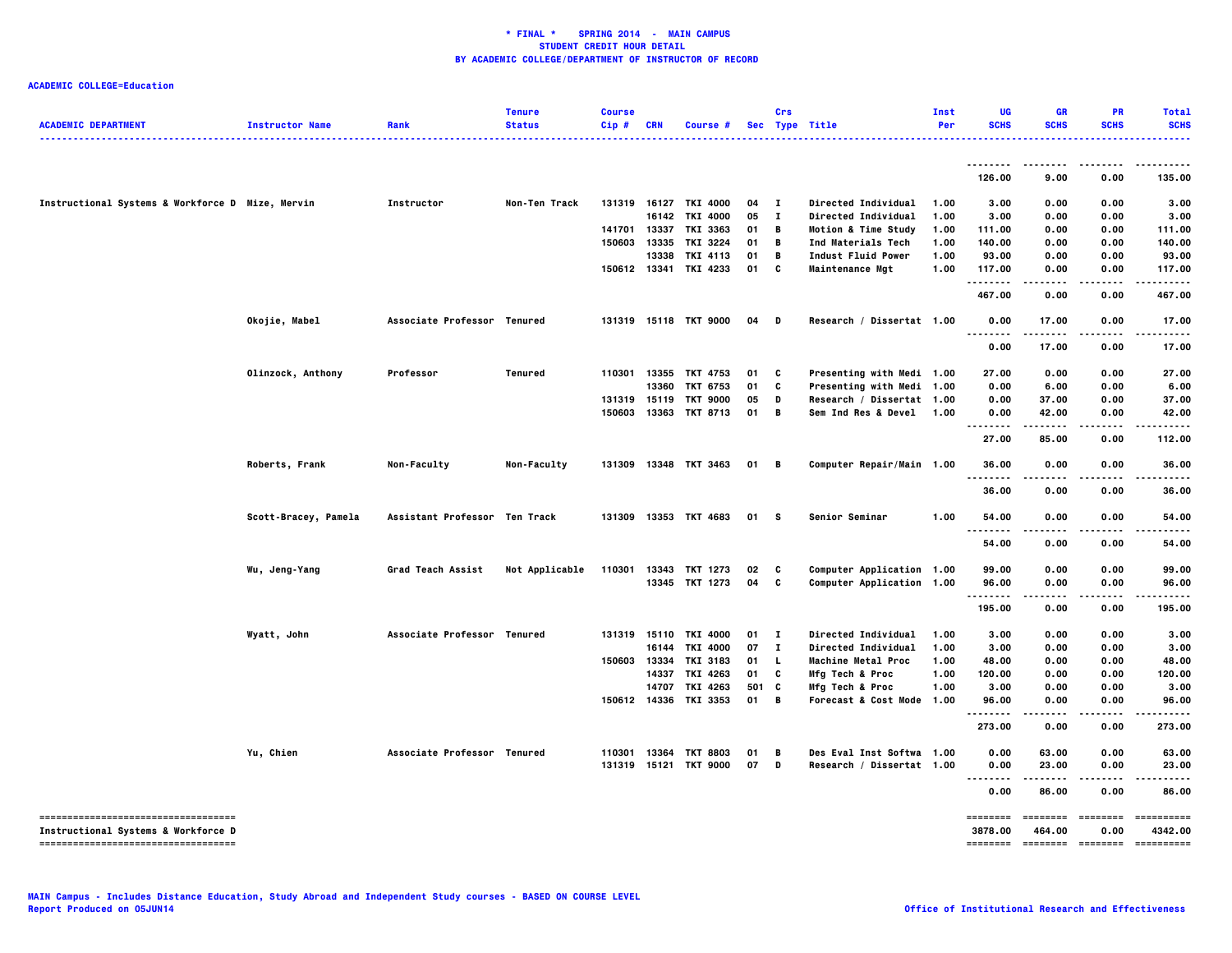| <b>ACADEMIC DEPARTMENT</b>                                                 | <b>Instructor Name</b> | Rank                          | <b>Tenure</b><br><b>Status</b> | <b>Course</b> | <b>CRN</b> |                       |      | Crs          |                                | Inst<br>Per | <b>UG</b><br><b>SCHS</b> | <b>GR</b><br><b>SCHS</b> | <b>PR</b><br><b>SCHS</b> | <b>Total</b><br><b>SCHS</b> |
|----------------------------------------------------------------------------|------------------------|-------------------------------|--------------------------------|---------------|------------|-----------------------|------|--------------|--------------------------------|-------------|--------------------------|--------------------------|--------------------------|-----------------------------|
|                                                                            |                        |                               |                                | Cip#          |            | Course #              |      |              | Sec Type Title<br>.            |             |                          |                          |                          |                             |
|                                                                            |                        |                               |                                |               |            |                       |      |              |                                |             | 126.00                   | 9.00                     | 0.00                     | 135.00                      |
| Instructional Systems & Workforce D Mize, Mervin                           |                        | Instructor                    | Non-Ten Track                  |               |            | 131319 16127 TKI 4000 | 04   | $\mathbf{I}$ | Directed Individual            | 1.00        | 3.00                     | 0.00                     | 0.00                     | 3.00                        |
|                                                                            |                        |                               |                                |               | 16142      | <b>TKI 4000</b>       | 05   | $\mathbf{I}$ | Directed Individual            | 1.00        | 3.00                     | 0.00                     | 0.00                     | 3.00                        |
|                                                                            |                        |                               |                                |               |            | 141701 13337 TKI 3363 | 01   | B            | <b>Motion &amp; Time Study</b> | 1.00        | 111.00                   | 0.00                     | 0.00                     | 111.00                      |
|                                                                            |                        |                               |                                | 150603        | 13335      | TKI 3224              | 01   | B            | Ind Materials Tech             | 1.00        | 140.00                   | 0.00                     | 0.00                     | 140.00                      |
|                                                                            |                        |                               |                                |               | 13338      | TKI 4113              | 01   | B            | Indust Fluid Power             | 1.00        | 93.00                    | 0.00                     | 0.00                     | 93.00                       |
|                                                                            |                        |                               |                                |               |            | 150612 13341 TKI 4233 | 01   | C            | <b>Maintenance Mgt</b>         | 1.00        | 117.00<br>               | 0.00<br>$\cdots$         | 0.00                     | 117.00<br>.                 |
|                                                                            |                        |                               |                                |               |            |                       |      |              |                                |             | 467.00                   | 0.00                     | 0.00                     | 467.00                      |
|                                                                            | Okojie, Mabel          | Associate Professor Tenured   |                                |               |            | 131319 15118 TKT 9000 | 04   | D            | Research / Dissertat 1.00      |             | 0.00                     | 17.00                    | 0.00                     | 17.00                       |
|                                                                            |                        |                               |                                |               |            |                       |      |              |                                |             | 0.00                     | 17.00                    | 0.00                     | 17.00                       |
|                                                                            | Olinzock, Anthony      | Professor                     | Tenured                        |               |            | 110301 13355 TKT 4753 | 01   | C            | Presenting with Medi 1.00      |             | 27.00                    | 0.00                     | 0.00                     | 27.00                       |
|                                                                            |                        |                               |                                |               | 13360      | TKT 6753              | 01   | C            | Presenting with Medi 1.00      |             | 0.00                     | 6.00                     | 0.00                     | 6.00                        |
|                                                                            |                        |                               |                                | 131319 15119  |            | <b>TKT 9000</b>       | 05   | D            | Research / Dissertat 1.00      |             | 0.00                     | 37.00                    | 0.00                     | 37.00                       |
|                                                                            |                        |                               |                                |               |            | 150603 13363 TKT 8713 | 01   | B            | Sem Ind Res & Devel 1.00       |             | 0.00                     | 42.00                    | 0.00                     | 42.00                       |
|                                                                            |                        |                               |                                |               |            |                       |      |              |                                |             | 27.00                    | 85.00                    | 0.00                     | 112.00                      |
|                                                                            | Roberts, Frank         | <b>Non-Faculty</b>            | Non-Faculty                    |               |            | 131309 13348 TKT 3463 | 01   | B            | Computer Repair/Main 1.00      |             | 36.00                    | 0.00                     | 0.00                     | 36.00                       |
|                                                                            |                        |                               |                                |               |            |                       |      |              |                                |             | --------<br>36.00        | 0.00                     | 0.00                     | 36.00                       |
|                                                                            | Scott-Bracey, Pamela   | Assistant Professor Ten Track |                                |               |            | 131309 13353 TKT 4683 | 01 S |              | Senior Seminar                 | 1.00        | 54.00                    | 0.00                     | 0.00                     | 54.00                       |
|                                                                            |                        |                               |                                |               |            |                       |      |              |                                |             | 54.00                    | ----<br>0.00             | 0.00                     | 54.00                       |
|                                                                            | Wu, Jeng-Yang          | Grad Teach Assist             | Not Applicable                 | 110301        | 13343      | TKT 1273              | 02   | C            | Computer Application 1.00      |             | 99.00                    | 0.00                     | 0.00                     | 99.00                       |
|                                                                            |                        |                               |                                |               |            | 13345 TKT 1273        | 04   | C            | Computer Application 1.00      |             | 96.00                    | 0.00                     | 0.00                     | 96.00                       |
|                                                                            |                        |                               |                                |               |            |                       |      |              |                                |             | 195.00                   | 0.00                     | 0.00                     | 195.00                      |
|                                                                            | Wyatt, John            | Associate Professor Tenured   |                                |               |            | 131319 15110 TKI 4000 | 01   | л.           | Directed Individual            | 1.00        | 3.00                     | 0.00                     | 0.00                     | 3.00                        |
|                                                                            |                        |                               |                                |               | 16144      | TKI 4000              | 07   | $\mathbf{I}$ | Directed Individual            | 1.00        | 3.00                     | 0.00                     | 0.00                     | 3.00                        |
|                                                                            |                        |                               |                                | 150603        | 13334      | <b>TKI 3183</b>       | 01   | L.           | <b>Machine Metal Proc</b>      | 1.00        | 48.00                    | 0.00                     | 0.00                     | 48.00                       |
|                                                                            |                        |                               |                                |               | 14337      | TKI 4263              | 01   | C            | Mfg Tech & Proc                | 1.00        | 120.00                   | 0.00                     | 0.00                     | 120.00                      |
|                                                                            |                        |                               |                                |               | 14707      | TKI 4263              | 501  | C            | Mfg Tech & Proc                | 1.00        | 3.00                     | 0.00                     | 0.00                     | 3.00                        |
|                                                                            |                        |                               |                                | 150612 14336  |            | TKI 3353              | 01   | B            | Forecast & Cost Mode 1.00      |             | 96.00<br>.               | 0.00<br>.                | 0.00<br>.                | 96.00<br>.                  |
|                                                                            |                        |                               |                                |               |            |                       |      |              |                                |             | 273.00                   | 0.00                     | 0.00                     | 273.00                      |
|                                                                            | Yu, Chien              | Associate Professor Tenured   |                                | 110301        | 13364      | <b>TKT 8803</b>       | 01   | B            | Des Eval Inst Softwa 1.00      |             | 0.00                     | 63.00                    | 0.00                     | 63.00                       |
|                                                                            |                        |                               |                                |               |            | 131319 15121 TKT 9000 | 07   | D            | Research / Dissertat 1.00      |             | 0.00                     | 23.00<br>-----           | 0.00                     | 23.00                       |
|                                                                            |                        |                               |                                |               |            |                       |      |              |                                |             | <br>0.00                 | 86.00                    | 0.00                     | 86.00                       |
| -----------------------------------<br>Instructional Systems & Workforce D |                        |                               |                                |               |            |                       |      |              |                                |             | ========<br>3878.00      | ========<br>464.00       | <b>EDECEDED</b><br>0.00  | ==========<br>4342.00       |
| -----------------------------------                                        |                        |                               |                                |               |            |                       |      |              |                                |             | <b>SEESSEES</b>          | <b>ESSESSES</b>          | ========                 | ==========                  |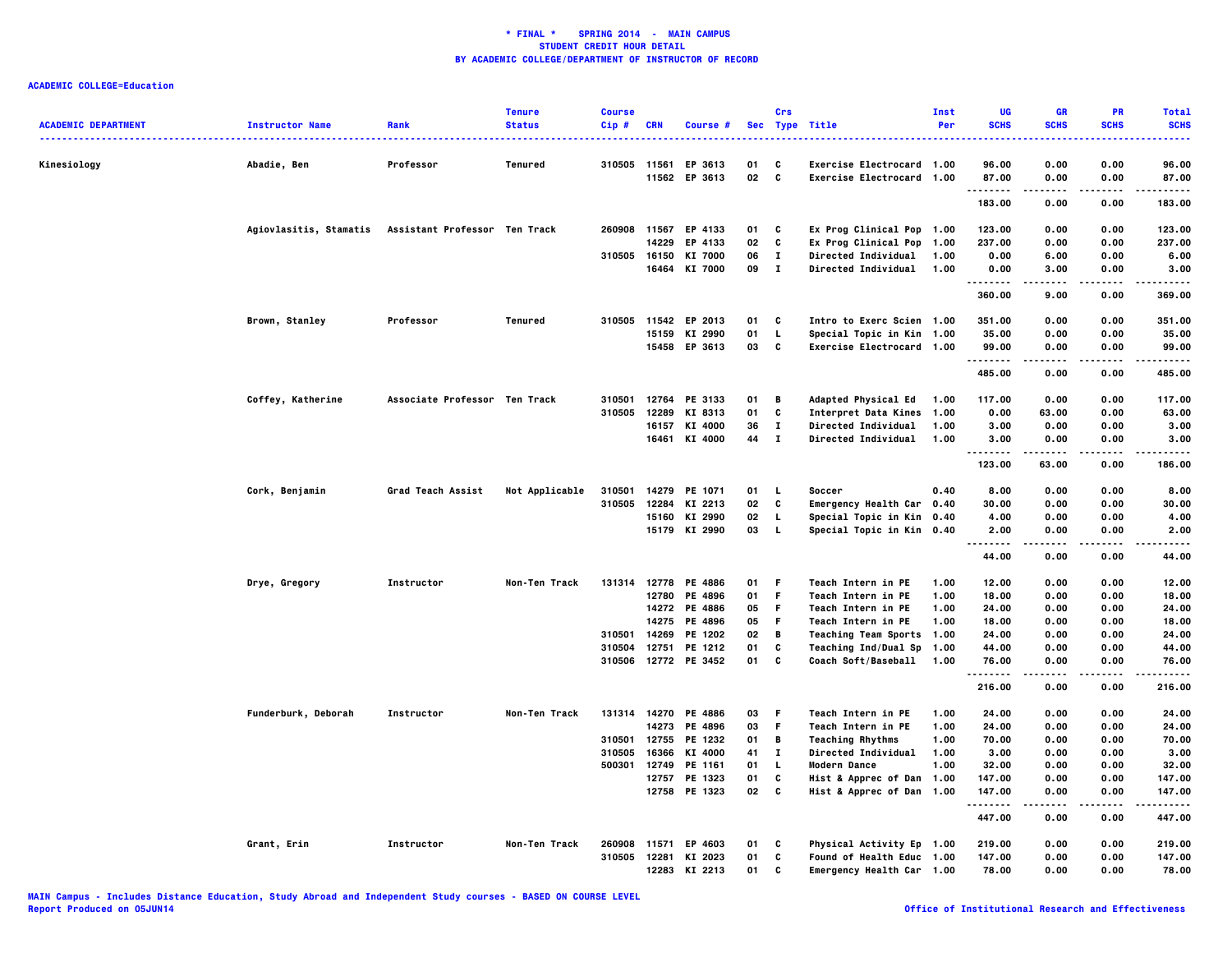|                            |                        |                               | <b>Tenure</b>  | <b>Course</b> |              |                      |    | Crs          |                                  | Inst | UG                     | <b>GR</b>           | <b>PR</b>         | <b>Total</b>   |
|----------------------------|------------------------|-------------------------------|----------------|---------------|--------------|----------------------|----|--------------|----------------------------------|------|------------------------|---------------------|-------------------|----------------|
| <b>ACADEMIC DEPARTMENT</b> | <b>Instructor Name</b> | Rank                          | <b>Status</b>  | Cip#          | <b>CRN</b>   | Course #             |    |              | Sec Type Title                   | Per  | <b>SCHS</b>            | <b>SCHS</b>         | <b>SCHS</b>       | <b>SCHS</b>    |
| Kinesiology                | Abadie, Ben            | Professor                     | Tenured        |               | 310505 11561 | EP 3613              | 01 | C            | Exercise Electrocard 1.00        |      | 96.00                  | 0.00                | 0.00              | 96.00          |
|                            |                        |                               |                |               | 11562        | EP 3613              | 02 | C            | Exercise Electrocard 1.00        |      | 87.00                  | 0.00                | 0.00              | 87.00          |
|                            |                        |                               |                |               |              |                      |    |              |                                  |      | .<br>183.00            | .<br>0.00           | .<br>0.00         | .<br>183.00    |
|                            | Agiovlasitis, Stamatis | Assistant Professor Ten Track |                |               |              | 260908 11567 EP 4133 | 01 | C            | Ex Prog Clinical Pop 1.00        |      | 123.00                 | 0.00                | 0.00              | 123.00         |
|                            |                        |                               |                |               | 14229        | EP 4133              | 02 | c            | Ex Prog Clinical Pop             | 1.00 | 237.00                 | 0.00                | 0.00              | 237.00         |
|                            |                        |                               |                |               | 310505 16150 | KI 7000              | 06 | $\mathbf T$  | <b>Directed Individual</b>       | 1.00 | 0.00                   | 6.00                | 0.00              | 6.00           |
|                            |                        |                               |                |               |              | 16464 KI 7000        | 09 | $\bf{I}$     | <b>Directed Individual</b>       | 1.00 | 0.00                   | 3.00                | 0.00              | 3.00           |
|                            |                        |                               |                |               |              |                      |    |              |                                  |      | .                      |                     |                   |                |
|                            |                        |                               |                |               |              |                      |    |              |                                  |      | 360.00                 | 9.00                | 0.00              | 369.00         |
|                            | Brown, Stanley         | Professor                     | <b>Tenured</b> | 310505        | 11542        | EP 2013              | 01 | c            | Intro to Exerc Scien 1.00        |      | 351.00                 | 0.00                | 0.00              | 351.00         |
|                            |                        |                               |                |               | 15159        | KI 2990              | 01 | L.           | Special Topic in Kin 1.00        |      | 35.00                  | 0.00                | 0.00              | 35.00          |
|                            |                        |                               |                |               |              | 15458 EP 3613        | 03 | C            | Exercise Electrocard 1.00        |      | 99.00<br>.             | 0.00<br>-----       | 0.00<br>.         | 99.00<br>----- |
|                            |                        |                               |                |               |              |                      |    |              |                                  |      | 485.00                 | 0.00                | 0.00              | 485.00         |
|                            | Coffey, Katherine      | Associate Professor Ten Track |                | 310501        | 12764        | PE 3133              | 01 | В            | <b>Adapted Physical Ed</b>       | 1.00 | 117.00                 | 0.00                | 0.00              | 117.00         |
|                            |                        |                               |                | 310505        | 12289        | KI 8313              | 01 | c            | <b>Interpret Data Kines</b>      | 1.00 | 0.00                   | 63.00               | 0.00              | 63.00          |
|                            |                        |                               |                |               | 16157        | KI 4000              | 36 | $\mathbf I$  | Directed Individual              | 1.00 | 3.00                   | 0.00                | 0.00              | 3.00           |
|                            |                        |                               |                |               |              | 16461 KI 4000        | 44 | $\mathbf{I}$ | <b>Directed Individual</b>       | 1.00 | 3.00                   | 0.00                | 0.00              | 3.00           |
|                            |                        |                               |                |               |              |                      |    |              |                                  |      | .<br>123.00            | 63.00               | $- - - -$<br>0.00 | 186.00         |
|                            | Cork, Benjamin         | Grad Teach Assist             | Not Applicable | 310501        |              | 14279 PE 1071        | 01 | <b>L</b>     | Soccer                           | 0.40 | 8.00                   | 0.00                | 0.00              | 8.00           |
|                            |                        |                               |                | 310505        | 12284        | KI 2213              | 02 | C            | Emergency Health Car 0.40        |      | 30.00                  | 0.00                | 0.00              | 30.00          |
|                            |                        |                               |                |               | 15160        | KI 2990              | 02 | L.           | Special Topic in Kin 0.40        |      | 4.00                   | 0.00                | 0.00              | 4.00           |
|                            |                        |                               |                |               |              | 15179 KI 2990        | 03 | $\mathbf{L}$ | Special Topic in Kin 0.40        |      | 2.00                   | 0.00                | 0.00              | 2.00           |
|                            |                        |                               |                |               |              |                      |    |              |                                  |      | .<br>44.00             | .<br>0.00           | .<br>0.00         | .<br>44.00     |
|                            | Drye, Gregory          | Instructor                    | Non-Ten Track  |               | 131314 12778 | PE 4886              | 01 | F            | Teach Intern in PE               | 1.00 | 12.00                  | 0.00                | 0.00              | 12.00          |
|                            |                        |                               |                |               | 12780        | PE 4896              | 01 | F            | Teach Intern in PE               | 1.00 | 18.00                  | 0.00                | 0.00              | 18.00          |
|                            |                        |                               |                |               |              | 14272 PE 4886        | 05 | F            | Teach Intern in PE               | 1.00 | 24.00                  | 0.00                | 0.00              | 24.00          |
|                            |                        |                               |                |               | 14275        | PE 4896              | 05 | F            | Teach Intern in PE               | 1.00 | 18.00                  | 0.00                | 0.00              | 18.00          |
|                            |                        |                               |                | 310501        | 14269        | PE 1202              | 02 | В            | <b>Teaching Team Sports</b>      | 1.00 | 24.00                  | 0.00                | 0.00              | 24.00          |
|                            |                        |                               |                | 310504        | 12751        | PE 1212              | 01 | c            | <b>Teaching Ind/Dual Sp</b>      | 1.00 | 44.00                  | 0.00                | 0.00              | 44.00          |
|                            |                        |                               |                | 310506        | 12772        | PE 3452              | 01 | c            | Coach Soft/Baseball              | 1.00 | 76.00                  | 0.00                | 0.00              | 76.00          |
|                            |                        |                               |                |               |              |                      |    |              |                                  |      | . <b>.</b> .<br>216.00 | 0.00                | 0.00              | 216.00         |
|                            | Funderburk, Deborah    | Instructor                    | Non-Ten Track  |               |              | 131314 14270 PE 4886 | 03 | F.           | Teach Intern in PE               | 1.00 | 24.00                  | 0.00                | 0.00              | 24.00          |
|                            |                        |                               |                |               | 14273        | PE 4896              | 03 | F.           | Teach Intern in PE               | 1.00 | 24.00                  | 0.00                | 0.00              | 24.00          |
|                            |                        |                               |                | 310501        | 12755        | PE 1232              | 01 | В            | <b>Teaching Rhythms</b>          | 1.00 | 70.00                  | 0.00                | 0.00              | 70.00          |
|                            |                        |                               |                | 310505        | 16366        | KI 4000              | 41 | $\bf{I}$     | Directed Individual              | 1.00 | 3.00                   | 0.00                | 0.00              | 3.00           |
|                            |                        |                               |                | 500301        | 12749        | PE 1161              | 01 | L.           | Modern Dance                     | 1.00 | 32.00                  | 0.00                | 0.00              | 32.00          |
|                            |                        |                               |                |               | 12757        | PE 1323              | 01 | C            | Hist & Apprec of Dan 1.00        |      | 147.00                 | 0.00                | 0.00              | 147.00         |
|                            |                        |                               |                |               |              | 12758 PE 1323        | 02 | C            | Hist & Apprec of Dan 1.00        |      | 147.00                 | 0.00                | 0.00              | 147.00         |
|                            |                        |                               |                |               |              |                      |    |              |                                  |      | .<br>447.00            | $- - - - -$<br>0.00 | .<br>0.00         | .<br>447.00    |
|                            | Grant, Erin            | Instructor                    | Non-Ten Track  | 260908        | 11571        | EP 4603              | 01 | C            | Physical Activity Ep 1.00        |      | 219.00                 | 0.00                | 0.00              | 219.00         |
|                            |                        |                               |                | 310505        | 12281        | KI 2023              | 01 | c            | <b>Found of Health Educ 1.00</b> |      | 147.00                 | 0.00                | 0.00              | 147.00         |
|                            |                        |                               |                |               |              | 12283 KI 2213        | 01 | c            | Emergency Health Car 1.00        |      | 78.00                  | 0.00                | 0.00              | 78.00          |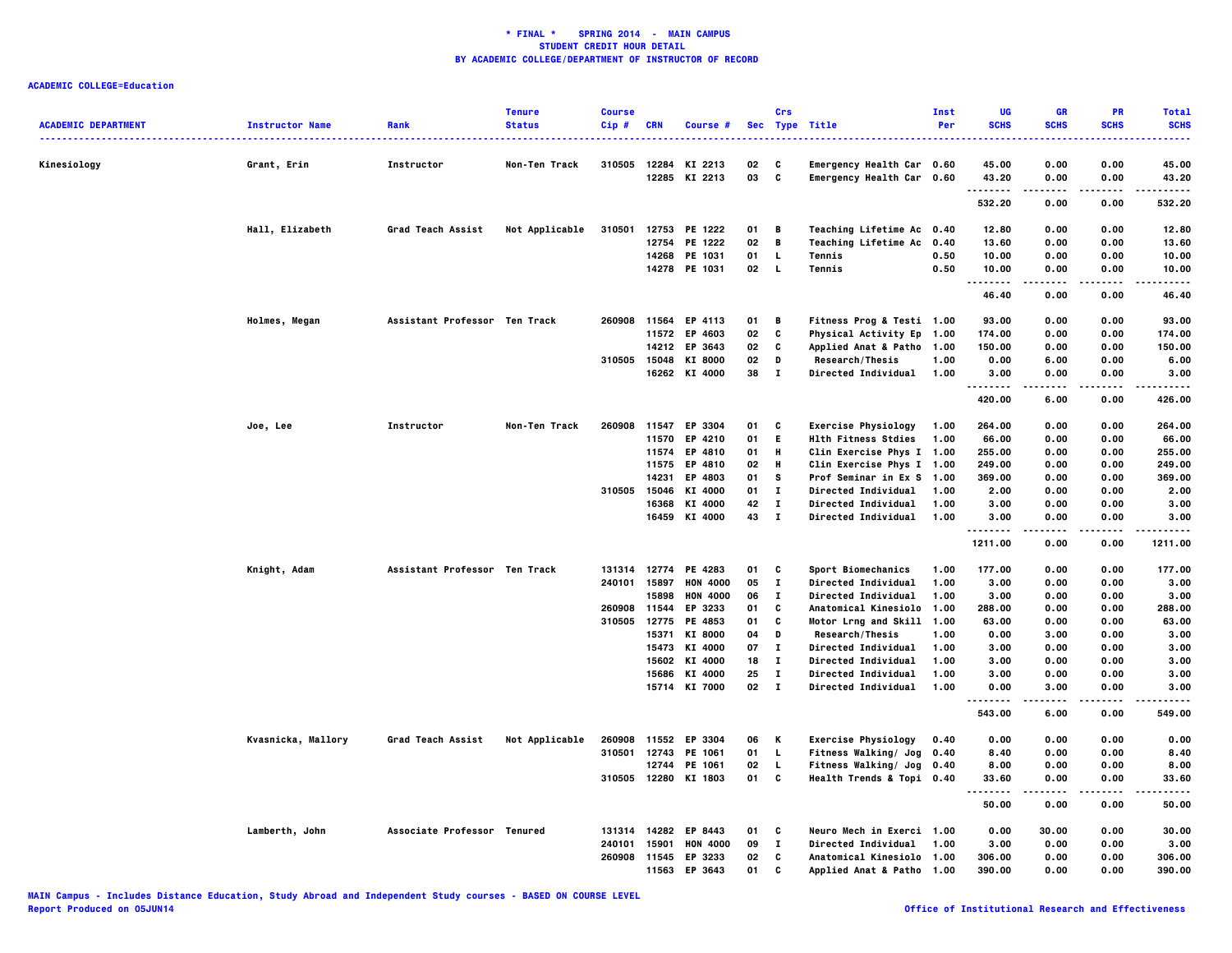|                            |                        |                               | <b>Tenure</b>  | <b>Course</b> |              |                      |    | Crs          |                                      | Inst | UG                   | <b>GR</b>   | PR          | <b>Total</b> |
|----------------------------|------------------------|-------------------------------|----------------|---------------|--------------|----------------------|----|--------------|--------------------------------------|------|----------------------|-------------|-------------|--------------|
| <b>ACADEMIC DEPARTMENT</b> | <b>Instructor Name</b> | Rank                          | <b>Status</b>  | Cip#          | <b>CRN</b>   | Course #             |    |              | Sec Type Title                       | Per  | <b>SCHS</b>          | <b>SCHS</b> | <b>SCHS</b> | <b>SCHS</b>  |
| Kinesiology                | Grant, Erin            | Instructor                    | Non-Ten Track  | 310505        | 12284        | KI 2213              | 02 | C            | Emergency Health Car 0.60            |      | 45.00                | 0.00        | 0.00        | 45.00        |
|                            |                        |                               |                |               |              | 12285 KI 2213        | 03 | C            | Emergency Health Car 0.60            |      | 43.20                | 0.00        | 0.00        | 43.20        |
|                            |                        |                               |                |               |              |                      |    |              |                                      |      | . <b>.</b><br>532.20 | 0.00        | 0.00        | .<br>532.20  |
|                            | Hall, Elizabeth        | Grad Teach Assist             | Not Applicable | 310501        |              | 12753 PE 1222        | 01 | B            | Teaching Lifetime Ac 0.40            |      | 12.80                | 0.00        | 0.00        | 12.80        |
|                            |                        |                               |                |               |              | 12754 PE 1222        | 02 | $\mathbf B$  | Teaching Lifetime Ac 0.40            |      | 13.60                | 0.00        | 0.00        | 13.60        |
|                            |                        |                               |                |               |              | 14268 PE 1031        | 01 | L            | Tennis                               | 0.50 | 10.00                | 0.00        | 0.00        | 10.00        |
|                            |                        |                               |                |               |              | 14278 PE 1031        | 02 | L            | Tennis                               | 0.50 | 10.00                | 0.00        | 0.00        | 10.00        |
|                            |                        |                               |                |               |              |                      |    |              |                                      |      | 46.40                | 0.00        | 0.00        | .<br>46.40   |
|                            | Holmes, Megan          | Assistant Professor Ten Track |                |               |              | 260908 11564 EP 4113 | 01 | B            | Fitness Prog & Testi 1.00            |      | 93.00                | 0.00        | 0.00        | 93.00        |
|                            |                        |                               |                |               |              | 11572 EP 4603        | 02 | C            | Physical Activity Ep                 | 1.00 | 174.00               | 0.00        | 0.00        | 174.00       |
|                            |                        |                               |                |               |              | 14212 EP 3643        | 02 | C            | <b>Applied Anat &amp; Patho</b>      | 1.00 | 150.00               | 0.00        | 0.00        | 150.00       |
|                            |                        |                               |                | 310505        | 15048        | KI 8000              | 02 | D            | Research/Thesis                      | 1.00 | 0.00                 | 6.00        | 0.00        | 6.00         |
|                            |                        |                               |                |               |              | 16262 KI 4000        | 38 | $\mathbf{I}$ | Directed Individual                  | 1.00 | 3.00                 | 0.00        | 0.00        | 3.00         |
|                            |                        |                               |                |               |              |                      |    |              |                                      |      | .<br>420.00          | 6.00        | 0.00        | .<br>426.00  |
|                            | Joe, Lee               | Instructor                    | Non-Ten Track  | 260908        |              | 11547 EP 3304        | 01 | C            | <b>Exercise Physiology</b>           | 1.00 | 264.00               | 0.00        | 0.00        | 264.00       |
|                            |                        |                               |                |               |              | 11570 EP 4210        | 01 | E.           | <b>Hlth Fitness Stdies</b>           | 1.00 | 66.00                | 0.00        | 0.00        | 66.00        |
|                            |                        |                               |                |               | 11574        | EP 4810              | 01 | н            | Clin Exercise Phys I 1.00            |      | 255.00               | 0.00        | 0.00        | 255.00       |
|                            |                        |                               |                |               | 11575        | EP 4810              | 02 | н            | Clin Exercise Phys I 1.00            |      | 249.00               | 0.00        | 0.00        | 249.00       |
|                            |                        |                               |                |               | 14231        | EP 4803              | 01 | s            | Prof Seminar in Ex S 1.00            |      | 369.00               | 0.00        | 0.00        | 369.00       |
|                            |                        |                               |                |               | 310505 15046 | KI 4000              | 01 | $\mathbf{I}$ | <b>Directed Individual</b>           | 1.00 | 2.00                 | 0.00        | 0.00        | 2.00         |
|                            |                        |                               |                |               | 16368        | KI 4000              | 42 | $\bf{I}$     | Directed Individual                  | 1.00 | 3.00                 | 0.00        | 0.00        | 3.00         |
|                            |                        |                               |                |               | 16459        | KI 4000              | 43 | $\mathbf{I}$ | Directed Individual                  | 1.00 | 3.00                 | 0.00        | 0.00        | 3.00         |
|                            |                        |                               |                |               |              |                      |    |              |                                      |      | .<br>1211.00         | 0.00        | 0.00        | 1211.00      |
|                            | Knight, Adam           | Assistant Professor Ten Track |                |               |              | 131314 12774 PE 4283 | 01 | C            | Sport Biomechanics                   | 1.00 | 177.00               | 0.00        | 0.00        | 177.00       |
|                            |                        |                               |                |               | 240101 15897 | <b>HON 4000</b>      | 05 | $\mathbf{I}$ | <b>Directed Individual</b>           | 1.00 | 3.00                 | 0.00        | 0.00        | 3.00         |
|                            |                        |                               |                |               | 15898        | <b>HON 4000</b>      | 06 | $\bf{I}$     | Directed Individual                  | 1.00 | 3.00                 | 0.00        | 0.00        | 3.00         |
|                            |                        |                               |                | 260908        | 11544        | EP 3233              | 01 | C            | Anatomical Kinesiolo                 | 1.00 | 288.00               | 0.00        | 0.00        | 288.00       |
|                            |                        |                               |                | 310505        | 12775        | PE 4853              | 01 | C            | Motor Lrng and Skill 1.00            |      | 63.00                | 0.00        | 0.00        | 63.00        |
|                            |                        |                               |                |               | 15371        | <b>KI 8000</b>       | 04 | D            | Research/Thesis                      | 1.00 | 0.00                 | 3.00        | 0.00        | 3.00         |
|                            |                        |                               |                |               | 15473        | KI 4000              | 07 | $\bf I$      | Directed Individual                  | 1.00 | 3.00                 | 0.00        | 0.00        | 3.00         |
|                            |                        |                               |                |               | 15602        | KI 4000              | 18 | $\mathbf I$  | Directed Individual                  | 1.00 | 3.00                 | 0.00        | 0.00        | 3.00         |
|                            |                        |                               |                |               | 15686        | KI 4000              | 25 | $\mathbf I$  | <b>Directed Individual</b>           | 1.00 | 3.00                 | 0.00        | 0.00        | 3.00         |
|                            |                        |                               |                |               |              | 15714 KI 7000        | 02 | $\mathbf{I}$ | <b>Directed Individual</b>           | 1.00 | 0.00                 | 3.00        | 0.00        | 3.00         |
|                            |                        |                               |                |               |              |                      |    |              |                                      |      | .<br>543.00          | 6.00        | .<br>0.00   | .<br>549.00  |
|                            | Kvasnicka, Mallory     | Grad Teach Assist             | Not Applicable | 260908        |              | 11552 EP 3304        | 06 | K            | <b>Exercise Physiology</b>           | 0.40 | 0.00                 | 0.00        | 0.00        | 0.00         |
|                            |                        |                               |                | 310501        |              | 12743 PE 1061        | 01 | L            | Fitness Walking/ Jog                 | 0.40 | 8.40                 | 0.00        | 0.00        | 8.40         |
|                            |                        |                               |                |               | 12744        | PE 1061              | 02 | L.           | Fitness Walking/ Jog 0.40            |      | 8.00                 | 0.00        | 0.00        | 8.00         |
|                            |                        |                               |                |               |              | 310505 12280 KI 1803 | 01 | C            | Health Trends & Topi 0.40            |      | 33.60                | 0.00        | 0.00        | 33.60        |
|                            |                        |                               |                |               |              |                      |    |              |                                      |      | . <b>.</b><br>50.00  | .<br>0.00   | .<br>0.00   | .<br>50.00   |
|                            | Lamberth, John         | Associate Professor Tenured   |                | 131314        |              | 14282 EP 8443        | 01 | C            | Neuro Mech in Exerci 1.00            |      | 0.00                 | 30.00       | 0.00        | 30.00        |
|                            |                        |                               |                | 240101        | 15901        | <b>HON 4000</b>      | 09 | $\bf{I}$     | <b>Directed Individual</b>           | 1.00 | 3.00                 | 0.00        | 0.00        | 3.00         |
|                            |                        |                               |                | 260908        |              | 11545 EP 3233        | 02 | c            | Anatomical Kinesiolo 1.00            |      | 306.00               | 0.00        | 0.00        | 306.00       |
|                            |                        |                               |                |               | 11563        | EP 3643              | 01 | C            | <b>Applied Anat &amp; Patho 1.00</b> |      | 390.00               | 0.00        | 0.00        | 390.00       |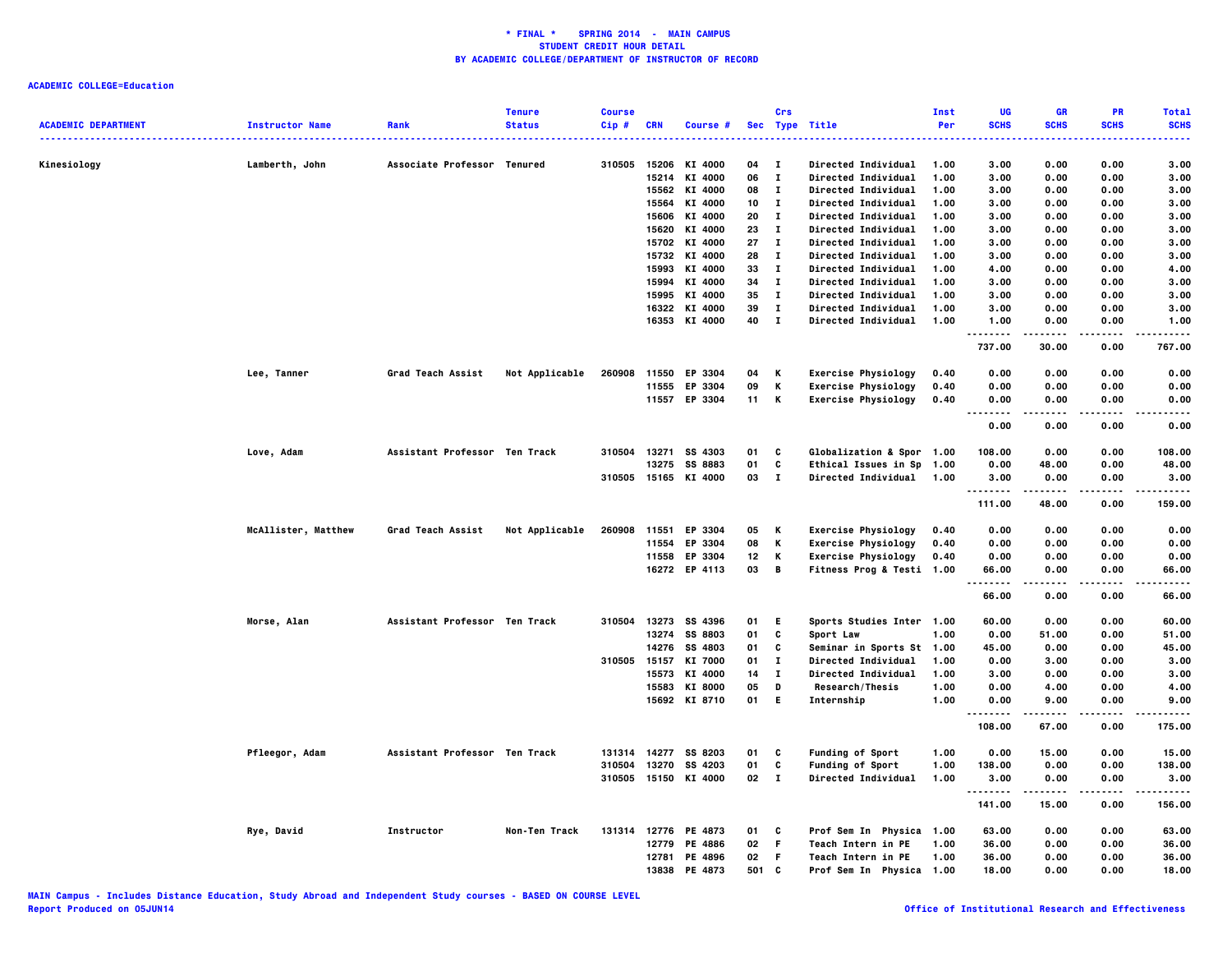| <b>ACADEMIC DEPARTMENT</b> | <b>Instructor Name</b> | Rank                          | <b>Tenure</b><br><b>Status</b> | <b>Course</b><br>Cip# | <b>CRN</b> | Course #             |     | Crs          | Sec Type Title             | Inst<br>Per | UG<br><b>SCHS</b> | GR<br><b>SCHS</b> | PR<br><b>SCHS</b> | <b>Total</b><br><b>SCHS</b> |
|----------------------------|------------------------|-------------------------------|--------------------------------|-----------------------|------------|----------------------|-----|--------------|----------------------------|-------------|-------------------|-------------------|-------------------|-----------------------------|
|                            |                        |                               |                                |                       |            |                      |     |              |                            |             |                   |                   |                   |                             |
| Kinesiology                | Lamberth, John         | Associate Professor Tenured   |                                | 310505                | 15206      | KI 4000              | 04  | $\mathbf{I}$ | <b>Directed Individual</b> | 1.00        | 3.00              | 0.00              | 0.00              | 3.00                        |
|                            |                        |                               |                                |                       | 15214      | KI 4000              | 06  | $\bf{I}$     | Directed Individual        | 1.00        | 3.00              | 0.00              | 0.00              | 3.00                        |
|                            |                        |                               |                                |                       | 15562      | KI 4000              | 08  | $\bf{I}$     | Directed Individual        | 1.00        | 3.00              | 0.00              | 0.00              | 3.00                        |
|                            |                        |                               |                                |                       | 15564      | KI 4000              | 10  | $\mathbf{I}$ | Directed Individual        | 1.00        | 3.00              | 0.00              | 0.00              | 3.00                        |
|                            |                        |                               |                                |                       | 15606      | KI 4000              | 20  | $\mathbf{I}$ | Directed Individual        | 1.00        | 3.00              | 0.00              | 0.00              | 3.00                        |
|                            |                        |                               |                                |                       | 15620      | KI 4000              | 23  | $\mathbf{I}$ | Directed Individual        | 1.00        | 3.00              | 0.00              | 0.00              | 3.00                        |
|                            |                        |                               |                                |                       |            | 15702 KI 4000        | 27  | $\mathbf{I}$ | Directed Individual        | 1.00        | 3.00              | 0.00              | 0.00              | 3.00                        |
|                            |                        |                               |                                |                       |            | 15732 KI 4000        | 28  | $\mathbf{I}$ | Directed Individual        | 1.00        | 3.00              | 0.00              | 0.00              | 3.00                        |
|                            |                        |                               |                                |                       | 15993      | KI 4000              | 33  | $\mathbf{I}$ | Directed Individual        | 1.00        | 4.00              | 0.00              | 0.00              | 4.00                        |
|                            |                        |                               |                                |                       | 15994      | KI 4000              | 34  | $\mathbf{I}$ | Directed Individual        | 1.00        | 3.00              | 0.00              | 0.00              | 3.00                        |
|                            |                        |                               |                                |                       | 15995      | KI 4000              | 35  | $\mathbf{I}$ | Directed Individual        | 1.00        | 3.00              | 0.00              | 0.00              | 3.00                        |
|                            |                        |                               |                                |                       | 16322      | KI 4000              | 39  | $\mathbf{I}$ | <b>Directed Individual</b> | 1.00        | 3.00              | 0.00              | 0.00              | 3.00                        |
|                            |                        |                               |                                |                       |            | 16353 KI 4000        | 40  | $\mathbf{I}$ | <b>Directed Individual</b> | 1.00        | 1.00              | 0.00              | 0.00              | 1.00                        |
|                            |                        |                               |                                |                       |            |                      |     |              |                            |             | .<br>737.00       | 30.00             | 0.00              | .<br>767.00                 |
|                            | Lee, Tanner            | Grad Teach Assist             | Not Applicable                 | 260908                | 11550      | EP 3304              | 04  | Κ            | <b>Exercise Physiology</b> | 0.40        | 0.00              | 0.00              | 0.00              | 0.00                        |
|                            |                        |                               |                                |                       | 11555      | EP 3304              | 09  | К            | <b>Exercise Physiology</b> | 0.40        | 0.00              | 0.00              | 0.00              | 0.00                        |
|                            |                        |                               |                                |                       |            | 11557 EP 3304        | 11  | K            | <b>Exercise Physiology</b> | 0.40        | 0.00              | 0.00              | 0.00              | 0.00                        |
|                            |                        |                               |                                |                       |            |                      |     |              |                            |             |                   |                   |                   |                             |
|                            |                        |                               |                                |                       |            |                      |     |              |                            |             | 0.00              | 0.00              | 0.00              | 0.00                        |
|                            | Love, Adam             | Assistant Professor Ten Track |                                | 310504                |            | 13271 SS 4303        | 01  | C            | Globalization & Spor 1.00  |             | 108.00            | 0.00              | 0.00              | 108.00                      |
|                            |                        |                               |                                |                       | 13275      | SS 8883              | 01  | C            | Ethical Issues in Sp 1.00  |             | 0.00              | 48.00             | 0.00              | 48.00                       |
|                            |                        |                               |                                |                       |            | 310505 15165 KI 4000 | 03  | $\mathbf{I}$ | <b>Directed Individual</b> | 1.00        | 3.00<br>.         | 0.00<br>.         | 0.00              | 3.00<br>                    |
|                            |                        |                               |                                |                       |            |                      |     |              |                            |             | 111.00            | 48.00             | 0.00              | 159.00                      |
|                            | McAllister, Matthew    | Grad Teach Assist             | Not Applicable                 | 260908                | 11551      | EP 3304              | 05  | к            | <b>Exercise Physiology</b> | 0.40        | 0.00              | 0.00              | 0.00              | 0.00                        |
|                            |                        |                               |                                |                       | 11554      | EP 3304              | 08  | K            | <b>Exercise Physiology</b> | 0.40        | 0.00              | 0.00              | 0.00              | 0.00                        |
|                            |                        |                               |                                |                       | 11558      | EP 3304              | 12  | Κ            | <b>Exercise Physiology</b> | 0.40        | 0.00              | 0.00              | 0.00              | 0.00                        |
|                            |                        |                               |                                |                       |            | 16272 EP 4113        | 03  | B            | Fitness Prog & Testi 1.00  |             | 66.00<br><u>.</u> | 0.00<br>-----     | 0.00              | 66.00<br>.                  |
|                            |                        |                               |                                |                       |            |                      |     |              |                            |             | 66.00             | 0.00              | 0.00              | 66.00                       |
|                            | Morse, Alan            | Assistant Professor Ten Track |                                | 310504                |            | 13273 SS 4396        | 01  | Е            | Sports Studies Inter 1.00  |             | 60.00             | 0.00              | 0.00              | 60.00                       |
|                            |                        |                               |                                |                       | 13274      | <b>SS 8803</b>       | 01  | C            | Sport Law                  | 1.00        | 0.00              | 51.00             | 0.00              | 51.00                       |
|                            |                        |                               |                                |                       | 14276      | SS 4803              | 01  | C            | Seminar in Sports St 1.00  |             | 45.00             | 0.00              | 0.00              | 45.00                       |
|                            |                        |                               |                                | 310505                | 15157      | KI 7000              | 01  | $\mathbf I$  | Directed Individual        | 1.00        | 0.00              | 3.00              | 0.00              | 3.00                        |
|                            |                        |                               |                                |                       | 15573      | KI 4000              | 14  | п            | Directed Individual        | 1.00        | 3.00              | 0.00              | 0.00              | 3.00                        |
|                            |                        |                               |                                |                       | 15583      | KI 8000              | 05  | D            | Research/Thesis            | 1.00        | 0.00              | 4.00              | 0.00              | 4.00                        |
|                            |                        |                               |                                |                       |            | 15692 KI 8710        | 01  | E.           | Internship                 | 1.00        | 0.00<br>          | 9.00<br>.         | 0.00<br>$- - - -$ | 9.00<br>.                   |
|                            |                        |                               |                                |                       |            |                      |     |              |                            |             | 108.00            | 67.00             | 0.00              | 175.00                      |
|                            | Pfleegor, Adam         | Assistant Professor Ten Track |                                | 131314                | 14277      | SS 8203              | 01  | C            | <b>Funding of Sport</b>    | 1.00        | 0.00              | 15.00             | 0.00              | 15.00                       |
|                            |                        |                               |                                | 310504                | 13270      | SS 4203              | 01  | C            | <b>Funding of Sport</b>    | 1.00        | 138.00            | 0.00              | 0.00              | 138.00                      |
|                            |                        |                               |                                | 310505                |            | 15150 KI 4000        | 02  | $\mathbf{I}$ | <b>Directed Individual</b> | 1.00        | 3.00              | 0.00              | 0.00              | 3.00                        |
|                            |                        |                               |                                |                       |            |                      |     |              |                            |             | 141.00            | 15.00             | 0.00              | 156.00                      |
|                            | Rye, David             | Instructor                    | Non-Ten Track                  |                       |            | 131314 12776 PE 4873 | 01  | C            | Prof Sem In Physica 1.00   |             | 63.00             | 0.00              | 0.00              | 63.00                       |
|                            |                        |                               |                                |                       | 12779      | PE 4886              | 02  | F            | Teach Intern in PE         | 1.00        | 36.00             | 0.00              | 0.00              | 36.00                       |
|                            |                        |                               |                                |                       | 12781      | PE 4896              | 02  | F            | Teach Intern in PE         | 1.00        | 36.00             | 0.00              | 0.00              | 36.00                       |
|                            |                        |                               |                                |                       | 13838      | PE 4873              | 501 | <b>C</b>     | Prof Sem In Physica 1.00   |             | 18.00             | 0.00              | 0.00              | 18.00                       |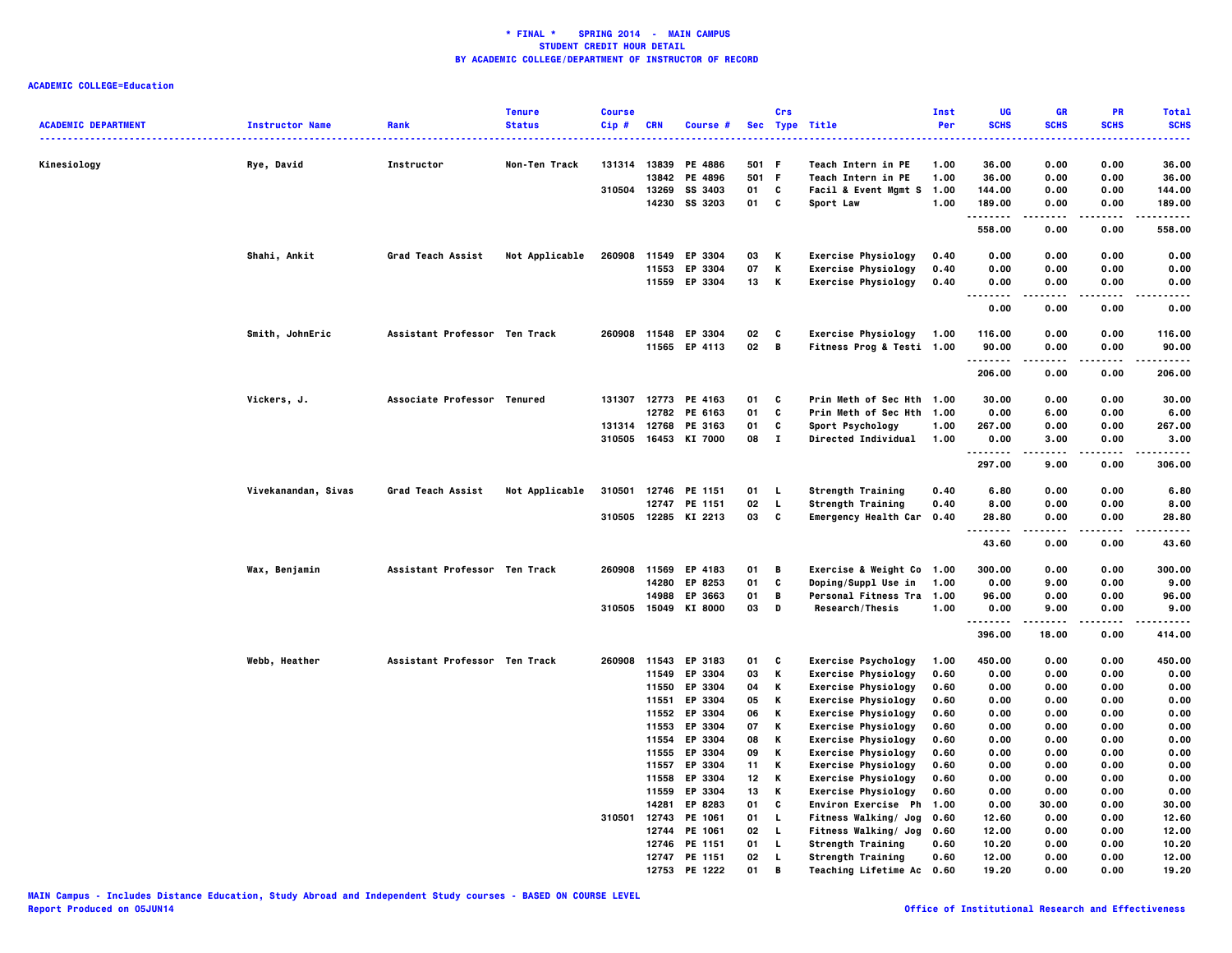|                            |                        |                               | <b>Tenure</b>  | <b>Course</b> |                |                    |          | Crs          |                                                          | Inst         | UG                     | GR                           | PR           | <b>Total</b>  |
|----------------------------|------------------------|-------------------------------|----------------|---------------|----------------|--------------------|----------|--------------|----------------------------------------------------------|--------------|------------------------|------------------------------|--------------|---------------|
| <b>ACADEMIC DEPARTMENT</b> | <b>Instructor Name</b> | Rank                          | <b>Status</b>  | Cip#          | <b>CRN</b>     | Course #           |          |              | Sec Type Title                                           | Per          | <b>SCHS</b>            | <b>SCHS</b>                  | <b>SCHS</b>  | <b>SCHS</b>   |
| Kinesiology                | Rye, David             | Instructor                    | Non-Ten Track  | 131314        | 13839          | PE 4886            | 501      | -F           | <b>Teach Intern in PE</b>                                | 1.00         | 36.00                  | 0.00                         | 0.00         | 36.00         |
|                            |                        |                               |                |               | 13842          | PE 4896            | 501      | F            | Teach Intern in PE                                       | 1.00         | 36.00                  | 0.00                         | 0.00         | 36.00         |
|                            |                        |                               |                | 310504        | 13269          | SS 3403            | 01       | C            | Facil & Event Mgmt S 1.00                                |              | 144.00                 | 0.00                         | 0.00         | 144.00        |
|                            |                        |                               |                |               | 14230          | SS 3203            | 01       | C            | Sport Law                                                | 1.00         | 189.00                 | 0.00                         | 0.00         | 189.00        |
|                            |                        |                               |                |               |                |                    |          |              |                                                          |              | .                      |                              |              | .             |
|                            |                        |                               |                |               |                |                    |          |              |                                                          |              | 558.00                 | 0.00                         | 0.00         | 558.00        |
|                            | Shahi, Ankit           | Grad Teach Assist             | Not Applicable | 260908        | 11549          | EP 3304            | 03       | К            | <b>Exercise Physiology</b>                               | 0.40         | 0.00                   | 0.00                         | 0.00         | 0.00          |
|                            |                        |                               |                |               | 11553          | EP 3304            | 07       | К            | <b>Exercise Physiology</b>                               | 0.40         | 0.00                   | 0.00                         | 0.00         | 0.00          |
|                            |                        |                               |                |               |                | 11559 EP 3304      | 13       | К            | <b>Exercise Physiology</b>                               | 0.40         | 0.00<br>.<br>$- - - -$ | 0.00<br>.                    | 0.00<br>.    | 0.00<br>----- |
|                            |                        |                               |                |               |                |                    |          |              |                                                          |              | 0.00                   | 0.00                         | 0.00         | 0.00          |
|                            | Smith, JohnEric        | Assistant Professor Ten Track |                | 260908        |                | 11548 EP 3304      | 02       | C            | <b>Exercise Physiology</b>                               | 1.00         | 116.00                 | 0.00                         | 0.00         | 116.00        |
|                            |                        |                               |                |               |                | 11565 EP 4113      | 02       | B            | Fitness Prog & Testi 1.00                                |              | 90.00<br>.             | 0.00                         | 0.00<br>.    | 90.00<br>.    |
|                            |                        |                               |                |               |                |                    |          |              |                                                          |              | 206.00                 | 0.00                         | 0.00         | 206.00        |
|                            | Vickers, J.            | Associate Professor Tenured   |                | 131307        |                | 12773 PE 4163      | 01       | c            | Prin Meth of Sec Hth 1.00                                |              | 30.00                  | 0.00                         | 0.00         | 30.00         |
|                            |                        |                               |                |               |                | 12782 PE 6163      | 01       | C            | Prin Meth of Sec Hth                                     | 1.00         | 0.00                   | 6.00                         | 0.00         | 6.00          |
|                            |                        |                               |                |               | 131314 12768   | PE 3163            | 01       | C            | Sport Psychology                                         | 1.00         | 267.00                 | 0.00                         | 0.00         | 267.00        |
|                            |                        |                               |                | 310505        |                | 16453 KI 7000      | 08       | $\mathbf{I}$ | <b>Directed Individual</b>                               | 1.00         | 0.00<br>.              | 3.00<br>$\sim$ $\sim$ $\sim$ | 0.00<br>.    | 3.00<br>.     |
|                            |                        |                               |                |               |                |                    |          |              |                                                          |              | 297.00                 | 9.00                         | 0.00         | 306.00        |
|                            | Vivekanandan, Sivas    | Grad Teach Assist             | Not Applicable | 310501        |                | 12746 PE 1151      | 01       | L            | <b>Strength Training</b>                                 | 0.40         | 6.80                   | 0.00                         | 0.00         | 6.80          |
|                            |                        |                               |                |               | 12747          | PE 1151            | 02       | L            | Strength Training                                        | 0.40         | 8.00                   | 0.00                         | 0.00         | 8.00          |
|                            |                        |                               |                | 310505        |                | 12285 KI 2213      | 03       | C            | Emergency Health Car 0.40                                |              | 28.80<br>.             | 0.00                         | 0.00         | 28.80         |
|                            |                        |                               |                |               |                |                    |          |              |                                                          |              | 43.60                  | 0.00                         | 0.00         | 43.60         |
|                            | Wax, Benjamin          | Assistant Professor Ten Track |                | 260908        |                | 11569 EP 4183      | 01       | В            | Exercise & Weight Co 1.00                                |              | 300.00                 | 0.00                         | 0.00         | 300.00        |
|                            |                        |                               |                |               |                | 14280 EP 8253      | 01       | C            | Doping/Suppl Use in                                      | 1.00         | 0.00                   | 9.00                         | 0.00         | 9.00          |
|                            |                        |                               |                |               | 14988          | EP 3663            | 01       | В            | Personal Fitness Tra 1.00                                |              | 96.00                  | 0.00                         | 0.00         | 96.00         |
|                            |                        |                               |                | 310505        |                | 15049 KI 8000      | 03       | D            | Research/Thesis                                          | 1.00         | 0.00<br>.              | 9.00                         | 0.00         | 9.00          |
|                            |                        |                               |                |               |                |                    |          |              |                                                          |              | 396.00                 | 18.00                        | 0.00         | 414.00        |
|                            | Webb, Heather          | Assistant Professor Ten Track |                | 260908        | 11543          | EP 3183            | 01       | C            | <b>Exercise Psychology</b>                               | 1.00         | 450.00                 | 0.00                         | 0.00         | 450.00        |
|                            |                        |                               |                |               | 11549          | EP 3304            | 03       | К            | <b>Exercise Physiology</b>                               | 0.60         | 0.00                   | 0.00                         | 0.00         | 0.00          |
|                            |                        |                               |                |               | 11550          | EP 3304            | 04       | К            | <b>Exercise Physiology</b>                               | 0.60         | 0.00                   | 0.00                         | 0.00         | 0.00          |
|                            |                        |                               |                |               | 11551          | EP 3304            | 05       | Κ            | <b>Exercise Physiology</b>                               | 0.60         | 0.00                   | 0.00                         | 0.00         | 0.00          |
|                            |                        |                               |                |               |                | 11552 EP 3304      | 06       | К            | <b>Exercise Physiology</b>                               | 0.60         | 0.00                   | 0.00                         | 0.00         | 0.00          |
|                            |                        |                               |                |               | 11553          | EP 3304            | 07       | К<br>К       | <b>Exercise Physiology</b>                               | 0.60         | 0.00                   | 0.00                         | 0.00         | 0.00          |
|                            |                        |                               |                |               | 11554<br>11555 | EP 3304<br>EP 3304 | 08<br>09 | К            | <b>Exercise Physiology</b><br><b>Exercise Physiology</b> | 0.60<br>0.60 | 0.00<br>0.00           | 0.00<br>0.00                 | 0.00<br>0.00 | 0.00<br>0.00  |
|                            |                        |                               |                |               | 11557          | EP 3304            | 11       | К            | <b>Exercise Physiology</b>                               | 0.60         | 0.00                   | 0.00                         | 0.00         | 0.00          |
|                            |                        |                               |                |               |                | 11558 EP 3304      | 12       | К            | <b>Exercise Physiology</b>                               | 0.60         | 0.00                   | 0.00                         | 0.00         | 0.00          |
|                            |                        |                               |                |               | 11559          | EP 3304            | 13       | К            | <b>Exercise Physiology</b>                               | 0.60         | 0.00                   | 0.00                         | 0.00         | 0.00          |
|                            |                        |                               |                |               | 14281          | EP 8283            | 01       | C            | Environ Exercise Ph                                      | 1.00         | 0.00                   | 30.00                        | 0.00         | 30.00         |
|                            |                        |                               |                | 310501        | 12743          | PE 1061            | 01       | L            | <b>Fitness Walking/ Jog</b>                              | 0.60         | 12.60                  | 0.00                         | 0.00         | 12.60         |
|                            |                        |                               |                |               | 12744          | PE 1061            | 02       | L            | <b>Fitness Walking/ Jog</b>                              | 0.60         | 12.00                  | 0.00                         | 0.00         | 12.00         |
|                            |                        |                               |                |               | 12746          | PE 1151            | 01       | L            | <b>Strength Training</b>                                 | 0.60         | 10.20                  | 0.00                         | 0.00         | 10.20         |
|                            |                        |                               |                |               |                | 12747 PE 1151      | 02       | L            | <b>Strength Training</b>                                 | 0.60         | 12.00                  | 0.00                         | 0.00         | 12.00         |
|                            |                        |                               |                |               | 12753          | PE 1222            | 01       | R            | <b>Teaching Lifetime Ac</b>                              | 0.60         | 19.20                  | 0.00                         | 0.00         | 19.20         |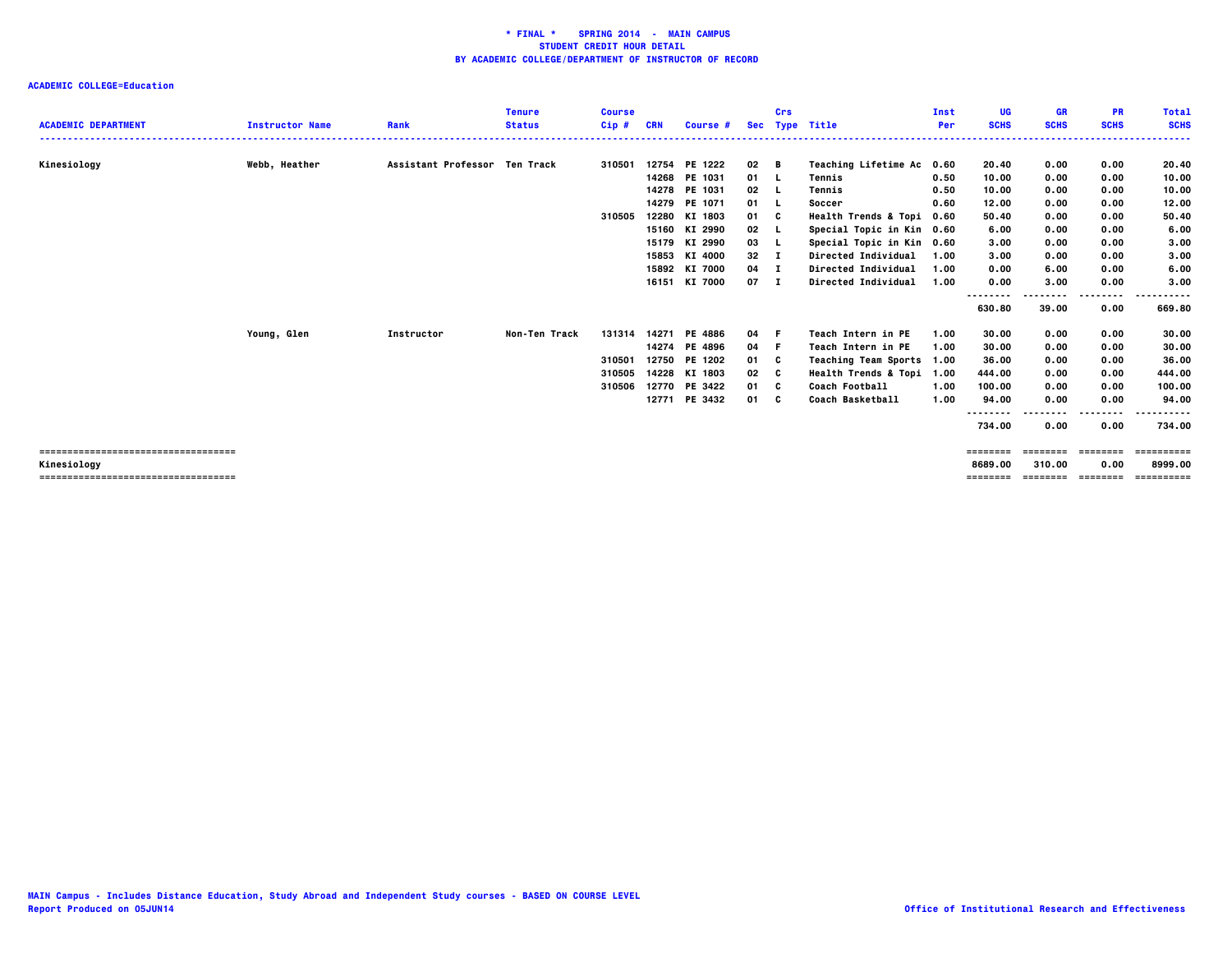| <b>ACADEMIC DEPARTMENT</b>           | <b>Instructor Name</b> | Rank                          | <b>Tenure</b><br><b>Status</b> | <b>Course</b><br>$Cip$ # | CRN | Course #      | <b>Sec</b>   | Crs | <b>Type Title</b>               | Inst<br>Per | UG<br><b>SCHS</b>  | GR<br><b>SCHS</b> | <b>PR</b><br><b>SCHS</b> | <b>Total</b><br><b>SCHS</b> |
|--------------------------------------|------------------------|-------------------------------|--------------------------------|--------------------------|-----|---------------|--------------|-----|---------------------------------|-------------|--------------------|-------------------|--------------------------|-----------------------------|
|                                      |                        |                               |                                |                          |     |               |              |     |                                 |             |                    |                   |                          | ------                      |
| Kinesiology                          | Webb, Heather          | Assistant Professor Ten Track |                                | 310501                   |     | 12754 PE 1222 | $02$ B       |     | <b>Teaching Lifetime Ac</b>     | 0.60        | 20.40              | 0.00              | 0.00                     | 20.40                       |
|                                      |                        |                               |                                |                          |     | 14268 PE 1031 | 01 L         |     | Tennis                          | 0.50        | 10.00              | 0.00              | 0.00                     | 10.00                       |
|                                      |                        |                               |                                |                          |     | 14278 PE 1031 | $02 \quad L$ |     | Tennis                          | 0.50        | 10.00              | 0.00              | 0.00                     | 10.00                       |
|                                      |                        |                               |                                |                          |     | 14279 PE 1071 | 01 L         |     | Soccer                          | 0.60        | 12.00              | 0.00              | 0.00                     | 12.00                       |
|                                      |                        |                               |                                | 310505                   |     | 12280 KI 1803 | 01           | - C | <b>Health Trends &amp; Topi</b> | 0.60        | 50.40              | 0.00              | 0.00                     | 50.40                       |
|                                      |                        |                               |                                |                          |     | 15160 KI 2990 | 02           |     | Special Topic in Kin 0.60       |             | 6.00               | 0.00              | 0.00                     | 6.00                        |
|                                      |                        |                               |                                |                          |     | 15179 KI 2990 | 03           | - L | Special Topic in Kin 0.60       |             | 3.00               | 0.00              | 0.00                     | 3.00                        |
|                                      |                        |                               |                                |                          |     | 15853 KI 4000 | 32           | - 1 | Directed Individual             | 1.00        | 3.00               | 0.00              | 0.00                     | 3.00                        |
|                                      |                        |                               |                                |                          |     | 15892 KI 7000 | $04$ I       |     | Directed Individual             | 1.00        | 0.00               | 6.00              | 0.00                     | 6.00                        |
|                                      |                        |                               |                                |                          |     | 16151 KI 7000 | 07 I         |     | Directed Individual             | 1.00        | 0.00               | 3.00              | 0.00<br>.                | 3.00                        |
|                                      |                        |                               |                                |                          |     |               |              |     |                                 |             | --------<br>630.80 | 39.00             | 0.00                     | 669.80                      |
|                                      | Young, Glen            | <b>Instructor</b>             | Non-Ten Track                  | 131314                   |     | 14271 PE 4886 | 04           | - F | Teach Intern in PE              | 1.00        | 30.00              | 0.00              | 0.00                     | 30.00                       |
|                                      |                        |                               |                                |                          |     | 14274 PE 4896 | 04 F         |     | Teach Intern in PE              | 1.00        | 30.00              | 0.00              | 0.00                     | 30.00                       |
|                                      |                        |                               |                                | 310501                   |     | 12750 PE 1202 | 01 C         |     | Teaching Team Sports 1.00       |             | 36.00              | 0.00              | 0.00                     | 36.00                       |
|                                      |                        |                               |                                | 310505                   |     | 14228 KI 1803 | 02           | C   | Health Trends & Topi 1.00       |             | 444.00             | 0.00              | 0.00                     | 444.00                      |
|                                      |                        |                               |                                | 310506                   |     | 12770 PE 3422 | 01           | - C | Coach Football                  | 1.00        | 100.00             | 0.00              | 0.00                     | 100.00                      |
|                                      |                        |                               |                                |                          |     | 12771 PE 3432 | 01 C         |     | Coach Basketball                | 1.00        | 94.00              | 0.00              | 0.00                     | 94.00                       |
|                                      |                        |                               |                                |                          |     |               |              |     |                                 |             | --------           |                   | ----                     |                             |
|                                      |                        |                               |                                |                          |     |               |              |     |                                 |             | 734.00             | 0.00              | 0.00                     | 734.00                      |
| ==================================== |                        |                               |                                |                          |     |               |              |     |                                 |             | ========           | ========          | ========                 | ==========                  |
| Kinesiology                          |                        |                               |                                |                          |     |               |              |     |                                 |             | 8689.00            | 310.00            | 0.00                     | 8999.00                     |
| ==================================== |                        |                               |                                |                          |     |               |              |     |                                 |             | ========           | ========          | ========                 | ==========                  |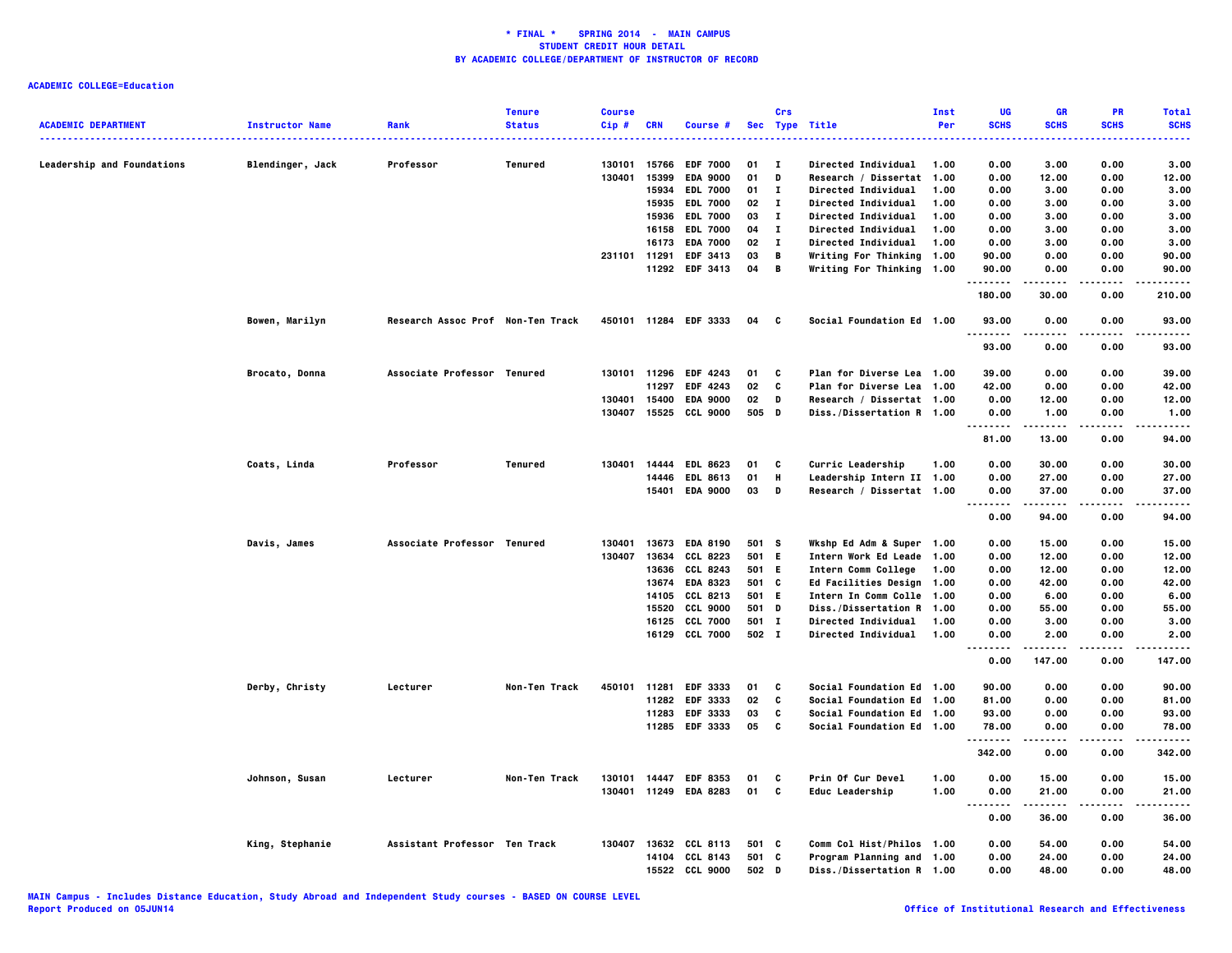|                                   |                        |                                   | <b>Tenure</b>  | <b>Course</b> |                |                             |          | Crs               |                                                        | Inst | UG                                | GR           | PR            | <b>Total</b>       |
|-----------------------------------|------------------------|-----------------------------------|----------------|---------------|----------------|-----------------------------|----------|-------------------|--------------------------------------------------------|------|-----------------------------------|--------------|---------------|--------------------|
| <b>ACADEMIC DEPARTMENT</b>        | <b>Instructor Name</b> | Rank                              | <b>Status</b>  | Cip#          | <b>CRN</b>     | Course #                    |          |                   | Sec Type Title                                         | Per  | <b>SCHS</b>                       | <b>SCHS</b>  | <b>SCHS</b>   | <b>SCHS</b>        |
|                                   |                        |                                   |                |               |                |                             |          |                   |                                                        |      |                                   |              |               |                    |
| <b>Leadership and Foundations</b> | Blendinger, Jack       | Professor                         | Tenured        | 130101        | 15766          | <b>EDF 7000</b>             | 01       | $\mathbf{I}$      | <b>Directed Individual</b>                             | 1.00 | 0.00                              | 3.00         | 0.00          | 3.00               |
|                                   |                        |                                   |                | 130401        | 15399          | <b>EDA 9000</b>             | 01       | D                 | Research / Dissertat 1.00                              |      | 0.00                              | 12.00        | 0.00          | 12.00              |
|                                   |                        |                                   |                |               | 15934          | <b>EDL 7000</b>             | 01       | $\mathbf{I}$      | Directed Individual                                    | 1.00 | 0.00                              | 3.00         | 0.00          | 3.00               |
|                                   |                        |                                   |                |               | 15935          | <b>EDL 7000</b>             | 02       | $\mathbf{I}$      | Directed Individual                                    | 1.00 | 0.00                              | 3.00         | 0.00          | 3.00               |
|                                   |                        |                                   |                |               | 15936          | <b>EDL 7000</b>             | 03       | л.                | Directed Individual                                    | 1.00 | 0.00                              | 3.00         | 0.00          | 3.00               |
|                                   |                        |                                   |                |               | 16158          | <b>EDL 7000</b>             | 04       | л.                | <b>Directed Individual</b>                             | 1.00 | 0.00                              | 3.00         | 0.00          | 3.00               |
|                                   |                        |                                   |                | 231101        | 16173<br>11291 | <b>EDA 7000</b><br>EDF 3413 | 02<br>03 | $\mathbf{I}$<br>В | <b>Directed Individual</b>                             | 1.00 | 0.00<br>90.00                     | 3.00<br>0.00 | 0.00<br>0.00  | 3.00<br>90.00      |
|                                   |                        |                                   |                |               |                | 11292 EDF 3413              | 04       | В                 | Writing For Thinking 1.00<br>Writing For Thinking 1.00 |      | 90.00                             | 0.00         | 0.00          | 90.00              |
|                                   |                        |                                   |                |               |                |                             |          |                   |                                                        |      | .                                 |              |               |                    |
|                                   |                        |                                   |                |               |                |                             |          |                   |                                                        |      | 180.00                            | 30.00        | 0.00          | 210.00             |
|                                   | Bowen, Marilyn         | Research Assoc Prof Non-Ten Track |                |               |                | 450101 11284 EDF 3333       | 04       | $\mathbf{c}$      | Social Foundation Ed 1.00                              |      | 93.00<br><u>.</u>                 | 0.00         | 0.00          | 93.00              |
|                                   |                        |                                   |                |               |                |                             |          |                   |                                                        |      | 93.00                             | 0.00         | 0.00          | 93.00              |
|                                   | Brocato, Donna         | Associate Professor Tenured       |                |               |                | 130101 11296 EDF 4243       | 01       | c                 | Plan for Diverse Lea 1.00                              |      | 39.00                             | 0.00         | 0.00          | 39.00              |
|                                   |                        |                                   |                |               | 11297          | <b>EDF 4243</b>             | 02       | C                 | Plan for Diverse Lea 1.00                              |      | 42.00                             | 0.00         | 0.00          | 42.00              |
|                                   |                        |                                   |                | 130401        | 15400          | <b>EDA 9000</b>             | 02       | D                 | Research / Dissertat 1.00                              |      | 0.00                              | 12.00        | 0.00          | 12.00              |
|                                   |                        |                                   |                | 130407        | 15525          | <b>CCL 9000</b>             | 505      | D                 | Diss./Dissertation R 1.00                              |      | 0.00                              | 1.00         | 0.00          | 1.00               |
|                                   |                        |                                   |                |               |                |                             |          |                   |                                                        |      | .<br><br>81.00                    | 13.00        | 0.00          | $- - - -$<br>94.00 |
|                                   |                        |                                   |                |               |                |                             |          |                   |                                                        |      |                                   |              |               |                    |
|                                   | Coats, Linda           | Professor                         | <b>Tenured</b> | 130401        | 14444          | <b>EDL 8623</b>             | 01       | c                 | Curric Leadership                                      | 1.00 | 0.00                              | 30.00        | 0.00          | 30.00              |
|                                   |                        |                                   |                |               | 14446          | EDL 8613                    | 01       | н                 | Leadership Intern II 1.00                              |      | 0.00                              | 27.00        | 0.00          | 27.00              |
|                                   |                        |                                   |                |               |                | 15401 EDA 9000              | 03       | D                 | Research / Dissertat 1.00                              |      | 0.00                              | 37.00        | 0.00          | 37.00              |
|                                   |                        |                                   |                |               |                |                             |          |                   |                                                        |      | <br>----<br>0.00                  | .<br>94.00   | .<br>0.00     | .<br>94.00         |
|                                   | Davis, James           | Associate Professor Tenured       |                | 130401        |                | 13673 EDA 8190              | 501 S    |                   | Wkshp Ed Adm & Super 1.00                              |      | 0.00                              | 15.00        | 0.00          | 15.00              |
|                                   |                        |                                   |                | 130407        | 13634          | CCL 8223                    | 501      | E.                | Intern Work Ed Leade 1.00                              |      | 0.00                              | 12.00        | 0.00          | 12.00              |
|                                   |                        |                                   |                |               | 13636          | CCL 8243                    | 501      | E.                | Intern Comm College                                    | 1.00 | 0.00                              | 12.00        | 0.00          | 12.00              |
|                                   |                        |                                   |                |               |                | 13674 EDA 8323              | 501      | C                 | <b>Ed Facilities Design</b>                            | 1.00 | 0.00                              | 42.00        | 0.00          | 42.00              |
|                                   |                        |                                   |                |               | 14105          | CCL 8213                    | 501 E    |                   | Intern In Comm Colle 1.00                              |      | 0.00                              | 6.00         | 0.00          | 6.00               |
|                                   |                        |                                   |                |               | 15520          | <b>CCL 9000</b>             | 501      | D                 | Diss./Dissertation R 1.00                              |      | 0.00                              | 55.00        | 0.00          | 55.00              |
|                                   |                        |                                   |                |               | 16125          | <b>CCL 7000</b>             | 501 I    |                   | <b>Directed Individual</b>                             | 1.00 | 0.00                              | 3.00         | 0.00          | 3.00               |
|                                   |                        |                                   |                |               |                | 16129 CCL 7000              | 502 I    |                   | <b>Directed Individual</b>                             | 1.00 | 0.00                              | 2.00         | 0.00          | 2.00               |
|                                   |                        |                                   |                |               |                |                             |          |                   |                                                        |      | 0.00                              | 147.00       | 0.00          | 147.00             |
|                                   | Derby, Christy         | Lecturer                          | Non-Ten Track  | 450101        | 11281          | EDF 3333                    | 01       | C                 | Social Foundation Ed 1.00                              |      | 90.00                             | 0.00         | 0.00          | 90.00              |
|                                   |                        |                                   |                |               |                | 11282 EDF 3333              | 02       | C                 | Social Foundation Ed 1.00                              |      | 81.00                             | 0.00         | 0.00          | 81.00              |
|                                   |                        |                                   |                |               | 11283          | EDF 3333                    | 03       | C                 | Social Foundation Ed 1.00                              |      | 93.00                             | 0.00         | 0.00          | 93.00              |
|                                   |                        |                                   |                |               |                | 11285 EDF 3333              | 05       | C                 | Social Foundation Ed 1.00                              |      | 78.00                             | 0.00         | 0.00          | 78.00              |
|                                   |                        |                                   |                |               |                |                             |          |                   |                                                        |      | .                                 | .            | .             | .                  |
|                                   |                        |                                   |                |               |                |                             |          |                   |                                                        |      | 342.00                            | 0.00         | 0.00          | 342.00             |
|                                   | Johnson, Susan         | Lecturer                          | Non-Ten Track  |               |                | 130101 14447 EDF 8353       | 01       | C                 | Prin Of Cur Devel                                      | 1.00 | 0.00                              | 15.00        | 0.00          | 15.00              |
|                                   |                        |                                   |                |               |                | 130401 11249 EDA 8283       | 01       | C                 | Educ Leadership                                        | 1.00 | 0.00<br>$\sim$ $\sim$ $\sim$<br>. | 21.00<br>.   | 0.00<br>----- | 21.00<br>.         |
|                                   |                        |                                   |                |               |                |                             |          |                   |                                                        |      | 0.00                              | 36.00        | 0.00          | 36.00              |
|                                   | King, Stephanie        | Assistant Professor Ten Track     |                | 130407        |                | 13632 CCL 8113              | 501 C    |                   | Comm Col Hist/Philos 1.00                              |      | 0.00                              | 54.00        | 0.00          | 54.00              |
|                                   |                        |                                   |                |               | 14104          | CCL 8143                    | 501 C    |                   | Program Planning and 1.00                              |      | 0.00                              | 24.00        | 0.00          | 24.00              |
|                                   |                        |                                   |                |               |                | 15522 CCL 9000              | 502 D    |                   | Diss./Dissertation R 1.00                              |      | 0.00                              | 48.00        | 0.00          | 48.00              |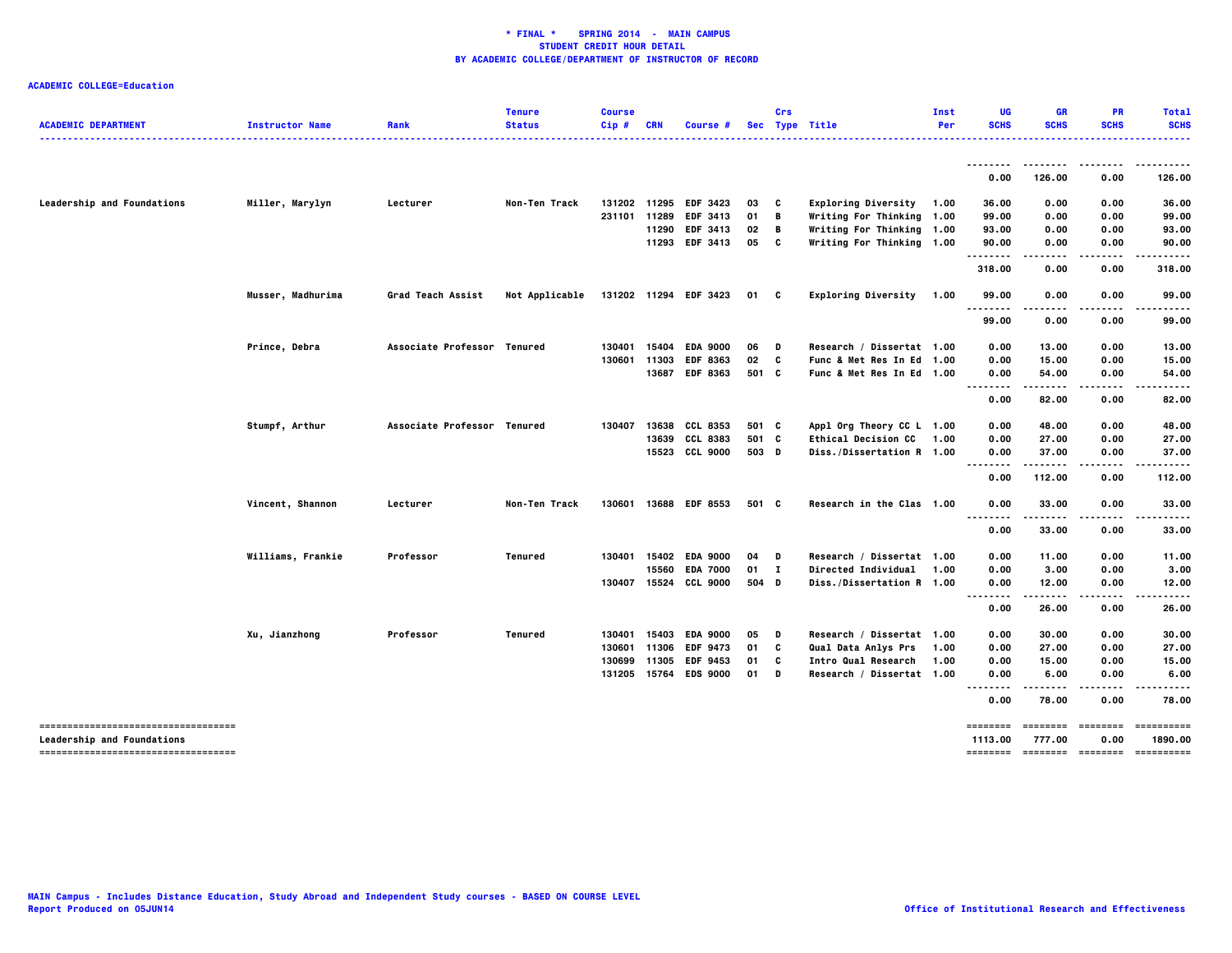| <b>ACADEMIC DEPARTMENT</b>                                               | <b>Instructor Name</b> | Rank                        | <b>Tenure</b><br><b>Status</b> | <b>Course</b><br>Cip# | <b>CRN</b> | Course #              |        | Crs | Sec Type Title             | Inst<br>Per | UG<br><b>SCHS</b>              | <b>GR</b><br><b>SCHS</b> | <b>PR</b><br><b>SCHS</b> | <b>Total</b><br><b>SCHS</b> |
|--------------------------------------------------------------------------|------------------------|-----------------------------|--------------------------------|-----------------------|------------|-----------------------|--------|-----|----------------------------|-------------|--------------------------------|--------------------------|--------------------------|-----------------------------|
|                                                                          |                        |                             |                                |                       |            |                       |        |     |                            |             |                                | .                        |                          |                             |
|                                                                          |                        |                             |                                |                       |            |                       |        |     |                            |             | 0.00                           | 126.00                   | 0.00                     | 126.00                      |
| Leadership and Foundations                                               | Miller, Marylyn        | Lecturer                    | Non-Ten Track                  |                       |            | 131202 11295 EDF 3423 | 03     | C   | Exploring Diversity 1.00   |             | 36.00                          | 0.00                     | 0.00                     | 36.00                       |
|                                                                          |                        |                             |                                | 231101                | 11289      | <b>EDF 3413</b>       | 01     | B   | Writing For Thinking 1.00  |             | 99.00                          | 0.00                     | 0.00                     | 99.00                       |
|                                                                          |                        |                             |                                |                       |            | 11290 EDF 3413        | 02     | B   | Writing For Thinking 1.00  |             | 93.00                          | 0.00                     | 0.00                     | 93.00                       |
|                                                                          |                        |                             |                                |                       |            | 11293 EDF 3413        | 05     | C   | Writing For Thinking 1.00  |             | 90.00<br>.                     | 0.00                     | 0.00                     | 90.00                       |
|                                                                          |                        |                             |                                |                       |            |                       |        |     |                            |             | 318.00                         | ----<br>0.00             | 0.00                     | 318.00                      |
|                                                                          | Musser, Madhurima      | Grad Teach Assist           | Not Applicable                 |                       |            | 131202 11294 EDF 3423 | 01 C   |     | Exploring Diversity 1.00   |             | 99.00                          | 0.00                     | 0.00                     | 99.00                       |
|                                                                          |                        |                             |                                |                       |            |                       |        |     |                            |             | 99.00                          | 0.00                     | 0.00                     | 99.00                       |
|                                                                          | Prince, Debra          | Associate Professor Tenured |                                | 130401                | 15404      | <b>EDA 9000</b>       | 06     | D   | Research / Dissertat 1.00  |             | 0.00                           | 13.00                    | 0.00                     | 13.00                       |
|                                                                          |                        |                             |                                | 130601                | 11303      | <b>EDF 8363</b>       | 02     | C   | Func & Met Res In Ed 1.00  |             | 0.00                           | 15.00                    | 0.00                     | 15.00                       |
|                                                                          |                        |                             |                                |                       | 13687      | <b>EDF 8363</b>       | 501 C  |     | Func & Met Res In Ed 1.00  |             | 0.00                           | 54.00                    | 0.00                     | 54.00                       |
|                                                                          |                        |                             |                                |                       |            |                       |        |     |                            |             | $\sim$ $\sim$<br>-----<br>0.00 | .<br>82.00               | 0.00                     | .<br>82.00                  |
|                                                                          | Stumpf, Arthur         | Associate Professor Tenured |                                | 130407                | 13638      | CCL 8353              | 501 C  |     | Appl Org Theory CC L 1.00  |             | 0.00                           | 48.00                    | 0.00                     | 48.00                       |
|                                                                          |                        |                             |                                |                       | 13639      | <b>CCL 8383</b>       | 501 C  |     | <b>Ethical Decision CC</b> | 1.00        | 0.00                           | 27.00                    | 0.00                     | 27.00                       |
|                                                                          |                        |                             |                                |                       | 15523      | <b>CCL 9000</b>       | 503 D  |     | Diss./Dissertation R 1.00  |             | 0.00                           | 37.00                    | 0.00                     | 37.00                       |
|                                                                          |                        |                             |                                |                       |            |                       |        |     |                            |             | $\sim$ $\sim$<br>0.00          | 112.00                   | 0.00                     | 112.00                      |
|                                                                          | Vincent, Shannon       | Lecturer                    | Non-Ten Track                  | 130601 13688          |            | <b>EDF 8553</b>       | 501 C  |     | Research in the Clas 1.00  |             | 0.00                           | 33.00                    | 0.00                     | 33.00                       |
|                                                                          |                        |                             |                                |                       |            |                       |        |     |                            |             | $\sim$ $\sim$<br>0.00          | 33.00                    | 0.00                     | 33.00                       |
|                                                                          | Williams, Frankie      | Professor                   | <b>Tenured</b>                 | 130401                | 15402      | <b>EDA 9000</b>       | 04     | D   | Research / Dissertat 1.00  |             | 0.00                           | 11.00                    | 0.00                     | 11.00                       |
|                                                                          |                        |                             |                                |                       | 15560      | <b>EDA 7000</b>       | $01$ I |     | <b>Directed Individual</b> | 1.00        | 0.00                           | 3.00                     | 0.00                     | 3.00                        |
|                                                                          |                        |                             |                                |                       |            | 130407 15524 CCL 9000 | 504 D  |     | Diss./Dissertation R 1.00  |             | 0.00                           | 12.00                    | 0.00                     | 12.00                       |
|                                                                          |                        |                             |                                |                       |            |                       |        |     |                            |             | $\sim$ $\sim$<br>.<br>0.00     | 26.00                    | 0.00                     | 26.00                       |
|                                                                          | Xu, Jianzhong          | Professor                   | Tenured                        | 130401                | 15403      | <b>EDA 9000</b>       | 05     | D   | Research / Dissertat 1.00  |             | 0.00                           | 30.00                    | 0.00                     | 30.00                       |
|                                                                          |                        |                             |                                | 130601                | 11306      | <b>EDF 9473</b>       | 01     | C   | Qual Data Anlys Prs        | 1.00        | 0.00                           | 27.00                    | 0.00                     | 27.00                       |
|                                                                          |                        |                             |                                | 130699                | 11305      | <b>EDF 9453</b>       | 01     | C   | Intro Qual Research        | 1.00        | 0.00                           | 15.00                    | 0.00                     | 15.00                       |
|                                                                          |                        |                             |                                | 131205 15764          |            | <b>EDS 9000</b>       | 01     | D   | Research / Dissertat 1.00  |             | 0.00                           | 6.00                     | 0.00                     | 6.00                        |
|                                                                          |                        |                             |                                |                       |            |                       |        |     |                            |             | --------<br>0.00               | .<br>78.00               | .<br>0.00                | 78.00                       |
| -----------------------------------<br><b>Leadership and Foundations</b> |                        |                             |                                |                       |            |                       |        |     |                            |             | $=$ = = = = = = =<br>1113.00   | ========<br>777.00       | ========<br>0.00         | ==========<br>1890.00       |
| -----------------------------------                                      |                        |                             |                                |                       |            |                       |        |     |                            |             | <b>EEEEEEEE</b>                | <b>EEEEEEEE</b>          | ========                 | ==========                  |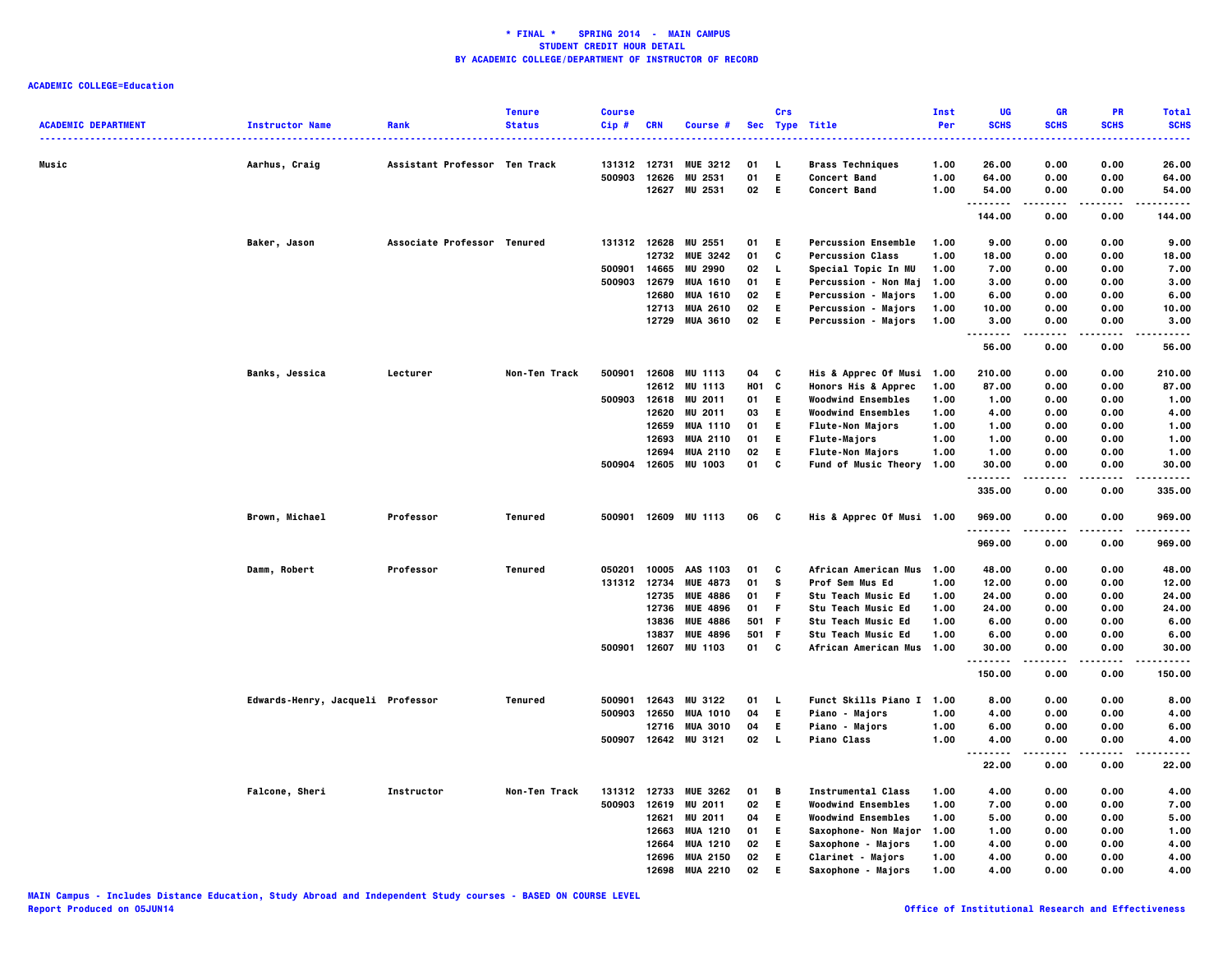|                            |                                   |                               | <b>Tenure</b> | <b>Course</b> |              |                      |            | Crs          |                            | Inst | UG                   | <b>GR</b>     | <b>PR</b>   | <b>Total</b>      |
|----------------------------|-----------------------------------|-------------------------------|---------------|---------------|--------------|----------------------|------------|--------------|----------------------------|------|----------------------|---------------|-------------|-------------------|
| <b>ACADEMIC DEPARTMENT</b> | <b>Instructor Name</b>            | Rank                          | <b>Status</b> | $Cip$ #       | <b>CRN</b>   | Course #             |            |              | Sec Type Title             | Per  | <b>SCHS</b>          | <b>SCHS</b>   | <b>SCHS</b> | <b>SCHS</b>       |
|                            |                                   |                               |               |               |              |                      |            |              |                            |      |                      |               |             |                   |
| Music                      | Aarhus, Craig                     | Assistant Professor Ten Track |               | 131312 12731  |              | <b>MUE 3212</b>      | 01         | L.           | <b>Brass Techniques</b>    | 1.00 | 26.00                | 0.00          | 0.00        | 26.00             |
|                            |                                   |                               |               | 500903        | 12626        | 2531<br>MU           | 01         | E.           | Concert Band               | 1.00 | 64.00                | 0.00          | 0.00        | 64.00             |
|                            |                                   |                               |               |               | 12627        | MU 2531              | 02         | - E          | Concert Band               | 1.00 | 54.00                | 0.00          | 0.00        | 54.00             |
|                            |                                   |                               |               |               |              |                      |            |              |                            |      | .<br>144.00          | 0.00          | 0.00        | 144.00            |
|                            | Baker, Jason                      | Associate Professor Tenured   |               |               | 131312 12628 | MU 2551              | 01         | E.           | <b>Percussion Ensemble</b> | 1.00 | 9.00                 | 0.00          | 0.00        | 9.00              |
|                            |                                   |                               |               |               |              | 12732 MUE 3242       | 01         | C            | <b>Percussion Class</b>    | 1.00 | 18.00                | 0.00          | 0.00        | 18.00             |
|                            |                                   |                               |               | 500901        | 14665        | <b>MU 2990</b>       | 02         | п.           | Special Topic In MU        | 1.00 | 7.00                 | 0.00          | 0.00        | 7.00              |
|                            |                                   |                               |               | 500903        | 12679        | <b>MUA 1610</b>      | 01         | E.           | Percussion - Non Maj       | 1.00 | 3.00                 | 0.00          | 0.00        | 3.00              |
|                            |                                   |                               |               |               | 12680        | <b>MUA 1610</b>      | 02         | E.           | <b>Percussion - Majors</b> | 1.00 | 6.00                 | 0.00          | 0.00        | 6.00              |
|                            |                                   |                               |               |               | 12713        | <b>MUA 2610</b>      | 02         | Е            | Percussion - Majors        | 1.00 | 10.00                | 0.00          | 0.00        | 10.00             |
|                            |                                   |                               |               |               |              | 12729 MUA 3610       | 02         | E.           | Percussion - Majors        | 1.00 | 3.00                 | 0.00          | 0.00        | 3.00              |
|                            |                                   |                               |               |               |              |                      |            |              |                            |      | .<br>56.00           | 0.00          | 0.00        | .<br>56.00        |
|                            | Banks, Jessica                    | Lecturer                      | Non-Ten Track | 500901        | 12608        | <b>MU 1113</b>       | 04         | C            | His & Apprec Of Musi 1.00  |      | 210.00               | 0.00          | 0.00        | 210.00            |
|                            |                                   |                               |               |               | 12612        | <b>MU 1113</b>       | <b>HO1</b> | C            | Honors His & Apprec        | 1.00 | 87.00                | 0.00          | 0.00        | 87.00             |
|                            |                                   |                               |               | 500903 12618  |              | MU 2011              | 01         | E.           | <b>Woodwind Ensembles</b>  | 1.00 | 1.00                 | 0.00          | 0.00        | 1.00              |
|                            |                                   |                               |               |               | 12620        | MU 2011              | 03         | E.           | <b>Woodwind Ensembles</b>  | 1.00 | 4.00                 | 0.00          | 0.00        | 4.00              |
|                            |                                   |                               |               |               | 12659        | <b>MUA 1110</b>      | 01         | E.           | <b>Flute-Non Majors</b>    | 1.00 | 1.00                 | 0.00          | 0.00        | 1.00              |
|                            |                                   |                               |               |               |              | <b>MUA 2110</b>      | 01         | E.           | Flute-Majors               | 1.00 | 1.00                 | 0.00          | 0.00        | 1.00              |
|                            |                                   |                               |               |               | 12693        |                      |            |              |                            | 1.00 |                      |               |             |                   |
|                            |                                   |                               |               |               | 12694        | <b>MUA 2110</b>      | 02         | Е            | <b>Flute-Non Majors</b>    |      | 1.00                 | 0.00          | 0.00        | 1.00              |
|                            |                                   |                               |               | 500904        |              | 12605 MU 1003        | 01         | C            | Fund of Music Theory 1.00  |      | 30.00<br>. <b>.</b>  | 0.00          | 0.00        | 30.00             |
|                            |                                   |                               |               |               |              |                      |            |              |                            |      | 335.00               | 0.00          | 0.00        | 335.00            |
|                            | Brown, Michael                    | Professor                     | Tenured       |               |              | 500901 12609 MU 1113 | 06         | C            | His & Apprec Of Musi 1.00  |      | 969.00<br>. <b>.</b> | 0.00          | 0.00        | 969.00            |
|                            |                                   |                               |               |               |              |                      |            |              |                            |      | 969.00               | 0.00          | 0.00        | 969.00            |
|                            | Damm, Robert                      | Professor                     | Tenured       | 050201        | 10005        | AAS 1103             | 01         | C            | African American Mus 1.00  |      | 48.00                | 0.00          | 0.00        | 48.00             |
|                            |                                   |                               |               | 131312 12734  |              | <b>MUE 4873</b>      | 01         | s            | Prof Sem Mus Ed            | 1.00 | 12.00                | 0.00          | 0.00        | 12.00             |
|                            |                                   |                               |               |               | 12735        | <b>MUE 4886</b>      | 01         | F.           | <b>Stu Teach Music Ed</b>  | 1.00 | 24.00                | 0.00          | 0.00        | 24.00             |
|                            |                                   |                               |               |               | 12736        | <b>MUE 4896</b>      | 01         | F.           | <b>Stu Teach Music Ed</b>  | 1.00 | 24.00                | 0.00          | 0.00        | 24.00             |
|                            |                                   |                               |               |               | 13836        | <b>MUE 4886</b>      | 501 F      |              | <b>Stu Teach Music Ed</b>  | 1.00 | 6.00                 | 0.00          | 0.00        | 6.00              |
|                            |                                   |                               |               |               | 13837        | <b>MUE 4896</b>      | 501 F      |              | <b>Stu Teach Music Ed</b>  | 1.00 | 6.00                 | 0.00          | 0.00        | 6.00              |
|                            |                                   |                               |               | 500901        | 12607        | MU 1103              | 01         | C            | African American Mus       | 1.00 | 30.00                | 0.00          | 0.00        | 30.00             |
|                            |                                   |                               |               |               |              |                      |            |              |                            |      | .<br>150.00          | .<br>0.00     | .<br>0.00   | .<br>150.00       |
|                            | Edwards-Henry, Jacqueli Professor |                               | Tenured       | 500901        | 12643        | MU 3122              | 01         | L.           | Funct Skills Piano I 1.00  |      | 8.00                 | 0.00          | 0.00        | 8.00              |
|                            |                                   |                               |               | 500903        | 12650        | <b>MUA 1010</b>      | 04         | E.           | <b>Piano - Majors</b>      | 1.00 | 4.00                 | 0.00          | 0.00        | 4.00              |
|                            |                                   |                               |               |               | 12716        |                      |            | E.           |                            | 1.00 |                      |               |             |                   |
|                            |                                   |                               |               |               |              | <b>MUA 3010</b>      | 04         | $\mathbf{L}$ | <b>Piano - Majors</b>      |      | 6.00                 | 0.00          | 0.00        | 6.00              |
|                            |                                   |                               |               | 500907 12642  |              | <b>MU 3121</b>       | 02         |              | <b>Piano Class</b>         | 1.00 | 4.00<br>.            | 0.00<br>----- | 0.00<br>.   | 4.00<br>$- - - -$ |
|                            |                                   |                               |               |               |              |                      |            |              |                            |      | 22.00                | 0.00          | 0.00        | 22.00             |
|                            | Falcone, Sheri                    | Instructor                    | Non-Ten Track | 131312        | 12733        | <b>MUE 3262</b>      | 01         | В            | <b>Instrumental Class</b>  | 1.00 | 4.00                 | 0.00          | 0.00        | 4.00              |
|                            |                                   |                               |               | 500903        | 12619        | MU 2011              | 02         | E.           | <b>Woodwind Ensembles</b>  | 1.00 | 7.00                 | 0.00          | 0.00        | 7.00              |
|                            |                                   |                               |               |               | 12621        | MU 2011              | 04         | E.           | <b>Woodwind Ensembles</b>  | 1.00 | 5.00                 | 0.00          | 0.00        | 5.00              |
|                            |                                   |                               |               |               | 12663        | <b>MUA 1210</b>      | 01         | Е            | Saxophone- Non Major       | 1.00 | 1.00                 | 0.00          | 0.00        | 1.00              |
|                            |                                   |                               |               |               | 12664        | <b>MUA 1210</b>      | 02         | E.           | Saxophone - Majors         | 1.00 | 4.00                 | 0.00          | 0.00        | 4.00              |
|                            |                                   |                               |               |               | 12696        | <b>MUA 2150</b>      | 02         | E.           | Clarinet - Majors          | 1.00 | 4.00                 | 0.00          | 0.00        | 4.00              |
|                            |                                   |                               |               |               | 12698        | <b>MUA 2210</b>      | 02         | E.           | Saxophone - Majors         | 1.00 | 4.00                 | 0.00          | 0.00        | 4.00              |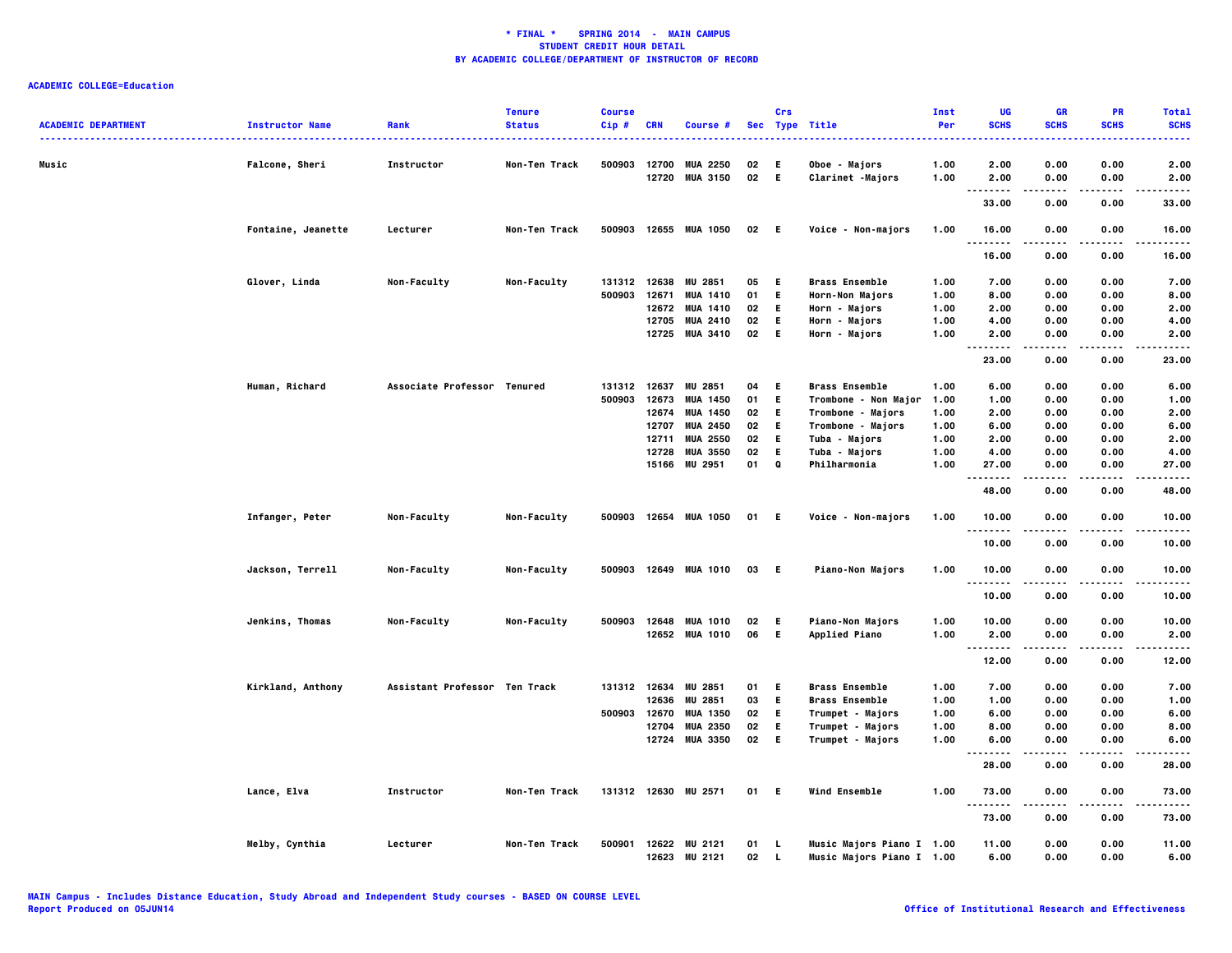| <b>ACADEMIC DEPARTMENT</b> | <b>Instructor Name</b> | Rank                          | <b>Tenure</b><br><b>Status</b> | <b>Course</b><br>Cip# | <b>CRN</b>     | Course #                           |          | Crs          | Sec Type Title                    | Inst<br>Per  | UG<br><b>SCHS</b>      | <b>GR</b><br><b>SCHS</b> | PR<br><b>SCHS</b> | <b>Total</b><br><b>SCHS</b> |
|----------------------------|------------------------|-------------------------------|--------------------------------|-----------------------|----------------|------------------------------------|----------|--------------|-----------------------------------|--------------|------------------------|--------------------------|-------------------|-----------------------------|
|                            |                        |                               |                                |                       |                |                                    |          |              |                                   |              |                        |                          |                   |                             |
| Music                      | <b>Falcone, Sheri</b>  | Instructor                    | Non-Ten Track                  | 500903                | 12700<br>12720 | <b>MUA 2250</b><br><b>MUA 3150</b> | 02<br>02 | - E<br>E     | Oboe - Majors<br>Clarinet -Majors | 1.00<br>1.00 | 2.00<br>2.00           | 0.00<br>0.00             | 0.00<br>0.00      | 2.00<br>2.00                |
|                            |                        |                               |                                |                       |                |                                    |          |              |                                   |              | ----<br>.              | .                        | $- - - -$         |                             |
|                            |                        |                               |                                |                       |                |                                    |          |              |                                   |              | 33.00                  | 0.00                     | 0.00              | 33.00                       |
|                            | Fontaine, Jeanette     | Lecturer                      | Non-Ten Track                  |                       |                | 500903 12655 MUA 1050              | 02 E     |              | Voice - Non-majors                | 1.00         | 16.00<br>.             | 0.00<br>$- - - -$        | 0.00<br>.         | 16.00                       |
|                            |                        |                               |                                |                       |                |                                    |          |              |                                   |              | 16.00                  | 0.00                     | 0.00              | 16.00                       |
|                            | Glover, Linda          | Non-Faculty                   | Non-Faculty                    |                       |                | 131312 12638 MU 2851               | 05       | - E 1        | <b>Brass Ensemble</b>             | 1.00         | 7.00                   | 0.00                     | 0.00              | 7.00                        |
|                            |                        |                               |                                | 500903                | 12671          | <b>MUA 1410</b>                    | 01       | Е.           | Horn-Non Majors                   | 1.00         | 8.00                   | 0.00                     | 0.00              | 8.00                        |
|                            |                        |                               |                                |                       |                | 12672 MUA 1410                     | 02       | E.           | Horn - Majors                     | 1.00         | 2.00                   | 0.00                     | 0.00              | 2.00                        |
|                            |                        |                               |                                |                       |                | 12705 MUA 2410                     | 02       | E.           | Horn - Majors                     | 1.00         | 4.00                   | 0.00                     | 0.00              | 4.00                        |
|                            |                        |                               |                                |                       |                | 12725 MUA 3410                     | 02       | - E          | Horn - Majors                     | 1.00         | 2.00<br>.<br>.         | 0.00<br>$\cdots$         | 0.00<br>.         | 2.00<br>$- - - -$           |
|                            |                        |                               |                                |                       |                |                                    |          |              |                                   |              | 23.00                  | 0.00                     | 0.00              | 23.00                       |
|                            | Human, Richard         | Associate Professor Tenured   |                                | 131312 12637          |                | <b>MU 2851</b>                     | 04       | E.           | <b>Brass Ensemble</b>             | 1.00         | 6.00                   | 0.00                     | 0.00              | 6.00                        |
|                            |                        |                               |                                | 500903                | 12673          | <b>MUA 1450</b>                    | 01       | E            | Trombone - Non Major              | 1.00         | 1.00                   | 0.00                     | 0.00              | 1.00                        |
|                            |                        |                               |                                |                       |                | 12674 MUA 1450                     | 02       | E.           | Trombone - Majors                 | 1.00         | 2.00                   | 0.00                     | 0.00              | 2.00                        |
|                            |                        |                               |                                |                       | 12707          | <b>MUA 2450</b>                    | 02       | E.           | Trombone - Majors                 | 1.00         | 6.00                   | 0.00                     | 0.00              | 6.00                        |
|                            |                        |                               |                                |                       | 12711          | <b>MUA 2550</b>                    | 02       | E.           | Tuba - Majors                     | 1.00         | 2.00                   | 0.00                     | 0.00              | 2.00                        |
|                            |                        |                               |                                |                       | 12728          | <b>MUA 3550</b>                    | 02       | E            | Tuba - Majors                     | 1.00         | 4.00                   | 0.00                     | 0.00              | 4.00                        |
|                            |                        |                               |                                |                       |                | 15166 MU 2951                      | 01       | $\bf{Q}$     | Philharmonia                      | 1.00         | 27.00<br>              | 0.00                     | 0.00<br>$- - - -$ | 27.00<br>.                  |
|                            |                        |                               |                                |                       |                |                                    |          |              |                                   |              | 48.00                  | 0.00                     | 0.00              | 48.00                       |
|                            | Infanger, Peter        | Non-Faculty                   | Non-Faculty                    |                       |                | 500903 12654 MUA 1050              | 01 E     |              | Voice - Non-majors                | 1.00         | 10.00<br>.             | 0.00<br>$- - -$          | 0.00<br>$- - - -$ | 10.00<br>.                  |
|                            |                        |                               |                                |                       |                |                                    |          |              |                                   |              | 10.00                  | 0.00                     | 0.00              | 10.00                       |
|                            | Jackson, Terrell       | Non-Faculty                   | Non-Faculty                    |                       |                | 500903 12649 MUA 1010              | 03 E     |              | <b>Piano-Non Majors</b>           | 1.00         | 10.00<br>.             | 0.00                     | 0.00              | 10.00                       |
|                            |                        |                               |                                |                       |                |                                    |          |              |                                   |              | 10.00                  | 0.00                     | 0.00              | 10.00                       |
|                            | Jenkins, Thomas        | Non-Faculty                   | Non-Faculty                    |                       |                | 500903 12648 MUA 1010              | 02       | - E          | Piano-Non Majors                  | 1.00         | 10.00                  | 0.00                     | 0.00              | 10.00                       |
|                            |                        |                               |                                |                       |                | 12652 MUA 1010                     | 06       | - E          | Applied Piano                     | 1.00         | 2.00                   | 0.00                     | 0.00              | 2.00                        |
|                            |                        |                               |                                |                       |                |                                    |          |              |                                   |              | $\ddotsc$<br><br>12.00 | 0.00                     | 0.00              | 12.00                       |
|                            | Kirkland, Anthony      | Assistant Professor Ten Track |                                |                       |                | 131312 12634 MU 2851               | 01       | - E          | <b>Brass Ensemble</b>             | 1.00         | 7.00                   | 0.00                     | 0.00              | 7.00                        |
|                            |                        |                               |                                |                       | 12636          | <b>MU 2851</b>                     | 03       | E.           | <b>Brass Ensemble</b>             | 1.00         | 1.00                   | 0.00                     | 0.00              | 1.00                        |
|                            |                        |                               |                                | 500903                | 12670          | <b>MUA 1350</b>                    | 02       | E            | Trumpet - Majors                  | 1.00         | 6.00                   | 0.00                     | 0.00              | 6.00                        |
|                            |                        |                               |                                |                       | 12704          | <b>MUA 2350</b>                    | 02       | E.           | Trumpet - Majors                  | 1.00         | 8.00                   | 0.00                     | 0.00              | 8.00                        |
|                            |                        |                               |                                |                       |                | 12724 MUA 3350                     | 02       | E.           | Trumpet - Majors                  | 1.00         |                        | 0.00                     | 0.00              |                             |
|                            |                        |                               |                                |                       |                |                                    |          |              |                                   |              | 6.00<br>.<br>          | .                        | .                 | 6.00<br>.                   |
|                            |                        |                               |                                |                       |                |                                    |          |              |                                   |              | 28.00                  | 0.00                     | 0.00              | 28.00                       |
|                            | Lance, Elva            | Instructor                    | Non-Ten Track                  | 131312 12630          |                | <b>MU 2571</b>                     | 01       | - E          | Wind Ensemble                     | 1.00         | 73.00<br>-----<br>.    | 0.00<br>.                | 0.00<br>$- - - -$ | 73.00<br>.                  |
|                            |                        |                               |                                |                       |                |                                    |          |              |                                   |              | 73.00                  | 0.00                     | 0.00              | 73.00                       |
|                            | Melby, Cynthia         | Lecturer                      | Non-Ten Track                  | 500901                |                | 12622 MU 2121                      | 01       | L.           | Music Majors Piano I 1.00         |              | 11.00                  | 0.00                     | 0.00              | 11.00                       |
|                            |                        |                               |                                |                       |                | 12623 MU 2121                      | 02       | $\mathbf{L}$ | Music Majors Piano I 1.00         |              | 6.00                   | 0.00                     | 0.00              | 6.00                        |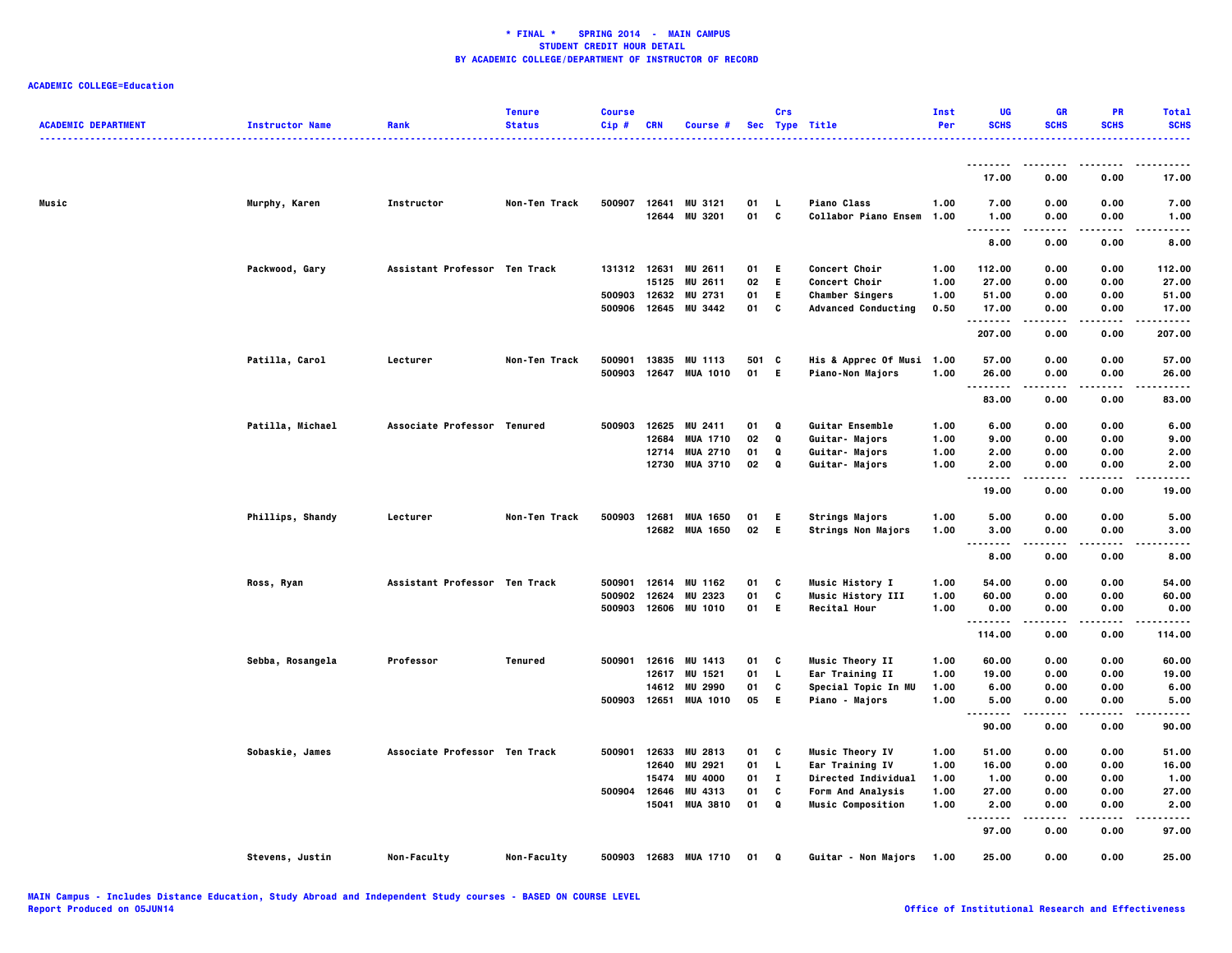| <b>ACADEMIC DEPARTMENT</b> | <b>Instructor Name</b> | Rank                          | <b>Tenure</b><br><b>Status</b> | <b>Course</b><br>Cip# | <b>CRN</b> | Course #                 |          | Crs           | Sec Type Title                                    | Inst<br>Per  | UG<br><b>SCHS</b>                 | <b>GR</b><br><b>SCHS</b> | PR<br><b>SCHS</b> | <b>Total</b><br><b>SCHS</b> |
|----------------------------|------------------------|-------------------------------|--------------------------------|-----------------------|------------|--------------------------|----------|---------------|---------------------------------------------------|--------------|-----------------------------------|--------------------------|-------------------|-----------------------------|
|                            |                        |                               |                                |                       |            |                          |          |               |                                                   |              | --------                          | ----                     |                   | .                           |
|                            |                        |                               |                                |                       |            |                          |          |               |                                                   |              | 17.00                             | 0.00                     | 0.00              | 17.00                       |
| Music                      | Murphy, Karen          | Instructor                    | Non-Ten Track                  | 500907                | 12641      | MU 3121<br>12644 MU 3201 | 01<br>01 | <b>L</b><br>c | <b>Piano Class</b><br><b>Collabor Piano Ensem</b> | 1.00<br>1.00 | 7.00<br>1.00                      | 0.00<br>0.00             | 0.00<br>0.00      | 7.00<br>1.00                |
|                            |                        |                               |                                |                       |            |                          |          |               |                                                   |              | .<br>8.00                         | .<br>0.00                | 0.00              | ----<br>8.00                |
|                            | Packwood, Gary         | Assistant Professor Ten Track |                                | 131312 12631          |            | MU 2611                  | 01       | E.            | Concert Choir                                     | 1.00         | 112.00                            | 0.00                     | 0.00              | 112.00                      |
|                            |                        |                               |                                |                       | 15125      | <b>MU 2611</b>           | 02       | E.            | <b>Concert Choir</b>                              | 1.00         | 27.00                             | 0.00                     | 0.00              | 27.00                       |
|                            |                        |                               |                                | 500903 12632          |            | <b>MU 2731</b>           | 01       | E.            | <b>Chamber Singers</b>                            | 1.00         | 51.00                             | 0.00                     | 0.00              | 51.00                       |
|                            |                        |                               |                                | 500906                | 12645      | MU 3442                  | 01       | C             | <b>Advanced Conducting</b>                        | 0.50         | 17.00<br>.                        | 0.00                     | 0.00              | 17.00                       |
|                            |                        |                               |                                |                       |            |                          |          |               |                                                   |              | 207.00                            | 0.00                     | 0.00              | 207.00                      |
|                            | Patilla, Carol         | Lecturer                      | Non-Ten Track                  | 500901                | 13835      | MU 1113                  | 501 C    |               | His & Apprec Of Musi 1.00                         |              | 57.00                             | 0.00                     | 0.00              | 57.00                       |
|                            |                        |                               |                                |                       |            | 500903 12647 MUA 1010    | 01 E     |               | <b>Piano-Non Majors</b>                           | 1.00         | 26.00<br>                         | 0.00<br>.                | 0.00<br>.         | 26.00<br>.                  |
|                            |                        |                               |                                |                       |            |                          |          |               |                                                   |              | 83.00                             | 0.00                     | 0.00              | 83.00                       |
|                            | Patilla, Michael       | Associate Professor Tenured   |                                | 500903 12625          |            | <b>MU 2411</b>           | 01       | Q             | <b>Guitar Ensemble</b>                            | 1.00         | 6.00                              | 0.00                     | 0.00              | 6.00                        |
|                            |                        |                               |                                |                       | 12684      | <b>MUA 1710</b>          | 02       | Q             | Guitar- Majors                                    | 1.00         | 9.00                              | 0.00                     | 0.00              | 9.00                        |
|                            |                        |                               |                                |                       | 12714      | <b>MUA 2710</b>          | 01       | Q             | <b>Guitar- Majors</b>                             | 1.00         | 2.00                              | 0.00                     | 0.00              | 2.00                        |
|                            |                        |                               |                                |                       |            | 12730 MUA 3710           | 02       | Q             | Guitar- Majors                                    | 1.00         | 2.00<br>.                         | 0.00                     | 0.00              | 2.00                        |
|                            |                        |                               |                                |                       |            |                          |          |               |                                                   |              | 19.00                             | 0.00                     | 0.00              | 19.00                       |
|                            | Phillips, Shandy       | Lecturer                      | Non-Ten Track                  | 500903                | 12681      | <b>MUA 1650</b>          | 01       | E.            | <b>Strings Majors</b>                             | 1.00         | 5.00                              | 0.00                     | 0.00              | 5.00                        |
|                            |                        |                               |                                |                       | 12682      | <b>MUA 1650</b>          | 02       | E.            | <b>Strings Non Majors</b>                         | 1.00         | 3.00<br>$\cdots$                  | 0.00                     | 0.00              | 3.00                        |
|                            |                        |                               |                                |                       |            |                          |          |               |                                                   |              | $\sim$ $\sim$<br>8.00             | 0.00                     | 0.00              | 8.00                        |
|                            | Ross, Ryan             | Assistant Professor Ten Track |                                | 500901                | 12614      | MU 1162                  | 01       | C             | <b>Music History I</b>                            | 1.00         | 54.00                             | 0.00                     | 0.00              | 54.00                       |
|                            |                        |                               |                                | 500902                | 12624      | MU 2323                  | 01       | C             | Music History III                                 | 1.00         | 60.00                             | 0.00                     | 0.00              | 60.00                       |
|                            |                        |                               |                                | 500903                |            | 12606 MU 1010            | 01       | E.            | <b>Recital Hour</b>                               | 1.00         | 0.00<br>--------                  | 0.00<br>.                | 0.00<br>.         | 0.00<br>.                   |
|                            |                        |                               |                                |                       |            |                          |          |               |                                                   |              | 114.00                            | 0.00                     | 0.00              | 114.00                      |
|                            | Sebba, Rosangela       | Professor                     | Tenured                        | 500901                | 12616      | MU 1413                  | 01       | C             | <b>Music Theory II</b>                            | 1.00         | 60.00                             | 0.00                     | 0.00              | 60.00                       |
|                            |                        |                               |                                |                       | 12617      | MU 1521                  | 01       | L.            | Ear Training II                                   | 1.00         | 19.00                             | 0.00                     | 0.00              | 19.00                       |
|                            |                        |                               |                                |                       | 14612      | MU 2990                  | 01       | c             | Special Topic In MU                               | 1.00         | 6.00                              | 0.00                     | 0.00              | 6.00                        |
|                            |                        |                               |                                |                       |            | 500903 12651 MUA 1010    | 05       | E.            | Piano - Majors                                    | 1.00         | 5.00<br>$\sim$ $\sim$ $\sim$<br>. | 0.00                     | 0.00              | 5.00                        |
|                            |                        |                               |                                |                       |            |                          |          |               |                                                   |              | 90.00                             | 0.00                     | 0.00              | 90.00                       |
|                            | Sobaskie, James        | Associate Professor Ten Track |                                | 500901                |            | 12633 MU 2813            | 01       | C             | Music Theory IV                                   | 1.00         | 51.00                             | 0.00                     | 0.00              | 51.00                       |
|                            |                        |                               |                                |                       | 12640      | MU 2921                  | 01       | L.            | Ear Training IV                                   | 1.00         | 16.00                             | 0.00                     | 0.00              | 16.00                       |
|                            |                        |                               |                                |                       | 15474      | <b>MU 4000</b>           | 01       | $\mathbf{I}$  | Directed Individual                               | 1.00         | 1.00                              | 0.00                     | 0.00              | 1.00                        |
|                            |                        |                               |                                | 500904                | 12646      | MU 4313                  | 01       | C             | <b>Form And Analysis</b>                          | 1.00         | 27.00                             | 0.00                     | 0.00              | 27.00                       |
|                            |                        |                               |                                |                       | 15041      | <b>MUA 3810</b>          | 01       | $\bf{Q}$      | <b>Music Composition</b>                          | 1.00         | 2.00<br>$- - - - -$               | 0.00<br>- - - - -        | 0.00<br>.         | 2.00<br>$- - - -$           |
|                            |                        |                               |                                |                       |            |                          |          |               |                                                   |              | 97.00                             | 0.00                     | 0.00              | 97.00                       |
|                            | Stevens, Justin        | Non-Faculty                   | Non-Faculty                    |                       |            | 500903 12683 MUA 1710    | 01       | Q             | Guitar - Non Majors                               | 1.00         | 25.00                             | 0.00                     | 0.00              | 25.00                       |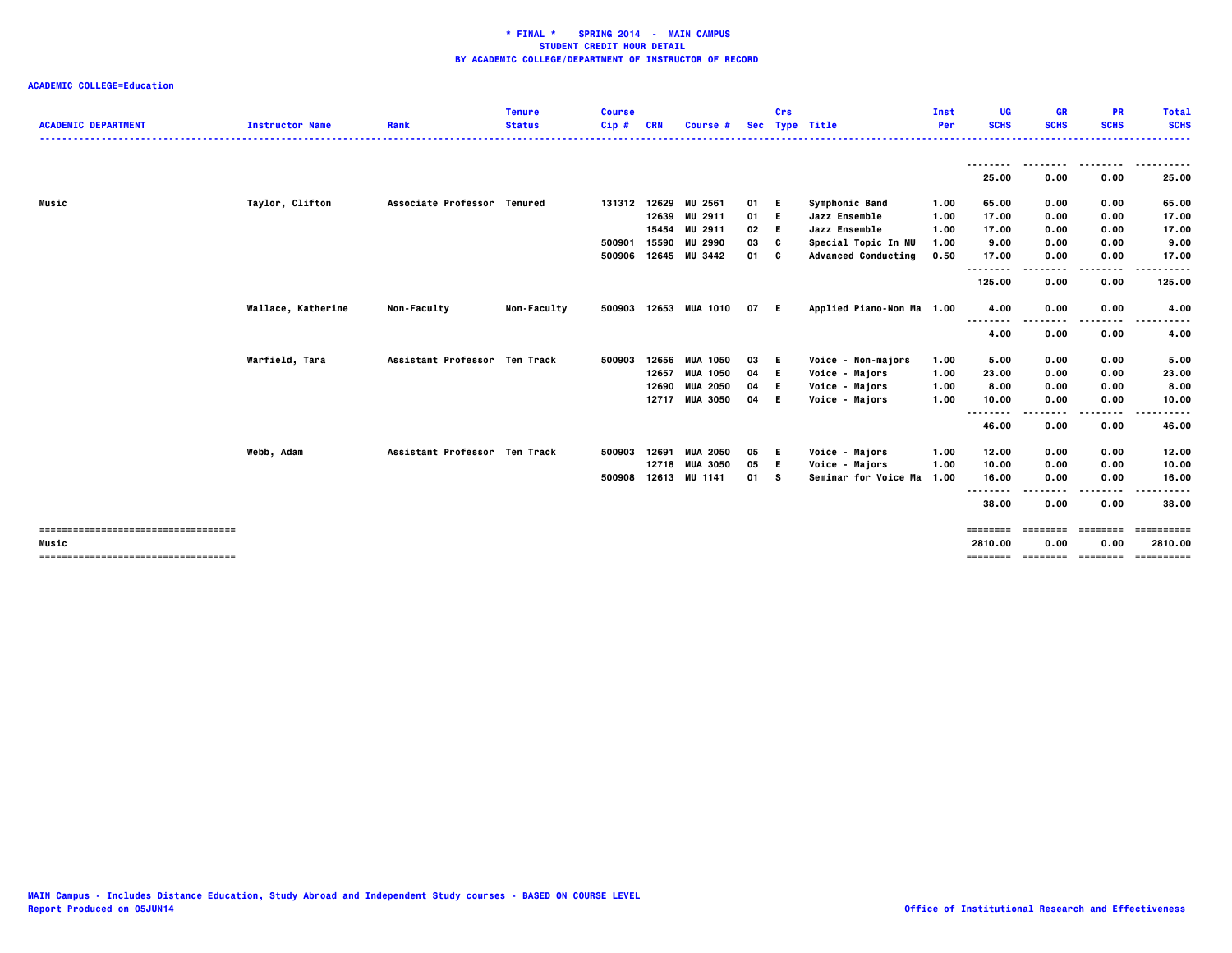|                                        |                        |                               | <b>Tenure</b> | <b>Course</b> |            |                 |      | Crs |                            | Inst | UG                        | <b>GR</b>    | PR           | <b>Total</b> |
|----------------------------------------|------------------------|-------------------------------|---------------|---------------|------------|-----------------|------|-----|----------------------------|------|---------------------------|--------------|--------------|--------------|
| <b>ACADEMIC DEPARTMENT</b>             | <b>Instructor Name</b> | Rank                          | <b>Status</b> | $Cip$ #       | <b>CRN</b> | Course #        |      |     | Sec Type Title             | Per  | <b>SCHS</b>               | <b>SCHS</b>  | <b>SCHS</b>  | <b>SCHS</b>  |
|                                        |                        |                               |               |               |            |                 |      |     |                            |      |                           |              |              |              |
|                                        |                        |                               |               |               |            |                 |      |     |                            |      | .<br>25.00                | 0.00         | 0.00         | 25.00        |
| Music                                  | Taylor, Clifton        | Associate Professor Tenured   |               | 131312 12629  |            | <b>MU 2561</b>  | 01   | E.  | Symphonic Band             | 1.00 | 65.00                     | 0.00         | 0.00         | 65.00        |
|                                        |                        |                               |               |               | 12639      | MU 2911         | 01   | Е.  | Jazz Ensemble              | 1.00 | 17.00                     | 0.00         | 0.00         | 17.00        |
|                                        |                        |                               |               |               | 15454      | MU 2911         | 02   | Е.  | Jazz Ensemble              | 1.00 | 17.00                     | 0.00         | 0.00         | 17.00        |
|                                        |                        |                               |               | 500901        | 15590      | <b>MU 2990</b>  | 03   | c   | Special Topic In MU        | 1.00 | 9.00                      | 0.00         | 0.00         | 9.00         |
|                                        |                        |                               |               | 500906        |            | 12645 MU 3442   | 01   | C   | <b>Advanced Conducting</b> | 0.50 | 17.00                     | 0.00         | 0.00         | 17.00        |
|                                        |                        |                               |               |               |            |                 |      |     |                            |      | - - - - - - - -<br>125.00 | 0.00         | ---<br>0.00  | .<br>125.00  |
|                                        | Wallace, Katherine     | <b>Non-Faculty</b>            | Non-Faculty   | 500903        |            | 12653 MUA 1010  | 07 E |     | Applied Piano-Non Ma 1.00  |      | 4.00                      | 0.00         | 0.00         | 4.00         |
|                                        |                        |                               |               |               |            |                 |      |     |                            |      | <br>4.00                  | ----<br>0.00 | .<br>0.00    | 4.00         |
|                                        | Warfield, Tara         | Assistant Professor Ten Track |               | 500903        | 12656      | <b>MUA 1050</b> | 03   | E.  | Voice - Non-majors         | 1.00 | 5.00                      | 0.00         | 0.00         | 5.00         |
|                                        |                        |                               |               |               | 12657      | <b>MUA 1050</b> | 04   | Е.  | Voice - Majors             | 1.00 | 23.00                     | 0.00         | 0.00         | 23.00        |
|                                        |                        |                               |               |               | 12690      | <b>MUA 2050</b> | 04   | Е.  | Voice - Majors             | 1.00 | 8.00                      | 0.00         | 0.00         | 8.00         |
|                                        |                        |                               |               |               |            | 12717 MUA 3050  | 04   | E.  | Voice - Majors             | 1.00 | 10.00                     | 0.00         | 0.00         | 10.00        |
|                                        |                        |                               |               |               |            |                 |      |     |                            |      | --------<br>46.00         | 0.00         | ----<br>0.00 | 46.00        |
|                                        | Webb, Adam             | Assistant Professor Ten Track |               | 500903        | 12691      | <b>MUA 2050</b> | 05   | E.  | Voice - Majors             | 1.00 | 12.00                     | 0.00         | 0.00         | 12.00        |
|                                        |                        |                               |               |               | 12718      | <b>MUA 3050</b> | 05   | Е.  | Voice - Majors             | 1.00 | 10.00                     | 0.00         | 0.00         | 10.00        |
|                                        |                        |                               |               | 500908        | 12613      | MU 1141         | 01   | s   | Seminar for Voice Ma       | 1.00 | 16.00                     | 0.00         | 0.00         | 16.00        |
|                                        |                        |                               |               |               |            |                 |      |     |                            |      | .<br>$- -$<br>38.00       | 0.00         | 0.00         | 38.00        |
| ====================================== |                        |                               |               |               |            |                 |      |     |                            |      |                           | ========     | ========     | :=======     |
| Music                                  |                        |                               |               |               |            |                 |      |     |                            |      | 2810.00                   | 0.00         | 0.00         | 2810.00      |
| -------------------------------------  |                        |                               |               |               |            |                 |      |     |                            |      | ========                  | ========     | ========     | ==========   |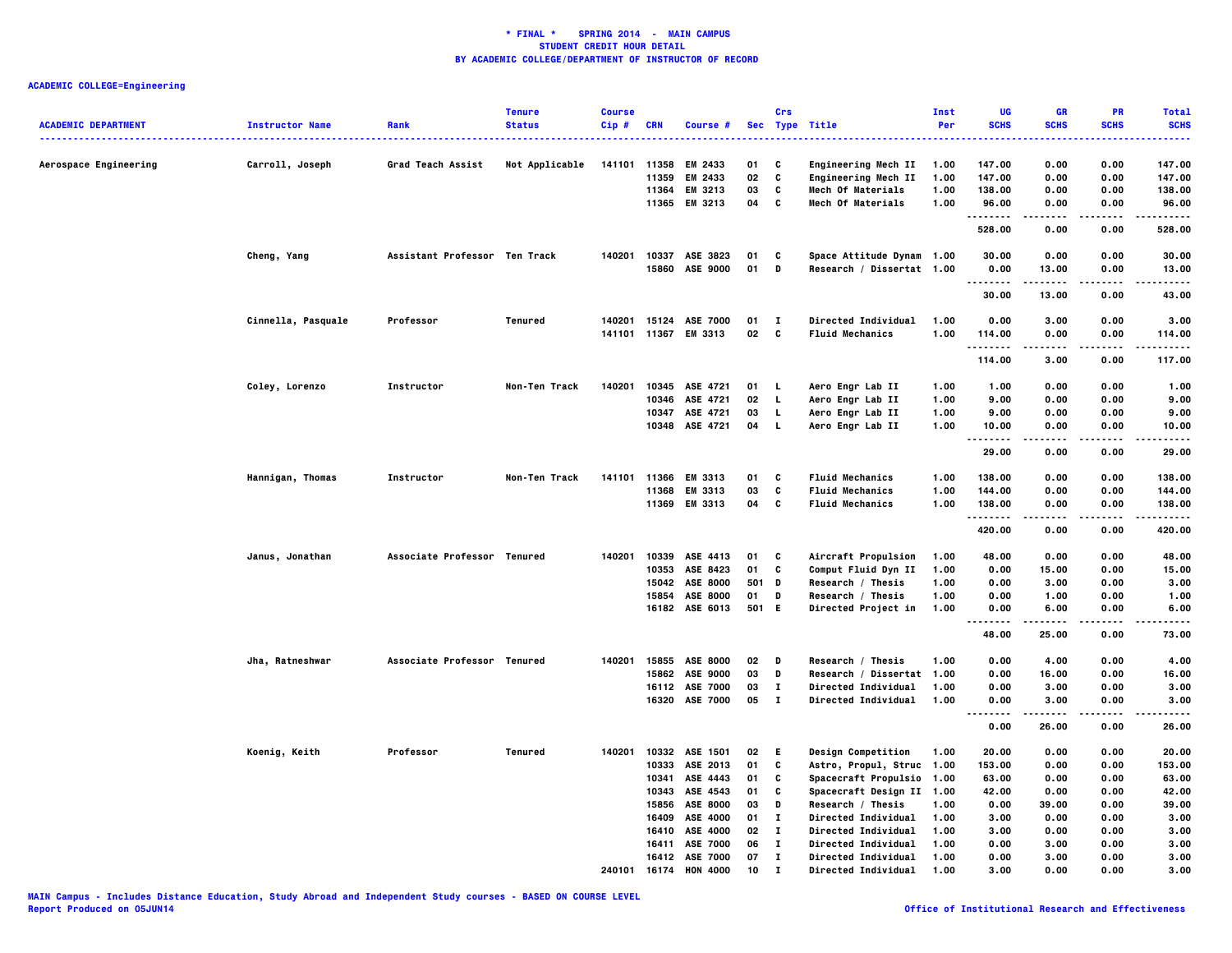| <b>ACADEMIC DEPARTMENT</b> | <b>Instructor Name</b> | Rank                          | <b>Tenure</b><br><b>Status</b> | <b>Course</b><br>$Cip$ # | <b>CRN</b> | Course #             |       | Crs          | Sec Type Title              | Inst<br>Per | UG<br><b>SCHS</b>                 | <b>GR</b><br><b>SCHS</b> | PR<br><b>SCHS</b> | <b>Total</b><br><b>SCHS</b> |
|----------------------------|------------------------|-------------------------------|--------------------------------|--------------------------|------------|----------------------|-------|--------------|-----------------------------|-------------|-----------------------------------|--------------------------|-------------------|-----------------------------|
|                            |                        |                               |                                |                          |            |                      |       |              |                             |             |                                   |                          |                   | .                           |
| Aerospace Engineering      | Carroll, Joseph        | <b>Grad Teach Assist</b>      | Not Applicable                 | 141101                   | 11358      | EM 2433              | 01    | C            | Engineering Mech II         | 1.00        | 147.00                            | 0.00                     | 0.00              | 147.00                      |
|                            |                        |                               |                                |                          | 11359      | EM 2433              | 02    | c            | Engineering Mech II         | 1.00        | 147.00                            | 0.00                     | 0.00              | 147.00                      |
|                            |                        |                               |                                |                          | 11364      | EM 3213              | 03    | C            | Mech Of Materials           | 1.00        | 138.00                            | 0.00                     | 0.00              | 138.00                      |
|                            |                        |                               |                                |                          |            | 11365 EM 3213        | 04    | c            | Mech Of Materials           | 1.00        | 96.00<br>.                        | 0.00                     | 0.00              | 96.00                       |
|                            |                        |                               |                                |                          |            |                      |       |              |                             |             | 528.00                            | 0.00                     | 0.00              | 528.00                      |
|                            | Cheng, Yang            | Assistant Professor Ten Track |                                | 140201                   | 10337      | ASE 3823             | 01    | C            | Space Attitude Dynam 1.00   |             | 30.00                             | 0.00                     | 0.00              | 30.00                       |
|                            |                        |                               |                                |                          |            | 15860 ASE 9000       | 01    | D            | Research / Dissertat 1.00   |             | 0.00<br>--------                  | 13.00                    | 0.00              | 13.00                       |
|                            |                        |                               |                                |                          |            |                      |       |              |                             |             | 30.00                             | 13.00                    | 0.00              | 43.00                       |
|                            | Cinnella, Pasquale     | Professor                     | Tenured                        | 140201                   |            | 15124 ASE 7000       | 01    | $\mathbf{I}$ | Directed Individual         | 1.00        | 0.00                              | 3.00                     | 0.00              | 3.00                        |
|                            |                        |                               |                                |                          |            | 141101 11367 EM 3313 | 02    | $\mathbf{c}$ | <b>Fluid Mechanics</b>      | 1.00        | 114.00<br>.                       | 0.00                     | 0.00              | 114.00<br>.                 |
|                            |                        |                               |                                |                          |            |                      |       |              |                             |             | 114.00                            | 3.00                     | 0.00              | 117.00                      |
|                            | Coley, Lorenzo         | Instructor                    | Non-Ten Track                  | 140201                   |            | 10345 ASE 4721       | 01    | <b>L</b>     | Aero Engr Lab II            | 1.00        | 1.00                              | 0.00                     | 0.00              | 1.00                        |
|                            |                        |                               |                                |                          | 10346      | ASE 4721             | 02    | $\mathbf{L}$ | Aero Engr Lab II            | 1.00        | 9,00                              | 0.00                     | 0.00              | 9.00                        |
|                            |                        |                               |                                |                          | 10347      | ASE 4721             | 03    | п.           | Aero Engr Lab II            | 1.00        | 9,00                              | 0.00                     | 0.00              | 9.00                        |
|                            |                        |                               |                                |                          |            | 10348 ASE 4721       | 04    | - 1.         | Aero Engr Lab II            | 1.00        | 10.00<br>.                        | 0.00<br>-----            | 0.00<br>.         | 10.00<br>.                  |
|                            |                        |                               |                                |                          |            |                      |       |              |                             |             | 29.00                             | 0.00                     | 0.00              | 29.00                       |
|                            | Hannigan, Thomas       | Instructor                    | Non-Ten Track                  | 141101                   | 11366      | EM 3313              | 01    | C            | <b>Fluid Mechanics</b>      | 1.00        | 138.00                            | 0.00                     | 0.00              | 138.00                      |
|                            |                        |                               |                                |                          | 11368      | EM 3313              | 03    | C            | <b>Fluid Mechanics</b>      | 1.00        | 144.00                            | 0.00                     | 0.00              | 144.00                      |
|                            |                        |                               |                                |                          | 11369      | EM 3313              | 04    | C            | <b>Fluid Mechanics</b>      | 1.00        | 138.00<br>.                       | 0.00                     | 0.00<br>.         | 138.00<br>.                 |
|                            |                        |                               |                                |                          |            |                      |       |              |                             |             | 420.00                            | 0.00                     | 0.00              | 420.00                      |
|                            | Janus, Jonathan        | Associate Professor Tenured   |                                | 140201                   | 10339      | ASE 4413             | 01    | C            | Aircraft Propulsion         | 1.00        | 48.00                             | 0.00                     | 0.00              | 48.00                       |
|                            |                        |                               |                                |                          | 10353      | ASE 8423             | 01    | C            | Comput Fluid Dyn II         | 1.00        | 0.00                              | 15.00                    | 0.00              | 15.00                       |
|                            |                        |                               |                                |                          |            | 15042 ASE 8000       | 501 D |              | Research / Thesis           | 1.00        | 0.00                              | 3.00                     | 0.00              | 3.00                        |
|                            |                        |                               |                                |                          | 15854      | <b>ASE 8000</b>      | 01    | D            | Research / Thesis           | 1.00        | 0.00                              | 1.00                     | 0.00              | 1.00                        |
|                            |                        |                               |                                |                          |            | 16182 ASE 6013       | 501 E |              | Directed Project in         | 1.00        | 0.00<br>$\sim$ $\sim$ $\sim$<br>. | 6.00<br>-----            | 0.00              | 6.00                        |
|                            |                        |                               |                                |                          |            |                      |       |              |                             |             | 48.00                             | 25.00                    | 0.00              | 73.00                       |
|                            | Jha, Ratneshwar        | Associate Professor Tenured   |                                | 140201                   | 15855      | <b>ASE 8000</b>      | 02    | D            | Research / Thesis           | 1.00        | 0.00                              | 4.00                     | 0.00              | 4.00                        |
|                            |                        |                               |                                |                          | 15862      | ASE 9000             | 03    | D            | Research / Dissertat 1.00   |             | 0.00                              | 16.00                    | 0.00              | 16.00                       |
|                            |                        |                               |                                |                          |            | 16112 ASE 7000       | 03    | $\bf{I}$     | Directed Individual         | 1.00        | 0.00                              | 3.00                     | 0.00              | 3.00                        |
|                            |                        |                               |                                |                          |            | 16320 ASE 7000       | 05    | $\mathbf{I}$ | <b>Directed Individual</b>  | 1.00        | 0.00<br>$\sim$ $\sim$<br>$\cdots$ | 3.00                     | 0.00              | 3.00                        |
|                            |                        |                               |                                |                          |            |                      |       |              |                             |             | 0.00                              | 26.00                    | 0.00              | 26.00                       |
|                            | Koenig, Keith          | Professor                     | <b>Tenured</b>                 | 140201                   |            | 10332 ASE 1501       | 02    | E.           | Design Competition          | 1.00        | 20.00                             | 0.00                     | 0.00              | 20.00                       |
|                            |                        |                               |                                |                          | 10333      | ASE 2013             | 01    | C            | Astro, Propul, Struc 1.00   |             | 153.00                            | 0.00                     | 0.00              | 153.00                      |
|                            |                        |                               |                                |                          | 10341      | ASE 4443             | 01    | C            | <b>Spacecraft Propulsio</b> | 1.00        | 63.00                             | 0.00                     | 0.00              | 63.00                       |
|                            |                        |                               |                                |                          | 10343      | ASE 4543             | 01    | c            | Spacecraft Design II 1.00   |             | 42.00                             | 0.00                     | 0.00              | 42.00                       |
|                            |                        |                               |                                |                          | 15856      | <b>ASE 8000</b>      | 03    | D            | Research / Thesis           | 1.00        | 0.00                              | 39.00                    | 0.00              | 39.00                       |
|                            |                        |                               |                                |                          | 16409      | ASE 4000             | 01    | $\mathbf{I}$ | Directed Individual         | 1.00        | 3.00                              | 0.00                     | 0.00              | 3.00                        |
|                            |                        |                               |                                |                          | 16410      | ASE 4000             | 02    | $\bf{I}$     | Directed Individual         | 1.00        | 3.00                              | 0.00                     | 0.00              | 3.00                        |
|                            |                        |                               |                                |                          | 16411      | <b>ASE 7000</b>      | 06    | $\mathbf{I}$ | Directed Individual         | 1.00        | 0.00                              | 3.00                     | 0.00              | 3.00                        |
|                            |                        |                               |                                |                          |            | 16412 ASE 7000       | 07    | $\mathbf{I}$ | <b>Directed Individual</b>  | 1.00        | 0.00                              | 3.00                     | 0.00              | 3.00                        |
|                            |                        |                               |                                | 240101                   | 16174      | <b>HON 4000</b>      | 10    | I            | <b>Directed Individual</b>  | 1.00        | 3.00                              | 0.00                     | 0.00              | 3.00                        |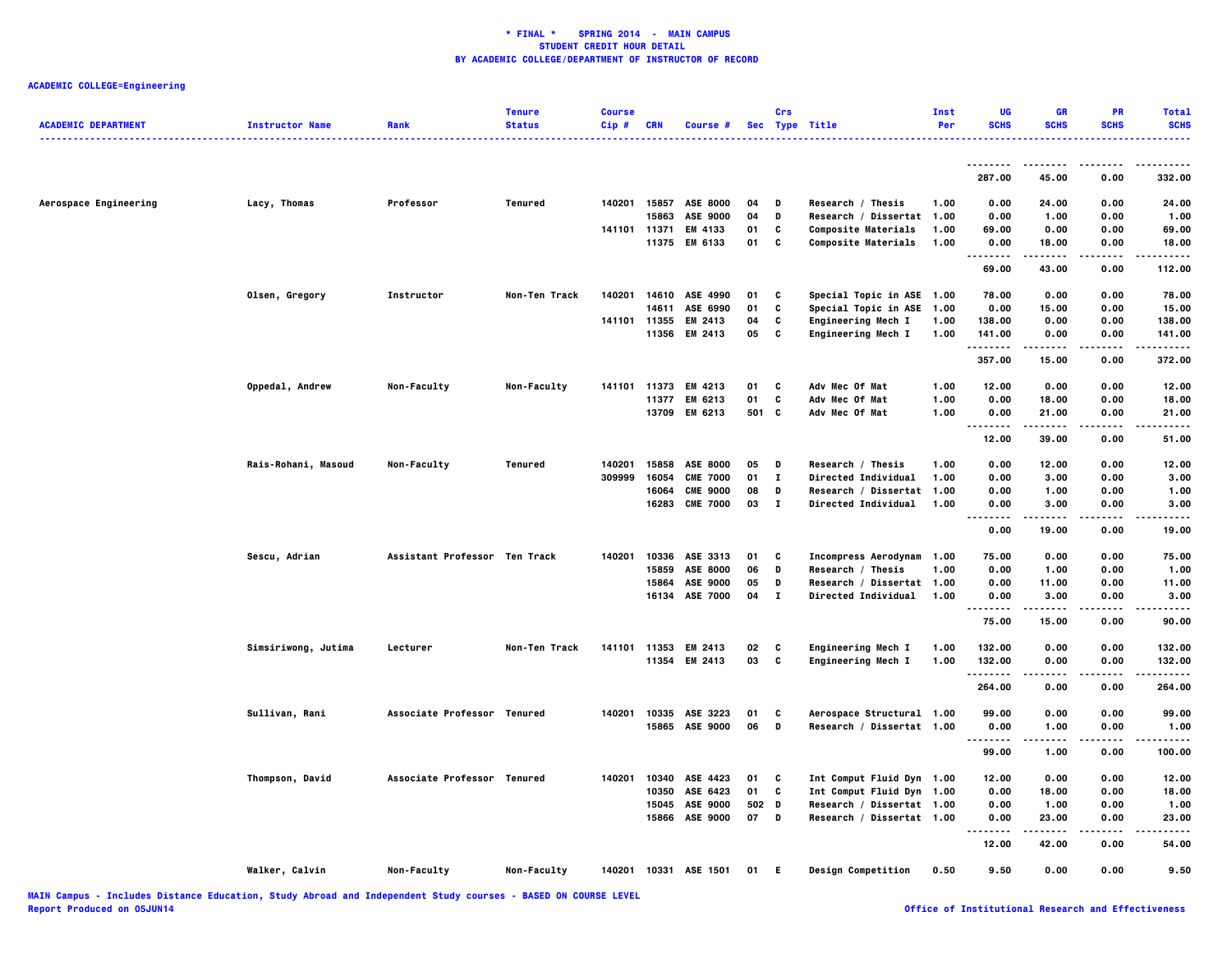| <b>ACADEMIC DEPARTMENT</b> | <b>Instructor Name</b> | Rank                          | <b>Tenure</b><br><b>Status</b> | <b>Course</b><br>Cip# | <b>CRN</b> | Course #              |       | Crs<br>Sec Type Title |                            | Inst<br>Per | UG<br><b>SCHS</b>             | GR<br><b>SCHS</b>    | PR<br><b>SCHS</b> | <b>Total</b><br><b>SCHS</b> |
|----------------------------|------------------------|-------------------------------|--------------------------------|-----------------------|------------|-----------------------|-------|-----------------------|----------------------------|-------------|-------------------------------|----------------------|-------------------|-----------------------------|
|                            |                        |                               |                                |                       |            |                       |       |                       |                            |             |                               |                      |                   | .                           |
|                            |                        |                               |                                |                       |            |                       |       |                       |                            |             | <u>.</u><br>287.00            | 45.00                | 0.00              | 332.00                      |
| Aerospace Engineering      | Lacy, Thomas           | Professor                     | Tenured                        |                       |            | 140201 15857 ASE 8000 | 04    | D                     | Research / Thesis          | 1.00        | 0.00                          | 24.00                | 0.00              | 24.00                       |
|                            |                        |                               |                                |                       | 15863      | ASE 9000              | 04    | D                     | Research / Dissertat 1.00  |             | 0.00                          | 1.00                 | 0.00              | 1.00                        |
|                            |                        |                               |                                | 141101                | 11371      | EM 4133               | 01    | C                     | Composite Materials        | 1.00        | 69.00                         | 0.00                 | 0.00              | 69.00                       |
|                            |                        |                               |                                |                       |            | 11375 EM 6133         | 01    | C                     | <b>Composite Materials</b> | 1.00        | 0.00                          | 18.00                | 0.00<br>.         | 18.00<br>.                  |
|                            |                        |                               |                                |                       |            |                       |       |                       |                            |             | <br>.<br>69.00                | -----<br>43.00       | 0.00              | 112.00                      |
|                            | Olsen, Gregory         | Instructor                    | Non-Ten Track                  | 140201                |            | 14610 ASE 4990        | 01    | C                     | Special Topic in ASE 1.00  |             | 78.00                         | 0.00                 | 0.00              | 78.00                       |
|                            |                        |                               |                                |                       | 14611      | ASE 6990              | 01    | C                     | Special Topic in ASE 1.00  |             | 0.00                          | 15.00                | 0.00              | 15.00                       |
|                            |                        |                               |                                | 141101                | 11355      | EM 2413               | 04    | C                     | Engineering Mech I         | 1.00        | 138.00                        | 0.00                 | 0.00              | 138.00                      |
|                            |                        |                               |                                |                       |            | 11356 EM 2413         | 05    | C                     | Engineering Mech I         | 1.00        | 141.00                        | 0.00                 | 0.00              | 141.00                      |
|                            |                        |                               |                                |                       |            |                       |       |                       |                            |             | .<br>357.00                   | 15.00                | 0.00              | .<br>372.00                 |
|                            | Oppedal, Andrew        | Non-Faculty                   | Non-Faculty                    |                       |            | 141101 11373 EM 4213  | 01    | c                     | Adv Mec Of Mat             | 1.00        | 12.00                         | 0.00                 | 0.00              | 12.00                       |
|                            |                        |                               |                                |                       |            | 11377 EM 6213         | 01    | C                     | Adv Mec Of Mat             | 1.00        | 0.00                          | 18.00                | 0.00              | 18.00                       |
|                            |                        |                               |                                |                       |            | 13709 EM 6213         | 501 C |                       | Adv Mec Of Mat             | 1.00        | 0.00                          | 21.00                | 0.00              | 21.00                       |
|                            |                        |                               |                                |                       |            |                       |       |                       |                            |             | <br>12.00                     | .<br>39.00           | .<br>0.00         | . <b>.</b><br>51.00         |
|                            | Rais-Rohani, Masoud    | Non-Faculty                   | Tenured                        | 140201                | 15858      | ASE 8000              | 05    | D                     | Research / Thesis          | 1.00        | 0.00                          | 12.00                | 0.00              | 12.00                       |
|                            |                        |                               |                                | 309999                | 16054      | <b>CME 7000</b>       | 01    | $\mathbf{I}$          | Directed Individual        | 1.00        | 0.00                          | 3.00                 | 0.00              | 3.00                        |
|                            |                        |                               |                                |                       | 16064      | <b>CME 9000</b>       | 08    | D                     | Research / Dissertat 1.00  |             | 0.00                          | 1.00                 | 0.00              | 1.00                        |
|                            |                        |                               |                                |                       |            | 16283 CME 7000        | 03    | $\mathbf{T}$          | Directed Individual        | 1.00        | 0.00                          | 3.00                 | 0.00              | 3.00                        |
|                            |                        |                               |                                |                       |            |                       |       |                       |                            |             | <br>.<br>0.00                 | .<br>19.00           | .<br>0.00         | .<br>19.00                  |
|                            | Sescu, Adrian          | Assistant Professor Ten Track |                                | 140201                |            | 10336 ASE 3313        | 01    | C                     | Incompress Aerodynam 1.00  |             | 75.00                         | 0.00                 | 0.00              | 75.00                       |
|                            |                        |                               |                                |                       | 15859      | ASE 8000              | 06    | D                     | Research / Thesis          | 1.00        | 0.00                          | 1.00                 | 0.00              | 1.00                        |
|                            |                        |                               |                                |                       | 15864      | ASE 9000              | 05    | D                     | Research / Dissertat 1.00  |             | 0.00                          | 11.00                | 0.00              | 11.00                       |
|                            |                        |                               |                                |                       |            | 16134 ASE 7000        | 04    | $\mathbf{I}$          | <b>Directed Individual</b> | 1.00        | 0.00                          | 3.00                 | 0.00              | 3.00                        |
|                            |                        |                               |                                |                       |            |                       |       |                       |                            |             | .<br>.<br>75.00               | $- - - - -$<br>15.00 | $- - - -$<br>0.00 | $- - - -$<br>90.00          |
|                            |                        |                               |                                |                       |            |                       |       |                       |                            |             |                               |                      |                   |                             |
|                            | Simsiriwong, Jutima    | Lecturer                      | Non-Ten Track                  | 141101 11353          |            | EM 2413               | 02    | C                     | Engineering Mech I         | 1.00        | 132.00                        | 0.00                 | 0.00              | 132.00                      |
|                            |                        |                               |                                |                       |            | 11354 EM 2413         | 03    | C                     | <b>Engineering Mech I</b>  | 1.00        | 132.00<br>.                   | 0.00                 | 0.00<br>.         | 132.00<br>.                 |
|                            |                        |                               |                                |                       |            |                       |       |                       |                            |             | 264.00                        | 0.00                 | 0.00              | 264.00                      |
|                            | Sullivan, Rani         | Associate Professor Tenured   |                                | 140201                |            | 10335 ASE 3223        | 01    | C                     | Aerospace Structural 1.00  |             | 99.00                         | 0.00                 | 0.00              | 99.00                       |
|                            |                        |                               |                                |                       |            | 15865 ASE 9000        | 06    | D                     | Research / Dissertat 1.00  |             | 0.00                          | 1.00                 | 0.00              | 1.00                        |
|                            |                        |                               |                                |                       |            |                       |       |                       |                            |             | $\sim$ $\sim$ $\sim$<br>99.00 | 1.00                 | 0.00              | 100.00                      |
|                            | Thompson, David        | Associate Professor Tenured   |                                | 140201                | 10340      | ASE 4423              | 01    | c                     | Int Comput Fluid Dyn 1.00  |             | 12.00                         | 0.00                 | 0.00              | 12.00                       |
|                            |                        |                               |                                |                       | 10350      | ASE 6423              | 01    | C                     | Int Comput Fluid Dyn 1.00  |             | 0.00                          | 18.00                | 0.00              | 18.00                       |
|                            |                        |                               |                                |                       |            | 15045 ASE 9000        | 502 D |                       | Research / Dissertat 1.00  |             | 0.00                          | 1.00                 | 0.00              | 1.00                        |
|                            |                        |                               |                                |                       |            | 15866 ASE 9000        | 07    | D                     | Research / Dissertat 1.00  |             | 0.00                          | 23.00                | 0.00              | 23.00                       |
|                            |                        |                               |                                |                       |            |                       |       |                       |                            |             | .<br>12.00                    | .<br>42.00           | -----<br>0.00     | .<br>54.00                  |
|                            | Walker, Calvin         | Non-Faculty                   | Non-Faculty                    |                       |            | 140201 10331 ASE 1501 | 01    | Е                     | Design Competition         | 0.50        | 9.50                          | 0.00                 | 0.00              | 9.50                        |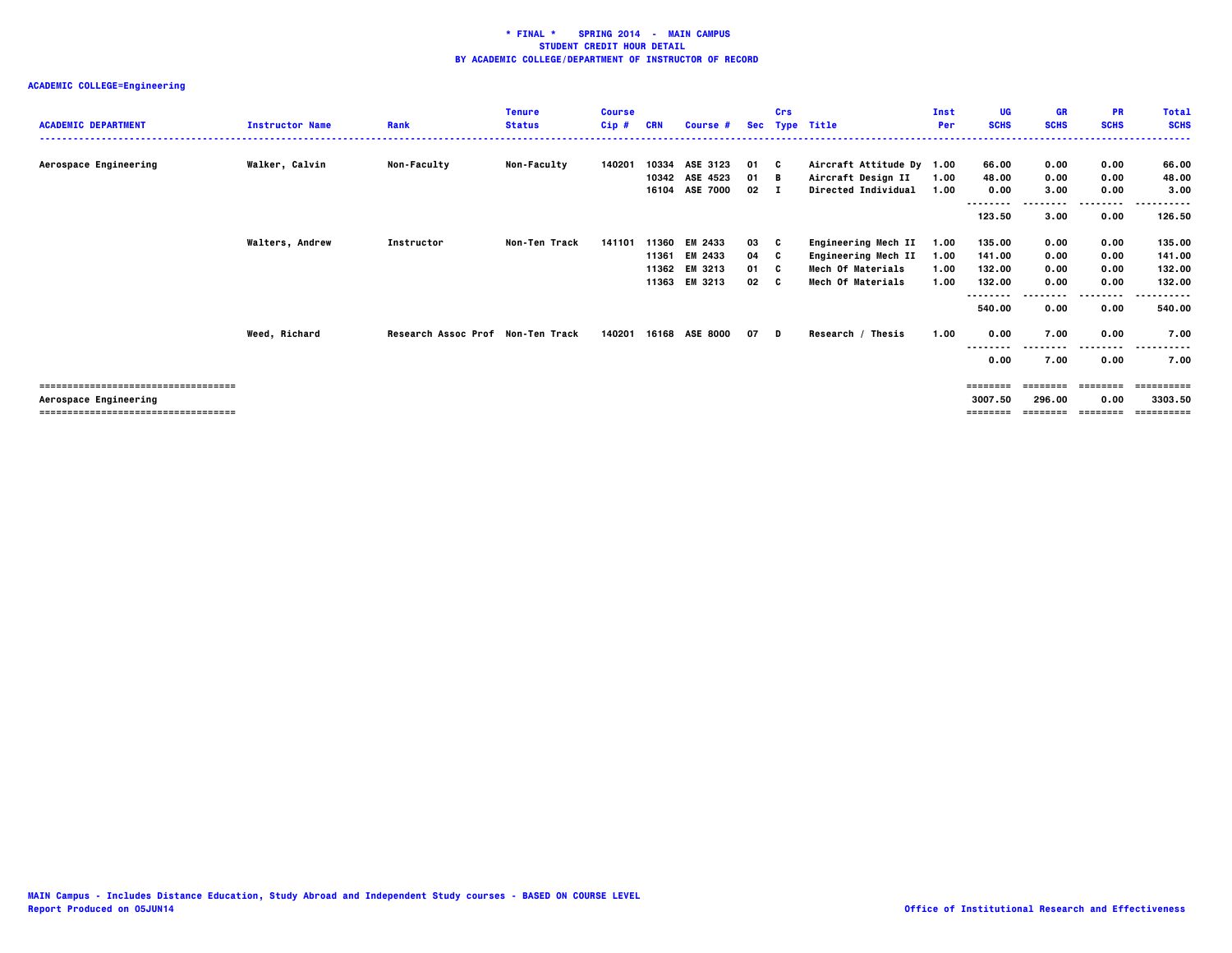| <b>ACADEMIC DEPARTMENT</b>           | <b>Instructor Name</b> | Rank                              | <b>Tenure</b><br><b>Status</b> | <b>Course</b><br>Cip# | <b>CRN</b> | Course #       | <b>Sec</b> | Crs | Type Title                 | Inst<br>Per | <b>UG</b><br><b>SCHS</b> | <b>GR</b><br><b>SCHS</b> | <b>PR</b><br><b>SCHS</b> | <b>Total</b><br><b>SCHS</b> |
|--------------------------------------|------------------------|-----------------------------------|--------------------------------|-----------------------|------------|----------------|------------|-----|----------------------------|-------------|--------------------------|--------------------------|--------------------------|-----------------------------|
|                                      |                        |                                   |                                |                       |            |                |            |     |                            |             |                          |                          |                          |                             |
| Aerospace Engineering                | Walker, Calvin         | <b>Non-Faculty</b>                | <b>Non-Faculty</b>             | 140201                |            | 10334 ASE 3123 | 01 C       |     | Aircraft Attitude Dy 1.00  |             | 66.00                    | 0.00                     | 0.00                     | 66.00                       |
|                                      |                        |                                   |                                |                       |            | 10342 ASE 4523 | 01 B       |     | Aircraft Design II         | 1.00        | 48.00                    | 0.00                     | 0.00                     | 48.00                       |
|                                      |                        |                                   |                                |                       |            | 16104 ASE 7000 | 02         |     | Directed Individual        | 1.00        | 0.00                     | 3.00                     | 0.00                     | 3.00                        |
|                                      |                        |                                   |                                |                       |            |                |            |     |                            |             | --------                 |                          | .                        |                             |
|                                      |                        |                                   |                                |                       |            |                |            |     |                            |             | 123.50                   | 3.00                     | 0.00                     | 126.50                      |
|                                      | <b>Walters, Andrew</b> | Instructor                        | Non-Ten Track                  | 141101                | 11360      | EM 2433        | 03         | C   | Engineering Mech II        | 1.00        | 135.00                   | 0.00                     | 0.00                     | 135.00                      |
|                                      |                        |                                   |                                |                       | 11361      | EM 2433        | 04         | - C | <b>Engineering Mech II</b> | 1.00        | 141.00                   | 0.00                     | 0.00                     | 141.00                      |
|                                      |                        |                                   |                                |                       | 11362      | EM 3213        | 01         | - 0 | <b>Mech Of Materials</b>   | 1.00        | 132.00                   | 0.00                     | 0.00                     | 132.00                      |
|                                      |                        |                                   |                                |                       | 11363      | EM 3213        | 02         | C.  | Mech Of Materials          | 1.00        | 132.00                   | 0.00                     | 0.00                     | 132.00                      |
|                                      |                        |                                   |                                |                       |            |                |            |     |                            |             | --------                 |                          | .                        | .                           |
|                                      |                        |                                   |                                |                       |            |                |            |     |                            |             | 540.00                   | 0.00                     | 0.00                     | 540.00                      |
|                                      | Weed, Richard          | Research Assoc Prof Non-Ten Track |                                | 140201                |            | 16168 ASE 8000 | 07 D       |     | Research / Thesis          | 1.00        | 0.00                     | 7.00                     | 0.00                     | 7.00                        |
|                                      |                        |                                   |                                |                       |            |                |            |     |                            |             | .                        |                          |                          |                             |
|                                      |                        |                                   |                                |                       |            |                |            |     |                            |             | 0.00                     | 7.00                     | 0.00                     | 7.00                        |
|                                      |                        |                                   |                                |                       |            |                |            |     |                            |             |                          |                          |                          |                             |
| ------------------------------------ |                        |                                   |                                |                       |            |                |            |     |                            |             | ========                 | ========                 | ========                 | ==========                  |
| Aerospace Engineering                |                        |                                   |                                |                       |            |                |            |     |                            |             | 3007.50                  | 296.00                   | 0.00                     | 3303.50                     |
| ------------------------------------ |                        |                                   |                                |                       |            |                |            |     |                            |             | ========                 | ========                 | $= 222222222$            |                             |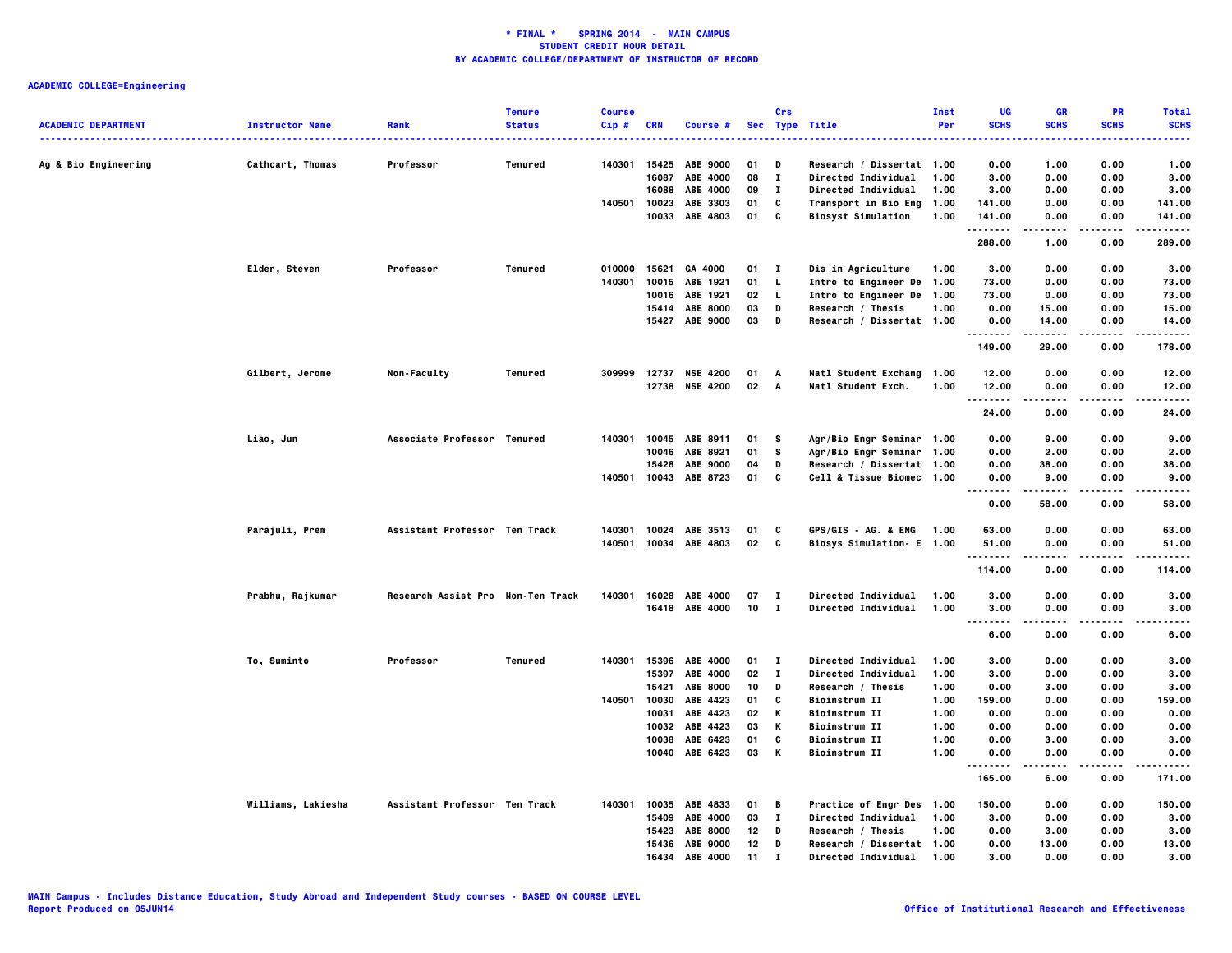|                            |                        |                                   | <b>Tenure</b> | <b>Course</b> |            |                 |    | Crs          |                                  | Inst | UG                                | <b>GR</b>      | <b>PR</b>   | <b>Total</b>        |
|----------------------------|------------------------|-----------------------------------|---------------|---------------|------------|-----------------|----|--------------|----------------------------------|------|-----------------------------------|----------------|-------------|---------------------|
| <b>ACADEMIC DEPARTMENT</b> | <b>Instructor Name</b> | Rank                              | <b>Status</b> | Cip#          | <b>CRN</b> | Course #        |    |              | Sec Type Title                   | Per  | <b>SCHS</b><br>$- - -$            | <b>SCHS</b>    | <b>SCHS</b> | <b>SCHS</b><br>---- |
| Ag & Bio Engineering       | Cathcart, Thomas       | Professor                         | Tenured       | 140301        | 15425      | <b>ABE 9000</b> | 01 | D            | Research / Dissertat 1.00        |      | 0.00                              | 1.00           | 0.00        | 1.00                |
|                            |                        |                                   |               |               | 16087      | ABE 4000        | 08 | $\bf{I}$     | Directed Individual              | 1.00 | 3.00                              | 0.00           | 0.00        | 3.00                |
|                            |                        |                                   |               |               | 16088      | ABE 4000        | 09 | $\mathbf{I}$ | Directed Individual              | 1.00 | 3.00                              | 0.00           | 0.00        | 3.00                |
|                            |                        |                                   |               | 140501        | 10023      | ABE 3303        | 01 | C            | Transport in Bio Eng             | 1.00 | 141.00                            | 0.00           | 0.00        | 141.00              |
|                            |                        |                                   |               |               |            | 10033 ABE 4803  | 01 | c            | <b>Biosyst Simulation</b>        | 1.00 | 141.00                            | 0.00           | 0.00        | 141.00              |
|                            |                        |                                   |               |               |            |                 |    |              |                                  |      | . <b>.</b><br>288.00              | .<br>1.00      | 0.00        | .<br>289.00         |
|                            | Elder, Steven          | Professor                         | Tenured       | 010000        | 15621      | GA 4000         | 01 | $\mathbf{I}$ | Dis in Agriculture               | 1.00 | 3.00                              | 0.00           | 0.00        | 3.00                |
|                            |                        |                                   |               | 140301        | 10015      | ABE 1921        | 01 | L.           | Intro to Engineer De 1.00        |      | 73.00                             | 0.00           | 0.00        | 73.00               |
|                            |                        |                                   |               |               | 10016      | ABE 1921        | 02 | L.           | Intro to Engineer De 1.00        |      | 73.00                             | 0.00           | 0.00        | 73.00               |
|                            |                        |                                   |               |               |            | 15414 ABE 8000  | 03 | D            | Research / Thesis                | 1.00 | 0.00                              | 15.00          | 0.00        | 15.00               |
|                            |                        |                                   |               |               |            | 15427 ABE 9000  | 03 | D            | Research / Dissertat 1.00        |      | 0.00<br>.                         | 14.00<br>.     | 0.00<br>.   | 14.00<br>.          |
|                            |                        |                                   |               |               |            |                 |    |              |                                  |      | 149.00                            | 29.00          | 0.00        | 178.00              |
|                            | Gilbert, Jerome        | Non-Faculty                       | Tenured       | 309999        | 12737      | <b>NSE 4200</b> | 01 | A            | Natl Student Exchang 1.00        |      | 12.00                             | 0.00           | 0.00        | 12.00               |
|                            |                        |                                   |               |               | 12738      | <b>NSE 4200</b> | 02 | A            | Natl Student Exch.               | 1.00 | 12.00                             | 0.00           | 0.00        | 12.00               |
|                            |                        |                                   |               |               |            |                 |    |              |                                  |      | .                                 |                |             |                     |
|                            |                        |                                   |               |               |            |                 |    |              |                                  |      | 24.00                             | 0.00           | 0.00        | 24.00               |
|                            | Liao, Jun              | Associate Professor Tenured       |               | 140301        | 10045      | ABE 8911        | 01 | s            | Agr/Bio Engr Seminar 1.00        |      | 0.00                              | 9.00           | 0.00        | 9.00                |
|                            |                        |                                   |               |               | 10046      | ABE 8921        | 01 | s            | Agr/Bio Engr Seminar 1.00        |      | 0.00                              | 2.00           | 0.00        | 2.00                |
|                            |                        |                                   |               |               | 15428      | <b>ABE 9000</b> | 04 | D            | Research / Dissertat 1.00        |      | 0.00                              | 38.00          | 0.00        | 38.00               |
|                            |                        |                                   |               | 140501        |            | 10043 ABE 8723  | 01 | C            | Cell & Tissue Biomec 1.00        |      | 0.00                              | 9.00           | 0.00        | 9.00                |
|                            |                        |                                   |               |               |            |                 |    |              |                                  |      | $\sim$ $\sim$ $\sim$<br>.<br>0.00 | -----<br>58.00 | 0.00        | .<br>58.00          |
|                            |                        |                                   |               |               |            |                 |    |              |                                  |      |                                   |                |             |                     |
|                            | Parajuli, Prem         | Assistant Professor Ten Track     |               | 140301        | 10024      | ABE 3513        | 01 | C            | <b>GPS/GIS - AG. &amp; ENG</b>   | 1.00 | 63.00                             | 0.00           | 0.00        | 63.00               |
|                            |                        |                                   |               | 140501        |            | 10034 ABE 4803  | 02 | C            | <b>Biosys Simulation- E 1.00</b> |      | 51.00<br>.                        | 0.00           | 0.00<br>.   | 51.00               |
|                            |                        |                                   |               |               |            |                 |    |              |                                  |      | 114.00                            | 0.00           | 0.00        | 114.00              |
|                            | Prabhu, Rajkumar       | Research Assist Pro Non-Ten Track |               | 140301        | 16028      | <b>ABE 4000</b> | 07 | $\mathbf{I}$ | <b>Directed Individual</b>       | 1.00 | 3.00                              | 0.00           | 0.00        | 3.00                |
|                            |                        |                                   |               |               |            | 16418 ABE 4000  | 10 | - 1          | <b>Directed Individual</b>       | 1.00 | 3.00                              | 0.00           | 0.00        | 3.00                |
|                            |                        |                                   |               |               |            |                 |    |              |                                  |      | $\sim$ $\sim$ $\sim$<br>.         |                |             |                     |
|                            |                        |                                   |               |               |            |                 |    |              |                                  |      | 6.00                              | 0.00           | 0.00        | 6.00                |
|                            | To, Suminto            | Professor                         | Tenured       | 140301        | 15396      | <b>ABE 4000</b> | 01 | $\mathbf{I}$ | <b>Directed Individual</b>       | 1.00 | 3.00                              | 0.00           | 0.00        | 3.00                |
|                            |                        |                                   |               |               | 15397      | <b>ABE 4000</b> | 02 | $\bf{I}$     | <b>Directed Individual</b>       | 1.00 | 3.00                              | 0.00           | 0.00        | 3.00                |
|                            |                        |                                   |               |               | 15421      | <b>ABE 8000</b> | 10 | D            | Research / Thesis                | 1.00 | 0.00                              | 3.00           | 0.00        | 3.00                |
|                            |                        |                                   |               | 140501        | 10030      | ABE 4423        | 01 | C            | <b>Bioinstrum II</b>             | 1.00 | 159.00                            | 0.00           | 0.00        | 159.00              |
|                            |                        |                                   |               |               | 10031      | ABE 4423        | 02 | Κ            | <b>Bioinstrum II</b>             | 1.00 | 0.00                              | 0.00           | 0.00        | 0.00                |
|                            |                        |                                   |               |               | 10032      | ABE 4423        | 03 | Κ            | <b>Bioinstrum II</b>             | 1.00 | 0.00                              | 0.00           | 0.00        | 0.00                |
|                            |                        |                                   |               |               | 10038      | ABE 6423        | 01 | C            | <b>Bioinstrum II</b>             | 1.00 | 0.00                              | 3.00           | 0.00        | 3.00                |
|                            |                        |                                   |               |               | 10040      | ABE 6423        | 03 | К            | <b>Bioinstrum II</b>             | 1.00 | 0.00<br>.                         | 0.00           | 0.00        | 0.00                |
|                            |                        |                                   |               |               |            |                 |    |              |                                  |      | 165.00                            | 6.00           | 0.00        | 171.00              |
|                            | Williams, Lakiesha     | Assistant Professor Ten Track     |               | 140301        | 10035      | ABE 4833        | 01 | В            | Practice of Engr Des 1.00        |      | 150.00                            | 0.00           | 0.00        | 150.00              |
|                            |                        |                                   |               |               | 15409      | <b>ABE 4000</b> | 03 | $\mathbf{I}$ | Directed Individual              | 1.00 | 3.00                              | 0.00           | 0.00        | 3.00                |
|                            |                        |                                   |               |               | 15423      | <b>ABE 8000</b> | 12 | D            | Research / Thesis                | 1.00 | 0.00                              | 3.00           | 0.00        | 3.00                |
|                            |                        |                                   |               |               |            | 15436 ABE 9000  | 12 | D            | Research / Dissertat 1.00        |      | 0.00                              | 13.00          | 0.00        | 13.00               |
|                            |                        |                                   |               |               | 16434      | ABE 4000        | 11 | $\mathbf{r}$ | Directed Individual              | 1.00 | 3,00                              | 0.00           | 0.00        | 3.00                |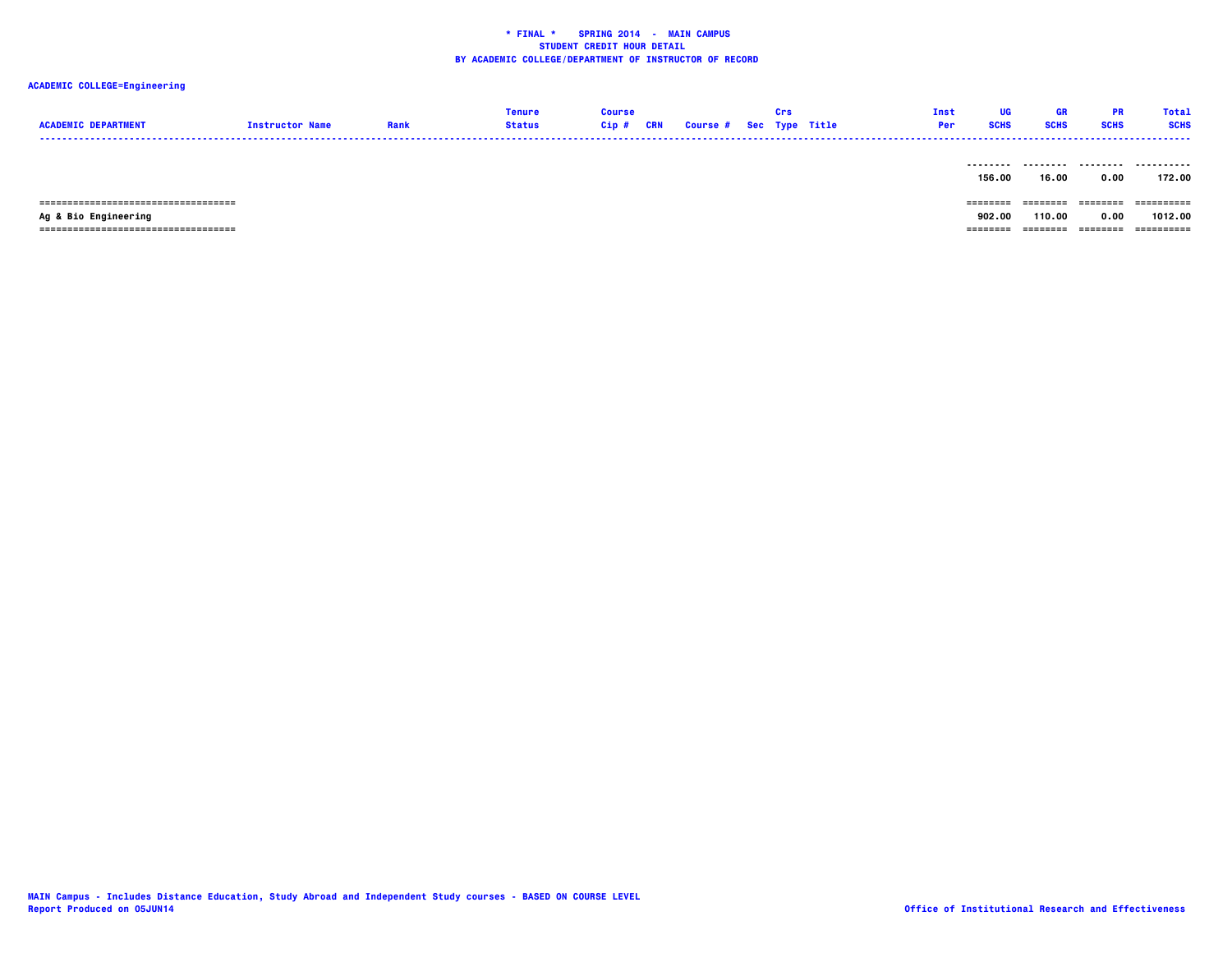# **ACADEMIC COLLEGE=Engineering**

| <b>ACADEMIC DEPARTMENT</b> | <b>Instructor Name</b> | Rank | <b>Tenure</b><br>Status | <b>Course</b><br>Cip # CRN | <b>Course # Sec Type Title</b> | Crs | Inst<br><b>Per</b> | UG<br><b>SCHS</b> | GR.<br><b>SCHS</b> | <b>PR</b><br><b>SCHS</b> | Total<br><b>SCHS</b> |
|----------------------------|------------------------|------|-------------------------|----------------------------|--------------------------------|-----|--------------------|-------------------|--------------------|--------------------------|----------------------|
|                            |                        |      |                         |                            |                                |     |                    | -------<br>156.00 | 16.00              | 0.00                     | ----------<br>172.00 |

 **=================================== ======== ======== ======== ==========**

 **=================================== ======== ======== ======== ========== Ag & Bio Engineering 902.00 110.00 0.00 1012.00**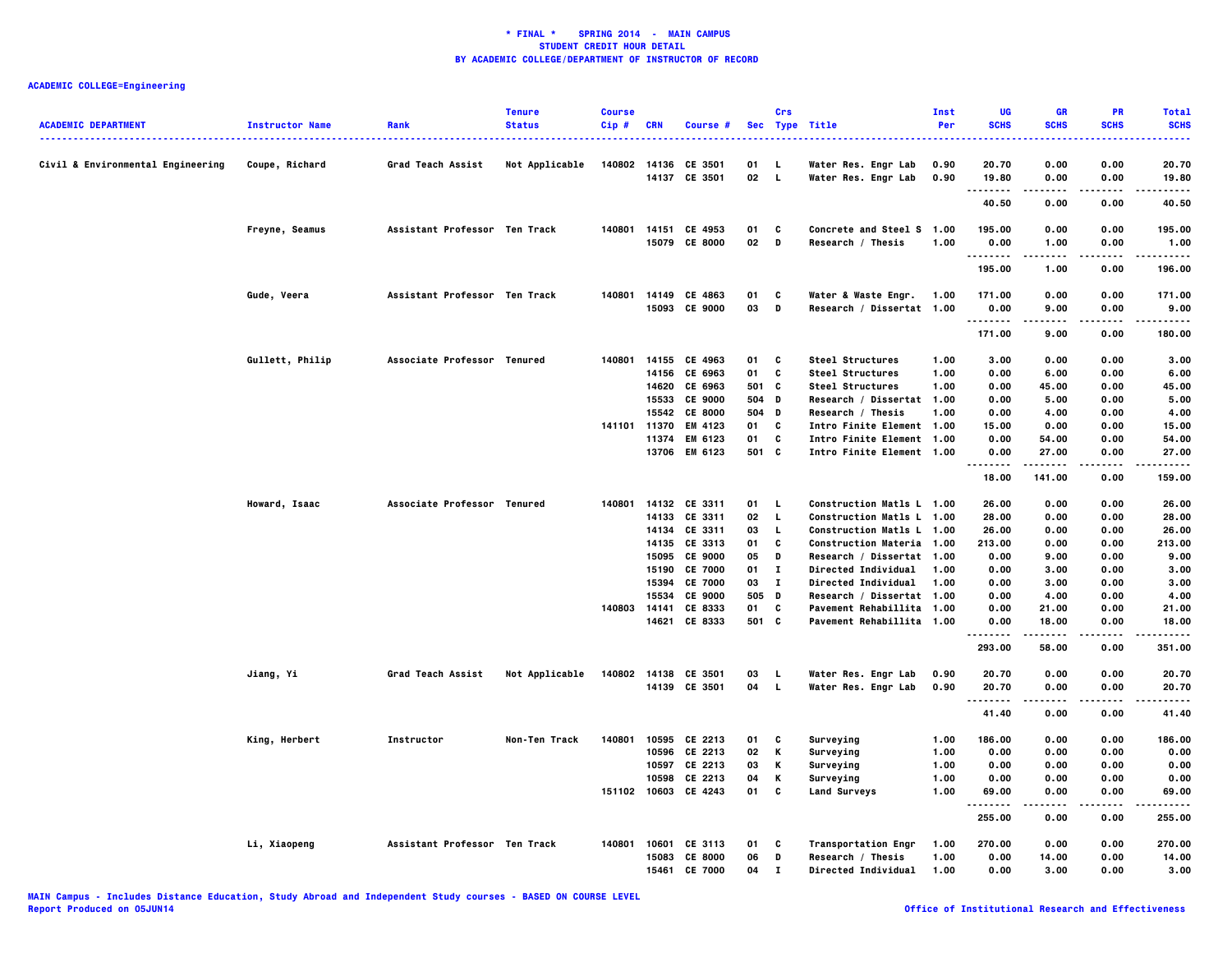| <b>ACADEMIC DEPARTMENT</b>        | <b>Instructor Name</b> | Rank                          | <b>Tenure</b><br><b>Status</b> | <b>Course</b><br>Cip# | <b>CRN</b>            | Course #             |           | Crs          | Sec Type Title                                         | Inst<br>Per  | UG<br><b>SCHS</b>         | <b>GR</b><br><b>SCHS</b> | PR<br><b>SCHS</b> | <b>Total</b><br><b>SCHS</b> |
|-----------------------------------|------------------------|-------------------------------|--------------------------------|-----------------------|-----------------------|----------------------|-----------|--------------|--------------------------------------------------------|--------------|---------------------------|--------------------------|-------------------|-----------------------------|
| Civil & Environmental Engineering | Coupe, Richard         | <b>Grad Teach Assist</b>      | Not Applicable                 |                       | 140802 14136          | CE 3501              | 01        | - L          | Water Res. Engr Lab                                    | 0.90         | 20.70                     | 0.00                     | 0.00              | 20.70                       |
|                                   |                        |                               |                                |                       |                       | 14137 CE 3501        | 02        | - 1.         | Water Res. Engr Lab                                    | 0.90         | 19.80                     | 0.00                     | 0.00              | 19.80                       |
|                                   |                        |                               |                                |                       |                       |                      |           |              |                                                        |              | .<br>40.50                | 0.00                     | 0.00              | .<br>40.50                  |
|                                   | Freyne, Seamus         | Assistant Professor Ten Track |                                | 140801                |                       | 14151 CE 4953        | 01        | C            | Concrete and Steel S 1.00                              |              | 195.00                    | 0.00                     | 0.00              | 195.00                      |
|                                   |                        |                               |                                |                       |                       | 15079 CE 8000        | 02 D      |              | Research / Thesis                                      | 1.00         | 0.00                      | 1.00                     | 0.00              | 1.00                        |
|                                   |                        |                               |                                |                       |                       |                      |           |              |                                                        |              | - - - - - - - -<br>195.00 | .<br>1.00                | .<br>0.00         | -----<br>196.00             |
|                                   |                        |                               |                                |                       |                       |                      |           |              |                                                        |              |                           |                          |                   |                             |
|                                   | Gude, Veera            | Assistant Professor Ten Track |                                | 140801                |                       | 14149 CE 4863        | 01<br>03  | C<br>D       | Water & Waste Engr.                                    | 1.00         | 171.00                    | 0.00                     | 0.00              | 171.00                      |
|                                   |                        |                               |                                |                       | 15093                 | <b>CE 9000</b>       |           |              | Research / Dissertat 1.00                              |              | 0.00<br>.                 | 9.00<br>.                | 0.00<br>.         | 9.00<br>-----               |
|                                   |                        |                               |                                |                       |                       |                      |           |              |                                                        |              | 171.00                    | 9.00                     | 0.00              | 180.00                      |
|                                   | Gullett, Philip        | Associate Professor Tenured   |                                | 140801                | 14155                 | CE 4963              | 01        | C            | Steel Structures                                       | 1.00         | 3.00                      | 0.00                     | 0.00              | 3.00                        |
|                                   |                        |                               |                                |                       | 14156                 | CE 6963              | 01        | C            | <b>Steel Structures</b>                                | 1.00         | 0.00                      | 6.00                     | 0.00              | 6.00                        |
|                                   |                        |                               |                                |                       | 14620                 | CE 6963              | 501       | C            | <b>Steel Structures</b>                                | 1.00         | 0.00                      | 45.00                    | 0.00              | 45.00                       |
|                                   |                        |                               |                                |                       | 15533                 | <b>CE 9000</b>       | 504       | D            | Research / Dissertat 1.00                              |              | 0.00                      | 5.00                     | 0.00              | 5.00                        |
|                                   |                        |                               |                                |                       | 15542                 | <b>CE 8000</b>       | 504<br>01 | D<br>C       | Research / Thesis                                      | 1.00         | 0.00<br>15.00             | 4.00<br>0.00             | 0.00<br>0.00      | 4.00<br>15.00               |
|                                   |                        |                               |                                |                       | 141101 11370<br>11374 | EM 4123<br>EM 6123   | 01        | C            | Intro Finite Element 1.00<br>Intro Finite Element 1.00 |              | 0.00                      | 54.00                    | 0.00              | 54.00                       |
|                                   |                        |                               |                                |                       | 13706                 | EM 6123              | 501 C     |              | Intro Finite Element 1.00                              |              | 0.00                      | 27.00                    | 0.00              | 27.00                       |
|                                   |                        |                               |                                |                       |                       |                      |           |              |                                                        |              | <br>18.00                 | .<br>141.00              | .<br>0.00         | .<br>159.00                 |
|                                   | Howard, Isaac          | Associate Professor Tenured   |                                | 140801                |                       | 14132 CE 3311        | 01        | L.           | Construction Matls L 1.00                              |              | 26.00                     | 0.00                     | 0.00              | 26.00                       |
|                                   |                        |                               |                                |                       |                       | 14133 CE 3311        | 02        | $\mathbf{L}$ | Construction Matls L 1.00                              |              | 28.00                     | 0.00                     | 0.00              | 28.00                       |
|                                   |                        |                               |                                |                       | 14134                 | CE 3311              | 03        | $\mathbf{L}$ | Construction Matls L 1.00                              |              | 26.00                     | 0.00                     | 0.00              | 26.00                       |
|                                   |                        |                               |                                |                       | 14135                 | CE 3313              | 01        | c            | <b>Construction Materia 1.00</b>                       |              | 213.00                    | 0.00                     | 0.00              | 213.00                      |
|                                   |                        |                               |                                |                       | 15095                 | <b>CE 9000</b>       | 05        | D            | Research / Dissertat 1.00                              |              | 0.00                      | 9.00                     | 0.00              | 9.00                        |
|                                   |                        |                               |                                |                       | 15190                 | <b>CE 7000</b>       | 01        | $\bf{I}$     | <b>Directed Individual</b>                             | 1.00         | 0.00                      | 3.00                     | 0.00              | 3.00                        |
|                                   |                        |                               |                                |                       | 15394                 | <b>CE 7000</b>       | 03        | $\mathbf{I}$ | Directed Individual                                    | 1.00         | 0.00                      | 3.00                     | 0.00              | 3.00                        |
|                                   |                        |                               |                                | 140803                | 15534<br>14141        | CE 9000<br>CE 8333   | 505<br>01 | D<br>C       | Research / Dissertat 1.00<br>Pavement Rehabillita 1.00 |              | 0.00<br>0.00              | 4.00<br>21.00            | 0.00<br>0.00      | 4.00<br>21.00               |
|                                   |                        |                               |                                |                       |                       | 14621 CE 8333        | 501 C     |              | Pavement Rehabillita 1.00                              |              | 0.00                      | 18.00                    | 0.00              | 18.00                       |
|                                   |                        |                               |                                |                       |                       |                      |           |              |                                                        |              | <br>293.00                | .<br>58.00               | 0.00              | .<br>351.00                 |
|                                   | Jiang, Yi              | <b>Grad Teach Assist</b>      | Not Applicable                 |                       |                       | 140802 14138 CE 3501 | 03        | - L          | Water Res. Engr Lab                                    | 0.90         | 20.70                     | 0.00                     | 0.00              | 20.70                       |
|                                   |                        |                               |                                |                       |                       | 14139 CE 3501        | 04        | $\mathbf{L}$ | Water Res. Engr Lab                                    | 0.90         | 20.70<br>.                | 0.00<br>-----            | 0.00<br>.         | 20.70<br>.                  |
|                                   |                        |                               |                                |                       |                       |                      |           |              |                                                        |              | 41.40                     | 0.00                     | 0.00              | 41.40                       |
|                                   | King, Herbert          | Instructor                    | Non-Ten Track                  | 140801                |                       | 10595 CE 2213        | 01        | C            | Surveying                                              | 1.00         | 186.00                    | 0.00                     | 0.00              | 186.00                      |
|                                   |                        |                               |                                |                       | 10596                 | CE 2213              | 02        | Κ            | Surveying                                              | 1.00         | 0.00                      | 0.00                     | 0.00              | 0.00                        |
|                                   |                        |                               |                                |                       |                       | 10597 CE 2213        | 03        | Κ            | Surveying                                              | 1.00         | 0.00                      | 0.00                     | 0.00              | 0.00                        |
|                                   |                        |                               |                                |                       | 10598<br>151102 10603 | CE 2213<br>CE 4243   | 04<br>01  | Κ<br>C       | Surveying                                              | 1.00<br>1.00 | 0.00<br>69.00             | 0.00<br>0.00             | 0.00<br>0.00      | 0.00<br>69.00               |
|                                   |                        |                               |                                |                       |                       |                      |           |              | <b>Land Surveys</b>                                    |              | .                         |                          | .                 | .                           |
|                                   |                        |                               |                                |                       |                       |                      |           |              |                                                        |              | 255.00                    | 0.00                     | 0.00              | 255,00                      |
|                                   | Li, Xiaopeng           | Assistant Professor Ten Track |                                | 140801                | 10601                 | CE 3113              | 01        | C            | <b>Transportation Engr</b>                             | 1.00         | 270.00                    | 0.00                     | 0.00              | 270.00                      |
|                                   |                        |                               |                                |                       | 15083                 | <b>CE 8000</b>       | 06        | D            | Research / Thesis                                      | 1.00         | 0.00                      | 14.00                    | 0.00              | 14.00                       |
|                                   |                        |                               |                                |                       | 15461                 | <b>CE 7000</b>       | 04        | $\mathbf{I}$ | Directed Individual                                    | 1.00         | 0.00                      | 3.00                     | 0.00              | 3.00                        |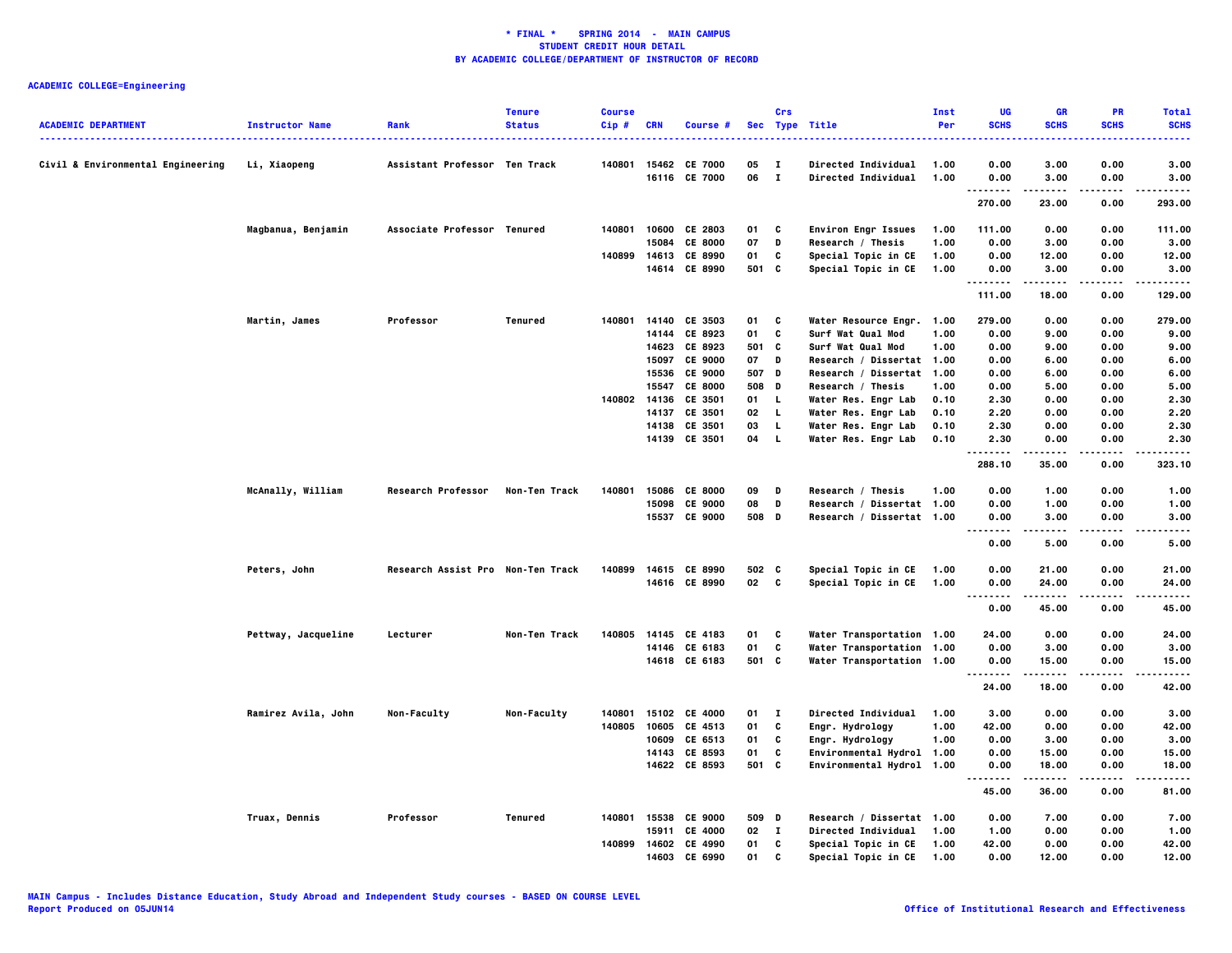| <b>ACADEMIC DEPARTMENT</b>        | <b>Instructor Name</b> | Rank                              | <b>Tenure</b><br><b>Status</b> | <b>Course</b><br>Cip# | <b>CRN</b>     | Course #                       |          | Crs                          | Sec Type Title                                    | Inst<br>Per  | UG<br><b>SCHS</b>                 | <b>GR</b><br><b>SCHS</b> | <b>PR</b><br><b>SCHS</b> | <b>Total</b><br><b>SCHS</b> |
|-----------------------------------|------------------------|-----------------------------------|--------------------------------|-----------------------|----------------|--------------------------------|----------|------------------------------|---------------------------------------------------|--------------|-----------------------------------|--------------------------|--------------------------|-----------------------------|
|                                   |                        |                                   |                                |                       |                |                                |          |                              | ---------------                                   |              |                                   |                          |                          |                             |
| Civil & Environmental Engineering | Li, Xiaopeng           | Assistant Professor Ten Track     |                                | 140801                |                | 15462 CE 7000<br>16116 CE 7000 | 05<br>06 | $\mathbf{I}$<br>$\mathbf{I}$ | <b>Directed Individual</b><br>Directed Individual | 1.00<br>1.00 | 0.00<br>0.00                      | 3.00<br>3.00             | 0.00<br>0.00             | 3.00<br>3.00                |
|                                   |                        |                                   |                                |                       |                |                                |          |                              |                                                   |              | .<br>270.00                       | .<br>23.00               | .<br>0.00                | .<br>293.00                 |
|                                   |                        |                                   |                                |                       |                |                                |          |                              |                                                   |              |                                   |                          |                          |                             |
|                                   | Magbanua, Benjamin     | Associate Professor Tenured       |                                | 140801                | 10600          | CE 2803                        | 01       | C                            | <b>Environ Engr Issues</b>                        | 1.00         | 111.00                            | 0.00                     | 0.00                     | 111.00                      |
|                                   |                        |                                   |                                |                       | 15084          | <b>CE 8000</b>                 | 07       | D                            | Research / Thesis                                 | 1.00         | 0.00                              | 3.00                     | 0.00                     | 3.00                        |
|                                   |                        |                                   |                                | 140899                |                | 14613 CE 8990                  | 01       | C                            | Special Topic in CE                               | 1.00         | 0.00                              | 12.00                    | 0.00                     | 12.00                       |
|                                   |                        |                                   |                                |                       |                | 14614 CE 8990                  | 501 C    |                              | Special Topic in CE                               | 1.00         | 0.00<br>.                         | 3.00<br>.                | 0.00<br>.                | 3.00<br>------              |
|                                   |                        |                                   |                                |                       |                |                                |          |                              |                                                   |              | 111.00                            | 18.00                    | 0.00                     | 129.00                      |
|                                   | Martin, James          | Professor                         | Tenured                        | 140801                | 14140          | CE 3503                        | 01       | C                            | <b>Water Resource Engr. 1.00</b>                  |              | 279.00                            | 0.00                     | 0.00                     | 279.00                      |
|                                   |                        |                                   |                                |                       | 14144          | CE 8923                        | 01       | C                            | Surf Wat Qual Mod                                 | 1.00         | 0.00                              | 9.00                     | 0.00                     | 9.00                        |
|                                   |                        |                                   |                                |                       | 14623          | CE 8923                        | 501      | C                            | Surf Wat Qual Mod                                 | 1.00         | 0.00                              | 9.00                     | 0.00                     | 9.00                        |
|                                   |                        |                                   |                                |                       | 15097          | <b>CE 9000</b>                 | 07       | D                            | Research / Dissertat 1.00                         |              | 0.00                              | 6.00                     | 0.00                     | 6.00                        |
|                                   |                        |                                   |                                |                       | 15536          | <b>CE 9000</b>                 | 507 D    |                              | Research / Dissertat 1.00                         |              | 0.00                              | 6.00                     | 0.00                     | 6.00                        |
|                                   |                        |                                   |                                |                       | 15547          | <b>CE 8000</b>                 | 508      | D                            | Research / Thesis                                 | 1.00         | 0.00                              | 5.00                     | 0.00                     | 5.00                        |
|                                   |                        |                                   |                                | 140802                | 14136          | CE 3501                        | 01       | <b>L</b>                     | Water Res. Engr Lab                               | 0.10         | 2.30                              | 0.00                     | 0.00                     | 2.30                        |
|                                   |                        |                                   |                                |                       | 14137<br>14138 | CE 3501<br>CE 3501             | 02<br>03 | L.<br>L.                     | Water Res. Engr Lab                               | 0.10         | 2.20<br>2.30                      | 0.00<br>0.00             | 0.00<br>0.00             | 2.20<br>2.30                |
|                                   |                        |                                   |                                |                       |                | 14139 CE 3501                  | 04       | $\mathbf{L}$                 | Water Res. Engr Lab<br>Water Res. Engr Lab        | 0.10<br>0.10 | 2.30                              | 0.00                     | 0.00                     | 2.30                        |
|                                   |                        |                                   |                                |                       |                |                                |          |                              |                                                   |              | .                                 |                          |                          |                             |
|                                   |                        |                                   |                                |                       |                |                                |          |                              |                                                   |              | 288.10                            | 35.00                    | 0.00                     | 323.10                      |
|                                   | McAnally, William      | <b>Research Professor</b>         | Non-Ten Track                  | 140801                |                | 15086 CE 8000                  | 09       | D                            | Research / Thesis                                 | 1.00         | 0.00                              | 1.00                     | 0.00                     | 1.00                        |
|                                   |                        |                                   |                                |                       | 15098          | <b>CE 9000</b>                 | 08       | D                            | Research / Dissertat 1.00                         |              | 0.00                              | 1.00                     | 0.00                     | 1.00                        |
|                                   |                        |                                   |                                |                       |                | 15537 CE 9000                  | 508 D    |                              | Research / Dissertat 1.00                         |              | 0.00<br>.<br>$\sim$ $\sim$ $\sim$ | 3.00<br>.                | 0.00<br>.                | 3.00<br>.                   |
|                                   |                        |                                   |                                |                       |                |                                |          |                              |                                                   |              | 0.00                              | 5.00                     | 0.00                     | 5.00                        |
|                                   | Peters, John           | Research Assist Pro Non-Ten Track |                                | 140899                |                | 14615 CE 8990                  | 502 C    |                              | Special Topic in CE                               | 1.00         | 0.00                              | 21.00                    | 0.00                     | 21.00                       |
|                                   |                        |                                   |                                |                       |                | 14616 CE 8990                  | 02 C     |                              | Special Topic in CE                               | 1.00         | 0.00                              | 24.00                    | 0.00                     | 24.00                       |
|                                   |                        |                                   |                                |                       |                |                                |          |                              |                                                   |              | .                                 | -----                    |                          | .                           |
|                                   |                        |                                   |                                |                       |                |                                |          |                              |                                                   |              | 0.00                              | 45.00                    | 0.00                     | 45.00                       |
|                                   | Pettway, Jacqueline    | Lecturer                          | Non-Ten Track                  | 140805                | 14145          | CE 4183                        | 01       | C                            | Water Transportation 1.00                         |              | 24.00                             | 0.00                     | 0.00                     | 24.00                       |
|                                   |                        |                                   |                                |                       |                | 14146 CE 6183                  | 01       | C                            | Water Transportation 1.00                         |              | 0.00                              | 3.00                     | 0.00                     | 3.00                        |
|                                   |                        |                                   |                                |                       |                | 14618 CE 6183                  | 501 C    |                              | Water Transportation 1.00                         |              | 0.00<br>.                         | 15.00<br>.               | 0.00<br>.                | 15.00<br>.                  |
|                                   |                        |                                   |                                |                       |                |                                |          |                              |                                                   |              | 24.00                             | 18.00                    | 0.00                     | 42.00                       |
|                                   | Ramirez Avila, John    | Non-Faculty                       | Non-Faculty                    | 140801                | 15102          | <b>CE 4000</b>                 | 01       | $\mathbf{I}$                 | <b>Directed Individual</b>                        | 1.00         | 3.00                              | 0.00                     | 0.00                     | 3.00                        |
|                                   |                        |                                   |                                | 140805                | 10605          | CE 4513                        | 01       | C                            | Engr. Hydrology                                   | 1.00         | 42.00                             | 0.00                     | 0.00                     | 42.00                       |
|                                   |                        |                                   |                                |                       | 10609          | CE 6513                        | 01       | C                            | Engr. Hydrology                                   | 1.00         | 0.00                              | 3.00                     | 0.00                     | 3.00                        |
|                                   |                        |                                   |                                |                       | 14143          | CE 8593                        | 01       | C                            | Environmental Hydrol 1.00                         |              | 0.00                              | 15.00                    | 0.00                     | 15.00                       |
|                                   |                        |                                   |                                |                       |                | 14622 CE 8593                  | 501 C    |                              | Environmental Hydrol 1.00                         |              | 0.00<br>--------                  | 18.00<br>.               | 0.00<br>.                | 18.00<br>.                  |
|                                   |                        |                                   |                                |                       |                |                                |          |                              |                                                   |              | 45.00                             | 36.00                    | 0.00                     | 81.00                       |
|                                   | Truax, Dennis          | Professor                         | Tenured                        | 140801                | 15538          | <b>CE 9000</b>                 | 509      | D                            | Research / Dissertat 1.00                         |              | 0.00                              | 7.00                     | 0.00                     | 7.00                        |
|                                   |                        |                                   |                                |                       | 15911          | <b>CE 4000</b>                 | 02       | $\mathbf{I}$                 | Directed Individual                               | 1.00         | 1.00                              | 0.00                     | 0.00                     | 1.00                        |
|                                   |                        |                                   |                                | 140899                |                | 14602 CE 4990                  | 01       | C                            | Special Topic in CE                               | 1.00         | 42.00                             | 0.00                     | 0.00                     | 42.00                       |
|                                   |                        |                                   |                                |                       | 14603          | CE 6990                        | 01       | C                            | Special Topic in CE                               | 1.00         | 0.00                              | 12.00                    | 0.00                     | 12.00                       |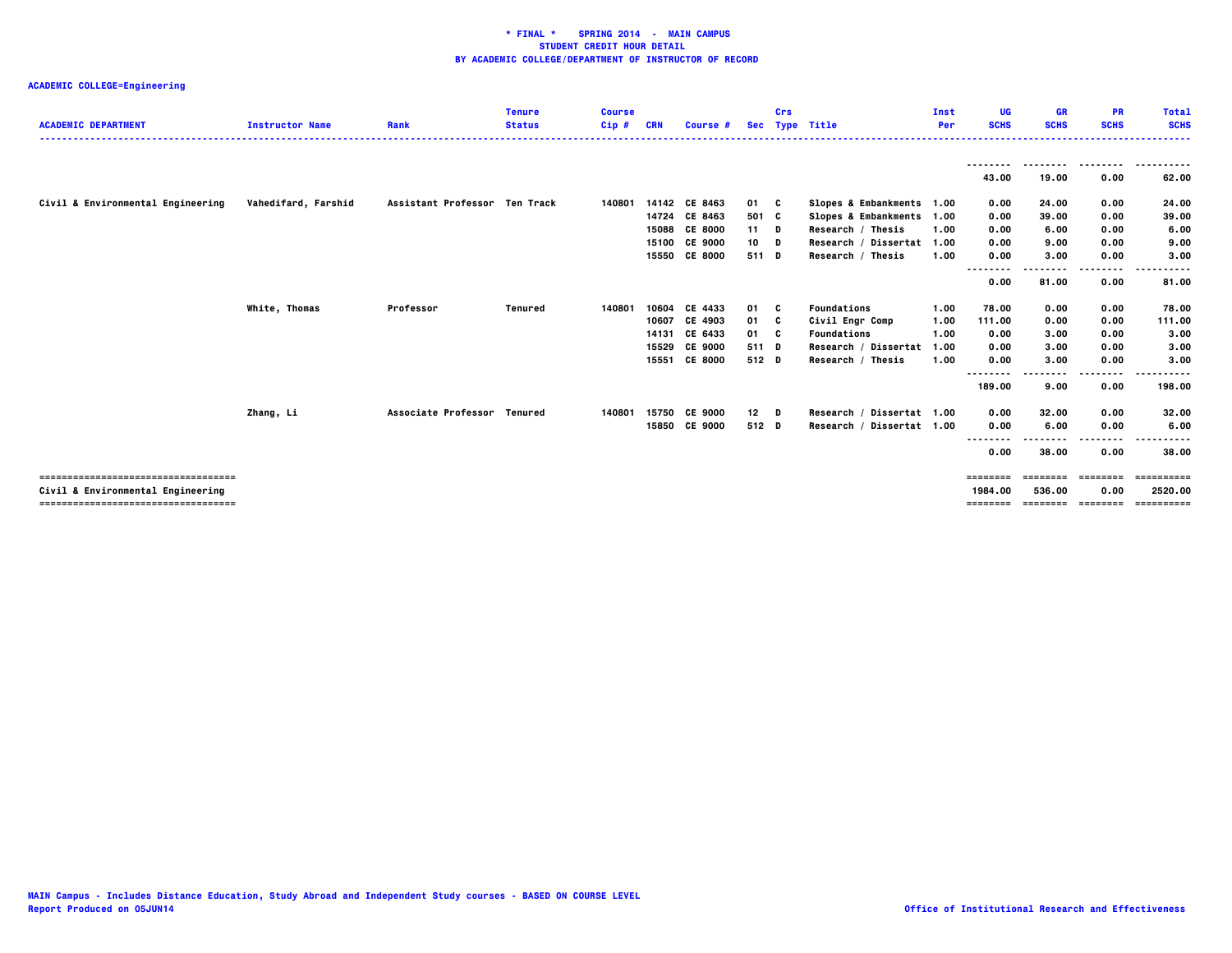| <b>ACADEMIC DEPARTMENT</b>        | <b>Instructor Name</b> | Rank                          | <b>Tenure</b><br><b>Status</b> | <b>Course</b><br>$Cip$ # | <b>CRN</b> | <b>Course</b> #                |                 | Crs | Sec Type Title                                         | Inst<br>Per | UG<br><b>SCHS</b>  | <b>GR</b><br><b>SCHS</b> | <b>PR</b><br><b>SCHS</b> | <b>Total</b><br><b>SCHS</b>           |
|-----------------------------------|------------------------|-------------------------------|--------------------------------|--------------------------|------------|--------------------------------|-----------------|-----|--------------------------------------------------------|-------------|--------------------|--------------------------|--------------------------|---------------------------------------|
|                                   |                        |                               |                                |                          |            |                                |                 |     |                                                        |             | --------<br>43.00  | 19.00                    | --------<br>0.00         | ----------<br>62.00                   |
|                                   |                        |                               |                                |                          |            |                                |                 |     |                                                        |             |                    |                          |                          |                                       |
| Civil & Environmental Engineering | Vahedifard, Farshid    | Assistant Professor Ten Track |                                | 140801                   |            | 14142 CE 8463<br>14724 CE 8463 | 01 C            |     | Slopes & Embankments 1.00<br>Slopes & Embankments 1.00 |             | 0.00<br>0.00       | 24.00<br>39.00           | 0.00<br>0.00             | 24.00<br>39.00                        |
|                                   |                        |                               |                                |                          | 15088      | <b>CE 8000</b>                 | 501 C<br>$11$ D |     | Research / Thesis                                      | 1.00        | 0.00               | 6.00                     | 0.00                     | 6.00                                  |
|                                   |                        |                               |                                |                          |            | 15100 CE 9000                  | 10              | D   | Research / Dissertat 1.00                              |             | 0.00               | 9.00                     | 0.00                     | 9.00                                  |
|                                   |                        |                               |                                |                          | 15550      | <b>CE 8000</b>                 | 511 D           |     | Research / Thesis                                      | 1.00        | 0.00               | 3.00                     | 0.00                     | 3.00                                  |
|                                   |                        |                               |                                |                          |            |                                |                 |     |                                                        |             | .<br>.             |                          | -----                    | $\cdots$<br>.                         |
|                                   |                        |                               |                                |                          |            |                                |                 |     |                                                        |             | 0.00               | 81.00                    | 0.00                     | 81.00                                 |
|                                   | White, Thomas          | Professor                     | Tenured                        | 140801                   | 10604      | CE 4433                        | 01              | - C | Foundations                                            | 1.00        | 78.00              | 0.00                     | 0.00                     | 78.00                                 |
|                                   |                        |                               |                                |                          | 10607      | CE 4903                        | 01              | - C | Civil Engr Comp                                        | 1.00        | 111.00             | 0.00                     | 0.00                     | 111.00                                |
|                                   |                        |                               |                                |                          | 14131      | CE 6433                        | 01 C            |     | Foundations                                            | 1.00        | 0.00               | 3.00                     | 0.00                     | 3.00                                  |
|                                   |                        |                               |                                |                          | 15529      | <b>CE 9000</b>                 | 511 D           |     | Research / Dissertat                                   | 1.00        | 0.00               | 3.00                     | 0.00                     | 3.00                                  |
|                                   |                        |                               |                                |                          | 15551      | <b>CE 8000</b>                 | 512 D           |     | Research / Thesis                                      | 1.00        | 0.00               | 3.00                     | 0.00                     | 3.00                                  |
|                                   |                        |                               |                                |                          |            |                                |                 |     |                                                        |             | --------<br>189.00 | 9.00                     | .<br>0.00                | 198.00                                |
|                                   | Zhang, Li              | Associate Professor Tenured   |                                | 140801                   | 15750      | <b>CE 9000</b>                 | 12              | D   | Research / Dissertat 1.00                              |             | 0.00               | 32.00                    | 0.00                     | 32.00                                 |
|                                   |                        |                               |                                |                          |            | 15850 CE 9000                  | 512 D           |     | Research / Dissertat 1.00                              |             | 0.00               | 6.00                     | 0.00                     | 6.00                                  |
|                                   |                        |                               |                                |                          |            |                                |                 |     |                                                        |             | --------           |                          |                          |                                       |
|                                   |                        |                               |                                |                          |            |                                |                 |     |                                                        |             | 0.00               | 38.00                    | 0.00                     | 38,00                                 |
| ;=============================    |                        |                               |                                |                          |            |                                |                 |     |                                                        |             | ========           |                          |                          |                                       |
| Civil & Environmental Engineering |                        |                               |                                |                          |            |                                |                 |     |                                                        |             | 1984.00            | 536.00                   | 0.00                     | 2520.00                               |
|                                   |                        |                               |                                |                          |            |                                |                 |     |                                                        |             |                    |                          |                          | ======== ======== ======== ========== |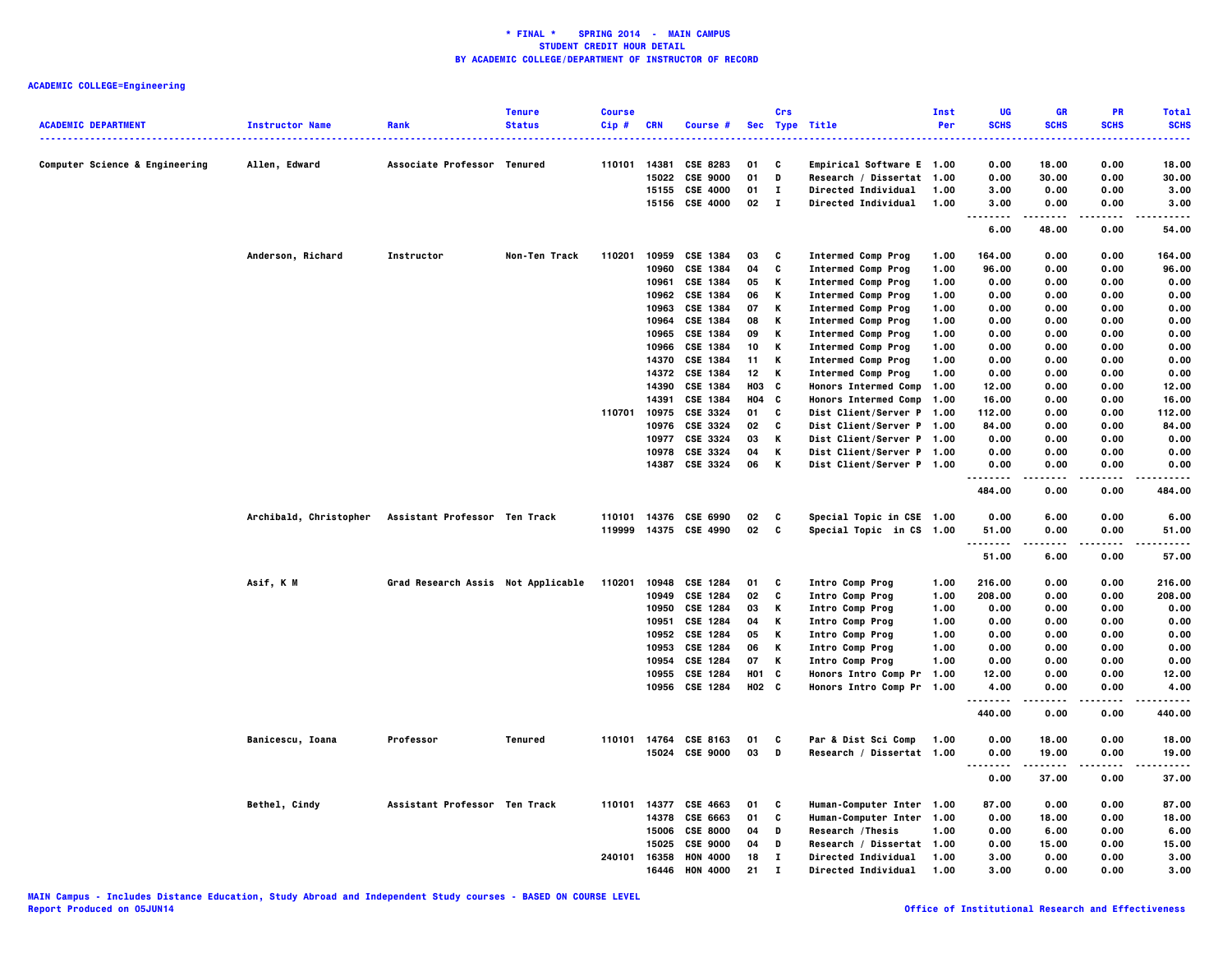|                                           |                        |                                    | <b>Tenure</b> | <b>Course</b> |            |                                  |            | Crs          |                                                  | <b>Inst</b> | UG                                | <b>GR</b>      | PR           | <b>Total</b>   |
|-------------------------------------------|------------------------|------------------------------------|---------------|---------------|------------|----------------------------------|------------|--------------|--------------------------------------------------|-------------|-----------------------------------|----------------|--------------|----------------|
| <b>ACADEMIC DEPARTMENT</b>                | <b>Instructor Name</b> | Rank                               | <b>Status</b> | Cip#          | <b>CRN</b> | Course #                         |            |              | Sec Type Title                                   | Per         | <b>SCHS</b>                       | <b>SCHS</b>    | <b>SCHS</b>  | <b>SCHS</b>    |
|                                           |                        |                                    |               |               |            |                                  |            |              |                                                  |             | .                                 |                |              | .              |
|                                           |                        |                                    |               |               |            |                                  |            |              |                                                  |             |                                   |                |              |                |
| <b>Computer Science &amp; Engineering</b> | Allen, Edward          | Associate Professor Tenured        |               | 110101        | 14381      | <b>CSE 8283</b>                  | 01         | C            | Empirical Software E 1.00                        |             | 0.00                              | 18.00          | 0.00         | 18.00          |
|                                           |                        |                                    |               |               | 15022      | <b>CSE 9000</b>                  | 01         | D            | Research / Dissertat 1.00                        |             | 0.00                              | 30.00          | 0.00         | 30.00          |
|                                           |                        |                                    |               |               | 15155      | <b>CSE 4000</b>                  | 01         | I.           | Directed Individual                              | 1.00        | 3.00                              | 0.00           | 0.00         | 3.00           |
|                                           |                        |                                    |               |               |            | 15156 CSE 4000                   | 02         | $\mathbf{I}$ | <b>Directed Individual</b>                       | 1.00        | 3.00                              | 0.00           | 0.00         | 3.00           |
|                                           |                        |                                    |               |               |            |                                  |            |              |                                                  |             | $\cdots$<br>$\sim$ $\sim$<br>6.00 | 48.00          | 0.00         | .<br>54.00     |
|                                           | Anderson, Richard      | Instructor                         | Non-Ten Track | 110201        | 10959      | <b>CSE 1384</b>                  | 03         | C            | <b>Intermed Comp Prog</b>                        | 1.00        | 164.00                            | 0.00           | 0.00         | 164.00         |
|                                           |                        |                                    |               |               | 10960      | <b>CSE 1384</b>                  | 04         | C            | <b>Intermed Comp Prog</b>                        | 1.00        | 96.00                             | 0.00           | 0.00         | 96.00          |
|                                           |                        |                                    |               |               | 10961      | CSE 1384                         | 05         | Κ            | <b>Intermed Comp Prog</b>                        | 1.00        | 0.00                              | 0.00           | 0.00         | 0.00           |
|                                           |                        |                                    |               |               |            | 10962 CSE 1384                   | 06         | Κ            | <b>Intermed Comp Prog</b>                        | 1.00        | 0.00                              | 0.00           | 0.00         | 0.00           |
|                                           |                        |                                    |               |               | 10963      | <b>CSE 1384</b>                  | 07         | Κ            | <b>Intermed Comp Prog</b>                        | 1.00        | 0.00                              | 0.00           | 0.00         | 0.00           |
|                                           |                        |                                    |               |               | 10964      | <b>CSE 1384</b>                  | 08         | Κ            | <b>Intermed Comp Prog</b>                        | 1.00        | 0.00                              | 0.00           | 0.00         | 0.00           |
|                                           |                        |                                    |               |               | 10965      | <b>CSE 1384</b>                  | 09         | Κ            | <b>Intermed Comp Prog</b>                        | 1.00        | 0.00                              | 0.00           | 0.00         | 0.00           |
|                                           |                        |                                    |               |               | 10966      | <b>CSE 1384</b>                  | 10         | Κ            | <b>Intermed Comp Prog</b>                        | 1.00        | 0.00                              | 0.00           | 0.00         | 0.00           |
|                                           |                        |                                    |               |               | 14370      | <b>CSE 1384</b>                  | 11         | Κ            | <b>Intermed Comp Prog</b>                        | 1.00        | 0.00                              | 0.00           | 0.00         | 0.00           |
|                                           |                        |                                    |               |               |            | 14372 CSE 1384                   | 12         | K            | <b>Intermed Comp Prog</b>                        | 1.00        | 0.00                              | 0.00           | 0.00         | 0.00           |
|                                           |                        |                                    |               |               |            | 14390 CSE 1384                   | ноз        | C            | <b>Honors Intermed Comp</b>                      | 1.00        | 12.00                             | 0.00           | 0.00         | 12.00          |
|                                           |                        |                                    |               |               |            |                                  |            |              |                                                  |             |                                   |                |              |                |
|                                           |                        |                                    |               |               | 14391      | CSE 1384                         | <b>HO4</b> | C            | Honors Intermed Comp 1.00                        |             | 16.00                             | 0.00           | 0.00         | 16.00          |
|                                           |                        |                                    |               | 110701        |            | 10975 CSE 3324                   | 01         | C            | Dist Client/Server P 1.00                        |             | 112.00                            | 0.00           | 0.00         | 112.00         |
|                                           |                        |                                    |               |               | 10976      | CSE 3324                         | 02         | C            | Dist Client/Server P 1.00                        |             | 84.00                             | 0.00           | 0.00         | 84.00          |
|                                           |                        |                                    |               |               |            | 10977 CSE 3324                   | 03         | Κ            | Dist Client/Server P 1.00                        |             | 0.00                              | 0.00           | 0.00         | 0.00           |
|                                           |                        |                                    |               |               | 10978      | CSE 3324                         | 04         | Κ            | Dist Client/Server P 1.00                        |             | 0.00                              | 0.00           | 0.00         | 0.00           |
|                                           |                        |                                    |               |               |            | 14387 CSE 3324                   | 06         | К            | Dist Client/Server P 1.00                        |             | 0.00                              | 0.00           | 0.00         | 0.00           |
|                                           |                        |                                    |               |               |            |                                  |            |              |                                                  |             | 484.00                            | 0.00           | 0.00         | 484.00         |
|                                           | Archibald, Christopher | Assistant Professor Ten Track      |               | 110101        |            | 14376 CSE 6990                   | 02         | C            | Special Topic in CSE 1.00                        |             | 0.00                              | 6.00           | 0.00         | 6.00           |
|                                           |                        |                                    |               |               |            | 119999 14375 CSE 4990            | 02         | C            | Special Topic in CS 1.00                         |             | 51.00                             | 0.00           | 0.00         | 51.00          |
|                                           |                        |                                    |               |               |            |                                  |            |              |                                                  |             | $\sim$ $\sim$ $\sim$              |                |              |                |
|                                           |                        |                                    |               |               |            |                                  |            |              |                                                  |             | 51.00                             | 6.00           | 0.00         | 57.00          |
|                                           | Asif, K M              | Grad Research Assis Not Applicable |               | 110201        |            | 10948 CSE 1284                   | 01         | C            | Intro Comp Prog                                  | 1.00        | 216.00                            | 0.00           | 0.00         | 216.00         |
|                                           |                        |                                    |               |               | 10949      | <b>CSE 1284</b>                  | 02         | c            | Intro Comp Prog                                  | 1.00        | 208.00                            | 0.00           | 0.00         | 208.00         |
|                                           |                        |                                    |               |               | 10950      | <b>CSE 1284</b>                  | 03         | Κ            | Intro Comp Prog                                  | 1.00        | 0.00                              | 0.00           | 0.00         | 0.00           |
|                                           |                        |                                    |               |               | 10951      | <b>CSE 1284</b>                  | 04         | Κ            | Intro Comp Prog                                  | 1.00        | 0.00                              | 0.00           | 0.00         | 0.00           |
|                                           |                        |                                    |               |               |            | 10952 CSE 1284                   | 05         | Κ            | Intro Comp Prog                                  | 1.00        | 0.00                              | 0.00           | 0.00         | 0.00           |
|                                           |                        |                                    |               |               | 10953      | <b>CSE 1284</b>                  | 06         | Κ            | Intro Comp Prog                                  | 1.00        | 0.00                              | 0.00           | 0.00         | 0.00           |
|                                           |                        |                                    |               |               | 10954      | <b>CSE 1284</b>                  | 07         | Κ            | Intro Comp Prog                                  | 1.00        | 0.00                              | 0.00           | 0.00         | 0.00           |
|                                           |                        |                                    |               |               |            | 10955 CSE 1284                   | <b>HO1</b> | C            | Honors Intro Comp Pr 1.00                        |             | 12.00                             | 0.00           | 0.00         | 12.00          |
|                                           |                        |                                    |               |               |            | 10956 CSE 1284                   | H02 C      |              | Honors Intro Comp Pr 1.00                        |             | 4.00                              | 0.00           | 0.00         | 4.00           |
|                                           |                        |                                    |               |               |            |                                  |            |              |                                                  |             | .<br>440.00                       | -----<br>0.00  | .<br>0.00    | .<br>440.00    |
|                                           |                        |                                    |               |               |            |                                  |            |              |                                                  |             |                                   |                |              |                |
|                                           | Banicescu, Ioana       | Professor                          | Tenured       | 110101        |            | 14764 CSE 8163<br>15024 CSE 9000 | 01<br>03   | C<br>D       | Par & Dist Sci Comp<br>Research / Dissertat 1.00 | 1.00        | 0.00<br>0.00                      | 18.00<br>19.00 | 0.00<br>0.00 | 18.00<br>19.00 |
|                                           |                        |                                    |               |               |            |                                  |            |              |                                                  |             |                                   |                |              |                |
|                                           |                        |                                    |               |               |            |                                  |            |              |                                                  |             | 0.00                              | 37.00          | 0.00         | 37.00          |
|                                           | Bethel, Cindy          | Assistant Professor Ten Track      |               | 110101        |            | 14377 CSE 4663                   | 01         | C            | Human-Computer Inter 1.00                        |             | 87.00                             | 0.00           | 0.00         | 87.00          |
|                                           |                        |                                    |               |               |            | 14378 CSE 6663                   | 01         | C            | Human-Computer Inter 1.00                        |             | 0.00                              | 18.00          | 0.00         | 18.00          |
|                                           |                        |                                    |               |               | 15006      | <b>CSE 8000</b>                  | 04         | D            | Research /Thesis                                 | 1.00        | 0.00                              | 6.00           | 0.00         | 6.00           |
|                                           |                        |                                    |               |               | 15025      | <b>CSE 9000</b>                  | 04         | D            | Research / Dissertat 1.00                        |             | 0.00                              | 15.00          | 0.00         | 15.00          |
|                                           |                        |                                    |               | 240101        | 16358      | <b>HON 4000</b>                  | 18         | $\bf{I}$     | Directed Individual                              | 1.00        | 3.00                              | 0.00           | 0.00         | 3.00           |
|                                           |                        |                                    |               |               | 16446      | <b>HON 4000</b>                  | 21         | $\mathbf{I}$ | Directed Individual                              | 1.00        | 3,00                              | 0.00           | 0.00         | 3.00           |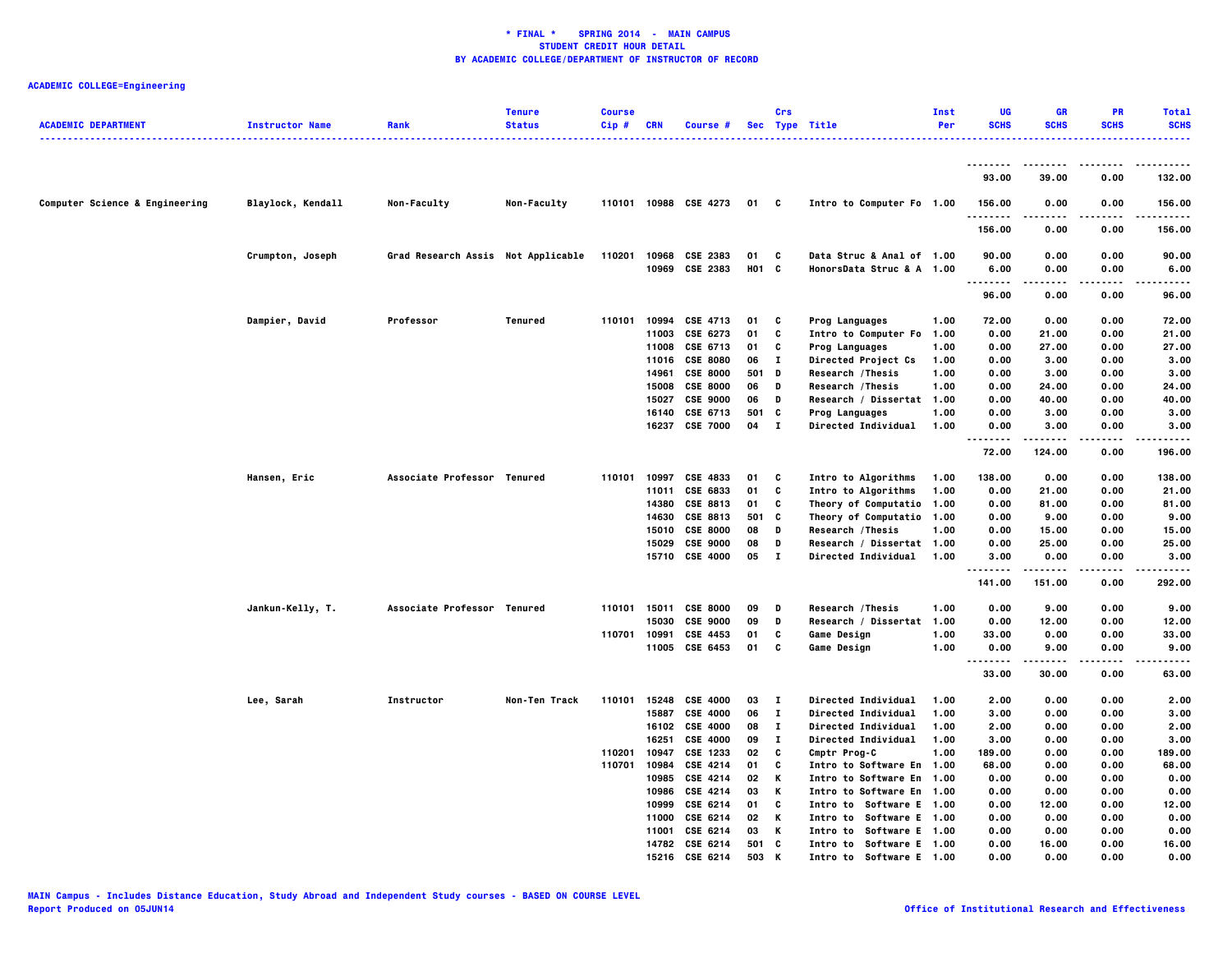| <b>ACADEMIC DEPARTMENT</b>     | <b>Instructor Name</b> | Rank                               | <b>Tenure</b><br><b>Status</b> | <b>Course</b><br>Cip# | <b>CRN</b> | Course #              |       | Crs          | Sec Type Title             | Inst<br>Per | UG<br><b>SCHS</b>  | <b>GR</b><br><b>SCHS</b> | <b>PR</b><br><b>SCHS</b> | <b>Total</b><br><b>SCHS</b><br>. |
|--------------------------------|------------------------|------------------------------------|--------------------------------|-----------------------|------------|-----------------------|-------|--------------|----------------------------|-------------|--------------------|--------------------------|--------------------------|----------------------------------|
|                                |                        |                                    |                                |                       |            |                       |       |              |                            |             | --------           | .                        | ----                     | .                                |
|                                |                        |                                    |                                |                       |            |                       |       |              |                            |             | 93.00              | 39.00                    | 0.00                     | 132.00                           |
| Computer Science & Engineering | Blaylock, Kendall      | Non-Faculty                        | Non-Faculty                    |                       |            | 110101 10988 CSE 4273 | 01 C  |              | Intro to Computer Fo 1.00  |             | 156.00<br>.        | 0.00                     | 0.00                     | 156.00<br>.                      |
|                                |                        |                                    |                                |                       |            |                       |       |              |                            |             | 156.00             | 0.00                     | 0.00                     | 156.00                           |
|                                | Crumpton, Joseph       | Grad Research Assis Not Applicable |                                | 110201                |            | 10968 CSE 2383        | 01    | - C          | Data Struc & Anal of 1.00  |             | 90.00              | 0.00                     | 0.00                     | 90.00                            |
|                                |                        |                                    |                                |                       |            | 10969 CSE 2383        | H01 C |              | HonorsData Struc & A 1.00  |             | 6.00<br>.          | 0.00                     | 0.00                     | 6.00                             |
|                                |                        |                                    |                                |                       |            |                       |       |              |                            |             | 96.00              | 0.00                     | 0.00                     | 96.00                            |
|                                | Dampier, David         | Professor                          | Tenured                        |                       |            | 110101 10994 CSE 4713 | 01    | $\mathbf{c}$ | Prog Languages             | 1.00        | 72.00              | 0.00                     | 0.00                     | 72.00                            |
|                                |                        |                                    |                                |                       | 11003      | CSE 6273              | 01    | C            | Intro to Computer Fo       | 1.00        | 0.00               | 21.00                    | 0.00                     | 21.00                            |
|                                |                        |                                    |                                |                       |            | 11008 CSE 6713        | 01    | c            | Prog Languages             | 1.00        | 0.00               | 27.00                    | 0.00                     | 27.00                            |
|                                |                        |                                    |                                |                       |            | 11016 CSE 8080        | 06    | п            | Directed Project Cs        | 1.00        | 0.00               | 3.00                     | 0.00                     | 3.00                             |
|                                |                        |                                    |                                |                       | 14961      | <b>CSE 8000</b>       | 501 D |              | Research / Thesis          | 1.00        | 0.00               | 3.00                     | 0.00                     | 3.00                             |
|                                |                        |                                    |                                |                       |            | 15008 CSE 8000        | 06    | D            | Research / Thesis          | 1.00        | 0.00               | 24.00                    | 0.00                     | 24.00                            |
|                                |                        |                                    |                                |                       | 15027      | <b>CSE 9000</b>       | 06    | D            | Research / Dissertat 1.00  |             | 0.00               | 40.00                    | 0.00                     | 40.00                            |
|                                |                        |                                    |                                |                       |            | 16140 CSE 6713        | 501   | C            | <b>Prog Languages</b>      | 1.00        | 0.00               | 3.00                     | 0.00                     | 3.00                             |
|                                |                        |                                    |                                |                       | 16237      | <b>CSE 7000</b>       | 04    | $\mathbf{I}$ | <b>Directed Individual</b> | 1.00        | 0.00               | 3.00                     | 0.00                     | 3.00                             |
|                                |                        |                                    |                                |                       |            |                       |       |              |                            |             | 72.00              | 124.00                   | 0.00                     | 196.00                           |
|                                | Hansen, Eric           | Associate Professor Tenured        |                                | 110101                |            | 10997 CSE 4833        | 01    | C            | Intro to Algorithms        | 1.00        | 138.00             | 0.00                     | 0.00                     | 138.00                           |
|                                |                        |                                    |                                |                       | 11011      | CSE 6833              | 01    | C            | Intro to Algorithms        | 1.00        | 0.00               | 21.00                    | 0.00                     | 21.00                            |
|                                |                        |                                    |                                |                       |            | 14380 CSE 8813        | 01    | C            | Theory of Computatio       | 1.00        | 0.00               | 81.00                    | 0.00                     | 81.00                            |
|                                |                        |                                    |                                |                       | 14630      | CSE 8813              | 501   | C            | Theory of Computatio 1.00  |             | 0.00               | 9.00                     | 0.00                     | 9.00                             |
|                                |                        |                                    |                                |                       | 15010      | <b>CSE 8000</b>       | 08    | D            | Research / Thesis          | 1.00        | 0.00               | 15.00                    | 0.00                     | 15.00                            |
|                                |                        |                                    |                                |                       |            | 15029 CSE 9000        | 08    | D            | Research / Dissertat 1.00  |             | 0.00               | 25.00                    | 0.00                     | 25.00                            |
|                                |                        |                                    |                                |                       |            | 15710 CSE 4000        | 05    | $\mathbf{I}$ | <b>Directed Individual</b> | 1.00        | 3.00               | 0.00                     | 0.00                     | 3.00                             |
|                                |                        |                                    |                                |                       |            |                       |       |              |                            |             | --------<br>141.00 | .<br>151.00              | .<br>0.00                | .<br>292.00                      |
|                                | Jankun-Kelly, T.       | Associate Professor Tenured        |                                | 110101                | 15011      | <b>CSE 8000</b>       | 09    | D            | Research / Thesis          | 1.00        | 0.00               | 9.00                     | 0.00                     | 9.00                             |
|                                |                        |                                    |                                |                       | 15030      | <b>CSE 9000</b>       | 09    | D            | Research / Dissertat       | 1.00        | 0.00               | 12.00                    | 0.00                     | 12.00                            |
|                                |                        |                                    |                                | 110701 10991          |            | CSE 4453              | 01    | c            | Game Design                | 1.00        | 33.00              | 0.00                     | 0.00                     | 33.00                            |
|                                |                        |                                    |                                |                       | 11005      | CSE 6453              | 01    | C            | <b>Game Design</b>         | 1.00        | 0.00               | 9.00                     | 0.00                     | 9.00                             |
|                                |                        |                                    |                                |                       |            |                       |       |              |                            |             | .<br>33.00         | .<br>30.00               | ----<br>0.00             | $- - - -$<br>63.00               |
|                                | Lee, Sarah             | Instructor                         | Non-Ten Track                  | 110101                |            | 15248 CSE 4000        | 03    | $\mathbf{I}$ | Directed Individual        | 1.00        | 2.00               | 0.00                     | 0.00                     | 2.00                             |
|                                |                        |                                    |                                |                       | 15887      | <b>CSE 4000</b>       | 06    | $\bf{I}$     | Directed Individual        | 1.00        | 3.00               | 0.00                     | 0.00                     | 3.00                             |
|                                |                        |                                    |                                |                       |            | 16102 CSE 4000        | 08    | $\mathbf{I}$ | Directed Individual        | 1.00        | 2.00               | 0.00                     | 0.00                     | 2.00                             |
|                                |                        |                                    |                                |                       | 16251      | <b>CSE 4000</b>       | 09    | $\mathbf{T}$ | Directed Individual        | 1.00        | 3.00               | 0.00                     | 0.00                     | 3.00                             |
|                                |                        |                                    |                                | 110201                | 10947      | CSE 1233              | 02    | C            | Cmptr Prog-C               | 1.00        | 189.00             | 0.00                     | 0.00                     | 189.00                           |
|                                |                        |                                    |                                | 110701                | 10984      | <b>CSE 4214</b>       | 01    | C            | Intro to Software En 1.00  |             | 68.00              | 0.00                     | 0.00                     | 68.00                            |
|                                |                        |                                    |                                |                       | 10985      | <b>CSE 4214</b>       | 02    | к            | Intro to Software En 1.00  |             | 0.00               | 0.00                     | 0.00                     | 0.00                             |
|                                |                        |                                    |                                |                       |            | 10986 CSE 4214        | 03    | К            | Intro to Software En 1.00  |             | 0.00               | 0.00                     | 0.00                     | 0.00                             |
|                                |                        |                                    |                                |                       | 10999      | CSE 6214              | 01    | C            | Intro to Software E 1.00   |             | 0.00               | 12.00                    | 0.00                     | 12.00                            |
|                                |                        |                                    |                                |                       |            | 11000 CSE 6214        | 02    | K            | Intro to Software E 1.00   |             | 0.00               | 0.00                     | 0.00                     | 0.00                             |
|                                |                        |                                    |                                |                       | 11001      | CSE 6214              | 03    | К            | Intro to Software E 1.00   |             | 0.00               | 0.00                     | 0.00                     | 0.00                             |
|                                |                        |                                    |                                |                       |            | 14782 CSE 6214        | 501   | c            | Intro to Software E 1.00   |             | 0.00               | 16.00                    | 0.00                     | 16.00                            |
|                                |                        |                                    |                                |                       |            | 15216 CSE 6214        | 503   | K            | Intro to Software E 1.00   |             | 0.00               | 0.00                     | 0.00                     | 0.00                             |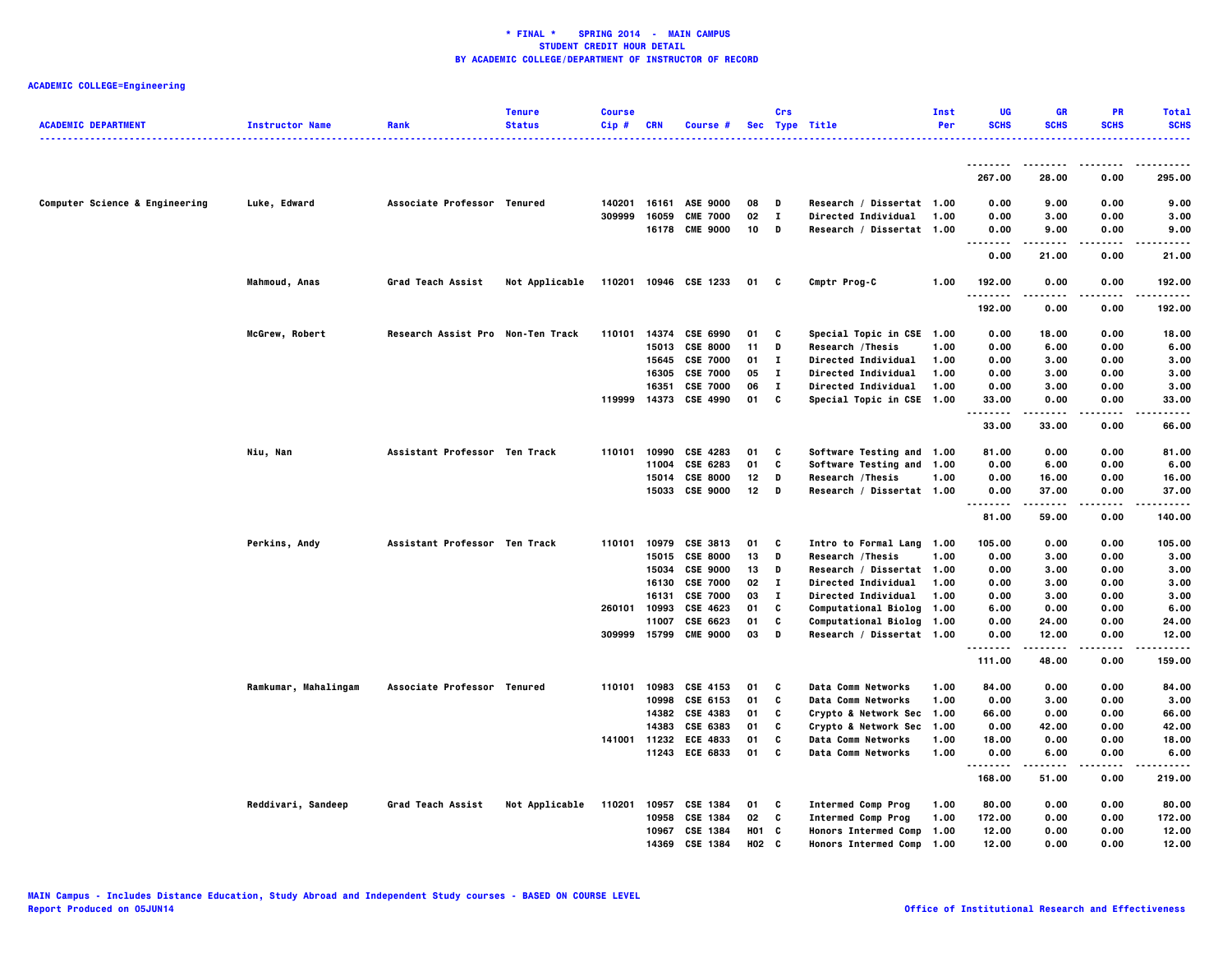|                                |                        |                                   | <b>Tenure</b>  | <b>Course</b> |            |                                    |            | Crs          |                             | Inst | UG                 | <b>GR</b>      | <b>PR</b>    | <b>Total</b> |
|--------------------------------|------------------------|-----------------------------------|----------------|---------------|------------|------------------------------------|------------|--------------|-----------------------------|------|--------------------|----------------|--------------|--------------|
| <b>ACADEMIC DEPARTMENT</b>     | <b>Instructor Name</b> | Rank                              | <b>Status</b>  | Cip#          | <b>CRN</b> | Course #                           |            |              | Sec Type Title              | Per  | <b>SCHS</b>        | <b>SCHS</b>    | <b>SCHS</b>  | <b>SCHS</b>  |
|                                |                        |                                   |                |               |            |                                    |            |              |                             |      |                    |                |              | .            |
|                                |                        |                                   |                |               |            |                                    |            |              |                             |      | --------           | --------       | .            | -----        |
|                                |                        |                                   |                |               |            |                                    |            |              |                             |      | 267.00             | 28.00          | 0.00         | 295.00       |
|                                |                        |                                   |                |               |            |                                    |            |              |                             |      |                    |                |              |              |
| Computer Science & Engineering | Luke, Edward           | Associate Professor Tenured       |                | 140201        |            | 16161 ASE 9000                     | 08         | D            | Research / Dissertat 1.00   |      | 0.00               | 9.00           | 0.00         | 9.00         |
|                                |                        |                                   |                | 309999        | 16059      | <b>CME 7000</b>                    | 02         | $\mathbf{I}$ | Directed Individual         | 1.00 | 0.00               | 3.00           | 0.00         | 3.00         |
|                                |                        |                                   |                |               |            | 16178 CME 9000                     | 10         | D            | Research / Dissertat 1.00   |      | 0.00               | 9.00           | 0.00         | 9.00         |
|                                |                        |                                   |                |               |            |                                    |            |              |                             |      |                    | .              | .            | .            |
|                                |                        |                                   |                |               |            |                                    |            |              |                             |      | 0.00               | 21.00          | 0.00         | 21.00        |
|                                | Mahmoud, Anas          | Grad Teach Assist                 | Not Applicable |               |            | 110201 10946 CSE 1233              | 01         | C            | Cmptr Prog-C                | 1.00 | 192.00             | 0.00           | 0.00         | 192.00       |
|                                |                        |                                   |                |               |            |                                    |            |              |                             |      |                    |                |              |              |
|                                |                        |                                   |                |               |            |                                    |            |              |                             |      | 192.00             | 0.00           | 0.00         | 192.00       |
|                                |                        |                                   |                |               |            |                                    |            |              |                             |      |                    |                |              |              |
|                                | McGrew, Robert         | Research Assist Pro Non-Ten Track |                | 110101        |            | 14374 CSE 6990                     | 01         | C            | Special Topic in CSE 1.00   |      | 0.00               | 18.00          | 0.00         | 18.00        |
|                                |                        |                                   |                |               | 15013      | <b>CSE 8000</b>                    | 11         | D            | Research / Thesis           | 1.00 | 0.00               | 6.00           | 0.00         | 6.00         |
|                                |                        |                                   |                |               | 15645      | <b>CSE 7000</b>                    | 01         | $\mathbf{I}$ | Directed Individual         | 1.00 | 0.00               | 3.00           | 0.00         | 3.00         |
|                                |                        |                                   |                |               | 16305      | <b>CSE 7000</b>                    | 05         | $\bf{I}$     | <b>Directed Individual</b>  | 1.00 | 0.00               | 3.00           | 0.00         | 3.00         |
|                                |                        |                                   |                |               | 16351      | <b>CSE 7000</b><br><b>CSE 4990</b> | 06         | л.<br>C      | <b>Directed Individual</b>  | 1.00 | 0.00<br>33.00      | 3.00<br>0.00   | 0.00<br>0.00 | 3.00         |
|                                |                        |                                   |                | 119999        | 14373      |                                    | 01         |              | Special Topic in CSE 1.00   |      | .                  | -----          | .            | 33.00<br>.   |
|                                |                        |                                   |                |               |            |                                    |            |              |                             |      | 33.00              | 33.00          | 0.00         | 66.00        |
|                                |                        |                                   |                |               |            |                                    |            |              |                             |      |                    |                |              |              |
|                                | Niu, Nan               | Assistant Professor Ten Track     |                | 110101        |            | 10990 CSE 4283                     | 01         | C            | Software Testing and 1.00   |      | 81.00              | 0.00           | 0.00         | 81.00        |
|                                |                        |                                   |                |               | 11004      | CSE 6283                           | 01         | C            | Software Testing and 1.00   |      | 0.00               | 6.00           | 0.00         | 6.00         |
|                                |                        |                                   |                |               | 15014      | <b>CSE 8000</b>                    | 12         | D            | <b>Research /Thesis</b>     | 1.00 | 0.00               | 16.00          | 0.00         | 16.00        |
|                                |                        |                                   |                |               |            | 15033 CSE 9000                     | 12         | D            | Research / Dissertat 1.00   |      | 0.00               | 37.00          | 0.00         | 37.00        |
|                                |                        |                                   |                |               |            |                                    |            |              |                             |      | .                  | .              | .            | .            |
|                                |                        |                                   |                |               |            |                                    |            |              |                             |      | 81.00              | 59.00          | 0.00         | 140.00       |
|                                | Perkins, Andy          | Assistant Professor Ten Track     |                | 110101        | 10979      | <b>CSE 3813</b>                    | 01         | C            | Intro to Formal Lang 1.00   |      | 105.00             | 0.00           | 0.00         | 105.00       |
|                                |                        |                                   |                |               |            | 15015 CSE 8000                     | 13         | D            | Research / Thesis           | 1.00 | 0.00               | 3.00           | 0.00         | 3.00         |
|                                |                        |                                   |                |               | 15034      | <b>CSE 9000</b>                    | 13         | D            | Research / Dissertat 1.00   |      | 0.00               | 3.00           | 0.00         | 3.00         |
|                                |                        |                                   |                |               | 16130      | <b>CSE 7000</b>                    | 02         | $\mathbf{I}$ | <b>Directed Individual</b>  | 1.00 | 0.00               | 3.00           | 0.00         | 3.00         |
|                                |                        |                                   |                |               | 16131      | <b>CSE 7000</b>                    | 03         | $\mathbf{I}$ | Directed Individual         | 1.00 | 0.00               | 3,00           | 0.00         | 3,00         |
|                                |                        |                                   |                | 260101        | 10993      | CSE 4623                           | 01         | C            | <b>Computational Biolog</b> | 1.00 | 6.00               | 0.00           | 0.00         | 6.00         |
|                                |                        |                                   |                |               | 11007      | CSE 6623                           | 01         | c            | Computational Biolog 1.00   |      | 0.00               | 24.00          | 0.00         | 24.00        |
|                                |                        |                                   |                |               |            | 309999 15799 CME 9000              | 03         | D            | Research / Dissertat 1.00   |      | 0.00<br>.          | 12.00<br>----- | 0.00<br>.    | 12.00<br>.   |
|                                |                        |                                   |                |               |            |                                    |            |              |                             |      | 111.00             | 48.00          | 0.00         | 159.00       |
|                                |                        |                                   |                |               |            |                                    |            |              |                             |      |                    |                |              |              |
|                                | Ramkumar, Mahalingam   | Associate Professor Tenured       |                | 110101        | 10983      | <b>CSE 4153</b>                    | 01         | C            | <b>Data Comm Networks</b>   | 1.00 | 84.00              | 0.00           | 0.00         | 84.00        |
|                                |                        |                                   |                |               | 10998      | CSE 6153                           | 01         | C            | Data Comm Networks          | 1.00 | 0.00               | 3,00           | 0.00         | 3.00         |
|                                |                        |                                   |                |               | 14382      | CSE 4383                           | 01         | c            | Crypto & Network Sec 1.00   |      | 66.00              | 0.00           | 0.00         | 66.00        |
|                                |                        |                                   |                |               | 14383      | CSE 6383                           | 01         | c            | Crypto & Network Sec        | 1.00 | 0.00               | 42.00          | 0.00         | 42.00        |
|                                |                        |                                   |                | 141001        | 11232      | <b>ECE 4833</b>                    | 01         | c            | <b>Data Comm Networks</b>   | 1.00 | 18.00              | 0.00           | 0.00         | 18,00        |
|                                |                        |                                   |                |               |            | 11243 ECE 6833                     | 01         | C            | <b>Data Comm Networks</b>   | 1.00 | 0.00               | 6.00           | 0.00         | 6.00         |
|                                |                        |                                   |                |               |            |                                    |            |              |                             |      | <u>.</u><br>168.00 | .<br>51.00     | .<br>0.00    | .<br>219.00  |
|                                |                        |                                   |                |               |            |                                    |            |              |                             |      |                    |                |              |              |
|                                | Reddivari, Sandeep     | Grad Teach Assist                 | Not Applicable | 110201        |            | 10957 CSE 1384                     | 01         | C            | <b>Intermed Comp Prog</b>   | 1.00 | 80.00              | 0.00           | 0.00         | 80.00        |
|                                |                        |                                   |                |               | 10958      | CSE 1384                           | 02         | C            | <b>Intermed Comp Prog</b>   | 1.00 | 172.00             | 0.00           | 0.00         | 172.00       |
|                                |                        |                                   |                |               |            | 10967 CSE 1384                     | <b>HO1</b> | C            | <b>Honors Intermed Comp</b> | 1.00 | 12.00              | 0.00           | 0.00         | 12.00        |
|                                |                        |                                   |                |               | 14369      | <b>CSE 1384</b>                    | HO2        | c            | <b>Honors Intermed Comp</b> | 1.00 | 12.00              | 0.00           | 0.00         | 12.00        |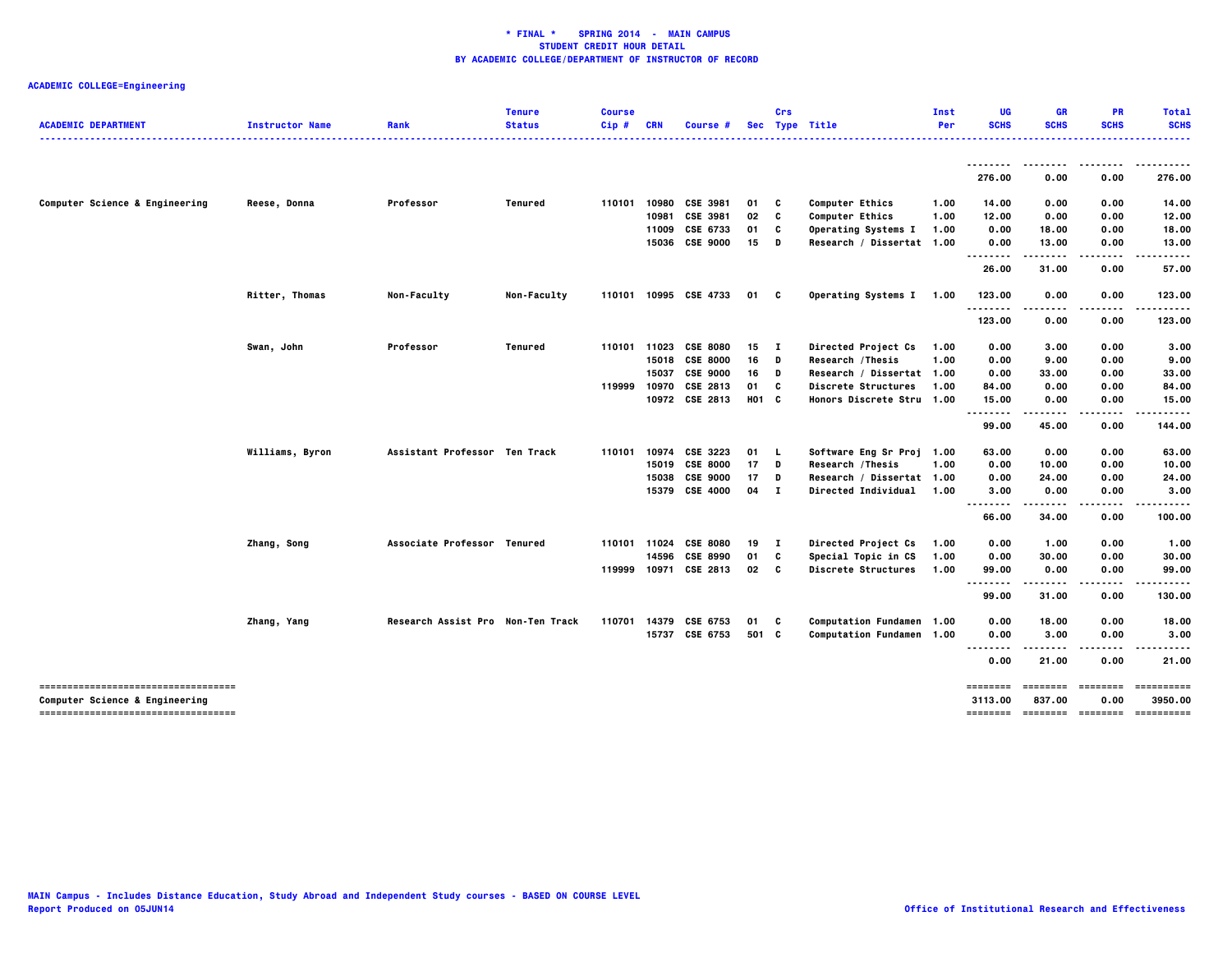| <b>ACADEMIC DEPARTMENT</b>                                            | <b>Instructor Name</b> | Rank                              | <b>Tenure</b><br><b>Status</b> | <b>Course</b><br>Cip# | <b>CRN</b>   | Course #              |       | Crs          | Sec Type Title             | Inst<br>Per | UG<br><b>SCHS</b>        | GR<br><b>SCHS</b>                                                       | <b>PR</b><br><b>SCHS</b> | <b>Total</b><br><b>SCHS</b>                                                                                                                                                                                                                                                                                                                                                                                                                                                            |
|-----------------------------------------------------------------------|------------------------|-----------------------------------|--------------------------------|-----------------------|--------------|-----------------------|-------|--------------|----------------------------|-------------|--------------------------|-------------------------------------------------------------------------|--------------------------|----------------------------------------------------------------------------------------------------------------------------------------------------------------------------------------------------------------------------------------------------------------------------------------------------------------------------------------------------------------------------------------------------------------------------------------------------------------------------------------|
|                                                                       |                        |                                   |                                |                       |              |                       |       |              |                            |             |                          |                                                                         |                          |                                                                                                                                                                                                                                                                                                                                                                                                                                                                                        |
|                                                                       |                        |                                   |                                |                       |              |                       |       |              |                            |             | --------<br>276.00       | 0.00                                                                    | 0.00                     | .<br>276.00                                                                                                                                                                                                                                                                                                                                                                                                                                                                            |
| Computer Science & Engineering                                        | Reese, Donna           | Professor                         | Tenured                        |                       |              | 110101 10980 CSE 3981 | 01    | C            | <b>Computer Ethics</b>     | 1.00        | 14.00                    | 0.00                                                                    | 0.00                     | 14.00                                                                                                                                                                                                                                                                                                                                                                                                                                                                                  |
|                                                                       |                        |                                   |                                |                       | 10981        | CSE 3981              | 02    | c            | <b>Computer Ethics</b>     | 1.00        | 12.00                    | 0.00                                                                    | 0.00                     | 12.00                                                                                                                                                                                                                                                                                                                                                                                                                                                                                  |
|                                                                       |                        |                                   |                                |                       | 11009        | CSE 6733              | 01    | C            | Operating Systems I        | 1.00        | 0.00                     | 18.00                                                                   | 0.00                     | 18.00                                                                                                                                                                                                                                                                                                                                                                                                                                                                                  |
|                                                                       |                        |                                   |                                |                       |              | 15036 CSE 9000        | 15    | D            | Research / Dissertat 1.00  |             | 0.00<br>--------         | 13.00                                                                   | 0.00                     | 13.00                                                                                                                                                                                                                                                                                                                                                                                                                                                                                  |
|                                                                       |                        |                                   |                                |                       |              |                       |       |              |                            |             | 26.00                    | 31.00                                                                   | 0.00                     | 57.00                                                                                                                                                                                                                                                                                                                                                                                                                                                                                  |
|                                                                       | <b>Ritter, Thomas</b>  | <b>Non-Faculty</b>                | <b>Non-Faculty</b>             |                       |              | 110101 10995 CSE 4733 | 01    | c            | Operating Systems I 1.00   |             | 123.00                   | 0.00                                                                    | 0.00                     | 123.00                                                                                                                                                                                                                                                                                                                                                                                                                                                                                 |
|                                                                       |                        |                                   |                                |                       |              |                       |       |              |                            |             | --------<br>123.00       | $- - -$<br>0.00                                                         | ----<br>0.00             | .<br>123.00                                                                                                                                                                                                                                                                                                                                                                                                                                                                            |
|                                                                       | Swan, John             | Professor                         | <b>Tenured</b>                 |                       | 110101 11023 | <b>CSE 8080</b>       | 15    | л.           | Directed Project Cs        | 1.00        | 0.00                     | 3.00                                                                    | 0.00                     | 3.00                                                                                                                                                                                                                                                                                                                                                                                                                                                                                   |
|                                                                       |                        |                                   |                                |                       |              | 15018 CSE 8000        | 16    | D            | Research / Thesis          | 1.00        | 0.00                     | 9.00                                                                    | 0.00                     | 9.00                                                                                                                                                                                                                                                                                                                                                                                                                                                                                   |
|                                                                       |                        |                                   |                                |                       | 15037        | <b>CSE 9000</b>       | 16    | D            | Research / Dissertat 1.00  |             | 0.00                     | 33.00                                                                   | 0.00                     | 33.00                                                                                                                                                                                                                                                                                                                                                                                                                                                                                  |
|                                                                       |                        |                                   |                                | 119999                | 10970        | CSE 2813              | 01    | c            | Discrete Structures        | 1.00        | 84.00                    | 0.00                                                                    | 0.00                     | 84.00                                                                                                                                                                                                                                                                                                                                                                                                                                                                                  |
|                                                                       |                        |                                   |                                |                       |              | 10972 CSE 2813        | H01 C |              | Honors Discrete Stru 1.00  |             | 15.00<br>.<br>           | 0.00                                                                    | 0.00                     | 15.00                                                                                                                                                                                                                                                                                                                                                                                                                                                                                  |
|                                                                       |                        |                                   |                                |                       |              |                       |       |              |                            |             | 99.00                    | 45.00                                                                   | 0.00                     | 144.00                                                                                                                                                                                                                                                                                                                                                                                                                                                                                 |
|                                                                       | Williams, Byron        | Assistant Professor Ten Track     |                                | 110101                | 10974        | CSE 3223              | 01    | L.           | Software Eng Sr Proj 1.00  |             | 63.00                    | 0.00                                                                    | 0.00                     | 63.00                                                                                                                                                                                                                                                                                                                                                                                                                                                                                  |
|                                                                       |                        |                                   |                                |                       | 15019        | <b>CSE 8000</b>       | 17    | D            | Research / Thesis          | 1.00        | 0.00                     | 10.00                                                                   | 0.00                     | 10.00                                                                                                                                                                                                                                                                                                                                                                                                                                                                                  |
|                                                                       |                        |                                   |                                |                       | 15038        | <b>CSE 9000</b>       | 17    | D            | Research / Dissertat 1.00  |             | 0.00                     | 24.00                                                                   | 0.00                     | 24.00                                                                                                                                                                                                                                                                                                                                                                                                                                                                                  |
|                                                                       |                        |                                   |                                |                       |              | 15379 CSE 4000        | 04    | $\mathbf{I}$ | Directed Individual 1.00   |             | 3.00<br>$- - - -$<br>- - | 0.00<br>-----                                                           | 0.00<br>.                | 3.00<br>------                                                                                                                                                                                                                                                                                                                                                                                                                                                                         |
|                                                                       |                        |                                   |                                |                       |              |                       |       |              |                            |             | 66.00                    | 34.00                                                                   | 0.00                     | 100.00                                                                                                                                                                                                                                                                                                                                                                                                                                                                                 |
|                                                                       | Zhang, Song            | Associate Professor Tenured       |                                |                       | 110101 11024 | <b>CSE 8080</b>       | 19    | $\mathbf{I}$ | Directed Project Cs        | 1.00        | 0.00                     | 1.00                                                                    | 0.00                     | 1.00                                                                                                                                                                                                                                                                                                                                                                                                                                                                                   |
|                                                                       |                        |                                   |                                |                       | 14596        | <b>CSE 8990</b>       | 01    | c            | Special Topic in CS        | 1.00        | 0.00                     | 30.00                                                                   | 0.00                     | 30.00                                                                                                                                                                                                                                                                                                                                                                                                                                                                                  |
|                                                                       |                        |                                   |                                |                       |              | 119999 10971 CSE 2813 | 02    | $\mathbf{c}$ | <b>Discrete Structures</b> | 1.00        | 99.00<br>                | 0.00                                                                    | 0.00                     | 99.00                                                                                                                                                                                                                                                                                                                                                                                                                                                                                  |
|                                                                       |                        |                                   |                                |                       |              |                       |       |              |                            |             | 99.00                    | 31.00                                                                   | 0.00                     | 130.00                                                                                                                                                                                                                                                                                                                                                                                                                                                                                 |
|                                                                       | Zhang, Yang            | Research Assist Pro Non-Ten Track |                                | 110701                | 14379        | CSE 6753              | 01    | C            | Computation Fundamen 1.00  |             | 0.00                     | 18.00                                                                   | 0.00                     | 18.00                                                                                                                                                                                                                                                                                                                                                                                                                                                                                  |
|                                                                       |                        |                                   |                                |                       | 15737        | CSE 6753              | 501 C |              | Computation Fundamen 1.00  |             | 0.00                     | 3.00                                                                    | 0.00                     | 3.00                                                                                                                                                                                                                                                                                                                                                                                                                                                                                   |
|                                                                       |                        |                                   |                                |                       |              |                       |       |              |                            |             | <br>0.00                 | 21.00                                                                   | 0.00                     | 21.00                                                                                                                                                                                                                                                                                                                                                                                                                                                                                  |
| -----------------------------------                                   |                        |                                   |                                |                       |              |                       |       |              |                            |             | ========                 | $\qquad \qquad \equiv \equiv \equiv \equiv \equiv \equiv \equiv \equiv$ |                          | $\begin{array}{cccccccccc} \multicolumn{2}{c}{} & \multicolumn{2}{c}{} & \multicolumn{2}{c}{} & \multicolumn{2}{c}{} & \multicolumn{2}{c}{} & \multicolumn{2}{c}{} & \multicolumn{2}{c}{} & \multicolumn{2}{c}{} & \multicolumn{2}{c}{} & \multicolumn{2}{c}{} & \multicolumn{2}{c}{} & \multicolumn{2}{c}{} & \multicolumn{2}{c}{} & \multicolumn{2}{c}{} & \multicolumn{2}{c}{} & \multicolumn{2}{c}{} & \multicolumn{2}{c}{} & \multicolumn{2}{c}{} & \multicolumn{2}{c}{} & \mult$ |
| Computer Science & Engineering<br>----------------------------------- |                        |                                   |                                |                       |              |                       |       |              |                            |             | 3113.00                  | 837.00                                                                  | 0.00                     | 3950.00                                                                                                                                                                                                                                                                                                                                                                                                                                                                                |
|                                                                       |                        |                                   |                                |                       |              |                       |       |              |                            |             |                          |                                                                         |                          |                                                                                                                                                                                                                                                                                                                                                                                                                                                                                        |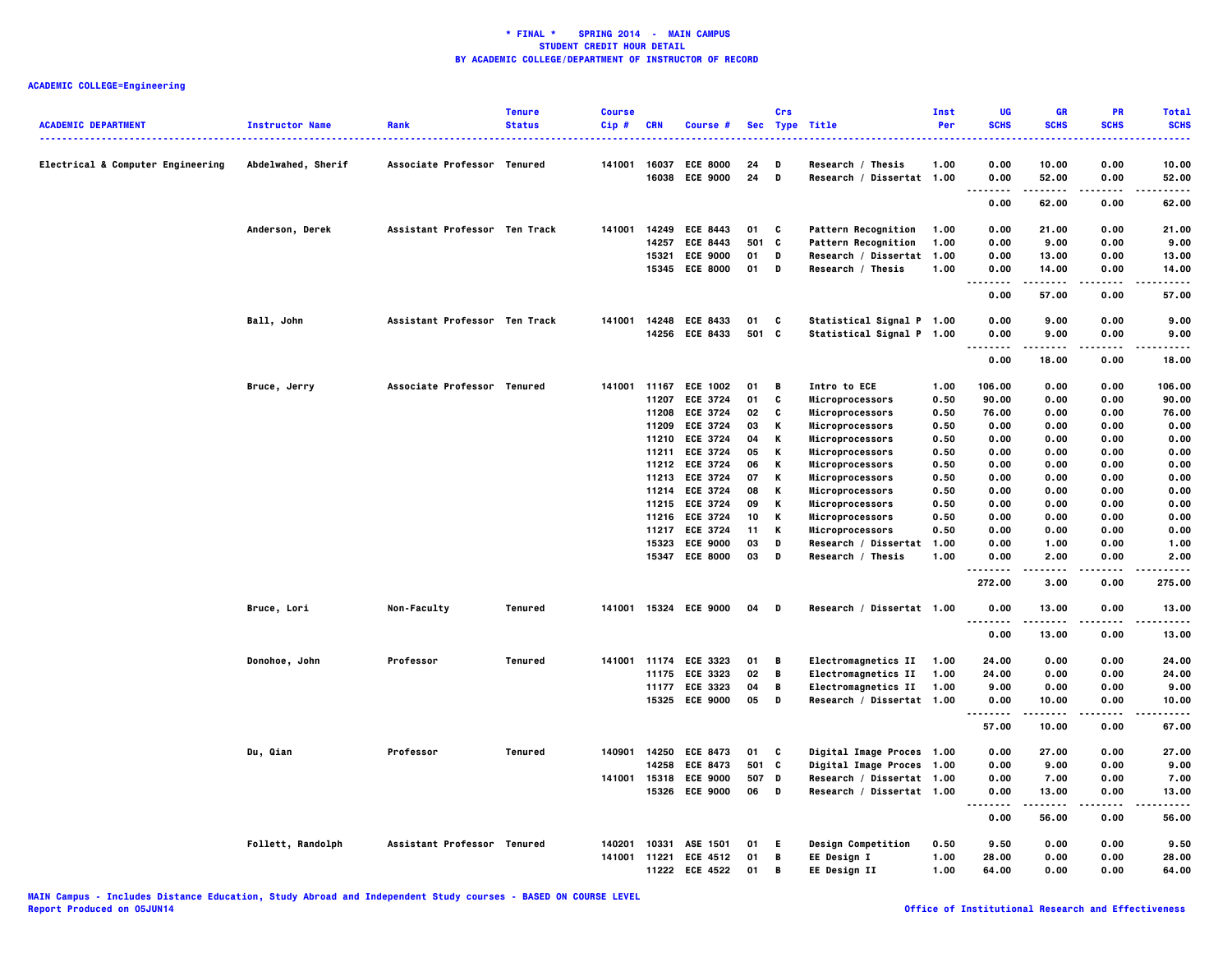|                                   |                        |                               | <b>Tenure</b>  | <b>Course</b> |            |                       |       | Crs |                            | <b>Inst</b> | UG                                | <b>GR</b>   | PR          | <b>Total</b> |
|-----------------------------------|------------------------|-------------------------------|----------------|---------------|------------|-----------------------|-------|-----|----------------------------|-------------|-----------------------------------|-------------|-------------|--------------|
| <b>ACADEMIC DEPARTMENT</b>        | <b>Instructor Name</b> | Rank                          | <b>Status</b>  | Cip#          | <b>CRN</b> | Course #              |       |     | Sec Type Title             | Per         | <b>SCHS</b>                       | <b>SCHS</b> | <b>SCHS</b> | <b>SCHS</b>  |
| Electrical & Computer Engineering | Abdelwahed, Sherif     | Associate Professor Tenured   |                | 141001        | 16037      | <b>ECE 8000</b>       | 24    | D   | Research / Thesis          | 1.00        | 0.00                              | 10.00       | 0.00        | 10.00        |
|                                   |                        |                               |                |               | 16038      | <b>ECE 9000</b>       | 24    | D   | Research / Dissertat 1.00  |             | 0.00                              | 52.00       | 0.00        | 52.00        |
|                                   |                        |                               |                |               |            |                       |       |     |                            |             | .<br>0.00                         | .<br>62.00  | .<br>0.00   | .<br>62.00   |
|                                   | Anderson, Derek        | Assistant Professor Ten Track |                | 141001        |            | 14249 ECE 8443        | 01    | C   | <b>Pattern Recognition</b> | 1.00        | 0.00                              | 21.00       | 0.00        | 21.00        |
|                                   |                        |                               |                |               | 14257      | <b>ECE 8443</b>       | 501   | C   | Pattern Recognition        | 1.00        | 0.00                              | 9.00        | 0.00        | 9.00         |
|                                   |                        |                               |                |               |            | 15321 ECE 9000        | 01    | D   | Research / Dissertat 1.00  |             | 0.00                              | 13.00       | 0.00        | 13.00        |
|                                   |                        |                               |                |               |            | 15345 ECE 8000        | 01    | D   | Research / Thesis          | 1.00        | 0.00                              | 14.00       | 0.00        | 14.00        |
|                                   |                        |                               |                |               |            |                       |       |     |                            |             | $\ddotsc$<br>.<br>0.00            | 57.00       | 0.00        | 57.00        |
|                                   | Ball, John             | Assistant Professor Ten Track |                | 141001        |            | 14248 ECE 8433        | 01    | C   | Statistical Signal P 1.00  |             | 0.00                              | 9.00        | 0.00        | 9.00         |
|                                   |                        |                               |                |               |            | 14256 ECE 8433        | 501 C |     | Statistical Signal P 1.00  |             | 0.00<br><br>.                     | 9.00        | 0.00        | 9.00         |
|                                   |                        |                               |                |               |            |                       |       |     |                            |             | 0.00                              | 18.00       | 0.00        | 18.00        |
|                                   | Bruce, Jerry           | Associate Professor Tenured   |                |               |            | 141001 11167 ECE 1002 | 01    | В   | Intro to ECE               | 1.00        | 106.00                            | 0.00        | 0.00        | 106.00       |
|                                   |                        |                               |                |               | 11207      | <b>ECE 3724</b>       | 01    | c   | Microprocessors            | 0.50        | 90.00                             | 0.00        | 0.00        | 90.00        |
|                                   |                        |                               |                |               | 11208      | <b>ECE 3724</b>       | 02    | c   | Microprocessors            | 0.50        | 76.00                             | 0.00        | 0.00        | 76.00        |
|                                   |                        |                               |                |               | 11209      | <b>ECE 3724</b>       | 03    | Κ   | Microprocessors            | 0.50        | 0.00                              | 0.00        | 0.00        | 0.00         |
|                                   |                        |                               |                |               |            | 11210 ECE 3724        | 04    | Κ   | Microprocessors            | 0.50        | 0.00                              | 0.00        | 0.00        | 0.00         |
|                                   |                        |                               |                |               | 11211      | <b>ECE 3724</b>       | 05    | Κ   | Microprocessors            | 0.50        | 0.00                              | 0.00        | 0.00        | 0.00         |
|                                   |                        |                               |                |               |            | 11212 ECE 3724        | 06    | Κ   | Microprocessors            | 0.50        | 0.00                              | 0.00        | 0.00        | 0.00         |
|                                   |                        |                               |                |               | 11213      | <b>ECE 3724</b>       | 07    | Κ   | Microprocessors            | 0.50        | 0.00                              | 0.00        | 0.00        | 0.00         |
|                                   |                        |                               |                |               |            | 11214 ECE 3724        | 08    | Κ   | Microprocessors            | 0.50        | 0.00                              | 0.00        | 0.00        | 0.00         |
|                                   |                        |                               |                |               | 11215      | <b>ECE 3724</b>       | 09    | Κ   | Microprocessors            | 0.50        | 0.00                              | 0.00        | 0.00        | 0.00         |
|                                   |                        |                               |                |               | 11216      | <b>ECE 3724</b>       | 10    | Κ   | Microprocessors            | 0.50        | 0.00                              | 0.00        | 0.00        | 0.00         |
|                                   |                        |                               |                |               |            | 11217 ECE 3724        | 11    | Κ   | Microprocessors            | 0.50        | 0.00                              | 0.00        | 0.00        | 0.00         |
|                                   |                        |                               |                |               | 15323      | <b>ECE 9000</b>       | 03    | D   | Research / Dissertat       | 1.00        | 0.00                              | 1.00        | 0.00        | 1.00         |
|                                   |                        |                               |                |               | 15347      | <b>ECE 8000</b>       | 03    | D   | Research / Thesis          | 1.00        | 0.00<br>.<br>$\sim$ $\sim$ $\sim$ | 2.00        | 0.00        | 2.00         |
|                                   |                        |                               |                |               |            |                       |       |     |                            |             | 272.00                            | 3.00        | 0.00        | 275.00       |
|                                   | Bruce, Lori            | Non-Faculty                   | Tenured        |               |            | 141001 15324 ECE 9000 | 04    | D   | Research / Dissertat 1.00  |             | 0.00<br>$\sim$ $\sim$ $\sim$      | 13.00       | 0.00        | 13.00        |
|                                   |                        |                               |                |               |            |                       |       |     |                            |             | 0.00                              | 13.00       | 0.00        | 13.00        |
|                                   | Donohoe, John          | Professor                     | Tenured        | 141001        |            | 11174 ECE 3323        | 01    | в   | Electromagnetics II        | 1.00        | 24.00                             | 0.00        | 0.00        | 24.00        |
|                                   |                        |                               |                |               | 11175      | <b>ECE 3323</b>       | 02    | В   | Electromagnetics II        | 1.00        | 24.00                             | 0.00        | 0.00        | 24.00        |
|                                   |                        |                               |                |               |            | 11177 ECE 3323        | 04    | В   | Electromagnetics II        | 1.00        | 9.00                              | 0.00        | 0.00        | 9.00         |
|                                   |                        |                               |                |               | 15325      | <b>ECE 9000</b>       | 05    | D   | Research / Dissertat 1.00  |             | 0.00<br>$\ddotsc$<br>-----        | 10.00       | 0.00        | 10.00        |
|                                   |                        |                               |                |               |            |                       |       |     |                            |             | 57.00                             | 10.00       | 0.00        | 67.00        |
|                                   | Du, Qian               | Professor                     | <b>Tenured</b> | 140901        | 14250      | <b>ECE 8473</b>       | 01    | C   | Digital Image Proces 1.00  |             | 0.00                              | 27.00       | 0.00        | 27.00        |
|                                   |                        |                               |                |               | 14258      | <b>ECE 8473</b>       | 501 C |     | Digital Image Proces 1.00  |             | 0.00                              | 9.00        | 0.00        | 9.00         |
|                                   |                        |                               |                | 141001        | 15318      | <b>ECE 9000</b>       | 507 D |     | Research / Dissertat 1.00  |             | 0.00                              | 7.00        | 0.00        | 7.00         |
|                                   |                        |                               |                |               | 15326      | <b>ECE 9000</b>       | 06    | D   | Research / Dissertat 1.00  |             | 0.00<br>.<br>$- - -$              | 13.00<br>.  | 0.00<br>.   | 13.00<br>.   |
|                                   |                        |                               |                |               |            |                       |       |     |                            |             | 0.00                              | 56.00       | 0.00        | 56.00        |
|                                   | Follett, Randolph      | Assistant Professor Tenured   |                | 140201        | 10331      | ASE 1501              | 01    | Е.  | Design Competition         | 0.50        | 9.50                              | 0.00        | 0.00        | 9.50         |
|                                   |                        |                               |                |               |            | 141001 11221 ECE 4512 | 01    | В   | EE Design I                | 1.00        | 28.00                             | 0.00        | 0.00        | 28.00        |
|                                   |                        |                               |                |               | 11222      | <b>ECE 4522</b>       | 01    | в   | EE Design II               | 1.00        | 64.00                             | 0.00        | 0.00        | 64.00        |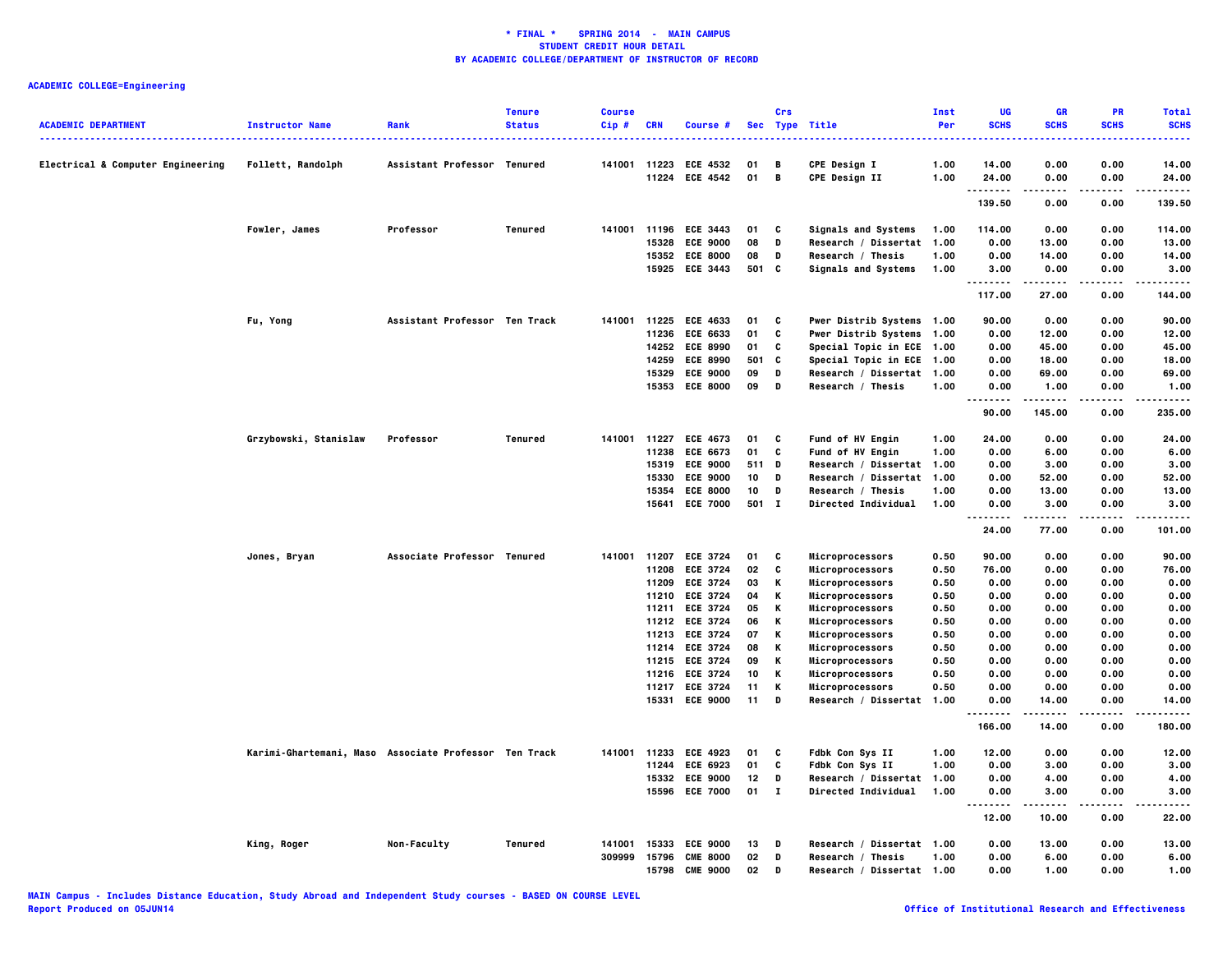|                                   |                                                       |                               | <b>Tenure</b> | <b>Course</b> |            |                                   |          | Crs            |                                           | Inst         | <b>UG</b>     | GR             | PR                | <b>Total</b>   |
|-----------------------------------|-------------------------------------------------------|-------------------------------|---------------|---------------|------------|-----------------------------------|----------|----------------|-------------------------------------------|--------------|---------------|----------------|-------------------|----------------|
| <b>ACADEMIC DEPARTMENT</b>        | <b>Instructor Name</b>                                | Rank                          | <b>Status</b> | Cip#          | <b>CRN</b> | Course #                          |          |                | Sec Type Title                            | Per          | <b>SCHS</b>   | <b>SCHS</b>    | <b>SCHS</b>       | <b>SCHS</b>    |
|                                   |                                                       |                               |               |               |            |                                   |          |                |                                           |              |               |                |                   | .              |
| Electrical & Computer Engineering | Follett, Randolph                                     | Assistant Professor Tenured   |               |               |            | 141001 11223 ECE 4532             | 01       | B              | <b>CPE Design I</b>                       | 1.00         | 14.00         | 0.00           | 0.00              | 14.00          |
|                                   |                                                       |                               |               |               |            | 11224 ECE 4542                    | 01       | $\overline{B}$ | <b>CPE Design II</b>                      | 1.00         | 24.00         | 0.00           | 0.00              | 24.00          |
|                                   |                                                       |                               |               |               |            |                                   |          |                |                                           |              | .<br>139.50   | 0.00           | 0.00              | .<br>139.50    |
|                                   |                                                       |                               |               |               |            |                                   |          |                |                                           |              |               |                |                   |                |
|                                   | Fowler, James                                         | Professor                     | Tenured       |               |            | 141001 11196 ECE 3443             | 01       | C              | Signals and Systems                       | 1.00         | 114.00        | 0.00           | 0.00              | 114.00         |
|                                   |                                                       |                               |               |               | 15328      | <b>ECE 9000</b><br>15352 ECE 8000 | 08<br>08 | D<br>D         | Research / Dissertat<br>Research / Thesis | 1.00<br>1.00 | 0.00<br>0.00  | 13.00<br>14.00 | 0.00<br>0.00      | 13.00<br>14.00 |
|                                   |                                                       |                               |               |               |            | 15925 ECE 3443                    | 501 C    |                | Signals and Systems                       | 1.00         | 3.00          | 0.00           | 0.00              | 3.00           |
|                                   |                                                       |                               |               |               |            |                                   |          |                |                                           |              | $\cdots$<br>. |                |                   |                |
|                                   |                                                       |                               |               |               |            |                                   |          |                |                                           |              | 117.00        | 27.00          | 0.00              | 144.00         |
|                                   | Fu, Yong                                              | Assistant Professor Ten Track |               | 141001        |            | 11225 ECE 4633                    | 01       | C              | Pwer Distrib Systems 1.00                 |              | 90.00         | 0.00           | 0.00              | 90.00          |
|                                   |                                                       |                               |               |               | 11236      | <b>ECE 6633</b>                   | 01       | C              | Pwer Distrib Systems 1.00                 |              | 0.00          | 12.00          | 0.00              | 12.00          |
|                                   |                                                       |                               |               |               |            | 14252 ECE 8990                    | 01       | C              | Special Topic in ECE 1.00                 |              | 0.00          | 45.00          | 0.00              | 45.00          |
|                                   |                                                       |                               |               |               | 14259      | <b>ECE 8990</b>                   | 501      | C              | Special Topic in ECE 1.00                 |              | 0.00          | 18.00          | 0.00              | 18.00          |
|                                   |                                                       |                               |               |               | 15329      | <b>ECE 9000</b>                   | 09       | D              | Research / Dissertat 1.00                 |              | 0.00          | 69.00          | 0.00              | 69.00          |
|                                   |                                                       |                               |               |               |            | 15353 ECE 8000                    | 09       | D              | Research / Thesis                         | 1.00         | 0.00<br>.     | 1.00<br>.      | 0.00<br>$- - - -$ | 1.00<br>.      |
|                                   |                                                       |                               |               |               |            |                                   |          |                |                                           |              | 90.00         | 145.00         | 0.00              | 235.00         |
|                                   | Grzybowski, Stanislaw                                 | Professor                     | Tenured       | 141001        | 11227      | <b>ECE 4673</b>                   | 01       | C              | Fund of HV Engin                          | 1.00         | 24.00         | 0.00           | 0.00              | 24.00          |
|                                   |                                                       |                               |               |               | 11238      | <b>ECE 6673</b>                   | 01       | C              | Fund of HV Engin                          | 1.00         | 0.00          | 6.00           | 0.00              | 6.00           |
|                                   |                                                       |                               |               |               |            | 15319 ECE 9000                    | 511 D    |                | Research / Dissertat 1.00                 |              | 0.00          | 3.00           | 0.00              | 3.00           |
|                                   |                                                       |                               |               |               | 15330      | <b>ECE 9000</b>                   | 10       | D              | Research / Dissertat                      | 1.00         | 0.00          | 52.00          | 0.00              | 52.00          |
|                                   |                                                       |                               |               |               |            | 15354 ECE 8000                    | 10       | D              | Research / Thesis                         | 1.00         | 0.00          | 13.00          | 0.00              | 13.00          |
|                                   |                                                       |                               |               |               |            | 15641 ECE 7000                    | 501 I    |                | Directed Individual                       | 1.00         | 0.00<br>.     | 3.00<br>.      | 0.00<br>.         | 3.00<br>.      |
|                                   |                                                       |                               |               |               |            |                                   |          |                |                                           |              | 24.00         | 77.00          | 0.00              | 101.00         |
|                                   | Jones, Bryan                                          | Associate Professor Tenured   |               | 141001 11207  |            | <b>ECE 3724</b>                   | 01       | C              | Microprocessors                           | 0.50         | 90.00         | 0.00           | 0.00              | 90.00          |
|                                   |                                                       |                               |               |               |            | 11208 ECE 3724                    | 02       | C              | Microprocessors                           | 0.50         | 76.00         | 0.00           | 0.00              | 76.00          |
|                                   |                                                       |                               |               |               | 11209      | <b>ECE 3724</b>                   | 03       | Κ              | Microprocessors                           | 0.50         | 0.00          | 0.00           | 0.00              | 0.00           |
|                                   |                                                       |                               |               |               |            | 11210 ECE 3724                    | 04       | К              | Microprocessors                           | 0.50         | 0.00          | 0.00           | 0.00              | 0.00           |
|                                   |                                                       |                               |               |               | 11211      | <b>ECE 3724</b>                   | 05       | К              | Microprocessors                           | 0.50         | 0.00          | 0.00           | 0.00              | 0.00           |
|                                   |                                                       |                               |               |               |            | 11212 ECE 3724                    | 06       | К              | Microprocessors                           | 0.50         | 0.00          | 0.00           | 0.00              | 0.00           |
|                                   |                                                       |                               |               |               |            | 11213 ECE 3724                    | 07       | Κ              | Microprocessors                           | 0.50         | 0.00          | 0.00           | 0.00              | 0.00           |
|                                   |                                                       |                               |               |               |            | 11214 ECE 3724<br>11215 ECE 3724  | 08<br>09 | ĸ<br>К         | Microprocessors<br>Microprocessors        | 0.50<br>0.50 | 0.00<br>0.00  | 0.00<br>0.00   | 0.00<br>0.00      | 0.00<br>0.00   |
|                                   |                                                       |                               |               |               |            | 11216 ECE 3724                    | 10       | Κ              | Microprocessors                           | 0.50         | 0.00          | 0.00           | 0.00              | 0.00           |
|                                   |                                                       |                               |               |               |            | 11217 ECE 3724                    | 11       | ĸ              | Microprocessors                           | 0.50         | 0.00          | 0.00           | 0.00              | 0.00           |
|                                   |                                                       |                               |               |               | 15331      | <b>ECE 9000</b>                   | 11       | D              | Research / Dissertat 1.00                 |              | 0.00          | 14.00          | 0.00              | 14.00          |
|                                   |                                                       |                               |               |               |            |                                   |          |                |                                           |              | .<br>166.00   | .<br>14.00     | .<br>0.00         | .<br>180.00    |
|                                   | Karimi-Ghartemani, Maso Associate Professor Ten Track |                               |               | 141001 11233  |            | <b>ECE 4923</b>                   | 01       | C              | Fdbk Con Sys II                           | 1.00         | 12.00         | 0.00           | 0.00              | 12.00          |
|                                   |                                                       |                               |               |               | 11244      | <b>ECE 6923</b>                   | 01       | C              | Fdbk Con Sys II                           | 1.00         | 0.00          | 3.00           | 0.00              | 3.00           |
|                                   |                                                       |                               |               |               | 15332      | <b>ECE 9000</b>                   | 12       | D              | Research / Dissertat                      | 1.00         | 0.00          | 4.00           | 0.00              | 4.00           |
|                                   |                                                       |                               |               |               |            | 15596 ECE 7000                    | 01       | $\mathbf{I}$   | Directed Individual                       | 1.00         | 0.00          | 3.00           | 0.00<br>.         | 3.00           |
|                                   |                                                       |                               |               |               |            |                                   |          |                |                                           |              | .<br>12.00    | .<br>10.00     | 0.00              | .<br>22.00     |
|                                   | King, Roger                                           | Non-Faculty                   | Tenured       | 141001        | 15333      | <b>ECE 9000</b>                   | 13       | D              | Research / Dissertat 1.00                 |              | 0.00          | 13.00          | 0.00              | 13.00          |
|                                   |                                                       |                               |               | 309999        | 15796      | <b>CME 8000</b>                   | 02       | D              | Research / Thesis                         | 1.00         | 0.00          | 6.00           | 0.00              | 6.00           |
|                                   |                                                       |                               |               |               | 15798      | <b>CME 9000</b>                   | 02       | D              | Research / Dissertat 1.00                 |              | 0.00          | 1.00           | 0.00              | 1.00           |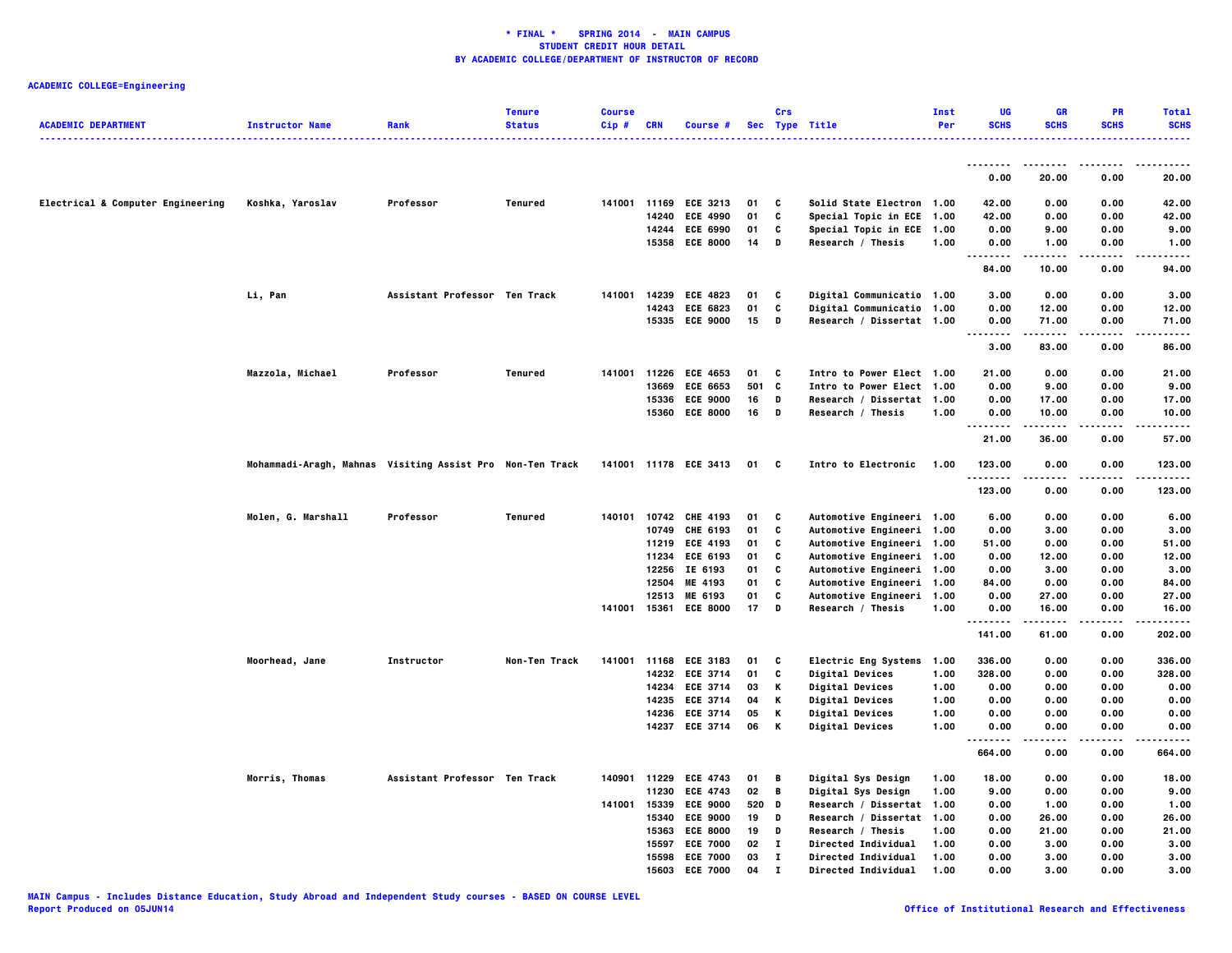| <b>ACADEMIC DEPARTMENT</b>        | <b>Instructor Name</b>                                    | Rank                          | <b>Tenure</b><br><b>Status</b> | <b>Course</b><br>Cip # | <b>CRN</b>     | Course #                           |          | Crs         | Sec Type Title                             | Inst<br>Per  | UG<br><b>SCHS</b> | <b>GR</b><br><b>SCHS</b> | <b>PR</b><br><b>SCHS</b> | <b>Total</b><br><b>SCHS</b> |
|-----------------------------------|-----------------------------------------------------------|-------------------------------|--------------------------------|------------------------|----------------|------------------------------------|----------|-------------|--------------------------------------------|--------------|-------------------|--------------------------|--------------------------|-----------------------------|
|                                   |                                                           |                               |                                |                        |                |                                    |          |             |                                            |              | --------          | .                        | .                        | .                           |
|                                   |                                                           |                               |                                |                        |                |                                    |          |             |                                            |              | 0.00              | 20.00                    | 0.00                     | 20.00                       |
| Electrical & Computer Engineering | Koshka, Yaroslav                                          | Professor                     | <b>Tenured</b>                 | 141001 11169           |                | <b>ECE 3213</b>                    | 01       | C           | Solid State Electron 1.00                  |              | 42.00             | 0.00                     | 0.00                     | 42.00                       |
|                                   |                                                           |                               |                                |                        | 14240          | <b>ECE 4990</b>                    | 01       | C           | Special Topic in ECE 1.00                  |              | 42.00             | 0.00                     | 0.00                     | 42.00                       |
|                                   |                                                           |                               |                                |                        | 14244          | <b>ECE 6990</b>                    | 01       | C           | Special Topic in ECE 1.00                  |              | 0.00              | 9.00                     | 0.00                     | 9.00                        |
|                                   |                                                           |                               |                                |                        |                | 15358 ECE 8000                     | 14       | D           | Research / Thesis                          | 1.00         | 0.00<br>н.,<br>.  | 1.00<br>-----            | 0.00<br>.                | 1.00<br>.                   |
|                                   |                                                           |                               |                                |                        |                |                                    |          |             |                                            |              | 84.00             | 10.00                    | 0.00                     | 94.00                       |
|                                   | Li, Pan                                                   | Assistant Professor Ten Track |                                | 141001                 | 14239          | <b>ECE 4823</b>                    | 01       | C           | Digital Communicatio 1.00                  |              | 3.00              | 0.00                     | 0.00                     | 3.00                        |
|                                   |                                                           |                               |                                |                        | 14243          | ECE 6823                           | 01       | C           | Digital Communicatio 1.00                  |              | 0.00              | 12.00                    | 0.00                     | 12.00                       |
|                                   |                                                           |                               |                                |                        |                | 15335 ECE 9000                     | 15       | D           | Research / Dissertat 1.00                  |              | 0.00<br><br>.     | 71.00<br>.               | 0.00<br>.                | 71.00<br>.                  |
|                                   |                                                           |                               |                                |                        |                |                                    |          |             |                                            |              | 3.00              | 83.00                    | 0.00                     | 86.00                       |
|                                   | Mazzola, Michael                                          | Professor                     | Tenured                        | 141001 11226           |                | <b>ECE 4653</b>                    | 01       | C           | Intro to Power Elect 1.00                  |              | 21.00             | 0.00                     | 0.00                     | 21.00                       |
|                                   |                                                           |                               |                                |                        | 13669          | <b>ECE 6653</b>                    | 501      | c           | Intro to Power Elect 1.00                  |              | 0.00              | 9.00                     | 0.00                     | 9.00                        |
|                                   |                                                           |                               |                                |                        | 15336          | <b>ECE 9000</b>                    | 16       | D           | Research / Dissertat 1.00                  |              | 0.00              | 17.00                    | 0.00                     | 17.00                       |
|                                   |                                                           |                               |                                |                        | 15360          | <b>ECE 8000</b>                    | 16       | D           | Research / Thesis                          | 1.00         | 0.00<br>.         | 10.00                    | 0.00                     | 10.00                       |
|                                   |                                                           |                               |                                |                        |                |                                    |          |             |                                            |              | 21.00             | 36.00                    | 0.00                     | 57.00                       |
|                                   | Mohammadi-Aragh, Mahnas Visiting Assist Pro Non-Ten Track |                               |                                |                        |                | 141001 11178 ECE 3413              | 01       | C           | Intro to Electronic                        | 1.00         | 123.00<br>.       | 0.00<br>.                | 0.00<br>.                | 123.00<br>.                 |
|                                   |                                                           |                               |                                |                        |                |                                    |          |             |                                            |              | 123.00            | 0.00                     | 0.00                     | 123.00                      |
|                                   | Molen, G. Marshall                                        | Professor                     | <b>Tenured</b>                 |                        |                | 140101 10742 CHE 4193              | 01       | C           | Automotive Engineeri 1.00                  |              | 6.00              | 0.00                     | 0.00                     | 6.00                        |
|                                   |                                                           |                               |                                |                        |                | 10749 CHE 6193                     | 01       | C           | Automotive Engineeri 1.00                  |              | 0.00              | 3.00                     | 0.00                     | 3.00                        |
|                                   |                                                           |                               |                                |                        | 11219          | <b>ECE 4193</b>                    | 01       | C           | Automotive Engineeri 1.00                  |              | 51.00             | 0.00                     | 0.00                     | 51.00                       |
|                                   |                                                           |                               |                                |                        | 11234          | <b>ECE 6193</b>                    | 01       | C           | Automotive Engineeri 1.00                  |              | 0.00              | 12.00                    | 0.00                     | 12.00                       |
|                                   |                                                           |                               |                                |                        | 12256          | IE 6193                            | 01       | C           | Automotive Engineeri 1.00                  |              | 0.00              | 3.00                     | 0.00                     | 3.00                        |
|                                   |                                                           |                               |                                |                        | 12504          | ME 4193                            | 01       | C           | Automotive Engineeri 1.00                  |              | 84.00             | 0.00                     | 0.00                     | 84.00                       |
|                                   |                                                           |                               |                                |                        | 12513          | ME 6193                            | 01       | c           | Automotive Engineeri 1.00                  |              | 0.00              | 27.00                    | 0.00                     | 27.00                       |
|                                   |                                                           |                               |                                | 141001 15361           |                | <b>ECE 8000</b>                    | 17       | D           | Research / Thesis                          | 1.00         | 0.00<br>.         | 16.00<br>-----           | 0.00<br>.                | 16.00<br>. <b>.</b>         |
|                                   |                                                           |                               |                                |                        |                |                                    |          |             |                                            |              | 141.00            | 61.00                    | 0.00                     | 202.00                      |
|                                   | Moorhead, Jane                                            | Instructor                    | Non-Ten Track                  |                        |                | 141001 11168 ECE 3183              | 01       | C           | Electric Eng Systems                       | 1.00         | 336.00            | 0.00                     | 0.00                     | 336.00                      |
|                                   |                                                           |                               |                                |                        |                | 14232 ECE 3714                     | 01       | C           | Digital Devices                            | 1.00         | 328.00            | 0.00                     | 0.00                     | 328.00                      |
|                                   |                                                           |                               |                                |                        |                | 14234 ECE 3714                     | 03       | Κ           | Digital Devices                            | 1.00         | 0.00              | 0.00                     | 0.00                     | 0.00                        |
|                                   |                                                           |                               |                                |                        | 14235          | <b>ECE 3714</b>                    | 04       | К           | <b>Digital Devices</b>                     | 1.00         | 0.00              | 0.00                     | 0.00                     | 0.00                        |
|                                   |                                                           |                               |                                |                        | 14236          | <b>ECE 3714</b>                    | 05       | К           | <b>Digital Devices</b>                     | 1.00         | 0.00              | 0.00                     | 0.00                     | 0.00                        |
|                                   |                                                           |                               |                                |                        |                | 14237 ECE 3714                     | 06       | К           | <b>Digital Devices</b>                     | 1.00         | 0.00              | 0.00                     | 0.00                     | 0.00                        |
|                                   |                                                           |                               |                                |                        |                |                                    |          |             |                                            |              | 664.00            | 0.00                     | 0.00                     | 664.00                      |
|                                   | Morris, Thomas                                            | Assistant Professor Ten Track |                                |                        |                | 140901 11229 ECE 4743              | 01       | B           | Digital Sys Design                         | 1.00         | 18.00             | 0.00                     | 0.00                     | 18.00                       |
|                                   |                                                           |                               |                                |                        | 11230          | <b>ECE 4743</b>                    | 02       | B           | Digital Sys Design                         | 1.00         | 9.00              | 0.00                     | 0.00                     | 9.00                        |
|                                   |                                                           |                               |                                | 141001 15339           |                | <b>ECE 9000</b>                    | 520      | D           | Research / Dissertat 1.00                  |              | 0.00              | 1.00                     | 0.00                     | 1.00                        |
|                                   |                                                           |                               |                                |                        | 15340          | <b>ECE 9000</b>                    | 19       | D           | Research / Dissertat 1.00                  |              | 0.00              | 26.00                    | 0.00                     | 26.00                       |
|                                   |                                                           |                               |                                |                        | 15363          | <b>ECE 8000</b>                    | 19       | D           | Research / Thesis                          | 1.00         | 0.00              | 21.00                    | 0.00                     | 21.00                       |
|                                   |                                                           |                               |                                |                        | 15597          | <b>ECE 7000</b>                    | 02       | $\mathbf I$ | Directed Individual                        | 1.00         | 0.00              | 3.00                     | 0.00                     | 3.00                        |
|                                   |                                                           |                               |                                |                        | 15598<br>15603 | <b>ECE 7000</b><br><b>FCF 7000</b> | 03<br>04 | I<br>т      | Directed Individual<br>Directed Individual | 1.00<br>1.00 | 0.00<br>0.00      | 3.00<br>3.00             | 0.00<br>0.00             | 3.00<br>3.00                |
|                                   |                                                           |                               |                                |                        |                |                                    |          |             |                                            |              |                   |                          |                          |                             |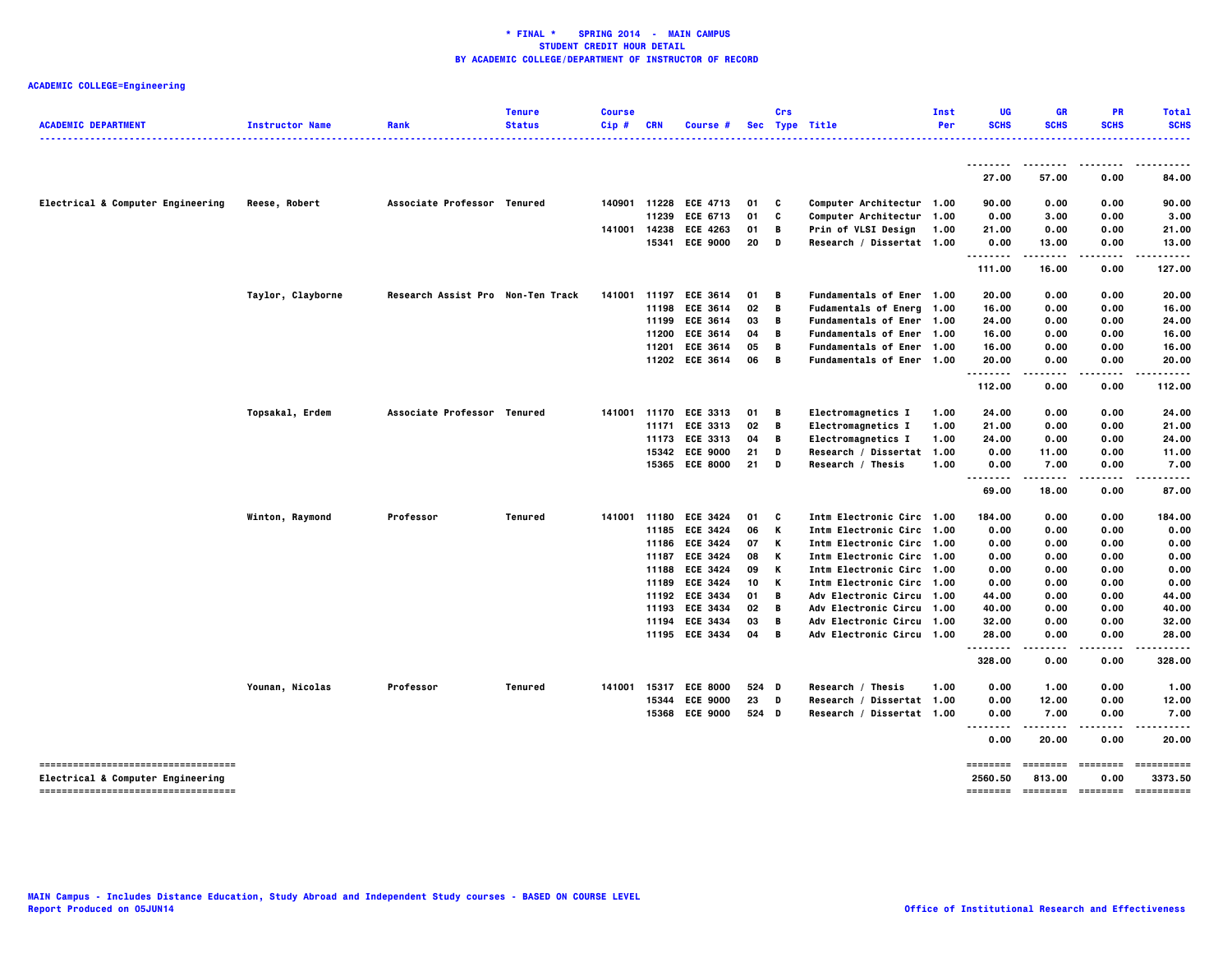| <b>ACADEMIC DEPARTMENT</b>                                                | <b>Instructor Name</b> | Rank                              | <b>Tenure</b><br><b>Status</b> | <b>Course</b><br>Cip# | <b>CRN</b>   | Course #              |       | Crs            | Sec Type Title                   | Inst<br>Per | <b>UG</b><br><b>SCHS</b>  | GR<br><b>SCHS</b>        | PR<br><b>SCHS</b>       | <b>Total</b><br><b>SCHS</b> |
|---------------------------------------------------------------------------|------------------------|-----------------------------------|--------------------------------|-----------------------|--------------|-----------------------|-------|----------------|----------------------------------|-------------|---------------------------|--------------------------|-------------------------|-----------------------------|
|                                                                           |                        |                                   |                                |                       |              |                       |       |                |                                  |             |                           |                          |                         | .                           |
|                                                                           |                        |                                   |                                |                       |              |                       |       |                |                                  |             | 27.00                     | 57.00                    | 0.00                    | 84.00                       |
| Electrical & Computer Engineering                                         | Reese, Robert          | Associate Professor Tenured       |                                | 140901                | 11228        | <b>ECE 4713</b>       | 01    | C              | Computer Architectur 1.00        |             | 90.00                     | 0.00                     | 0.00                    | 90.00                       |
|                                                                           |                        |                                   |                                |                       | 11239        | <b>ECE 6713</b>       | 01    | C              | Computer Architectur 1.00        |             | 0.00                      | 3.00                     | 0.00                    | 3.00                        |
|                                                                           |                        |                                   |                                | 141001                | 14238        | <b>ECE 4263</b>       | 01    | В              | Prin of VLSI Design              | 1.00        | 21.00                     | 0.00                     | 0.00                    | 21.00                       |
|                                                                           |                        |                                   |                                |                       |              | 15341 ECE 9000        | 20    | D              | Research / Dissertat 1.00        |             | 0.00                      | 13.00<br>                | 0.00<br>.               | 13.00                       |
|                                                                           |                        |                                   |                                |                       |              |                       |       |                |                                  |             | 111.00                    | 16.00                    | 0.00                    | 127.00                      |
|                                                                           | Taylor, Clayborne      | Research Assist Pro Non-Ten Track |                                | 141001                | 11197        | <b>ECE 3614</b>       | 01    | B              | Fundamentals of Ener 1.00        |             | 20.00                     | 0.00                     | 0.00                    | 20.00                       |
|                                                                           |                        |                                   |                                |                       | 11198        | <b>ECE 3614</b>       | 02    | B              | Fudamentals of Energ 1.00        |             | 16.00                     | 0.00                     | 0.00                    | 16.00                       |
|                                                                           |                        |                                   |                                |                       | 11199        | <b>ECE 3614</b>       | 03    | B              | Fundamentals of Ener 1.00        |             | 24.00                     | 0.00                     | 0.00                    | 24.00                       |
|                                                                           |                        |                                   |                                |                       | 11200        | <b>ECE 3614</b>       | 04    | B              | Fundamentals of Ener 1.00        |             | 16.00                     | 0.00                     | 0.00                    | 16.00                       |
|                                                                           |                        |                                   |                                |                       | 11201        | <b>ECE 3614</b>       | 05    | B              | Fundamentals of Ener 1.00        |             | 16.00                     | 0.00                     | 0.00                    | 16.00                       |
|                                                                           |                        |                                   |                                |                       | 11202        | <b>ECE 3614</b>       | 06    | B              | Fundamentals of Ener 1.00        |             | 20.00                     | 0.00                     | 0.00                    | 20.00                       |
|                                                                           |                        |                                   |                                |                       |              |                       |       |                |                                  |             | 112.00                    | 0.00                     | 0.00                    | 112.00                      |
|                                                                           | Topsakal, Erdem        | Associate Professor Tenured       |                                |                       |              | 141001 11170 ECE 3313 | 01    | В              | Electromagnetics I               | 1.00        | 24.00                     | 0.00                     | 0.00                    | 24.00                       |
|                                                                           |                        |                                   |                                |                       | 11171        | <b>ECE 3313</b>       | 02    | $\overline{B}$ | Electromagnetics I               | 1.00        | 21.00                     | 0.00                     | 0.00                    | 21.00                       |
|                                                                           |                        |                                   |                                |                       | 11173        | <b>ECE 3313</b>       | 04    | B              | Electromagnetics I               | 1.00        | 24.00                     | 0.00                     | 0.00                    | 24.00                       |
|                                                                           |                        |                                   |                                |                       | 15342        | <b>ECE 9000</b>       | 21    | D              | Research / Dissertat 1.00        |             | 0.00                      | 11.00                    | 0.00                    | 11.00                       |
|                                                                           |                        |                                   |                                |                       |              | 15365 ECE 8000        | 21    | D              | Research / Thesis                | 1.00        | 0.00                      | 7.00                     | 0.00                    | 7.00                        |
|                                                                           |                        |                                   |                                |                       |              |                       |       |                |                                  |             | 69.00                     | 18.00                    | 0.00                    | 87.00                       |
|                                                                           | Winton, Raymond        | Professor                         | Tenured                        | 141001                | 11180        | <b>ECE 3424</b>       | 01    | C              | Intm Electronic Circ 1.00        |             | 184.00                    | 0.00                     | 0.00                    | 184.00                      |
|                                                                           |                        |                                   |                                |                       | 11185        | <b>ECE 3424</b>       | 06    | K              | Intm Electronic Circ 1.00        |             | 0.00                      | 0.00                     | 0.00                    | 0.00                        |
|                                                                           |                        |                                   |                                |                       | 11186        | <b>ECE 3424</b>       | 07    | K              | Intm Electronic Circ 1.00        |             | 0.00                      | 0.00                     | 0.00                    | 0.00                        |
|                                                                           |                        |                                   |                                |                       | 11187        | <b>ECE 3424</b>       | 08    | К              | Intm Electronic Circ 1.00        |             | 0.00                      | 0.00                     | 0.00                    | 0.00                        |
|                                                                           |                        |                                   |                                |                       | 11188        | <b>ECE 3424</b>       | 09    | K              | Intm Electronic Circ 1.00        |             | 0.00                      | 0.00                     | 0.00                    | 0.00                        |
|                                                                           |                        |                                   |                                |                       | 11189        | <b>ECE 3424</b>       | 10    | K              | Intm Electronic Circ 1.00        |             | 0.00                      | 0.00                     | 0.00                    | 0.00                        |
|                                                                           |                        |                                   |                                |                       | 11192        | <b>ECE 3434</b>       | 01    | $\overline{B}$ | Adv Electronic Circu 1.00        |             | 44.00                     | 0.00                     | 0.00                    | 44.00                       |
|                                                                           |                        |                                   |                                |                       | 11193        | <b>ECE 3434</b>       | 02    | B              | Adv Electronic Circu 1.00        |             | 40.00                     | 0.00                     | 0.00                    | 40.00                       |
|                                                                           |                        |                                   |                                |                       |              | 11194 ECE 3434        | 03    | В              | Adv Electronic Circu 1.00        |             | 32.00                     | 0.00                     | 0.00                    | 32.00                       |
|                                                                           |                        |                                   |                                |                       | 11195        | <b>ECE 3434</b>       | 04    | $\overline{B}$ | <b>Adv Electronic Circu 1.00</b> |             | 28.00<br><u></u>          | 0.00<br>.                | 0.00<br>$- - - -$       | 28.00<br>.                  |
|                                                                           |                        |                                   |                                |                       |              |                       |       |                |                                  |             | 328.00                    | 0.00                     | 0.00                    | 328.00                      |
|                                                                           | Younan, Nicolas        | Professor                         | Tenured                        |                       | 141001 15317 | <b>ECE 8000</b>       | 524 D |                | Research / Thesis                | 1.00        | 0.00                      | 1.00                     | 0.00                    | 1.00                        |
|                                                                           |                        |                                   |                                |                       | 15344        | <b>ECE 9000</b>       | 23    | D              | Research / Dissertat 1.00        |             | 0.00                      | 12.00                    | 0.00                    | 12.00                       |
|                                                                           |                        |                                   |                                |                       |              | 15368 ECE 9000        | 524 D |                | Research / Dissertat 1.00        |             | 0.00<br>$\sim$ $\sim$     | 7.00                     | 0.00                    | 7.00                        |
|                                                                           |                        |                                   |                                |                       |              |                       |       |                |                                  |             | 0.00                      | 20.00                    | 0.00                    | 20.00                       |
| ------------------------------------<br>Electrical & Computer Engineering |                        |                                   |                                |                       |              |                       |       |                |                                  |             | <b>EDESSER</b><br>2560.50 | 813.00                   | <b>EDEDEDED</b><br>0.00 | ==========<br>3373.50       |
| -----------------------------------                                       |                        |                                   |                                |                       |              |                       |       |                |                                  |             |                           | -------- ------- ------- |                         | ==========                  |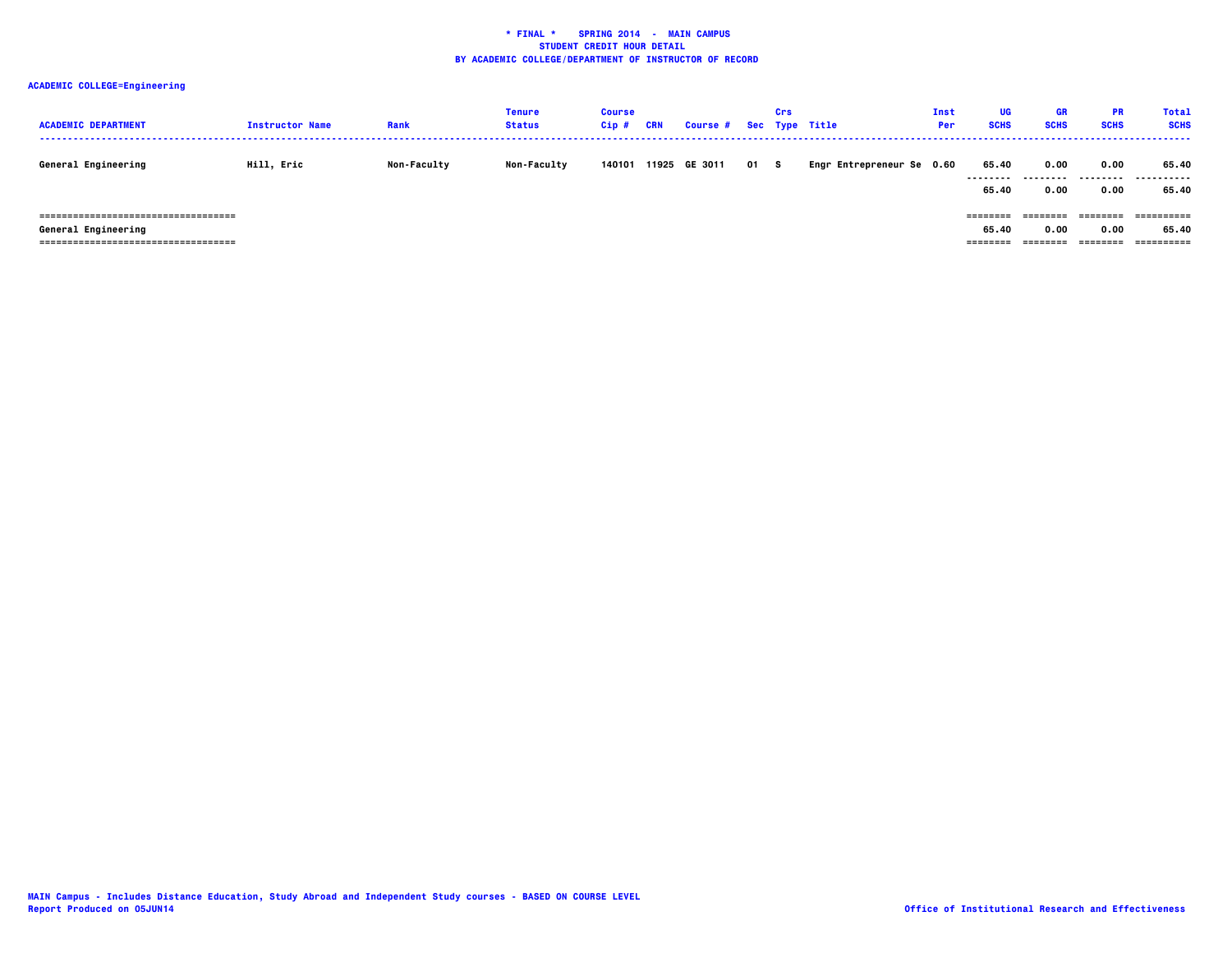| <b>ACADEMIC DEPARTMENT</b>                                                                            | <b>Instructor Name</b> | Rank               | Tenure<br><b>Status</b> | Course<br>Cip # | CRN | Course # Sec Type Title |      | Crs |                           | Inst<br>Per | <b>UG</b><br><b>SCHS</b>      | <b>GR</b><br><b>SCHS</b>     | <b>PR</b><br><b>SCHS</b>     | <b>Total</b><br><b>SCHS</b> |
|-------------------------------------------------------------------------------------------------------|------------------------|--------------------|-------------------------|-----------------|-----|-------------------------|------|-----|---------------------------|-------------|-------------------------------|------------------------------|------------------------------|-----------------------------|
| General Engineering                                                                                   | Hill, Eric             | <b>Non-Faculty</b> | <b>Non-Faculty</b>      | 140101          |     | 11925 GE 3011           | 01 S |     | Engr Entrepreneur Se 0.60 |             | 65.40<br>--------<br>65.40    | 0.00<br>---------<br>0.00    | 0.00<br>.<br>0.00            | 65.40<br>.<br>65.40         |
| =====================================<br>General Engineering<br>===================================== |                        |                    |                         |                 |     |                         |      |     |                           |             | ========<br>65.40<br>======== | ========<br>0.00<br>======== | ========<br>0.00<br>======== | 65.40<br>==========         |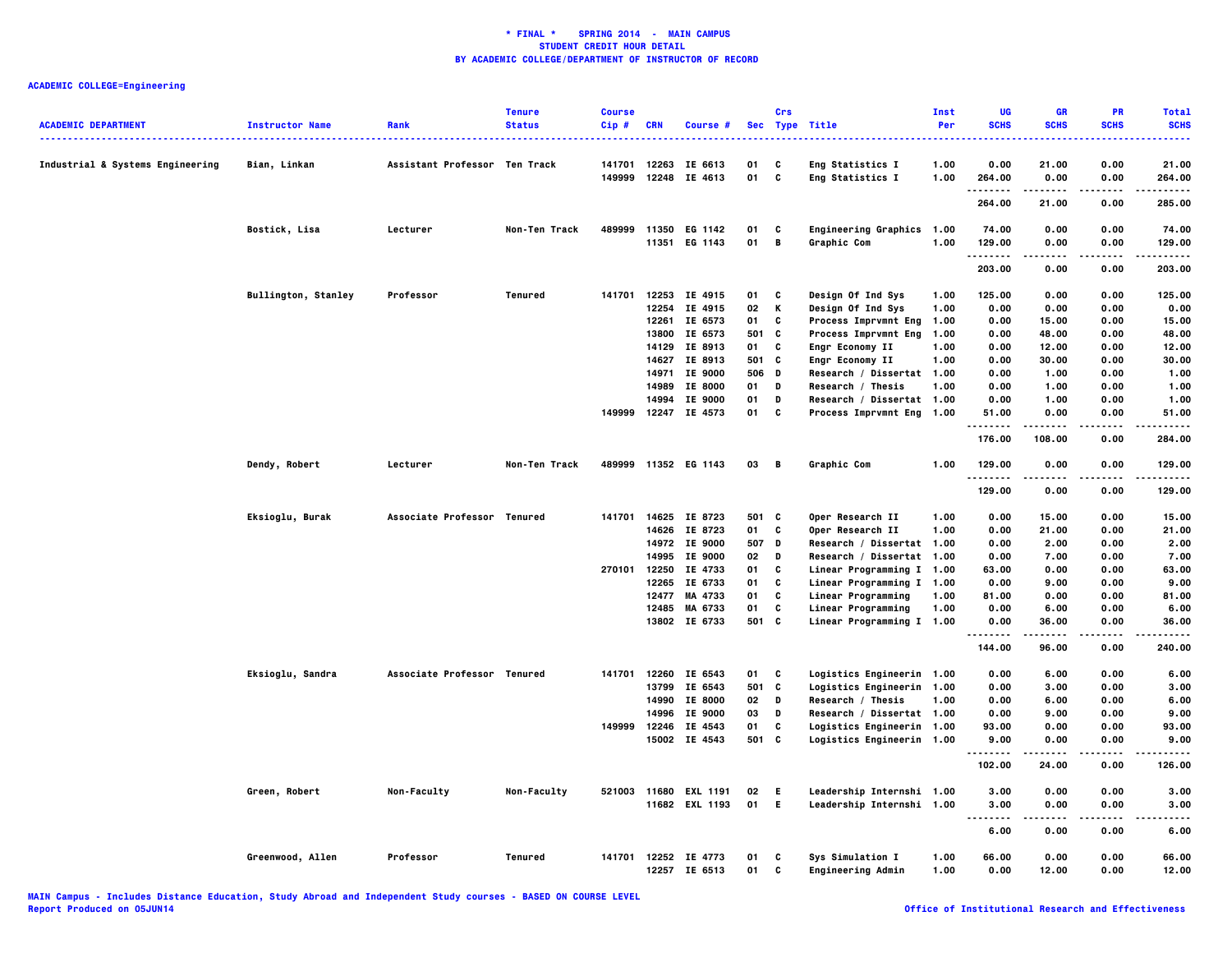| <b>ACADEMIC DEPARTMENT</b>       | <b>Instructor Name</b>     | Rank                          | <b>Tenure</b><br><b>Status</b> | <b>Course</b><br>Cip# | <b>CRN</b>   | <b>Course #</b>      |       | Crs          | Sec Type Title            | Inst<br>Per | UG<br><b>SCHS</b>            | <b>GR</b><br><b>SCHS</b> | PR<br><b>SCHS</b> | <b>Total</b><br><b>SCHS</b> |
|----------------------------------|----------------------------|-------------------------------|--------------------------------|-----------------------|--------------|----------------------|-------|--------------|---------------------------|-------------|------------------------------|--------------------------|-------------------|-----------------------------|
| Industrial & Systems Engineering | Bian, Linkan               | Assistant Professor Ten Track |                                | 141701                | 12263        | IE 6613              | 01    | C            | Eng Statistics I          | 1.00        | 0.00                         | 21.00                    | 0.00              | 21.00                       |
|                                  |                            |                               |                                | 149999                | 12248        | IE 4613              | 01    | C            | Eng Statistics I          | 1.00        | 264.00<br>.                  | 0.00<br>.                | 0.00<br>$\cdots$  | 264.00<br>.                 |
|                                  |                            |                               |                                |                       |              |                      |       |              |                           |             | 264.00                       | 21.00                    | 0.00              | 285.00                      |
|                                  | Bostick, Lisa              | Lecturer                      | Non-Ten Track                  | 489999                |              | 11350 EG 1142        | 01    | C            | Engineering Graphics 1.00 |             | 74.00                        | 0.00                     | 0.00              | 74.00                       |
|                                  |                            |                               |                                |                       | 11351        | EG 1143              | 01    | $\mathbf{B}$ | Graphic Com               | 1.00        | 129.00                       | 0.00                     | 0.00              | 129.00                      |
|                                  |                            |                               |                                |                       |              |                      |       |              |                           |             | . <b>.</b><br>203.00         | 0.00                     | .<br>0.00         | .<br>203.00                 |
|                                  | <b>Bullington, Stanley</b> | Professor                     | Tenured                        | 141701                |              | 12253 IE 4915        | 01    | C            | Design Of Ind Sys         | 1.00        | 125.00                       | 0.00                     | 0.00              | 125.00                      |
|                                  |                            |                               |                                |                       | 12254        | IE 4915              | 02    | К            | Design Of Ind Sys         | 1.00        | 0.00                         | 0.00                     | 0.00              | 0.00                        |
|                                  |                            |                               |                                |                       | 12261        | IE 6573              | 01    | C            | Process Imprvmnt Eng      | 1.00        | 0.00                         | 15.00                    | 0.00              | 15.00                       |
|                                  |                            |                               |                                |                       | 13800        | IE 6573              | 501   | C            | Process Imprvmnt Eng      | 1.00        | 0.00                         | 48.00                    | 0.00              | 48.00                       |
|                                  |                            |                               |                                |                       | 14129        | IE 8913              | 01    | C            | Engr Economy II           | 1.00        | 0.00                         | 12.00                    | 0.00              | 12.00                       |
|                                  |                            |                               |                                |                       | 14627        | IE 8913              | 501   | C            | Engr Economy II           | 1.00        | 0.00                         | 30.00                    | 0.00              | 30.00                       |
|                                  |                            |                               |                                |                       | 14971        | IE 9000              | 506 D |              | Research / Dissertat 1.00 |             | 0.00                         | 1.00                     | 0.00              | 1.00                        |
|                                  |                            |                               |                                |                       |              | 14989 IE 8000        | 01    | D            | Research / Thesis         | 1.00        | 0.00                         | 1.00                     | 0.00              | 1.00                        |
|                                  |                            |                               |                                |                       | 14994        | IE 9000              | 01    | D            | Research / Dissertat 1.00 |             | 0.00                         | 1.00                     | 0.00              | 1.00                        |
|                                  |                            |                               |                                |                       |              | 149999 12247 IE 4573 | 01    | C            | Process Imprvmnt Eng 1.00 |             | 51.00<br>.                   | 0.00                     | 0.00              | 51.00                       |
|                                  |                            |                               |                                |                       |              |                      |       |              |                           |             | 176.00                       | 108.00                   | 0.00              | 284.00                      |
|                                  | Dendy, Robert              | Lecturer                      | Non-Ten Track                  |                       |              | 489999 11352 EG 1143 | 03    | В            | Graphic Com               | 1.00        | 129.00                       | 0.00                     | 0.00              | 129.00                      |
|                                  |                            |                               |                                |                       |              |                      |       |              |                           |             | .<br>129.00                  | 0.00                     | 0.00              | 129.00                      |
|                                  | Eksioglu, Burak            | Associate Professor Tenured   |                                | 141701                |              | 14625 IE 8723        | 501 C |              | <b>Oper Research II</b>   | 1.00        | 0.00                         | 15.00                    | 0.00              | 15.00                       |
|                                  |                            |                               |                                |                       |              | 14626 IE 8723        | 01    | C            | Oper Research II          | 1.00        | 0.00                         | 21.00                    | 0.00              | 21.00                       |
|                                  |                            |                               |                                |                       |              | 14972 IE 9000        | 507 D |              | Research / Dissertat 1.00 |             | 0.00                         | 2.00                     | 0.00              | 2.00                        |
|                                  |                            |                               |                                |                       | 14995        | IE 9000              | 02    | D            | Research / Dissertat 1.00 |             | 0.00                         | 7.00                     | 0.00              | 7.00                        |
|                                  |                            |                               |                                |                       | 270101 12250 | IE 4733              | 01    | C            | Linear Programming I 1.00 |             | 63.00                        | 0.00                     | 0.00              | 63.00                       |
|                                  |                            |                               |                                |                       |              | 12265 IE 6733        | 01    | C            | Linear Programming I 1.00 |             | 0.00                         | 9.00                     | 0.00              | 9.00                        |
|                                  |                            |                               |                                |                       | 12477        | MA 4733              | 01    | C            | Linear Programming        | 1.00        | 81.00                        | 0.00                     | 0.00              | 81.00                       |
|                                  |                            |                               |                                |                       | 12485        | MA 6733              | 01    | C            | Linear Programming        | 1.00        | 0.00                         | 6.00                     | 0.00              | 6.00                        |
|                                  |                            |                               |                                |                       |              | 13802 IE 6733        | 501 C |              | Linear Programming I 1.00 |             | 0.00<br>--------             | 36.00<br>-----           | 0.00<br>----      | 36.00<br>.                  |
|                                  |                            |                               |                                |                       |              |                      |       |              |                           |             | 144.00                       | 96.00                    | 0.00              | 240.00                      |
|                                  | Eksioglu, Sandra           | Associate Professor Tenured   |                                |                       |              | 141701 12260 IE 6543 | 01    | C            | Logistics Engineerin 1.00 |             | 0.00                         | 6.00                     | 0.00              | 6.00                        |
|                                  |                            |                               |                                |                       |              | 13799 IE 6543        | 501 C |              | Logistics Engineerin 1.00 |             | 0.00                         | 3.00                     | 0.00              | 3.00                        |
|                                  |                            |                               |                                |                       | 14990        | <b>IE 8000</b>       | 02    | D            | Research / Thesis         | 1.00        | 0.00                         | 6.00                     | 0.00              | 6.00                        |
|                                  |                            |                               |                                |                       | 14996        | IE 9000              | 03    | D            | Research / Dissertat 1.00 |             | 0.00                         | 9.00                     | 0.00              | 9.00                        |
|                                  |                            |                               |                                | 149999                | 12246        | IE 4543              | 01    | c            | Logistics Engineerin 1.00 |             | 93.00                        | 0.00                     | 0.00              | 93.00                       |
|                                  |                            |                               |                                |                       |              | 15002 IE 4543        | 501 C |              | Logistics Engineerin 1.00 |             | 9.00<br>                     | 0.00<br>-----            | 0.00<br>$\cdots$  | 9.00<br>$- - - -$           |
|                                  |                            |                               |                                |                       |              |                      |       |              |                           |             | 102.00                       | 24.00                    | 0.00              | 126.00                      |
|                                  | Green, Robert              | <b>Non-Faculty</b>            | Non-Faculty                    | 521003                | 11680        | <b>EXL 1191</b>      | 02    | E            | Leadership Internshi 1.00 |             | 3.00                         | 0.00                     | 0.00              | 3.00                        |
|                                  |                            |                               |                                |                       |              | 11682 EXL 1193       | 01    | <b>E</b>     | Leadership Internshi 1.00 |             | 3.00<br>$\sim$ $\sim$ $\sim$ | 0.00                     | 0.00              | 3.00                        |
|                                  |                            |                               |                                |                       |              |                      |       |              |                           |             | 6.00                         | 0.00                     | 0.00              | 6.00                        |
|                                  | Greenwood, Allen           | Professor                     | Tenured                        |                       |              | 141701 12252 IE 4773 | 01    | C            | Sys Simulation I          | 1.00        | 66.00                        | 0.00                     | 0.00              | 66.00                       |
|                                  |                            |                               |                                |                       | 12257        | IE 6513              | 01    | C            | <b>Engineering Admin</b>  | 1.00        | 0.00                         | 12.00                    | 0.00              | 12.00                       |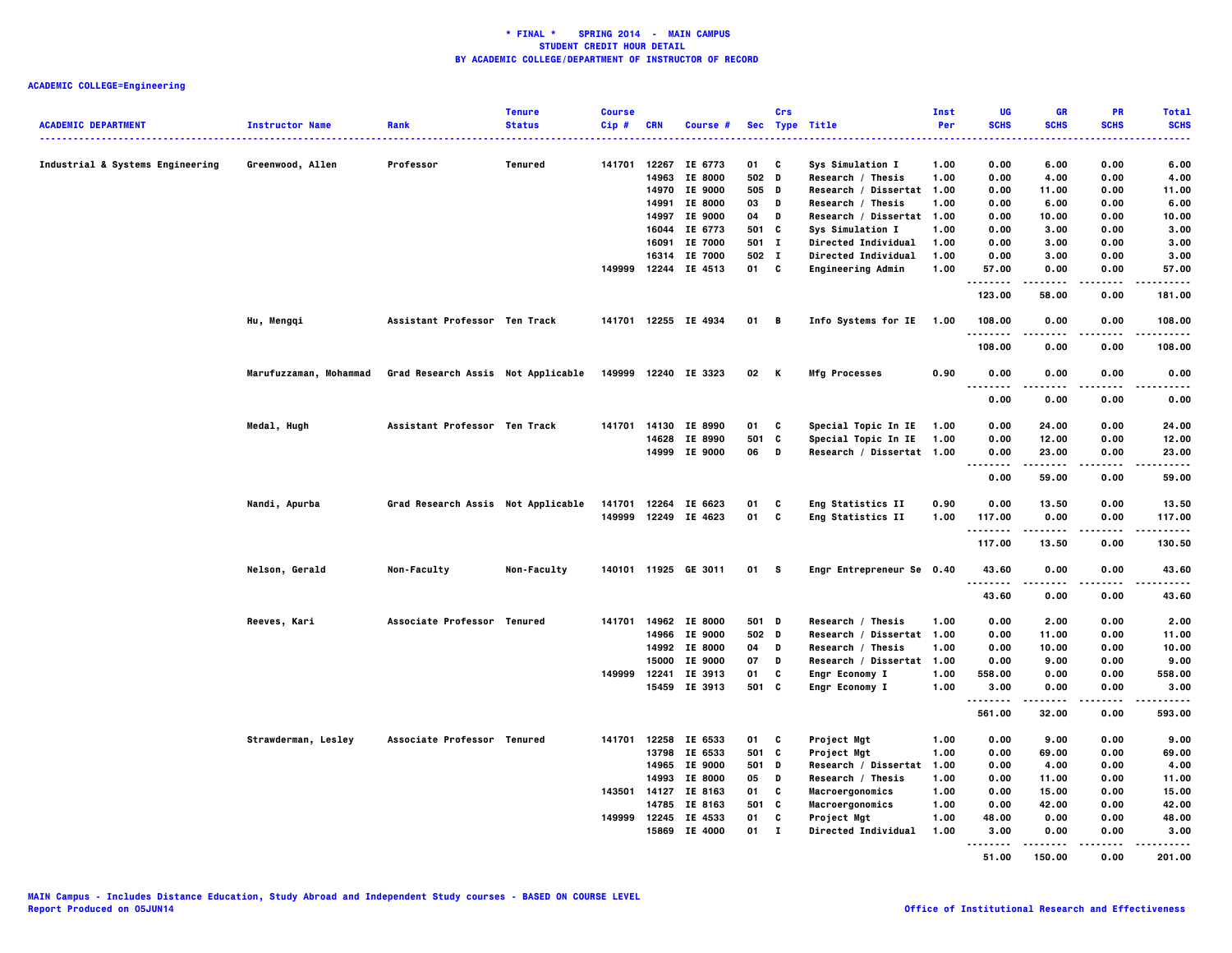|                                  |                        |                                    | <b>Tenure</b> | <b>Course</b> |                |                      |             | Crs          |                                       | Inst         | UG                         | <b>GR</b>      | <b>PR</b>         | <b>Total</b>  |
|----------------------------------|------------------------|------------------------------------|---------------|---------------|----------------|----------------------|-------------|--------------|---------------------------------------|--------------|----------------------------|----------------|-------------------|---------------|
| <b>ACADEMIC DEPARTMENT</b>       | <b>Instructor Name</b> | Rank                               | <b>Status</b> | Cip#          | <b>CRN</b>     | Course #             |             |              | Sec Type Title                        | Per          | <b>SCHS</b>                | <b>SCHS</b>    | <b>SCHS</b>       | <b>SCHS</b>   |
|                                  |                        |                                    |               |               |                | IE 6773              |             |              |                                       |              |                            |                |                   |               |
| Industrial & Systems Engineering | Greenwood, Allen       | Professor                          | Tenured       | 141701        | 12267<br>14963 | <b>IE 8000</b>       | 01<br>502 D | C            | Sys Simulation I<br>Research / Thesis | 1.00<br>1.00 | 0.00<br>0.00               | 6.00<br>4.00   | 0.00<br>0.00      | 6.00<br>4.00  |
|                                  |                        |                                    |               |               |                | 14970 IE 9000        | 505 D       |              | Research / Dissertat 1.00             |              | 0.00                       | 11.00          | 0.00              | 11.00         |
|                                  |                        |                                    |               |               | 14991          | <b>IE 8000</b>       | 03          | D            | Research / Thesis                     | 1.00         | 0.00                       | 6.00           | 0.00              | 6.00          |
|                                  |                        |                                    |               |               | 14997          | IE 9000              | 04          | D            | Research / Dissertat 1.00             |              | 0.00                       | 10.00          | 0.00              | 10.00         |
|                                  |                        |                                    |               |               | 16044          | IE 6773              | 501 C       |              | Sys Simulation I                      | 1.00         | 0.00                       | 3.00           | 0.00              | 3.00          |
|                                  |                        |                                    |               |               | 16091          | IE 7000              | 501 I       |              | <b>Directed Individual</b>            | 1.00         | 0.00                       | 3.00           | 0.00              | 3.00          |
|                                  |                        |                                    |               |               |                | 16314 IE 7000        | 502 I       |              | <b>Directed Individual</b>            | 1.00         | 0.00                       | 3.00           | 0.00              | 3.00          |
|                                  |                        |                                    |               |               |                | 149999 12244 IE 4513 | 01 C        |              | Engineering Admin                     | 1.00         | 57.00                      | 0.00           | 0.00              | 57.00         |
|                                  |                        |                                    |               |               |                |                      |             |              |                                       |              | .<br>123.00                | .<br>58.00     | $- - - -$<br>0.00 | .<br>181.00   |
|                                  | Hu, Mengqi             | Assistant Professor Ten Track      |               |               |                | 141701 12255 IE 4934 | 01 B        |              | Info Systems for IE 1.00              |              | 108.00<br>.                | 0.00           | 0.00              | 108.00<br>.   |
|                                  |                        |                                    |               |               |                |                      |             |              |                                       |              | 108.00                     | 0.00           | 0.00              | 108.00        |
|                                  | Marufuzzaman, Mohammad | Grad Research Assis Not Applicable |               |               |                | 149999 12240 IE 3323 | 02 K        |              | <b>Mfg Processes</b>                  | 0.90         | 0.00<br>.<br>.             | 0.00<br>-----  | 0.00<br>.         | 0.00<br>.     |
|                                  |                        |                                    |               |               |                |                      |             |              |                                       |              | 0.00                       | 0.00           | 0.00              | 0.00          |
|                                  | Medal, Hugh            | Assistant Professor Ten Track      |               |               |                | 141701 14130 IE 8990 | 01          | C            | Special Topic In IE                   | 1.00         | 0.00                       | 24.00          | 0.00              | 24.00         |
|                                  |                        |                                    |               |               |                | 14628 IE 8990        | 501         | c            | Special Topic In IE                   | 1.00         | 0.00                       | 12.00          | 0.00              | 12.00         |
|                                  |                        |                                    |               |               |                | 14999 IE 9000        | 06          | D            | Research / Dissertat 1.00             |              | 0.00                       | 23.00          | 0.00              | 23.00         |
|                                  |                        |                                    |               |               |                |                      |             |              |                                       |              | $\sim$ $\sim$<br>.<br>0.00 | 59.00          | 0.00              | 59.00         |
|                                  | Nandi, Apurba          | Grad Research Assis Not Applicable |               |               |                | 141701 12264 IE 6623 | 01          | C            | Eng Statistics II                     | 0.90         | 0.00                       | 13.50          | 0.00              | 13.50         |
|                                  |                        |                                    |               | 149999        |                | 12249 IE 4623        | 01          | C            | Eng Statistics II                     | 1.00         | 117.00                     | 0.00           | 0.00              | 117.00        |
|                                  |                        |                                    |               |               |                |                      |             |              |                                       |              | .<br>117.00                | -----<br>13.50 | $\cdots$<br>0.00  | .<br>130.50   |
|                                  | Nelson, Gerald         | Non-Faculty                        | Non-Faculty   |               |                | 140101 11925 GE 3011 | 01 S        |              | Engr Entrepreneur Se 0.40             |              | 43.60                      | 0.00           | 0.00              | 43.60         |
|                                  |                        |                                    |               |               |                |                      |             |              |                                       |              | .<br>43.60                 | 0.00           | 0.00              | 43.60         |
|                                  | Reeves, Kari           | Associate Professor Tenured        |               |               |                | 141701 14962 IE 8000 | 501 D       |              | Research / Thesis                     | 1.00         | 0.00                       | 2.00           | 0.00              | 2.00          |
|                                  |                        |                                    |               |               |                | 14966 IE 9000        | 502 D       |              | Research / Dissertat 1.00             |              | 0.00                       | 11.00          | 0.00              | 11.00         |
|                                  |                        |                                    |               |               |                | 14992 IE 8000        | 04          | $\mathbf D$  | Research / Thesis                     | 1.00         | 0.00                       | 10.00          | 0.00              | 10.00         |
|                                  |                        |                                    |               |               | 15000          | IE 9000              | 07          | D            | Research / Dissertat 1.00             |              | 0.00                       | 9.00           | 0.00              | 9.00          |
|                                  |                        |                                    |               | 149999        | 12241          | IE 3913              | 01          | C            | <b>Engr Economy I</b>                 | 1.00         | 558.00                     | 0.00           | 0.00              | 558.00        |
|                                  |                        |                                    |               |               |                | 15459 IE 3913        | 501 C       |              | <b>Engr Economy I</b>                 | 1.00         | 3.00<br>                   | 0.00<br>.      | 0.00<br>$- - - -$ | 3.00<br>----- |
|                                  |                        |                                    |               |               |                |                      |             |              |                                       |              | 561.00                     | 32.00          | 0.00              | 593.00        |
|                                  | Strawderman, Lesley    | Associate Professor Tenured        |               | 141701        |                | 12258 IE 6533        | 01          | C            | Project Mgt                           | 1.00         | 0.00                       | 9.00           | 0.00              | 9.00          |
|                                  |                        |                                    |               |               |                | 13798 IE 6533        | 501 C       |              | Project Mgt                           | 1.00         | 0.00                       | 69.00          | 0.00              | 69.00         |
|                                  |                        |                                    |               |               |                | 14965 IE 9000        | 501         | D            | Research / Dissertat                  | 1.00         | 0.00                       | 4.00           | 0.00              | 4.00          |
|                                  |                        |                                    |               |               |                | 14993 IE 8000        | 05          | D            | Research / Thesis                     | 1.00         | 0.00                       | 11.00          | 0.00              | 11.00         |
|                                  |                        |                                    |               |               | 143501 14127   | IE 8163              | 01          | C            | Macroergonomics                       | 1.00         | 0.00                       | 15.00          | 0.00              | 15.00         |
|                                  |                        |                                    |               |               | 14785          | IE 8163              | 501         | C            | Macroergonomics                       | 1.00         | 0.00                       | 42.00          | 0.00              | 42.00         |
|                                  |                        |                                    |               |               |                | 149999 12245 IE 4533 | 01          | $\mathbf{c}$ | Project Mgt                           | 1.00         | 48.00                      | 0.00           | 0.00              | 48.00         |
|                                  |                        |                                    |               |               |                | 15869 IE 4000        | 01          | $\mathbf{I}$ | Directed Individual                   | 1.00         | 3.00<br>.                  | 0.00           | 0.00<br>----      | 3.00          |
|                                  |                        |                                    |               |               |                |                      |             |              |                                       |              | 51.00                      | 150.00         | 0.00              | 201.00        |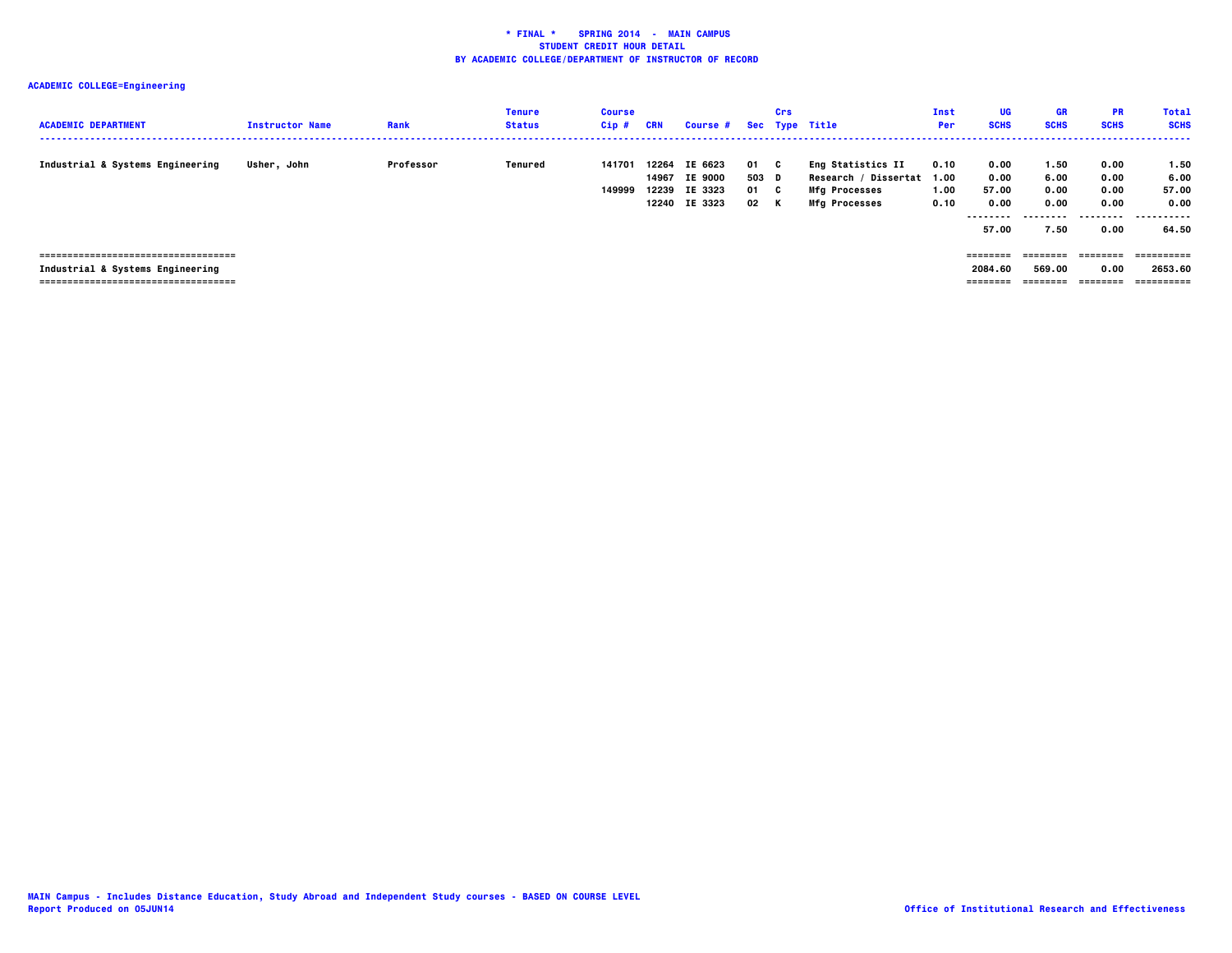| <b>ACADEMIC DEPARTMENT</b>                                                                                        | <b>Instructor Name</b> | Rank      | Tenure<br><b>Status</b> | <b>Course</b><br>$Cip$ # | CRN                     | <b>Course #</b>                                       |                           | Crs     | Sec Type Title                                                                            | Inst<br>Per                  | UG<br><b>SCHS</b>                                  | <b>GR</b><br><b>SCHS</b>                  | <b>PR</b><br><b>SCHS</b>             | <b>Total</b><br><b>SCHS</b>            |
|-------------------------------------------------------------------------------------------------------------------|------------------------|-----------|-------------------------|--------------------------|-------------------------|-------------------------------------------------------|---------------------------|---------|-------------------------------------------------------------------------------------------|------------------------------|----------------------------------------------------|-------------------------------------------|--------------------------------------|----------------------------------------|
| Industrial & Systems Engineering                                                                                  | Usher, John            | Professor | Tenured                 | 141701<br>149999         | 12264<br>14967<br>12239 | IE 6623<br><b>IE 9000</b><br>IE 3323<br>12240 IE 3323 | 01 C<br>503 D<br>01<br>02 | C.<br>K | Eng Statistics II<br>Research / Dissertat<br><b>Mfg Processes</b><br><b>Mfg Processes</b> | 0.10<br>1.00<br>1.00<br>0.10 | 0.00<br>0.00<br>57.00<br>0.00<br>--------<br>57.00 | 1.50<br>6.00<br>0.00<br>0.00<br>.<br>7.50 | 0.00<br>0.00<br>0.00<br>0.00<br>0.00 | 1.50<br>6.00<br>57.00<br>0.00<br>64.50 |
| -------------------------------------<br>Industrial & Systems Engineering<br>==================================== |                        |           |                         |                          |                         |                                                       |                           |         |                                                                                           |                              | ========<br>2084.60<br>========                    | ---------<br>569.00<br>========           | ---------<br>0.00<br>---------       | ----------<br>2653.60<br>==========    |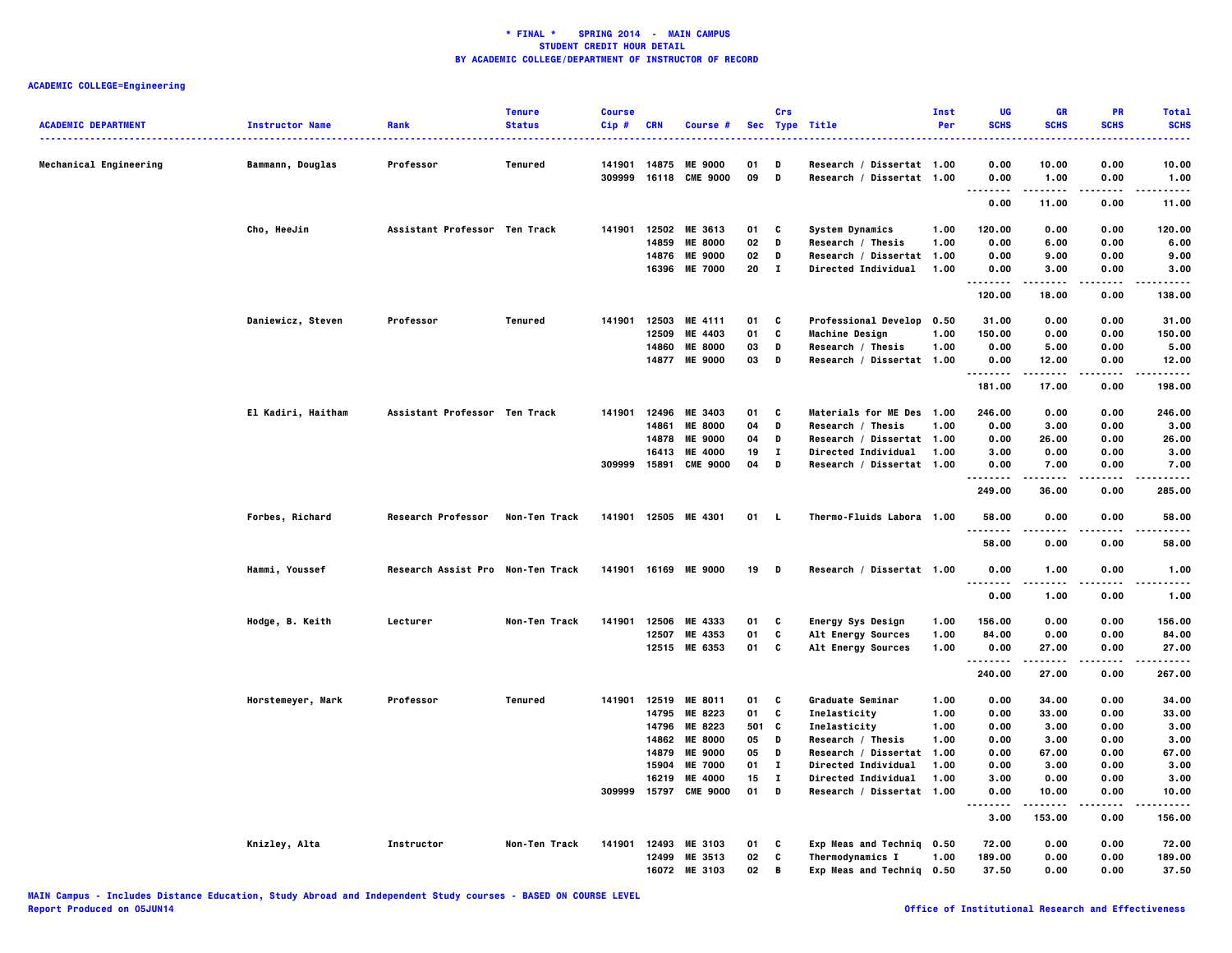|                            |                        |                                   | <b>Tenure</b> | <b>Course</b> |            |                       |       | Crs          |                            | Inst | UG                                      | GR              | PR            | <b>Total</b>     |
|----------------------------|------------------------|-----------------------------------|---------------|---------------|------------|-----------------------|-------|--------------|----------------------------|------|-----------------------------------------|-----------------|---------------|------------------|
| <b>ACADEMIC DEPARTMENT</b> | <b>Instructor Name</b> | <b>Rank</b>                       | <b>Status</b> | Cip#          | <b>CRN</b> | Course #              |       |              | Sec Type Title             | Per  | <b>SCHS</b>                             | <b>SCHS</b>     | <b>SCHS</b>   | <b>SCHS</b><br>. |
| Mechanical Engineering     | Bammann, Douglas       | Professor                         | Tenured       | 141901        |            | 14875 ME 9000         | 01    | D            | Research / Dissertat 1.00  |      | 0.00                                    | 10.00           | 0.00          | 10.00            |
|                            |                        |                                   |               | 309999        |            | 16118 CME 9000        | 09    | D            | Research / Dissertat 1.00  |      | 0.00                                    | 1.00            | 0.00          | 1.00             |
|                            |                        |                                   |               |               |            |                       |       |              |                            |      | $\sim$ $\sim$ $\sim$<br>-----<br>0.00   | .<br>11.00      | 0.00          | .<br>11.00       |
|                            | Cho, HeeJin            | Assistant Professor Ten Track     |               | 141901        |            | 12502 ME 3613         | 01    | C            | <b>System Dynamics</b>     | 1.00 | 120.00                                  | 0.00            | 0.00          | 120.00           |
|                            |                        |                                   |               |               | 14859      | <b>ME 8000</b>        | 02    | D            | Research / Thesis          | 1.00 | 0.00                                    | 6.00            | 0.00          | 6.00             |
|                            |                        |                                   |               |               | 14876      | <b>ME 9000</b>        | 02    | D            | Research / Dissertat       | 1.00 | 0.00                                    | 9.00            | 0.00          | 9.00             |
|                            |                        |                                   |               |               |            | 16396 ME 7000         | 20    | $\mathbf{I}$ | Directed Individual        | 1.00 | 0.00<br>.<br>                           | 3.00            | 0.00          | 3.00             |
|                            |                        |                                   |               |               |            |                       |       |              |                            |      | 120.00                                  | 18.00           | 0.00          | 138.00           |
|                            | Daniewicz, Steven      | Professor                         | Tenured       | 141901        |            | 12503 ME 4111         | 01    | C            | Professional Develop 0.50  |      | 31.00                                   | 0.00            | 0.00          | 31.00            |
|                            |                        |                                   |               |               | 12509      | ME 4403               | 01    | C            | <b>Machine Design</b>      | 1.00 | 150.00                                  | 0.00            | 0.00          | 150.00           |
|                            |                        |                                   |               |               | 14860      | <b>ME 8000</b>        | 03    | D            | Research / Thesis          | 1.00 | 0.00                                    | 5.00            | 0.00          | 5.00             |
|                            |                        |                                   |               |               |            | 14877 ME 9000         | 03    | D            | Research / Dissertat 1.00  |      | 0.00<br>.                               | 12.00<br>.      | 0.00<br>.     | 12.00<br>.       |
|                            |                        |                                   |               |               |            |                       |       |              |                            |      | 181.00                                  | 17.00           | 0.00          | 198.00           |
|                            | El Kadiri, Haitham     | Assistant Professor Ten Track     |               | 141901        | 12496      | ME 3403               | 01    | C            | Materials for ME Des 1.00  |      | 246.00                                  | 0.00            | 0.00          | 246.00           |
|                            |                        |                                   |               |               | 14861      | <b>ME 8000</b>        | 04    | D            | Research / Thesis          | 1.00 | 0.00                                    | 3.00            | 0.00          | 3.00             |
|                            |                        |                                   |               |               | 14878      | <b>ME 9000</b>        | 04    | D            | Research / Dissertat 1.00  |      | 0.00                                    | 26.00           | 0.00          | 26.00            |
|                            |                        |                                   |               |               | 16413      | <b>ME 4000</b>        | 19    | $\mathbf{I}$ | <b>Directed Individual</b> | 1.00 | 3.00                                    | 0.00            | 0.00          | 3.00             |
|                            |                        |                                   |               | 309999        | 15891      | <b>CME 9000</b>       | 04    | D            | Research / Dissertat 1.00  |      | 0.00<br>.                               | 7.00<br>-----   | 0.00<br>.     | 7.00<br>.        |
|                            |                        |                                   |               |               |            |                       |       |              |                            |      | 249.00                                  | 36.00           | 0.00          | 285.00           |
|                            | Forbes, Richard        | <b>Research Professor</b>         | Non-Ten Track |               |            | 141901 12505 ME 4301  | 01    | - 1.         | Thermo-Fluids Labora 1.00  |      | 58.00                                   | 0.00            | 0.00          | 58.00            |
|                            |                        |                                   |               |               |            |                       |       |              |                            |      | 58.00                                   | 0.00            | 0.00          | 58,00            |
|                            | Hammi, Youssef         | Research Assist Pro Non-Ten Track |               |               |            | 141901 16169 ME 9000  | 19    | D            | Research / Dissertat 1.00  |      | 0.00<br>$\sim$ $\sim$ $\sim$<br>.       | 1.00            | 0.00          | 1.00<br>----     |
|                            |                        |                                   |               |               |            |                       |       |              |                            |      | 0.00                                    | 1.00            | 0.00          | 1.00             |
|                            | Hodge, B. Keith        | Lecturer                          | Non-Ten Track | 141901        |            | 12506 ME 4333         | 01    | C            | Energy Sys Design          | 1.00 | 156.00                                  | 0.00            | 0.00          | 156.00           |
|                            |                        |                                   |               |               | 12507      | ME 4353               | 01    | C            | Alt Energy Sources         | 1.00 | 84.00                                   | 0.00            | 0.00          | 84.00            |
|                            |                        |                                   |               |               |            | 12515 ME 6353         | 01    | C            | Alt Energy Sources         | 1.00 | 0.00                                    | 27.00           | 0.00          | 27.00            |
|                            |                        |                                   |               |               |            |                       |       |              |                            |      | <br>240.00                              | ------<br>27.00 | -----<br>0.00 | .<br>267.00      |
|                            | Horstemeyer, Mark      | Professor                         | Tenured       | 141901        |            | 12519 ME 8011         | 01    | C            | Graduate Seminar           | 1.00 | 0.00                                    | 34.00           | 0.00          | 34.00            |
|                            |                        |                                   |               |               | 14795      | ME 8223               | 01    | C            | Inelasticity               | 1.00 | 0.00                                    | 33.00           | 0.00          | 33.00            |
|                            |                        |                                   |               |               | 14796      | ME 8223               | 501 C |              | Inelasticity               | 1.00 | 0.00                                    | 3.00            | 0.00          | 3.00             |
|                            |                        |                                   |               |               | 14862      | <b>ME 8000</b>        | 05    | D            | Research / Thesis          | 1.00 | 0.00                                    | 3.00            | 0.00          | 3.00             |
|                            |                        |                                   |               |               | 14879      | <b>ME 9000</b>        | 05    | D            | Research / Dissertat       | 1.00 | 0.00                                    | 67.00           | 0.00          | 67.00            |
|                            |                        |                                   |               |               | 15904      | <b>ME 7000</b>        | 01    | $\mathbf{I}$ | Directed Individual        | 1.00 | 0.00                                    | 3,00            | 0.00          | 3.00             |
|                            |                        |                                   |               |               | 16219      | ME 4000               | 15    | $\mathbf{I}$ | <b>Directed Individual</b> | 1,00 | 3.00                                    | 0.00            | 0.00          | 3.00             |
|                            |                        |                                   |               |               |            | 309999 15797 CME 9000 | 01    | D            | Research / Dissertat 1.00  |      | 0.00                                    | 10.00           | 0.00          | 10.00            |
|                            |                        |                                   |               |               |            |                       |       |              |                            |      | $\sim$ $\sim$ $\sim$<br>$- - -$<br>3.00 | .<br>153.00     | .<br>0.00     | .<br>156.00      |
|                            | Knizley, Alta          | Instructor                        | Non-Ten Track |               |            | 141901 12493 ME 3103  | 01    | C            | Exp Meas and Techniq 0.50  |      | 72.00                                   | 0.00            | 0.00          | 72.00            |
|                            |                        |                                   |               |               | 12499      | ME 3513               | 02    | C            | Thermodynamics I           | 1.00 | 189.00                                  | 0.00            | 0.00          | 189.00           |
|                            |                        |                                   |               |               |            | 16072 ME 3103         | 02    | $\mathbf B$  | Exp Meas and Techniq 0.50  |      | 37.50                                   | 0.00            | 0.00          | 37.50            |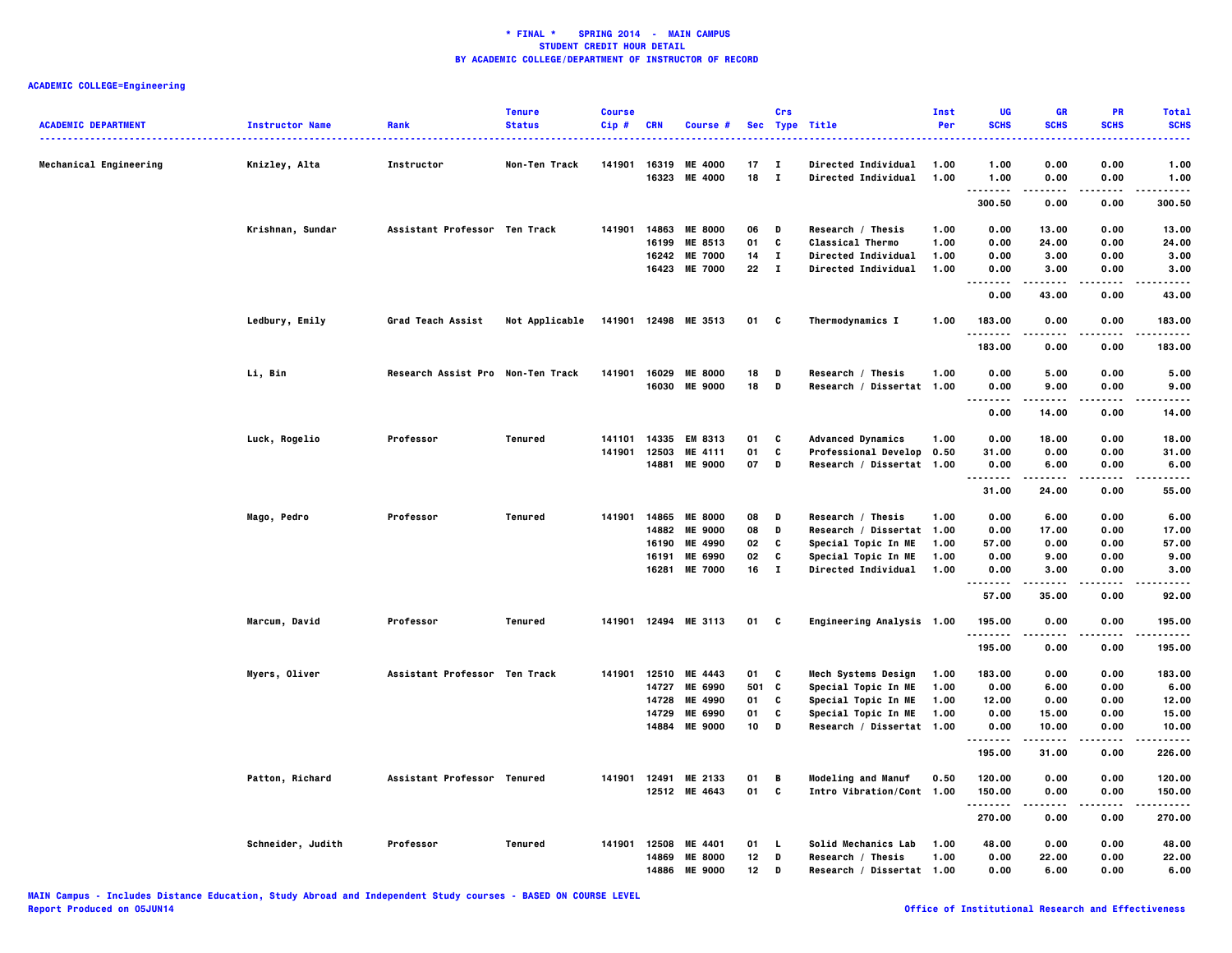| <b>ACADEMIC DEPARTMENT</b> |                        | Rank                              | <b>Tenure</b><br><b>Status</b> | <b>Course</b><br>$Cip$ # |            |                      |                 | Crs          |                            | <b>Inst</b><br>Per | UG<br><b>SCHS</b>            | <b>GR</b><br><b>SCHS</b> | PR<br><b>SCHS</b> | <b>Total</b><br><b>SCHS</b> |
|----------------------------|------------------------|-----------------------------------|--------------------------------|--------------------------|------------|----------------------|-----------------|--------------|----------------------------|--------------------|------------------------------|--------------------------|-------------------|-----------------------------|
|                            | <b>Instructor Name</b> |                                   |                                |                          | <b>CRN</b> | Course #             |                 |              | Sec Type Title             |                    |                              |                          |                   |                             |
| Mechanical Engineering     | Knizley, Alta          | Instructor                        | Non-Ten Track                  | 141901                   | 16319      | <b>ME 4000</b>       | 17              | $\mathbf{I}$ | Directed Individual        | 1.00               | 1.00                         | 0.00                     | 0.00              | 1.00                        |
|                            |                        |                                   |                                |                          | 16323      | <b>ME 4000</b>       | 18              | $\mathbf{T}$ | Directed Individual        | 1.00               | 1.00                         | 0.00                     | 0.00              | 1.00                        |
|                            |                        |                                   |                                |                          |            |                      |                 |              |                            |                    | <u>.</u><br>300.50           | 0.00                     | 0.00              | .<br>300.50                 |
|                            |                        | Assistant Professor Ten Track     |                                | 141901                   | 14863      | <b>ME 8000</b>       | 06              | D            | Research / Thesis          | 1.00               | 0.00                         | 13.00                    | 0.00              | 13.00                       |
|                            | Krishnan, Sundar       |                                   |                                |                          | 16199      | ME 8513              | 01              | c            | <b>Classical Thermo</b>    | 1.00               | 0.00                         | 24.00                    | 0.00              | 24.00                       |
|                            |                        |                                   |                                |                          | 16242      | <b>ME 7000</b>       | 14              | $\mathbf I$  | Directed Individual        | 1.00               | 0.00                         | 3.00                     | 0.00              | 3.00                        |
|                            |                        |                                   |                                |                          | 16423      | <b>ME 7000</b>       | 22              | $\mathbf{I}$ | <b>Directed Individual</b> | 1.00               | 0.00                         | 3.00                     | 0.00              | 3.00                        |
|                            |                        |                                   |                                |                          |            |                      |                 |              |                            |                    | $\sim$ $\sim$<br>.<br>0.00   | 43.00                    | 0.00              | 43.00                       |
|                            | Ledbury, Emily         | Grad Teach Assist                 | Not Applicable                 |                          |            | 141901 12498 ME 3513 | 01              | C            | Thermodynamics I           | 1.00               | 183.00                       | 0.00                     | 0.00              | 183.00                      |
|                            |                        |                                   |                                |                          |            |                      |                 |              |                            |                    | .<br>183.00                  | 0.00                     | 0.00              | 183.00                      |
|                            | Li, Bin                | Research Assist Pro Non-Ten Track |                                | 141901                   | 16029      | <b>ME 8000</b>       | 18              | D            | Research / Thesis          | 1.00               | 0.00                         | 5.00                     | 0.00              | 5.00                        |
|                            |                        |                                   |                                |                          | 16030      | <b>ME 9000</b>       | 18              | D            | Research / Dissertat 1.00  |                    | 0.00                         | 9.00                     | 0.00              | 9.00                        |
|                            |                        |                                   |                                |                          |            |                      |                 |              |                            |                    | -----<br>.                   | .                        | .                 | .                           |
|                            |                        |                                   |                                |                          |            |                      |                 |              |                            |                    | 0.00                         | 14.00                    | 0.00              | 14.00                       |
|                            | Luck, Rogelio          | Professor                         | Tenured                        | 141101                   | 14335      | EM 8313              | 01              | C            | <b>Advanced Dynamics</b>   | 1.00               | 0.00                         | 18.00                    | 0.00              | 18.00                       |
|                            |                        |                                   |                                | 141901                   | 12503      | ME 4111              | 01              | c            | Professional Develop 0.50  |                    | 31.00                        | 0.00                     | 0.00              | 31.00                       |
|                            |                        |                                   |                                |                          | 14881      | <b>ME 9000</b>       | 07              | D            | Research / Dissertat 1.00  |                    | 0.00                         | 6.00                     | 0.00              | 6.00                        |
|                            |                        |                                   |                                |                          |            |                      |                 |              |                            |                    | .<br>31.00                   | 24.00                    | $- - - -$<br>0.00 | $- - - -$<br>55.00          |
|                            | Mago, Pedro            | Professor                         | Tenured                        | 141901                   | 14865      | <b>ME 8000</b>       | 08              | D            | Research / Thesis          | 1.00               | 0.00                         | 6.00                     | 0.00              | 6.00                        |
|                            |                        |                                   |                                |                          | 14882      | <b>ME 9000</b>       | 08              | D            | Research / Dissertat 1.00  |                    | 0.00                         | 17.00                    | 0.00              | 17.00                       |
|                            |                        |                                   |                                |                          | 16190      | ME 4990              | 02              | C            | Special Topic In ME        | 1.00               | 57.00                        | 0.00                     | 0.00              | 57.00                       |
|                            |                        |                                   |                                |                          | 16191      | ME 6990              | 02              | C            | Special Topic In ME        | 1.00               | 0.00                         | 9.00                     | 0.00              | 9.00                        |
|                            |                        |                                   |                                |                          |            | 16281 ME 7000        | 16              | $\mathbf{I}$ | Directed Individual        | 1.00               | 0.00<br>$\sim$ $\sim$ $\sim$ | 3,00                     | 0.00              | 3.00                        |
|                            |                        |                                   |                                |                          |            |                      |                 |              |                            |                    | 57.00                        | 35.00                    | 0.00              | 92.00                       |
|                            | Marcum, David          | Professor                         | Tenured                        |                          |            | 141901 12494 ME 3113 | 01              | C            | Engineering Analysis 1.00  |                    | 195.00<br>.                  | 0.00                     | 0.00              | 195.00                      |
|                            |                        |                                   |                                |                          |            |                      |                 |              |                            |                    | 195.00                       | 0.00                     | 0.00              | 195.00                      |
|                            | Myers, Oliver          | Assistant Professor Ten Track     |                                | 141901                   |            | 12510 ME 4443        | 01              | C            | Mech Systems Design        | 1.00               | 183.00                       | 0.00                     | 0.00              | 183.00                      |
|                            |                        |                                   |                                |                          | 14727      | ME 6990              | 501             | C            | Special Topic In ME        | 1.00               | 0.00                         | 6.00                     | 0.00              | 6.00                        |
|                            |                        |                                   |                                |                          | 14728      | ME 4990              | 01              | c            | Special Topic In ME        | 1.00               | 12.00                        | 0.00                     | 0.00              | 12.00                       |
|                            |                        |                                   |                                |                          | 14729      | ME 6990              | 01              | C            | Special Topic In ME        | 1.00               | 0.00                         | 15.00                    | 0.00              | 15.00                       |
|                            |                        |                                   |                                |                          | 14884      | <b>ME 9000</b>       | 10              | D            | Research / Dissertat 1.00  |                    | 0.00<br>.                    | 10.00                    | 0.00              | 10.00                       |
|                            |                        |                                   |                                |                          |            |                      |                 |              |                            |                    | 195.00                       | 31.00                    | 0.00              | 226.00                      |
|                            | Patton, Richard        | Assistant Professor Tenured       |                                |                          |            | 141901 12491 ME 2133 | 01              | В            | <b>Modeling and Manuf</b>  | 0.50               | 120.00                       | 0.00                     | 0.00              | 120.00                      |
|                            |                        |                                   |                                |                          |            | 12512 ME 4643        | 01              | C            | Intro Vibration/Cont 1.00  |                    | 150.00                       | 0.00                     | 0.00              | 150.00                      |
|                            |                        |                                   |                                |                          |            |                      |                 |              |                            |                    | .<br>270.00                  | 0.00                     | 0.00              | 270.00                      |
|                            | Schneider, Judith      | Professor                         | <b>Tenured</b>                 | 141901                   | 12508      | ME 4401              | 01              | <b>L</b>     | Solid Mechanics Lab        | 1.00               | 48.00                        | 0.00                     | 0.00              | 48.00                       |
|                            |                        |                                   |                                |                          | 14869      | <b>ME 8000</b>       | 12 <sub>2</sub> | D            | Research / Thesis          | 1.00               | 0.00                         | 22,00                    | 0.00              | 22.00                       |
|                            |                        |                                   |                                |                          | 14886      | <b>ME 9000</b>       | 12              | D            | Research / Dissertat 1.00  |                    | 0.00                         | 6.00                     | 0.00              | 6.00                        |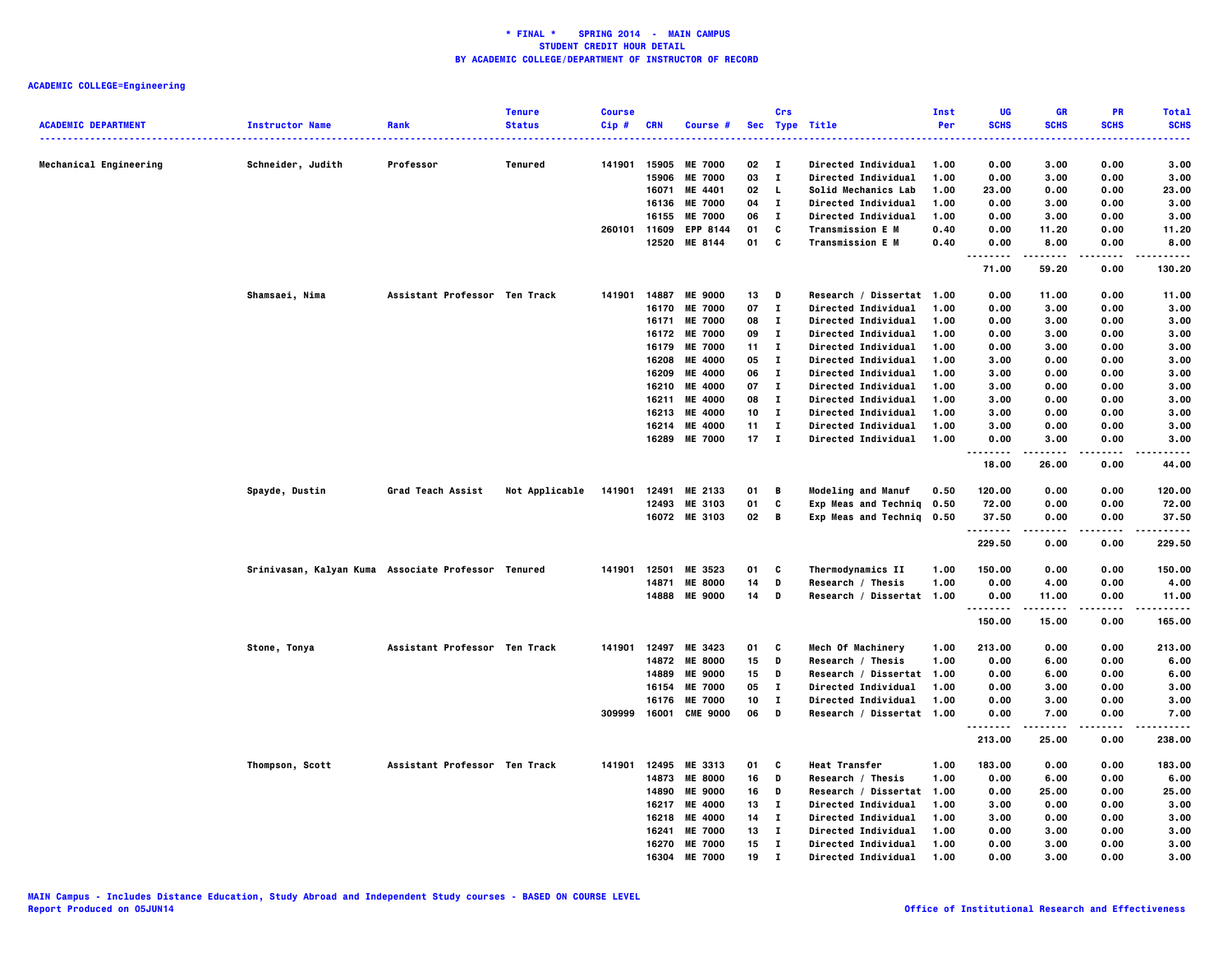|                            |                                                     |                               | <b>Tenure</b>  | <b>Course</b> |            |                 |        | Crs          |                                        | Inst | UG                                | <b>GR</b>     | <b>PR</b>   | <b>Total</b>         |
|----------------------------|-----------------------------------------------------|-------------------------------|----------------|---------------|------------|-----------------|--------|--------------|----------------------------------------|------|-----------------------------------|---------------|-------------|----------------------|
| <b>ACADEMIC DEPARTMENT</b> | <b>Instructor Name</b>                              | Rank                          | <b>Status</b>  | $Cip$ #       | <b>CRN</b> | Course #        |        |              | Sec Type Title                         | Per  | <b>SCHS</b><br>.                  | <b>SCHS</b>   | <b>SCHS</b> | <b>SCHS</b><br>----- |
| Mechanical Engineering     | Schneider, Judith                                   | Professor                     | Tenured        | 141901        | 15905      | <b>ME 7000</b>  | 02     | $\mathbf{I}$ | Directed Individual                    | 1.00 | 0.00                              | 3.00          | 0.00        | 3.00                 |
|                            |                                                     |                               |                |               | 15906      | <b>ME 7000</b>  | 03     | $\bf{I}$     | <b>Directed Individual</b>             | 1.00 | 0.00                              | 3.00          | 0.00        | 3.00                 |
|                            |                                                     |                               |                |               | 16071      | ME 4401         | 02     | L.           | Solid Mechanics Lab                    | 1.00 | 23.00                             | 0.00          | 0.00        | 23.00                |
|                            |                                                     |                               |                |               | 16136      | <b>ME 7000</b>  | 04     | $\mathbf{I}$ | <b>Directed Individual</b>             | 1.00 | 0.00                              | 3.00          | 0.00        | 3.00                 |
|                            |                                                     |                               |                |               | 16155      | <b>ME 7000</b>  | 06     | $\mathbf{I}$ | <b>Directed Individual</b>             | 1.00 | 0.00                              | 3.00          | 0.00        | 3.00                 |
|                            |                                                     |                               |                | 260101        | 11609      | EPP 8144        | 01     | C            | <b>Transmission E M</b>                | 0.40 | 0.00                              | 11.20         | 0.00        | 11.20                |
|                            |                                                     |                               |                |               | 12520      | ME 8144         | 01     | C            | <b>Transmission E M</b>                | 0.40 | 0.00<br>.<br>$\sim$ $\sim$ $\sim$ | 8.00<br>----- | 0.00<br>.   | 8.00<br>.            |
|                            |                                                     |                               |                |               |            |                 |        |              |                                        |      | 71.00                             | 59.20         | 0.00        | 130.20               |
|                            | Shamsaei, Nima                                      | Assistant Professor Ten Track |                | 141901        | 14887      | <b>ME 9000</b>  | 13     | D            | Research / Dissertat 1.00              |      | 0.00                              | 11.00         | 0.00        | 11.00                |
|                            |                                                     |                               |                |               | 16170      | <b>ME 7000</b>  | 07     | $\mathbf{I}$ | Directed Individual                    | 1.00 | 0.00                              | 3.00          | 0.00        | 3.00                 |
|                            |                                                     |                               |                |               | 16171      | <b>ME 7000</b>  | 08     | $\bf{I}$     | Directed Individual                    | 1.00 | 0.00                              | 3.00          | 0.00        | 3.00                 |
|                            |                                                     |                               |                |               | 16172      | <b>ME 7000</b>  | 09     | $\bf{I}$     | Directed Individual                    | 1.00 | 0.00                              | 3.00          | 0.00        | 3.00                 |
|                            |                                                     |                               |                |               | 16179      | <b>ME 7000</b>  | 11     | $\mathbf{I}$ | <b>Directed Individual</b>             | 1.00 | 0.00                              | 3.00          | 0.00        | 3.00                 |
|                            |                                                     |                               |                |               | 16208      | <b>ME 4000</b>  | 05     | $\bf{I}$     | <b>Directed Individual</b>             | 1.00 | 3.00                              | 0.00          | 0.00        | 3.00                 |
|                            |                                                     |                               |                |               | 16209      | <b>ME 4000</b>  | 06     | $\mathbf{I}$ | <b>Directed Individual</b>             | 1.00 | 3.00                              | 0.00          | 0.00        | 3.00                 |
|                            |                                                     |                               |                |               | 16210      | <b>ME 4000</b>  | 07     | $\bf{I}$     | <b>Directed Individual</b>             | 1.00 | 3.00                              | 0.00          | 0.00        | 3.00                 |
|                            |                                                     |                               |                |               | 16211      | <b>ME 4000</b>  | 08     | $\mathbf{I}$ | <b>Directed Individual</b>             | 1.00 | 3.00                              | 0.00          | 0.00        | 3.00                 |
|                            |                                                     |                               |                |               | 16213      | <b>ME 4000</b>  | 10     | $\bf{I}$     | <b>Directed Individual</b>             | 1.00 | 3.00                              | 0.00          | 0.00        | 3.00                 |
|                            |                                                     |                               |                |               | 16214      | <b>ME 4000</b>  | 11     | $\bf{I}$     | <b>Directed Individual</b>             | 1.00 | 3.00                              | 0.00          | 0.00        | 3.00                 |
|                            |                                                     |                               |                |               | 16289      | <b>ME 7000</b>  | $17$ I |              | <b>Directed Individual</b>             | 1.00 | 0.00<br>.                         | 3.00<br>.     | 0.00        | 3.00<br>.            |
|                            |                                                     |                               |                |               |            |                 |        |              |                                        |      | 18.00                             | 26.00         | 0.00        | 44.00                |
|                            | Spayde, Dustin                                      | Grad Teach Assist             | Not Applicable | 141901        | 12491      | ME 2133         | 01     | В            | <b>Modeling and Manuf</b>              | 0.50 | 120.00                            | 0.00          | 0.00        | 120.00               |
|                            |                                                     |                               |                |               | 12493      | ME 3103         | 01     | c            | Exp Meas and Techniq                   | 0.50 | 72.00                             | 0.00          | 0.00        | 72.00                |
|                            |                                                     |                               |                |               |            | 16072 ME 3103   | 02     | В            | Exp Meas and Techniq                   | 0.50 | 37.50                             | 0.00          | 0.00        | 37.50                |
|                            |                                                     |                               |                |               |            |                 |        |              |                                        |      | .<br>229.50                       | 0.00          | 0.00        | .<br>229.50          |
|                            |                                                     |                               |                | 141901        | 12501      | ME 3523         | 01     | C            |                                        | 1.00 | 150.00                            | 0.00          | 0.00        | 150.00               |
|                            | Srinivasan, Kalyan Kuma Associate Professor Tenured |                               |                |               | 14871      | <b>ME 8000</b>  | 14     | D            | Thermodynamics II<br>Research / Thesis | 1.00 | 0.00                              | 4.00          | 0.00        | 4.00                 |
|                            |                                                     |                               |                |               |            | 14888 ME 9000   | 14     | D            | Research / Dissertat 1.00              |      | 0.00                              | 11.00         | 0.00        | 11.00                |
|                            |                                                     |                               |                |               |            |                 |        |              |                                        |      | .<br>150.00                       | .<br>15.00    | 0.00        | .<br>165.00          |
|                            |                                                     |                               |                |               |            |                 |        |              |                                        |      |                                   |               |             |                      |
|                            | Stone, Tonya                                        | Assistant Professor Ten Track |                | 141901        | 12497      | ME 3423         | 01     | c            | Mech Of Machinery                      | 1.00 | 213.00                            | 0.00          | 0.00        | 213.00               |
|                            |                                                     |                               |                |               | 14872      | <b>ME 8000</b>  | 15     | D            | Research / Thesis                      | 1.00 | 0.00                              | 6.00          | 0.00        | 6.00                 |
|                            |                                                     |                               |                |               | 14889      | <b>ME 9000</b>  | 15     | D            | Research / Dissertat                   | 1.00 | 0.00                              | 6.00          | 0.00        | 6.00                 |
|                            |                                                     |                               |                |               | 16154      | <b>ME 7000</b>  | 05     | $\bf{I}$     | <b>Directed Individual</b>             | 1.00 | 0.00                              | 3.00          | 0.00        | 3.00                 |
|                            |                                                     |                               |                |               | 16176      | <b>ME 7000</b>  | 10     | л.           | Directed Individual                    | 1.00 | 0.00                              | 3.00          | 0.00        | 3.00                 |
|                            |                                                     |                               |                | 309999        | 16001      | <b>CME 9000</b> | 06     | D            | Research / Dissertat 1.00              |      | 0.00                              | 7.00          | 0.00        | 7.00                 |
|                            |                                                     |                               |                |               |            |                 |        |              |                                        |      | 213.00                            | 25.00         | 0.00        | 238.00               |
|                            | Thompson, Scott                                     | Assistant Professor Ten Track |                | 141901        |            | 12495 ME 3313   | 01     | C            | <b>Heat Transfer</b>                   | 1.00 | 183.00                            | 0.00          | 0.00        | 183.00               |
|                            |                                                     |                               |                |               | 14873      | <b>ME 8000</b>  | 16     | D            | Research / Thesis                      | 1.00 | 0.00                              | 6.00          | 0.00        | 6.00                 |
|                            |                                                     |                               |                |               | 14890      | <b>ME 9000</b>  | 16     | D            | Research / Dissertat                   | 1.00 | 0.00                              | 25.00         | 0.00        | 25.00                |
|                            |                                                     |                               |                |               | 16217      | <b>ME 4000</b>  | 13     | $\mathbf{I}$ | <b>Directed Individual</b>             | 1.00 | 3.00                              | 0.00          | 0.00        | 3.00                 |
|                            |                                                     |                               |                |               | 16218      | <b>ME 4000</b>  | 14     | $\bf{I}$     | Directed Individual                    | 1.00 | 3.00                              | 0.00          | 0.00        | 3.00                 |
|                            |                                                     |                               |                |               | 16241      | <b>ME 7000</b>  | 13     | $\mathbf{I}$ | <b>Directed Individual</b>             | 1.00 | 0.00                              | 3.00          | 0.00        | 3.00                 |
|                            |                                                     |                               |                |               | 16270      | <b>ME 7000</b>  | 15     | $\bf{I}$     | <b>Directed Individual</b>             | 1.00 | 0.00                              | 3.00          | 0.00        | 3.00                 |
|                            |                                                     |                               |                |               | 16304      | <b>ME 7000</b>  | 19     | $\mathbf{I}$ | Directed Individual                    | 1.00 | 0.00                              | 3.00          | 0.00        | 3.00                 |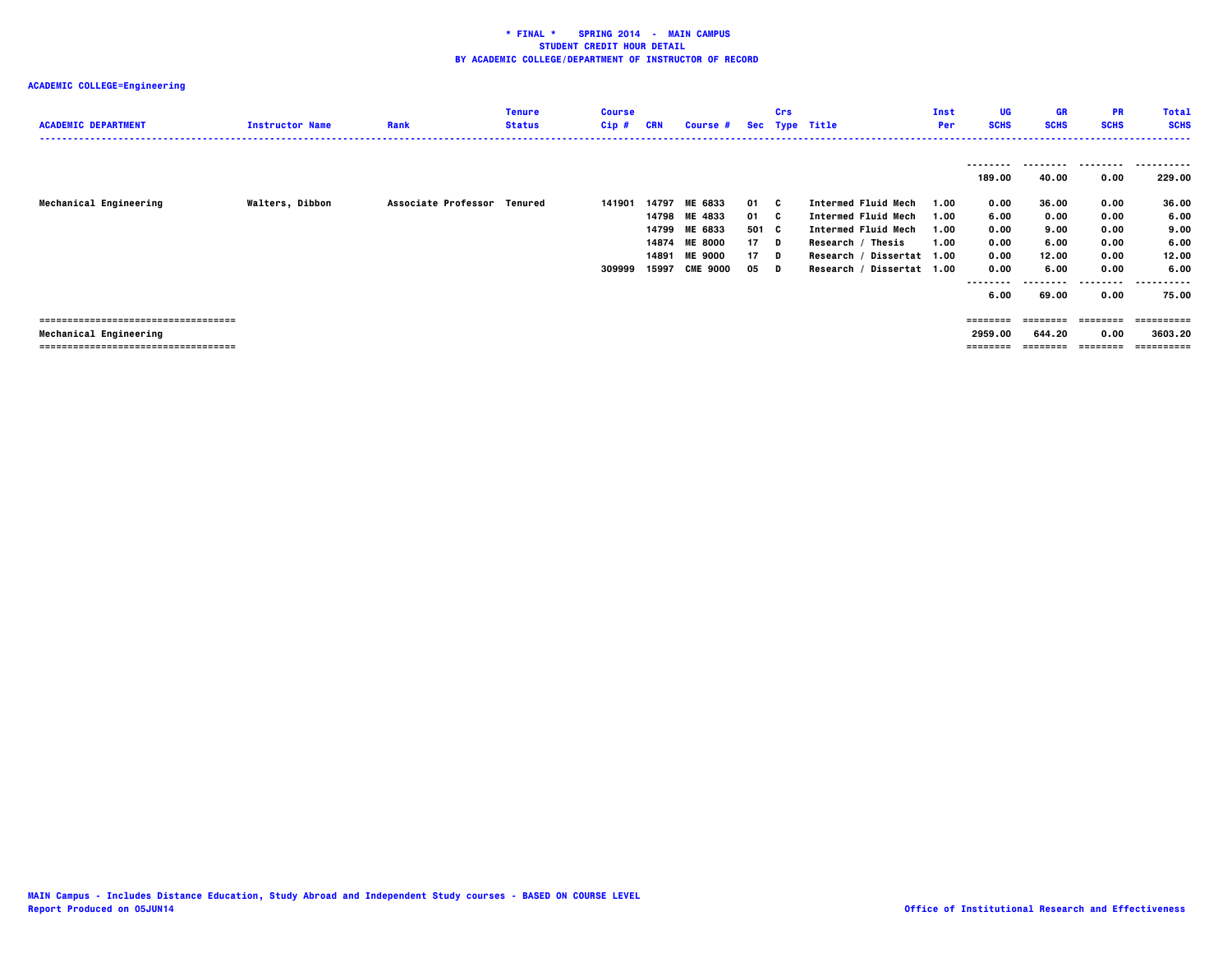## **ACADEMIC COLLEGE=Engineering**

| <b>ACADEMIC DEPARTMENT</b>           | <b>Instructor Name</b> | Rank                        | <b>Tenure</b><br><b>Status</b> | <b>Course</b><br>$Cip$ # | CRN            | <b>Course #</b>           |            | <b>Crs</b> | Sec Type Title                                           | Inst<br>Per  | UG<br><b>SCHS</b>  | <b>GR</b><br><b>SCHS</b> | <b>PR</b><br><b>SCHS</b> | <b>Total</b><br><b>SCHS</b> |
|--------------------------------------|------------------------|-----------------------------|--------------------------------|--------------------------|----------------|---------------------------|------------|------------|----------------------------------------------------------|--------------|--------------------|--------------------------|--------------------------|-----------------------------|
|                                      |                        |                             |                                |                          |                |                           |            |            |                                                          |              | --------<br>189.00 | ---------<br>40.00       | .<br>0.00                | .<br>229.00                 |
| Mechanical Engineering               | <b>Walters, Dibbon</b> | Associate Professor Tenured |                                | 141901                   | 14797<br>14798 | <b>ME 6833</b><br>ME 4833 | 01<br>01 C | - C        | <b>Intermed Fluid Mech</b><br><b>Intermed Fluid Mech</b> | 1.00<br>1.00 | 0.00<br>6.00       | 36.00<br>0.00            | 0.00<br>0.00             | 36.00<br>6.00               |
|                                      |                        |                             |                                |                          | 14799          | ME 6833                   | 501 C      |            | <b>Intermed Fluid Mech</b>                               | 1.00         | 0.00               | 9.00                     | 0.00                     | 9.00                        |
|                                      |                        |                             |                                |                          | 14874          | <b>ME 8000</b>            | 17         | D          | Research / Thesis                                        | 1.00         | 0.00               | 6.00                     | 0.00                     | 6.00                        |
|                                      |                        |                             |                                |                          | 14891          | <b>ME 9000</b>            | 17         | D          | Research / Dissertat 1.00                                |              | 0.00               | 12.00                    | 0.00                     | 12.00                       |
|                                      |                        |                             |                                | 309999                   | 15997          | <b>CME 9000</b>           | 05         | D          | Research / Dissertat 1.00                                |              | 0.00               | 6.00                     | 0.00                     | 6.00                        |
|                                      |                        |                             |                                |                          |                |                           |            |            |                                                          |              | --------           |                          | -----                    | -------                     |
|                                      |                        |                             |                                |                          |                |                           |            |            |                                                          |              | 6.00               | 69.00                    | 0.00                     | 75.00                       |
|                                      |                        |                             |                                |                          |                |                           |            |            |                                                          |              |                    |                          |                          |                             |
| ==================================== |                        |                             |                                |                          |                |                           |            |            |                                                          |              | ========           | --------                 | --------                 | ----------                  |
| Mechanical Engineering               |                        |                             |                                |                          |                |                           |            |            |                                                          |              | 2959.00            | 644.20                   | 0.00                     | 3603.20                     |
| ==================================== |                        |                             |                                |                          |                |                           |            |            |                                                          |              |                    |                          |                          | ==========                  |
|                                      |                        |                             |                                |                          |                |                           |            |            |                                                          |              |                    |                          |                          |                             |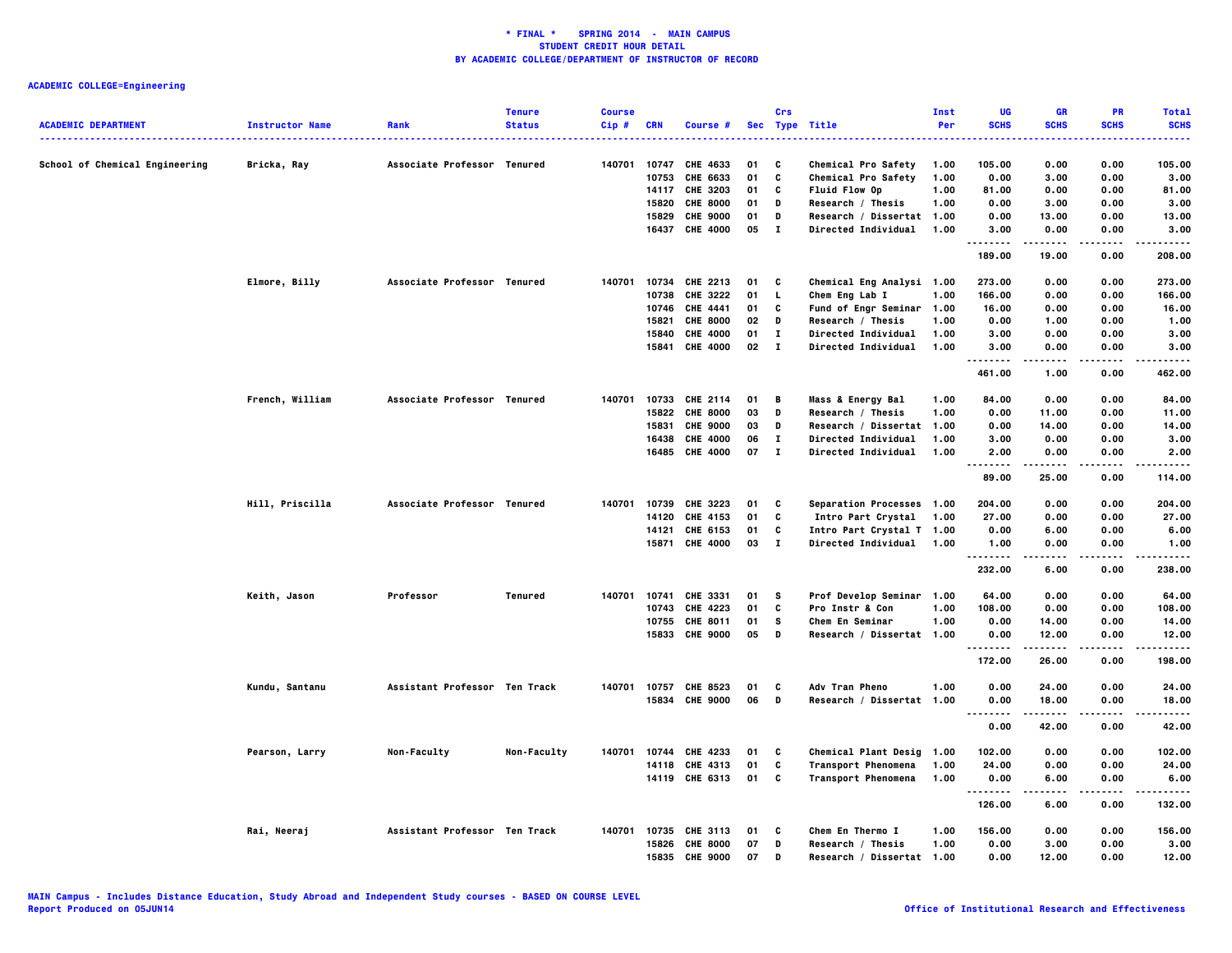## **ACADEMIC COLLEGE=Engineering**

| <b>ACADEMIC DEPARTMENT</b>     | <b>Instructor Name</b> | Rank                          | <b>Tenure</b><br><b>Status</b> | <b>Course</b><br>$Cip$ # | <b>CRN</b>     | Course #                           |          | Crs                          | Sec Type Title                             | Inst<br>Per  | UG<br><b>SCHS</b>             | <b>GR</b><br><b>SCHS</b> | <b>PR</b><br><b>SCHS</b> | <b>Total</b><br><b>SCHS</b> |
|--------------------------------|------------------------|-------------------------------|--------------------------------|--------------------------|----------------|------------------------------------|----------|------------------------------|--------------------------------------------|--------------|-------------------------------|--------------------------|--------------------------|-----------------------------|
| School of Chemical Engineering | Bricka, Ray            | Associate Professor Tenured   |                                | 140701                   | 10747          | CHE 4633                           | 01       | C                            | <b>Chemical Pro Safety</b>                 | 1.00         | 105.00                        | 0.00                     | 0.00                     | 105.00                      |
|                                |                        |                               |                                |                          | 10753          | CHE 6633                           | 01       | C                            | Chemical Pro Safety                        | 1.00         | 0.00                          | 3.00                     | 0.00                     | 3.00                        |
|                                |                        |                               |                                |                          |                | 14117 CHE 3203                     | 01       | C                            | <b>Fluid Flow Op</b>                       | 1.00         | 81.00                         | 0.00                     | 0.00                     | 81.00                       |
|                                |                        |                               |                                |                          | 15820          | <b>CHE 8000</b>                    | 01       | D                            | Research / Thesis                          | 1.00         | 0.00                          | 3.00                     | 0.00                     | 3.00                        |
|                                |                        |                               |                                |                          | 15829          | <b>CHE 9000</b>                    | 01       | $\mathbf{D}$                 | Research / Dissertat 1.00                  |              | 0.00                          | 13.00                    | 0.00                     | 13.00                       |
|                                |                        |                               |                                |                          |                | 16437 CHE 4000                     | 05       | $\mathbf{I}$                 | <b>Directed Individual</b>                 | 1.00         | 3.00<br>.                     | 0.00                     | 0.00                     | 3.00                        |
|                                |                        |                               |                                |                          |                |                                    |          |                              |                                            |              | 189.00                        | 19.00                    | 0.00                     | 208.00                      |
|                                | Elmore, Billy          | Associate Professor Tenured   |                                |                          |                | 140701 10734 CHE 2213              | 01       | C                            | Chemical Eng Analysi 1.00                  |              | 273.00                        | 0.00                     | 0.00                     | 273.00                      |
|                                |                        |                               |                                |                          | 10738          | CHE 3222                           | 01       | L                            | Chem Eng Lab I                             | 1.00         | 166.00                        | 0.00                     | 0.00                     | 166.00                      |
|                                |                        |                               |                                |                          | 10746          | CHE 4441                           | 01       | C                            | Fund of Engr Seminar                       | 1.00         | 16.00                         | 0.00                     | 0.00                     | 16.00                       |
|                                |                        |                               |                                |                          | 15821          | <b>CHE 8000</b>                    | 02       | D                            | Research / Thesis                          | 1.00         | 0.00                          | 1.00                     | 0.00                     | 1.00                        |
|                                |                        |                               |                                |                          | 15840<br>15841 | <b>CHE 4000</b><br><b>CHE 4000</b> | 01<br>02 | $\mathbf{I}$<br>$\mathbf{I}$ | Directed Individual<br>Directed Individual | 1.00<br>1.00 | 3.00<br>3.00                  | 0.00                     | 0.00<br>0.00             | 3,00<br>3.00                |
|                                |                        |                               |                                |                          |                |                                    |          |                              |                                            |              | .                             | 0.00                     |                          |                             |
|                                |                        |                               |                                |                          |                |                                    |          |                              |                                            |              | 461.00                        | 1.00                     | 0.00                     | 462.00                      |
|                                | French, William        | Associate Professor Tenured   |                                | 140701                   |                | 10733 CHE 2114                     | 01       | B                            | <b>Mass &amp; Energy Bal</b>               | 1.00         | 84.00                         | 0.00                     | 0.00                     | 84.00                       |
|                                |                        |                               |                                |                          | 15822          | <b>CHE 8000</b>                    | 03       | D                            | Research / Thesis                          | 1.00         | 0.00                          | 11.00                    | 0.00                     | 11.00                       |
|                                |                        |                               |                                |                          | 15831          | <b>CHE 9000</b>                    | 03       | D                            | Research / Dissertat 1.00                  |              | 0.00                          | 14.00                    | 0.00                     | 14.00                       |
|                                |                        |                               |                                |                          | 16438          | <b>CHE 4000</b>                    | 06       | $\bf{I}$                     | Directed Individual                        | 1.00         | 3.00                          | 0.00                     | 0.00                     | 3.00                        |
|                                |                        |                               |                                |                          |                | 16485 CHE 4000                     | 07       | $\mathbf{I}$                 | <b>Directed Individual</b>                 | 1.00         | 2.00<br>.                     | 0.00<br>-----            | 0.00                     | 2.00<br>.                   |
|                                |                        |                               |                                |                          |                |                                    |          |                              |                                            |              | 89.00                         | 25.00                    | 0.00                     | 114.00                      |
|                                | Hill, Priscilla        | Associate Professor Tenured   |                                | 140701                   |                | 10739 CHE 3223                     | 01       | C                            | Separation Processes 1.00                  |              | 204.00                        | 0.00                     | 0.00                     | 204.00                      |
|                                |                        |                               |                                |                          | 14120          | CHE 4153                           | 01       | C                            | Intro Part Crystal                         | 1.00         | 27.00                         | 0.00                     | 0.00                     | 27.00                       |
|                                |                        |                               |                                |                          | 14121          | CHE 6153                           | 01       | C                            | Intro Part Crystal T 1.00                  |              | 0.00                          | 6.00                     | 0.00                     | 6.00                        |
|                                |                        |                               |                                |                          |                | 15871 CHE 4000                     | 03       | $\mathbf{I}$                 | Directed Individual 1.00                   |              | 1.00<br>.                     | 0.00<br>-----            | 0.00<br>.                | 1.00<br>.                   |
|                                |                        |                               |                                |                          |                |                                    |          |                              |                                            |              | 232.00                        | 6.00                     | 0.00                     | 238.00                      |
|                                | Keith, Jason           | Professor                     | Tenured                        | 140701                   | 10741          | CHE 3331                           | 01       | s                            | Prof Develop Seminar 1.00                  |              | 64.00                         | 0.00                     | 0.00                     | 64.00                       |
|                                |                        |                               |                                |                          |                | 10743 CHE 4223                     | 01       | C                            | Pro Instr & Con                            | 1.00         | 108.00                        | 0.00                     | 0.00                     | 108.00                      |
|                                |                        |                               |                                |                          |                | 10755 CHE 8011                     | 01       | s                            | Chem En Seminar                            | 1.00         | 0.00                          | 14.00                    | 0.00                     | 14.00                       |
|                                |                        |                               |                                |                          |                | 15833 CHE 9000                     | 05       | D                            | Research / Dissertat 1.00                  |              | 0.00<br>                      | 12.00<br>.               | 0.00                     | 12.00<br>.                  |
|                                |                        |                               |                                |                          |                |                                    |          |                              |                                            |              | 172.00                        | 26.00                    | 0.00                     | 198.00                      |
|                                | Kundu, Santanu         | Assistant Professor Ten Track |                                |                          |                | 140701 10757 CHE 8523              | 01       | C                            | <b>Adv Tran Pheno</b>                      | 1.00         | 0.00                          | 24.00                    | 0.00                     | 24.00                       |
|                                |                        |                               |                                |                          |                | 15834 CHE 9000                     | 06       | D                            | Research / Dissertat 1.00                  |              | 0.00                          | 18.00                    | 0.00                     | 18.00                       |
|                                |                        |                               |                                |                          |                |                                    |          |                              |                                            |              | $\sim$ $\sim$ $\sim$<br>----- | .                        | .                        | .                           |
|                                |                        |                               |                                |                          |                |                                    |          |                              |                                            |              | 0.00                          | 42.00                    | 0.00                     | 42.00                       |
|                                | Pearson, Larry         | Non-Faculty                   | Non-Faculty                    | 140701                   |                | 10744 CHE 4233                     | 01       | C                            | Chemical Plant Desig 1.00                  |              | 102.00                        | 0.00                     | 0.00                     | 102.00                      |
|                                |                        |                               |                                |                          |                | 14118 CHE 4313                     | 01       | C                            | <b>Transport Phenomena</b>                 | 1.00         | 24.00                         | 0.00                     | 0.00                     | 24.00                       |
|                                |                        |                               |                                |                          |                | 14119 CHE 6313                     | 01       | C                            | <b>Transport Phenomena</b>                 | 1.00         | 0.00<br>                      | 6.00                     | 0.00                     | 6.00                        |
|                                |                        |                               |                                |                          |                |                                    |          |                              |                                            |              | 126.00                        | 6.00                     | 0.00                     | 132.00                      |
|                                | Rai, Neeraj            | Assistant Professor Ten Track |                                | 140701                   |                | 10735 CHE 3113                     | 01       | C                            | Chem En Thermo I                           | 1.00         | 156.00                        | 0.00                     | 0.00                     | 156.00                      |
|                                |                        |                               |                                |                          | 15826          | <b>CHE 8000</b>                    | 07       | D                            | Research / Thesis                          | 1.00         | 0.00                          | 3.00                     | 0.00                     | 3.00                        |
|                                |                        |                               |                                |                          | 15835          | <b>CHE 9000</b>                    | 07       | D                            | Research / Dissertat 1.00                  |              | 0.00                          | 12.00                    | 0.00                     | 12.00                       |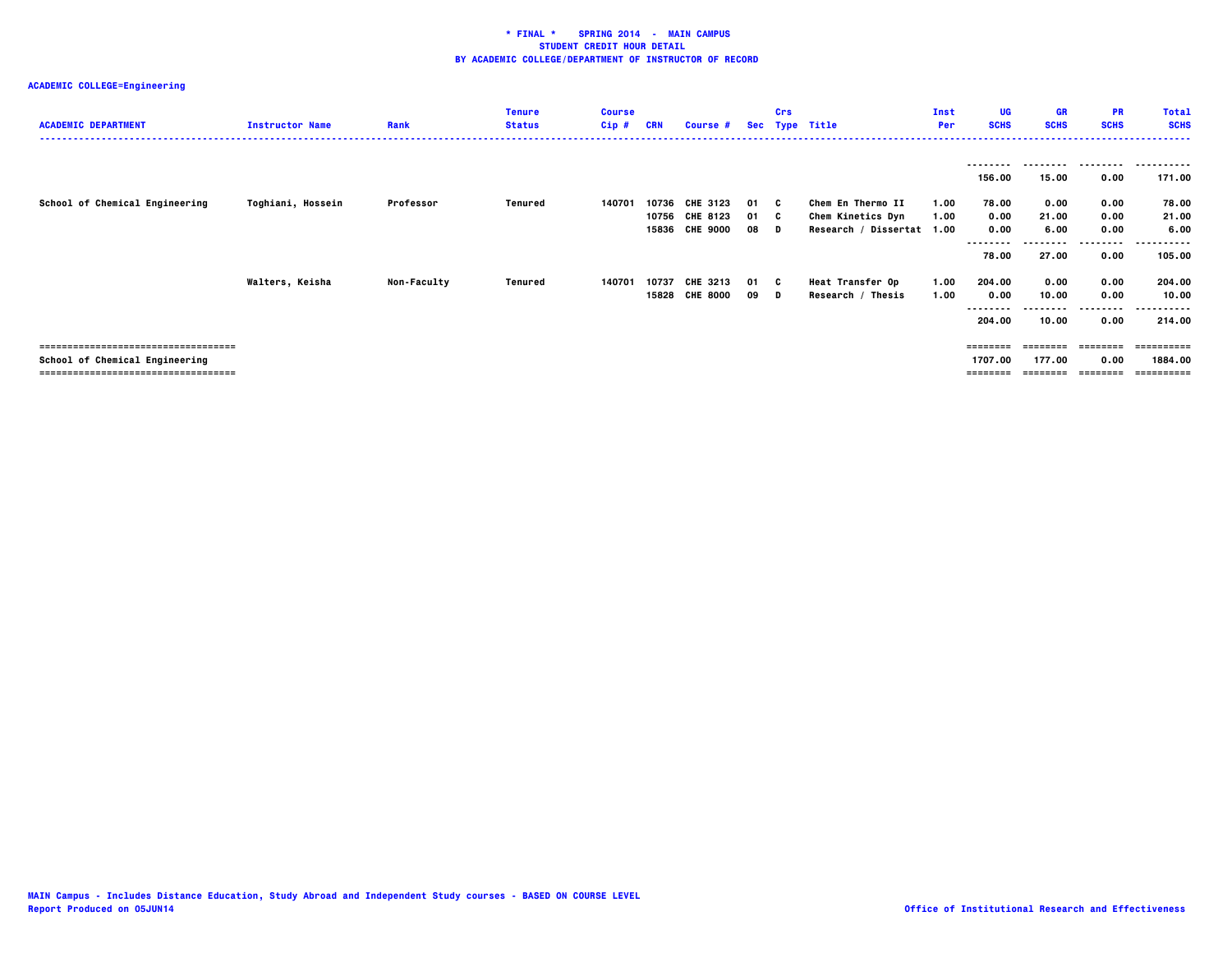## **ACADEMIC COLLEGE=Engineering**

| <b>ACADEMIC DEPARTMENT</b>                                                                                       | <b>Instructor Name</b> | Rank               | <b>Tenure</b><br><b>Status</b> | <b>Course</b><br>$Cip$ # | <b>CRN</b> | Course #                                     |                  | Crs     | Sec Type Title                                                      | Inst<br>Per  | UG<br><b>SCHS</b>                 | <b>GR</b><br><b>SCHS</b>       | <b>PR</b><br><b>SCHS</b>  | <b>Total</b><br><b>SCHS</b>         |
|------------------------------------------------------------------------------------------------------------------|------------------------|--------------------|--------------------------------|--------------------------|------------|----------------------------------------------|------------------|---------|---------------------------------------------------------------------|--------------|-----------------------------------|--------------------------------|---------------------------|-------------------------------------|
|                                                                                                                  |                        |                    |                                |                          |            |                                              |                  |         |                                                                     |              | 156.00                            | 15.00                          | 0.00                      | 171.00                              |
| School of Chemical Engineering                                                                                   | Toghiani, Hossein      | Professor          | Tenured                        | 140701                   | 10736      | CHE 3123<br>10756 CHE 8123<br>15836 CHE 9000 | 01 C<br>01<br>08 | C.<br>D | Chem En Thermo II<br>Chem Kinetics Dyn<br>Research / Dissertat 1.00 | 1.00<br>1.00 | 78.00<br>0.00<br>0.00<br>-------- | 0.00<br>21.00<br>6.00          | 0.00<br>0.00<br>0.00<br>. | 78.00<br>21.00<br>6.00              |
|                                                                                                                  |                        |                    |                                |                          |            |                                              | 01 C             |         |                                                                     |              | 78.00                             | 27.00                          | 0.00<br>0.00              | 105.00                              |
|                                                                                                                  | Walters, Keisha        | <b>Non-Faculty</b> | Tenured                        | 140701                   | 10737      | <b>CHE 3213</b><br>15828 CHE 8000            | 09               | D       | <b>Heat Transfer Op</b><br>Research / Thesis                        | 1.00<br>1.00 | 204.00<br>0.00<br>.               | 0.00<br>10.00                  | 0.00                      | 204.00<br>10.00<br>.                |
|                                                                                                                  |                        |                    |                                |                          |            |                                              |                  |         |                                                                     |              | 204.00                            | 10.00                          | 0.00                      | 214.00                              |
| -------------------------------------<br>School of Chemical Engineering<br>------------------------------------- |                        |                    |                                |                          |            |                                              |                  |         |                                                                     |              | 1707.00<br>========               | ========<br>177.00<br>======== | 0.00<br>---------         | ==========<br>1884.00<br>========== |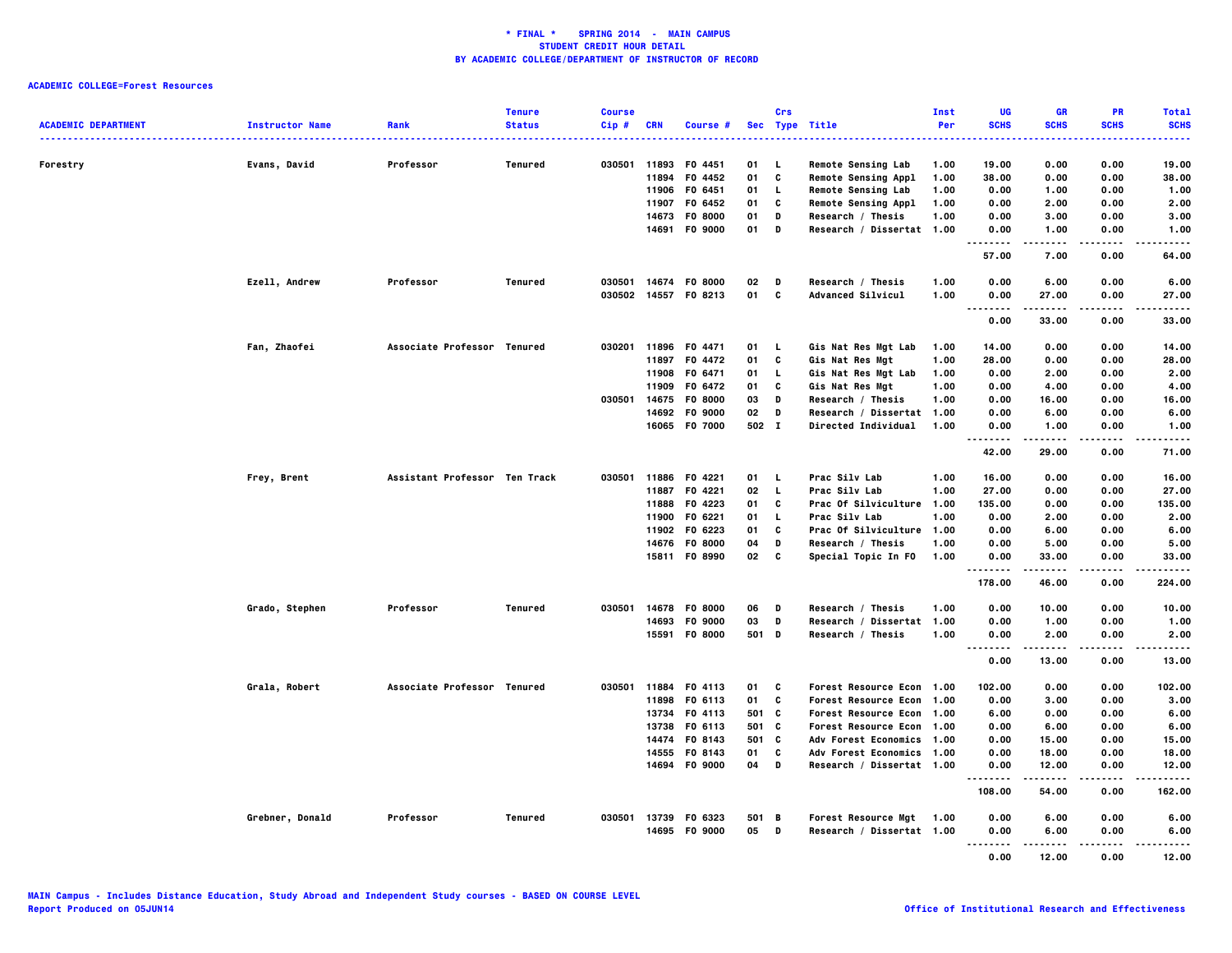| <b>ACADEMIC DEPARTMENT</b> | <b>Instructor Name</b> | Rank                          | <b>Tenure</b><br><b>Status</b> | <b>Course</b><br>$Cip$ # | <b>CRN</b> | Course #             |       | Crs          | Sec Type Title             | Inst<br>Per | UG<br><b>SCHS</b>                        | <b>GR</b><br><b>SCHS</b> | <b>PR</b><br><b>SCHS</b> | <b>Total</b><br><b>SCHS</b> |
|----------------------------|------------------------|-------------------------------|--------------------------------|--------------------------|------------|----------------------|-------|--------------|----------------------------|-------------|------------------------------------------|--------------------------|--------------------------|-----------------------------|
| Forestry                   | Evans, David           | .<br>Professor                | Tenured                        |                          |            | 030501 11893 F0 4451 | 01    | <b>L</b>     | <b>Remote Sensing Lab</b>  | 1.00        | 19.00                                    | 0.00                     | .<br>0.00                | .<br>19.00                  |
|                            |                        |                               |                                |                          | 11894      | F0 4452              | 01    | C            | <b>Remote Sensing Appl</b> | 1.00        | 38.00                                    | 0.00                     | 0.00                     | 38.00                       |
|                            |                        |                               |                                |                          |            | 11906 F0 6451        | 01    | $\mathbf{L}$ | <b>Remote Sensing Lab</b>  | 1.00        | 0.00                                     | 1.00                     | 0.00                     | 1.00                        |
|                            |                        |                               |                                |                          | 11907      | F0 6452              | 01    | C            | Remote Sensing Appl        | 1.00        | 0.00                                     | 2.00                     | 0.00                     | 2.00                        |
|                            |                        |                               |                                |                          |            | 14673 F0 8000        | 01    | D            | Research / Thesis          | 1.00        | 0.00                                     | 3.00                     | 0.00                     | 3.00                        |
|                            |                        |                               |                                |                          |            | 14691 F0 9000        | 01    | D            | Research / Dissertat 1.00  |             | 0.00<br><b>.</b>                         | 1.00<br>-----            | 0.00<br>.                | 1.00<br>.                   |
|                            |                        |                               |                                |                          |            |                      |       |              |                            |             | 57.00                                    | 7.00                     | 0.00                     | 64.00                       |
|                            | Ezell, Andrew          | Professor                     | Tenured                        | 030501                   |            | 14674 F0 8000        | 02    | D            | Research / Thesis          | 1.00        | 0.00                                     | 6.00                     | 0.00                     | 6.00                        |
|                            |                        |                               |                                | 030502                   |            | 14557 F0 8213        | 01    | C            | Advanced Silvicul          | 1.00        | 0.00<br>$\sim$ $\sim$ $\sim$<br>$\cdots$ | 27.00                    | 0.00<br>----             | 27.00<br>$\cdots$           |
|                            |                        |                               |                                |                          |            |                      |       |              |                            |             | 0.00                                     | 33.00                    | 0.00                     | 33.00                       |
|                            | Fan, Zhaofei           | Associate Professor Tenured   |                                |                          |            | 030201 11896 F0 4471 | 01    | L,           | Gis Nat Res Mgt Lab        | 1.00        | 14.00                                    | 0.00                     | 0.00                     | 14.00                       |
|                            |                        |                               |                                |                          | 11897      | F0 4472              | 01    | C            | Gis Nat Res Mgt            | 1.00        | 28.00                                    | 0.00                     | 0.00                     | 28.00                       |
|                            |                        |                               |                                |                          |            | 11908 F0 6471        | 01    | $\mathbf{L}$ | Gis Nat Res Mgt Lab        | 1.00        | 0.00                                     | 2.00                     | 0.00                     | 2.00                        |
|                            |                        |                               |                                |                          | 11909      | F0 6472              | 01    | C            | Gis Nat Res Mgt            | 1.00        | 0.00                                     | 4.00                     | 0.00                     | 4.00                        |
|                            |                        |                               |                                | 030501                   |            | 14675 F0 8000        | 03    | D            | Research / Thesis          | 1.00        | 0.00                                     | 16.00                    | 0.00                     | 16.00                       |
|                            |                        |                               |                                |                          |            | 14692 F0 9000        | 02    | D            | Research / Dissertat       | 1.00        | 0.00                                     | 6.00                     | 0.00                     | 6.00                        |
|                            |                        |                               |                                |                          |            | 16065 F0 7000        | 502 I |              | Directed Individual        | 1.00        | 0.00<br>.                                | 1.00<br>-----            | 0.00<br>$- - - -$        | 1.00<br>.                   |
|                            |                        |                               |                                |                          |            |                      |       |              |                            |             | 42.00                                    | 29.00                    | 0.00                     | 71.00                       |
|                            | Frey, Brent            | Assistant Professor Ten Track |                                | 030501                   | 11886      | F0 4221              | 01    | - L          | Prac Silv Lab              | 1.00        | 16.00                                    | 0.00                     | 0.00                     | 16.00                       |
|                            |                        |                               |                                |                          |            | 11887 F0 4221        | 02    | - L          | Prac Silv Lab              | 1.00        | 27.00                                    | 0.00                     | 0.00                     | 27.00                       |
|                            |                        |                               |                                |                          |            | 11888 F0 4223        | 01    | c            | Prac Of Silviculture       | 1.00        | 135.00                                   | 0.00                     | 0.00                     | 135.00                      |
|                            |                        |                               |                                |                          | 11900      | F0 6221              | 01    | L.           | Prac Silv Lab              | 1.00        | 0.00                                     | 2.00                     | 0.00                     | 2.00                        |
|                            |                        |                               |                                |                          |            | 11902 F0 6223        | 01    | C            | Prac Of Silviculture       | 1.00        | 0.00                                     | 6.00                     | 0.00                     | 6.00                        |
|                            |                        |                               |                                |                          |            | 14676 FO 8000        | 04    | D            | Research / Thesis          | 1.00        | 0.00                                     | 5.00                     | 0.00                     | 5.00                        |
|                            |                        |                               |                                |                          |            | 15811 F0 8990        | 02    | C            | Special Topic In FO        | 1.00        | 0.00<br>.                                | 33.00<br>. <b>.</b>      | 0.00<br>.                | 33.00<br>.                  |
|                            |                        |                               |                                |                          |            |                      |       |              |                            |             | 178.00                                   | 46.00                    | 0.00                     | 224.00                      |
|                            | Grado, Stephen         | Professor                     | Tenured                        | 030501                   |            | 14678 F0 8000        | 06    | D            | Research / Thesis          | 1.00        | 0.00                                     | 10.00                    | 0.00                     | 10.00                       |
|                            |                        |                               |                                |                          | 14693      | F0 9000              | 03    | D            | Research / Dissertat 1.00  |             | 0.00                                     | 1.00                     | 0.00                     | 1.00                        |
|                            |                        |                               |                                |                          |            | 15591 F0 8000        | 501   | D            | Research / Thesis          | 1.00        | 0.00<br>$\sim$ $\sim$ $\sim$<br>$\cdots$ | 2.00<br>-----            | 0.00<br>$- - - -$        | 2.00<br>$- - - -$           |
|                            |                        |                               |                                |                          |            |                      |       |              |                            |             | 0.00                                     | 13.00                    | 0.00                     | 13.00                       |
|                            | Grala, Robert          | Associate Professor Tenured   |                                |                          |            | 030501 11884 F0 4113 | 01    | c            | Forest Resource Econ 1.00  |             | 102.00                                   | 0.00                     | 0.00                     | 102.00                      |
|                            |                        |                               |                                |                          | 11898      | F0 6113              | 01    | C            | Forest Resource Econ 1.00  |             | 0.00                                     | 3.00                     | 0.00                     | 3.00                        |
|                            |                        |                               |                                |                          |            | 13734 F0 4113        | 501   | c            | Forest Resource Econ 1.00  |             | 6.00                                     | 0.00                     | 0.00                     | 6.00                        |
|                            |                        |                               |                                |                          | 13738      | F0 6113              | 501   | C            | Forest Resource Econ 1.00  |             | 0.00                                     | 6.00                     | 0.00                     | 6.00                        |
|                            |                        |                               |                                |                          | 14474      | F0 8143              | 501   | C            | Adv Forest Economics 1.00  |             | 0.00                                     | 15.00                    | 0.00                     | 15.00                       |
|                            |                        |                               |                                |                          | 14555      | F0 8143              | 01    | C            | Adv Forest Economics 1.00  |             | 0.00                                     | 18.00                    | 0.00                     | 18.00                       |
|                            |                        |                               |                                |                          |            | 14694 F0 9000        | 04    | D            | Research / Dissertat 1.00  |             | 0.00<br>.                                | 12.00<br>.               | 0.00<br>.                | 12.00<br>.                  |
|                            |                        |                               |                                |                          |            |                      |       |              |                            |             | 108.00                                   | 54.00                    | 0.00                     | 162.00                      |
|                            | Grebner, Donald        | Professor                     | Tenured                        |                          |            | 030501 13739 F0 6323 | 501   | <b>B</b>     | Forest Resource Mgt 1.00   |             | 0.00                                     | 6.00                     | 0.00                     | 6.00                        |
|                            |                        |                               |                                |                          |            | 14695 F0 9000        | 05    | $\mathbf{D}$ | Research / Dissertat 1.00  |             | 0.00                                     | 6.00                     | 0.00                     | 6.00                        |
|                            |                        |                               |                                |                          |            |                      |       |              |                            |             | -----<br>.                               | .                        | .                        | .                           |
|                            |                        |                               |                                |                          |            |                      |       |              |                            |             | 0.00                                     | 12.00                    | 0.00                     | 12.00                       |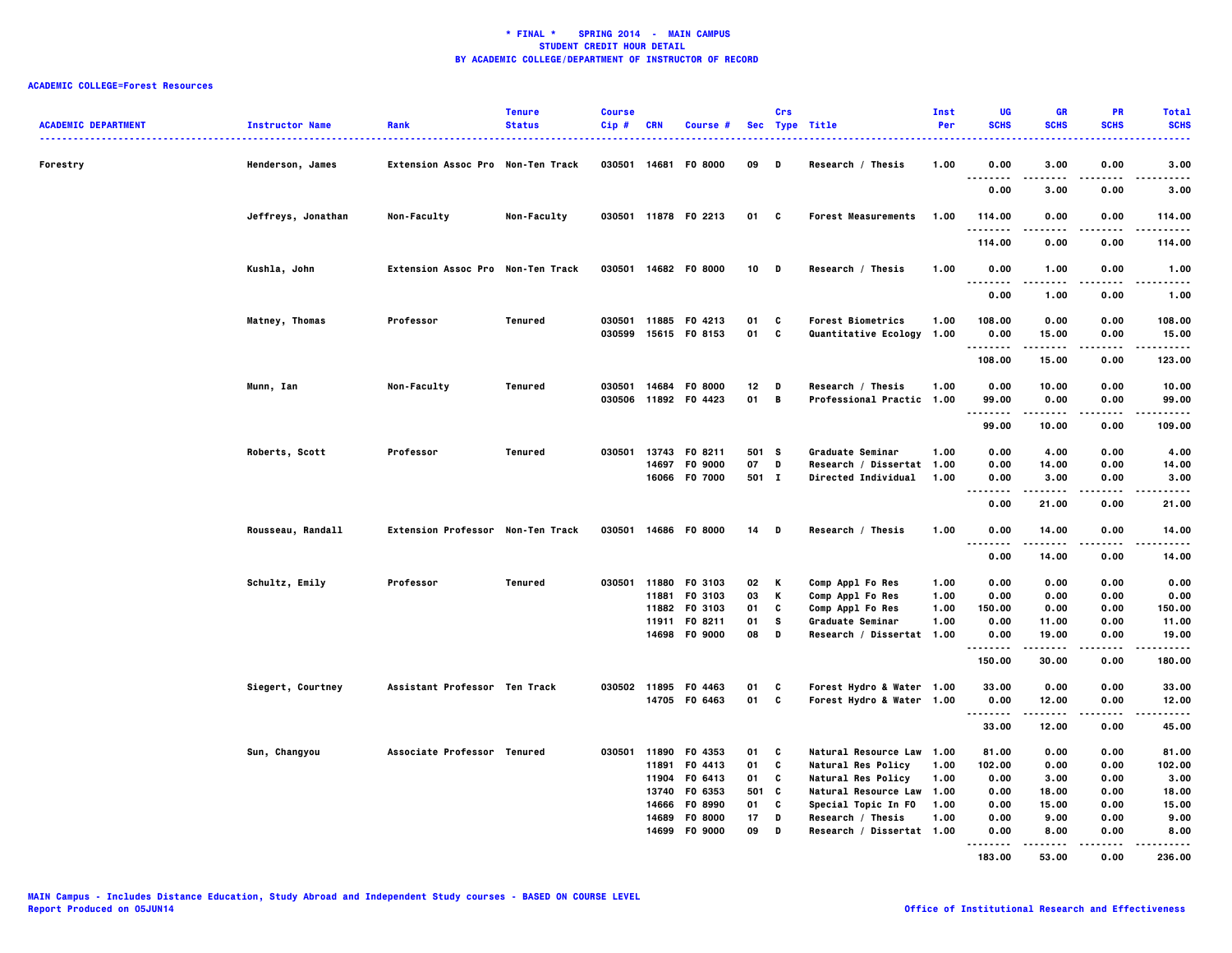| <b>ACADEMIC DEPARTMENT</b> | <b>Instructor Name</b> | Rank                                     | <b>Tenure</b><br><b>Status</b> | <b>Course</b><br>Cip# | <b>CRN</b>     | Course #                       |             | Crs    | Sec Type Title                                | Inst<br>Per  | <b>UG</b><br><b>SCHS</b>          | <b>GR</b><br><b>SCHS</b> | PR<br><b>SCHS</b> | <b>Total</b><br><b>SCHS</b> |
|----------------------------|------------------------|------------------------------------------|--------------------------------|-----------------------|----------------|--------------------------------|-------------|--------|-----------------------------------------------|--------------|-----------------------------------|--------------------------|-------------------|-----------------------------|
| Forestry                   | Henderson, James       | <b>Extension Assoc Pro Non-Ten Track</b> |                                | 030501                |                | 14681 F0 8000                  | 09          | D      | Research / Thesis                             | 1.00         | 0.00<br>.                         | 3.00                     | 0.00              | 3.00                        |
|                            |                        |                                          |                                |                       |                |                                |             |        |                                               |              | 0.00                              | 3.00                     | 0.00              | .<br>3.00                   |
|                            | Jeffreys, Jonathan     | Non-Faculty                              | Non-Faculty                    |                       |                | 030501 11878 F0 2213           | 01 C        |        | <b>Forest Measurements</b>                    | 1.00         | 114.00<br><b>.</b>                | 0.00                     | 0.00<br>----      | 114.00<br>.                 |
|                            |                        |                                          |                                |                       |                |                                |             |        |                                               |              | 114.00                            | 0.00                     | 0.00              | 114.00                      |
|                            | Kushla, John           | Extension Assoc Pro Non-Ten Track        |                                |                       |                | 030501 14682 F0 8000           | $10$ D      |        | Research / Thesis                             | 1.00         | 0.00<br>.                         | 1.00<br>-----            | 0.00<br>.         | 1.00<br>.                   |
|                            |                        |                                          |                                |                       |                |                                |             |        |                                               |              | 0.00                              | 1.00                     | 0.00              | 1.00                        |
|                            | Matney, Thomas         | Professor                                | Tenured                        | 030501                |                | 11885 F0 4213                  | 01          | C      | <b>Forest Biometrics</b>                      | 1.00         | 108.00                            | 0.00                     | 0.00              | 108.00                      |
|                            |                        |                                          |                                | 030599                |                | 15615 FO 8153                  | 01 C        |        | Quantitative Ecology                          | 1.00         | 0.00<br>.                         | 15.00                    | 0.00              | 15.00<br>.                  |
|                            |                        |                                          |                                |                       |                |                                |             |        |                                               |              | 108.00                            | 15.00                    | 0.00              | 123.00                      |
|                            | Munn, Ian              | Non-Faculty                              | Tenured                        | 030501                | 14684          | F0 8000                        | 12          | D      | Research / Thesis                             | 1.00         | 0.00                              | 10.00                    | 0.00              | 10.00                       |
|                            |                        |                                          |                                |                       |                | 030506 11892 F0 4423           | 01          | B      | Professional Practic 1.00                     |              | 99.00<br>.                        | 0.00<br>-----            | 0.00              | 99.00<br>.                  |
|                            |                        |                                          |                                |                       |                |                                |             |        |                                               |              | 99.00                             | 10.00                    | 0.00              | 109.00                      |
|                            | Roberts, Scott         | Professor                                | Tenured                        | 030501                |                | 13743 F0 8211                  | 501 S       |        | Graduate Seminar                              | 1.00         | 0.00                              | 4.00                     | 0.00              | 4.00                        |
|                            |                        |                                          |                                |                       | 14697          | F0 9000<br>16066 F0 7000       | 07<br>501 I | D      | Research / Dissertat<br>Directed Individual   | 1.00<br>1.00 | 0.00<br>0.00                      | 14.00<br>3.00            | 0.00<br>0.00      | 14.00<br>3.00               |
|                            |                        |                                          |                                |                       |                |                                |             |        |                                               |              | .                                 |                          |                   | .                           |
|                            |                        |                                          |                                |                       |                |                                |             |        |                                               |              | 0.00                              | 21.00                    | 0.00              | 21.00                       |
|                            | Rousseau, Randall      | Extension Professor Non-Ten Track        |                                | 030501                |                | 14686 F0 8000                  | 14 D        |        | Research / Thesis                             | 1.00         | 0.00<br>$\sim$ $\sim$ $\sim$<br>. | 14.00<br>-----           | 0.00<br>$- - - -$ | 14.00<br>.                  |
|                            |                        |                                          |                                |                       |                |                                |             |        |                                               |              | 0.00                              | 14.00                    | 0.00              | 14.00                       |
|                            | Schultz, Emily         | Professor                                | Tenured                        |                       |                | 030501 11880 F0 3103           | 02          | K      | Comp Appl Fo Res                              | 1.00         | 0.00                              | 0.00                     | 0.00              | 0.00                        |
|                            |                        |                                          |                                |                       | 11881          | F0 3103                        | 03          | K      | Comp Appl Fo Res                              | 1.00         | 0.00                              | 0.00                     | 0.00              | 0.00                        |
|                            |                        |                                          |                                |                       |                | 11882 F0 3103                  | 01          | C      | Comp Appl Fo Res                              | 1.00         | 150.00                            | 0.00                     | 0.00              | 150.00                      |
|                            |                        |                                          |                                |                       |                | 11911 F0 8211<br>14698 F0 9000 | 01<br>08    | s<br>D | Graduate Seminar<br>Research / Dissertat 1.00 | 1.00         | 0.00<br>0.00                      | 11.00<br>19.00           | 0.00<br>0.00      | 11.00<br>19.00              |
|                            |                        |                                          |                                |                       |                |                                |             |        |                                               |              | .<br>150.00                       | .<br>30.00               | 0.00              | .<br>180.00                 |
|                            | Siegert, Courtney      | Assistant Professor Ten Track            |                                |                       |                | 030502 11895 F0 4463           | 01          | C      | Forest Hydro & Water 1.00                     |              | 33.00                             | 0.00                     | 0.00              | 33.00                       |
|                            |                        |                                          |                                |                       |                | 14705 F0 6463                  | 01          | C      | Forest Hydro & Water 1.00                     |              | 0.00                              | 12.00                    | 0.00              | 12.00                       |
|                            |                        |                                          |                                |                       |                |                                |             |        |                                               |              | .                                 | .                        |                   | .                           |
|                            |                        |                                          |                                |                       |                |                                |             |        |                                               |              | 33.00                             | 12.00                    | 0.00              | 45.00                       |
|                            | Sun, Changyou          | Associate Professor Tenured              |                                | 030501                |                | 11890 F0 4353                  | 01          | C      | Natural Resource Law                          | 1.00         | 81.00                             | 0.00                     | 0.00              | 81.00                       |
|                            |                        |                                          |                                |                       |                | 11891 F0 4413                  | 01          | C      | Natural Res Policy                            | 1.00         | 102.00                            | 0.00                     | 0.00              | 102.00                      |
|                            |                        |                                          |                                |                       | 11904<br>13740 | F0 6413<br>F0 6353             | 01<br>501 C | C      | Natural Res Policy<br>Natural Resource Law    | 1.00<br>1.00 | 0.00<br>0.00                      | 3.00<br>18.00            | 0.00<br>0.00      | 3.00<br>18.00               |
|                            |                        |                                          |                                |                       |                | 14666 F0 8990                  | 01          | C      | Special Topic In FO                           | 1.00         | 0.00                              | 15.00                    | 0.00              | 15.00                       |
|                            |                        |                                          |                                |                       | 14689          | F0 8000                        | 17          | D      | Research / Thesis                             | 1.00         | 0.00                              | 9.00                     | 0.00              | 9.00                        |
|                            |                        |                                          |                                |                       |                | 14699 FO 9000                  | 09          | D      | Research / Dissertat 1.00                     |              | 0.00                              | 8.00                     | 0.00              | 8.00                        |
|                            |                        |                                          |                                |                       |                |                                |             |        |                                               |              | <br>183.00                        | 53.00                    | 0.00              | .<br>236.00                 |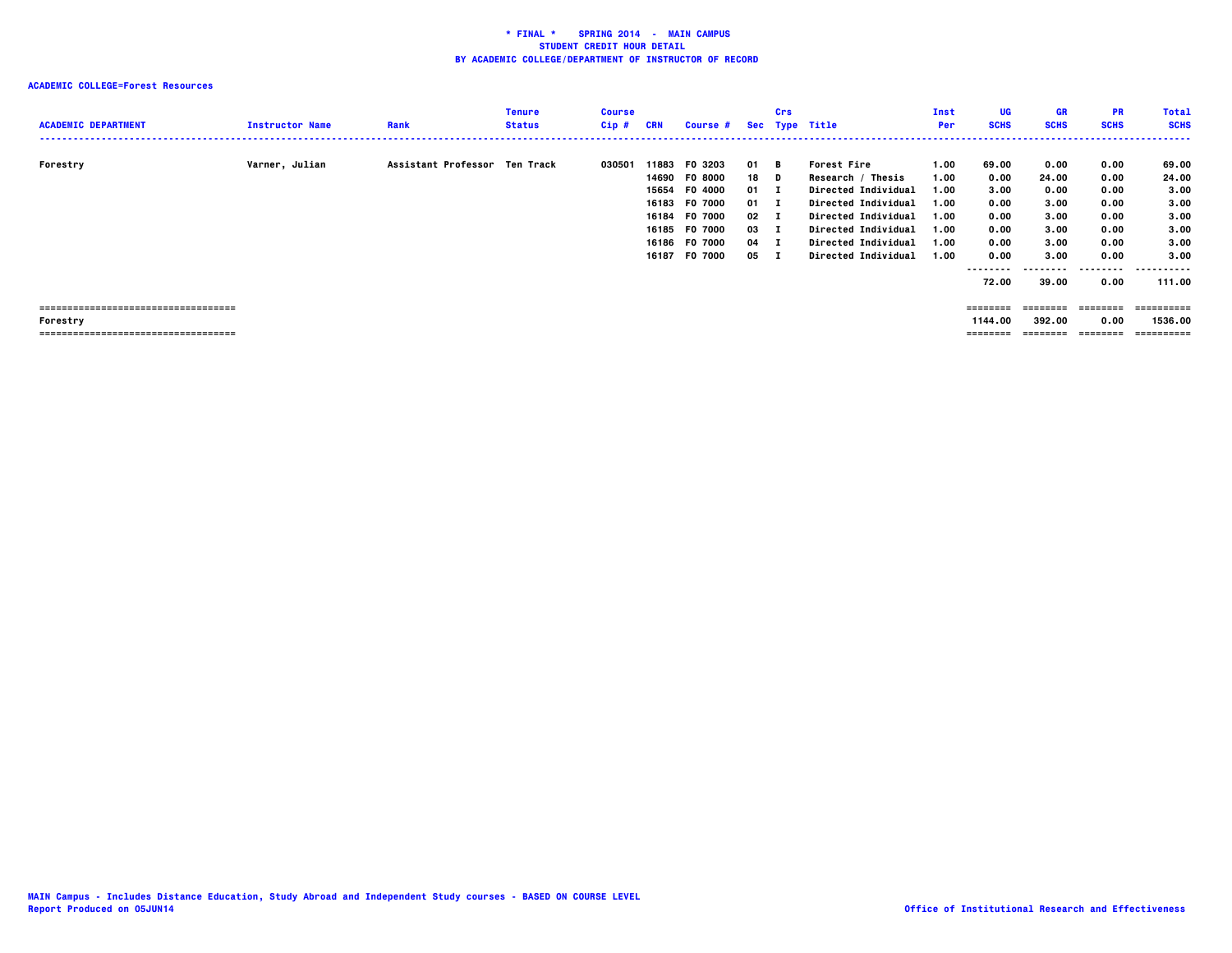| <b>ACADEMIC DEPARTMENT</b>                                                               | <b>Instructor Name</b> | Rank                          | <b>Tenure</b><br><b>Status</b> | <b>Course</b><br>$Cip$ # | CRN                                       | <b>Course #</b>                                                                                                      |                                                                                  | Crs | Sec Type Title                                                                                                                                                                                                       | Inst<br>Per                                                  | UG<br><b>SCHS</b>                                                           | GR<br><b>SCHS</b>                                                           | <b>PR</b><br><b>SCHS</b>                                                  | <b>Total</b><br><b>SCHS</b>                                                   |
|------------------------------------------------------------------------------------------|------------------------|-------------------------------|--------------------------------|--------------------------|-------------------------------------------|----------------------------------------------------------------------------------------------------------------------|----------------------------------------------------------------------------------|-----|----------------------------------------------------------------------------------------------------------------------------------------------------------------------------------------------------------------------|--------------------------------------------------------------|-----------------------------------------------------------------------------|-----------------------------------------------------------------------------|---------------------------------------------------------------------------|-------------------------------------------------------------------------------|
| Forestry                                                                                 | Varner, Julian         | Assistant Professor Ten Track |                                | 030501                   | 15654<br>16183<br>16184<br>16185<br>16187 | 11883 F0 3203<br>14690 F0 8000<br>F0 4000<br><b>FO 7000</b><br><b>FO 7000</b><br>F0 7000<br>16186 F0 7000<br>F0 7000 | 01 B<br>18 D<br>$01$ I<br>$01 \quad I$<br>$02 \quad 1$<br>03 I<br>$04$ I<br>05 I |     | <b>Forest Fire</b><br>Research / Thesis<br><b>Directed Individual</b><br><b>Directed Individual</b><br><b>Directed Individual</b><br><b>Directed Individual</b><br><b>Directed Individual</b><br>Directed Individual | 1.00<br>1.00<br>1.00<br>1.00<br>1.00<br>1.00<br>1.00<br>1.00 | 69.00<br>0.00<br>3.00<br>0.00<br>0.00<br>0.00<br>0.00<br>0.00<br>.<br>72.00 | 0.00<br>24.00<br>0.00<br>3.00<br>3.00<br>3.00<br>3.00<br>3.00<br>.<br>39.00 | 0.00<br>0.00<br>0.00<br>0.00<br>0.00<br>0.00<br>0.00<br>0.00<br>.<br>0.00 | 69.00<br>24.00<br>3.00<br>3.00<br>3.00<br>3.00<br>3.00<br>3.00<br>.<br>111.00 |
| ====================================<br>Forestry<br>==================================== |                        |                               |                                |                          |                                           |                                                                                                                      |                                                                                  |     |                                                                                                                                                                                                                      |                                                              | ========<br>1144.00<br>========                                             | $=$ = = = = = = =<br>392.00<br>========                                     | ========<br>0.00<br>========                                              | ==========<br>1536.00<br>==========                                           |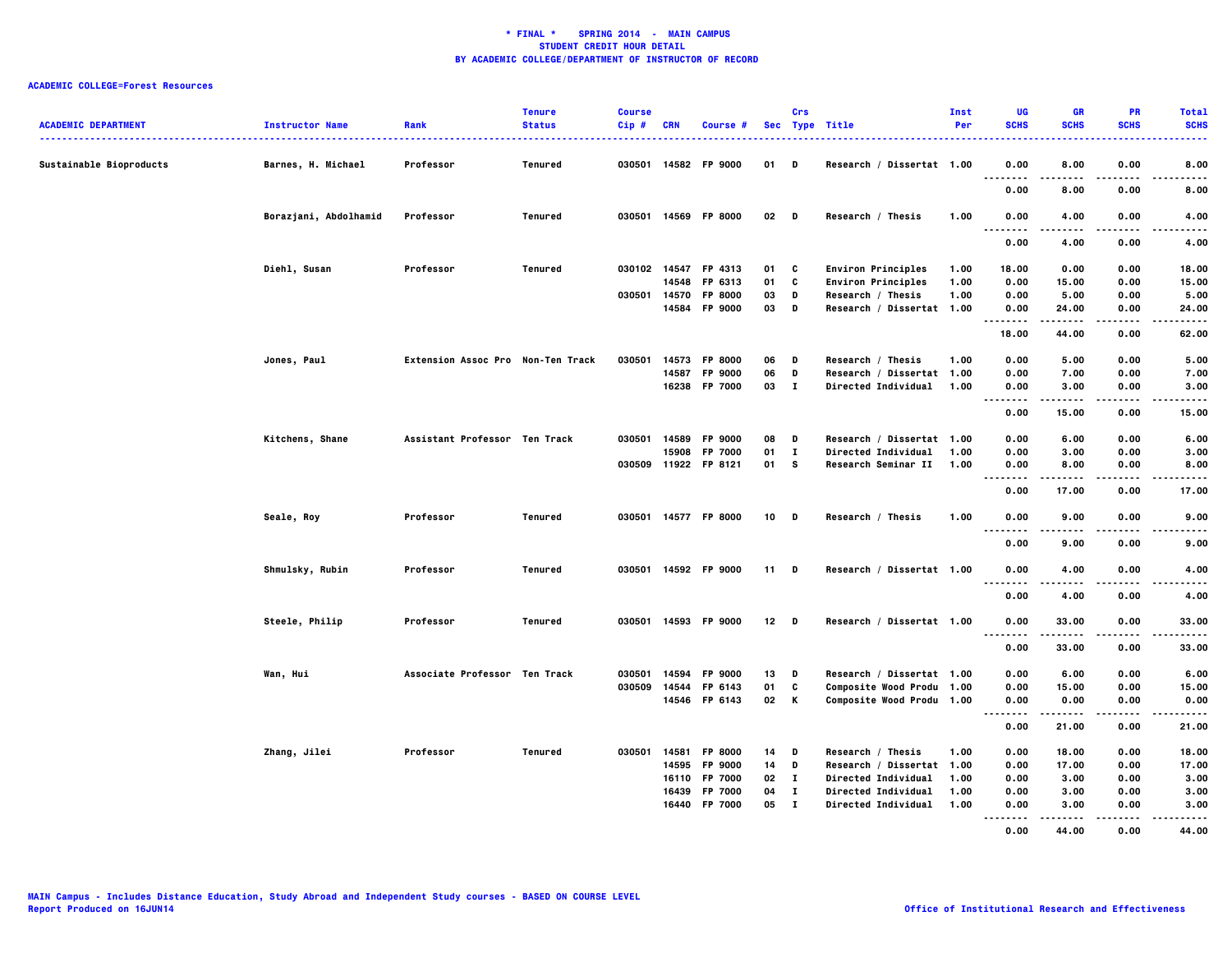| <b>ACADEMIC DEPARTMENT</b> | <b>Instructor Name</b> | Rank                              | <b>Tenure</b><br><b>Status</b> | <b>Course</b><br>Cip # | <b>CRN</b> | Course #             |        | Crs          | Sec Type Title             | Inst<br>Per | UG<br><b>SCHS</b>         | <b>GR</b><br><b>SCHS</b> | <b>PR</b><br><b>SCHS</b> | <b>Total</b><br><b>SCHS</b> |
|----------------------------|------------------------|-----------------------------------|--------------------------------|------------------------|------------|----------------------|--------|--------------|----------------------------|-------------|---------------------------|--------------------------|--------------------------|-----------------------------|
| Sustainable Bioproducts    | Barnes, H. Michael     | Professor                         | Tenured                        |                        |            | 030501 14582 FP 9000 | 01     | D            | Research / Dissertat 1.00  |             | 0.00                      | 8.00                     | 0.00                     | 8.00                        |
|                            |                        |                                   |                                |                        |            |                      |        |              |                            |             | <br>$  -$<br>0.00         | 8.00                     | 0.00                     | 8.00                        |
|                            | Borazjani, Abdolhamid  | Professor                         | Tenured                        |                        |            | 030501 14569 FP 8000 | 02     | D            | Research / Thesis          | 1.00        | 0.00                      | 4.00                     | 0.00                     | 4.00                        |
|                            |                        |                                   |                                |                        |            |                      |        |              |                            |             | .<br>. .<br>0.00          | .<br>4.00                | $- - - -$<br>0.00        | .<br>4.00                   |
|                            | Diehl, Susan           | Professor                         | Tenured                        | 030102 14547           |            | FP 4313              | 01     | C            | <b>Environ Principles</b>  | 1.00        | 18.00                     | 0.00                     | 0.00                     | 18.00                       |
|                            |                        |                                   |                                |                        | 14548      | FP 6313              | 01     | C            | <b>Environ Principles</b>  | 1.00        | 0.00                      | 15.00                    | 0.00                     | 15.00                       |
|                            |                        |                                   |                                | 030501 14570           |            | FP 8000              | 03     | D            | Research / Thesis          | 1.00        | 0.00                      | 5.00                     | 0.00                     | 5.00                        |
|                            |                        |                                   |                                |                        | 14584      | FP 9000              | 03     | D            | Research / Dissertat 1.00  |             | 0.00<br>.                 | 24.00<br>-----           | 0.00<br>.                | 24.00<br>.                  |
|                            |                        |                                   |                                |                        |            |                      |        |              |                            |             | 18.00                     | 44.00                    | 0.00                     | 62.00                       |
|                            | Jones, Paul            | Extension Assoc Pro Non-Ten Track |                                | 030501                 | 14573      | <b>FP 8000</b>       | 06     | D            | Research / Thesis          | 1.00        | 0.00                      | 5.00                     | 0.00                     | 5.00                        |
|                            |                        |                                   |                                |                        | 14587      | FP 9000              | 06     | D            | Research / Dissertat 1.00  |             | 0.00                      | 7.00                     | 0.00                     | 7.00                        |
|                            |                        |                                   |                                |                        |            | 16238 FP 7000        | 03     | $\bf{I}$     | Directed Individual 1.00   |             | 0.00                      | 3.00                     | 0.00                     | 3.00                        |
|                            |                        |                                   |                                |                        |            |                      |        |              |                            |             | .<br>.                    | -----                    |                          | $- - - - -$                 |
|                            |                        |                                   |                                |                        |            |                      |        |              |                            |             | 0.00                      | 15.00                    | 0.00                     | 15.00                       |
|                            | Kitchens, Shane        | Assistant Professor Ten Track     |                                | 030501                 | 14589      | FP 9000              | 08     | D            | Research / Dissertat 1.00  |             | 0.00                      | 6.00                     | 0.00                     | 6.00                        |
|                            |                        |                                   |                                |                        | 15908      | FP 7000              | 01     | $\mathbf{I}$ | Directed Individual        | 1.00        | 0.00                      | 3.00                     | 0.00                     | 3.00                        |
|                            |                        |                                   |                                |                        |            | 030509 11922 FP 8121 | 01     | s            | Research Seminar II        | 1.00        | 0.00                      | 8.00                     | 0.00                     | 8.00                        |
|                            |                        |                                   |                                |                        |            |                      |        |              |                            |             | .<br>.<br>0.00            | . <b>.</b><br>17.00      | 0.00                     | .<br>17.00                  |
|                            | Seale, Roy             | Professor                         | Tenured                        |                        |            | 030501 14577 FP 8000 | $10$ D |              | Research / Thesis          | 1.00        | 0.00                      | 9.00                     | 0.00                     | 9.00                        |
|                            |                        |                                   |                                |                        |            |                      |        |              |                            |             | $\sim$ $\sim$ $\sim$<br>. | -----                    | .                        | .                           |
|                            |                        |                                   |                                |                        |            |                      |        |              |                            |             | 0.00                      | 9.00                     | 0.00                     | 9.00                        |
|                            | Shmulsky, Rubin        | Professor                         | Tenured                        |                        |            | 030501 14592 FP 9000 | 11     | D            | Research / Dissertat 1.00  |             | 0.00<br>$- - - -$<br>     | 4.00                     | 0.00                     | 4.00<br>.                   |
|                            |                        |                                   |                                |                        |            |                      |        |              |                            |             | 0.00                      | 4.00                     | 0.00                     | 4.00                        |
|                            | Steele, Philip         | Professor                         | Tenured                        |                        |            | 030501 14593 FP 9000 | 12     | D            | Research / Dissertat 1.00  |             | 0.00                      | 33.00                    | 0.00                     | 33.00                       |
|                            |                        |                                   |                                |                        |            |                      |        |              |                            |             | .<br>.<br>0.00            | -----<br>33.00           | 0.00                     | .<br>33.00                  |
|                            |                        |                                   |                                |                        |            |                      |        |              |                            |             |                           |                          |                          |                             |
|                            | Wan, Hui               | Associate Professor Ten Track     |                                | 030501                 | 14594      | FP 9000              | 13     | D            | Research / Dissertat 1.00  |             | 0.00                      | 6.00                     | 0.00                     | 6.00                        |
|                            |                        |                                   |                                | 030509                 | 14544      | FP 6143              | 01     | C            | Composite Wood Produ 1.00  |             | 0.00                      | 15.00                    | 0.00                     | 15.00                       |
|                            |                        |                                   |                                |                        |            | 14546 FP 6143        | 02     | K            | Composite Wood Produ 1.00  |             | 0.00                      | 0.00                     | 0.00                     | 0.00                        |
|                            |                        |                                   |                                |                        |            |                      |        |              |                            |             | .<br>0.00                 | .<br>21.00               | .<br>0.00                | -----<br>21.00              |
|                            |                        |                                   |                                |                        |            |                      |        |              |                            |             |                           |                          |                          |                             |
|                            | Zhang, Jilei           | Professor                         | Tenured                        | 030501 14581           |            | FP 8000              | 14     | D            | Research / Thesis          | 1.00        | 0.00                      | 18.00                    | 0.00                     | 18.00                       |
|                            |                        |                                   |                                |                        | 14595      | FP 9000              | 14     | D            | Research / Dissertat 1.00  |             | 0.00                      | 17.00                    | 0.00                     | 17.00                       |
|                            |                        |                                   |                                |                        | 16110      | FP 7000              | 02     | $\mathbf{I}$ | <b>Directed Individual</b> | 1.00        | 0.00                      | 3.00                     | 0.00                     | 3.00                        |
|                            |                        |                                   |                                |                        | 16439      | FP 7000              | 04     | $\mathbf{I}$ | Directed Individual        | 1.00        | 0.00                      | 3.00                     | 0.00                     | 3.00                        |
|                            |                        |                                   |                                |                        | 16440      | FP 7000              | 05     | $\mathbf{I}$ | <b>Directed Individual</b> | 1.00        | 0.00<br>$- - - - -$<br>   | 3.00<br>.                | 0.00<br>$- - - -$        | 3.00                        |
|                            |                        |                                   |                                |                        |            |                      |        |              |                            |             | 0.00                      | 44.00                    | 0.00                     | 44.00                       |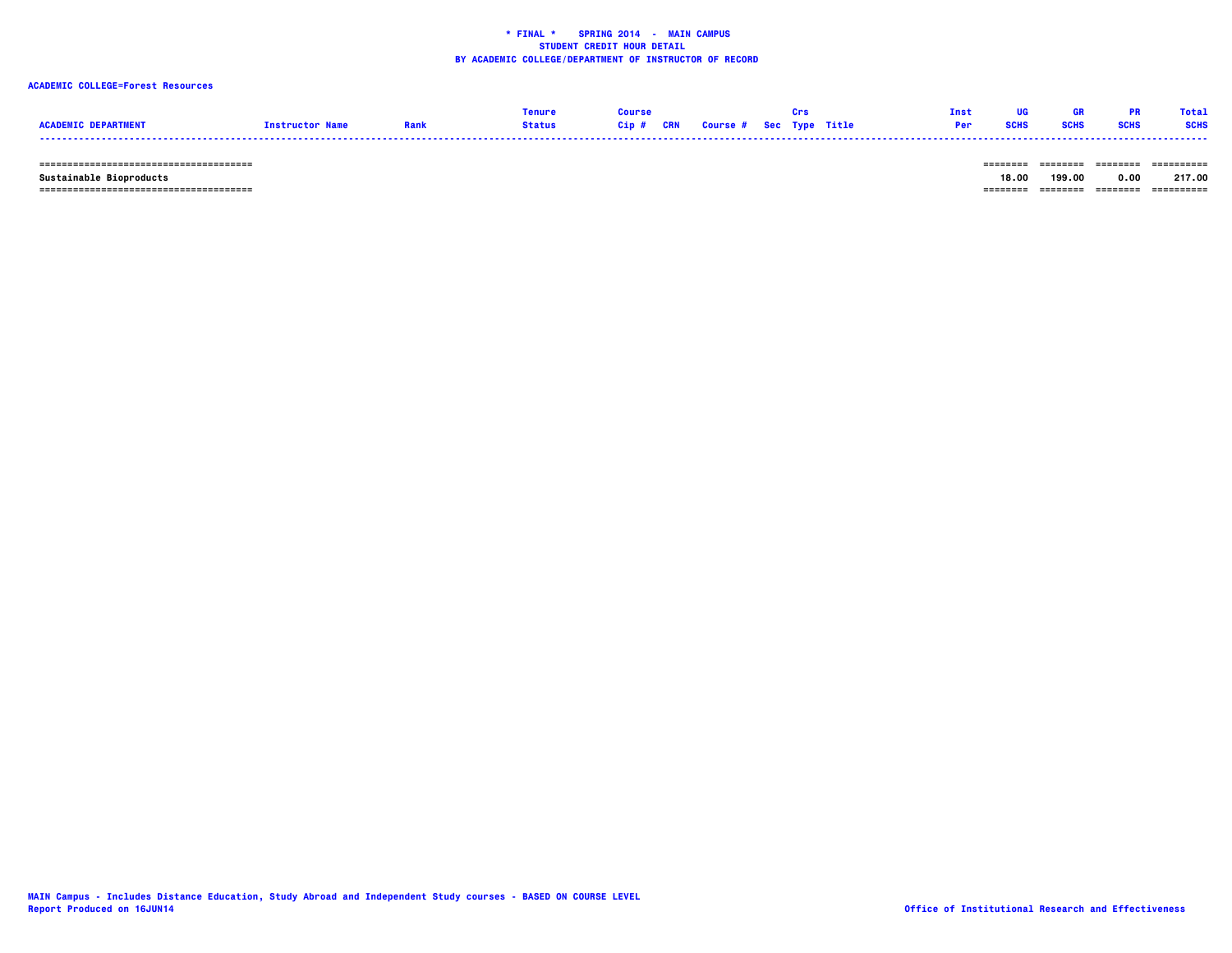### **ACADEMIC COLLEGE=Forest Resources**

|                            |                        |      | <b>Tenure</b> | <b>Course</b> |                                   | <b>Crs</b> | Tnst. |             |             |             | <b>Total</b> |
|----------------------------|------------------------|------|---------------|---------------|-----------------------------------|------------|-------|-------------|-------------|-------------|--------------|
| <b>ACADEMIC DEPARTMENT</b> | <b>Instructor Name</b> | Rank | <b>Status</b> |               | Cip # CRN Course # Sec Type Title |            |       | <b>SCHS</b> | <b>SCHS</b> | <b>SCHS</b> | <b>SCHS</b>  |
|                            |                        |      |               |               |                                   |            |       |             |             |             |              |

 **====================================== ======== ======== ======== ==========**

 **====================================== ======== ======== ======== ========== Sustainable Bioproducts 18.00 199.00 0.00 217.00**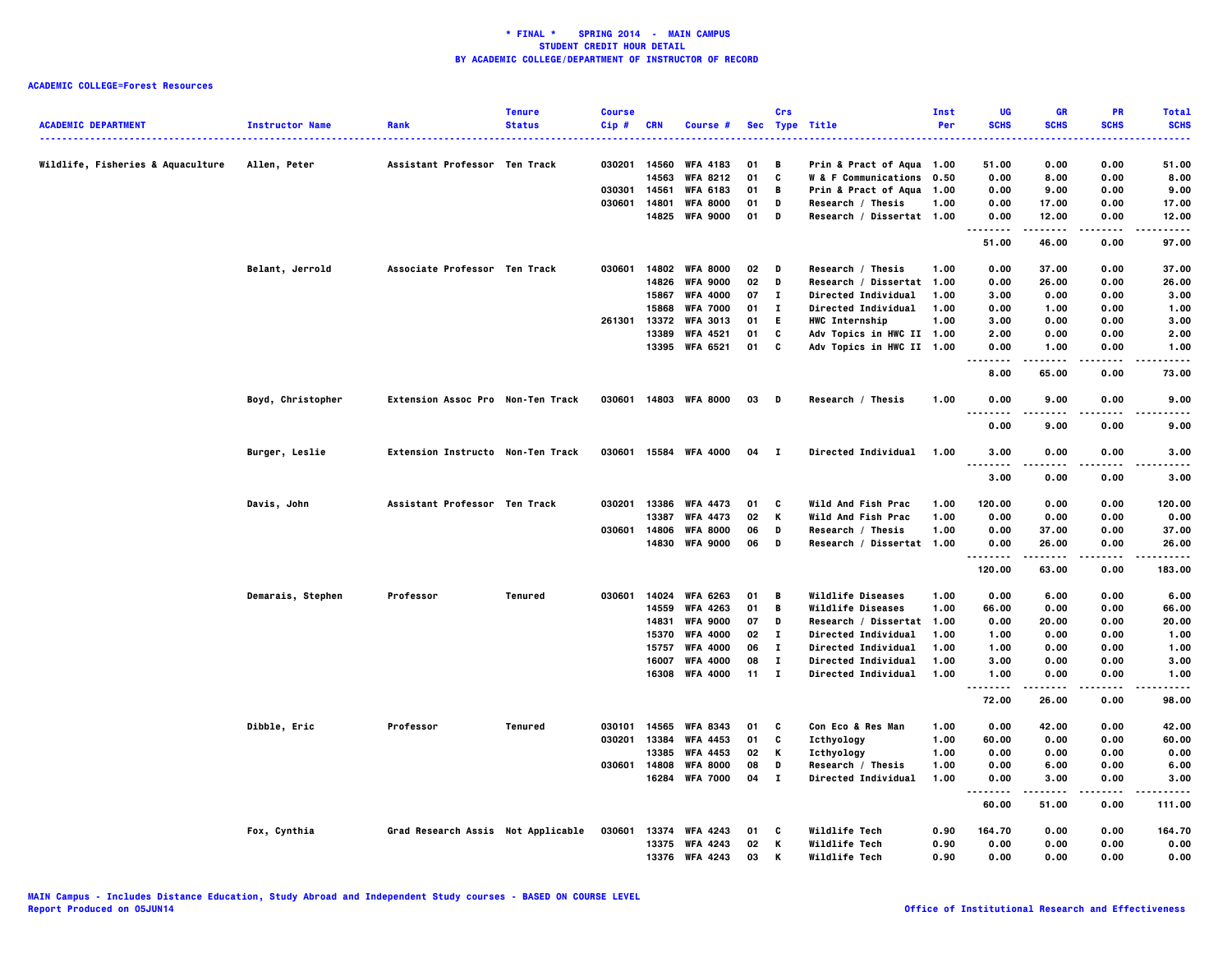| <b>ACADEMIC DEPARTMENT</b>        | <b>Instructor Name</b> | Rank                               | <b>Tenure</b><br><b>Status</b> | <b>Course</b><br>$Cip$ # | <b>CRN</b> | Course #              |              | Crs          | Sec Type Title               | Inst<br>Per | UG<br><b>SCHS</b><br>.                        | <b>GR</b><br><b>SCHS</b> | <b>PR</b><br><b>SCHS</b> | <b>Total</b><br><b>SCHS</b><br>. |
|-----------------------------------|------------------------|------------------------------------|--------------------------------|--------------------------|------------|-----------------------|--------------|--------------|------------------------------|-------------|-----------------------------------------------|--------------------------|--------------------------|----------------------------------|
| Wildlife, Fisheries & Aquaculture | Allen, Peter           | Assistant Professor Ten Track      |                                | 030201                   | 14560      | <b>WFA 4183</b>       | 01           | в            | Prin & Pract of Aqua 1.00    |             | 51.00                                         | 0.00                     | 0.00                     | 51.00                            |
|                                   |                        |                                    |                                |                          | 14563      | <b>WFA 8212</b>       | 01           | c            | W & F Communications 0.50    |             | 0.00                                          | 8.00                     | 0.00                     | 8.00                             |
|                                   |                        |                                    |                                | 030301                   | 14561      | <b>WFA 6183</b>       | 01           | В            | Prin & Pract of Aqua 1.00    |             | 0.00                                          | 9.00                     | 0.00                     | 9.00                             |
|                                   |                        |                                    |                                | 030601                   | 14801      | <b>WFA 8000</b>       | 01           | D            | Research / Thesis            | 1.00        | 0.00                                          | 17.00                    | 0.00                     | 17.00                            |
|                                   |                        |                                    |                                |                          | 14825      | <b>WFA 9000</b>       | 01           | D            | Research / Dissertat 1.00    |             | 0.00<br>.                                     | 12.00<br>.               | 0.00<br>.                | 12.00<br>.                       |
|                                   |                        |                                    |                                |                          |            |                       |              |              |                              |             | 51.00                                         | 46.00                    | 0.00                     | 97.00                            |
|                                   | Belant, Jerrold        | Associate Professor Ten Track      |                                | 030601                   | 14802      | <b>WFA 8000</b>       | 02           | D            | Research / Thesis            | 1.00        | 0.00                                          | 37.00                    | 0.00                     | 37.00                            |
|                                   |                        |                                    |                                |                          | 14826      | <b>WFA 9000</b>       | 02           | D            | Research / Dissertat         | 1.00        | 0.00                                          | 26.00                    | 0.00                     | 26.00                            |
|                                   |                        |                                    |                                |                          | 15867      | <b>WFA 4000</b>       | 07           | л.           | <b>Directed Individual</b>   | 1.00        | 3.00                                          | 0.00                     | 0.00                     | 3.00                             |
|                                   |                        |                                    |                                |                          | 15868      | <b>WFA 7000</b>       | 01           | $\mathbf{I}$ | <b>Directed Individual</b>   | 1.00        | 0.00                                          | 1.00                     | 0.00                     | 1.00                             |
|                                   |                        |                                    |                                | 261301                   | 13372      | <b>WFA 3013</b>       | 01           | E.           | <b>HWC Internship</b>        | 1.00        | 3.00                                          | 0.00                     | 0.00                     | 3.00                             |
|                                   |                        |                                    |                                |                          | 13389      | <b>WFA 4521</b>       | 01           | c            | Adv Topics in HWC II 1.00    |             | 2.00                                          | 0.00                     | 0.00                     | 2.00                             |
|                                   |                        |                                    |                                |                          | 13395      | <b>WFA 6521</b>       | 01           | C            | Adv Topics in HWC II 1.00    |             | 0.00<br>$- - - - -$<br>.                      | 1.00                     | 0.00                     | 1.00                             |
|                                   |                        |                                    |                                |                          |            |                       |              |              |                              |             | 8.00                                          | 65.00                    | 0.00                     | 73.00                            |
|                                   | Boyd, Christopher      | Extension Assoc Pro Non-Ten Track  |                                |                          |            | 030601 14803 WFA 8000 | 03           | D            | Research / Thesis            | 1.00        | 0.00<br>$\sim$ $\sim$ $\sim$<br>$\sim$ $\sim$ | 9.00<br>.                | 0.00                     | 9.00<br>----                     |
|                                   |                        |                                    |                                |                          |            |                       |              |              |                              |             | 0.00                                          | 9.00                     | 0.00                     | 9.00                             |
|                                   | Burger, Leslie         | Extension Instructo Non-Ten Track  |                                | 030601                   |            | 15584 WFA 4000        | 04           | - 1          | Directed Individual          | 1.00        | 3.00<br>$\sim$ $\sim$ $\sim$<br>.             | 0.00                     | 0.00                     | 3.00                             |
|                                   |                        |                                    |                                |                          |            |                       |              |              |                              |             | 3,00                                          | 0.00                     | 0.00                     | 3.00                             |
|                                   | Davis, John            | Assistant Professor Ten Track      |                                | 030201                   |            | 13386 WFA 4473        | 01           | C            | Wild And Fish Prac           | 1.00        | 120.00                                        | 0.00                     | 0.00                     | 120.00                           |
|                                   |                        |                                    |                                |                          | 13387      | <b>WFA 4473</b>       | 02           | Κ            | Wild And Fish Prac           | 1.00        | 0.00                                          | 0.00                     | 0.00                     | 0.00                             |
|                                   |                        |                                    |                                | 030601                   | 14806      | <b>WFA 8000</b>       | 06           | D            | Research / Thesis            | 1.00        | 0.00                                          | 37.00                    | 0.00                     | 37.00                            |
|                                   |                        |                                    |                                |                          | 14830      | <b>WFA 9000</b>       | 06           | D            | Research / Dissertat 1.00    |             | 0.00<br>.                                     | 26.00<br>-----           | 0.00<br>$- - - -$        | 26.00                            |
|                                   |                        |                                    |                                |                          |            |                       |              |              |                              |             | 120.00                                        | 63.00                    | 0.00                     | 183.00                           |
|                                   | Demarais, Stephen      | Professor                          | Tenured                        | 030601                   | 14024      | <b>WFA 6263</b>       | 01           | В            | Wildlife Diseases            | 1.00        | 0.00                                          | 6.00                     | 0.00                     | 6.00                             |
|                                   |                        |                                    |                                |                          | 14559      | <b>WFA 4263</b>       | 01           | В            | Wildlife Diseases            | 1.00        | 66.00                                         | 0.00                     | 0.00                     | 66.00                            |
|                                   |                        |                                    |                                |                          | 14831      | <b>WFA 9000</b>       | 07           | D            | Research / Dissertat 1.00    |             | 0.00                                          | 20.00                    | 0.00                     | 20.00                            |
|                                   |                        |                                    |                                |                          | 15370      | <b>WFA 4000</b>       | 02           | $\mathbf{I}$ | <b>Directed Individual</b>   | 1.00        | 1.00                                          | 0.00                     | 0.00                     | 1.00                             |
|                                   |                        |                                    |                                |                          | 15757      | <b>WFA 4000</b>       | 06           | $\bf{I}$     | <b>Directed Individual</b>   | 1.00        | 1.00                                          | 0.00                     | 0.00                     | 1.00                             |
|                                   |                        |                                    |                                |                          | 16007      | <b>WFA 4000</b>       | 08           | $\bf{I}$     | Directed Individual          | 1.00        | 3.00                                          | 0.00                     | 0.00                     | 3.00                             |
|                                   |                        |                                    |                                |                          | 16308      | <b>WFA 4000</b>       | $11 \quad I$ |              | Directed Individual          | 1.00        | 1.00<br>.                                     | 0.00<br>.                | 0.00                     | 1.00<br>.                        |
|                                   |                        |                                    |                                |                          |            |                       |              |              |                              |             | 72.00                                         | 26.00                    | 0.00                     | 98.00                            |
|                                   | Dibble, Eric           | Professor                          | Tenured                        | 030101                   | 14565      | <b>WFA 8343</b>       | 01           | C            | <b>Con Eco &amp; Res Man</b> | 1.00        | 0.00                                          | 42.00                    | 0.00                     | 42.00                            |
|                                   |                        |                                    |                                | 030201                   | 13384      | <b>WFA 4453</b>       | 01           | C            | Icthyology                   | 1.00        | 60.00                                         | 0.00                     | 0.00                     | 60.00                            |
|                                   |                        |                                    |                                |                          | 13385      | <b>WFA 4453</b>       | 02           | Κ            | Icthyology                   | 1.00        | 0.00                                          | 0.00                     | 0.00                     | 0.00                             |
|                                   |                        |                                    |                                | 030601                   | 14808      | <b>WFA 8000</b>       | 08           | D            | Research / Thesis            | 1.00        | 0.00                                          | 6.00                     | 0.00                     | 6.00                             |
|                                   |                        |                                    |                                |                          | 16284      | <b>WFA 7000</b>       | 04           | $\mathbf{I}$ | Directed Individual          | 1.00        | 0.00<br>.                                     | 3.00<br>.                | 0.00<br>.                | 3.00<br>-----                    |
|                                   |                        |                                    |                                |                          |            |                       |              |              |                              |             | 60.00                                         | 51.00                    | 0.00                     | 111.00                           |
|                                   | Fox, Cynthia           | Grad Research Assis Not Applicable |                                | 030601                   | 13374      | <b>WFA 4243</b>       | 01           | C            | Wildlife Tech                | 0.90        | 164.70                                        | 0.00                     | 0.00                     | 164.70                           |
|                                   |                        |                                    |                                |                          | 13375      | <b>WFA 4243</b>       | 02           | Κ            | Wildlife Tech                | 0.90        | 0.00                                          | 0.00                     | 0.00                     | 0.00                             |
|                                   |                        |                                    |                                |                          | 13376      | <b>WFA 4243</b>       | 03           | К            | Wildlife Tech                | 0.90        | 0.00                                          | 0.00                     | 0.00                     | 0.00                             |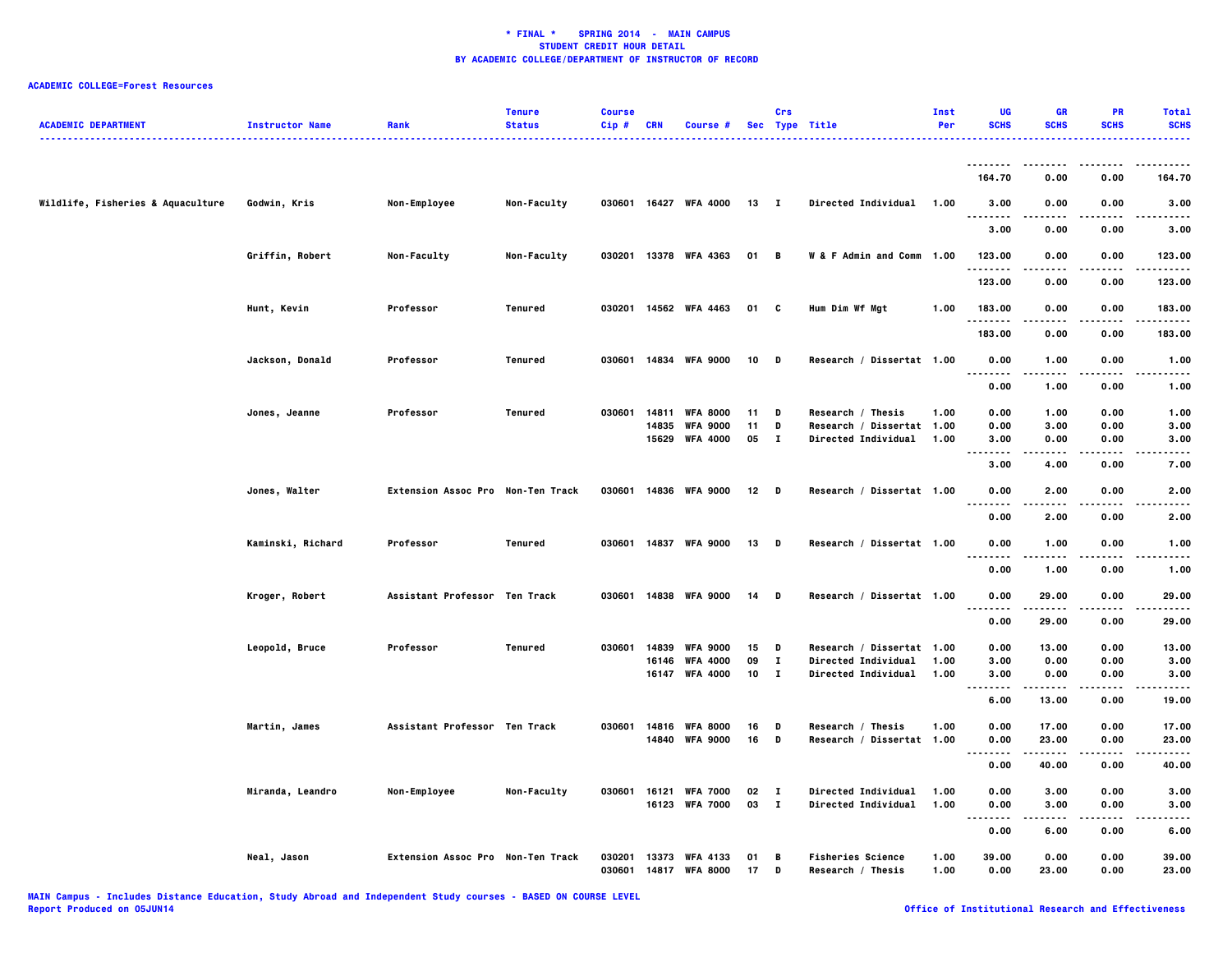| <b>ACADEMIC DEPARTMENT</b>        | <b>Instructor Name</b> | Rank                              | <b>Tenure</b><br><b>Status</b> | <b>Course</b><br>Cip# | CRN   | <b>Course #</b>       |        | Crs          | Sec Type Title             | Inst<br>Per | UG<br><b>SCHS</b>                 | GR<br><b>SCHS</b> | PR<br><b>SCHS</b> | <b>Total</b><br><b>SCHS</b> |
|-----------------------------------|------------------------|-----------------------------------|--------------------------------|-----------------------|-------|-----------------------|--------|--------------|----------------------------|-------------|-----------------------------------|-------------------|-------------------|-----------------------------|
|                                   |                        |                                   |                                |                       |       |                       |        |              |                            |             | 164.70                            | 0.00              | 0.00              | 164.70                      |
| Wildlife, Fisheries & Aquaculture | Godwin, Kris           | Non-Employee                      | Non-Faculty                    |                       |       | 030601 16427 WFA 4000 | 13     | $\mathbf{I}$ | Directed Individual        | 1.00        | 3.00                              | 0.00              | 0.00              | 3.00                        |
|                                   |                        |                                   |                                |                       |       |                       |        |              |                            |             | <br>-----<br>3.00                 | .<br>0.00         | 0.00              | ----<br>3.00                |
|                                   | Griffin, Robert        | Non-Faculty                       | Non-Faculty                    | 030201                |       | 13378 WFA 4363        | 01 B   |              | W & F Admin and Comm 1.00  |             | 123.00                            | 0.00              | 0.00              | 123.00                      |
|                                   |                        |                                   |                                |                       |       |                       |        |              |                            |             | .<br>123.00                       | $- - - -$<br>0.00 | ----<br>0.00      | .<br>123.00                 |
|                                   | Hunt, Kevin            | Professor                         | Tenured                        | 030201                |       | 14562 WFA 4463        | 01     | C            | Hum Dim Wf Mgt             | 1.00        | 183.00                            | 0.00              | 0.00              | 183.00                      |
|                                   |                        |                                   |                                |                       |       |                       |        |              |                            |             | .                                 |                   |                   | .                           |
|                                   |                        |                                   |                                |                       |       |                       |        |              |                            |             | 183.00                            | 0.00              | 0.00              | 183.00                      |
|                                   | Jackson, Donald        | Professor                         | Tenured                        | 030601                |       | 14834 WFA 9000        | 10     | D            | Research / Dissertat 1.00  |             | 0.00<br>$\sim$ $\sim$ $\sim$      | 1.00              | 0.00              | 1.00                        |
|                                   |                        |                                   |                                |                       |       |                       |        |              |                            |             | 0.00                              | 1.00              | 0.00              | 1.00                        |
|                                   | Jones, Jeanne          | Professor                         | Tenured                        | 030601                | 14811 | <b>WFA 8000</b>       | 11     | D            | Research / Thesis          | 1.00        | 0.00                              | 1.00              | 0.00              | 1.00                        |
|                                   |                        |                                   |                                |                       | 14835 | <b>WFA 9000</b>       | 11     | D            | Research / Dissertat 1.00  |             | 0.00                              | 3.00              | 0.00              | 3.00                        |
|                                   |                        |                                   |                                |                       |       | 15629 WFA 4000        | 05     | $\mathbf{I}$ | Directed Individual        | 1.00        | 3.00<br>$\sim$ $\sim$ $\sim$<br>. | 0.00<br>-----     | 0.00<br>.         | 3.00<br>----                |
|                                   |                        |                                   |                                |                       |       |                       |        |              |                            |             | 3.00                              | 4.00              | 0.00              | 7.00                        |
|                                   | Jones, Walter          | Extension Assoc Pro Non-Ten Track |                                |                       |       | 030601 14836 WFA 9000 | $12$ D |              | Research / Dissertat 1.00  |             | 0.00<br>$- - - -$                 | 2.00<br>.         | 0.00<br>.         | 2.00<br>$- - - -$           |
|                                   |                        |                                   |                                |                       |       |                       |        |              |                            |             | 0.00                              | 2.00              | 0.00              | 2.00                        |
|                                   | Kaminski, Richard      | Professor                         | Tenured                        |                       |       | 030601 14837 WFA 9000 | 13 D   |              | Research / Dissertat 1.00  |             | 0.00<br>.<br>.                    | 1.00<br>-----     | 0.00<br>.         | 1.00<br>$- - - -$           |
|                                   |                        |                                   |                                |                       |       |                       |        |              |                            |             | 0.00                              | 1.00              | 0.00              | 1.00                        |
|                                   | Kroger, Robert         | Assistant Professor Ten Track     |                                | 030601                |       | 14838 WFA 9000        | 14     | D            | Research / Dissertat 1.00  |             | 0.00                              | 29.00             | 0.00              | 29.00                       |
|                                   |                        |                                   |                                |                       |       |                       |        |              |                            |             | $\sim$ $\sim$ $\sim$<br>.<br>0.00 | -----<br>29.00    | 0.00              | $- - - -$<br>29.00          |
|                                   | Leopold, Bruce         | Professor                         | Tenured                        | 030601                | 14839 | <b>WFA 9000</b>       | 15     | D            | Research / Dissertat 1.00  |             | 0.00                              | 13.00             | 0.00              | 13.00                       |
|                                   |                        |                                   |                                |                       | 16146 | <b>WFA 4000</b>       | 09     | $\mathbf{I}$ | Directed Individual        | 1.00        | 3.00                              | 0.00              | 0.00              | 3.00                        |
|                                   |                        |                                   |                                |                       |       | 16147 WFA 4000        | 10     | $\mathbf{I}$ | <b>Directed Individual</b> | 1.00        | 3.00<br>.                         | 0.00<br>.         | 0.00<br>----      | 3.00<br>-----               |
|                                   |                        |                                   |                                |                       |       |                       |        |              |                            |             | 6.00                              | 13.00             | 0.00              | 19.00                       |
|                                   | Martin, James          | Assistant Professor Ten Track     |                                | 030601                | 14816 | <b>WFA 8000</b>       | 16     | D            | Research / Thesis          | 1.00        | 0.00                              | 17.00             | 0.00              | 17.00                       |
|                                   |                        |                                   |                                |                       | 14840 | <b>WFA 9000</b>       | 16     | D            | Research / Dissertat 1.00  |             | 0.00<br>.                         | 23.00<br>-----    | 0.00<br>.         | 23.00<br>.                  |
|                                   |                        |                                   |                                |                       |       |                       |        |              |                            |             | 0.00                              | 40.00             | 0.00              | 40.00                       |
|                                   | Miranda, Leandro       | Non-Employee                      | Non-Faculty                    | 030601                | 16121 | <b>WFA 7000</b>       | 02     | $\mathbf{I}$ | Directed Individual        | 1.00        | 0.00                              | 3.00              | 0.00              | 3.00                        |
|                                   |                        |                                   |                                |                       |       | 16123 WFA 7000        | 03     | $\mathbf{I}$ | Directed Individual        | 1.00        | 0.00<br>$\sim$ $\sim$ $\sim$      | 3.00              | 0.00              | 3.00                        |
|                                   |                        |                                   |                                |                       |       |                       |        |              |                            |             | 0.00                              | 6.00              | 0.00              | 6.00                        |
|                                   | Neal, Jason            | Extension Assoc Pro Non-Ten Track |                                |                       |       | 030201 13373 WFA 4133 | 01     | B            | <b>Fisheries Science</b>   | 1.00        | 39.00                             | 0.00              | 0.00              | 39.00                       |
|                                   |                        |                                   |                                | 030601                |       | 14817 WFA 8000        | 17     | D            | Research / Thesis          | 1.00        | 0.00                              | 23.00             | 0.00              | 23.00                       |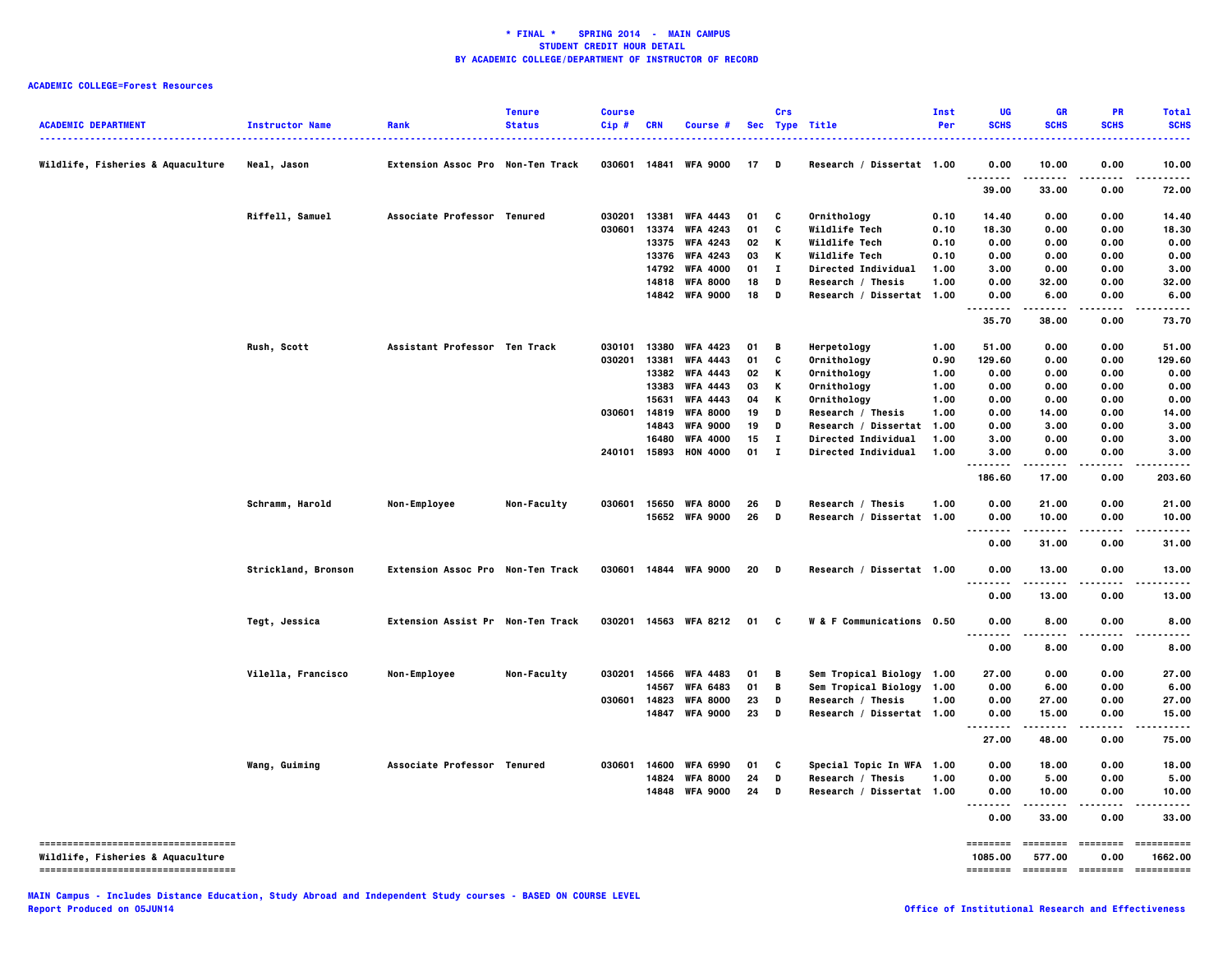| <b>ACADEMIC DEPARTMENT</b>                                              | <b>Instructor Name</b> | Rank                              | <b>Tenure</b><br><b>Status</b> | <b>Course</b><br>Cip# | CRN            | <b>Course #</b>                    |          | Crs               | Sec Type Title                                     | <b>Inst</b><br>Per | UG<br><b>SCHS</b>                 | GR<br><b>SCHS</b>  | <b>PR</b><br><b>SCHS</b> | <b>Total</b><br><b>SCHS</b><br>. |
|-------------------------------------------------------------------------|------------------------|-----------------------------------|--------------------------------|-----------------------|----------------|------------------------------------|----------|-------------------|----------------------------------------------------|--------------------|-----------------------------------|--------------------|--------------------------|----------------------------------|
| Wildlife, Fisheries & Aquaculture                                       | Neal, Jason            | Extension Assoc Pro Non-Ten Track |                                |                       | 030601 14841   | <b>WFA 9000</b>                    | 17       | D                 | Research / Dissertat 1.00                          |                    | 0.00<br>--------                  | 10.00              | 0.00                     | 10.00                            |
|                                                                         |                        |                                   |                                |                       |                |                                    |          |                   |                                                    |                    | 39.00                             | 33.00              | 0.00                     | 72.00                            |
|                                                                         | Riffell, Samuel        | Associate Professor Tenured       |                                | 030201                | 13381          | <b>WFA 4443</b>                    | 01       | C                 | Ornithology                                        | 0.10               | 14.40                             | 0.00               | 0.00                     | 14.40                            |
|                                                                         |                        |                                   |                                | 030601                | 13374          | <b>WFA 4243</b>                    | 01       | C                 | Wildlife Tech                                      | 0.10               | 18.30                             | 0.00               | 0.00                     | 18.30                            |
|                                                                         |                        |                                   |                                |                       | 13375          | <b>WFA 4243</b>                    | 02       | К                 | Wildlife Tech                                      | 0.10               | 0.00                              | 0.00               | 0.00                     | 0.00                             |
|                                                                         |                        |                                   |                                |                       | 13376          | <b>WFA 4243</b>                    | 03       | κ                 | Wildlife Tech                                      | 0.10               | 0.00                              | 0.00               | 0.00                     | 0.00                             |
|                                                                         |                        |                                   |                                |                       | 14792          | <b>WFA 4000</b>                    | 01<br>18 | $\mathbf{I}$      | <b>Directed Individual</b>                         | 1.00               | 3.00                              | 0.00               | 0.00                     | 3.00                             |
|                                                                         |                        |                                   |                                |                       |                | 14818 WFA 8000<br>14842 WFA 9000   | 18       | D<br>D            | Research / Thesis<br>Research / Dissertat 1.00     | 1.00               | 0.00<br>0.00                      | 32.00<br>6.00      | 0.00<br>0.00             | 32.00<br>6.00                    |
|                                                                         |                        |                                   |                                |                       |                |                                    |          |                   |                                                    |                    | .                                 | .                  | .                        | . <b>.</b> .                     |
|                                                                         |                        |                                   |                                |                       |                |                                    |          |                   |                                                    |                    | 35.70                             | 38.00              | 0.00                     | 73.70                            |
|                                                                         | Rush, Scott            | Assistant Professor Ten Track     |                                | 030101                | 13380          | <b>WFA 4423</b>                    | 01       | B                 | Herpetology                                        | 1.00               | 51.00                             | 0.00               | 0.00                     | 51.00                            |
|                                                                         |                        |                                   |                                | 030201                | 13381          | <b>WFA 4443</b>                    | 01       | C                 | Ornithology                                        | 0.90               | 129.60                            | 0.00               | 0.00                     | 129.60                           |
|                                                                         |                        |                                   |                                |                       | 13382          | <b>WFA 4443</b>                    | 02       | κ                 | Ornithology                                        | 1.00               | 0.00                              | 0.00               | 0.00                     | 0.00                             |
|                                                                         |                        |                                   |                                |                       | 13383          | <b>WFA 4443</b>                    | 03       | К                 | Ornithology                                        | 1.00               | 0.00                              | 0.00               | 0.00                     | 0.00                             |
|                                                                         |                        |                                   |                                |                       | 15631          | <b>WFA 4443</b>                    | 04       | Κ                 | Ornithology                                        | 1.00               | 0.00                              | 0.00               | 0.00                     | 0.00                             |
|                                                                         |                        |                                   |                                | 030601                | 14819          | <b>WFA 8000</b>                    | 19<br>19 | D                 | Research / Thesis                                  | 1.00               | 0.00                              | 14.00              | 0.00<br>0.00             | 14.00                            |
|                                                                         |                        |                                   |                                |                       | 14843<br>16480 | <b>WFA 9000</b><br><b>WFA 4000</b> | 15       | D<br>$\mathbf{I}$ | Research / Dissertat<br><b>Directed Individual</b> | 1.00<br>1.00       | 0.00<br>3.00                      | 3.00<br>0.00       | 0.00                     | 3.00<br>3.00                     |
|                                                                         |                        |                                   |                                |                       |                | 240101 15893 HON 4000              | 01       | $\mathbf{I}$      | Directed Individual                                | 1.00               | 3.00                              | 0.00               | 0.00                     | 3.00                             |
|                                                                         |                        |                                   |                                |                       |                |                                    |          |                   |                                                    |                    | .                                 |                    |                          |                                  |
|                                                                         |                        |                                   |                                |                       |                |                                    |          |                   |                                                    |                    | 186.60                            | 17.00              | 0.00                     | 203.60                           |
|                                                                         | Schramm, Harold        | Non-Employee                      | Non-Faculty                    | 030601                |                | 15650 WFA 8000                     | 26       | D                 | Research / Thesis                                  | 1.00               | 0.00                              | 21.00              | 0.00                     | 21.00                            |
|                                                                         |                        |                                   |                                |                       |                | 15652 WFA 9000                     | 26       | D                 | Research / Dissertat 1.00                          |                    | 0.00                              | 10.00              | 0.00                     | 10.00                            |
|                                                                         |                        |                                   |                                |                       |                |                                    |          |                   |                                                    |                    | <u></u><br>0.00                   | .<br>31.00         | .<br>0.00                | .<br>31.00                       |
|                                                                         | Strickland, Bronson    | Extension Assoc Pro Non-Ten Track |                                |                       |                | 030601 14844 WFA 9000              | 20       | D                 | Research / Dissertat 1.00                          |                    | 0.00                              | 13.00              | 0.00                     | 13.00                            |
|                                                                         |                        |                                   |                                |                       |                |                                    |          |                   |                                                    |                    | .<br>0.00                         | -----<br>13.00     | $- - - -$<br>0.00        | .<br>13.00                       |
|                                                                         |                        |                                   |                                |                       |                |                                    |          |                   |                                                    |                    |                                   |                    |                          |                                  |
|                                                                         | Tegt, Jessica          | Extension Assist Pr Non-Ten Track |                                |                       |                | 030201 14563 WFA 8212              | 01       | C                 | W & F Communications 0.50                          |                    | 0.00<br>$\sim$ $\sim$ $\sim$<br>. | 8.00<br>-----      | 0.00<br>$- - -$          | 8.00                             |
|                                                                         |                        |                                   |                                |                       |                |                                    |          |                   |                                                    |                    | 0.00                              | 8.00               | 0.00                     | 8.00                             |
|                                                                         | Vilella, Francisco     | Non-Employee                      | Non-Faculty                    | 030201                |                | 14566 WFA 4483                     | 01       | В                 | Sem Tropical Biology 1.00                          |                    | 27.00                             | 0.00               | 0.00                     | 27.00                            |
|                                                                         |                        |                                   |                                |                       | 14567          | <b>WFA 6483</b>                    | 01       | B                 | Sem Tropical Biology                               | 1.00               | 0.00                              | 6.00               | 0.00                     | 6.00                             |
|                                                                         |                        |                                   |                                | 030601                | 14823          | <b>WFA 8000</b>                    | 23       | D                 | Research / Thesis                                  | 1.00               | 0.00                              | 27.00              | 0.00                     | 27.00                            |
|                                                                         |                        |                                   |                                |                       |                | 14847 WFA 9000                     | 23       | D                 | Research / Dissertat 1.00                          |                    | 0.00<br>.                         | 15.00<br>.         | 0.00<br>.                | 15.00<br>.                       |
|                                                                         |                        |                                   |                                |                       |                |                                    |          |                   |                                                    |                    | 27.00                             | 48.00              | 0.00                     | 75.00                            |
|                                                                         | Wang, Guiming          | Associate Professor Tenured       |                                | 030601                | 14600          | <b>WFA 6990</b>                    | 01       | C                 | Special Topic In WFA 1.00                          |                    | 0.00                              | 18.00              | 0.00                     | 18.00                            |
|                                                                         |                        |                                   |                                |                       |                | 14824 WFA 8000                     | 24       | D                 | Research / Thesis                                  | 1.00               | 0.00                              | 5.00               | 0.00                     | 5.00                             |
|                                                                         |                        |                                   |                                |                       |                | 14848 WFA 9000                     | 24       | D                 | Research / Dissertat 1.00                          |                    | 0.00<br>.<br>.                    | 10.00<br>-----     | 0.00<br>.                | 10.00<br>.                       |
|                                                                         |                        |                                   |                                |                       |                |                                    |          |                   |                                                    |                    | 0.00                              | 33.00              | 0.00                     | 33.00                            |
| ----------------------------------<br>Wildlife, Fisheries & Aquaculture |                        |                                   |                                |                       |                |                                    |          |                   |                                                    |                    | 1085.00                           | ========<br>577.00 | 0.00                     | ==========<br>1662.00            |
| -----------------------------------                                     |                        |                                   |                                |                       |                |                                    |          |                   |                                                    |                    | ========                          | -------- -------   |                          | ==========                       |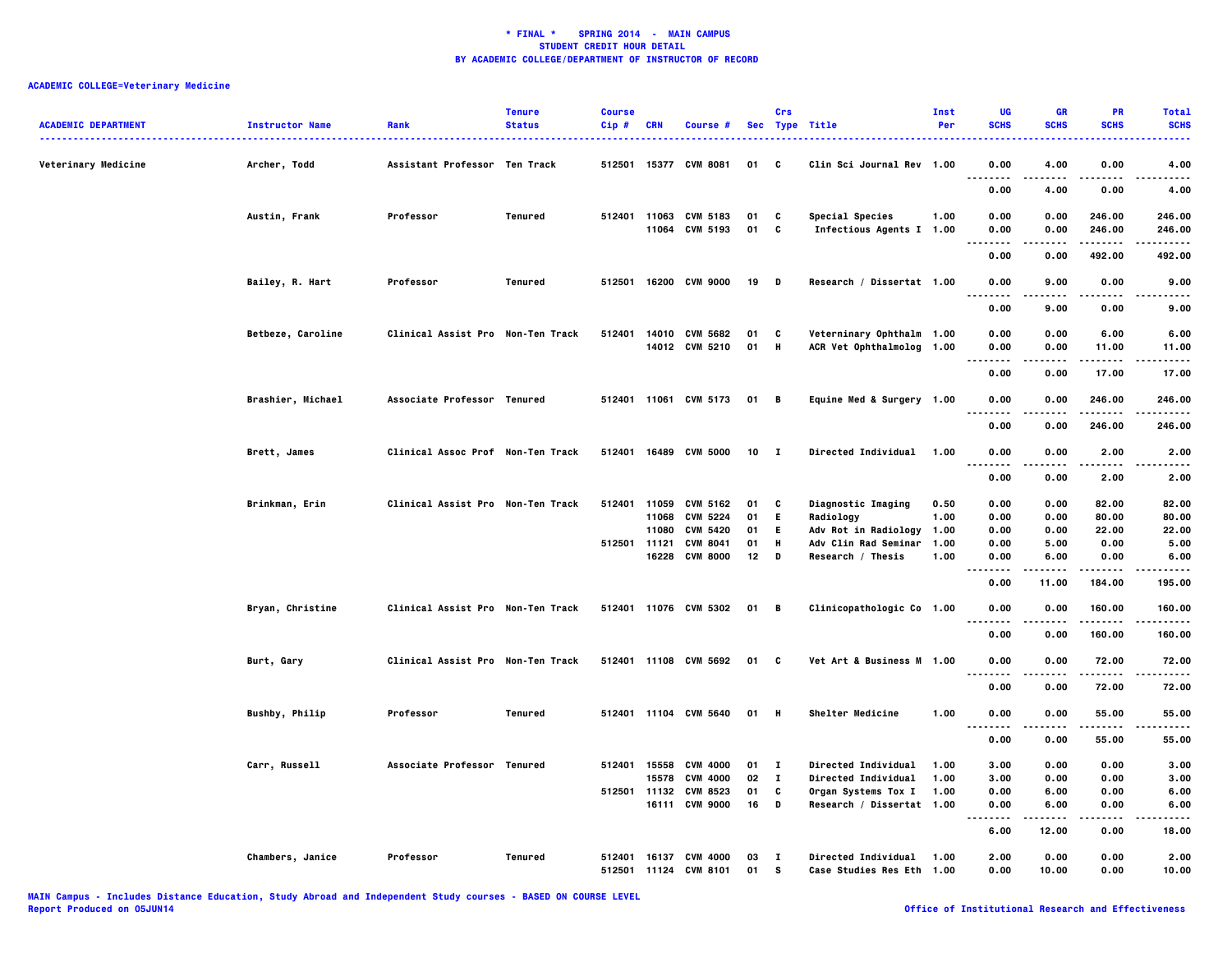| <b>ACADEMIC DEPARTMENT</b> | <b>Instructor Name</b> | Rank                              | <b>Tenure</b><br><b>Status</b> | <b>Course</b><br>Cip# | <b>CRN</b> | Course #                                       |          | Crs               | Sec Type Title                                         | Inst<br>Per | UG<br><b>SCHS</b>                        | <b>GR</b><br><b>SCHS</b> | PR<br><b>SCHS</b>     | <b>Total</b><br><b>SCHS</b> |
|----------------------------|------------------------|-----------------------------------|--------------------------------|-----------------------|------------|------------------------------------------------|----------|-------------------|--------------------------------------------------------|-------------|------------------------------------------|--------------------------|-----------------------|-----------------------------|
| Veterinary Medicine        | Archer, Todd           | Assistant Professor Ten Track     |                                | 512501                |            | 15377 CVM 8081                                 | 01       | C                 | Clin Sci Journal Rev 1.00                              |             | 0.00<br>$\cdots$                         | 4.00                     | 0.00                  | 4.00                        |
|                            |                        |                                   |                                |                       |            |                                                |          |                   |                                                        |             | 0.00                                     | 4.00                     | 0.00                  | 4.00                        |
|                            | Austin, Frank          | Professor                         | Tenured                        | 512401                |            | 11063 CVM 5183<br>11064 CVM 5193               | 01<br>01 | C<br>C            | Special Species<br>Infectious Agents I 1.00            | 1.00        | 0.00<br>0.00<br>$- - - -$                | 0.00<br>0.00<br>.        | 246.00<br>246.00<br>. | 246.00<br>246.00<br>-----   |
|                            |                        |                                   |                                |                       |            |                                                |          |                   |                                                        |             | 0.00                                     | 0.00                     | 492.00                | 492.00                      |
|                            | Bailey, R. Hart        | Professor                         | Tenured                        | 512501                |            | 16200 CVM 9000                                 | 19       | D                 | Research / Dissertat 1.00                              |             | 0.00<br>----                             | 9.00<br>$- - - -$        | 0.00<br>.             | 9.00<br>$- - - -$           |
|                            |                        |                                   |                                |                       |            |                                                |          |                   |                                                        |             | 0.00                                     | 9.00                     | 0.00                  | 9.00                        |
|                            | Betbeze, Caroline      | Clinical Assist Pro Non-Ten Track |                                | 512401                | 14010      | <b>CVM 5682</b><br>14012 CVM 5210              | 01<br>01 | C<br>н            | Veterninary Ophthalm 1.00<br>ACR Vet Ophthalmolog 1.00 |             | 0.00<br>0.00                             | 0.00<br>0.00             | 6.00<br>11.00         | 6.00<br>11.00               |
|                            |                        |                                   |                                |                       |            |                                                |          |                   |                                                        |             | .<br>0.00                                | 0.00                     | .<br>17.00            | .<br>17.00                  |
|                            | Brashier, Michael      | Associate Professor Tenured       |                                |                       |            | 512401 11061 CVM 5173                          | 01       | - в               | Equine Med & Surgery 1.00                              |             | 0.00<br>$\cdots$                         | 0.00                     | 246.00                | 246.00                      |
|                            |                        |                                   |                                |                       |            |                                                |          |                   |                                                        |             | 0.00                                     | 0.00                     | 246.00                | 246,00                      |
|                            | Brett, James           | Clinical Assoc Prof Non-Ten Track |                                |                       |            | 512401 16489 CVM 5000                          | 10       | $\mathbf{I}$      | Directed Individual                                    | 1.00        | 0.00<br>.<br>$\sim$ $\sim$ $\sim$        | 0.00<br>.                | 2.00<br>.             | 2.00<br>.                   |
|                            |                        |                                   |                                |                       |            |                                                |          |                   |                                                        |             | 0.00                                     | 0.00                     | 2.00                  | 2.00                        |
|                            | Brinkman, Erin         | Clinical Assist Pro Non-Ten Track |                                | 512401                | 11059      | CVM 5162                                       | 01       | c                 | Diagnostic Imaging                                     | 0.50        | 0.00                                     | 0.00                     | 82.00                 | 82.00                       |
|                            |                        |                                   |                                |                       | 11068      | <b>CVM 5224</b>                                | 01       | E.                | Radiology                                              | 1.00        | 0.00                                     | 0.00                     | 80.00                 | 80.00                       |
|                            |                        |                                   |                                |                       | 11080      | <b>CVM 5420</b>                                | 01       | E.                | Adv Rot in Radiology                                   | 1.00        | 0.00                                     | 0.00                     | 22.00                 | 22.00                       |
|                            |                        |                                   |                                | 512501 11121          |            | <b>CVM 8041</b>                                | 01       | н                 | Adv Clin Rad Seminar                                   | 1.00        | 0.00                                     | 5.00                     | 0.00                  | 5.00                        |
|                            |                        |                                   |                                |                       | 16228      | <b>CVM 8000</b>                                | 12       | D                 | Research / Thesis                                      | 1.00        | 0.00                                     | 6.00                     | 0.00                  | 6.00                        |
|                            |                        |                                   |                                |                       |            |                                                |          |                   |                                                        |             | $\cdots$<br>$\sim$ $\sim$ $\sim$<br>0.00 | 11.00                    | 184.00                | 195.00                      |
|                            | Bryan, Christine       | Clinical Assist Pro Non-Ten Track |                                |                       |            | 512401 11076 CVM 5302                          | 01       | В                 | Clinicopathologic Co 1.00                              |             | 0.00                                     | 0.00                     | 160.00                | 160.00                      |
|                            |                        |                                   |                                |                       |            |                                                |          |                   |                                                        |             | 0.00                                     | 0.00                     | 160.00                | 160.00                      |
|                            | Burt, Gary             | Clinical Assist Pro Non-Ten Track |                                |                       |            | 512401 11108 CVM 5692                          | 01       | C                 | Vet Art & Business M 1.00                              |             | 0.00                                     | 0.00                     | 72.00                 | 72.00                       |
|                            |                        |                                   |                                |                       |            |                                                |          |                   |                                                        |             | <br>0.00                                 | 0.00                     | 72.00                 | 72.00                       |
|                            | Bushby, Philip         | Professor                         | Tenured                        |                       |            | 512401 11104 CVM 5640                          | 01 H     |                   | Shelter Medicine                                       | 1.00        | 0.00                                     | 0.00                     | 55.00                 | 55.00                       |
|                            |                        |                                   |                                |                       |            |                                                |          |                   |                                                        |             | $\sim$ $\sim$ .<br>0.00                  | 0.00                     | 55.00                 | 55.00                       |
|                            | Carr, Russell          | Associate Professor Tenured       |                                | 512401                | 15558      | <b>CVM 4000</b>                                | 01       | $\mathbf{I}$      | Directed Individual                                    | 1.00        | 3.00                                     | 0.00                     | 0.00                  | 3.00                        |
|                            |                        |                                   |                                |                       | 15578      | <b>CVM 4000</b>                                | 02       | $\mathbf{I}$      | Directed Individual                                    | 1.00        | 3.00                                     | 0.00                     | 0.00                  | 3.00                        |
|                            |                        |                                   |                                |                       |            | 512501 11132 CVM 8523                          | 01       | c                 | Organ Systems Tox I                                    | 1.00        | 0.00                                     | 6.00                     | 0.00                  | 6.00                        |
|                            |                        |                                   |                                |                       |            | 16111 CVM 9000                                 | 16       | D                 | Research / Dissertat 1.00                              |             | 0.00<br>.<br>$\sim$ $\sim$ $\sim$        | 6.00<br>.                | 0.00<br>$- - - -$     | 6.00                        |
|                            |                        |                                   |                                |                       |            |                                                |          |                   |                                                        |             | 6.00                                     | 12.00                    | 0.00                  | 18.00                       |
|                            | Chambers, Janice       | Professor                         | Tenured                        |                       |            | 512401 16137 CVM 4000<br>512501 11124 CVM 8101 | 03<br>01 | $\mathbf{I}$<br>s | Directed Individual<br>Case Studies Res Eth 1.00       | 1.00        | 2.00<br>0.00                             | 0.00<br>10.00            | 0.00<br>0.00          | 2.00<br>10.00               |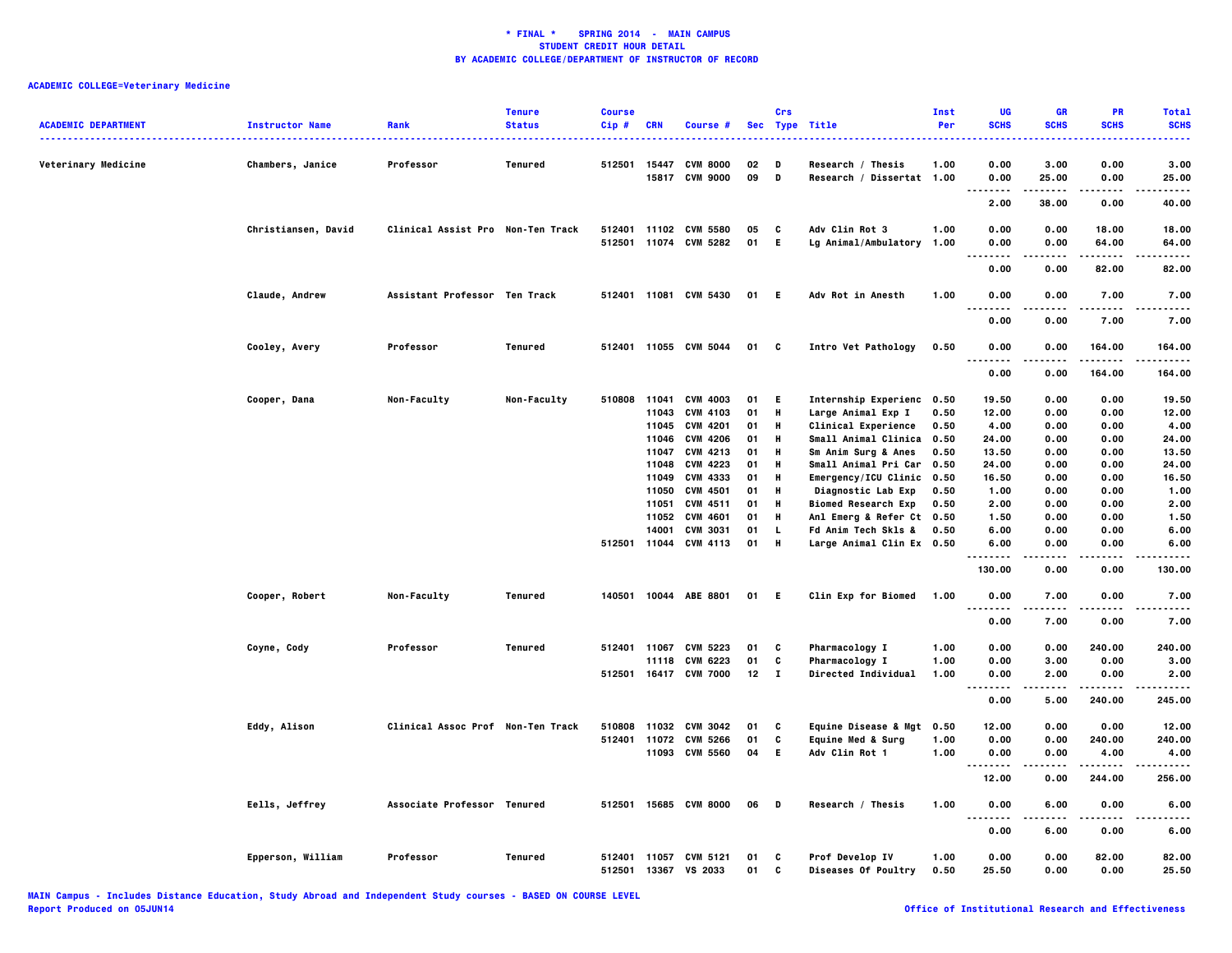| <b>ACADEMIC DEPARTMENT</b> | <b>Instructor Name</b> | Rank                              | <b>Tenure</b><br><b>Status</b> | <b>Course</b><br>Cip# | <b>CRN</b> | Course #                          |              | Crs    | Sec Type Title                                 | Inst<br>Per | UG<br><b>SCHS</b>                 | <b>GR</b><br><b>SCHS</b> | PR<br><b>SCHS</b> | <b>Total</b><br><b>SCHS</b><br>$\frac{1}{2} \left( \frac{1}{2} \right) \left( \frac{1}{2} \right) \left( \frac{1}{2} \right) \left( \frac{1}{2} \right)$ |
|----------------------------|------------------------|-----------------------------------|--------------------------------|-----------------------|------------|-----------------------------------|--------------|--------|------------------------------------------------|-------------|-----------------------------------|--------------------------|-------------------|----------------------------------------------------------------------------------------------------------------------------------------------------------|
| Veterinary Medicine        | Chambers, Janice       | Professor                         | Tenured                        | 512501                | 15447      | <b>CVM 8000</b><br>15817 CVM 9000 | 02<br>09     | D<br>D | Research / Thesis<br>Research / Dissertat 1.00 | 1.00        | 0.00<br>0.00                      | 3.00<br>25.00            | 0.00<br>0.00      | 3.00<br>25.00                                                                                                                                            |
|                            |                        |                                   |                                |                       |            |                                   |              |        |                                                |             | $\sim$ $\sim$ $\sim$<br>.<br>2.00 | .<br>38.00               | .<br>0.00         | .<br>40.00                                                                                                                                               |
|                            |                        |                                   |                                |                       |            |                                   |              |        |                                                |             |                                   |                          |                   |                                                                                                                                                          |
|                            | Christiansen, David    | Clinical Assist Pro Non-Ten Track |                                |                       |            | 512401 11102 CVM 5580             | 05           | C      | Adv Clin Rot 3                                 | 1.00        | 0.00                              | 0.00                     | 18.00             | 18.00                                                                                                                                                    |
|                            |                        |                                   |                                |                       |            | 512501 11074 CVM 5282             | 01           | E      | Lg Animal/Ambulatory                           | 1.00        | 0.00<br>$- - - -$                 | 0.00                     | 64.00<br>.        | 64.00                                                                                                                                                    |
|                            |                        |                                   |                                |                       |            |                                   |              |        |                                                |             | 0.00                              | 0.00                     | 82.00             | 82.00                                                                                                                                                    |
|                            | Claude, Andrew         | Assistant Professor Ten Track     |                                |                       |            | 512401 11081 CVM 5430             | 01           | - E    | Adv Rot in Anesth                              | 1.00        | 0.00                              | 0.00                     | 7.00<br>$\cdots$  | 7.00                                                                                                                                                     |
|                            |                        |                                   |                                |                       |            |                                   |              |        |                                                |             | 0.00                              | 0.00                     | 7.00              | 7.00                                                                                                                                                     |
|                            | Cooley, Avery          | Professor                         | Tenured                        |                       |            | 512401 11055 CVM 5044             | 01           | C      | Intro Vet Pathology                            | 0.50        | 0.00<br>.<br>$\sim$ $\sim$ $\sim$ | 0.00                     | 164.00<br>.       | 164.00<br>.                                                                                                                                              |
|                            |                        |                                   |                                |                       |            |                                   |              |        |                                                |             | 0.00                              | 0.00                     | 164.00            | 164.00                                                                                                                                                   |
|                            | Cooper, Dana           | Non-Faculty                       | Non-Faculty                    | 510808                | 11041      | <b>CVM 4003</b>                   | 01           | E.     | Internship Experienc 0.50                      |             | 19.50                             | 0.00                     | 0.00              | 19.50                                                                                                                                                    |
|                            |                        |                                   |                                |                       | 11043      | <b>CVM 4103</b>                   | 01           | Н      | Large Animal Exp I                             | 0.50        | 12.00                             | 0.00                     | 0.00              | 12.00                                                                                                                                                    |
|                            |                        |                                   |                                |                       | 11045      | CVM 4201                          | 01           | Н      | <b>Clinical Experience</b>                     | 0.50        | 4.00                              | 0.00                     | 0.00              | 4.00                                                                                                                                                     |
|                            |                        |                                   |                                |                       | 11046      | <b>CVM 4206</b>                   | 01           | Н      | Small Animal Clinica                           | 0.50        | 24.00                             | 0.00                     | 0.00              | 24.00                                                                                                                                                    |
|                            |                        |                                   |                                |                       | 11047      | CVM 4213                          | 01           | н      | Sm Anim Surg & Anes                            | 0.50        | 13.50                             | 0.00                     | 0.00              | 13.50                                                                                                                                                    |
|                            |                        |                                   |                                |                       | 11048      | <b>CVM 4223</b>                   | 01           | н      | Small Animal Pri Car                           | 0.50        | 24.00                             | 0.00                     | 0.00              | 24.00                                                                                                                                                    |
|                            |                        |                                   |                                |                       | 11049      | CVM 4333                          | 01           | н      | Emergency/ICU Clinic 0.50                      |             | 16.50                             | 0.00                     | 0.00              | 16.50                                                                                                                                                    |
|                            |                        |                                   |                                |                       | 11050      | <b>CVM 4501</b>                   | 01           | н      | Diagnostic Lab Exp                             | 0.50        | 1.00                              | 0.00                     | 0.00              | 1.00                                                                                                                                                     |
|                            |                        |                                   |                                |                       | 11051      | CVM 4511                          | 01           | н      | <b>Biomed Research Exp</b>                     | 0.50        | 2.00                              | 0.00                     | 0.00              | 2.00                                                                                                                                                     |
|                            |                        |                                   |                                |                       | 11052      | <b>CVM 4601</b>                   | 01           | н      | Anl Emerg & Refer Ct 0.50                      |             | 1.50                              | 0.00                     | 0.00              | 1.50                                                                                                                                                     |
|                            |                        |                                   |                                |                       | 14001      | <b>CVM 3031</b>                   | 01           | L.     | Fd Anim Tech Skls &                            | 0.50        | 6.00                              | 0.00                     | 0.00              | 6.00                                                                                                                                                     |
|                            |                        |                                   |                                |                       |            | 512501 11044 CVM 4113             | 01           | H      | Large Animal Clin Ex 0.50                      |             | 6.00<br>.                         | 0.00<br>.                | 0.00<br>.         | 6.00<br>.                                                                                                                                                |
|                            |                        |                                   |                                |                       |            |                                   |              |        |                                                |             | 130.00                            | 0.00                     | 0.00              | 130.00                                                                                                                                                   |
|                            | Cooper, Robert         | Non-Faculty                       | Tenured                        | 140501                |            | 10044 ABE 8801                    | 01           | - E    | Clin Exp for Biomed                            | 1.00        | 0.00<br>.<br>.                    | 7.00                     | 0.00              | 7.00<br>$- - - -$                                                                                                                                        |
|                            |                        |                                   |                                |                       |            |                                   |              |        |                                                |             | 0.00                              | 7.00                     | 0.00              | 7.00                                                                                                                                                     |
|                            | Coyne, Cody            | Professor                         | Tenured                        | 512401                | 11067      | CVM 5223                          | 01           | C      | <b>Pharmacology I</b>                          | 1.00        | 0.00                              | 0.00                     | 240.00            | 240.00                                                                                                                                                   |
|                            |                        |                                   |                                |                       | 11118      | CVM 6223                          | 01           | C      | Pharmacology I                                 | 1.00        | 0.00                              | 3.00                     | 0.00              | 3.00                                                                                                                                                     |
|                            |                        |                                   |                                |                       |            | 512501 16417 CVM 7000             | $12 \quad I$ |        | <b>Directed Individual</b>                     | 1.00        | 0.00<br>                          | 2.00                     | 0.00              | 2.00                                                                                                                                                     |
|                            |                        |                                   |                                |                       |            |                                   |              |        |                                                |             | 0.00                              | 5.00                     | 240.00            | 245.00                                                                                                                                                   |
|                            | Eddy, Alison           | Clinical Assoc Prof Non-Ten Track |                                |                       |            | 510808 11032 CVM 3042             | 01           | C      | Equine Disease & Mgt 0.50                      |             | 12.00                             | 0.00                     | 0.00              | 12.00                                                                                                                                                    |
|                            |                        |                                   |                                |                       |            | 512401 11072 CVM 5266             | 01           | C      | Equine Med & Surg                              | 1.00        | 0.00                              | 0.00                     | 240.00            | 240.00                                                                                                                                                   |
|                            |                        |                                   |                                |                       |            | 11093 CVM 5560                    | 04           | - E    | Adv Clin Rot 1                                 | 1.00        | 0.00<br>--------                  | 0.00                     | 4.00              | 4.00<br>-----                                                                                                                                            |
|                            |                        |                                   |                                |                       |            |                                   |              |        |                                                |             | 12.00                             | 0.00                     | 244.00            | 256.00                                                                                                                                                   |
|                            | Eells, Jeffrey         | Associate Professor Tenured       |                                |                       |            | 512501 15685 CVM 8000             | 06           | D      | Research / Thesis                              | 1.00        | 0.00                              | 6.00                     | 0.00              | 6.00                                                                                                                                                     |
|                            |                        |                                   |                                |                       |            |                                   |              |        |                                                |             | $\sim$ $\sim$ $\sim$<br>0.00      | 6.00                     | 0.00              | 6.00                                                                                                                                                     |
|                            | Epperson, William      | Professor                         | Tenured                        |                       |            | 512401 11057 CVM 5121             | 01           | C      | Prof Develop IV                                | 1.00        | 0.00                              | 0.00                     | 82.00             | 82.00                                                                                                                                                    |
|                            |                        |                                   |                                | 512501                | 13367      | VS 2033                           | 01           | c      | Diseases Of Poultry                            | 0.50        | 25.50                             | 0.00                     | 0.00              | 25.50                                                                                                                                                    |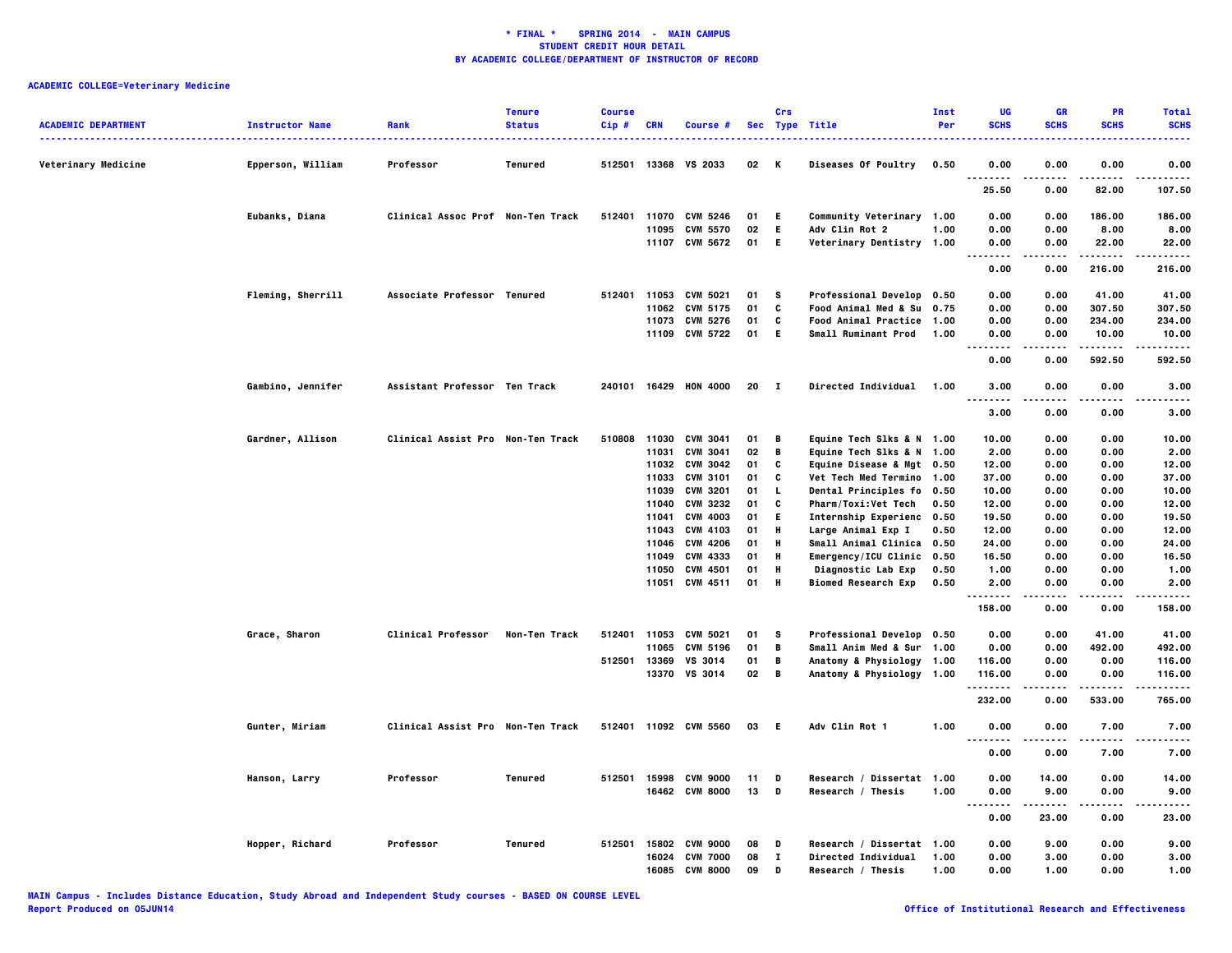| <b>ACADEMIC DEPARTMENT</b> | <b>Instructor Name</b> | Rank                              | <b>Tenure</b><br><b>Status</b> | <b>Course</b><br>Cip# | <b>CRN</b> | Course #                          |      | Crs          | Sec Type Title                                                | Inst<br>Per | UG<br><b>SCHS</b>            | <b>GR</b><br><b>SCHS</b> | PR<br><b>SCHS</b>    | <b>Total</b><br><b>SCHS</b><br> |
|----------------------------|------------------------|-----------------------------------|--------------------------------|-----------------------|------------|-----------------------------------|------|--------------|---------------------------------------------------------------|-------------|------------------------------|--------------------------|----------------------|---------------------------------|
| Veterinary Medicine        | Epperson, William      | Professor                         | Tenured                        |                       |            | 512501 13368 VS 2033              | 02   | K            | <b>Diseases Of Poultry</b>                                    | 0.50        | 0.00<br><br>.                | 0.00                     | 0.00                 | 0.00                            |
|                            |                        |                                   |                                |                       |            |                                   |      |              |                                                               |             | 25.50                        | 0.00                     | 82.00                | 107.50                          |
|                            | Eubanks, Diana         | Clinical Assoc Prof Non-Ten Track |                                | 512401                |            | 11070 CVM 5246                    | 01   | E.           | Community Veterinary 1.00                                     |             | 0.00                         | 0.00                     | 186.00               | 186.00                          |
|                            |                        |                                   |                                |                       |            | 11095 CVM 5570                    | 02   | E            | Adv Clin Rot 2                                                | 1.00        | 0.00                         | 0.00                     | 8.00                 | 8.00                            |
|                            |                        |                                   |                                |                       |            | 11107 CVM 5672                    | 01 E |              | Veterinary Dentistry 1.00                                     |             | 0.00<br>$\cdots$             | 0.00                     | 22.00<br>.           | 22.00<br>.                      |
|                            |                        |                                   |                                |                       |            |                                   |      |              |                                                               |             | 0.00                         | 0.00                     | 216.00               | 216.00                          |
|                            | Fleming, Sherrill      | Associate Professor Tenured       |                                |                       |            | 512401 11053 CVM 5021             | 01   | - S          | Professional Develop 0.50                                     |             | 0.00                         | 0.00                     | 41.00                | 41.00                           |
|                            |                        |                                   |                                |                       |            | 11062 CVM 5175                    | 01   | C            | Food Animal Med & Su 0.75                                     |             | 0.00                         | 0.00                     | 307.50               | 307.50                          |
|                            |                        |                                   |                                |                       |            | 11073 CVM 5276                    | 01   | C            | Food Animal Practice 1.00                                     |             | 0.00                         | 0.00                     | 234.00               | 234.00                          |
|                            |                        |                                   |                                |                       |            | 11109 CVM 5722                    | 01   | E.           | <b>Small Ruminant Prod</b>                                    | 1.00        | 0.00<br>.                    | 0.00                     | 10.00<br>- - - - - - | 10.00<br>.                      |
|                            |                        |                                   |                                |                       |            |                                   |      |              |                                                               |             | 0.00                         | 0.00                     | 592.50               | 592.50                          |
|                            | Gambino, Jennifer      | Assistant Professor Ten Track     |                                |                       |            | 240101 16429 HON 4000             | 20   | - 1          | Directed Individual                                           | 1.00        | 3.00                         | 0.00                     | 0.00                 | 3.00                            |
|                            |                        |                                   |                                |                       |            |                                   |      |              |                                                               |             | 3.00                         | 0.00                     | 0.00                 | 3.00                            |
|                            |                        | Clinical Assist Pro Non-Ten Track |                                |                       |            | 510808 11030 CVM 3041             | 01   | B            |                                                               |             | 10.00                        | 0.00                     | 0.00                 | 10.00                           |
|                            | Gardner, Allison       |                                   |                                |                       | 11031      | <b>CVM 3041</b>                   | 02   | B            | Equine Tech Slks & N 1.00<br>Equine Tech Slks & N 1.00        |             | 2.00                         | 0.00                     | 0.00                 | 2.00                            |
|                            |                        |                                   |                                |                       |            |                                   | 01   | C            |                                                               |             |                              |                          |                      |                                 |
|                            |                        |                                   |                                |                       | 11033      | 11032 CVM 3042<br><b>CVM 3101</b> | 01   | C            | Equine Disease & Mgt 0.50                                     |             | 12.00<br>37.00               | 0.00<br>0.00             | 0.00<br>0.00         | 12.00<br>37.00                  |
|                            |                        |                                   |                                |                       |            | 11039 CVM 3201                    | 01   | <b>L</b>     | <b>Vet Tech Med Termino 1.00</b><br>Dental Principles fo 0.50 |             | 10.00                        | 0.00                     | 0.00                 | 10.00                           |
|                            |                        |                                   |                                |                       | 11040      | <b>CVM 3232</b>                   | 01   | C            | <b>Pharm/Toxi:Vet Tech</b>                                    |             | 12.00                        | 0.00                     | 0.00                 | 12.00                           |
|                            |                        |                                   |                                |                       | 11041      | <b>CVM 4003</b>                   | 01   | E.           | Internship Experienc 0.50                                     | 0.50        | 19.50                        | 0.00                     | 0.00                 | 19.50                           |
|                            |                        |                                   |                                |                       |            | 11043 CVM 4103                    | 01   | н            | Large Animal Exp I                                            | 0.50        | 12.00                        | 0.00                     | 0.00                 | 12.00                           |
|                            |                        |                                   |                                |                       |            | 11046 CVM 4206                    | 01   | H            | Small Animal Clinica 0.50                                     |             | 24.00                        | 0.00                     | 0.00                 | 24.00                           |
|                            |                        |                                   |                                |                       | 11049      | CVM 4333                          | 01   | H            | Emergency/ICU Clinic 0.50                                     |             | 16.50                        | 0.00                     | 0.00                 | 16.50                           |
|                            |                        |                                   |                                |                       | 11050      | CVM 4501                          | 01   | Н            | Diagnostic Lab Exp                                            | 0.50        | 1.00                         | 0.00                     | 0.00                 | 1.00                            |
|                            |                        |                                   |                                |                       |            | 11051 CVM 4511                    | 01   | Н            | <b>Biomed Research Exp</b>                                    | 0.50        | 2.00                         | 0.00                     | 0.00                 | 2.00                            |
|                            |                        |                                   |                                |                       |            |                                   |      |              |                                                               |             | .                            |                          |                      | ----                            |
|                            |                        |                                   |                                |                       |            |                                   |      |              |                                                               |             | 158.00                       | 0.00                     | 0.00                 | 158.00                          |
|                            | Grace, Sharon          | <b>Clinical Professor</b>         | Non-Ten Track                  |                       |            | 512401 11053 CVM 5021             | 01   | s            | Professional Develop 0.50                                     |             | 0.00                         | 0.00                     | 41.00                | 41.00                           |
|                            |                        |                                   |                                |                       | 11065      | <b>CVM 5196</b>                   | 01   | B            | Small Anim Med & Sur 1.00                                     |             | 0.00                         | 0.00                     | 492.00               | 492.00                          |
|                            |                        |                                   |                                | 512501                | 13369      | VS 3014                           | 01   | В            | Anatomy & Physiology                                          | 1.00        | 116.00                       | 0.00                     | 0.00                 | 116.00                          |
|                            |                        |                                   |                                |                       |            | 13370 VS 3014                     | 02 B |              | Anatomy & Physiology 1.00                                     |             | 116.00<br>. <b>.</b>         | 0.00                     | 0.00<br>.            | 116.00<br>.                     |
|                            |                        |                                   |                                |                       |            |                                   |      |              |                                                               |             | 232.00                       | 0.00                     | 533.00               | 765.00                          |
|                            | Gunter, Miriam         | Clinical Assist Pro Non-Ten Track |                                |                       |            | 512401 11092 CVM 5560             | 03   | - E          | Adv Clin Rot 1                                                | 1.00        | 0.00                         | 0.00                     | 7.00                 | 7.00                            |
|                            |                        |                                   |                                |                       |            |                                   |      |              |                                                               |             | $\sim$ $\sim$ $\sim$<br>0.00 | 0.00                     | 7.00                 | 7.00                            |
|                            |                        |                                   |                                |                       |            |                                   |      |              |                                                               |             |                              |                          |                      |                                 |
|                            | Hanson, Larry          | Professor                         | Tenured                        |                       |            | 512501 15998 CVM 9000             | 11   | D            | Research / Dissertat 1.00                                     |             | 0.00                         | 14.00                    | 0.00                 | 14.00                           |
|                            |                        |                                   |                                |                       |            | 16462 CVM 8000                    | 13   | D            | Research / Thesis                                             | 1.00        | 0.00<br>$\sim$ $\sim$<br>.   | 9.00<br>.                | 0.00<br>.            | 9.00<br>.                       |
|                            |                        |                                   |                                |                       |            |                                   |      |              |                                                               |             | 0.00                         | 23.00                    | 0.00                 | 23.00                           |
|                            | Hopper, Richard        | Professor                         | Tenured                        |                       |            | 512501 15802 CVM 9000             | 08   | D            | Research / Dissertat 1.00                                     |             | 0.00                         | 9.00                     | 0.00                 | 9.00                            |
|                            |                        |                                   |                                |                       | 16024      | <b>CVM 7000</b>                   | 08   | $\mathbf{I}$ | Directed Individual                                           | 1.00        | 0.00                         | 3.00                     | 0.00                 | 3.00                            |
|                            |                        |                                   |                                |                       |            | 16085 CVM 8000                    | 09   | D            | Research / Thesis                                             | 1.00        | 0.00                         | 1.00                     | 0.00                 | 1.00                            |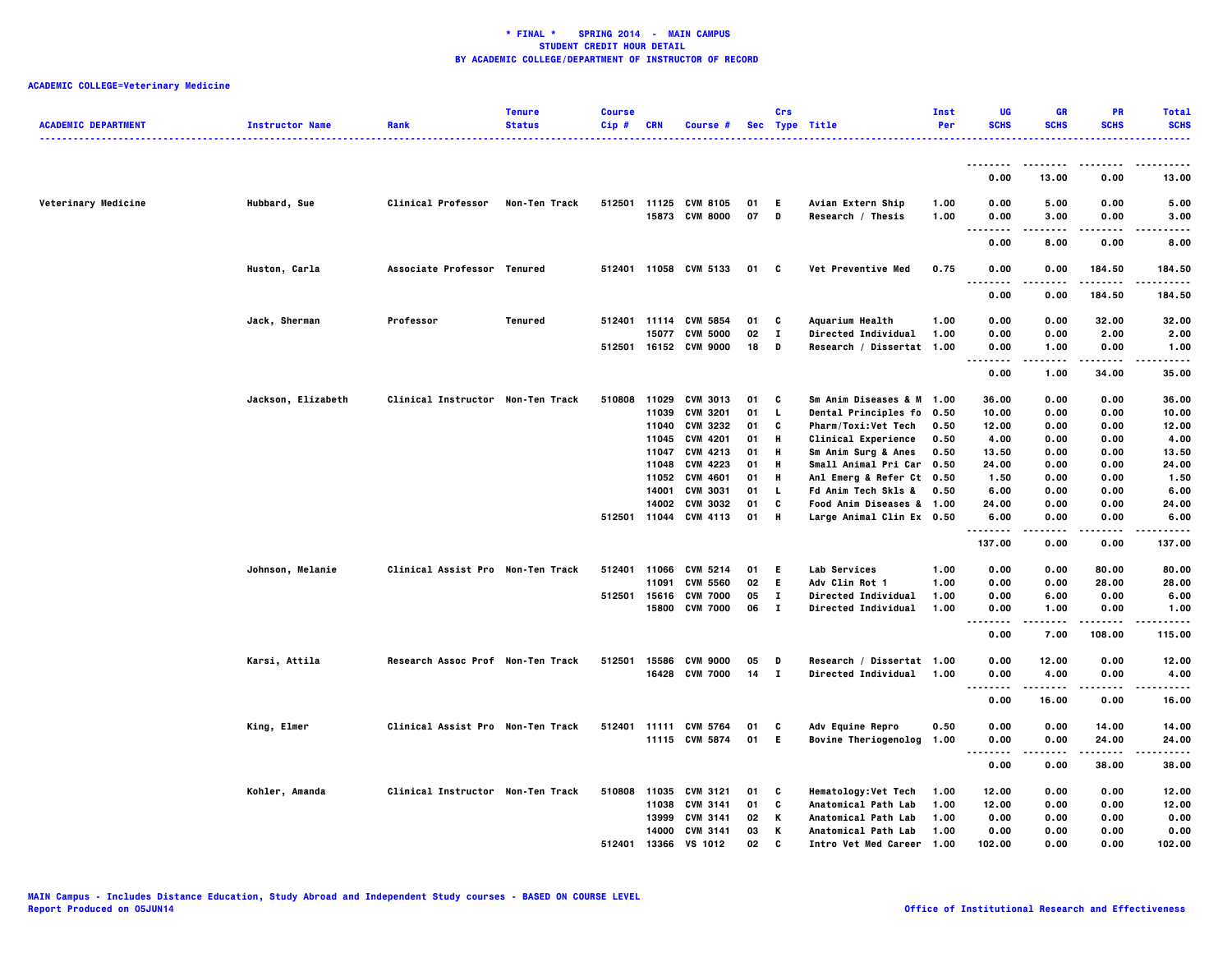| <b>ACADEMIC DEPARTMENT</b> | <b>Instructor Name</b> | Rank                              | <b>Tenure</b><br><b>Status</b> | <b>Course</b><br>Cip# | <b>CRN</b>   | Course #                                 |          | Crs                | Sec Type Title                                   | Inst<br>Per  | UG<br><b>SCHS</b>                 | <b>GR</b><br><b>SCHS</b> | <b>PR</b><br><b>SCHS</b> | <b>Total</b><br><b>SCHS</b>  |
|----------------------------|------------------------|-----------------------------------|--------------------------------|-----------------------|--------------|------------------------------------------|----------|--------------------|--------------------------------------------------|--------------|-----------------------------------|--------------------------|--------------------------|------------------------------|
|                            |                        |                                   |                                |                       |              |                                          |          |                    |                                                  |              | --------                          |                          |                          |                              |
|                            |                        |                                   |                                |                       |              |                                          |          |                    |                                                  |              | 0.00                              | 13.00                    | 0.00                     | 13.00                        |
| Veterinary Medicine        | Hubbard, Sue           | <b>Clinical Professor</b>         | Non-Ten Track                  |                       |              | 512501 11125 CVM 8105<br>15873 CVM 8000  | 01<br>07 | E.<br>$\mathbf{D}$ | Avian Extern Ship<br>Research / Thesis           | 1.00<br>1.00 | 0.00<br>0.00<br>$- - - -$         | 5.00<br>3.00<br>.        | 0.00<br>0.00<br>.        | 5.00<br>3.00<br>$- - - -$    |
|                            |                        |                                   |                                |                       |              |                                          |          |                    |                                                  |              | 0.00                              | 8.00                     | 0.00                     | 8.00                         |
|                            | Huston, Carla          | Associate Professor Tenured       |                                |                       |              | 512401 11058 CVM 5133                    | 01       | C.                 | Vet Preventive Med                               | 0.75         | 0.00<br>$\sim$ $\sim$             | 0.00                     | 184.50                   | 184.50<br>-----              |
|                            |                        |                                   |                                |                       |              |                                          |          |                    |                                                  |              | 0.00                              | 0.00                     | 184.50                   | 184.50                       |
|                            | Jack, Sherman          | Professor                         | Tenured                        |                       |              | 512401 11114 CVM 5854                    | 01       | C                  | Aquarium Health                                  | 1.00         | 0.00                              | 0.00                     | 32.00                    | 32.00                        |
|                            |                        |                                   |                                |                       | 15077        | <b>CVM 5000</b><br>512501 16152 CVM 9000 | 02<br>18 | $\mathbf{I}$<br>D  | Directed Individual<br>Research / Dissertat 1.00 | 1.00         | 0.00<br>0.00                      | 0.00<br>1.00             | 2.00<br>0.00<br>-----    | 2.00<br>1.00<br>. <b>.</b> . |
|                            |                        |                                   |                                |                       |              |                                          |          |                    |                                                  |              | -----<br>$\ddotsc$<br>0.00        | .<br>1.00                | 34.00                    | 35.00                        |
|                            | Jackson, Elizabeth     | Clinical Instructor Non-Ten Track |                                | 510808                |              | 11029 CVM 3013                           | 01       | C                  | Sm Anim Diseases & M 1.00                        |              | 36.00                             | 0.00                     | 0.00                     | 36.00                        |
|                            |                        |                                   |                                |                       | 11039        | <b>CVM 3201</b>                          | 01       | <b>L</b>           | <b>Dental Principles fo</b>                      | 0.50         | 10.00                             | 0.00                     | 0.00                     | 10.00                        |
|                            |                        |                                   |                                |                       |              | 11040 CVM 3232                           | 01       | C                  | Pharm/Toxi:Vet Tech                              | 0.50         | 12.00                             | 0.00                     | 0.00                     | 12.00                        |
|                            |                        |                                   |                                |                       | 11045        | <b>CVM 4201</b>                          | 01       | н                  | <b>Clinical Experience</b>                       | 0.50         | 4.00                              | 0.00                     | 0.00                     | 4.00                         |
|                            |                        |                                   |                                |                       |              | 11047 CVM 4213                           | 01       | н                  | Sm Anim Surg & Anes                              | 0.50         | 13.50                             | 0.00                     | 0.00                     | 13.50                        |
|                            |                        |                                   |                                |                       | 11048        | CVM 4223                                 | 01       | н                  | Small Animal Pri Car 0.50                        |              | 24.00                             | 0.00                     | 0.00                     | 24.00                        |
|                            |                        |                                   |                                |                       | 11052        | <b>CVM 4601</b>                          | 01       | н                  | Anl Emerg & Refer Ct 0.50                        |              | 1.50                              | 0.00                     | 0.00                     | 1.50                         |
|                            |                        |                                   |                                |                       |              | 14001 CVM 3031                           | 01       | L.                 | Fd Anim Tech Skls &                              | 0.50         | 6.00                              | 0.00                     | 0.00                     | 6.00                         |
|                            |                        |                                   |                                |                       |              | 14002 CVM 3032                           | 01       | C                  | Food Anim Diseases & 1.00                        |              | 24.00                             | 0.00                     | 0.00                     | 24.00                        |
|                            |                        |                                   |                                | 512501                |              | 11044 CVM 4113                           | 01       | н                  | Large Animal Clin Ex 0.50                        |              | 6.00<br>.                         | 0.00                     | 0.00<br>$- - - -$        | 6.00<br>.                    |
|                            |                        |                                   |                                |                       |              |                                          |          |                    |                                                  |              | 137.00                            | 0.00                     | 0.00                     | 137.00                       |
|                            | Johnson, Melanie       | Clinical Assist Pro Non-Ten Track |                                | 512401                |              | 11066 CVM 5214                           | 01       | E.                 | Lab Services                                     | 1.00         | 0.00                              | 0.00                     | 80.00                    | 80.00                        |
|                            |                        |                                   |                                |                       | 11091        | <b>CVM 5560</b>                          | 02       | E.                 | Adv Clin Rot 1                                   | 1.00         | 0.00                              | 0.00                     | 28.00                    | 28.00                        |
|                            |                        |                                   |                                | 512501                |              | 15616 CVM 7000                           | 05       | $\bf{I}$           | <b>Directed Individual</b>                       | 1.00         | 0.00                              | 6.00                     | 0.00                     | 6.00                         |
|                            |                        |                                   |                                |                       |              | 15800 CVM 7000                           | 06       | $\mathbf{I}$       | Directed Individual                              | 1.00         | 0.00<br>.<br>. .                  | 1.00                     | 0.00                     | 1.00                         |
|                            |                        |                                   |                                |                       |              |                                          |          |                    |                                                  |              | 0.00                              | 7.00                     | 108.00                   | 115.00                       |
|                            | Karsi, Attila          | Research Assoc Prof Non-Ten Track |                                | 512501                | 15586        | <b>CVM 9000</b>                          | 05       | D                  | Research / Dissertat 1.00                        |              | 0.00                              | 12.00                    | 0.00                     | 12.00                        |
|                            |                        |                                   |                                |                       |              | 16428 CVM 7000                           | $14$ I   |                    | <b>Directed Individual</b>                       | 1.00         | 0.00<br>.<br>$\sim$ $\sim$ $\sim$ | 4.00<br>.                | 0.00<br>.                | 4.00<br>.                    |
|                            |                        |                                   |                                |                       |              |                                          |          |                    |                                                  |              | 0.00                              | 16.00                    | 0.00                     | 16.00                        |
|                            | King, Elmer            | Clinical Assist Pro Non-Ten Track |                                | 512401                |              | 11111 CVM 5764                           | 01       | C                  | Adv Equine Repro                                 | 0.50         | 0.00                              | 0.00                     | 14.00                    | 14.00                        |
|                            |                        |                                   |                                |                       |              | 11115 CVM 5874                           | 01       | E.                 | <b>Bovine Theriogenolog</b>                      | 1.00         | 0.00                              | 0.00                     | 24.00                    | 24.00                        |
|                            |                        |                                   |                                |                       |              |                                          |          |                    |                                                  |              | $\sim$ $\sim$ $\sim$              |                          |                          |                              |
|                            |                        |                                   |                                |                       |              |                                          |          |                    |                                                  |              | 0.00                              | 0.00                     | 38.00                    | 38.00                        |
|                            | Kohler, Amanda         | Clinical Instructor Non-Ten Track |                                | 510808                |              | 11035 CVM 3121                           | 01       | C                  | <b>Hematology:Vet Tech</b>                       | 1.00         | 12.00                             | 0.00                     | 0.00                     | 12.00                        |
|                            |                        |                                   |                                |                       | 11038        | CVM 3141                                 | 01       | C                  | Anatomical Path Lab                              | 1.00         | 12.00                             | 0.00                     | 0.00                     | 12.00                        |
|                            |                        |                                   |                                |                       |              | 13999 CVM 3141                           | 02       | Κ                  | <b>Anatomical Path Lab</b>                       | 1.00         | 0.00                              | 0.00                     | 0.00                     | 0.00                         |
|                            |                        |                                   |                                |                       |              | 14000 CVM 3141                           | 03       | Κ                  | Anatomical Path Lab                              | 1.00         | 0.00                              | 0.00                     | 0.00                     | 0.00                         |
|                            |                        |                                   |                                |                       | 512401 13366 | VS 1012                                  | 02.      | C.                 | Tntro Vet Med Career 1.00                        |              | 102.00                            | 0.00                     | 0.00                     | 102.00                       |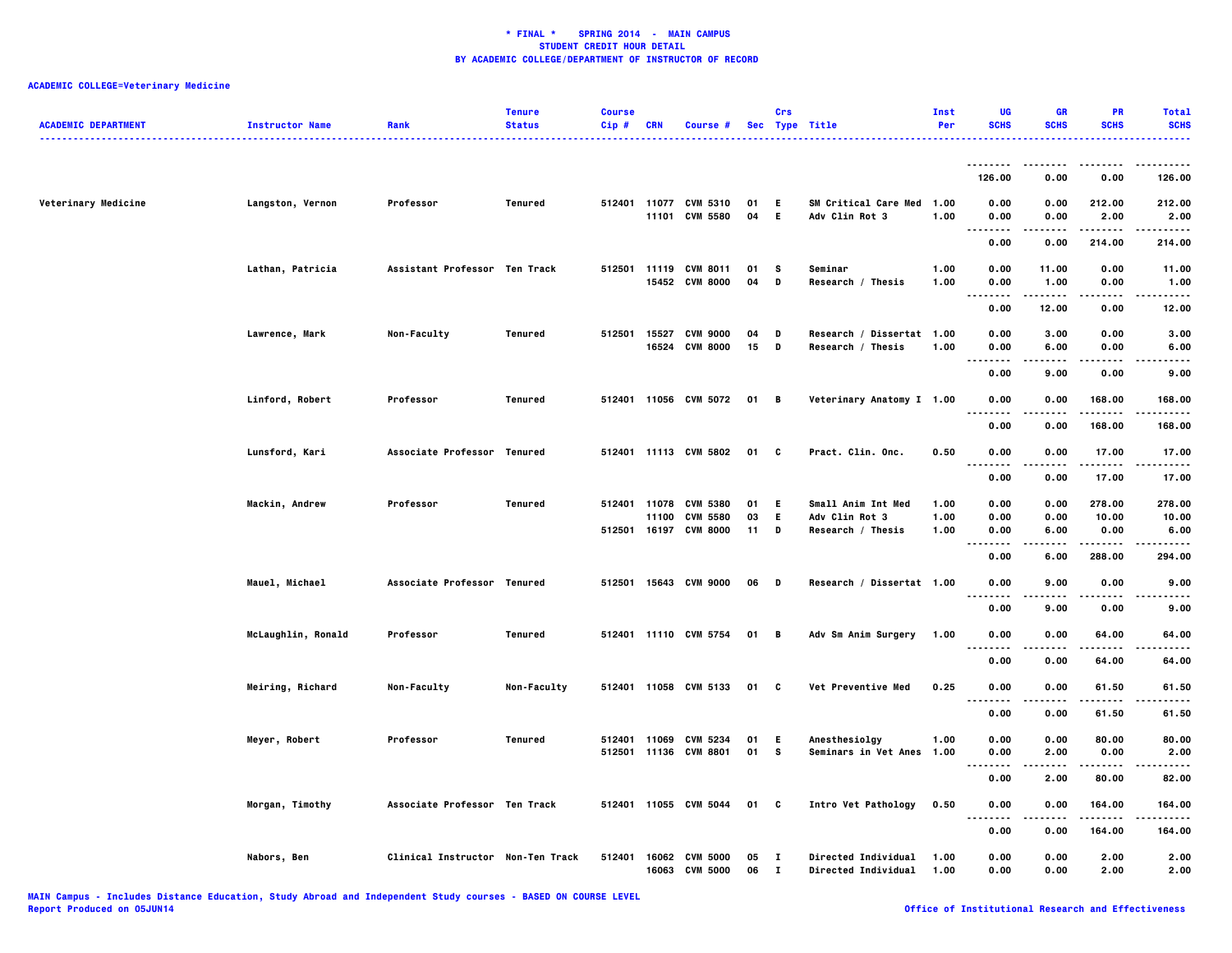| <b>ACADEMIC DEPARTMENT</b> | <b>Instructor Name</b> | Rank                              | <b>Tenure</b><br><b>Status</b> | <b>Course</b><br>Cip# | <b>CRN</b>     | Course #                                |          | Crs               | Sec Type Title                                    | Inst<br>Per  | UG<br><b>SCHS</b>                             | <b>GR</b><br><b>SCHS</b> | PR<br><b>SCHS</b> | <b>Total</b><br><b>SCHS</b> |
|----------------------------|------------------------|-----------------------------------|--------------------------------|-----------------------|----------------|-----------------------------------------|----------|-------------------|---------------------------------------------------|--------------|-----------------------------------------------|--------------------------|-------------------|-----------------------------|
|                            |                        |                                   |                                |                       |                |                                         |          |                   | ------------------                                |              |                                               |                          |                   | .                           |
|                            |                        |                                   |                                |                       |                |                                         |          |                   |                                                   |              | 126.00                                        | 0.00                     | 0.00              | 126.00                      |
| Veterinary Medicine        | Langston, Vernon       | Professor                         | Tenured                        |                       |                | 512401 11077 CVM 5310<br>11101 CVM 5580 | 01<br>04 | Е<br>E.           | SM Critical Care Med 1.00<br>Adv Clin Rot 3       | 1.00         | 0.00<br>0.00                                  | 0.00<br>0.00             | 212.00<br>2.00    | 212.00<br>2.00              |
|                            |                        |                                   |                                |                       |                |                                         |          |                   |                                                   |              | $\sim$ $\sim$ $\sim$<br>0.00                  | 0.00                     | 214.00            | -----<br>214.00             |
|                            | Lathan, Patricia       | Assistant Professor Ten Track     |                                |                       |                | 512501 11119 CVM 8011<br>15452 CVM 8000 | 01<br>04 | s<br>D            | Seminar<br>Research / Thesis                      | 1.00<br>1.00 | 0.00<br>0.00                                  | 11.00<br>1.00            | 0.00<br>0.00      | 11.00<br>1.00               |
|                            |                        |                                   |                                |                       |                |                                         |          |                   |                                                   |              | <br>. .<br>0.00                               | 12.00                    | $- - - -$<br>0.00 | 12.00                       |
|                            |                        |                                   |                                |                       |                |                                         |          |                   |                                                   |              |                                               |                          |                   |                             |
|                            | Lawrence, Mark         | Non-Faculty                       | Tenured                        | 512501                | 15527<br>16524 | <b>CVM 9000</b><br><b>CVM 8000</b>      | 04<br>15 | D<br>D            | Research / Dissertat 1.00<br>Research / Thesis    | 1.00         | 0.00<br>0.00<br>-----<br>$\ddotsc$            | 3.00<br>6.00<br>.        | 0.00<br>0.00<br>. | 3.00<br>6.00<br>$- - - -$   |
|                            |                        |                                   |                                |                       |                |                                         |          |                   |                                                   |              | 0.00                                          | 9.00                     | 0.00              | 9.00                        |
|                            | Linford, Robert        | Professor                         | Tenured                        |                       |                | 512401 11056 CVM 5072                   | 01 B     |                   | Veterinary Anatomy I 1.00                         |              | 0.00<br>$\sim$ $\sim$ $\sim$<br>.             | 0.00<br>.                | 168.00<br>------  | 168.00<br>-----             |
|                            |                        |                                   |                                |                       |                |                                         |          |                   |                                                   |              | 0.00                                          | 0.00                     | 168.00            | 168.00                      |
|                            | Lunsford, Kari         | Associate Professor Tenured       |                                |                       |                | 512401 11113 CVM 5802                   | 01       | C                 | Pract. Clin. Onc.                                 | 0.50         | 0.00<br>$\cdots$<br>.                         | 0.00                     | 17.00             | 17.00                       |
|                            |                        |                                   |                                |                       |                |                                         |          |                   |                                                   |              | 0.00                                          | 0.00                     | 17.00             | 17.00                       |
|                            | Mackin, Andrew         | Professor                         | Tenured                        | 512401 11078          |                | <b>CVM 5380</b>                         | 01       | E.                | <b>Small Anim Int Med</b>                         | 1.00         | 0.00                                          | 0.00                     | 278.00            | 278.00                      |
|                            |                        |                                   |                                |                       | 11100          | <b>CVM 5580</b>                         | 03       | E.                | Adv Clin Rot 3                                    | 1.00         | 0.00                                          | 0.00                     | 10.00             | 10.00                       |
|                            |                        |                                   |                                |                       |                | 512501 16197 CVM 8000                   | 11       | D                 | Research / Thesis                                 | 1.00         | 0.00<br>                                      | 6.00                     | 0.00              | 6.00                        |
|                            |                        |                                   |                                |                       |                |                                         |          |                   |                                                   |              | 0.00                                          | 6.00                     | 288.00            | 294.00                      |
|                            | Mauel, Michael         | Associate Professor Tenured       |                                |                       |                | 512501 15643 CVM 9000                   | 06 D     |                   | Research / Dissertat 1.00                         |              | 0.00<br>$\sim$ $\sim$ $\sim$<br>.             | 9.00                     | 0.00<br>.         | 9.00<br>.                   |
|                            |                        |                                   |                                |                       |                |                                         |          |                   |                                                   |              | 0.00                                          | 9.00                     | 0.00              | 9.00                        |
|                            | McLaughlin, Ronald     | Professor                         | Tenured                        |                       |                | 512401 11110 CVM 5754                   | 01       | B                 | Adv Sm Anim Surgery                               | 1.00         | 0.00<br>.                                     | 0.00                     | 64.00<br>.        | 64.00<br>.                  |
|                            |                        |                                   |                                |                       |                |                                         |          |                   |                                                   |              | 0.00                                          | 0.00                     | 64.00             | 64.00                       |
|                            | Meiring, Richard       | Non-Faculty                       | Non-Faculty                    |                       |                | 512401 11058 CVM 5133                   | 01 C     |                   | Vet Preventive Med                                | 0.25         | 0.00<br>$\sim$ $\sim$ $\sim$<br>$\cdots$      | 0.00                     | 61.50             | 61.50                       |
|                            |                        |                                   |                                |                       |                |                                         |          |                   |                                                   |              | 0.00                                          | 0.00                     | 61.50             | 61.50                       |
|                            | Meyer, Robert          | Professor                         | Tenured                        | 512401 11069          |                | CVM 5234                                | 01       | E.                | Anesthesiolgy                                     | 1.00         | 0.00                                          | 0.00                     | 80.00             | 80.00                       |
|                            |                        |                                   |                                |                       |                | 512501 11136 CVM 8801                   | 01       | s                 | Seminars in Vet Anes                              | 1.00         | 0.00<br>$\sim$ $\sim$ $\sim$<br>$\sim$ $\sim$ | 2.00                     | 0.00              | 2.00                        |
|                            |                        |                                   |                                |                       |                |                                         |          |                   |                                                   |              | 0.00                                          | 2.00                     | 80.00             | 82.00                       |
|                            | Morgan, Timothy        | Associate Professor Ten Track     |                                |                       |                | 512401 11055 CVM 5044                   | 01 C     |                   | Intro Vet Pathology                               | 0.50         | 0.00<br>$\sim$ $\sim$ $\sim$                  | 0.00                     | 164.00            | 164.00                      |
|                            |                        |                                   |                                |                       |                |                                         |          |                   |                                                   |              | 0.00                                          | 0.00                     | 164.00            | 164.00                      |
|                            | Nabors, Ben            | Clinical Instructor Non-Ten Track |                                | 512401                | 16063          | 16062 CVM 5000<br><b>CVM 5000</b>       | 05<br>06 | $\mathbf{I}$<br>п | <b>Directed Individual</b><br>Directed Individual | 1.00<br>1.00 | 0.00<br>0.00                                  | 0.00<br>0.00             | 2.00<br>2.00      | 2.00<br>2.00                |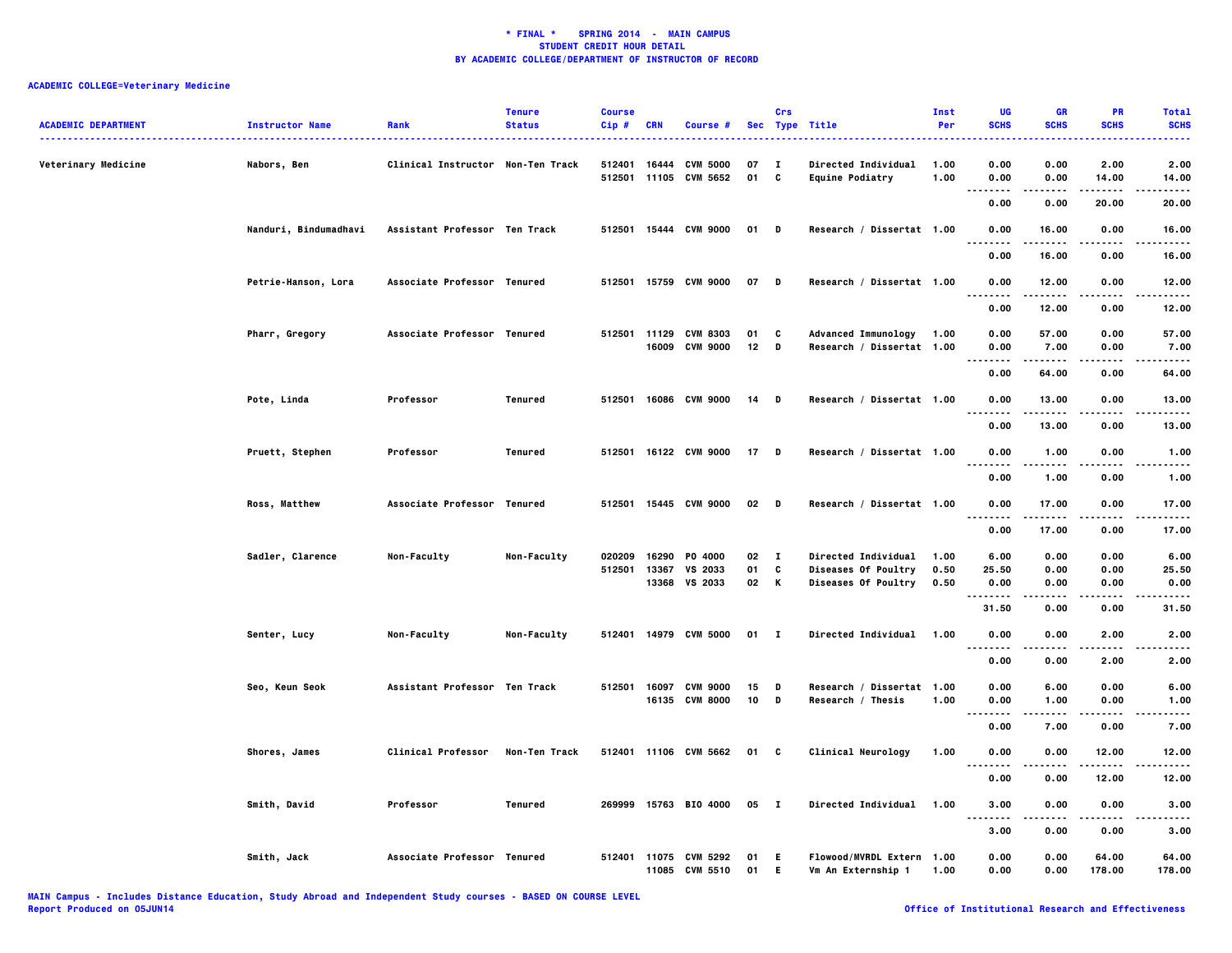| <b>ACADEMIC DEPARTMENT</b> | <b>Instructor Name</b> | Rank                              | <b>Tenure</b><br><b>Status</b> | <b>Course</b><br>$Cip$ # | CRN   | Course #                                       |            | Crs          | Sec Type Title                                          | Inst<br>Per  | UG<br><b>SCHS</b>            | <b>GR</b><br><b>SCHS</b> | <b>PR</b><br><b>SCHS</b> | <b>Total</b><br><b>SCHS</b>                                                                                                                |
|----------------------------|------------------------|-----------------------------------|--------------------------------|--------------------------|-------|------------------------------------------------|------------|--------------|---------------------------------------------------------|--------------|------------------------------|--------------------------|--------------------------|--------------------------------------------------------------------------------------------------------------------------------------------|
| Veterinary Medicine        | Nabors, Ben            | Clinical Instructor Non-Ten Track |                                |                          |       | 512401 16444 CVM 5000<br>512501 11105 CVM 5652 | 07<br>01 C | $\mathbf{I}$ | Directed Individual<br><b>Equine Podiatry</b>           | 1.00<br>1.00 | 0.00<br>0.00                 | 0.00<br>0.00             | 2.00<br>14.00            | $\frac{1}{2} \left( \frac{1}{2} \right) \left( \frac{1}{2} \right) \left( \frac{1}{2} \right) \left( \frac{1}{2} \right)$<br>2.00<br>14.00 |
|                            |                        |                                   |                                |                          |       |                                                |            |              |                                                         |              | -----<br>$\ddotsc$<br>0.00   | -----<br>0.00            | .<br>20.00               | .<br>20.00                                                                                                                                 |
|                            | Nanduri, Bindumadhavi  | Assistant Professor Ten Track     |                                |                          |       | 512501 15444 CVM 9000                          | 01 D       |              | Research / Dissertat 1.00                               |              | 0.00                         | 16.00                    | 0.00<br>$- - -$          | 16.00                                                                                                                                      |
|                            |                        |                                   |                                |                          |       |                                                |            |              |                                                         |              | $\ddotsc$<br>.<br>0.00       | .<br>16.00               | 0.00                     | .<br>16.00                                                                                                                                 |
|                            | Petrie-Hanson, Lora    | Associate Professor Tenured       |                                |                          |       | 512501 15759 CVM 9000                          | 07         | D            | Research / Dissertat 1.00                               |              | 0.00<br>.                    | 12.00                    | 0.00                     | 12.00                                                                                                                                      |
|                            |                        |                                   |                                |                          |       |                                                |            |              |                                                         |              | 0.00                         | 12.00                    | 0.00                     | 12.00                                                                                                                                      |
|                            | Pharr, Gregory         | Associate Professor Tenured       |                                |                          | 16009 | 512501 11129 CVM 8303<br><b>CVM 9000</b>       | 01<br>12   | C<br>D       | <b>Advanced Immunology</b><br>Research / Dissertat 1.00 | 1.00         | 0.00<br>0.00<br>.<br>.       | 57.00<br>7.00<br>.       | 0.00<br>0.00<br>.        | 57.00<br>7.00<br>.                                                                                                                         |
|                            |                        |                                   |                                |                          |       |                                                |            |              |                                                         |              | 0.00                         | 64.00                    | 0.00                     | 64.00                                                                                                                                      |
|                            | Pote, Linda            | Professor                         | Tenured                        |                          |       | 512501 16086 CVM 9000                          | 14         | D            | Research / Dissertat 1.00                               |              | 0.00<br>$- - - -$            | 13.00<br>$- - - - -$     | 0.00<br>$- - - -$        | 13.00<br>.                                                                                                                                 |
|                            |                        |                                   |                                |                          |       |                                                |            |              |                                                         |              | 0.00                         | 13.00                    | 0.00                     | 13.00                                                                                                                                      |
|                            | Pruett, Stephen        | Professor                         | Tenured                        |                          |       | 512501 16122 CVM 9000                          | 17         | D            | Research / Dissertat 1.00                               |              | 0.00<br>$\cdots$<br>.        | 1.00<br>.                | 0.00                     | 1.00                                                                                                                                       |
|                            |                        |                                   |                                |                          |       |                                                |            |              |                                                         |              | 0.00                         | 1.00                     | 0.00                     | 1.00                                                                                                                                       |
|                            | Ross, Matthew          | Associate Professor Tenured       |                                |                          |       | 512501 15445 CVM 9000                          | 02         | <b>D</b>     | Research / Dissertat 1.00                               |              | 0.00                         | 17.00                    | 0.00                     | 17.00                                                                                                                                      |
|                            |                        |                                   |                                |                          |       |                                                |            |              |                                                         |              | 0.00                         | 17.00                    | 0.00                     | 17.00                                                                                                                                      |
|                            | Sadler, Clarence       | Non-Faculty                       | Non-Faculty                    | 020209                   | 16290 | P0 4000                                        | 02 I       |              | Directed Individual                                     | 1.00         | 6.00                         | 0.00                     | 0.00                     | 6.00                                                                                                                                       |
|                            |                        |                                   |                                | 512501                   | 13367 | VS 2033<br>13368 VS 2033                       | 01<br>02 K | C            | Diseases Of Poultry<br>Diseases Of Poultry              | 0.50<br>0.50 | 25.50<br>0.00                | 0.00<br>0.00             | 0.00<br>0.00             | 25.50<br>0.00                                                                                                                              |
|                            |                        |                                   |                                |                          |       |                                                |            |              |                                                         |              | --------<br>31.50            | -----<br>0.00            | .<br>0.00                | .<br>31.50                                                                                                                                 |
|                            | Senter, Lucy           | Non-Faculty                       | Non-Faculty                    |                          |       | 512401 14979 CVM 5000                          | $01$ I     |              | <b>Directed Individual</b>                              | 1.00         | 0.00                         | 0.00                     | 2.00                     | 2.00                                                                                                                                       |
|                            |                        |                                   |                                |                          |       |                                                |            |              |                                                         |              | .<br>0.00                    | 0.00                     | .<br>2.00                | 2.00                                                                                                                                       |
|                            | Seo, Keun Seok         | Assistant Professor Ten Track     |                                | 512501                   | 16097 | <b>CVM 9000</b><br>16135 CVM 8000              | 15<br>10   | D<br>D       | Research / Dissertat 1.00<br>Research / Thesis          | 1.00         | 0.00<br>0.00                 | 6.00<br>1.00             | 0.00<br>0.00             | 6.00<br>1.00                                                                                                                               |
|                            |                        |                                   |                                |                          |       |                                                |            |              |                                                         |              | $\sim$ $\sim$ $\sim$<br>0.00 | 7.00                     | 0.00                     | 7.00                                                                                                                                       |
|                            | Shores, James          | <b>Clinical Professor</b>         | Non-Ten Track                  |                          |       | 512401 11106 CVM 5662                          | 01 C       |              | Clinical Neurology                                      | 1.00         | 0.00                         | 0.00                     | 12.00                    | 12.00                                                                                                                                      |
|                            |                        |                                   |                                |                          |       |                                                |            |              |                                                         |              | .<br>0.00                    | 0.00                     | 12.00                    | 12.00                                                                                                                                      |
|                            | Smith, David           | Professor                         | Tenured                        |                          |       | 269999 15763 BIO 4000                          | 05         | $\mathbf{I}$ | Directed Individual                                     | 1.00         | 3.00                         | 0.00                     | 0.00                     | 3.00                                                                                                                                       |
|                            |                        |                                   |                                |                          |       |                                                |            |              |                                                         |              | $\ddotsc$<br>3.00            | 0.00                     | 0.00                     | 3.00                                                                                                                                       |
|                            | Smith, Jack            | Associate Professor Tenured       |                                |                          | 11085 | 512401 11075 CVM 5292<br><b>CVM 5510</b>       | 01<br>01   | E.<br>E.     | Flowood/MVRDL Extern 1.00<br>Vm An Externship 1         | 1.00         | 0.00<br>0.00                 | 0.00<br>0.00             | 64.00<br>178.00          | 64.00<br>178.00                                                                                                                            |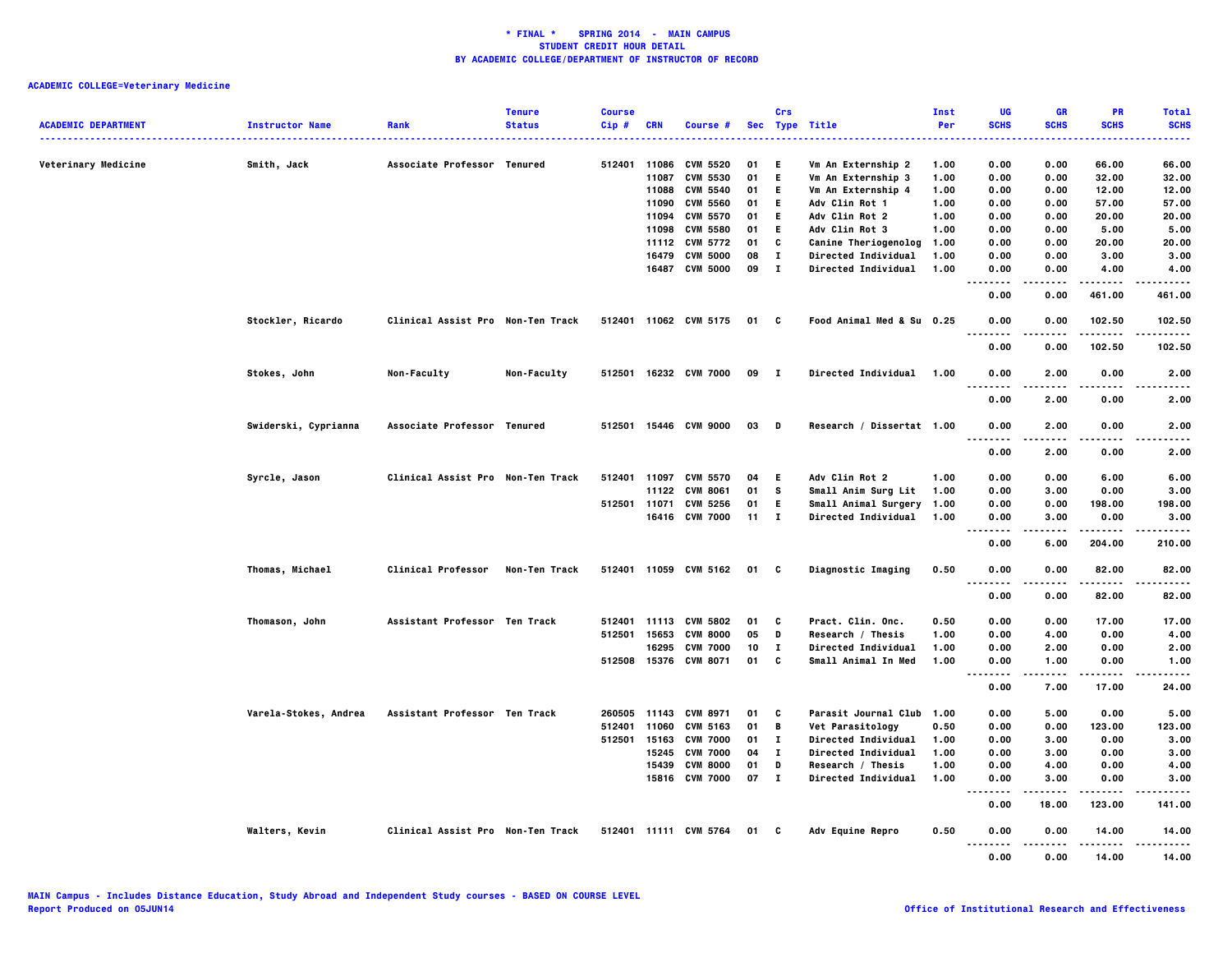| <b>ACADEMIC DEPARTMENT</b> | <b>Instructor Name</b> | Rank                              | <b>Tenure</b><br><b>Status</b> | <b>Course</b><br>$Cip$ # | <b>CRN</b>     | Course #                           |          | Crs               | Sec Type Title                                  | Inst<br>Per  | UG<br><b>SCHS</b>                | GR<br><b>SCHS</b> | <b>PR</b><br><b>SCHS</b> | <b>Total</b><br><b>SCHS</b> |
|----------------------------|------------------------|-----------------------------------|--------------------------------|--------------------------|----------------|------------------------------------|----------|-------------------|-------------------------------------------------|--------------|----------------------------------|-------------------|--------------------------|-----------------------------|
|                            |                        |                                   |                                |                          |                |                                    |          |                   |                                                 |              |                                  |                   |                          |                             |
| Veterinary Medicine        | Smith, Jack            | Associate Professor Tenured       |                                | 512401                   | 11086          | CVM 5520                           | 01       | Е.                | Vm An Externship 2                              | 1.00         | 0.00                             | 0.00              | 66.00                    | 66.00                       |
|                            |                        |                                   |                                |                          | 11087<br>11088 | <b>CVM 5530</b><br><b>CVM 5540</b> | 01<br>01 | E.<br>E.          | Vm An Externship 3<br>Vm An Externship 4        | 1.00<br>1.00 | 0.00<br>0.00                     | 0.00<br>0.00      | 32.00<br>12.00           | 32.00<br>12.00              |
|                            |                        |                                   |                                |                          | 11090          | <b>CVM 5560</b>                    | 01       | E.                | Adv Clin Rot 1                                  | 1.00         | 0.00                             | 0.00              | 57.00                    | 57.00                       |
|                            |                        |                                   |                                |                          | 11094          | <b>CVM 5570</b>                    | 01       | E.                | Adv Clin Rot 2                                  | 1.00         | 0.00                             | 0.00              | 20.00                    | 20.00                       |
|                            |                        |                                   |                                |                          | 11098          | <b>CVM 5580</b>                    | 01       | E.                | Adv Clin Rot 3                                  | 1.00         | 0.00                             | 0.00              | 5.00                     | 5.00                        |
|                            |                        |                                   |                                |                          | 11112          | <b>CVM 5772</b>                    | 01       | C                 | Canine Theriogenolog                            | 1.00         | 0.00                             | 0.00              | 20.00                    | 20.00                       |
|                            |                        |                                   |                                |                          | 16479          | <b>CVM 5000</b>                    | 08       | $\mathbf{I}$      | Directed Individual                             | 1.00         | 0.00                             | 0.00              | 3.00                     | 3.00                        |
|                            |                        |                                   |                                |                          | 16487          | <b>CVM 5000</b>                    | 09       | $\mathbf{I}$      | Directed Individual                             | 1.00         | 0.00                             | 0.00              | 4.00                     | 4.00                        |
|                            |                        |                                   |                                |                          |                |                                    |          |                   |                                                 |              | $\sim$ $\sim$<br>.<br>0.00       | 0.00              | 461.00                   | .<br>461.00                 |
|                            | Stockler, Ricardo      | Clinical Assist Pro Non-Ten Track |                                |                          |                | 512401 11062 CVM 5175              |          | 01 C              | Food Animal Med & Su 0.25                       |              | 0.00                             | 0.00              | 102.50                   | 102.50<br>.                 |
|                            |                        |                                   |                                |                          |                |                                    |          |                   |                                                 |              | 0.00                             | 0.00              | 102.50                   | 102.50                      |
|                            | Stokes, John           | Non-Faculty                       | Non-Faculty                    |                          |                | 512501 16232 CVM 7000              | 09       | - 1               | <b>Directed Individual</b>                      | 1.00         | 0.00<br>$\sim$ $\sim$<br>$- - -$ | 2.00              | 0.00                     | 2.00<br>----                |
|                            |                        |                                   |                                |                          |                |                                    |          |                   |                                                 |              | 0.00                             | 2.00              | 0.00                     | 2.00                        |
|                            | Swiderski, Cyprianna   | Associate Professor Tenured       |                                |                          |                | 512501 15446 CVM 9000              | 03       | D                 | Research / Dissertat 1.00                       |              | 0.00<br>.                        | 2.00              | 0.00<br>.                | 2.00<br>$- - - -$           |
|                            |                        |                                   |                                |                          |                |                                    |          |                   |                                                 |              | 0.00                             | 2.00              | 0.00                     | 2.00                        |
|                            | Syrcle, Jason          | Clinical Assist Pro Non-Ten Track |                                | 512401                   | 11097          | <b>CVM 5570</b>                    | 04       | E.                | Adv Clin Rot 2                                  | 1.00         | 0.00                             | 0.00              | 6.00                     | 6.00                        |
|                            |                        |                                   |                                |                          | 11122          | <b>CVM 8061</b>                    | 01       | s                 | Small Anim Surg Lit                             | 1.00         | 0.00                             | 3.00              | 0.00                     | 3.00                        |
|                            |                        |                                   |                                |                          | 512501 11071   | <b>CVM 5256</b>                    | 01       | E.                | Small Animal Surgery 1.00                       |              | 0.00                             | 0.00              | 198.00                   | 198.00                      |
|                            |                        |                                   |                                |                          |                | 16416 CVM 7000                     | 11       | $\mathbf{I}$      | <b>Directed Individual</b>                      | 1.00         | 0.00<br>$\cdots$                 | 3.00              | 0.00<br>-----            | 3.00<br>.                   |
|                            |                        |                                   |                                |                          |                |                                    |          |                   |                                                 |              | 0.00                             | 6.00              | 204.00                   | 210.00                      |
|                            | Thomas, Michael        | <b>Clinical Professor</b>         | Non-Ten Track                  |                          |                | 512401 11059 CVM 5162              | 01       | C                 | Diagnostic Imaging                              | 0.50         | 0.00<br>.<br>.                   | 0.00              | 82.00<br>.               | 82.00<br>.                  |
|                            |                        |                                   |                                |                          |                |                                    |          |                   |                                                 |              | 0.00                             | 0.00              | 82.00                    | 82.00                       |
|                            | Thomason, John         | Assistant Professor Ten Track     |                                | 512401                   | 11113          | <b>CVM 5802</b>                    | 01       | C                 | Pract. Clin. Onc.                               | 0.50         | 0.00                             | 0.00              | 17.00                    | 17.00                       |
|                            |                        |                                   |                                | 512501                   | 15653          | <b>CVM 8000</b>                    | 05       | D                 | Research / Thesis                               | 1.00         | 0.00                             | 4.00              | 0.00                     | 4.00                        |
|                            |                        |                                   |                                |                          | 16295          | <b>CVM 7000</b>                    | 10       | $\bf{I}$          | Directed Individual                             | 1.00         | 0.00                             | 2.00              | 0.00                     | 2.00                        |
|                            |                        |                                   |                                |                          |                | 512508 15376 CVM 8071              | 01       | C                 | Small Animal In Med                             | 1.00         | 0.00<br>.<br>$\sim$ $\sim$       | 1.00<br>.         | 0.00<br>.                | 1.00<br>.                   |
|                            |                        |                                   |                                |                          |                |                                    |          |                   |                                                 |              | 0.00                             | 7.00              | 17.00                    | 24.00                       |
|                            | Varela-Stokes, Andrea  | Assistant Professor Ten Track     |                                | 260505                   | 11143          | <b>CVM 8971</b>                    | 01       | C                 | Parasit Journal Club                            | 1.00         | 0.00                             | 5.00              | 0.00                     | 5.00                        |
|                            |                        |                                   |                                | 512401                   | 11060          | CVM 5163                           | 01       | B                 | Vet Parasitology                                | 0.50         | 0.00                             | 0.00              | 123.00                   | 123.00                      |
|                            |                        |                                   |                                | 512501                   | 15163          | <b>CVM 7000</b>                    | 01       | $\bf{I}$          | Directed Individual                             | 1.00         | 0.00                             | 3.00              | 0.00                     | 3.00                        |
|                            |                        |                                   |                                |                          | 15245          | <b>CVM 7000</b>                    | 04       | $\bf{I}$          | Directed Individual                             | 1.00         | 0.00                             | 3.00              | 0.00                     | 3.00                        |
|                            |                        |                                   |                                |                          | 15439          | <b>CVM 8000</b><br>15816 CVM 7000  | 01<br>07 | D<br>$\mathbf{I}$ | Research / Thesis<br><b>Directed Individual</b> | 1.00<br>1.00 | 0.00<br>0.00                     | 4.00<br>3.00      | 0.00<br>0.00             | 4.00<br>3.00                |
|                            |                        |                                   |                                |                          |                |                                    |          |                   |                                                 |              | $\sim$ $\sim$<br>.<br>0.00       | 18.00             | 123.00                   | 141.00                      |
|                            | Walters, Kevin         | Clinical Assist Pro Non-Ten Track |                                |                          |                | 512401 11111 CVM 5764              | 01 C     |                   | Adv Equine Repro                                | 0.50         | 0.00                             | 0.00              | 14.00                    | 14.00                       |
|                            |                        |                                   |                                |                          |                |                                    |          |                   |                                                 |              | 0.00                             | 0.00              | 14.00                    | 14.00                       |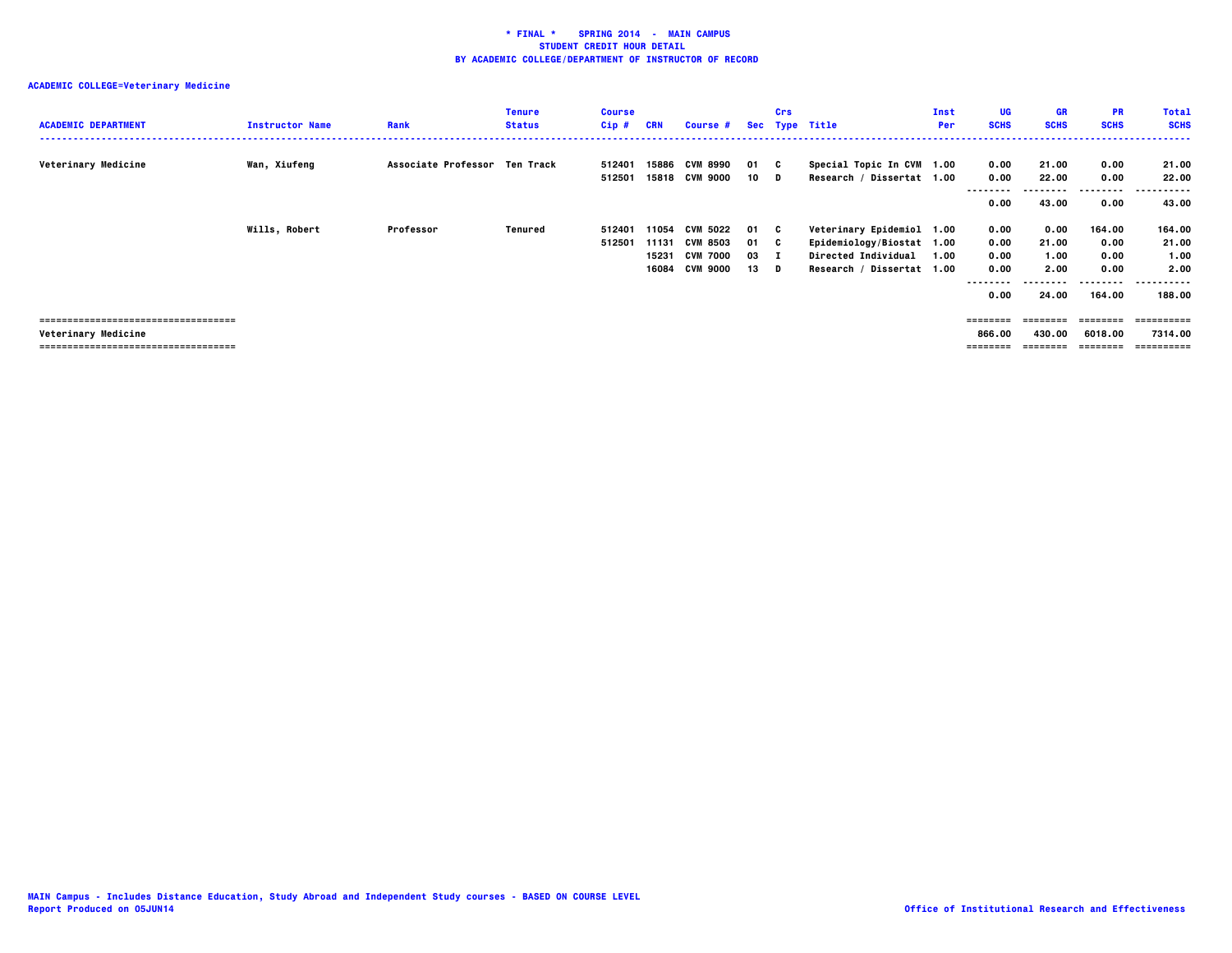| <b>ACADEMIC DEPARTMENT</b>                                  | <b>Instructor Name</b> | Rank                          | <b>Tenure</b><br><b>Status</b> | <b>Course</b><br>Cip# | <b>CRN</b>              | Course #                                                                |                            | Crs | Sec Type Title                                                                                             | Inst<br>Per | UG<br><b>SCHS</b>                                | GR<br><b>SCHS</b>                      | <b>PR</b><br><b>SCHS</b>                             | <b>Total</b><br><b>SCHS</b>                              |
|-------------------------------------------------------------|------------------------|-------------------------------|--------------------------------|-----------------------|-------------------------|-------------------------------------------------------------------------|----------------------------|-----|------------------------------------------------------------------------------------------------------------|-------------|--------------------------------------------------|----------------------------------------|------------------------------------------------------|----------------------------------------------------------|
| Veterinary Medicine                                         | Wan, Xiufeng           | Associate Professor Ten Track |                                | 512401<br>512501      |                         | 15886 CVM 8990<br>15818 CVM 9000                                        | 01 C<br>$10$ D             |     | Special Topic In CVM 1.00<br>Research / Dissertat 1.00                                                     |             | 0.00<br>0.00<br>0.00                             | 21.00<br>22.00<br>43.00                | 0.00<br>0.00<br>---------<br>0.00                    | 21.00<br>22.00<br>------<br>43.00                        |
|                                                             | <b>Wills, Robert</b>   | Professor                     | Tenured                        | 512401<br>512501      | 11054<br>15231<br>16084 | <b>CVM 5022</b><br>11131 CVM 8503<br><b>CVM 7000</b><br><b>CVM 9000</b> | 01 C<br>01 C<br>03<br>13 D |     | Veterinary Epidemiol 1.00<br>Epidemiology/Biostat 1.00<br>Directed Individual<br>Research / Dissertat 1.00 | 1.00        | 0.00<br>0.00<br>0.00<br>0.00<br>--------<br>0.00 | 0.00<br>21.00<br>1.00<br>2.00<br>24.00 | 164.00<br>0.00<br>0.00<br>0.00<br>--------<br>164.00 | 164.00<br>21.00<br>1.00<br>2.00<br>-----------<br>188.00 |
| ====================================<br>Veterinary Medicine |                        |                               |                                |                       |                         |                                                                         |                            |     |                                                                                                            |             | ========<br>866.00<br>========                   | --------<br>430.00                     | --------<br>6018.00<br>=======                       | ==========<br>7314.00<br>==========                      |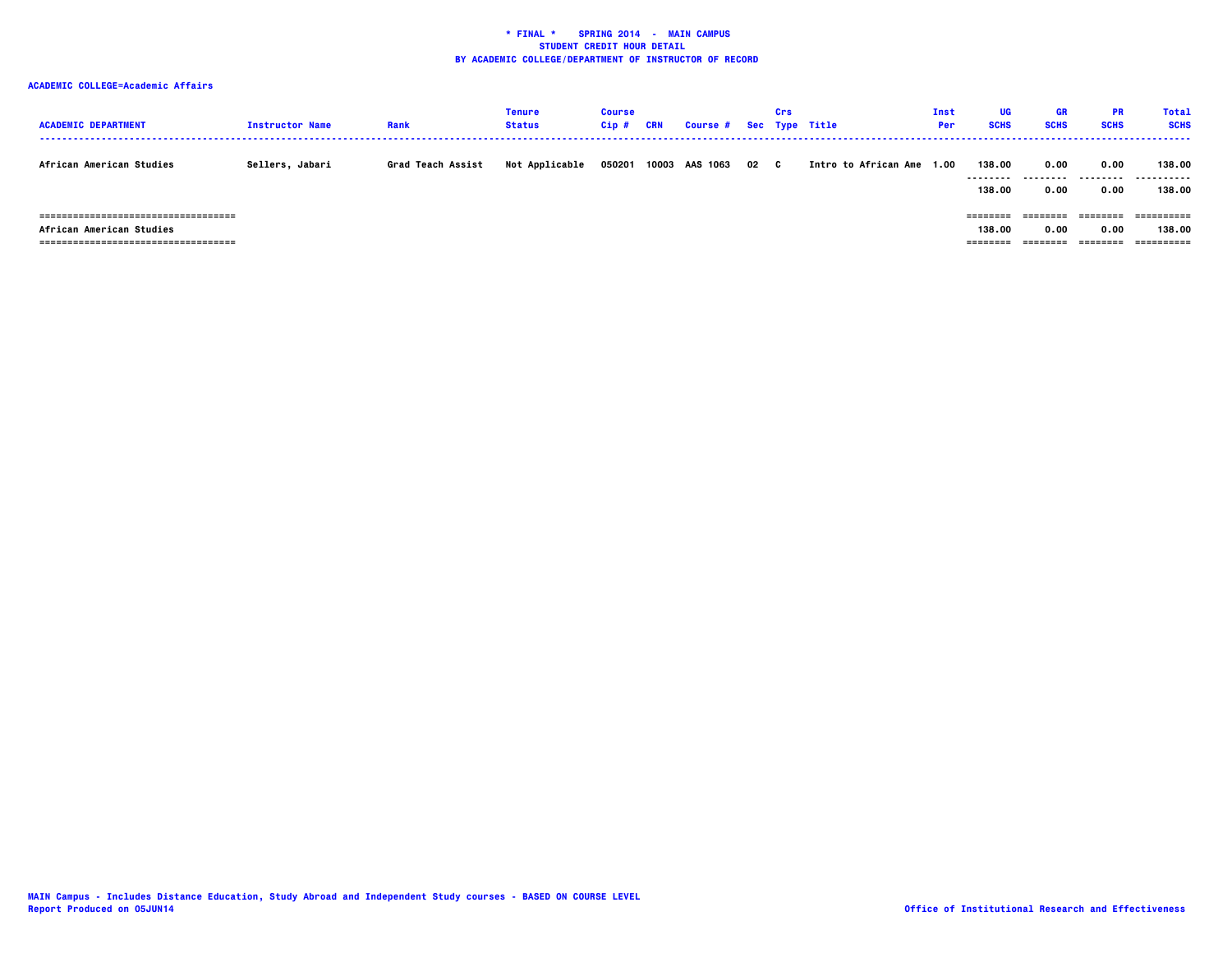# **ACADEMIC COLLEGE=Academic Affairs**

| <b>ACADEMIC DEPARTMENT</b>                                                                                 | <b>Instructor Name</b> | Rank              | Tenure<br><b>Status</b> | <b>Course</b><br>$Cip$ # | CRN | Course # Sec Type Title |      | Crs |                           | Inst<br><b>Per</b> | <b>UG</b><br><b>SCHS</b>       | GR<br><b>SCHS</b>         | <b>PR</b><br><b>SCHS</b>     | Total<br><b>SCHS</b>  |
|------------------------------------------------------------------------------------------------------------|------------------------|-------------------|-------------------------|--------------------------|-----|-------------------------|------|-----|---------------------------|--------------------|--------------------------------|---------------------------|------------------------------|-----------------------|
| African American Studies                                                                                   | Sellers, Jabari        | Grad Teach Assist | Not Applicable          | 050201                   |     | 10003 AAS 1063          | 02 C |     | Intro to African Ame 1.00 |                    | 138.00<br>---------<br>138.00  | 0.00<br>---------<br>0.00 | 0.00<br>.<br>0.00            | 138,00<br>.<br>138,00 |
| =====================================<br>African American Studies<br>===================================== |                        |                   |                         |                          |     |                         |      |     |                           |                    | ========<br>138.00<br>======== | 0.00<br>========          | --------<br>0.00<br>======== | 138,00<br>==========  |